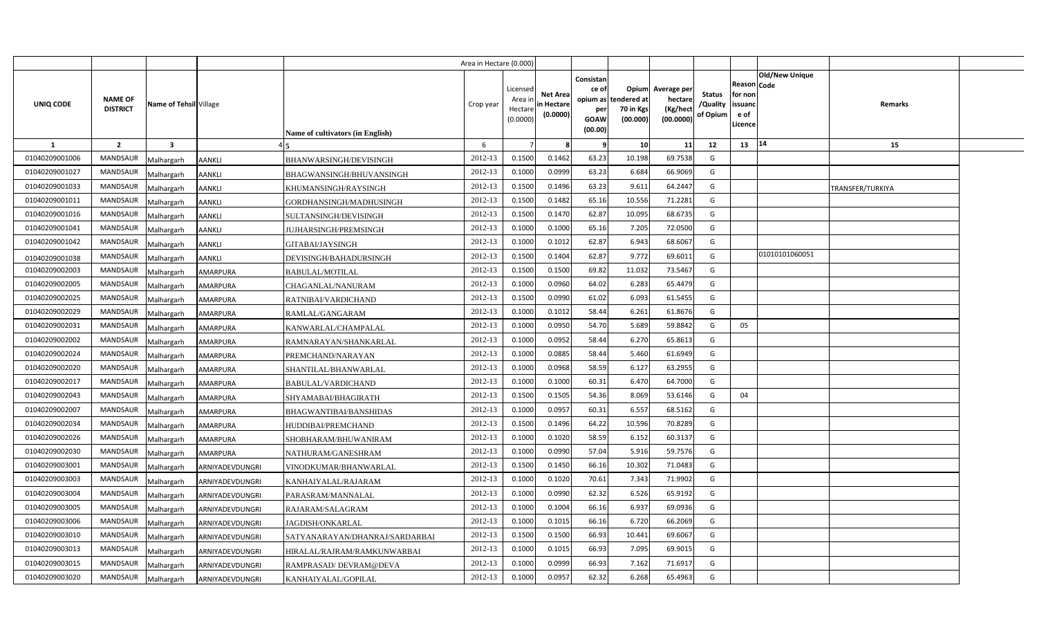|                |                                   |                         |                 |                                  | Area in Hectare (0.000) |                                            |                                           |                                                                 |                                                      |                                                 |                                       |                                                      |                       |                  |  |
|----------------|-----------------------------------|-------------------------|-----------------|----------------------------------|-------------------------|--------------------------------------------|-------------------------------------------|-----------------------------------------------------------------|------------------------------------------------------|-------------------------------------------------|---------------------------------------|------------------------------------------------------|-----------------------|------------------|--|
| UNIQ CODE      | <b>NAME OF</b><br><b>DISTRICT</b> | Name of Tehsil Village  |                 | Name of cultivators (in English) | Crop year               | Licensed<br>Area in<br>Hectare<br>(0.0000) | <b>Net Area</b><br>in Hectare<br>(0.0000) | Consistan<br>ce of<br>opium as<br>per<br><b>GOAW</b><br>(00.00) | <b>Opium</b><br>tendered at<br>70 in Kgs<br>(00.000) | Average per<br>hectare<br>(Kg/hect<br>(00.0000) | <b>Status</b><br>/Quality<br>of Opium | Reason Code<br>for non<br>issuand<br>e of<br>Licence | <b>Old/New Unique</b> | Remarks          |  |
| -1             | $\overline{2}$                    | $\overline{\mathbf{3}}$ |                 |                                  | 6                       |                                            |                                           |                                                                 | 10                                                   | 11                                              | 12                                    | 13                                                   | 14                    | 15               |  |
| 01040209001006 | <b>MANDSAUR</b>                   | Malhargarh              | <b>AANKLI</b>   | BHANWARSINGH/DEVISINGH           | 2012-13                 | 0.1500                                     | 0.1462                                    | 63.23                                                           | 10.198                                               | 69.7538                                         | G                                     |                                                      |                       |                  |  |
| 01040209001027 | <b>MANDSAUR</b>                   | Malhargarh              | <b>AANKLI</b>   | BHAGWANSINGH/BHUVANSINGH         | 2012-13                 | 0.1000                                     | 0.0999                                    | 63.23                                                           | 6.684                                                | 66.9069                                         | G                                     |                                                      |                       |                  |  |
| 01040209001033 | <b>MANDSAUR</b>                   | Malhargarh              | <b>AANKLI</b>   | KHUMANSINGH/RAYSINGH             | 2012-13                 | 0.1500                                     | 0.1496                                    | 63.23                                                           | 9.611                                                | 64.2447                                         | G                                     |                                                      |                       | TRANSFER/TURKIYA |  |
| 01040209001011 | <b>MANDSAUR</b>                   | Malhargarh              | <b>AANKLI</b>   | GORDHANSINGH/MADHUSINGH          | 2012-13                 | 0.1500                                     | 0.1482                                    | 65.16                                                           | 10.556                                               | 71.2281                                         | G                                     |                                                      |                       |                  |  |
| 01040209001016 | <b>MANDSAUR</b>                   | Malhargarh              | <b>AANKLI</b>   | SULTANSINGH/DEVISINGH            | 2012-13                 | 0.1500                                     | 0.1470                                    | 62.87                                                           | 10.095                                               | 68.6735                                         | G                                     |                                                      |                       |                  |  |
| 01040209001041 | <b>MANDSAUR</b>                   | Malhargarh              | <b>AANKLI</b>   | <b>JUJHARSINGH/PREMSINGH</b>     | 2012-13                 | 0.100C                                     | 0.1000                                    | 65.16                                                           | 7.205                                                | 72.0500                                         | G                                     |                                                      |                       |                  |  |
| 01040209001042 | <b>MANDSAUR</b>                   | Malhargarh              | <b>AANKLI</b>   | GITABAI/JAYSINGH                 | 2012-13                 | 0.1000                                     | 0.1012                                    | 62.87                                                           | 6.943                                                | 68.6067                                         | G                                     |                                                      |                       |                  |  |
| 01040209001038 | <b>MANDSAUR</b>                   | Malhargarh              | <b>AANKLI</b>   | DEVISINGH/BAHADURSINGH           | 2012-13                 | 0.1500                                     | 0.1404                                    | 62.87                                                           | 9.772                                                | 69.6011                                         | G                                     |                                                      | 01010101060051        |                  |  |
| 01040209002003 | <b>MANDSAUR</b>                   | Malhargarh              | AMARPURA        | <b>BABULAL/MOTILAL</b>           | 2012-13                 | 0.1500                                     | 0.1500                                    | 69.82                                                           | 11.032                                               | 73.5467                                         | G                                     |                                                      |                       |                  |  |
| 01040209002005 | <b>MANDSAUR</b>                   | Malhargarh              | <b>AMARPURA</b> | CHAGANLAL/NANURAM                | 2012-13                 | 0.1000                                     | 0.0960                                    | 64.02                                                           | 6.283                                                | 65.4479                                         | G                                     |                                                      |                       |                  |  |
| 01040209002025 | <b>MANDSAUR</b>                   | Malhargarh              | <b>AMARPURA</b> | RATNIBAI/VARDICHAND              | 2012-13                 | 0.1500                                     | 0.0990                                    | 61.02                                                           | 6.093                                                | 61.5455                                         | G                                     |                                                      |                       |                  |  |
| 01040209002029 | <b>MANDSAUR</b>                   | Malhargarh              | <b>AMARPURA</b> | RAMLAL/GANGARAM                  | 2012-13                 | 0.1000                                     | 0.1012                                    | 58.44                                                           | 6.261                                                | 61.8676                                         | G                                     |                                                      |                       |                  |  |
| 01040209002031 | <b>MANDSAUR</b>                   | Malhargarh              | <b>AMARPURA</b> | KANWARLAL/CHAMPALAL              | 2012-13                 | 0.1000                                     | 0.0950                                    | 54.70                                                           | 5.689                                                | 59.8842                                         | G                                     | 05                                                   |                       |                  |  |
| 01040209002002 | <b>MANDSAUR</b>                   | Malhargarh              | <b>AMARPURA</b> | RAMNARAYAN/SHANKARLAL            | 2012-13                 | 0.1000                                     | 0.0952                                    | 58.44                                                           | 6.270                                                | 65.8613                                         | G                                     |                                                      |                       |                  |  |
| 01040209002024 | <b>MANDSAUR</b>                   | Malhargarh              | AMARPURA        | PREMCHAND/NARAYAN                | 2012-13                 | 0.1000                                     | 0.0885                                    | 58.44                                                           | 5.460                                                | 61.6949                                         | G                                     |                                                      |                       |                  |  |
| 01040209002020 | <b>MANDSAUR</b>                   | Malhargarh              | AMARPURA        | SHANTILAL/BHANWARLAL             | 2012-13                 | 0.1000                                     | 0.0968                                    | 58.59                                                           | 6.127                                                | 63.2955                                         | G                                     |                                                      |                       |                  |  |
| 01040209002017 | <b>MANDSAUR</b>                   | Malhargarh              | AMARPURA        | BABULAL/VARDICHAND               | 2012-13                 | 0.1000                                     | 0.1000                                    | 60.31                                                           | 6.470                                                | 64.7000                                         | G                                     |                                                      |                       |                  |  |
| 01040209002043 | <b>MANDSAUR</b>                   | Malhargarh              | <b>AMARPURA</b> | SHYAMABAI/BHAGIRATH              | 2012-13                 | 0.1500                                     | 0.1505                                    | 54.36                                                           | 8.069                                                | 53.6146                                         | G                                     | 04                                                   |                       |                  |  |
| 01040209002007 | <b>MANDSAUR</b>                   | Malhargarh              | <b>AMARPURA</b> | BHAGWANTIBAI/BANSHIDAS           | 2012-13                 | 0.1000                                     | 0.0957                                    | 60.31                                                           | 6.557                                                | 68.5162                                         | G                                     |                                                      |                       |                  |  |
| 01040209002034 | <b>MANDSAUR</b>                   | Malhargarh              | AMARPURA        | HUDDIBAI/PREMCHAND               | 2012-13                 | 0.1500                                     | 0.1496                                    | 64.22                                                           | 10.596                                               | 70.8289                                         | G                                     |                                                      |                       |                  |  |
| 01040209002026 | <b>MANDSAUR</b>                   | Malhargarh              | AMARPURA        | SHOBHARAM/BHUWANIRAM             | 2012-13                 | 0.1000                                     | 0.1020                                    | 58.59                                                           | 6.152                                                | 60.3137                                         | G                                     |                                                      |                       |                  |  |
| 01040209002030 | <b>MANDSAUR</b>                   | Malhargarh              | <b>AMARPURA</b> | NATHURAM/GANESHRAM               | 2012-13                 | 0.1000                                     | 0.0990                                    | 57.04                                                           | 5.916                                                | 59.7576                                         | G                                     |                                                      |                       |                  |  |
| 01040209003001 | <b>MANDSAUR</b>                   | Malhargarh              | ARNIYADEVDUNGRI | VINODKUMAR/BHANWARLAL            | 2012-13                 | 0.1500                                     | 0.1450                                    | 66.16                                                           | 10.302                                               | 71.0483                                         | G                                     |                                                      |                       |                  |  |
| 01040209003003 | <b>MANDSAUR</b>                   | Malhargarh              | ARNIYADEVDUNGRI | KANHAIYALAL/RAJARAM              | 2012-13                 | 0.1000                                     | 0.1020                                    | 70.61                                                           | 7.343                                                | 71.9902                                         | G                                     |                                                      |                       |                  |  |
| 01040209003004 | <b>MANDSAUR</b>                   | Malhargarh              | ARNIYADEVDUNGRI | PARASRAM/MANNALAL                | 2012-13                 | 0.1000                                     | 0.0990                                    | 62.32                                                           | 6.526                                                | 65.9192                                         | G                                     |                                                      |                       |                  |  |
| 01040209003005 | <b>MANDSAUR</b>                   | Malhargarh              | ARNIYADEVDUNGRI | RAJARAM/SALAGRAM                 | 2012-13                 | 0.1000                                     | 0.1004                                    | 66.16                                                           | 6.937                                                | 69.0936                                         | G                                     |                                                      |                       |                  |  |
| 01040209003006 | <b>MANDSAUR</b>                   | Malhargarh              | ARNIYADEVDUNGRI | JAGDISH/ONKARLAL                 | 2012-13                 | 0.1000                                     | 0.1015                                    | 66.16                                                           | 6.720                                                | 66.2069                                         | G                                     |                                                      |                       |                  |  |
| 01040209003010 | <b>MANDSAUR</b>                   | Malhargarh              | ARNIYADEVDUNGRI | SATYANARAYAN/DHANRAJ/SARDARBAI   | 2012-13                 | 0.1500                                     | 0.1500                                    | 66.93                                                           | 10.441                                               | 69.6067                                         | G                                     |                                                      |                       |                  |  |
| 01040209003013 | <b>MANDSAUR</b>                   | Malhargarh              | ARNIYADEVDUNGRI | HIRALAL/RAJRAM/RAMKUNWARBAI      | 2012-13                 | 0.1000                                     | 0.1015                                    | 66.93                                                           | 7.095                                                | 69.9015                                         | G                                     |                                                      |                       |                  |  |
| 01040209003015 | <b>MANDSAUR</b>                   | Malhargarh              | ARNIYADEVDUNGRI | RAMPRASAD/ DEVRAM@DEVA           | 2012-13                 | 0.1000                                     | 0.0999                                    | 66.93                                                           | 7.162                                                | 71.6917                                         | G                                     |                                                      |                       |                  |  |
| 01040209003020 | <b>MANDSAUR</b>                   | Malhargarh              | ARNIYADEVDUNGRI | KANHAIYALAL/GOPILAL              | 2012-13                 | 0.1000                                     | 0.0957                                    | 62.32                                                           | 6.268                                                | 65.4963                                         | G                                     |                                                      |                       |                  |  |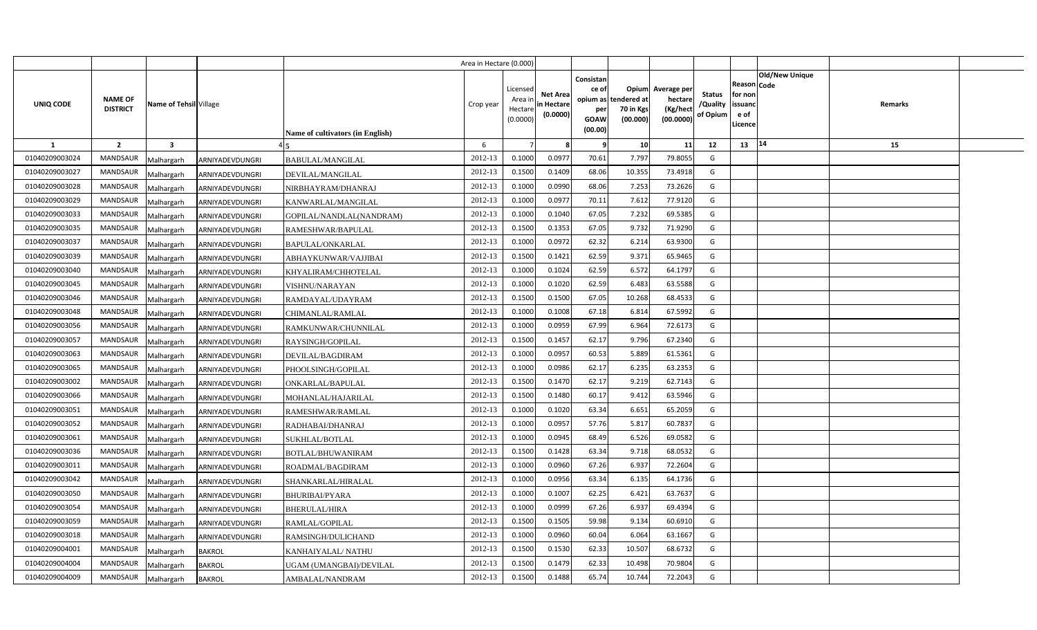|                |                                                             |                 |                                  | Area in Hectare (0.000) |                                            |                                           |                                                     |                                                        |                                                 |                                       |                                                                               |         |  |
|----------------|-------------------------------------------------------------|-----------------|----------------------------------|-------------------------|--------------------------------------------|-------------------------------------------|-----------------------------------------------------|--------------------------------------------------------|-------------------------------------------------|---------------------------------------|-------------------------------------------------------------------------------|---------|--|
| UNIQ CODE      | <b>NAME OF</b><br>Name of Tehsil Village<br><b>DISTRICT</b> |                 | Name of cultivators (in English) | Crop year               | Licensed<br>Area ir<br>Hectare<br>(0.0000) | <b>Net Area</b><br>in Hectare<br>(0.0000) | Consistan<br>ce of<br>per<br><b>GOAW</b><br>(00.00) | Opium<br>opium as tendered at<br>70 in Kgs<br>(00.000) | Average per<br>hectare<br>(Kg/hect<br>(00.0000) | <b>Status</b><br>/Quality<br>of Opium | <b>Old/New Unique</b><br>Reason Code<br>for non<br>issuanc<br>e of<br>.icence | Remarks |  |
| 1              | $\overline{2}$<br>$\overline{\mathbf{3}}$                   |                 |                                  | 6                       |                                            |                                           | -9                                                  | 10                                                     | 11                                              | 12                                    | 14<br>13                                                                      | 15      |  |
| 01040209003024 | <b>MANDSAUR</b><br>Malhargarh                               | ARNIYADEVDUNGRI | BABULAL/MANGILAL                 | 2012-13                 | 0.1000                                     | 0.0977                                    | 70.61                                               | 7.797                                                  | 79.8055                                         | G                                     |                                                                               |         |  |
| 01040209003027 | <b>MANDSAUR</b><br>Malhargarh                               | ARNIYADEVDUNGRI | DEVILAL/MANGILAL                 | 2012-13                 | 0.1500                                     | 0.1409                                    | 68.06                                               | 10.355                                                 | 73.4918                                         | G                                     |                                                                               |         |  |
| 01040209003028 | <b>MANDSAUR</b><br>Malhargarh                               | ARNIYADEVDUNGRI | NIRBHAYRAM/DHANRAJ               | 2012-13                 | 0.1000                                     | 0.0990                                    | 68.06                                               | 7.253                                                  | 73.2626                                         | G                                     |                                                                               |         |  |
| 01040209003029 | <b>MANDSAUR</b><br>Malhargarh                               | ARNIYADEVDUNGRI | KANWARLAL/MANGILAL               | 2012-13                 | 0.1000                                     | 0.0977                                    | 70.11                                               | 7.612                                                  | 77.9120                                         | G                                     |                                                                               |         |  |
| 01040209003033 | MANDSAUR<br>Malhargarh                                      | ARNIYADEVDUNGRI | GOPILAL/NANDLAL(NANDRAM)         | 2012-13                 | 0.1000                                     | 0.1040                                    | 67.05                                               | 7.232                                                  | 69.5385                                         | G                                     |                                                                               |         |  |
| 01040209003035 | <b>MANDSAUR</b><br>Malhargarh                               | ARNIYADEVDUNGRI | RAMESHWAR/BAPULAL                | 2012-13                 | 0.1500                                     | 0.1353                                    | 67.05                                               | 9.732                                                  | 71.9290                                         | G                                     |                                                                               |         |  |
| 01040209003037 | MANDSAUR<br>Malhargarh                                      | ARNIYADEVDUNGRI | BAPULAL/ONKARLAL                 | 2012-13                 | 0.1000                                     | 0.0972                                    | 62.32                                               | 6.214                                                  | 63.9300                                         | G                                     |                                                                               |         |  |
| 01040209003039 | <b>MANDSAUR</b><br>Malhargarh                               | ARNIYADEVDUNGRI | ABHAYKUNWAR/VAJJIBAI             | 2012-13                 | 0.1500                                     | 0.1421                                    | 62.59                                               | 9.371                                                  | 65.9465                                         | G                                     |                                                                               |         |  |
| 01040209003040 | <b>MANDSAUR</b><br>Malhargarh                               | ARNIYADEVDUNGRI | KHYALIRAM/CHHOTELAL              | 2012-13                 | 0.1000                                     | 0.1024                                    | 62.59                                               | 6.572                                                  | 64.1797                                         | G                                     |                                                                               |         |  |
| 01040209003045 | MANDSAUR<br>Malhargarh                                      | ARNIYADEVDUNGRI | VISHNU/NARAYAN                   | 2012-13                 | 0.1000                                     | 0.1020                                    | 62.59                                               | 6.483                                                  | 63.5588                                         | G                                     |                                                                               |         |  |
| 01040209003046 | <b>MANDSAUR</b><br>Malhargarh                               | ARNIYADEVDUNGRI | RAMDAYAL/UDAYRAM                 | 2012-13                 | 0.1500                                     | 0.1500                                    | 67.05                                               | 10.268                                                 | 68.4533                                         | G                                     |                                                                               |         |  |
| 01040209003048 | MANDSAUR<br>Malhargarh                                      | ARNIYADEVDUNGRI | CHIMANLAL/RAMLAL                 | 2012-13                 | 0.1000                                     | 0.1008                                    | 67.18                                               | 6.814                                                  | 67.5992                                         | G                                     |                                                                               |         |  |
| 01040209003056 | <b>MANDSAUR</b><br>Malhargarh                               | ARNIYADEVDUNGRI | RAMKUNWAR/CHUNNILAL              | 2012-13                 | 0.1000                                     | 0.0959                                    | 67.99                                               | 6.964                                                  | 72.6173                                         | G                                     |                                                                               |         |  |
| 01040209003057 | <b>MANDSAUR</b><br>Malhargarh                               | ARNIYADEVDUNGRI | RAYSINGH/GOPILAL                 | 2012-13                 | 0.1500                                     | 0.1457                                    | 62.17                                               | 9.796                                                  | 67.2340                                         | G                                     |                                                                               |         |  |
| 01040209003063 | MANDSAUR<br>Malhargarh                                      | ARNIYADEVDUNGRI | DEVILAL/BAGDIRAM                 | 2012-13                 | 0.1000                                     | 0.0957                                    | 60.53                                               | 5.889                                                  | 61.5361                                         | G                                     |                                                                               |         |  |
| 01040209003065 | <b>MANDSAUR</b><br>Malhargarh                               | ARNIYADEVDUNGRI | PHOOLSINGH/GOPILAL               | 2012-13                 | 0.1000                                     | 0.0986                                    | 62.17                                               | 6.235                                                  | 63.2353                                         | G                                     |                                                                               |         |  |
| 01040209003002 | <b>MANDSAUR</b><br>Malhargarh                               | ARNIYADEVDUNGRI | ONKARLAL/BAPULAL                 | 2012-13                 | 0.1500                                     | 0.1470                                    | 62.17                                               | 9.219                                                  | 62.7143                                         | G                                     |                                                                               |         |  |
| 01040209003066 | <b>MANDSAUR</b><br>Malhargarh                               | ARNIYADEVDUNGRI | MOHANLAL/HAJARILAL               | 2012-13                 | 0.1500                                     | 0.1480                                    | 60.17                                               | 9.412                                                  | 63.5946                                         | G                                     |                                                                               |         |  |
| 01040209003051 | <b>MANDSAUR</b><br>Malhargarh                               | ARNIYADEVDUNGRI | RAMESHWAR/RAMLAL                 | 2012-13                 | 0.1000                                     | 0.1020                                    | 63.34                                               | 6.651                                                  | 65.2059                                         | G                                     |                                                                               |         |  |
| 01040209003052 | <b>MANDSAUR</b><br>Malhargarh                               | ARNIYADEVDUNGRI | RADHABAI/DHANRAJ                 | 2012-13                 | 0.1000                                     | 0.0957                                    | 57.76                                               | 5.817                                                  | 60.7837                                         | G                                     |                                                                               |         |  |
| 01040209003061 | <b>MANDSAUR</b><br>Malhargarh                               | ARNIYADEVDUNGRI | SUKHLAL/BOTLAL                   | 2012-13                 | 0.1000                                     | 0.0945                                    | 68.49                                               | 6.526                                                  | 69.0582                                         | G                                     |                                                                               |         |  |
| 01040209003036 | MANDSAUR<br>Malhargarh                                      | ARNIYADEVDUNGRI | BOTLAL/BHUWANIRAM                | 2012-13                 | 0.1500                                     | 0.1428                                    | 63.34                                               | 9.718                                                  | 68.0532                                         | G                                     |                                                                               |         |  |
| 01040209003011 | <b>MANDSAUR</b><br>Malhargarh                               | ARNIYADEVDUNGRI | ROADMAL/BAGDIRAM                 | 2012-13                 | 0.1000                                     | 0.0960                                    | 67.26                                               | 6.937                                                  | 72.2604                                         | G                                     |                                                                               |         |  |
| 01040209003042 | MANDSAUR<br>Malhargarh                                      | ARNIYADEVDUNGRI | SHANKARLAL/HIRALAL               | 2012-13                 | 0.1000                                     | 0.0956                                    | 63.34                                               | 6.135                                                  | 64.1736                                         | G                                     |                                                                               |         |  |
| 01040209003050 | <b>MANDSAUR</b><br>Malhargarh                               | ARNIYADEVDUNGRI | BHURIBAI/PYARA                   | 2012-13                 | 0.1000                                     | 0.1007                                    | 62.25                                               | 6.421                                                  | 63.7637                                         | G                                     |                                                                               |         |  |
| 01040209003054 | <b>MANDSAUR</b><br>Malhargarh                               | ARNIYADEVDUNGRI | BHERULAL/HIRA                    | 2012-13                 | 0.1000                                     | 0.0999                                    | 67.26                                               | 6.937                                                  | 69.4394                                         | G                                     |                                                                               |         |  |
| 01040209003059 | MANDSAUR<br>Malhargarh                                      | ARNIYADEVDUNGRI | RAMLAL/GOPILAL                   | 2012-13                 | 0.1500                                     | 0.1505                                    | 59.98                                               | 9.134                                                  | 60.691                                          | G                                     |                                                                               |         |  |
| 01040209003018 | MANDSAUR<br>Malhargarh                                      | ARNIYADEVDUNGRI | RAMSINGH/DULICHAND               | 2012-13                 | 0.1000                                     | 0.0960                                    | 60.04                                               | 6.064                                                  | 63.1667                                         | G                                     |                                                                               |         |  |
| 01040209004001 | MANDSAUR<br>Malhargarh                                      | <b>BAKROL</b>   | KANHAIYALAL/ NATHU               | 2012-13                 | 0.1500                                     | 0.1530                                    | 62.33                                               | 10.507                                                 | 68.6732                                         | G                                     |                                                                               |         |  |
| 01040209004004 | MANDSAUR<br>Malhargarh                                      | <b>BAKROL</b>   | UGAM (UMANGBAI)/DEVILAL          | 2012-13                 | 0.1500                                     | 0.1479                                    | 62.33                                               | 10.498                                                 | 70.9804                                         | G                                     |                                                                               |         |  |
| 01040209004009 | MANDSAUR<br>Malhargarh                                      | <b>BAKROL</b>   | AMBALAL/NANDRAM                  | 2012-13                 | 0.1500                                     | 0.1488                                    | 65.74                                               | 10.744                                                 | 72.2043                                         | G                                     |                                                                               |         |  |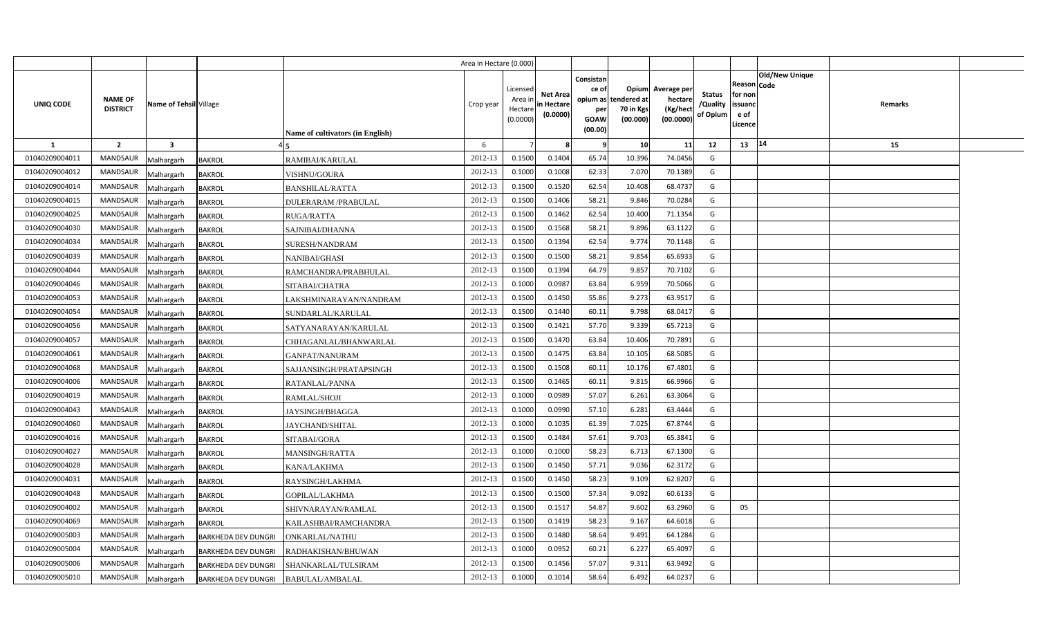|                |                                   |                                          |                                         | Area in Hectare (0.000) |                                            |                                           |                                                                 |                                                      |                                                 |                                       |                                                      |                |         |  |
|----------------|-----------------------------------|------------------------------------------|-----------------------------------------|-------------------------|--------------------------------------------|-------------------------------------------|-----------------------------------------------------------------|------------------------------------------------------|-------------------------------------------------|---------------------------------------|------------------------------------------------------|----------------|---------|--|
| UNIQ CODE      | <b>NAME OF</b><br><b>DISTRICT</b> | Name of Tehsil Village                   | <b>Name of cultivators (in English)</b> | Crop year               | Licensed<br>Area ir<br>Hectare<br>(0.0000) | <b>Net Area</b><br>in Hectare<br>(0.0000) | Consistan<br>ce of<br>opium as<br>per<br><b>GOAW</b><br>(00.00) | <b>Opium</b><br>tendered at<br>70 in Kgs<br>(00.000) | Average per<br>hectare<br>(Kg/hect<br>(00.0000) | <b>Status</b><br>/Quality<br>of Opium | Reason Code<br>for non<br>issuanc<br>e of<br>Licence | Old/New Unique | Remarks |  |
| 1              | $\overline{2}$                    | $\overline{\mathbf{3}}$                  |                                         | 6                       |                                            |                                           | - 9                                                             | 10                                                   | 11                                              | 12                                    | 13                                                   | 14             | 15      |  |
| 01040209004011 | <b>MANDSAUR</b>                   | <b>BAKROL</b><br>Malhargarh              | RAMIBAI/KARULAL                         | 2012-13                 | 0.1500                                     | 0.1404                                    | 65.74                                                           | 10.396                                               | 74.0456                                         | G                                     |                                                      |                |         |  |
| 01040209004012 | MANDSAUR                          | Malhargarh<br><b>BAKROL</b>              | VISHNU/GOURA                            | 2012-13                 | 0.1000                                     | 0.1008                                    | 62.33                                                           | 7.070                                                | 70.1389                                         | G                                     |                                                      |                |         |  |
| 01040209004014 | <b>MANDSAUR</b>                   | Malhargarh<br><b>BAKROL</b>              | <b>BANSHILAL/RATTA</b>                  | 2012-13                 | 0.1500                                     | 0.1520                                    | 62.54                                                           | 10.408                                               | 68.4737                                         | G                                     |                                                      |                |         |  |
| 01040209004015 | <b>MANDSAUR</b>                   | Malhargarh<br><b>BAKROL</b>              | DULERARAM /PRABULAL                     | 2012-13                 | 0.1500                                     | 0.1406                                    | 58.21                                                           | 9.846                                                | 70.0284                                         | G                                     |                                                      |                |         |  |
| 01040209004025 | <b>MANDSAUR</b>                   | Malhargarh<br><b>BAKROL</b>              | RUGA/RATTA                              | 2012-13                 | 0.1500                                     | 0.1462                                    | 62.54                                                           | 10.400                                               | 71.1354                                         | G                                     |                                                      |                |         |  |
| 01040209004030 | <b>MANDSAUR</b>                   | Malhargarh<br><b>BAKROL</b>              | SAJNIBAI/DHANNA                         | 2012-13                 | 0.1500                                     | 0.1568                                    | 58.21                                                           | 9.896                                                | 63.1122                                         | G                                     |                                                      |                |         |  |
| 01040209004034 | <b>MANDSAUR</b>                   | Malhargarh<br><b>BAKROL</b>              | SURESH/NANDRAM                          | 2012-13                 | 0.1500                                     | 0.1394                                    | 62.54                                                           | 9.774                                                | 70.1148                                         | G                                     |                                                      |                |         |  |
| 01040209004039 | <b>MANDSAUR</b>                   | Malhargarh<br><b>BAKROL</b>              | NANIBAI/GHASI                           | 2012-13                 | 0.1500                                     | 0.1500                                    | 58.21                                                           | 9.854                                                | 65.6933                                         | G                                     |                                                      |                |         |  |
| 01040209004044 | MANDSAUR                          | Malhargarh<br><b>BAKROL</b>              | RAMCHANDRA/PRABHULAL                    | 2012-13                 | 0.1500                                     | 0.1394                                    | 64.79                                                           | 9.857                                                | 70.7102                                         | G                                     |                                                      |                |         |  |
| 01040209004046 | <b>MANDSAUR</b>                   | Malhargarh<br><b>BAKROL</b>              | SITABAI/CHATRA                          | 2012-13                 | 0.1000                                     | 0.098                                     | 63.84                                                           | 6.959                                                | 70.5066                                         | G                                     |                                                      |                |         |  |
| 01040209004053 | <b>MANDSAUR</b>                   | Malhargarh<br><b>BAKROL</b>              | LAKSHMINARAYAN/NANDRAM                  | 2012-13                 | 0.1500                                     | 0.1450                                    | 55.86                                                           | 9.273                                                | 63.9517                                         | G                                     |                                                      |                |         |  |
| 01040209004054 | <b>MANDSAUR</b>                   | Malhargarh<br><b>BAKROL</b>              | SUNDARLAL/KARULAL                       | 2012-13                 | 0.1500                                     | 0.1440                                    | 60.11                                                           | 9.798                                                | 68.0417                                         | G                                     |                                                      |                |         |  |
| 01040209004056 | MANDSAUR                          | Malhargarh<br><b>BAKROL</b>              | SATYANARAYAN/KARULAL                    | 2012-13                 | 0.1500                                     | 0.1421                                    | 57.70                                                           | 9.339                                                | 65.7213                                         | G                                     |                                                      |                |         |  |
| 01040209004057 | MANDSAUR                          | Malhargarh<br><b>BAKROL</b>              | CHHAGANLAL/BHANWARLAL                   | 2012-13                 | 0.1500                                     | 0.1470                                    | 63.84                                                           | 10.406                                               | 70.7891                                         | G                                     |                                                      |                |         |  |
| 01040209004061 | MANDSAUR                          | Malhargarh<br><b>BAKROL</b>              | <b>GANPAT/NANURAM</b>                   | 2012-13                 | 0.1500                                     | 0.1475                                    | 63.84                                                           | 10.105                                               | 68.5085                                         | G                                     |                                                      |                |         |  |
| 01040209004068 | MANDSAUR                          | Malhargarh<br><b>BAKROL</b>              | SAJJANSINGH/PRATAPSINGH                 | 2012-13                 | 0.1500                                     | 0.1508                                    | 60.11                                                           | 10.176                                               | 67.4801                                         | G                                     |                                                      |                |         |  |
| 01040209004006 | MANDSAUR                          | Malhargarh<br><b>BAKROL</b>              | RATANLAL/PANNA                          | 2012-13                 | 0.1500                                     | 0.1465                                    | 60.11                                                           | 9.815                                                | 66.9966                                         | G                                     |                                                      |                |         |  |
| 01040209004019 | MANDSAUR                          | Malhargarh<br><b>BAKROL</b>              | RAMLAL/SHOJI                            | 2012-13                 | 0.1000                                     | 0.0989                                    | 57.07                                                           | 6.261                                                | 63.3064                                         | G                                     |                                                      |                |         |  |
| 01040209004043 | MANDSAUR                          | Malhargarh<br><b>BAKROL</b>              | JAYSINGH/BHAGGA                         | 2012-13                 | 0.1000                                     | 0.0990                                    | 57.10                                                           | 6.281                                                | 63.4444                                         | G                                     |                                                      |                |         |  |
| 01040209004060 | <b>MANDSAUR</b>                   | Malhargarh<br><b>BAKROL</b>              | JAYCHAND/SHITAL                         | 2012-13                 | 0.1000                                     | 0.1035                                    | 61.39                                                           | 7.025                                                | 67.8744                                         | G                                     |                                                      |                |         |  |
| 01040209004016 | <b>MANDSAUR</b>                   | Malhargarh<br><b>BAKROL</b>              | SITABAI/GORA                            | 2012-13                 | 0.1500                                     | 0.1484                                    | 57.61                                                           | 9.703                                                | 65.3841                                         | G                                     |                                                      |                |         |  |
| 01040209004027 | MANDSAUR                          | Malhargarh<br><b>BAKROL</b>              | <b>MANSINGH/RATTA</b>                   | 2012-13                 | 0.1000                                     | 0.1000                                    | 58.23                                                           | 6.713                                                | 67.1300                                         | G                                     |                                                      |                |         |  |
| 01040209004028 | <b>MANDSAUR</b>                   | Malhargarh<br><b>BAKROL</b>              | KANA/LAKHMA                             | 2012-13                 | 0.1500                                     | 0.1450                                    | 57.71                                                           | 9.036                                                | 62.3172                                         | G                                     |                                                      |                |         |  |
| 01040209004031 | MANDSAUR                          | Malhargarh<br><b>BAKROL</b>              | RAYSINGH/LAKHMA                         | 2012-13                 | 0.1500                                     | 0.1450                                    | 58.23                                                           | 9.109                                                | 62.8207                                         | G                                     |                                                      |                |         |  |
| 01040209004048 | <b>MANDSAUR</b>                   | Malhargarh<br><b>BAKROL</b>              | GOPILAL/LAKHMA                          | 2012-13                 | 0.1500                                     | 0.1500                                    | 57.34                                                           | 9.092                                                | 60.6133                                         | G                                     |                                                      |                |         |  |
| 01040209004002 | <b>MANDSAUR</b>                   | Malhargarh<br><b>BAKROL</b>              | SHIVNARAYAN/RAMLAL                      | 2012-13                 | 0.1500                                     | 0.151                                     | 54.87                                                           | 9.602                                                | 63.2960                                         | G                                     | 05                                                   |                |         |  |
| 01040209004069 | <b>MANDSAUR</b>                   | Malhargarh<br><b>BAKROL</b>              | KAILASHBAI/RAMCHANDRA                   | 2012-13                 | 0.1500                                     | 0.1419                                    | 58.23                                                           | 9.167                                                | 64.6018                                         | G                                     |                                                      |                |         |  |
| 01040209005003 | <b>MANDSAUR</b>                   | Malhargarh<br><b>BARKHEDA DEV DUNGRI</b> | ONKARLAL/NATHU                          | 2012-13                 | 0.1500                                     | 0.1480                                    | 58.64                                                           | 9.491                                                | 64.1284                                         | G                                     |                                                      |                |         |  |
| 01040209005004 | <b>MANDSAUR</b>                   | Malhargarh<br><b>BARKHEDA DEV DUNGRI</b> | RADHAKISHAN/BHUWAN                      | 2012-13                 | 0.1000                                     | 0.0952                                    | 60.21                                                           | 6.227                                                | 65.4097                                         | G                                     |                                                      |                |         |  |
| 01040209005006 | <b>MANDSAUR</b>                   | Malhargarh<br>BARKHEDA DEV DUNGRI        | SHANKARLAL/TULSIRAM                     | 2012-13                 | 0.1500                                     | 0.1456                                    | 57.07                                                           | 9.311                                                | 63.9492                                         | G                                     |                                                      |                |         |  |
| 01040209005010 | MANDSAUR                          | Malhargarh                               | BARKHEDA DEV DUNGRI BABULAL/AMBALAL     | 2012-13                 | 0.1000                                     | 0.1014                                    | 58.64                                                           | 6.492                                                | 64.0237                                         | G                                     |                                                      |                |         |  |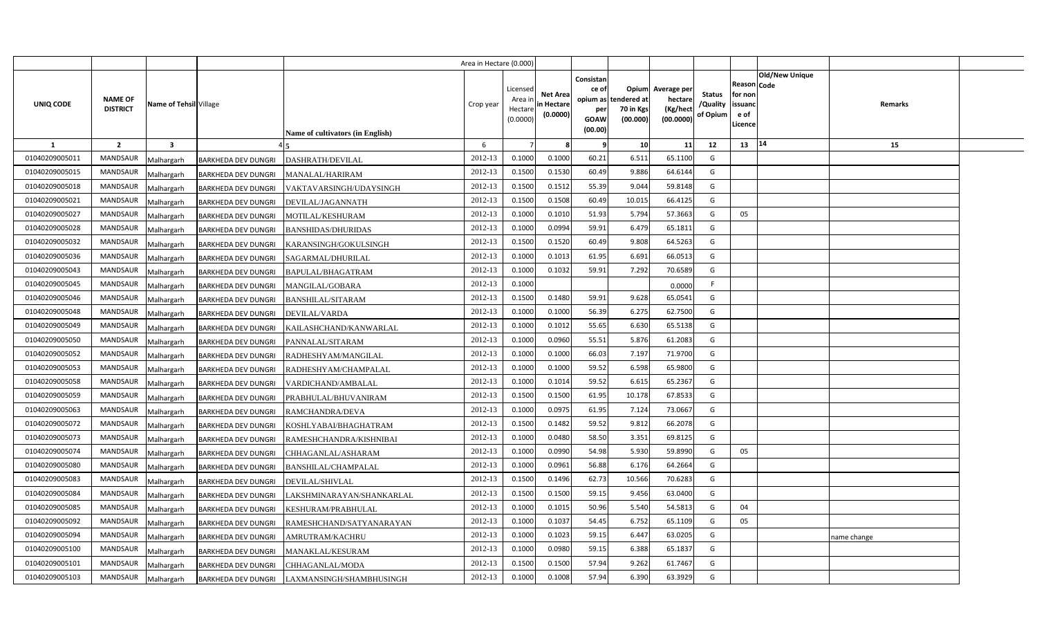|                |                                                      |                            |                                  | Area in Hectare (0.000) |                                            |                                           |                                                     |                                                        |                                                |                                       |                                                                        |             |  |
|----------------|------------------------------------------------------|----------------------------|----------------------------------|-------------------------|--------------------------------------------|-------------------------------------------|-----------------------------------------------------|--------------------------------------------------------|------------------------------------------------|---------------------------------------|------------------------------------------------------------------------|-------------|--|
| UNIQ CODE      | NAME OF<br>Name of Tehsil Village<br><b>DISTRICT</b> |                            | Name of cultivators (in English) | Crop year               | Licensed<br>Area ir<br>Hectare<br>(0.0000) | <b>Net Area</b><br>in Hectare<br>(0.0000) | Consistan<br>ce of<br>per<br><b>GOAW</b><br>(00.00) | Opium<br>opium as tendered at<br>70 in Kgs<br>(00.000) | Average per<br>hectare<br>(Kg/hec<br>(00.0000) | <b>Status</b><br>/Quality<br>of Opium | Old/New Unique<br>Reason Code<br>for non<br>issuanc<br>e of<br>Licence | Remarks     |  |
| <b>1</b>       | $\overline{2}$<br>$\overline{\mathbf{3}}$            |                            |                                  | 6                       |                                            |                                           | -9                                                  | 10                                                     | 11                                             | 12                                    | 14<br>13                                                               | 15          |  |
| 01040209005011 | <b>MANDSAUR</b><br>Malhargarh                        | BARKHEDA DEV DUNGRI        | DASHRATH/DEVILAL                 | 2012-13                 | 0.1000                                     | 0.1000                                    | 60.21                                               | 6.511                                                  | 65.1100                                        | G                                     |                                                                        |             |  |
| 01040209005015 | <b>MANDSAUR</b><br>Malhargarh                        | <b>BARKHEDA DEV DUNGRI</b> | MANALAL/HARIRAM                  | 2012-13                 | 0.1500                                     | 0.1530                                    | 60.49                                               | 9.886                                                  | 64.6144                                        | G                                     |                                                                        |             |  |
| 01040209005018 | <b>MANDSAUR</b><br>Malhargarh                        | BARKHEDA DEV DUNGRI        | VAKTAVARSINGH/UDAYSINGH          | 2012-13                 | 0.1500                                     | 0.1512                                    | 55.39                                               | 9.044                                                  | 59.8148                                        | G                                     |                                                                        |             |  |
| 01040209005021 | MANDSAUR<br>Malhargarh                               | BARKHEDA DEV DUNGRI        | DEVILAL/JAGANNATH                | 2012-13                 | 0.1500                                     | 0.1508                                    | 60.49                                               | 10.015                                                 | 66.4125                                        | G                                     |                                                                        |             |  |
| 01040209005027 | <b>MANDSAUR</b><br>Malhargarh                        | BARKHEDA DEV DUNGRI        | MOTILAL/KESHURAM                 | 2012-13                 | 0.1000                                     | 0.1010                                    | 51.93                                               | 5.794                                                  | 57.3663                                        | G                                     | 05                                                                     |             |  |
| 01040209005028 | <b>MANDSAUR</b><br>Malhargarh                        | BARKHEDA DEV DUNGRI        | <b>BANSHIDAS/DHURIDAS</b>        | 2012-13                 | 0.1000                                     | 0.0994                                    | 59.91                                               | 6.479                                                  | 65.1811                                        | G                                     |                                                                        |             |  |
| 01040209005032 | <b>MANDSAUR</b><br>Malhargarh                        | <b>BARKHEDA DEV DUNGRI</b> | KARANSINGH/GOKULSINGH            | 2012-13                 | 0.1500                                     | 0.1520                                    | 60.49                                               | 9.808                                                  | 64.5263                                        | G                                     |                                                                        |             |  |
| 01040209005036 | <b>MANDSAUR</b><br>Malhargarh                        | BARKHEDA DEV DUNGRI        | SAGARMAL/DHURILAL                | 2012-13                 | 0.1000                                     | 0.1013                                    | 61.95                                               | 6.691                                                  | 66.051                                         | G                                     |                                                                        |             |  |
| 01040209005043 | MANDSAUR<br>Malhargarh                               | BARKHEDA DEV DUNGRI        | BAPULAL/BHAGATRAM                | 2012-13                 | 0.1000                                     | 0.1032                                    | 59.91                                               | 7.292                                                  | 70.6589                                        | G                                     |                                                                        |             |  |
| 01040209005045 | MANDSAUR<br>Malhargarh                               | BARKHEDA DEV DUNGRI        | MANGILAL/GOBARA                  | 2012-13                 | 0.1000                                     |                                           |                                                     |                                                        | 0.0000                                         | F                                     |                                                                        |             |  |
| 01040209005046 | MANDSAUR<br>Malhargarh                               | BARKHEDA DEV DUNGRI        | <b>BANSHILAL/SITARAM</b>         | 2012-13                 | 0.1500                                     | 0.1480                                    | 59.91                                               | 9.628                                                  | 65.0541                                        | G                                     |                                                                        |             |  |
| 01040209005048 | <b>MANDSAUR</b><br>Malhargarh                        | <b>BARKHEDA DEV DUNGRI</b> | DEVILAL/VARDA                    | 2012-13                 | 0.1000                                     | 0.1000                                    | 56.39                                               | 6.275                                                  | 62.7500                                        | G                                     |                                                                        |             |  |
| 01040209005049 | <b>MANDSAUR</b><br>Malhargarh                        | BARKHEDA DEV DUNGRI        | KAILASHCHAND/KANWARLAL           | 2012-13                 | 0.1000                                     | 0.1012                                    | 55.65                                               | 6.630                                                  | 65.5138                                        | G                                     |                                                                        |             |  |
| 01040209005050 | <b>MANDSAUR</b><br>Malhargarh                        | BARKHEDA DEV DUNGRI        | PANNALAL/SITARAM                 | 2012-13                 | 0.1000                                     | 0.0960                                    | 55.51                                               | 5.876                                                  | 61.2083                                        | G                                     |                                                                        |             |  |
| 01040209005052 | <b>MANDSAUR</b><br>Malhargarh                        | <b>BARKHEDA DEV DUNGRI</b> | RADHESHYAM/MANGILAL              | 2012-13                 | 0.1000                                     | 0.1000                                    | 66.03                                               | 7.197                                                  | 71.9700                                        | G                                     |                                                                        |             |  |
| 01040209005053 | <b>MANDSAUR</b><br>Malhargarh                        | BARKHEDA DEV DUNGRI        | RADHESHYAM/CHAMPALAL             | 2012-13                 | 0.1000                                     | 0.1000                                    | 59.52                                               | 6.598                                                  | 65.9800                                        | G                                     |                                                                        |             |  |
| 01040209005058 | <b>MANDSAUR</b><br>Malhargarh                        | BARKHEDA DEV DUNGRI        | VARDICHAND/AMBALAL               | 2012-13                 | 0.1000                                     | 0.1014                                    | 59.52                                               | 6.615                                                  | 65.2367                                        | G                                     |                                                                        |             |  |
| 01040209005059 | <b>MANDSAUR</b><br>Malhargarh                        | BARKHEDA DEV DUNGRI        | PRABHULAL/BHUVANIRAM             | 2012-13                 | 0.1500                                     | 0.1500                                    | 61.95                                               | 10.178                                                 | 67.8533                                        | G                                     |                                                                        |             |  |
| 01040209005063 | MANDSAUR<br>Malhargarh                               | <b>BARKHEDA DEV DUNGRI</b> | RAMCHANDRA/DEVA                  | 2012-13                 | 0.1000                                     | 0.0975                                    | 61.95                                               | 7.124                                                  | 73.0667                                        | G                                     |                                                                        |             |  |
| 01040209005072 | <b>MANDSAUR</b><br>Malhargarh                        | BARKHEDA DEV DUNGRI        | KOSHLYABAI/BHAGHATRAM            | 2012-13                 | 0.1500                                     | 0.1482                                    | 59.52                                               | 9.812                                                  | 66.2078                                        | G                                     |                                                                        |             |  |
| 01040209005073 | MANDSAUR<br>Malhargarh                               | BARKHEDA DEV DUNGRI        | RAMESHCHANDRA/KISHNIBAI          | 2012-13                 | 0.1000                                     | 0.0480                                    | 58.50                                               | 3.351                                                  | 69.8125                                        | G                                     |                                                                        |             |  |
| 01040209005074 | MANDSAUR<br>Malhargarh                               | BARKHEDA DEV DUNGRI        | CHHAGANLAL/ASHARAM               | 2012-13                 | 0.1000                                     | 0.0990                                    | 54.98                                               | 5.930                                                  | 59.8990                                        | G                                     | 05                                                                     |             |  |
| 01040209005080 | <b>MANDSAUR</b><br>Malhargarh                        | BARKHEDA DEV DUNGRI        | BANSHILAL/CHAMPALAL              | 2012-13                 | 0.1000                                     | 0.0961                                    | 56.88                                               | 6.176                                                  | 64.2664                                        | G                                     |                                                                        |             |  |
| 01040209005083 | MANDSAUR<br>Malhargarh                               | BARKHEDA DEV DUNGRI        | DEVILAL/SHIVLAL                  | 2012-13                 | 0.1500                                     | 0.1496                                    | 62.73                                               | 10.566                                                 | 70.6283                                        | G                                     |                                                                        |             |  |
| 01040209005084 | MANDSAUR<br>Malhargarh                               | BARKHEDA DEV DUNGRI        | AKSHMINARAYAN/SHANKARLAL         | 2012-13                 | 0.1500                                     | 0.1500                                    | 59.15                                               | 9.456                                                  | 63.0400                                        | G                                     |                                                                        |             |  |
| 01040209005085 | MANDSAUR<br>Malhargarh                               | BARKHEDA DEV DUNGRI        | KESHURAM/PRABHULAL               | 2012-13                 | 0.1000                                     | 0.1015                                    | 50.96                                               | 5.540                                                  | 54.581                                         | G                                     | 04                                                                     |             |  |
| 01040209005092 | MANDSAUR<br>Malhargarh                               | BARKHEDA DEV DUNGRI        | RAMESHCHAND/SATYANARAYAN         | 2012-13                 | 0.1000                                     | 0.1037                                    | 54.45                                               | 6.752                                                  | 65.1109                                        | G                                     | 05                                                                     |             |  |
| 01040209005094 | MANDSAUR<br>Malhargarh                               | BARKHEDA DEV DUNGRI        | AMRUTRAM/KACHRU                  | 2012-13                 | 0.1000                                     | 0.1023                                    | 59.15                                               | 6.447                                                  | 63.0205                                        | G                                     |                                                                        | name change |  |
| 01040209005100 | MANDSAUR<br>Malhargarh                               | <b>BARKHEDA DEV DUNGRI</b> | MANAKLAL/KESURAM                 | 2012-13                 | 0.1000                                     | 0.0980                                    | 59.15                                               | 6.388                                                  | 65.1837                                        | G                                     |                                                                        |             |  |
| 01040209005101 | MANDSAUR<br>Malhargarh                               | BARKHEDA DEV DUNGRI        | CHHAGANLAL/MODA                  | 2012-13                 | 0.1500                                     | 0.1500                                    | 57.94                                               | 9.262                                                  | 61.7467                                        | G                                     |                                                                        |             |  |
| 01040209005103 | MANDSAUR<br>Malhargarh                               | <b>BARKHEDA DEV DUNGRI</b> | LAXMANSINGH/SHAMBHUSINGH         | 2012-13                 | 0.1000                                     | 0.1008                                    | 57.94                                               | 6.390                                                  | 63.3929                                        | G                                     |                                                                        |             |  |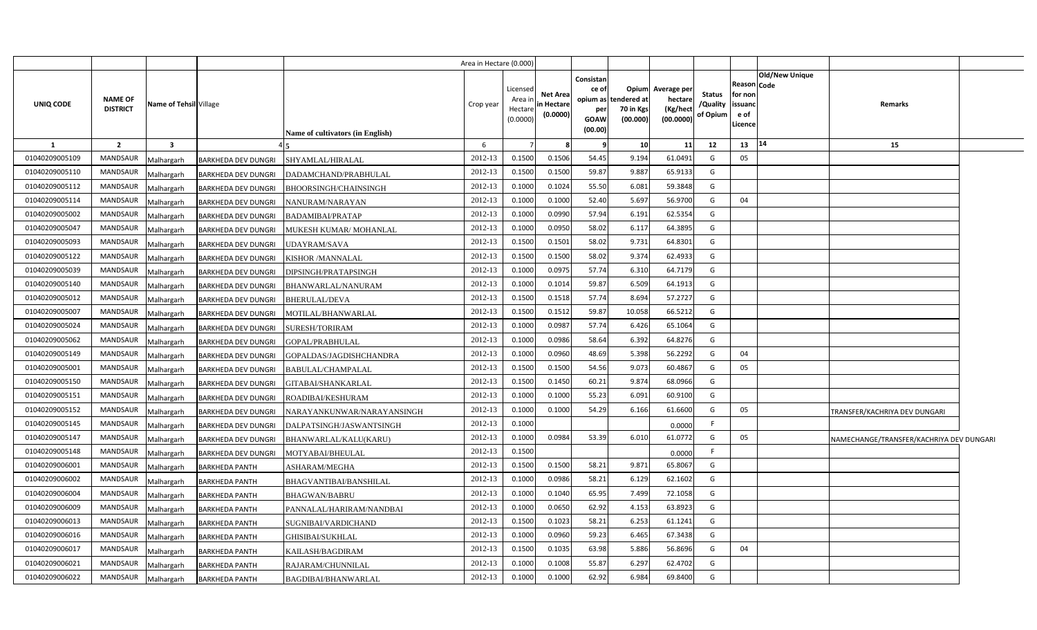|                |                                   |                         |                            |                                  | Area in Hectare (0.000) |                                           |                                           |                                                     |                                                               |                                                 |                                       |                                                      |                       |                                          |  |
|----------------|-----------------------------------|-------------------------|----------------------------|----------------------------------|-------------------------|-------------------------------------------|-------------------------------------------|-----------------------------------------------------|---------------------------------------------------------------|-------------------------------------------------|---------------------------------------|------------------------------------------------------|-----------------------|------------------------------------------|--|
| UNIQ CODE      | <b>NAME OF</b><br><b>DISTRICT</b> | Name of Tehsil Village  |                            | Name of cultivators (in English) | Crop year               | Licensed<br>Area i<br>Hectare<br>(0.0000) | <b>Net Area</b><br>in Hectare<br>(0.0000) | Consistan<br>ce of<br>per<br><b>GOAW</b><br>(00.00) | <b>Opium</b><br>opium as tendered at<br>70 in Kgs<br>(00.000) | Average per<br>hectare<br>(Kg/hect<br>(00.0000) | <b>Status</b><br>/Quality<br>of Opium | Reason Code<br>for non<br>issuanc<br>e of<br>Licence | <b>Old/New Unique</b> | Remarks                                  |  |
| -1             | $\overline{2}$                    | $\overline{\mathbf{3}}$ |                            |                                  | 6                       |                                           |                                           | ٩                                                   | 10                                                            | 11                                              | 12                                    | 13                                                   | 14                    | 15                                       |  |
| 01040209005109 | <b>MANDSAUR</b>                   | Malhargarh              | <b>BARKHEDA DEV DUNGRI</b> | SHYAMLAL/HIRALAL                 | 2012-13                 | 0.1500                                    | 0.1506                                    | 54.45                                               | 9.194                                                         | 61.0491                                         | G                                     | 05                                                   |                       |                                          |  |
| 01040209005110 | <b>MANDSAUR</b>                   | Malhargarh              | BARKHEDA DEV DUNGRI        | DADAMCHAND/PRABHULAL             | 2012-13                 | 0.1500                                    | 0.1500                                    | 59.87                                               | 9.887                                                         | 65.9133                                         | G                                     |                                                      |                       |                                          |  |
| 01040209005112 | MANDSAUR                          | Malhargarh              | BARKHEDA DEV DUNGRI        | BHOORSINGH/CHAINSINGH            | 2012-13                 | 0.1000                                    | 0.1024                                    | 55.50                                               | 6.081                                                         | 59.3848                                         | G                                     |                                                      |                       |                                          |  |
| 01040209005114 | <b>MANDSAUR</b>                   | Malhargarh              | BARKHEDA DEV DUNGRI        | NANURAM/NARAYAN                  | 2012-13                 | 0.1000                                    | 0.1000                                    | 52.40                                               | 5.697                                                         | 56.9700                                         | G                                     | 04                                                   |                       |                                          |  |
| 01040209005002 | MANDSAUR                          | Malhargarh              | <b>BARKHEDA DEV DUNGRI</b> | BADAMIBAI/PRATAP                 | 2012-13                 | 0.1000                                    | 0.0990                                    | 57.94                                               | 6.191                                                         | 62.5354                                         | G                                     |                                                      |                       |                                          |  |
| 01040209005047 | <b>MANDSAUR</b>                   | Malhargarh              | BARKHEDA DEV DUNGRI        | MUKESH KUMAR/MOHANLAL            | 2012-13                 | 0.1000                                    | 0.0950                                    | 58.02                                               | 6.117                                                         | 64.3895                                         | G                                     |                                                      |                       |                                          |  |
| 01040209005093 | <b>MANDSAUR</b>                   | Malhargarh              | BARKHEDA DEV DUNGRI        | UDAYRAM/SAVA                     | 2012-13                 | 0.1500                                    | 0.1501                                    | 58.02                                               | 9.731                                                         | 64.8301                                         | G                                     |                                                      |                       |                                          |  |
| 01040209005122 | <b>MANDSAUR</b>                   | Malhargarh              | BARKHEDA DEV DUNGRI        | <b>KISHOR /MANNALAL</b>          | 2012-13                 | 0.1500                                    | 0.1500                                    | 58.02                                               | 9.374                                                         | 62.4933                                         | G                                     |                                                      |                       |                                          |  |
| 01040209005039 | <b>MANDSAUR</b>                   | Malhargarh              | BARKHEDA DEV DUNGRI        | DIPSINGH/PRATAPSINGH             | 2012-13                 | 0.1000                                    | 0.0975                                    | 57.74                                               | 6.310                                                         | 64.7179                                         | G                                     |                                                      |                       |                                          |  |
| 01040209005140 | <b>MANDSAUR</b>                   | Malhargarh              | BARKHEDA DEV DUNGRI        | BHANWARLAL/NANURAM               | 2012-13                 | 0.1000                                    | 0.1014                                    | 59.87                                               | 6.509                                                         | 64.191                                          | G                                     |                                                      |                       |                                          |  |
| 01040209005012 | <b>MANDSAUR</b>                   | Malhargarh              | BARKHEDA DEV DUNGRI        | BHERULAL/DEVA                    | 2012-13                 | 0.1500                                    | 0.1518                                    | 57.74                                               | 8.694                                                         | 57.2727                                         | G                                     |                                                      |                       |                                          |  |
| 01040209005007 | <b>MANDSAUR</b>                   | Malhargarh              | <b>BARKHEDA DEV DUNGRI</b> | MOTILAL/BHANWARLAL               | 2012-13                 | 0.1500                                    | 0.1512                                    | 59.87                                               | 10.058                                                        | 66.521                                          | G                                     |                                                      |                       |                                          |  |
| 01040209005024 | <b>MANDSAUR</b>                   | Malhargarh              | <b>BARKHEDA DEV DUNGRI</b> | SURESH/TORIRAM                   | 2012-13                 | 0.1000                                    | 0.0987                                    | 57.74                                               | 6.426                                                         | 65.1064                                         | G                                     |                                                      |                       |                                          |  |
| 01040209005062 | MANDSAUR                          | Malhargarh              | BARKHEDA DEV DUNGRI        | GOPAL/PRABHULAL                  | 2012-13                 | 0.1000                                    | 0.0986                                    | 58.64                                               | 6.392                                                         | 64.8276                                         | G                                     |                                                      |                       |                                          |  |
| 01040209005149 | MANDSAUR                          | Malhargarh              | BARKHEDA DEV DUNGRI        | GOPALDAS/JAGDISHCHANDRA          | 2012-13                 | 0.1000                                    | 0.0960                                    | 48.69                                               | 5.398                                                         | 56.2292                                         | G                                     | 04                                                   |                       |                                          |  |
| 01040209005001 | MANDSAUR                          | Malhargarh              | <b>BARKHEDA DEV DUNGRI</b> | 3ABULAL/CHAMPALAL                | 2012-13                 | 0.1500                                    | 0.1500                                    | 54.56                                               | 9.073                                                         | 60.4867                                         | G                                     | 05                                                   |                       |                                          |  |
| 01040209005150 | MANDSAUR                          | Malhargarh              | <b>BARKHEDA DEV DUNGRI</b> | <b>;ITABAI/SHANKARLAL</b>        | 2012-13                 | 0.1500                                    | 0.1450                                    | 60.21                                               | 9.874                                                         | 68.0966                                         | G                                     |                                                      |                       |                                          |  |
| 01040209005151 | <b>MANDSAUR</b>                   | Malhargarh              | <b>BARKHEDA DEV DUNGRI</b> | ROADIBAI/KESHURAM                | 2012-13                 | 0.1000                                    | 0.1000                                    | 55.23                                               | 6.091                                                         | 60.9100                                         | G                                     |                                                      |                       |                                          |  |
| 01040209005152 | MANDSAUR                          | Malhargarh              | BARKHEDA DEV DUNGRI        | VARAYANKUNWAR/NARAYANSINGH       | 2012-13                 | 0.1000                                    | 0.1000                                    | 54.29                                               | 6.166                                                         | 61.6600                                         | G                                     | 05                                                   |                       | TRANSFER/KACHRIYA DEV DUNGARI            |  |
| 01040209005145 | <b>MANDSAUR</b>                   | Malhargarh              | <b>BARKHEDA DEV DUNGRI</b> | DALPATSINGH/JASWANTSINGH         | 2012-13                 | 0.1000                                    |                                           |                                                     |                                                               | 0.0000                                          | E                                     |                                                      |                       |                                          |  |
| 01040209005147 | <b>MANDSAUR</b>                   | Malhargarh              | BARKHEDA DEV DUNGRI        | BHANWARLAL/KALU(KARU)            | 2012-13                 | 0.1000                                    | 0.0984                                    | 53.39                                               | 6.010                                                         | 61.0772                                         | G                                     | 05                                                   |                       | NAMECHANGE/TRANSFER/KACHRIYA DEV DUNGARI |  |
| 01040209005148 | <b>MANDSAUR</b>                   | Malhargarh              | BARKHEDA DEV DUNGRI        | MOTYABAI/BHEULAL                 | 2012-13                 | 0.1500                                    |                                           |                                                     |                                                               | 0.0000                                          | -F                                    |                                                      |                       |                                          |  |
| 01040209006001 | <b>MANDSAUR</b>                   | Malhargarh              | <b>BARKHEDA PANTH</b>      | ASHARAM/MEGHA                    | 2012-13                 | 0.1500                                    | 0.1500                                    | 58.21                                               | 9.871                                                         | 65.8067                                         | G                                     |                                                      |                       |                                          |  |
| 01040209006002 | MANDSAUR                          | Malhargarh              | <b>BARKHEDA PANTH</b>      | BHAGVANTIBAI/BANSHILAL           | 2012-13                 | 0.1000                                    | 0.0986                                    | 58.21                                               | 6.129                                                         | 62.1602                                         | G                                     |                                                      |                       |                                          |  |
| 01040209006004 | <b>MANDSAUR</b>                   | Malhargarh              | <b>BARKHEDA PANTH</b>      | BHAGWAN/BABRU                    | 2012-13                 | 0.1000                                    | 0.1040                                    | 65.95                                               | 7.499                                                         | 72.1058                                         | G                                     |                                                      |                       |                                          |  |
| 01040209006009 | <b>MANDSAUR</b>                   | Malhargarh              | <b>BARKHEDA PANTH</b>      | PANNALAL/HARIRAM/NANDBAI         | 2012-13                 | 0.1000                                    | 0.0650                                    | 62.92                                               | 4.153                                                         | 63.8923                                         | G                                     |                                                      |                       |                                          |  |
| 01040209006013 | <b>MANDSAUR</b>                   | Malhargarh              | <b>BARKHEDA PANTH</b>      | SUGNIBAI/VARDICHAND              | 2012-13                 | 0.1500                                    | 0.1023                                    | 58.21                                               | 6.253                                                         | 61.1241                                         | G                                     |                                                      |                       |                                          |  |
| 01040209006016 | <b>MANDSAUR</b>                   | Malhargarh              | <b>BARKHEDA PANTH</b>      | GHISIBAI/SUKHLAL                 | 2012-13                 | 0.1000                                    | 0.0960                                    | 59.23                                               | 6.465                                                         | 67.3438                                         | G                                     |                                                      |                       |                                          |  |
| 01040209006017 | <b>MANDSAUR</b>                   | Malhargarh              | <b>BARKHEDA PANTH</b>      | KAILASH/BAGDIRAM                 | 2012-13                 | 0.1500                                    | 0.1035                                    | 63.98                                               | 5.886                                                         | 56.8696                                         | G                                     | 04                                                   |                       |                                          |  |
| 01040209006021 | <b>MANDSAUR</b>                   | Malhargarh              | <b>BARKHEDA PANTH</b>      | RAJARAM/CHUNNILAL                | 2012-13                 | 0.1000                                    | 0.1008                                    | 55.87                                               | 6.297                                                         | 62.470                                          | G                                     |                                                      |                       |                                          |  |
| 01040209006022 | <b>MANDSAUR</b>                   | Malhargarh              | <b>BARKHEDA PANTH</b>      | BAGDIBAI/BHANWARLAL              | 2012-13                 | 0.1000                                    | 0.1000                                    | 62.92                                               | 6.984                                                         | 69.8400                                         | G                                     |                                                      |                       |                                          |  |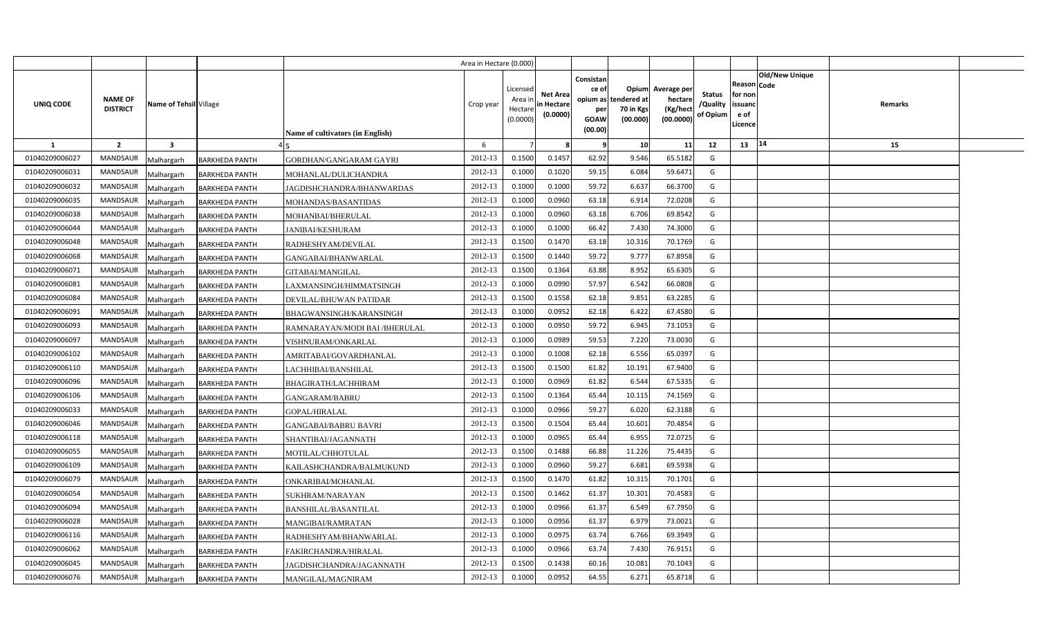|                |                                                             |                       |                                  | Area in Hectare (0.000) |                                            |                                           |                                                     |                                                        |                                                 |                                       |                                                                               |         |  |
|----------------|-------------------------------------------------------------|-----------------------|----------------------------------|-------------------------|--------------------------------------------|-------------------------------------------|-----------------------------------------------------|--------------------------------------------------------|-------------------------------------------------|---------------------------------------|-------------------------------------------------------------------------------|---------|--|
| UNIQ CODE      | <b>NAME OF</b><br>Name of Tehsil Village<br><b>DISTRICT</b> |                       | Name of cultivators (in English) | Crop year               | Licensed<br>Area ir<br>Hectare<br>(0.0000) | <b>Net Area</b><br>in Hectare<br>(0.0000) | Consistan<br>ce of<br>per<br><b>GOAW</b><br>(00.00) | Opium<br>opium as tendered at<br>70 in Kgs<br>(00.000) | Average per<br>hectare<br>(Kg/hect<br>(00.0000) | <b>Status</b><br>/Quality<br>of Opium | <b>Old/New Unique</b><br>Reason Code<br>for non<br>issuanc<br>e of<br>.icence | Remarks |  |
| 1              | $\overline{2}$<br>$\overline{\mathbf{3}}$                   |                       |                                  | 6                       |                                            |                                           | -9                                                  | 10                                                     | 11                                              | 12                                    | $ 14\rangle$<br>13                                                            | 15      |  |
| 01040209006027 | <b>MANDSAUR</b><br>Malhargarh                               | <b>BARKHEDA PANTH</b> | <b>GORDHAN/GANGARAM GAYRI</b>    | 2012-13                 | 0.1500                                     | 0.1457                                    | 62.92                                               | 9.546                                                  | 65.5182                                         | G                                     |                                                                               |         |  |
| 01040209006031 | MANDSAUR<br>Malhargarh                                      | <b>BARKHEDA PANTH</b> | MOHANLAL/DULICHANDRA             | 2012-13                 | 0.1000                                     | 0.1020                                    | 59.15                                               | 6.084                                                  | 59.6471                                         | G                                     |                                                                               |         |  |
| 01040209006032 | <b>MANDSAUR</b><br>Malhargarh                               | <b>BARKHEDA PANTH</b> | JAGDISHCHANDRA/BHANWARDAS        | 2012-13                 | 0.1000                                     | 0.1000                                    | 59.72                                               | 6.637                                                  | 66.3700                                         | G                                     |                                                                               |         |  |
| 01040209006035 | <b>MANDSAUR</b><br>Malhargarh                               | <b>BARKHEDA PANTH</b> | MOHANDAS/BASANTIDAS              | 2012-13                 | 0.1000                                     | 0.0960                                    | 63.18                                               | 6.914                                                  | 72.0208                                         | G                                     |                                                                               |         |  |
| 01040209006038 | MANDSAUR<br>Malhargarh                                      | <b>BARKHEDA PANTH</b> | MOHANBAI/BHERULAL                | 2012-13                 | 0.1000                                     | 0.0960                                    | 63.18                                               | 6.706                                                  | 69.8542                                         | G                                     |                                                                               |         |  |
| 01040209006044 | <b>MANDSAUR</b><br>Malhargarh                               | <b>BARKHEDA PANTH</b> | <b>JANIBAI/KESHURAM</b>          | 2012-13                 | 0.1000                                     | 0.1000                                    | 66.42                                               | 7.430                                                  | 74.3000                                         | G                                     |                                                                               |         |  |
| 01040209006048 | MANDSAUR<br>Malhargarh                                      | <b>BARKHEDA PANTH</b> | RADHESHYAM/DEVILAL               | 2012-13                 | 0.1500                                     | 0.147                                     | 63.18                                               | 10.316                                                 | 70.1769                                         | G                                     |                                                                               |         |  |
| 01040209006068 | <b>MANDSAUR</b><br>Malhargarh                               | <b>BARKHEDA PANTH</b> | GANGABAI/BHANWARLAL              | 2012-13                 | 0.1500                                     | 0.1440                                    | 59.72                                               | 9.777                                                  | 67.8958                                         | G                                     |                                                                               |         |  |
| 01040209006071 | MANDSAUR<br>Malhargarh                                      | <b>BARKHEDA PANTH</b> | GITABAI/MANGILAL                 | 2012-13                 | 0.1500                                     | 0.1364                                    | 63.88                                               | 8.952                                                  | 65.6305                                         | G                                     |                                                                               |         |  |
| 01040209006081 | MANDSAUR<br>Malhargarh                                      | <b>BARKHEDA PANTH</b> | LAXMANSINGH/HIMMATSINGH          | 2012-13                 | 0.1000                                     | 0.0990                                    | 57.97                                               | 6.542                                                  | 66.0808                                         | G                                     |                                                                               |         |  |
| 01040209006084 | <b>MANDSAUR</b><br>Malhargarh                               | <b>BARKHEDA PANTH</b> | DEVILAL/BHUWAN PATIDAR           | 2012-13                 | 0.1500                                     | 0.1558                                    | 62.18                                               | 9.851                                                  | 63.2285                                         | G                                     |                                                                               |         |  |
| 01040209006091 | MANDSAUR<br>Malhargarh                                      | <b>BARKHEDA PANTH</b> | BHAGWANSINGH/KARANSINGH          | 2012-13                 | 0.1000                                     | 0.0952                                    | 62.18                                               | 6.422                                                  | 67.4580                                         | G                                     |                                                                               |         |  |
| 01040209006093 | <b>MANDSAUR</b><br>Malhargarh                               | <b>BARKHEDA PANTH</b> | RAMNARAYAN/MODI BAI /BHERULAL    | 2012-13                 | 0.1000                                     | 0.0950                                    | 59.72                                               | 6.945                                                  | 73.1053                                         | G                                     |                                                                               |         |  |
| 01040209006097 | <b>MANDSAUR</b><br>Malhargarh                               | <b>BARKHEDA PANTH</b> | VISHNURAM/ONKARLAL               | 2012-13                 | 0.1000                                     | 0.0989                                    | 59.53                                               | 7.220                                                  | 73.0030                                         | G                                     |                                                                               |         |  |
| 01040209006102 | <b>MANDSAUR</b><br>Malhargarh                               | <b>BARKHEDA PANTH</b> | AMRITABAI/GOVARDHANLAL           | 2012-13                 | 0.1000                                     | 0.1008                                    | 62.18                                               | 6.556                                                  | 65.0397                                         | G                                     |                                                                               |         |  |
| 01040209006110 | <b>MANDSAUR</b><br>Malhargarh                               | <b>BARKHEDA PANTH</b> | LACHHIBAI/BANSHILAL              | 2012-13                 | 0.1500                                     | 0.1500                                    | 61.82                                               | 10.191                                                 | 67.9400                                         | G                                     |                                                                               |         |  |
| 01040209006096 | <b>MANDSAUR</b><br>Malhargarh                               | <b>BARKHEDA PANTH</b> | <b>BHAGIRATH/LACHHIRAM</b>       | 2012-13                 | 0.1000                                     | 0.0969                                    | 61.82                                               | 6.544                                                  | 67.5335                                         | G                                     |                                                                               |         |  |
| 01040209006106 | <b>MANDSAUR</b><br>Malhargarh                               | <b>BARKHEDA PANTH</b> | <b>GANGARAM/BABRU</b>            | 2012-13                 | 0.1500                                     | 0.1364                                    | 65.44                                               | 10.115                                                 | 74.1569                                         | G                                     |                                                                               |         |  |
| 01040209006033 | <b>MANDSAUR</b><br>Malhargarh                               | <b>BARKHEDA PANTH</b> | GOPAL/HIRALAL                    | 2012-13                 | 0.1000                                     | 0.0966                                    | 59.27                                               | 6.020                                                  | 62.3188                                         | G                                     |                                                                               |         |  |
| 01040209006046 | <b>MANDSAUR</b><br>Malhargarh                               | <b>BARKHEDA PANTH</b> | <b>GANGABAI/BABRU BAVRI</b>      | 2012-13                 | 0.1500                                     | 0.1504                                    | 65.44                                               | 10.601                                                 | 70.4854                                         | G                                     |                                                                               |         |  |
| 01040209006118 | <b>MANDSAUR</b><br>Malhargarh                               | <b>BARKHEDA PANTH</b> | SHANTIBAI/JAGANNATH              | 2012-13                 | 0.1000                                     | 0.0965                                    | 65.44                                               | 6.955                                                  | 72.0725                                         | G                                     |                                                                               |         |  |
| 01040209006055 | MANDSAUR<br>Malhargarh                                      | <b>BARKHEDA PANTH</b> | MOTILAL/CHHOTULAL                | 2012-13                 | 0.1500                                     | 0.1488                                    | 66.88                                               | 11.226                                                 | 75.4435                                         | G                                     |                                                                               |         |  |
| 01040209006109 | <b>MANDSAUR</b><br>Malhargarh                               | <b>BARKHEDA PANTH</b> | KAILASHCHANDRA/BALMUKUND         | 2012-13                 | 0.1000                                     | 0.0960                                    | 59.27                                               | 6.681                                                  | 69.5938                                         | G                                     |                                                                               |         |  |
| 01040209006079 | MANDSAUR<br>Malhargarh                                      | <b>BARKHEDA PANTH</b> | ONKARIBAI/MOHANLAL               | 2012-13                 | 0.1500                                     | 0.1470                                    | 61.82                                               | 10.315                                                 | 70.1701                                         | G                                     |                                                                               |         |  |
| 01040209006054 | <b>MANDSAUR</b><br>Malhargarh                               | <b>BARKHEDA PANTH</b> | SUKHRAM/NARAYAN                  | 2012-13                 | 0.1500                                     | 0.1462                                    | 61.37                                               | 10.301                                                 | 70.4583                                         | G                                     |                                                                               |         |  |
| 01040209006094 | <b>MANDSAUR</b><br>Malhargarh                               | <b>BARKHEDA PANTH</b> | BANSHILAL/BASANTILAL             | 2012-13                 | 0.1000                                     | 0.0966                                    | 61.37                                               | 6.549                                                  | 67.7950                                         | G                                     |                                                                               |         |  |
| 01040209006028 | MANDSAUR<br>Malhargarh                                      | <b>BARKHEDA PANTH</b> | MANGIBAI/RAMRATAN                | 2012-13                 | 0.1000                                     | 0.0956                                    | 61.37                                               | 6.979                                                  | 73.0021                                         | G                                     |                                                                               |         |  |
| 01040209006116 | MANDSAUR<br>Malhargarh                                      | <b>BARKHEDA PANTH</b> | RADHESHYAM/BHANWARLAL            | 2012-13                 | 0.1000                                     | 0.0975                                    | 63.74                                               | 6.766                                                  | 69.3949                                         | G                                     |                                                                               |         |  |
| 01040209006062 | MANDSAUR<br>Malhargarh                                      | <b>BARKHEDA PANTH</b> | FAKIRCHANDRA/HIRALAL             | 2012-13                 | 0.1000                                     | 0.0966                                    | 63.74                                               | 7.430                                                  | 76.9151                                         | G                                     |                                                                               |         |  |
| 01040209006045 | MANDSAUR<br>Malhargarh                                      | <b>BARKHEDA PANTH</b> | JAGDISHCHANDRA/JAGANNATH         | 2012-13                 | 0.1500                                     | 0.1438                                    | 60.16                                               | 10.081                                                 | 70.104                                          | G                                     |                                                                               |         |  |
| 01040209006076 | MANDSAUR<br>Malhargarh                                      | <b>BARKHEDA PANTH</b> | MANGILAL/MAGNIRAM                | 2012-13                 | 0.1000                                     | 0.0952                                    | 64.55                                               | 6.271                                                  | 65.8718                                         | G                                     |                                                                               |         |  |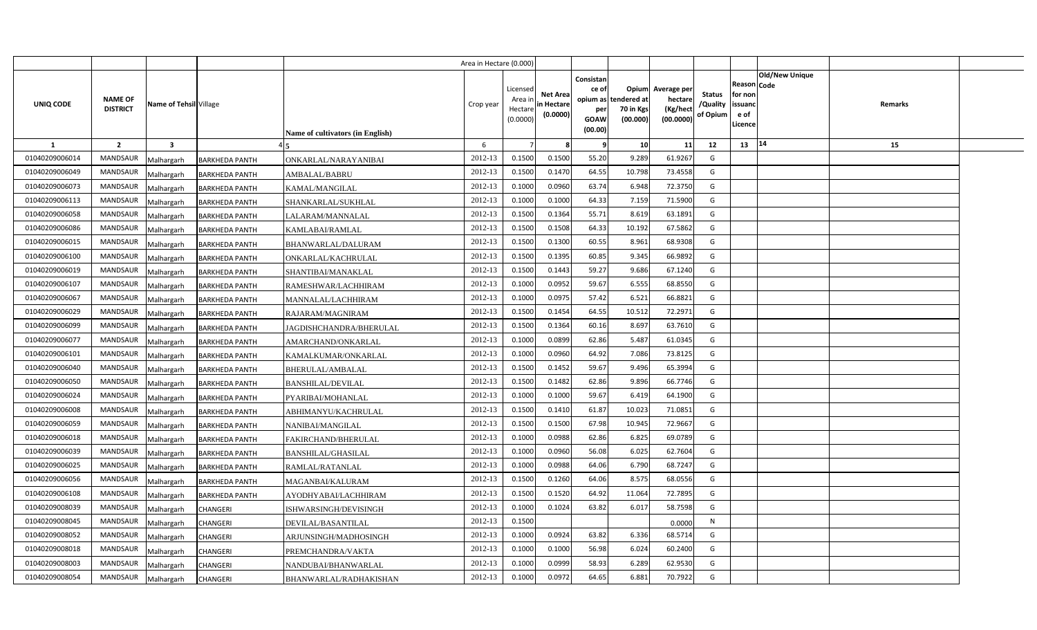|                |                                                             |                       |                                  | Area in Hectare (0.000) |                                            |                                           |                                                     |                                                        |                                                 |                                       |                                                                               |         |  |
|----------------|-------------------------------------------------------------|-----------------------|----------------------------------|-------------------------|--------------------------------------------|-------------------------------------------|-----------------------------------------------------|--------------------------------------------------------|-------------------------------------------------|---------------------------------------|-------------------------------------------------------------------------------|---------|--|
| UNIQ CODE      | <b>NAME OF</b><br>Name of Tehsil Village<br><b>DISTRICT</b> |                       | Name of cultivators (in English) | Crop year               | Licensed<br>Area ir<br>Hectare<br>(0.0000) | <b>Net Area</b><br>in Hectare<br>(0.0000) | Consistan<br>ce of<br>per<br><b>GOAW</b><br>(00.00) | Opium<br>opium as tendered at<br>70 in Kgs<br>(00.000) | Average per<br>hectare<br>(Kg/heci<br>(00.0000) | <b>Status</b><br>/Quality<br>of Opium | <b>Old/New Unique</b><br>Reason Code<br>for non<br>issuanc<br>e of<br>.icence | Remarks |  |
| 1              | $\overline{2}$<br>$\overline{\mathbf{3}}$                   |                       |                                  | 6                       |                                            |                                           | -9                                                  | 10                                                     | 11                                              | 12                                    | 14<br>13                                                                      | 15      |  |
| 01040209006014 | <b>MANDSAUR</b><br>Malhargarh                               | <b>BARKHEDA PANTH</b> | ONKARLAL/NARAYANIBAI             | 2012-13                 | 0.1500                                     | 0.1500                                    | 55.20                                               | 9.289                                                  | 61.9267                                         | G                                     |                                                                               |         |  |
| 01040209006049 | MANDSAUR<br>Malhargarh                                      | <b>BARKHEDA PANTH</b> | AMBALAL/BABRU                    | 2012-13                 | 0.1500                                     | 0.1470                                    | 64.55                                               | 10.798                                                 | 73.4558                                         | G                                     |                                                                               |         |  |
| 01040209006073 | <b>MANDSAUR</b><br>Malhargarh                               | <b>BARKHEDA PANTH</b> | KAMAL/MANGILAL                   | 2012-13                 | 0.1000                                     | 0.0960                                    | 63.74                                               | 6.948                                                  | 72.3750                                         | G                                     |                                                                               |         |  |
| 01040209006113 | <b>MANDSAUR</b><br>Malhargarh                               | <b>BARKHEDA PANTH</b> | SHANKARLAL/SUKHLAL               | 2012-13                 | 0.1000                                     | 0.1000                                    | 64.33                                               | 7.159                                                  | 71.5900                                         | G                                     |                                                                               |         |  |
| 01040209006058 | MANDSAUR<br>Malhargarh                                      | <b>BARKHEDA PANTH</b> | LALARAM/MANNALAL                 | 2012-13                 | 0.1500                                     | 0.1364                                    | 55.71                                               | 8.619                                                  | 63.1891                                         | G                                     |                                                                               |         |  |
| 01040209006086 | <b>MANDSAUR</b><br>Malhargarh                               | <b>BARKHEDA PANTH</b> | KAMLABAI/RAMLAL                  | 2012-13                 | 0.1500                                     | 0.1508                                    | 64.33                                               | 10.192                                                 | 67.5862                                         | G                                     |                                                                               |         |  |
| 01040209006015 | MANDSAUR<br>Malhargarh                                      | <b>BARKHEDA PANTH</b> | BHANWARLAL/DALURAM               | 2012-13                 | 0.1500                                     | 0.1300                                    | 60.55                                               | 8.961                                                  | 68.9308                                         | G                                     |                                                                               |         |  |
| 01040209006100 | <b>MANDSAUR</b><br>Malhargarh                               | <b>BARKHEDA PANTH</b> | ONKARLAL/KACHRULAL               | 2012-13                 | 0.1500                                     | 0.1395                                    | 60.85                                               | 9.345                                                  | 66.9892                                         | G                                     |                                                                               |         |  |
| 01040209006019 | <b>MANDSAUR</b><br>Malhargarh                               | <b>BARKHEDA PANTH</b> | SHANTIBAI/MANAKLAL               | 2012-13                 | 0.1500                                     | 0.1443                                    | 59.27                                               | 9.686                                                  | 67.1240                                         | G                                     |                                                                               |         |  |
| 01040209006107 | MANDSAUR<br>Malhargarh                                      | <b>BARKHEDA PANTH</b> | RAMESHWAR/LACHHIRAM              | 2012-13                 | 0.1000                                     | 0.0952                                    | 59.67                                               | 6.555                                                  | 68.8550                                         | G                                     |                                                                               |         |  |
| 01040209006067 | <b>MANDSAUR</b><br>Malhargarh                               | <b>BARKHEDA PANTH</b> | MANNALAL/LACHHIRAM               | 2012-13                 | 0.1000                                     | 0.0975                                    | 57.42                                               | 6.521                                                  | 66.8821                                         | G                                     |                                                                               |         |  |
| 01040209006029 | MANDSAUR<br>Malhargarh                                      | <b>BARKHEDA PANTH</b> | RAJARAM/MAGNIRAM                 | 2012-13                 | 0.1500                                     | 0.1454                                    | 64.55                                               | 10.512                                                 | 72.2971                                         | G                                     |                                                                               |         |  |
| 01040209006099 | <b>MANDSAUR</b><br>Malhargarh                               | <b>BARKHEDA PANTH</b> | JAGDISHCHANDRA/BHERULAL          | 2012-13                 | 0.1500                                     | 0.1364                                    | 60.16                                               | 8.697                                                  | 63.7610                                         | G                                     |                                                                               |         |  |
| 01040209006077 | <b>MANDSAUR</b><br>Malhargarh                               | <b>BARKHEDA PANTH</b> | AMARCHAND/ONKARLAL               | 2012-13                 | 0.1000                                     | 0.0899                                    | 62.86                                               | 5.487                                                  | 61.0345                                         | G                                     |                                                                               |         |  |
| 01040209006101 | <b>MANDSAUR</b><br>Malhargarh                               | <b>BARKHEDA PANTH</b> | KAMALKUMAR/ONKARLAL              | 2012-13                 | 0.1000                                     | 0.0960                                    | 64.92                                               | 7.086                                                  | 73.8125                                         | G                                     |                                                                               |         |  |
| 01040209006040 | <b>MANDSAUR</b><br>Malhargarh                               | <b>BARKHEDA PANTH</b> | BHERULAL/AMBALAL                 | 2012-13                 | 0.1500                                     | 0.1452                                    | 59.67                                               | 9.496                                                  | 65.3994                                         | G                                     |                                                                               |         |  |
| 01040209006050 | <b>MANDSAUR</b><br>Malhargarh                               | <b>BARKHEDA PANTH</b> | <b>BANSHILAL/DEVILAL</b>         | 2012-13                 | 0.1500                                     | 0.1482                                    | 62.86                                               | 9.896                                                  | 66.7746                                         | G                                     |                                                                               |         |  |
| 01040209006024 | <b>MANDSAUR</b><br>Malhargarh                               | <b>BARKHEDA PANTH</b> | PYARIBAI/MOHANLAL                | 2012-13                 | 0.1000                                     | 0.1000                                    | 59.67                                               | 6.419                                                  | 64.1900                                         | G                                     |                                                                               |         |  |
| 01040209006008 | <b>MANDSAUR</b><br>Malhargarh                               | <b>BARKHEDA PANTH</b> | ABHIMANYU/KACHRULAL              | 2012-13                 | 0.1500                                     | 0.141(                                    | 61.87                                               | 10.023                                                 | 71.0851                                         | G                                     |                                                                               |         |  |
| 01040209006059 | <b>MANDSAUR</b><br>Malhargarh                               | <b>BARKHEDA PANTH</b> | NANIBAI/MANGILAL                 | 2012-13                 | 0.1500                                     | 0.1500                                    | 67.98                                               | 10.945                                                 | 72.9667                                         | G                                     |                                                                               |         |  |
| 01040209006018 | <b>MANDSAUR</b><br>Malhargarh                               | <b>BARKHEDA PANTH</b> | FAKIRCHAND/BHERULAL              | 2012-13                 | 0.1000                                     | 0.0988                                    | 62.86                                               | 6.825                                                  | 69.0789                                         | G                                     |                                                                               |         |  |
| 01040209006039 | MANDSAUR<br>Malhargarh                                      | <b>BARKHEDA PANTH</b> | BANSHILAL/GHASILAL               | 2012-13                 | 0.1000                                     | 0.0960                                    | 56.08                                               | 6.025                                                  | 62.7604                                         | G                                     |                                                                               |         |  |
| 01040209006025 | <b>MANDSAUR</b><br>Malhargarh                               | <b>BARKHEDA PANTH</b> | RAMLAL/RATANLAL                  | 2012-13                 | 0.1000                                     | 0.0988                                    | 64.06                                               | 6.790                                                  | 68.7247                                         | G                                     |                                                                               |         |  |
| 01040209006056 | MANDSAUR<br>Malhargarh                                      | <b>BARKHEDA PANTH</b> | MAGANBAI/KALURAM                 | 2012-13                 | 0.1500                                     | 0.1260                                    | 64.06                                               | 8.575                                                  | 68.0556                                         | G                                     |                                                                               |         |  |
| 01040209006108 | <b>MANDSAUR</b><br>Malhargarh                               | <b>BARKHEDA PANTH</b> | AYODHYABAI/LACHHIRAM             | 2012-13                 | 0.1500                                     | 0.1520                                    | 64.92                                               | 11.064                                                 | 72.7895                                         | G                                     |                                                                               |         |  |
| 01040209008039 | MANDSAUR<br>Malhargarh                                      | CHANGERI              | ISHWARSINGH/DEVISINGH            | 2012-13                 | 0.1000                                     | 0.1024                                    | 63.82                                               | 6.017                                                  | 58.7598                                         | G                                     |                                                                               |         |  |
| 01040209008045 | MANDSAUR<br>Malhargarh                                      | CHANGERI              | DEVILAL/BASANTILAL               | 2012-13                 | 0.1500                                     |                                           |                                                     |                                                        | 0.0000                                          | $\mathsf{N}$                          |                                                                               |         |  |
| 01040209008052 | MANDSAUR<br>Malhargarh                                      | CHANGERI              | ARJUNSINGH/MADHOSINGH            | 2012-13                 | 0.1000                                     | 0.0924                                    | 63.82                                               | 6.336                                                  | 68.5714                                         | G                                     |                                                                               |         |  |
| 01040209008018 | MANDSAUR<br>Malhargarh                                      | CHANGERI              | PREMCHANDRA/VAKTA                | 2012-13                 | 0.1000                                     | 0.1000                                    | 56.98                                               | 6.024                                                  | 60.2400                                         | G                                     |                                                                               |         |  |
| 01040209008003 | MANDSAUR<br>Malhargarh                                      | CHANGERI              | NANDUBAI/BHANWARLAL              | 2012-13                 | 0.1000                                     | 0.0999                                    | 58.93                                               | 6.289                                                  | 62.9530                                         | G                                     |                                                                               |         |  |
| 01040209008054 | <b>MANDSAUR</b><br>Malhargarh                               | CHANGERI              | BHANWARLAL/RADHAKISHAN           | 2012-13                 | 0.1000                                     | 0.0972                                    | 64.65                                               | 6.881                                                  | 70.7922                                         | G                                     |                                                                               |         |  |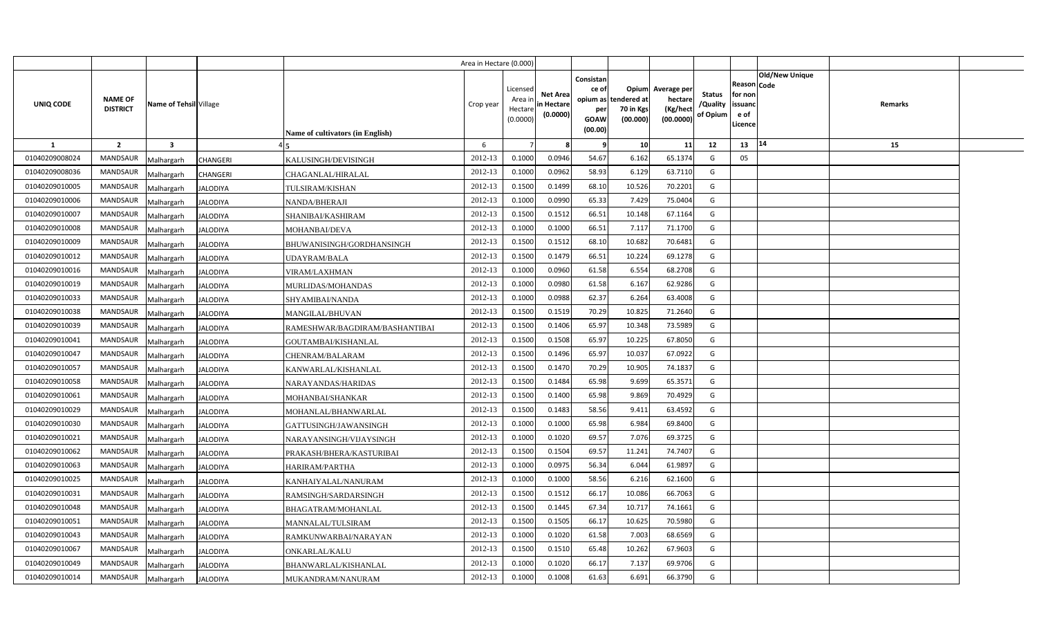|                |                                   |                               |                                  | Area in Hectare (0.000) |                                            |                                           |                                                                             |                                |                                                 |                                       |                                                      |                       |         |  |
|----------------|-----------------------------------|-------------------------------|----------------------------------|-------------------------|--------------------------------------------|-------------------------------------------|-----------------------------------------------------------------------------|--------------------------------|-------------------------------------------------|---------------------------------------|------------------------------------------------------|-----------------------|---------|--|
| UNIQ CODE      | <b>NAME OF</b><br><b>DISTRICT</b> | Name of Tehsil Village        | Name of cultivators (in English) | Crop year               | Licensed<br>Area ir<br>Hectare<br>(0.0000) | <b>Net Area</b><br>in Hectare<br>(0.0000) | Consistan<br>ce of<br>opium as tendered at<br>per<br><b>GOAW</b><br>(00.00) | Opium<br>70 in Kgs<br>(00.000) | Average per<br>hectare<br>(Kg/hect<br>(00.0000) | <b>Status</b><br>/Quality<br>of Opium | Reason Code<br>for non<br>issuanc<br>e of<br>Licence | <b>Old/New Unique</b> | Remarks |  |
| $\mathbf{1}$   | $\overline{2}$                    | $\overline{\mathbf{3}}$       |                                  | 6                       |                                            |                                           | - 9                                                                         | 10                             | 11                                              | 12                                    | 13                                                   | 14                    | 15      |  |
| 01040209008024 | <b>MANDSAUR</b>                   | Malhargarh<br><b>CHANGERI</b> | KALUSINGH/DEVISINGH              | 2012-13                 | 0.1000                                     | 0.0946                                    | 54.67                                                                       | 6.162                          | 65.1374                                         | G                                     | 05                                                   |                       |         |  |
| 01040209008036 | <b>MANDSAUR</b>                   | <b>CHANGERI</b><br>Malhargarh | CHAGANLAL/HIRALAL                | 2012-13                 | 0.1000                                     | 0.0962                                    | 58.93                                                                       | 6.129                          | 63.7110                                         | G                                     |                                                      |                       |         |  |
| 01040209010005 | <b>MANDSAUR</b>                   | Malhargarh<br><b>JALODIYA</b> | TULSIRAM/KISHAN                  | 2012-13                 | 0.1500                                     | 0.1499                                    | 68.10                                                                       | 10.526                         | 70.2201                                         | G                                     |                                                      |                       |         |  |
| 01040209010006 | <b>MANDSAUR</b>                   | <b>JALODIYA</b><br>Malhargarh | NANDA/BHERAJI                    | 2012-13                 | 0.1000                                     | 0.0990                                    | 65.33                                                                       | 7.429                          | 75.0404                                         | G                                     |                                                      |                       |         |  |
| 01040209010007 | <b>MANDSAUR</b>                   | Malhargarh<br><b>JALODIYA</b> | SHANIBAI/KASHIRAM                | 2012-13                 | 0.1500                                     | 0.151                                     | 66.51                                                                       | 10.148                         | 67.1164                                         | G                                     |                                                      |                       |         |  |
| 01040209010008 | <b>MANDSAUR</b>                   | <b>JALODIYA</b><br>Malhargarh | MOHANBAI/DEVA                    | 2012-13                 | 0.100                                      | 0.1000                                    | 66.51                                                                       | 7.117                          | 71.1700                                         | G                                     |                                                      |                       |         |  |
| 01040209010009 | <b>MANDSAUR</b>                   | Malhargarh<br><b>JALODIYA</b> | BHUWANISINGH/GORDHANSINGH        | 2012-13                 | 0.1500                                     | 0.151                                     | 68.10                                                                       | 10.682                         | 70.6481                                         | G                                     |                                                      |                       |         |  |
| 01040209010012 | <b>MANDSAUR</b>                   | Malhargarh<br><b>JALODIYA</b> | UDAYRAM/BALA                     | 2012-13                 | 0.1500                                     | 0.1479                                    | 66.51                                                                       | 10.224                         | 69.1278                                         | G                                     |                                                      |                       |         |  |
| 01040209010016 | <b>MANDSAUR</b>                   | Malhargarh<br><b>JALODIYA</b> | <b>VIRAM/LAXHMAN</b>             | 2012-13                 | 0.1000                                     | 0.0960                                    | 61.58                                                                       | 6.554                          | 68.2708                                         | G                                     |                                                      |                       |         |  |
| 01040209010019 | <b>MANDSAUR</b>                   | Malhargarh<br><b>JALODIYA</b> | MURLIDAS/MOHANDAS                | 2012-13                 | 0.1000                                     | 0.0980                                    | 61.58                                                                       | 6.167                          | 62.9286                                         | G                                     |                                                      |                       |         |  |
| 01040209010033 | <b>MANDSAUR</b>                   | Malhargarh<br><b>JALODIYA</b> | SHYAMIBAI/NANDA                  | 2012-13                 | 0.1000                                     | 0.0988                                    | 62.37                                                                       | 6.264                          | 63.4008                                         | G                                     |                                                      |                       |         |  |
| 01040209010038 | <b>MANDSAUR</b>                   | Malhargarh<br><b>JALODIYA</b> | MANGILAL/BHUVAN                  | 2012-13                 | 0.1500                                     | 0.1519                                    | 70.29                                                                       | 10.825                         | 71.2640                                         | G                                     |                                                      |                       |         |  |
| 01040209010039 | <b>MANDSAUR</b>                   | Malhargarh<br><b>JALODIYA</b> | RAMESHWAR/BAGDIRAM/BASHANTIBAI   | 2012-13                 | 0.1500                                     | 0.1406                                    | 65.97                                                                       | 10.348                         | 73.5989                                         | G                                     |                                                      |                       |         |  |
| 01040209010041 | <b>MANDSAUR</b>                   | Malhargarh<br><b>JALODIYA</b> | GOUTAMBAI/KISHANLAL              | 2012-13                 | 0.1500                                     | 0.1508                                    | 65.97                                                                       | 10.225                         | 67.8050                                         | G                                     |                                                      |                       |         |  |
| 01040209010047 | <b>MANDSAUR</b>                   | Malhargarh<br><b>JALODIYA</b> | CHENRAM/BALARAM                  | 2012-13                 | 0.1500                                     | 0.1496                                    | 65.97                                                                       | 10.037                         | 67.0922                                         | G                                     |                                                      |                       |         |  |
| 01040209010057 | MANDSAUR                          | Malhargarh<br><b>JALODIYA</b> | KANWARLAL/KISHANLAL              | 2012-13                 | 0.1500                                     | 0.1470                                    | 70.29                                                                       | 10.905                         | 74.1837                                         | G                                     |                                                      |                       |         |  |
| 01040209010058 | <b>MANDSAUR</b>                   | Malhargarh<br><b>ALODIYA</b>  | NARAYANDAS/HARIDAS               | 2012-13                 | 0.1500                                     | 0.1484                                    | 65.98                                                                       | 9.699                          | 65.3571                                         | G                                     |                                                      |                       |         |  |
| 01040209010061 | MANDSAUR                          | Malhargarh<br><b>ALODIYA</b>  | MOHANBAI/SHANKAR                 | 2012-13                 | 0.1500                                     | 0.1400                                    | 65.98                                                                       | 9.869                          | 70.4929                                         | G                                     |                                                      |                       |         |  |
| 01040209010029 | <b>MANDSAUR</b>                   | Malhargarh<br>JALODIYA        | MOHANLAL/BHANWARLAL              | 2012-13                 | 0.1500                                     | 0.1483                                    | 58.56                                                                       | 9.411                          | 63.4592                                         | G                                     |                                                      |                       |         |  |
| 01040209010030 | MANDSAUR                          | Malhargarh<br><b>JALODIYA</b> | GATTUSINGH/JAWANSINGH            | 2012-13                 | 0.1000                                     | 0.1000                                    | 65.98                                                                       | 6.984                          | 69.8400                                         | G                                     |                                                      |                       |         |  |
| 01040209010021 | <b>MANDSAUR</b>                   | Malhargarh<br><b>JALODIYA</b> | NARAYANSINGH/VIJAYSINGH          | 2012-13                 | 0.1000                                     | 0.1020                                    | 69.57                                                                       | 7.076                          | 69.3725                                         | G                                     |                                                      |                       |         |  |
| 01040209010062 | MANDSAUR                          | Malhargarh<br><b>JALODIYA</b> | PRAKASH/BHERA/KASTURIBAI         | 2012-13                 | 0.1500                                     | 0.1504                                    | 69.57                                                                       | 11.241                         | 74.7407                                         | G                                     |                                                      |                       |         |  |
| 01040209010063 | <b>MANDSAUR</b>                   | Malhargarh<br><b>JALODIYA</b> | HARIRAM/PARTHA                   | 2012-13                 | 0.1000                                     | 0.097!                                    | 56.34                                                                       | 6.044                          | 61.9897                                         | G                                     |                                                      |                       |         |  |
| 01040209010025 | <b>MANDSAUR</b>                   | Malhargarh<br><b>JALODIYA</b> | KANHAIYALAL/NANURAM              | 2012-13                 | 0.1000                                     | 0.1000                                    | 58.56                                                                       | 6.216                          | 62.1600                                         | $\mathsf{G}$                          |                                                      |                       |         |  |
| 01040209010031 | MANDSAUR                          | Malhargarh<br><b>JALODIYA</b> | RAMSINGH/SARDARSINGH             | 2012-13                 | 0.1500                                     | 0.1512                                    | 66.17                                                                       | 10.086                         | 66.7063                                         | G                                     |                                                      |                       |         |  |
| 01040209010048 | <b>MANDSAUR</b>                   | Malhargarh<br><b>JALODIYA</b> | BHAGATRAM/MOHANLAL               | 2012-13                 | 0.1500                                     | 0.1445                                    | 67.34                                                                       | 10.717                         | 74.1661                                         | G                                     |                                                      |                       |         |  |
| 01040209010051 | <b>MANDSAUR</b>                   | Malhargarh<br><b>ALODIYA</b>  | MANNALAL/TULSIRAM                | 2012-13                 | 0.1500                                     | 0.1505                                    | 66.17                                                                       | 10.625                         | 70.5980                                         | G                                     |                                                      |                       |         |  |
| 01040209010043 | <b>MANDSAUR</b>                   | Malhargarh<br><b>ALODIYA</b>  | RAMKUNWARBAI/NARAYAN             | 2012-13                 | 0.1000                                     | 0.1020                                    | 61.58                                                                       | 7.003                          | 68.6569                                         | G                                     |                                                      |                       |         |  |
| 01040209010067 | <b>MANDSAUR</b>                   | <b>ALODIYA</b><br>Malhargarh  | ONKARLAL/KALU                    | 2012-13                 | 0.1500                                     | 0.1510                                    | 65.48                                                                       | 10.262                         | 67.9603                                         | G                                     |                                                      |                       |         |  |
| 01040209010049 | <b>MANDSAUR</b>                   | Malhargarh<br><b>JALODIYA</b> | BHANWARLAL/KISHANLAL             | 2012-13                 | 0.1000                                     | 0.1020                                    | 66.17                                                                       | 7.137                          | 69.9706                                         | G                                     |                                                      |                       |         |  |
| 01040209010014 | <b>MANDSAUR</b>                   | Malhargarh<br><b>JALODIYA</b> | MUKANDRAM/NANURAM                | 2012-13                 | 0.1000                                     | 0.1008                                    | 61.63                                                                       | 6.691                          | 66.3790                                         | G                                     |                                                      |                       |         |  |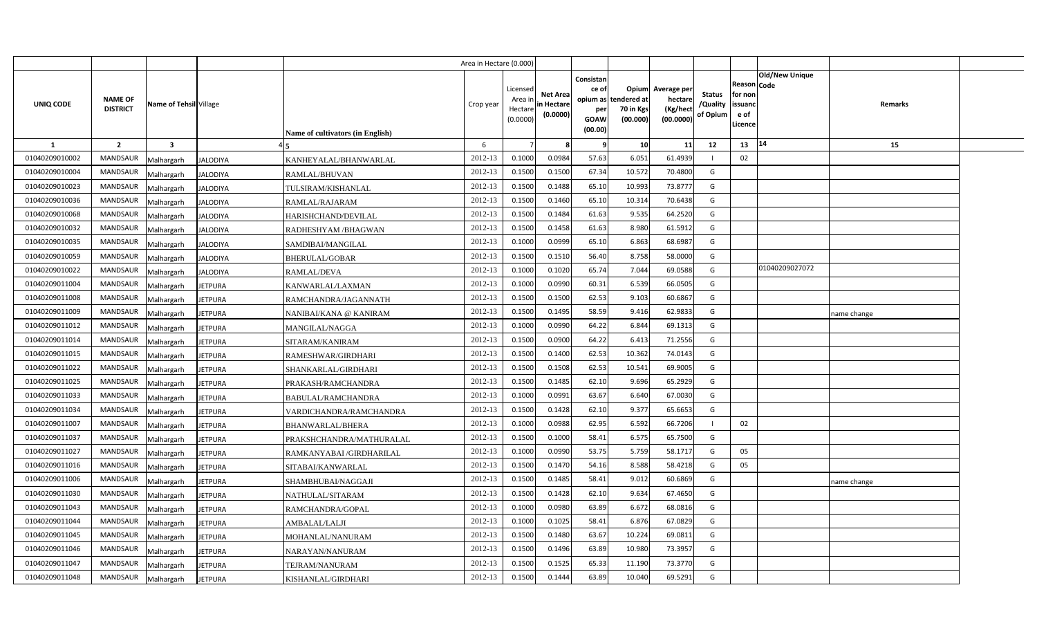|                |                                   |                         |                 |                                  | Area in Hectare (0.000) |                                            |                                           |                                                          |                                               |                                                 |                                |                                                      |                       |             |  |
|----------------|-----------------------------------|-------------------------|-----------------|----------------------------------|-------------------------|--------------------------------------------|-------------------------------------------|----------------------------------------------------------|-----------------------------------------------|-------------------------------------------------|--------------------------------|------------------------------------------------------|-----------------------|-------------|--|
| UNIQ CODE      | <b>NAME OF</b><br><b>DISTRICT</b> | Name of Tehsil Village  |                 | Name of cultivators (in English) | Crop year               | Licensed<br>Area ir<br>Hectare<br>(0.0000) | <b>Net Area</b><br>in Hectare<br>(0.0000) | Consistan<br>ce of<br>opium as<br>per<br>GOAW<br>(00.00) | Opium<br>tendered at<br>70 in Kgs<br>(00.000) | Average per<br>hectare<br>(Kg/hect<br>(00.0000) | Status<br>/Quality<br>of Opium | Reason Code<br>for non<br>issuanc<br>e of<br>Licence | <b>Old/New Unique</b> | Remarks     |  |
| $\mathbf{1}$   | $\overline{2}$                    | $\overline{\mathbf{3}}$ |                 |                                  | 6                       |                                            |                                           | -9                                                       | 10                                            | 11                                              | 12                             | 13                                                   | 14                    | 15          |  |
| 01040209010002 | <b>MANDSAUR</b>                   | Malhargarh              | <b>JALODIYA</b> | KANHEYALAL/BHANWARLAL            | 2012-13                 | 0.1000                                     | 0.0984                                    | 57.63                                                    | 6.051                                         | 61.4939                                         |                                | 02                                                   |                       |             |  |
| 01040209010004 | <b>MANDSAUR</b>                   | Malhargarh              | <b>JALODIYA</b> | RAMLAL/BHUVAN                    | 2012-13                 | 0.1500                                     | 0.1500                                    | 67.34                                                    | 10.572                                        | 70.4800                                         | G                              |                                                      |                       |             |  |
| 01040209010023 | <b>MANDSAUR</b>                   | Malhargarh              | <b>JALODIYA</b> | TULSIRAM/KISHANLAL               | 2012-13                 | 0.1500                                     | 0.1488                                    | 65.10                                                    | 10.993                                        | 73.8777                                         | G                              |                                                      |                       |             |  |
| 01040209010036 | <b>MANDSAUR</b>                   | Malhargarh              | <b>JALODIYA</b> | RAMLAL/RAJARAM                   | 2012-13                 | 0.1500                                     | 0.1460                                    | 65.10                                                    | 10.314                                        | 70.6438                                         | G                              |                                                      |                       |             |  |
| 01040209010068 | <b>MANDSAUR</b>                   | Malhargarh              | <b>JALODIYA</b> | HARISHCHAND/DEVILAL              | 2012-13                 | 0.1500                                     | 0.1484                                    | 61.63                                                    | 9.535                                         | 64.2520                                         | G                              |                                                      |                       |             |  |
| 01040209010032 | <b>MANDSAUR</b>                   | Malhargarh              | <b>JALODIYA</b> | RADHESHYAM /BHAGWAN              | 2012-13                 | 0.1500                                     | 0.1458                                    | 61.63                                                    | 8.980                                         | 61.5912                                         | G                              |                                                      |                       |             |  |
| 01040209010035 | <b>MANDSAUR</b>                   | Malhargarh              | JALODIYA        | SAMDIBAI/MANGILAL                | 2012-13                 | 0.1000                                     | 0.0999                                    | 65.10                                                    | 6.863                                         | 68.6987                                         | G                              |                                                      |                       |             |  |
| 01040209010059 | <b>MANDSAUR</b>                   | Malhargarh              | <b>JALODIYA</b> | <b>BHERULAL/GOBAR</b>            | 2012-13                 | 0.1500                                     | 0.1510                                    | 56.40                                                    | 8.758                                         | 58.0000                                         | G                              |                                                      |                       |             |  |
| 01040209010022 | <b>MANDSAUR</b>                   | Malhargarh              | <b>JALODIYA</b> | <b>RAMLAL/DEVA</b>               | 2012-13                 | 0.1000                                     | 0.1020                                    | 65.74                                                    | 7.044                                         | 69.0588                                         | G                              |                                                      | 01040209027072        |             |  |
| 01040209011004 | <b>MANDSAUR</b>                   | Malhargarh              | <b>JETPURA</b>  | KANWARLAL/LAXMAN                 | 2012-13                 | 0.1000                                     | 0.0990                                    | 60.31                                                    | 6.539                                         | 66.0505                                         | G                              |                                                      |                       |             |  |
| 01040209011008 | <b>MANDSAUR</b>                   | Malhargarh              | <b>JETPURA</b>  | RAMCHANDRA/JAGANNATH             | 2012-13                 | 0.1500                                     | 0.1500                                    | 62.53                                                    | 9.103                                         | 60.6867                                         | G                              |                                                      |                       |             |  |
| 01040209011009 | <b>MANDSAUR</b>                   | Malhargarh              | <b>JETPURA</b>  | NANIBAI/KANA @ KANIRAM           | 2012-13                 | 0.1500                                     | 0.1495                                    | 58.59                                                    | 9.416                                         | 62.9833                                         | G                              |                                                      |                       | ame change  |  |
| 01040209011012 | <b>MANDSAUR</b>                   | Malhargarh              | JETPURA         | MANGILAL/NAGGA                   | 2012-13                 | 0.1000                                     | 0.0990                                    | 64.22                                                    | 6.844                                         | 69.1313                                         | G                              |                                                      |                       |             |  |
| 01040209011014 | <b>MANDSAUR</b>                   | Malhargarh              | <b>IETPURA</b>  | SITARAM/KANIRAM                  | 2012-13                 | 0.1500                                     | 0.0900                                    | 64.22                                                    | 6.413                                         | 71.2556                                         | G                              |                                                      |                       |             |  |
| 01040209011015 | <b>MANDSAUR</b>                   | Malhargarh              | JETPURA         | RAMESHWAR/GIRDHARI               | 2012-13                 | 0.1500                                     | 0.1400                                    | 62.53                                                    | 10.362                                        | 74.0143                                         | G                              |                                                      |                       |             |  |
| 01040209011022 | <b>MANDSAUR</b>                   | Malhargarh              | JETPURA         | SHANKARLAL/GIRDHARI              | 2012-13                 | 0.1500                                     | 0.1508                                    | 62.53                                                    | 10.541                                        | 69.9005                                         | G                              |                                                      |                       |             |  |
| 01040209011025 | <b>MANDSAUR</b>                   | Malhargarh              | <b>IETPURA</b>  | PRAKASH/RAMCHANDRA               | 2012-13                 | 0.1500                                     | 0.1485                                    | 62.10                                                    | 9.696                                         | 65.2929                                         | G                              |                                                      |                       |             |  |
| 01040209011033 | <b>MANDSAUR</b>                   | Malhargarh              | JETPURA         | <b>BABULAL/RAMCHANDRA</b>        | 2012-13                 | 0.1000                                     | 0.0991                                    | 63.67                                                    | 6.640                                         | 67.0030                                         | G                              |                                                      |                       |             |  |
| 01040209011034 | <b>MANDSAUR</b>                   | Malhargarh              | <b>JETPURA</b>  | VARDICHANDRA/RAMCHANDRA          | 2012-13                 | 0.1500                                     | 0.1428                                    | 62.10                                                    | 9.377                                         | 65.6653                                         | G                              |                                                      |                       |             |  |
| 01040209011007 | <b>MANDSAUR</b>                   | Malhargarh              | <b>JETPURA</b>  | <b>BHANWARLAL/BHERA</b>          | 2012-13                 | 0.1000                                     | 0.0988                                    | 62.95                                                    | 6.592                                         | 66.7206                                         |                                | 02                                                   |                       |             |  |
| 01040209011037 | <b>MANDSAUR</b>                   | Malhargarh              | <b>IETPURA</b>  | PRAKSHCHANDRA/MATHURALAL         | 2012-13                 | 0.1500                                     | 0.1000                                    | 58.41                                                    | 6.575                                         | 65.7500                                         | G                              |                                                      |                       |             |  |
| 01040209011027 | <b>MANDSAUR</b>                   | Malhargarh              | <b>IETPURA</b>  | RAMKANYABAI / GIRDHARILAL        | 2012-13                 | 0.1000                                     | 0.0990                                    | 53.75                                                    | 5.759                                         | 58.1717                                         | G                              | 05                                                   |                       |             |  |
| 01040209011016 | <b>MANDSAUR</b>                   | Malhargarh              | <b>IETPURA</b>  | SITABAI/KANWARLAL                | 2012-13                 | 0.1500                                     | 0.1470                                    | 54.16                                                    | 8.588                                         | 58.4218                                         | G                              | 05                                                   |                       |             |  |
| 01040209011006 | <b>MANDSAUR</b>                   | Malhargarh              | <b>IETPURA</b>  | SHAMBHUBAI/NAGGAJI               | 2012-13                 | 0.1500                                     | 0.1485                                    | 58.41                                                    | 9.012                                         | 60.6869                                         | G                              |                                                      |                       | name change |  |
| 01040209011030 | <b>MANDSAUR</b>                   | Malhargarh              | <b>IETPURA</b>  | NATHULAL/SITARAM                 | 2012-13                 | 0.1500                                     | 0.1428                                    | 62.10                                                    | 9.634                                         | 67.4650                                         | G                              |                                                      |                       |             |  |
| 01040209011043 | <b>MANDSAUR</b>                   | Malhargarh              | <b>IETPURA</b>  | RAMCHANDRA/GOPAL                 | 2012-13                 | 0.1000                                     | 0.0980                                    | 63.89                                                    | 6.672                                         | 68.0816                                         | G                              |                                                      |                       |             |  |
| 01040209011044 | <b>MANDSAUR</b>                   | Malhargarh              | <b>IETPURA</b>  | AMBALAL/LALJI                    | 2012-13                 | 0.1000                                     | 0.1025                                    | 58.41                                                    | 6.876                                         | 67.0829                                         | G                              |                                                      |                       |             |  |
| 01040209011045 | <b>MANDSAUR</b>                   | Malhargarh              | JETPURA         | MOHANLAL/NANURAM                 | 2012-13                 | 0.1500                                     | 0.1480                                    | 63.67                                                    | 10.224                                        | 69.0811                                         | G                              |                                                      |                       |             |  |
| 01040209011046 | <b>MANDSAUR</b>                   | Malhargarh              | <b>JETPURA</b>  | NARAYAN/NANURAM                  | 2012-13                 | 0.1500                                     | 0.1496                                    | 63.89                                                    | 10.980                                        | 73.3957                                         | G                              |                                                      |                       |             |  |
| 01040209011047 | <b>MANDSAUR</b>                   | Malhargarh              | <b>IETPURA</b>  | TEJRAM/NANURAM                   | 2012-13                 | 0.1500                                     | 0.1525                                    | 65.33                                                    | 11.190                                        | 73.3770                                         | G                              |                                                      |                       |             |  |
| 01040209011048 | MANDSAUR                          | Malhargarh              | <b>JETPURA</b>  | KISHANLAL/GIRDHARI               | 2012-13                 | 0.1500                                     | 0.1444                                    | 63.89                                                    | 10.040                                        | 69.5291                                         | G                              |                                                      |                       |             |  |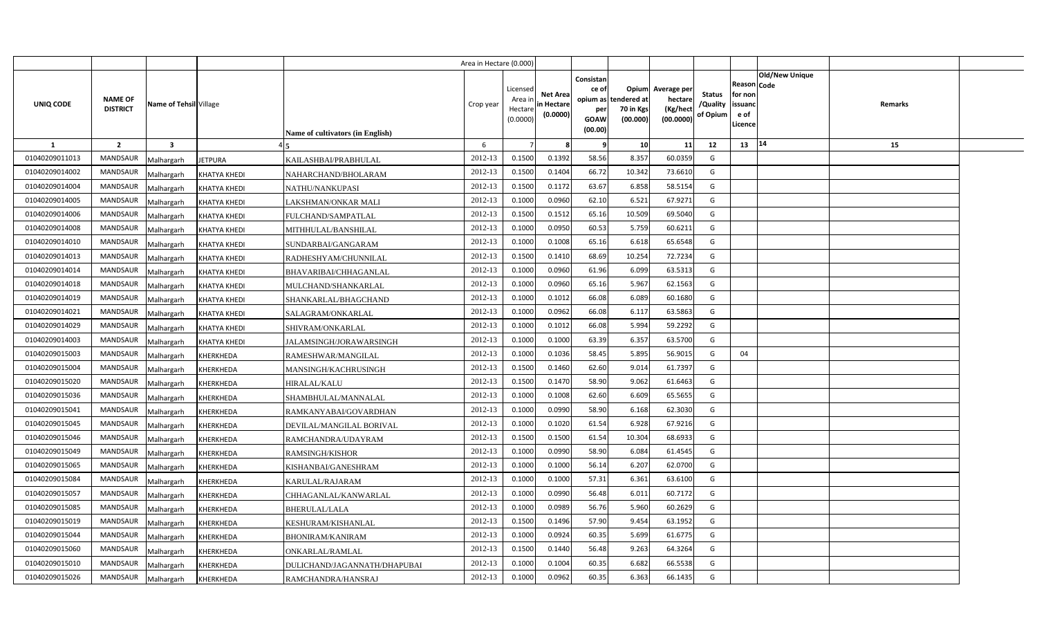|                |                                           |                        |                                  | Area in Hectare (0.000) |                                            |                                           |                                                     |                                                        |                                                 |                                       |                                                                               |         |  |
|----------------|-------------------------------------------|------------------------|----------------------------------|-------------------------|--------------------------------------------|-------------------------------------------|-----------------------------------------------------|--------------------------------------------------------|-------------------------------------------------|---------------------------------------|-------------------------------------------------------------------------------|---------|--|
| UNIQ CODE      | <b>NAME OF</b><br><b>DISTRICT</b>         | Name of Tehsil Village | Name of cultivators (in English) | Crop year               | Licensed<br>Area ir<br>Hectare<br>(0.0000) | <b>Net Area</b><br>in Hectare<br>(0.0000) | Consistan<br>ce of<br>per<br><b>GOAW</b><br>(00.00) | Opium<br>opium as tendered at<br>70 in Kgs<br>(00.000) | Average per<br>hectare<br>(Kg/heci<br>(00.0000) | <b>Status</b><br>/Quality<br>of Opium | <b>Old/New Unique</b><br>Reason Code<br>for non<br>issuanc<br>e of<br>.icence | Remarks |  |
| -1             | $\overline{2}$<br>$\overline{\mathbf{3}}$ |                        |                                  | 6                       |                                            |                                           | -9                                                  | 10                                                     | 11                                              | 12                                    | 14<br>13                                                                      | 15      |  |
| 01040209011013 | <b>MANDSAUR</b><br>Malhargarh             | <b>JETPURA</b>         | KAILASHBAI/PRABHULAL             | 2012-13                 | 0.1500                                     | 0.1392                                    | 58.56                                               | 8.357                                                  | 60.0359                                         | G                                     |                                                                               |         |  |
| 01040209014002 | MANDSAUR<br>Malhargarh                    | <b>KHATYA KHEDI</b>    | NAHARCHAND/BHOLARAM              | 2012-13                 | 0.1500                                     | 0.1404                                    | 66.72                                               | 10.342                                                 | 73.6610                                         | G                                     |                                                                               |         |  |
| 01040209014004 | <b>MANDSAUR</b><br>Malhargarh             | <b>KHATYA KHEDI</b>    | NATHU/NANKUPASI                  | 2012-13                 | 0.1500                                     | 0.1172                                    | 63.67                                               | 6.858                                                  | 58.5154                                         | G                                     |                                                                               |         |  |
| 01040209014005 | <b>MANDSAUR</b><br>Malhargarh             | <b>KHATYA KHEDI</b>    | LAKSHMAN/ONKAR MALI              | 2012-13                 | 0.1000                                     | 0.0960                                    | 62.10                                               | 6.521                                                  | 67.9271                                         | G                                     |                                                                               |         |  |
| 01040209014006 | MANDSAUR<br>Malhargarh                    | KHATYA KHEDI           | FULCHAND/SAMPATLAL               | 2012-13                 | 0.1500                                     | 0.1512                                    | 65.16                                               | 10.509                                                 | 69.5040                                         | G                                     |                                                                               |         |  |
| 01040209014008 | <b>MANDSAUR</b><br>Malhargarh             | <b>KHATYA KHEDI</b>    | MITHHULAL/BANSHILAL              | 2012-13                 | 0.1000                                     | 0.095                                     | 60.53                                               | 5.759                                                  | 60.6211                                         | G                                     |                                                                               |         |  |
| 01040209014010 | MANDSAUR<br>Malhargarh                    | <b>KHATYA KHEDI</b>    | SUNDARBAI/GANGARAM               | 2012-13                 | 0.1000                                     | 0.1008                                    | 65.16                                               | 6.618                                                  | 65.6548                                         | G                                     |                                                                               |         |  |
| 01040209014013 | <b>MANDSAUR</b><br>Malhargarh             | <b>KHATYA KHEDI</b>    | RADHESHYAM/CHUNNILAL             | 2012-13                 | 0.1500                                     | 0.141(                                    | 68.69                                               | 10.254                                                 | 72.7234                                         | G                                     |                                                                               |         |  |
| 01040209014014 | <b>MANDSAUR</b><br>Malhargarh             | KHATYA KHEDI           | BHAVARIBAI/CHHAGANLAL            | 2012-13                 | 0.1000                                     | 0.0960                                    | 61.96                                               | 6.099                                                  | 63.5313                                         | G                                     |                                                                               |         |  |
| 01040209014018 | MANDSAUR<br>Malhargarh                    | KHATYA KHEDI           | MULCHAND/SHANKARLAL              | 2012-13                 | 0.1000                                     | 0.0960                                    | 65.16                                               | 5.967                                                  | 62.1563                                         | G                                     |                                                                               |         |  |
| 01040209014019 | <b>MANDSAUR</b><br>Malhargarh             | <b>KHATYA KHEDI</b>    | SHANKARLAL/BHAGCHAND             | 2012-13                 | 0.1000                                     | 0.1012                                    | 66.08                                               | 6.089                                                  | 60.1680                                         | G                                     |                                                                               |         |  |
| 01040209014021 | MANDSAUR<br>Malhargarh                    | <b>KHATYA KHEDI</b>    | SALAGRAM/ONKARLAL                | 2012-13                 | 0.1000                                     | 0.0962                                    | 66.08                                               | 6.117                                                  | 63.5863                                         | G                                     |                                                                               |         |  |
| 01040209014029 | <b>MANDSAUR</b><br>Malhargarh             | KHATYA KHEDI           | SHIVRAM/ONKARLAL                 | 2012-13                 | 0.1000                                     | 0.1012                                    | 66.08                                               | 5.994                                                  | 59.2292                                         | G                                     |                                                                               |         |  |
| 01040209014003 | <b>MANDSAUR</b><br>Malhargarh             | <b>KHATYA KHEDI</b>    | JALAMSINGH/JORAWARSINGH          | 2012-13                 | 0.1000                                     | 0.1000                                    | 63.39                                               | 6.357                                                  | 63.5700                                         | G                                     |                                                                               |         |  |
| 01040209015003 | <b>MANDSAUR</b><br>Malhargarh             | KHERKHEDA              | RAMESHWAR/MANGILAL               | 2012-13                 | 0.1000                                     | 0.1036                                    | 58.45                                               | 5.895                                                  | 56.9015                                         | G                                     | 04                                                                            |         |  |
| 01040209015004 | <b>MANDSAUR</b><br>Malhargarh             | KHERKHEDA              | MANSINGH/KACHRUSINGH             | 2012-13                 | 0.1500                                     | 0.1460                                    | 62.60                                               | 9.014                                                  | 61.7397                                         | G                                     |                                                                               |         |  |
| 01040209015020 | <b>MANDSAUR</b><br>Malhargarh             | KHERKHEDA              | <b>HIRALAL/KALU</b>              | 2012-13                 | 0.1500                                     | 0.1470                                    | 58.90                                               | 9.062                                                  | 61.6463                                         | G                                     |                                                                               |         |  |
| 01040209015036 | <b>MANDSAUR</b><br>Malhargarh             | KHERKHEDA              | SHAMBHULAL/MANNALAL              | 2012-13                 | 0.1000                                     | 0.1008                                    | 62.60                                               | 6.609                                                  | 65.5655                                         | G                                     |                                                                               |         |  |
| 01040209015041 | <b>MANDSAUR</b><br>Malhargarh             | KHERKHEDA              | RAMKANYABAI/GOVARDHAN            | 2012-13                 | 0.1000                                     | 0.0990                                    | 58.90                                               | 6.168                                                  | 62.3030                                         | G                                     |                                                                               |         |  |
| 01040209015045 | <b>MANDSAUR</b><br>Malhargarh             | KHERKHEDA              | DEVILAL/MANGILAL BORIVAL         | 2012-13                 | 0.1000                                     | 0.1020                                    | 61.54                                               | 6.928                                                  | 67.9216                                         | G                                     |                                                                               |         |  |
| 01040209015046 | <b>MANDSAUR</b><br>Malhargarh             | KHERKHEDA              | RAMCHANDRA/UDAYRAM               | 2012-13                 | 0.1500                                     | 0.1500                                    | 61.54                                               | 10.304                                                 | 68.6933                                         | G                                     |                                                                               |         |  |
| 01040209015049 | MANDSAUR<br>Malhargarh                    | KHERKHEDA              | <b>RAMSINGH/KISHOR</b>           | 2012-13                 | 0.1000                                     | 0.0990                                    | 58.90                                               | 6.084                                                  | 61.4545                                         | G                                     |                                                                               |         |  |
| 01040209015065 | <b>MANDSAUR</b><br>Malhargarh             | KHERKHEDA              | KISHANBAI/GANESHRAM              | 2012-13                 | 0.1000                                     | 0.1000                                    | 56.14                                               | 6.207                                                  | 62.0700                                         | G                                     |                                                                               |         |  |
| 01040209015084 | MANDSAUR<br>Malhargarh                    | KHERKHEDA              | KARULAL/RAJARAM                  | 2012-13                 | 0.1000                                     | 0.1000                                    | 57.31                                               | 6.361                                                  | 63.6100                                         | G                                     |                                                                               |         |  |
| 01040209015057 | <b>MANDSAUR</b><br>Malhargarh             | KHERKHEDA              | CHHAGANLAL/KANWARLAL             | 2012-13                 | 0.1000                                     | 0.0990                                    | 56.48                                               | 6.011                                                  | 60.7172                                         | G                                     |                                                                               |         |  |
| 01040209015085 | <b>MANDSAUR</b><br>Malhargarh             | KHERKHEDA              | BHERULAL/LALA                    | 2012-13                 | 0.1000                                     | 0.0989                                    | 56.76                                               | 5.960                                                  | 60.2629                                         | G                                     |                                                                               |         |  |
| 01040209015019 | MANDSAUR<br>Malhargarh                    | KHERKHEDA              | KESHURAM/KISHANLAL               | 2012-13                 | 0.1500                                     | 0.1496                                    | 57.90                                               | 9.454                                                  | 63.1952                                         | G                                     |                                                                               |         |  |
| 01040209015044 | MANDSAUR<br>Malhargarh                    | KHERKHEDA              | <b>BHONIRAM/KANIRAM</b>          | 2012-13                 | 0.1000                                     | 0.0924                                    | 60.35                                               | 5.699                                                  | 61.6775                                         | G                                     |                                                                               |         |  |
| 01040209015060 | MANDSAUR<br>Malhargarh                    | <b>KHERKHEDA</b>       | ONKARLAL/RAMLAL                  | 2012-13                 | 0.1500                                     | 0.1440                                    | 56.48                                               | 9.263                                                  | 64.3264                                         | G                                     |                                                                               |         |  |
| 01040209015010 | MANDSAUR<br>Malhargarh                    | KHERKHEDA              | DULICHAND/JAGANNATH/DHAPUBAI     | 2012-13                 | 0.1000                                     | 0.1004                                    | 60.35                                               | 6.682                                                  | 66.5538                                         | G                                     |                                                                               |         |  |
| 01040209015026 | MANDSAUR<br>Malhargarh                    | <b>KHERKHEDA</b>       | RAMCHANDRA/HANSRAJ               | 2012-13                 | 0.1000                                     | 0.0962                                    | 60.35                                               | 6.363                                                  | 66.1435                                         | G                                     |                                                                               |         |  |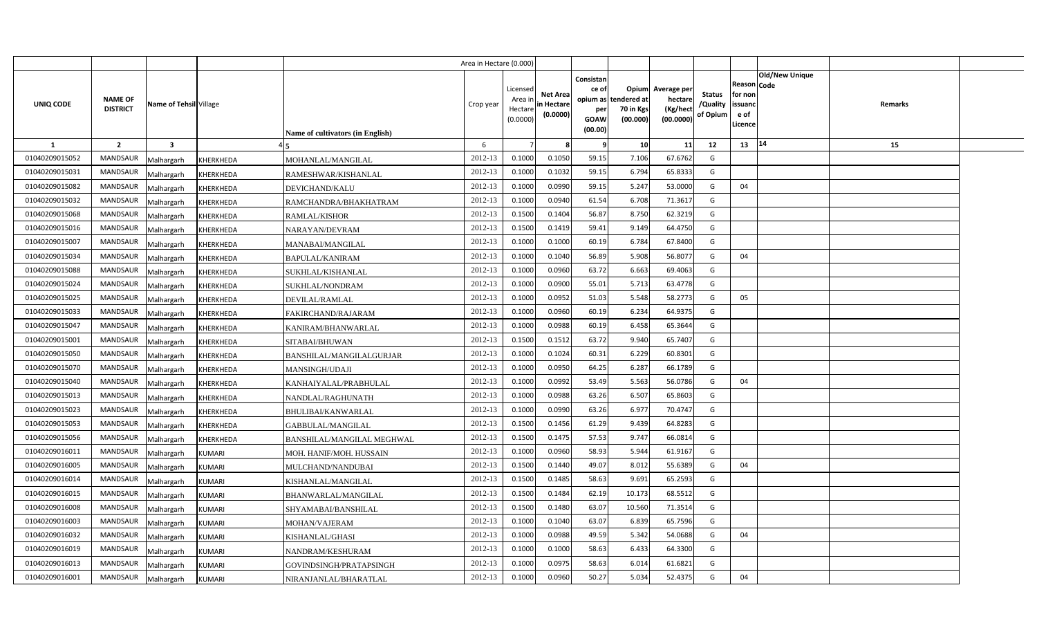|                |                                   |                                |                                         | Area in Hectare (0.000) |                                            |                                           |                                                                             |                                |                                                 |                                       |                                                      |                       |         |  |
|----------------|-----------------------------------|--------------------------------|-----------------------------------------|-------------------------|--------------------------------------------|-------------------------------------------|-----------------------------------------------------------------------------|--------------------------------|-------------------------------------------------|---------------------------------------|------------------------------------------------------|-----------------------|---------|--|
| UNIQ CODE      | <b>NAME OF</b><br><b>DISTRICT</b> | Name of Tehsil Village         | <b>Name of cultivators (in English)</b> | Crop year               | Licensed<br>Area ir<br>Hectare<br>(0.0000) | <b>Net Area</b><br>in Hectare<br>(0.0000) | Consistan<br>ce of<br>opium as tendered at<br>per<br><b>GOAW</b><br>(00.00) | Opium<br>70 in Kgs<br>(00.000) | Average per<br>hectare<br>(Kg/hect<br>(00.0000) | <b>Status</b><br>/Quality<br>of Opium | Reason Code<br>for non<br>issuanc<br>e of<br>Licence | <b>Old/New Unique</b> | Remarks |  |
| $\mathbf{1}$   | $\overline{2}$                    | $\overline{\mathbf{3}}$        |                                         | 6                       |                                            |                                           | -9                                                                          | 10                             | 11                                              | 12                                    | 13                                                   | 14                    | 15      |  |
| 01040209015052 | <b>MANDSAUR</b>                   | Malhargarh<br>KHERKHEDA        | MOHANLAL/MANGILAL                       | 2012-13                 | 0.1000                                     | 0.1050                                    | 59.15                                                                       | 7.106                          | 67.6762                                         | G                                     |                                                      |                       |         |  |
| 01040209015031 | <b>MANDSAUR</b>                   | Malhargarh<br>KHERKHEDA        | RAMESHWAR/KISHANLAL                     | 2012-13                 | 0.1000                                     | 0.1032                                    | 59.15                                                                       | 6.794                          | 65.8333                                         | G                                     |                                                      |                       |         |  |
| 01040209015082 | <b>MANDSAUR</b>                   | Malhargarh<br>KHERKHEDA        | DEVICHAND/KALU                          | 2012-13                 | 0.1000                                     | 0.0990                                    | 59.15                                                                       | 5.247                          | 53.0000                                         | G                                     | 04                                                   |                       |         |  |
| 01040209015032 | <b>MANDSAUR</b>                   | Malhargarh<br>KHERKHEDA        | RAMCHANDRA/BHAKHATRAM                   | 2012-13                 | 0.1000                                     | 0.0940                                    | 61.54                                                                       | 6.708                          | 71.3617                                         | G                                     |                                                      |                       |         |  |
| 01040209015068 | <b>MANDSAUR</b>                   | Malhargarh<br>KHERKHEDA        | <b>RAMLAL/KISHOR</b>                    | 2012-13                 | 0.1500                                     | 0.1404                                    | 56.87                                                                       | 8.750                          | 62.3219                                         | G                                     |                                                      |                       |         |  |
| 01040209015016 | <b>MANDSAUR</b>                   | Malhargarh<br>KHERKHEDA        | NARAYAN/DEVRAM                          | 2012-13                 | 0.1500                                     | 0.1419                                    | 59.41                                                                       | 9.149                          | 64.4750                                         | G                                     |                                                      |                       |         |  |
| 01040209015007 | <b>MANDSAUR</b>                   | Malhargarh<br>KHERKHEDA        | MANABAI/MANGILAL                        | 2012-13                 | 0.1000                                     | 0.1000                                    | 60.19                                                                       | 6.784                          | 67.8400                                         | G                                     |                                                      |                       |         |  |
| 01040209015034 | <b>MANDSAUR</b>                   | Malhargarh<br>KHERKHEDA        | <b>BAPULAL/KANIRAM</b>                  | 2012-13                 | 0.1000                                     | 0.1040                                    | 56.89                                                                       | 5.908                          | 56.8077                                         | G                                     | 04                                                   |                       |         |  |
| 01040209015088 | <b>MANDSAUR</b>                   | Malhargarh<br>KHERKHEDA        | SUKHLAL/KISHANLAL                       | 2012-13                 | 0.1000                                     | 0.0960                                    | 63.72                                                                       | 6.663                          | 69.4063                                         | G                                     |                                                      |                       |         |  |
| 01040209015024 | <b>MANDSAUR</b>                   | Malhargarh<br>KHERKHEDA        | SUKHLAL/NONDRAM                         | 2012-13                 | 0.1000                                     | 0.0900                                    | 55.01                                                                       | 5.713                          | 63.4778                                         | G                                     |                                                      |                       |         |  |
| 01040209015025 | <b>MANDSAUR</b>                   | Malhargarh<br>KHERKHEDA        | DEVILAL/RAMLAL                          | 2012-13                 | 0.1000                                     | 0.0952                                    | 51.03                                                                       | 5.548                          | 58.2773                                         | G                                     | 05                                                   |                       |         |  |
| 01040209015033 | <b>MANDSAUR</b>                   | Malhargarh<br><b>KHERKHEDA</b> | FAKIRCHAND/RAJARAM                      | 2012-13                 | 0.1000                                     | 0.0960                                    | 60.19                                                                       | 6.234                          | 64.9375                                         | G                                     |                                                      |                       |         |  |
| 01040209015047 | <b>MANDSAUR</b>                   | Malhargarh<br>KHERKHEDA        | KANIRAM/BHANWARLAL                      | 2012-13                 | 0.1000                                     | 0.0988                                    | 60.19                                                                       | 6.458                          | 65.3644                                         | G                                     |                                                      |                       |         |  |
| 01040209015001 | <b>MANDSAUR</b>                   | Malhargarh<br>KHERKHEDA        | SITABAI/BHUWAN                          | 2012-13                 | 0.1500                                     | 0.1512                                    | 63.72                                                                       | 9.940                          | 65.7407                                         | G                                     |                                                      |                       |         |  |
| 01040209015050 | MANDSAUR                          | Malhargarh<br>KHERKHEDA        | BANSHILAL/MANGILALGURJAR                | 2012-13                 | 0.1000                                     | 0.1024                                    | 60.31                                                                       | 6.229                          | 60.8301                                         | G                                     |                                                      |                       |         |  |
| 01040209015070 | <b>MANDSAUR</b>                   | Malhargarh<br>KHERKHEDA        | <b>MANSINGH/UDAJI</b>                   | 2012-13                 | 0.1000                                     | 0.0950                                    | 64.25                                                                       | 6.287                          | 66.1789                                         | G                                     |                                                      |                       |         |  |
| 01040209015040 | MANDSAUR                          | Malhargarh<br>KHERKHEDA        | KANHAIYALAL/PRABHULAL                   | 2012-13                 | 0.1000                                     | 0.0992                                    | 53.49                                                                       | 5.563                          | 56.0786                                         | G                                     | 04                                                   |                       |         |  |
| 01040209015013 | <b>MANDSAUR</b>                   | Malhargarh<br>KHERKHEDA        | NANDLAL/RAGHUNATH                       | 2012-13                 | 0.1000                                     | 0.0988                                    | 63.26                                                                       | 6.507                          | 65.8603                                         | G                                     |                                                      |                       |         |  |
| 01040209015023 | MANDSAUR                          | Malhargarh<br>KHERKHEDA        | BHULIBAI/KANWARLAL                      | 2012-13                 | 0.1000                                     | 0.0990                                    | 63.26                                                                       | 6.977                          | 70.4747                                         | G                                     |                                                      |                       |         |  |
| 01040209015053 | <b>MANDSAUR</b>                   | Malhargarh<br>KHERKHEDA        | GABBULAL/MANGILAL                       | 2012-13                 | 0.1500                                     | 0.1456                                    | 61.29                                                                       | 9.439                          | 64.8283                                         | G                                     |                                                      |                       |         |  |
| 01040209015056 | <b>MANDSAUR</b>                   | Malhargarh<br>KHERKHEDA        | BANSHILAL/MANGILAL MEGHWAL              | 2012-13                 | 0.1500                                     | 0.1475                                    | 57.53                                                                       | 9.747                          | 66.0814                                         | G                                     |                                                      |                       |         |  |
| 01040209016011 | <b>MANDSAUR</b>                   | Malhargarh<br><b>KUMARI</b>    | MOH. HANIF/MOH. HUSSAIN                 | 2012-13                 | 0.1000                                     | 0.0960                                    | 58.93                                                                       | 5.944                          | 61.9167                                         | G                                     |                                                      |                       |         |  |
| 01040209016005 | <b>MANDSAUR</b>                   | Malhargarh<br><b>KUMARI</b>    | MULCHAND/NANDUBAI                       | 2012-13                 | 0.1500                                     | 0.1440                                    | 49.07                                                                       | 8.012                          | 55.6389                                         | G                                     | 04                                                   |                       |         |  |
| 01040209016014 | MANDSAUR                          | Malhargarh<br><b>KUMARI</b>    | KISHANLAL/MANGILAL                      | 2012-13                 | 0.1500                                     | 0.1485                                    | 58.63                                                                       | 9.691                          | 65.2593                                         | G                                     |                                                      |                       |         |  |
| 01040209016015 | <b>MANDSAUR</b>                   | Malhargarh<br><b>KUMARI</b>    | BHANWARLAL/MANGILAL                     | 2012-13                 | 0.1500                                     | 0.1484                                    | 62.19                                                                       | 10.173                         | 68.5512                                         | G                                     |                                                      |                       |         |  |
| 01040209016008 | <b>MANDSAUR</b>                   | Malhargarh<br><b>KUMARI</b>    | SHYAMABAI/BANSHILAL                     | 2012-13                 | 0.1500                                     | 0.1480                                    | 63.07                                                                       | 10.560                         | 71.3514                                         | G                                     |                                                      |                       |         |  |
| 01040209016003 | <b>MANDSAUR</b>                   | Malhargarh<br><b>KUMARI</b>    | MOHAN/VAJERAM                           | 2012-13                 | 0.1000                                     | 0.1040                                    | 63.07                                                                       | 6.839                          | 65.7596                                         | G                                     |                                                      |                       |         |  |
| 01040209016032 | <b>MANDSAUR</b>                   | Malhargarh<br><b>KUMARI</b>    | KISHANLAL/GHASI                         | 2012-13                 | 0.1000                                     | 0.0988                                    | 49.59                                                                       | 5.342                          | 54.0688                                         | G                                     | 04                                                   |                       |         |  |
| 01040209016019 | <b>MANDSAUR</b>                   | Malhargarh<br><b>KUMARI</b>    | NANDRAM/KESHURAM                        | 2012-13                 | 0.1000                                     | 0.1000                                    | 58.63                                                                       | 6.433                          | 64.3300                                         | G                                     |                                                      |                       |         |  |
| 01040209016013 | <b>MANDSAUR</b>                   | Malhargarh<br><b>KUMARI</b>    | GOVINDSINGH/PRATAPSINGH                 | 2012-13                 | 0.1000                                     | 0.0975                                    | 58.63                                                                       | 6.014                          | 61.6821                                         | G                                     |                                                      |                       |         |  |
| 01040209016001 | MANDSAUR                          | Malhargarh<br><b>KUMARI</b>    | NIRANJANLAL/BHARATLAL                   | 2012-13                 | 0.1000                                     | 0.0960                                    | 50.27                                                                       | 5.034                          | 52.4375                                         | G                                     | 04                                                   |                       |         |  |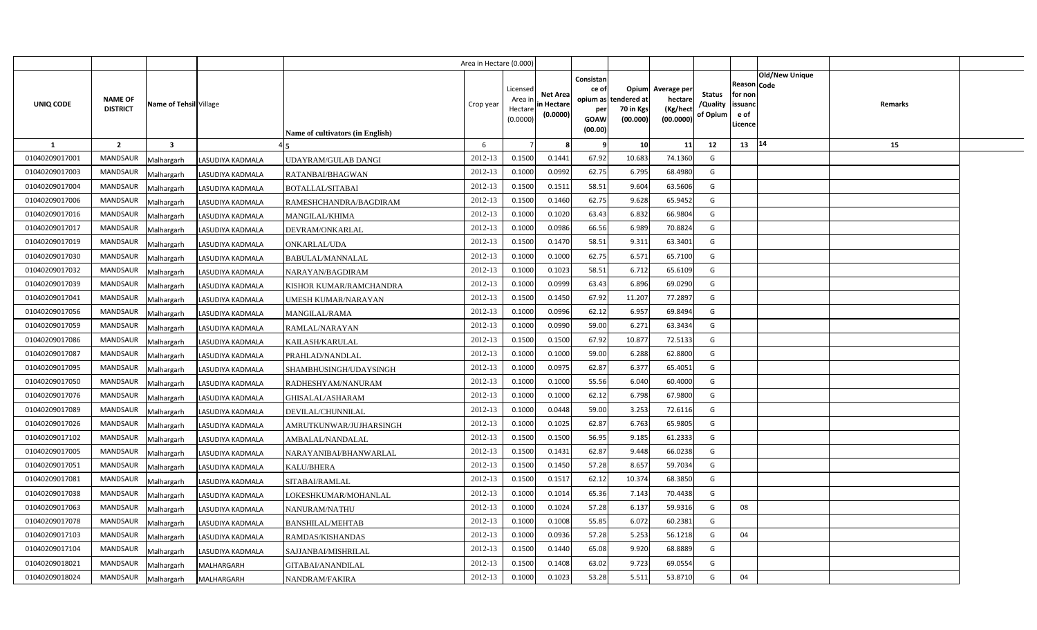|                |                                                             |                   |                                  | Area in Hectare (0.000) |                                            |                                           |                                                     |                                                        |                                                 |                                       |                                                                               |         |  |
|----------------|-------------------------------------------------------------|-------------------|----------------------------------|-------------------------|--------------------------------------------|-------------------------------------------|-----------------------------------------------------|--------------------------------------------------------|-------------------------------------------------|---------------------------------------|-------------------------------------------------------------------------------|---------|--|
| UNIQ CODE      | <b>NAME OF</b><br>Name of Tehsil Village<br><b>DISTRICT</b> |                   | Name of cultivators (in English) | Crop year               | Licensed<br>Area ir<br>Hectare<br>(0.0000) | <b>Net Area</b><br>in Hectare<br>(0.0000) | Consistan<br>ce of<br>per<br><b>GOAW</b><br>(00.00) | Opium<br>opium as tendered at<br>70 in Kgs<br>(00.000) | Average per<br>hectare<br>(Kg/hect<br>(00.0000) | <b>Status</b><br>/Quality<br>of Opium | <b>Old/New Unique</b><br>Reason Code<br>for non<br>issuanc<br>e of<br>.icence | Remarks |  |
| 1              | $\overline{2}$<br>$\overline{\mathbf{3}}$                   |                   |                                  | 6                       |                                            |                                           | -9                                                  | 10                                                     | 11                                              | 12                                    | 14<br>13                                                                      | 15      |  |
| 01040209017001 | <b>MANDSAUR</b><br>Malhargarh                               | LASUDIYA KADMALA  | UDAYRAM/GULAB DANGI              | 2012-13                 | 0.1500                                     | 0.1441                                    | 67.92                                               | 10.683                                                 | 74.1360                                         | G                                     |                                                                               |         |  |
| 01040209017003 | <b>MANDSAUR</b><br>Malhargarh                               | LASUDIYA KADMALA  | RATANBAI/BHAGWAN                 | 2012-13                 | 0.1000                                     | 0.0992                                    | 62.75                                               | 6.795                                                  | 68.4980                                         | G                                     |                                                                               |         |  |
| 01040209017004 | MANDSAUR<br>Malhargarh                                      | LASUDIYA KADMALA  | BOTALLAL/SITABAI                 | 2012-13                 | 0.1500                                     | 0.151                                     | 58.51                                               | 9.604                                                  | 63.5606                                         | G                                     |                                                                               |         |  |
| 01040209017006 | <b>MANDSAUR</b><br>Malhargarh                               | LASUDIYA KADMALA  | RAMESHCHANDRA/BAGDIRAM           | 2012-13                 | 0.1500                                     | 0.1460                                    | 62.75                                               | 9.628                                                  | 65.9452                                         | G                                     |                                                                               |         |  |
| 01040209017016 | MANDSAUR<br>Malhargarh                                      | LASUDIYA KADMALA  | MANGILAL/KHIMA                   | 2012-13                 | 0.1000                                     | 0.1020                                    | 63.43                                               | 6.832                                                  | 66.9804                                         | G                                     |                                                                               |         |  |
| 01040209017017 | <b>MANDSAUR</b><br>Malhargarh                               | LASUDIYA KADMALA  | DEVRAM/ONKARLAL                  | 2012-13                 | 0.1000                                     | 0.0986                                    | 66.56                                               | 6.989                                                  | 70.8824                                         | G                                     |                                                                               |         |  |
| 01040209017019 | MANDSAUR<br>Malhargarh                                      | LASUDIYA KADMALA  | ONKARLAL/UDA                     | 2012-13                 | 0.1500                                     | 0.1470                                    | 58.51                                               | 9.311                                                  | 63.3401                                         | G                                     |                                                                               |         |  |
| 01040209017030 | MANDSAUR<br>Malhargarh                                      | LASUDIYA KADMALA  | BABULAL/MANNALAL                 | 2012-13                 | 0.1000                                     | 0.1000                                    | 62.75                                               | 6.571                                                  | 65.7100                                         | G                                     |                                                                               |         |  |
| 01040209017032 | MANDSAUR<br>Malhargarh                                      | LASUDIYA KADMALA  | NARAYAN/BAGDIRAM                 | 2012-13                 | 0.1000                                     | 0.1023                                    | 58.51                                               | 6.712                                                  | 65.6109                                         | G                                     |                                                                               |         |  |
| 01040209017039 | MANDSAUR<br>Malhargarh                                      | LASUDIYA KADMALA  | KISHOR KUMAR/RAMCHANDRA          | 2012-13                 | 0.1000                                     | 0.0999                                    | 63.43                                               | 6.896                                                  | 69.0290                                         | G                                     |                                                                               |         |  |
| 01040209017041 | <b>MANDSAUR</b><br>Malhargarh                               | LASUDIYA KADMALA  | UMESH KUMAR/NARAYAN              | 2012-13                 | 0.1500                                     | 0.1450                                    | 67.92                                               | 11.207                                                 | 77.289                                          | G                                     |                                                                               |         |  |
| 01040209017056 | MANDSAUR<br>Malhargarh                                      | LASUDIYA KADMALA  | MANGILAL/RAMA                    | 2012-13                 | 0.1000                                     | 0.0996                                    | 62.12                                               | 6.957                                                  | 69.8494                                         | G                                     |                                                                               |         |  |
| 01040209017059 | <b>MANDSAUR</b><br>Malhargarh                               | LASUDIYA KADMALA  | RAMLAL/NARAYAN                   | 2012-13                 | 0.1000                                     | 0.0990                                    | 59.00                                               | 6.271                                                  | 63.3434                                         | G                                     |                                                                               |         |  |
| 01040209017086 | <b>MANDSAUR</b><br>Malhargarh                               | LASUDIYA KADMALA  | KAILASH/KARULAL                  | 2012-13                 | 0.1500                                     | 0.1500                                    | 67.92                                               | 10.877                                                 | 72.5133                                         | G                                     |                                                                               |         |  |
| 01040209017087 | <b>MANDSAUR</b><br>Malhargarh                               | LASUDIYA KADMALA  | PRAHLAD/NANDLAL                  | 2012-13                 | 0.1000                                     | 0.1000                                    | 59.00                                               | 6.288                                                  | 62.8800                                         | G                                     |                                                                               |         |  |
| 01040209017095 | <b>MANDSAUR</b><br>Malhargarh                               | LASUDIYA KADMALA  | SHAMBHUSINGH/UDAYSINGH           | 2012-13                 | 0.1000                                     | 0.0975                                    | 62.87                                               | 6.377                                                  | 65.4051                                         | G                                     |                                                                               |         |  |
| 01040209017050 | <b>MANDSAUR</b><br>Malhargarh                               | LASUDIYA KADMALA  | RADHESHYAM/NANURAM               | 2012-13                 | 0.1000                                     | 0.1000                                    | 55.56                                               | 6.040                                                  | 60.4000                                         | G                                     |                                                                               |         |  |
| 01040209017076 | <b>MANDSAUR</b><br>Malhargarh                               | LASUDIYA KADMALA  | GHISALAL/ASHARAM                 | 2012-13                 | 0.1000                                     | 0.1000                                    | 62.12                                               | 6.798                                                  | 67.9800                                         | G                                     |                                                                               |         |  |
| 01040209017089 | <b>MANDSAUR</b><br>Malhargarh                               | LASUDIYA KADMALA  | DEVILAL/CHUNNILAL                | 2012-13                 | 0.1000                                     | 0.0448                                    | 59.00                                               | 3.253                                                  | 72.6116                                         | G                                     |                                                                               |         |  |
| 01040209017026 | <b>MANDSAUR</b><br>Malhargarh                               | LASUDIYA KADMALA  | AMRUTKUNWAR/JUJHARSINGH          | 2012-13                 | 0.1000                                     | 0.1025                                    | 62.87                                               | 6.763                                                  | 65.9805                                         | G                                     |                                                                               |         |  |
| 01040209017102 | <b>MANDSAUR</b><br>Malhargarh                               | LASUDIYA KADMALA  | AMBALAL/NANDALAL                 | 2012-13                 | 0.1500                                     | 0.1500                                    | 56.95                                               | 9.185                                                  | 61.2333                                         | G                                     |                                                                               |         |  |
| 01040209017005 | MANDSAUR<br>Malhargarh                                      | LASUDIYA KADMALA  | NARAYANIBAI/BHANWARLAL           | 2012-13                 | 0.1500                                     | 0.1431                                    | 62.87                                               | 9.448                                                  | 66.0238                                         | G                                     |                                                                               |         |  |
| 01040209017051 | <b>MANDSAUR</b><br>Malhargarh                               | LASUDIYA KADMALA  | KALU/BHERA                       | 2012-13                 | 0.1500                                     | 0.1450                                    | 57.28                                               | 8.657                                                  | 59.7034                                         | G                                     |                                                                               |         |  |
| 01040209017081 | MANDSAUR<br>Malhargarh                                      | LASUDIYA KADMALA  | SITABAI/RAMLAL                   | 2012-13                 | 0.1500                                     | 0.1517                                    | 62.12                                               | 10.374                                                 | 68.3850                                         | G                                     |                                                                               |         |  |
| 01040209017038 | <b>MANDSAUR</b><br>Malhargarh                               | LASUDIYA KADMALA  | OKESHKUMAR/MOHANLAL              | 2012-13                 | 0.1000                                     | 0.1014                                    | 65.36                                               | 7.143                                                  | 70.4438                                         | G                                     |                                                                               |         |  |
| 01040209017063 | MANDSAUR<br>Malhargarh                                      | LASUDIYA KADMALA  | NANURAM/NATHU                    | 2012-13                 | 0.1000                                     | 0.1024                                    | 57.28                                               | 6.137                                                  | 59.9316                                         | G                                     | 08                                                                            |         |  |
| 01040209017078 | MANDSAUR<br>Malhargarh                                      | LASUDIYA KADMALA  | BANSHILAL/MEHTAB                 | 2012-13                 | 0.1000                                     | 0.1008                                    | 55.85                                               | 6.072                                                  | 60.2381                                         | G                                     |                                                                               |         |  |
| 01040209017103 | MANDSAUR<br>Malhargarh                                      | LASUDIYA KADMALA  | RAMDAS/KISHANDAS                 | 2012-13                 | 0.1000                                     | 0.0936                                    | 57.28                                               | 5.253                                                  | 56.1218                                         | G                                     | 04                                                                            |         |  |
| 01040209017104 | MANDSAUR<br>Malhargarh                                      | LASUDIYA KADMALA  | SAJJANBAI/MISHRILAL              | 2012-13                 | 0.1500                                     | 0.1440                                    | 65.08                                               | 9.920                                                  | 68.8889                                         | G                                     |                                                                               |         |  |
| 01040209018021 | MANDSAUR<br>Malhargarh                                      | MALHARGARH        | GITABAI/ANANDILAL                | 2012-13                 | 0.1500                                     | 0.1408                                    | 63.02                                               | 9.723                                                  | 69.0554                                         | G                                     |                                                                               |         |  |
| 01040209018024 | <b>MANDSAUR</b><br>Malhargarh                               | <b>MALHARGARH</b> | NANDRAM/FAKIRA                   | 2012-13                 | 0.1000                                     | 0.1023                                    | 53.28                                               | 5.511                                                  | 53.8710                                         | G                                     | 04                                                                            |         |  |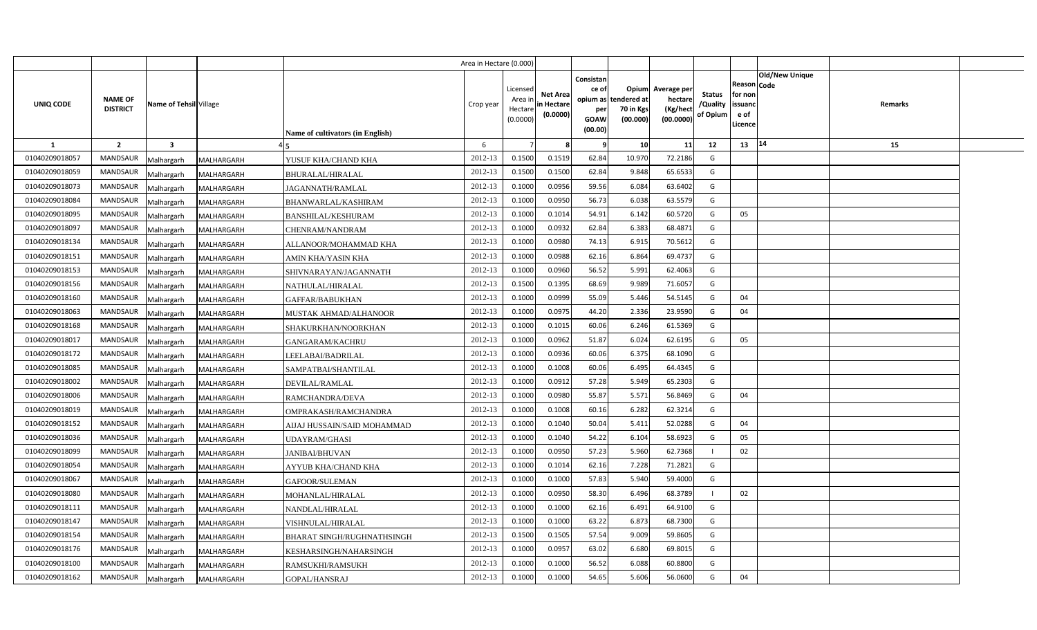|                |                                                      |                   |                                  | Area in Hectare (0.000) |                                            |                                           |                                                     |                                                        |                                                 |                                       |                                                                        |         |  |
|----------------|------------------------------------------------------|-------------------|----------------------------------|-------------------------|--------------------------------------------|-------------------------------------------|-----------------------------------------------------|--------------------------------------------------------|-------------------------------------------------|---------------------------------------|------------------------------------------------------------------------|---------|--|
| UNIQ CODE      | NAME OF<br>Name of Tehsil Village<br><b>DISTRICT</b> |                   | Name of cultivators (in English) | Crop year               | Licensed<br>Area ir<br>Hectare<br>(0.0000) | <b>Net Area</b><br>in Hectare<br>(0.0000) | Consistan<br>ce of<br>per<br><b>GOAW</b><br>(00.00) | Opium<br>opium as tendered at<br>70 in Kgs<br>(00.000) | Average per<br>hectare<br>(Kg/hect<br>(00.0000) | <b>Status</b><br>/Quality<br>of Opium | Old/New Unique<br>Reason Code<br>for non<br>issuanc<br>e of<br>Licence | Remarks |  |
| <b>1</b>       | $\overline{2}$<br>$\mathbf{3}$                       |                   |                                  | 6                       |                                            |                                           | - 9                                                 | 10                                                     | 11                                              | 12                                    | 14<br>13                                                               | 15      |  |
| 01040209018057 | <b>MANDSAUR</b><br>Malhargarh                        | MALHARGARH        | YUSUF KHA/CHAND KHA              | 2012-13                 | 0.1500                                     | 0.1519                                    | 62.84                                               | 10.970                                                 | 72.2186                                         | G                                     |                                                                        |         |  |
| 01040209018059 | MANDSAUR<br>Malhargarh                               | MALHARGARH        | BHURALAL/HIRALAL                 | 2012-13                 | 0.1500                                     | 0.1500                                    | 62.84                                               | 9.848                                                  | 65.6533                                         | G                                     |                                                                        |         |  |
| 01040209018073 | MANDSAUR<br>Malhargarh                               | MALHARGARH        | JAGANNATH/RAMLAL                 | 2012-13                 | 0.1000                                     | 0.0956                                    | 59.56                                               | 6.084                                                  | 63.6402                                         | G                                     |                                                                        |         |  |
| 01040209018084 | MANDSAUR<br>Malhargarh                               | MALHARGARH        | BHANWARLAL/KASHIRAM              | 2012-13                 | 0.1000                                     | 0.0950                                    | 56.73                                               | 6.038                                                  | 63.5579                                         | G                                     |                                                                        |         |  |
| 01040209018095 | <b>MANDSAUR</b><br>Malhargarh                        | MALHARGARH        | BANSHILAL/KESHURAM               | 2012-13                 | 0.1000                                     | 0.1014                                    | 54.91                                               | 6.142                                                  | 60.5720                                         | G                                     | 05                                                                     |         |  |
| 01040209018097 | MANDSAUR<br>Malhargarh                               | MALHARGARH        | CHENRAM/NANDRAM                  | 2012-13                 | 0.1000                                     | 0.0932                                    | 62.84                                               | 6.383                                                  | 68.4871                                         | G                                     |                                                                        |         |  |
| 01040209018134 | <b>MANDSAUR</b><br>Malhargarh                        | MALHARGARH        | ALLANOOR/MOHAMMAD KHA            | 2012-13                 | 0.1000                                     | 0.0980                                    | 74.13                                               | 6.915                                                  | 70.5612                                         | G                                     |                                                                        |         |  |
| 01040209018151 | <b>MANDSAUR</b><br>Malhargarh                        | MALHARGARH        | AMIN KHA/YASIN KHA               | 2012-13                 | 0.1000                                     | 0.0988                                    | 62.16                                               | 6.864                                                  | 69.4737                                         | G                                     |                                                                        |         |  |
| 01040209018153 | MANDSAUR<br>Malhargarh                               | MALHARGARH        | SHIVNARAYAN/JAGANNATH            | 2012-13                 | 0.1000                                     | 0.0960                                    | 56.52                                               | 5.991                                                  | 62.4063                                         | G                                     |                                                                        |         |  |
| 01040209018156 | <b>MANDSAUR</b><br>Malhargarh                        | MALHARGARH        | NATHULAL/HIRALAL                 | 2012-13                 | 0.1500                                     | 0.1395                                    | 68.69                                               | 9.989                                                  | 71.605                                          | G                                     |                                                                        |         |  |
| 01040209018160 | MANDSAUR<br>Malhargarh                               | MALHARGARH        | GAFFAR/BABUKHAN                  | 2012-13                 | 0.1000                                     | 0.0999                                    | 55.09                                               | 5.446                                                  | 54.5145                                         | G                                     | 04                                                                     |         |  |
| 01040209018063 | MANDSAUR<br>Malhargarh                               | MALHARGARH        | <b>MUSTAK AHMAD/ALHANOOR</b>     | 2012-13                 | 0.1000                                     | 0.0975                                    | 44.20                                               | 2.336                                                  | 23.9590                                         | G                                     | 04                                                                     |         |  |
| 01040209018168 | <b>MANDSAUR</b><br>Malhargarh                        | MALHARGARH        | SHAKURKHAN/NOORKHAN              | 2012-13                 | 0.1000                                     | 0.1015                                    | 60.06                                               | 6.246                                                  | 61.5369                                         | G                                     |                                                                        |         |  |
| 01040209018017 | <b>MANDSAUR</b><br>Malhargarh                        | MALHARGARH        | <b>GANGARAM/KACHRU</b>           | 2012-13                 | 0.1000                                     | 0.0962                                    | 51.87                                               | 6.024                                                  | 62.6195                                         | G                                     | 05                                                                     |         |  |
| 01040209018172 | <b>MANDSAUR</b><br>Malhargarh                        | MALHARGARH        | LEELABAI/BADRILAL                | 2012-13                 | 0.1000                                     | 0.0936                                    | 60.06                                               | 6.375                                                  | 68.1090                                         | G                                     |                                                                        |         |  |
| 01040209018085 | <b>MANDSAUR</b><br>Malhargarh                        | MALHARGARH        | SAMPATBAI/SHANTILAL              | 2012-13                 | 0.1000                                     | 0.1008                                    | 60.06                                               | 6.495                                                  | 64.4345                                         | G                                     |                                                                        |         |  |
| 01040209018002 | <b>MANDSAUR</b><br>Malhargarh                        | MALHARGARH        | DEVILAL/RAMLAL                   | 2012-13                 | 0.1000                                     | 0.0912                                    | 57.28                                               | 5.949                                                  | 65.2303                                         | G                                     |                                                                        |         |  |
| 01040209018006 | <b>MANDSAUR</b><br>Malhargarh                        | MALHARGARH        | RAMCHANDRA/DEVA                  | 2012-13                 | 0.1000                                     | 0.0980                                    | 55.87                                               | 5.571                                                  | 56.8469                                         | G                                     | 04                                                                     |         |  |
| 01040209018019 | <b>MANDSAUR</b><br>Malhargarh                        | MALHARGARH        | OMPRAKASH/RAMCHANDRA             | 2012-13                 | 0.1000                                     | 0.1008                                    | 60.16                                               | 6.282                                                  | 62.3214                                         | G                                     |                                                                        |         |  |
| 01040209018152 | MANDSAUR<br>Malhargarh                               | MALHARGARH        | AIJAJ HUSSAIN/SAID MOHAMMAD      | 2012-13                 | 0.1000                                     | 0.1040                                    | 50.04                                               | 5.411                                                  | 52.0288                                         | G                                     | 04                                                                     |         |  |
| 01040209018036 | <b>MANDSAUR</b><br>Malhargarh                        | MALHARGARH        | UDAYRAM/GHASI                    | 2012-13                 | 0.1000                                     | 0.1040                                    | 54.22                                               | 6.104                                                  | 58.6923                                         | G                                     | 05                                                                     |         |  |
| 01040209018099 | <b>MANDSAUR</b><br>Malhargarh                        | MALHARGARH        | JANIBAI/BHUVAN                   | 2012-13                 | 0.1000                                     | 0.0950                                    | 57.23                                               | 5.960                                                  | 62.7368                                         |                                       | 02                                                                     |         |  |
| 01040209018054 | <b>MANDSAUR</b><br>Malhargarh                        | MALHARGARH        | AYYUB KHA/CHAND KHA              | 2012-13                 | 0.1000                                     | 0.1014                                    | 62.16                                               | 7.228                                                  | 71.2821                                         | G                                     |                                                                        |         |  |
| 01040209018067 | MANDSAUR<br>Malhargarh                               | MALHARGARH        | GAFOOR/SULEMAN                   | 2012-13                 | 0.1000                                     | 0.1000                                    | 57.83                                               | 5.940                                                  | 59.4000                                         | G                                     |                                                                        |         |  |
| 01040209018080 | MANDSAUR<br>Malhargarh                               | MALHARGARH        | MOHANLAL/HIRALAL                 | 2012-13                 | 0.1000                                     | 0.0950                                    | 58.30                                               | 6.496                                                  | 68.3789                                         |                                       | 02                                                                     |         |  |
| 01040209018111 | MANDSAUR<br>Malhargarh                               | MALHARGARH        | NANDLAL/HIRALAL                  | 2012-13                 | 0.1000                                     | 0.1000                                    | 62.16                                               | 6.491                                                  | 64.9100                                         | G                                     |                                                                        |         |  |
| 01040209018147 | MANDSAUR<br>Malhargarh                               | MALHARGARH        | VISHNULAL/HIRALAL                | 2012-13                 | 0.1000                                     | 0.1000                                    | 63.22                                               | 6.873                                                  | 68.7300                                         | G                                     |                                                                        |         |  |
| 01040209018154 | MANDSAUR<br>Malhargarh                               | MALHARGARH        | BHARAT SINGH/RUGHNATHSINGH       | 2012-13                 | 0.1500                                     | 0.1505                                    | 57.54                                               | 9.009                                                  | 59.8605                                         | G                                     |                                                                        |         |  |
| 01040209018176 | MANDSAUR<br>Malhargarh                               | MALHARGARH        | KESHARSINGH/NAHARSINGH           | 2012-13                 | 0.1000                                     | 0.0957                                    | 63.02                                               | 6.680                                                  | 69.801                                          | G                                     |                                                                        |         |  |
| 01040209018100 | MANDSAUR<br>Malhargarh                               | MALHARGARH        | RAMSUKHI/RAMSUKH                 | 2012-13                 | 0.1000                                     | 0.1000                                    | 56.52                                               | 6.088                                                  | 60.8800                                         | G                                     |                                                                        |         |  |
| 01040209018162 | MANDSAUR<br>Malhargarh                               | <b>MALHARGARH</b> | GOPAL/HANSRAJ                    | 2012-13                 | 0.1000                                     | 0.1000                                    | 54.65                                               | 5.606                                                  | 56.0600                                         | G                                     | 04                                                                     |         |  |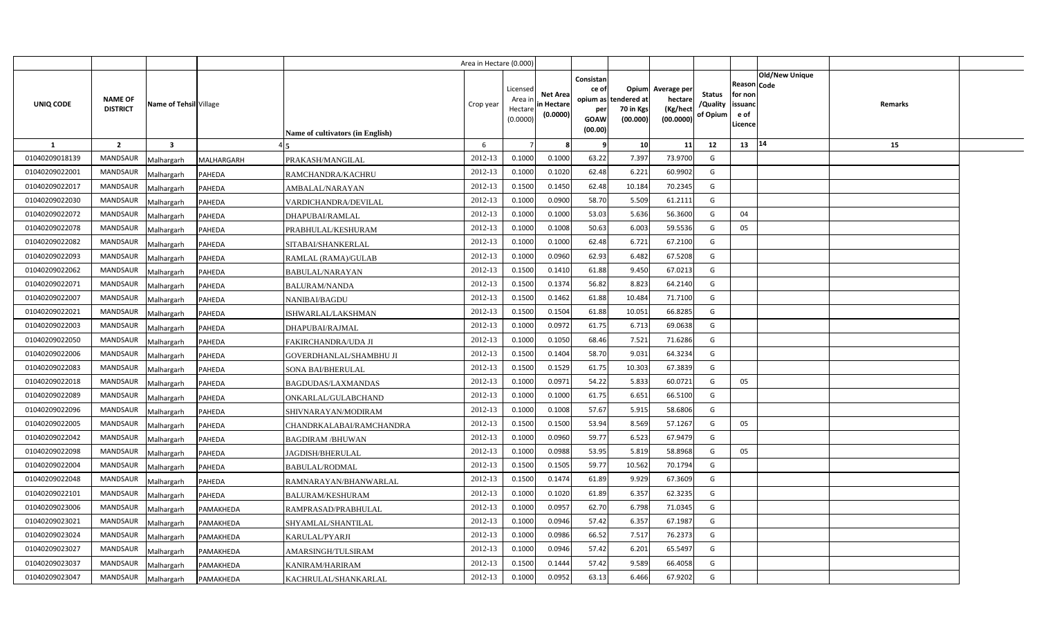|                |                                   |                             |            |                                         | Area in Hectare (0.000) |                                            |                                           |                                                                 |                                                      |                                                 |                                       |                                                      |                |         |  |
|----------------|-----------------------------------|-----------------------------|------------|-----------------------------------------|-------------------------|--------------------------------------------|-------------------------------------------|-----------------------------------------------------------------|------------------------------------------------------|-------------------------------------------------|---------------------------------------|------------------------------------------------------|----------------|---------|--|
| UNIQ CODE      | <b>NAME OF</b><br><b>DISTRICT</b> | Name of Tehsil Village      |            | <b>Name of cultivators (in English)</b> | Crop year               | Licensed<br>Area ir<br>Hectare<br>(0.0000) | <b>Net Area</b><br>in Hectare<br>(0.0000) | Consistan<br>ce of<br>opium as<br>per<br><b>GOAW</b><br>(00.00) | <b>Opium</b><br>tendered at<br>70 in Kgs<br>(00.000) | Average per<br>hectare<br>(Kg/hect<br>(00.0000) | <b>Status</b><br>/Quality<br>of Opium | Reason Code<br>for non<br>issuanc<br>e of<br>Licence | Old/New Unique | Remarks |  |
| 1              | $\overline{2}$                    | $\overline{\mathbf{3}}$     |            |                                         | 6                       |                                            |                                           | - 9                                                             | 10                                                   | 11                                              | 12                                    | 13                                                   | 14             | 15      |  |
| 01040209018139 | <b>MANDSAUR</b>                   | Malhargarh                  | MALHARGARH | PRAKASH/MANGILAL                        | 2012-13                 | 0.1000                                     | 0.1000                                    | 63.22                                                           | 7.397                                                | 73.9700                                         | G                                     |                                                      |                |         |  |
| 01040209022001 | MANDSAUR                          | Malhargarh<br><b>PAHEDA</b> |            | RAMCHANDRA/KACHRU                       | 2012-13                 | 0.1000                                     | 0.1020                                    | 62.48                                                           | 6.221                                                | 60.9902                                         | G                                     |                                                      |                |         |  |
| 01040209022017 | <b>MANDSAUR</b>                   | Malhargarh<br><b>PAHEDA</b> |            | AMBALAL/NARAYAN                         | 2012-13                 | 0.1500                                     | 0.1450                                    | 62.48                                                           | 10.184                                               | 70.2345                                         | G                                     |                                                      |                |         |  |
| 01040209022030 | <b>MANDSAUR</b>                   | Malhargarh<br><b>PAHEDA</b> |            | VARDICHANDRA/DEVILAL                    | 2012-13                 | 0.100                                      | 0.0900                                    | 58.70                                                           | 5.509                                                | 61.2111                                         | G                                     |                                                      |                |         |  |
| 01040209022072 | <b>MANDSAUR</b>                   | Malhargarh<br><b>PAHEDA</b> |            | DHAPUBAI/RAMLAL                         | 2012-13                 | 0.100                                      | 0.1000                                    | 53.03                                                           | 5.636                                                | 56.3600                                         | G                                     | 04                                                   |                |         |  |
| 01040209022078 | <b>MANDSAUR</b>                   | Malhargarh<br>PAHEDA        |            | PRABHULAL/KESHURAM                      | 2012-13                 | 0.1000                                     | 0.1008                                    | 50.63                                                           | 6.003                                                | 59.5536                                         | G                                     | 05                                                   |                |         |  |
| 01040209022082 | <b>MANDSAUR</b>                   | Malhargarh<br>PAHEDA        |            | SITABAI/SHANKERLAL                      | 2012-13                 | 0.1000                                     | 0.1000                                    | 62.48                                                           | 6.721                                                | 67.2100                                         | G                                     |                                                      |                |         |  |
| 01040209022093 | <b>MANDSAUR</b>                   | Malhargarh<br>PAHEDA        |            | RAMLAL (RAMA)/GULAB                     | 2012-13                 | 0.1000                                     | 0.0960                                    | 62.93                                                           | 6.482                                                | 67.5208                                         | G                                     |                                                      |                |         |  |
| 01040209022062 | MANDSAUR                          | Malhargarh<br>PAHEDA        |            | <b>BABULAL/NARAYAN</b>                  | 2012-13                 | 0.1500                                     | 0.1410                                    | 61.88                                                           | 9.450                                                | 67.0213                                         | G                                     |                                                      |                |         |  |
| 01040209022071 | <b>MANDSAUR</b>                   | Malhargarh<br>PAHEDA        |            | <b>BALURAM/NANDA</b>                    | 2012-13                 | 0.1500                                     | 0.137                                     | 56.82                                                           | 8.823                                                | 64.2140                                         | G                                     |                                                      |                |         |  |
| 01040209022007 | <b>MANDSAUR</b>                   | Malhargarh<br>PAHEDA        |            | NANIBAI/BAGDU                           | 2012-13                 | 0.1500                                     | 0.1462                                    | 61.88                                                           | 10.484                                               | 71.7100                                         | G                                     |                                                      |                |         |  |
| 01040209022021 | <b>MANDSAUR</b>                   | Malhargarh<br>PAHEDA        |            | ISHWARLAL/LAKSHMAN                      | 2012-13                 | 0.1500                                     | 0.1504                                    | 61.88                                                           | 10.051                                               | 66.8285                                         | G                                     |                                                      |                |         |  |
| 01040209022003 | MANDSAUR                          | Malhargarh<br>PAHEDA        |            | DHAPUBAI/RAJMAL                         | 2012-13                 | 0.1000                                     | 0.0972                                    | 61.75                                                           | 6.713                                                | 69.0638                                         | G                                     |                                                      |                |         |  |
| 01040209022050 | <b>MANDSAUR</b>                   | Malhargarh<br>PAHEDA        |            | FAKIRCHANDRA/UDA JI                     | 2012-13                 | 0.1000                                     | 0.1050                                    | 68.46                                                           | 7.521                                                | 71.6286                                         | G                                     |                                                      |                |         |  |
| 01040209022006 | MANDSAUR                          | Malhargarh<br>PAHEDA        |            | GOVERDHANLAL/SHAMBHU JI                 | 2012-13                 | 0.1500                                     | 0.1404                                    | 58.70                                                           | 9.031                                                | 64.3234                                         | G                                     |                                                      |                |         |  |
| 01040209022083 | MANDSAUR                          | Malhargarh<br>PAHEDA        |            | SONA BAI/BHERULAL                       | 2012-13                 | 0.1500                                     | 0.1529                                    | 61.75                                                           | 10.303                                               | 67.3839                                         | G                                     |                                                      |                |         |  |
| 01040209022018 | MANDSAUR                          | Malhargarh<br>PAHEDA        |            | BAGDUDAS/LAXMANDAS                      | 2012-13                 | 0.1000                                     | 0.0971                                    | 54.22                                                           | 5.833                                                | 60.0721                                         | G                                     | 05                                                   |                |         |  |
| 01040209022089 | MANDSAUR                          | Malhargarh<br>PAHEDA        |            | ONKARLAL/GULABCHAND                     | 2012-13                 | 0.1000                                     | 0.1000                                    | 61.75                                                           | 6.651                                                | 66.5100                                         | G                                     |                                                      |                |         |  |
| 01040209022096 | <b>MANDSAUR</b>                   | Malhargarh<br>PAHEDA        |            | SHIVNARAYAN/MODIRAM                     | 2012-13                 | 0.1000                                     | 0.1008                                    | 57.67                                                           | 5.915                                                | 58.6806                                         | G                                     |                                                      |                |         |  |
| 01040209022005 | <b>MANDSAUR</b>                   | Malhargarh<br><b>PAHEDA</b> |            | CHANDRKALABAI/RAMCHANDRA                | 2012-13                 | 0.1500                                     | 0.1500                                    | 53.94                                                           | 8.569                                                | 57.1267                                         | G                                     | 05                                                   |                |         |  |
| 01040209022042 | <b>MANDSAUR</b>                   | Malhargarh<br>PAHEDA        |            | <b>BAGDIRAM /BHUWAN</b>                 | 2012-13                 | 0.1000                                     | 0.0960                                    | 59.77                                                           | 6.523                                                | 67.9479                                         | G                                     |                                                      |                |         |  |
| 01040209022098 | <b>MANDSAUR</b>                   | Malhargarh<br>PAHEDA        |            | JAGDISH/BHERULAL                        | 2012-13                 | 0.1000                                     | 0.0988                                    | 53.95                                                           | 5.819                                                | 58.8968                                         | G                                     | 05                                                   |                |         |  |
| 01040209022004 | <b>MANDSAUR</b>                   | Malhargarh<br><b>PAHEDA</b> |            | <b>BABULAL/RODMAL</b>                   | 2012-13                 | 0.1500                                     | 0.1505                                    | 59.77                                                           | 10.562                                               | 70.1794                                         | G                                     |                                                      |                |         |  |
| 01040209022048 | MANDSAUR                          | Malhargarh<br>PAHEDA        |            | RAMNARAYAN/BHANWARLAL                   | 2012-13                 | 0.1500                                     | 0.1474                                    | 61.89                                                           | 9.929                                                | 67.3609                                         | G                                     |                                                      |                |         |  |
| 01040209022101 | <b>MANDSAUR</b>                   | Malhargarh<br>PAHEDA        |            | BALURAM/KESHURAM                        | 2012-13                 | 0.1000                                     | 0.1020                                    | 61.89                                                           | 6.357                                                | 62.3235                                         | G                                     |                                                      |                |         |  |
| 01040209023006 | <b>MANDSAUR</b>                   | Malhargarh<br>PAMAKHEDA     |            | RAMPRASAD/PRABHULAL                     | 2012-13                 | 0.1000                                     | 0.0957                                    | 62.70                                                           | 6.798                                                | 71.0345                                         | G                                     |                                                      |                |         |  |
| 01040209023021 | <b>MANDSAUR</b>                   | Malhargarh<br>PAMAKHEDA     |            | SHYAMLAL/SHANTILAL                      | 2012-13                 | 0.1000                                     | 0.0946                                    | 57.42                                                           | 6.357                                                | 67.1987                                         | G                                     |                                                      |                |         |  |
| 01040209023024 | <b>MANDSAUR</b>                   | Malhargarh<br>PAMAKHEDA     |            | KARULAL/PYARJI                          | 2012-13                 | 0.1000                                     | 0.0986                                    | 66.52                                                           | 7.517                                                | 76.2373                                         | G                                     |                                                      |                |         |  |
| 01040209023027 | <b>MANDSAUR</b>                   | Malhargarh<br>PAMAKHEDA     |            | AMARSINGH/TULSIRAM                      | 2012-13                 | 0.1000                                     | 0.0946                                    | 57.42                                                           | 6.201                                                | 65.5497                                         | G                                     |                                                      |                |         |  |
| 01040209023037 | <b>MANDSAUR</b>                   | Malhargarh<br>PAMAKHEDA     |            | <b>KANIRAM/HARIRAM</b>                  | 2012-13                 | 0.1500                                     | 0.1444                                    | 57.42                                                           | 9.589                                                | 66.4058                                         | G                                     |                                                      |                |         |  |
| 01040209023047 | MANDSAUR                          | Malhargarh<br>PAMAKHEDA     |            | KACHRULAL/SHANKARLAL                    | 2012-13                 | 0.1000                                     | 0.0952                                    | 63.13                                                           | 6.466                                                | 67.9202                                         | G                                     |                                                      |                |         |  |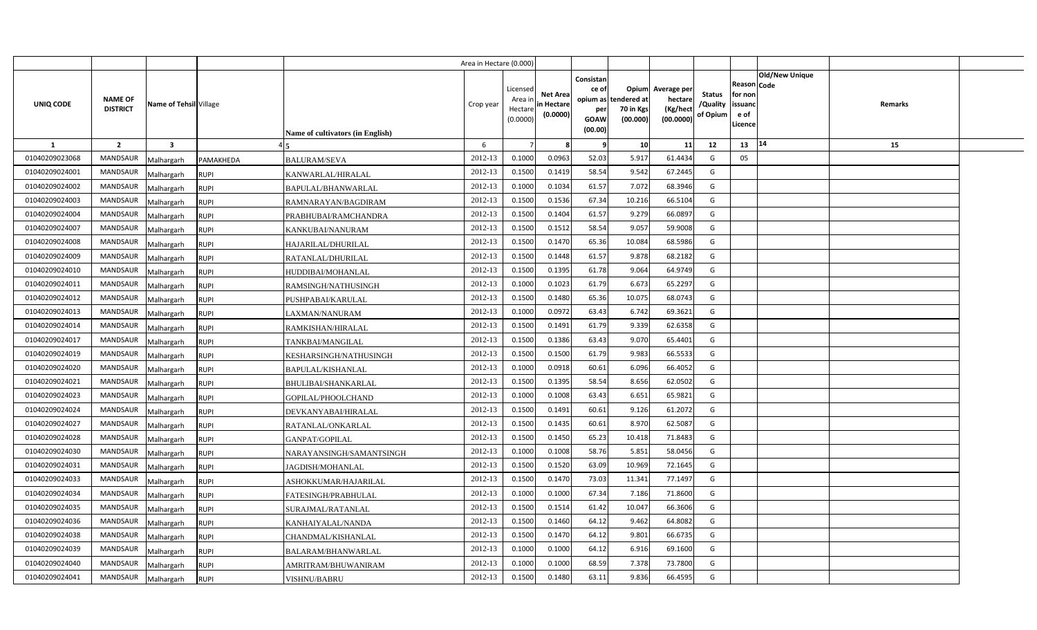|                |                                   |                         |                                    |                                  | Area in Hectare (0.000) |                                           |                                           |                                                     |                                                        |                                                 |                                       |                                                      |                       |         |  |
|----------------|-----------------------------------|-------------------------|------------------------------------|----------------------------------|-------------------------|-------------------------------------------|-------------------------------------------|-----------------------------------------------------|--------------------------------------------------------|-------------------------------------------------|---------------------------------------|------------------------------------------------------|-----------------------|---------|--|
| UNIQ CODE      | <b>NAME OF</b><br><b>DISTRICT</b> | Name of Tehsil Village  |                                    | Name of cultivators (in English) | Crop year               | Licensed<br>Area ir<br>Hectar<br>(0.0000) | <b>Net Area</b><br>in Hectare<br>(0.0000) | Consistan<br>ce of<br>per<br><b>GOAW</b><br>(00.00) | Opium<br>opium as tendered at<br>70 in Kgs<br>(00.000) | Average per<br>hectare<br>(Kg/hect<br>(00.0000) | <b>Status</b><br>/Quality<br>of Opium | Reason Code<br>for non<br>issuanc<br>e of<br>Licence | <b>Old/New Unique</b> | Remarks |  |
| 1              | $\overline{2}$                    | $\overline{\mathbf{3}}$ |                                    |                                  | 6                       |                                           |                                           | q                                                   | 10                                                     | 11                                              | 12                                    | 13                                                   | 14                    | 15      |  |
| 01040209023068 | <b>MANDSAUR</b>                   | Malhargarh              | PAMAKHEDA<br><b>BALURAM/SEVA</b>   |                                  | 2012-13                 | 0.1000                                    | 0.0963                                    | 52.03                                               | 5.917                                                  | 61.4434                                         | G                                     | 05                                                   |                       |         |  |
| 01040209024001 | MANDSAUR                          | Malhargarh              | <b>RUPI</b>                        | KANWARLAL/HIRALAL                | 2012-13                 | 0.1500                                    | 0.1419                                    | 58.54                                               | 9.542                                                  | 67.2445                                         | G                                     |                                                      |                       |         |  |
| 01040209024002 | <b>MANDSAUR</b>                   | Malhargarh              | <b>RUPI</b>                        | BAPULAL/BHANWARLAL               | 2012-13                 | 0.100                                     | 0.1034                                    | 61.57                                               | 7.072                                                  | 68.3946                                         | G                                     |                                                      |                       |         |  |
| 01040209024003 | <b>MANDSAUR</b>                   | Malhargarh              | <b>RUPI</b>                        | RAMNARAYAN/BAGDIRAM              | 2012-13                 | 0.1500                                    | 0.1536                                    | 67.34                                               | 10.216                                                 | 66.5104                                         | G                                     |                                                      |                       |         |  |
| 01040209024004 | MANDSAUR                          | Malhargarh              | <b>RUPI</b>                        | PRABHUBAI/RAMCHANDRA             | 2012-13                 | 0.1500                                    | 0.1404                                    | 61.57                                               | 9.279                                                  | 66.0897                                         | G                                     |                                                      |                       |         |  |
| 01040209024007 | <b>MANDSAUR</b>                   | Malhargarh              | <b>RUPI</b>                        | KANKUBAI/NANURAM                 | 2012-13                 | 0.1500                                    | 0.151                                     | 58.54                                               | 9.057                                                  | 59.9008                                         | G                                     |                                                      |                       |         |  |
| 01040209024008 | MANDSAUR                          | Malhargarh              | <b>RUPI</b>                        | HAJARILAL/DHURILAL               | 2012-13                 | 0.1500                                    | 0.1470                                    | 65.36                                               | 10.084                                                 | 68.5986                                         | G                                     |                                                      |                       |         |  |
| 01040209024009 | <b>MANDSAUR</b>                   | Malhargarh              | <b>RUPI</b>                        | RATANLAL/DHURILAL                | 2012-13                 | 0.1500                                    | 0.1448                                    | 61.57                                               | 9.878                                                  | 68.2182                                         | G                                     |                                                      |                       |         |  |
| 01040209024010 | MANDSAUR                          | Malhargarh              | <b>RUPI</b>                        | HUDDIBAI/MOHANLAL                | 2012-13                 | 0.1500                                    | 0.1395                                    | 61.78                                               | 9.064                                                  | 64.9749                                         | G                                     |                                                      |                       |         |  |
| 01040209024011 | <b>MANDSAUR</b>                   | Malhargarh              | <b>RUPI</b>                        | RAMSINGH/NATHUSINGH              | 2012-13                 | 0.1000                                    | 0.1023                                    | 61.79                                               | 6.673                                                  | 65.2297                                         | G                                     |                                                      |                       |         |  |
| 01040209024012 | MANDSAUR                          | Malhargarh              | <b>RUPI</b>                        | PUSHPABAI/KARULAL                | 2012-13                 | 0.1500                                    | 0.1480                                    | 65.36                                               | 10.075                                                 | 68.0743                                         | G                                     |                                                      |                       |         |  |
| 01040209024013 | <b>MANDSAUR</b>                   | Malhargarh              | <b>RUPI</b>                        | LAXMAN/NANURAM                   | 2012-13                 | 0.1000                                    | 0.0972                                    | 63.43                                               | 6.742                                                  | 69.3621                                         | G                                     |                                                      |                       |         |  |
| 01040209024014 | MANDSAUR                          | Malhargarh              | <b>RUPI</b>                        | RAMKISHAN/HIRALAL                | 2012-13                 | 0.1500                                    | 0.1491                                    | 61.79                                               | 9.339                                                  | 62.6358                                         | G                                     |                                                      |                       |         |  |
| 01040209024017 | <b>MANDSAUR</b>                   | Malhargarh              | <b>RUPI</b>                        | TANKBAI/MANGILAL                 | 2012-13                 | 0.1500                                    | 0.1386                                    | 63.43                                               | 9.070                                                  | 65.4401                                         | G                                     |                                                      |                       |         |  |
| 01040209024019 | <b>MANDSAUR</b>                   | Malhargarh              | <b>RUPI</b>                        | KESHARSINGH/NATHUSINGH           | 2012-13                 | 0.1500                                    | 0.1500                                    | 61.79                                               | 9.983                                                  | 66.5533                                         | G                                     |                                                      |                       |         |  |
| 01040209024020 | MANDSAUR                          | Malhargarh              | <b>RUPI</b>                        | BAPULAL/KISHANLAL                | 2012-13                 | 0.1000                                    | 0.0918                                    | 60.61                                               | 6.096                                                  | 66.4052                                         | G                                     |                                                      |                       |         |  |
| 01040209024021 | <b>MANDSAUR</b>                   | Malhargarh              | <b>RUPI</b>                        | <b>BHULIBAI/SHANKARLAL</b>       | 2012-13                 | 0.1500                                    | 0.1395                                    | 58.54                                               | 8.656                                                  | 62.0502                                         | G                                     |                                                      |                       |         |  |
| 01040209024023 | MANDSAUR                          | Malhargarh              | <b>RUPI</b>                        | GOPILAL/PHOOLCHAND               | 2012-13                 | 0.1000                                    | 0.1008                                    | 63.43                                               | 6.651                                                  | 65.9821                                         | G                                     |                                                      |                       |         |  |
| 01040209024024 | MANDSAUR                          | Malhargarh              | <b>RUPI</b>                        | DEVKANYABAI/HIRALAL              | 2012-13                 | 0.1500                                    | 0.1491                                    | 60.61                                               | 9.126                                                  | 61.2072                                         | G                                     |                                                      |                       |         |  |
| 01040209024027 | MANDSAUR                          | Malhargarh              | <b>RUPI</b>                        | RATANLAL/ONKARLAL                | 2012-13                 | 0.1500                                    | 0.1435                                    | 60.61                                               | 8.970                                                  | 62.5087                                         | G                                     |                                                      |                       |         |  |
| 01040209024028 | MANDSAUR                          | Malhargarh              | <b>RUPI</b>                        | GANPAT/GOPILAL                   | 2012-13                 | 0.1500                                    | 0.1450                                    | 65.23                                               | 10.418                                                 | 71.8483                                         | G                                     |                                                      |                       |         |  |
| 01040209024030 | MANDSAUR                          | Malhargarh              | <b>RUPI</b>                        | NARAYANSINGH/SAMANTSINGH         | 2012-13                 | 0.1000                                    | 0.1008                                    | 58.76                                               | 5.851                                                  | 58.0456                                         | G                                     |                                                      |                       |         |  |
| 01040209024031 | MANDSAUR                          | Malhargarh              | <b>RUPI</b>                        | JAGDISH/MOHANLAL                 | 2012-13                 | 0.1500                                    | 0.1520                                    | 63.09                                               | 10.969                                                 | 72.1645                                         | G                                     |                                                      |                       |         |  |
| 01040209024033 | MANDSAUR                          | Malhargarh              | <b>RUPI</b>                        | ASHOKKUMAR/HAJARILAL             | 2012-13                 | 0.1500                                    | 0.1470                                    | 73.03                                               | 11.341                                                 | 77.1497                                         | G                                     |                                                      |                       |         |  |
| 01040209024034 | MANDSAUR                          | Malhargarh              | <b>RUPI</b>                        | FATESINGH/PRABHULAL              | 2012-13                 | 0.1000                                    | 0.1000                                    | 67.34                                               | 7.186                                                  | 71.8600                                         | G                                     |                                                      |                       |         |  |
| 01040209024035 | <b>MANDSAUR</b>                   | Malhargarh              | <b>RUPI</b>                        | SURAJMAL/RATANLAL                | 2012-13                 | 0.1500                                    | 0.1514                                    | 61.42                                               | 10.047                                                 | 66.3606                                         | G                                     |                                                      |                       |         |  |
| 01040209024036 | MANDSAUR                          | Malhargarh              | <b>RUPI</b>                        | KANHAIYALAL/NANDA                | 2012-13                 | 0.1500                                    | 0.1460                                    | 64.12                                               | 9.462                                                  | 64.8082                                         | G                                     |                                                      |                       |         |  |
| 01040209024038 | <b>MANDSAUR</b>                   | Malhargarh              | <b>RUPI</b>                        | CHANDMAL/KISHANLAL               | 2012-13                 | 0.1500                                    | 0.1470                                    | 64.12                                               | 9.801                                                  | 66.6735                                         | G                                     |                                                      |                       |         |  |
| 01040209024039 | MANDSAUR                          | Malhargarh              | <b>RUPI</b>                        | BALARAM/BHANWARLAL               | 2012-13                 | 0.1000                                    | 0.1000                                    | 64.12                                               | 6.916                                                  | 69.1600                                         | G                                     |                                                      |                       |         |  |
| 01040209024040 | <b>MANDSAUR</b>                   | Malhargarh              | <b>RUPI</b>                        | AMRITRAM/BHUWANIRAM              | 2012-13                 | 0.1000                                    | 0.1000                                    | 68.59                                               | 7.378                                                  | 73.7800                                         | G                                     |                                                      |                       |         |  |
| 01040209024041 | <b>MANDSAUR</b>                   | Malhargarh              | <b>RUPI</b><br><b>VISHNU/BABRU</b> |                                  | 2012-13                 | 0.1500                                    | 0.1480                                    | 63.11                                               | 9.836                                                  | 66.4595                                         | G                                     |                                                      |                       |         |  |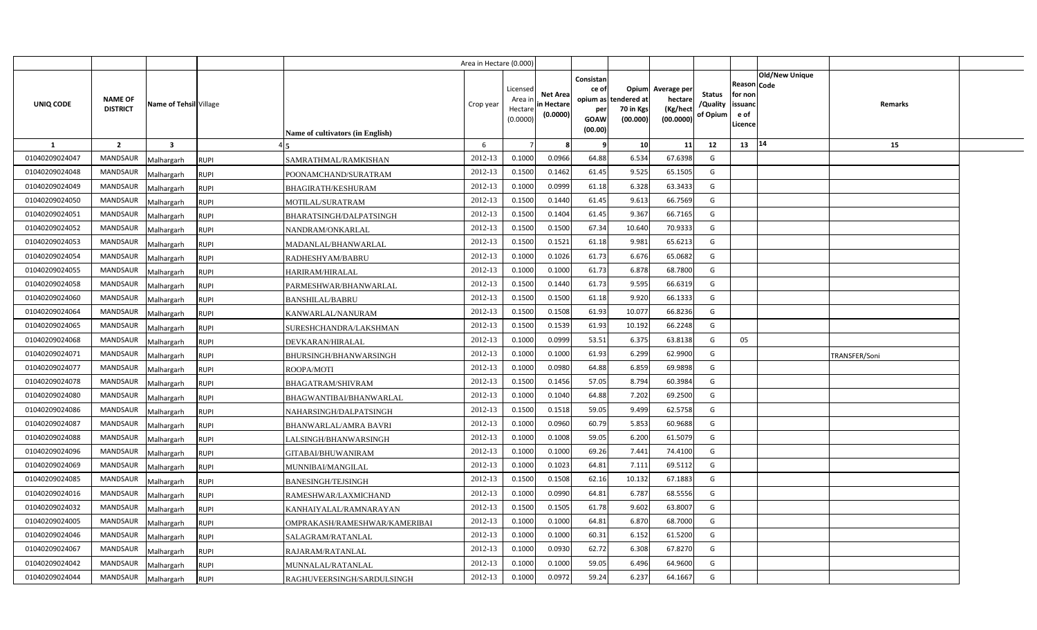|                |                                   |                         |             |                                  | Area in Hectare (0.000) |                                            |                                           |                                                          |                                                      |                                                 |                                       |                                                      |                       |                      |  |
|----------------|-----------------------------------|-------------------------|-------------|----------------------------------|-------------------------|--------------------------------------------|-------------------------------------------|----------------------------------------------------------|------------------------------------------------------|-------------------------------------------------|---------------------------------------|------------------------------------------------------|-----------------------|----------------------|--|
| UNIQ CODE      | <b>NAME OF</b><br><b>DISTRICT</b> | Name of Tehsil Village  |             | Name of cultivators (in English) | Crop year               | Licensed<br>Area ir<br>Hectare<br>(0.0000) | <b>Net Area</b><br>in Hectare<br>(0.0000) | Consistan<br>ce of<br>opium as<br>per<br>GOAW<br>(00.00) | <b>Opium</b><br>tendered at<br>70 in Kgs<br>(00.000) | Average per<br>hectare<br>(Kg/hect<br>(00.0000) | <b>Status</b><br>/Quality<br>of Opium | Reason Code<br>for non<br>issuand<br>e of<br>Licence | <b>Old/New Unique</b> | Remarks              |  |
| 1              | $\overline{2}$                    | $\overline{\mathbf{3}}$ |             |                                  | 6                       |                                            |                                           |                                                          | 10 <sup>1</sup>                                      | 11                                              | 12                                    | 13   14                                              |                       | 15                   |  |
| 01040209024047 | <b>MANDSAUR</b>                   | Malhargarh              | <b>RUPI</b> | SAMRATHMAL/RAMKISHAN             | 2012-13                 | 0.1000                                     | 0.0966                                    | 64.88                                                    | 6.534                                                | 67.6398                                         | G                                     |                                                      |                       |                      |  |
| 01040209024048 | <b>MANDSAUR</b>                   | Malhargarh              | <b>RUPI</b> | POONAMCHAND/SURATRAM             | 2012-13                 | 0.1500                                     | 0.1462                                    | 61.45                                                    | 9.525                                                | 65.1505                                         | G                                     |                                                      |                       |                      |  |
| 01040209024049 | <b>MANDSAUR</b>                   | Malhargarh              | <b>RUPI</b> | BHAGIRATH/KESHURAM               | 2012-13                 | 0.1000                                     | 0.0999                                    | 61.18                                                    | 6.328                                                | 63.3433                                         | G                                     |                                                      |                       |                      |  |
| 01040209024050 | MANDSAUR                          | Malhargarh              | <b>RUPI</b> | MOTILAL/SURATRAM                 | 2012-13                 | 0.1500                                     | 0.1440                                    | 61.45                                                    | 9.613                                                | 66.7569                                         | G                                     |                                                      |                       |                      |  |
| 01040209024051 | <b>MANDSAUR</b>                   | Malhargarh              | <b>RUPI</b> | BHARATSINGH/DALPATSINGH          | 2012-13                 | 0.1500                                     | 0.1404                                    | 61.45                                                    | 9.367                                                | 66.7165                                         | G                                     |                                                      |                       |                      |  |
| 01040209024052 | <b>MANDSAUR</b>                   | Malhargarh              | <b>RUPI</b> | NANDRAM/ONKARLAL                 | 2012-13                 | 0.1500                                     | 0.1500                                    | 67.34                                                    | 10.640                                               | 70.9333                                         | G                                     |                                                      |                       |                      |  |
| 01040209024053 | <b>MANDSAUR</b>                   | Malhargarh              | <b>RUPI</b> | MADANLAL/BHANWARLAL              | 2012-13                 | 0.1500                                     | 0.1521                                    | 61.18                                                    | 9.981                                                | 65.6213                                         | G                                     |                                                      |                       |                      |  |
| 01040209024054 | <b>MANDSAUR</b>                   | Malhargarh              | <b>RUPI</b> | RADHESHYAM/BABRU                 | 2012-13                 | 0.1000                                     | 0.1026                                    | 61.73                                                    | 6.676                                                | 65.0682                                         | G                                     |                                                      |                       |                      |  |
| 01040209024055 | MANDSAUR                          | Malhargarh              | <b>RUPI</b> | HARIRAM/HIRALAL                  | 2012-13                 | 0.1000                                     | 0.1000                                    | 61.73                                                    | 6.878                                                | 68.7800                                         | G                                     |                                                      |                       |                      |  |
| 01040209024058 | MANDSAUR                          | Malhargarh              | <b>RUPI</b> | PARMESHWAR/BHANWARLAL            | 2012-13                 | 0.1500                                     | 0.1440                                    | 61.73                                                    | 9.595                                                | 66.6319                                         | G                                     |                                                      |                       |                      |  |
| 01040209024060 | MANDSAUR                          | Malhargarh              | <b>RUPI</b> | <b>BANSHILAL/BABRU</b>           | 2012-13                 | 0.1500                                     | 0.1500                                    | 61.18                                                    | 9.920                                                | 66.1333                                         | G                                     |                                                      |                       |                      |  |
| 01040209024064 | MANDSAUR                          | Malhargarh              | <b>RUPI</b> | KANWARLAL/NANURAM                | 2012-13                 | 0.1500                                     | 0.1508                                    | 61.93                                                    | 10.077                                               | 66.8236                                         | G                                     |                                                      |                       |                      |  |
| 01040209024065 | MANDSAUR                          | Malhargarh              | <b>RUPI</b> | SURESHCHANDRA/LAKSHMAN           | 2012-13                 | 0.1500                                     | 0.1539                                    | 61.93                                                    | 10.192                                               | 66.2248                                         | G                                     |                                                      |                       |                      |  |
| 01040209024068 | <b>MANDSAUR</b>                   | Malhargarh              | <b>RUPI</b> | DEVKARAN/HIRALAL                 | 2012-13                 | 0.1000                                     | 0.0999                                    | 53.51                                                    | 6.375                                                | 63.8138                                         | G                                     | 05                                                   |                       |                      |  |
| 01040209024071 | MANDSAUR                          | Malhargarh              | <b>RUPI</b> | BHURSINGH/BHANWARSINGH           | 2012-13                 | 0.1000                                     | 0.1000                                    | 61.93                                                    | 6.299                                                | 62.9900                                         | G                                     |                                                      |                       | <b>FRANSFER/Soni</b> |  |
| 01040209024077 | <b>MANDSAUR</b>                   | Malhargarh              | <b>RUPI</b> | ROOPA/MOTI                       | 2012-13                 | 0.1000                                     | 0.0980                                    | 64.88                                                    | 6.859                                                | 69.9898                                         | G                                     |                                                      |                       |                      |  |
| 01040209024078 | MANDSAUR                          | Malhargarh              | RUPI        | BHAGATRAM/SHIVRAM                | 2012-13                 | 0.1500                                     | 0.1456                                    | 57.05                                                    | 8.794                                                | 60.3984                                         | G                                     |                                                      |                       |                      |  |
| 01040209024080 | MANDSAUR                          | Malhargarh              | <b>RUPI</b> | BHAGWANTIBAI/BHANWARLAL          | 2012-13                 | 0.1000                                     | 0.1040                                    | 64.88                                                    | 7.202                                                | 69.2500                                         | G                                     |                                                      |                       |                      |  |
| 01040209024086 | MANDSAUR                          | Malhargarh              | <b>RUPI</b> | NAHARSINGH/DALPATSINGH           | 2012-13                 | 0.1500                                     | 0.1518                                    | 59.05                                                    | 9.499                                                | 62.5758                                         | G                                     |                                                      |                       |                      |  |
| 01040209024087 | MANDSAUR                          | Malhargarh              | <b>RUPI</b> | <b>BHANWARLAL/AMRA BAVRI</b>     | 2012-13                 | 0.1000                                     | 0.0960                                    | 60.79                                                    | 5.853                                                | 60.9688                                         | G                                     |                                                      |                       |                      |  |
| 01040209024088 | MANDSAUR                          | Malhargarh              | <b>RUPI</b> | LALSINGH/BHANWARSINGH            | 2012-13                 | 0.1000                                     | 0.1008                                    | 59.05                                                    | 6.200                                                | 61.5079                                         | G                                     |                                                      |                       |                      |  |
| 01040209024096 | MANDSAUR                          | Malhargarh              | <b>RUPI</b> | GITABAI/BHUWANIRAM               | 2012-13                 | 0.1000                                     | 0.1000                                    | 69.26                                                    | 7.441                                                | 74.4100                                         | G                                     |                                                      |                       |                      |  |
| 01040209024069 | <b>MANDSAUR</b>                   | Malhargarh              | <b>RUPI</b> | MUNNIBAI/MANGILAL                | 2012-13                 | 0.1000                                     | 0.1023                                    | 64.81                                                    | 7.111                                                | 69.5112                                         | G                                     |                                                      |                       |                      |  |
| 01040209024085 | MANDSAUR                          | Malhargarh              | <b>RUPI</b> | <b>BANESINGH/TEJSINGH</b>        | 2012-13                 | 0.1500                                     | 0.1508                                    | 62.16                                                    | 10.132                                               | 67.1883                                         | G                                     |                                                      |                       |                      |  |
| 01040209024016 | MANDSAUR                          | Malhargarh              | <b>RUPI</b> | RAMESHWAR/LAXMICHAND             | 2012-13                 | 0.1000                                     | 0.0990                                    | 64.81                                                    | 6.787                                                | 68.5556                                         | G                                     |                                                      |                       |                      |  |
| 01040209024032 | MANDSAUR                          | Malhargarh              | RUPI        | KANHAIYALAL/RAMNARAYAN           | 2012-13                 | 0.1500                                     | 0.1505                                    | 61.78                                                    | 9.602                                                | 63.8007                                         | G                                     |                                                      |                       |                      |  |
| 01040209024005 | MANDSAUR                          | Malhargarh              | RUPI        | OMPRAKASH/RAMESHWAR/KAMERIBAI    | 2012-13                 | 0.1000                                     | 0.1000                                    | 64.81                                                    | 6.870                                                | 68.7000                                         | G                                     |                                                      |                       |                      |  |
| 01040209024046 | MANDSAUR                          | Malhargarh              | <b>RUPI</b> | SALAGRAM/RATANLAL                | 2012-13                 | 0.1000                                     | 0.1000                                    | 60.31                                                    | 6.152                                                | 61.5200                                         | G                                     |                                                      |                       |                      |  |
| 01040209024067 | MANDSAUR                          | Malhargarh              | <b>RUPI</b> | RAJARAM/RATANLAL                 | 2012-13                 | 0.1000                                     | 0.0930                                    | 62.72                                                    | 6.308                                                | 67.8270                                         | G                                     |                                                      |                       |                      |  |
| 01040209024042 | MANDSAUR                          | Malhargarh              | RUPI        | MUNNALAL/RATANLAI                | 2012-13                 | 0.1000                                     | 0.1000                                    | 59.05                                                    | 6.496                                                | 64.9600                                         | G                                     |                                                      |                       |                      |  |
| 01040209024044 | <b>MANDSAUR</b>                   | Malhargarh              | <b>RUPI</b> | RAGHUVEERSINGH/SARDULSINGH       | 2012-13                 | 0.1000                                     | 0.0972                                    | 59.24                                                    | 6.237                                                | 64.1667                                         | G                                     |                                                      |                       |                      |  |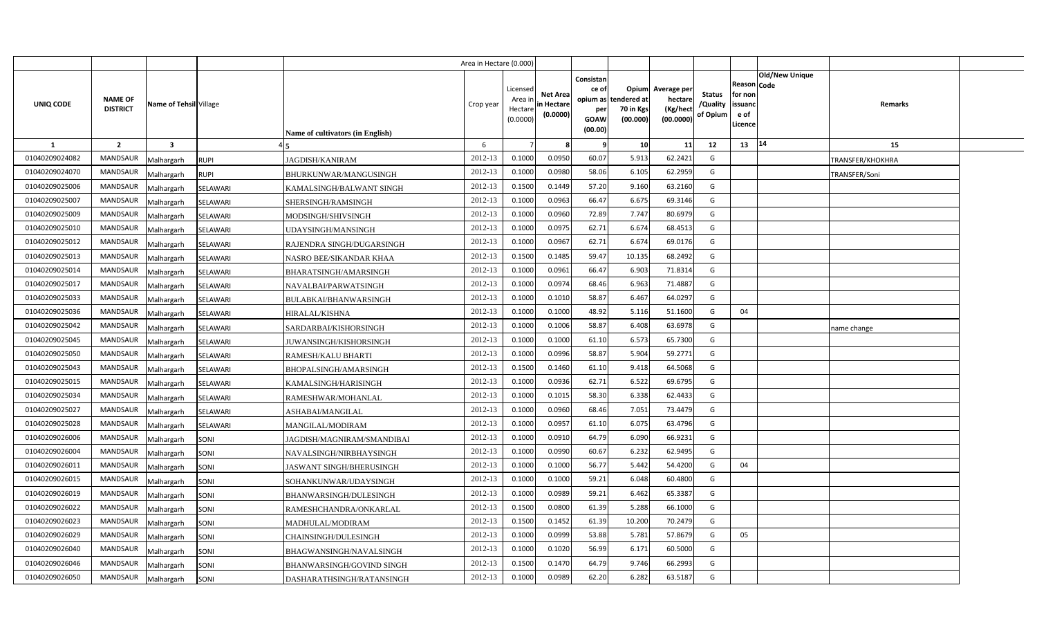|                |                                   |                           |                                  | Area in Hectare (0.000) |                                            |                                           |                                                                             |                                |                                                 |                                       |                                                      |                       |                  |  |
|----------------|-----------------------------------|---------------------------|----------------------------------|-------------------------|--------------------------------------------|-------------------------------------------|-----------------------------------------------------------------------------|--------------------------------|-------------------------------------------------|---------------------------------------|------------------------------------------------------|-----------------------|------------------|--|
| UNIQ CODE      | <b>NAME OF</b><br><b>DISTRICT</b> | Name of Tehsil Village    | Name of cultivators (in English) | Crop year               | Licensed<br>Area ir<br>Hectare<br>(0.0000) | <b>Net Area</b><br>in Hectare<br>(0.0000) | Consistan<br>ce of<br>opium as tendered at<br>per<br><b>GOAW</b><br>(00.00) | Opium<br>70 in Kgs<br>(00.000) | Average per<br>hectare<br>(Kg/hect<br>(00.0000) | <b>Status</b><br>/Quality<br>of Opium | Reason Code<br>for non<br>issuanc<br>e of<br>Licence | <b>Old/New Unique</b> | Remarks          |  |
| 1              | $\overline{2}$                    | $\overline{\mathbf{3}}$   |                                  | 6                       |                                            |                                           | -9                                                                          | 10                             | 11                                              | 12                                    | 13                                                   | 14                    | 15               |  |
| 01040209024082 | <b>MANDSAUR</b>                   | Malhargarh<br><b>RUPI</b> | JAGDISH/KANIRAM                  | 2012-13                 | 0.1000                                     | 0.0950                                    | 60.07                                                                       | 5.913                          | 62.2421                                         | G                                     |                                                      |                       | TRANSFER/KHOKHRA |  |
| 01040209024070 | <b>MANDSAUR</b>                   | <b>RUPI</b><br>Malhargarh | BHURKUNWAR/MANGUSINGH            | 2012-13                 | 0.1000                                     | 0.0980                                    | 58.06                                                                       | 6.105                          | 62.2959                                         | G                                     |                                                      |                       | TRANSFER/Soni    |  |
| 01040209025006 | MANDSAUR                          | Malhargarh<br>SELAWARI    | KAMALSINGH/BALWANT SINGH         | 2012-13                 | 0.1500                                     | 0.1449                                    | 57.20                                                                       | 9.160                          | 63.2160                                         | G                                     |                                                      |                       |                  |  |
| 01040209025007 | <b>MANDSAUR</b>                   | Malhargarh<br>SELAWARI    | SHERSINGH/RAMSINGH               | 2012-13                 | 0.1000                                     | 0.0963                                    | 66.47                                                                       | 6.675                          | 69.3146                                         | G                                     |                                                      |                       |                  |  |
| 01040209025009 | <b>MANDSAUR</b>                   | SELAWARI<br>Malhargarh    | MODSINGH/SHIVSINGH               | 2012-13                 | 0.1000                                     | 0.0960                                    | 72.89                                                                       | 7.747                          | 80.6979                                         | G                                     |                                                      |                       |                  |  |
| 01040209025010 | <b>MANDSAUR</b>                   | Malhargarh<br>SELAWARI    | UDAYSINGH/MANSINGH               | 2012-13                 | 0.100                                      | 0.097!                                    | 62.71                                                                       | 6.674                          | 68.4513                                         | G                                     |                                                      |                       |                  |  |
| 01040209025012 | <b>MANDSAUR</b>                   | SELAWARI<br>Malhargarh    | RAJENDRA SINGH/DUGARSINGH        | 2012-13                 | 0.1000                                     | 0.096                                     | 62.71                                                                       | 6.674                          | 69.0176                                         | G                                     |                                                      |                       |                  |  |
| 01040209025013 | <b>MANDSAUR</b>                   | Malhargarh<br>SELAWARI    | NASRO BEE/SIKANDAR KHAA          | 2012-13                 | 0.1500                                     | 0.1485                                    | 59.47                                                                       | 10.135                         | 68.2492                                         | G                                     |                                                      |                       |                  |  |
| 01040209025014 | <b>MANDSAUR</b>                   | SELAWARI<br>Malhargarh    | BHARATSINGH/AMARSINGH            | 2012-13                 | 0.1000                                     | 0.0961                                    | 66.47                                                                       | 6.903                          | 71.8314                                         | G                                     |                                                      |                       |                  |  |
| 01040209025017 | <b>MANDSAUR</b>                   | Malhargarh<br>SELAWARI    | NAVALBAI/PARWATSINGH             | 2012-13                 | 0.1000                                     | 0.0974                                    | 68.46                                                                       | 6.963                          | 71.4887                                         | G                                     |                                                      |                       |                  |  |
| 01040209025033 | <b>MANDSAUR</b>                   | SELAWARI<br>Malhargarh    | BULABKAI/BHANWARSINGH            | 2012-13                 | 0.1000                                     | 0.1010                                    | 58.87                                                                       | 6.467                          | 64.0297                                         | G                                     |                                                      |                       |                  |  |
| 01040209025036 | <b>MANDSAUR</b>                   | Malhargarh<br>SELAWARI    | HIRALAL/KISHNA                   | 2012-13                 | 0.1000                                     | 0.1000                                    | 48.92                                                                       | 5.116                          | 51.1600                                         | G                                     | 04                                                   |                       |                  |  |
| 01040209025042 | <b>MANDSAUR</b>                   | Malhargarh<br>SELAWARI    | SARDARBAI/KISHORSINGH            | 2012-13                 | 0.1000                                     | 0.1006                                    | 58.87                                                                       | 6.408                          | 63.6978                                         | G                                     |                                                      |                       | name change      |  |
| 01040209025045 | <b>MANDSAUR</b>                   | Malhargarh<br>SELAWARI    | JUWANSINGH/KISHORSINGH           | 2012-13                 | 0.1000                                     | 0.1000                                    | 61.10                                                                       | 6.573                          | 65.7300                                         | G                                     |                                                      |                       |                  |  |
| 01040209025050 | MANDSAUR                          | Malhargarh<br>SELAWARI    | RAMESH/KALU BHARTI               | 2012-13                 | 0.1000                                     | 0.0996                                    | 58.87                                                                       | 5.904                          | 59.2771                                         | G                                     |                                                      |                       |                  |  |
| 01040209025043 | <b>MANDSAUR</b>                   | Malhargarh<br>SELAWARI    | BHOPALSINGH/AMARSINGH            | 2012-13                 | 0.1500                                     | 0.1460                                    | 61.10                                                                       | 9.418                          | 64.5068                                         | G                                     |                                                      |                       |                  |  |
| 01040209025015 | MANDSAUR                          | Malhargarh<br>SELAWARI    | KAMALSINGH/HARISINGH             | 2012-13                 | 0.1000                                     | 0.0936                                    | 62.71                                                                       | 6.522                          | 69.6795                                         | G                                     |                                                      |                       |                  |  |
| 01040209025034 | <b>MANDSAUR</b>                   | Malhargarh<br>SELAWARI    | RAMESHWAR/MOHANLAL               | 2012-13                 | 0.1000                                     | 0.1015                                    | 58.30                                                                       | 6.338                          | 62.4433                                         | G                                     |                                                      |                       |                  |  |
| 01040209025027 | MANDSAUR                          | Malhargarh<br>SELAWARI    | ASHABAI/MANGILAL                 | 2012-13                 | 0.1000                                     | 0.0960                                    | 68.46                                                                       | 7.051                          | 73.4479                                         | G                                     |                                                      |                       |                  |  |
| 01040209025028 | <b>MANDSAUR</b>                   | Malhargarh<br>SELAWARI    | MANGILAL/MODIRAM                 | 2012-13                 | 0.1000                                     | 0.0957                                    | 61.10                                                                       | 6.075                          | 63.4796                                         | G                                     |                                                      |                       |                  |  |
| 01040209026006 | <b>MANDSAUR</b>                   | Malhargarh<br>SONI        | JAGDISH/MAGNIRAM/SMANDIBAI       | 2012-13                 | 0.1000                                     | 0.091                                     | 64.79                                                                       | 6.090                          | 66.9231                                         | G                                     |                                                      |                       |                  |  |
| 01040209026004 | <b>MANDSAUR</b>                   | Malhargarh<br>SONI        | NAVALSINGH/NIRBHAYSINGH          | 2012-13                 | 0.1000                                     | 0.0990                                    | 60.67                                                                       | 6.232                          | 62.9495                                         | G                                     |                                                      |                       |                  |  |
| 01040209026011 | <b>MANDSAUR</b>                   | Malhargarh<br>SONI        | JASWANT SINGH/BHERUSINGH         | 2012-13                 | 0.1000                                     | 0.1000                                    | 56.77                                                                       | 5.442                          | 54.4200                                         | $\mathsf{G}$                          | 04                                                   |                       |                  |  |
| 01040209026015 | MANDSAUR                          | Malhargarh<br>SONI        | SOHANKUNWAR/UDAYSINGH            | 2012-13                 | 0.1000                                     | 0.1000                                    | 59.21                                                                       | 6.048                          | 60.4800                                         | G                                     |                                                      |                       |                  |  |
| 01040209026019 | <b>MANDSAUR</b>                   | SONI<br>Malhargarh        | BHANWARSINGH/DULESINGH           | 2012-13                 | 0.1000                                     | 0.0989                                    | 59.21                                                                       | 6.462                          | 65.3387                                         | G                                     |                                                      |                       |                  |  |
| 01040209026022 | <b>MANDSAUR</b>                   | Malhargarh<br>SONI        | RAMESHCHANDRA/ONKARLAL           | 2012-13                 | 0.1500                                     | 0.0800                                    | 61.39                                                                       | 5.288                          | 66.1000                                         | G                                     |                                                      |                       |                  |  |
| 01040209026023 | <b>MANDSAUR</b>                   | Malhargarh<br>SONI        | MADHULAL/MODIRAM                 | 2012-13                 | 0.1500                                     | 0.1452                                    | 61.39                                                                       | 10.200                         | 70.2479                                         | G                                     |                                                      |                       |                  |  |
| 01040209026029 | <b>MANDSAUR</b>                   | Malhargarh<br>SONI        | CHAINSINGH/DULESINGH             | 2012-13                 | 0.1000                                     | 0.0999                                    | 53.88                                                                       | 5.781                          | 57.8679                                         | G                                     | 05                                                   |                       |                  |  |
| 01040209026040 | <b>MANDSAUR</b>                   | SONI<br>Malhargarh        | BHAGWANSINGH/NAVALSINGH          | 2012-13                 | 0.1000                                     | 0.1020                                    | 56.99                                                                       | 6.171                          | 60.5000                                         | G                                     |                                                      |                       |                  |  |
| 01040209026046 | <b>MANDSAUR</b>                   | Malhargarh<br>SONI        | BHANWARSINGH/GOVIND SINGH        | 2012-13                 | 0.1500                                     | 0.1470                                    | 64.79                                                                       | 9.746                          | 66.2993                                         | G                                     |                                                      |                       |                  |  |
| 01040209026050 | MANDSAUR                          | Malhargarh<br>SONI        | DASHARATHSINGH/RATANSINGH        | 2012-13                 | 0.1000                                     | 0.0989                                    | 62.20                                                                       | 6.282                          | 63.5187                                         | G                                     |                                                      |                       |                  |  |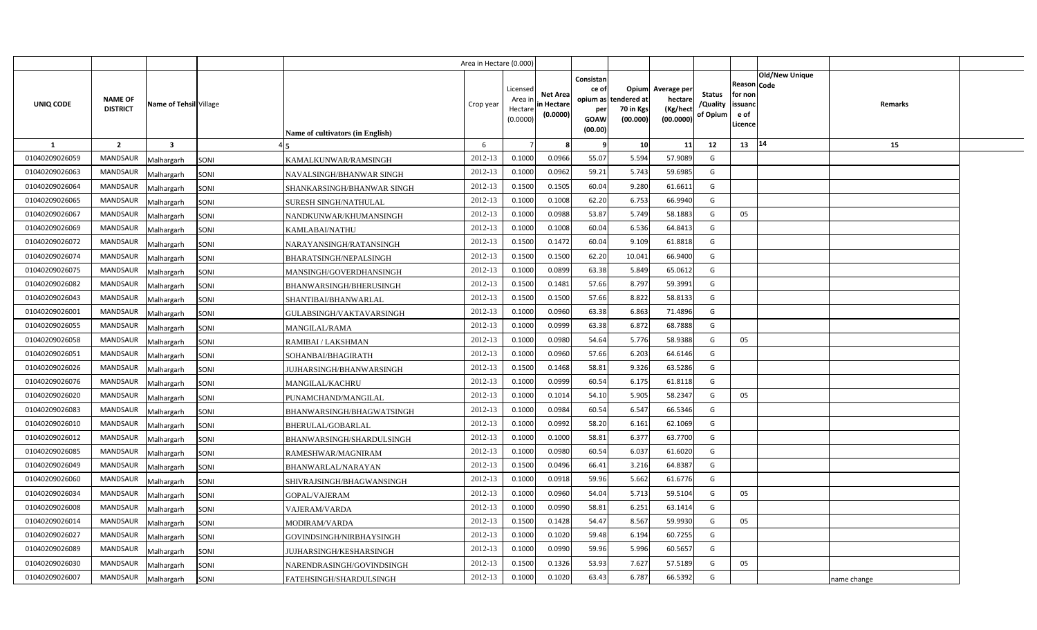|                |                                   |                         |      |                                  | Area in Hectare (0.000) |                                            |                                           |                                                                 |                                               |                                                 |                                       |                                                      |                           |  |
|----------------|-----------------------------------|-------------------------|------|----------------------------------|-------------------------|--------------------------------------------|-------------------------------------------|-----------------------------------------------------------------|-----------------------------------------------|-------------------------------------------------|---------------------------------------|------------------------------------------------------|---------------------------|--|
| UNIQ CODE      | <b>NAME OF</b><br><b>DISTRICT</b> | Name of Tehsil Village  |      | Name of cultivators (in English) | Crop year               | Licensed<br>Area ir<br>Hectare<br>(0.0000) | <b>Net Area</b><br>in Hectare<br>(0.0000) | Consistan<br>ce of<br>opium as<br>per<br><b>GOAW</b><br>(00.00) | Opium<br>tendered at<br>70 in Kgs<br>(00.000) | Average per<br>hectare<br>(Kg/hect<br>(00.0000) | <b>Status</b><br>/Quality<br>of Opium | Reason Code<br>for non<br>issuanc<br>e of<br>Licence | Old/New Unique<br>Remarks |  |
| 1              | $\overline{2}$                    | $\overline{\mathbf{3}}$ |      |                                  | 6                       |                                            |                                           | - 9                                                             | 10                                            | 11                                              | 12                                    | 13                                                   | 14<br>15                  |  |
| 01040209026059 | MANDSAUR                          | Malhargarh              | SONI | KAMALKUNWAR/RAMSINGH             | 2012-13                 | 0.1000                                     | 0.0966                                    | 55.07                                                           | 5.594                                         | 57.9089                                         | G                                     |                                                      |                           |  |
| 01040209026063 | <b>MANDSAUR</b>                   | Malhargarh              | SONI | NAVALSINGH/BHANWAR SINGH         | 2012-13                 | 0.1000                                     | 0.0962                                    | 59.21                                                           | 5.743                                         | 59.6985                                         | G                                     |                                                      |                           |  |
| 01040209026064 | <b>MANDSAUR</b>                   | Malhargarh              | SONI | SHANKARSINGH/BHANWAR SINGH       | 2012-13                 | 0.1500                                     | 0.1505                                    | 60.04                                                           | 9.280                                         | 61.6611                                         | G                                     |                                                      |                           |  |
| 01040209026065 | <b>MANDSAUR</b>                   | Malhargarh              | SONI | SURESH SINGH/NATHULAL            | 2012-13                 | 0.1000                                     | 0.1008                                    | 62.20                                                           | 6.753                                         | 66.9940                                         | G                                     |                                                      |                           |  |
| 01040209026067 | <b>MANDSAUR</b>                   | Malhargarh              | SONI | NANDKUNWAR/KHUMANSINGH           | 2012-13                 | 0.1000                                     | 0.0988                                    | 53.87                                                           | 5.749                                         | 58.1883                                         | G                                     | 05                                                   |                           |  |
| 01040209026069 | <b>MANDSAUR</b>                   | Malhargarh              | SONI | KAMLABAI/NATHU                   | 2012-13                 | 0.1000                                     | 0.1008                                    | 60.04                                                           | 6.536                                         | 64.8413                                         | G                                     |                                                      |                           |  |
| 01040209026072 | <b>MANDSAUR</b>                   | Malhargarh              | SONI | NARAYANSINGH/RATANSINGH          | 2012-13                 | 0.1500                                     | 0.1472                                    | 60.04                                                           | 9.109                                         | 61.8818                                         | G                                     |                                                      |                           |  |
| 01040209026074 | <b>MANDSAUR</b>                   | Malhargarh              | SONI | BHARATSINGH/NEPALSINGH           | 2012-13                 | 0.1500                                     | 0.1500                                    | 62.20                                                           | 10.041                                        | 66.9400                                         | G                                     |                                                      |                           |  |
| 01040209026075 | <b>MANDSAUR</b>                   | Malhargarh              | SONI | MANSINGH/GOVERDHANSINGH          | 2012-13                 | 0.1000                                     | 0.0899                                    | 63.38                                                           | 5.849                                         | 65.0612                                         | G                                     |                                                      |                           |  |
| 01040209026082 | <b>MANDSAUR</b>                   | Malhargarh              | SONI | BHANWARSINGH/BHERUSINGH          | 2012-13                 | 0.1500                                     | 0.1481                                    | 57.66                                                           | 8.797                                         | 59.3991                                         | G                                     |                                                      |                           |  |
| 01040209026043 | <b>MANDSAUR</b>                   | Malhargarh              | SONI | SHANTIBAI/BHANWARLAL             | 2012-13                 | 0.1500                                     | 0.1500                                    | 57.66                                                           | 8.822                                         | 58.8133                                         | G                                     |                                                      |                           |  |
| 01040209026001 | <b>MANDSAUR</b>                   | Malhargarh              | SONI | GULABSINGH/VAKTAVARSINGH         | 2012-13                 | 0.1000                                     | 0.0960                                    | 63.38                                                           | 6.863                                         | 71.4896                                         | G                                     |                                                      |                           |  |
| 01040209026055 | <b>MANDSAUR</b>                   | Malhargarh              | SONI | <b>MANGILAL/RAMA</b>             | 2012-13                 | 0.1000                                     | 0.0999                                    | 63.38                                                           | 6.872                                         | 68.7888                                         | G                                     |                                                      |                           |  |
| 01040209026058 | <b>MANDSAUR</b>                   | Malhargarh              | SONI | RAMIBAI / LAKSHMAN               | 2012-13                 | 0.1000                                     | 0.0980                                    | 54.64                                                           | 5.776                                         | 58.9388                                         | G                                     | 05                                                   |                           |  |
| 01040209026051 | <b>MANDSAUR</b>                   | Malhargarh              | SONI | SOHANBAI/BHAGIRATH               | 2012-13                 | 0.1000                                     | 0.0960                                    | 57.66                                                           | 6.203                                         | 64.6146                                         | G                                     |                                                      |                           |  |
| 01040209026026 | MANDSAUR                          | Malhargarh              | SONI | JUJHARSINGH/BHANWARSINGH         | 2012-13                 | 0.1500                                     | 0.1468                                    | 58.81                                                           | 9.326                                         | 63.5286                                         | G                                     |                                                      |                           |  |
| 01040209026076 | <b>MANDSAUR</b>                   | Malhargarh              | SONI | MANGILAL/KACHRU                  | 2012-13                 | 0.1000                                     | 0.0999                                    | 60.54                                                           | 6.175                                         | 61.8118                                         | G                                     |                                                      |                           |  |
| 01040209026020 | <b>MANDSAUR</b>                   | Malhargarh              | SONI | PUNAMCHAND/MANGILAL              | 2012-13                 | 0.1000                                     | 0.1014                                    | 54.10                                                           | 5.905                                         | 58.2347                                         | G                                     | 05                                                   |                           |  |
| 01040209026083 | <b>MANDSAUR</b>                   | Malhargarh              | SONI | BHANWARSINGH/BHAGWATSINGH        | 2012-13                 | 0.1000                                     | 0.0984                                    | 60.54                                                           | 6.547                                         | 66.5346                                         | G                                     |                                                      |                           |  |
| 01040209026010 | <b>MANDSAUR</b>                   | Malhargarh              | SONI | BHERULAL/GOBARLAL                | 2012-13                 | 0.1000                                     | 0.0992                                    | 58.20                                                           | 6.161                                         | 62.1069                                         | G                                     |                                                      |                           |  |
| 01040209026012 | <b>MANDSAUR</b>                   | Malhargarh              | SONI | BHANWARSINGH/SHARDULSINGH        | 2012-13                 | 0.1000                                     | 0.1000                                    | 58.81                                                           | 6.377                                         | 63.7700                                         | G                                     |                                                      |                           |  |
| 01040209026085 | <b>MANDSAUR</b>                   | Malhargarh              | SONI | RAMESHWAR/MAGNIRAM               | 2012-13                 | 0.1000                                     | 0.0980                                    | 60.54                                                           | 6.037                                         | 61.6020                                         | G                                     |                                                      |                           |  |
| 01040209026049 | <b>MANDSAUR</b>                   | Malhargarh              | SONI | BHANWARLAL/NARAYAN               | 2012-13                 | 0.1500                                     | 0.0496                                    | 66.41                                                           | 3.216                                         | 64.8387                                         | G                                     |                                                      |                           |  |
| 01040209026060 | <b>MANDSAUR</b>                   | Malhargarh              | SONI | SHIVRAJSINGH/BHAGWANSINGH        | 2012-13                 | 0.1000                                     | 0.0918                                    | 59.96                                                           | 5.662                                         | 61.6776                                         | G                                     |                                                      |                           |  |
| 01040209026034 | <b>MANDSAUR</b>                   | Malhargarh              | SONI | GOPAL/VAJERAM                    | 2012-13                 | 0.1000                                     | 0.0960                                    | 54.04                                                           | 5.713                                         | 59.5104                                         | G                                     | 05                                                   |                           |  |
| 01040209026008 | <b>MANDSAUR</b>                   | Malhargarh              | SONI | VAJERAM/VARDA                    | 2012-13                 | 0.1000                                     | 0.0990                                    | 58.81                                                           | 6.251                                         | 63.1414                                         | G                                     |                                                      |                           |  |
| 01040209026014 | <b>MANDSAUR</b>                   | Malhargarh              | SONI | MODIRAM/VARDA                    | 2012-13                 | 0.1500                                     | 0.1428                                    | 54.47                                                           | 8.567                                         | 59.9930                                         | G                                     | 05                                                   |                           |  |
| 01040209026027 | <b>MANDSAUR</b>                   | Malhargarh              | SONI | GOVINDSINGH/NIRBHAYSINGH         | 2012-13                 | 0.1000                                     | 0.1020                                    | 59.48                                                           | 6.194                                         | 60.7255                                         | G                                     |                                                      |                           |  |
| 01040209026089 | MANDSAUR                          | Malhargarh              | SONI | JUJHARSINGH/KESHARSINGH          | 2012-13                 | 0.1000                                     | 0.0990                                    | 59.96                                                           | 5.996                                         | 60.5657                                         | G                                     |                                                      |                           |  |
| 01040209026030 | MANDSAUR                          | Malhargarh              | SONI | NARENDRASINGH/GOVINDSINGH        | 2012-13                 | 0.1500                                     | 0.1326                                    | 53.93                                                           | 7.627                                         | 57.5189                                         | G                                     | 05                                                   |                           |  |
| 01040209026007 | MANDSAUR                          | Malhargarh              | SONI | FATEHSINGH/SHARDULSINGH          | 2012-13                 | 0.1000                                     | 0.1020                                    | 63.43                                                           | 6.787                                         | 66.5392                                         | G                                     |                                                      | name change               |  |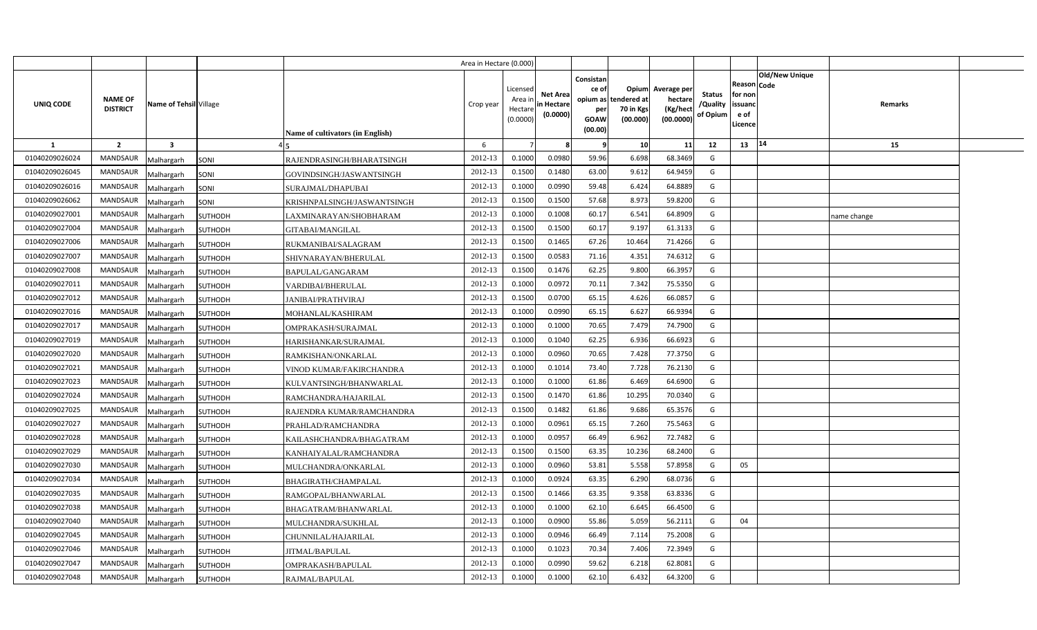|                |                                   |                              |                                  | Area in Hectare (0.000) |                                            |                                           |                                                                             |                                |                                                 |                                       |                                                      |                       |             |  |
|----------------|-----------------------------------|------------------------------|----------------------------------|-------------------------|--------------------------------------------|-------------------------------------------|-----------------------------------------------------------------------------|--------------------------------|-------------------------------------------------|---------------------------------------|------------------------------------------------------|-----------------------|-------------|--|
| UNIQ CODE      | <b>NAME OF</b><br><b>DISTRICT</b> | Name of Tehsil Village       | Name of cultivators (in English) | Crop year               | Licensed<br>Area ir<br>Hectare<br>(0.0000) | <b>Net Area</b><br>in Hectare<br>(0.0000) | Consistan<br>ce of<br>opium as tendered at<br>per<br><b>GOAW</b><br>(00.00) | Opium<br>70 in Kgs<br>(00.000) | Average per<br>hectare<br>(Kg/hect<br>(00.0000) | <b>Status</b><br>/Quality<br>of Opium | Reason Code<br>for non<br>issuanc<br>e of<br>Licence | <b>Old/New Unique</b> | Remarks     |  |
| $\mathbf{1}$   | $\overline{2}$                    | $\overline{\mathbf{3}}$      |                                  | 6                       |                                            |                                           | - 9                                                                         | 10                             | 11                                              | 12                                    | 13                                                   | 14                    | 15          |  |
| 01040209026024 | <b>MANDSAUR</b>                   | Malhargarh<br>SONI           | RAJENDRASINGH/BHARATSINGH        | 2012-13                 | 0.1000                                     | 0.0980                                    | 59.96                                                                       | 6.698                          | 68.3469                                         | G                                     |                                                      |                       |             |  |
| 01040209026045 | <b>MANDSAUR</b>                   | SONI<br>Malhargarh           | GOVINDSINGH/JASWANTSINGH         | 2012-13                 | 0.1500                                     | 0.1480                                    | 63.00                                                                       | 9.612                          | 64.9459                                         | G                                     |                                                      |                       |             |  |
| 01040209026016 | <b>MANDSAUR</b>                   | Malhargarh<br>SONI           | SURAJMAL/DHAPUBAI                | 2012-13                 | 0.1000                                     | 0.0990                                    | 59.48                                                                       | 6.424                          | 64.8889                                         | G                                     |                                                      |                       |             |  |
| 01040209026062 | <b>MANDSAUR</b>                   | Malhargarh<br>SONI           | KRISHNPALSINGH/JASWANTSINGH      | 2012-13                 | 0.1500                                     | 0.1500                                    | 57.68                                                                       | 8.973                          | 59.8200                                         | G                                     |                                                      |                       |             |  |
| 01040209027001 | <b>MANDSAUR</b>                   | Malhargarh<br><b>SUTHODH</b> | LAXMINARAYAN/SHOBHARAM           | 2012-13                 | 0.1000                                     | 0.1008                                    | 60.17                                                                       | 6.541                          | 64.8909                                         | G                                     |                                                      |                       | name change |  |
| 01040209027004 | <b>MANDSAUR</b>                   | <b>SUTHODH</b><br>Malhargarh | GITABAI/MANGILAL                 | 2012-13                 | 0.1500                                     | 0.1500                                    | 60.17                                                                       | 9.197                          | 61.3133                                         | G                                     |                                                      |                       |             |  |
| 01040209027006 | <b>MANDSAUR</b>                   | Malhargarh<br><b>SUTHODH</b> | RUKMANIBAI/SALAGRAM              | 2012-13                 | 0.1500                                     | 0.1465                                    | 67.26                                                                       | 10.464                         | 71.4266                                         | G                                     |                                                      |                       |             |  |
| 01040209027007 | <b>MANDSAUR</b>                   | Malhargarh<br><b>SUTHODH</b> | SHIVNARAYAN/BHERULAL             | 2012-13                 | 0.1500                                     | 0.0583                                    | 71.16                                                                       | 4.351                          | 74.6312                                         | G                                     |                                                      |                       |             |  |
| 01040209027008 | <b>MANDSAUR</b>                   | Malhargarh<br><b>SUTHODH</b> | BAPULAL/GANGARAM                 | 2012-13                 | 0.1500                                     | 0.1476                                    | 62.25                                                                       | 9.800                          | 66.3957                                         | G                                     |                                                      |                       |             |  |
| 01040209027011 | <b>MANDSAUR</b>                   | Malhargarh<br><b>SUTHODH</b> | VARDIBAI/BHERULAL                | 2012-13                 | 0.1000                                     | 0.0972                                    | 70.11                                                                       | 7.342                          | 75.5350                                         | G                                     |                                                      |                       |             |  |
| 01040209027012 | <b>MANDSAUR</b>                   | Malhargarh<br><b>SUTHODH</b> | <b>JANIBAI/PRATHVIRAJ</b>        | 2012-13                 | 0.1500                                     | 0.0700                                    | 65.15                                                                       | 4.626                          | 66.0857                                         | G                                     |                                                      |                       |             |  |
| 01040209027016 | <b>MANDSAUR</b>                   | Malhargarh<br><b>SUTHODH</b> | MOHANLAL/KASHIRAM                | 2012-13                 | 0.1000                                     | 0.0990                                    | 65.15                                                                       | 6.627                          | 66.9394                                         | G                                     |                                                      |                       |             |  |
| 01040209027017 | <b>MANDSAUR</b>                   | Malhargarh<br>SUTHODH        | OMPRAKASH/SURAJMAL               | 2012-13                 | 0.1000                                     | 0.1000                                    | 70.65                                                                       | 7.479                          | 74.7900                                         | G                                     |                                                      |                       |             |  |
| 01040209027019 | <b>MANDSAUR</b>                   | Malhargarh<br><b>SUTHODH</b> | HARISHANKAR/SURAJMAL             | 2012-13                 | 0.1000                                     | 0.1040                                    | 62.25                                                                       | 6.936                          | 66.6923                                         | G                                     |                                                      |                       |             |  |
| 01040209027020 | <b>MANDSAUR</b>                   | Malhargarh<br><b>SUTHODH</b> | RAMKISHAN/ONKARLAL               | 2012-13                 | 0.1000                                     | 0.0960                                    | 70.65                                                                       | 7.428                          | 77.3750                                         | G                                     |                                                      |                       |             |  |
| 01040209027021 | MANDSAUR                          | Malhargarh<br><b>SUTHODH</b> | VINOD KUMAR/FAKIRCHANDRA         | 2012-13                 | 0.1000                                     | 0.1014                                    | 73.40                                                                       | 7.728                          | 76.2130                                         | G                                     |                                                      |                       |             |  |
| 01040209027023 | <b>MANDSAUR</b>                   | Malhargarh<br><b>SUTHODH</b> | KULVANTSINGH/BHANWARLAL          | 2012-13                 | 0.1000                                     | 0.1000                                    | 61.86                                                                       | 6.469                          | 64.6900                                         | G                                     |                                                      |                       |             |  |
| 01040209027024 | MANDSAUR                          | Malhargarh<br>SUTHODH        | RAMCHANDRA/HAJARILAL             | 2012-13                 | 0.1500                                     | 0.1470                                    | 61.86                                                                       | 10.295                         | 70.0340                                         | G                                     |                                                      |                       |             |  |
| 01040209027025 | <b>MANDSAUR</b>                   | Malhargarh<br><b>SUTHODH</b> | RAJENDRA KUMAR/RAMCHANDRA        | 2012-13                 | 0.1500                                     | 0.1482                                    | 61.86                                                                       | 9.686                          | 65.3576                                         | G                                     |                                                      |                       |             |  |
| 01040209027027 | MANDSAUR                          | Malhargarh<br><b>SUTHODH</b> | PRAHLAD/RAMCHANDRA               | 2012-13                 | 0.1000                                     | 0.0961                                    | 65.15                                                                       | 7.260                          | 75.5463                                         | G                                     |                                                      |                       |             |  |
| 01040209027028 | <b>MANDSAUR</b>                   | Malhargarh<br><b>SUTHODH</b> | KAILASHCHANDRA/BHAGATRAM         | 2012-13                 | 0.1000                                     | 0.0957                                    | 66.49                                                                       | 6.962                          | 72.7482                                         | G                                     |                                                      |                       |             |  |
| 01040209027029 | MANDSAUR                          | Malhargarh<br><b>SUTHODH</b> | KANHAIYALAL/RAMCHANDRA           | 2012-13                 | 0.1500                                     | 0.1500                                    | 63.35                                                                       | 10.236                         | 68.2400                                         | G                                     |                                                      |                       |             |  |
| 01040209027030 | <b>MANDSAUR</b>                   | Malhargarh<br><b>SUTHODH</b> | MULCHANDRA/ONKARLAL              | 2012-13                 | 0.1000                                     | 0.0960                                    | 53.81                                                                       | 5.558                          | 57.8958                                         | G                                     | 05                                                   |                       |             |  |
| 01040209027034 | <b>MANDSAUR</b>                   | Malhargarh<br><b>SUTHODH</b> | BHAGIRATH/CHAMPALAL              | 2012-13                 | 0.1000                                     | 0.0924                                    | 63.35                                                                       | 6.290                          | 68.0736                                         | G                                     |                                                      |                       |             |  |
| 01040209027035 | MANDSAUR                          | Malhargarh<br><b>SUTHODH</b> | RAMGOPAL/BHANWARLAL              | 2012-13                 | 0.1500                                     | 0.1466                                    | 63.35                                                                       | 9.358                          | 63.8336                                         | G                                     |                                                      |                       |             |  |
| 01040209027038 | <b>MANDSAUR</b>                   | Malhargarh<br>SUTHODH        | BHAGATRAM/BHANWARLAL             | 2012-13                 | 0.1000                                     | 0.1000                                    | 62.10                                                                       | 6.645                          | 66.4500                                         | G                                     |                                                      |                       |             |  |
| 01040209027040 | <b>MANDSAUR</b>                   | Malhargarh<br><b>SUTHODH</b> | MULCHANDRA/SUKHLAL               | 2012-13                 | 0.1000                                     | 0.0900                                    | 55.86                                                                       | 5.059                          | 56.2111                                         | G                                     | 04                                                   |                       |             |  |
| 01040209027045 | <b>MANDSAUR</b>                   | Malhargarh<br>SUTHODH        | CHUNNILAL/HAJARILAL              | 2012-13                 | 0.1000                                     | 0.0946                                    | 66.49                                                                       | 7.114                          | 75.2008                                         | G                                     |                                                      |                       |             |  |
| 01040209027046 | <b>MANDSAUR</b>                   | Malhargarh<br>SUTHODH        | <b>JITMAL/BAPULAL</b>            | 2012-13                 | 0.1000                                     | 0.1023                                    | 70.34                                                                       | 7.406                          | 72.3949                                         | G                                     |                                                      |                       |             |  |
| 01040209027047 | <b>MANDSAUR</b>                   | Malhargarh<br><b>SUTHODH</b> | OMPRAKASH/BAPULAL                | 2012-13                 | 0.1000                                     | 0.0990                                    | 59.62                                                                       | 6.218                          | 62.8081                                         | G                                     |                                                      |                       |             |  |
| 01040209027048 | <b>MANDSAUR</b>                   | Malhargarh<br><b>SUTHODH</b> | RAJMAL/BAPULAL                   | 2012-13                 | 0.1000                                     | 0.1000                                    | 62.10                                                                       | 6.432                          | 64.3200                                         | G                                     |                                                      |                       |             |  |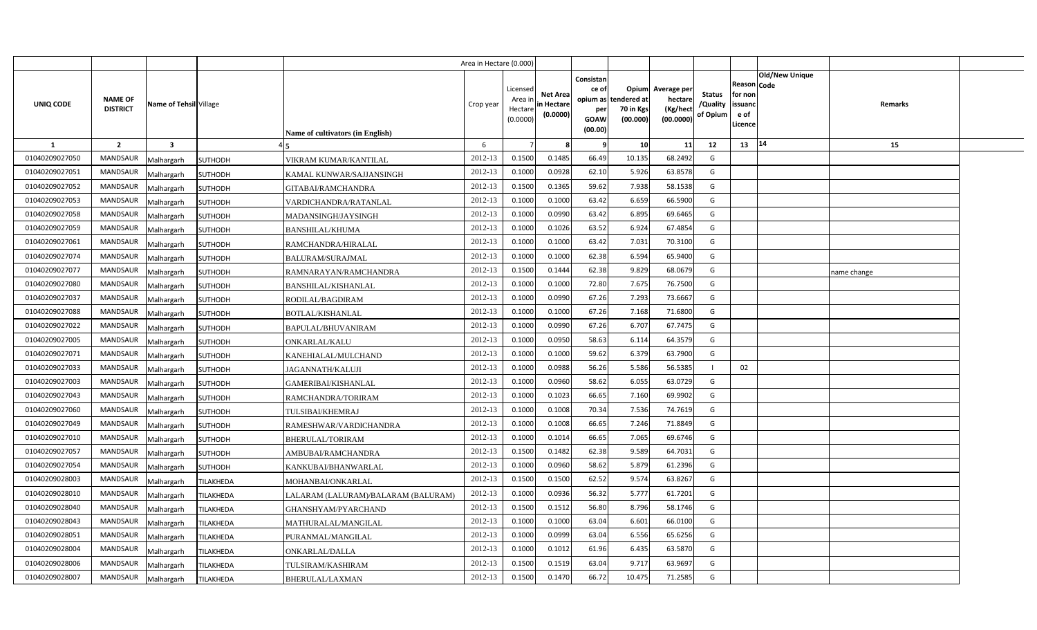|                |                                   |                                |                                     | Area in Hectare (0.000) |                                            |                                           |                                                                             |                                |                                                 |                                       |                                                      |                       |             |  |
|----------------|-----------------------------------|--------------------------------|-------------------------------------|-------------------------|--------------------------------------------|-------------------------------------------|-----------------------------------------------------------------------------|--------------------------------|-------------------------------------------------|---------------------------------------|------------------------------------------------------|-----------------------|-------------|--|
| UNIQ CODE      | <b>NAME OF</b><br><b>DISTRICT</b> | Name of Tehsil Village         | Name of cultivators (in English)    | Crop year               | Licensed<br>Area ir<br>Hectare<br>(0.0000) | <b>Net Area</b><br>in Hectare<br>(0.0000) | Consistan<br>ce of<br>opium as tendered at<br>per<br><b>GOAW</b><br>(00.00) | Opium<br>70 in Kgs<br>(00.000) | Average per<br>hectare<br>(Kg/hect<br>(00.0000) | <b>Status</b><br>/Quality<br>of Opium | Reason Code<br>for non<br>issuanc<br>e of<br>Licence | <b>Old/New Unique</b> | Remarks     |  |
| $\mathbf{1}$   | $\overline{2}$                    | $\overline{\mathbf{3}}$        |                                     | 6                       |                                            |                                           | - 9                                                                         | 10                             | 11                                              | 12                                    | 13                                                   | 14                    | 15          |  |
| 01040209027050 | <b>MANDSAUR</b>                   | <b>SUTHODH</b><br>Malhargarh   | VIKRAM KUMAR/KANTILAL               | 2012-13                 | 0.1500                                     | 0.1485                                    | 66.49                                                                       | 10.135                         | 68.2492                                         | G                                     |                                                      |                       |             |  |
| 01040209027051 | <b>MANDSAUR</b>                   | <b>SUTHODH</b><br>Malhargarh   | KAMAL KUNWAR/SAJJANSINGH            | 2012-13                 | 0.1000                                     | 0.0928                                    | 62.10                                                                       | 5.926                          | 63.8578                                         | G                                     |                                                      |                       |             |  |
| 01040209027052 | <b>MANDSAUR</b>                   | Malhargarh<br>SUTHODH          | <b>GITABAI/RAMCHANDRA</b>           | 2012-13                 | 0.1500                                     | 0.1365                                    | 59.62                                                                       | 7.938                          | 58.1538                                         | G                                     |                                                      |                       |             |  |
| 01040209027053 | <b>MANDSAUR</b>                   | <b>SUTHODH</b><br>Malhargarh   | VARDICHANDRA/RATANLAL               | 2012-13                 | 0.1000                                     | 0.1000                                    | 63.42                                                                       | 6.659                          | 66.5900                                         | G                                     |                                                      |                       |             |  |
| 01040209027058 | <b>MANDSAUR</b>                   | Malhargarh<br><b>SUTHODH</b>   | MADANSINGH/JAYSINGH                 | 2012-13                 | 0.1000                                     | 0.0990                                    | 63.42                                                                       | 6.895                          | 69.6465                                         | G                                     |                                                      |                       |             |  |
| 01040209027059 | <b>MANDSAUR</b>                   | <b>SUTHODH</b><br>Malhargarh   | <b>BANSHILAL/KHUMA</b>              | 2012-13                 | 0.100                                      | 0.1026                                    | 63.52                                                                       | 6.924                          | 67.4854                                         | G                                     |                                                      |                       |             |  |
| 01040209027061 | <b>MANDSAUR</b>                   | Malhargarh<br><b>SUTHODH</b>   | RAMCHANDRA/HIRALAL                  | 2012-13                 | 0.1000                                     | 0.1000                                    | 63.42                                                                       | 7.031                          | 70.3100                                         | G                                     |                                                      |                       |             |  |
| 01040209027074 | <b>MANDSAUR</b>                   | Malhargarh<br><b>SUTHODH</b>   | <b>BALURAM/SURAJMAL</b>             | 2012-13                 | 0.1000                                     | 0.1000                                    | 62.38                                                                       | 6.594                          | 65.9400                                         | G                                     |                                                      |                       |             |  |
| 01040209027077 | <b>MANDSAUR</b>                   | Malhargarh<br><b>SUTHODH</b>   | RAMNARAYAN/RAMCHANDRA               | 2012-13                 | 0.1500                                     | 0.1444                                    | 62.38                                                                       | 9.829                          | 68.0679                                         | G                                     |                                                      |                       | name change |  |
| 01040209027080 | <b>MANDSAUR</b>                   | Malhargarh<br><b>SUTHODH</b>   | <b>BANSHILAL/KISHANLAL</b>          | 2012-13                 | 0.1000                                     | 0.1000                                    | 72.80                                                                       | 7.675                          | 76.7500                                         | G                                     |                                                      |                       |             |  |
| 01040209027037 | <b>MANDSAUR</b>                   | Malhargarh<br><b>SUTHODH</b>   | RODILAL/BAGDIRAM                    | 2012-13                 | 0.1000                                     | 0.0990                                    | 67.26                                                                       | 7.293                          | 73.6667                                         | G                                     |                                                      |                       |             |  |
| 01040209027088 | <b>MANDSAUR</b>                   | Malhargarh<br><b>SUTHODH</b>   | <b>BOTLAL/KISHANLAL</b>             | 2012-13                 | 0.1000                                     | 0.1000                                    | 67.26                                                                       | 7.168                          | 71.6800                                         | G                                     |                                                      |                       |             |  |
| 01040209027022 | <b>MANDSAUR</b>                   | Malhargarh<br>SUTHODH          | BAPULAL/BHUVANIRAM                  | 2012-13                 | 0.1000                                     | 0.0990                                    | 67.26                                                                       | 6.707                          | 67.7475                                         | G                                     |                                                      |                       |             |  |
| 01040209027005 | <b>MANDSAUR</b>                   | Malhargarh<br><b>SUTHODH</b>   | <b>ONKARLAL/KALU</b>                | 2012-13                 | 0.1000                                     | 0.0950                                    | 58.63                                                                       | 6.114                          | 64.3579                                         | G                                     |                                                      |                       |             |  |
| 01040209027071 | <b>MANDSAUR</b>                   | Malhargarh<br><b>SUTHODH</b>   | KANEHIALAL/MULCHAND                 | 2012-13                 | 0.1000                                     | 0.1000                                    | 59.62                                                                       | 6.379                          | 63.7900                                         | G                                     |                                                      |                       |             |  |
| 01040209027033 | <b>MANDSAUR</b>                   | Malhargarh<br><b>SUTHODH</b>   | <b>JAGANNATH/KALUJI</b>             | 2012-13                 | 0.1000                                     | 0.0988                                    | 56.26                                                                       | 5.586                          | 56.5385                                         |                                       | 02                                                   |                       |             |  |
| 01040209027003 | <b>MANDSAUR</b>                   | Malhargarh<br><b>SUTHODH</b>   | GAMERIBAI/KISHANLAL                 | 2012-13                 | 0.1000                                     | 0.0960                                    | 58.62                                                                       | 6.055                          | 63.0729                                         | G                                     |                                                      |                       |             |  |
| 01040209027043 | MANDSAUR                          | Malhargarh<br>SUTHODH          | RAMCHANDRA/TORIRAM                  | 2012-13                 | 0.1000                                     | 0.1023                                    | 66.65                                                                       | 7.160                          | 69.9902                                         | G                                     |                                                      |                       |             |  |
| 01040209027060 | <b>MANDSAUR</b>                   | Malhargarh<br><b>SUTHODH</b>   | TULSIBAI/KHEMRAJ                    | 2012-13                 | 0.1000                                     | 0.1008                                    | 70.34                                                                       | 7.536                          | 74.7619                                         | G                                     |                                                      |                       |             |  |
| 01040209027049 | <b>MANDSAUR</b>                   | Malhargarh<br><b>SUTHODH</b>   | RAMESHWAR/VARDICHANDRA              | 2012-13                 | 0.1000                                     | 0.1008                                    | 66.65                                                                       | 7.246                          | 71.8849                                         | G                                     |                                                      |                       |             |  |
| 01040209027010 | <b>MANDSAUR</b>                   | Malhargarh<br><b>SUTHODH</b>   | <b>BHERULAL/TORIRAM</b>             | 2012-13                 | 0.1000                                     | 0.1014                                    | 66.65                                                                       | 7.065                          | 69.6746                                         | G                                     |                                                      |                       |             |  |
| 01040209027057 | MANDSAUR                          | Malhargarh<br><b>SUTHODH</b>   | AMBUBAI/RAMCHANDRA                  | 2012-13                 | 0.1500                                     | 0.1482                                    | 62.38                                                                       | 9.589                          | 64.7031                                         | G                                     |                                                      |                       |             |  |
| 01040209027054 | MANDSAUR                          | Malhargarh<br><b>SUTHODH</b>   | KANKUBAI/BHANWARLAL                 | 2012-13                 | 0.1000                                     | 0.0960                                    | 58.62                                                                       | 5.879                          | 61.2396                                         | G                                     |                                                      |                       |             |  |
| 01040209028003 | <b>MANDSAUR</b>                   | Malhargarh<br>TILAKHEDA        | MOHANBAI/ONKARLAL                   | 2012-13                 | 0.1500                                     | 0.1500                                    | 62.52                                                                       | 9.574                          | 63.8267                                         | G                                     |                                                      |                       |             |  |
| 01040209028010 | MANDSAUR                          | Malhargarh<br>TILAKHEDA        | LALARAM (LALURAM)/BALARAM (BALURAM) | 2012-13                 | 0.1000                                     | 0.0936                                    | 56.32                                                                       | 5.777                          | 61.7201                                         | G                                     |                                                      |                       |             |  |
| 01040209028040 | <b>MANDSAUR</b>                   | Malhargarh<br>TILAKHEDA        | GHANSHYAM/PYARCHAND                 | 2012-13                 | 0.1500                                     | 0.1512                                    | 56.80                                                                       | 8.796                          | 58.1746                                         | G                                     |                                                      |                       |             |  |
| 01040209028043 | <b>MANDSAUR</b>                   | Malhargarh<br>TILAKHEDA        | MATHURALAL/MANGILAL                 | 2012-13                 | 0.1000                                     | 0.1000                                    | 63.04                                                                       | 6.601                          | 66.0100                                         | G                                     |                                                      |                       |             |  |
| 01040209028051 | <b>MANDSAUR</b>                   | Malhargarh<br>TILAKHEDA        | PURANMAL/MANGILAL                   | 2012-13                 | 0.1000                                     | 0.0999                                    | 63.04                                                                       | 6.556                          | 65.6256                                         | G                                     |                                                      |                       |             |  |
| 01040209028004 | <b>MANDSAUR</b>                   | TILAKHEDA<br>Malhargarh        | ONKARLAL/DALLA                      | 2012-13                 | 0.1000                                     | 0.1012                                    | 61.96                                                                       | 6.435                          | 63.5870                                         | G                                     |                                                      |                       |             |  |
| 01040209028006 | <b>MANDSAUR</b>                   | Malhargarh<br>TILAKHEDA        | TULSIRAM/KASHIRAM                   | 2012-13                 | 0.1500                                     | 0.1519                                    | 63.04                                                                       | 9.717                          | 63.9697                                         | G                                     |                                                      |                       |             |  |
| 01040209028007 | <b>MANDSAUR</b>                   | Malhargarh<br><b>TILAKHEDA</b> | <b>BHERULAL/LAXMAN</b>              | 2012-13                 | 0.1500                                     | 0.1470                                    | 66.72                                                                       | 10.475                         | 71.2585                                         | G                                     |                                                      |                       |             |  |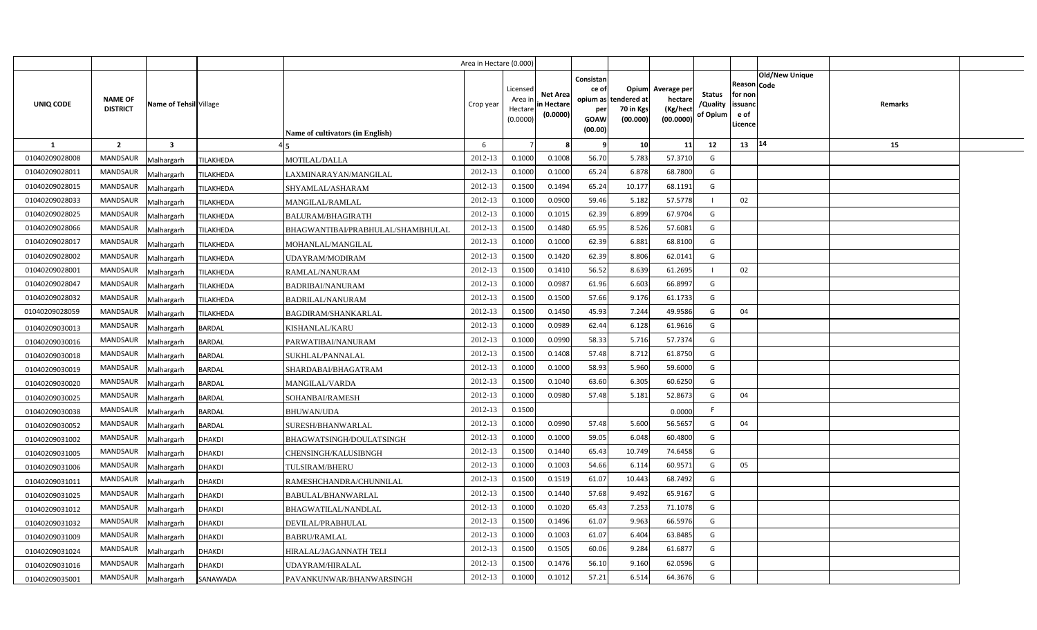|                |                                   |                                |                                   | Area in Hectare (0.000) |                                            |                                           |                                                                             |                                       |                                                 |                                       |                                                      |                |         |  |
|----------------|-----------------------------------|--------------------------------|-----------------------------------|-------------------------|--------------------------------------------|-------------------------------------------|-----------------------------------------------------------------------------|---------------------------------------|-------------------------------------------------|---------------------------------------|------------------------------------------------------|----------------|---------|--|
| UNIQ CODE      | <b>NAME OF</b><br><b>DISTRICT</b> | Name of Tehsil Village         | Name of cultivators (in English)  | Crop year               | Licensed<br>Area in<br>Hectare<br>(0.0000) | <b>Net Area</b><br>in Hectare<br>(0.0000) | Consistan<br>ce of<br>opium as tendered at<br>per<br><b>GOAW</b><br>(00.00) | <b>Opium</b><br>70 in Kgs<br>(00.000) | Average per<br>hectare<br>(Kg/hect<br>(00.0000) | <b>Status</b><br>/Quality<br>of Opium | Reason Code<br>for non<br>issuanc<br>e of<br>Licence | Old/New Unique | Remarks |  |
| 1              | $\overline{2}$                    | $\overline{\mathbf{3}}$        |                                   | 6                       |                                            |                                           | - 9                                                                         | 10                                    | 11                                              | 12                                    | 13                                                   | 14             | 15      |  |
| 01040209028008 | <b>MANDSAUR</b>                   | TILAKHEDA<br>Malhargarh        | MOTILAL/DALLA                     | 2012-13                 | 0.1000                                     | 0.1008                                    | 56.70                                                                       | 5.783                                 | 57.3710                                         | G                                     |                                                      |                |         |  |
| 01040209028011 | MANDSAUR                          | TILAKHEDA<br>Malhargarh        | LAXMINARAYAN/MANGILAL             | 2012-13                 | 0.1000                                     | 0.1000                                    | 65.24                                                                       | 6.878                                 | 68.7800                                         | G                                     |                                                      |                |         |  |
| 01040209028015 | <b>MANDSAUR</b>                   | Malhargarh<br>TILAKHEDA        | SHYAMLAL/ASHARAM                  | 2012-13                 | 0.1500                                     | 0.1494                                    | 65.24                                                                       | 10.177                                | 68.1191                                         | G                                     |                                                      |                |         |  |
| 01040209028033 | <b>MANDSAUR</b>                   | Malhargarh<br>TILAKHEDA        | MANGILAL/RAMLAL                   | 2012-13                 | 0.1000                                     | 0.0900                                    | 59.46                                                                       | 5.182                                 | 57.5778                                         |                                       | 02                                                   |                |         |  |
| 01040209028025 | <b>MANDSAUR</b>                   | Malhargarh<br>TILAKHEDA        | <b>BALURAM/BHAGIRATH</b>          | 2012-13                 | 0.100                                      | 0.101!                                    | 62.39                                                                       | 6.899                                 | 67.9704                                         | G                                     |                                                      |                |         |  |
| 01040209028066 | <b>MANDSAUR</b>                   | Malhargarh<br>TILAKHEDA        | BHAGWANTIBAI/PRABHULAL/SHAMBHULAL | 2012-13                 | 0.1500                                     | 0.1480                                    | 65.95                                                                       | 8.526                                 | 57.6081                                         | G                                     |                                                      |                |         |  |
| 01040209028017 | <b>MANDSAUR</b>                   | Malhargarh<br><b>TILAKHEDA</b> | MOHANLAL/MANGILAL                 | 2012-13                 | 0.1000                                     | 0.1000                                    | 62.39                                                                       | 6.881                                 | 68.8100                                         | G                                     |                                                      |                |         |  |
| 01040209028002 | <b>MANDSAUR</b>                   | TILAKHEDA<br>Malhargarh        | UDAYRAM/MODIRAM                   | 2012-13                 | 0.1500                                     | 0.1420                                    | 62.39                                                                       | 8.806                                 | 62.0141                                         | G                                     |                                                      |                |         |  |
| 01040209028001 | MANDSAUR                          | Malhargarh<br>TILAKHEDA        | RAMLAL/NANURAM                    | 2012-13                 | 0.1500                                     | 0.1410                                    | 56.52                                                                       | 8.639                                 | 61.2695                                         | -1                                    | 02                                                   |                |         |  |
| 01040209028047 | <b>MANDSAUR</b>                   | TILAKHEDA<br>Malhargarh        | <b>BADRIBAI/NANURAM</b>           | 2012-13                 | 0.1000                                     | 0.098                                     | 61.96                                                                       | 6.603                                 | 66.8997                                         | G                                     |                                                      |                |         |  |
| 01040209028032 | MANDSAUR                          | Malhargarh<br>TILAKHEDA        | <b>BADRILAL/NANURAM</b>           | 2012-13                 | 0.1500                                     | 0.1500                                    | 57.66                                                                       | 9.176                                 | 61.1733                                         | G                                     |                                                      |                |         |  |
| 01040209028059 | <b>MANDSAUR</b>                   | Malhargarh<br>TILAKHEDA        | <b>BAGDIRAM/SHANKARLAL</b>        | 2012-13                 | 0.1500                                     | 0.1450                                    | 45.93                                                                       | 7.244                                 | 49.9586                                         | G                                     | 04                                                   |                |         |  |
| 01040209030013 | MANDSAUR                          | Malhargarh<br><b>BARDAL</b>    | <b>KISHANLAL/KARU</b>             | 2012-13                 | 0.1000                                     | 0.0989                                    | 62.44                                                                       | 6.128                                 | 61.9616                                         | G                                     |                                                      |                |         |  |
| 01040209030016 | MANDSAUR                          | Malhargarh<br><b>BARDAL</b>    | PARWATIBAI/NANURAM                | 2012-13                 | 0.1000                                     | 0.0990                                    | 58.33                                                                       | 5.716                                 | 57.7374                                         | G                                     |                                                      |                |         |  |
| 01040209030018 | MANDSAUR                          | Malhargarh<br><b>BARDAL</b>    | SUKHLAL/PANNALAL                  | 2012-13                 | 0.1500                                     | 0.1408                                    | 57.48                                                                       | 8.712                                 | 61.8750                                         | G                                     |                                                      |                |         |  |
| 01040209030019 | MANDSAUR                          | Malhargarh<br><b>BARDAL</b>    | SHARDABAI/BHAGATRAM               | 2012-13                 | 0.1000                                     | 0.1000                                    | 58.93                                                                       | 5.960                                 | 59.6000                                         | G                                     |                                                      |                |         |  |
| 01040209030020 | MANDSAUR                          | Malhargarh<br><b>BARDAL</b>    | <b>MANGILAL/VARDA</b>             | 2012-13                 | 0.1500                                     | 0.1040                                    | 63.60                                                                       | 6.305                                 | 60.6250                                         | G                                     |                                                      |                |         |  |
| 01040209030025 | MANDSAUR                          | Malhargarh<br><b>BARDAL</b>    | SOHANBAI/RAMESH                   | 2012-13                 | 0.1000                                     | 0.0980                                    | 57.48                                                                       | 5.181                                 | 52.8673                                         | G                                     | 04                                                   |                |         |  |
| 01040209030038 | MANDSAUR                          | Malhargarh<br><b>BARDAL</b>    | <b>BHUWAN/UDA</b>                 | 2012-13                 | 0.1500                                     |                                           |                                                                             |                                       | 0.0000                                          | F.                                    |                                                      |                |         |  |
| 01040209030052 | MANDSAUR                          | Malhargarh<br><b>BARDAL</b>    | SURESH/BHANWARLAL                 | 2012-13                 | 0.1000                                     | 0.0990                                    | 57.48                                                                       | 5.600                                 | 56.5657                                         | G                                     | 04                                                   |                |         |  |
| 01040209031002 | MANDSAUR                          | Malhargarh<br><b>DHAKDI</b>    | BHAGWATSINGH/DOULATSINGH          | 2012-13                 | 0.1000                                     | 0.1000                                    | 59.05                                                                       | 6.048                                 | 60.4800                                         | G                                     |                                                      |                |         |  |
| 01040209031005 | MANDSAUR                          | Malhargarh<br><b>DHAKDI</b>    | CHENSINGH/KALUSIBNGH              | 2012-13                 | 0.1500                                     | 0.1440                                    | 65.43                                                                       | 10.749                                | 74.6458                                         | G                                     |                                                      |                |         |  |
| 01040209031006 | MANDSAUR                          | Malhargarh<br><b>DHAKDI</b>    | TULSIRAM/BHERU                    | 2012-13                 | 0.1000                                     | 0.1003                                    | 54.66                                                                       | 6.114                                 | 60.9571                                         | G                                     | 05                                                   |                |         |  |
| 01040209031011 | MANDSAUR                          | Malhargarh<br><b>DHAKDI</b>    | RAMESHCHANDRA/CHUNNILAL           | 2012-13                 | 0.1500                                     | 0.1519                                    | 61.07                                                                       | 10.443                                | 68.7492                                         | G                                     |                                                      |                |         |  |
| 01040209031025 | MANDSAUR                          | Malhargarh<br><b>DHAKDI</b>    | BABULAL/BHANWARLAL                | 2012-13                 | 0.1500                                     | 0.1440                                    | 57.68                                                                       | 9.492                                 | 65.9167                                         | G                                     |                                                      |                |         |  |
| 01040209031012 | <b>MANDSAUR</b>                   | Malhargarh<br><b>DHAKDI</b>    | BHAGWATILAL/NANDLAL               | 2012-13                 | 0.1000                                     | 0.1020                                    | 65.43                                                                       | 7.253                                 | 71.1078                                         | G                                     |                                                      |                |         |  |
| 01040209031032 | <b>MANDSAUR</b>                   | Malhargarh<br><b>DHAKDI</b>    | DEVILAL/PRABHULAL                 | 2012-13                 | 0.1500                                     | 0.1496                                    | 61.07                                                                       | 9.963                                 | 66.5976                                         | G                                     |                                                      |                |         |  |
| 01040209031009 | <b>MANDSAUR</b>                   | Malhargarh<br><b>DHAKDI</b>    | <b>BABRU/RAMLAL</b>               | 2012-13                 | 0.1000                                     | 0.1003                                    | 61.07                                                                       | 6.404                                 | 63.8485                                         | G                                     |                                                      |                |         |  |
| 01040209031024 | <b>MANDSAUR</b>                   | <b>DHAKDI</b><br>Malhargarh    | HIRALAL/JAGANNATH TELI            | 2012-13                 | 0.1500                                     | 0.1505                                    | 60.06                                                                       | 9.284                                 | 61.6877                                         | G                                     |                                                      |                |         |  |
| 01040209031016 | <b>MANDSAUR</b>                   | Malhargarh<br><b>DHAKDI</b>    | UDAYRAM/HIRALAL                   | 2012-13                 | 0.1500                                     | 0.1476                                    | 56.10                                                                       | 9.160                                 | 62.0596                                         | G                                     |                                                      |                |         |  |
| 01040209035001 | <b>MANDSAUR</b>                   | Malhargarh<br>SANAWADA         | PAVANKUNWAR/BHANWARSINGH          | 2012-13                 | 0.1000                                     | 0.1012                                    | 57.21                                                                       | 6.514                                 | 64.3676                                         | G                                     |                                                      |                |         |  |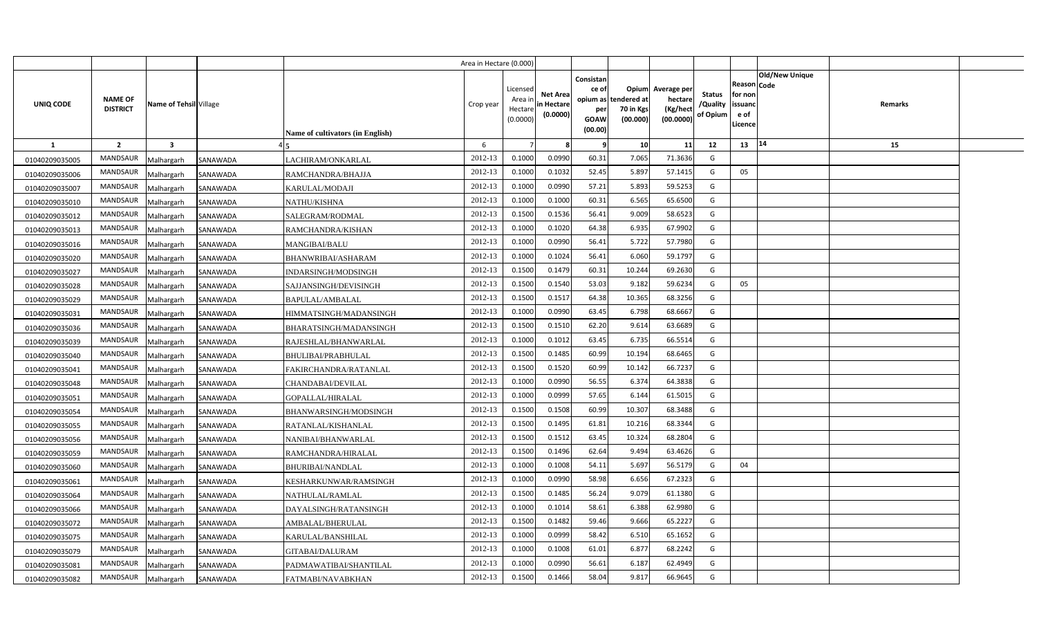|                |                                   |                         |          |                                  | Area in Hectare (0.000) |                                            |                                           |                                                     |                                                        |                                                 |                                       |                                                                               |         |  |
|----------------|-----------------------------------|-------------------------|----------|----------------------------------|-------------------------|--------------------------------------------|-------------------------------------------|-----------------------------------------------------|--------------------------------------------------------|-------------------------------------------------|---------------------------------------|-------------------------------------------------------------------------------|---------|--|
| UNIQ CODE      | <b>NAME OF</b><br><b>DISTRICT</b> | Name of Tehsil Village  |          | Name of cultivators (in English) | Crop year               | Licensed<br>Area ir<br>Hectare<br>(0.0000) | <b>Net Area</b><br>in Hectare<br>(0.0000) | Consistan<br>ce of<br>per<br><b>GOAW</b><br>(00.00) | Opium<br>opium as tendered at<br>70 in Kgs<br>(00.000) | Average per<br>hectare<br>(Kg/hect<br>(00.0000) | <b>Status</b><br>/Quality<br>of Opium | <b>Old/New Unique</b><br>Reason Code<br>for non<br>issuanc<br>e of<br>Licence | Remarks |  |
| <b>1</b>       | $\overline{2}$                    | $\overline{\mathbf{3}}$ |          |                                  | 6                       |                                            | 8                                         | - 9                                                 | 10                                                     | 11                                              | 12                                    | 14<br>13                                                                      | 15      |  |
| 01040209035005 | <b>MANDSAUR</b>                   | Malhargarh              | SANAWADA | LACHIRAM/ONKARLAL                | 2012-13                 | 0.1000                                     | 0.0990                                    | 60.31                                               | 7.065                                                  | 71.3636                                         | G                                     |                                                                               |         |  |
| 01040209035006 | MANDSAUR                          | Malhargarh              | SANAWADA | RAMCHANDRA/BHAJJA                | 2012-13                 | 0.1000                                     | 0.1032                                    | 52.45                                               | 5.897                                                  | 57.1415                                         | G                                     | 05                                                                            |         |  |
| 01040209035007 | <b>MANDSAUR</b>                   | Malhargarh              | SANAWADA | KARULAL/MODAJI                   | 2012-13                 | 0.1000                                     | 0.0990                                    | 57.21                                               | 5.893                                                  | 59.5253                                         | G                                     |                                                                               |         |  |
| 01040209035010 | MANDSAUR                          | Malhargarh              | SANAWADA | NATHU/KISHNA                     | 2012-13                 | 0.1000                                     | 0.1000                                    | 60.31                                               | 6.565                                                  | 65.6500                                         | G                                     |                                                                               |         |  |
| 01040209035012 | MANDSAUR                          | Malhargarh              | SANAWADA | SALEGRAM/RODMAL                  | 2012-13                 | 0.1500                                     | 0.1536                                    | 56.41                                               | 9.009                                                  | 58.652                                          | G                                     |                                                                               |         |  |
| 01040209035013 | <b>MANDSAUR</b>                   | Malhargarh              | SANAWADA | RAMCHANDRA/KISHAN                | 2012-13                 | 0.1000                                     | 0.1020                                    | 64.38                                               | 6.935                                                  | 67.9902                                         | G                                     |                                                                               |         |  |
| 01040209035016 | MANDSAUR                          | Malhargarh              | SANAWADA | <b>MANGIBAI/BALU</b>             | 2012-13                 | 0.1000                                     | 0.0990                                    | 56.41                                               | 5.722                                                  | 57.798                                          | G                                     |                                                                               |         |  |
| 01040209035020 | MANDSAUR                          | Malhargarh              | SANAWADA | BHANWRIBAI/ASHARAM               | 2012-13                 | 0.1000                                     | 0.1024                                    | 56.41                                               | 6.060                                                  | 59.179                                          | G                                     |                                                                               |         |  |
| 01040209035027 | MANDSAUR                          | Malhargarh              | SANAWADA | INDARSINGH/MODSINGH              | 2012-13                 | 0.1500                                     | 0.1479                                    | 60.31                                               | 10.244                                                 | 69.2630                                         | G                                     |                                                                               |         |  |
| 01040209035028 | MANDSAUR                          | Malhargarh              | SANAWADA | SAJJANSINGH/DEVISINGH            | 2012-13                 | 0.1500                                     | 0.1540                                    | 53.03                                               | 9.182                                                  | 59.623                                          | G                                     | 05                                                                            |         |  |
| 01040209035029 | MANDSAUR                          | Malhargarh              | SANAWADA | BAPULAL/AMBALAL                  | 2012-13                 | 0.1500                                     | 0.1517                                    | 64.38                                               | 10.365                                                 | 68.3256                                         | G                                     |                                                                               |         |  |
| 01040209035031 | MANDSAUR                          | Malhargarh              | SANAWADA | HIMMATSINGH/MADANSINGH           | 2012-13                 | 0.1000                                     | 0.0990                                    | 63.45                                               | 6.798                                                  | 68.666                                          | G                                     |                                                                               |         |  |
| 01040209035036 | MANDSAUR                          | Malhargarh              | SANAWADA | BHARATSINGH/MADANSINGH           | 2012-13                 | 0.1500                                     | 0.1510                                    | 62.20                                               | 9.614                                                  | 63.6689                                         | G                                     |                                                                               |         |  |
| 01040209035039 | MANDSAUR                          | Malhargarh              | SANAWADA | RAJESHLAL/BHANWARLAL             | 2012-13                 | 0.1000                                     | 0.1012                                    | 63.45                                               | 6.735                                                  | 66.5514                                         | G                                     |                                                                               |         |  |
| 01040209035040 | <b>MANDSAUR</b>                   | Malhargarh              | SANAWADA | BHULIBAI/PRABHULAL               | 2012-13                 | 0.1500                                     | 0.1485                                    | 60.99                                               | 10.194                                                 | 68.6465                                         | G                                     |                                                                               |         |  |
| 01040209035041 | MANDSAUR                          | Malhargarh              | SANAWADA | FAKIRCHANDRA/RATANLAL            | 2012-13                 | 0.1500                                     | 0.1520                                    | 60.99                                               | 10.142                                                 | 66.7237                                         | G                                     |                                                                               |         |  |
| 01040209035048 | <b>MANDSAUR</b>                   | Malhargarh              | SANAWADA | CHANDABAI/DEVILAL                | 2012-13                 | 0.1000                                     | 0.0990                                    | 56.55                                               | 6.374                                                  | 64.3838                                         | G                                     |                                                                               |         |  |
| 01040209035051 | MANDSAUR                          | Malhargarh              | SANAWADA | GOPALLAL/HIRALAL                 | 2012-13                 | 0.1000                                     | 0.0999                                    | 57.65                                               | 6.144                                                  | 61.5015                                         | G                                     |                                                                               |         |  |
| 01040209035054 | MANDSAUR                          | Malhargarh              | SANAWADA | BHANWARSINGH/MODSINGH            | 2012-13                 | 0.1500                                     | 0.1508                                    | 60.99                                               | 10.307                                                 | 68.3488                                         | G                                     |                                                                               |         |  |
| 01040209035055 | <b>MANDSAUR</b>                   | Malhargarh              | SANAWADA | RATANLAL/KISHANLAL               | 2012-13                 | 0.1500                                     | 0.1495                                    | 61.81                                               | 10.216                                                 | 68.3344                                         | G                                     |                                                                               |         |  |
| 01040209035056 | <b>MANDSAUR</b>                   | Malhargarh              | SANAWADA | NANIBAI/BHANWARLAL               | 2012-13                 | 0.1500                                     | 0.1512                                    | 63.45                                               | 10.324                                                 | 68.2804                                         | G                                     |                                                                               |         |  |
| 01040209035059 | <b>MANDSAUR</b>                   | Malhargarh              | SANAWADA | RAMCHANDRA/HIRALAL               | 2012-13                 | 0.1500                                     | 0.1496                                    | 62.64                                               | 9.494                                                  | 63.4626                                         | G                                     |                                                                               |         |  |
| 01040209035060 | MANDSAUR                          | Malhargarh              | SANAWADA | <b>BHURIBAI/NANDLAL</b>          | 2012-13                 | 0.1000                                     | 0.1008                                    | 54.11                                               | 5.697                                                  | 56.5179                                         | G                                     | 04                                                                            |         |  |
| 01040209035061 | <b>MANDSAUR</b>                   | Malhargarh              | SANAWADA | KESHARKUNWAR/RAMSINGH            | 2012-13                 | 0.1000                                     | 0.0990                                    | 58.98                                               | 6.656                                                  | 67.2323                                         | G                                     |                                                                               |         |  |
| 01040209035064 | MANDSAUR                          | Malhargarh              | SANAWADA | NATHULAL/RAMLAL                  | 2012-13                 | 0.1500                                     | 0.1485                                    | 56.24                                               | 9.079                                                  | 61.1380                                         | G                                     |                                                                               |         |  |
| 01040209035066 | MANDSAUR                          | Malhargarh              | SANAWADA | DAYALSINGH/RATANSINGH            | 2012-13                 | 0.1000                                     | 0.1014                                    | 58.61                                               | 6.388                                                  | 62.9980                                         | G                                     |                                                                               |         |  |
| 01040209035072 | MANDSAUR                          | Malhargarh              | SANAWADA | AMBALAL/BHERULAL                 | 2012-13                 | 0.1500                                     | 0.1482                                    | 59.46                                               | 9.666                                                  | 65.222                                          | G                                     |                                                                               |         |  |
| 01040209035075 | <b>MANDSAUR</b>                   | Malhargarh              | SANAWADA | KARULAL/BANSHILAL                | 2012-13                 | 0.1000                                     | 0.0999                                    | 58.42                                               | 6.510                                                  | 65.1652                                         | G                                     |                                                                               |         |  |
| 01040209035079 | MANDSAUR                          | Malhargarh              | SANAWADA | GITABAI/DALURAM                  | 2012-13                 | 0.1000                                     | 0.1008                                    | 61.01                                               | 6.877                                                  | 68.2242                                         | G                                     |                                                                               |         |  |
| 01040209035081 | MANDSAUR                          | Malhargarh              | SANAWADA | PADMAWATIBAI/SHANTILAL           | 2012-13                 | 0.1000                                     | 0.0990                                    | 56.61                                               | 6.187                                                  | 62.4949                                         | G                                     |                                                                               |         |  |
| 01040209035082 | MANDSAUR                          | Malhargarh              | SANAWADA | FATMABI/NAVABKHAN                | 2012-13                 | 0.1500                                     | 0.1466                                    | 58.04                                               | 9.817                                                  | 66.9645                                         | G                                     |                                                                               |         |  |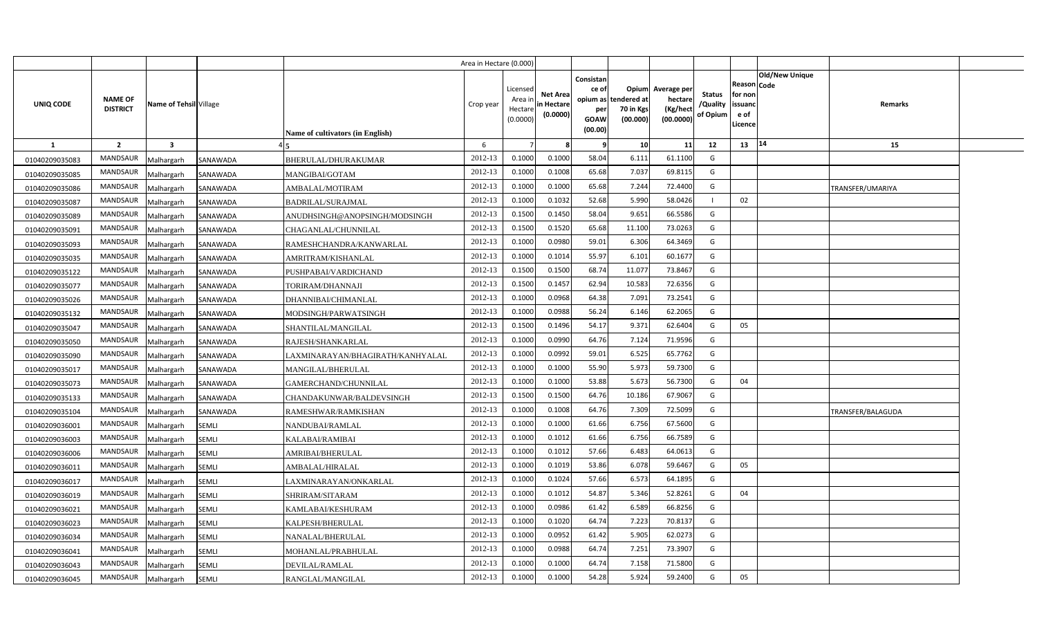|                |                                   |                         |              |                                         | Area in Hectare (0.000) |                                            |                                           |                                                                 |                                               |                                                 |                                       |                                                             |                       |                   |  |
|----------------|-----------------------------------|-------------------------|--------------|-----------------------------------------|-------------------------|--------------------------------------------|-------------------------------------------|-----------------------------------------------------------------|-----------------------------------------------|-------------------------------------------------|---------------------------------------|-------------------------------------------------------------|-----------------------|-------------------|--|
| UNIQ CODE      | <b>NAME OF</b><br><b>DISTRICT</b> | Name of Tehsil Village  |              | <b>Name of cultivators (in English)</b> | Crop year               | Licensed<br>Area ir<br>Hectare<br>(0.0000) | <b>Net Area</b><br>in Hectare<br>(0.0000) | Consistan<br>ce of<br>opium as<br>per<br><b>GOAW</b><br>(00.00) | Opium<br>tendered at<br>70 in Kgs<br>(00.000) | Average per<br>hectare<br>(Kg/hect<br>(00.0000) | <b>Status</b><br>/Quality<br>of Opium | <b>Reason Code</b><br>for non<br>issuand<br>e of<br>Licence | <b>Old/New Unique</b> | Remarks           |  |
| <b>1</b>       | $\overline{2}$                    | $\overline{\mathbf{3}}$ |              |                                         | 6                       |                                            |                                           |                                                                 | 10                                            | 11                                              | 12                                    | 13                                                          | 14                    | 15                |  |
| 01040209035083 | <b>MANDSAUR</b>                   | Malhargarh              | SANAWADA     | BHERULAL/DHURAKUMAR                     | 2012-13                 | 0.1000                                     | 0.1000                                    | 58.04                                                           | 6.111                                         | 61.1100                                         | G                                     |                                                             |                       |                   |  |
| 01040209035085 | <b>MANDSAUR</b>                   | Malhargarh              | SANAWADA     | MANGIBAI/GOTAM                          | 2012-13                 | 0.1000                                     | 0.1008                                    | 65.68                                                           | 7.037                                         | 69.8115                                         | G                                     |                                                             |                       |                   |  |
| 01040209035086 | <b>MANDSAUR</b>                   | Malhargarh              | SANAWADA     | AMBALAL/MOTIRAM                         | 2012-13                 | 0.1000                                     | 0.1000                                    | 65.68                                                           | 7.244                                         | 72.4400                                         | G                                     |                                                             |                       | TRANSFER/UMARIYA  |  |
| 01040209035087 | MANDSAUR                          | Malhargarh              | SANAWADA     | <b>BADRILAL/SURAJMAL</b>                | 2012-13                 | 0.1000                                     | 0.1032                                    | 52.68                                                           | 5.990                                         | 58.0426                                         |                                       | 02                                                          |                       |                   |  |
| 01040209035089 | MANDSAUR                          | Malhargarh              | SANAWADA     | ANUDHSINGH@ANOPSINGH/MODSINGH           | 2012-13                 | 0.1500                                     | 0.1450                                    | 58.04                                                           | 9.651                                         | 66.5586                                         | G                                     |                                                             |                       |                   |  |
| 01040209035091 | <b>MANDSAUR</b>                   | Malhargarh              | SANAWADA     | CHAGANLAL/CHUNNILAL                     | 2012-13                 | 0.1500                                     | 0.1520                                    | 65.68                                                           | 11.100                                        | 73.0263                                         | G                                     |                                                             |                       |                   |  |
| 01040209035093 | MANDSAUR                          | Malhargarh              | SANAWADA     | RAMESHCHANDRA/KANWARLAL                 | 2012-13                 | 0.1000                                     | 0.0980                                    | 59.01                                                           | 6.306                                         | 64.3469                                         | G                                     |                                                             |                       |                   |  |
| 01040209035035 | <b>MANDSAUR</b>                   | Malhargarh              | SANAWADA     | AMRITRAM/KISHANLAL                      | 2012-13                 | 0.1000                                     | 0.1014                                    | 55.97                                                           | 6.101                                         | 60.1677                                         | G                                     |                                                             |                       |                   |  |
| 01040209035122 | MANDSAUR                          | Malhargarh              | SANAWADA     | PUSHPABAI/VARDICHAND                    | 2012-13                 | 0.1500                                     | 0.1500                                    | 68.74                                                           | 11.077                                        | 73.8467                                         | G                                     |                                                             |                       |                   |  |
| 01040209035077 | <b>MANDSAUR</b>                   | Malhargarh              | SANAWADA     | TORIRAM/DHANNAJI                        | 2012-13                 | 0.1500                                     | 0.145                                     | 62.94                                                           | 10.583                                        | 72.6356                                         | G                                     |                                                             |                       |                   |  |
| 01040209035026 | <b>MANDSAUR</b>                   | Malhargarh              | SANAWADA     | DHANNIBAI/CHIMANLAL                     | 2012-13                 | 0.1000                                     | 0.0968                                    | 64.38                                                           | 7.091                                         | 73.2541                                         | G                                     |                                                             |                       |                   |  |
| 01040209035132 | <b>MANDSAUR</b>                   | Malhargarh              | SANAWADA     | MODSINGH/PARWATSINGH                    | 2012-13                 | 0.1000                                     | 0.0988                                    | 56.24                                                           | 6.146                                         | 62.2065                                         | G                                     |                                                             |                       |                   |  |
| 01040209035047 | <b>MANDSAUR</b>                   | Malhargarh              | SANAWADA     | SHANTILAL/MANGILAL                      | 2012-13                 | 0.1500                                     | 0.1496                                    | 54.17                                                           | 9.371                                         | 62.6404                                         | G                                     | 05                                                          |                       |                   |  |
| 01040209035050 | <b>MANDSAUR</b>                   | Malhargarh              | SANAWADA     | RAJESH/SHANKARLAL                       | 2012-13                 | 0.1000                                     | 0.0990                                    | 64.76                                                           | 7.124                                         | 71.9596                                         | G                                     |                                                             |                       |                   |  |
| 01040209035090 | <b>MANDSAUR</b>                   | Malhargarh              | SANAWADA     | LAXMINARAYAN/BHAGIRATH/KANHYALAL        | 2012-13                 | 0.1000                                     | 0.0992                                    | 59.01                                                           | 6.525                                         | 65.7762                                         | G                                     |                                                             |                       |                   |  |
| 01040209035017 | <b>MANDSAUR</b>                   | Malhargarh              | SANAWADA     | MANGILAL/BHERULAL                       | 2012-13                 | 0.1000                                     | 0.1000                                    | 55.90                                                           | 5.973                                         | 59.7300                                         | G                                     |                                                             |                       |                   |  |
| 01040209035073 | <b>MANDSAUR</b>                   | Malhargarh              | SANAWADA     | GAMERCHAND/CHUNNILAL                    | 2012-13                 | 0.1000                                     | 0.1000                                    | 53.88                                                           | 5.673                                         | 56.7300                                         | G                                     | 04                                                          |                       |                   |  |
| 01040209035133 | MANDSAUR                          | Malhargarh              | SANAWADA     | CHANDAKUNWAR/BALDEVSINGH                | 2012-13                 | 0.1500                                     | 0.1500                                    | 64.76                                                           | 10.186                                        | 67.9067                                         | G                                     |                                                             |                       |                   |  |
| 01040209035104 | <b>MANDSAUR</b>                   | Malhargarh              | SANAWADA     | RAMESHWAR/RAMKISHAN                     | 2012-13                 | 0.1000                                     | 0.1008                                    | 64.76                                                           | 7.309                                         | 72.5099                                         | G                                     |                                                             |                       | TRANSFER/BALAGUDA |  |
| 01040209036001 | <b>MANDSAUR</b>                   | Malhargarh              | <b>SEMLI</b> | <b>NANDUBAI/RAMLAL</b>                  | 2012-13                 | 0.1000                                     | 0.1000                                    | 61.66                                                           | 6.756                                         | 67.5600                                         | G                                     |                                                             |                       |                   |  |
| 01040209036003 | MANDSAUR                          | Malhargarh              | SEMLI        | KALABAI/RAMIBAI                         | 2012-13                 | 0.1000                                     | 0.1012                                    | 61.66                                                           | 6.756                                         | 66.7589                                         | G                                     |                                                             |                       |                   |  |
| 01040209036006 | <b>MANDSAUR</b>                   | Malhargarh              | SEMLI        | AMRIBAI/BHERULAL                        | 2012-13                 | 0.1000                                     | 0.1012                                    | 57.66                                                           | 6.483                                         | 64.0613                                         | G                                     |                                                             |                       |                   |  |
| 01040209036011 | <b>MANDSAUR</b>                   | Malhargarh              | SEMLI        | AMBALAL/HIRALAL                         | 2012-13                 | 0.1000                                     | 0.1019                                    | 53.86                                                           | 6.078                                         | 59.6467                                         | G                                     | 05                                                          |                       |                   |  |
| 01040209036017 | <b>MANDSAUR</b>                   | Malhargarh              | SEMLI        | LAXMINARAYAN/ONKARLAL                   | 2012-13                 | 0.1000                                     | 0.1024                                    | 57.66                                                           | 6.573                                         | 64.1895                                         | G                                     |                                                             |                       |                   |  |
| 01040209036019 | <b>MANDSAUR</b>                   | Malhargarh              | SEMLI        | SHRIRAM/SITARAM                         | 2012-13                 | 0.1000                                     | 0.101                                     | 54.87                                                           | 5.346                                         | 52.8261                                         | G                                     | 04                                                          |                       |                   |  |
| 01040209036021 | <b>MANDSAUR</b>                   | Malhargarh              | SEMLI        | KAMLABAI/KESHURAM                       | 2012-13                 | 0.1000                                     | 0.0986                                    | 61.42                                                           | 6.589                                         | 66.8256                                         | G                                     |                                                             |                       |                   |  |
| 01040209036023 | MANDSAUR                          | Malhargarh              | SEMLI        | KALPESH/BHERULAL                        | 2012-13                 | 0.1000                                     | 0.1020                                    | 64.74                                                           | 7.223                                         | 70.8137                                         | G                                     |                                                             |                       |                   |  |
| 01040209036034 | <b>MANDSAUR</b>                   | Malhargarh              | SEMLI        | NANALAL/BHERULAL                        | 2012-13                 | 0.1000                                     | 0.0952                                    | 61.42                                                           | 5.905                                         | 62.0273                                         | G                                     |                                                             |                       |                   |  |
| 01040209036041 | <b>MANDSAUR</b>                   | Malhargarh              | SEMLI        | MOHANLAL/PRABHULAL                      | 2012-13                 | 0.1000                                     | 0.0988                                    | 64.74                                                           | 7.251                                         | 73.3907                                         | G                                     |                                                             |                       |                   |  |
| 01040209036043 | <b>MANDSAUR</b>                   | Malhargarh              | SEMLI        | DEVILAL/RAMLAL                          | 2012-13                 | 0.1000                                     | 0.1000                                    | 64.74                                                           | 7.158                                         | 71.5800                                         | G                                     |                                                             |                       |                   |  |
| 01040209036045 | MANDSAUR                          | Malhargarh              | SEMLI        | RANGLAL/MANGILAL                        | 2012-13                 | 0.1000                                     | 0.1000                                    | 54.28                                                           | 5.924                                         | 59.2400                                         | G                                     | 05                                                          |                       |                   |  |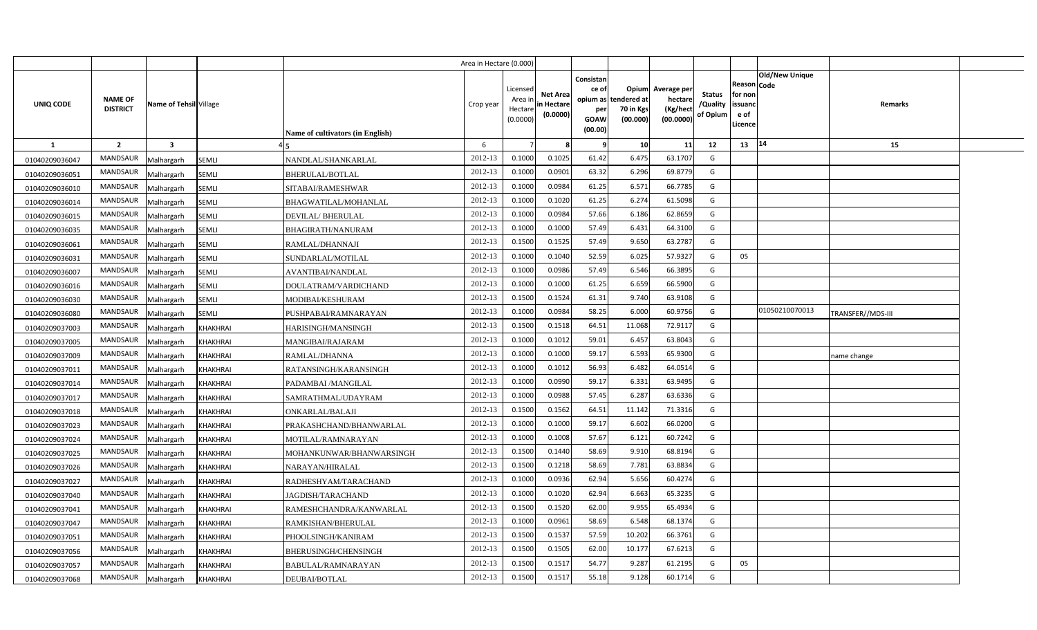|                |                                   |                         |                 |                                         | Area in Hectare (0.000) |                                            |                                           |                                                          |                                                      |                                                 |                                       |                                                      |                       |                          |  |
|----------------|-----------------------------------|-------------------------|-----------------|-----------------------------------------|-------------------------|--------------------------------------------|-------------------------------------------|----------------------------------------------------------|------------------------------------------------------|-------------------------------------------------|---------------------------------------|------------------------------------------------------|-----------------------|--------------------------|--|
| UNIQ CODE      | <b>NAME OF</b><br><b>DISTRICT</b> | Name of Tehsil Village  |                 | <b>Name of cultivators (in English)</b> | Crop year               | Licensed<br>Area in<br>Hectare<br>(0.0000) | <b>Net Area</b><br>in Hectare<br>(0.0000) | Consistan<br>ce of<br>opium as<br>per<br>GOAW<br>(00.00) | <b>Opium</b><br>tendered at<br>70 in Kgs<br>(00.000) | Average per<br>hectare<br>(Kg/hect<br>(00.0000) | <b>Status</b><br>/Quality<br>of Opium | Reason Code<br>for non<br>issuand<br>e of<br>Licence | <b>Old/New Unique</b> | Remarks                  |  |
| $\mathbf{1}$   | $\overline{2}$                    | $\overline{\mathbf{3}}$ |                 |                                         | 6                       |                                            |                                           |                                                          | 10 <sup>1</sup>                                      | 11                                              | 12                                    | 13   14                                              |                       | 15                       |  |
| 01040209036047 | <b>MANDSAUR</b>                   | Malhargarh              | <b>SEMLI</b>    | NANDLAL/SHANKARLAL                      | 2012-13                 | 0.1000                                     | 0.1025                                    | 61.42                                                    | 6.475                                                | 63.1707                                         | G                                     |                                                      |                       |                          |  |
| 01040209036051 | <b>MANDSAUR</b>                   | Malhargarh              | SEMLI           | BHERULAL/BOTLAL                         | 2012-13                 | 0.1000                                     | 0.0901                                    | 63.32                                                    | 6.296                                                | 69.8779                                         | G                                     |                                                      |                       |                          |  |
| 01040209036010 | <b>MANDSAUR</b>                   | Malhargarh              | SEMLI           | SITABAI/RAMESHWAR                       | 2012-13                 | 0.1000                                     | 0.0984                                    | 61.25                                                    | 6.571                                                | 66.7785                                         | G                                     |                                                      |                       |                          |  |
| 01040209036014 | <b>MANDSAUR</b>                   | Malhargarh              | SEMLI           | BHAGWATILAL/MOHANLAL                    | 2012-13                 | 0.1000                                     | 0.1020                                    | 61.25                                                    | 6.274                                                | 61.5098                                         | G                                     |                                                      |                       |                          |  |
| 01040209036015 | <b>MANDSAUR</b>                   | Malhargarh              | SEMLI           | DEVILAL/BHERULAL                        | 2012-13                 | 0.1000                                     | 0.0984                                    | 57.66                                                    | 6.186                                                | 62.8659                                         | G                                     |                                                      |                       |                          |  |
| 01040209036035 | <b>MANDSAUR</b>                   | Malhargarh              | SEMLI           | BHAGIRATH/NANURAM                       | 2012-13                 | 0.1000                                     | 0.1000                                    | 57.49                                                    | 6.431                                                | 64.3100                                         | G                                     |                                                      |                       |                          |  |
| 01040209036061 | <b>MANDSAUR</b>                   | Malhargarh              | SEMLI           | RAMLAL/DHANNAJI                         | 2012-13                 | 0.1500                                     | 0.1525                                    | 57.49                                                    | 9.650                                                | 63.2787                                         | G                                     |                                                      |                       |                          |  |
| 01040209036031 | <b>MANDSAUR</b>                   | Malhargarh              | SEMLI           | SUNDARLAL/MOTILAL                       | 2012-13                 | 0.1000                                     | 0.1040                                    | 52.59                                                    | 6.025                                                | 57.9327                                         | G                                     | 05                                                   |                       |                          |  |
| 01040209036007 | <b>MANDSAUR</b>                   | Malhargarh              | SEMLI           | AVANTIBAI/NANDLAL                       | 2012-13                 | 0.1000                                     | 0.0986                                    | 57.49                                                    | 6.546                                                | 66.3895                                         | G                                     |                                                      |                       |                          |  |
| 01040209036016 | <b>MANDSAUR</b>                   | Malhargarh              | SEMLI           | DOULATRAM/VARDICHAND                    | 2012-13                 | 0.1000                                     | 0.1000                                    | 61.25                                                    | 6.659                                                | 66.5900                                         | G                                     |                                                      |                       |                          |  |
| 01040209036030 | <b>MANDSAUR</b>                   | Malhargarh              | SEMLI           | MODIBAI/KESHURAM                        | 2012-13                 | 0.1500                                     | 0.1524                                    | 61.31                                                    | 9.740                                                | 63.9108                                         | G                                     |                                                      |                       |                          |  |
| 01040209036080 | <b>MANDSAUR</b>                   | Malhargarh              | SEMLI           | PUSHPABAI/RAMNARAYAN                    | 2012-13                 | 0.1000                                     | 0.0984                                    | 58.25                                                    | 6.000                                                | 60.9756                                         | G                                     |                                                      | 01050210070013        | <b>FRANSFER//MDS-III</b> |  |
| 01040209037003 | <b>MANDSAUR</b>                   | Malhargarh              | <b>KHAKHRAI</b> | HARISINGH/MANSINGH                      | 2012-13                 | 0.1500                                     | 0.1518                                    | 64.51                                                    | 11.068                                               | 72.9117                                         | G                                     |                                                      |                       |                          |  |
| 01040209037005 | <b>MANDSAUR</b>                   | Malhargarh              | KHAKHRAI        | MANGIBAI/RAJARAM                        | 2012-13                 | 0.1000                                     | 0.1012                                    | 59.01                                                    | 6.457                                                | 63.8043                                         | G                                     |                                                      |                       |                          |  |
| 01040209037009 | <b>MANDSAUR</b>                   | Malhargarh              | <b>KHAKHRAI</b> | RAMLAL/DHANNA                           | 2012-13                 | 0.1000                                     | 0.1000                                    | 59.17                                                    | 6.593                                                | 65.9300                                         | G                                     |                                                      |                       | name change              |  |
| 01040209037011 | <b>MANDSAUR</b>                   | Malhargarh              | KHAKHRAI        | RATANSINGH/KARANSINGH                   | 2012-13                 | 0.1000                                     | 0.1012                                    | 56.93                                                    | 6.482                                                | 64.0514                                         | G                                     |                                                      |                       |                          |  |
| 01040209037014 | <b>MANDSAUR</b>                   | Malhargarh              | <b>KHAKHRAI</b> | PADAMBAI /MANGILAL                      | 2012-13                 | 0.1000                                     | 0.0990                                    | 59.17                                                    | 6.331                                                | 63.9495                                         | G                                     |                                                      |                       |                          |  |
| 01040209037017 | <b>MANDSAUR</b>                   | Malhargarh              | <b>KHAKHRAI</b> | SAMRATHMAL/UDAYRAM                      | 2012-13                 | 0.1000                                     | 0.0988                                    | 57.45                                                    | 6.287                                                | 63.6336                                         | G                                     |                                                      |                       |                          |  |
| 01040209037018 | <b>MANDSAUR</b>                   | Malhargarh              | KHAKHRAI        | ONKARLAL/BALAJI                         | 2012-13                 | 0.1500                                     | 0.1562                                    | 64.51                                                    | 11.142                                               | 71.3316                                         | G                                     |                                                      |                       |                          |  |
| 01040209037023 | <b>MANDSAUR</b>                   | Malhargarh              | <b>KHAKHRAI</b> | PRAKASHCHAND/BHANWARLAL                 | 2012-13                 | 0.1000                                     | 0.1000                                    | 59.17                                                    | 6.602                                                | 66.0200                                         | G                                     |                                                      |                       |                          |  |
| 01040209037024 | <b>MANDSAUR</b>                   | Malhargarh              | KHAKHRAI        | MOTILAL/RAMNARAYAN                      | 2012-13                 | 0.1000                                     | 0.1008                                    | 57.67                                                    | 6.121                                                | 60.7242                                         | G                                     |                                                      |                       |                          |  |
| 01040209037025 | <b>MANDSAUR</b>                   | Malhargarh              | KHAKHRAI        | MOHANKUNWAR/BHANWARSINGH                | 2012-13                 | 0.1500                                     | 0.1440                                    | 58.69                                                    | 9.910                                                | 68.8194                                         | G                                     |                                                      |                       |                          |  |
| 01040209037026 | <b>MANDSAUR</b>                   | Malhargarh              | <b>KHAKHRAI</b> | NARAYAN/HIRALAL                         | 2012-13                 | 0.1500                                     | 0.1218                                    | 58.69                                                    | 7.781                                                | 63.8834                                         | G                                     |                                                      |                       |                          |  |
| 01040209037027 | <b>MANDSAUR</b>                   | Malhargarh              | <b>KHAKHRAI</b> | RADHESHYAM/TARACHAND                    | 2012-13                 | 0.1000                                     | 0.0936                                    | 62.94                                                    | 5.656                                                | 60.4274                                         | G                                     |                                                      |                       |                          |  |
| 01040209037040 | MANDSAUR                          | Malhargarh              | KHAKHRAI        | JAGDISH/TARACHAND                       | 2012-13                 | 0.1000                                     | 0.1020                                    | 62.94                                                    | 6.663                                                | 65.3235                                         | G                                     |                                                      |                       |                          |  |
| 01040209037041 | <b>MANDSAUR</b>                   | Malhargarh              | <b>KHAKHRAI</b> | RAMESHCHANDRA/KANWARLAL                 | 2012-13                 | 0.1500                                     | 0.1520                                    | 62.00                                                    | 9.955                                                | 65.4934                                         | G                                     |                                                      |                       |                          |  |
| 01040209037047 | <b>MANDSAUR</b>                   | Malhargarh              | <b>KHAKHRAI</b> | RAMKISHAN/BHERULAL                      | 2012-13                 | 0.1000                                     | 0.0961                                    | 58.69                                                    | 6.548                                                | 68.1374                                         | G                                     |                                                      |                       |                          |  |
| 01040209037051 | <b>MANDSAUR</b>                   | Malhargarh              | KHAKHRAI        | PHOOLSINGH/KANIRAM                      | 2012-13                 | 0.1500                                     | 0.1537                                    | 57.59                                                    | 10.202                                               | 66.3761                                         | G                                     |                                                      |                       |                          |  |
| 01040209037056 | <b>MANDSAUR</b>                   | Malhargarh              | <b>KHAKHRAI</b> | BHERUSINGH/CHENSINGH                    | 2012-13                 | 0.1500                                     | 0.1505                                    | 62.00                                                    | 10.177                                               | 67.6213                                         | G                                     |                                                      |                       |                          |  |
| 01040209037057 | <b>MANDSAUR</b>                   | Malhargarh              | KHAKHRAI        | BABULAL/RAMNARAYAN                      | 2012-13                 | 0.1500                                     | 0.1517                                    | 54.77                                                    | 9.287                                                | 61.2195                                         | G                                     | 05                                                   |                       |                          |  |
| 01040209037068 | MANDSAUR                          | Malhargarh              | <b>KHAKHRAI</b> | DEUBAI/BOTLAL                           | 2012-13                 | 0.1500                                     | 0.1517                                    | 55.18                                                    | 9.128                                                | 60.1714                                         | G                                     |                                                      |                       |                          |  |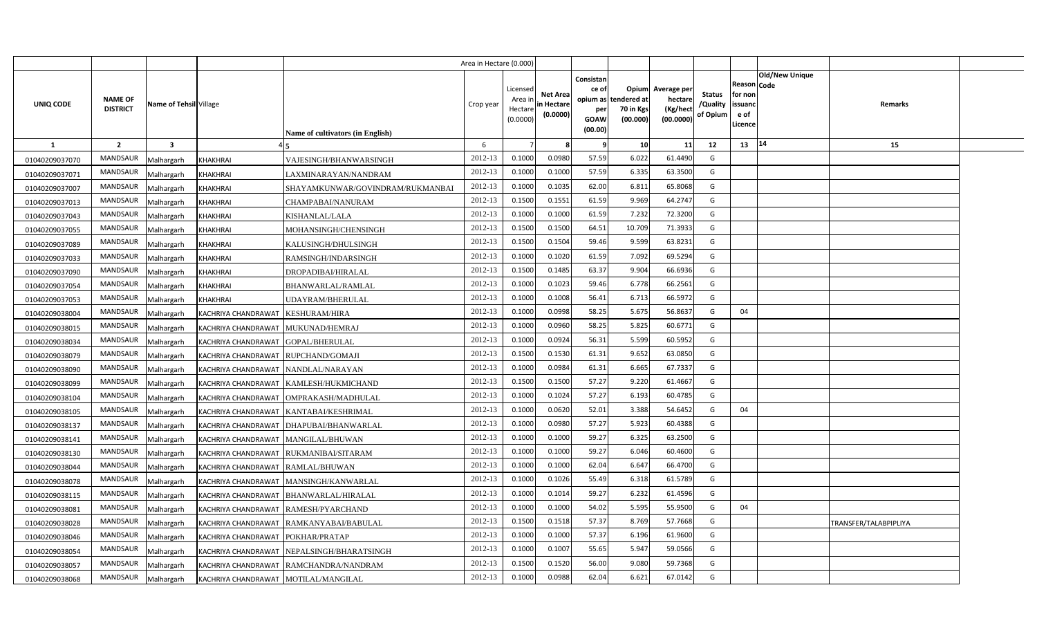|                |                                   |                         |                                       |                                            | Area in Hectare (0.000) |                                           |                                           |                                                                 |                                               |                                                |                                       |                                                                               |                       |  |
|----------------|-----------------------------------|-------------------------|---------------------------------------|--------------------------------------------|-------------------------|-------------------------------------------|-------------------------------------------|-----------------------------------------------------------------|-----------------------------------------------|------------------------------------------------|---------------------------------------|-------------------------------------------------------------------------------|-----------------------|--|
| UNIQ CODE      | <b>NAME OF</b><br><b>DISTRICT</b> | Name of Tehsil Village  |                                       | <b>Name of cultivators (in English)</b>    | Crop year               | Licensed<br>Area i<br>Hectare<br>(0.0000) | <b>Net Area</b><br>in Hectare<br>(0.0000) | Consistan<br>ce of<br>opium as<br>per<br><b>GOAW</b><br>(00.00) | Opium<br>tendered at<br>70 in Kgs<br>(00.000) | Average per<br>hectare<br>(Kg/hec<br>(00.0000) | <b>Status</b><br>/Quality<br>of Opium | <b>Old/New Unique</b><br>Reason Code<br>for non<br>issuanc<br>e of<br>Licence | Remarks               |  |
| $\mathbf{1}$   | $\overline{2}$                    | $\overline{\mathbf{3}}$ |                                       |                                            | 6                       |                                           |                                           | -9                                                              | 10                                            | 11                                             | 12                                    | 14<br>13                                                                      | 15                    |  |
| 01040209037070 | <b>MANDSAUR</b>                   | Malhargarh              | <b>KHAKHRAI</b>                       | VAJESINGH/BHANWARSINGH                     | 2012-13                 | 0.1000                                    | 0.0980                                    | 57.59                                                           | 6.022                                         | 61.4490                                        | G                                     |                                                                               |                       |  |
| 01040209037071 | MANDSAUR                          | Malhargarh              | <b>KHAKHRAI</b>                       | LAXMINARAYAN/NANDRAM                       | 2012-13                 | 0.1000                                    | 0.1000                                    | 57.59                                                           | 6.335                                         | 63.3500                                        | G                                     |                                                                               |                       |  |
| 01040209037007 | MANDSAUR                          | Malhargarh              | <b>KHAKHRAI</b>                       | SHAYAMKUNWAR/GOVINDRAM/RUKMANBAI           | 2012-13                 | 0.1000                                    | 0.1035                                    | 62.00                                                           | 6.811                                         | 65.8068                                        | G                                     |                                                                               |                       |  |
| 01040209037013 | <b>MANDSAUR</b>                   | Malhargarh              | <b>KHAKHRAI</b>                       | CHAMPABAI/NANURAM                          | 2012-13                 | 0.1500                                    | 0.1551                                    | 61.59                                                           | 9.969                                         | 64.274                                         | G                                     |                                                                               |                       |  |
| 01040209037043 | MANDSAUR                          | Malhargarh              | <b>KHAKHRAI</b>                       | KISHANLAL/LALA                             | 2012-13                 | 0.1000                                    | 0.1000                                    | 61.59                                                           | 7.232                                         | 72.3200                                        | G                                     |                                                                               |                       |  |
| 01040209037055 | MANDSAUR                          | Malhargarh              | <b>KHAKHRAI</b>                       | MOHANSINGH/CHENSINGH                       | 2012-13                 | 0.1500                                    | 0.1500                                    | 64.51                                                           | 10.709                                        | 71.3933                                        | G                                     |                                                                               |                       |  |
| 01040209037089 | MANDSAUR                          | Malhargarh              | <b>KHAKHRAI</b>                       | KALUSINGH/DHULSINGH                        | 2012-13                 | 0.1500                                    | 0.1504                                    | 59.46                                                           | 9.599                                         | 63.8231                                        | G                                     |                                                                               |                       |  |
| 01040209037033 | MANDSAUR                          | Malhargarh              | KHAKHRAI                              | RAMSINGH/INDARSINGH                        | 2012-13                 | 0.1000                                    | 0.1020                                    | 61.59                                                           | 7.092                                         | 69.529                                         | G                                     |                                                                               |                       |  |
| 01040209037090 | <b>MANDSAUR</b>                   | Malhargarh              | <b>KHAKHRAI</b>                       | DROPADIBAI/HIRALAL                         | 2012-13                 | 0.1500                                    | 0.1485                                    | 63.37                                                           | 9.904                                         | 66.6936                                        | G                                     |                                                                               |                       |  |
| 01040209037054 | <b>MANDSAUR</b>                   | Malhargarh              | KHAKHRAI                              | <b>BHANWARLAL/RAMLAL</b>                   | 2012-13                 | 0.1000                                    | 0.1023                                    | 59.46                                                           | 6.778                                         | 66.2561                                        | G                                     |                                                                               |                       |  |
| 01040209037053 | MANDSAUR                          | Malhargarh              | <b>KHAKHRAI</b>                       | UDAYRAM/BHERULAL                           | 2012-13                 | 0.1000                                    | 0.1008                                    | 56.41                                                           | 6.713                                         | 66.5972                                        | G                                     |                                                                               |                       |  |
| 01040209038004 | <b>MANDSAUR</b>                   | Malhargarh              | KACHRIYA CHANDRAWAT                   | <b>KESHURAM/HIRA</b>                       | 2012-13                 | 0.1000                                    | 0.0998                                    | 58.25                                                           | 5.675                                         | 56.8637                                        | G                                     | 04                                                                            |                       |  |
| 01040209038015 | MANDSAUR                          | Malhargarh              | KACHRIYA CHANDRAWAT MUKUNAD/HEMRAJ    |                                            | 2012-13                 | 0.1000                                    | 0.0960                                    | 58.25                                                           | 5.825                                         | 60.6771                                        | G                                     |                                                                               |                       |  |
| 01040209038034 | MANDSAUR                          | Malhargarh              | KACHRIYA CHANDRAWAT GOPAL/BHERULAL    |                                            | 2012-13                 | 0.1000                                    | 0.0924                                    | 56.31                                                           | 5.599                                         | 60.5952                                        | G                                     |                                                                               |                       |  |
| 01040209038079 | <b>MANDSAUR</b>                   | Malhargarh              | KACHRIYA CHANDRAWAT                   | RUPCHAND/GOMAJI                            | 2012-13                 | 0.1500                                    | 0.1530                                    | 61.31                                                           | 9.652                                         | 63.0850                                        | G                                     |                                                                               |                       |  |
| 01040209038090 | MANDSAUR                          | Malhargarh              | KACHRIYA CHANDRAWAT NANDLAL/NARAYAN   |                                            | 2012-13                 | 0.1000                                    | 0.0984                                    | 61.31                                                           | 6.665                                         | 67.7337                                        | G                                     |                                                                               |                       |  |
| 01040209038099 | <b>MANDSAUR</b>                   | Malhargarh              |                                       | KACHRIYA CHANDRAWAT KAMLESH/HUKMICHAND     | 2012-13                 | 0.1500                                    | 0.1500                                    | 57.27                                                           | 9.220                                         | 61.466                                         | G                                     |                                                                               |                       |  |
| 01040209038104 | MANDSAUR                          | Malhargarh              |                                       | KACHRIYA CHANDRAWAT   OMPRAKASH/MADHULAL   | 2012-13                 | 0.1000                                    | 0.1024                                    | 57.27                                                           | 6.193                                         | 60.4785                                        | G                                     |                                                                               |                       |  |
| 01040209038105 | <b>MANDSAUR</b>                   | Malhargarh              |                                       | KACHRIYA CHANDRAWAT KANTABAI/KESHRIMAL     | 2012-13                 | 0.1000                                    | 0.0620                                    | 52.01                                                           | 3.388                                         | 54.6452                                        | G                                     | 04                                                                            |                       |  |
| 01040209038137 | MANDSAUR                          | Malhargarh              |                                       | KACHRIYA CHANDRAWAT   DHAPUBAI/BHANWARLAL  | 2012-13                 | 0.1000                                    | 0.0980                                    | 57.27                                                           | 5.923                                         | 60.4388                                        | G                                     |                                                                               |                       |  |
| 01040209038141 | <b>MANDSAUR</b>                   | Malhargarh              | KACHRIYA CHANDRAWAT   MANGILAL/BHUWAN |                                            | 2012-13                 | 0.1000                                    | 0.1000                                    | 59.27                                                           | 6.325                                         | 63.2500                                        | G                                     |                                                                               |                       |  |
| 01040209038130 | <b>MANDSAUR</b>                   | Malhargarh              | KACHRIYA CHANDRAWAT                   | RUKMANIBAI/SITARAM                         | 2012-13                 | 0.1000                                    | 0.1000                                    | 59.27                                                           | 6.046                                         | 60.4600                                        | G                                     |                                                                               |                       |  |
| 01040209038044 | MANDSAUR                          | Malhargarh              | KACHRIYA CHANDRAWAT RAMLAL/BHUWAN     |                                            | 2012-13                 | 0.1000                                    | 0.1000                                    | 62.04                                                           | 6.647                                         | 66.4700                                        | G                                     |                                                                               |                       |  |
| 01040209038078 | MANDSAUR                          | Malhargarh              |                                       | KACHRIYA CHANDRAWAT   MANSINGH/KANWARLAL   | 2012-13                 | 0.1000                                    | 0.1026                                    | 55.49                                                           | 6.318                                         | 61.5789                                        | G                                     |                                                                               |                       |  |
| 01040209038115 | MANDSAUR                          | Malhargarh              |                                       | KACHRIYA CHANDRAWAT BHANWARLAL/HIRALAL     | 2012-13                 | 0.1000                                    | 0.1014                                    | 59.27                                                           | 6.232                                         | 61.4596                                        | G                                     |                                                                               |                       |  |
| 01040209038081 | MANDSAUR                          | Malhargarh              | KACHRIYA CHANDRAWAT RAMESH/PYARCHAND  |                                            | 2012-13                 | 0.1000                                    | 0.1000                                    | 54.02                                                           | 5.595                                         | 55.9500                                        | G                                     | 04                                                                            |                       |  |
| 01040209038028 | MANDSAUR                          | Malhargarh              |                                       | KACHRIYA CHANDRAWAT RAMKANYABAI/BABULAL    | 2012-13                 | 0.1500                                    | 0.1518                                    | 57.37                                                           | 8.769                                         | 57.7668                                        | G                                     |                                                                               | TRANSFER/TALABPIPLIYA |  |
| 01040209038046 | MANDSAUR                          | Malhargarh              | KACHRIYA CHANDRAWAT POKHAR/PRATAP     |                                            | 2012-13                 | 0.1000                                    | 0.1000                                    | 57.37                                                           | 6.196                                         | 61.960                                         | G                                     |                                                                               |                       |  |
| 01040209038054 | MANDSAUR                          | Malhargarh              |                                       | KACHRIYA CHANDRAWAT NEPALSINGH/BHARATSINGH | 2012-13                 | 0.1000                                    | 0.1007                                    | 55.65                                                           | 5.947                                         | 59.0566                                        | G                                     |                                                                               |                       |  |
| 01040209038057 | MANDSAUR                          | Malhargarh              |                                       | KACHRIYA CHANDRAWAT RAMCHANDRA/NANDRAM     | 2012-13                 | 0.1500                                    | 0.1520                                    | 56.00                                                           | 9.080                                         | 59.7368                                        | G                                     |                                                                               |                       |  |
| 01040209038068 | MANDSAUR                          | Malhargarh              | KACHRIYA CHANDRAWAT MOTILAL/MANGILAL  |                                            | 2012-13                 | 0.1000                                    | 0.0988                                    | 62.04                                                           | 6.621                                         | 67.0142                                        | G                                     |                                                                               |                       |  |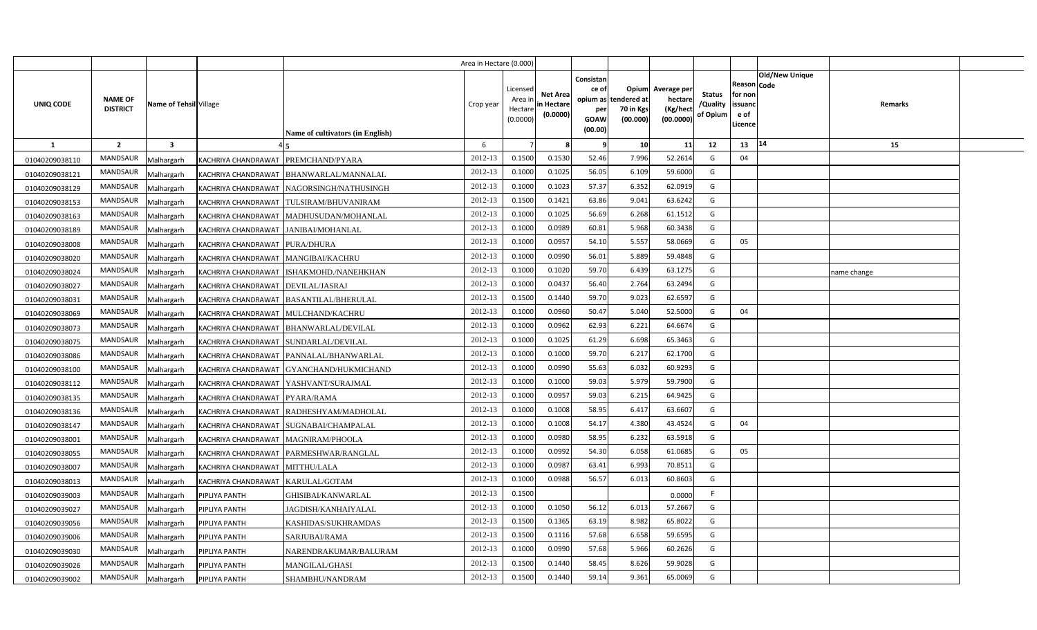|                  |                                   |                         |                                       |                                           | Area in Hectare (0.000) |                                            |                                           |                                                     |                                                        |                                                 |                                       |                                                      |                |                |  |
|------------------|-----------------------------------|-------------------------|---------------------------------------|-------------------------------------------|-------------------------|--------------------------------------------|-------------------------------------------|-----------------------------------------------------|--------------------------------------------------------|-------------------------------------------------|---------------------------------------|------------------------------------------------------|----------------|----------------|--|
| <b>UNIQ CODE</b> | <b>NAME OF</b><br><b>DISTRICT</b> | Name of Tehsil Village  |                                       | Name of cultivators (in English)          | Crop year               | Licensed<br>Area ir<br>Hectare<br>(0.0000) | <b>Net Area</b><br>in Hectare<br>(0.0000) | Consistan<br>ce of<br>per<br><b>GOAW</b><br>(00.00) | Opium<br>opium as tendered at<br>70 in Kgs<br>(00.000) | Average per<br>hectare<br>(Kg/hect<br>(00.0000) | <b>Status</b><br>/Quality<br>of Opium | Reason Code<br>for non<br>issuanc<br>e of<br>Licence | Old/New Unique | <b>Remarks</b> |  |
| 1                | $\overline{2}$                    | $\overline{\mathbf{3}}$ |                                       |                                           | 6                       |                                            |                                           | - 9                                                 | 10                                                     | 11                                              | 12                                    | 13                                                   | 14             | 15             |  |
| 01040209038110   | <b>MANDSAUR</b>                   | Malhargarh              | KACHRIYA CHANDRAWAT PREMCHAND/PYARA   |                                           | 2012-13                 | 0.1500                                     | 0.1530                                    | 52.46                                               | 7.996                                                  | 52.2614                                         | G                                     | 04                                                   |                |                |  |
| 01040209038121   | MANDSAUR                          | Malhargarh              |                                       | KACHRIYA CHANDRAWAT   BHANWARLAL/MANNALAL | 2012-13                 | 0.1000                                     | 0.1025                                    | 56.05                                               | 6.109                                                  | 59.6000                                         | G                                     |                                                      |                |                |  |
| 01040209038129   | MANDSAUR                          | Malhargarh              |                                       | KACHRIYA CHANDRAWAT NAGORSINGH/NATHUSINGH | 2012-13                 | 0.1000                                     | 0.1023                                    | 57.37                                               | 6.352                                                  | 62.0919                                         | G                                     |                                                      |                |                |  |
| 01040209038153   | MANDSAUR                          | Malhargarh              |                                       | KACHRIYA CHANDRAWAT   TULSIRAM/BHUVANIRAM | 2012-13                 | 0.1500                                     | 0.1421                                    | 63.86                                               | 9.041                                                  | 63.6242                                         | G                                     |                                                      |                |                |  |
| 01040209038163   | <b>MANDSAUR</b>                   | Malhargarh              |                                       | KACHRIYA CHANDRAWAT MADHUSUDAN/MOHANLAL   | 2012-13                 | 0.1000                                     | 0.1025                                    | 56.69                                               | 6.268                                                  | 61.1512                                         | G                                     |                                                      |                |                |  |
| 01040209038189   | MANDSAUR                          | Malhargarh              | KACHRIYA CHANDRAWAT JANIBAI/MOHANLAL  |                                           | 2012-13                 | 0.1000                                     | 0.0989                                    | 60.81                                               | 5.968                                                  | 60.3438                                         | G                                     |                                                      |                |                |  |
| 01040209038008   | MANDSAUR                          | Malhargarh              | KACHRIYA CHANDRAWAT PURA/DHURA        |                                           | 2012-13                 | 0.1000                                     | 0.0957                                    | 54.10                                               | 5.557                                                  | 58.0669                                         | G                                     | 05                                                   |                |                |  |
| 01040209038020   | MANDSAUR                          | Malhargarh              | KACHRIYA CHANDRAWAT   MANGIBAI/KACHRU |                                           | 2012-13                 | 0.1000                                     | 0.0990                                    | 56.01                                               | 5.889                                                  | 59.4848                                         | G                                     |                                                      |                |                |  |
| 01040209038024   | MANDSAUR                          | Malhargarh              |                                       | KACHRIYA CHANDRAWAT ISHAKMOHD./NANEHKHAN  | 2012-13                 | 0.1000                                     | 0.1020                                    | 59.70                                               | 6.439                                                  | 63.1275                                         | G                                     |                                                      |                | name change    |  |
| 01040209038027   | MANDSAUR                          | Malhargarh              | KACHRIYA CHANDRAWAT   DEVILAL/JASRAJ  |                                           | 2012-13                 | 0.1000                                     | 0.0437                                    | 56.40                                               | 2.764                                                  | 63.2494                                         | G                                     |                                                      |                |                |  |
| 01040209038031   | MANDSAUR                          | Malhargarh              |                                       | KACHRIYA CHANDRAWAT   BASANTILAL/BHERULAL | 2012-13                 | 0.1500                                     | 0.1440                                    | 59.70                                               | 9.023                                                  | 62.6597                                         | G                                     |                                                      |                |                |  |
| 01040209038069   | <b>MANDSAUR</b>                   | Malhargarh              | KACHRIYA CHANDRAWAT MULCHAND/KACHRU   |                                           | 2012-13                 | 0.1000                                     | 0.0960                                    | 50.47                                               | 5.040                                                  | 52.5000                                         | G                                     | 04                                                   |                |                |  |
| 01040209038073   | MANDSAUR                          | Malhargarh              |                                       | KACHRIYA CHANDRAWAT BHANWARLAL/DEVILAL    | 2012-13                 | 0.1000                                     | 0.0962                                    | 62.93                                               | 6.221                                                  | 64.6674                                         | G                                     |                                                      |                |                |  |
| 01040209038075   | <b>MANDSAUR</b>                   | Malhargarh              | KACHRIYA CHANDRAWAT SUNDARLAL/DEVILAL |                                           | 2012-13                 | 0.1000                                     | 0.1025                                    | 61.29                                               | 6.698                                                  | 65.3463                                         | G                                     |                                                      |                |                |  |
| 01040209038086   | MANDSAUR                          | Malhargarh              |                                       | KACHRIYA CHANDRAWAT PANNALAL/BHANWARLAL   | 2012-13                 | 0.1000                                     | 0.1000                                    | 59.70                                               | 6.217                                                  | 62.1700                                         | G                                     |                                                      |                |                |  |
| 01040209038100   | MANDSAUR                          | Malhargarh              |                                       | KACHRIYA CHANDRAWAT GYANCHAND/HUKMICHAND  | 2012-13                 | 0.1000                                     | 0.0990                                    | 55.63                                               | 6.032                                                  | 60.9293                                         | G                                     |                                                      |                |                |  |
| 01040209038112   | <b>MANDSAUR</b>                   | Malhargarh              |                                       | KACHRIYA CHANDRAWAT   YASHVANT/SURAJMAL   | 2012-13                 | 0.1000                                     | 0.1000                                    | 59.03                                               | 5.979                                                  | 59.7900                                         | G                                     |                                                      |                |                |  |
| 01040209038135   | MANDSAUR                          | Malhargarh              | KACHRIYA CHANDRAWAT PYARA/RAMA        |                                           | 2012-13                 | 0.1000                                     | 0.0957                                    | 59.03                                               | 6.215                                                  | 64.9425                                         | G                                     |                                                      |                |                |  |
| 01040209038136   | <b>MANDSAUR</b>                   | Malhargarh              |                                       | KACHRIYA CHANDRAWAT RADHESHYAM/MADHOLAL   | 2012-13                 | 0.1000                                     | 0.1008                                    | 58.95                                               | 6.417                                                  | 63.6607                                         | G                                     |                                                      |                |                |  |
| 01040209038147   | MANDSAUR                          | Malhargarh              |                                       | KACHRIYA CHANDRAWAT SUGNABAI/CHAMPALAL    | 2012-13                 | 0.1000                                     | 0.1008                                    | 54.17                                               | 4.380                                                  | 43.4524                                         | G                                     | 04                                                   |                |                |  |
| 01040209038001   | <b>MANDSAUR</b>                   | Malhargarh              | KACHRIYA CHANDRAWAT   MAGNIRAM/PHOOLA |                                           | 2012-13                 | 0.1000                                     | 0.0980                                    | 58.95                                               | 6.232                                                  | 63.5918                                         | G                                     |                                                      |                |                |  |
| 01040209038055   | <b>MANDSAUR</b>                   | Malhargarh              |                                       | KACHRIYA CHANDRAWAT   PARMESHWAR/RANGLAL  | 2012-13                 | 0.1000                                     | 0.0992                                    | 54.30                                               | 6.058                                                  | 61.0685                                         | G                                     | 05                                                   |                |                |  |
| 01040209038007   | <b>MANDSAUR</b>                   | Malhargarh              | KACHRIYA CHANDRAWAT MITTHU/LALA       |                                           | 2012-13                 | 0.1000                                     | 0.0987                                    | 63.41                                               | 6.993                                                  | 70.8511                                         | G                                     |                                                      |                |                |  |
| 01040209038013   | MANDSAUR                          | Malhargarh              | KACHRIYA CHANDRAWAT KARULAL/GOTAM     |                                           | 2012-13                 | 0.1000                                     | 0.0988                                    | 56.57                                               | 6.013                                                  | 60.8603                                         | G                                     |                                                      |                |                |  |
| 01040209039003   | MANDSAUR                          | Malhargarh              | PIPLIYA PANTH                         | GHISIBAI/KANWARLAL                        | 2012-13                 | 0.1500                                     |                                           |                                                     |                                                        | 0.0000                                          | - F                                   |                                                      |                |                |  |
| 01040209039027   | MANDSAUR                          | Malhargarh              | PIPLIYA PANTH                         | JAGDISH/KANHAIYALAL                       | 2012-13                 | 0.1000                                     | 0.1050                                    | 56.12                                               | 6.013                                                  | 57.2667                                         | G                                     |                                                      |                |                |  |
| 01040209039056   | MANDSAUR                          | Malhargarh              | PIPLIYA PANTH                         | KASHIDAS/SUKHRAMDAS                       | 2012-13                 | 0.1500                                     | 0.1365                                    | 63.19                                               | 8.982                                                  | 65.8022                                         | G                                     |                                                      |                |                |  |
| 01040209039006   | MANDSAUR                          | Malhargarh              | PIPLIYA PANTH                         | SARJUBAI/RAMA                             | 2012-13                 | 0.1500                                     | 0.1116                                    | 57.68                                               | 6.658                                                  | 59.6595                                         | G                                     |                                                      |                |                |  |
| 01040209039030   | MANDSAUR                          | Malhargarh              | PIPLIYA PANTH                         | NARENDRAKUMAR/BALURAM                     | 2012-13                 | 0.1000                                     | 0.0990                                    | 57.68                                               | 5.966                                                  | 60.2626                                         | G                                     |                                                      |                |                |  |
| 01040209039026   | MANDSAUR                          | Malhargarh              | PIPLIYA PANTH                         | <b>MANGILAL/GHASI</b>                     | 2012-13                 | 0.1500                                     | 0.1440                                    | 58.45                                               | 8.626                                                  | 59.9028                                         | G                                     |                                                      |                |                |  |
| 01040209039002   | MANDSAUR                          | Malhargarh              | PIPLIYA PANTH                         | SHAMBHU/NANDRAM                           | 2012-13                 | 0.1500                                     | 0.1440                                    | 59.14                                               | 9.361                                                  | 65.0069                                         | G                                     |                                                      |                |                |  |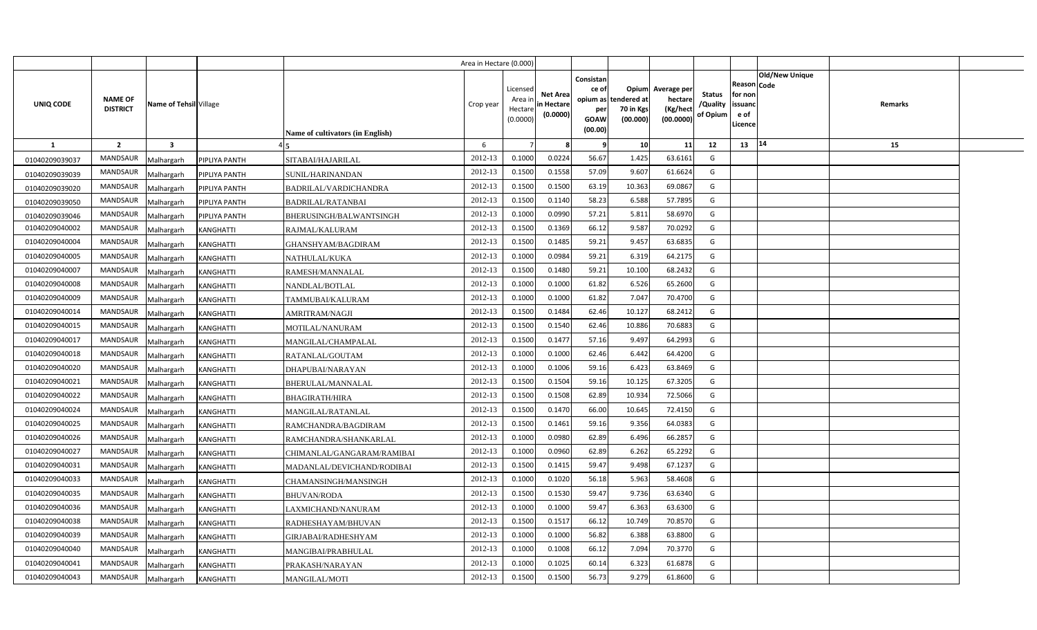|                |                                   |                                |                                  | Area in Hectare (0.000) |                                            |                                           |                                                                             |                                |                                                 |                                       |                                                      |                       |         |  |
|----------------|-----------------------------------|--------------------------------|----------------------------------|-------------------------|--------------------------------------------|-------------------------------------------|-----------------------------------------------------------------------------|--------------------------------|-------------------------------------------------|---------------------------------------|------------------------------------------------------|-----------------------|---------|--|
| UNIQ CODE      | <b>NAME OF</b><br><b>DISTRICT</b> | Name of Tehsil Village         | Name of cultivators (in English) | Crop year               | Licensed<br>Area ir<br>Hectare<br>(0.0000) | <b>Net Area</b><br>in Hectare<br>(0.0000) | Consistan<br>ce of<br>opium as tendered at<br>per<br><b>GOAW</b><br>(00.00) | Opium<br>70 in Kgs<br>(00.000) | Average per<br>hectare<br>(Kg/hect<br>(00.0000) | <b>Status</b><br>/Quality<br>of Opium | Reason Code<br>for non<br>issuanc<br>e of<br>Licence | <b>Old/New Unique</b> | Remarks |  |
| $\mathbf{1}$   | $\overline{2}$                    | $\overline{\mathbf{3}}$        |                                  | 6                       |                                            |                                           | - 9                                                                         | 10                             | 11                                              | 12                                    | 13                                                   | 14                    | 15      |  |
| 01040209039037 | <b>MANDSAUR</b>                   | PIPLIYA PANTH<br>Malhargarh    | SITABAI/HAJARILAL                | 2012-13                 | 0.1000                                     | 0.0224                                    | 56.67                                                                       | 1.425                          | 63.6161                                         | G                                     |                                                      |                       |         |  |
| 01040209039039 | <b>MANDSAUR</b>                   | PIPLIYA PANTH<br>Malhargarh    | SUNIL/HARINANDAN                 | 2012-13                 | 0.1500                                     | 0.1558                                    | 57.09                                                                       | 9.607                          | 61.6624                                         | G                                     |                                                      |                       |         |  |
| 01040209039020 | <b>MANDSAUR</b>                   | Malhargarh<br>PIPLIYA PANTH    | BADRILAL/VARDICHANDRA            | 2012-13                 | 0.1500                                     | 0.1500                                    | 63.19                                                                       | 10.363                         | 69.0867                                         | G                                     |                                                      |                       |         |  |
| 01040209039050 | <b>MANDSAUR</b>                   | Malhargarh<br>PIPLIYA PANTH    | <b>BADRILAL/RATANBAI</b>         | 2012-13                 | 0.1500                                     | 0.1140                                    | 58.23                                                                       | 6.588                          | 57.7895                                         | G                                     |                                                      |                       |         |  |
| 01040209039046 | <b>MANDSAUR</b>                   | Malhargarh<br>PIPLIYA PANTH    | BHERUSINGH/BALWANTSINGH          | 2012-13                 | 0.1000                                     | 0.0990                                    | 57.21                                                                       | 5.811                          | 58.6970                                         | G                                     |                                                      |                       |         |  |
| 01040209040002 | <b>MANDSAUR</b>                   | Malhargarh<br><b>KANGHATTI</b> | RAJMAL/KALURAM                   | 2012-13                 | 0.1500                                     | 0.1369                                    | 66.12                                                                       | 9.587                          | 70.0292                                         | G                                     |                                                      |                       |         |  |
| 01040209040004 | <b>MANDSAUR</b>                   | Malhargarh<br><b>KANGHATTI</b> | GHANSHYAM/BAGDIRAM               | 2012-13                 | 0.1500                                     | 0.1485                                    | 59.21                                                                       | 9.457                          | 63.6835                                         | G                                     |                                                      |                       |         |  |
| 01040209040005 | <b>MANDSAUR</b>                   | Malhargarh<br>KANGHATTI        | NATHULAL/KUKA                    | 2012-13                 | 0.1000                                     | 0.0984                                    | 59.21                                                                       | 6.319                          | 64.2175                                         | G                                     |                                                      |                       |         |  |
| 01040209040007 | <b>MANDSAUR</b>                   | Malhargarh<br><b>KANGHATTI</b> | RAMESH/MANNALAL                  | 2012-13                 | 0.1500                                     | 0.1480                                    | 59.21                                                                       | 10.100                         | 68.2432                                         | G                                     |                                                      |                       |         |  |
| 01040209040008 | <b>MANDSAUR</b>                   | Malhargarh<br>KANGHATTI        | NANDLAL/BOTLAL                   | 2012-13                 | 0.1000                                     | 0.1000                                    | 61.82                                                                       | 6.526                          | 65.2600                                         | G                                     |                                                      |                       |         |  |
| 01040209040009 | <b>MANDSAUR</b>                   | Malhargarh<br>KANGHATTI        | TAMMUBAI/KALURAM                 | 2012-13                 | 0.1000                                     | 0.1000                                    | 61.82                                                                       | 7.047                          | 70.4700                                         | G                                     |                                                      |                       |         |  |
| 01040209040014 | <b>MANDSAUR</b>                   | Malhargarh<br><b>KANGHATTI</b> | AMRITRAM/NAGJI                   | 2012-13                 | 0.1500                                     | 0.1484                                    | 62.46                                                                       | 10.127                         | 68.2412                                         | G                                     |                                                      |                       |         |  |
| 01040209040015 | <b>MANDSAUR</b>                   | Malhargarh<br><b>KANGHATTI</b> | MOTILAL/NANURAM                  | 2012-13                 | 0.1500                                     | 0.1540                                    | 62.46                                                                       | 10.886                         | 70.6883                                         | G                                     |                                                      |                       |         |  |
| 01040209040017 | <b>MANDSAUR</b>                   | Malhargarh<br><b>KANGHATTI</b> | MANGILAL/CHAMPALAL               | 2012-13                 | 0.1500                                     | 0.1477                                    | 57.16                                                                       | 9.497                          | 64.2993                                         | G                                     |                                                      |                       |         |  |
| 01040209040018 | MANDSAUR                          | Malhargarh<br>KANGHATTI        | RATANLAL/GOUTAM                  | 2012-13                 | 0.1000                                     | 0.1000                                    | 62.46                                                                       | 6.442                          | 64.4200                                         | G                                     |                                                      |                       |         |  |
| 01040209040020 | MANDSAUR                          | Malhargarh<br>KANGHATTI        | DHAPUBAI/NARAYAN                 | 2012-13                 | 0.1000                                     | 0.1006                                    | 59.16                                                                       | 6.423                          | 63.8469                                         | G                                     |                                                      |                       |         |  |
| 01040209040021 | MANDSAUR                          | Malhargarh<br>KANGHATTI        | BHERULAL/MANNALAL                | 2012-13                 | 0.1500                                     | 0.1504                                    | 59.16                                                                       | 10.125                         | 67.3205                                         | G                                     |                                                      |                       |         |  |
| 01040209040022 | MANDSAUR                          | Malhargarh<br>KANGHATTI        | <b>BHAGIRATH/HIRA</b>            | 2012-13                 | 0.1500                                     | 0.1508                                    | 62.89                                                                       | 10.934                         | 72.5066                                         | G                                     |                                                      |                       |         |  |
| 01040209040024 | <b>MANDSAUR</b>                   | Malhargarh<br><b>KANGHATTI</b> | MANGILAL/RATANLAL                | 2012-13                 | 0.1500                                     | 0.1470                                    | 66.00                                                                       | 10.645                         | 72.4150                                         | G                                     |                                                      |                       |         |  |
| 01040209040025 | MANDSAUR                          | Malhargarh<br>KANGHATTI        | RAMCHANDRA/BAGDIRAM              | 2012-13                 | 0.1500                                     | 0.1461                                    | 59.16                                                                       | 9.356                          | 64.0383                                         | G                                     |                                                      |                       |         |  |
| 01040209040026 | <b>MANDSAUR</b>                   | Malhargarh<br>KANGHATTI        | RAMCHANDRA/SHANKARLAL            | 2012-13                 | 0.1000                                     | 0.0980                                    | 62.89                                                                       | 6.496                          | 66.2857                                         | G                                     |                                                      |                       |         |  |
| 01040209040027 | <b>MANDSAUR</b>                   | Malhargarh<br>KANGHATTI        | CHIMANLAL/GANGARAM/RAMIBAI       | 2012-13                 | 0.1000                                     | 0.0960                                    | 62.89                                                                       | 6.262                          | 65.2292                                         | G                                     |                                                      |                       |         |  |
| 01040209040031 | <b>MANDSAUR</b>                   | Malhargarh<br><b>KANGHATTI</b> | MADANLAL/DEVICHAND/RODIBAI       | 2012-13                 | 0.1500                                     | 0.1415                                    | 59.47                                                                       | 9.498                          | 67.1237                                         | G                                     |                                                      |                       |         |  |
| 01040209040033 | <b>MANDSAUR</b>                   | Malhargarh<br><b>KANGHATTI</b> | CHAMANSINGH/MANSINGH             | 2012-13                 | 0.1000                                     | 0.1020                                    | 56.18                                                                       | 5.963                          | 58.4608                                         | G                                     |                                                      |                       |         |  |
| 01040209040035 | MANDSAUR                          | Malhargarh<br><b>KANGHATTI</b> | <b>BHUVAN/RODA</b>               | 2012-13                 | 0.1500                                     | 0.1530                                    | 59.47                                                                       | 9.736                          | 63.6340                                         | G                                     |                                                      |                       |         |  |
| 01040209040036 | <b>MANDSAUR</b>                   | Malhargarh<br><b>KANGHATTI</b> | LAXMICHAND/NANURAM               | 2012-13                 | 0.1000                                     | 0.1000                                    | 59.47                                                                       | 6.363                          | 63.6300                                         | G                                     |                                                      |                       |         |  |
| 01040209040038 | <b>MANDSAUR</b>                   | Malhargarh<br>KANGHATTI        | RADHESHAYAM/BHUVAN               | 2012-13                 | 0.1500                                     | 0.151                                     | 66.12                                                                       | 10.749                         | 70.8570                                         | G                                     |                                                      |                       |         |  |
| 01040209040039 | <b>MANDSAUR</b>                   | Malhargarh<br>KANGHATTI        | GIRJABAI/RADHESHYAM              | 2012-13                 | 0.1000                                     | 0.1000                                    | 56.82                                                                       | 6.388                          | 63.8800                                         | G                                     |                                                      |                       |         |  |
| 01040209040040 | <b>MANDSAUR</b>                   | Malhargarh<br>KANGHATTI        | MANGIBAI/PRABHULAL               | 2012-13                 | 0.1000                                     | 0.1008                                    | 66.12                                                                       | 7.094                          | 70.3770                                         | G                                     |                                                      |                       |         |  |
| 01040209040041 | <b>MANDSAUR</b>                   | Malhargarh<br><b>KANGHATTI</b> | PRAKASH/NARAYAN                  | 2012-13                 | 0.1000                                     | 0.1025                                    | 60.14                                                                       | 6.323                          | 61.6878                                         | G                                     |                                                      |                       |         |  |
| 01040209040043 | <b>MANDSAUR</b>                   | Malhargarh<br><b>KANGHATTI</b> | <b>MANGILAL/MOTI</b>             | 2012-13                 | 0.1500                                     | 0.1500                                    | 56.73                                                                       | 9.279                          | 61.8600                                         | G                                     |                                                      |                       |         |  |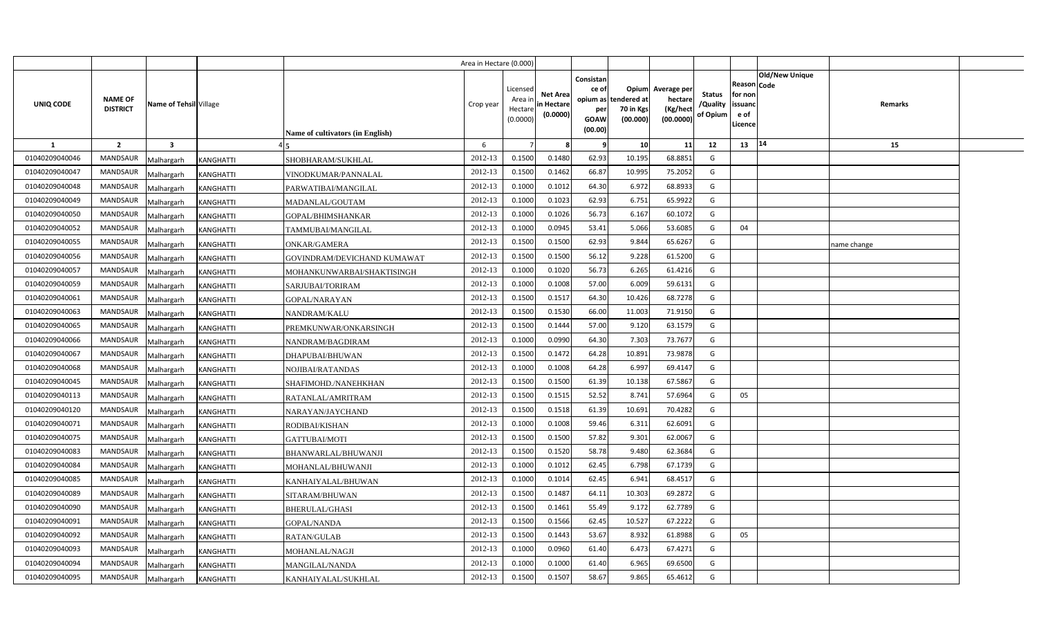|                |                                   |                                |                                         | Area in Hectare (0.000) |                                            |                                           |                                                          |                                               |                                                 |                                       |                                                             |                       |             |  |
|----------------|-----------------------------------|--------------------------------|-----------------------------------------|-------------------------|--------------------------------------------|-------------------------------------------|----------------------------------------------------------|-----------------------------------------------|-------------------------------------------------|---------------------------------------|-------------------------------------------------------------|-----------------------|-------------|--|
| UNIQ CODE      | <b>NAME OF</b><br><b>DISTRICT</b> | Name of Tehsil Village         | <b>Name of cultivators (in English)</b> | Crop year               | Licensed<br>Area in<br>Hectare<br>(0.0000) | <b>Net Area</b><br>in Hectare<br>(0.0000) | Consistan<br>ce of<br>opium as<br>per<br>GOAW<br>(00.00) | Opium<br>tendered at<br>70 in Kgs<br>(00.000) | Average per<br>hectare<br>(Kg/hect<br>(00.0000) | <b>Status</b><br>/Quality<br>of Opium | <b>Reason Code</b><br>for non<br>issuand<br>e of<br>Licence | <b>Old/New Unique</b> | Remarks     |  |
| 1              | $\overline{2}$                    | $\overline{\mathbf{3}}$        |                                         | 6                       |                                            |                                           |                                                          | 10                                            | 11                                              | 12                                    | 13   14                                                     |                       | 15          |  |
| 01040209040046 | <b>MANDSAUR</b>                   | Malhargarh<br><b>KANGHATTI</b> | SHOBHARAM/SUKHLAL                       | 2012-13                 | 0.1500                                     | 0.1480                                    | 62.93                                                    | 10.195                                        | 68.8851                                         | G                                     |                                                             |                       |             |  |
| 01040209040047 | MANDSAUR                          | <b>KANGHATTI</b><br>Malhargarh | VINODKUMAR/PANNALAL                     | 2012-13                 | 0.1500                                     | 0.1462                                    | 66.87                                                    | 10.995                                        | 75.2052                                         | G                                     |                                                             |                       |             |  |
| 01040209040048 | <b>MANDSAUR</b>                   | Malhargarh<br><b>KANGHATTI</b> | PARWATIBAI/MANGILAL                     | 2012-13                 | 0.1000                                     | 0.1012                                    | 64.30                                                    | 6.972                                         | 68.8933                                         | G                                     |                                                             |                       |             |  |
| 01040209040049 | <b>MANDSAUR</b>                   | Malhargarh<br><b>KANGHATTI</b> | MADANLAL/GOUTAM                         | 2012-13                 | 0.1000                                     | 0.1023                                    | 62.93                                                    | 6.751                                         | 65.9922                                         | G                                     |                                                             |                       |             |  |
| 01040209040050 | <b>MANDSAUR</b>                   | Malhargarh<br><b>KANGHATTI</b> | GOPAL/BHIMSHANKAR                       | 2012-13                 | 0.1000                                     | 0.1026                                    | 56.73                                                    | 6.167                                         | 60.1072                                         | G                                     |                                                             |                       |             |  |
| 01040209040052 | <b>MANDSAUR</b>                   | Malhargarh<br><b>KANGHATTI</b> | TAMMUBAI/MANGILAL                       | 2012-13                 | 0.1000                                     | 0.0945                                    | 53.41                                                    | 5.066                                         | 53.6085                                         | G                                     | 04                                                          |                       |             |  |
| 01040209040055 | <b>MANDSAUR</b>                   | Malhargarh<br>KANGHATTI        | <b>ONKAR/GAMERA</b>                     | 2012-13                 | 0.1500                                     | 0.1500                                    | 62.93                                                    | 9.844                                         | 65.6267                                         | G                                     |                                                             |                       | name change |  |
| 01040209040056 | <b>MANDSAUR</b>                   | Malhargarh<br><b>KANGHATTI</b> | GOVINDRAM/DEVICHAND KUMAWAT             | 2012-13                 | 0.1500                                     | 0.1500                                    | 56.12                                                    | 9.228                                         | 61.5200                                         | G                                     |                                                             |                       |             |  |
| 01040209040057 | <b>MANDSAUR</b>                   | Malhargarh<br>KANGHATTI        | MOHANKUNWARBAI/SHAKTISINGH              | 2012-13                 | 0.1000                                     | 0.1020                                    | 56.73                                                    | 6.265                                         | 61.4216                                         | G                                     |                                                             |                       |             |  |
| 01040209040059 | <b>MANDSAUR</b>                   | Malhargarh<br><b>KANGHATTI</b> | SARJUBAI/TORIRAM                        | 2012-13                 | 0.1000                                     | 0.1008                                    | 57.00                                                    | 6.009                                         | 59.6131                                         | G                                     |                                                             |                       |             |  |
| 01040209040061 | <b>MANDSAUR</b>                   | Malhargarh<br>KANGHATTI        | GOPAL/NARAYAN                           | 2012-13                 | 0.1500                                     | 0.1517                                    | 64.30                                                    | 10.426                                        | 68.7278                                         | G                                     |                                                             |                       |             |  |
| 01040209040063 | <b>MANDSAUR</b>                   | Malhargarh<br><b>KANGHATTI</b> | NANDRAM/KALU                            | 2012-13                 | 0.1500                                     | 0.1530                                    | 66.00                                                    | 11.003                                        | 71.9150                                         | G                                     |                                                             |                       |             |  |
| 01040209040065 | <b>MANDSAUR</b>                   | Malhargarh<br><b>KANGHATTI</b> | PREMKUNWAR/ONKARSINGH                   | 2012-13                 | 0.1500                                     | 0.1444                                    | 57.00                                                    | 9.120                                         | 63.1579                                         | G                                     |                                                             |                       |             |  |
| 01040209040066 | <b>MANDSAUR</b>                   | Malhargarh<br>KANGHATTI        | NANDRAM/BAGDIRAM                        | 2012-13                 | 0.1000                                     | 0.0990                                    | 64.30                                                    | 7.303                                         | 73.7677                                         | G                                     |                                                             |                       |             |  |
| 01040209040067 | <b>MANDSAUR</b>                   | Malhargarh<br><b>KANGHATTI</b> | DHAPUBAI/BHUWAN                         | 2012-13                 | 0.1500                                     | 0.1472                                    | 64.28                                                    | 10.891                                        | 73.9878                                         | G                                     |                                                             |                       |             |  |
| 01040209040068 | <b>MANDSAUR</b>                   | Malhargarh<br><b>KANGHATTI</b> | NOJIBAI/RATANDAS                        | 2012-13                 | 0.1000                                     | 0.1008                                    | 64.28                                                    | 6.997                                         | 69.4147                                         | G                                     |                                                             |                       |             |  |
| 01040209040045 | <b>MANDSAUR</b>                   | Malhargarh<br><b>KANGHATTI</b> | SHAFIMOHD./NANEHKHAN                    | 2012-13                 | 0.1500                                     | 0.1500                                    | 61.39                                                    | 10.138                                        | 67.5867                                         | G                                     |                                                             |                       |             |  |
| 01040209040113 | <b>MANDSAUR</b>                   | Malhargarh<br><b>KANGHATTI</b> | RATANLAL/AMRITRAM                       | 2012-13                 | 0.1500                                     | 0.1515                                    | 52.52                                                    | 8.741                                         | 57.6964                                         | G                                     | 05                                                          |                       |             |  |
| 01040209040120 | <b>MANDSAUR</b>                   | Malhargarh<br>KANGHATTI        | NARAYAN/JAYCHAND                        | 2012-13                 | 0.1500                                     | 0.1518                                    | 61.39                                                    | 10.691                                        | 70.4282                                         | G                                     |                                                             |                       |             |  |
| 01040209040071 | <b>MANDSAUR</b>                   | Malhargarh<br>KANGHATTI        | RODIBAI/KISHAN                          | 2012-13                 | 0.1000                                     | 0.1008                                    | 59.46                                                    | 6.311                                         | 62.6091                                         | G                                     |                                                             |                       |             |  |
| 01040209040075 | <b>MANDSAUR</b>                   | Malhargarh<br>KANGHATTI        | GATTUBAI/MOTI                           | 2012-13                 | 0.1500                                     | 0.1500                                    | 57.82                                                    | 9.301                                         | 62.0067                                         | G                                     |                                                             |                       |             |  |
| 01040209040083 | <b>MANDSAUR</b>                   | Malhargarh<br>KANGHATTI        | BHANWARLAL/BHUWANJI                     | 2012-13                 | 0.1500                                     | 0.1520                                    | 58.78                                                    | 9.480                                         | 62.3684                                         | G                                     |                                                             |                       |             |  |
| 01040209040084 | <b>MANDSAUR</b>                   | Malhargarh<br>KANGHATTI        | MOHANLAL/BHUWANJI                       | 2012-13                 | 0.1000                                     | 0.1012                                    | 62.45                                                    | 6.798                                         | 67.1739                                         | G                                     |                                                             |                       |             |  |
| 01040209040085 | <b>MANDSAUR</b>                   | Malhargarh<br><b>KANGHATTI</b> | KANHAIYALAL/BHUWAN                      | 2012-13                 | 0.1000                                     | 0.1014                                    | 62.45                                                    | 6.941                                         | 68.4517                                         | G                                     |                                                             |                       |             |  |
| 01040209040089 | <b>MANDSAUR</b>                   | Malhargarh<br><b>KANGHATTI</b> | SITARAM/BHUWAN                          | 2012-13                 | 0.1500                                     | 0.1487                                    | 64.11                                                    | 10.303                                        | 69.2872                                         | G                                     |                                                             |                       |             |  |
| 01040209040090 | <b>MANDSAUR</b>                   | Malhargarh<br>KANGHATTI        | BHERULAL/GHASI                          | 2012-13                 | 0.1500                                     | 0.1461                                    | 55.49                                                    | 9.172                                         | 62.7789                                         | G                                     |                                                             |                       |             |  |
| 01040209040091 | <b>MANDSAUR</b>                   | Malhargarh<br>KANGHATTI        | GOPAL/NANDA                             | 2012-13                 | 0.1500                                     | 0.1566                                    | 62.45                                                    | 10.527                                        | 67.2222                                         | G                                     |                                                             |                       |             |  |
| 01040209040092 | <b>MANDSAUR</b>                   | Malhargarh<br><b>KANGHATTI</b> | <b>RATAN/GULAB</b>                      | 2012-13                 | 0.1500                                     | 0.1443                                    | 53.67                                                    | 8.932                                         | 61.8988                                         | G                                     | 05                                                          |                       |             |  |
| 01040209040093 | <b>MANDSAUR</b>                   | Malhargarh<br><b>KANGHATTI</b> | MOHANLAL/NAGJI                          | 2012-13                 | 0.1000                                     | 0.0960                                    | 61.40                                                    | 6.473                                         | 67.4271                                         | G                                     |                                                             |                       |             |  |
| 01040209040094 | <b>MANDSAUR</b>                   | Malhargarh<br><b>KANGHATTI</b> | <b>MANGILAL/NANDA</b>                   | 2012-13                 | 0.1000                                     | 0.1000                                    | 61.40                                                    | 6.965                                         | 69.6500                                         | G                                     |                                                             |                       |             |  |
| 01040209040095 | MANDSAUR                          | Malhargarh<br><b>KANGHATTI</b> | KANHAIYALAL/SUKHLAL                     | 2012-13                 | 0.1500                                     | 0.1507                                    | 58.67                                                    | 9.865                                         | 65.4612                                         | G                                     |                                                             |                       |             |  |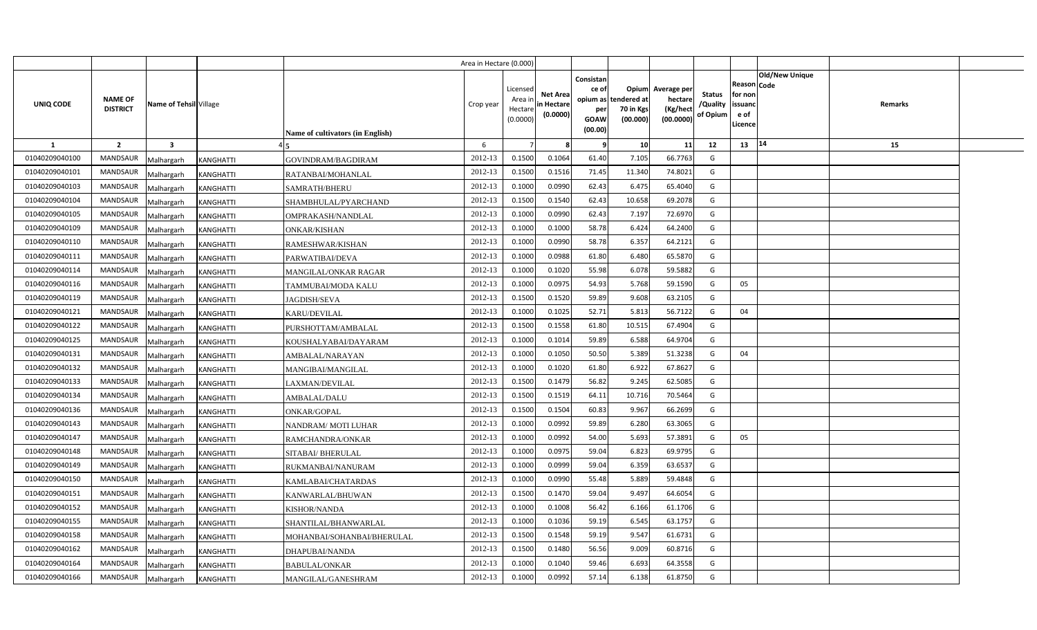|                |                                   |                                |                                         | Area in Hectare (0.000) |                                            |                                           |                                                                      |                                |                                                 |                                       |                                                      |                       |         |  |
|----------------|-----------------------------------|--------------------------------|-----------------------------------------|-------------------------|--------------------------------------------|-------------------------------------------|----------------------------------------------------------------------|--------------------------------|-------------------------------------------------|---------------------------------------|------------------------------------------------------|-----------------------|---------|--|
| UNIQ CODE      | <b>NAME OF</b><br><b>DISTRICT</b> | Name of Tehsil Village         | <b>Name of cultivators (in English)</b> | Crop year               | Licensed<br>Area ir<br>Hectare<br>(0.0000) | <b>Net Area</b><br>in Hectare<br>(0.0000) | Consistan<br>ce of<br>opium as tendered at<br>per<br>GOAW<br>(00.00) | Opium<br>70 in Kgs<br>(00.000) | Average per<br>hectare<br>(Kg/hect<br>(00.0000) | <b>Status</b><br>/Quality<br>of Opium | Reason Code<br>for non<br>issuanc<br>e of<br>Licence | <b>Old/New Unique</b> | Remarks |  |
| $\mathbf{1}$   | $\overline{2}$                    | $\overline{\mathbf{3}}$        |                                         | 6                       |                                            |                                           | -9                                                                   | 10                             | 11                                              | 12                                    | 13                                                   | 14                    | 15      |  |
| 01040209040100 | <b>MANDSAUR</b>                   | <b>KANGHATTI</b><br>Malhargarh | <b>GOVINDRAM/BAGDIRAM</b>               | 2012-13                 | 0.1500                                     | 0.1064                                    | 61.40                                                                | 7.105                          | 66.7763                                         | G                                     |                                                      |                       |         |  |
| 01040209040101 | <b>MANDSAUR</b>                   | <b>KANGHATTI</b><br>Malhargarh | RATANBAI/MOHANLAL                       | 2012-13                 | 0.1500                                     | 0.1516                                    | 71.45                                                                | 11.340                         | 74.8021                                         | G                                     |                                                      |                       |         |  |
| 01040209040103 | <b>MANDSAUR</b>                   | Malhargarh<br>KANGHATTI        | SAMRATH/BHERU                           | 2012-13                 | 0.1000                                     | 0.0990                                    | 62.43                                                                | 6.475                          | 65.4040                                         | G                                     |                                                      |                       |         |  |
| 01040209040104 | <b>MANDSAUR</b>                   | Malhargarh<br><b>KANGHATTI</b> | SHAMBHULAL/PYARCHAND                    | 2012-13                 | 0.1500                                     | 0.1540                                    | 62.43                                                                | 10.658                         | 69.2078                                         | G                                     |                                                      |                       |         |  |
| 01040209040105 | <b>MANDSAUR</b>                   | Malhargarh<br><b>KANGHATTI</b> | OMPRAKASH/NANDLAL                       | 2012-13                 | 0.1000                                     | 0.0990                                    | 62.43                                                                | 7.197                          | 72.6970                                         | G                                     |                                                      |                       |         |  |
| 01040209040109 | <b>MANDSAUR</b>                   | <b>KANGHATTI</b><br>Malhargarh | <b>ONKAR/KISHAN</b>                     | 2012-13                 | 0.100                                      | 0.1000                                    | 58.78                                                                | 6.424                          | 64.2400                                         | G                                     |                                                      |                       |         |  |
| 01040209040110 | <b>MANDSAUR</b>                   | Malhargarh<br><b>KANGHATTI</b> | RAMESHWAR/KISHAN                        | 2012-13                 | 0.1000                                     | 0.0990                                    | 58.78                                                                | 6.357                          | 64.2121                                         | G                                     |                                                      |                       |         |  |
| 01040209040111 | <b>MANDSAUR</b>                   | Malhargarh<br><b>KANGHATTI</b> | PARWATIBAI/DEVA                         | 2012-13                 | 0.1000                                     | 0.0988                                    | 61.80                                                                | 6.480                          | 65.5870                                         | G                                     |                                                      |                       |         |  |
| 01040209040114 | <b>MANDSAUR</b>                   | Malhargarh<br><b>KANGHATTI</b> | <b>MANGILAL/ONKAR RAGAR</b>             | 2012-13                 | 0.1000                                     | 0.1020                                    | 55.98                                                                | 6.078                          | 59.5882                                         | G                                     |                                                      |                       |         |  |
| 01040209040116 | <b>MANDSAUR</b>                   | Malhargarh<br><b>KANGHATTI</b> | TAMMUBAI/MODA KALU                      | 2012-13                 | 0.1000                                     | 0.097!                                    | 54.93                                                                | 5.768                          | 59.1590                                         | G                                     | 05                                                   |                       |         |  |
| 01040209040119 | <b>MANDSAUR</b>                   | Malhargarh<br><b>KANGHATTI</b> | <b>JAGDISH/SEVA</b>                     | 2012-13                 | 0.1500                                     | 0.1520                                    | 59.89                                                                | 9.608                          | 63.2105                                         | G                                     |                                                      |                       |         |  |
| 01040209040121 | <b>MANDSAUR</b>                   | Malhargarh<br><b>KANGHATTI</b> | <b>KARU/DEVILAL</b>                     | 2012-13                 | 0.1000                                     | 0.1025                                    | 52.71                                                                | 5.813                          | 56.7122                                         | G                                     | 04                                                   |                       |         |  |
| 01040209040122 | <b>MANDSAUR</b>                   | Malhargarh<br><b>KANGHATTI</b> | PURSHOTTAM/AMBALAL                      | 2012-13                 | 0.1500                                     | 0.1558                                    | 61.80                                                                | 10.515                         | 67.4904                                         | G                                     |                                                      |                       |         |  |
| 01040209040125 | MANDSAUR                          | Malhargarh<br>KANGHATTI        | KOUSHALYABAI/DAYARAM                    | 2012-13                 | 0.1000                                     | 0.1014                                    | 59.89                                                                | 6.588                          | 64.9704                                         | G                                     |                                                      |                       |         |  |
| 01040209040131 | MANDSAUR                          | Malhargarh<br>KANGHATTI        | AMBALAL/NARAYAN                         | 2012-13                 | 0.1000                                     | 0.1050                                    | 50.50                                                                | 5.389                          | 51.3238                                         | G                                     | 04                                                   |                       |         |  |
| 01040209040132 | MANDSAUR                          | Malhargarh<br>KANGHATTI        | MANGIBAI/MANGILAL                       | 2012-13                 | 0.1000                                     | 0.1020                                    | 61.80                                                                | 6.922                          | 67.8627                                         | G                                     |                                                      |                       |         |  |
| 01040209040133 | MANDSAUR                          | Malhargarh<br>KANGHATTI        | LAXMAN/DEVILAL                          | 2012-13                 | 0.1500                                     | 0.1479                                    | 56.82                                                                | 9.245                          | 62.5085                                         | G                                     |                                                      |                       |         |  |
| 01040209040134 | <b>MANDSAUR</b>                   | Malhargarh<br><b>KANGHATTI</b> | <b>AMBALAL/DALU</b>                     | 2012-13                 | 0.1500                                     | 0.1519                                    | 64.11                                                                | 10.716                         | 70.5464                                         | G                                     |                                                      |                       |         |  |
| 01040209040136 | MANDSAUR                          | Malhargarh<br>KANGHATTI        | <b>ONKAR/GOPAL</b>                      | 2012-13                 | 0.1500                                     | 0.1504                                    | 60.83                                                                | 9.967                          | 66.2699                                         | G                                     |                                                      |                       |         |  |
| 01040209040143 | <b>MANDSAUR</b>                   | Malhargarh<br><b>KANGHATTI</b> | NANDRAM/ MOTI LUHAR                     | 2012-13                 | 0.1000                                     | 0.0992                                    | 59.89                                                                | 6.280                          | 63.3065                                         | G                                     |                                                      |                       |         |  |
| 01040209040147 | <b>MANDSAUR</b>                   | Malhargarh<br>KANGHATTI        | RAMCHANDRA/ONKAR                        | 2012-13                 | 0.1000                                     | 0.0992                                    | 54.00                                                                | 5.693                          | 57.3891                                         | G                                     | 05                                                   |                       |         |  |
| 01040209040148 | <b>MANDSAUR</b>                   | Malhargarh<br>KANGHATTI        | SITABAI/ BHERULAL                       | 2012-13                 | 0.1000                                     | 0.097!                                    | 59.04                                                                | 6.823                          | 69.9795                                         | G                                     |                                                      |                       |         |  |
| 01040209040149 | <b>MANDSAUR</b>                   | Malhargarh<br><b>KANGHATTI</b> | RUKMANBAI/NANURAM                       | 2012-13                 | 0.1000                                     | 0.0999                                    | 59.04                                                                | 6.359                          | 63.6537                                         | G                                     |                                                      |                       |         |  |
| 01040209040150 | MANDSAUR                          | Malhargarh<br>KANGHATTI        | KAMLABAI/CHATARDAS                      | 2012-13                 | 0.1000                                     | 0.0990                                    | 55.48                                                                | 5.889                          | 59.4848                                         | G                                     |                                                      |                       |         |  |
| 01040209040151 | <b>MANDSAUR</b>                   | Malhargarh<br><b>KANGHATTI</b> | KANWARLAL/BHUWAN                        | 2012-13                 | 0.1500                                     | 0.1470                                    | 59.04                                                                | 9.497                          | 64.6054                                         | G                                     |                                                      |                       |         |  |
| 01040209040152 | <b>MANDSAUR</b>                   | Malhargarh<br>KANGHATTI        | KISHOR/NANDA                            | 2012-13                 | 0.1000                                     | 0.1008                                    | 56.42                                                                | 6.166                          | 61.1706                                         | G                                     |                                                      |                       |         |  |
| 01040209040155 | <b>MANDSAUR</b>                   | Malhargarh<br>KANGHATTI        | SHANTILAL/BHANWARLAL                    | 2012-13                 | 0.1000                                     | 0.1036                                    | 59.19                                                                | 6.545                          | 63.1757                                         | G                                     |                                                      |                       |         |  |
| 01040209040158 | <b>MANDSAUR</b>                   | Malhargarh<br><b>KANGHATTI</b> | MOHANBAI/SOHANBAI/BHERULAL              | 2012-13                 | 0.1500                                     | 0.1548                                    | 59.19                                                                | 9.547                          | 61.6731                                         | G                                     |                                                      |                       |         |  |
| 01040209040162 | <b>MANDSAUR</b>                   | Malhargarh<br><b>KANGHATTI</b> | DHAPUBAI/NANDA                          | 2012-13                 | 0.1500                                     | 0.1480                                    | 56.56                                                                | 9.009                          | 60.8716                                         | G                                     |                                                      |                       |         |  |
| 01040209040164 | <b>MANDSAUR</b>                   | Malhargarh<br><b>KANGHATTI</b> | BABULAL/ONKAR                           | 2012-13                 | 0.1000                                     | 0.1040                                    | 59.46                                                                | 6.693                          | 64.3558                                         | G                                     |                                                      |                       |         |  |
| 01040209040166 | MANDSAUR                          | Malhargarh<br><b>KANGHATTI</b> | MANGILAL/GANESHRAM                      | 2012-13                 | 0.1000                                     | 0.0992                                    | 57.14                                                                | 6.138                          | 61.8750                                         | G                                     |                                                      |                       |         |  |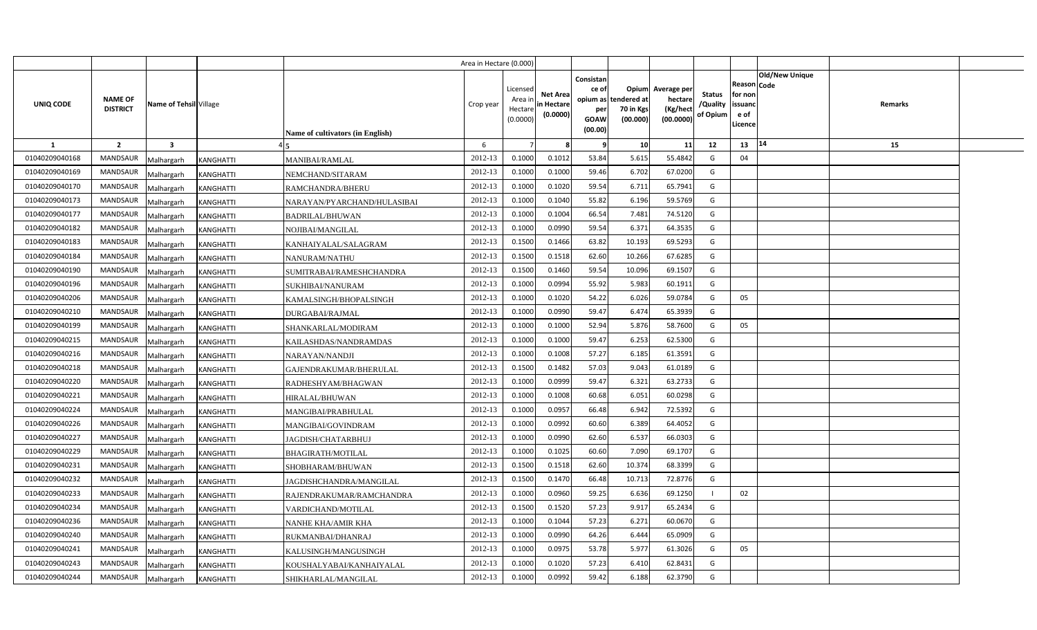|                |                                   |                         |                  |                                         | Area in Hectare (0.000) |                                            |                                           |                                                     |                                                        |                                                 |                                       |                                                      |                |         |  |
|----------------|-----------------------------------|-------------------------|------------------|-----------------------------------------|-------------------------|--------------------------------------------|-------------------------------------------|-----------------------------------------------------|--------------------------------------------------------|-------------------------------------------------|---------------------------------------|------------------------------------------------------|----------------|---------|--|
| UNIQ CODE      | <b>NAME OF</b><br><b>DISTRICT</b> | Name of Tehsil Village  |                  | <b>Name of cultivators (in English)</b> | Crop year               | Licensed<br>Area ir<br>Hectare<br>(0.0000) | <b>Net Area</b><br>in Hectare<br>(0.0000) | Consistan<br>ce of<br>per<br><b>GOAW</b><br>(00.00) | Opium<br>opium as tendered at<br>70 in Kgs<br>(00.000) | Average per<br>hectare<br>(Kg/hect<br>(00.0000) | <b>Status</b><br>/Quality<br>of Opium | Reason Code<br>for non<br>issuanc<br>e of<br>Licence | Old/New Unique | Remarks |  |
| 1              | $\overline{2}$                    | $\overline{\mathbf{3}}$ |                  |                                         | 6                       |                                            |                                           | - 9                                                 | 10                                                     | 11                                              | 12                                    | 13                                                   | 14             | 15      |  |
| 01040209040168 | <b>MANDSAUR</b>                   | Malhargarh              | KANGHATTI        | <b>MANIBAI/RAMLAL</b>                   | 2012-13                 | 0.1000                                     | 0.101                                     | 53.84                                               | 5.615                                                  | 55.4842                                         | G                                     | 04                                                   |                |         |  |
| 01040209040169 | MANDSAUR                          | Malhargarh              | <b>KANGHATTI</b> | NEMCHAND/SITARAM                        | 2012-13                 | 0.1000                                     | 0.1000                                    | 59.46                                               | 6.702                                                  | 67.0200                                         | G                                     |                                                      |                |         |  |
| 01040209040170 | <b>MANDSAUR</b>                   | Malhargarh              | KANGHATTI        | RAMCHANDRA/BHERU                        | 2012-13                 | 0.1000                                     | 0.1020                                    | 59.54                                               | 6.711                                                  | 65.7941                                         | G                                     |                                                      |                |         |  |
| 01040209040173 | <b>MANDSAUR</b>                   | Malhargarh              | KANGHATTI        | NARAYAN/PYARCHAND/HULASIBAI             | 2012-13                 | 0.100                                      | 0.1040                                    | 55.82                                               | 6.196                                                  | 59.5769                                         | G                                     |                                                      |                |         |  |
| 01040209040177 | MANDSAUR                          | Malhargarh              | KANGHATTI        | <b>BADRILAL/BHUWAN</b>                  | 2012-13                 | 0.100                                      | 0.1004                                    | 66.54                                               | 7.481                                                  | 74.5120                                         | G                                     |                                                      |                |         |  |
| 01040209040182 | <b>MANDSAUR</b>                   | Malhargarh              | <b>KANGHATTI</b> | NOJIBAI/MANGILAL                        | 2012-13                 | 0.1000                                     | 0.0990                                    | 59.54                                               | 6.371                                                  | 64.3535                                         | G                                     |                                                      |                |         |  |
| 01040209040183 | MANDSAUR                          | Malhargarh              | <b>KANGHATTI</b> | KANHAIYALAL/SALAGRAM                    | 2012-13                 | 0.1500                                     | 0.1466                                    | 63.82                                               | 10.193                                                 | 69.5293                                         | G                                     |                                                      |                |         |  |
| 01040209040184 | MANDSAUR                          | Malhargarh              | <b>KANGHATTI</b> | NANURAM/NATHU                           | 2012-13                 | 0.1500                                     | 0.1518                                    | 62.60                                               | 10.266                                                 | 67.6285                                         | G                                     |                                                      |                |         |  |
| 01040209040190 | MANDSAUR                          | Malhargarh              | KANGHATTI        | SUMITRABAI/RAMESHCHANDRA                | 2012-13                 | 0.1500                                     | 0.1460                                    | 59.54                                               | 10.096                                                 | 69.1507                                         | G                                     |                                                      |                |         |  |
| 01040209040196 | <b>MANDSAUR</b>                   | Malhargarh              | <b>KANGHATTI</b> | SUKHIBAI/NANURAM                        | 2012-13                 | 0.1000                                     | 0.0994                                    | 55.92                                               | 5.983                                                  | 60.1911                                         | G                                     |                                                      |                |         |  |
| 01040209040206 | MANDSAUR                          | Malhargarh              | KANGHATTI        | KAMALSINGH/BHOPALSINGH                  | 2012-13                 | 0.1000                                     | 0.1020                                    | 54.22                                               | 6.026                                                  | 59.0784                                         | G                                     | 05                                                   |                |         |  |
| 01040209040210 | <b>MANDSAUR</b>                   | Malhargarh              | KANGHATTI        | DURGABAI/RAJMAL                         | 2012-13                 | 0.1000                                     | 0.0990                                    | 59.47                                               | 6.474                                                  | 65.3939                                         | G                                     |                                                      |                |         |  |
| 01040209040199 | MANDSAUR                          | Malhargarh              | <b>KANGHATTI</b> | SHANKARLAL/MODIRAM                      | 2012-13                 | 0.1000                                     | 0.1000                                    | 52.94                                               | 5.876                                                  | 58.7600                                         | G                                     | 05                                                   |                |         |  |
| 01040209040215 | <b>MANDSAUR</b>                   | Malhargarh              | KANGHATTI        | KAILASHDAS/NANDRAMDAS                   | 2012-13                 | 0.1000                                     | 0.1000                                    | 59.47                                               | 6.253                                                  | 62.5300                                         | G                                     |                                                      |                |         |  |
| 01040209040216 | MANDSAUR                          | Malhargarh              | KANGHATTI        | NARAYAN/NANDJI                          | 2012-13                 | 0.1000                                     | 0.1008                                    | 57.27                                               | 6.185                                                  | 61.3591                                         | G                                     |                                                      |                |         |  |
| 01040209040218 | MANDSAUR                          | Malhargarh              | KANGHATTI        | GAJENDRAKUMAR/BHERULAL                  | 2012-13                 | 0.1500                                     | 0.1482                                    | 57.03                                               | 9.043                                                  | 61.0189                                         | G                                     |                                                      |                |         |  |
| 01040209040220 | <b>MANDSAUR</b>                   | Malhargarh              | <b>KANGHATTI</b> | RADHESHYAM/BHAGWAN                      | 2012-13                 | 0.1000                                     | 0.0999                                    | 59.47                                               | 6.321                                                  | 63.2733                                         | G                                     |                                                      |                |         |  |
| 01040209040221 | MANDSAUR                          | Malhargarh              | KANGHATTI        | <b>HIRALAL/BHUWAN</b>                   | 2012-13                 | 0.1000                                     | 0.1008                                    | 60.68                                               | 6.051                                                  | 60.0298                                         | G                                     |                                                      |                |         |  |
| 01040209040224 | MANDSAUR                          | Malhargarh              | KANGHATTI        | MANGIBAI/PRABHULAL                      | 2012-13                 | 0.1000                                     | 0.095                                     | 66.48                                               | 6.942                                                  | 72.5392                                         | G                                     |                                                      |                |         |  |
| 01040209040226 | MANDSAUR                          | Malhargarh              | KANGHATTI        | MANGIBAI/GOVINDRAM                      | 2012-13                 | 0.1000                                     | 0.0992                                    | 60.60                                               | 6.389                                                  | 64.4052                                         | G                                     |                                                      |                |         |  |
| 01040209040227 | MANDSAUR                          | Malhargarh              | KANGHATTI        | JAGDISH/CHATARBHUJ                      | 2012-13                 | 0.1000                                     | 0.0990                                    | 62.60                                               | 6.537                                                  | 66.0303                                         | G                                     |                                                      |                |         |  |
| 01040209040229 | MANDSAUR                          | Malhargarh              | KANGHATTI        | BHAGIRATH/MOTILAL                       | 2012-13                 | 0.1000                                     | 0.1025                                    | 60.60                                               | 7.090                                                  | 69.1707                                         | G                                     |                                                      |                |         |  |
| 01040209040231 | MANDSAUR                          | Malhargarh              | <b>KANGHATTI</b> | SHOBHARAM/BHUWAN                        | 2012-13                 | 0.1500                                     | 0.1518                                    | 62.60                                               | 10.374                                                 | 68.3399                                         | G                                     |                                                      |                |         |  |
| 01040209040232 | MANDSAUR                          | Malhargarh              | <b>KANGHATTI</b> | JAGDISHCHANDRA/MANGILAL                 | 2012-13                 | 0.1500                                     | 0.1470                                    | 66.48                                               | 10.713                                                 | 72.8776                                         | G                                     |                                                      |                |         |  |
| 01040209040233 | MANDSAUR                          | Malhargarh              | KANGHATTI        | RAJENDRAKUMAR/RAMCHANDRA                | 2012-13                 | 0.1000                                     | 0.0960                                    | 59.25                                               | 6.636                                                  | 69.1250                                         |                                       | 02                                                   |                |         |  |
| 01040209040234 | <b>MANDSAUR</b>                   | Malhargarh              | KANGHATTI        | VARDICHAND/MOTILAL                      | 2012-13                 | 0.1500                                     | 0.1520                                    | 57.23                                               | 9.917                                                  | 65.2434                                         | G                                     |                                                      |                |         |  |
| 01040209040236 | MANDSAUR                          | Malhargarh              | KANGHATTI        | <b>NANHE KHA/AMIR KHA</b>               | 2012-13                 | 0.1000                                     | 0.1044                                    | 57.23                                               | 6.271                                                  | 60.0670                                         | G                                     |                                                      |                |         |  |
| 01040209040240 | <b>MANDSAUR</b>                   | Malhargarh              | <b>KANGHATTI</b> | RUKMANBAI/DHANRAJ                       | 2012-13                 | 0.1000                                     | 0.0990                                    | 64.26                                               | 6.444                                                  | 65.0909                                         | G                                     |                                                      |                |         |  |
| 01040209040241 | <b>MANDSAUR</b>                   | Malhargarh              | KANGHATTI        | KALUSINGH/MANGUSINGH                    | 2012-13                 | 0.1000                                     | 0.0975                                    | 53.78                                               | 5.977                                                  | 61.3026                                         | G                                     | 05                                                   |                |         |  |
| 01040209040243 | <b>MANDSAUR</b>                   | Malhargarh              | KANGHATTI        | KOUSHALYABAI/KANHAIYALAL                | 2012-13                 | 0.100                                      | 0.1020                                    | 57.23                                               | 6.410                                                  | 62.8431                                         | G                                     |                                                      |                |         |  |
| 01040209040244 | MANDSAUR                          | Malhargarh              | <b>KANGHATTI</b> | SHIKHARLAL/MANGILAL                     | 2012-13                 | 0.1000                                     | 0.0992                                    | 59.42                                               | 6.188                                                  | 62.3790                                         | G                                     |                                                      |                |         |  |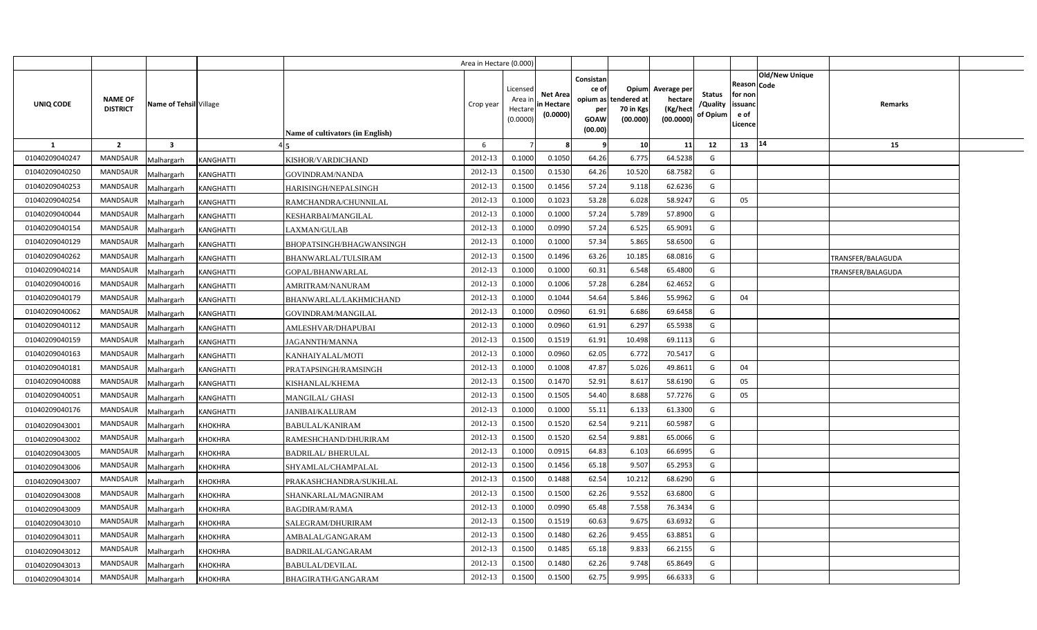|                |                                   |                                |                                  | Area in Hectare (0.000) |                                            |                                           |                                                                 |                                               |                                                 |                                       |                                                             |                       |                   |  |
|----------------|-----------------------------------|--------------------------------|----------------------------------|-------------------------|--------------------------------------------|-------------------------------------------|-----------------------------------------------------------------|-----------------------------------------------|-------------------------------------------------|---------------------------------------|-------------------------------------------------------------|-----------------------|-------------------|--|
| UNIQ CODE      | <b>NAME OF</b><br><b>DISTRICT</b> | Name of Tehsil Village         | Name of cultivators (in English) | Crop year               | Licensed<br>Area in<br>Hectare<br>(0.0000) | <b>Net Area</b><br>in Hectare<br>(0.0000) | Consistan<br>ce of<br>opium as<br>per<br><b>GOAW</b><br>(00.00) | Opium<br>tendered at<br>70 in Kgs<br>(00.000) | Average per<br>hectare<br>(Kg/hect<br>(00.0000) | <b>Status</b><br>/Quality<br>of Opium | <b>Reason Code</b><br>for non<br>issuand<br>e of<br>Licence | <b>Old/New Unique</b> | Remarks           |  |
| $\mathbf{1}$   | $\overline{2}$                    | $\overline{\mathbf{3}}$        |                                  | 6                       |                                            |                                           |                                                                 | 10 <sup>1</sup>                               | 11                                              | 12                                    | 13 14                                                       |                       | 15                |  |
| 01040209040247 | <b>MANDSAUR</b>                   | <b>KANGHATTI</b><br>Malhargarh | KISHOR/VARDICHAND                | 2012-13                 | 0.1000                                     | 0.1050                                    | 64.26                                                           | 6.775                                         | 64.5238                                         | G                                     |                                                             |                       |                   |  |
| 01040209040250 | <b>MANDSAUR</b>                   | <b>KANGHATTI</b><br>Malhargarh | GOVINDRAM/NANDA                  | 2012-13                 | 0.1500                                     | 0.1530                                    | 64.26                                                           | 10.520                                        | 68.7582                                         | G                                     |                                                             |                       |                   |  |
| 01040209040253 | <b>MANDSAUR</b>                   | Malhargarh<br><b>KANGHATTI</b> | HARISINGH/NEPALSINGH             | 2012-13                 | 0.1500                                     | 0.1456                                    | 57.24                                                           | 9.118                                         | 62.6236                                         | G                                     |                                                             |                       |                   |  |
| 01040209040254 | <b>MANDSAUR</b>                   | Malhargarh<br><b>KANGHATTI</b> | RAMCHANDRA/CHUNNILAL             | 2012-13                 | 0.1000                                     | 0.1023                                    | 53.28                                                           | 6.028                                         | 58.9247                                         | G                                     | 05                                                          |                       |                   |  |
| 01040209040044 | <b>MANDSAUR</b>                   | Malhargarh<br><b>KANGHATTI</b> | KESHARBAI/MANGILAL               | 2012-13                 | 0.1000                                     | 0.1000                                    | 57.24                                                           | 5.789                                         | 57.8900                                         | G                                     |                                                             |                       |                   |  |
| 01040209040154 | <b>MANDSAUR</b>                   | <b>KANGHATTI</b><br>Malhargarh | LAXMAN/GULAB                     | 2012-13                 | 0.1000                                     | 0.0990                                    | 57.24                                                           | 6.525                                         | 65.9091                                         | G                                     |                                                             |                       |                   |  |
| 01040209040129 | <b>MANDSAUR</b>                   | <b>KANGHATTI</b><br>Malhargarh | BHOPATSINGH/BHAGWANSINGH         | 2012-13                 | 0.1000                                     | 0.1000                                    | 57.34                                                           | 5.865                                         | 58.6500                                         | G                                     |                                                             |                       |                   |  |
| 01040209040262 | <b>MANDSAUR</b>                   | Malhargarh<br><b>KANGHATTI</b> | BHANWARLAL/TULSIRAM              | 2012-13                 | 0.1500                                     | 0.1496                                    | 63.26                                                           | 10.185                                        | 68.0816                                         | G                                     |                                                             |                       | TRANSFER/BALAGUDA |  |
| 01040209040214 | <b>MANDSAUR</b>                   | Malhargarh<br><b>KANGHATTI</b> | GOPAL/BHANWARLAL                 | 2012-13                 | 0.1000                                     | 0.1000                                    | 60.31                                                           | 6.548                                         | 65.4800                                         | G                                     |                                                             |                       | TRANSFER/BALAGUDA |  |
| 01040209040016 | <b>MANDSAUR</b>                   | Malhargarh<br>KANGHATTI        | AMRITRAM/NANURAM                 | 2012-13                 | 0.1000                                     | 0.1006                                    | 57.28                                                           | 6.284                                         | 62.4652                                         | G                                     |                                                             |                       |                   |  |
| 01040209040179 | <b>MANDSAUR</b>                   | Malhargarh<br>KANGHATTI        | BHANWARLAL/LAKHMICHAND           | 2012-13                 | 0.1000                                     | 0.1044                                    | 54.64                                                           | 5.846                                         | 55.9962                                         | G                                     | 04                                                          |                       |                   |  |
| 01040209040062 | <b>MANDSAUR</b>                   | Malhargarh<br><b>KANGHATTI</b> | GOVINDRAM/MANGILAL               | 2012-13                 | 0.1000                                     | 0.0960                                    | 61.91                                                           | 6.686                                         | 69.6458                                         | G                                     |                                                             |                       |                   |  |
| 01040209040112 | MANDSAUR                          | Malhargarh<br><b>KANGHATTI</b> | AMLESHVAR/DHAPUBAI               | 2012-13                 | 0.1000                                     | 0.0960                                    | 61.91                                                           | 6.297                                         | 65.5938                                         | G                                     |                                                             |                       |                   |  |
| 01040209040159 | MANDSAUR                          | Malhargarh<br><b>KANGHATTI</b> | <b>JAGANNTH/MANNA</b>            | 2012-13                 | 0.1500                                     | 0.1519                                    | 61.91                                                           | 10.498                                        | 69.1113                                         | G                                     |                                                             |                       |                   |  |
| 01040209040163 | <b>MANDSAUR</b>                   | Malhargarh<br>KANGHATTI        | KANHAIYALAL/MOTI                 | 2012-13                 | 0.1000                                     | 0.0960                                    | 62.05                                                           | 6.772                                         | 70.5417                                         | G                                     |                                                             |                       |                   |  |
| 01040209040181 | MANDSAUR                          | Malhargarh<br><b>KANGHATTI</b> | PRATAPSINGH/RAMSINGH             | 2012-13                 | 0.1000                                     | 0.1008                                    | 47.87                                                           | 5.026                                         | 49.8611                                         | G                                     | 04                                                          |                       |                   |  |
| 01040209040088 | <b>MANDSAUR</b>                   | Malhargarh<br>KANGHATTI        | KISHANLAL/KHEMA                  | 2012-13                 | 0.1500                                     | 0.1470                                    | 52.91                                                           | 8.617                                         | 58.6190                                         | G                                     | 05                                                          |                       |                   |  |
| 01040209040051 | <b>MANDSAUR</b>                   | Malhargarh<br>KANGHATTI        | <b>MANGILAL/ GHASI</b>           | 2012-13                 | 0.1500                                     | 0.1505                                    | 54.40                                                           | 8.688                                         | 57.7276                                         | G                                     | 05                                                          |                       |                   |  |
| 01040209040176 | <b>MANDSAUR</b>                   | Malhargarh<br><b>KANGHATTI</b> | <b>JANIBAI/KALURAM</b>           | 2012-13                 | 0.1000                                     | 0.1000                                    | 55.11                                                           | 6.133                                         | 61.3300                                         | G                                     |                                                             |                       |                   |  |
| 01040209043001 | <b>MANDSAUR</b>                   | Malhargarh<br><b>KHOKHRA</b>   | <b>BABULAL/KANIRAM</b>           | 2012-13                 | 0.1500                                     | 0.1520                                    | 62.54                                                           | 9.211                                         | 60.5987                                         | G                                     |                                                             |                       |                   |  |
| 01040209043002 | MANDSAUR                          | Malhargarh<br><b>KHOKHRA</b>   | RAMESHCHAND/DHURIRAM             | 2012-13                 | 0.1500                                     | 0.1520                                    | 62.54                                                           | 9.881                                         | 65.0066                                         | G                                     |                                                             |                       |                   |  |
| 01040209043005 | <b>MANDSAUR</b>                   | Malhargarh<br><b>KHOKHRA</b>   | <b>BADRILAL/BHERULAL</b>         | 2012-13                 | 0.1000                                     | 0.0915                                    | 64.83                                                           | 6.103                                         | 66.6995                                         | G                                     |                                                             |                       |                   |  |
| 01040209043006 | <b>MANDSAUR</b>                   | Malhargarh<br><b>KHOKHRA</b>   | SHYAMLAL/CHAMPALAL               | 2012-13                 | 0.1500                                     | 0.1456                                    | 65.18                                                           | 9.507                                         | 65.2953                                         | G                                     |                                                             |                       |                   |  |
| 01040209043007 | <b>MANDSAUR</b>                   | Malhargarh<br><b>KHOKHRA</b>   | PRAKASHCHANDRA/SUKHLAL           | 2012-13                 | 0.1500                                     | 0.1488                                    | 62.54                                                           | 10.212                                        | 68.6290                                         | G                                     |                                                             |                       |                   |  |
| 01040209043008 | <b>MANDSAUR</b>                   | Malhargarh<br><b>KHOKHRA</b>   | SHANKARLAL/MAGNIRAM              | 2012-13                 | 0.1500                                     | 0.1500                                    | 62.26                                                           | 9.552                                         | 63.6800                                         | G                                     |                                                             |                       |                   |  |
| 01040209043009 | <b>MANDSAUR</b>                   | Malhargarh<br><b>KHOKHRA</b>   | <b>BAGDIRAM/RAMA</b>             | 2012-13                 | 0.1000                                     | 0.0990                                    | 65.48                                                           | 7.558                                         | 76.3434                                         | G                                     |                                                             |                       |                   |  |
| 01040209043010 | <b>MANDSAUR</b>                   | Malhargarh<br><b>KHOKHRA</b>   | SALEGRAM/DHURIRAM                | 2012-13                 | 0.1500                                     | 0.1519                                    | 60.63                                                           | 9.675                                         | 63.6932                                         | G                                     |                                                             |                       |                   |  |
| 01040209043011 | <b>MANDSAUR</b>                   | Malhargarh<br><b>KHOKHRA</b>   | AMBALAL/GANGARAM                 | 2012-13                 | 0.1500                                     | 0.1480                                    | 62.26                                                           | 9.455                                         | 63.8851                                         | G                                     |                                                             |                       |                   |  |
| 01040209043012 | <b>MANDSAUR</b>                   | <b>KHOKHRA</b><br>Malhargarh   | BADRILAL/GANGARAM                | 2012-13                 | 0.1500                                     | 0.1485                                    | 65.18                                                           | 9.833                                         | 66.2155                                         | G                                     |                                                             |                       |                   |  |
| 01040209043013 | <b>MANDSAUR</b>                   | Malhargarh<br><b>KHOKHRA</b>   | <b>BABULAL/DEVILAL</b>           | 2012-13                 | 0.1500                                     | 0.1480                                    | 62.26                                                           | 9.748                                         | 65.8649                                         | G                                     |                                                             |                       |                   |  |
| 01040209043014 | <b>MANDSAUR</b>                   | Malhargarh<br><b>KHOKHRA</b>   | BHAGIRATH/GANGARAM               | 2012-13                 | 0.1500                                     | 0.1500                                    | 62.75                                                           | 9.995                                         | 66.6333                                         | G                                     |                                                             |                       |                   |  |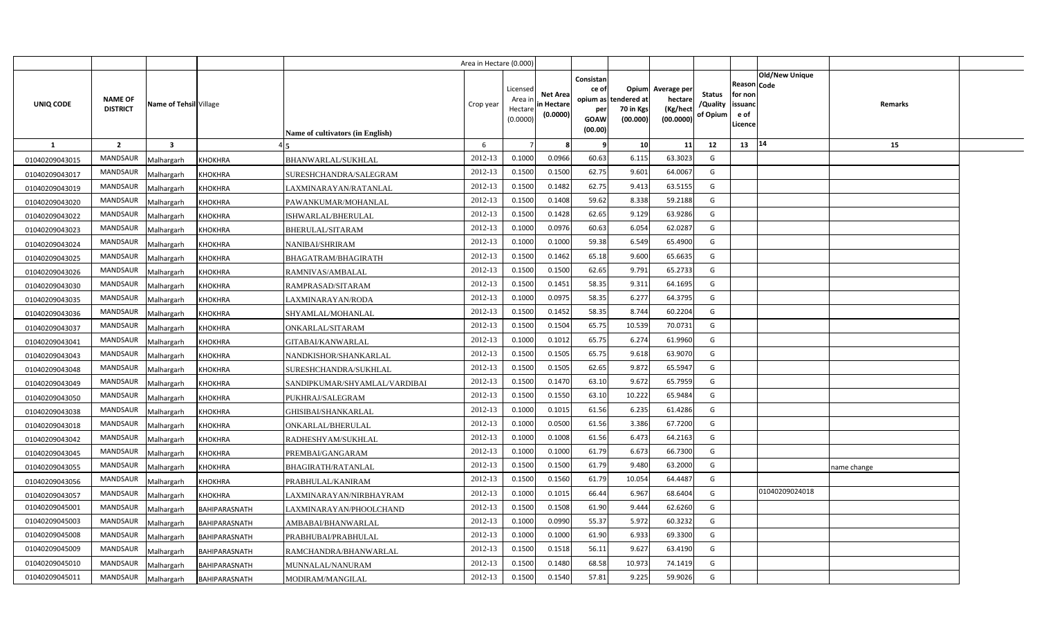|                |                                   |                         |                      |                                  | Area in Hectare (0.000) |                                           |                                           |                                              |                                                        |                                                 |                                       |                                                 |                               |             |  |
|----------------|-----------------------------------|-------------------------|----------------------|----------------------------------|-------------------------|-------------------------------------------|-------------------------------------------|----------------------------------------------|--------------------------------------------------------|-------------------------------------------------|---------------------------------------|-------------------------------------------------|-------------------------------|-------------|--|
| UNIQ CODE      | <b>NAME OF</b><br><b>DISTRICT</b> | Name of Tehsil Village  |                      | Name of cultivators (in English) | Crop year               | Licensed<br>Area ir<br>Hectar<br>(0.0000) | <b>Net Area</b><br>in Hectare<br>(0.0000) | Consistan<br>ce of<br>per<br>GOAW<br>(00.00) | Opium<br>opium as tendered at<br>70 in Kgs<br>(00.000) | Average per<br>hectare<br>(Kg/hect<br>(00.0000) | <b>Status</b><br>/Quality<br>of Opium | Reason<br>for non<br>issuano<br>e of<br>Licence | <b>Old/New Unique</b><br>Code | Remarks     |  |
| 1              | $\overline{2}$                    | $\overline{\mathbf{3}}$ |                      |                                  | 6                       |                                           |                                           | <b>q</b>                                     | 10                                                     | 11                                              | 12                                    | 13                                              | 14                            | 15          |  |
| 01040209043015 | <b>MANDSAUR</b>                   | Malhargarh              | <b>KHOKHRA</b>       | BHANWARLAL/SUKHLAL               | 2012-13                 | 0.1000                                    | 0.0966                                    | 60.63                                        | 6.115                                                  | 63.3023                                         | G                                     |                                                 |                               |             |  |
| 01040209043017 | <b>MANDSAUR</b>                   | Malhargarh              | <b>KHOKHRA</b>       | SURESHCHANDRA/SALEGRAM           | 2012-13                 | 0.1500                                    | 0.1500                                    | 62.75                                        | 9.601                                                  | 64.0067                                         | G                                     |                                                 |                               |             |  |
| 01040209043019 | MANDSAUR                          | Malhargarh              | <b>KHOKHRA</b>       | LAXMINARAYAN/RATANLAL            | 2012-13                 | 0.1500                                    | 0.1482                                    | 62.75                                        | 9.413                                                  | 63.5155                                         | G                                     |                                                 |                               |             |  |
| 01040209043020 | MANDSAUR                          | Malhargarh              | <b>KHOKHRA</b>       | PAWANKUMAR/MOHANLAL              | 2012-13                 | 0.1500                                    | 0.1408                                    | 59.62                                        | 8.338                                                  | 59.2188                                         | G                                     |                                                 |                               |             |  |
| 01040209043022 | MANDSAUR                          | Malhargarh              | <b>KHOKHRA</b>       | ISHWARLAL/BHERULAL               | 2012-13                 | 0.1500                                    | 0.1428                                    | 62.65                                        | 9.129                                                  | 63.9286                                         | G                                     |                                                 |                               |             |  |
| 01040209043023 | MANDSAUR                          | Malhargarh              | <b>KHOKHRA</b>       | BHERULAL/SITARAM                 | 2012-13                 | 0.1000                                    | 0.0976                                    | 60.63                                        | 6.054                                                  | 62.0287                                         | G                                     |                                                 |                               |             |  |
| 01040209043024 | MANDSAUR                          | Malhargarh              | <b>KHOKHRA</b>       | NANIBAI/SHRIRAM                  | 2012-13                 | 0.1000                                    | 0.1000                                    | 59.38                                        | 6.549                                                  | 65.4900                                         | G                                     |                                                 |                               |             |  |
| 01040209043025 | MANDSAUR                          | Malhargarh              | <b>KHOKHRA</b>       | BHAGATRAM/BHAGIRATH              | 2012-13                 | 0.1500                                    | 0.1462                                    | 65.18                                        | 9.600                                                  | 65.6635                                         | G                                     |                                                 |                               |             |  |
| 01040209043026 | MANDSAUR                          | Malhargarh              | <b>KHOKHRA</b>       | RAMNIVAS/AMBALAL                 | 2012-13                 | 0.1500                                    | 0.1500                                    | 62.65                                        | 9.791                                                  | 65.2733                                         | G                                     |                                                 |                               |             |  |
| 01040209043030 | MANDSAUR                          | Malhargarh              | <b>KHOKHRA</b>       | RAMPRASAD/SITARAM                | 2012-13                 | 0.1500                                    | 0.1451                                    | 58.35                                        | 9.311                                                  | 64.1695                                         | G                                     |                                                 |                               |             |  |
| 01040209043035 | MANDSAUR                          | Malhargarh              | <b>KHOKHRA</b>       | LAXMINARAYAN/RODA                | 2012-13                 | 0.100                                     | 0.0975                                    | 58.35                                        | 6.277                                                  | 64.3795                                         | G                                     |                                                 |                               |             |  |
| 01040209043036 | MANDSAUR                          | Malhargarh              | <b>KHOKHRA</b>       | SHYAMLAL/MOHANLAL                | 2012-13                 | 0.1500                                    | 0.1452                                    | 58.35                                        | 8.744                                                  | 60.2204                                         | G                                     |                                                 |                               |             |  |
| 01040209043037 | <b>MANDSAUR</b>                   | Malhargarh              | <b>KHOKHRA</b>       | ONKARLAL/SITARAM                 | 2012-13                 | 0.1500                                    | 0.1504                                    | 65.75                                        | 10.539                                                 | 70.0731                                         | G                                     |                                                 |                               |             |  |
| 01040209043041 | MANDSAUR                          | Malhargarh              | <b>KHOKHRA</b>       | GITABAI/KANWARLAL                | 2012-13                 | 0.1000                                    | 0.1012                                    | 65.75                                        | 6.274                                                  | 61.9960                                         | G                                     |                                                 |                               |             |  |
| 01040209043043 | <b>MANDSAUR</b>                   | Malhargarh              | <b>KHOKHRA</b>       | NANDKISHOR/SHANKARLAL            | 2012-13                 | 0.1500                                    | 0.1505                                    | 65.75                                        | 9.618                                                  | 63.9070                                         | G                                     |                                                 |                               |             |  |
| 01040209043048 | <b>MANDSAUR</b>                   | Malhargarh              | <b>KHOKHRA</b>       | SURESHCHANDRA/SUKHLAL            | 2012-13                 | 0.1500                                    | 0.1505                                    | 62.65                                        | 9.872                                                  | 65.5947                                         | G                                     |                                                 |                               |             |  |
| 01040209043049 | MANDSAUR                          | Malhargarh              | <b>KHOKHRA</b>       | SANDIPKUMAR/SHYAMLAL/VARDIBAI    | 2012-13                 | 0.1500                                    | 0.1470                                    | 63.10                                        | 9.672                                                  | 65.7959                                         | G                                     |                                                 |                               |             |  |
| 01040209043050 | MANDSAUR                          | Malhargarh              | <b>KHOKHRA</b>       | PUKHRAJ/SALEGRAM                 | 2012-13                 | 0.1500                                    | 0.1550                                    | 63.10                                        | 10.222                                                 | 65.9484                                         | G                                     |                                                 |                               |             |  |
| 01040209043038 | <b>MANDSAUR</b>                   | Malhargarh              | <b>KHOKHRA</b>       | GHISIBAI/SHANKARLAL              | 2012-13                 | 0.1000                                    | 0.1015                                    | 61.56                                        | 6.235                                                  | 61.4286                                         | G                                     |                                                 |                               |             |  |
| 01040209043018 | <b>MANDSAUR</b>                   | Malhargarh              | <b>KHOKHRA</b>       | ONKARLAL/BHERULAL                | 2012-13                 | 0.1000                                    | 0.0500                                    | 61.56                                        | 3.386                                                  | 67.7200                                         | G                                     |                                                 |                               |             |  |
| 01040209043042 | MANDSAUR                          | Malhargarh              | <b>KHOKHRA</b>       | RADHESHYAM/SUKHLAL               | 2012-13                 | 0.1000                                    | 0.1008                                    | 61.56                                        | 6.473                                                  | 64.2163                                         | G                                     |                                                 |                               |             |  |
| 01040209043045 | <b>MANDSAUR</b>                   | Malhargarh              | <b>KHOKHRA</b>       | PREMBAI/GANGARAM                 | 2012-13                 | 0.1000                                    | 0.1000                                    | 61.79                                        | 6.673                                                  | 66.7300                                         | G                                     |                                                 |                               |             |  |
| 01040209043055 | MANDSAUR                          | Malhargarh              | <b>KHOKHRA</b>       | BHAGIRATH/RATANLAL               | 2012-13                 | 0.1500                                    | 0.1500                                    | 61.79                                        | 9.480                                                  | 63.2000                                         | G                                     |                                                 |                               | name change |  |
| 01040209043056 | <b>MANDSAUR</b>                   | Malhargarh              | <b>KHOKHRA</b>       | PRABHULAL/KANIRAM                | 2012-13                 | 0.1500                                    | 0.1560                                    | 61.79                                        | 10.054                                                 | 64.4487                                         | G                                     |                                                 |                               |             |  |
| 01040209043057 | MANDSAUR                          | Malhargarh              | <b>KHOKHRA</b>       | LAXMINARAYAN/NIRBHAYRAM          | 2012-13                 | 0.1000                                    | 0.1015                                    | 66.44                                        | 6.967                                                  | 68.6404                                         | G                                     |                                                 | 01040209024018                |             |  |
| 01040209045001 | MANDSAUR                          | Malhargarh              | BAHIPARASNATH        | AXMINARAYAN/PHOOLCHAND           | 2012-13                 | 0.1500                                    | 0.1508                                    | 61.90                                        | 9.444                                                  | 62.6260                                         | G                                     |                                                 |                               |             |  |
| 01040209045003 | MANDSAUR                          | Malhargarh              | BAHIPARASNATH        | AMBABAI/BHANWARLAL               | 2012-13                 | 0.1000                                    | 0.0990                                    | 55.37                                        | 5.972                                                  | 60.3232                                         | G                                     |                                                 |                               |             |  |
| 01040209045008 | MANDSAUR                          | Malhargarh              | BAHIPARASNATH        | PRABHUBAI/PRABHULAL              | 2012-13                 | 0.1000                                    | 0.1000                                    | 61.90                                        | 6.933                                                  | 69.3300                                         | G                                     |                                                 |                               |             |  |
| 01040209045009 | MANDSAUR                          | Malhargarh              | BAHIPARASNATH        | RAMCHANDRA/BHANWARLAL            | 2012-13                 | 0.1500                                    | 0.1518                                    | 56.11                                        | 9.627                                                  | 63.4190                                         | G                                     |                                                 |                               |             |  |
| 01040209045010 | MANDSAUR                          | Malhargarh              | BAHIPARASNATH        | MUNNALAL/NANURAM                 | 2012-13                 | 0.1500                                    | 0.1480                                    | 68.58                                        | 10.973                                                 | 74.1419                                         | G                                     |                                                 |                               |             |  |
| 01040209045011 | MANDSAUR                          | Malhargarh              | <b>BAHIPARASNATH</b> | MODIRAM/MANGILAL                 | 2012-13                 | 0.1500                                    | 0.1540                                    | 57.81                                        | 9.225                                                  | 59.9026                                         | G                                     |                                                 |                               |             |  |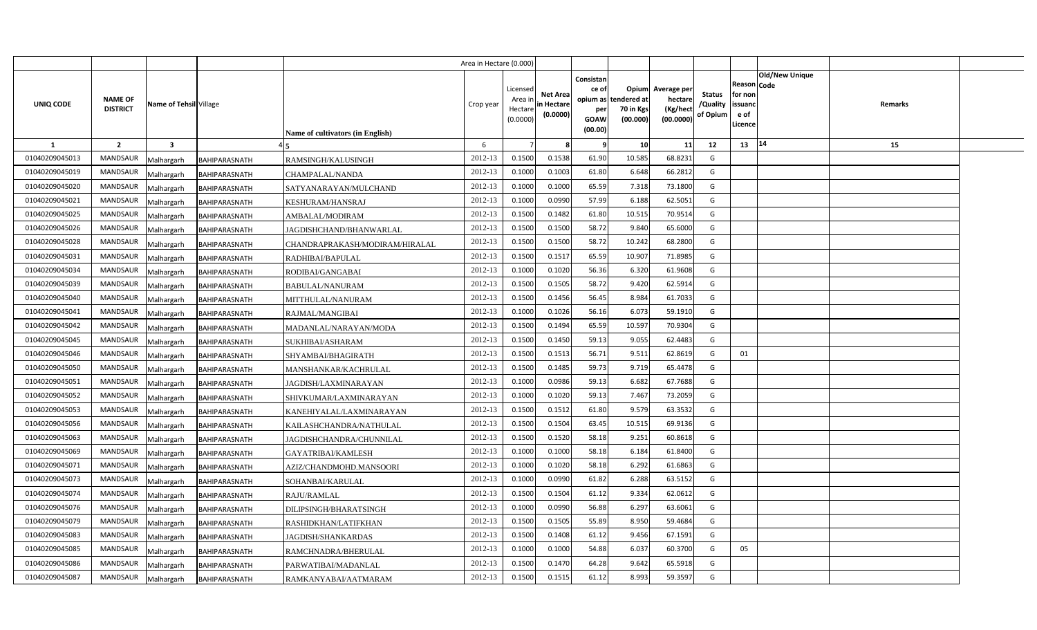|                |                                   |                         |                      |                                  | Area in Hectare (0.000) |                                           |                                           |                                                     |                                                        |                                                 |                                       |                                                                               |         |  |
|----------------|-----------------------------------|-------------------------|----------------------|----------------------------------|-------------------------|-------------------------------------------|-------------------------------------------|-----------------------------------------------------|--------------------------------------------------------|-------------------------------------------------|---------------------------------------|-------------------------------------------------------------------------------|---------|--|
| UNIQ CODE      | <b>NAME OF</b><br><b>DISTRICT</b> | Name of Tehsil Village  |                      | Name of cultivators (in English) | Crop year               | Licensed<br>Area i<br>Hectare<br>(0.0000) | <b>Net Area</b><br>in Hectare<br>(0.0000) | Consistan<br>ce of<br>per<br><b>GOAW</b><br>(00.00) | Opium<br>opium as tendered at<br>70 in Kgs<br>(00.000) | Average per<br>hectare<br>(Kg/hect<br>(00.0000) | <b>Status</b><br>/Quality<br>of Opium | <b>Old/New Unique</b><br>Reason Code<br>for non<br>issuanc<br>e of<br>Licence | Remarks |  |
| 1              | $\overline{2}$                    | $\overline{\mathbf{3}}$ |                      |                                  | 6                       |                                           |                                           | - 9                                                 | 10                                                     | 11                                              | 12                                    | 14<br>13                                                                      | 15      |  |
| 01040209045013 | <b>MANDSAUR</b>                   | Malhargarh              | BAHIPARASNATH        | RAMSINGH/KALUSINGH               | 2012-13                 | 0.1500                                    | 0.1538                                    | 61.90                                               | 10.585                                                 | 68.823                                          | G                                     |                                                                               |         |  |
| 01040209045019 | <b>MANDSAUR</b>                   | Malhargarh              | BAHIPARASNATH        | CHAMPALAL/NANDA                  | 2012-13                 | 0.1000                                    | 0.1003                                    | 61.80                                               | 6.648                                                  | 66.2812                                         | G                                     |                                                                               |         |  |
| 01040209045020 | MANDSAUR                          | Malhargarh              | <b>BAHIPARASNATH</b> | SATYANARAYAN/MULCHAND            | 2012-13                 | 0.1000                                    | 0.1000                                    | 65.59                                               | 7.318                                                  | 73.1800                                         | G                                     |                                                                               |         |  |
| 01040209045021 | <b>MANDSAUR</b>                   | Malhargarh              | BAHIPARASNATH        | KESHURAM/HANSRAJ                 | 2012-13                 | 0.1000                                    | 0.0990                                    | 57.99                                               | 6.188                                                  | 62.5051                                         | G                                     |                                                                               |         |  |
| 01040209045025 | <b>MANDSAUR</b>                   | Malhargarh              | BAHIPARASNATH        | AMBALAL/MODIRAM                  | 2012-13                 | 0.1500                                    | 0.1482                                    | 61.80                                               | 10.515                                                 | 70.951                                          | G                                     |                                                                               |         |  |
| 01040209045026 | MANDSAUR                          | Malhargarh              | BAHIPARASNATH        | JAGDISHCHAND/BHANWARLAL          | 2012-13                 | 0.1500                                    | 0.1500                                    | 58.72                                               | 9.840                                                  | 65.600                                          | G                                     |                                                                               |         |  |
| 01040209045028 | MANDSAUR                          | Malhargarh              | BAHIPARASNATH        | CHANDRAPRAKASH/MODIRAM/HIRALAL   | 2012-13                 | 0.1500                                    | 0.1500                                    | 58.72                                               | 10.242                                                 | 68.2800                                         | G                                     |                                                                               |         |  |
| 01040209045031 | MANDSAUR                          | Malhargarh              | BAHIPARASNATH        | RADHIBAI/BAPULAL                 | 2012-13                 | 0.1500                                    | 0.1517                                    | 65.59                                               | 10.907                                                 | 71.8985                                         | G                                     |                                                                               |         |  |
| 01040209045034 | MANDSAUR                          | Malhargarh              | BAHIPARASNATH        | RODIBAI/GANGABAI                 | 2012-13                 | 0.1000                                    | 0.1020                                    | 56.36                                               | 6.320                                                  | 61.9608                                         | G                                     |                                                                               |         |  |
| 01040209045039 | MANDSAUR                          | Malhargarh              | BAHIPARASNATH        | <b>BABULAL/NANURAM</b>           | 2012-13                 | 0.1500                                    | 0.1505                                    | 58.72                                               | 9.420                                                  | 62.591                                          | G                                     |                                                                               |         |  |
| 01040209045040 | MANDSAUR                          | Malhargarh              | BAHIPARASNATH        | MITTHULAL/NANURAM                | 2012-13                 | 0.1500                                    | 0.1456                                    | 56.45                                               | 8.984                                                  | 61.703                                          | G                                     |                                                                               |         |  |
| 01040209045041 | MANDSAUR                          | Malhargarh              | BAHIPARASNATH        | RAJMAL/MANGIBAI                  | 2012-13                 | 0.1000                                    | 0.1026                                    | 56.16                                               | 6.073                                                  | 59.191                                          | G                                     |                                                                               |         |  |
| 01040209045042 | <b>MANDSAUR</b>                   | Malhargarh              | BAHIPARASNATH        | MADANLAL/NARAYAN/MODA            | 2012-13                 | 0.1500                                    | 0.1494                                    | 65.59                                               | 10.597                                                 | 70.9304                                         | G                                     |                                                                               |         |  |
| 01040209045045 | <b>MANDSAUR</b>                   | Malhargarh              | BAHIPARASNATH        | SUKHIBAI/ASHARAM                 | 2012-13                 | 0.1500                                    | 0.1450                                    | 59.13                                               | 9.055                                                  | 62.4483                                         | G                                     |                                                                               |         |  |
| 01040209045046 | MANDSAUR                          | Malhargarh              | BAHIPARASNATH        | SHYAMBAI/BHAGIRATH               | 2012-13                 | 0.1500                                    | 0.1513                                    | 56.71                                               | 9.511                                                  | 62.8619                                         | G                                     | 01                                                                            |         |  |
| 01040209045050 | <b>MANDSAUR</b>                   | Malhargarh              | BAHIPARASNATH        | MANSHANKAR/KACHRULAL             | 2012-13                 | 0.1500                                    | 0.1485                                    | 59.73                                               | 9.719                                                  | 65.4478                                         | G                                     |                                                                               |         |  |
| 01040209045051 | MANDSAUR                          | Malhargarh              | BAHIPARASNATH        | JAGDISH/LAXMINARAYAN             | 2012-13                 | 0.1000                                    | 0.0986                                    | 59.13                                               | 6.682                                                  | 67.7688                                         | G                                     |                                                                               |         |  |
| 01040209045052 | <b>MANDSAUR</b>                   | Malhargarh              | BAHIPARASNATH        | SHIVKUMAR/LAXMINARAYAN           | 2012-13                 | 0.1000                                    | 0.1020                                    | 59.13                                               | 7.467                                                  | 73.2059                                         | G                                     |                                                                               |         |  |
| 01040209045053 | <b>MANDSAUR</b>                   | Malhargarh              | BAHIPARASNATH        | KANEHIYALAL/LAXMINARAYAN         | 2012-13                 | 0.1500                                    | 0.1512                                    | 61.80                                               | 9.579                                                  | 63.3532                                         | G                                     |                                                                               |         |  |
| 01040209045056 | MANDSAUR                          | Malhargarh              | BAHIPARASNATH        | KAILASHCHANDRA/NATHULAL          | 2012-13                 | 0.1500                                    | 0.1504                                    | 63.45                                               | 10.515                                                 | 69.9136                                         | G                                     |                                                                               |         |  |
| 01040209045063 | <b>MANDSAUR</b>                   | Malhargarh              | BAHIPARASNATH        | JAGDISHCHANDRA/CHUNNILAL         | 2012-13                 | 0.1500                                    | 0.1520                                    | 58.18                                               | 9.251                                                  | 60.8618                                         | G                                     |                                                                               |         |  |
| 01040209045069 | MANDSAUR                          | Malhargarh              | BAHIPARASNATH        | GAYATRIBAI/KAMLESH               | 2012-13                 | 0.1000                                    | 0.1000                                    | 58.18                                               | 6.184                                                  | 61.8400                                         | G                                     |                                                                               |         |  |
| 01040209045071 | MANDSAUR                          | Malhargarh              | BAHIPARASNATH        | AZIZ/CHANDMOHD.MANSOORI          | 2012-13                 | 0.1000                                    | 0.1020                                    | 58.18                                               | 6.292                                                  | 61.6863                                         | G                                     |                                                                               |         |  |
| 01040209045073 | MANDSAUR                          | Malhargarh              | BAHIPARASNATH        | SOHANBAI/KARULAL                 | 2012-13                 | 0.1000                                    | 0.0990                                    | 61.82                                               | 6.288                                                  | 63.5152                                         | G                                     |                                                                               |         |  |
| 01040209045074 | <b>MANDSAUR</b>                   | Malhargarh              | BAHIPARASNATH        | RAJU/RAMLAL                      | 2012-13                 | 0.1500                                    | 0.1504                                    | 61.12                                               | 9.334                                                  | 62.0612                                         | G                                     |                                                                               |         |  |
| 01040209045076 | MANDSAUR                          | Malhargarh              | BAHIPARASNATH        | DILIPSINGH/BHARATSINGH           | 2012-13                 | 0.1000                                    | 0.0990                                    | 56.88                                               | 6.297                                                  | 63.6061                                         | G                                     |                                                                               |         |  |
| 01040209045079 | MANDSAUR                          | Malhargarh              | BAHIPARASNATH        | RASHIDKHAN/LATIFKHAN             | 2012-13                 | 0.1500                                    | 0.1505                                    | 55.89                                               | 8.950                                                  | 59.4684                                         | G                                     |                                                                               |         |  |
| 01040209045083 | MANDSAUR                          | Malhargarh              | BAHIPARASNATH        | JAGDISH/SHANKARDAS               | 2012-13                 | 0.1500                                    | 0.1408                                    | 61.12                                               | 9.456                                                  | 67.1591                                         | G                                     |                                                                               |         |  |
| 01040209045085 | MANDSAUR                          | Malhargarh              | BAHIPARASNATH        | RAMCHNADRA/BHERULAL              | 2012-13                 | 0.1000                                    | 0.1000                                    | 54.88                                               | 6.037                                                  | 60.370                                          | G                                     | 05                                                                            |         |  |
| 01040209045086 | MANDSAUR                          | Malhargarh              | BAHIPARASNATH        | PARWATIBAI/MADANLAL              | 2012-13                 | 0.1500                                    | 0.1470                                    | 64.28                                               | 9.642                                                  | 65.591                                          | G                                     |                                                                               |         |  |
| 01040209045087 | MANDSAUR                          | Malhargarh              | BAHIPARASNATH        | RAMKANYABAI/AATMARAM             | 2012-13                 | 0.1500                                    | 0.1515                                    | 61.12                                               | 8.993                                                  | 59.3597                                         | G                                     |                                                                               |         |  |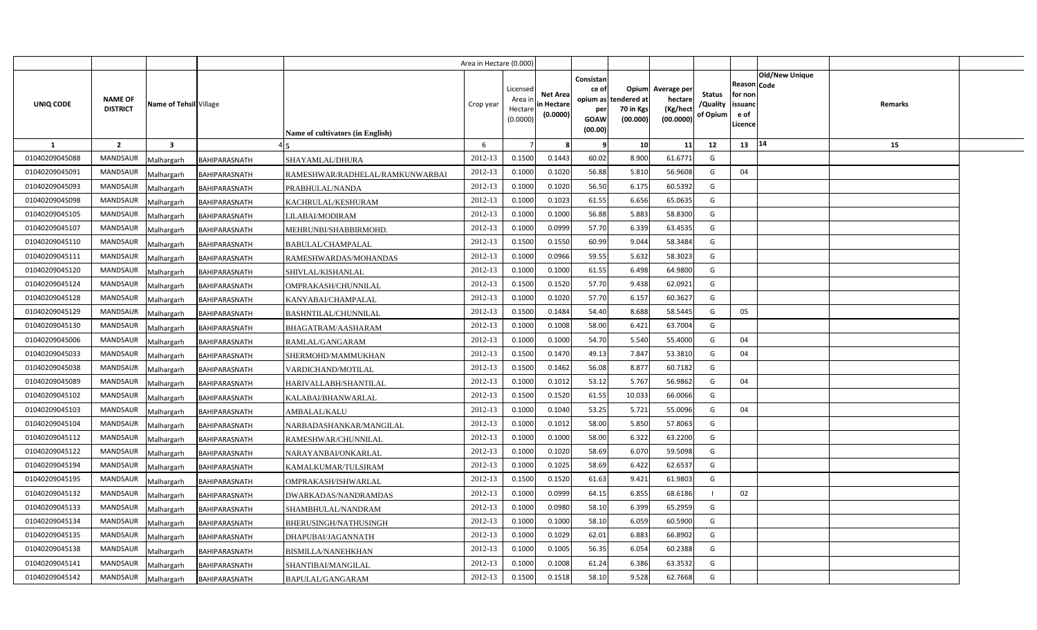|                |                                |                        |                                  | Area in Hectare (0.000) |                                            |                                           |                                                     |                                                        |                                                 |                                       |                                                                        |         |  |
|----------------|--------------------------------|------------------------|----------------------------------|-------------------------|--------------------------------------------|-------------------------------------------|-----------------------------------------------------|--------------------------------------------------------|-------------------------------------------------|---------------------------------------|------------------------------------------------------------------------|---------|--|
| UNIQ CODE      | NAME OF<br><b>DISTRICT</b>     | Name of Tehsil Village | Name of cultivators (in English) | Crop year               | Licensed<br>Area ir<br>Hectare<br>(0.0000) | <b>Net Area</b><br>in Hectare<br>(0.0000) | Consistan<br>ce of<br>per<br><b>GOAW</b><br>(00.00) | Opium<br>opium as tendered at<br>70 in Kgs<br>(00.000) | Average per<br>hectare<br>(Kg/hect<br>(00.0000) | <b>Status</b><br>/Quality<br>of Opium | Old/New Unique<br>Reason Code<br>for non<br>issuanc<br>e of<br>Licence | Remarks |  |
| <b>1</b>       | $\overline{2}$<br>$\mathbf{3}$ |                        |                                  | 6                       |                                            |                                           | - 9                                                 | 10                                                     | 11                                              | 12                                    | 14<br>13                                                               | 15      |  |
| 01040209045088 | <b>MANDSAUR</b><br>Malhargarh  | BAHIPARASNATH          | SHAYAMLAL/DHURA                  | 2012-13                 | 0.1500                                     | 0.1443                                    | 60.02                                               | 8.900                                                  | 61.6771                                         | G                                     |                                                                        |         |  |
| 01040209045091 | MANDSAUR<br>Malhargarh         | BAHIPARASNATH          | RAMESHWAR/RADHELAL/RAMKUNWARBAI  | 2012-13                 | 0.1000                                     | 0.1020                                    | 56.88                                               | 5.810                                                  | 56.9608                                         | G                                     | 04                                                                     |         |  |
| 01040209045093 | MANDSAUR<br>Malhargarh         | BAHIPARASNATH          | PRABHULAL/NANDA                  | 2012-13                 | 0.1000                                     | 0.1020                                    | 56.50                                               | 6.175                                                  | 60.5392                                         | G                                     |                                                                        |         |  |
| 01040209045098 | MANDSAUR<br>Malhargarh         | BAHIPARASNATH          | KACHRULAL/KESHURAM               | 2012-13                 | 0.1000                                     | 0.1023                                    | 61.55                                               | 6.656                                                  | 65.0635                                         | G                                     |                                                                        |         |  |
| 01040209045105 | <b>MANDSAUR</b><br>Malhargarh  | BAHIPARASNATH          | LILABAI/MODIRAM                  | 2012-13                 | 0.1000                                     | 0.1000                                    | 56.88                                               | 5.883                                                  | 58.8300                                         | G                                     |                                                                        |         |  |
| 01040209045107 | MANDSAUR<br>Malhargarh         | BAHIPARASNATH          | MEHRUNBI/SHABBIRMOHD.            | 2012-13                 | 0.1000                                     | 0.0999                                    | 57.70                                               | 6.339                                                  | 63.4535                                         | G                                     |                                                                        |         |  |
| 01040209045110 | <b>MANDSAUR</b><br>Malhargarh  | BAHIPARASNATH          | BABULAL/CHAMPALAL                | 2012-13                 | 0.1500                                     | 0.1550                                    | 60.99                                               | 9.044                                                  | 58.3484                                         | G                                     |                                                                        |         |  |
| 01040209045111 | <b>MANDSAUR</b><br>Malhargarh  | BAHIPARASNATH          | RAMESHWARDAS/MOHANDAS            | 2012-13                 | 0.1000                                     | 0.0966                                    | 59.55                                               | 5.632                                                  | 58.3023                                         | G                                     |                                                                        |         |  |
| 01040209045120 | MANDSAUR<br>Malhargarh         | BAHIPARASNATH          | SHIVLAL/KISHANLAL                | 2012-13                 | 0.1000                                     | 0.1000                                    | 61.55                                               | 6.498                                                  | 64.9800                                         | G                                     |                                                                        |         |  |
| 01040209045124 | <b>MANDSAUR</b><br>Malhargarh  | BAHIPARASNATH          | OMPRAKASH/CHUNNILAL              | 2012-13                 | 0.1500                                     | 0.1520                                    | 57.70                                               | 9.438                                                  | 62.0921                                         | G                                     |                                                                        |         |  |
| 01040209045128 | MANDSAUR<br>Malhargarh         | BAHIPARASNATH          | KANYABAI/CHAMPALAL               | 2012-13                 | 0.1000                                     | 0.1020                                    | 57.70                                               | 6.157                                                  | 60.3627                                         | G                                     |                                                                        |         |  |
| 01040209045129 | MANDSAUR<br>Malhargarh         | BAHIPARASNATH          | BASHNTILAL/CHUNNILAL             | 2012-13                 | 0.1500                                     | 0.1484                                    | 54.40                                               | 8.688                                                  | 58.5445                                         | G                                     | 05                                                                     |         |  |
| 01040209045130 | <b>MANDSAUR</b><br>Malhargarh  | <b>BAHIPARASNATH</b>   | BHAGATRAM/AASHARAM               | 2012-13                 | 0.1000                                     | 0.1008                                    | 58.00                                               | 6.421                                                  | 63.7004                                         | G                                     |                                                                        |         |  |
| 01040209045006 | <b>MANDSAUR</b><br>Malhargarh  | BAHIPARASNATH          | RAMLAL/GANGARAM                  | 2012-13                 | 0.1000                                     | 0.1000                                    | 54.70                                               | 5.540                                                  | 55.4000                                         | G                                     | 04                                                                     |         |  |
| 01040209045033 | <b>MANDSAUR</b><br>Malhargarh  | BAHIPARASNATH          | SHERMOHD/MAMMUKHAN               | 2012-13                 | 0.1500                                     | 0.1470                                    | 49.13                                               | 7.847                                                  | 53.3810                                         | G                                     | 04                                                                     |         |  |
| 01040209045038 | <b>MANDSAUR</b><br>Malhargarh  | BAHIPARASNATH          | VARDICHAND/MOTILAL               | 2012-13                 | 0.1500                                     | 0.1462                                    | 56.08                                               | 8.877                                                  | 60.7182                                         | G                                     |                                                                        |         |  |
| 01040209045089 | <b>MANDSAUR</b><br>Malhargarh  | BAHIPARASNATH          | HARIVALLABH/SHANTILAL            | 2012-13                 | 0.1000                                     | 0.1012                                    | 53.12                                               | 5.767                                                  | 56.9862                                         | G                                     | 04                                                                     |         |  |
| 01040209045102 | <b>MANDSAUR</b><br>Malhargarh  | BAHIPARASNATH          | KALABAI/BHANWARLAL               | 2012-13                 | 0.1500                                     | 0.1520                                    | 61.55                                               | 10.033                                                 | 66.0066                                         | G                                     |                                                                        |         |  |
| 01040209045103 | <b>MANDSAUR</b><br>Malhargarh  | BAHIPARASNATH          | <b>AMBALAL/KALU</b>              | 2012-13                 | 0.1000                                     | 0.1040                                    | 53.25                                               | 5.721                                                  | 55.0096                                         | G                                     | 04                                                                     |         |  |
| 01040209045104 | MANDSAUR<br>Malhargarh         | BAHIPARASNATH          | NARBADASHANKAR/MANGILAL          | 2012-13                 | 0.1000                                     | 0.1012                                    | 58.00                                               | 5.850                                                  | 57.8063                                         | G                                     |                                                                        |         |  |
| 01040209045112 | <b>MANDSAUR</b><br>Malhargarh  | BAHIPARASNATH          | RAMESHWAR/CHUNNILAL              | 2012-13                 | 0.1000                                     | 0.1000                                    | 58.00                                               | 6.322                                                  | 63.2200                                         | G                                     |                                                                        |         |  |
| 01040209045122 | MANDSAUR<br>Malhargarh         | BAHIPARASNATH          | NARAYANBAI/ONKARLAL              | 2012-13                 | 0.1000                                     | 0.1020                                    | 58.69                                               | 6.070                                                  | 59.5098                                         | G                                     |                                                                        |         |  |
| 01040209045194 | <b>MANDSAUR</b><br>Malhargarh  | BAHIPARASNATH          | KAMALKUMAR/TULSIRAM              | 2012-13                 | 0.1000                                     | 0.1025                                    | 58.69                                               | 6.422                                                  | 62.6537                                         | G                                     |                                                                        |         |  |
| 01040209045195 | MANDSAUR<br>Malhargarh         | BAHIPARASNATH          | OMPRAKASH/ISHWARLAL              | 2012-13                 | 0.1500                                     | 0.1520                                    | 61.63                                               | 9.421                                                  | 61.9803                                         | G                                     |                                                                        |         |  |
| 01040209045132 | MANDSAUR<br>Malhargarh         | BAHIPARASNATH          | DWARKADAS/NANDRAMDAS             | 2012-13                 | 0.1000                                     | 0.0999                                    | 64.15                                               | 6.855                                                  | 68.6186                                         |                                       | 02                                                                     |         |  |
| 01040209045133 | MANDSAUR<br>Malhargarh         | BAHIPARASNATH          | SHAMBHULAL/NANDRAM               | 2012-13                 | 0.1000                                     | 0.0980                                    | 58.10                                               | 6.399                                                  | 65.2959                                         | G                                     |                                                                        |         |  |
| 01040209045134 | MANDSAUR<br>Malhargarh         | BAHIPARASNATH          | BHERUSINGH/NATHUSINGH            | 2012-13                 | 0.1000                                     | 0.1000                                    | 58.10                                               | 6.059                                                  | 60.5900                                         | G                                     |                                                                        |         |  |
| 01040209045135 | MANDSAUR<br>Malhargarh         | BAHIPARASNATH          | DHAPUBAI/JAGANNATH               | 2012-13                 | 0.1000                                     | 0.1029                                    | 62.01                                               | 6.883                                                  | 66.8902                                         | G                                     |                                                                        |         |  |
| 01040209045138 | MANDSAUR<br>Malhargarh         | BAHIPARASNATH          | BISMILLA/NANEHKHAN               | 2012-13                 | 0.1000                                     | 0.1005                                    | 56.35                                               | 6.054                                                  | 60.2388                                         | G                                     |                                                                        |         |  |
| 01040209045141 | MANDSAUR<br>Malhargarh         | BAHIPARASNATH          | SHANTIBAI/MANGILAL               | 2012-13                 | 0.1000                                     | 0.1008                                    | 61.24                                               | 6.386                                                  | 63.3532                                         | G                                     |                                                                        |         |  |
| 01040209045142 | MANDSAUR<br>Malhargarh         | <b>BAHIPARASNATH</b>   | BAPULAL/GANGARAM                 | 2012-13                 | 0.1500                                     | 0.1518                                    | 58.10                                               | 9.528                                                  | 62.7668                                         | G                                     |                                                                        |         |  |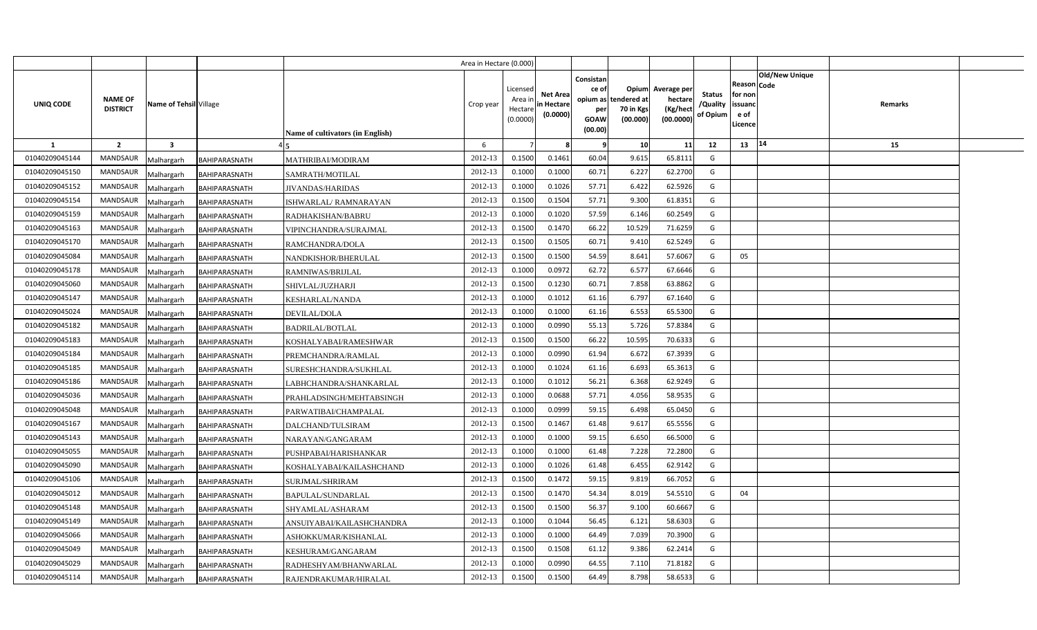|                |                                                      |                      |                                  | Area in Hectare (0.000) |                                            |                                           |                                                     |                                                        |                                                 |                                       |                                                                        |         |  |
|----------------|------------------------------------------------------|----------------------|----------------------------------|-------------------------|--------------------------------------------|-------------------------------------------|-----------------------------------------------------|--------------------------------------------------------|-------------------------------------------------|---------------------------------------|------------------------------------------------------------------------|---------|--|
| UNIQ CODE      | NAME OF<br>Name of Tehsil Village<br><b>DISTRICT</b> |                      | Name of cultivators (in English) | Crop year               | Licensed<br>Area ir<br>Hectare<br>(0.0000) | <b>Net Area</b><br>in Hectare<br>(0.0000) | Consistan<br>ce of<br>per<br><b>GOAW</b><br>(00.00) | Opium<br>opium as tendered at<br>70 in Kgs<br>(00.000) | Average per<br>hectare<br>(Kg/hect<br>(00.0000) | <b>Status</b><br>/Quality<br>of Opium | Old/New Unique<br>Reason Code<br>for non<br>issuanc<br>e of<br>Licence | Remarks |  |
| <b>1</b>       | $\overline{2}$<br>$\overline{\mathbf{3}}$            |                      |                                  | 6                       |                                            |                                           | - 9                                                 | 10                                                     | 11                                              | 12                                    | 14<br>13                                                               | 15      |  |
| 01040209045144 | <b>MANDSAUR</b><br>Malhargarh                        | BAHIPARASNATH        | MATHRIBAI/MODIRAM                | 2012-13                 | 0.1500                                     | 0.1461                                    | 60.04                                               | 9.615                                                  | 65.8111                                         | G                                     |                                                                        |         |  |
| 01040209045150 | MANDSAUR<br>Malhargarh                               | BAHIPARASNATH        | SAMRATH/MOTILAL                  | 2012-13                 | 0.1000                                     | 0.1000                                    | 60.71                                               | 6.227                                                  | 62.2700                                         | G                                     |                                                                        |         |  |
| 01040209045152 | MANDSAUR<br>Malhargarh                               | BAHIPARASNATH        | <b>JIVANDAS/HARIDAS</b>          | 2012-13                 | 0.1000                                     | 0.1026                                    | 57.71                                               | 6.422                                                  | 62.5926                                         | G                                     |                                                                        |         |  |
| 01040209045154 | MANDSAUR<br>Malhargarh                               | BAHIPARASNATH        | ISHWARLAL/ RAMNARAYAN            | 2012-13                 | 0.1500                                     | 0.1504                                    | 57.71                                               | 9.300                                                  | 61.8351                                         | G                                     |                                                                        |         |  |
| 01040209045159 | <b>MANDSAUR</b><br>Malhargarh                        | BAHIPARASNATH        | RADHAKISHAN/BABRU                | 2012-13                 | 0.1000                                     | 0.1020                                    | 57.59                                               | 6.146                                                  | 60.2549                                         | G                                     |                                                                        |         |  |
| 01040209045163 | MANDSAUR<br>Malhargarh                               | BAHIPARASNATH        | VIPINCHANDRA/SURAJMAL            | 2012-13                 | 0.1500                                     | 0.147                                     | 66.22                                               | 10.529                                                 | 71.6259                                         | G                                     |                                                                        |         |  |
| 01040209045170 | <b>MANDSAUR</b><br>Malhargarh                        | BAHIPARASNATH        | RAMCHANDRA/DOLA                  | 2012-13                 | 0.1500                                     | 0.1505                                    | 60.71                                               | 9.410                                                  | 62.5249                                         | G                                     |                                                                        |         |  |
| 01040209045084 | <b>MANDSAUR</b><br>Malhargarh                        | BAHIPARASNATH        | NANDKISHOR/BHERULAL              | 2012-13                 | 0.1500                                     | 0.1500                                    | 54.59                                               | 8.641                                                  | 57.6067                                         | G                                     | 05                                                                     |         |  |
| 01040209045178 | MANDSAUR<br>Malhargarh                               | BAHIPARASNATH        | RAMNIWAS/BRIJLAL                 | 2012-13                 | 0.1000                                     | 0.0972                                    | 62.72                                               | 6.577                                                  | 67.6646                                         | G                                     |                                                                        |         |  |
| 01040209045060 | <b>MANDSAUR</b><br>Malhargarh                        | BAHIPARASNATH        | SHIVLAL/JUZHARJI                 | 2012-13                 | 0.1500                                     | 0.123                                     | 60.71                                               | 7.858                                                  | 63.8862                                         | G                                     |                                                                        |         |  |
| 01040209045147 | MANDSAUR<br>Malhargarh                               | BAHIPARASNATH        | KESHARLAL/NANDA                  | 2012-13                 | 0.1000                                     | 0.1012                                    | 61.16                                               | 6.797                                                  | 67.1640                                         | G                                     |                                                                        |         |  |
| 01040209045024 | MANDSAUR<br>Malhargarh                               | BAHIPARASNATH        | DEVILAL/DOLA                     | 2012-13                 | 0.1000                                     | 0.1000                                    | 61.16                                               | 6.553                                                  | 65.5300                                         | G                                     |                                                                        |         |  |
| 01040209045182 | <b>MANDSAUR</b><br>Malhargarh                        | <b>BAHIPARASNATH</b> | <b>BADRILAL/BOTLAL</b>           | 2012-13                 | 0.1000                                     | 0.0990                                    | 55.13                                               | 5.726                                                  | 57.8384                                         | G                                     |                                                                        |         |  |
| 01040209045183 | <b>MANDSAUR</b><br>Malhargarh                        | BAHIPARASNATH        | KOSHALYABAI/RAMESHWAR            | 2012-13                 | 0.1500                                     | 0.1500                                    | 66.22                                               | 10.595                                                 | 70.6333                                         | G                                     |                                                                        |         |  |
| 01040209045184 | <b>MANDSAUR</b><br>Malhargarh                        | BAHIPARASNATH        | PREMCHANDRA/RAMLAL               | 2012-13                 | 0.1000                                     | 0.0990                                    | 61.94                                               | 6.672                                                  | 67.3939                                         | G                                     |                                                                        |         |  |
| 01040209045185 | <b>MANDSAUR</b><br>Malhargarh                        | BAHIPARASNATH        | SURESHCHANDRA/SUKHLAL            | 2012-13                 | 0.1000                                     | 0.1024                                    | 61.16                                               | 6.693                                                  | 65.3613                                         | G                                     |                                                                        |         |  |
| 01040209045186 | <b>MANDSAUR</b><br>Malhargarh                        | BAHIPARASNATH        | LABHCHANDRA/SHANKARLAL           | 2012-13                 | 0.1000                                     | 0.1012                                    | 56.21                                               | 6.368                                                  | 62.9249                                         | G                                     |                                                                        |         |  |
| 01040209045036 | <b>MANDSAUR</b><br>Malhargarh                        | BAHIPARASNATH        | PRAHLADSINGH/MEHTABSINGH         | 2012-13                 | 0.1000                                     | 0.0688                                    | 57.71                                               | 4.056                                                  | 58.9535                                         | G                                     |                                                                        |         |  |
| 01040209045048 | <b>MANDSAUR</b><br>Malhargarh                        | BAHIPARASNATH        | PARWATIBAI/CHAMPALAL             | 2012-13                 | 0.1000                                     | 0.0999                                    | 59.15                                               | 6.498                                                  | 65.0450                                         | G                                     |                                                                        |         |  |
| 01040209045167 | MANDSAUR<br>Malhargarh                               | BAHIPARASNATH        | DALCHAND/TULSIRAM                | 2012-13                 | 0.1500                                     | 0.1467                                    | 61.48                                               | 9.617                                                  | 65.5556                                         | G                                     |                                                                        |         |  |
| 01040209045143 | <b>MANDSAUR</b><br>Malhargarh                        | BAHIPARASNATH        | NARAYAN/GANGARAM                 | 2012-13                 | 0.1000                                     | 0.1000                                    | 59.15                                               | 6.650                                                  | 66.5000                                         | G                                     |                                                                        |         |  |
| 01040209045055 | MANDSAUR<br>Malhargarh                               | BAHIPARASNATH        | PUSHPABAI/HARISHANKAR            | 2012-13                 | 0.1000                                     | 0.1000                                    | 61.48                                               | 7.228                                                  | 72.2800                                         | G                                     |                                                                        |         |  |
| 01040209045090 | <b>MANDSAUR</b><br>Malhargarh                        | BAHIPARASNATH        | KOSHALYABAI/KAILASHCHAND         | 2012-13                 | 0.1000                                     | 0.1026                                    | 61.48                                               | 6.455                                                  | 62.9142                                         | G                                     |                                                                        |         |  |
| 01040209045106 | MANDSAUR<br>Malhargarh                               | BAHIPARASNATH        | SURJMAL/SHRIRAM                  | 2012-13                 | 0.1500                                     | 0.1472                                    | 59.15                                               | 9.819                                                  | 66.7052                                         | G                                     |                                                                        |         |  |
| 01040209045012 | MANDSAUR<br>Malhargarh                               | BAHIPARASNATH        | 3APULAL/SUNDARLAL                | 2012-13                 | 0.1500                                     | 0.1470                                    | 54.34                                               | 8.019                                                  | 54.5510                                         | G                                     | 04                                                                     |         |  |
| 01040209045148 | MANDSAUR<br>Malhargarh                               | BAHIPARASNATH        | SHYAMLAL/ASHARAM                 | 2012-13                 | 0.1500                                     | 0.1500                                    | 56.37                                               | 9.100                                                  | 60.6667                                         | G                                     |                                                                        |         |  |
| 01040209045149 | MANDSAUR<br>Malhargarh                               | BAHIPARASNATH        | ANSUIYABAI/KAILASHCHANDRA        | 2012-13                 | 0.1000                                     | 0.1044                                    | 56.45                                               | 6.121                                                  | 58.6303                                         | G                                     |                                                                        |         |  |
| 01040209045066 | MANDSAUR<br>Malhargarh                               | BAHIPARASNATH        | ASHOKKUMAR/KISHANLAL             | 2012-13                 | 0.1000                                     | 0.1000                                    | 64.49                                               | 7.039                                                  | 70.3900                                         | G                                     |                                                                        |         |  |
| 01040209045049 | MANDSAUR<br>Malhargarh                               | BAHIPARASNATH        | KESHURAM/GANGARAM                | 2012-13                 | 0.1500                                     | 0.1508                                    | 61.12                                               | 9.386                                                  | 62.2414                                         | G                                     |                                                                        |         |  |
| 01040209045029 | MANDSAUR<br>Malhargarh                               | BAHIPARASNATH        | RADHESHYAM/BHANWARLAL            | 2012-13                 | 0.1000                                     | 0.0990                                    | 64.55                                               | 7.110                                                  | 71.8182                                         | G                                     |                                                                        |         |  |
| 01040209045114 | MANDSAUR<br>Malhargarh                               | BAHIPARASNATH        | RAJENDRAKUMAR/HIRALAL            | 2012-13                 | 0.1500                                     | 0.1500                                    | 64.49                                               | 8.798                                                  | 58.6533                                         | G                                     |                                                                        |         |  |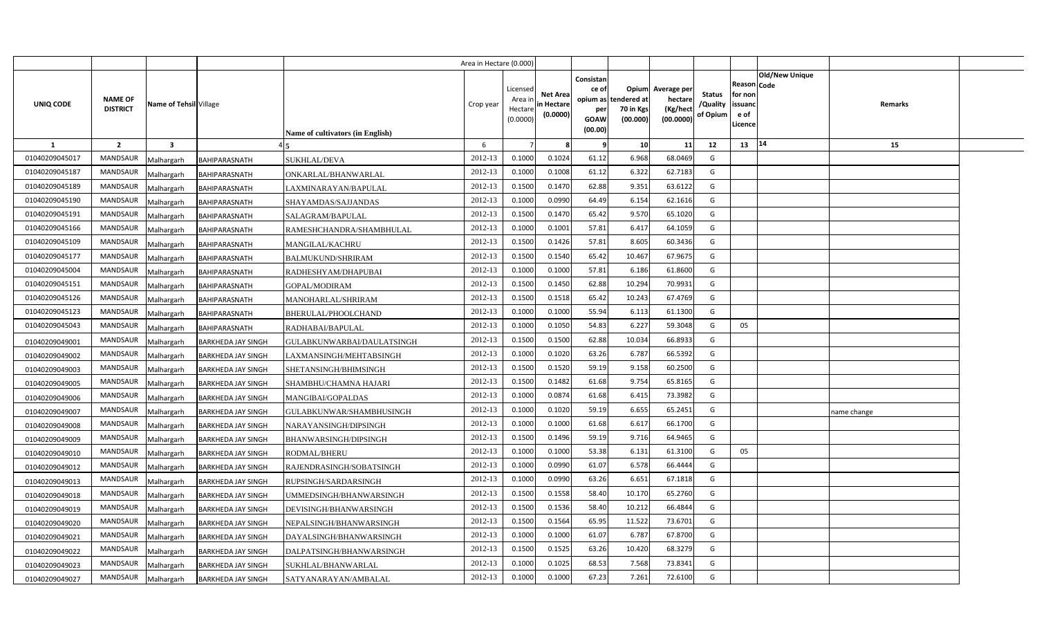|                |                                   |                        |                           |                                         | Area in Hectare (0.000) |                                            |                                           |                                                          |                                               |                                                 |                                       |                                                 |                               |             |  |
|----------------|-----------------------------------|------------------------|---------------------------|-----------------------------------------|-------------------------|--------------------------------------------|-------------------------------------------|----------------------------------------------------------|-----------------------------------------------|-------------------------------------------------|---------------------------------------|-------------------------------------------------|-------------------------------|-------------|--|
| UNIQ CODE      | <b>NAME OF</b><br><b>DISTRICT</b> | Name of Tehsil Village |                           | <b>Name of cultivators (in English)</b> | Crop year               | Licensed<br>Area ir<br>Hectare<br>(0.0000) | <b>Net Area</b><br>in Hectare<br>(0.0000) | Consistan<br>ce of<br>opium as<br>per<br>GOAW<br>(00.00) | Opium<br>tendered at<br>70 in Kgs<br>(00.000) | Average per<br>hectare<br>(Kg/hect<br>(00.0000) | <b>Status</b><br>/Quality<br>of Opium | Reason<br>for non<br>issuand<br>e of<br>Licence | <b>Old/New Unique</b><br>Code | Remarks     |  |
| -1             | $\overline{2}$                    | 3                      |                           |                                         | 6                       |                                            |                                           |                                                          | 10                                            | 11                                              | 12                                    | 13   14                                         |                               | 15          |  |
| 01040209045017 | <b>MANDSAUR</b>                   | Malhargarh             | BAHIPARASNATH             | <b>SUKHLAL/DEVA</b>                     | 2012-13                 | 0.1000                                     | 0.1024                                    | 61.12                                                    | 6.968                                         | 68.0469                                         | G                                     |                                                 |                               |             |  |
| 01040209045187 | <b>MANDSAUR</b>                   | Malhargarh             | BAHIPARASNATH             | ONKARLAL/BHANWARLAL                     | 2012-13                 | 0.1000                                     | 0.1008                                    | 61.12                                                    | 6.322                                         | 62.7183                                         | G                                     |                                                 |                               |             |  |
| 01040209045189 | MANDSAUR                          | Malhargarh             | BAHIPARASNATH             | LAXMINARAYAN/BAPULAL                    | 2012-13                 | 0.1500                                     | 0.1470                                    | 62.88                                                    | 9.351                                         | 63.6122                                         | G                                     |                                                 |                               |             |  |
| 01040209045190 | <b>MANDSAUR</b>                   | Malhargarh             | BAHIPARASNATH             | SHAYAMDAS/SAJJANDAS                     | 2012-13                 | 0.1000                                     | 0.0990                                    | 64.49                                                    | 6.154                                         | 62.1616                                         | G                                     |                                                 |                               |             |  |
| 01040209045191 | <b>MANDSAUR</b>                   | Malhargarh             | BAHIPARASNATH             | SALAGRAM/BAPULAL                        | 2012-13                 | 0.1500                                     | 0.1470                                    | 65.42                                                    | 9.570                                         | 65.1020                                         | G                                     |                                                 |                               |             |  |
| 01040209045166 | <b>MANDSAUR</b>                   | Malhargarh             | BAHIPARASNATH             | RAMESHCHANDRA/SHAMBHULAL                | 2012-13                 | 0.1000                                     | 0.1001                                    | 57.81                                                    | 6.417                                         | 64.1059                                         | G                                     |                                                 |                               |             |  |
| 01040209045109 | <b>MANDSAUR</b>                   | Malhargarh             | BAHIPARASNATH             | <b>MANGILAL/KACHRU</b>                  | 2012-13                 | 0.1500                                     | 0.1426                                    | 57.81                                                    | 8.605                                         | 60.3436                                         | G                                     |                                                 |                               |             |  |
| 01040209045177 | <b>MANDSAUR</b>                   | Malhargarh             | BAHIPARASNATH             | <b>BALMUKUND/SHRIRAM</b>                | 2012-13                 | 0.1500                                     | 0.1540                                    | 65.42                                                    | 10.467                                        | 67.9675                                         | G                                     |                                                 |                               |             |  |
| 01040209045004 | <b>MANDSAUR</b>                   | Malhargarh             | BAHIPARASNATH             | RADHESHYAM/DHAPUBAI                     | 2012-13                 | 0.1000                                     | 0.1000                                    | 57.81                                                    | 6.186                                         | 61.8600                                         | G                                     |                                                 |                               |             |  |
| 01040209045151 | <b>MANDSAUR</b>                   | Malhargarh             | <b>BAHIPARASNATH</b>      | GOPAL/MODIRAM                           | 2012-13                 | 0.1500                                     | 0.1450                                    | 62.88                                                    | 10.294                                        | 70.9931                                         | G                                     |                                                 |                               |             |  |
| 01040209045126 | <b>MANDSAUR</b>                   | Malhargarh             | BAHIPARASNATH             | MANOHARLAL/SHRIRAM                      | 2012-13                 | 0.1500                                     | 0.1518                                    | 65.42                                                    | 10.243                                        | 67.4769                                         | G                                     |                                                 |                               |             |  |
| 01040209045123 | <b>MANDSAUR</b>                   | Malhargarh             | <b>BAHIPARASNATH</b>      | BHERULAL/PHOOLCHAND                     | 2012-13                 | 0.1000                                     | 0.1000                                    | 55.94                                                    | 6.113                                         | 61.1300                                         | G                                     |                                                 |                               |             |  |
| 01040209045043 | <b>MANDSAUR</b>                   | Malhargarh             | BAHIPARASNATH             | RADHABAI/BAPULAL                        | 2012-13                 | 0.1000                                     | 0.1050                                    | 54.83                                                    | 6.227                                         | 59.3048                                         | G                                     | 05                                              |                               |             |  |
| 01040209049001 | <b>MANDSAUR</b>                   | Malhargarh             | <b>BARKHEDA JAY SINGH</b> | GULABKUNWARBAI/DAULATSINGH              | 2012-13                 | 0.1500                                     | 0.1500                                    | 62.88                                                    | 10.034                                        | 66.8933                                         | G                                     |                                                 |                               |             |  |
| 01040209049002 | MANDSAUR                          | Malhargarh             | <b>BARKHEDA JAY SINGH</b> | LAXMANSINGH/MEHTABSINGH                 | 2012-13                 | 0.1000                                     | 0.1020                                    | 63.26                                                    | 6.787                                         | 66.5392                                         | G                                     |                                                 |                               |             |  |
| 01040209049003 | <b>MANDSAUR</b>                   | Malhargarh             | <b>BARKHEDA JAY SINGH</b> | SHETANSINGH/BHIMSINGH                   | 2012-13                 | 0.1500                                     | 0.1520                                    | 59.19                                                    | 9.158                                         | 60.2500                                         | G                                     |                                                 |                               |             |  |
| 01040209049005 | <b>MANDSAUR</b>                   | Malhargarh             | <b>BARKHEDA JAY SINGH</b> | SHAMBHU/CHAMNA HAJARI                   | 2012-13                 | 0.1500                                     | 0.1482                                    | 61.68                                                    | 9.754                                         | 65.8165                                         | G                                     |                                                 |                               |             |  |
| 01040209049006 | <b>MANDSAUR</b>                   | Malhargarh             | <b>BARKHEDA JAY SINGH</b> | MANGIBAI/GOPALDAS                       | 2012-13                 | 0.1000                                     | 0.0874                                    | 61.68                                                    | 6.415                                         | 73.3982                                         | G                                     |                                                 |                               |             |  |
| 01040209049007 | <b>MANDSAUR</b>                   | Malhargarh             | <b>BARKHEDA JAY SINGH</b> | GULABKUNWAR/SHAMBHUSINGH                | 2012-13                 | 0.1000                                     | 0.1020                                    | 59.19                                                    | 6.655                                         | 65.2451                                         | G                                     |                                                 |                               | name change |  |
| 01040209049008 | <b>MANDSAUR</b>                   | Malhargarh             | <b>BARKHEDA JAY SINGH</b> | NARAYANSINGH/DIPSINGH                   | 2012-13                 | 0.1000                                     | 0.1000                                    | 61.68                                                    | 6.617                                         | 66.1700                                         | G                                     |                                                 |                               |             |  |
| 01040209049009 | <b>MANDSAUR</b>                   | Malhargarh             | <b>BARKHEDA JAY SINGH</b> | BHANWARSINGH/DIPSINGH                   | 2012-13                 | 0.1500                                     | 0.1496                                    | 59.19                                                    | 9.716                                         | 64.9465                                         | G                                     |                                                 |                               |             |  |
| 01040209049010 | <b>MANDSAUR</b>                   | Malhargarh             | <b>BARKHEDA JAY SINGH</b> | RODMAL/BHERU                            | 2012-13                 | 0.1000                                     | 0.1000                                    | 53.38                                                    | 6.131                                         | 61.3100                                         | G                                     | 05                                              |                               |             |  |
| 01040209049012 | <b>MANDSAUR</b>                   | Malhargarh             | <b>BARKHEDA JAY SINGH</b> | RAJENDRASINGH/SOBATSINGH                | 2012-13                 | 0.1000                                     | 0.0990                                    | 61.07                                                    | 6.578                                         | 66.4444                                         | G                                     |                                                 |                               |             |  |
| 01040209049013 | <b>MANDSAUR</b>                   | Malhargarh             | <b>BARKHEDA JAY SINGH</b> | RUPSINGH/SARDARSINGH                    | 2012-13                 | 0.1000                                     | 0.0990                                    | 63.26                                                    | 6.651                                         | 67.1818                                         | G                                     |                                                 |                               |             |  |
| 01040209049018 | <b>MANDSAUR</b>                   | Malhargarh             | <b>BARKHEDA JAY SINGH</b> | UMMEDSINGH/BHANWARSINGH                 | 2012-13                 | 0.1500                                     | 0.1558                                    | 58.40                                                    | 10.170                                        | 65.2760                                         | G                                     |                                                 |                               |             |  |
| 01040209049019 | <b>MANDSAUR</b>                   | Malhargarh             | <b>BARKHEDA JAY SINGH</b> | DEVISINGH/BHANWARSINGH                  | 2012-13                 | 0.1500                                     | 0.1536                                    | 58.40                                                    | 10.212                                        | 66.4844                                         | G                                     |                                                 |                               |             |  |
| 01040209049020 | <b>MANDSAUR</b>                   | Malhargarh             | <b>BARKHEDA JAY SINGH</b> | NEPALSINGH/BHANWARSINGH                 | 2012-13                 | 0.1500                                     | 0.1564                                    | 65.95                                                    | 11.522                                        | 73.6701                                         | G                                     |                                                 |                               |             |  |
| 01040209049021 | <b>MANDSAUR</b>                   | Malhargarh             | <b>BARKHEDA JAY SINGH</b> | DAYALSINGH/BHANWARSINGH                 | 2012-13                 | 0.1000                                     | 0.1000                                    | 61.07                                                    | 6.787                                         | 67.8700                                         | G                                     |                                                 |                               |             |  |
| 01040209049022 | <b>MANDSAUR</b>                   | Malhargarh             | <b>BARKHEDA JAY SINGH</b> | DALPATSINGH/BHANWARSINGH                | 2012-13                 | 0.1500                                     | 0.1525                                    | 63.26                                                    | 10.420                                        | 68.3279                                         | G                                     |                                                 |                               |             |  |
| 01040209049023 | MANDSAUR                          | Malhargarh             | <b>BARKHEDA JAY SINGH</b> | SUKHLAL/BHANWARLAL                      | 2012-13                 | 0.1000                                     | 0.1025                                    | 68.53                                                    | 7.568                                         | 73.8341                                         | G                                     |                                                 |                               |             |  |
| 01040209049027 | MANDSAUR                          | Malhargarh             | <b>BARKHEDA JAY SINGH</b> | SATYANARAYAN/AMBALAL                    | 2012-13                 | 0.1000                                     | 0.1000                                    | 67.23                                                    | 7.261                                         | 72.6100                                         | G                                     |                                                 |                               |             |  |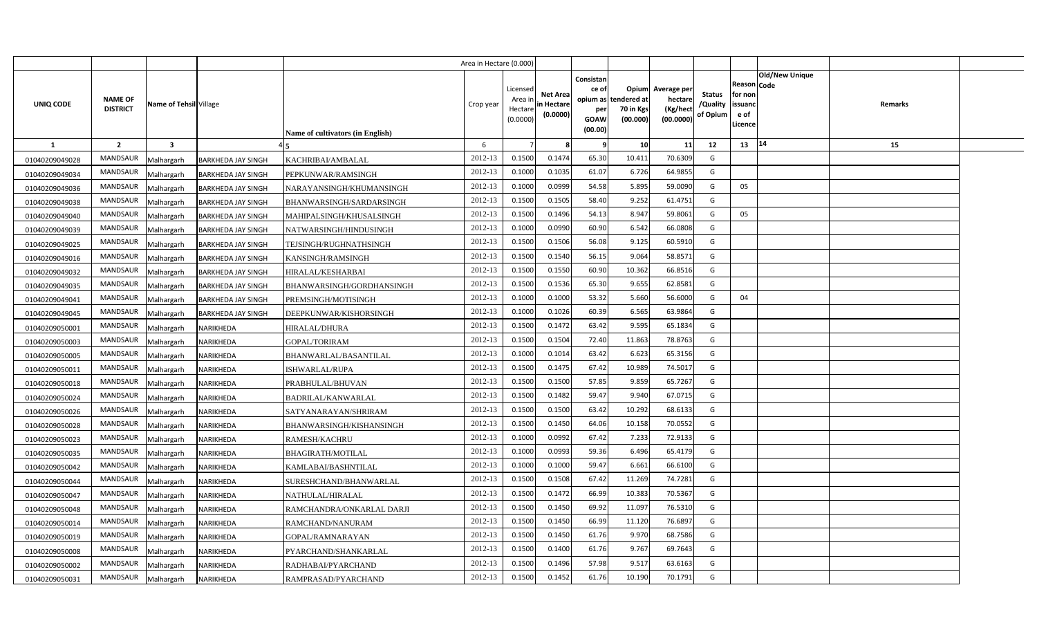|                  |                                   |                        |                           |                                  | Area in Hectare (0.000) |                                            |                                           |                                                     |                                                        |                                                |                                       |                                                                               |         |  |
|------------------|-----------------------------------|------------------------|---------------------------|----------------------------------|-------------------------|--------------------------------------------|-------------------------------------------|-----------------------------------------------------|--------------------------------------------------------|------------------------------------------------|---------------------------------------|-------------------------------------------------------------------------------|---------|--|
| <b>UNIQ CODE</b> | <b>NAME OF</b><br><b>DISTRICT</b> | Name of Tehsil Village |                           | Name of cultivators (in English) | Crop year               | Licensed<br>Area ir<br>Hectare<br>(0.0000) | <b>Net Area</b><br>in Hectare<br>(0.0000) | Consistan<br>ce of<br>per<br><b>GOAW</b><br>(00.00) | Opium<br>opium as tendered at<br>70 in Kgs<br>(00.000) | Average per<br>hectare<br>(Kg/hec<br>(00.0000) | <b>Status</b><br>/Quality<br>of Opium | <b>Old/New Unique</b><br>Reason Code<br>for non<br>issuanc<br>e of<br>Licence | Remarks |  |
| 1                | $\overline{2}$                    | 3                      |                           |                                  | 6                       |                                            |                                           | - 9                                                 | 10                                                     | 11                                             | 12                                    | 14<br>13                                                                      | 15      |  |
| 01040209049028   | <b>MANDSAUR</b>                   | Malhargarh             | BARKHEDA JAY SINGH        | KACHRIBAI/AMBALAL                | 2012-13                 | 0.1500                                     | 0.1474                                    | 65.30                                               | 10.411                                                 | 70.6309                                        | G                                     |                                                                               |         |  |
| 01040209049034   | MANDSAUR                          | Malhargarh             | <b>BARKHEDA JAY SINGH</b> | PEPKUNWAR/RAMSINGH               | 2012-13                 | 0.1000                                     | 0.1035                                    | 61.07                                               | 6.726                                                  | 64.9855                                        | G                                     |                                                                               |         |  |
| 01040209049036   | <b>MANDSAUR</b>                   | Malhargarh             | <b>BARKHEDA JAY SINGH</b> | NARAYANSINGH/KHUMANSINGH         | 2012-13                 | 0.1000                                     | 0.0999                                    | 54.58                                               | 5.895                                                  | 59.009                                         | G                                     | 05                                                                            |         |  |
| 01040209049038   | <b>MANDSAUR</b>                   | Malhargarh             | <b>BARKHEDA JAY SINGH</b> | BHANWARSINGH/SARDARSINGH         | 2012-13                 | 0.1500                                     | 0.1505                                    | 58.40                                               | 9.252                                                  | 61.4751                                        | G                                     |                                                                               |         |  |
| 01040209049040   | <b>MANDSAUR</b>                   | Malhargarh             | <b>BARKHEDA JAY SINGH</b> | MAHIPALSINGH/KHUSALSINGH         | 2012-13                 | 0.1500                                     | 0.1496                                    | 54.13                                               | 8.947                                                  | 59.806                                         | G                                     | 05                                                                            |         |  |
| 01040209049039   | MANDSAUR                          | Malhargarh             | <b>BARKHEDA JAY SINGH</b> | NATWARSINGH/HINDUSINGH           | 2012-13                 | 0.1000                                     | 0.0990                                    | 60.90                                               | 6.542                                                  | 66.080                                         | G                                     |                                                                               |         |  |
| 01040209049025   | MANDSAUR                          | Malhargarh             | <b>BARKHEDA JAY SINGH</b> | TEJSINGH/RUGHNATHSINGH           | 2012-13                 | 0.1500                                     | 0.1506                                    | 56.08                                               | 9.125                                                  | 60.591                                         | G                                     |                                                                               |         |  |
| 01040209049016   | MANDSAUR                          | Malhargarh             | <b>BARKHEDA JAY SINGH</b> | KANSINGH/RAMSINGH                | 2012-13                 | 0.1500                                     | 0.1540                                    | 56.15                                               | 9.064                                                  | 58.857                                         | G                                     |                                                                               |         |  |
| 01040209049032   | MANDSAUR                          | Malhargarh             | <b>BARKHEDA JAY SINGH</b> | <b>HIRALAL/KESHARBAI</b>         | 2012-13                 | 0.1500                                     | 0.1550                                    | 60.90                                               | 10.362                                                 | 66.8516                                        | G                                     |                                                                               |         |  |
| 01040209049035   | MANDSAUR                          | Malhargarh             | <b>BARKHEDA JAY SINGH</b> | BHANWARSINGH/GORDHANSINGH        | 2012-13                 | 0.1500                                     | 0.1536                                    | 65.30                                               | 9.655                                                  | 62.858                                         | G                                     |                                                                               |         |  |
| 01040209049041   | MANDSAUR                          | Malhargarh             | <b>BARKHEDA JAY SINGH</b> | PREMSINGH/MOTISINGH              | 2012-13                 | 0.1000                                     | 0.1000                                    | 53.32                                               | 5.660                                                  | 56.600                                         | G                                     | 04                                                                            |         |  |
| 01040209049045   | <b>MANDSAUR</b>                   | Malhargarh             | <b>BARKHEDA JAY SINGH</b> | DEEPKUNWAR/KISHORSINGH           | 2012-13                 | 0.1000                                     | 0.1026                                    | 60.39                                               | 6.565                                                  | 63.9864                                        | G                                     |                                                                               |         |  |
| 01040209050001   | MANDSAUR                          | Malhargarh             | NARIKHEDA                 | HIRALAL/DHURA                    | 2012-13                 | 0.1500                                     | 0.1472                                    | 63.42                                               | 9.595                                                  | 65.1834                                        | G                                     |                                                                               |         |  |
| 01040209050003   | <b>MANDSAUR</b>                   | Malhargarh             | NARIKHEDA                 | GOPAL/TORIRAM                    | 2012-13                 | 0.1500                                     | 0.1504                                    | 72.40                                               | 11.863                                                 | 78.8763                                        | G                                     |                                                                               |         |  |
| 01040209050005   | MANDSAUR                          | Malhargarh             | NARIKHEDA                 | BHANWARLAL/BASANTILAL            | 2012-13                 | 0.1000                                     | 0.1014                                    | 63.42                                               | 6.623                                                  | 65.3156                                        | G                                     |                                                                               |         |  |
| 01040209050011   | MANDSAUR                          | Malhargarh             | NARIKHEDA                 | ISHWARLAL/RUPA                   | 2012-13                 | 0.1500                                     | 0.1475                                    | 67.42                                               | 10.989                                                 | 74.501                                         | G                                     |                                                                               |         |  |
| 01040209050018   | <b>MANDSAUR</b>                   | Malhargarh             | NARIKHEDA                 | PRABHULAL/BHUVAN                 | 2012-13                 | 0.1500                                     | 0.1500                                    | 57.85                                               | 9.859                                                  | 65.7267                                        | G                                     |                                                                               |         |  |
| 01040209050024   | MANDSAUR                          | Malhargarh             | NARIKHEDA                 | <b>BADRILAL/KANWARLAL</b>        | 2012-13                 | 0.1500                                     | 0.1482                                    | 59.47                                               | 9.940                                                  | 67.0715                                        | G                                     |                                                                               |         |  |
| 01040209050026   | <b>MANDSAUR</b>                   | Malhargarh             | NARIKHEDA                 | SATYANARAYAN/SHRIRAM             | 2012-13                 | 0.1500                                     | 0.1500                                    | 63.42                                               | 10.292                                                 | 68.6133                                        | G                                     |                                                                               |         |  |
| 01040209050028   | MANDSAUR                          | Malhargarh             | NARIKHEDA                 | BHANWARSINGH/KISHANSINGH         | 2012-13                 | 0.1500                                     | 0.1450                                    | 64.06                                               | 10.158                                                 | 70.0552                                        | G                                     |                                                                               |         |  |
| 01040209050023   | <b>MANDSAUR</b>                   | Malhargarh             | NARIKHEDA                 | RAMESH/KACHRU                    | 2012-13                 | 0.1000                                     | 0.0992                                    | 67.42                                               | 7.233                                                  | 72.9133                                        | G                                     |                                                                               |         |  |
| 01040209050035   | <b>MANDSAUR</b>                   | Malhargarh             | NARIKHEDA                 | <b>BHAGIRATH/MOTILAL</b>         | 2012-13                 | 0.1000                                     | 0.0993                                    | 59.36                                               | 6.496                                                  | 65.4179                                        | G                                     |                                                                               |         |  |
| 01040209050042   | <b>MANDSAUR</b>                   | Malhargarh             | NARIKHEDA                 | KAMLABAI/BASHNTILAL              | 2012-13                 | 0.1000                                     | 0.1000                                    | 59.47                                               | 6.661                                                  | 66.6100                                        | G                                     |                                                                               |         |  |
| 01040209050044   | MANDSAUR                          | Malhargarh             | NARIKHEDA                 | SURESHCHAND/BHANWARLAL           | 2012-13                 | 0.1500                                     | 0.1508                                    | 67.42                                               | 11.269                                                 | 74.7281                                        | G                                     |                                                                               |         |  |
| 01040209050047   | MANDSAUR                          | Malhargarh             | NARIKHEDA                 | NATHULAL/HIRALAL                 | 2012-13                 | 0.1500                                     | 0.1472                                    | 66.99                                               | 10.383                                                 | 70.536                                         | G                                     |                                                                               |         |  |
| 01040209050048   | MANDSAUR                          | Malhargarh             | NARIKHEDA                 | RAMCHANDRA/ONKARLAL DARJI        | 2012-13                 | 0.1500                                     | 0.1450                                    | 69.92                                               | 11.097                                                 | 76.531                                         | G                                     |                                                                               |         |  |
| 01040209050014   | MANDSAUR                          | Malhargarh             | NARIKHEDA                 | RAMCHAND/NANURAM                 | 2012-13                 | 0.1500                                     | 0.1450                                    | 66.99                                               | 11.120                                                 | 76.689                                         | G                                     |                                                                               |         |  |
| 01040209050019   | MANDSAUR                          | Malhargarh             | NARIKHEDA                 | GOPAL/RAMNARAYAN                 | 2012-13                 | 0.1500                                     | 0.1450                                    | 61.76                                               | 9.970                                                  | 68.7586                                        | G                                     |                                                                               |         |  |
| 01040209050008   | MANDSAUR                          | Malhargarh             | NARIKHEDA                 | PYARCHAND/SHANKARLAL             | 2012-13                 | 0.1500                                     | 0.1400                                    | 61.76                                               | 9.767                                                  | 69.764                                         | G                                     |                                                                               |         |  |
| 01040209050002   | MANDSAUR                          | Malhargarh             | NARIKHEDA                 | RADHABAI/PYARCHAND               | 2012-13                 | 0.1500                                     | 0.1496                                    | 57.98                                               | 9.517                                                  | 63.6163                                        | G                                     |                                                                               |         |  |
| 01040209050031   | MANDSAUR                          | Malhargarh             | <b>NARIKHEDA</b>          | RAMPRASAD/PYARCHAND              | 2012-13                 | 0.1500                                     | 0.1452                                    | 61.76                                               | 10.190                                                 | 70.1791                                        | G                                     |                                                                               |         |  |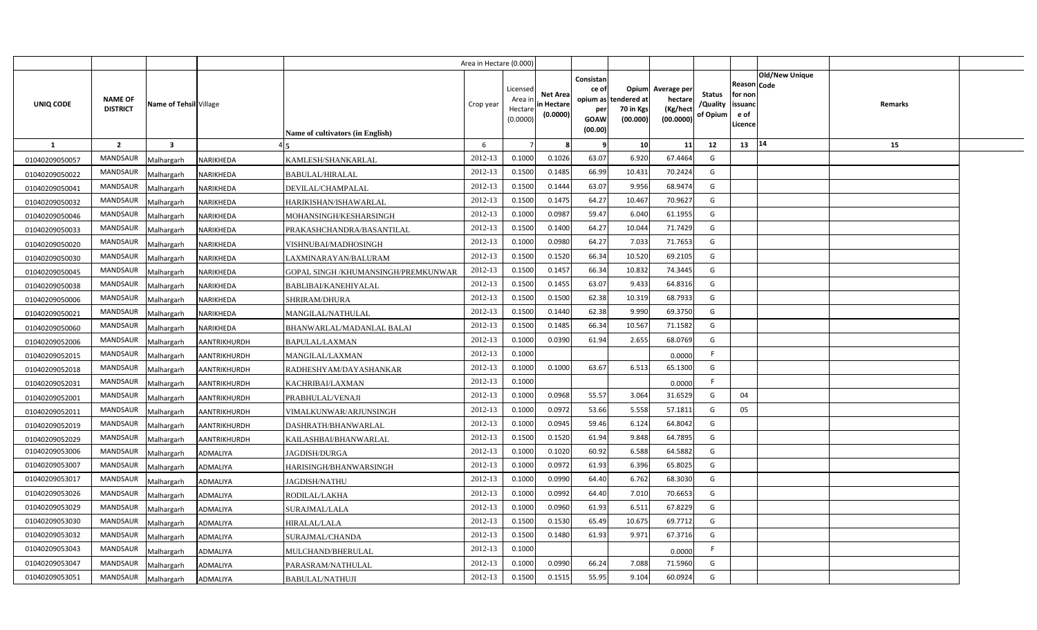|                  |                                   |                         |                  |                                     | Area in Hectare (0.000) |                                            |                                           |                                                                   |                                               |                                                |                                       |                                                                               |         |  |
|------------------|-----------------------------------|-------------------------|------------------|-------------------------------------|-------------------------|--------------------------------------------|-------------------------------------------|-------------------------------------------------------------------|-----------------------------------------------|------------------------------------------------|---------------------------------------|-------------------------------------------------------------------------------|---------|--|
| <b>UNIQ CODE</b> | <b>NAME OF</b><br><b>DISTRICT</b> | Name of Tehsil Village  |                  | Name of cultivators (in English)    | Crop year               | Licensed<br>Area ir<br>Hectare<br>(0.0000) | <b>Net Area</b><br>in Hectare<br>(0.0000) | Consistan<br>ce of<br>opium as 1<br>per<br><b>GOAW</b><br>(00.00) | Opium<br>tendered at<br>70 in Kgs<br>(00.000) | Average per<br>hectare<br>(Kg/hec<br>(00.0000) | <b>Status</b><br>/Quality<br>of Opium | <b>Old/New Unique</b><br>Reason Code<br>for non<br>issuanc<br>e of<br>Licence | Remarks |  |
| 1                | $\overline{2}$                    | $\overline{\mathbf{3}}$ |                  |                                     | 6                       |                                            | 8                                         | - 9                                                               | 10                                            | 11                                             | 12                                    | 14<br>13                                                                      | 15      |  |
| 01040209050057   | <b>MANDSAUR</b>                   | Malhargarh              | NARIKHEDA        | KAMLESH/SHANKARLAL                  | 2012-13                 | 0.1000                                     | 0.1026                                    | 63.07                                                             | 6.920                                         | 67.4464                                        | G                                     |                                                                               |         |  |
| 01040209050022   | MANDSAUR                          | Malhargarh              | <b>NARIKHEDA</b> | <b>BABULAL/HIRALAL</b>              | 2012-13                 | 0.1500                                     | 0.1485                                    | 66.99                                                             | 10.431                                        | 70.2424                                        | G                                     |                                                                               |         |  |
| 01040209050041   | <b>MANDSAUR</b>                   | Malhargarh              | NARIKHEDA        | DEVILAL/CHAMPALAL                   | 2012-13                 | 0.1500                                     | 0.1444                                    | 63.07                                                             | 9.956                                         | 68.9474                                        | G                                     |                                                                               |         |  |
| 01040209050032   | <b>MANDSAUR</b>                   | Malhargarh              | NARIKHEDA        | HARIKISHAN/ISHAWARLAL               | 2012-13                 | 0.1500                                     | 0.1475                                    | 64.27                                                             | 10.467                                        | 70.962                                         | G                                     |                                                                               |         |  |
| 01040209050046   | <b>MANDSAUR</b>                   | Malhargarh              | NARIKHEDA        | MOHANSINGH/KESHARSINGH              | 2012-13                 | 0.1000                                     | 0.0987                                    | 59.47                                                             | 6.040                                         | 61.195                                         | G                                     |                                                                               |         |  |
| 01040209050033   | MANDSAUR                          | Malhargarh              | NARIKHEDA        | PRAKASHCHANDRA/BASANTILAL           | 2012-13                 | 0.1500                                     | 0.1400                                    | 64.27                                                             | 10.044                                        | 71.742                                         | G                                     |                                                                               |         |  |
| 01040209050020   | MANDSAUR                          | Malhargarh              | NARIKHEDA        | VISHNUBAI/MADHOSINGH                | 2012-13                 | 0.1000                                     | 0.0980                                    | 64.27                                                             | 7.033                                         | 71.7653                                        | G                                     |                                                                               |         |  |
| 01040209050030   | MANDSAUR                          | Malhargarh              | NARIKHEDA        | LAXMINARAYAN/BALURAM                | 2012-13                 | 0.1500                                     | 0.1520                                    | 66.34                                                             | 10.520                                        | 69.210                                         | G                                     |                                                                               |         |  |
| 01040209050045   | MANDSAUR                          | Malhargarh              | NARIKHEDA        | GOPAL SINGH /KHUMANSINGH/PREMKUNWAR | 2012-13                 | 0.1500                                     | 0.1457                                    | 66.34                                                             | 10.832                                        | 74.3445                                        | G                                     |                                                                               |         |  |
| 01040209050038   | MANDSAUR                          | Malhargarh              | NARIKHEDA        | BABLIBAI/KANEHIYALAL                | 2012-13                 | 0.1500                                     | 0.1455                                    | 63.07                                                             | 9.433                                         | 64.8316                                        | G                                     |                                                                               |         |  |
| 01040209050006   | MANDSAUR                          | Malhargarh              | NARIKHEDA        | SHRIRAM/DHURA                       | 2012-13                 | 0.1500                                     | 0.1500                                    | 62.38                                                             | 10.319                                        | 68.7933                                        | G                                     |                                                                               |         |  |
| 01040209050021   | <b>MANDSAUR</b>                   | Malhargarh              | NARIKHEDA        | MANGILAL/NATHULAL                   | 2012-13                 | 0.1500                                     | 0.1440                                    | 62.38                                                             | 9.990                                         | 69.3750                                        | G                                     |                                                                               |         |  |
| 01040209050060   | MANDSAUR                          | Malhargarh              | NARIKHEDA        | BHANWARLAL/MADANLAL BALAI           | 2012-13                 | 0.1500                                     | 0.1485                                    | 66.34                                                             | 10.567                                        | 71.1582                                        | G                                     |                                                                               |         |  |
| 01040209052006   | <b>MANDSAUR</b>                   | Malhargarh              | AANTRIKHURDH     | BAPULAL/LAXMAN                      | 2012-13                 | 0.1000                                     | 0.0390                                    | 61.94                                                             | 2.655                                         | 68.0769                                        | G                                     |                                                                               |         |  |
| 01040209052015   | <b>MANDSAUR</b>                   | Malhargarh              | AANTRIKHURDH     | MANGILAL/LAXMAN                     | 2012-13                 | 0.1000                                     |                                           |                                                                   |                                               | 0.000C                                         | -F                                    |                                                                               |         |  |
| 01040209052018   | MANDSAUR                          | Malhargarh              | AANTRIKHURDH     | RADHESHYAM/DAYASHANKAR              | 2012-13                 | 0.1000                                     | 0.1000                                    | 63.67                                                             | 6.513                                         | 65.1300                                        | G                                     |                                                                               |         |  |
| 01040209052031   | <b>MANDSAUR</b>                   | Malhargarh              | AANTRIKHURDH     | KACHRIBAI/LAXMAN                    | 2012-13                 | 0.1000                                     |                                           |                                                                   |                                               | 0.0000                                         | F                                     |                                                                               |         |  |
| 01040209052001   | MANDSAUR                          | Malhargarh              | AANTRIKHURDH     | PRABHULAL/VENAJI                    | 2012-13                 | 0.1000                                     | 0.0968                                    | 55.57                                                             | 3.064                                         | 31.6529                                        | G                                     | 04                                                                            |         |  |
| 01040209052011   | <b>MANDSAUR</b>                   | Malhargarh              | AANTRIKHURDH     | VIMALKUNWAR/ARJUNSINGH              | 2012-13                 | 0.1000                                     | 0.0972                                    | 53.66                                                             | 5.558                                         | 57.1811                                        | G                                     | 05                                                                            |         |  |
| 01040209052019   | MANDSAUR                          | Malhargarh              | AANTRIKHURDH     | DASHRATH/BHANWARLAL                 | 2012-13                 | 0.1000                                     | 0.0945                                    | 59.46                                                             | 6.124                                         | 64.8042                                        | G                                     |                                                                               |         |  |
| 01040209052029   | <b>MANDSAUR</b>                   | Malhargarh              | AANTRIKHURDH     | KAILASHBAI/BHANWARLAL               | 2012-13                 | 0.1500                                     | 0.1520                                    | 61.94                                                             | 9.848                                         | 64.7895                                        | G                                     |                                                                               |         |  |
| 01040209053006   | MANDSAUR                          | Malhargarh              | ADMALIYA         | JAGDISH/DURGA                       | 2012-13                 | 0.1000                                     | 0.1020                                    | 60.92                                                             | 6.588                                         | 64.5882                                        | G                                     |                                                                               |         |  |
| 01040209053007   | <b>MANDSAUR</b>                   | Malhargarh              | ADMALIYA         | HARISINGH/BHANWARSINGH              | 2012-13                 | 0.1000                                     | 0.0972                                    | 61.93                                                             | 6.396                                         | 65.8025                                        | G                                     |                                                                               |         |  |
| 01040209053017   | MANDSAUR                          | Malhargarh              | ADMALIYA         | JAGDISH/NATHU                       | 2012-13                 | 0.1000                                     | 0.0990                                    | 64.40                                                             | 6.762                                         | 68.3030                                        | G                                     |                                                                               |         |  |
| 01040209053026   | MANDSAUR                          | Malhargarh              | ADMALIYA         | RODILAL/LAKHA                       | 2012-13                 | 0.1000                                     | 0.0992                                    | 64.40                                                             | 7.010                                         | 70.6653                                        | G                                     |                                                                               |         |  |
| 01040209053029   | MANDSAUR                          | Malhargarh              | ADMALIYA         | SURAJMAL/LALA                       | 2012-13                 | 0.1000                                     | 0.0960                                    | 61.93                                                             | 6.511                                         | 67.822                                         | G                                     |                                                                               |         |  |
| 01040209053030   | MANDSAUR                          | Malhargarh              | ADMALIYA         | HIRALAL/LALA                        | 2012-13                 | 0.1500                                     | 0.1530                                    | 65.49                                                             | 10.675                                        | 69.7712                                        | G                                     |                                                                               |         |  |
| 01040209053032   | MANDSAUR                          | Malhargarh              | ADMALIYA         | SURAJMAL/CHANDA                     | 2012-13                 | 0.1500                                     | 0.1480                                    | 61.93                                                             | 9.971                                         | 67.3716                                        | G                                     |                                                                               |         |  |
| 01040209053043   | MANDSAUR                          | Malhargarh              | ADMALIYA         | MULCHAND/BHERULAL                   | 2012-13                 | 0.1000                                     |                                           |                                                                   |                                               | 0.000                                          | F.                                    |                                                                               |         |  |
| 01040209053047   | MANDSAUR                          | Malhargarh              | ADMALIYA         | PARASRAM/NATHULAL                   | 2012-13                 | 0.1000                                     | 0.0990                                    | 66.24                                                             | 7.088                                         | 71.5960                                        | G                                     |                                                                               |         |  |
| 01040209053051   | MANDSAUR                          | Malhargarh              | <b>ADMALIYA</b>  | <b>BABULAL/NATHUJI</b>              | 2012-13                 | 0.1500                                     | 0.1515                                    | 55.95                                                             | 9.104                                         | 60.0924                                        | G                                     |                                                                               |         |  |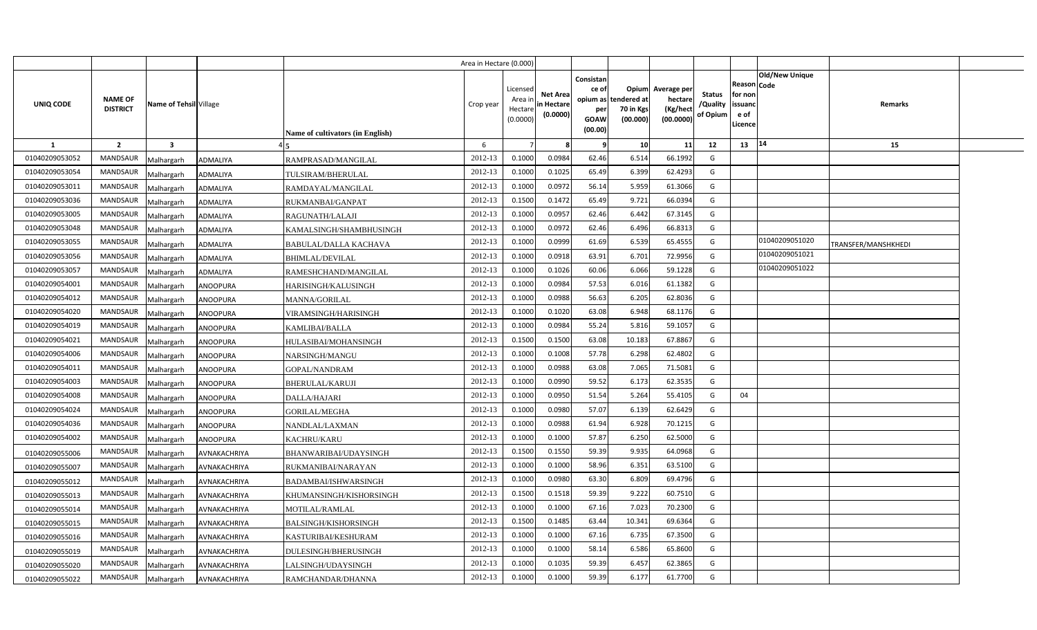|                |                                   |                         |                     |                                  | Area in Hectare (0.000 |                                           |                                   |                                                                 |                                               |                                                |                                       |                                                                               |                     |  |
|----------------|-----------------------------------|-------------------------|---------------------|----------------------------------|------------------------|-------------------------------------------|-----------------------------------|-----------------------------------------------------------------|-----------------------------------------------|------------------------------------------------|---------------------------------------|-------------------------------------------------------------------------------|---------------------|--|
| UNIQ CODE      | <b>NAME OF</b><br><b>DISTRICT</b> | Name of Tehsil Village  |                     | Name of cultivators (in English) | Crop year              | Licensed<br>Area i<br>Hectare<br>(0.0000) | Net Area<br>n Hectare<br>(0.0000) | Consistan<br>ce of<br>opium as<br>per<br><b>GOAW</b><br>(00.00) | Opium<br>tendered at<br>70 in Kgs<br>(00.000) | Average per<br>hectare<br>(Kg/hec<br>(00.0000) | <b>Status</b><br>/Quality<br>of Opium | Old/New Unique<br><b>Reason Code</b><br>for nor<br>issuanc<br>e of<br>Licence | <b>Remarks</b>      |  |
| <b>1</b>       | $\overline{2}$                    | $\overline{\mathbf{3}}$ |                     |                                  | 6                      |                                           |                                   | 9                                                               | 10                                            | 11                                             | 12                                    | 14<br>13                                                                      | 15                  |  |
| 01040209053052 | MANDSAUR                          | Malhargarh              | <b>ADMALIYA</b>     | RAMPRASAD/MANGILAL               | 2012-13                | 0.1000                                    | 0.0984                            | 62.46                                                           | 6.514                                         | 66.1992                                        | G                                     |                                                                               |                     |  |
| 01040209053054 | MANDSAUR                          | Malhargarh              | <b>ADMALIYA</b>     | TULSIRAM/BHERULAL                | 2012-13                | 0.1000                                    | 0.1025                            | 65.49                                                           | 6.399                                         | 62.4293                                        | G                                     |                                                                               |                     |  |
| 01040209053011 | MANDSAUR                          | Malhargarh              | <b>ADMALIYA</b>     | RAMDAYAL/MANGILAL                | 2012-13                | 0.1000                                    | 0.0972                            | 56.14                                                           | 5.959                                         | 61.3066                                        | G                                     |                                                                               |                     |  |
| 01040209053036 | MANDSAUR                          | Malhargarh              | <b>ADMALIYA</b>     | RUKMANBAI/GANPAT                 | 2012-13                | 0.1500                                    | 0.1472                            | 65.49                                                           | 9.721                                         | 66.0394                                        | G                                     |                                                                               |                     |  |
| 01040209053005 | <b>MANDSAUR</b>                   | Malhargarh              | <b>ADMALIYA</b>     | RAGUNATH/LALAJI                  | 2012-13                | 0.1000                                    | 0.0957                            | 62.46                                                           | 6.442                                         | 67.3145                                        | G                                     |                                                                               |                     |  |
| 01040209053048 | MANDSAUR                          | Malhargarh              | <b>ADMALIYA</b>     | KAMALSINGH/SHAMBHUSINGH          | 2012-13                | 0.1000                                    | 0.0972                            | 62.46                                                           | 6.496                                         | 66.8313                                        | G                                     |                                                                               |                     |  |
| 01040209053055 | MANDSAUR                          | Malhargarh              | <b>ADMALIYA</b>     | BABULAL/DALLA KACHAVA            | 2012-13                | 0.1000                                    | 0.0999                            | 61.69                                                           | 6.539                                         | 65.4555                                        | G                                     | 01040209051020                                                                | TRANSFER/MANSHKHEDI |  |
| 01040209053056 | MANDSAUR                          | Malhargarh              | <b>ADMALIYA</b>     | <b>BHIMLAL/DEVILAL</b>           | 2012-13                | 0.1000                                    | 0.0918                            | 63.91                                                           | 6.701                                         | 72.9956                                        | G                                     | 01040209051021                                                                |                     |  |
| 01040209053057 | MANDSAUR                          | Malhargarh              | ADMALIYA            | RAMESHCHAND/MANGILAL             | 2012-13                | 0.1000                                    | 0.1026                            | 60.06                                                           | 6.066                                         | 59.1228                                        | G                                     | 01040209051022                                                                |                     |  |
| 01040209054001 | MANDSAUR                          | Malhargarh              | <b>ANOOPURA</b>     | HARISINGH/KALUSINGH              | 2012-13                | 0.1000                                    | 0.0984                            | 57.53                                                           | 6.016                                         | 61.1382                                        | G                                     |                                                                               |                     |  |
| 01040209054012 | MANDSAUR                          | Malhargarh              | <b>ANOOPURA</b>     | <b>MANNA/GORILAL</b>             | 2012-13                | 0.1000                                    | 0.0988                            | 56.63                                                           | 6.205                                         | 62.8036                                        | G                                     |                                                                               |                     |  |
| 01040209054020 | MANDSAUR                          | Malhargarh              | <b>ANOOPURA</b>     | VIRAMSINGH/HARISINGH             | 2012-13                | 0.1000                                    | 0.1020                            | 63.08                                                           | 6.948                                         | 68.1176                                        | G                                     |                                                                               |                     |  |
| 01040209054019 | MANDSAUR                          | Malhargarh              | <b>ANOOPURA</b>     | KAMLIBAI/BALLA                   | 2012-13                | 0.1000                                    | 0.0984                            | 55.24                                                           | 5.816                                         | 59.1057                                        | G                                     |                                                                               |                     |  |
| 01040209054021 | MANDSAUR                          | Malhargarh              | <b>ANOOPURA</b>     | HULASIBAI/MOHANSINGH             | 2012-13                | 0.1500                                    | 0.1500                            | 63.08                                                           | 10.183                                        | 67.8867                                        | G                                     |                                                                               |                     |  |
| 01040209054006 | MANDSAUR                          | Malhargarh              | <b>ANOOPURA</b>     | NARSINGH/MANGU                   | 2012-13                | 0.1000                                    | 0.1008                            | 57.78                                                           | 6.298                                         | 62.4802                                        | G                                     |                                                                               |                     |  |
| 01040209054011 | MANDSAUR                          | Malhargarh              | <b>ANOOPURA</b>     | GOPAL/NANDRAM                    | 2012-13                | 0.1000                                    | 0.0988                            | 63.08                                                           | 7.065                                         | 71.5081                                        | G                                     |                                                                               |                     |  |
| 01040209054003 | MANDSAUR                          | Malhargarh              | <b>ANOOPURA</b>     | BHERULAL/KARUJI                  | 2012-13                | 0.1000                                    | 0.0990                            | 59.52                                                           | 6.173                                         | 62.3535                                        | G                                     |                                                                               |                     |  |
| 01040209054008 | MANDSAUR                          | Malhargarh              | <b>ANOOPURA</b>     | DALLA/HAJARI                     | 2012-13                | 0.1000                                    | 0.0950                            | 51.54                                                           | 5.264                                         | 55.4105                                        | G                                     | 04                                                                            |                     |  |
| 01040209054024 | MANDSAUR                          | Malhargarh              | <b>ANOOPURA</b>     | <b>GORILAL/MEGHA</b>             | 2012-13                | 0.1000                                    | 0.0980                            | 57.07                                                           | 6.139                                         | 62.6429                                        | G                                     |                                                                               |                     |  |
| 01040209054036 | <b>MANDSAUR</b>                   | Malhargarh              | <b>ANOOPURA</b>     | NANDLAL/LAXMAN                   | 2012-13                | 0.1000                                    | 0.0988                            | 61.94                                                           | 6.928                                         | 70.1215                                        | G                                     |                                                                               |                     |  |
| 01040209054002 | MANDSAUR                          | Malhargarh              | <b>ANOOPURA</b>     | KACHRU/KARU                      | 2012-13                | 0.1000                                    | 0.1000                            | 57.87                                                           | 6.250                                         | 62.5000                                        | G                                     |                                                                               |                     |  |
| 01040209055006 | MANDSAUR                          | Malhargarh              | AVNAKACHRIYA        | BHANWARIBAI/UDAYSINGH            | 2012-13                | 0.1500                                    | 0.1550                            | 59.39                                                           | 9.935                                         | 64.0968                                        | G                                     |                                                                               |                     |  |
| 01040209055007 | MANDSAUR                          | Malhargarh              | AVNAKACHRIYA        | RUKMANIBAI/NARAYAN               | 2012-13                | 0.1000                                    | 0.1000                            | 58.96                                                           | 6.351                                         | 63.5100                                        | G                                     |                                                                               |                     |  |
| 01040209055012 | MANDSAUR                          | Malhargarh              | AVNAKACHRIYA        | BADAMBAI/ISHWARSINGH             | 2012-13                | 0.1000                                    | 0.0980                            | 63.30                                                           | 6.809                                         | 69.4796                                        | G                                     |                                                                               |                     |  |
| 01040209055013 | MANDSAUR                          | Malhargarh              | AVNAKACHRIYA        | KHUMANSINGH/KISHORSINGH          | 2012-13                | 0.1500                                    | 0.1518                            | 59.39                                                           | 9.222                                         | 60.7510                                        | G                                     |                                                                               |                     |  |
| 01040209055014 | MANDSAUR                          | Malhargarh              | AVNAKACHRIYA        | MOTILAL/RAMLAL                   | 2012-13                | 0.1000                                    | 0.1000                            | 67.16                                                           | 7.023                                         | 70.2300                                        | G                                     |                                                                               |                     |  |
| 01040209055015 | MANDSAUR                          | Malhargarh              | AVNAKACHRIYA        | <b>BALSINGH/KISHORSINGH</b>      | 2012-13                | 0.1500                                    | 0.1485                            | 63.44                                                           | 10.341                                        | 69.6364                                        | G                                     |                                                                               |                     |  |
| 01040209055016 | MANDSAUR                          | Malhargarh              | <b>AVNAKACHRIYA</b> | KASTURIBAI/KESHURAM              | 2012-13                | 0.1000                                    | 0.1000                            | 67.16                                                           | 6.735                                         | 67.3500                                        | G                                     |                                                                               |                     |  |
| 01040209055019 | MANDSAUR                          | Malhargarh              | AVNAKACHRIYA        | DULESINGH/BHERUSINGH             | 2012-13                | 0.1000                                    | 0.1000                            | 58.14                                                           | 6.586                                         | 65.8600                                        | G                                     |                                                                               |                     |  |
| 01040209055020 | MANDSAUR                          | Malhargarh              | <b>AVNAKACHRIYA</b> | LALSINGH/UDAYSINGH               | 2012-13                | 0.1000                                    | 0.1035                            | 59.39                                                           | 6.457                                         | 62.3865                                        | G                                     |                                                                               |                     |  |
| 01040209055022 | MANDSAUR                          | Malhargarh              | AVNAKACHRIYA        | RAMCHANDAR/DHANNA                | 2012-13                | 0.1000                                    | 0.1000                            | 59.39                                                           | 6.177                                         | 61.7700                                        | G                                     |                                                                               |                     |  |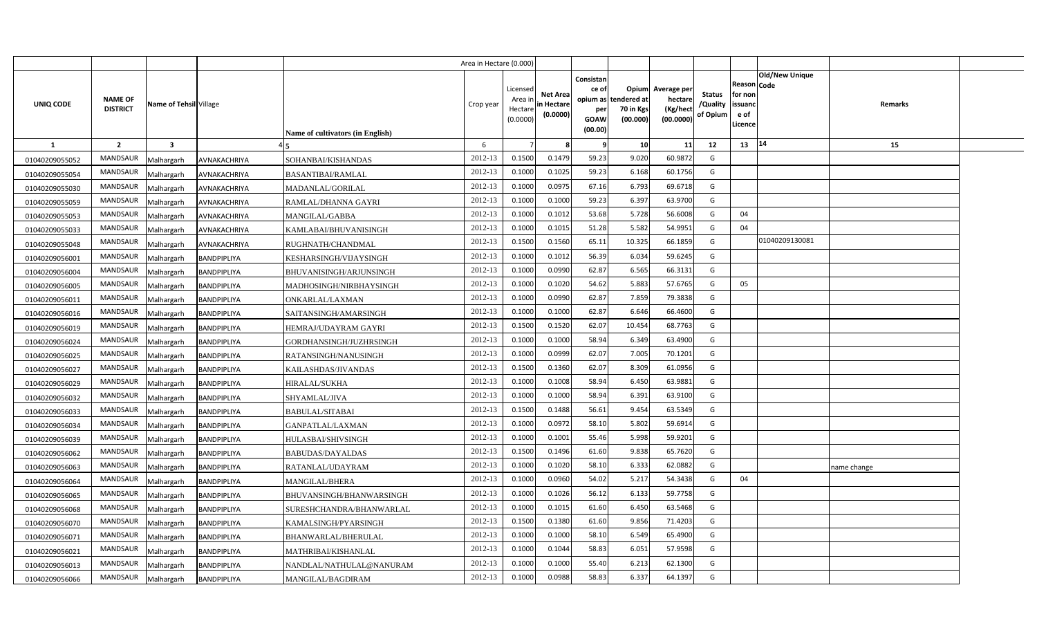|                |                                   |                         |                    |                                  | Area in Hectare (0.000) |                                            |                                           |                                              |                                                        |                                                 |                                       |                                                      |                       |             |  |
|----------------|-----------------------------------|-------------------------|--------------------|----------------------------------|-------------------------|--------------------------------------------|-------------------------------------------|----------------------------------------------|--------------------------------------------------------|-------------------------------------------------|---------------------------------------|------------------------------------------------------|-----------------------|-------------|--|
| UNIQ CODE      | <b>NAME OF</b><br><b>DISTRICT</b> | Name of Tehsil Village  |                    | Name of cultivators (in English) | Crop year               | Licensed<br>Area ir<br>Hectare<br>(0.0000) | <b>Net Area</b><br>in Hectare<br>(0.0000) | Consistan<br>ce of<br>per<br>GOAW<br>(00.00) | Opium<br>opium as tendered at<br>70 in Kgs<br>(00.000) | Average per<br>hectare<br>(Kg/hect<br>(00.0000) | <b>Status</b><br>/Quality<br>of Opium | Reason Code<br>for non<br>issuanc<br>e of<br>Licence | <b>Old/New Unique</b> | Remarks     |  |
| <b>1</b>       | $\overline{2}$                    | $\overline{\mathbf{3}}$ |                    |                                  | 6                       |                                            |                                           | -9                                           | 10                                                     | 11                                              | 12                                    | 13                                                   | 14                    | 15          |  |
| 01040209055052 | <b>MANDSAUR</b>                   | Malhargarh              | AVNAKACHRIYA       | SOHANBAI/KISHANDAS               | 2012-13                 | 0.1500                                     | 0.1479                                    | 59.23                                        | 9.020                                                  | 60.9872                                         | G                                     |                                                      |                       |             |  |
| 01040209055054 | MANDSAUR                          | Malhargarh              | AVNAKACHRIYA       | <b>BASANTIBAI/RAMLAL</b>         | 2012-13                 | 0.1000                                     | 0.1025                                    | 59.23                                        | 6.168                                                  | 60.1756                                         | G                                     |                                                      |                       |             |  |
| 01040209055030 | MANDSAUR                          | Malhargarh              | AVNAKACHRIYA       | MADANLAL/GORILAL                 | 2012-13                 | 0.1000                                     | 0.0975                                    | 67.16                                        | 6.793                                                  | 69.6718                                         | G                                     |                                                      |                       |             |  |
| 01040209055059 | MANDSAUR                          | Malhargarh              | AVNAKACHRIYA       | RAMLAL/DHANNA GAYRI              | 2012-13                 | 0.1000                                     | 0.1000                                    | 59.23                                        | 6.397                                                  | 63.9700                                         | G                                     |                                                      |                       |             |  |
| 01040209055053 | MANDSAUR                          | Malhargarh              | AVNAKACHRIYA       | MANGILAL/GABBA                   | 2012-13                 | 0.1000                                     | 0.1012                                    | 53.68                                        | 5.728                                                  | 56.6008                                         | G                                     | 04                                                   |                       |             |  |
| 01040209055033 | MANDSAUR                          | Malhargarh              | AVNAKACHRIYA       | KAMLABAI/BHUVANISINGH            | 2012-13                 | 0.1000                                     | 0.101                                     | 51.28                                        | 5.582                                                  | 54.9951                                         | G                                     | 04                                                   |                       |             |  |
| 01040209055048 | MANDSAUR                          | Malhargarh              | AVNAKACHRIYA       | RUGHNATH/CHANDMAL                | 2012-13                 | 0.1500                                     | 0.1560                                    | 65.11                                        | 10.325                                                 | 66.1859                                         | G                                     |                                                      | 01040209130081        |             |  |
| 01040209056001 | MANDSAUR                          | Malhargarh              | BANDPIPLIYA        | KESHARSINGH/VIJAYSINGH           | 2012-13                 | 0.1000                                     | 0.1012                                    | 56.39                                        | 6.034                                                  | 59.6245                                         | G                                     |                                                      |                       |             |  |
| 01040209056004 | MANDSAUR                          | Malhargarh              | BANDPIPLIYA        | BHUVANISINGH/ARJUNSINGH          | 2012-13                 | 0.1000                                     | 0.0990                                    | 62.87                                        | 6.565                                                  | 66.3131                                         | G                                     |                                                      |                       |             |  |
| 01040209056005 | MANDSAUR                          | Malhargarh              | BANDPIPLIYA        | MADHOSINGH/NIRBHAYSINGH          | 2012-13                 | 0.1000                                     | 0.1020                                    | 54.62                                        | 5.883                                                  | 57.6765                                         | G                                     | 05                                                   |                       |             |  |
| 01040209056011 | MANDSAUR                          | Malhargarh              | BANDPIPLIYA        | ONKARLAL/LAXMAN                  | 2012-13                 | 0.100                                      | 0.0990                                    | 62.87                                        | 7.859                                                  | 79.3838                                         | G                                     |                                                      |                       |             |  |
| 01040209056016 | MANDSAUR                          | Malhargarh              | BANDPIPLIYA        | SAITANSINGH/AMARSINGH            | 2012-13                 | 0.100                                      | 0.1000                                    | 62.87                                        | 6.646                                                  | 66.4600                                         | G                                     |                                                      |                       |             |  |
| 01040209056019 | MANDSAUR                          | Malhargarh              | BANDPIPLIYA        | HEMRAJ/UDAYRAM GAYRI             | 2012-13                 | 0.1500                                     | 0.1520                                    | 62.07                                        | 10.454                                                 | 68.7763                                         | G                                     |                                                      |                       |             |  |
| 01040209056024 | <b>MANDSAUR</b>                   | Malhargarh              | BANDPIPLIYA        | GORDHANSINGH/JUZHRSINGH          | 2012-13                 | 0.1000                                     | 0.1000                                    | 58.94                                        | 6.349                                                  | 63.4900                                         | G                                     |                                                      |                       |             |  |
| 01040209056025 | MANDSAUR                          | Malhargarh              | BANDPIPLIYA        | RATANSINGH/NANUSINGH             | 2012-13                 | 0.1000                                     | 0.0999                                    | 62.07                                        | 7.005                                                  | 70.1201                                         | G                                     |                                                      |                       |             |  |
| 01040209056027 | <b>MANDSAUR</b>                   | Malhargarh              | BANDPIPLIYA        | KAILASHDAS/JIVANDAS              | 2012-13                 | 0.1500                                     | 0.1360                                    | 62.07                                        | 8.309                                                  | 61.0956                                         | G                                     |                                                      |                       |             |  |
| 01040209056029 | MANDSAUR                          | Malhargarh              | BANDPIPLIYA        | <b>HIRALAL/SUKHA</b>             | 2012-13                 | 0.1000                                     | 0.1008                                    | 58.94                                        | 6.450                                                  | 63.9881                                         | G                                     |                                                      |                       |             |  |
| 01040209056032 | <b>MANDSAUR</b>                   | Malhargarh              | BANDPIPLIYA        | SHYAMLAL/JIVA                    | 2012-13                 | 0.1000                                     | 0.1000                                    | 58.94                                        | 6.391                                                  | 63.9100                                         | G                                     |                                                      |                       |             |  |
| 01040209056033 | <b>MANDSAUR</b>                   | Malhargarh              | BANDPIPLIYA        | <b>BABULAL/SITABAI</b>           | 2012-13                 | 0.1500                                     | 0.1488                                    | 56.61                                        | 9.454                                                  | 63.5349                                         | G                                     |                                                      |                       |             |  |
| 01040209056034 | <b>MANDSAUR</b>                   | Malhargarh              | BANDPIPLIYA        | GANPATLAL/LAXMAN                 | 2012-13                 | 0.1000                                     | 0.0972                                    | 58.10                                        | 5.802                                                  | 59.6914                                         | G                                     |                                                      |                       |             |  |
| 01040209056039 | <b>MANDSAUR</b>                   | Malhargarh              | BANDPIPLIYA        | HULASBAI/SHIVSINGH               | 2012-13                 | 0.1000                                     | 0.1001                                    | 55.46                                        | 5.998                                                  | 59.9201                                         | G                                     |                                                      |                       |             |  |
| 01040209056062 | MANDSAUR                          | Malhargarh              | BANDPIPLIYA        | BABUDAS/DAYALDAS                 | 2012-13                 | 0.1500                                     | 0.1496                                    | 61.60                                        | 9.838                                                  | 65.7620                                         | $\mathsf{G}$                          |                                                      |                       |             |  |
| 01040209056063 | <b>MANDSAUR</b>                   | Malhargarh              | <b>BANDPIPLIYA</b> | RATANLAL/UDAYRAM                 | 2012-13                 | 0.1000                                     | 0.1020                                    | 58.10                                        | 6.333                                                  | 62.0882                                         | G                                     |                                                      |                       | name change |  |
| 01040209056064 | MANDSAUR                          | Malhargarh              | BANDPIPLIYA        | <b>MANGILAL/BHERA</b>            | 2012-13                 | 0.1000                                     | 0.0960                                    | 54.02                                        | 5.217                                                  | 54.3438                                         | G                                     | 04                                                   |                       |             |  |
| 01040209056065 | MANDSAUR                          | Malhargarh              | BANDPIPLIYA        | BHUVANSINGH/BHANWARSINGH         | 2012-13                 | 0.1000                                     | 0.1026                                    | 56.12                                        | 6.133                                                  | 59.7758                                         | G                                     |                                                      |                       |             |  |
| 01040209056068 | MANDSAUR                          | Malhargarh              | BANDPIPLIYA        | SURESHCHANDRA/BHANWARLAL         | 2012-13                 | 0.1000                                     | 0.1015                                    | 61.60                                        | 6.450                                                  | 63.5468                                         | G                                     |                                                      |                       |             |  |
| 01040209056070 | <b>MANDSAUR</b>                   | Malhargarh              | BANDPIPLIYA        | KAMALSINGH/PYARSINGH             | 2012-13                 | 0.1500                                     | 0.1380                                    | 61.60                                        | 9.856                                                  | 71.4203                                         | G                                     |                                                      |                       |             |  |
| 01040209056071 | MANDSAUR                          | Malhargarh              | BANDPIPLIYA        | BHANWARLAL/BHERULAL              | 2012-13                 | 0.1000                                     | 0.1000                                    | 58.10                                        | 6.549                                                  | 65.4900                                         | G                                     |                                                      |                       |             |  |
| 01040209056021 | MANDSAUR                          | Malhargarh              | BANDPIPLIYA        | MATHRIBAI/KISHANLAL              | 2012-13                 | 0.1000                                     | 0.1044                                    | 58.83                                        | 6.051                                                  | 57.9598                                         | G                                     |                                                      |                       |             |  |
| 01040209056013 | MANDSAUR                          | Malhargarh              | <b>BANDPIPLIYA</b> | NANDLAL/NATHULAL@NANURAM         | 2012-13                 | 0.1000                                     | 0.1000                                    | 55.40                                        | 6.213                                                  | 62.1300                                         | G                                     |                                                      |                       |             |  |
| 01040209056066 | MANDSAUR                          | Malhargarh              | BANDPIPLIYA        | MANGILAL/BAGDIRAM                | 2012-13                 | 0.100                                      | 0.0988                                    | 58.83                                        | 6.337                                                  | 64.1397                                         | G                                     |                                                      |                       |             |  |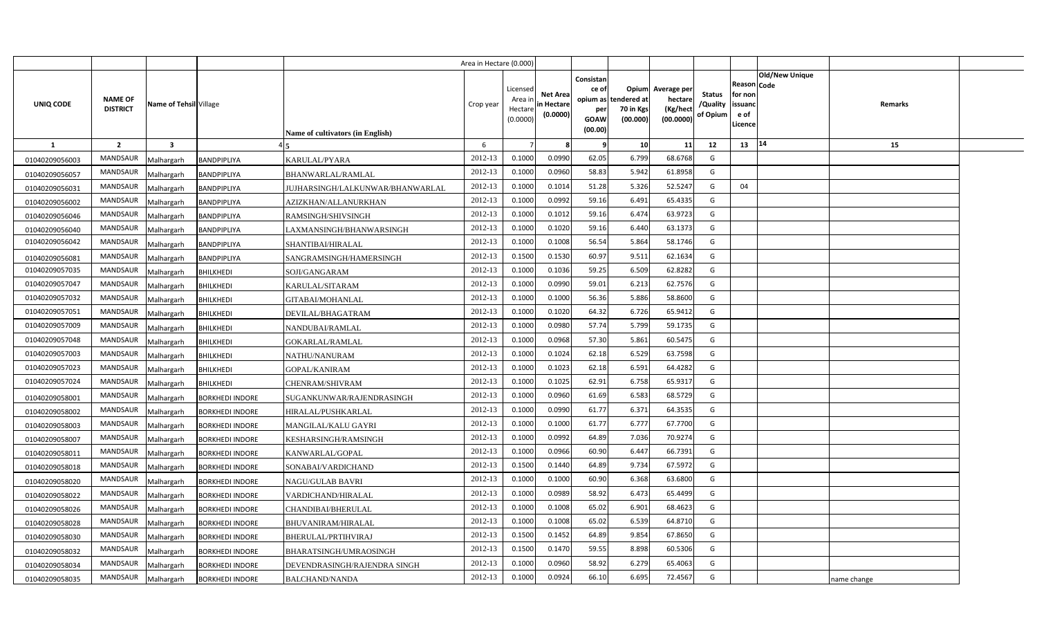|                |                                   |                         |                        |                                         | Area in Hectare (0.000) |                                            |                                           |                                                          |                                               |                                                 |                                       |                                                 |                               |             |  |
|----------------|-----------------------------------|-------------------------|------------------------|-----------------------------------------|-------------------------|--------------------------------------------|-------------------------------------------|----------------------------------------------------------|-----------------------------------------------|-------------------------------------------------|---------------------------------------|-------------------------------------------------|-------------------------------|-------------|--|
| UNIQ CODE      | <b>NAME OF</b><br><b>DISTRICT</b> | Name of Tehsil Village  |                        | <b>Name of cultivators (in English)</b> | Crop year               | Licensed<br>Area ir<br>Hectare<br>(0.0000) | <b>Net Area</b><br>in Hectare<br>(0.0000) | Consistan<br>ce of<br>opium as<br>per<br>GOAW<br>(00.00) | Opium<br>tendered at<br>70 in Kgs<br>(00.000) | Average per<br>hectare<br>(Kg/hect<br>(00.0000) | <b>Status</b><br>/Quality<br>of Opium | Reason<br>for non<br>issuand<br>e of<br>Licence | <b>Old/New Unique</b><br>Code | Remarks     |  |
| 1              | $\overline{2}$                    | $\overline{\mathbf{3}}$ |                        |                                         | 6                       |                                            |                                           |                                                          | 10                                            | 11                                              | 12                                    | 13 14                                           |                               | 15          |  |
| 01040209056003 | <b>MANDSAUR</b>                   | Malhargarh              | BANDPIPLIYA            | KARULAL/PYARA                           | 2012-13                 | 0.1000                                     | 0.0990                                    | 62.05                                                    | 6.799                                         | 68.6768                                         | G                                     |                                                 |                               |             |  |
| 01040209056057 | <b>MANDSAUR</b>                   | Malhargarh              | BANDPIPLIYA            | BHANWARLAL/RAMLAL                       | 2012-13                 | 0.1000                                     | 0.0960                                    | 58.83                                                    | 5.942                                         | 61.8958                                         | G                                     |                                                 |                               |             |  |
| 01040209056031 | <b>MANDSAUR</b>                   | Malhargarh              | BANDPIPLIYA            | JUJHARSINGH/LALKUNWAR/BHANWARLAL        | 2012-13                 | 0.1000                                     | 0.1014                                    | 51.28                                                    | 5.326                                         | 52.5247                                         | G                                     | 04                                              |                               |             |  |
| 01040209056002 | <b>MANDSAUR</b>                   | Malhargarh              | BANDPIPLIYA            | AZIZKHAN/ALLANURKHAN                    | 2012-13                 | 0.1000                                     | 0.0992                                    | 59.16                                                    | 6.491                                         | 65.4335                                         | G                                     |                                                 |                               |             |  |
| 01040209056046 | <b>MANDSAUR</b>                   | Malhargarh              | BANDPIPLIYA            | RAMSINGH/SHIVSINGH                      | 2012-13                 | 0.1000                                     | 0.1012                                    | 59.16                                                    | 6.474                                         | 63.9723                                         | G                                     |                                                 |                               |             |  |
| 01040209056040 | MANDSAUR                          | Malhargarh              | BANDPIPLIYA            | LAXMANSINGH/BHANWARSINGH                | 2012-13                 | 0.1000                                     | 0.1020                                    | 59.16                                                    | 6.440                                         | 63.1373                                         | G                                     |                                                 |                               |             |  |
| 01040209056042 | <b>MANDSAUR</b>                   | Malhargarh              | BANDPIPLIYA            | SHANTIBAI/HIRALAL                       | 2012-13                 | 0.1000                                     | 0.1008                                    | 56.54                                                    | 5.864                                         | 58.1746                                         | G                                     |                                                 |                               |             |  |
| 01040209056081 | <b>MANDSAUR</b>                   | Malhargarh              | <b>BANDPIPLIYA</b>     | SANGRAMSINGH/HAMERSINGH                 | 2012-13                 | 0.1500                                     | 0.1530                                    | 60.97                                                    | 9.511                                         | 62.1634                                         | G                                     |                                                 |                               |             |  |
| 01040209057035 | <b>MANDSAUR</b>                   | Malhargarh              | <b>BHILKHEDI</b>       | SOJI/GANGARAM                           | 2012-13                 | 0.1000                                     | 0.1036                                    | 59.25                                                    | 6.509                                         | 62.8282                                         | G                                     |                                                 |                               |             |  |
| 01040209057047 | MANDSAUR                          | Malhargarh              | <b>BHILKHEDI</b>       | KARULAL/SITARAM                         | 2012-13                 | 0.1000                                     | 0.0990                                    | 59.01                                                    | 6.213                                         | 62.7576                                         | G                                     |                                                 |                               |             |  |
| 01040209057032 | MANDSAUR                          | Malhargarh              | <b>BHILKHEDI</b>       | GITABAI/MOHANLAL                        | 2012-13                 | 0.1000                                     | 0.1000                                    | 56.36                                                    | 5.886                                         | 58.8600                                         | G                                     |                                                 |                               |             |  |
| 01040209057051 | <b>MANDSAUR</b>                   | Malhargarh              | <b>BHILKHEDI</b>       | DEVILAL/BHAGATRAM                       | 2012-13                 | 0.1000                                     | 0.1020                                    | 64.32                                                    | 6.726                                         | 65.9412                                         | G                                     |                                                 |                               |             |  |
| 01040209057009 | MANDSAUR                          | Malhargarh              | <b>BHILKHEDI</b>       | NANDUBAI/RAMLAL                         | 2012-13                 | 0.1000                                     | 0.0980                                    | 57.74                                                    | 5.799                                         | 59.1735                                         | G                                     |                                                 |                               |             |  |
| 01040209057048 | <b>MANDSAUR</b>                   | Malhargarh              | <b>BHILKHEDI</b>       | <b>GOKARLAL/RAMLAL</b>                  | 2012-13                 | 0.1000                                     | 0.0968                                    | 57.30                                                    | 5.861                                         | 60.5475                                         | G                                     |                                                 |                               |             |  |
| 01040209057003 | <b>MANDSAUR</b>                   | Malhargarh              | <b>BHILKHEDI</b>       | NATHU/NANURAM                           | 2012-13                 | 0.1000                                     | 0.1024                                    | 62.18                                                    | 6.529                                         | 63.7598                                         | G                                     |                                                 |                               |             |  |
| 01040209057023 | MANDSAUR                          | Malhargarh              | <b>BHILKHEDI</b>       | <b>GOPAL/KANIRAM</b>                    | 2012-13                 | 0.1000                                     | 0.1023                                    | 62.18                                                    | 6.591                                         | 64.4282                                         | G                                     |                                                 |                               |             |  |
| 01040209057024 | <b>MANDSAUR</b>                   | Malhargarh              | <b>BHILKHEDI</b>       | CHENRAM/SHIVRAM                         | 2012-13                 | 0.1000                                     | 0.1025                                    | 62.91                                                    | 6.758                                         | 65.9317                                         | G                                     |                                                 |                               |             |  |
| 01040209058001 | MANDSAUR                          | Malhargarh              | <b>BORKHEDI INDORE</b> | SUGANKUNWAR/RAJENDRASINGH               | 2012-13                 | 0.1000                                     | 0.0960                                    | 61.69                                                    | 6.583                                         | 68.5729                                         | G                                     |                                                 |                               |             |  |
| 01040209058002 | <b>MANDSAUR</b>                   | Malhargarh              | <b>BORKHEDI INDORE</b> | HIRALAL/PUSHKARLAL                      | 2012-13                 | 0.1000                                     | 0.0990                                    | 61.77                                                    | 6.371                                         | 64.3535                                         | G                                     |                                                 |                               |             |  |
| 01040209058003 | MANDSAUR                          | Malhargarh              | <b>BORKHEDI INDORE</b> | MANGILAL/KALU GAYRI                     | 2012-13                 | 0.1000                                     | 0.1000                                    | 61.77                                                    | 6.777                                         | 67.7700                                         | G                                     |                                                 |                               |             |  |
| 01040209058007 | MANDSAUR                          | Malhargarh              | <b>BORKHEDI INDORE</b> | KESHARSINGH/RAMSINGH                    | 2012-13                 | 0.1000                                     | 0.0992                                    | 64.89                                                    | 7.036                                         | 70.9274                                         | G                                     |                                                 |                               |             |  |
| 01040209058011 | <b>MANDSAUR</b>                   | Malhargarh              | <b>BORKHEDI INDORE</b> | KANWARLAL/GOPAL                         | 2012-13                 | 0.1000                                     | 0.0966                                    | 60.90                                                    | 6.447                                         | 66.7391                                         | G                                     |                                                 |                               |             |  |
| 01040209058018 | MANDSAUR                          | Malhargarh              | <b>BORKHEDI INDORE</b> | SONABAI/VARDICHAND                      | 2012-13                 | 0.1500                                     | 0.1440                                    | 64.89                                                    | 9.734                                         | 67.5972                                         | G                                     |                                                 |                               |             |  |
| 01040209058020 | <b>MANDSAUR</b>                   | Malhargarh              | <b>BORKHEDI INDORE</b> | NAGU/GULAB BAVRI                        | 2012-13                 | 0.1000                                     | 0.1000                                    | 60.90                                                    | 6.368                                         | 63.6800                                         | G                                     |                                                 |                               |             |  |
| 01040209058022 | <b>MANDSAUR</b>                   | Malhargarh              | <b>BORKHEDI INDORE</b> | VARDICHAND/HIRALAL                      | 2012-13                 | 0.1000                                     | 0.0989                                    | 58.92                                                    | 6.473                                         | 65.4499                                         | G                                     |                                                 |                               |             |  |
| 01040209058026 | MANDSAUR                          | Malhargarh              | <b>BORKHEDI INDORE</b> | CHANDIBAI/BHERULAL                      | 2012-13                 | 0.1000                                     | 0.1008                                    | 65.02                                                    | 6.901                                         | 68.4623                                         | G                                     |                                                 |                               |             |  |
| 01040209058028 | MANDSAUR                          | Malhargarh              | <b>BORKHEDI INDORE</b> | <b>BHUVANIRAM/HIRALAL</b>               | 2012-13                 | 0.1000                                     | 0.1008                                    | 65.02                                                    | 6.539                                         | 64.8710                                         | G                                     |                                                 |                               |             |  |
| 01040209058030 | MANDSAUR                          | Malhargarh              | <b>BORKHEDI INDORE</b> | BHERULAL/PRTIHVIRAJ                     | 2012-13                 | 0.1500                                     | 0.1452                                    | 64.89                                                    | 9.854                                         | 67.8650                                         | G                                     |                                                 |                               |             |  |
| 01040209058032 | <b>MANDSAUR</b>                   | Malhargarh              | <b>BORKHEDI INDORE</b> | BHARATSINGH/UMRAOSINGH                  | 2012-13                 | 0.1500                                     | 0.1470                                    | 59.55                                                    | 8.898                                         | 60.5306                                         | G                                     |                                                 |                               |             |  |
| 01040209058034 | MANDSAUR                          | Malhargarh              | <b>BORKHEDI INDORE</b> | DEVENDRASINGH/RAJENDRA SINGH            | 2012-13                 | 0.1000                                     | 0.0960                                    | 58.92                                                    | 6.279                                         | 65.4063                                         | G                                     |                                                 |                               |             |  |
| 01040209058035 | MANDSAUR                          | Malhargarh              | <b>BORKHEDI INDORE</b> | <b>BALCHAND/NANDA</b>                   | 2012-13                 | 0.1000                                     | 0.0924                                    | 66.10                                                    | 6.695                                         | 72.4567                                         | G                                     |                                                 |                               | name change |  |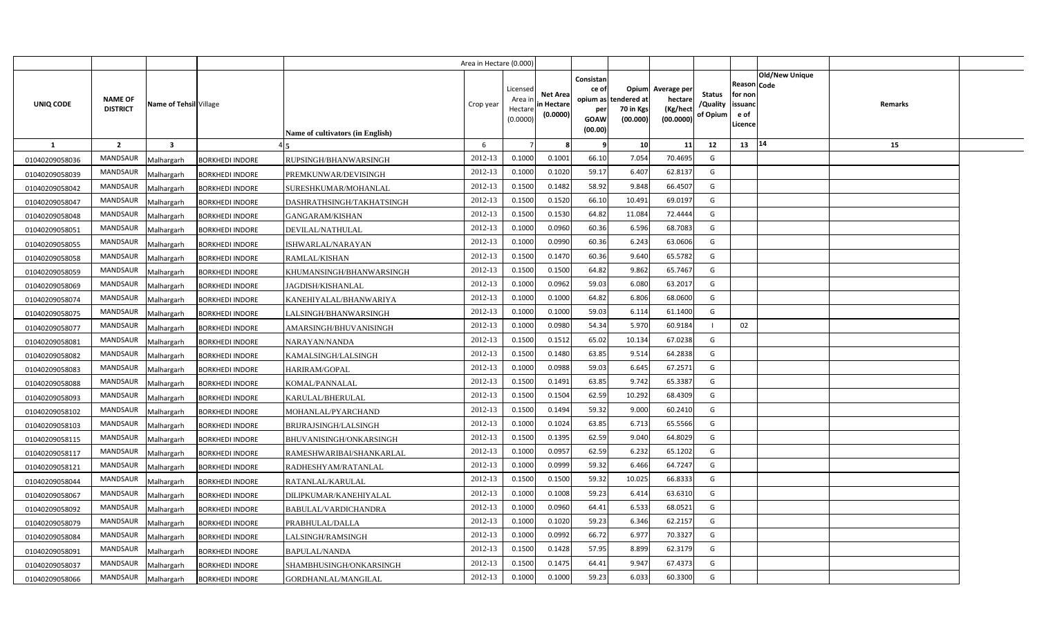|                |                                   |                         |                        |                                  | Area in Hectare (0.000) |                                           |                                           |                                                     |                                                        |                                                 |                                       |                                                                               |         |  |
|----------------|-----------------------------------|-------------------------|------------------------|----------------------------------|-------------------------|-------------------------------------------|-------------------------------------------|-----------------------------------------------------|--------------------------------------------------------|-------------------------------------------------|---------------------------------------|-------------------------------------------------------------------------------|---------|--|
| UNIQ CODE      | <b>NAME OF</b><br><b>DISTRICT</b> | Name of Tehsil Village  |                        | Name of cultivators (in English) | Crop year               | Licensed<br>Area i<br>Hectare<br>(0.0000) | <b>Net Area</b><br>in Hectare<br>(0.0000) | Consistan<br>ce of<br>per<br><b>GOAW</b><br>(00.00) | Opium<br>opium as tendered at<br>70 in Kgs<br>(00.000) | Average per<br>hectare<br>(Kg/hect<br>(00.0000) | <b>Status</b><br>/Quality<br>of Opium | <b>Old/New Unique</b><br>Reason Code<br>for non<br>issuanc<br>e of<br>Licence | Remarks |  |
| <b>1</b>       | $\overline{2}$                    | $\overline{\mathbf{3}}$ |                        |                                  | 6                       |                                           |                                           | - 9                                                 | 10                                                     | 11                                              | 12                                    | 14<br>13                                                                      | 15      |  |
| 01040209058036 | <b>MANDSAUR</b>                   | Malhargarh              | <b>BORKHEDI INDORE</b> | RUPSINGH/BHANWARSINGH            | 2012-13                 | 0.1000                                    | 0.1001                                    | 66.10                                               | 7.054                                                  | 70.4695                                         | G                                     |                                                                               |         |  |
| 01040209058039 | MANDSAUR                          | Malhargarh              | <b>BORKHEDI INDORE</b> | PREMKUNWAR/DEVISINGH             | 2012-13                 | 0.1000                                    | 0.1020                                    | 59.17                                               | 6.407                                                  | 62.813                                          | G                                     |                                                                               |         |  |
| 01040209058042 | MANDSAUR                          | Malhargarh              | <b>BORKHEDI INDORE</b> | SURESHKUMAR/MOHANLAL             | 2012-13                 | 0.1500                                    | 0.1482                                    | 58.92                                               | 9.848                                                  | 66.4507                                         | G                                     |                                                                               |         |  |
| 01040209058047 | MANDSAUR                          | Malhargarh              | <b>BORKHEDI INDORE</b> | DASHRATHSINGH/TAKHATSINGH        | 2012-13                 | 0.1500                                    | 0.1520                                    | 66.10                                               | 10.491                                                 | 69.019                                          | G                                     |                                                                               |         |  |
| 01040209058048 | MANDSAUR                          | Malhargarh              | <b>BORKHEDI INDORE</b> | GANGARAM/KISHAN                  | 2012-13                 | 0.1500                                    | 0.1530                                    | 64.82                                               | 11.084                                                 | 72.4444                                         | G                                     |                                                                               |         |  |
| 01040209058051 | <b>MANDSAUR</b>                   | Malhargarh              | <b>BORKHEDI INDORE</b> | DEVILAL/NATHULAL                 | 2012-13                 | 0.100C                                    | 0.0960                                    | 60.36                                               | 6.596                                                  | 68.708                                          | G                                     |                                                                               |         |  |
| 01040209058055 | MANDSAUR                          | Malhargarh              | <b>BORKHEDI INDORE</b> | ISHWARLAL/NARAYAN                | 2012-13                 | 0.1000                                    | 0.0990                                    | 60.36                                               | 6.243                                                  | 63.060                                          | G                                     |                                                                               |         |  |
| 01040209058058 | MANDSAUR                          | Malhargarh              | <b>BORKHEDI INDORE</b> | RAMLAL/KISHAN                    | 2012-13                 | 0.1500                                    | 0.1470                                    | 60.36                                               | 9.640                                                  | 65.5782                                         | G                                     |                                                                               |         |  |
| 01040209058059 | MANDSAUR                          | Malhargarh              | <b>BORKHEDI INDORE</b> | KHUMANSINGH/BHANWARSINGH         | 2012-13                 | 0.1500                                    | 0.1500                                    | 64.82                                               | 9.862                                                  | 65.7467                                         | G                                     |                                                                               |         |  |
| 01040209058069 | MANDSAUR                          | Malhargarh              | <b>BORKHEDI INDORE</b> | <b>JAGDISH/KISHANLAL</b>         | 2012-13                 | 0.1000                                    | 0.0962                                    | 59.03                                               | 6.080                                                  | 63.201                                          | G                                     |                                                                               |         |  |
| 01040209058074 | MANDSAUR                          | Malhargarh              | <b>BORKHEDI INDORE</b> | KANEHIYALAL/BHANWARIYA           | 2012-13                 | 0.1000                                    | 0.1000                                    | 64.82                                               | 6.806                                                  | 68.060                                          | G                                     |                                                                               |         |  |
| 01040209058075 | MANDSAUR                          | Malhargarh              | <b>BORKHEDI INDORE</b> | LALSINGH/BHANWARSINGH            | 2012-13                 | 0.1000                                    | 0.1000                                    | 59.03                                               | 6.114                                                  | 61.1400                                         | G                                     |                                                                               |         |  |
| 01040209058077 | <b>MANDSAUR</b>                   | Malhargarh              | <b>BORKHEDI INDORE</b> | AMARSINGH/BHUVANISINGH           | 2012-13                 | 0.1000                                    | 0.0980                                    | 54.34                                               | 5.970                                                  | 60.9184                                         |                                       | 02                                                                            |         |  |
| 01040209058081 | MANDSAUR                          | Malhargarh              | <b>BORKHEDI INDORE</b> | NARAYAN/NANDA                    | 2012-13                 | 0.1500                                    | 0.1512                                    | 65.02                                               | 10.134                                                 | 67.0238                                         | G                                     |                                                                               |         |  |
| 01040209058082 | MANDSAUR                          | Malhargarh              | <b>BORKHEDI INDORE</b> | KAMALSINGH/LALSINGH              | 2012-13                 | 0.1500                                    | 0.1480                                    | 63.85                                               | 9.514                                                  | 64.2838                                         | G                                     |                                                                               |         |  |
| 01040209058083 | <b>MANDSAUR</b>                   | Malhargarh              | <b>BORKHEDI INDORE</b> | HARIRAM/GOPAL                    | 2012-13                 | 0.1000                                    | 0.0988                                    | 59.03                                               | 6.645                                                  | 67.2571                                         | G                                     |                                                                               |         |  |
| 01040209058088 | MANDSAUR                          | Malhargarh              | <b>BORKHEDI INDORE</b> | KOMAL/PANNALAL                   | 2012-13                 | 0.1500                                    | 0.1491                                    | 63.85                                               | 9.742                                                  | 65.3387                                         | G                                     |                                                                               |         |  |
| 01040209058093 | <b>MANDSAUR</b>                   | Malhargarh              | <b>BORKHEDI INDORE</b> | KARULAL/BHERULAL                 | 2012-13                 | 0.1500                                    | 0.1504                                    | 62.59                                               | 10.292                                                 | 68.4309                                         | G                                     |                                                                               |         |  |
| 01040209058102 | <b>MANDSAUR</b>                   | Malhargarh              | <b>BORKHEDI INDORE</b> | MOHANLAL/PYARCHAND               | 2012-13                 | 0.1500                                    | 0.1494                                    | 59.32                                               | 9.000                                                  | 60.2410                                         | G                                     |                                                                               |         |  |
| 01040209058103 | <b>MANDSAUR</b>                   | Malhargarh              | <b>BORKHEDI INDORE</b> | BRIJRAJSINGH/LALSINGH            | 2012-13                 | 0.1000                                    | 0.1024                                    | 63.85                                               | 6.713                                                  | 65.5566                                         | G                                     |                                                                               |         |  |
| 01040209058115 | <b>MANDSAUR</b>                   | Malhargarh              | <b>BORKHEDI INDORE</b> | BHUVANISINGH/ONKARSINGH          | 2012-13                 | 0.1500                                    | 0.1395                                    | 62.59                                               | 9.040                                                  | 64.8029                                         | G                                     |                                                                               |         |  |
| 01040209058117 | MANDSAUR                          | Malhargarh              | <b>BORKHEDI INDORE</b> | RAMESHWARIBAI/SHANKARLAL         | 2012-13                 | 0.1000                                    | 0.0957                                    | 62.59                                               | 6.232                                                  | 65.1202                                         | G                                     |                                                                               |         |  |
| 01040209058121 | <b>MANDSAUR</b>                   | Malhargarh              | <b>BORKHEDI INDORE</b> | RADHESHYAM/RATANLAL              | 2012-13                 | 0.1000                                    | 0.0999                                    | 59.32                                               | 6.466                                                  | 64.7247                                         | G                                     |                                                                               |         |  |
| 01040209058044 | MANDSAUR                          | Malhargarh              | <b>BORKHEDI INDORE</b> | RATANLAL/KARULAL                 | 2012-13                 | 0.1500                                    | 0.1500                                    | 59.32                                               | 10.025                                                 | 66.8333                                         | G                                     |                                                                               |         |  |
| 01040209058067 | <b>MANDSAUR</b>                   | Malhargarh              | <b>BORKHEDI INDORE</b> | DILIPKUMAR/KANEHIYALAL           | 2012-13                 | 0.1000                                    | 0.1008                                    | 59.23                                               | 6.414                                                  | 63.631                                          | G                                     |                                                                               |         |  |
| 01040209058092 | MANDSAUR                          | Malhargarh              | <b>BORKHEDI INDORE</b> | BABULAL/VARDICHANDRA             | 2012-13                 | 0.1000                                    | 0.0960                                    | 64.41                                               | 6.533                                                  | 68.0521                                         | G                                     |                                                                               |         |  |
| 01040209058079 | MANDSAUR                          | Malhargarh              | <b>BORKHEDI INDORE</b> | PRABHULAL/DALLA                  | 2012-13                 | 0.1000                                    | 0.1020                                    | 59.23                                               | 6.346                                                  | 62.2157                                         | G                                     |                                                                               |         |  |
| 01040209058084 | MANDSAUR                          | Malhargarh              | <b>BORKHEDI INDORE</b> | LALSINGH/RAMSINGH                | 2012-13                 | 0.1000                                    | 0.0992                                    | 66.72                                               | 6.977                                                  | 70.332                                          | G                                     |                                                                               |         |  |
| 01040209058091 | MANDSAUR                          | Malhargarh              | <b>BORKHEDI INDORE</b> | <b>BAPULAL/NANDA</b>             | 2012-13                 | 0.1500                                    | 0.1428                                    | 57.95                                               | 8.899                                                  | 62.3179                                         | G                                     |                                                                               |         |  |
| 01040209058037 | MANDSAUR                          | Malhargarh              | <b>BORKHEDI INDORE</b> | SHAMBHUSINGH/ONKARSINGH          | 2012-13                 | 0.1500                                    | 0.1475                                    | 64.41                                               | 9.947                                                  | 67.437                                          | G                                     |                                                                               |         |  |
| 01040209058066 | MANDSAUR                          | Malhargarh              | <b>BORKHEDI INDORE</b> | GORDHANLAL/MANGILAL              | 2012-13                 | 0.1000                                    | 0.1000                                    | 59.23                                               | 6.033                                                  | 60.3300                                         | G                                     |                                                                               |         |  |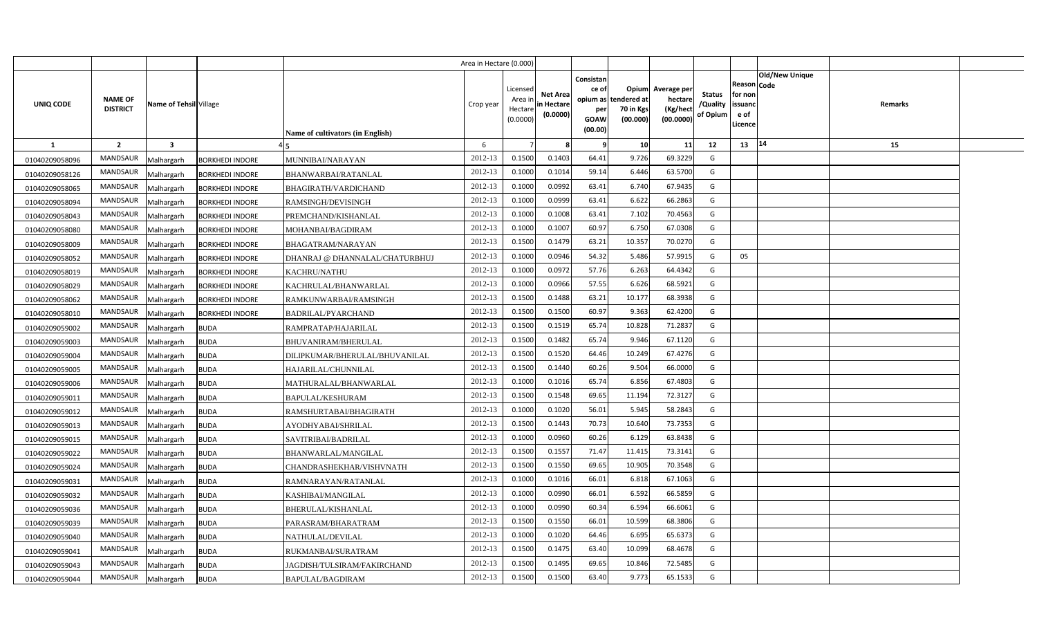|                |                                   |                         |                        |                                  | Area in Hectare (0.000) |                                           |                                           |                                                     |                                                        |                                                 |                                       |                                                                               |         |  |
|----------------|-----------------------------------|-------------------------|------------------------|----------------------------------|-------------------------|-------------------------------------------|-------------------------------------------|-----------------------------------------------------|--------------------------------------------------------|-------------------------------------------------|---------------------------------------|-------------------------------------------------------------------------------|---------|--|
| UNIQ CODE      | <b>NAME OF</b><br><b>DISTRICT</b> | Name of Tehsil Village  |                        | Name of cultivators (in English) | Crop year               | Licensed<br>Area i<br>Hectare<br>(0.0000) | <b>Net Area</b><br>in Hectare<br>(0.0000) | Consistan<br>ce of<br>per<br><b>GOAW</b><br>(00.00) | Opium<br>opium as tendered at<br>70 in Kgs<br>(00.000) | Average per<br>hectare<br>(Kg/hect<br>(00.0000) | <b>Status</b><br>/Quality<br>of Opium | <b>Old/New Unique</b><br>Reason Code<br>for non<br>issuanc<br>e of<br>Licence | Remarks |  |
| <b>1</b>       | $\overline{2}$                    | $\overline{\mathbf{3}}$ |                        |                                  | 6                       |                                           |                                           | - 9                                                 | 10                                                     | 11                                              | 12                                    | 14<br>13                                                                      | 15      |  |
| 01040209058096 | <b>MANDSAUR</b>                   | Malhargarh              | <b>BORKHEDI INDORE</b> | MUNNIBAI/NARAYAN                 | 2012-13                 | 0.1500                                    | 0.1403                                    | 64.41                                               | 9.726                                                  | 69.3229                                         | G                                     |                                                                               |         |  |
| 01040209058126 | MANDSAUR                          | Malhargarh              | <b>BORKHEDI INDORE</b> | BHANWARBAI/RATANLAL              | 2012-13                 | 0.1000                                    | 0.1014                                    | 59.14                                               | 6.446                                                  | 63.5700                                         | G                                     |                                                                               |         |  |
| 01040209058065 | MANDSAUR                          | Malhargarh              | <b>BORKHEDI INDORE</b> | BHAGIRATH/VARDICHAND             | 2012-13                 | 0.1000                                    | 0.0992                                    | 63.41                                               | 6.740                                                  | 67.9435                                         | G                                     |                                                                               |         |  |
| 01040209058094 | MANDSAUR                          | Malhargarh              | <b>BORKHEDI INDORE</b> | RAMSINGH/DEVISINGH               | 2012-13                 | 0.1000                                    | 0.0999                                    | 63.41                                               | 6.622                                                  | 66.2863                                         | G                                     |                                                                               |         |  |
| 01040209058043 | MANDSAUR                          | Malhargarh              | <b>BORKHEDI INDORE</b> | PREMCHAND/KISHANLAL              | 2012-13                 | 0.1000                                    | 0.1008                                    | 63.41                                               | 7.102                                                  | 70.4563                                         | G                                     |                                                                               |         |  |
| 01040209058080 | <b>MANDSAUR</b>                   | Malhargarh              | <b>BORKHEDI INDORE</b> | MOHANBAI/BAGDIRAM                | 2012-13                 | 0.100C                                    | 0.1007                                    | 60.97                                               | 6.750                                                  | 67.0308                                         | G                                     |                                                                               |         |  |
| 01040209058009 | MANDSAUR                          | Malhargarh              | <b>BORKHEDI INDORE</b> | BHAGATRAM/NARAYAN                | 2012-13                 | 0.1500                                    | 0.1479                                    | 63.21                                               | 10.357                                                 | 70.027                                          | G                                     |                                                                               |         |  |
| 01040209058052 | MANDSAUR                          | Malhargarh              | <b>BORKHEDI INDORE</b> | DHANRAJ @ DHANNALAL/CHATURBHUJ   | 2012-13                 | 0.1000                                    | 0.0946                                    | 54.32                                               | 5.486                                                  | 57.991                                          | G                                     | 05                                                                            |         |  |
| 01040209058019 | MANDSAUR                          | Malhargarh              | <b>BORKHEDI INDORE</b> | KACHRU/NATHU                     | 2012-13                 | 0.1000                                    | 0.0972                                    | 57.76                                               | 6.263                                                  | 64.4342                                         | G                                     |                                                                               |         |  |
| 01040209058029 | MANDSAUR                          | Malhargarh              | <b>BORKHEDI INDORE</b> | KACHRULAL/BHANWARLAL             | 2012-13                 | 0.1000                                    | 0.0966                                    | 57.55                                               | 6.626                                                  | 68.5921                                         | G                                     |                                                                               |         |  |
| 01040209058062 | MANDSAUR                          | Malhargarh              | <b>BORKHEDI INDORE</b> | RAMKUNWARBAI/RAMSINGH            | 2012-13                 | 0.1500                                    | 0.1488                                    | 63.21                                               | 10.177                                                 | 68.3938                                         | G                                     |                                                                               |         |  |
| 01040209058010 | MANDSAUR                          | Malhargarh              | <b>BORKHEDI INDORE</b> | <b>BADRILAL/PYARCHAND</b>        | 2012-13                 | 0.1500                                    | 0.1500                                    | 60.97                                               | 9.363                                                  | 62.4200                                         | G                                     |                                                                               |         |  |
| 01040209059002 | <b>MANDSAUR</b>                   | Malhargarh              | <b>BUDA</b>            | RAMPRATAP/HAJARILAL              | 2012-13                 | 0.1500                                    | 0.1519                                    | 65.74                                               | 10.828                                                 | 71.283                                          | G                                     |                                                                               |         |  |
| 01040209059003 | MANDSAUR                          | Malhargarh              | <b>BUDA</b>            | BHUVANIRAM/BHERULAL              | 2012-13                 | 0.1500                                    | 0.1482                                    | 65.74                                               | 9.946                                                  | 67.1120                                         | G                                     |                                                                               |         |  |
| 01040209059004 | MANDSAUR                          | Malhargarh              | <b>BUDA</b>            | DILIPKUMAR/BHERULAL/BHUVANILAL   | 2012-13                 | 0.1500                                    | 0.1520                                    | 64.46                                               | 10.249                                                 | 67.4276                                         | G                                     |                                                                               |         |  |
| 01040209059005 | <b>MANDSAUR</b>                   | Malhargarh              | <b>BUDA</b>            | HAJARILAL/CHUNNILAL              | 2012-13                 | 0.1500                                    | 0.1440                                    | 60.26                                               | 9.504                                                  | 66.0000                                         | G                                     |                                                                               |         |  |
| 01040209059006 | MANDSAUR                          | Malhargarh              | <b>BUDA</b>            | MATHURALAL/BHANWARLAL            | 2012-13                 | 0.1000                                    | 0.1016                                    | 65.74                                               | 6.856                                                  | 67.4803                                         | G                                     |                                                                               |         |  |
| 01040209059011 | <b>MANDSAUR</b>                   | Malhargarh              | <b>BUDA</b>            | <b>BAPULAL/KESHURAM</b>          | 2012-13                 | 0.1500                                    | 0.1548                                    | 69.65                                               | 11.194                                                 | 72.3127                                         | G                                     |                                                                               |         |  |
| 01040209059012 | <b>MANDSAUR</b>                   | Malhargarh              | <b>BUDA</b>            | RAMSHURTABAI/BHAGIRATH           | 2012-13                 | 0.1000                                    | 0.1020                                    | 56.01                                               | 5.945                                                  | 58.2843                                         | G                                     |                                                                               |         |  |
| 01040209059013 | <b>MANDSAUR</b>                   | Malhargarh              | <b>BUDA</b>            | AYODHYABAI/SHRILAL               | 2012-13                 | 0.1500                                    | 0.1443                                    | 70.73                                               | 10.640                                                 | 73.7353                                         | G                                     |                                                                               |         |  |
| 01040209059015 | <b>MANDSAUR</b>                   | Malhargarh              | <b>BUDA</b>            | SAVITRIBAI/BADRILAL              | 2012-13                 | 0.1000                                    | 0.0960                                    | 60.26                                               | 6.129                                                  | 63.8438                                         | G                                     |                                                                               |         |  |
| 01040209059022 | MANDSAUR                          | Malhargarh              | <b>BUDA</b>            | BHANWARLAL/MANGILAL              | 2012-13                 | 0.1500                                    | 0.1557                                    | 71.47                                               | 11.415                                                 | 73.3141                                         | G                                     |                                                                               |         |  |
| 01040209059024 | <b>MANDSAUR</b>                   | Malhargarh              | <b>BUDA</b>            | CHANDRASHEKHAR/VISHVNATH         | 2012-13                 | 0.1500                                    | 0.1550                                    | 69.65                                               | 10.905                                                 | 70.3548                                         | G                                     |                                                                               |         |  |
| 01040209059031 | MANDSAUR                          | Malhargarh              | <b>BUDA</b>            | RAMNARAYAN/RATANLAL              | 2012-13                 | 0.1000                                    | 0.1016                                    | 66.01                                               | 6.818                                                  | 67.106                                          | G                                     |                                                                               |         |  |
| 01040209059032 | <b>MANDSAUR</b>                   | Malhargarh              | <b>BUDA</b>            | KASHIBAI/MANGILAL                | 2012-13                 | 0.1000                                    | 0.0990                                    | 66.01                                               | 6.592                                                  | 66.5859                                         | G                                     |                                                                               |         |  |
| 01040209059036 | MANDSAUR                          | Malhargarh              | <b>BUDA</b>            | BHERULAL/KISHANLAL               | 2012-13                 | 0.1000                                    | 0.0990                                    | 60.34                                               | 6.594                                                  | 66.606                                          | G                                     |                                                                               |         |  |
| 01040209059039 | MANDSAUR                          | Malhargarh              | <b>BUDA</b>            | PARASRAM/BHARATRAM               | 2012-13                 | 0.1500                                    | 0.1550                                    | 66.01                                               | 10.599                                                 | 68.380                                          | G                                     |                                                                               |         |  |
| 01040209059040 | MANDSAUR                          | Malhargarh              | <b>BUDA</b>            | NATHULAL/DEVILAL                 | 2012-13                 | 0.1000                                    | 0.1020                                    | 64.46                                               | 6.695                                                  | 65.637                                          | G                                     |                                                                               |         |  |
| 01040209059041 | MANDSAUR                          | Malhargarh              | <b>BUDA</b>            | RUKMANBAI/SURATRAM               | 2012-13                 | 0.1500                                    | 0.1475                                    | 63.40                                               | 10.099                                                 | 68.4678                                         | G                                     |                                                                               |         |  |
| 01040209059043 | MANDSAUR                          | Malhargarh              | <b>BUDA</b>            | JAGDISH/TULSIRAM/FAKIRCHAND      | 2012-13                 | 0.1500                                    | 0.1495                                    | 69.65                                               | 10.846                                                 | 72.5485                                         | G                                     |                                                                               |         |  |
| 01040209059044 | MANDSAUR                          | Malhargarh              | <b>BUDA</b>            | BAPULAL/BAGDIRAM                 | 2012-13                 | 0.1500                                    | 0.1500                                    | 63.40                                               | 9.773                                                  | 65.1533                                         | G                                     |                                                                               |         |  |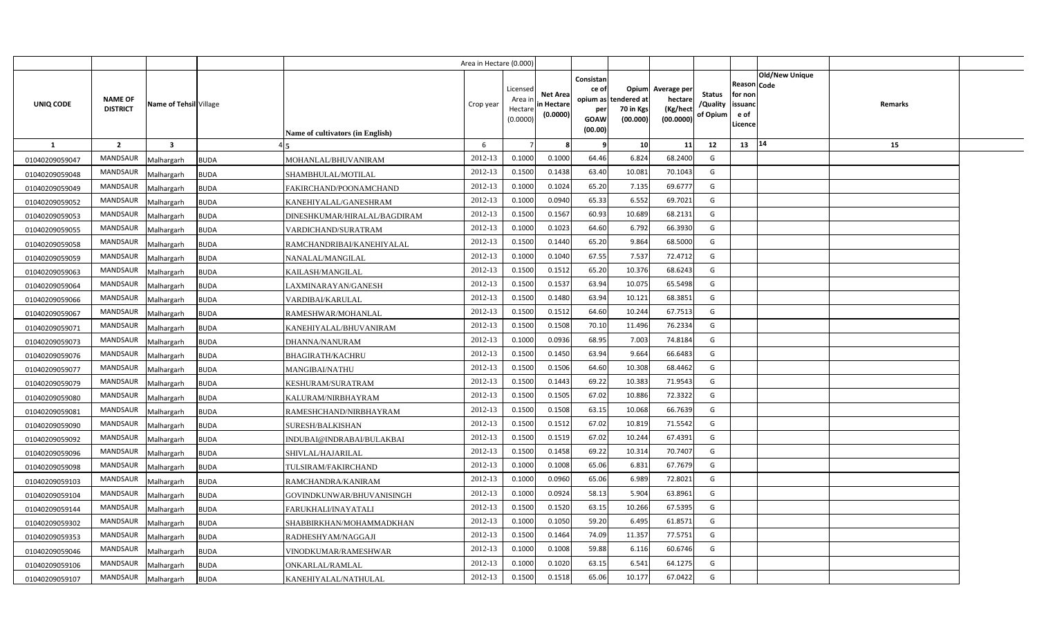|                |                                   |                           |                                  | Area in Hectare (0.000) |                                            |                                           |                                                          |                                               |                                                 |                                       |                                                      |                       |         |  |
|----------------|-----------------------------------|---------------------------|----------------------------------|-------------------------|--------------------------------------------|-------------------------------------------|----------------------------------------------------------|-----------------------------------------------|-------------------------------------------------|---------------------------------------|------------------------------------------------------|-----------------------|---------|--|
| UNIQ CODE      | <b>NAME OF</b><br><b>DISTRICT</b> | Name of Tehsil Village    | Name of cultivators (in English) | Crop year               | Licensed<br>Area in<br>Hectare<br>(0.0000) | <b>Net Area</b><br>in Hectare<br>(0.0000) | Consistan<br>ce of<br>opium as<br>per<br>GOAW<br>(00.00) | Opium<br>tendered at<br>70 in Kgs<br>(00.000) | Average per<br>hectare<br>(Kg/hect<br>(00.0000) | <b>Status</b><br>/Quality<br>of Opium | Reason Code<br>for non<br>issuand<br>e of<br>Licence | <b>Old/New Unique</b> | Remarks |  |
| $\mathbf{1}$   | $\overline{2}$                    | $\overline{\mathbf{3}}$   |                                  | 6                       |                                            |                                           |                                                          | 10                                            | 11                                              | 12                                    | 13   14                                              |                       | 15      |  |
| 01040209059047 | <b>MANDSAUR</b>                   | Malhargarh<br><b>BUDA</b> | MOHANLAL/BHUVANIRAM              | 2012-13                 | 0.1000                                     | 0.1000                                    | 64.46                                                    | 6.824                                         | 68.2400                                         | G                                     |                                                      |                       |         |  |
| 01040209059048 | <b>MANDSAUR</b>                   | <b>BUDA</b><br>Malhargarh | SHAMBHULAL/MOTILAL               | 2012-13                 | 0.1500                                     | 0.1438                                    | 63.40                                                    | 10.081                                        | 70.1043                                         | G                                     |                                                      |                       |         |  |
| 01040209059049 | <b>MANDSAUR</b>                   | Malhargarh<br><b>BUDA</b> | FAKIRCHAND/POONAMCHAND           | 2012-13                 | 0.1000                                     | 0.1024                                    | 65.20                                                    | 7.135                                         | 69.6777                                         | G                                     |                                                      |                       |         |  |
| 01040209059052 | <b>MANDSAUR</b>                   | Malhargarh<br><b>BUDA</b> | KANEHIYALAL/GANESHRAM            | 2012-13                 | 0.1000                                     | 0.0940                                    | 65.33                                                    | 6.552                                         | 69.7021                                         | G                                     |                                                      |                       |         |  |
| 01040209059053 | <b>MANDSAUR</b>                   | Malhargarh<br><b>BUDA</b> | DINESHKUMAR/HIRALAL/BAGDIRAM     | 2012-13                 | 0.1500                                     | 0.1567                                    | 60.93                                                    | 10.689                                        | 68.2131                                         | G                                     |                                                      |                       |         |  |
| 01040209059055 | <b>MANDSAUR</b>                   | Malhargarh<br><b>BUDA</b> | VARDICHAND/SURATRAM              | 2012-13                 | 0.1000                                     | 0.1023                                    | 64.60                                                    | 6.792                                         | 66.3930                                         | G                                     |                                                      |                       |         |  |
| 01040209059058 | <b>MANDSAUR</b>                   | Malhargarh<br><b>BUDA</b> | RAMCHANDRIBAI/KANEHIYALAL        | 2012-13                 | 0.1500                                     | 0.1440                                    | 65.20                                                    | 9.864                                         | 68.5000                                         | G                                     |                                                      |                       |         |  |
| 01040209059059 | <b>MANDSAUR</b>                   | Malhargarh<br><b>BUDA</b> | NANALAL/MANGILAL                 | 2012-13                 | 0.1000                                     | 0.1040                                    | 67.55                                                    | 7.537                                         | 72.4712                                         | G                                     |                                                      |                       |         |  |
| 01040209059063 | <b>MANDSAUR</b>                   | Malhargarh<br><b>BUDA</b> | KAILASH/MANGILAL                 | 2012-13                 | 0.1500                                     | 0.1512                                    | 65.20                                                    | 10.376                                        | 68.6243                                         | G                                     |                                                      |                       |         |  |
| 01040209059064 | MANDSAUR                          | Malhargarh<br><b>BUDA</b> | LAXMINARAYAN/GANESH              | 2012-13                 | 0.1500                                     | 0.1537                                    | 63.94                                                    | 10.075                                        | 65.5498                                         | G                                     |                                                      |                       |         |  |
| 01040209059066 | <b>MANDSAUR</b>                   | <b>BUDA</b><br>Malhargarh | VARDIBAI/KARULAL                 | 2012-13                 | 0.1500                                     | 0.1480                                    | 63.94                                                    | 10.121                                        | 68.3851                                         | G                                     |                                                      |                       |         |  |
| 01040209059067 | MANDSAUR                          | Malhargarh<br><b>BUDA</b> | RAMESHWAR/MOHANLAL               | 2012-13                 | 0.1500                                     | 0.1512                                    | 64.60                                                    | 10.244                                        | 67.7513                                         | G                                     |                                                      |                       |         |  |
| 01040209059071 | <b>MANDSAUR</b>                   | Malhargarh<br><b>BUDA</b> | KANEHIYALAL/BHUVANIRAM           | 2012-13                 | 0.1500                                     | 0.1508                                    | 70.10                                                    | 11.496                                        | 76.2334                                         | G                                     |                                                      |                       |         |  |
| 01040209059073 | MANDSAUR                          | Malhargarh<br><b>BUDA</b> | DHANNA/NANURAM                   | 2012-13                 | 0.1000                                     | 0.0936                                    | 68.95                                                    | 7.003                                         | 74.8184                                         | G                                     |                                                      |                       |         |  |
| 01040209059076 | <b>MANDSAUR</b>                   | Malhargarh<br><b>BUDA</b> | <b>BHAGIRATH/KACHRU</b>          | 2012-13                 | 0.1500                                     | 0.1450                                    | 63.94                                                    | 9.664                                         | 66.6483                                         | G                                     |                                                      |                       |         |  |
| 01040209059077 | <b>MANDSAUR</b>                   | Malhargarh<br><b>BUDA</b> | <b>MANGIBAI/NATHU</b>            | 2012-13                 | 0.1500                                     | 0.1506                                    | 64.60                                                    | 10.308                                        | 68.4462                                         | G                                     |                                                      |                       |         |  |
| 01040209059079 | MANDSAUR                          | Malhargarh<br><b>BUDA</b> | KESHURAM/SURATRAM                | 2012-13                 | 0.1500                                     | 0.1443                                    | 69.22                                                    | 10.383                                        | 71.9543                                         | G                                     |                                                      |                       |         |  |
| 01040209059080 | <b>MANDSAUR</b>                   | Malhargarh<br><b>BUDA</b> | KALURAM/NIRBHAYRAM               | 2012-13                 | 0.1500                                     | 0.1505                                    | 67.02                                                    | 10.886                                        | 72.3322                                         | G                                     |                                                      |                       |         |  |
| 01040209059081 | <b>MANDSAUR</b>                   | Malhargarh<br><b>BUDA</b> | RAMESHCHAND/NIRBHAYRAM           | 2012-13                 | 0.1500                                     | 0.1508                                    | 63.15                                                    | 10.068                                        | 66.7639                                         | G                                     |                                                      |                       |         |  |
| 01040209059090 | <b>MANDSAUR</b>                   | Malhargarh<br><b>BUDA</b> | SURESH/BALKISHAN                 | 2012-13                 | 0.1500                                     | 0.1512                                    | 67.02                                                    | 10.819                                        | 71.5542                                         | G                                     |                                                      |                       |         |  |
| 01040209059092 | <b>MANDSAUR</b>                   | <b>BUDA</b><br>Malhargarh | INDUBAI@INDRABAI/BULAKBAI        | 2012-13                 | 0.1500                                     | 0.1519                                    | 67.02                                                    | 10.244                                        | 67.4391                                         | G                                     |                                                      |                       |         |  |
| 01040209059096 | MANDSAUR                          | Malhargarh<br><b>BUDA</b> | SHIVLAL/HAJARILAL                | 2012-13                 | 0.1500                                     | 0.1458                                    | 69.22                                                    | 10.314                                        | 70.7407                                         | G                                     |                                                      |                       |         |  |
| 01040209059098 | MANDSAUR                          | <b>BUDA</b><br>Malhargarh | TULSIRAM/FAKIRCHAND              | 2012-13                 | 0.1000                                     | 0.1008                                    | 65.06                                                    | 6.831                                         | 67.7679                                         | G                                     |                                                      |                       |         |  |
| 01040209059103 | MANDSAUR                          | Malhargarh<br><b>BUDA</b> | RAMCHANDRA/KANIRAM               | 2012-13                 | 0.1000                                     | 0.0960                                    | 65.06                                                    | 6.989                                         | 72.8021                                         | G                                     |                                                      |                       |         |  |
| 01040209059104 | <b>MANDSAUR</b>                   | <b>BUDA</b><br>Malhargarh | GOVINDKUNWAR/BHUVANISINGH        | 2012-13                 | 0.1000                                     | 0.0924                                    | 58.13                                                    | 5.904                                         | 63.8961                                         | G                                     |                                                      |                       |         |  |
| 01040209059144 | <b>MANDSAUR</b>                   | Malhargarh<br><b>BUDA</b> | FARUKHALI/INAYATALI              | 2012-13                 | 0.1500                                     | 0.1520                                    | 63.15                                                    | 10.266                                        | 67.5395                                         | G                                     |                                                      |                       |         |  |
| 01040209059302 | <b>MANDSAUR</b>                   | <b>BUDA</b><br>Malhargarh | SHABBIRKHAN/MOHAMMADKHAN         | 2012-13                 | 0.1000                                     | 0.1050                                    | 59.20                                                    | 6.495                                         | 61.8571                                         | G                                     |                                                      |                       |         |  |
| 01040209059353 | <b>MANDSAUR</b>                   | Malhargarh<br><b>BUDA</b> | RADHESHYAM/NAGGAJI               | 2012-13                 | 0.1500                                     | 0.1464                                    | 74.09                                                    | 11.357                                        | 77.5751                                         | G                                     |                                                      |                       |         |  |
| 01040209059046 | <b>MANDSAUR</b>                   | <b>BUDA</b><br>Malhargarh | VINODKUMAR/RAMESHWAR             | 2012-13                 | 0.1000                                     | 0.1008                                    | 59.88                                                    | 6.116                                         | 60.6746                                         | G                                     |                                                      |                       |         |  |
| 01040209059106 | <b>MANDSAUR</b>                   | Malhargarh<br><b>BUDA</b> | ONKARLAL/RAMLAL                  | 2012-13                 | 0.1000                                     | 0.1020                                    | 63.15                                                    | 6.541                                         | 64.1275                                         | G                                     |                                                      |                       |         |  |
| 01040209059107 | MANDSAUR                          | Malhargarh<br><b>BUDA</b> | KANEHIYALAL/NATHULAL             | 2012-13                 | 0.1500                                     | 0.1518                                    | 65.06                                                    | 10.177                                        | 67.0422                                         | G                                     |                                                      |                       |         |  |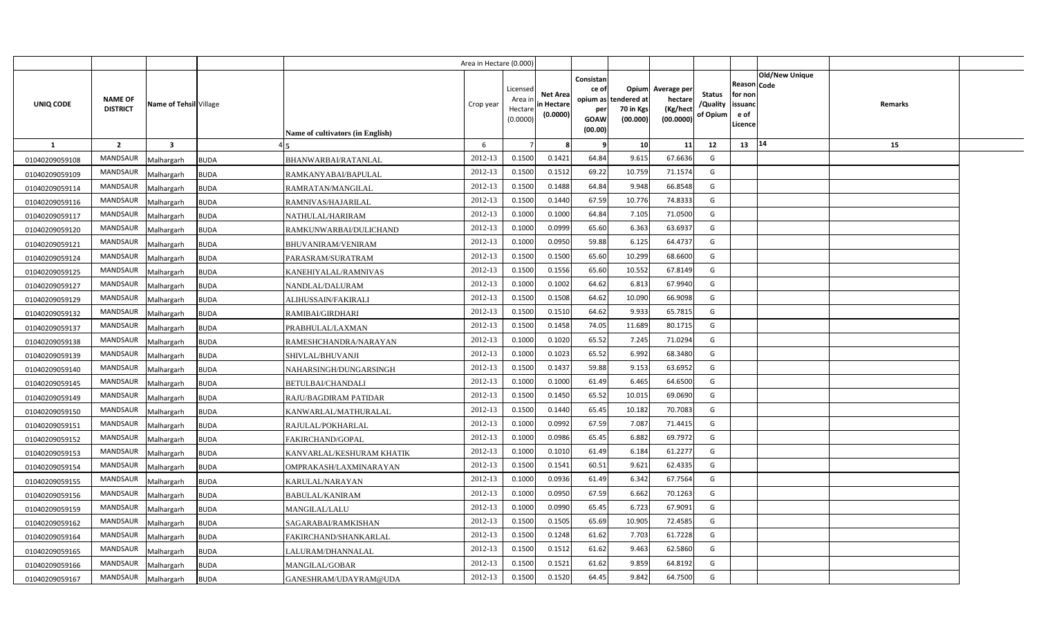|                |                                   |                         |             |                                  | Area in Hectare (0.000) |                                            |                                           |                                                          |                                               |                                                 |                                       |                                                 |                        |         |  |
|----------------|-----------------------------------|-------------------------|-------------|----------------------------------|-------------------------|--------------------------------------------|-------------------------------------------|----------------------------------------------------------|-----------------------------------------------|-------------------------------------------------|---------------------------------------|-------------------------------------------------|------------------------|---------|--|
| UNIQ CODE      | <b>NAME OF</b><br><b>DISTRICT</b> | Name of Tehsil Village  |             | Name of cultivators (in English) | Crop year               | Licensed<br>Area in<br>Hectare<br>(0.0000) | <b>Net Area</b><br>in Hectare<br>(0.0000) | Consistan<br>ce of<br>opium as<br>per<br>GOAW<br>(00.00) | Opium<br>tendered at<br>70 in Kgs<br>(00.000) | Average per<br>hectare<br>(Kg/hect<br>(00.0000) | <b>Status</b><br>/Quality<br>of Opium | Reason<br>for non<br>issuand<br>e of<br>Licence | Old/New Unique<br>Code | Remarks |  |
| 1              | $\overline{2}$                    | $\overline{\mathbf{3}}$ |             |                                  | 6                       |                                            |                                           |                                                          | 10                                            | 11                                              | 12                                    | $13 \mid 14$                                    |                        | 15      |  |
| 01040209059108 | <b>MANDSAUR</b>                   | Malhargarh              | <b>BUDA</b> | BHANWARBAI/RATANLAL              | 2012-13                 | 0.1500                                     | 0.1421                                    | 64.84                                                    | 9.615                                         | 67.6636                                         | G                                     |                                                 |                        |         |  |
| 01040209059109 | <b>MANDSAUR</b>                   | Malhargarh              | <b>BUDA</b> | RAMKANYABAI/BAPULAL              | 2012-13                 | 0.1500                                     | 0.1512                                    | 69.22                                                    | 10.759                                        | 71.1574                                         | G                                     |                                                 |                        |         |  |
| 01040209059114 | <b>MANDSAUR</b>                   | Malhargarh              | <b>BUDA</b> | RAMRATAN/MANGILAL                | 2012-13                 | 0.1500                                     | 0.1488                                    | 64.84                                                    | 9.948                                         | 66.8548                                         | G                                     |                                                 |                        |         |  |
| 01040209059116 | <b>MANDSAUR</b>                   | Malhargarh              | <b>BUDA</b> | RAMNIVAS/HAJARILAL               | 2012-13                 | 0.1500                                     | 0.1440                                    | 67.59                                                    | 10.776                                        | 74.8333                                         | G                                     |                                                 |                        |         |  |
| 01040209059117 | <b>MANDSAUR</b>                   | Malhargarh              | <b>BUDA</b> | NATHULAL/HARIRAM                 | 2012-13                 | 0.1000                                     | 0.1000                                    | 64.84                                                    | 7.105                                         | 71.0500                                         | G                                     |                                                 |                        |         |  |
| 01040209059120 | <b>MANDSAUR</b>                   | Malhargarh              | <b>BUDA</b> | RAMKUNWARBAI/DULICHAND           | 2012-13                 | 0.1000                                     | 0.0999                                    | 65.60                                                    | 6.363                                         | 63.6937                                         | G                                     |                                                 |                        |         |  |
| 01040209059121 | <b>MANDSAUR</b>                   | Malhargarh              | <b>BUDA</b> | <b>BHUVANIRAM/VENIRAM</b>        | 2012-13                 | 0.1000                                     | 0.0950                                    | 59.88                                                    | 6.125                                         | 64.4737                                         | G                                     |                                                 |                        |         |  |
| 01040209059124 | <b>MANDSAUR</b>                   | Malhargarh              | <b>BUDA</b> | PARASRAM/SURATRAM                | 2012-13                 | 0.1500                                     | 0.1500                                    | 65.60                                                    | 10.299                                        | 68.6600                                         | G                                     |                                                 |                        |         |  |
| 01040209059125 | MANDSAUR                          | Malhargarh              | <b>BUDA</b> | KANEHIYALAL/RAMNIVAS             | 2012-13                 | 0.1500                                     | 0.1556                                    | 65.60                                                    | 10.552                                        | 67.8149                                         | G                                     |                                                 |                        |         |  |
| 01040209059127 | <b>MANDSAUR</b>                   | Malhargarh              | <b>BUDA</b> | NANDLAL/DALURAM                  | 2012-13                 | 0.1000                                     | 0.1002                                    | 64.62                                                    | 6.813                                         | 67.9940                                         | G                                     |                                                 |                        |         |  |
| 01040209059129 | <b>MANDSAUR</b>                   | Malhargarh              | <b>BUDA</b> | ALIHUSSAIN/FAKIRALI              | 2012-13                 | 0.1500                                     | 0.1508                                    | 64.62                                                    | 10.090                                        | 66.9098                                         | G                                     |                                                 |                        |         |  |
| 01040209059132 | <b>MANDSAUR</b>                   | Malhargarh              | <b>BUDA</b> | RAMIBAI/GIRDHARI                 | 2012-13                 | 0.1500                                     | 0.1510                                    | 64.62                                                    | 9.933                                         | 65.7815                                         | G                                     |                                                 |                        |         |  |
| 01040209059137 | <b>MANDSAUR</b>                   | Malhargarh              | <b>BUDA</b> | PRABHULAL/LAXMAN                 | 2012-13                 | 0.1500                                     | 0.1458                                    | 74.05                                                    | 11.689                                        | 80.1715                                         | G                                     |                                                 |                        |         |  |
| 01040209059138 | <b>MANDSAUR</b>                   | Malhargarh              | <b>BUDA</b> | RAMESHCHANDRA/NARAYAN            | 2012-13                 | 0.1000                                     | 0.1020                                    | 65.52                                                    | 7.245                                         | 71.0294                                         | G                                     |                                                 |                        |         |  |
| 01040209059139 | <b>MANDSAUR</b>                   | Malhargarh              | <b>BUDA</b> | SHIVLAL/BHUVANJI                 | 2012-13                 | 0.1000                                     | 0.1023                                    | 65.52                                                    | 6.992                                         | 68.3480                                         | G                                     |                                                 |                        |         |  |
| 01040209059140 | <b>MANDSAUR</b>                   | Malhargarh              | <b>BUDA</b> | NAHARSINGH/DUNGARSINGH           | 2012-13                 | 0.1500                                     | 0.1437                                    | 59.88                                                    | 9.153                                         | 63.6952                                         | G                                     |                                                 |                        |         |  |
| 01040209059145 | <b>MANDSAUR</b>                   | Malhargarh              | <b>BUDA</b> | <b>BETULBAI/CHANDALI</b>         | 2012-13                 | 0.1000                                     | 0.1000                                    | 61.49                                                    | 6.465                                         | 64.6500                                         | G                                     |                                                 |                        |         |  |
| 01040209059149 | <b>MANDSAUR</b>                   | Malhargarh              | <b>BUDA</b> | RAJU/BAGDIRAM PATIDAR            | 2012-13                 | 0.1500                                     | 0.1450                                    | 65.52                                                    | 10.015                                        | 69.0690                                         | G                                     |                                                 |                        |         |  |
| 01040209059150 | <b>MANDSAUR</b>                   | Malhargarh              | <b>BUDA</b> | KANWARLAL/MATHURALAL             | 2012-13                 | 0.1500                                     | 0.1440                                    | 65.45                                                    | 10.182                                        | 70.7083                                         | G                                     |                                                 |                        |         |  |
| 01040209059151 | <b>MANDSAUR</b>                   | Malhargarh              | <b>BUDA</b> | RAJULAL/POKHARLAL                | 2012-13                 | 0.1000                                     | 0.0992                                    | 67.59                                                    | 7.087                                         | 71.4415                                         | G                                     |                                                 |                        |         |  |
| 01040209059152 | <b>MANDSAUR</b>                   | Malhargarh              | <b>BUDA</b> | FAKIRCHAND/GOPAL                 | 2012-13                 | 0.1000                                     | 0.0986                                    | 65.45                                                    | 6.882                                         | 69.7972                                         | G                                     |                                                 |                        |         |  |
| 01040209059153 | <b>MANDSAUR</b>                   | Malhargarh              | <b>BUDA</b> | KANVARLAL/KESHURAM KHATIK        | 2012-13                 | 0.1000                                     | 0.1010                                    | 61.49                                                    | 6.184                                         | 61.2277                                         | G                                     |                                                 |                        |         |  |
| 01040209059154 | MANDSAUR                          | Malhargarh              | <b>BUDA</b> | OMPRAKASH/LAXMINARAYAN           | 2012-13                 | 0.1500                                     | 0.1541                                    | 60.51                                                    | 9.621                                         | 62.4335                                         | G                                     |                                                 |                        |         |  |
| 01040209059155 | <b>MANDSAUR</b>                   | Malhargarh              | <b>BUDA</b> | KARULAL/NARAYAN                  | 2012-13                 | 0.1000                                     | 0.0936                                    | 61.49                                                    | 6.342                                         | 67.7564                                         | G                                     |                                                 |                        |         |  |
| 01040209059156 | <b>MANDSAUR</b>                   | Malhargarh              | <b>BUDA</b> | BABULAL/KANIRAM                  | 2012-13                 | 0.1000                                     | 0.0950                                    | 67.59                                                    | 6.662                                         | 70.1263                                         | G                                     |                                                 |                        |         |  |
| 01040209059159 | <b>MANDSAUR</b>                   | Malhargarh              | <b>BUDA</b> | MANGILAL/LALU                    | 2012-13                 | 0.1000                                     | 0.0990                                    | 65.45                                                    | 6.723                                         | 67.9091                                         | G                                     |                                                 |                        |         |  |
| 01040209059162 | <b>MANDSAUR</b>                   | Malhargarh              | <b>BUDA</b> | SAGARABAI/RAMKISHAN              | 2012-13                 | 0.1500                                     | 0.1505                                    | 65.69                                                    | 10.905                                        | 72.4585                                         | G                                     |                                                 |                        |         |  |
| 01040209059164 | <b>MANDSAUR</b>                   | Malhargarh              | <b>BUDA</b> | FAKIRCHAND/SHANKARLAL            | 2012-13                 | 0.1500                                     | 0.1248                                    | 61.62                                                    | 7.703                                         | 61.7228                                         | G                                     |                                                 |                        |         |  |
| 01040209059165 | <b>MANDSAUR</b>                   | Malhargarh              | <b>BUDA</b> | LALURAM/DHANNALAL                | 2012-13                 | 0.1500                                     | 0.1512                                    | 61.62                                                    | 9.463                                         | 62.5860                                         | G                                     |                                                 |                        |         |  |
| 01040209059166 | <b>MANDSAUR</b>                   | Malhargarh              | <b>BUDA</b> | MANGILAL/GOBAR                   | 2012-13                 | 0.1500                                     | 0.1521                                    | 61.62                                                    | 9.859                                         | 64.8192                                         | G                                     |                                                 |                        |         |  |
| 01040209059167 | <b>MANDSAUR</b>                   | Malhargarh              | <b>BUDA</b> | GANESHRAM/UDAYRAM@UDA            | 2012-13                 | 0.1500                                     | 0.1520                                    | 64.45                                                    | 9.842                                         | 64.7500                                         | G                                     |                                                 |                        |         |  |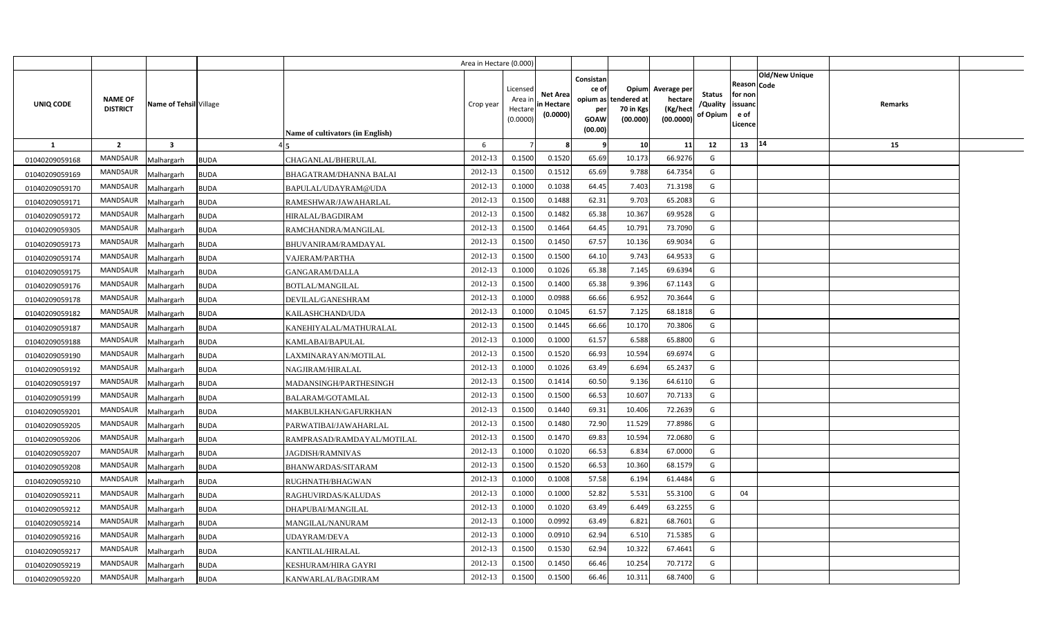|                |                                   |                           |                                  | Area in Hectare (0.000) |                                            |                                           |                                                                 |                                               |                                                 |                                       |                                                             |                       |         |  |
|----------------|-----------------------------------|---------------------------|----------------------------------|-------------------------|--------------------------------------------|-------------------------------------------|-----------------------------------------------------------------|-----------------------------------------------|-------------------------------------------------|---------------------------------------|-------------------------------------------------------------|-----------------------|---------|--|
| UNIQ CODE      | <b>NAME OF</b><br><b>DISTRICT</b> | Name of Tehsil Village    | Name of cultivators (in English) | Crop year               | Licensed<br>Area in<br>Hectare<br>(0.0000) | <b>Net Area</b><br>in Hectare<br>(0.0000) | Consistan<br>ce of<br>opium as<br>per<br><b>GOAW</b><br>(00.00) | Opium<br>tendered at<br>70 in Kgs<br>(00.000) | Average per<br>hectare<br>(Kg/hect<br>(00.0000) | <b>Status</b><br>/Quality<br>of Opium | <b>Reason Code</b><br>for non<br>issuand<br>e of<br>Licence | <b>Old/New Unique</b> | Remarks |  |
| $\mathbf{1}$   | $\overline{2}$                    | $\overline{\mathbf{3}}$   |                                  | 6                       |                                            |                                           |                                                                 | 10                                            | 11                                              | 12                                    | 13   14                                                     |                       | 15      |  |
| 01040209059168 | <b>MANDSAUR</b>                   | Malhargarh<br><b>BUDA</b> | CHAGANLAL/BHERULAL               | 2012-13                 | 0.1500                                     | 0.1520                                    | 65.69                                                           | 10.173                                        | 66.9276                                         | G                                     |                                                             |                       |         |  |
| 01040209059169 | <b>MANDSAUR</b>                   | Malhargarh<br><b>BUDA</b> | BHAGATRAM/DHANNA BALAI           | 2012-13                 | 0.1500                                     | 0.1512                                    | 65.69                                                           | 9.788                                         | 64.7354                                         | G                                     |                                                             |                       |         |  |
| 01040209059170 | <b>MANDSAUR</b>                   | Malhargarh<br><b>BUDA</b> | BAPULAL/UDAYRAM@UDA              | 2012-13                 | 0.1000                                     | 0.1038                                    | 64.45                                                           | 7.403                                         | 71.3198                                         | G                                     |                                                             |                       |         |  |
| 01040209059171 | <b>MANDSAUR</b>                   | Malhargarh<br><b>BUDA</b> | RAMESHWAR/JAWAHARLAL             | 2012-13                 | 0.1500                                     | 0.1488                                    | 62.31                                                           | 9.703                                         | 65.2083                                         | G                                     |                                                             |                       |         |  |
| 01040209059172 | <b>MANDSAUR</b>                   | Malhargarh<br><b>BUDA</b> | <b>HIRALAL/BAGDIRAM</b>          | 2012-13                 | 0.1500                                     | 0.1482                                    | 65.38                                                           | 10.367                                        | 69.9528                                         | G                                     |                                                             |                       |         |  |
| 01040209059305 | <b>MANDSAUR</b>                   | Malhargarh<br><b>BUDA</b> | RAMCHANDRA/MANGILAL              | 2012-13                 | 0.1500                                     | 0.1464                                    | 64.45                                                           | 10.791                                        | 73.7090                                         | G                                     |                                                             |                       |         |  |
| 01040209059173 | <b>MANDSAUR</b>                   | Malhargarh<br><b>BUDA</b> | BHUVANIRAM/RAMDAYAL              | 2012-13                 | 0.1500                                     | 0.1450                                    | 67.57                                                           | 10.136                                        | 69.9034                                         | G                                     |                                                             |                       |         |  |
| 01040209059174 | <b>MANDSAUR</b>                   | Malhargarh<br><b>BUDA</b> | VAJERAM/PARTHA                   | 2012-13                 | 0.1500                                     | 0.1500                                    | 64.10                                                           | 9.743                                         | 64.9533                                         | G                                     |                                                             |                       |         |  |
| 01040209059175 | <b>MANDSAUR</b>                   | Malhargarh<br><b>BUDA</b> | <b>GANGARAM/DALLA</b>            | 2012-13                 | 0.1000                                     | 0.1026                                    | 65.38                                                           | 7.145                                         | 69.6394                                         | G                                     |                                                             |                       |         |  |
| 01040209059176 | <b>MANDSAUR</b>                   | <b>BUDA</b><br>Malhargarh | <b>BOTLAL/MANGILAL</b>           | 2012-13                 | 0.1500                                     | 0.1400                                    | 65.38                                                           | 9.396                                         | 67.1143                                         | G                                     |                                                             |                       |         |  |
| 01040209059178 | <b>MANDSAUR</b>                   | Malhargarh<br><b>BUDA</b> | DEVILAL/GANESHRAM                | 2012-13                 | 0.1000                                     | 0.0988                                    | 66.66                                                           | 6.952                                         | 70.3644                                         | G                                     |                                                             |                       |         |  |
| 01040209059182 | <b>MANDSAUR</b>                   | Malhargarh<br><b>BUDA</b> | KAILASHCHAND/UDA                 | 2012-13                 | 0.1000                                     | 0.1045                                    | 61.57                                                           | 7.125                                         | 68.1818                                         | G                                     |                                                             |                       |         |  |
| 01040209059187 | MANDSAUR                          | Malhargarh<br><b>BUDA</b> | KANEHIYALAL/MATHURALAL           | 2012-13                 | 0.1500                                     | 0.1445                                    | 66.66                                                           | 10.170                                        | 70.3806                                         | G                                     |                                                             |                       |         |  |
| 01040209059188 | MANDSAUR                          | <b>BUDA</b><br>Malhargarh | KAMLABAI/BAPULAL                 | 2012-13                 | 0.1000                                     | 0.1000                                    | 61.57                                                           | 6.588                                         | 65.8800                                         | G                                     |                                                             |                       |         |  |
| 01040209059190 | MANDSAUR                          | Malhargarh<br><b>BUDA</b> | LAXMINARAYAN/MOTILAL             | 2012-13                 | 0.1500                                     | 0.1520                                    | 66.93                                                           | 10.594                                        | 69.6974                                         | G                                     |                                                             |                       |         |  |
| 01040209059192 | MANDSAUR                          | Malhargarh<br><b>BUDA</b> | NAGJIRAM/HIRALAL                 | 2012-13                 | 0.1000                                     | 0.1026                                    | 63.49                                                           | 6.694                                         | 65.2437                                         | G                                     |                                                             |                       |         |  |
| 01040209059197 | <b>MANDSAUR</b>                   | Malhargarh<br><b>BUDA</b> | MADANSINGH/PARTHESINGH           | 2012-13                 | 0.1500                                     | 0.1414                                    | 60.50                                                           | 9.136                                         | 64.6110                                         | G                                     |                                                             |                       |         |  |
| 01040209059199 | <b>MANDSAUR</b>                   | Malhargarh<br><b>BUDA</b> | <b>BALARAM/GOTAMLAL</b>          | 2012-13                 | 0.1500                                     | 0.1500                                    | 66.53                                                           | 10.607                                        | 70.7133                                         | G                                     |                                                             |                       |         |  |
| 01040209059201 | <b>MANDSAUR</b>                   | Malhargarh<br><b>BUDA</b> | MAKBULKHAN/GAFURKHAN             | 2012-13                 | 0.1500                                     | 0.1440                                    | 69.31                                                           | 10.406                                        | 72.2639                                         | G                                     |                                                             |                       |         |  |
| 01040209059205 | <b>MANDSAUR</b>                   | Malhargarh<br><b>BUDA</b> | PARWATIBAI/JAWAHARLAL            | 2012-13                 | 0.1500                                     | 0.1480                                    | 72.90                                                           | 11.529                                        | 77.8986                                         | G                                     |                                                             |                       |         |  |
| 01040209059206 | MANDSAUR                          | Malhargarh<br><b>BUDA</b> | RAMPRASAD/RAMDAYAL/MOTILAL       | 2012-13                 | 0.1500                                     | 0.1470                                    | 69.83                                                           | 10.594                                        | 72.0680                                         | G                                     |                                                             |                       |         |  |
| 01040209059207 | <b>MANDSAUR</b>                   | Malhargarh<br><b>BUDA</b> | JAGDISH/RAMNIVAS                 | 2012-13                 | 0.1000                                     | 0.1020                                    | 66.53                                                           | 6.834                                         | 67.0000                                         | G                                     |                                                             |                       |         |  |
| 01040209059208 | <b>MANDSAUR</b>                   | Malhargarh<br><b>BUDA</b> | BHANWARDAS/SITARAM               | 2012-13                 | 0.1500                                     | 0.1520                                    | 66.53                                                           | 10.360                                        | 68.1579                                         | G                                     |                                                             |                       |         |  |
| 01040209059210 | <b>MANDSAUR</b>                   | <b>BUDA</b><br>Malhargarh | RUGHNATH/BHAGWAN                 | 2012-13                 | 0.1000                                     | 0.1008                                    | 57.58                                                           | 6.194                                         | 61.4484                                         | G                                     |                                                             |                       |         |  |
| 01040209059211 | <b>MANDSAUR</b>                   | Malhargarh<br><b>BUDA</b> | RAGHUVIRDAS/KALUDAS              | 2012-13                 | 0.1000                                     | 0.1000                                    | 52.82                                                           | 5.531                                         | 55.3100                                         | G                                     | 04                                                          |                       |         |  |
| 01040209059212 | <b>MANDSAUR</b>                   | Malhargarh<br><b>BUDA</b> | DHAPUBAI/MANGILAL                | 2012-13                 | 0.1000                                     | 0.1020                                    | 63.49                                                           | 6.449                                         | 63.2255                                         | G                                     |                                                             |                       |         |  |
| 01040209059214 | <b>MANDSAUR</b>                   | Malhargarh<br><b>BUDA</b> | MANGILAL/NANURAM                 | 2012-13                 | 0.1000                                     | 0.0992                                    | 63.49                                                           | 6.821                                         | 68.7601                                         | G                                     |                                                             |                       |         |  |
| 01040209059216 | <b>MANDSAUR</b>                   | <b>BUDA</b><br>Malhargarh | UDAYRAM/DEVA                     | 2012-13                 | 0.1000                                     | 0.0910                                    | 62.94                                                           | 6.510                                         | 71.5385                                         | G                                     |                                                             |                       |         |  |
| 01040209059217 | <b>MANDSAUR</b>                   | Malhargarh<br><b>BUDA</b> | KANTILAL/HIRALAL                 | 2012-13                 | 0.1500                                     | 0.1530                                    | 62.94                                                           | 10.322                                        | 67.4641                                         | G                                     |                                                             |                       |         |  |
| 01040209059219 | <b>MANDSAUR</b>                   | Malhargarh<br><b>BUDA</b> | KESHURAM/HIRA GAYRI              | 2012-13                 | 0.1500                                     | 0.1450                                    | 66.46                                                           | 10.254                                        | 70.7172                                         | G                                     |                                                             |                       |         |  |
| 01040209059220 | <b>MANDSAUR</b>                   | Malhargarh<br><b>BUDA</b> | KANWARLAL/BAGDIRAM               | 2012-13                 | 0.1500                                     | 0.1500                                    | 66.46                                                           | 10.311                                        | 68.7400                                         | G                                     |                                                             |                       |         |  |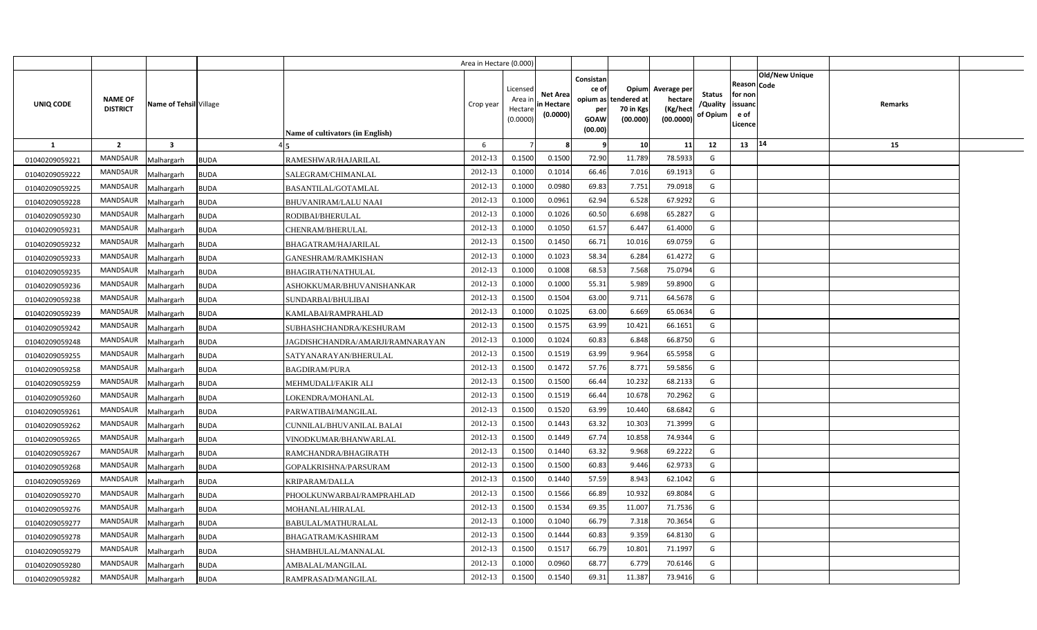|                |                                   |                         |             |                                         | Area in Hectare (0.000) |                                            |                                           |                                                          |                                               |                                                 |                                       |                                                 |                        |         |  |
|----------------|-----------------------------------|-------------------------|-------------|-----------------------------------------|-------------------------|--------------------------------------------|-------------------------------------------|----------------------------------------------------------|-----------------------------------------------|-------------------------------------------------|---------------------------------------|-------------------------------------------------|------------------------|---------|--|
| UNIQ CODE      | <b>NAME OF</b><br><b>DISTRICT</b> | Name of Tehsil Village  |             | <b>Name of cultivators (in English)</b> | Crop year               | Licensed<br>Area in<br>Hectare<br>(0.0000) | <b>Net Area</b><br>in Hectare<br>(0.0000) | Consistan<br>ce of<br>opium as<br>per<br>GOAW<br>(00.00) | Opium<br>tendered at<br>70 in Kgs<br>(00.000) | Average per<br>hectare<br>(Kg/hect<br>(00.0000) | <b>Status</b><br>/Quality<br>of Opium | Reason<br>for non<br>issuand<br>e of<br>Licence | Old/New Unique<br>Code | Remarks |  |
| 1              | $\overline{2}$                    | $\overline{\mathbf{3}}$ |             |                                         | 6                       |                                            |                                           |                                                          | 10                                            | 11                                              | 12                                    | 13   14                                         |                        | 15      |  |
| 01040209059221 | <b>MANDSAUR</b>                   | Malhargarh              | <b>BUDA</b> | RAMESHWAR/HAJARILAL                     | 2012-13                 | 0.1500                                     | 0.1500                                    | 72.90                                                    | 11.789                                        | 78.5933                                         | G                                     |                                                 |                        |         |  |
| 01040209059222 | <b>MANDSAUR</b>                   | Malhargarh              | <b>BUDA</b> | SALEGRAM/CHIMANLAL                      | 2012-13                 | 0.1000                                     | 0.1014                                    | 66.46                                                    | 7.016                                         | 69.1913                                         | G                                     |                                                 |                        |         |  |
| 01040209059225 | <b>MANDSAUR</b>                   | Malhargarh              | <b>BUDA</b> | <b>BASANTILAL/GOTAMLAL</b>              | 2012-13                 | 0.1000                                     | 0.0980                                    | 69.83                                                    | 7.751                                         | 79.0918                                         | G                                     |                                                 |                        |         |  |
| 01040209059228 | <b>MANDSAUR</b>                   | Malhargarh              | <b>BUDA</b> | BHUVANIRAM/LALU NAAI                    | 2012-13                 | 0.1000                                     | 0.0961                                    | 62.94                                                    | 6.528                                         | 67.9292                                         | G                                     |                                                 |                        |         |  |
| 01040209059230 | <b>MANDSAUR</b>                   | Malhargarh              | <b>BUDA</b> | RODIBAI/BHERULAL                        | 2012-13                 | 0.1000                                     | 0.1026                                    | 60.50                                                    | 6.698                                         | 65.2827                                         | G                                     |                                                 |                        |         |  |
| 01040209059231 | <b>MANDSAUR</b>                   | Malhargarh              | <b>BUDA</b> | CHENRAM/BHERULAL                        | 2012-13                 | 0.1000                                     | 0.1050                                    | 61.57                                                    | 6.447                                         | 61.4000                                         | G                                     |                                                 |                        |         |  |
| 01040209059232 | <b>MANDSAUR</b>                   | Malhargarh              | <b>BUDA</b> | BHAGATRAM/HAJARILAL                     | 2012-13                 | 0.1500                                     | 0.1450                                    | 66.71                                                    | 10.016                                        | 69.0759                                         | G                                     |                                                 |                        |         |  |
| 01040209059233 | <b>MANDSAUR</b>                   | Malhargarh              | <b>BUDA</b> | GANESHRAM/RAMKISHAN                     | 2012-13                 | 0.1000                                     | 0.1023                                    | 58.34                                                    | 6.284                                         | 61.4272                                         | G                                     |                                                 |                        |         |  |
| 01040209059235 | MANDSAUR                          | Malhargarh              | <b>BUDA</b> | <b>BHAGIRATH/NATHULAL</b>               | 2012-13                 | 0.1000                                     | 0.1008                                    | 68.53                                                    | 7.568                                         | 75.0794                                         | G                                     |                                                 |                        |         |  |
| 01040209059236 | <b>MANDSAUR</b>                   | Malhargarh              | <b>BUDA</b> | ASHOKKUMAR/BHUVANISHANKAR               | 2012-13                 | 0.1000                                     | 0.1000                                    | 55.31                                                    | 5.989                                         | 59.8900                                         | G                                     |                                                 |                        |         |  |
| 01040209059238 | <b>MANDSAUR</b>                   | Malhargarh              | <b>BUDA</b> | SUNDARBAI/BHULIBAI                      | 2012-13                 | 0.1500                                     | 0.1504                                    | 63.00                                                    | 9.711                                         | 64.5678                                         | G                                     |                                                 |                        |         |  |
| 01040209059239 | <b>MANDSAUR</b>                   | Malhargarh              | <b>BUDA</b> | KAMLABAI/RAMPRAHLAD                     | 2012-13                 | 0.1000                                     | 0.1025                                    | 63.00                                                    | 6.669                                         | 65.0634                                         | G                                     |                                                 |                        |         |  |
| 01040209059242 | <b>MANDSAUR</b>                   | Malhargarh              | <b>BUDA</b> | SUBHASHCHANDRA/KESHURAM                 | 2012-13                 | 0.1500                                     | 0.1575                                    | 63.99                                                    | 10.421                                        | 66.1651                                         | G                                     |                                                 |                        |         |  |
| 01040209059248 | <b>MANDSAUR</b>                   | Malhargarh              | <b>BUDA</b> | JAGDISHCHANDRA/AMARJI/RAMNARAYAN        | 2012-13                 | 0.1000                                     | 0.1024                                    | 60.83                                                    | 6.848                                         | 66.8750                                         | G                                     |                                                 |                        |         |  |
| 01040209059255 | <b>MANDSAUR</b>                   | Malhargarh              | <b>BUDA</b> | SATYANARAYAN/BHERULAL                   | 2012-13                 | 0.1500                                     | 0.1519                                    | 63.99                                                    | 9.964                                         | 65.5958                                         | G                                     |                                                 |                        |         |  |
| 01040209059258 | <b>MANDSAUR</b>                   | Malhargarh              | <b>BUDA</b> | <b>BAGDIRAM/PURA</b>                    | 2012-13                 | 0.1500                                     | 0.1472                                    | 57.76                                                    | 8.771                                         | 59.5856                                         | G                                     |                                                 |                        |         |  |
| 01040209059259 | <b>MANDSAUR</b>                   | Malhargarh              | <b>BUDA</b> | MEHMUDALI/FAKIR ALI                     | 2012-13                 | 0.1500                                     | 0.1500                                    | 66.44                                                    | 10.232                                        | 68.2133                                         | G                                     |                                                 |                        |         |  |
| 01040209059260 | <b>MANDSAUR</b>                   | Malhargarh              | <b>BUDA</b> | LOKENDRA/MOHANLAL                       | 2012-13                 | 0.1500                                     | 0.1519                                    | 66.44                                                    | 10.678                                        | 70.2962                                         | G                                     |                                                 |                        |         |  |
| 01040209059261 | <b>MANDSAUR</b>                   | Malhargarh              | <b>BUDA</b> | PARWATIBAI/MANGILAL                     | 2012-13                 | 0.1500                                     | 0.1520                                    | 63.99                                                    | 10.440                                        | 68.6842                                         | G                                     |                                                 |                        |         |  |
| 01040209059262 | <b>MANDSAUR</b>                   | Malhargarh              | <b>BUDA</b> | CUNNILAL/BHUVANILAL BALAI               | 2012-13                 | 0.1500                                     | 0.1443                                    | 63.32                                                    | 10.303                                        | 71.3999                                         | G                                     |                                                 |                        |         |  |
| 01040209059265 | <b>MANDSAUR</b>                   | Malhargarh              | <b>BUDA</b> | VINODKUMAR/BHANWARLAL                   | 2012-13                 | 0.1500                                     | 0.1449                                    | 67.74                                                    | 10.858                                        | 74.9344                                         | G                                     |                                                 |                        |         |  |
| 01040209059267 | <b>MANDSAUR</b>                   | Malhargarh              | <b>BUDA</b> | RAMCHANDRA/BHAGIRATH                    | 2012-13                 | 0.1500                                     | 0.1440                                    | 63.32                                                    | 9.968                                         | 69.2222                                         | G                                     |                                                 |                        |         |  |
| 01040209059268 | MANDSAUR                          | Malhargarh              | <b>BUDA</b> | GOPALKRISHNA/PARSURAM                   | 2012-13                 | 0.1500                                     | 0.1500                                    | 60.83                                                    | 9.446                                         | 62.9733                                         | G                                     |                                                 |                        |         |  |
| 01040209059269 | <b>MANDSAUR</b>                   | Malhargarh              | <b>BUDA</b> | KRIPARAM/DALLA                          | 2012-13                 | 0.1500                                     | 0.1440                                    | 57.59                                                    | 8.943                                         | 62.1042                                         | G                                     |                                                 |                        |         |  |
| 01040209059270 | <b>MANDSAUR</b>                   | Malhargarh              | <b>BUDA</b> | PHOOLKUNWARBAI/RAMPRAHLAD               | 2012-13                 | 0.1500                                     | 0.1566                                    | 66.89                                                    | 10.932                                        | 69.8084                                         | G                                     |                                                 |                        |         |  |
| 01040209059276 | <b>MANDSAUR</b>                   | Malhargarh              | <b>BUDA</b> | MOHANLAL/HIRALAL                        | 2012-13                 | 0.1500                                     | 0.1534                                    | 69.35                                                    | 11.007                                        | 71.7536                                         | G                                     |                                                 |                        |         |  |
| 01040209059277 | <b>MANDSAUR</b>                   | Malhargarh              | <b>BUDA</b> | BABULAL/MATHURALAL                      | 2012-13                 | 0.1000                                     | 0.1040                                    | 66.79                                                    | 7.318                                         | 70.3654                                         | G                                     |                                                 |                        |         |  |
| 01040209059278 | <b>MANDSAUR</b>                   | Malhargarh              | <b>BUDA</b> | BHAGATRAM/KASHIRAM                      | 2012-13                 | 0.1500                                     | 0.1444                                    | 60.83                                                    | 9.359                                         | 64.8130                                         | G                                     |                                                 |                        |         |  |
| 01040209059279 | <b>MANDSAUR</b>                   | Malhargarh              | <b>BUDA</b> | SHAMBHULAL/MANNALAL                     | 2012-13                 | 0.1500                                     | 0.1517                                    | 66.79                                                    | 10.801                                        | 71.1997                                         | G                                     |                                                 |                        |         |  |
| 01040209059280 | <b>MANDSAUR</b>                   | Malhargarh              | <b>BUDA</b> | AMBALAL/MANGILAL                        | 2012-13                 | 0.1000                                     | 0.0960                                    | 68.77                                                    | 6.779                                         | 70.6146                                         | G                                     |                                                 |                        |         |  |
| 01040209059282 | <b>MANDSAUR</b>                   | Malhargarh              | <b>BUDA</b> | RAMPRASAD/MANGILAL                      | 2012-13                 | 0.1500                                     | 0.1540                                    | 69.31                                                    | 11.387                                        | 73.9416                                         | G                                     |                                                 |                        |         |  |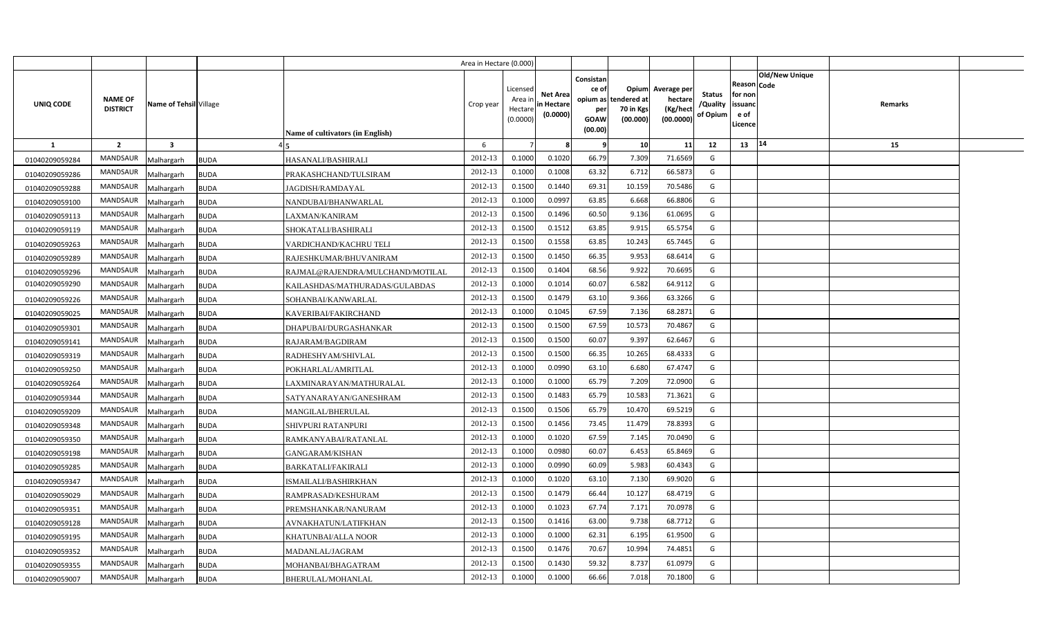|                |                                   |                           |                                  | Area in Hectare (0.000) |                                            |                                           |                                                                             |                                |                                                 |                                       |                                                      |                       |         |  |
|----------------|-----------------------------------|---------------------------|----------------------------------|-------------------------|--------------------------------------------|-------------------------------------------|-----------------------------------------------------------------------------|--------------------------------|-------------------------------------------------|---------------------------------------|------------------------------------------------------|-----------------------|---------|--|
| UNIQ CODE      | <b>NAME OF</b><br><b>DISTRICT</b> | Name of Tehsil Village    | Name of cultivators (in English) | Crop year               | Licensed<br>Area ir<br>Hectare<br>(0.0000) | <b>Net Area</b><br>in Hectare<br>(0.0000) | Consistan<br>ce of<br>opium as tendered at<br>per<br><b>GOAW</b><br>(00.00) | Opium<br>70 in Kgs<br>(00.000) | Average per<br>hectare<br>(Kg/hect<br>(00.0000) | <b>Status</b><br>/Quality<br>of Opium | Reason Code<br>for non<br>issuanc<br>e of<br>Licence | <b>Old/New Unique</b> | Remarks |  |
| $\mathbf{1}$   | $\overline{2}$                    | $\overline{\mathbf{3}}$   |                                  | 6                       |                                            |                                           | - 9                                                                         | 10                             | 11                                              | 12                                    | 13                                                   | 14                    | 15      |  |
| 01040209059284 | <b>MANDSAUR</b>                   | Malhargarh<br><b>BUDA</b> | HASANALI/BASHIRALI               | 2012-13                 | 0.1000                                     | 0.1020                                    | 66.79                                                                       | 7.309                          | 71.6569                                         | G                                     |                                                      |                       |         |  |
| 01040209059286 | <b>MANDSAUR</b>                   | <b>BUDA</b><br>Malhargarh | PRAKASHCHAND/TULSIRAM            | 2012-13                 | 0.1000                                     | 0.1008                                    | 63.32                                                                       | 6.712                          | 66.5873                                         | G                                     |                                                      |                       |         |  |
| 01040209059288 | <b>MANDSAUR</b>                   | Malhargarh<br><b>BUDA</b> | JAGDISH/RAMDAYAL                 | 2012-13                 | 0.1500                                     | 0.1440                                    | 69.31                                                                       | 10.159                         | 70.5486                                         | G                                     |                                                      |                       |         |  |
| 01040209059100 | <b>MANDSAUR</b>                   | Malhargarh<br><b>BUDA</b> | NANDUBAI/BHANWARLAL              | 2012-13                 | 0.1000                                     | 0.099                                     | 63.85                                                                       | 6.668                          | 66.8806                                         | G                                     |                                                      |                       |         |  |
| 01040209059113 | <b>MANDSAUR</b>                   | Malhargarh<br><b>BUDA</b> | LAXMAN/KANIRAM                   | 2012-13                 | 0.1500                                     | 0.1496                                    | 60.50                                                                       | 9.136                          | 61.0695                                         | G                                     |                                                      |                       |         |  |
| 01040209059119 | <b>MANDSAUR</b>                   | <b>BUDA</b><br>Malhargarh | SHOKATALI/BASHIRALI              | 2012-13                 | 0.1500                                     | 0.151                                     | 63.85                                                                       | 9.915                          | 65.5754                                         | G                                     |                                                      |                       |         |  |
| 01040209059263 | <b>MANDSAUR</b>                   | Malhargarh<br><b>BUDA</b> | VARDICHAND/KACHRU TELI           | 2012-13                 | 0.1500                                     | 0.1558                                    | 63.85                                                                       | 10.243                         | 65.7445                                         | G                                     |                                                      |                       |         |  |
| 01040209059289 | <b>MANDSAUR</b>                   | Malhargarh<br><b>BUDA</b> | RAJESHKUMAR/BHUVANIRAM           | 2012-13                 | 0.1500                                     | 0.1450                                    | 66.35                                                                       | 9.953                          | 68.6414                                         | G                                     |                                                      |                       |         |  |
| 01040209059296 | <b>MANDSAUR</b>                   | Malhargarh<br><b>BUDA</b> | RAJMAL@RAJENDRA/MULCHAND/MOTILAL | 2012-13                 | 0.1500                                     | 0.1404                                    | 68.56                                                                       | 9.922                          | 70.6695                                         | G                                     |                                                      |                       |         |  |
| 01040209059290 | <b>MANDSAUR</b>                   | Malhargarh<br><b>BUDA</b> | KAILASHDAS/MATHURADAS/GULABDAS   | 2012-13                 | 0.1000                                     | 0.1014                                    | 60.07                                                                       | 6.582                          | 64.9112                                         | G                                     |                                                      |                       |         |  |
| 01040209059226 | MANDSAUR                          | Malhargarh<br><b>BUDA</b> | SOHANBAI/KANWARLAL               | 2012-13                 | 0.1500                                     | 0.1479                                    | 63.10                                                                       | 9.366                          | 63.3266                                         | G                                     |                                                      |                       |         |  |
| 01040209059025 | <b>MANDSAUR</b>                   | Malhargarh<br><b>BUDA</b> | KAVERIBAI/FAKIRCHAND             | 2012-13                 | 0.1000                                     | 0.1045                                    | 67.59                                                                       | 7.136                          | 68.2871                                         | G                                     |                                                      |                       |         |  |
| 01040209059301 | MANDSAUR                          | Malhargarh<br><b>BUDA</b> | DHAPUBAI/DURGASHANKAR            | 2012-13                 | 0.1500                                     | 0.1500                                    | 67.59                                                                       | 10.573                         | 70.4867                                         | G                                     |                                                      |                       |         |  |
| 01040209059141 | <b>MANDSAUR</b>                   | Malhargarh<br><b>BUDA</b> | RAJARAM/BAGDIRAM                 | 2012-13                 | 0.1500                                     | 0.1500                                    | 60.07                                                                       | 9.397                          | 62.6467                                         | G                                     |                                                      |                       |         |  |
| 01040209059319 | MANDSAUR                          | Malhargarh<br><b>BUDA</b> | RADHESHYAM/SHIVLAL               | 2012-13                 | 0.1500                                     | 0.1500                                    | 66.35                                                                       | 10.265                         | 68.4333                                         | G                                     |                                                      |                       |         |  |
| 01040209059250 | MANDSAUR                          | Malhargarh<br><b>BUDA</b> | POKHARLAL/AMRITLAL               | 2012-13                 | 0.1000                                     | 0.0990                                    | 63.10                                                                       | 6.680                          | 67.4747                                         | G                                     |                                                      |                       |         |  |
| 01040209059264 | MANDSAUR                          | <b>BUDA</b><br>Malhargarh | LAXMINARAYAN/MATHURALAL          | 2012-13                 | 0.1000                                     | 0.1000                                    | 65.79                                                                       | 7.209                          | 72.0900                                         | G                                     |                                                      |                       |         |  |
| 01040209059344 | MANDSAUR                          | Malhargarh<br><b>BUDA</b> | SATYANARAYAN/GANESHRAM           | 2012-13                 | 0.1500                                     | 0.1483                                    | 65.79                                                                       | 10.583                         | 71.3621                                         | G                                     |                                                      |                       |         |  |
| 01040209059209 | <b>MANDSAUR</b>                   | Malhargarh<br><b>BUDA</b> | MANGILAL/BHERULAL                | 2012-13                 | 0.1500                                     | 0.1506                                    | 65.79                                                                       | 10.470                         | 69.5219                                         | G                                     |                                                      |                       |         |  |
| 01040209059348 | MANDSAUR                          | Malhargarh<br><b>BUDA</b> | <b>SHIVPURI RATANPURI</b>        | 2012-13                 | 0.1500                                     | 0.1456                                    | 73.45                                                                       | 11.479                         | 78.8393                                         | G                                     |                                                      |                       |         |  |
| 01040209059350 | MANDSAUR                          | Malhargarh<br><b>BUDA</b> | RAMKANYABAI/RATANLAL             | 2012-13                 | 0.1000                                     | 0.1020                                    | 67.59                                                                       | 7.145                          | 70.0490                                         | G                                     |                                                      |                       |         |  |
| 01040209059198 | MANDSAUR                          | <b>BUDA</b><br>Malhargarh | <b>GANGARAM/KISHAN</b>           | 2012-13                 | 0.1000                                     | 0.0980                                    | 60.07                                                                       | 6.453                          | 65.8469                                         | G                                     |                                                      |                       |         |  |
| 01040209059285 | MANDSAUR                          | Malhargarh<br><b>BUDA</b> | <b>BARKATALI/FAKIRALI</b>        | 2012-13                 | 0.1000                                     | 0.0990                                    | 60.09                                                                       | 5.983                          | 60.4343                                         | G                                     |                                                      |                       |         |  |
| 01040209059347 | MANDSAUR                          | <b>BUDA</b><br>Malhargarh | ISMAILALI/BASHIRKHAN             | 2012-13                 | 0.1000                                     | 0.1020                                    | 63.10                                                                       | 7.130                          | 69.9020                                         | G                                     |                                                      |                       |         |  |
| 01040209059029 | MANDSAUR                          | Malhargarh<br><b>BUDA</b> | RAMPRASAD/KESHURAM               | 2012-13                 | 0.1500                                     | 0.1479                                    | 66.44                                                                       | 10.127                         | 68.4719                                         | G                                     |                                                      |                       |         |  |
| 01040209059351 | MANDSAUR                          | Malhargarh<br><b>BUDA</b> | PREMSHANKAR/NANURAM              | 2012-13                 | 0.1000                                     | 0.1023                                    | 67.74                                                                       | 7.171                          | 70.0978                                         | G                                     |                                                      |                       |         |  |
| 01040209059128 | <b>MANDSAUR</b>                   | Malhargarh<br><b>BUDA</b> | AVNAKHATUN/LATIFKHAN             | 2012-13                 | 0.1500                                     | 0.1416                                    | 63.00                                                                       | 9.738                          | 68.7712                                         | G                                     |                                                      |                       |         |  |
| 01040209059195 | <b>MANDSAUR</b>                   | <b>BUDA</b><br>Malhargarh | KHATUNBAI/ALLA NOOR              | 2012-13                 | 0.1000                                     | 0.1000                                    | 62.31                                                                       | 6.195                          | 61.9500                                         | G                                     |                                                      |                       |         |  |
| 01040209059352 | MANDSAUR                          | Malhargarh<br><b>BUDA</b> | MADANLAL/JAGRAM                  | 2012-13                 | 0.1500                                     | 0.1476                                    | 70.67                                                                       | 10.994                         | 74.4851                                         | G                                     |                                                      |                       |         |  |
| 01040209059355 | <b>MANDSAUR</b>                   | Malhargarh<br><b>BUDA</b> | MOHANBAI/BHAGATRAM               | 2012-13                 | 0.1500                                     | 0.1430                                    | 59.32                                                                       | 8.737                          | 61.0979                                         | G                                     |                                                      |                       |         |  |
| 01040209059007 | <b>MANDSAUR</b>                   | Malhargarh<br><b>BUDA</b> | BHERULAL/MOHANLAL                | 2012-13                 | 0.1000                                     | 0.1000                                    | 66.66                                                                       | 7.018                          | 70.1800                                         | G                                     |                                                      |                       |         |  |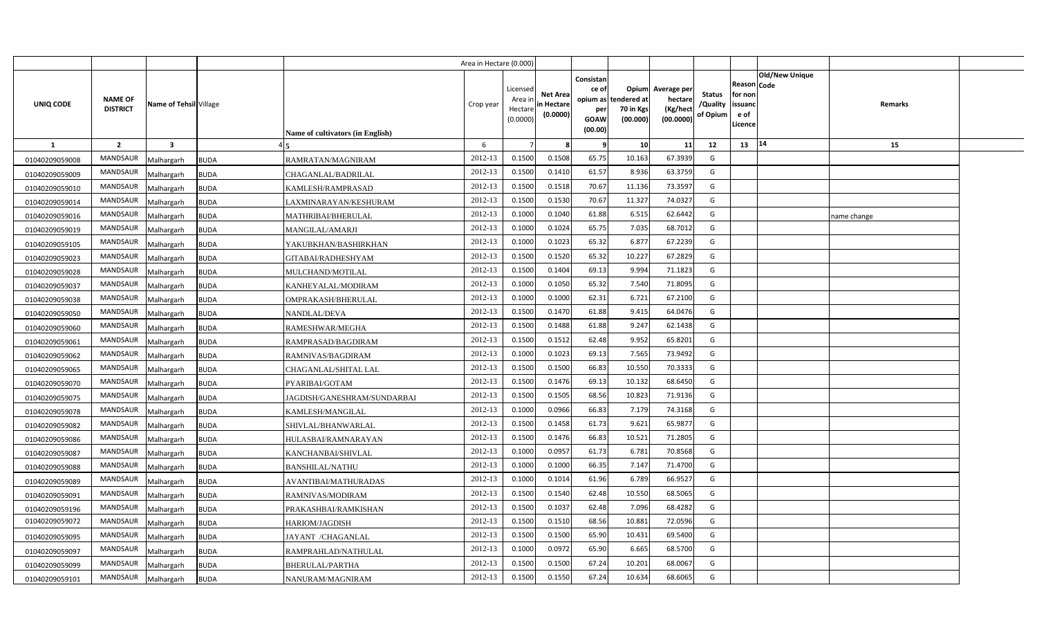|                |                                   |                        |             |                                         | Area in Hectare (0.000) |                                            |                                           |                                                                 |                                               |                                                 |                                       |                                                             |                       |             |  |
|----------------|-----------------------------------|------------------------|-------------|-----------------------------------------|-------------------------|--------------------------------------------|-------------------------------------------|-----------------------------------------------------------------|-----------------------------------------------|-------------------------------------------------|---------------------------------------|-------------------------------------------------------------|-----------------------|-------------|--|
| UNIQ CODE      | <b>NAME OF</b><br><b>DISTRICT</b> | Name of Tehsil Village |             | <b>Name of cultivators (in English)</b> | Crop year               | Licensed<br>Area ir<br>Hectare<br>(0.0000) | <b>Net Area</b><br>in Hectare<br>(0.0000) | Consistan<br>ce of<br>opium as<br>per<br><b>GOAW</b><br>(00.00) | Opium<br>tendered at<br>70 in Kgs<br>(00.000) | Average per<br>hectare<br>(Kg/hect<br>(00.0000) | <b>Status</b><br>/Quality<br>of Opium | <b>Reason Code</b><br>for non<br>issuand<br>e of<br>Licence | <b>Old/New Unique</b> | Remarks     |  |
| <b>1</b>       | $\overline{2}$                    | $\mathbf{3}$           |             |                                         | 6                       |                                            |                                           | - 9                                                             | 10                                            | 11                                              | 12                                    | 13                                                          | 14                    | 15          |  |
| 01040209059008 | <b>MANDSAUR</b>                   | Malhargarh             | <b>BUDA</b> | RAMRATAN/MAGNIRAM                       | 2012-13                 | 0.1500                                     | 0.1508                                    | 65.75                                                           | 10.163                                        | 67.3939                                         | G                                     |                                                             |                       |             |  |
| 01040209059009 | <b>MANDSAUR</b>                   | Malhargarh             | <b>BUDA</b> | CHAGANLAL/BADRILAL                      | 2012-13                 | 0.1500                                     | 0.1410                                    | 61.57                                                           | 8.936                                         | 63.3759                                         | G                                     |                                                             |                       |             |  |
| 01040209059010 | MANDSAUR                          | Malhargarh             | <b>BUDA</b> | KAMLESH/RAMPRASAD                       | 2012-13                 | 0.1500                                     | 0.1518                                    | 70.67                                                           | 11.136                                        | 73.3597                                         | G                                     |                                                             |                       |             |  |
| 01040209059014 | MANDSAUR                          | Malhargarh             | <b>BUDA</b> | LAXMINARAYAN/KESHURAM                   | 2012-13                 | 0.1500                                     | 0.1530                                    | 70.67                                                           | 11.327                                        | 74.0327                                         | G                                     |                                                             |                       |             |  |
| 01040209059016 | MANDSAUR                          | Malhargarh             | <b>BUDA</b> | MATHRIBAI/BHERULAL                      | 2012-13                 | 0.1000                                     | 0.1040                                    | 61.88                                                           | 6.515                                         | 62.6442                                         | G                                     |                                                             |                       | name change |  |
| 01040209059019 | <b>MANDSAUR</b>                   | Malhargarh             | <b>BUDA</b> | MANGILAL/AMARJI                         | 2012-13                 | 0.100                                      | 0.1024                                    | 65.75                                                           | 7.035                                         | 68.7012                                         | G                                     |                                                             |                       |             |  |
| 01040209059105 | MANDSAUR                          | Malhargarh             | <b>BUDA</b> | YAKUBKHAN/BASHIRKHAN                    | 2012-13                 | 0.100                                      | 0.1023                                    | 65.32                                                           | 6.877                                         | 67.2239                                         | G                                     |                                                             |                       |             |  |
| 01040209059023 | <b>MANDSAUR</b>                   | Malhargarh             | <b>BUDA</b> | GITABAI/RADHESHYAM                      | 2012-13                 | 0.1500                                     | 0.1520                                    | 65.32                                                           | 10.227                                        | 67.2829                                         | G                                     |                                                             |                       |             |  |
| 01040209059028 | MANDSAUR                          | Malhargarh             | <b>BUDA</b> | MULCHAND/MOTILAL                        | 2012-13                 | 0.1500                                     | 0.1404                                    | 69.13                                                           | 9.994                                         | 71.1823                                         | G                                     |                                                             |                       |             |  |
| 01040209059037 | <b>MANDSAUR</b>                   | Malhargarh             | <b>BUDA</b> | KANHEYALAL/MODIRAM                      | 2012-13                 | 0.1000                                     | 0.1050                                    | 65.32                                                           | 7.540                                         | 71.8095                                         | G                                     |                                                             |                       |             |  |
| 01040209059038 | <b>MANDSAUR</b>                   | Malhargarh             | <b>BUDA</b> | OMPRAKASH/BHERULAL                      | 2012-13                 | 0.1000                                     | 0.1000                                    | 62.31                                                           | 6.721                                         | 67.2100                                         | G                                     |                                                             |                       |             |  |
| 01040209059050 | <b>MANDSAUR</b>                   | Malhargarh             | <b>BUDA</b> | NANDLAL/DEVA                            | 2012-13                 | 0.1500                                     | 0.1470                                    | 61.88                                                           | 9.415                                         | 64.0476                                         | G                                     |                                                             |                       |             |  |
| 01040209059060 | MANDSAUR                          | Malhargarh             | <b>BUDA</b> | RAMESHWAR/MEGHA                         | 2012-13                 | 0.1500                                     | 0.1488                                    | 61.88                                                           | 9.247                                         | 62.1438                                         | G                                     |                                                             |                       |             |  |
| 01040209059061 | <b>MANDSAUR</b>                   | Malhargarh             | <b>BUDA</b> | RAMPRASAD/BAGDIRAM                      | 2012-13                 | 0.1500                                     | 0.1512                                    | 62.48                                                           | 9.952                                         | 65.8201                                         | G                                     |                                                             |                       |             |  |
| 01040209059062 | <b>MANDSAUR</b>                   | Malhargarh             | <b>BUDA</b> | RAMNIVAS/BAGDIRAM                       | 2012-13                 | 0.1000                                     | 0.1023                                    | 69.13                                                           | 7.565                                         | 73.9492                                         | G                                     |                                                             |                       |             |  |
| 01040209059065 | <b>MANDSAUR</b>                   | Malhargarh             | <b>BUDA</b> | CHAGANLAL/SHITAL LAL                    | 2012-13                 | 0.1500                                     | 0.1500                                    | 66.83                                                           | 10.550                                        | 70.3333                                         | G                                     |                                                             |                       |             |  |
| 01040209059070 | <b>MANDSAUR</b>                   | Malhargarh             | <b>BUDA</b> | PYARIBAI/GOTAM                          | 2012-13                 | 0.1500                                     | 0.1476                                    | 69.13                                                           | 10.132                                        | 68.6450                                         | G                                     |                                                             |                       |             |  |
| 01040209059075 | MANDSAUR                          | Malhargarh             | <b>BUDA</b> | JAGDISH/GANESHRAM/SUNDARBAI             | 2012-13                 | 0.1500                                     | 0.1505                                    | 68.56                                                           | 10.823                                        | 71.9136                                         | G                                     |                                                             |                       |             |  |
| 01040209059078 | MANDSAUR                          | Malhargarh             | <b>BUDA</b> | KAMLESH/MANGILAL                        | 2012-13                 | 0.1000                                     | 0.0966                                    | 66.83                                                           | 7.179                                         | 74.3168                                         | G                                     |                                                             |                       |             |  |
| 01040209059082 | <b>MANDSAUR</b>                   | Malhargarh             | <b>BUDA</b> | SHIVLAL/BHANWARLAL                      | 2012-13                 | 0.1500                                     | 0.1458                                    | 61.73                                                           | 9.621                                         | 65.9877                                         | G                                     |                                                             |                       |             |  |
| 01040209059086 | MANDSAUR                          | Malhargarh             | <b>BUDA</b> | HULASBAI/RAMNARAYAN                     | 2012-13                 | 0.1500                                     | 0.1476                                    | 66.83                                                           | 10.521                                        | 71.2805                                         | G                                     |                                                             |                       |             |  |
| 01040209059087 | <b>MANDSAUR</b>                   | Malhargarh             | <b>BUDA</b> | KANCHANBAI/SHIVLAL                      | 2012-13                 | 0.1000                                     | 0.095                                     | 61.73                                                           | 6.781                                         | 70.8568                                         | G                                     |                                                             |                       |             |  |
| 01040209059088 | <b>MANDSAUR</b>                   | Malhargarh             | <b>BUDA</b> | <b>BANSHILAL/NATHU</b>                  | 2012-13                 | 0.1000                                     | 0.1000                                    | 66.35                                                           | 7.147                                         | 71.4700                                         | G                                     |                                                             |                       |             |  |
| 01040209059089 | <b>MANDSAUR</b>                   | Malhargarh             | <b>BUDA</b> | AVANTIBAI/MATHURADAS                    | 2012-13                 | 0.1000                                     | 0.1014                                    | 61.96                                                           | 6.789                                         | 66.9527                                         | G                                     |                                                             |                       |             |  |
| 01040209059091 | <b>MANDSAUR</b>                   | Malhargarh             | <b>BUDA</b> | RAMNIVAS/MODIRAM                        | 2012-13                 | 0.1500                                     | 0.1540                                    | 62.48                                                           | 10.550                                        | 68.5065                                         | G                                     |                                                             |                       |             |  |
| 01040209059196 | <b>MANDSAUR</b>                   | Malhargarh             | <b>BUDA</b> | PRAKASHBAI/RAMKISHAN                    | 2012-13                 | 0.1500                                     | 0.103                                     | 62.48                                                           | 7.096                                         | 68.4282                                         | G                                     |                                                             |                       |             |  |
| 01040209059072 | <b>MANDSAUR</b>                   | Malhargarh             | <b>BUDA</b> | HARIOM/JAGDISH                          | 2012-13                 | 0.1500                                     | 0.1510                                    | 68.56                                                           | 10.881                                        | 72.0596                                         | G                                     |                                                             |                       |             |  |
| 01040209059095 | <b>MANDSAUR</b>                   | Malhargarh             | <b>BUDA</b> | JAYANT /CHAGANLAL                       | 2012-13                 | 0.1500                                     | 0.1500                                    | 65.90                                                           | 10.431                                        | 69.5400                                         | G                                     |                                                             |                       |             |  |
| 01040209059097 | <b>MANDSAUR</b>                   | Malhargarh             | <b>BUDA</b> | RAMPRAHLAD/NATHULAL                     | 2012-13                 | 0.1000                                     | 0.0972                                    | 65.90                                                           | 6.665                                         | 68.5700                                         | G                                     |                                                             |                       |             |  |
| 01040209059099 | <b>MANDSAUR</b>                   | Malhargarh             | <b>BUDA</b> | BHERULAL/PARTHA                         | 2012-13                 | 0.1500                                     | 0.1500                                    | 67.24                                                           | 10.201                                        | 68.0067                                         | G                                     |                                                             |                       |             |  |
| 01040209059101 | MANDSAUR                          | Malhargarh             | <b>BUDA</b> | NANURAM/MAGNIRAM                        | 2012-13                 | 0.1500                                     | 0.1550                                    | 67.24                                                           | 10.634                                        | 68.6065                                         | G                                     |                                                             |                       |             |  |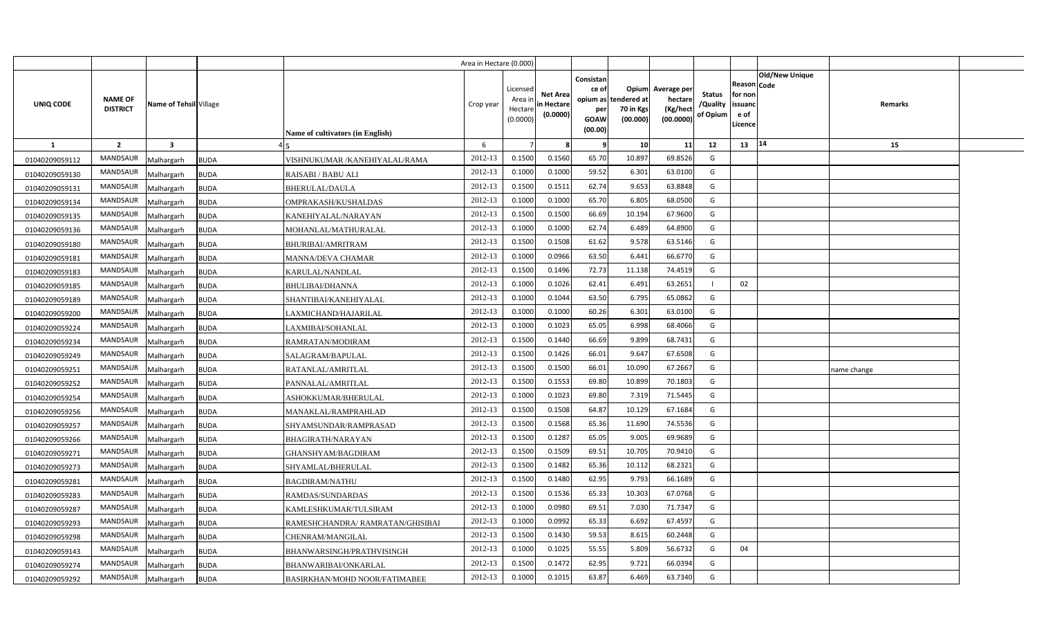|                |                                   |                           |                                  | Area in Hectare (0.000) |                                            |                                           |                                                          |                                                      |                                                 |                                       |                                                      |                       |            |  |
|----------------|-----------------------------------|---------------------------|----------------------------------|-------------------------|--------------------------------------------|-------------------------------------------|----------------------------------------------------------|------------------------------------------------------|-------------------------------------------------|---------------------------------------|------------------------------------------------------|-----------------------|------------|--|
| UNIQ CODE      | <b>NAME OF</b><br><b>DISTRICT</b> | Name of Tehsil Village    | Name of cultivators (in English) | Crop year               | Licensed<br>Area in<br>Hectare<br>(0.0000) | <b>Net Area</b><br>in Hectare<br>(0.0000) | Consistan<br>ce of<br>opium as<br>per<br>GOAW<br>(00.00) | <b>Opium</b><br>tendered at<br>70 in Kgs<br>(00.000) | Average per<br>hectare<br>(Kg/hect<br>(00.0000) | <b>Status</b><br>/Quality<br>of Opium | Reason Code<br>for non<br>issuand<br>e of<br>Licence | <b>Old/New Unique</b> | Remarks    |  |
| $\mathbf{1}$   | $\overline{2}$                    | $\overline{\mathbf{3}}$   |                                  | 6                       |                                            |                                           |                                                          | 10                                                   | 11                                              | 12                                    | 13   14                                              |                       | 15         |  |
| 01040209059112 | <b>MANDSAUR</b>                   | Malhargarh<br><b>BUDA</b> | VISHNUKUMAR / KANEHIYALAL/RAMA   | 2012-13                 | 0.1500                                     | 0.1560                                    | 65.70                                                    | 10.897                                               | 69.8526                                         | G                                     |                                                      |                       |            |  |
| 01040209059130 | <b>MANDSAUR</b>                   | <b>BUDA</b><br>Malhargarh | RAISABI / BABU ALI               | 2012-13                 | 0.1000                                     | 0.1000                                    | 59.52                                                    | 6.301                                                | 63.0100                                         | G                                     |                                                      |                       |            |  |
| 01040209059131 | <b>MANDSAUR</b>                   | Malhargarh<br><b>BUDA</b> | BHERULAL/DAULA                   | 2012-13                 | 0.1500                                     | 0.1511                                    | 62.74                                                    | 9.653                                                | 63.8848                                         | G                                     |                                                      |                       |            |  |
| 01040209059134 | <b>MANDSAUR</b>                   | Malhargarh<br><b>BUDA</b> | OMPRAKASH/KUSHALDAS              | 2012-13                 | 0.1000                                     | 0.1000                                    | 65.70                                                    | 6.805                                                | 68.0500                                         | G                                     |                                                      |                       |            |  |
| 01040209059135 | <b>MANDSAUR</b>                   | Malhargarh<br><b>BUDA</b> | KANEHIYALAL/NARAYAN              | 2012-13                 | 0.1500                                     | 0.1500                                    | 66.69                                                    | 10.194                                               | 67.9600                                         | G                                     |                                                      |                       |            |  |
| 01040209059136 | <b>MANDSAUR</b>                   | Malhargarh<br><b>BUDA</b> | MOHANLAL/MATHURALAL              | 2012-13                 | 0.1000                                     | 0.1000                                    | 62.74                                                    | 6.489                                                | 64.8900                                         | G                                     |                                                      |                       |            |  |
| 01040209059180 | <b>MANDSAUR</b>                   | Malhargarh<br><b>BUDA</b> | <b>BHURIBAI/AMRITRAM</b>         | 2012-13                 | 0.1500                                     | 0.1508                                    | 61.62                                                    | 9.578                                                | 63.5146                                         | G                                     |                                                      |                       |            |  |
| 01040209059181 | <b>MANDSAUR</b>                   | Malhargarh<br><b>BUDA</b> | <b>MANNA/DEVA CHAMAR</b>         | 2012-13                 | 0.1000                                     | 0.0966                                    | 63.50                                                    | 6.441                                                | 66.6770                                         | G                                     |                                                      |                       |            |  |
| 01040209059183 | <b>MANDSAUR</b>                   | Malhargarh<br><b>BUDA</b> | KARULAL/NANDLAL                  | 2012-13                 | 0.1500                                     | 0.1496                                    | 72.73                                                    | 11.138                                               | 74.4519                                         | G                                     |                                                      |                       |            |  |
| 01040209059185 | <b>MANDSAUR</b>                   | Malhargarh<br><b>BUDA</b> | <b>BHULIBAI/DHANNA</b>           | 2012-13                 | 0.1000                                     | 0.1026                                    | 62.41                                                    | 6.491                                                | 63.2651                                         |                                       | 02                                                   |                       |            |  |
| 01040209059189 | <b>MANDSAUR</b>                   | Malhargarh<br><b>BUDA</b> | SHANTIBAI/KANEHIYALAL            | 2012-13                 | 0.1000                                     | 0.1044                                    | 63.50                                                    | 6.795                                                | 65.0862                                         | G                                     |                                                      |                       |            |  |
| 01040209059200 | <b>MANDSAUR</b>                   | Malhargarh<br><b>BUDA</b> | LAXMICHAND/HAJARILAL             | 2012-13                 | 0.1000                                     | 0.1000                                    | 60.26                                                    | 6.301                                                | 63.0100                                         | G                                     |                                                      |                       |            |  |
| 01040209059224 | <b>MANDSAUR</b>                   | Malhargarh<br><b>BUDA</b> | LAXMIBAI/SOHANLAL                | 2012-13                 | 0.1000                                     | 0.1023                                    | 65.05                                                    | 6.998                                                | 68.4066                                         | G                                     |                                                      |                       |            |  |
| 01040209059234 | <b>MANDSAUR</b>                   | Malhargarh<br><b>BUDA</b> | RAMRATAN/MODIRAM                 | 2012-13                 | 0.1500                                     | 0.1440                                    | 66.69                                                    | 9.899                                                | 68.7431                                         | G                                     |                                                      |                       |            |  |
| 01040209059249 | <b>MANDSAUR</b>                   | Malhargarh<br><b>BUDA</b> | SALAGRAM/BAPULAL                 | 2012-13                 | 0.1500                                     | 0.1426                                    | 66.01                                                    | 9.647                                                | 67.6508                                         | G                                     |                                                      |                       |            |  |
| 01040209059251 | <b>MANDSAUR</b>                   | <b>BUDA</b><br>Malhargarh | RATANLAL/AMRITLAL                | 2012-13                 | 0.1500                                     | 0.1500                                    | 66.01                                                    | 10.090                                               | 67.2667                                         | G                                     |                                                      |                       | ame change |  |
| 01040209059252 | <b>MANDSAUR</b>                   | Malhargarh<br><b>BUDA</b> | PANNALAL/AMRITLAL                | 2012-13                 | 0.1500                                     | 0.1553                                    | 69.80                                                    | 10.899                                               | 70.1803                                         | G                                     |                                                      |                       |            |  |
| 01040209059254 | <b>MANDSAUR</b>                   | Malhargarh<br><b>BUDA</b> | ASHOKKUMAR/BHERULAL              | 2012-13                 | 0.1000                                     | 0.1023                                    | 69.80                                                    | 7.319                                                | 71.5445                                         | G                                     |                                                      |                       |            |  |
| 01040209059256 | <b>MANDSAUR</b>                   | Malhargarh<br><b>BUDA</b> | MANAKLAL/RAMPRAHLAD              | 2012-13                 | 0.1500                                     | 0.1508                                    | 64.87                                                    | 10.129                                               | 67.1684                                         | G                                     |                                                      |                       |            |  |
| 01040209059257 | <b>MANDSAUR</b>                   | Malhargarh<br><b>BUDA</b> | SHYAMSUNDAR/RAMPRASAD            | 2012-13                 | 0.1500                                     | 0.1568                                    | 65.36                                                    | 11.690                                               | 74.5536                                         | G                                     |                                                      |                       |            |  |
| 01040209059266 | <b>MANDSAUR</b>                   | <b>BUDA</b><br>Malhargarh | BHAGIRATH/NARAYAN                | 2012-13                 | 0.1500                                     | 0.1287                                    | 65.05                                                    | 9.005                                                | 69.9689                                         | G                                     |                                                      |                       |            |  |
| 01040209059271 | <b>MANDSAUR</b>                   | Malhargarh<br><b>BUDA</b> | GHANSHYAM/BAGDIRAM               | 2012-13                 | 0.1500                                     | 0.1509                                    | 69.51                                                    | 10.705                                               | 70.9410                                         | G                                     |                                                      |                       |            |  |
| 01040209059273 | <b>MANDSAUR</b>                   | Malhargarh<br><b>BUDA</b> | SHYAMLAL/BHERULAL                | 2012-13                 | 0.1500                                     | 0.1482                                    | 65.36                                                    | 10.112                                               | 68.2321                                         | G                                     |                                                      |                       |            |  |
| 01040209059281 | <b>MANDSAUR</b>                   | Malhargarh<br><b>BUDA</b> | <b>BAGDIRAM/NATHU</b>            | 2012-13                 | 0.1500                                     | 0.1480                                    | 62.95                                                    | 9.793                                                | 66.1689                                         | G                                     |                                                      |                       |            |  |
| 01040209059283 | MANDSAUR                          | <b>BUDA</b><br>Malhargarh | RAMDAS/SUNDARDAS                 | 2012-13                 | 0.1500                                     | 0.1536                                    | 65.33                                                    | 10.303                                               | 67.0768                                         | G                                     |                                                      |                       |            |  |
| 01040209059287 | <b>MANDSAUR</b>                   | Malhargarh<br><b>BUDA</b> | KAMLESHKUMAR/TULSIRAM            | 2012-13                 | 0.1000                                     | 0.0980                                    | 69.51                                                    | 7.030                                                | 71.7347                                         | G                                     |                                                      |                       |            |  |
| 01040209059293 | <b>MANDSAUR</b>                   | <b>BUDA</b><br>Malhargarh | RAMESHCHANDRA/ RAMRATAN/GHISIBAI | 2012-13                 | 0.1000                                     | 0.0992                                    | 65.33                                                    | 6.692                                                | 67.4597                                         | G                                     |                                                      |                       |            |  |
| 01040209059298 | <b>MANDSAUR</b>                   | Malhargarh<br><b>BUDA</b> | CHENRAM/MANGILAL                 | 2012-13                 | 0.1500                                     | 0.1430                                    | 59.53                                                    | 8.615                                                | 60.2448                                         | G                                     |                                                      |                       |            |  |
| 01040209059143 | <b>MANDSAUR</b>                   | <b>BUDA</b><br>Malhargarh | BHANWARSINGH/PRATHVISINGH        | 2012-13                 | 0.1000                                     | 0.1025                                    | 55.55                                                    | 5.809                                                | 56.6732                                         | G                                     | 04                                                   |                       |            |  |
| 01040209059274 | <b>MANDSAUR</b>                   | <b>BUDA</b><br>Malhargarh | BHANWARIBAI/ONKARLAL             | 2012-13                 | 0.1500                                     | 0.1472                                    | 62.95                                                    | 9.721                                                | 66.0394                                         | G                                     |                                                      |                       |            |  |
| 01040209059292 | <b>MANDSAUR</b>                   | Malhargarh<br><b>BUDA</b> | BASIRKHAN/MOHD NOOR/FATIMABEE    | 2012-13                 | 0.1000                                     | 0.1015                                    | 63.87                                                    | 6.469                                                | 63.7340                                         | G                                     |                                                      |                       |            |  |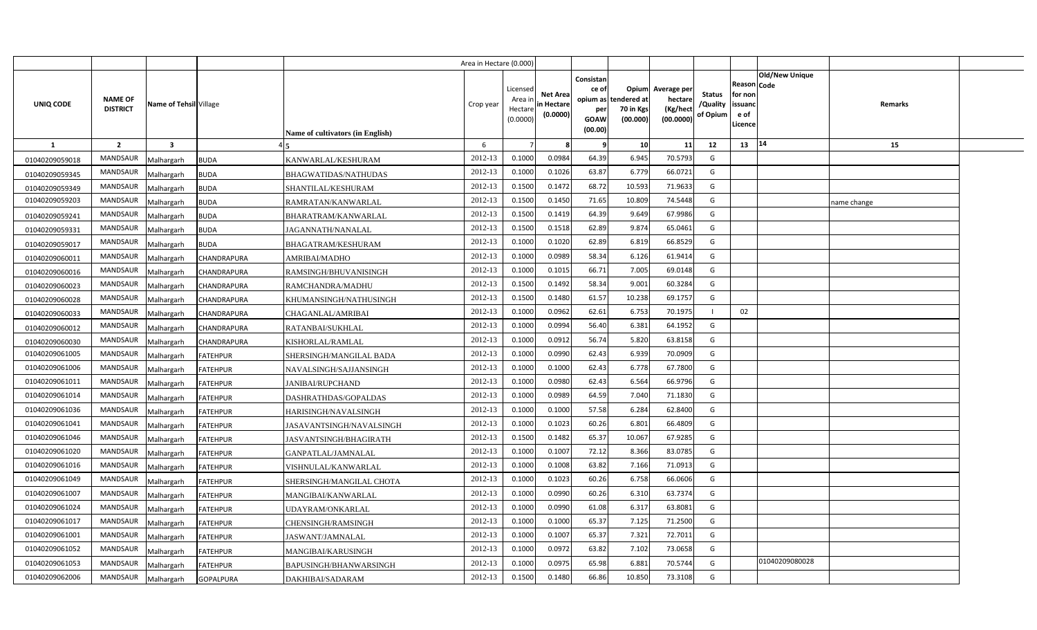|                |                                   |                                |                                  | Area in Hectare (0.000) |                                            |                                           |                                                                             |                                |                                                 |                                       |                                                      |                       |             |  |
|----------------|-----------------------------------|--------------------------------|----------------------------------|-------------------------|--------------------------------------------|-------------------------------------------|-----------------------------------------------------------------------------|--------------------------------|-------------------------------------------------|---------------------------------------|------------------------------------------------------|-----------------------|-------------|--|
| UNIQ CODE      | <b>NAME OF</b><br><b>DISTRICT</b> | Name of Tehsil Village         | Name of cultivators (in English) | Crop year               | Licensed<br>Area ir<br>Hectare<br>(0.0000) | <b>Net Area</b><br>in Hectare<br>(0.0000) | Consistan<br>ce of<br>opium as tendered at<br>per<br><b>GOAW</b><br>(00.00) | Opium<br>70 in Kgs<br>(00.000) | Average per<br>hectare<br>(Kg/hect<br>(00.0000) | <b>Status</b><br>/Quality<br>of Opium | Reason Code<br>for non<br>issuanc<br>e of<br>Licence | <b>Old/New Unique</b> | Remarks     |  |
| $\mathbf{1}$   | $\overline{2}$                    | $\overline{\mathbf{3}}$        |                                  | 6                       |                                            |                                           | - 9                                                                         | 10                             | 11                                              | 12                                    | 13                                                   | 14                    | 15          |  |
| 01040209059018 | <b>MANDSAUR</b>                   | Malhargarh<br><b>BUDA</b>      | KANWARLAL/KESHURAM               | 2012-13                 | 0.1000                                     | 0.0984                                    | 64.39                                                                       | 6.945                          | 70.5793                                         | G                                     |                                                      |                       |             |  |
| 01040209059345 | <b>MANDSAUR</b>                   | <b>BUDA</b><br>Malhargarh      | BHAGWATIDAS/NATHUDAS             | 2012-13                 | 0.1000                                     | 0.1026                                    | 63.87                                                                       | 6.779                          | 66.0721                                         | G                                     |                                                      |                       |             |  |
| 01040209059349 | <b>MANDSAUR</b>                   | Malhargarh<br><b>BUDA</b>      | SHANTILAL/KESHURAM               | 2012-13                 | 0.1500                                     | 0.1472                                    | 68.72                                                                       | 10.593                         | 71.9633                                         | G                                     |                                                      |                       |             |  |
| 01040209059203 | <b>MANDSAUR</b>                   | Malhargarh<br><b>BUDA</b>      | RAMRATAN/KANWARLAL               | 2012-13                 | 0.1500                                     | 0.1450                                    | 71.65                                                                       | 10.809                         | 74.5448                                         | G                                     |                                                      |                       | name change |  |
| 01040209059241 | <b>MANDSAUR</b>                   | Malhargarh<br><b>BUDA</b>      | BHARATRAM/KANWARLAL              | 2012-13                 | 0.1500                                     | 0.1419                                    | 64.39                                                                       | 9.649                          | 67.9986                                         | G                                     |                                                      |                       |             |  |
| 01040209059331 | <b>MANDSAUR</b>                   | Malhargarh<br><b>BUDA</b>      | JAGANNATH/NANALAL                | 2012-13                 | 0.1500                                     | 0.1518                                    | 62.89                                                                       | 9.874                          | 65.0461                                         | G                                     |                                                      |                       |             |  |
| 01040209059017 | <b>MANDSAUR</b>                   | Malhargarh<br><b>BUDA</b>      | <b>BHAGATRAM/KESHURAM</b>        | 2012-13                 | 0.1000                                     | 0.1020                                    | 62.89                                                                       | 6.819                          | 66.8529                                         | G                                     |                                                      |                       |             |  |
| 01040209060011 | <b>MANDSAUR</b>                   | Malhargarh<br>CHANDRAPURA      | AMRIBAI/MADHO                    | 2012-13                 | 0.1000                                     | 0.0989                                    | 58.34                                                                       | 6.126                          | 61.9414                                         | G                                     |                                                      |                       |             |  |
| 01040209060016 | <b>MANDSAUR</b>                   | Malhargarh<br>CHANDRAPURA      | RAMSINGH/BHUVANISINGH            | 2012-13                 | 0.1000                                     | 0.101!                                    | 66.71                                                                       | 7.005                          | 69.0148                                         | G                                     |                                                      |                       |             |  |
| 01040209060023 | <b>MANDSAUR</b>                   | Malhargarh<br>CHANDRAPURA      | RAMCHANDRA/MADHU                 | 2012-13                 | 0.1500                                     | 0.1492                                    | 58.34                                                                       | 9.001                          | 60.3284                                         | G                                     |                                                      |                       |             |  |
| 01040209060028 | <b>MANDSAUR</b>                   | Malhargarh<br>CHANDRAPURA      | KHUMANSINGH/NATHUSINGH           | 2012-13                 | 0.1500                                     | 0.1480                                    | 61.57                                                                       | 10.238                         | 69.1757                                         | G                                     |                                                      |                       |             |  |
| 01040209060033 | <b>MANDSAUR</b>                   | Malhargarh<br>CHANDRAPURA      | CHAGANLAL/AMRIBAI                | 2012-13                 | 0.1000                                     | 0.0962                                    | 62.61                                                                       | 6.753                          | 70.1975                                         | -1                                    | 02                                                   |                       |             |  |
| 01040209060012 | <b>MANDSAUR</b>                   | Malhargarh<br>CHANDRAPURA      | RATANBAI/SUKHLAL                 | 2012-13                 | 0.1000                                     | 0.0994                                    | 56.40                                                                       | 6.381                          | 64.1952                                         | G                                     |                                                      |                       |             |  |
| 01040209060030 | <b>MANDSAUR</b>                   | Malhargarh<br>CHANDRAPURA      | KISHORLAL/RAMLAL                 | 2012-13                 | 0.1000                                     | 0.091                                     | 56.74                                                                       | 5.820                          | 63.8158                                         | G                                     |                                                      |                       |             |  |
| 01040209061005 | <b>MANDSAUR</b>                   | Malhargarh<br><b>FATEHPUR</b>  | SHERSINGH/MANGILAL BADA          | 2012-13                 | 0.1000                                     | 0.0990                                    | 62.43                                                                       | 6.939                          | 70.0909                                         | G                                     |                                                      |                       |             |  |
| 01040209061006 | MANDSAUR                          | Malhargarh<br><b>FATEHPUR</b>  | NAVALSINGH/SAJJANSINGH           | 2012-13                 | 0.1000                                     | 0.1000                                    | 62.43                                                                       | 6.778                          | 67.7800                                         | G                                     |                                                      |                       |             |  |
| 01040209061011 | <b>MANDSAUR</b>                   | Malhargarh<br><b>FATEHPUR</b>  | JANIBAI/RUPCHAND                 | 2012-13                 | 0.1000                                     | 0.0980                                    | 62.43                                                                       | 6.564                          | 66.9796                                         | G                                     |                                                      |                       |             |  |
| 01040209061014 | MANDSAUR                          | Malhargarh<br><b>FATEHPUR</b>  | DASHRATHDAS/GOPALDAS             | 2012-13                 | 0.1000                                     | 0.0989                                    | 64.59                                                                       | 7.040                          | 71.1830                                         | G                                     |                                                      |                       |             |  |
| 01040209061036 | <b>MANDSAUR</b>                   | Malhargarh<br><b>FATEHPUR</b>  | HARISINGH/NAVALSINGH             | 2012-13                 | 0.1000                                     | 0.1000                                    | 57.58                                                                       | 6.284                          | 62.8400                                         | G                                     |                                                      |                       |             |  |
| 01040209061041 | MANDSAUR                          | <b>FATEHPUR</b><br>Malhargarh  | JASAVANTSINGH/NAVALSINGH         | 2012-13                 | 0.1000                                     | 0.1023                                    | 60.26                                                                       | 6.801                          | 66.4809                                         | G                                     |                                                      |                       |             |  |
| 01040209061046 | <b>MANDSAUR</b>                   | Malhargarh<br><b>FATEHPUR</b>  | JASVANTSINGH/BHAGIRATH           | 2012-13                 | 0.1500                                     | 0.1482                                    | 65.37                                                                       | 10.067                         | 67.9285                                         | G                                     |                                                      |                       |             |  |
| 01040209061020 | <b>MANDSAUR</b>                   | Malhargarh<br><b>FATEHPUR</b>  | GANPATLAL/JAMNALAL               | 2012-13                 | 0.1000                                     | 0.1007                                    | 72.12                                                                       | 8.366                          | 83.0785                                         | G                                     |                                                      |                       |             |  |
| 01040209061016 | MANDSAUR                          | Malhargarh<br><b>FATEHPUR</b>  | VISHNULAL/KANWARLAL              | 2012-13                 | 0.1000                                     | 0.1008                                    | 63.82                                                                       | 7.166                          | 71.0913                                         | G                                     |                                                      |                       |             |  |
| 01040209061049 | <b>MANDSAUR</b>                   | Malhargarh<br><b>FATEHPUR</b>  | SHERSINGH/MANGILAL CHOTA         | 2012-13                 | 0.1000                                     | 0.1023                                    | 60.26                                                                       | 6.758                          | 66.0606                                         | G                                     |                                                      |                       |             |  |
| 01040209061007 | MANDSAUR                          | Malhargarh<br><b>FATEHPUR</b>  | MANGIBAI/KANWARLAL               | 2012-13                 | 0.1000                                     | 0.0990                                    | 60.26                                                                       | 6.310                          | 63.7374                                         | G                                     |                                                      |                       |             |  |
| 01040209061024 | <b>MANDSAUR</b>                   | Malhargarh<br><b>FATEHPUR</b>  | UDAYRAM/ONKARLAL                 | 2012-13                 | 0.1000                                     | 0.0990                                    | 61.08                                                                       | 6.317                          | 63.8081                                         | G                                     |                                                      |                       |             |  |
| 01040209061017 | <b>MANDSAUR</b>                   | Malhargarh<br><b>FATEHPUR</b>  | CHENSINGH/RAMSINGH               | 2012-13                 | 0.1000                                     | 0.1000                                    | 65.37                                                                       | 7.125                          | 71.2500                                         | G                                     |                                                      |                       |             |  |
| 01040209061001 | <b>MANDSAUR</b>                   | Malhargarh<br><b>FATEHPUR</b>  | JASWANT/JAMNALAL                 | 2012-13                 | 0.1000                                     | 0.100                                     | 65.37                                                                       | 7.321                          | 72.7011                                         | G                                     |                                                      |                       |             |  |
| 01040209061052 | <b>MANDSAUR</b>                   | <b>FATEHPUR</b><br>Malhargarh  | <b>MANGIBAI/KARUSINGH</b>        | 2012-13                 | 0.1000                                     | 0.0972                                    | 63.82                                                                       | 7.102                          | 73.0658                                         | G                                     |                                                      |                       |             |  |
| 01040209061053 | <b>MANDSAUR</b>                   | Malhargarh<br><b>FATEHPUR</b>  | BAPUSINGH/BHANWARSINGH           | 2012-13                 | 0.1000                                     | 0.097!                                    | 65.98                                                                       | 6.881                          | 70.5744                                         | G                                     |                                                      | 01040209080028        |             |  |
| 01040209062006 | <b>MANDSAUR</b>                   | Malhargarh<br><b>GOPALPURA</b> | DAKHIBAI/SADARAM                 | 2012-13                 | 0.1500                                     | 0.1480                                    | 66.86                                                                       | 10.850                         | 73.3108                                         | G                                     |                                                      |                       |             |  |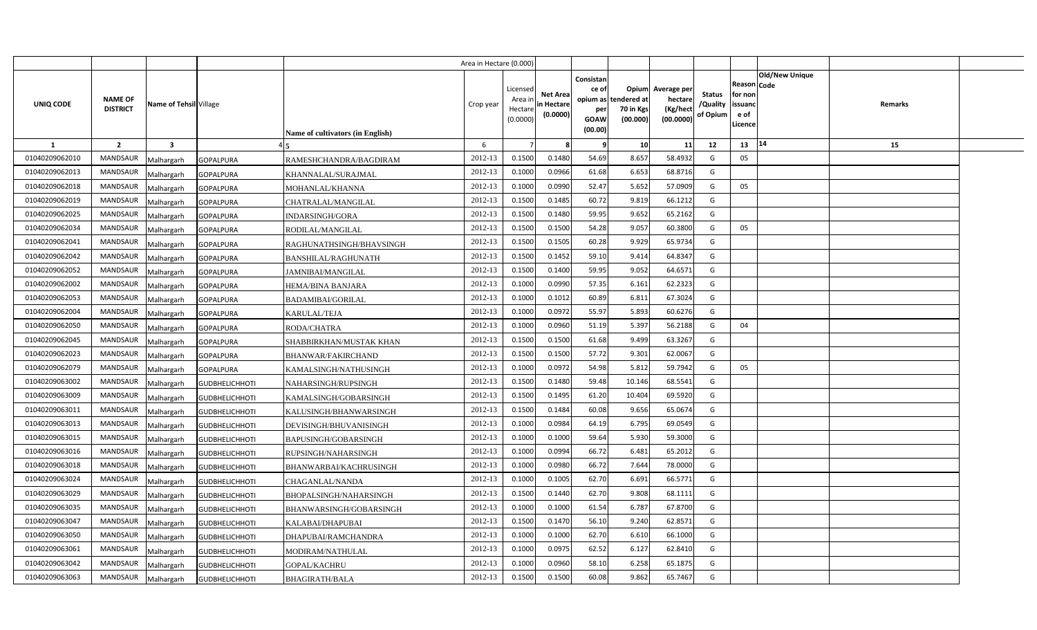|                |                                   |                                     |                                         | Area in Hectare (0.000) |                                            |                                           |                                                     |                                                        |                                                 |                                       |                                                      |                       |         |  |
|----------------|-----------------------------------|-------------------------------------|-----------------------------------------|-------------------------|--------------------------------------------|-------------------------------------------|-----------------------------------------------------|--------------------------------------------------------|-------------------------------------------------|---------------------------------------|------------------------------------------------------|-----------------------|---------|--|
| UNIQ CODE      | <b>NAME OF</b><br><b>DISTRICT</b> | Name of Tehsil Village              | <b>Name of cultivators (in English)</b> | Crop year               | Licensed<br>Area ir<br>Hectare<br>(0.0000) | <b>Net Area</b><br>in Hectare<br>(0.0000) | Consistan<br>ce of<br>per<br><b>GOAW</b><br>(00.00) | Opium<br>opium as tendered at<br>70 in Kgs<br>(00.000) | Average per<br>hectare<br>(Kg/hect<br>(00.0000) | <b>Status</b><br>/Quality<br>of Opium | Reason Code<br>for non<br>issuanc<br>e of<br>Licence | <b>Old/New Unique</b> | Remarks |  |
| 1              | $\overline{2}$                    | $\mathbf{3}$                        |                                         | 6                       |                                            |                                           | - 9                                                 | 10                                                     | 11                                              | 12                                    | 13                                                   | 14                    | 15      |  |
| 01040209062010 | <b>MANDSAUR</b>                   | Malhargarh<br><b>GOPALPURA</b>      | RAMESHCHANDRA/BAGDIRAM                  | 2012-13                 | 0.1500                                     | 0.1480                                    | 54.69                                               | 8.657                                                  | 58.4932                                         | G                                     | 05                                                   |                       |         |  |
| 01040209062013 | MANDSAUR                          | Malhargarh<br><b>GOPALPURA</b>      | KHANNALAL/SURAJMAL                      | 2012-13                 | 0.1000                                     | 0.0966                                    | 61.68                                               | 6.653                                                  | 68.8716                                         | G                                     |                                                      |                       |         |  |
| 01040209062018 | <b>MANDSAUR</b>                   | <b>GOPALPURA</b><br>Malhargarh      | MOHANLAL/KHANNA                         | 2012-13                 | 0.1000                                     | 0.0990                                    | 52.47                                               | 5.652                                                  | 57.0909                                         | G                                     | 05                                                   |                       |         |  |
| 01040209062019 | <b>MANDSAUR</b>                   | Malhargarh<br><b>GOPALPURA</b>      | CHATRALAL/MANGILAL                      | 2012-13                 | 0.1500                                     | 0.1485                                    | 60.72                                               | 9.819                                                  | 66.1212                                         | G                                     |                                                      |                       |         |  |
| 01040209062025 | <b>MANDSAUR</b>                   | Malhargarh<br><b>GOPALPURA</b>      | INDARSINGH/GORA                         | 2012-13                 | 0.150                                      | 0.1480                                    | 59.95                                               | 9.652                                                  | 65.2162                                         | G                                     |                                                      |                       |         |  |
| 01040209062034 | <b>MANDSAUR</b>                   | Malhargarh<br><b>GOPALPURA</b>      | RODILAL/MANGILAL                        | 2012-13                 | 0.1500                                     | 0.1500                                    | 54.28                                               | 9.057                                                  | 60.3800                                         | G                                     | 05                                                   |                       |         |  |
| 01040209062041 | <b>MANDSAUR</b>                   | Malhargarh<br><b>GOPALPURA</b>      | RAGHUNATHSINGH/BHAVSINGH                | 2012-13                 | 0.1500                                     | 0.1505                                    | 60.28                                               | 9.929                                                  | 65.9734                                         | G                                     |                                                      |                       |         |  |
| 01040209062042 | <b>MANDSAUR</b>                   | Malhargarh<br><b>GOPALPURA</b>      | BANSHILAL/RAGHUNATH                     | 2012-13                 | 0.1500                                     | 0.1452                                    | 59.10                                               | 9.414                                                  | 64.8347                                         | G                                     |                                                      |                       |         |  |
| 01040209062052 | <b>MANDSAUR</b>                   | Malhargarh<br><b>GOPALPURA</b>      | <b>JAMNIBAI/MANGILAL</b>                | 2012-13                 | 0.1500                                     | 0.1400                                    | 59.95                                               | 9.052                                                  | 64.6571                                         | G                                     |                                                      |                       |         |  |
| 01040209062002 | <b>MANDSAUR</b>                   | Malhargarh<br><b>GOPALPURA</b>      | HEMA/BINA BANJARA                       | 2012-13                 | 0.100                                      | 0.0990                                    | 57.35                                               | 6.161                                                  | 62.2323                                         | G                                     |                                                      |                       |         |  |
| 01040209062053 | <b>MANDSAUR</b>                   | Malhargarh<br><b>GOPALPURA</b>      | <b>BADAMIBAI/GORILAL</b>                | 2012-13                 | 0.1000                                     | 0.1012                                    | 60.89                                               | 6.811                                                  | 67.3024                                         | G                                     |                                                      |                       |         |  |
| 01040209062004 | <b>MANDSAUR</b>                   | Malhargarh<br><b>GOPALPURA</b>      | KARULAL/TEJA                            | 2012-13                 | 0.100                                      | 0.0972                                    | 55.97                                               | 5.893                                                  | 60.6276                                         | G                                     |                                                      |                       |         |  |
| 01040209062050 | MANDSAUR                          | Malhargarh<br><b>GOPALPURA</b>      | RODA/CHATRA                             | 2012-13                 | 0.100                                      | 0.0960                                    | 51.19                                               | 5.397                                                  | 56.2188                                         | G                                     | 04                                                   |                       |         |  |
| 01040209062045 | <b>MANDSAUR</b>                   | Malhargarh<br><b>GOPALPURA</b>      | SHABBIRKHAN/MUSTAK KHAN                 | 2012-13                 | 0.1500                                     | 0.1500                                    | 61.68                                               | 9.499                                                  | 63.3267                                         | G                                     |                                                      |                       |         |  |
| 01040209062023 | MANDSAUR                          | Malhargarh<br><b>GOPALPURA</b>      | BHANWAR/FAKIRCHAND                      | 2012-13                 | 0.1500                                     | 0.1500                                    | 57.72                                               | 9.301                                                  | 62.0067                                         | G                                     |                                                      |                       |         |  |
| 01040209062079 | MANDSAUR                          | Malhargarh<br><b>GOPALPURA</b>      | KAMALSINGH/NATHUSINGH                   | 2012-13                 | 0.1000                                     | 0.0972                                    | 54.98                                               | 5.812                                                  | 59.7942                                         | G                                     | 05                                                   |                       |         |  |
| 01040209063002 | MANDSAUR                          | Malhargarh<br><b>GUDBHELICHHOTI</b> | NAHARSINGH/RUPSINGH                     | 2012-13                 | 0.1500                                     | 0.1480                                    | 59.48                                               | 10.146                                                 | 68.5541                                         | G                                     |                                                      |                       |         |  |
| 01040209063009 | MANDSAUR                          | Malhargarh<br><b>GUDBHELICHHOTI</b> | KAMALSINGH/GOBARSINGH                   | 2012-13                 | 0.1500                                     | 0.1495                                    | 61.20                                               | 10.404                                                 | 69.5920                                         | G                                     |                                                      |                       |         |  |
| 01040209063011 | <b>MANDSAUR</b>                   | Malhargarh<br><b>GUDBHELICHHOTI</b> | KALUSINGH/BHANWARSINGH                  | 2012-13                 | 0.1500                                     | 0.1484                                    | 60.08                                               | 9.656                                                  | 65.0674                                         | G                                     |                                                      |                       |         |  |
| 01040209063013 | <b>MANDSAUR</b>                   | Malhargarh<br><b>GUDBHELICHHOTI</b> | DEVISINGH/BHUVANISINGH                  | 2012-13                 | 0.1000                                     | 0.0984                                    | 64.19                                               | 6.795                                                  | 69.0549                                         | G                                     |                                                      |                       |         |  |
| 01040209063015 | <b>MANDSAUR</b>                   | Malhargarh<br><b>GUDBHELICHHOTI</b> | BAPUSINGH/GOBARSINGH                    | 2012-13                 | 0.1000                                     | 0.1000                                    | 59.64                                               | 5.930                                                  | 59.3000                                         | G                                     |                                                      |                       |         |  |
| 01040209063016 | <b>MANDSAUR</b>                   | Malhargarh<br><b>GUDBHELICHHOTI</b> | RUPSINGH/NAHARSINGH                     | 2012-13                 | 0.1000                                     | 0.0994                                    | 66.72                                               | 6.481                                                  | 65.2012                                         | G                                     |                                                      |                       |         |  |
| 01040209063018 | <b>MANDSAUR</b>                   | Malhargarh<br><b>GUDBHELICHHOTI</b> | BHANWARBAI/KACHRUSINGH                  | 2012-13                 | 0.1000                                     | 0.0980                                    | 66.72                                               | 7.644                                                  | 78.0000                                         | G                                     |                                                      |                       |         |  |
| 01040209063024 | MANDSAUR                          | Malhargarh<br><b>GUDBHELICHHOTI</b> | CHAGANLAL/NANDA                         | 2012-13                 | 0.1000                                     | 0.1005                                    | 62.70                                               | 6.691                                                  | 66.5771                                         | G                                     |                                                      |                       |         |  |
| 01040209063029 | <b>MANDSAUR</b>                   | Malhargarh<br><b>GUDBHELICHHOTI</b> | BHOPALSINGH/NAHARSINGH                  | 2012-13                 | 0.1500                                     | 0.1440                                    | 62.70                                               | 9.808                                                  | 68.1111                                         | G                                     |                                                      |                       |         |  |
| 01040209063035 | <b>MANDSAUR</b>                   | Malhargarh<br><b>GUDBHELICHHOTI</b> | BHANWARSINGH/GOBARSINGH                 | 2012-13                 | 0.1000                                     | 0.1000                                    | 61.54                                               | 6.787                                                  | 67.8700                                         | G                                     |                                                      |                       |         |  |
| 01040209063047 | <b>MANDSAUR</b>                   | Malhargarh<br><b>GUDBHELICHHOTI</b> | KALABAI/DHAPUBAI                        | 2012-13                 | 0.1500                                     | 0.1470                                    | 56.10                                               | 9.240                                                  | 62.8571                                         | G                                     |                                                      |                       |         |  |
| 01040209063050 | <b>MANDSAUR</b>                   | Malhargarh<br><b>GUDBHELICHHOTI</b> | DHAPUBAI/RAMCHANDRA                     | 2012-13                 | 0.1000                                     | 0.1000                                    | 62.70                                               | 6.610                                                  | 66.1000                                         | G                                     |                                                      |                       |         |  |
| 01040209063061 | <b>MANDSAUR</b>                   | Malhargarh<br><b>GUDBHELICHHOTI</b> | MODIRAM/NATHULAL                        | 2012-13                 | 0.1000                                     | 0.0975                                    | 62.52                                               | 6.127                                                  | 62.8410                                         | G                                     |                                                      |                       |         |  |
| 01040209063042 | <b>MANDSAUR</b>                   | Malhargarh<br><b>GUDBHELICHHOTI</b> | GOPAL/KACHRU                            | 2012-13                 | 0.1000                                     | 0.0960                                    | 58.10                                               | 6.258                                                  | 65.1875                                         | G                                     |                                                      |                       |         |  |
| 01040209063063 | <b>MANDSAUR</b>                   | Malhargarh<br><b>GUDBHELICHHOTI</b> | <b>BHAGIRATH/BALA</b>                   | 2012-13                 | 0.1500                                     | 0.1500                                    | 60.08                                               | 9.862                                                  | 65.7467                                         | G                                     |                                                      |                       |         |  |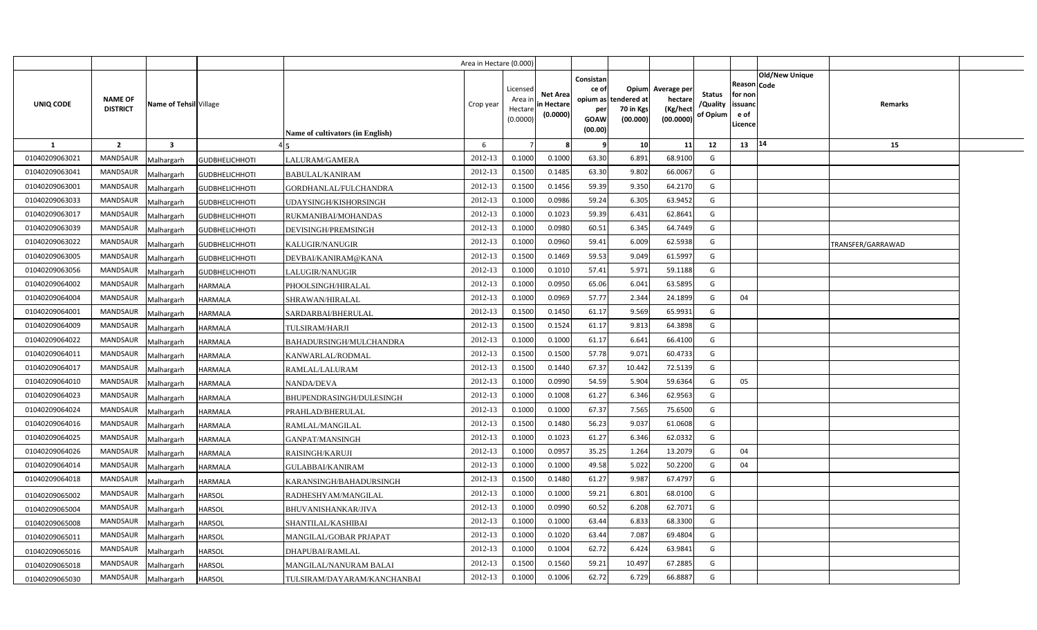|                |                                   |                         |                       |                                         | Area in Hectare (0.000) |                                            |                                           |                                                          |                                               |                                                 |                                       |                                                      |                       |                   |  |
|----------------|-----------------------------------|-------------------------|-----------------------|-----------------------------------------|-------------------------|--------------------------------------------|-------------------------------------------|----------------------------------------------------------|-----------------------------------------------|-------------------------------------------------|---------------------------------------|------------------------------------------------------|-----------------------|-------------------|--|
| UNIQ CODE      | <b>NAME OF</b><br><b>DISTRICT</b> | Name of Tehsil Village  |                       | <b>Name of cultivators (in English)</b> | Crop year               | Licensed<br>Area in<br>Hectare<br>(0.0000) | <b>Net Area</b><br>in Hectare<br>(0.0000) | Consistan<br>ce of<br>opium as<br>per<br>GOAW<br>(00.00) | Opium<br>tendered at<br>70 in Kgs<br>(00.000) | Average per<br>hectare<br>(Kg/hect<br>(00.0000) | <b>Status</b><br>/Quality<br>of Opium | Reason Code<br>for non<br>issuand<br>e of<br>Licence | <b>Old/New Unique</b> | Remarks           |  |
| <b>1</b>       | $\overline{2}$                    | $\overline{\mathbf{3}}$ |                       |                                         | 6                       |                                            |                                           |                                                          | 10 <sup>1</sup>                               | 11                                              | 12                                    | $13 \mid 14$                                         |                       | 15                |  |
| 01040209063021 | <b>MANDSAUR</b>                   | Malhargarh              | <b>GUDBHELICHHOTI</b> | LALURAM/GAMERA                          | 2012-13                 | 0.1000                                     | 0.1000                                    | 63.30                                                    | 6.891                                         | 68.9100                                         | G                                     |                                                      |                       |                   |  |
| 01040209063041 | MANDSAUR                          | Malhargarh              | <b>GUDBHELICHHOTI</b> | <b>BABULAL/KANIRAM</b>                  | 2012-13                 | 0.1500                                     | 0.1485                                    | 63.30                                                    | 9.802                                         | 66.0067                                         | G                                     |                                                      |                       |                   |  |
| 01040209063001 | <b>MANDSAUR</b>                   | Malhargarh              | <b>GUDBHELICHHOTI</b> | GORDHANLAL/FULCHANDRA                   | 2012-13                 | 0.1500                                     | 0.1456                                    | 59.39                                                    | 9.350                                         | 64.2170                                         | G                                     |                                                      |                       |                   |  |
| 01040209063033 | <b>MANDSAUR</b>                   | Malhargarh              | <b>GUDBHELICHHOTI</b> | UDAYSINGH/KISHORSINGH                   | 2012-13                 | 0.1000                                     | 0.0986                                    | 59.24                                                    | 6.305                                         | 63.9452                                         | G                                     |                                                      |                       |                   |  |
| 01040209063017 | <b>MANDSAUR</b>                   | Malhargarh              | <b>GUDBHELICHHOTI</b> | RUKMANIBAI/MOHANDAS                     | 2012-13                 | 0.100C                                     | 0.1023                                    | 59.39                                                    | 6.431                                         | 62.8641                                         | G                                     |                                                      |                       |                   |  |
| 01040209063039 | <b>MANDSAUR</b>                   | Malhargarh              | <b>GUDBHELICHHOTI</b> | DEVISINGH/PREMSINGH                     | 2012-13                 | 0.1000                                     | 0.0980                                    | 60.51                                                    | 6.345                                         | 64.7449                                         | G                                     |                                                      |                       |                   |  |
| 01040209063022 | <b>MANDSAUR</b>                   | Malhargarh              | <b>GUDBHELICHHOTI</b> | <b>KALUGIR/NANUGIR</b>                  | 2012-13                 | 0.1000                                     | 0.0960                                    | 59.41                                                    | 6.009                                         | 62.5938                                         | G                                     |                                                      |                       | TRANSFER/GARRAWAD |  |
| 01040209063005 | <b>MANDSAUR</b>                   | Malhargarh              | <b>GUDBHELICHHOTI</b> | DEVBAI/KANIRAM@KANA                     | 2012-13                 | 0.1500                                     | 0.1469                                    | 59.53                                                    | 9.049                                         | 61.5997                                         | G                                     |                                                      |                       |                   |  |
| 01040209063056 | MANDSAUR                          | Malhargarh              | <b>GUDBHELICHHOTI</b> | LALUGIR/NANUGIR                         | 2012-13                 | 0.1000                                     | 0.1010                                    | 57.41                                                    | 5.971                                         | 59.1188                                         | G                                     |                                                      |                       |                   |  |
| 01040209064002 | <b>MANDSAUR</b>                   | Malhargarh              | <b>HARMALA</b>        | PHOOLSINGH/HIRALAL                      | 2012-13                 | 0.1000                                     | 0.0950                                    | 65.06                                                    | 6.041                                         | 63.5895                                         | G                                     |                                                      |                       |                   |  |
| 01040209064004 | <b>MANDSAUR</b>                   | Malhargarh              | <b>HARMALA</b>        | SHRAWAN/HIRALAL                         | 2012-13                 | 0.1000                                     | 0.0969                                    | 57.77                                                    | 2.344                                         | 24.1899                                         | G                                     | 04                                                   |                       |                   |  |
| 01040209064001 | <b>MANDSAUR</b>                   | Malhargarh              | <b>HARMALA</b>        | SARDARBAI/BHERULAL                      | 2012-13                 | 0.1500                                     | 0.1450                                    | 61.17                                                    | 9.569                                         | 65.9931                                         | G                                     |                                                      |                       |                   |  |
| 01040209064009 | <b>MANDSAUR</b>                   | Malhargarh              | <b>HARMALA</b>        | TULSIRAM/HARJI                          | 2012-13                 | 0.1500                                     | 0.1524                                    | 61.17                                                    | 9.813                                         | 64.3898                                         | G                                     |                                                      |                       |                   |  |
| 01040209064022 | <b>MANDSAUR</b>                   | Malhargarh              | <b>HARMALA</b>        | BAHADURSINGH/MULCHANDRA                 | 2012-13                 | 0.1000                                     | 0.1000                                    | 61.17                                                    | 6.641                                         | 66.4100                                         | G                                     |                                                      |                       |                   |  |
| 01040209064011 | MANDSAUR                          | Malhargarh              | HARMALA               | KANWARLAL/RODMAL                        | 2012-13                 | 0.1500                                     | 0.1500                                    | 57.78                                                    | 9.071                                         | 60.4733                                         | G                                     |                                                      |                       |                   |  |
| 01040209064017 | MANDSAUR                          | Malhargarh              | <b>HARMALA</b>        | RAMLAL/LALURAM                          | 2012-13                 | 0.1500                                     | 0.1440                                    | 67.37                                                    | 10.442                                        | 72.5139                                         | G                                     |                                                      |                       |                   |  |
| 01040209064010 | MANDSAUR                          | Malhargarh              | <b>HARMALA</b>        | NANDA/DEVA                              | 2012-13                 | 0.1000                                     | 0.0990                                    | 54.59                                                    | 5.904                                         | 59.6364                                         | G                                     | 05                                                   |                       |                   |  |
| 01040209064023 | <b>MANDSAUR</b>                   | Malhargarh              | <b>HARMALA</b>        | BHUPENDRASINGH/DULESINGH                | 2012-13                 | 0.1000                                     | 0.1008                                    | 61.27                                                    | 6.346                                         | 62.9563                                         | G                                     |                                                      |                       |                   |  |
| 01040209064024 | <b>MANDSAUR</b>                   | Malhargarh              | <b>HARMALA</b>        | PRAHLAD/BHERULAL                        | 2012-13                 | 0.1000                                     | 0.1000                                    | 67.37                                                    | 7.565                                         | 75.6500                                         | G                                     |                                                      |                       |                   |  |
| 01040209064016 | <b>MANDSAUR</b>                   | Malhargarh              | <b>HARMALA</b>        | RAMLAL/MANGILAL                         | 2012-13                 | 0.1500                                     | 0.1480                                    | 56.23                                                    | 9.037                                         | 61.0608                                         | G                                     |                                                      |                       |                   |  |
| 01040209064025 | <b>MANDSAUR</b>                   | Malhargarh              | <b>HARMALA</b>        | GANPAT/MANSINGH                         | 2012-13                 | 0.1000                                     | 0.1023                                    | 61.27                                                    | 6.346                                         | 62.0332                                         | G                                     |                                                      |                       |                   |  |
| 01040209064026 | <b>MANDSAUR</b>                   | Malhargarh              | <b>HARMALA</b>        | RAISINGH/KARUJI                         | 2012-13                 | 0.1000                                     | 0.0957                                    | 35.25                                                    | 1.264                                         | 13.2079                                         | G                                     | 04                                                   |                       |                   |  |
| 01040209064014 | MANDSAUR                          | Malhargarh              | <b>HARMALA</b>        | GULABBAI/KANIRAM                        | 2012-13                 | 0.1000                                     | 0.1000                                    | 49.58                                                    | 5.022                                         | 50.2200                                         | G                                     | 04                                                   |                       |                   |  |
| 01040209064018 | <b>MANDSAUR</b>                   | Malhargarh              | <b>HARMALA</b>        | KARANSINGH/BAHADURSINGH                 | 2012-13                 | 0.1500                                     | 0.1480                                    | 61.27                                                    | 9.987                                         | 67.4797                                         | G                                     |                                                      |                       |                   |  |
| 01040209065002 | <b>MANDSAUR</b>                   | Malhargarh              | HARSOL                | RADHESHYAM/MANGILAL                     | 2012-13                 | 0.1000                                     | 0.1000                                    | 59.21                                                    | 6.801                                         | 68.0100                                         | G                                     |                                                      |                       |                   |  |
| 01040209065004 | <b>MANDSAUR</b>                   | Malhargarh              | HARSOL                | BHUVANISHANKAR/JIVA                     | 2012-13                 | 0.1000                                     | 0.0990                                    | 60.52                                                    | 6.208                                         | 62.7071                                         | G                                     |                                                      |                       |                   |  |
| 01040209065008 | <b>MANDSAUR</b>                   | Malhargarh              | <b>HARSOL</b>         | SHANTILAL/KASHIBAI                      | 2012-13                 | 0.1000                                     | 0.1000                                    | 63.44                                                    | 6.833                                         | 68.3300                                         | G                                     |                                                      |                       |                   |  |
| 01040209065011 | <b>MANDSAUR</b>                   | Malhargarh              | HARSOL                | MANGILAL/GOBAR PRJAPAT                  | 2012-13                 | 0.1000                                     | 0.1020                                    | 63.44                                                    | 7.087                                         | 69.4804                                         | G                                     |                                                      |                       |                   |  |
| 01040209065016 | <b>MANDSAUR</b>                   | Malhargarh              | HARSOL                | DHAPUBAI/RAMLAL                         | 2012-13                 | 0.1000                                     | 0.1004                                    | 62.72                                                    | 6.424                                         | 63.9841                                         | G                                     |                                                      |                       |                   |  |
| 01040209065018 | <b>MANDSAUR</b>                   | Malhargarh              | HARSOL                | MANGILAL/NANURAM BALAI                  | 2012-13                 | 0.1500                                     | 0.1560                                    | 59.21                                                    | 10.497                                        | 67.2885                                         | G                                     |                                                      |                       |                   |  |
| 01040209065030 | MANDSAUR                          | Malhargarh              | <b>HARSOL</b>         | TULSIRAM/DAYARAM/KANCHANBAI             | 2012-13                 | 0.1000                                     | 0.1006                                    | 62.72                                                    | 6.729                                         | 66.8887                                         | G                                     |                                                      |                       |                   |  |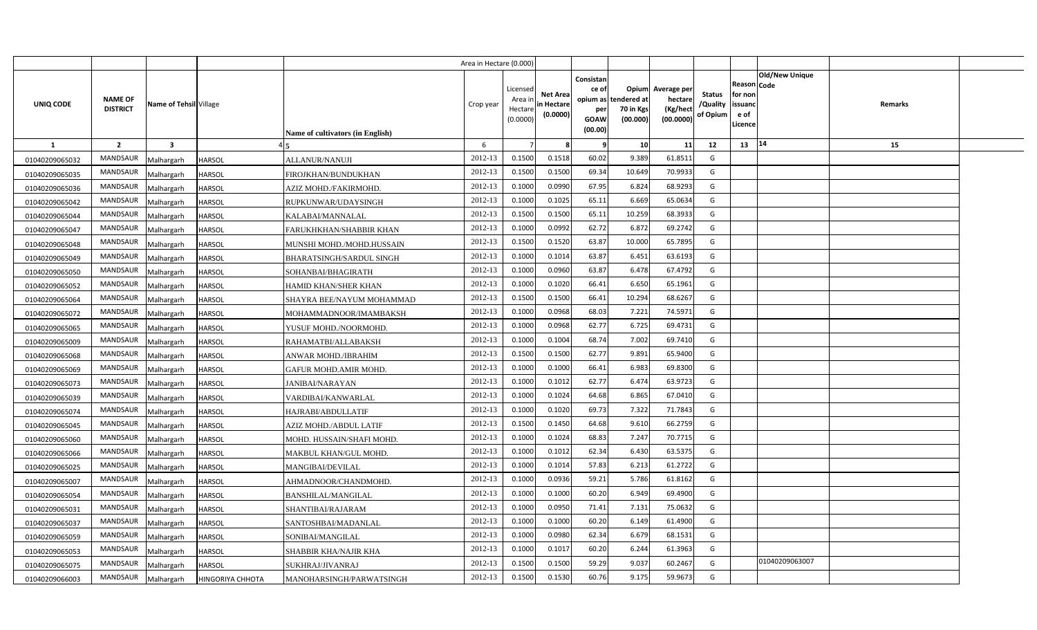|                |                                   |                        |                  |                                         | Area in Hectare (0.000) |                                            |                                           |                                                                 |                                               |                                                 |                                       |                                                 |                        |         |  |
|----------------|-----------------------------------|------------------------|------------------|-----------------------------------------|-------------------------|--------------------------------------------|-------------------------------------------|-----------------------------------------------------------------|-----------------------------------------------|-------------------------------------------------|---------------------------------------|-------------------------------------------------|------------------------|---------|--|
| UNIQ CODE      | <b>NAME OF</b><br><b>DISTRICT</b> | Name of Tehsil Village |                  | <b>Name of cultivators (in English)</b> | Crop year               | Licensed<br>Area in<br>Hectare<br>(0.0000) | <b>Net Area</b><br>in Hectare<br>(0.0000) | Consistan<br>ce of<br>opium as<br>per<br><b>GOAW</b><br>(00.00) | Opium<br>tendered at<br>70 in Kgs<br>(00.000) | Average per<br>hectare<br>(Kg/hect<br>(00.0000) | <b>Status</b><br>/Quality<br>of Opium | Reason<br>for non<br>issuand<br>e of<br>Licence | Old/New Unique<br>Code | Remarks |  |
| 1              | $\overline{2}$                    | $\mathbf{3}$           |                  |                                         | 6                       |                                            |                                           | - 9                                                             | 10                                            | 11                                              | 12                                    | 13                                              | 14                     | 15      |  |
| 01040209065032 | <b>MANDSAUR</b>                   | Malhargarh             | <b>HARSOL</b>    | ALLANUR/NANUJI                          | 2012-13                 | 0.1500                                     | 0.1518                                    | 60.02                                                           | 9.389                                         | 61.8511                                         | G                                     |                                                 |                        |         |  |
| 01040209065035 | MANDSAUR                          | Malhargarh             | <b>HARSOL</b>    | FIROJKHAN/BUNDUKHAN                     | 2012-13                 | 0.1500                                     | 0.1500                                    | 69.34                                                           | 10.649                                        | 70.9933                                         | G                                     |                                                 |                        |         |  |
| 01040209065036 | <b>MANDSAUR</b>                   | Malhargarh             | <b>HARSOL</b>    | AZIZ MOHD./FAKIRMOHD.                   | 2012-13                 | 0.1000                                     | 0.0990                                    | 67.95                                                           | 6.824                                         | 68.9293                                         | G                                     |                                                 |                        |         |  |
| 01040209065042 | <b>MANDSAUR</b>                   | Malhargarh             | HARSOL           | RUPKUNWAR/UDAYSINGH                     | 2012-13                 | 0.100                                      | 0.102!                                    | 65.11                                                           | 6.669                                         | 65.0634                                         | G                                     |                                                 |                        |         |  |
| 01040209065044 | <b>MANDSAUR</b>                   | Malhargarh             | HARSOL           | KALABAI/MANNALAL                        | 2012-13                 | 0.1500                                     | 0.1500                                    | 65.11                                                           | 10.259                                        | 68.3933                                         | G                                     |                                                 |                        |         |  |
| 01040209065047 | MANDSAUR                          | Malhargarh             | HARSOL           | FARUKHKHAN/SHABBIR KHAN                 | 2012-13                 | 0.1000                                     | 0.0992                                    | 62.72                                                           | 6.872                                         | 69.2742                                         | G                                     |                                                 |                        |         |  |
| 01040209065048 | <b>MANDSAUR</b>                   | Malhargarh             | <b>HARSOL</b>    | MUNSHI MOHD./MOHD.HUSSAIN               | 2012-13                 | 0.1500                                     | 0.1520                                    | 63.87                                                           | 10.000                                        | 65.7895                                         | G                                     |                                                 |                        |         |  |
| 01040209065049 | <b>MANDSAUR</b>                   | Malhargarh             | HARSOL           | BHARATSINGH/SARDUL SINGH                | 2012-13                 | 0.1000                                     | 0.1014                                    | 63.87                                                           | 6.451                                         | 63.6193                                         | G                                     |                                                 |                        |         |  |
| 01040209065050 | MANDSAUR                          | Malhargarh             | <b>HARSOL</b>    | SOHANBAI/BHAGIRATH                      | 2012-13                 | 0.1000                                     | 0.0960                                    | 63.87                                                           | 6.478                                         | 67.4792                                         | G                                     |                                                 |                        |         |  |
| 01040209065052 | <b>MANDSAUR</b>                   | Malhargarh             | HARSOL           | HAMID KHAN/SHER KHAN                    | 2012-13                 | 0.1000                                     | 0.1020                                    | 66.41                                                           | 6.650                                         | 65.1961                                         | G                                     |                                                 |                        |         |  |
| 01040209065064 | <b>MANDSAUR</b>                   | Malhargarh             | <b>HARSOL</b>    | SHAYRA BEE/NAYUM MOHAMMAD               | 2012-13                 | 0.1500                                     | 0.1500                                    | 66.41                                                           | 10.294                                        | 68.6267                                         | G                                     |                                                 |                        |         |  |
| 01040209065072 | <b>MANDSAUR</b>                   | Malhargarh             | HARSOL           | MOHAMMADNOOR/IMAMBAKSH                  | 2012-13                 | 0.1000                                     | 0.0968                                    | 68.03                                                           | 7.221                                         | 74.5971                                         | G                                     |                                                 |                        |         |  |
| 01040209065065 | <b>MANDSAUR</b>                   | Malhargarh             | <b>HARSOL</b>    | YUSUF MOHD./NOORMOHD.                   | 2012-13                 | 0.1000                                     | 0.0968                                    | 62.77                                                           | 6.725                                         | 69.4731                                         | G                                     |                                                 |                        |         |  |
| 01040209065009 | <b>MANDSAUR</b>                   | Malhargarh             | HARSOL           | RAHAMATBI/ALLABAKSH                     | 2012-13                 | 0.1000                                     | 0.1004                                    | 68.74                                                           | 7.002                                         | 69.7410                                         | G                                     |                                                 |                        |         |  |
| 01040209065068 | MANDSAUR                          | Malhargarh             | HARSOL           | ANWAR MOHD./IBRAHIM                     | 2012-13                 | 0.1500                                     | 0.1500                                    | 62.77                                                           | 9.891                                         | 65.9400                                         | G                                     |                                                 |                        |         |  |
| 01040209065069 | MANDSAUR                          | Malhargarh             | <b>HARSOL</b>    | GAFUR MOHD.AMIR MOHD.                   | 2012-13                 | 0.1000                                     | 0.1000                                    | 66.41                                                           | 6.983                                         | 69.8300                                         | G                                     |                                                 |                        |         |  |
| 01040209065073 | MANDSAUR                          | Malhargarh             | HARSOL           | <b>JANIBAI/NARAYAN</b>                  | 2012-13                 | 0.1000                                     | 0.1012                                    | 62.77                                                           | 6.474                                         | 63.9723                                         | G                                     |                                                 |                        |         |  |
| 01040209065039 | MANDSAUR                          | Malhargarh             | <b>HARSOL</b>    | VARDIBAI/KANWARLAL                      | 2012-13                 | 0.1000                                     | 0.1024                                    | 64.68                                                           | 6.865                                         | 67.0410                                         | G                                     |                                                 |                        |         |  |
| 01040209065074 | <b>MANDSAUR</b>                   | Malhargarh             | <b>HARSOL</b>    | HAJRABI/ABDULLATIF                      | 2012-13                 | 0.1000                                     | 0.1020                                    | 69.73                                                           | 7.322                                         | 71.7843                                         | G                                     |                                                 |                        |         |  |
| 01040209065045 | <b>MANDSAUR</b>                   | Malhargarh             | <b>HARSOL</b>    | AZIZ MOHD./ABDUL LATIF                  | 2012-13                 | 0.1500                                     | 0.1450                                    | 64.68                                                           | 9.610                                         | 66.2759                                         | G                                     |                                                 |                        |         |  |
| 01040209065060 | <b>MANDSAUR</b>                   | Malhargarh             | HARSOL           | MOHD. HUSSAIN/SHAFI MOHD.               | 2012-13                 | 0.1000                                     | 0.1024                                    | 68.83                                                           | 7.247                                         | 70.7715                                         | G                                     |                                                 |                        |         |  |
| 01040209065066 | <b>MANDSAUR</b>                   | Malhargarh             | HARSOL           | MAKBUL KHAN/GUL MOHD.                   | 2012-13                 | 0.1000                                     | 0.1012                                    | 62.34                                                           | 6.430                                         | 63.5375                                         | G                                     |                                                 |                        |         |  |
| 01040209065025 | MANDSAUR                          | Malhargarh             | <b>HARSOL</b>    | MANGIBAI/DEVILAL                        | 2012-13                 | 0.1000                                     | 0.1014                                    | 57.83                                                           | 6.213                                         | 61.2722                                         | G                                     |                                                 |                        |         |  |
| 01040209065007 | <b>MANDSAUR</b>                   | Malhargarh             | HARSOL           | AHMADNOOR/CHANDMOHD.                    | 2012-13                 | 0.1000                                     | 0.0936                                    | 59.21                                                           | 5.786                                         | 61.8162                                         | G                                     |                                                 |                        |         |  |
| 01040209065054 | <b>MANDSAUR</b>                   | Malhargarh             | <b>HARSOL</b>    | BANSHILAL/MANGILAL                      | 2012-13                 | 0.1000                                     | 0.1000                                    | 60.20                                                           | 6.949                                         | 69.4900                                         | G                                     |                                                 |                        |         |  |
| 01040209065031 | <b>MANDSAUR</b>                   | Malhargarh             | HARSOL           | SHANTIBAI/RAJARAM                       | 2012-13                 | 0.1000                                     | 0.0950                                    | 71.41                                                           | 7.131                                         | 75.0632                                         | G                                     |                                                 |                        |         |  |
| 01040209065037 | MANDSAUR                          | Malhargarh             | <b>HARSOL</b>    | SANTOSHBAI/MADANLAL                     | 2012-13                 | 0.1000                                     | 0.1000                                    | 60.20                                                           | 6.149                                         | 61.4900                                         | G                                     |                                                 |                        |         |  |
| 01040209065059 | <b>MANDSAUR</b>                   | Malhargarh             | HARSOL           | SONIBAI/MANGILAL                        | 2012-13                 | 0.1000                                     | 0.0980                                    | 62.34                                                           | 6.679                                         | 68.1531                                         | G                                     |                                                 |                        |         |  |
| 01040209065053 | <b>MANDSAUR</b>                   | Malhargarh             | HARSOL           | SHABBIR KHA/NAJIR KHA                   | 2012-13                 | 0.1000                                     | 0.101                                     | 60.20                                                           | 6.244                                         | 61.3963                                         | G                                     |                                                 |                        |         |  |
| 01040209065075 | <b>MANDSAUR</b>                   | Malhargarh             | HARSOL           | SUKHRAJ/JIVANRAJ                        | 2012-13                 | 0.1500                                     | 0.1500                                    | 59.29                                                           | 9.037                                         | 60.2467                                         | G                                     |                                                 | 01040209063007         |         |  |
| 01040209066003 | MANDSAUR                          | Malhargarh             | HINGORIYA CHHOTA | MANOHARSINGH/PARWATSINGH                | 2012-13                 | 0.1500                                     | 0.1530                                    | 60.76                                                           | 9.175                                         | 59.9673                                         | G                                     |                                                 |                        |         |  |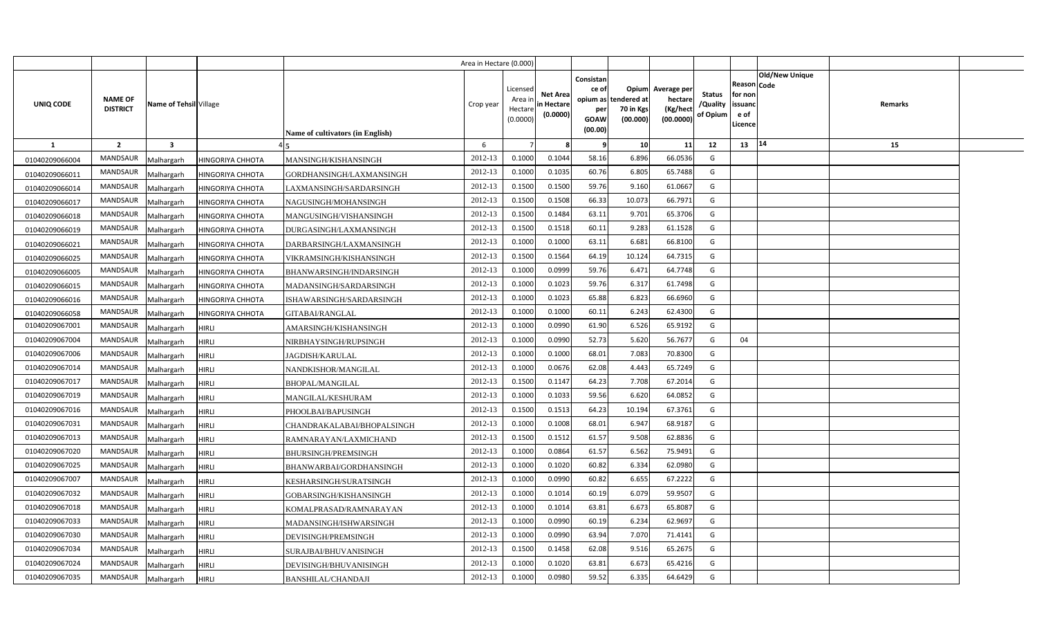|                |                                                             |                  |                                  | Area in Hectare (0.000) |                                            |                                           |                                                     |                                                        |                                                 |                                       |                                                                               |         |  |
|----------------|-------------------------------------------------------------|------------------|----------------------------------|-------------------------|--------------------------------------------|-------------------------------------------|-----------------------------------------------------|--------------------------------------------------------|-------------------------------------------------|---------------------------------------|-------------------------------------------------------------------------------|---------|--|
| UNIQ CODE      | <b>NAME OF</b><br>Name of Tehsil Village<br><b>DISTRICT</b> |                  | Name of cultivators (in English) | Crop year               | Licensed<br>Area ir<br>Hectare<br>(0.0000) | <b>Net Area</b><br>in Hectare<br>(0.0000) | Consistan<br>ce of<br>per<br><b>GOAW</b><br>(00.00) | Opium<br>opium as tendered at<br>70 in Kgs<br>(00.000) | Average per<br>hectare<br>(Kg/hect<br>(00.0000) | <b>Status</b><br>/Quality<br>of Opium | <b>Old/New Unique</b><br>Reason Code<br>for non<br>issuanc<br>e of<br>.icence | Remarks |  |
| 1              | $\overline{2}$<br>$\overline{\mathbf{3}}$                   |                  |                                  | 6                       |                                            |                                           | -9                                                  | 10                                                     | 11                                              | 12                                    | 14<br>13                                                                      | 15      |  |
| 01040209066004 | <b>MANDSAUR</b><br>Malhargarh                               | HINGORIYA CHHOTA | MANSINGH/KISHANSINGH             | 2012-13                 | 0.1000                                     | 0.1044                                    | 58.16                                               | 6.896                                                  | 66.0536                                         | G                                     |                                                                               |         |  |
| 01040209066011 | MANDSAUR<br>Malhargarh                                      | HINGORIYA CHHOTA | GORDHANSINGH/LAXMANSINGH         | 2012-13                 | 0.1000                                     | 0.1035                                    | 60.76                                               | 6.805                                                  | 65.7488                                         | G                                     |                                                                               |         |  |
| 01040209066014 | MANDSAUR<br>Malhargarh                                      | HINGORIYA CHHOTA | LAXMANSINGH/SARDARSINGH          | 2012-13                 | 0.1500                                     | 0.1500                                    | 59.76                                               | 9.160                                                  | 61.0667                                         | G                                     |                                                                               |         |  |
| 01040209066017 | MANDSAUR<br>Malhargarh                                      | HINGORIYA CHHOTA | NAGUSINGH/MOHANSINGH             | 2012-13                 | 0.1500                                     | 0.1508                                    | 66.33                                               | 10.073                                                 | 66.7971                                         | G                                     |                                                                               |         |  |
| 01040209066018 | MANDSAUR<br>Malhargarh                                      | HINGORIYA CHHOTA | MANGUSINGH/VISHANSINGH           | 2012-13                 | 0.1500                                     | 0.1484                                    | 63.11                                               | 9.701                                                  | 65.3706                                         | G                                     |                                                                               |         |  |
| 01040209066019 | <b>MANDSAUR</b><br>Malhargarh                               | HINGORIYA CHHOTA | DURGASINGH/LAXMANSINGH           | 2012-13                 | 0.1500                                     | 0.1518                                    | 60.11                                               | 9.283                                                  | 61.1528                                         | G                                     |                                                                               |         |  |
| 01040209066021 | MANDSAUR<br>Malhargarh                                      | HINGORIYA CHHOTA | DARBARSINGH/LAXMANSINGH          | 2012-13                 | 0.1000                                     | 0.1000                                    | 63.11                                               | 6.681                                                  | 66.8100                                         | G                                     |                                                                               |         |  |
| 01040209066025 | <b>MANDSAUR</b><br>Malhargarh                               | HINGORIYA CHHOTA | VIKRAMSINGH/KISHANSINGH          | 2012-13                 | 0.1500                                     | 0.1564                                    | 64.19                                               | 10.124                                                 | 64.7315                                         | G                                     |                                                                               |         |  |
| 01040209066005 | MANDSAUR<br>Malhargarh                                      | HINGORIYA CHHOTA | BHANWARSINGH/INDARSINGH          | 2012-13                 | 0.1000                                     | 0.0999                                    | 59.76                                               | 6.471                                                  | 64.7748                                         | G                                     |                                                                               |         |  |
| 01040209066015 | MANDSAUR<br>Malhargarh                                      | HINGORIYA CHHOTA | MADANSINGH/SARDARSINGH           | 2012-13                 | 0.1000                                     | 0.1023                                    | 59.76                                               | 6.317                                                  | 61.7498                                         | G                                     |                                                                               |         |  |
| 01040209066016 | <b>MANDSAUR</b><br>Malhargarh                               | HINGORIYA CHHOTA | ISHAWARSINGH/SARDARSINGH         | 2012-13                 | 0.100                                      | 0.1023                                    | 65.88                                               | 6.823                                                  | 66.6960                                         | G                                     |                                                                               |         |  |
| 01040209066058 | MANDSAUR<br>Malhargarh                                      | HINGORIYA CHHOTA | GITABAI/RANGLAL                  | 2012-13                 | 0.1000                                     | 0.1000                                    | 60.11                                               | 6.243                                                  | 62.4300                                         | G                                     |                                                                               |         |  |
| 01040209067001 | <b>MANDSAUR</b><br>Malhargarh                               | <b>HIRLI</b>     | AMARSINGH/KISHANSINGH            | 2012-13                 | 0.1000                                     | 0.0990                                    | 61.90                                               | 6.526                                                  | 65.9192                                         | G                                     |                                                                               |         |  |
| 01040209067004 | <b>MANDSAUR</b><br>Malhargarh                               | HIRLI            | NIRBHAYSINGH/RUPSINGH            | 2012-13                 | 0.1000                                     | 0.0990                                    | 52.73                                               | 5.620                                                  | 56.7677                                         | G                                     | 04                                                                            |         |  |
| 01040209067006 | <b>MANDSAUR</b><br>Malhargarh                               | <b>HIRLI</b>     | <b>JAGDISH/KARULAL</b>           | 2012-13                 | 0.1000                                     | 0.1000                                    | 68.01                                               | 7.083                                                  | 70.8300                                         | G                                     |                                                                               |         |  |
| 01040209067014 | <b>MANDSAUR</b><br>Malhargarh                               | HIRLI            | NANDKISHOR/MANGILAL              | 2012-13                 | 0.1000                                     | 0.0676                                    | 62.08                                               | 4.443                                                  | 65.7249                                         | G                                     |                                                                               |         |  |
| 01040209067017 | <b>MANDSAUR</b><br>Malhargarh                               | <b>HIRLI</b>     | <b>BHOPAL/MANGILAL</b>           | 2012-13                 | 0.1500                                     | 0.1147                                    | 64.23                                               | 7.708                                                  | 67.2014                                         | G                                     |                                                                               |         |  |
| 01040209067019 | <b>MANDSAUR</b><br>Malhargarh                               | <b>HIRLI</b>     | MANGILAL/KESHURAM                | 2012-13                 | 0.1000                                     | 0.1033                                    | 59.56                                               | 6.620                                                  | 64.0852                                         | G                                     |                                                                               |         |  |
| 01040209067016 | <b>MANDSAUR</b><br>Malhargarh                               | HIRLI            | PHOOLBAI/BAPUSINGH               | 2012-13                 | 0.1500                                     | 0.1513                                    | 64.23                                               | 10.194                                                 | 67.3761                                         | G                                     |                                                                               |         |  |
| 01040209067031 | <b>MANDSAUR</b><br>Malhargarh                               | HIRLI            | CHANDRAKALABAI/BHOPALSINGH       | 2012-13                 | 0.1000                                     | 0.1008                                    | 68.01                                               | 6.947                                                  | 68.9187                                         | G                                     |                                                                               |         |  |
| 01040209067013 | <b>MANDSAUR</b><br>Malhargarh                               | HIRLI            | RAMNARAYAN/LAXMICHAND            | 2012-13                 | 0.1500                                     | 0.1512                                    | 61.57                                               | 9.508                                                  | 62.8836                                         | G                                     |                                                                               |         |  |
| 01040209067020 | MANDSAUR<br>Malhargarh                                      | HIRLI            | BHURSINGH/PREMSINGH              | 2012-13                 | 0.1000                                     | 0.0864                                    | 61.57                                               | 6.562                                                  | 75.9491                                         | G                                     |                                                                               |         |  |
| 01040209067025 | <b>MANDSAUR</b><br>Malhargarh                               | <b>HIRLI</b>     | BHANWARBAI/GORDHANSINGH          | 2012-13                 | 0.1000                                     | 0.1020                                    | 60.82                                               | 6.334                                                  | 62.0980                                         | G                                     |                                                                               |         |  |
| 01040209067007 | MANDSAUR<br>Malhargarh                                      | <b>HIRLI</b>     | KESHARSINGH/SURATSINGH           | 2012-13                 | 0.1000                                     | 0.0990                                    | 60.82                                               | 6.655                                                  | 67.2222                                         | G                                     |                                                                               |         |  |
| 01040209067032 | <b>MANDSAUR</b><br>Malhargarh                               | HIRLI            | GOBARSINGH/KISHANSINGH           | 2012-13                 | 0.1000                                     | 0.1014                                    | 60.19                                               | 6.079                                                  | 59.9507                                         | G                                     |                                                                               |         |  |
| 01040209067018 | <b>MANDSAUR</b><br>Malhargarh                               | HIRLI            | KOMALPRASAD/RAMNARAYAN           | 2012-13                 | 0.1000                                     | 0.1014                                    | 63.81                                               | 6.673                                                  | 65.808                                          | G                                     |                                                                               |         |  |
| 01040209067033 | MANDSAUR<br>Malhargarh                                      | HIRLI            | MADANSINGH/ISHWARSINGH           | 2012-13                 | 0.1000                                     | 0.0990                                    | 60.19                                               | 6.234                                                  | 62.969                                          | G                                     |                                                                               |         |  |
| 01040209067030 | MANDSAUR<br>Malhargarh                                      | HIRLI            | DEVISINGH/PREMSINGH              | 2012-13                 | 0.1000                                     | 0.0990                                    | 63.94                                               | 7.070                                                  | 71.4141                                         | G                                     |                                                                               |         |  |
| 01040209067034 | MANDSAUR<br>Malhargarh                                      | <b>HIRLI</b>     | SURAJBAI/BHUVANISINGH            | 2012-13                 | 0.1500                                     | 0.1458                                    | 62.08                                               | 9.516                                                  | 65.2675                                         | G                                     |                                                                               |         |  |
| 01040209067024 | MANDSAUR<br>Malhargarh                                      | HIRLI            | DEVISINGH/BHUVANISINGH           | 2012-13                 | 0.1000                                     | 0.1020                                    | 63.81                                               | 6.673                                                  | 65.4216                                         | G                                     |                                                                               |         |  |
| 01040209067035 | MANDSAUR<br>Malhargarh                                      | <b>HIRLI</b>     | <b>BANSHILAL/CHANDAJI</b>        | 2012-13                 | 0.1000                                     | 0.0980                                    | 59.52                                               | 6.335                                                  | 64.6429                                         | G                                     |                                                                               |         |  |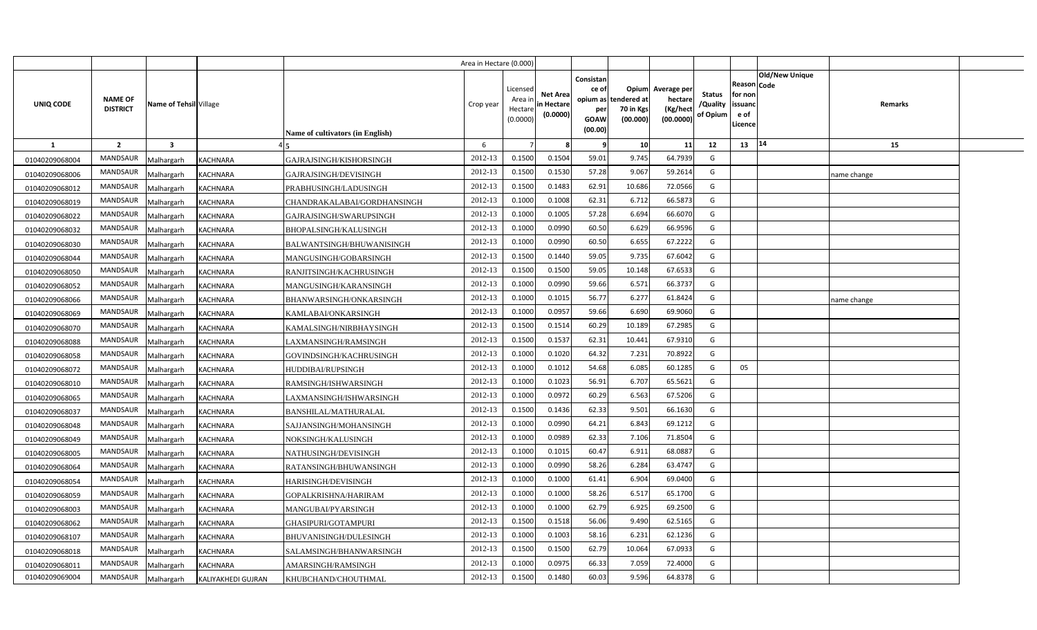|                |                                   |                        |                    |                                         | Area in Hectare (0.000) |                                            |                                           |                                                                 |                                               |                                                 |                                       |                                                 |                               |             |  |
|----------------|-----------------------------------|------------------------|--------------------|-----------------------------------------|-------------------------|--------------------------------------------|-------------------------------------------|-----------------------------------------------------------------|-----------------------------------------------|-------------------------------------------------|---------------------------------------|-------------------------------------------------|-------------------------------|-------------|--|
| UNIQ CODE      | <b>NAME OF</b><br><b>DISTRICT</b> | Name of Tehsil Village |                    | <b>Name of cultivators (in English)</b> | Crop year               | Licensed<br>Area in<br>Hectare<br>(0.0000) | <b>Net Area</b><br>in Hectare<br>(0.0000) | Consistan<br>ce of<br>opium as<br>per<br><b>GOAW</b><br>(00.00) | Opium<br>tendered at<br>70 in Kgs<br>(00.000) | Average per<br>hectare<br>(Kg/hect<br>(00.0000) | <b>Status</b><br>/Quality<br>of Opium | Reason<br>for non<br>issuand<br>e of<br>Licence | <b>Old/New Unique</b><br>Code | Remarks     |  |
| <b>1</b>       | $\overline{2}$                    | $\mathbf{3}$           |                    |                                         | 6                       |                                            |                                           | ٠q                                                              | 10                                            | 11                                              | 12                                    | 13                                              | 14                            | 15          |  |
| 01040209068004 | <b>MANDSAUR</b>                   | Malhargarh             | <b>KACHNARA</b>    | GAJRAJSINGH/KISHORSINGH                 | 2012-13                 | 0.1500                                     | 0.1504                                    | 59.01                                                           | 9.745                                         | 64.7939                                         | G                                     |                                                 |                               |             |  |
| 01040209068006 | MANDSAUR                          | Malhargarh             | <b>KACHNARA</b>    | GAJRAJSINGH/DEVISINGH                   | 2012-13                 | 0.1500                                     | 0.1530                                    | 57.28                                                           | 9.067                                         | 59.2614                                         | G                                     |                                                 |                               | name change |  |
| 01040209068012 | <b>MANDSAUR</b>                   | Malhargarh             | <b>KACHNARA</b>    | PRABHUSINGH/LADUSINGH                   | 2012-13                 | 0.1500                                     | 0.1483                                    | 62.91                                                           | 10.686                                        | 72.0566                                         | G                                     |                                                 |                               |             |  |
| 01040209068019 | <b>MANDSAUR</b>                   | Malhargarh             | KACHNARA           | CHANDRAKALABAI/GORDHANSINGH             | 2012-13                 | 0.100                                      | 0.1008                                    | 62.31                                                           | 6.712                                         | 66.5873                                         | G                                     |                                                 |                               |             |  |
| 01040209068022 | <b>MANDSAUR</b>                   | Malhargarh             | <b>KACHNARA</b>    | GAJRAJSINGH/SWARUPSINGH                 | 2012-13                 | 0.100                                      | 0.1005                                    | 57.28                                                           | 6.694                                         | 66.6070                                         | G                                     |                                                 |                               |             |  |
| 01040209068032 | MANDSAUR                          | Malhargarh             | KACHNARA           | BHOPALSINGH/KALUSINGH                   | 2012-13                 | 0.1000                                     | 0.0990                                    | 60.50                                                           | 6.629                                         | 66.9596                                         | G                                     |                                                 |                               |             |  |
| 01040209068030 | <b>MANDSAUR</b>                   | Malhargarh             | <b>KACHNARA</b>    | BALWANTSINGH/BHUWANISINGH               | 2012-13                 | 0.1000                                     | 0.0990                                    | 60.50                                                           | 6.655                                         | 67.2222                                         | G                                     |                                                 |                               |             |  |
| 01040209068044 | MANDSAUR                          | Malhargarh             | KACHNARA           | MANGUSINGH/GOBARSINGH                   | 2012-13                 | 0.1500                                     | 0.1440                                    | 59.05                                                           | 9.735                                         | 67.6042                                         | G                                     |                                                 |                               |             |  |
| 01040209068050 | MANDSAUR                          | Malhargarh             | <b>KACHNARA</b>    | RANJITSINGH/KACHRUSINGH                 | 2012-13                 | 0.1500                                     | 0.1500                                    | 59.05                                                           | 10.148                                        | 67.6533                                         | G                                     |                                                 |                               |             |  |
| 01040209068052 | <b>MANDSAUR</b>                   | Malhargarh             | KACHNARA           | MANGUSINGH/KARANSINGH                   | 2012-13                 | 0.1000                                     | 0.0990                                    | 59.66                                                           | 6.571                                         | 66.3737                                         | G                                     |                                                 |                               |             |  |
| 01040209068066 | MANDSAUR                          | Malhargarh             | KACHNARA           | BHANWARSINGH/ONKARSINGH                 | 2012-13                 | 0.1000                                     | 0.101!                                    | 56.77                                                           | 6.277                                         | 61.8424                                         | G                                     |                                                 |                               | name change |  |
| 01040209068069 | <b>MANDSAUR</b>                   | Malhargarh             | <b>KACHNARA</b>    | KAMLABAI/ONKARSINGH                     | 2012-13                 | 0.1000                                     | 0.0957                                    | 59.66                                                           | 6.690                                         | 69.9060                                         | G                                     |                                                 |                               |             |  |
| 01040209068070 | <b>MANDSAUR</b>                   | Malhargarh             | KACHNARA           | KAMALSINGH/NIRBHAYSINGH                 | 2012-13                 | 0.1500                                     | 0.1514                                    | 60.29                                                           | 10.189                                        | 67.2985                                         | G                                     |                                                 |                               |             |  |
| 01040209068088 | <b>MANDSAUR</b>                   | Malhargarh             | <b>KACHNARA</b>    | LAXMANSINGH/RAMSINGH                    | 2012-13                 | 0.1500                                     | 0.1537                                    | 62.31                                                           | 10.441                                        | 67.9310                                         | G                                     |                                                 |                               |             |  |
| 01040209068058 | MANDSAUR                          | Malhargarh             | KACHNARA           | GOVINDSINGH/KACHRUSINGH                 | 2012-13                 | 0.1000                                     | 0.1020                                    | 64.32                                                           | 7.231                                         | 70.8922                                         | G                                     |                                                 |                               |             |  |
| 01040209068072 | MANDSAUR                          | Malhargarh             | KACHNARA           | <b>HUDDIBAI/RUPSINGH</b>                | 2012-13                 | 0.1000                                     | 0.1012                                    | 54.68                                                           | 6.085                                         | 60.1285                                         | G                                     | 05                                              |                               |             |  |
| 01040209068010 | MANDSAUR                          | Malhargarh             | KACHNARA           | RAMSINGH/ISHWARSINGH                    | 2012-13                 | 0.1000                                     | 0.1023                                    | 56.91                                                           | 6.707                                         | 65.5621                                         | G                                     |                                                 |                               |             |  |
| 01040209068065 | MANDSAUR                          | Malhargarh             | KACHNARA           | LAXMANSINGH/ISHWARSINGH                 | 2012-13                 | 0.1000                                     | 0.0972                                    | 60.29                                                           | 6.563                                         | 67.5206                                         | G                                     |                                                 |                               |             |  |
| 01040209068037 | <b>MANDSAUR</b>                   | Malhargarh             | <b>KACHNARA</b>    | <b>BANSHILAL/MATHURALAL</b>             | 2012-13                 | 0.1500                                     | 0.1436                                    | 62.33                                                           | 9.501                                         | 66.1630                                         | G                                     |                                                 |                               |             |  |
| 01040209068048 | <b>MANDSAUR</b>                   | Malhargarh             | <b>KACHNARA</b>    | SAJJANSINGH/MOHANSINGH                  | 2012-13                 | 0.1000                                     | 0.0990                                    | 64.21                                                           | 6.843                                         | 69.1212                                         | G                                     |                                                 |                               |             |  |
| 01040209068049 | <b>MANDSAUR</b>                   | Malhargarh             | KACHNARA           | NOKSINGH/KALUSINGH                      | 2012-13                 | 0.1000                                     | 0.0989                                    | 62.33                                                           | 7.106                                         | 71.8504                                         | G                                     |                                                 |                               |             |  |
| 01040209068005 | <b>MANDSAUR</b>                   | Malhargarh             | KACHNARA           | NATHUSINGH/DEVISINGH                    | 2012-13                 | 0.1000                                     | 0.101!                                    | 60.47                                                           | 6.911                                         | 68.0887                                         | G                                     |                                                 |                               |             |  |
| 01040209068064 | MANDSAUR                          | Malhargarh             | <b>KACHNARA</b>    | RATANSINGH/BHUWANSINGH                  | 2012-13                 | 0.1000                                     | 0.0990                                    | 58.26                                                           | 6.284                                         | 63.4747                                         | G                                     |                                                 |                               |             |  |
| 01040209068054 | <b>MANDSAUR</b>                   | Malhargarh             | KACHNARA           | HARISINGH/DEVISINGH                     | 2012-13                 | 0.1000                                     | 0.1000                                    | 61.41                                                           | 6.904                                         | 69.0400                                         | G                                     |                                                 |                               |             |  |
| 01040209068059 | <b>MANDSAUR</b>                   | Malhargarh             | KACHNARA           | GOPALKRISHNA/HARIRAM                    | 2012-13                 | 0.1000                                     | 0.1000                                    | 58.26                                                           | 6.517                                         | 65.1700                                         | G                                     |                                                 |                               |             |  |
| 01040209068003 | <b>MANDSAUR</b>                   | Malhargarh             | KACHNARA           | MANGUBAI/PYARSINGH                      | 2012-13                 | 0.1000                                     | 0.1000                                    | 62.79                                                           | 6.925                                         | 69.2500                                         | G                                     |                                                 |                               |             |  |
| 01040209068062 | MANDSAUR                          | Malhargarh             | KACHNARA           | GHASIPURI/GOTAMPURI                     | 2012-13                 | 0.1500                                     | 0.1518                                    | 56.06                                                           | 9.490                                         | 62.5165                                         | G                                     |                                                 |                               |             |  |
| 01040209068107 | <b>MANDSAUR</b>                   | Malhargarh             | <b>KACHNARA</b>    | BHUVANISINGH/DULESINGH                  | 2012-13                 | 0.1000                                     | 0.1003                                    | 58.16                                                           | 6.231                                         | 62.1236                                         | G                                     |                                                 |                               |             |  |
| 01040209068018 | <b>MANDSAUR</b>                   | Malhargarh             | KACHNARA           | SALAMSINGH/BHANWARSINGH                 | 2012-13                 | 0.1500                                     | 0.1500                                    | 62.79                                                           | 10.064                                        | 67.0933                                         | G                                     |                                                 |                               |             |  |
| 01040209068011 | <b>MANDSAUR</b>                   | Malhargarh             | <b>KACHNARA</b>    | AMARSINGH/RAMSINGH                      | 2012-13                 | 0.1000                                     | 0.0975                                    | 66.33                                                           | 7.059                                         | 72.4000                                         | G                                     |                                                 |                               |             |  |
| 01040209069004 | <b>MANDSAUR</b>                   | Malhargarh             | KALIYAKHEDI GUJRAN | KHUBCHAND/CHOUTHMAL                     | 2012-13                 | 0.1500                                     | 0.1480                                    | 60.03                                                           | 9.596                                         | 64.8378                                         | G                                     |                                                 |                               |             |  |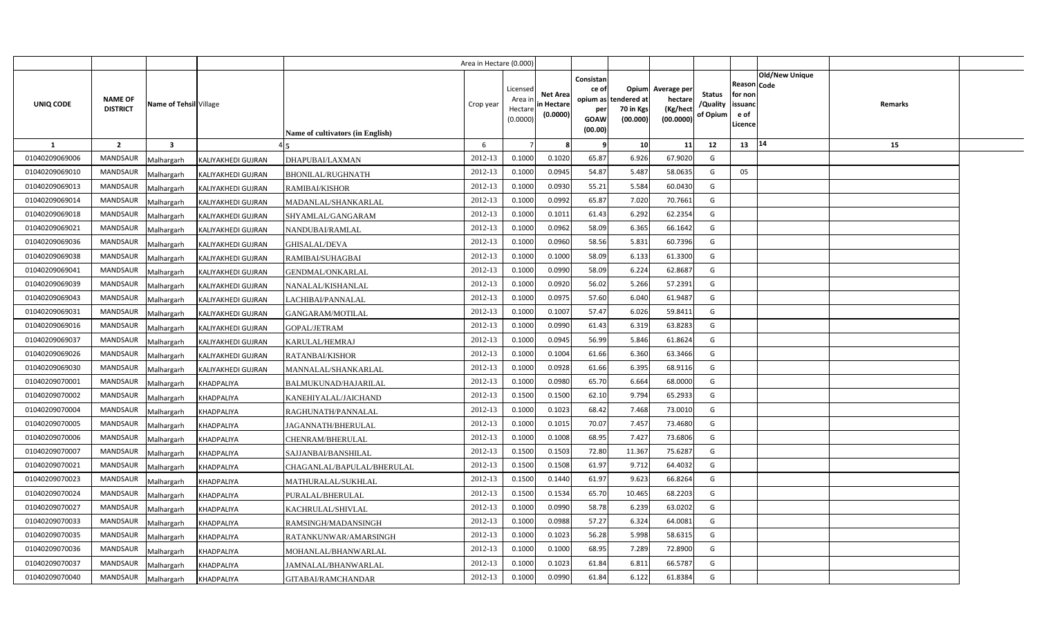|                |                                |                        |                                  | Area in Hectare (0.000) |                                            |                                           |                                                     |                                                        |                                                 |                                       |                                                                        |         |  |
|----------------|--------------------------------|------------------------|----------------------------------|-------------------------|--------------------------------------------|-------------------------------------------|-----------------------------------------------------|--------------------------------------------------------|-------------------------------------------------|---------------------------------------|------------------------------------------------------------------------|---------|--|
| UNIQ CODE      | NAME OF<br><b>DISTRICT</b>     | Name of Tehsil Village | Name of cultivators (in English) | Crop year               | Licensed<br>Area ir<br>Hectare<br>(0.0000) | <b>Net Area</b><br>in Hectare<br>(0.0000) | Consistan<br>ce of<br>per<br><b>GOAW</b><br>(00.00) | Opium<br>opium as tendered at<br>70 in Kgs<br>(00.000) | Average per<br>hectare<br>(Kg/hect<br>(00.0000) | <b>Status</b><br>/Quality<br>of Opium | Old/New Unique<br>Reason Code<br>for non<br>issuanc<br>e of<br>Licence | Remarks |  |
| 1              | $\overline{2}$<br>$\mathbf{3}$ |                        |                                  | 6                       |                                            |                                           | - 9                                                 | 10                                                     | 11                                              | 12                                    | 14<br>13                                                               | 15      |  |
| 01040209069006 | <b>MANDSAUR</b><br>Malhargarh  | KALIYAKHEDI GUJRAN     | DHAPUBAI/LAXMAN                  | 2012-13                 | 0.1000                                     | 0.1020                                    | 65.87                                               | 6.926                                                  | 67.9020                                         | G                                     |                                                                        |         |  |
| 01040209069010 | MANDSAUR<br>Malhargarh         | KALIYAKHEDI GUJRAN     | <b>BHONILAL/RUGHNATH</b>         | 2012-13                 | 0.1000                                     | 0.0945                                    | 54.87                                               | 5.487                                                  | 58.0635                                         | G                                     | 05                                                                     |         |  |
| 01040209069013 | MANDSAUR<br>Malhargarh         | KALIYAKHEDI GUJRAN     | RAMIBAI/KISHOR                   | 2012-13                 | 0.1000                                     | 0.093                                     | 55.21                                               | 5.584                                                  | 60.0430                                         | G                                     |                                                                        |         |  |
| 01040209069014 | MANDSAUR<br>Malhargarh         | KALIYAKHEDI GUJRAN     | MADANLAL/SHANKARLAL              | 2012-13                 | 0.1000                                     | 0.0992                                    | 65.87                                               | 7.020                                                  | 70.7661                                         | G                                     |                                                                        |         |  |
| 01040209069018 | <b>MANDSAUR</b><br>Malhargarh  | KALIYAKHEDI GUJRAN     | SHYAMLAL/GANGARAM                | 2012-13                 | 0.1000                                     | 0.1012                                    | 61.43                                               | 6.292                                                  | 62.2354                                         | G                                     |                                                                        |         |  |
| 01040209069021 | MANDSAUR<br>Malhargarh         | KALIYAKHEDI GUJRAN     | NANDUBAI/RAMLAL                  | 2012-13                 | 0.1000                                     | 0.0962                                    | 58.09                                               | 6.365                                                  | 66.1642                                         | G                                     |                                                                        |         |  |
| 01040209069036 | <b>MANDSAUR</b><br>Malhargarh  | KALIYAKHEDI GUJRAN     | GHISALAL/DEVA                    | 2012-13                 | 0.1000                                     | 0.0960                                    | 58.56                                               | 5.831                                                  | 60.7396                                         | G                                     |                                                                        |         |  |
| 01040209069038 | MANDSAUR<br>Malhargarh         | KALIYAKHEDI GUJRAN     | RAMIBAI/SUHAGBAI                 | 2012-13                 | 0.1000                                     | 0.1000                                    | 58.09                                               | 6.133                                                  | 61.3300                                         | G                                     |                                                                        |         |  |
| 01040209069041 | MANDSAUR<br>Malhargarh         | KALIYAKHEDI GUJRAN     | <b>GENDMAL/ONKARLAL</b>          | 2012-13                 | 0.1000                                     | 0.0990                                    | 58.09                                               | 6.224                                                  | 62.8687                                         | G                                     |                                                                        |         |  |
| 01040209069039 | <b>MANDSAUR</b><br>Malhargarh  | KALIYAKHEDI GUJRAN     | NANALAL/KISHANLAL                | 2012-13                 | 0.1000                                     | 0.0920                                    | 56.02                                               | 5.266                                                  | 57.2391                                         | G                                     |                                                                        |         |  |
| 01040209069043 | MANDSAUR<br>Malhargarh         | KALIYAKHEDI GUJRAN     | LACHIBAI/PANNALAL                | 2012-13                 | 0.1000                                     | 0.0975                                    | 57.60                                               | 6.040                                                  | 61.9487                                         | G                                     |                                                                        |         |  |
| 01040209069031 | MANDSAUR<br>Malhargarh         | KALIYAKHEDI GUJRAN     | GANGARAM/MOTILAL                 | 2012-13                 | 0.1000                                     | 0.1007                                    | 57.47                                               | 6.026                                                  | 59.8411                                         | G                                     |                                                                        |         |  |
| 01040209069016 | <b>MANDSAUR</b><br>Malhargarh  | KALIYAKHEDI GUJRAN     | GOPAL/JETRAM                     | 2012-13                 | 0.1000                                     | 0.0990                                    | 61.43                                               | 6.319                                                  | 63.8283                                         | G                                     |                                                                        |         |  |
| 01040209069037 | <b>MANDSAUR</b><br>Malhargarh  | KALIYAKHEDI GUJRAN     | KARULAL/HEMRAJ                   | 2012-13                 | 0.1000                                     | 0.0945                                    | 56.99                                               | 5.846                                                  | 61.8624                                         | G                                     |                                                                        |         |  |
| 01040209069026 | <b>MANDSAUR</b><br>Malhargarh  | KALIYAKHEDI GUJRAN     | RATANBAI/KISHOR                  | 2012-13                 | 0.1000                                     | 0.1004                                    | 61.66                                               | 6.360                                                  | 63.3466                                         | G                                     |                                                                        |         |  |
| 01040209069030 | <b>MANDSAUR</b><br>Malhargarh  | KALIYAKHEDI GUJRAN     | MANNALAL/SHANKARLAL              | 2012-13                 | 0.1000                                     | 0.0928                                    | 61.66                                               | 6.395                                                  | 68.9116                                         | G                                     |                                                                        |         |  |
| 01040209070001 | <b>MANDSAUR</b><br>Malhargarh  | KHADPALIYA             | BALMUKUNAD/HAJARILAL             | 2012-13                 | 0.1000                                     | 0.0980                                    | 65.70                                               | 6.664                                                  | 68.0000                                         | G                                     |                                                                        |         |  |
| 01040209070002 | MANDSAUR<br>Malhargarh         | KHADPALIYA             | KANEHIYALAL/JAICHAND             | 2012-13                 | 0.1500                                     | 0.1500                                    | 62.10                                               | 9.794                                                  | 65.2933                                         | G                                     |                                                                        |         |  |
| 01040209070004 | <b>MANDSAUR</b><br>Malhargarh  | KHADPALIYA             | RAGHUNATH/PANNALAL               | 2012-13                 | 0.1000                                     | 0.1023                                    | 68.42                                               | 7.468                                                  | 73.0010                                         | G                                     |                                                                        |         |  |
| 01040209070005 | <b>MANDSAUR</b><br>Malhargarh  | KHADPALIYA             | JAGANNATH/BHERULAL               | 2012-13                 | 0.1000                                     | 0.1015                                    | 70.07                                               | 7.457                                                  | 73.4680                                         | G                                     |                                                                        |         |  |
| 01040209070006 | <b>MANDSAUR</b><br>Malhargarh  | KHADPALIYA             | CHENRAM/BHERULAL                 | 2012-13                 | 0.1000                                     | 0.1008                                    | 68.95                                               | 7.427                                                  | 73.6806                                         | G                                     |                                                                        |         |  |
| 01040209070007 | <b>MANDSAUR</b><br>Malhargarh  | KHADPALIYA             | SAJJANBAI/BANSHILAL              | 2012-13                 | 0.1500                                     | 0.1503                                    | 72.80                                               | 11.367                                                 | 75.6287                                         | G                                     |                                                                        |         |  |
| 01040209070021 | <b>MANDSAUR</b><br>Malhargarh  | KHADPALIYA             | CHAGANLAL/BAPULAL/BHERULAL       | 2012-13                 | 0.1500                                     | 0.1508                                    | 61.97                                               | 9.712                                                  | 64.4032                                         | G                                     |                                                                        |         |  |
| 01040209070023 | MANDSAUR<br>Malhargarh         | KHADPALIYA             | MATHURALAL/SUKHLAL               | 2012-13                 | 0.1500                                     | 0.1440                                    | 61.97                                               | 9.623                                                  | 66.8264                                         | G                                     |                                                                        |         |  |
| 01040209070024 | MANDSAUR<br>Malhargarh         | KHADPALIYA             | PURALAL/BHERULAL                 | 2012-13                 | 0.1500                                     | 0.1534                                    | 65.70                                               | 10.465                                                 | 68.2203                                         | G                                     |                                                                        |         |  |
| 01040209070027 | MANDSAUR<br>Malhargarh         | KHADPALIYA             | KACHRULAL/SHIVLAL                | 2012-13                 | 0.1000                                     | 0.0990                                    | 58.78                                               | 6.239                                                  | 63.0202                                         | G                                     |                                                                        |         |  |
| 01040209070033 | MANDSAUR<br>Malhargarh         | KHADPALIYA             | RAMSINGH/MADANSINGH              | 2012-13                 | 0.1000                                     | 0.0988                                    | 57.27                                               | 6.324                                                  | 64.0081                                         | G                                     |                                                                        |         |  |
| 01040209070035 | MANDSAUR<br>Malhargarh         | KHADPALIYA             | RATANKUNWAR/AMARSINGH            | 2012-13                 | 0.1000                                     | 0.1023                                    | 56.28                                               | 5.998                                                  | 58.6315                                         | G                                     |                                                                        |         |  |
| 01040209070036 | MANDSAUR<br>Malhargarh         | KHADPALIYA             | MOHANLAL/BHANWARLAL              | 2012-13                 | 0.1000                                     | 0.1000                                    | 68.95                                               | 7.289                                                  | 72.8900                                         | G                                     |                                                                        |         |  |
| 01040209070037 | MANDSAUR<br>Malhargarh         | KHADPALIYA             | JAMNALAL/BHANWARLAL              | 2012-13                 | 0.1000                                     | 0.1023                                    | 61.84                                               | 6.811                                                  | 66.578                                          | G                                     |                                                                        |         |  |
| 01040209070040 | MANDSAUR<br>Malhargarh         | <b>KHADPALIYA</b>      | GITABAI/RAMCHANDAR               | 2012-13                 | 0.1000                                     | 0.0990                                    | 61.84                                               | 6.122                                                  | 61.8384                                         | G                                     |                                                                        |         |  |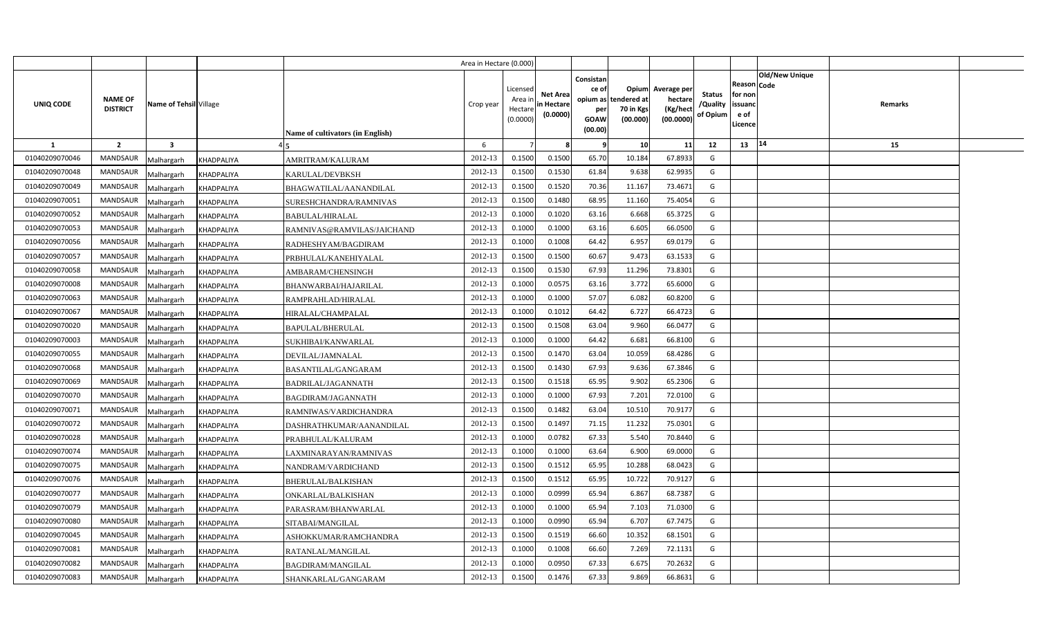|                |                                   |                                 |                                         | Area in Hectare (0.000) |                                            |                                           |                                                                             |                                |                                                 |                                       |                                                      |                       |         |  |
|----------------|-----------------------------------|---------------------------------|-----------------------------------------|-------------------------|--------------------------------------------|-------------------------------------------|-----------------------------------------------------------------------------|--------------------------------|-------------------------------------------------|---------------------------------------|------------------------------------------------------|-----------------------|---------|--|
| UNIQ CODE      | <b>NAME OF</b><br><b>DISTRICT</b> | Name of Tehsil Village          | <b>Name of cultivators (in English)</b> | Crop year               | Licensed<br>Area ir<br>Hectare<br>(0.0000) | <b>Net Area</b><br>in Hectare<br>(0.0000) | Consistan<br>ce of<br>opium as tendered at<br>per<br><b>GOAW</b><br>(00.00) | Opium<br>70 in Kgs<br>(00.000) | Average per<br>hectare<br>(Kg/hect<br>(00.0000) | <b>Status</b><br>/Quality<br>of Opium | Reason Code<br>for non<br>issuanc<br>e of<br>Licence | <b>Old/New Unique</b> | Remarks |  |
| $\mathbf{1}$   | $\overline{2}$                    | $\overline{\mathbf{3}}$         |                                         | 6                       |                                            |                                           | -9                                                                          | 10                             | 11                                              | 12                                    | 13                                                   | 14                    | 15      |  |
| 01040209070046 | <b>MANDSAUR</b>                   | <b>KHADPALIYA</b><br>Malhargarh | AMRITRAM/KALURAM                        | 2012-13                 | 0.1500                                     | 0.1500                                    | 65.70                                                                       | 10.184                         | 67.8933                                         | G                                     |                                                      |                       |         |  |
| 01040209070048 | <b>MANDSAUR</b>                   | KHADPALIYA<br>Malhargarh        | KARULAL/DEVBKSH                         | 2012-13                 | 0.1500                                     | 0.1530                                    | 61.84                                                                       | 9.638                          | 62.9935                                         | G                                     |                                                      |                       |         |  |
| 01040209070049 | <b>MANDSAUR</b>                   | Malhargarh<br><b>KHADPALIYA</b> | BHAGWATILAL/AANANDILAL                  | 2012-13                 | 0.1500                                     | 0.1520                                    | 70.36                                                                       | 11.167                         | 73.4671                                         | G                                     |                                                      |                       |         |  |
| 01040209070051 | <b>MANDSAUR</b>                   | <b>KHADPALIYA</b><br>Malhargarh | SURESHCHANDRA/RAMNIVAS                  | 2012-13                 | 0.1500                                     | 0.1480                                    | 68.95                                                                       | 11.160                         | 75.4054                                         | G                                     |                                                      |                       |         |  |
| 01040209070052 | MANDSAUR                          | Malhargarh<br><b>KHADPALIYA</b> | <b>BABULAL/HIRALAL</b>                  | 2012-13                 | 0.1000                                     | 0.1020                                    | 63.16                                                                       | 6.668                          | 65.3725                                         | G                                     |                                                      |                       |         |  |
| 01040209070053 | <b>MANDSAUR</b>                   | <b>KHADPALIYA</b><br>Malhargarh | RAMNIVAS@RAMVILAS/JAICHAND              | 2012-13                 | 0.100                                      | 0.1000                                    | 63.16                                                                       | 6.605                          | 66.0500                                         | G                                     |                                                      |                       |         |  |
| 01040209070056 | <b>MANDSAUR</b>                   | Malhargarh<br>KHADPALIYA        | RADHESHYAM/BAGDIRAM                     | 2012-13                 | 0.1000                                     | 0.1008                                    | 64.42                                                                       | 6.957                          | 69.0179                                         | G                                     |                                                      |                       |         |  |
| 01040209070057 | <b>MANDSAUR</b>                   | Malhargarh<br>KHADPALIYA        | PRBHULAL/KANEHIYALAL                    | 2012-13                 | 0.1500                                     | 0.1500                                    | 60.67                                                                       | 9.473                          | 63.1533                                         | G                                     |                                                      |                       |         |  |
| 01040209070058 | <b>MANDSAUR</b>                   | Malhargarh<br>KHADPALIYA        | AMBARAM/CHENSINGH                       | 2012-13                 | 0.1500                                     | 0.1530                                    | 67.93                                                                       | 11.296                         | 73.8301                                         | G                                     |                                                      |                       |         |  |
| 01040209070008 | <b>MANDSAUR</b>                   | Malhargarh<br><b>KHADPALIYA</b> | BHANWARBAI/HAJARILAL                    | 2012-13                 | 0.1000                                     | 0.0575                                    | 63.16                                                                       | 3.772                          | 65.6000                                         | G                                     |                                                      |                       |         |  |
| 01040209070063 | <b>MANDSAUR</b>                   | Malhargarh<br><b>KHADPALIYA</b> | RAMPRAHLAD/HIRALAL                      | 2012-13                 | 0.1000                                     | 0.1000                                    | 57.07                                                                       | 6.082                          | 60.8200                                         | G                                     |                                                      |                       |         |  |
| 01040209070067 | <b>MANDSAUR</b>                   | Malhargarh<br><b>KHADPALIYA</b> | HIRALAL/CHAMPALAL                       | 2012-13                 | 0.1000                                     | 0.1012                                    | 64.42                                                                       | 6.727                          | 66.4723                                         | G                                     |                                                      |                       |         |  |
| 01040209070020 | <b>MANDSAUR</b>                   | Malhargarh<br><b>KHADPALIYA</b> | BAPULAL/BHERULAL                        | 2012-13                 | 0.1500                                     | 0.1508                                    | 63.04                                                                       | 9.960                          | 66.0477                                         | G                                     |                                                      |                       |         |  |
| 01040209070003 | MANDSAUR                          | Malhargarh<br><b>KHADPALIYA</b> | SUKHIBAI/KANWARLAL                      | 2012-13                 | 0.1000                                     | 0.1000                                    | 64.42                                                                       | 6.681                          | 66.8100                                         | G                                     |                                                      |                       |         |  |
| 01040209070055 | MANDSAUR                          | Malhargarh<br><b>KHADPALIYA</b> | DEVILAL/JAMNALAL                        | 2012-13                 | 0.1500                                     | 0.1470                                    | 63.04                                                                       | 10.059                         | 68.4286                                         | G                                     |                                                      |                       |         |  |
| 01040209070068 | MANDSAUR                          | Malhargarh<br><b>KHADPALIYA</b> | BASANTILAL/GANGARAM                     | 2012-13                 | 0.1500                                     | 0.1430                                    | 67.93                                                                       | 9.636                          | 67.3846                                         | G                                     |                                                      |                       |         |  |
| 01040209070069 | MANDSAUR                          | Malhargarh<br><b>KHADPALIYA</b> | BADRILAL/JAGANNATH                      | 2012-13                 | 0.1500                                     | 0.1518                                    | 65.95                                                                       | 9.902                          | 65.2306                                         | G                                     |                                                      |                       |         |  |
| 01040209070070 | <b>MANDSAUR</b>                   | Malhargarh<br>KHADPALIYA        | <b>BAGDIRAM/JAGANNATH</b>               | 2012-13                 | 0.1000                                     | 0.1000                                    | 67.93                                                                       | 7.201                          | 72.0100                                         | G                                     |                                                      |                       |         |  |
| 01040209070071 | MANDSAUR                          | Malhargarh<br><b>KHADPALIYA</b> | RAMNIWAS/VARDICHANDRA                   | 2012-13                 | 0.1500                                     | 0.1482                                    | 63.04                                                                       | 10.510                         | 70.9177                                         | G                                     |                                                      |                       |         |  |
| 01040209070072 | <b>MANDSAUR</b>                   | Malhargarh<br><b>KHADPALIYA</b> | DASHRATHKUMAR/AANANDILAL                | 2012-13                 | 0.1500                                     | 0.1497                                    | 71.15                                                                       | 11.232                         | 75.0301                                         | G                                     |                                                      |                       |         |  |
| 01040209070028 | <b>MANDSAUR</b>                   | Malhargarh<br>KHADPALIYA        | PRABHULAL/KALURAM                       | 2012-13                 | 0.1000                                     | 0.0782                                    | 67.33                                                                       | 5.540                          | 70.8440                                         | G                                     |                                                      |                       |         |  |
| 01040209070074 | <b>MANDSAUR</b>                   | Malhargarh<br><b>KHADPALIYA</b> | LAXMINARAYAN/RAMNIVAS                   | 2012-13                 | 0.1000                                     | 0.1000                                    | 63.64                                                                       | 6.900                          | 69.0000                                         | G                                     |                                                      |                       |         |  |
| 01040209070075 | <b>MANDSAUR</b>                   | Malhargarh<br><b>KHADPALIYA</b> | NANDRAM/VARDICHAND                      | 2012-13                 | 0.1500                                     | 0.1512                                    | 65.95                                                                       | 10.288                         | 68.0423                                         | G                                     |                                                      |                       |         |  |
| 01040209070076 | MANDSAUR                          | Malhargarh<br>KHADPALIYA        | BHERULAL/BALKISHAN                      | 2012-13                 | 0.1500                                     | 0.1512                                    | 65.95                                                                       | 10.722                         | 70.9127                                         | G                                     |                                                      |                       |         |  |
| 01040209070077 | <b>MANDSAUR</b>                   | Malhargarh<br><b>KHADPALIYA</b> | ONKARLAL/BALKISHAN                      | 2012-13                 | 0.1000                                     | 0.0999                                    | 65.94                                                                       | 6.867                          | 68.7387                                         | G                                     |                                                      |                       |         |  |
| 01040209070079 | <b>MANDSAUR</b>                   | Malhargarh<br><b>KHADPALIYA</b> | PARASRAM/BHANWARLAL                     | 2012-13                 | 0.1000                                     | 0.1000                                    | 65.94                                                                       | 7.103                          | 71.0300                                         | G                                     |                                                      |                       |         |  |
| 01040209070080 | <b>MANDSAUR</b>                   | Malhargarh<br>KHADPALIYA        | SITABAI/MANGILAL                        | 2012-13                 | 0.1000                                     | 0.0990                                    | 65.94                                                                       | 6.707                          | 67.7475                                         | G                                     |                                                      |                       |         |  |
| 01040209070045 | <b>MANDSAUR</b>                   | Malhargarh<br><b>KHADPALIYA</b> | ASHOKKUMAR/RAMCHANDRA                   | 2012-13                 | 0.1500                                     | 0.1519                                    | 66.60                                                                       | 10.352                         | 68.1501                                         | G                                     |                                                      |                       |         |  |
| 01040209070081 | <b>MANDSAUR</b>                   | Malhargarh<br><b>KHADPALIYA</b> | RATANLAL/MANGILAL                       | 2012-13                 | 0.1000                                     | 0.1008                                    | 66.60                                                                       | 7.269                          | 72.1131                                         | G                                     |                                                      |                       |         |  |
| 01040209070082 | <b>MANDSAUR</b>                   | Malhargarh<br><b>KHADPALIYA</b> | <b>BAGDIRAM/MANGILAL</b>                | 2012-13                 | 0.1000                                     | 0.0950                                    | 67.33                                                                       | 6.675                          | 70.2632                                         | G                                     |                                                      |                       |         |  |
| 01040209070083 | <b>MANDSAUR</b>                   | Malhargarh<br><b>KHADPALIYA</b> | SHANKARLAL/GANGARAM                     | 2012-13                 | 0.1500                                     | 0.1476                                    | 67.33                                                                       | 9.869                          | 66.8631                                         | G                                     |                                                      |                       |         |  |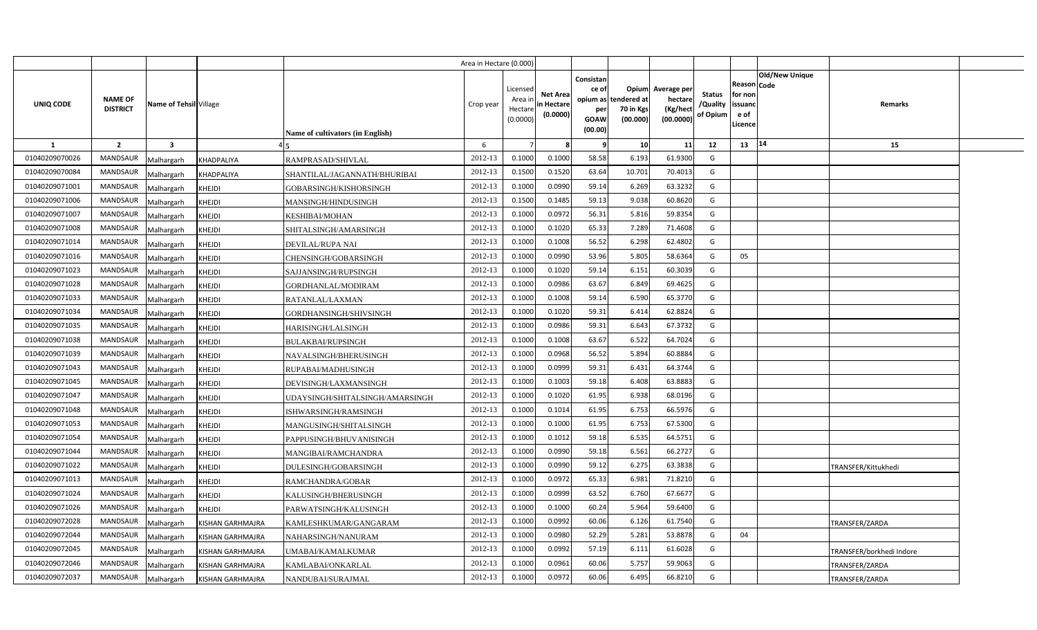|                |                                   |                         |                         |                                  | Area in Hectare (0.000) |                                            |                                           |                                                          |                                                      |                                                 |                                       |                                                      |                       |                          |  |
|----------------|-----------------------------------|-------------------------|-------------------------|----------------------------------|-------------------------|--------------------------------------------|-------------------------------------------|----------------------------------------------------------|------------------------------------------------------|-------------------------------------------------|---------------------------------------|------------------------------------------------------|-----------------------|--------------------------|--|
| UNIQ CODE      | <b>NAME OF</b><br><b>DISTRICT</b> | Name of Tehsil Village  |                         | Name of cultivators (in English) | Crop year               | Licensed<br>Area ir<br>Hectare<br>(0.0000) | <b>Net Area</b><br>in Hectare<br>(0.0000) | Consistan<br>ce of<br>opium as<br>per<br>GOAW<br>(00.00) | <b>Opium</b><br>tendered at<br>70 in Kgs<br>(00.000) | Average per<br>hectare<br>(Kg/hect<br>(00.0000) | <b>Status</b><br>/Quality<br>of Opium | Reason Code<br>for non<br>issuanc<br>e of<br>Licence | <b>Old/New Unique</b> | Remarks                  |  |
| -1             | $\overline{2}$                    | $\overline{\mathbf{3}}$ |                         |                                  | 6                       |                                            |                                           | - q                                                      | 10 <sup>1</sup>                                      | 11                                              | 12                                    | 13   14                                              |                       | 15                       |  |
| 01040209070026 | MANDSAUR                          | Malhargarh              | KHADPALIYA              | RAMPRASAD/SHIVLAL                | 2012-13                 | 0.1000                                     | 0.1000                                    | 58.58                                                    | 6.193                                                | 61.9300                                         | G                                     |                                                      |                       |                          |  |
| 01040209070084 | <b>MANDSAUR</b>                   | Malhargarh              | <b>KHADPALIYA</b>       | SHANTILAL/JAGANNATH/BHURIBAI     | 2012-13                 | 0.1500                                     | 0.1520                                    | 63.64                                                    | 10.701                                               | 70.4013                                         | G                                     |                                                      |                       |                          |  |
| 01040209071001 | <b>MANDSAUR</b>                   | Malhargarh              | KHEJDI                  | GOBARSINGH/KISHORSINGH           | 2012-13                 | 0.1000                                     | 0.0990                                    | 59.14                                                    | 6.269                                                | 63.3232                                         | G                                     |                                                      |                       |                          |  |
| 01040209071006 | <b>MANDSAUR</b>                   | Malhargarh              | KHEJDI                  | MANSINGH/HINDUSINGH              | 2012-13                 | 0.1500                                     | 0.1485                                    | 59.13                                                    | 9.038                                                | 60.8620                                         | G                                     |                                                      |                       |                          |  |
| 01040209071007 | <b>MANDSAUR</b>                   | Malhargarh              | KHEJDI                  | <b>KESHIBAI/MOHAN</b>            | 2012-13                 | 0.1000                                     | 0.0972                                    | 56.31                                                    | 5.816                                                | 59.8354                                         | G                                     |                                                      |                       |                          |  |
| 01040209071008 | <b>MANDSAUR</b>                   | Malhargarh              | KHEJDI                  | SHITALSINGH/AMARSINGH            | 2012-13                 | 0.1000                                     | 0.1020                                    | 65.33                                                    | 7.289                                                | 71.4608                                         | G                                     |                                                      |                       |                          |  |
| 01040209071014 | <b>MANDSAUR</b>                   | Malhargarh              | KHEJDI                  | <b>DEVILAL/RUPA NAI</b>          | 2012-13                 | 0.1000                                     | 0.1008                                    | 56.52                                                    | 6.298                                                | 62.4802                                         | G                                     |                                                      |                       |                          |  |
| 01040209071016 | <b>MANDSAUR</b>                   | Malhargarh              | KHEJDI                  | CHENSINGH/GOBARSINGH             | 2012-13                 | 0.1000                                     | 0.0990                                    | 53.96                                                    | 5.805                                                | 58.6364                                         | G                                     | 05                                                   |                       |                          |  |
| 01040209071023 | MANDSAUR                          | Malhargarh              | <b>KHEJDI</b>           | SAJJANSINGH/RUPSINGH             | 2012-13                 | 0.1000                                     | 0.1020                                    | 59.14                                                    | 6.151                                                | 60.3039                                         | G                                     |                                                      |                       |                          |  |
| 01040209071028 | MANDSAUR                          | Malhargarh              | KHEJDI                  | GORDHANLAL/MODIRAM               | 2012-13                 | 0.1000                                     | 0.0986                                    | 63.67                                                    | 6.849                                                | 69.4625                                         | G                                     |                                                      |                       |                          |  |
| 01040209071033 | <b>MANDSAUR</b>                   | Malhargarh              | KHEJDI                  | RATANLAL/LAXMAN                  | 2012-13                 | 0.1000                                     | 0.1008                                    | 59.14                                                    | 6.590                                                | 65.3770                                         | G                                     |                                                      |                       |                          |  |
| 01040209071034 | MANDSAUR                          | Malhargarh              | KHEJDI                  | GORDHANSINGH/SHIVSINGH           | 2012-13                 | 0.1000                                     | 0.1020                                    | 59.31                                                    | 6.414                                                | 62.8824                                         | G                                     |                                                      |                       |                          |  |
| 01040209071035 | <b>MANDSAUR</b>                   | Malhargarh              | KHEJDI                  | HARISINGH/LALSINGH               | 2012-13                 | 0.1000                                     | 0.0986                                    | 59.31                                                    | 6.643                                                | 67.3732                                         | G                                     |                                                      |                       |                          |  |
| 01040209071038 | <b>MANDSAUR</b>                   | Malhargarh              | KHEJDI                  | <b>BULAKBAI/RUPSINGH</b>         | 2012-13                 | 0.1000                                     | 0.1008                                    | 63.67                                                    | 6.522                                                | 64.7024                                         | G                                     |                                                      |                       |                          |  |
| 01040209071039 | MANDSAUR                          | Malhargarh              | KHEJDI                  | NAVALSINGH/BHERUSINGH            | 2012-13                 | 0.1000                                     | 0.0968                                    | 56.52                                                    | 5.894                                                | 60.8884                                         | G                                     |                                                      |                       |                          |  |
| 01040209071043 | MANDSAUR                          | Malhargarh              | KHEJDI                  | RUPABAI/MADHUSINGH               | 2012-13                 | 0.1000                                     | 0.0999                                    | 59.31                                                    | 6.431                                                | 64.3744                                         | G                                     |                                                      |                       |                          |  |
| 01040209071045 | MANDSAUR                          | Malhargarh              | KHEJDI                  | DEVISINGH/LAXMANSINGH            | 2012-13                 | 0.1000                                     | 0.1003                                    | 59.18                                                    | 6.408                                                | 63.8883                                         | G                                     |                                                      |                       |                          |  |
| 01040209071047 | MANDSAUR                          | Malhargarh              | KHEJDI                  | UDAYSINGH/SHITALSINGH/AMARSINGH  | 2012-13                 | 0.1000                                     | 0.1020                                    | 61.95                                                    | 6.938                                                | 68.0196                                         | G                                     |                                                      |                       |                          |  |
| 01040209071048 | MANDSAUR                          | Malhargarh              | KHEJDI                  | ISHWARSINGH/RAMSINGH             | 2012-13                 | 0.1000                                     | 0.1014                                    | 61.95                                                    | 6.753                                                | 66.5976                                         | G                                     |                                                      |                       |                          |  |
| 01040209071053 | MANDSAUR                          | Malhargarh              | KHEJDI                  | MANGUSINGH/SHITALSINGH           | 2012-13                 | 0.1000                                     | 0.1000                                    | 61.95                                                    | 6.753                                                | 67.5300                                         | G                                     |                                                      |                       |                          |  |
| 01040209071054 | MANDSAUR                          | Malhargarh              | KHEJDI                  | PAPPUSINGH/BHUVANISINGH          | 2012-13                 | 0.1000                                     | 0.1012                                    | 59.18                                                    | 6.535                                                | 64.5751                                         | G                                     |                                                      |                       |                          |  |
| 01040209071044 | MANDSAUR                          | Malhargarh              | KHEJDI                  | MANGIBAI/RAMCHANDRA              | 2012-13                 | 0.1000                                     | 0.0990                                    | 59.18                                                    | 6.561                                                | 66.2727                                         | G                                     |                                                      |                       |                          |  |
| 01040209071022 | MANDSAUR                          | Malhargarh              | KHEJDI                  | DULESINGH/GOBARSINGH             | 2012-13                 | 0.1000                                     | 0.0990                                    | 59.12                                                    | 6.275                                                | 63.3838                                         | G                                     |                                                      |                       | TRANSFER/Kittukhedi      |  |
| 01040209071013 | MANDSAUR                          | Malhargarh              | KHEJDI                  | RAMCHANDRA/GOBAR                 | 2012-13                 | 0.1000                                     | 0.0972                                    | 65.33                                                    | 6.981                                                | 71.8210                                         | G                                     |                                                      |                       |                          |  |
| 01040209071024 | MANDSAUR                          | Malhargarh              | KHEJDI                  | KALUSINGH/BHERUSINGH             | 2012-13                 | 0.1000                                     | 0.0999                                    | 63.52                                                    | 6.760                                                | 67.6677                                         | G                                     |                                                      |                       |                          |  |
| 01040209071026 | <b>MANDSAUR</b>                   | Malhargarh              | KHEJDI                  | PARWATSINGH/KALUSINGH            | 2012-13                 | 0.1000                                     | 0.1000                                    | 60.24                                                    | 5.964                                                | 59.6400                                         | G                                     |                                                      |                       |                          |  |
| 01040209072028 | MANDSAUR                          | Malhargarh              | KISHAN GARHMAJRA        | KAMLESHKUMAR/GANGARAM            | 2012-13                 | 0.1000                                     | 0.0992                                    | 60.06                                                    | 6.126                                                | 61.7540                                         | G                                     |                                                      |                       | TRANSFER/ZARDA           |  |
| 01040209072044 | MANDSAUR                          | Malhargarh              | KISHAN GARHMAJRA        | NAHARSINGH/NANURAM               | 2012-13                 | 0.1000                                     | 0.0980                                    | 52.29                                                    | 5.281                                                | 53.8878                                         | G                                     | 04                                                   |                       |                          |  |
| 01040209072045 | MANDSAUR                          | Malhargarh              | KISHAN GARHMAJRA        | UMABAI/KAMALKUMAR                | 2012-13                 | 0.1000                                     | 0.0992                                    | 57.19                                                    | 6.111                                                | 61.6028                                         | G                                     |                                                      |                       | TRANSFER/borkhedi Indore |  |
| 01040209072046 | <b>MANDSAUR</b>                   | Malhargarh              | <b>KISHAN GARHMAJRA</b> | KAMLABAI/ONKARLAL                | 2012-13                 | 0.1000                                     | 0.0961                                    | 60.06                                                    | 5.757                                                | 59.9063                                         | G                                     |                                                      |                       | TRANSFER/ZARDA           |  |
| 01040209072037 | MANDSAUR                          | Malhargarh              | <b>KISHAN GARHMAJRA</b> | NANDUBAI/SURAJMAL                | 2012-13                 | 0.1000                                     | 0.0972                                    | 60.06                                                    | 6.495                                                | 66.8210                                         | G                                     |                                                      |                       | TRANSFER/ZARDA           |  |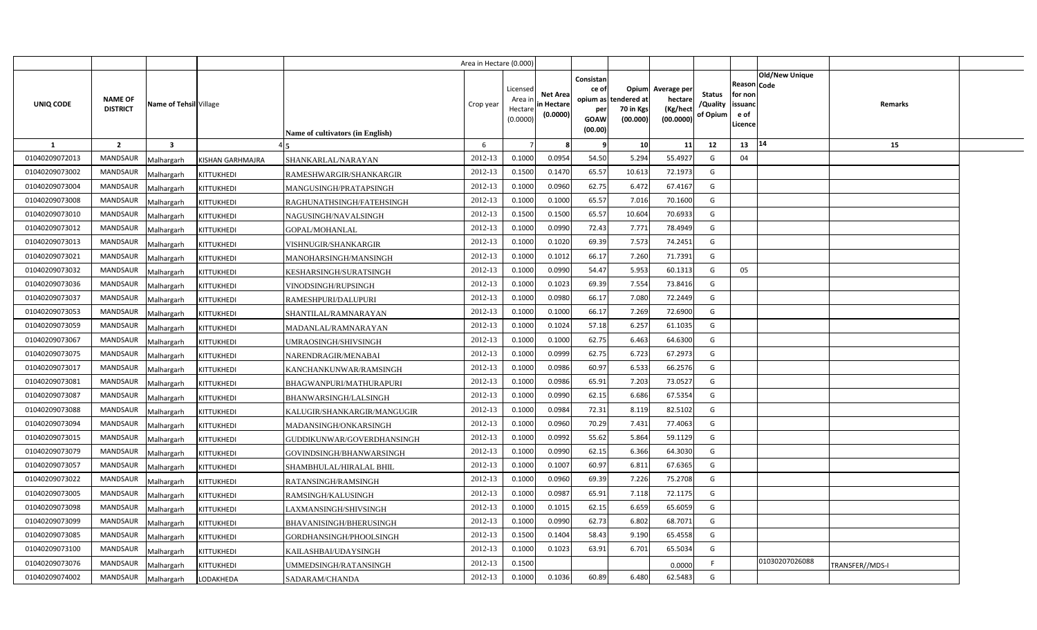|                |                                   |                                       |                                  | Area in Hectare (0.000) |                                           |                                           |                                                                      |                                |                                                 |                                       |                                                      |                       |                 |  |
|----------------|-----------------------------------|---------------------------------------|----------------------------------|-------------------------|-------------------------------------------|-------------------------------------------|----------------------------------------------------------------------|--------------------------------|-------------------------------------------------|---------------------------------------|------------------------------------------------------|-----------------------|-----------------|--|
| UNIQ CODE      | <b>NAME OF</b><br><b>DISTRICT</b> | Name of Tehsil Village                | Name of cultivators (in English) | Crop year               | Licensed<br>Area ir<br>Hectar<br>(0.0000) | <b>Net Area</b><br>in Hectare<br>(0.0000) | Consistan<br>ce of<br>opium as tendered at<br>per<br>GOAW<br>(00.00) | Opium<br>70 in Kgs<br>(00.000) | Average per<br>hectare<br>(Kg/hect<br>(00.0000) | <b>Status</b><br>/Quality<br>of Opium | Reason Code<br>for non<br>issuanc<br>e of<br>Licence | <b>Old/New Unique</b> | Remarks         |  |
| 1              | $\overline{2}$                    | $\overline{\mathbf{3}}$               |                                  | 6                       |                                           |                                           | -9                                                                   | 10                             | 11                                              | 12                                    | 13                                                   | 14                    | 15              |  |
| 01040209072013 | <b>MANDSAUR</b>                   | Malhargarh<br><b>KISHAN GARHMAJRA</b> | SHANKARLAL/NARAYAN               | 2012-13                 | 0.1000                                    | 0.0954                                    | 54.50                                                                | 5.294                          | 55.4927                                         | G                                     | 04                                                   |                       |                 |  |
| 01040209073002 | <b>MANDSAUR</b>                   | Malhargarh<br>KITTUKHEDI              | RAMESHWARGIR/SHANKARGIR          | 2012-13                 | 0.1500                                    | 0.1470                                    | 65.57                                                                | 10.613                         | 72.1973                                         | G                                     |                                                      |                       |                 |  |
| 01040209073004 | <b>MANDSAUR</b>                   | KITTUKHEDI<br>Malhargarh              | MANGUSINGH/PRATAPSINGH           | 2012-13                 | 0.1000                                    | 0.0960                                    | 62.75                                                                | 6.472                          | 67.4167                                         | G                                     |                                                      |                       |                 |  |
| 01040209073008 | <b>MANDSAUR</b>                   | Malhargarh<br>KITTUKHEDI              | RAGHUNATHSINGH/FATEHSINGH        | 2012-13                 | 0.1000                                    | 0.1000                                    | 65.57                                                                | 7.016                          | 70.1600                                         | G                                     |                                                      |                       |                 |  |
| 01040209073010 | <b>MANDSAUR</b>                   | Malhargarh<br>KITTUKHEDI              | NAGUSINGH/NAVALSINGH             | 2012-13                 | 0.1500                                    | 0.1500                                    | 65.57                                                                | 10.604                         | 70.6933                                         | G                                     |                                                      |                       |                 |  |
| 01040209073012 | <b>MANDSAUR</b>                   | Malhargarh<br>KITTUKHEDI              | GOPAL/MOHANLAL                   | 2012-13                 | 0.1000                                    | 0.0990                                    | 72.43                                                                | 7.771                          | 78.4949                                         | G                                     |                                                      |                       |                 |  |
| 01040209073013 | <b>MANDSAUR</b>                   | KITTUKHEDI<br>Malhargarh              | VISHNUGIR/SHANKARGIR             | 2012-13                 | 0.1000                                    | 0.1020                                    | 69.39                                                                | 7.573                          | 74.2451                                         | G                                     |                                                      |                       |                 |  |
| 01040209073021 | <b>MANDSAUR</b>                   | Malhargarh<br>KITTUKHEDI              | MANOHARSINGH/MANSINGH            | 2012-13                 | 0.1000                                    | 0.1012                                    | 66.17                                                                | 7.260                          | 71.7391                                         | G                                     |                                                      |                       |                 |  |
| 01040209073032 | <b>MANDSAUR</b>                   | Malhargarh<br>KITTUKHEDI              | KESHARSINGH/SURATSINGH           | 2012-13                 | 0.1000                                    | 0.0990                                    | 54.47                                                                | 5.953                          | 60.1313                                         | $\mathsf{G}$                          | 05                                                   |                       |                 |  |
| 01040209073036 | <b>MANDSAUR</b>                   | Malhargarh<br>KITTUKHEDI              | VINODSINGH/RUPSINGH              | 2012-13                 | 0.1000                                    | 0.1023                                    | 69.39                                                                | 7.554                          | 73.8416                                         | G                                     |                                                      |                       |                 |  |
| 01040209073037 | <b>MANDSAUR</b>                   | Malhargarh<br>KITTUKHEDI              | RAMESHPURI/DALUPURI              | 2012-13                 | 0.1000                                    | 0.0980                                    | 66.17                                                                | 7.080                          | 72.2449                                         | G                                     |                                                      |                       |                 |  |
| 01040209073053 | MANDSAUR                          | Malhargarh<br><b>KITTUKHEDI</b>       | SHANTILAL/RAMNARAYAN             | 2012-13                 | 0.1000                                    | 0.1000                                    | 66.17                                                                | 7.269                          | 72.6900                                         | G                                     |                                                      |                       |                 |  |
| 01040209073059 | <b>MANDSAUR</b>                   | Malhargarh<br>KITTUKHEDI              | MADANLAL/RAMNARAYAN              | 2012-13                 | 0.1000                                    | 0.1024                                    | 57.18                                                                | 6.257                          | 61.1035                                         | G                                     |                                                      |                       |                 |  |
| 01040209073067 | MANDSAUR                          | Malhargarh<br>KITTUKHEDI              | UMRAOSINGH/SHIVSINGH             | 2012-13                 | 0.1000                                    | 0.1000                                    | 62.75                                                                | 6.463                          | 64.6300                                         | G                                     |                                                      |                       |                 |  |
| 01040209073075 | MANDSAUR                          | Malhargarh<br>KITTUKHEDI              | NARENDRAGIR/MENABAI              | 2012-13                 | 0.1000                                    | 0.0999                                    | 62.75                                                                | 6.723                          | 67.2973                                         | G                                     |                                                      |                       |                 |  |
| 01040209073017 | <b>MANDSAUR</b>                   | Malhargarh<br>KITTUKHEDI              | KANCHANKUNWAR/RAMSINGH           | 2012-13                 | 0.1000                                    | 0.0986                                    | 60.97                                                                | 6.533                          | 66.2576                                         | G                                     |                                                      |                       |                 |  |
| 01040209073081 | MANDSAUR                          | Malhargarh<br>KITTUKHEDI              | BHAGWANPURI/MATHURAPURI          | 2012-13                 | 0.1000                                    | 0.0986                                    | 65.91                                                                | 7.203                          | 73.0527                                         | G                                     |                                                      |                       |                 |  |
| 01040209073087 | <b>MANDSAUR</b>                   | Malhargarh<br><b>KITTUKHEDI</b>       | BHANWARSINGH/LALSINGH            | 2012-13                 | 0.1000                                    | 0.0990                                    | 62.15                                                                | 6.686                          | 67.5354                                         | G                                     |                                                      |                       |                 |  |
| 01040209073088 | <b>MANDSAUR</b>                   | Malhargarh<br>KITTUKHEDI              | KALUGIR/SHANKARGIR/MANGUGIR      | 2012-13                 | 0.1000                                    | 0.0984                                    | 72.31                                                                | 8.119                          | 82.5102                                         | G                                     |                                                      |                       |                 |  |
| 01040209073094 | <b>MANDSAUR</b>                   | Malhargarh<br><b>KITTUKHEDI</b>       | MADANSINGH/ONKARSINGH            | 2012-13                 | 0.1000                                    | 0.0960                                    | 70.29                                                                | 7.431                          | 77.4063                                         | G                                     |                                                      |                       |                 |  |
| 01040209073015 | <b>MANDSAUR</b>                   | Malhargarh<br>KITTUKHEDI              | GUDDIKUNWAR/GOVERDHANSINGH       | 2012-13                 | 0.1000                                    | 0.0992                                    | 55.62                                                                | 5.864                          | 59.1129                                         | G                                     |                                                      |                       |                 |  |
| 01040209073079 | MANDSAUR                          | Malhargarh<br>KITTUKHEDI              | GOVINDSINGH/BHANWARSINGH         | 2012-13                 | 0.1000                                    | 0.0990                                    | 62.15                                                                | 6.366                          | 64.3030                                         | G                                     |                                                      |                       |                 |  |
| 01040209073057 | <b>MANDSAUR</b>                   | Malhargarh<br>KITTUKHEDI              | SHAMBHULAL/HIRALAL BHIL          | 2012-13                 | 0.1000                                    | 0.100                                     | 60.97                                                                | 6.811                          | 67.6365                                         | G                                     |                                                      |                       |                 |  |
| 01040209073022 | <b>MANDSAUR</b>                   | Malhargarh<br>KITTUKHEDI              | RATANSINGH/RAMSINGH              | 2012-13                 | 0.1000                                    | 0.0960                                    | 69.39                                                                | 7.226                          | 75.2708                                         | G                                     |                                                      |                       |                 |  |
| 01040209073005 | <b>MANDSAUR</b>                   | KITTUKHEDI<br>Malhargarh              | RAMSINGH/KALUSINGH               | 2012-13                 | 0.1000                                    | 0.0987                                    | 65.91                                                                | 7.118                          | 72.1175                                         | G                                     |                                                      |                       |                 |  |
| 01040209073098 | MANDSAUR                          | Malhargarh<br>KITTUKHEDI              | LAXMANSINGH/SHIVSINGH            | 2012-13                 | 0.1000                                    | 0.101!                                    | 62.15                                                                | 6.659                          | 65.6059                                         | G                                     |                                                      |                       |                 |  |
| 01040209073099 | MANDSAUR                          | Malhargarh<br>KITTUKHEDI              | BHAVANISINGH/BHERUSINGH          | 2012-13                 | 0.1000                                    | 0.0990                                    | 62.73                                                                | 6.802                          | 68.7071                                         | G                                     |                                                      |                       |                 |  |
| 01040209073085 | MANDSAUR                          | Malhargarh<br>KITTUKHEDI              | GORDHANSINGH/PHOOLSINGH          | 2012-13                 | 0.1500                                    | 0.1404                                    | 58.43                                                                | 9.190                          | 65.4558                                         | G                                     |                                                      |                       |                 |  |
| 01040209073100 | MANDSAUR                          | Malhargarh<br>KITTUKHEDI              | KAILASHBAI/UDAYSINGH             | 2012-13                 | 0.1000                                    | 0.1023                                    | 63.91                                                                | 6.701                          | 65.5034                                         | G                                     |                                                      |                       |                 |  |
| 01040209073076 | <b>MANDSAUR</b>                   | Malhargarh<br>KITTUKHEDI              | UMMEDSINGH/RATANSINGH            | 2012-13                 | 0.1500                                    |                                           |                                                                      |                                | 0.0000                                          | -F                                    |                                                      | 01030207026088        | TRANSFER//MDS-I |  |
| 01040209074002 | <b>MANDSAUR</b>                   | Malhargarh<br>LODAKHEDA               | SADARAM/CHANDA                   | 2012-13                 | 0.1000                                    | 0.1036                                    | 60.89                                                                | 6.480                          | 62.5483                                         | G                                     |                                                      |                       |                 |  |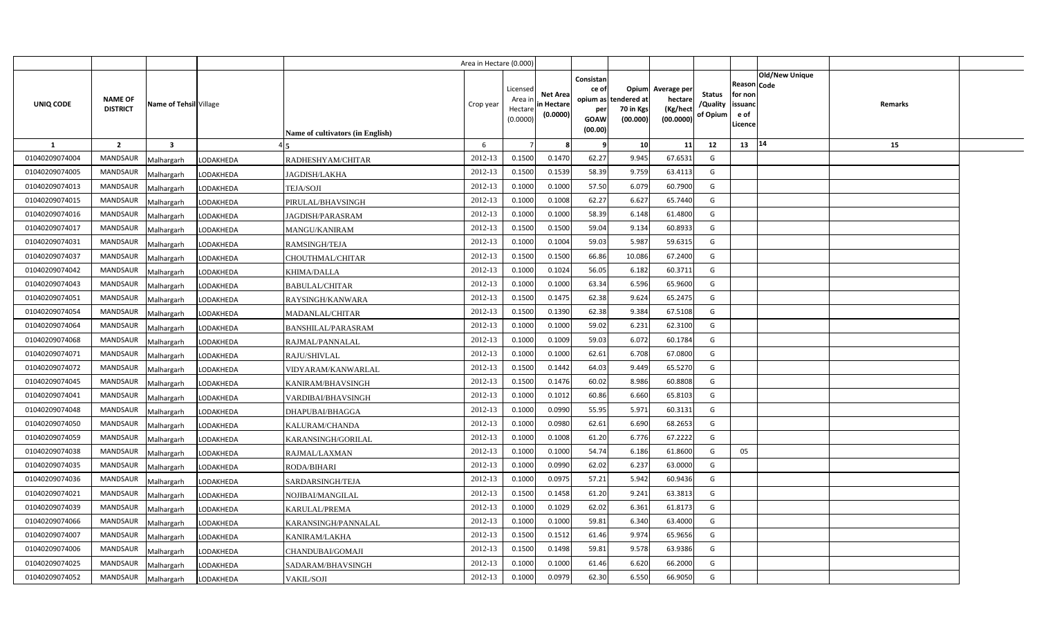|                |                                                             |                 |                                  | Area in Hectare (0.000) |                                            |                                           |                                                     |                                                        |                                                 |                                       |                                                                               |         |  |
|----------------|-------------------------------------------------------------|-----------------|----------------------------------|-------------------------|--------------------------------------------|-------------------------------------------|-----------------------------------------------------|--------------------------------------------------------|-------------------------------------------------|---------------------------------------|-------------------------------------------------------------------------------|---------|--|
| UNIQ CODE      | <b>NAME OF</b><br>Name of Tehsil Village<br><b>DISTRICT</b> |                 | Name of cultivators (in English) | Crop year               | Licensed<br>Area ir<br>Hectare<br>(0.0000) | <b>Net Area</b><br>in Hectare<br>(0.0000) | Consistan<br>ce of<br>per<br><b>GOAW</b><br>(00.00) | Opium<br>opium as tendered at<br>70 in Kgs<br>(00.000) | Average per<br>hectare<br>(Kg/hect<br>(00.0000) | <b>Status</b><br>/Quality<br>of Opium | <b>Old/New Unique</b><br>Reason Code<br>for non<br>issuanc<br>e of<br>Licence | Remarks |  |
| <b>1</b>       | $\overline{2}$<br>$\overline{\mathbf{3}}$                   |                 |                                  | 6                       |                                            |                                           | - 9                                                 | 10                                                     | 11                                              | 12                                    | 14<br>13                                                                      | 15      |  |
| 01040209074004 | <b>MANDSAUR</b><br>Malhargarh                               | LODAKHEDA       | RADHESHYAM/CHITAR                | 2012-13                 | 0.1500                                     | 0.1470                                    | 62.27                                               | 9.945                                                  | 67.6531                                         | G                                     |                                                                               |         |  |
| 01040209074005 | MANDSAUR<br>Malhargarh                                      | LODAKHEDA       | JAGDISH/LAKHA                    | 2012-13                 | 0.1500                                     | 0.1539                                    | 58.39                                               | 9.759                                                  | 63.4113                                         | G                                     |                                                                               |         |  |
| 01040209074013 | <b>MANDSAUR</b><br>Malhargarh                               | LODAKHEDA       | TEJA/SOJI                        | 2012-13                 | 0.1000                                     | 0.1000                                    | 57.50                                               | 6.079                                                  | 60.7900                                         | G                                     |                                                                               |         |  |
| 01040209074015 | <b>MANDSAUR</b><br>Malhargarh                               | LODAKHEDA       | PIRULAL/BHAVSINGH                | 2012-13                 | 0.1000                                     | 0.1008                                    | 62.27                                               | 6.627                                                  | 65.7440                                         | G                                     |                                                                               |         |  |
| 01040209074016 | MANDSAUR<br>Malhargarh                                      | LODAKHEDA       | <b>JAGDISH/PARASRAM</b>          | 2012-13                 | 0.1000                                     | 0.1000                                    | 58.39                                               | 6.148                                                  | 61.4800                                         | G                                     |                                                                               |         |  |
| 01040209074017 | <b>MANDSAUR</b><br>Malhargarh                               | LODAKHEDA       | MANGU/KANIRAM                    | 2012-13                 | 0.1500                                     | 0.1500                                    | 59.04                                               | 9.134                                                  | 60.8933                                         | G                                     |                                                                               |         |  |
| 01040209074031 | MANDSAUR<br>Malhargarh                                      | LODAKHEDA       | RAMSINGH/TEJA                    | 2012-13                 | 0.1000                                     | 0.1004                                    | 59.03                                               | 5.987                                                  | 59.6315                                         | G                                     |                                                                               |         |  |
| 01040209074037 | <b>MANDSAUR</b><br>Malhargarh                               | LODAKHEDA       | CHOUTHMAL/CHITAR                 | 2012-13                 | 0.1500                                     | 0.1500                                    | 66.86                                               | 10.086                                                 | 67.2400                                         | G                                     |                                                                               |         |  |
| 01040209074042 | MANDSAUR<br>Malhargarh                                      | LODAKHEDA       | <b>KHIMA/DALLA</b>               | 2012-13                 | 0.1000                                     | 0.1024                                    | 56.05                                               | 6.182                                                  | 60.3711                                         | G                                     |                                                                               |         |  |
| 01040209074043 | <b>MANDSAUR</b><br>Malhargarh                               | LODAKHEDA       | <b>BABULAL/CHITAR</b>            | 2012-13                 | 0.1000                                     | 0.1000                                    | 63.34                                               | 6.596                                                  | 65.9600                                         | G                                     |                                                                               |         |  |
| 01040209074051 | <b>MANDSAUR</b><br>Malhargarh                               | LODAKHEDA       | RAYSINGH/KANWARA                 | 2012-13                 | 0.1500                                     | 0.1475                                    | 62.38                                               | 9.624                                                  | 65.2475                                         | G                                     |                                                                               |         |  |
| 01040209074054 | <b>MANDSAUR</b><br>Malhargarh                               | LODAKHEDA       | <b>MADANLAL/CHITAR</b>           | 2012-13                 | 0.1500                                     | 0.1390                                    | 62.38                                               | 9.384                                                  | 67.5108                                         | G                                     |                                                                               |         |  |
| 01040209074064 | MANDSAUR<br>Malhargarh                                      | LODAKHEDA       | BANSHILAL/PARASRAM               | 2012-13                 | 0.1000                                     | 0.1000                                    | 59.02                                               | 6.231                                                  | 62.3100                                         | G                                     |                                                                               |         |  |
| 01040209074068 | <b>MANDSAUR</b><br>Malhargarh                               | LODAKHEDA       | RAJMAL/PANNALAL                  | 2012-13                 | 0.1000                                     | 0.1009                                    | 59.03                                               | 6.072                                                  | 60.1784                                         | G                                     |                                                                               |         |  |
| 01040209074071 | <b>MANDSAUR</b><br>Malhargarh                               | LODAKHEDA       | RAJU/SHIVLAL                     | 2012-13                 | 0.1000                                     | 0.1000                                    | 62.61                                               | 6.708                                                  | 67.0800                                         | G                                     |                                                                               |         |  |
| 01040209074072 | <b>MANDSAUR</b><br>Malhargarh                               | LODAKHEDA       | VIDYARAM/KANWARLAL               | 2012-13                 | 0.1500                                     | 0.1442                                    | 64.03                                               | 9.449                                                  | 65.5270                                         | G                                     |                                                                               |         |  |
| 01040209074045 | <b>MANDSAUR</b><br>Malhargarh                               | LODAKHEDA       | KANIRAM/BHAVSINGH                | 2012-13                 | 0.1500                                     | 0.1476                                    | 60.02                                               | 8.986                                                  | 60.8808                                         | G                                     |                                                                               |         |  |
| 01040209074041 | <b>MANDSAUR</b><br>Malhargarh                               | LODAKHEDA       | VARDIBAI/BHAVSINGH               | 2012-13                 | 0.1000                                     | 0.1012                                    | 60.86                                               | 6.660                                                  | 65.8103                                         | G                                     |                                                                               |         |  |
| 01040209074048 | <b>MANDSAUR</b><br>Malhargarh                               | LODAKHEDA       | DHAPUBAI/BHAGGA                  | 2012-13                 | 0.1000                                     | 0.0990                                    | 55.95                                               | 5.971                                                  | 60.3131                                         | G                                     |                                                                               |         |  |
| 01040209074050 | MANDSAUR<br>Malhargarh                                      | LODAKHEDA       | KALURAM/CHANDA                   | 2012-13                 | 0.1000                                     | 0.0980                                    | 62.61                                               | 6.690                                                  | 68.2653                                         | G                                     |                                                                               |         |  |
| 01040209074059 | <b>MANDSAUR</b><br>Malhargarh                               | LODAKHEDA       | KARANSINGH/GORILAL               | 2012-13                 | 0.1000                                     | 0.1008                                    | 61.20                                               | 6.776                                                  | 67.2222                                         | G                                     |                                                                               |         |  |
| 01040209074038 | <b>MANDSAUR</b><br>Malhargarh                               | LODAKHEDA       | RAJMAL/LAXMAN                    | 2012-13                 | 0.1000                                     | 0.1000                                    | 54.74                                               | 6.186                                                  | 61.8600                                         | G                                     | 05                                                                            |         |  |
| 01040209074035 | MANDSAUR<br>Malhargarh                                      | LODAKHEDA       | RODA/BIHARI                      | 2012-13                 | 0.1000                                     | 0.0990                                    | 62.02                                               | 6.237                                                  | 63.0000                                         | G                                     |                                                                               |         |  |
| 01040209074036 | <b>MANDSAUR</b><br>Malhargarh                               | LODAKHEDA       | SARDARSINGH/TEJA                 | 2012-13                 | 0.1000                                     | 0.0975                                    | 57.21                                               | 5.942                                                  | 60.9436                                         | G                                     |                                                                               |         |  |
| 01040209074021 | MANDSAUR<br>Malhargarh                                      | LODAKHEDA       | NOJIBAI/MANGILAL                 | 2012-13                 | 0.1500                                     | 0.1458                                    | 61.20                                               | 9.241                                                  | 63.3813                                         | G                                     |                                                                               |         |  |
| 01040209074039 | MANDSAUR<br>Malhargarh                                      | LODAKHEDA       | KARULAL/PREMA                    | 2012-13                 | 0.1000                                     | 0.1029                                    | 62.02                                               | 6.361                                                  | 61.8173                                         | G                                     |                                                                               |         |  |
| 01040209074066 | MANDSAUR<br>Malhargarh                                      | LODAKHEDA       | KARANSINGH/PANNALAL              | 2012-13                 | 0.1000                                     | 0.1000                                    | 59.81                                               | 6.340                                                  | 63.4000                                         | G                                     |                                                                               |         |  |
| 01040209074007 | <b>MANDSAUR</b><br>Malhargarh                               | ODAKHEDA.       | KANIRAM/LAKHA                    | 2012-13                 | 0.1500                                     | 0.1512                                    | 61.46                                               | 9.974                                                  | 65.9656                                         | G                                     |                                                                               |         |  |
| 01040209074006 | MANDSAUR<br>Malhargarh                                      | ODAKHEDA.       | CHANDUBAI/GOMAJI                 | 2012-13                 | 0.1500                                     | 0.1498                                    | 59.81                                               | 9.578                                                  | 63.9386                                         | G                                     |                                                                               |         |  |
| 01040209074025 | MANDSAUR<br>Malhargarh                                      | <b>ODAKHEDA</b> | SADARAM/BHAVSINGH                | 2012-13                 | 0.1000                                     | 0.1000                                    | 61.46                                               | 6.620                                                  | 66.2000                                         | G                                     |                                                                               |         |  |
| 01040209074052 | MANDSAUR<br>Malhargarh                                      | LODAKHEDA       | <b>VAKIL/SOJI</b>                | 2012-13                 | 0.1000                                     | 0.0979                                    | 62.30                                               | 6.550                                                  | 66.9050                                         | G                                     |                                                                               |         |  |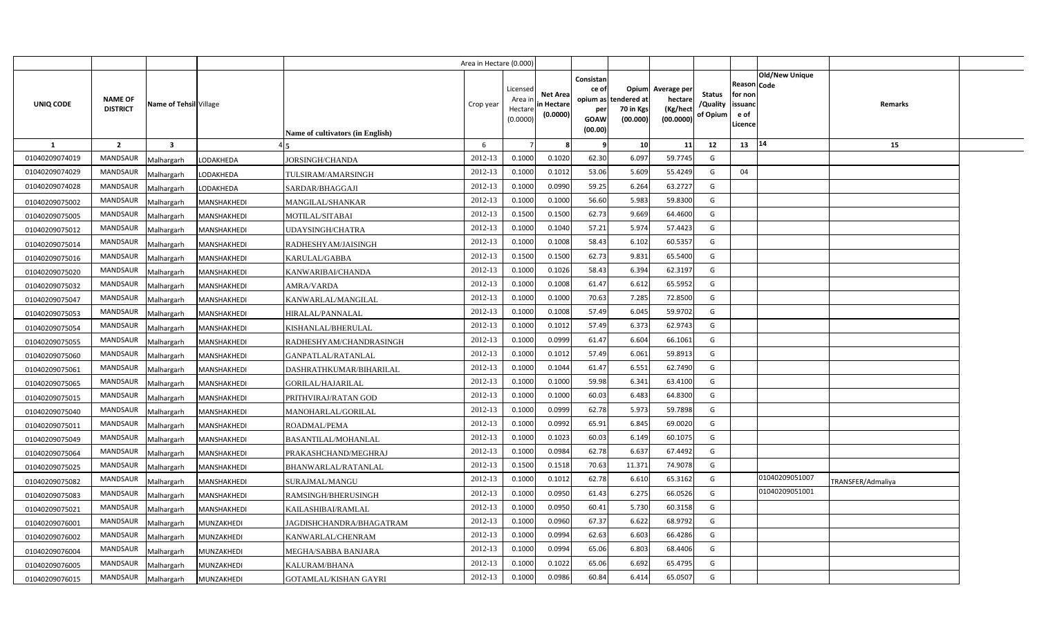|                |                            |                        |             |                                         | Area in Hectare (0.000) |                                            |                                           |                                                                 |                                               |                                                 |                                       |                                                 |                               |                   |  |
|----------------|----------------------------|------------------------|-------------|-----------------------------------------|-------------------------|--------------------------------------------|-------------------------------------------|-----------------------------------------------------------------|-----------------------------------------------|-------------------------------------------------|---------------------------------------|-------------------------------------------------|-------------------------------|-------------------|--|
| UNIQ CODE      | NAME OF<br><b>DISTRICT</b> | Name of Tehsil Village |             | <b>Name of cultivators (in English)</b> | Crop year               | Licensed<br>Area in<br>Hectare<br>(0.0000) | <b>Net Area</b><br>in Hectare<br>(0.0000) | Consistan<br>ce of<br>opium as<br>per<br><b>GOAW</b><br>(00.00) | Opium<br>tendered at<br>70 in Kgs<br>(00.000) | Average per<br>hectare<br>(Kg/hect<br>(00.0000) | <b>Status</b><br>/Quality<br>of Opium | Reason<br>for non<br>issuand<br>e of<br>Licence | <b>Old/New Unique</b><br>Code | Remarks           |  |
| <b>1</b>       | $\overline{2}$             | $\mathbf{3}$           |             |                                         | 6                       |                                            |                                           | ٠q                                                              | 10                                            | 11                                              | 12                                    | 13                                              | 14                            | 15                |  |
| 01040209074019 | <b>MANDSAUR</b>            | Malhargarh             | LODAKHEDA   | <b>JORSINGH/CHANDA</b>                  | 2012-13                 | 0.1000                                     | 0.1020                                    | 62.30                                                           | 6.097                                         | 59.7745                                         | G                                     |                                                 |                               |                   |  |
| 01040209074029 | MANDSAUR                   | Malhargarh             | LODAKHEDA   | TULSIRAM/AMARSINGH                      | 2012-13                 | 0.1000                                     | 0.101                                     | 53.06                                                           | 5.609                                         | 55.4249                                         | G                                     | 04                                              |                               |                   |  |
| 01040209074028 | <b>MANDSAUR</b>            | Malhargarh             | LODAKHEDA   | SARDAR/BHAGGAJI                         | 2012-13                 | 0.1000                                     | 0.0990                                    | 59.25                                                           | 6.264                                         | 63.2727                                         | G                                     |                                                 |                               |                   |  |
| 01040209075002 | <b>MANDSAUR</b>            | Malhargarh             | MANSHAKHEDI | <b>MANGILAL/SHANKAR</b>                 | 2012-13                 | 0.100                                      | 0.1000                                    | 56.60                                                           | 5.983                                         | 59.8300                                         | G                                     |                                                 |                               |                   |  |
| 01040209075005 | <b>MANDSAUR</b>            | Malhargarh             | MANSHAKHEDI | MOTILAL/SITABAI                         | 2012-13                 | 0.1500                                     | 0.1500                                    | 62.73                                                           | 9.669                                         | 64.4600                                         | G                                     |                                                 |                               |                   |  |
| 01040209075012 | MANDSAUR                   | Malhargarh             | MANSHAKHEDI | UDAYSINGH/CHATRA                        | 2012-13                 | 0.1000                                     | 0.1040                                    | 57.21                                                           | 5.974                                         | 57.4423                                         | G                                     |                                                 |                               |                   |  |
| 01040209075014 | <b>MANDSAUR</b>            | Malhargarh             | MANSHAKHEDI | RADHESHYAM/JAISINGH                     | 2012-13                 | 0.1000                                     | 0.1008                                    | 58.43                                                           | 6.102                                         | 60.5357                                         | G                                     |                                                 |                               |                   |  |
| 01040209075016 | MANDSAUR                   | Malhargarh             | MANSHAKHEDI | KARULAL/GABBA                           | 2012-13                 | 0.1500                                     | 0.1500                                    | 62.73                                                           | 9.831                                         | 65.5400                                         | G                                     |                                                 |                               |                   |  |
| 01040209075020 | MANDSAUR                   | Malhargarh             | MANSHAKHEDI | KANWARIBAI/CHANDA                       | 2012-13                 | 0.1000                                     | 0.1026                                    | 58.43                                                           | 6.394                                         | 62.3197                                         | G                                     |                                                 |                               |                   |  |
| 01040209075032 | <b>MANDSAUR</b>            | Malhargarh             | MANSHAKHEDI | AMRA/VARDA                              | 2012-13                 | 0.1000                                     | 0.1008                                    | 61.47                                                           | 6.612                                         | 65.5952                                         | G                                     |                                                 |                               |                   |  |
| 01040209075047 | <b>MANDSAUR</b>            | Malhargarh             | MANSHAKHEDI | KANWARLAL/MANGILAL                      | 2012-13                 | 0.1000                                     | 0.1000                                    | 70.63                                                           | 7.285                                         | 72.8500                                         | G                                     |                                                 |                               |                   |  |
| 01040209075053 | <b>MANDSAUR</b>            | Malhargarh             | MANSHAKHEDI | HIRALAL/PANNALAL                        | 2012-13                 | 0.1000                                     | 0.1008                                    | 57.49                                                           | 6.045                                         | 59.9702                                         | G                                     |                                                 |                               |                   |  |
| 01040209075054 | <b>MANDSAUR</b>            | Malhargarh             | MANSHAKHEDI | KISHANLAL/BHERULAL                      | 2012-13                 | 0.1000                                     | 0.1012                                    | 57.49                                                           | 6.373                                         | 62.9743                                         | G                                     |                                                 |                               |                   |  |
| 01040209075055 | <b>MANDSAUR</b>            | Malhargarh             | MANSHAKHEDI | RADHESHYAM/CHANDRASINGH                 | 2012-13                 | 0.1000                                     | 0.0999                                    | 61.47                                                           | 6.604                                         | 66.1061                                         | G                                     |                                                 |                               |                   |  |
| 01040209075060 | MANDSAUR                   | Malhargarh             | MANSHAKHEDI | GANPATLAL/RATANLAL                      | 2012-13                 | 0.1000                                     | 0.1012                                    | 57.49                                                           | 6.061                                         | 59.8913                                         | G                                     |                                                 |                               |                   |  |
| 01040209075061 | MANDSAUR                   | Malhargarh             | MANSHAKHEDI | DASHRATHKUMAR/BIHARILAL                 | 2012-13                 | 0.1000                                     | 0.1044                                    | 61.47                                                           | 6.551                                         | 62.7490                                         | G                                     |                                                 |                               |                   |  |
| 01040209075065 | MANDSAUR                   | Malhargarh             | MANSHAKHEDI | GORILAL/HAJARILAL                       | 2012-13                 | 0.1000                                     | 0.1000                                    | 59.98                                                           | 6.341                                         | 63.4100                                         | G                                     |                                                 |                               |                   |  |
| 01040209075015 | MANDSAUR                   | Malhargarh             | MANSHAKHEDI | PRITHVIRAJ/RATAN GOD                    | 2012-13                 | 0.1000                                     | 0.1000                                    | 60.03                                                           | 6.483                                         | 64.8300                                         | G                                     |                                                 |                               |                   |  |
| 01040209075040 | <b>MANDSAUR</b>            | Malhargarh             | MANSHAKHEDI | MANOHARLAL/GORILAL                      | 2012-13                 | 0.1000                                     | 0.0999                                    | 62.78                                                           | 5.973                                         | 59.7898                                         | G                                     |                                                 |                               |                   |  |
| 01040209075011 | <b>MANDSAUR</b>            | Malhargarh             | MANSHAKHEDI | ROADMAL/PEMA                            | 2012-13                 | 0.1000                                     | 0.0992                                    | 65.91                                                           | 6.845                                         | 69.0020                                         | G                                     |                                                 |                               |                   |  |
| 01040209075049 | <b>MANDSAUR</b>            | Malhargarh             | MANSHAKHEDI | BASANTILAL/MOHANLAL                     | 2012-13                 | 0.1000                                     | 0.1023                                    | 60.03                                                           | 6.149                                         | 60.1075                                         | G                                     |                                                 |                               |                   |  |
| 01040209075064 | <b>MANDSAUR</b>            | Malhargarh             | MANSHAKHEDI | PRAKASHCHAND/MEGHRAJ                    | 2012-13                 | 0.1000                                     | 0.0984                                    | 62.78                                                           | 6.637                                         | 67.4492                                         | G                                     |                                                 |                               |                   |  |
| 01040209075025 | MANDSAUR                   | Malhargarh             | MANSHAKHEDI | BHANWARLAL/RATANLAL                     | 2012-13                 | 0.1500                                     | 0.1518                                    | 70.63                                                           | 11.371                                        | 74.9078                                         | G                                     |                                                 |                               |                   |  |
| 01040209075082 | <b>MANDSAUR</b>            | Malhargarh             | MANSHAKHEDI | SURAJMAL/MANGU                          | 2012-13                 | 0.1000                                     | 0.101                                     | 62.78                                                           | 6.610                                         | 65.3162                                         | G                                     |                                                 | 01040209051007                | TRANSFER/Admaliya |  |
| 01040209075083 | <b>MANDSAUR</b>            | Malhargarh             | MANSHAKHEDI | RAMSINGH/BHERUSINGH                     | 2012-13                 | 0.1000                                     | 0.0950                                    | 61.43                                                           | 6.275                                         | 66.0526                                         | G                                     |                                                 | 01040209051001                |                   |  |
| 01040209075021 | <b>MANDSAUR</b>            | Malhargarh             | MANSHAKHEDI | KAILASHIBAI/RAMLAL                      | 2012-13                 | 0.1000                                     | 0.0950                                    | 60.41                                                           | 5.730                                         | 60.3158                                         | G                                     |                                                 |                               |                   |  |
| 01040209076001 | <b>MANDSAUR</b>            | Malhargarh             | MUNZAKHEDI  | JAGDISHCHANDRA/BHAGATRAM                | 2012-13                 | 0.1000                                     | 0.0960                                    | 67.37                                                           | 6.622                                         | 68.9792                                         | G                                     |                                                 |                               |                   |  |
| 01040209076002 | <b>MANDSAUR</b>            | Malhargarh             | MUNZAKHEDI  | KANWARLAL/CHENRAM                       | 2012-13                 | 0.1000                                     | 0.0994                                    | 62.63                                                           | 6.603                                         | 66.4286                                         | G                                     |                                                 |                               |                   |  |
| 01040209076004 | <b>MANDSAUR</b>            | Malhargarh             | MUNZAKHEDI  | MEGHA/SABBA BANJARA                     | 2012-13                 | 0.1000                                     | 0.0994                                    | 65.06                                                           | 6.803                                         | 68.4406                                         | G                                     |                                                 |                               |                   |  |
| 01040209076005 | <b>MANDSAUR</b>            | Malhargarh             | MUNZAKHEDI  | KALURAM/BHANA                           | 2012-13                 | 0.1000                                     | 0.1022                                    | 65.06                                                           | 6.692                                         | 65.4795                                         | G                                     |                                                 |                               |                   |  |
| 01040209076015 | MANDSAUR                   | Malhargarh             | MUNZAKHEDI  | GOTAMLAL/KISHAN GAYRI                   | 2012-13                 | 0.1000                                     | 0.0986                                    | 60.84                                                           | 6.414                                         | 65.0507                                         | G                                     |                                                 |                               |                   |  |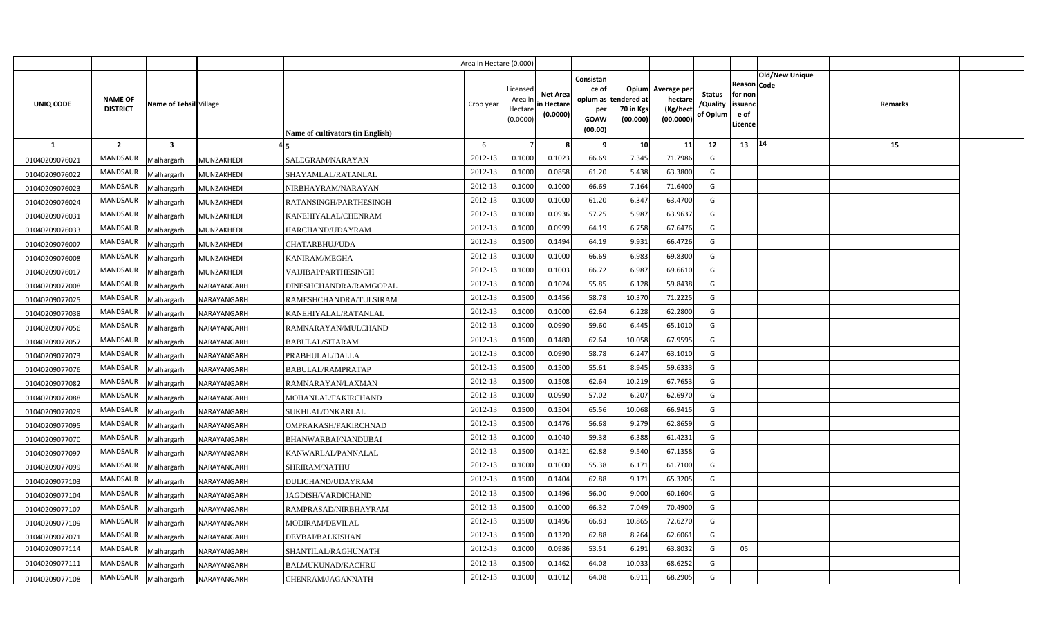|                |                                   |                         |             |                                  | Area in Hectare (0.000) |                                            |                                           |                                                     |                                                        |                                                 |                                       |                                                      |                                  |  |
|----------------|-----------------------------------|-------------------------|-------------|----------------------------------|-------------------------|--------------------------------------------|-------------------------------------------|-----------------------------------------------------|--------------------------------------------------------|-------------------------------------------------|---------------------------------------|------------------------------------------------------|----------------------------------|--|
| UNIQ CODE      | <b>NAME OF</b><br><b>DISTRICT</b> | Name of Tehsil Village  |             | Name of cultivators (in English) | Crop year               | Licensed<br>Area ir<br>Hectare<br>(0.0000) | <b>Net Area</b><br>in Hectare<br>(0.0000) | Consistan<br>ce of<br>per<br><b>GOAW</b><br>(00.00) | Opium<br>opium as tendered at<br>70 in Kgs<br>(00.000) | Average per<br>hectare<br>(Kg/hect<br>(00.0000) | <b>Status</b><br>/Quality<br>of Opium | Reason Code<br>for non<br>issuanc<br>e of<br>Licence | <b>Old/New Unique</b><br>Remarks |  |
| <b>1</b>       | $\overline{2}$                    | $\overline{\mathbf{3}}$ |             |                                  | 6                       |                                            |                                           | 9                                                   | 10                                                     | 11                                              | 12                                    | 13                                                   | 14<br>15                         |  |
| 01040209076021 | <b>MANDSAUR</b>                   | Malhargarh              | MUNZAKHEDI  | SALEGRAM/NARAYAN                 | 2012-13                 | 0.1000                                     | 0.1023                                    | 66.69                                               | 7.345                                                  | 71.7986                                         | G                                     |                                                      |                                  |  |
| 01040209076022 | MANDSAUR                          | Malhargarh              | MUNZAKHEDI  | SHAYAMLAL/RATANLAL               | 2012-13                 | 0.1000                                     | 0.0858                                    | 61.20                                               | 5.438                                                  | 63.3800                                         | G                                     |                                                      |                                  |  |
| 01040209076023 | MANDSAUR                          | Malhargarh              | MUNZAKHEDI  | NIRBHAYRAM/NARAYAN               | 2012-13                 | 0.1000                                     | 0.1000                                    | 66.69                                               | 7.164                                                  | 71.6400                                         | G                                     |                                                      |                                  |  |
| 01040209076024 | MANDSAUR                          | Malhargarh              | MUNZAKHEDI  | RATANSINGH/PARTHESINGH           | 2012-13                 | 0.1000                                     | 0.1000                                    | 61.20                                               | 6.347                                                  | 63.4700                                         | G                                     |                                                      |                                  |  |
| 01040209076031 | MANDSAUR                          | Malhargarh              | MUNZAKHEDI  | KANEHIYALAL/CHENRAM              | 2012-13                 | 0.1000                                     | 0.0936                                    | 57.25                                               | 5.987                                                  | 63.9637                                         | G                                     |                                                      |                                  |  |
| 01040209076033 | <b>MANDSAUR</b>                   | Malhargarh              | MUNZAKHEDI  | HARCHAND/UDAYRAM                 | 2012-13                 | 0.1000                                     | 0.0999                                    | 64.19                                               | 6.758                                                  | 67.6476                                         | G                                     |                                                      |                                  |  |
| 01040209076007 | MANDSAUR                          | Malhargarh              | MUNZAKHEDI  | CHATARBHUJ/UDA                   | 2012-13                 | 0.1500                                     | 0.1494                                    | 64.19                                               | 9.931                                                  | 66.4726                                         | G                                     |                                                      |                                  |  |
| 01040209076008 | MANDSAUR                          | Malhargarh              | MUNZAKHEDI  | KANIRAM/MEGHA                    | 2012-13                 | 0.1000                                     | 0.1000                                    | 66.69                                               | 6.983                                                  | 69.8300                                         | G                                     |                                                      |                                  |  |
| 01040209076017 | MANDSAUR                          | Malhargarh              | MUNZAKHEDI  | VAJJIBAI/PARTHESINGH             | 2012-13                 | 0.1000                                     | 0.1003                                    | 66.72                                               | 6.987                                                  | 69.6610                                         | G                                     |                                                      |                                  |  |
| 01040209077008 | MANDSAUR                          | Malhargarh              | NARAYANGARH | DINESHCHANDRA/RAMGOPAL           | 2012-13                 | 0.1000                                     | 0.1024                                    | 55.85                                               | 6.128                                                  | 59.8438                                         | G                                     |                                                      |                                  |  |
| 01040209077025 | MANDSAUR                          | Malhargarh              | NARAYANGARH | RAMESHCHANDRA/TULSIRAM           | 2012-13                 | 0.1500                                     | 0.1456                                    | 58.78                                               | 10.370                                                 | 71.2225                                         | G                                     |                                                      |                                  |  |
| 01040209077038 | MANDSAUR                          | Malhargarh              | NARAYANGARH | KANEHIYALAL/RATANLAL             | 2012-13                 | 0.1000                                     | 0.1000                                    | 62.64                                               | 6.228                                                  | 62.2800                                         | G                                     |                                                      |                                  |  |
| 01040209077056 | MANDSAUR                          | Malhargarh              | NARAYANGARH | RAMNARAYAN/MULCHAND              | 2012-13                 | 0.1000                                     | 0.0990                                    | 59.60                                               | 6.445                                                  | 65.1010                                         | G                                     |                                                      |                                  |  |
| 01040209077057 | MANDSAUR                          | Malhargarh              | NARAYANGARH | BABULAL/SITARAM                  | 2012-13                 | 0.1500                                     | 0.1480                                    | 62.64                                               | 10.058                                                 | 67.9595                                         | G                                     |                                                      |                                  |  |
| 01040209077073 | MANDSAUR                          | Malhargarh              | NARAYANGARH | PRABHULAL/DALLA                  | 2012-13                 | 0.1000                                     | 0.0990                                    | 58.78                                               | 6.247                                                  | 63.1010                                         | G                                     |                                                      |                                  |  |
| 01040209077076 | <b>MANDSAUR</b>                   | Malhargarh              | NARAYANGARH | BABULAL/RAMPRATAP                | 2012-13                 | 0.1500                                     | 0.1500                                    | 55.61                                               | 8.945                                                  | 59.6333                                         | G                                     |                                                      |                                  |  |
| 01040209077082 | MANDSAUR                          | Malhargarh              | NARAYANGARH | RAMNARAYAN/LAXMAN                | 2012-13                 | 0.1500                                     | 0.1508                                    | 62.64                                               | 10.219                                                 | 67.7653                                         | G                                     |                                                      |                                  |  |
| 01040209077088 | <b>MANDSAUR</b>                   | Malhargarh              | NARAYANGARH | MOHANLAL/FAKIRCHAND              | 2012-13                 | 0.1000                                     | 0.0990                                    | 57.02                                               | 6.207                                                  | 62.6970                                         | G                                     |                                                      |                                  |  |
| 01040209077029 | <b>MANDSAUR</b>                   | Malhargarh              | NARAYANGARH | SUKHLAL/ONKARLAL                 | 2012-13                 | 0.1500                                     | 0.1504                                    | 65.56                                               | 10.068                                                 | 66.9415                                         | G                                     |                                                      |                                  |  |
| 01040209077095 | <b>MANDSAUR</b>                   | Malhargarh              | NARAYANGARH | OMPRAKASH/FAKIRCHNAD             | 2012-13                 | 0.1500                                     | 0.1476                                    | 56.68                                               | 9.279                                                  | 62.8659                                         | G                                     |                                                      |                                  |  |
| 01040209077070 | <b>MANDSAUR</b>                   | Malhargarh              | NARAYANGARH | BHANWARBAI/NANDUBAI              | 2012-13                 | 0.1000                                     | 0.1040                                    | 59.38                                               | 6.388                                                  | 61.4231                                         | G                                     |                                                      |                                  |  |
| 01040209077097 | MANDSAUR                          | Malhargarh              | NARAYANGARH | KANWARLAL/PANNALAL               | 2012-13                 | 0.1500                                     | 0.1421                                    | 62.88                                               | 9.540                                                  | 67.1358                                         | G                                     |                                                      |                                  |  |
| 01040209077099 | <b>MANDSAUR</b>                   | Malhargarh              | NARAYANGARH | SHRIRAM/NATHU                    | 2012-13                 | 0.1000                                     | 0.1000                                    | 55.38                                               | 6.171                                                  | 61.7100                                         | G                                     |                                                      |                                  |  |
| 01040209077103 | MANDSAUR                          | Malhargarh              | NARAYANGARH | DULICHAND/UDAYRAM                | 2012-13                 | 0.1500                                     | 0.1404                                    | 62.88                                               | 9.171                                                  | 65.3205                                         | G                                     |                                                      |                                  |  |
| 01040209077104 | <b>MANDSAUR</b>                   | Malhargarh              | NARAYANGARH | JAGDISH/VARDICHAND               | 2012-13                 | 0.1500                                     | 0.1496                                    | 56.00                                               | 9.000                                                  | 60.1604                                         | G                                     |                                                      |                                  |  |
| 01040209077107 | MANDSAUR                          | Malhargarh              | NARAYANGARH | RAMPRASAD/NIRBHAYRAM             | 2012-13                 | 0.1500                                     | 0.1000                                    | 66.32                                               | 7.049                                                  | 70.4900                                         | G                                     |                                                      |                                  |  |
| 01040209077109 | MANDSAUR                          | Malhargarh              | NARAYANGARH | MODIRAM/DEVILAL                  | 2012-13                 | 0.1500                                     | 0.1496                                    | 66.83                                               | 10.865                                                 | 72.6270                                         | G                                     |                                                      |                                  |  |
| 01040209077071 | MANDSAUR                          | Malhargarh              | NARAYANGARH | DEVBAI/BALKISHAN                 | 2012-13                 | 0.1500                                     | 0.1320                                    | 62.88                                               | 8.264                                                  | 62.6061                                         | G                                     |                                                      |                                  |  |
| 01040209077114 | MANDSAUR                          | Malhargarh              | NARAYANGARH | SHANTILAL/RAGHUNATH              | 2012-13                 | 0.1000                                     | 0.0986                                    | 53.51                                               | 6.291                                                  | 63.8032                                         | G                                     | 05                                                   |                                  |  |
| 01040209077111 | MANDSAUR                          | Malhargarh              | NARAYANGARH | BALMUKUNAD/KACHRU                | 2012-13                 | 0.1500                                     | 0.1462                                    | 64.08                                               | 10.033                                                 | 68.6252                                         | G                                     |                                                      |                                  |  |
| 01040209077108 | MANDSAUR                          | Malhargarh              | NARAYANGARH | CHENRAM/JAGANNATH                | 2012-13                 | 0.1000                                     | 0.1012                                    | 64.08                                               | 6.911                                                  | 68.2905                                         | G                                     |                                                      |                                  |  |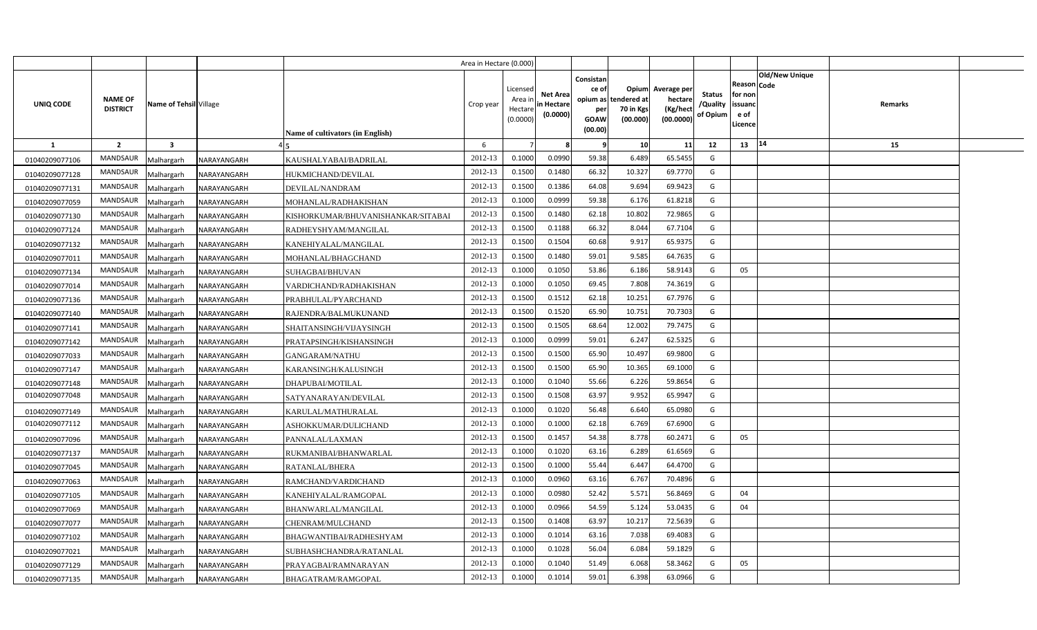|                |                                   |                         |             |                                    | Area in Hectare (0.000) |                                           |                                           |                                                     |                                                        |                                                 |                                       |                                                                               |         |  |
|----------------|-----------------------------------|-------------------------|-------------|------------------------------------|-------------------------|-------------------------------------------|-------------------------------------------|-----------------------------------------------------|--------------------------------------------------------|-------------------------------------------------|---------------------------------------|-------------------------------------------------------------------------------|---------|--|
| UNIQ CODE      | <b>NAME OF</b><br><b>DISTRICT</b> | Name of Tehsil Village  |             | Name of cultivators (in English)   | Crop year               | Licensed<br>Area i<br>Hectare<br>(0.0000) | <b>Net Area</b><br>in Hectare<br>(0.0000) | Consistan<br>ce of<br>per<br><b>GOAW</b><br>(00.00) | Opium<br>opium as tendered at<br>70 in Kgs<br>(00.000) | Average per<br>hectare<br>(Kg/hect<br>(00.0000) | <b>Status</b><br>/Quality<br>of Opium | <b>Old/New Unique</b><br>Reason Code<br>for non<br>issuanc<br>e of<br>Licence | Remarks |  |
| <b>1</b>       | $\overline{2}$                    | $\overline{\mathbf{3}}$ |             |                                    | 6                       |                                           |                                           | - 9                                                 | 10                                                     | 11                                              | 12                                    | 14<br>13                                                                      | 15      |  |
| 01040209077106 | <b>MANDSAUR</b>                   | Malhargarh              | NARAYANGARH | KAUSHALYABAI/BADRILAL              | 2012-13                 | 0.1000                                    | 0.0990                                    | 59.38                                               | 6.489                                                  | 65.5455                                         | G                                     |                                                                               |         |  |
| 01040209077128 | MANDSAUR                          | Malhargarh              | NARAYANGARH | HUKMICHAND/DEVILAL                 | 2012-13                 | 0.1500                                    | 0.1480                                    | 66.32                                               | 10.327                                                 | 69.7770                                         | G                                     |                                                                               |         |  |
| 01040209077131 | MANDSAUR                          | Malhargarh              | NARAYANGARH | DEVILAL/NANDRAM                    | 2012-13                 | 0.1500                                    | 0.1386                                    | 64.08                                               | 9.694                                                  | 69.942                                          | G                                     |                                                                               |         |  |
| 01040209077059 | MANDSAUR                          | Malhargarh              | NARAYANGARH | MOHANLAL/RADHAKISHAN               | 2012-13                 | 0.1000                                    | 0.0999                                    | 59.38                                               | 6.176                                                  | 61.8218                                         | G                                     |                                                                               |         |  |
| 01040209077130 | MANDSAUR                          | Malhargarh              | NARAYANGARH | KISHORKUMAR/BHUVANISHANKAR/SITABAI | 2012-13                 | 0.1500                                    | 0.1480                                    | 62.18                                               | 10.802                                                 | 72.986                                          | G                                     |                                                                               |         |  |
| 01040209077124 | <b>MANDSAUR</b>                   | Malhargarh              | NARAYANGARH | RADHEYSHYAM/MANGILAL               | 2012-13                 | 0.1500                                    | 0.1188                                    | 66.32                                               | 8.044                                                  | 67.710                                          | G                                     |                                                                               |         |  |
| 01040209077132 | MANDSAUR                          | Malhargarh              | NARAYANGARH | KANEHIYALAL/MANGILAL               | 2012-13                 | 0.1500                                    | 0.1504                                    | 60.68                                               | 9.917                                                  | 65.937                                          | G                                     |                                                                               |         |  |
| 01040209077011 | MANDSAUR                          | Malhargarh              | NARAYANGARH | MOHANLAL/BHAGCHAND                 | 2012-13                 | 0.1500                                    | 0.1480                                    | 59.01                                               | 9.585                                                  | 64.763                                          | G                                     |                                                                               |         |  |
| 01040209077134 | MANDSAUR                          | Malhargarh              | NARAYANGARH | SUHAGBAI/BHUVAN                    | 2012-13                 | 0.1000                                    | 0.1050                                    | 53.86                                               | 6.186                                                  | 58.9143                                         | G                                     | 05                                                                            |         |  |
| 01040209077014 | MANDSAUR                          | Malhargarh              | NARAYANGARH | VARDICHAND/RADHAKISHAN             | 2012-13                 | 0.1000                                    | 0.1050                                    | 69.45                                               | 7.808                                                  | 74.3619                                         | G                                     |                                                                               |         |  |
| 01040209077136 | MANDSAUR                          | Malhargarh              | NARAYANGARH | PRABHULAL/PYARCHAND                | 2012-13                 | 0.1500                                    | 0.1512                                    | 62.18                                               | 10.251                                                 | 67.7976                                         | G                                     |                                                                               |         |  |
| 01040209077140 | MANDSAUR                          | Malhargarh              | NARAYANGARH | RAJENDRA/BALMUKUNAND               | 2012-13                 | 0.1500                                    | 0.1520                                    | 65.90                                               | 10.751                                                 | 70.7303                                         | G                                     |                                                                               |         |  |
| 01040209077141 | MANDSAUR                          | Malhargarh              | NARAYANGARH | SHAITANSINGH/VIJAYSINGH            | 2012-13                 | 0.1500                                    | 0.1505                                    | 68.64                                               | 12.002                                                 | 79.7475                                         | G                                     |                                                                               |         |  |
| 01040209077142 | MANDSAUR                          | Malhargarh              | NARAYANGARH | PRATAPSINGH/KISHANSINGH            | 2012-13                 | 0.1000                                    | 0.0999                                    | 59.01                                               | 6.247                                                  | 62.5325                                         | G                                     |                                                                               |         |  |
| 01040209077033 | MANDSAUR                          | Malhargarh              | NARAYANGARH | GANGARAM/NATHU                     | 2012-13                 | 0.1500                                    | 0.1500                                    | 65.90                                               | 10.497                                                 | 69.9800                                         | G                                     |                                                                               |         |  |
| 01040209077147 | <b>MANDSAUR</b>                   | Malhargarh              | NARAYANGARH | KARANSINGH/KALUSINGH               | 2012-13                 | 0.1500                                    | 0.1500                                    | 65.90                                               | 10.365                                                 | 69.1000                                         | G                                     |                                                                               |         |  |
| 01040209077148 | MANDSAUR                          | Malhargarh              | NARAYANGARH | <b>DHAPUBAI/MOTILAL</b>            | 2012-13                 | 0.1000                                    | 0.1040                                    | 55.66                                               | 6.226                                                  | 59.8654                                         | G                                     |                                                                               |         |  |
| 01040209077048 | <b>MANDSAUR</b>                   | Malhargarh              | NARAYANGARH | SATYANARAYAN/DEVILAL               | 2012-13                 | 0.1500                                    | 0.1508                                    | 63.97                                               | 9.952                                                  | 65.9947                                         | G                                     |                                                                               |         |  |
| 01040209077149 | <b>MANDSAUR</b>                   | Malhargarh              | NARAYANGARH | KARULAL/MATHURALAL                 | 2012-13                 | 0.1000                                    | 0.1020                                    | 56.48                                               | 6.640                                                  | 65.0980                                         | G                                     |                                                                               |         |  |
| 01040209077112 | <b>MANDSAUR</b>                   | Malhargarh              | NARAYANGARH | ASHOKKUMAR/DULICHAND               | 2012-13                 | 0.1000                                    | 0.1000                                    | 62.18                                               | 6.769                                                  | 67.6900                                         | G                                     |                                                                               |         |  |
| 01040209077096 | <b>MANDSAUR</b>                   | Malhargarh              | NARAYANGARH | PANNALAL/LAXMAN                    | 2012-13                 | 0.1500                                    | 0.1457                                    | 54.38                                               | 8.778                                                  | 60.2471                                         | G                                     | 05                                                                            |         |  |
| 01040209077137 | MANDSAUR                          | Malhargarh              | NARAYANGARH | RUKMANIBAI/BHANWARLAL              | 2012-13                 | 0.1000                                    | 0.1020                                    | 63.16                                               | 6.289                                                  | 61.6569                                         | G                                     |                                                                               |         |  |
| 01040209077045 | <b>MANDSAUR</b>                   | Malhargarh              | NARAYANGARH | RATANLAL/BHERA                     | 2012-13                 | 0.1500                                    | 0.1000                                    | 55.44                                               | 6.447                                                  | 64.4700                                         | G                                     |                                                                               |         |  |
| 01040209077063 | MANDSAUR                          | Malhargarh              | NARAYANGARH | RAMCHAND/VARDICHAND                | 2012-13                 | 0.1000                                    | 0.0960                                    | 63.16                                               | 6.767                                                  | 70.4896                                         | G                                     |                                                                               |         |  |
| 01040209077105 | <b>MANDSAUR</b>                   | Malhargarh              | NARAYANGARH | KANEHIYALAL/RAMGOPAL               | 2012-13                 | 0.1000                                    | 0.0980                                    | 52.42                                               | 5.571                                                  | 56.8469                                         | G                                     | 04                                                                            |         |  |
| 01040209077069 | MANDSAUR                          | Malhargarh              | NARAYANGARH | BHANWARLAL/MANGILAL                | 2012-13                 | 0.1000                                    | 0.0966                                    | 54.59                                               | 5.124                                                  | 53.0435                                         | G                                     | 04                                                                            |         |  |
| 01040209077077 | MANDSAUR                          | Malhargarh              | NARAYANGARH | CHENRAM/MULCHAND                   | 2012-13                 | 0.1500                                    | 0.1408                                    | 63.97                                               | 10.217                                                 | 72.563                                          | G                                     |                                                                               |         |  |
| 01040209077102 | MANDSAUR                          | Malhargarh              | NARAYANGARH | BHAGWANTIBAI/RADHESHYAM            | 2012-13                 | 0.1000                                    | 0.1014                                    | 63.16                                               | 7.038                                                  | 69.408                                          | G                                     |                                                                               |         |  |
| 01040209077021 | MANDSAUR                          | Malhargarh              | NARAYANGARH | SUBHASHCHANDRA/RATANLAL            | 2012-13                 | 0.1000                                    | 0.1028                                    | 56.04                                               | 6.084                                                  | 59.1829                                         | G                                     |                                                                               |         |  |
| 01040209077129 | MANDSAUR                          | Malhargarh              | NARAYANGARH | PRAYAGBAI/RAMNARAYAN               | 2012-13                 | 0.1000                                    | 0.1040                                    | 51.49                                               | 6.068                                                  | 58.3462                                         | G                                     | 05                                                                            |         |  |
| 01040209077135 | MANDSAUR                          | Malhargarh              | NARAYANGARH | BHAGATRAM/RAMGOPAL                 | 2012-13                 | 0.1000                                    | 0.1014                                    | 59.01                                               | 6.398                                                  | 63.0966                                         | G                                     |                                                                               |         |  |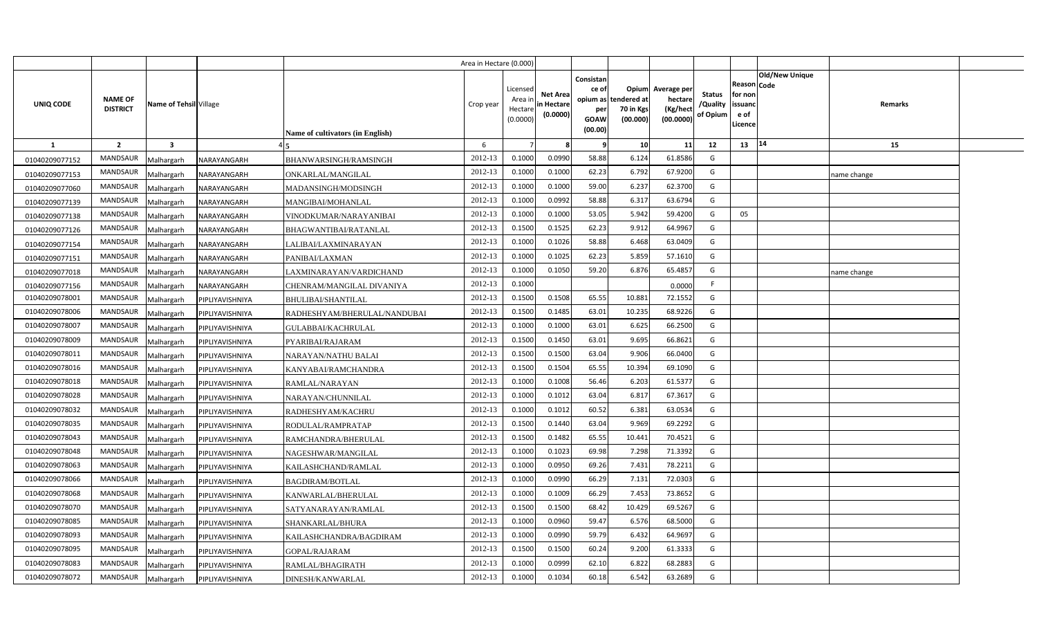|                |                                   |                         |                 |                                  | Area in Hectare (0.000) |                                           |                                           |                                                     |                                                        |                                                 |                                       |                                                                               |             |  |
|----------------|-----------------------------------|-------------------------|-----------------|----------------------------------|-------------------------|-------------------------------------------|-------------------------------------------|-----------------------------------------------------|--------------------------------------------------------|-------------------------------------------------|---------------------------------------|-------------------------------------------------------------------------------|-------------|--|
| UNIQ CODE      | <b>NAME OF</b><br><b>DISTRICT</b> | Name of Tehsil Village  |                 | Name of cultivators (in English) | Crop year               | Licensed<br>Area i<br>Hectare<br>(0.0000) | <b>Net Area</b><br>in Hectare<br>(0.0000) | Consistan<br>ce of<br>per<br><b>GOAW</b><br>(00.00) | Opium<br>opium as tendered at<br>70 in Kgs<br>(00.000) | Average per<br>hectare<br>(Kg/hect<br>(00.0000) | <b>Status</b><br>/Quality<br>of Opium | <b>Old/New Unique</b><br>Reason Code<br>for non<br>issuanc<br>e of<br>Licence | Remarks     |  |
| <b>1</b>       | $\overline{2}$                    | $\overline{\mathbf{3}}$ |                 |                                  | 6                       |                                           |                                           | - 9                                                 | 10                                                     | 11                                              | 12                                    | 14<br>13                                                                      | 15          |  |
| 01040209077152 | <b>MANDSAUR</b>                   | Malhargarh              | NARAYANGARH     | BHANWARSINGH/RAMSINGH            | 2012-13                 | 0.1000                                    | 0.0990                                    | 58.88                                               | 6.124                                                  | 61.8586                                         | G                                     |                                                                               |             |  |
| 01040209077153 | MANDSAUR                          | Malhargarh              | NARAYANGARH     | ONKARLAL/MANGILAL                | 2012-13                 | 0.1000                                    | 0.1000                                    | 62.23                                               | 6.792                                                  | 67.9200                                         | G                                     |                                                                               | name change |  |
| 01040209077060 | MANDSAUR                          | Malhargarh              | NARAYANGARH     | MADANSINGH/MODSINGH              | 2012-13                 | 0.1000                                    | 0.1000                                    | 59.00                                               | 6.237                                                  | 62.3700                                         | G                                     |                                                                               |             |  |
| 01040209077139 | MANDSAUR                          | Malhargarh              | NARAYANGARH     | MANGIBAI/MOHANLAL                | 2012-13                 | 0.1000                                    | 0.0992                                    | 58.88                                               | 6.317                                                  | 63.679                                          | G                                     |                                                                               |             |  |
| 01040209077138 | MANDSAUR                          | Malhargarh              | NARAYANGARH     | VINODKUMAR/NARAYANIBAI           | 2012-13                 | 0.1000                                    | 0.1000                                    | 53.05                                               | 5.942                                                  | 59.4200                                         | G                                     | 05                                                                            |             |  |
| 01040209077126 | <b>MANDSAUR</b>                   | Malhargarh              | NARAYANGARH     | BHAGWANTIBAI/RATANLAL            | 2012-13                 | 0.1500                                    | 0.1525                                    | 62.23                                               | 9.912                                                  | 64.996                                          | G                                     |                                                                               |             |  |
| 01040209077154 | MANDSAUR                          | Malhargarh              | NARAYANGARH     | LALIBAI/LAXMINARAYAN             | 2012-13                 | 0.1000                                    | 0.1026                                    | 58.88                                               | 6.468                                                  | 63.0409                                         | G                                     |                                                                               |             |  |
| 01040209077151 | MANDSAUR                          | Malhargarh              | NARAYANGARH     | PANIBAI/LAXMAN                   | 2012-13                 | 0.1000                                    | 0.1025                                    | 62.23                                               | 5.859                                                  | 57.161                                          | G                                     |                                                                               |             |  |
| 01040209077018 | MANDSAUR                          | Malhargarh              | NARAYANGARH     | LAXMINARAYAN/VARDICHAND          | 2012-13                 | 0.1000                                    | 0.1050                                    | 59.20                                               | 6.876                                                  | 65.485                                          | G                                     |                                                                               | name change |  |
| 01040209077156 | MANDSAUR                          | Malhargarh              | NARAYANGARH     | CHENRAM/MANGILAL DIVANIYA        | 2012-13                 | 0.1000                                    |                                           |                                                     |                                                        | 0.000                                           | F                                     |                                                                               |             |  |
| 01040209078001 | MANDSAUR                          | Malhargarh              | PIPLIYAVISHNIYA | BHULIBAI/SHANTILAL               | 2012-13                 | 0.1500                                    | 0.1508                                    | 65.55                                               | 10.881                                                 | 72.1552                                         | G                                     |                                                                               |             |  |
| 01040209078006 | MANDSAUR                          | Malhargarh              | PIPLIYAVISHNIYA | RADHESHYAM/BHERULAL/NANDUBAI     | 2012-13                 | 0.1500                                    | 0.1485                                    | 63.01                                               | 10.235                                                 | 68.9226                                         | G                                     |                                                                               |             |  |
| 01040209078007 | <b>MANDSAUR</b>                   | Malhargarh              | PIPLIYAVISHNIYA | GULABBAI/KACHRULAL               | 2012-13                 | 0.1000                                    | 0.1000                                    | 63.01                                               | 6.625                                                  | 66.2500                                         | G                                     |                                                                               |             |  |
| 01040209078009 | <b>MANDSAUR</b>                   | Malhargarh              | PIPLIYAVISHNIYA | PYARIBAI/RAJARAM                 | 2012-13                 | 0.1500                                    | 0.1450                                    | 63.01                                               | 9.695                                                  | 66.8621                                         | G                                     |                                                                               |             |  |
| 01040209078011 | MANDSAUR                          | Malhargarh              | PIPLIYAVISHNIYA | NARAYAN/NATHU BALAI              | 2012-13                 | 0.1500                                    | 0.1500                                    | 63.04                                               | 9.906                                                  | 66.0400                                         | G                                     |                                                                               |             |  |
| 01040209078016 | <b>MANDSAUR</b>                   | Malhargarh              | PIPLIYAVISHNIYA | KANYABAI/RAMCHANDRA              | 2012-13                 | 0.1500                                    | 0.1504                                    | 65.55                                               | 10.394                                                 | 69.1090                                         | G                                     |                                                                               |             |  |
| 01040209078018 | MANDSAUR                          | Malhargarh              | PIPLIYAVISHNIYA | RAMLAL/NARAYAN                   | 2012-13                 | 0.1000                                    | 0.1008                                    | 56.46                                               | 6.203                                                  | 61.5377                                         | G                                     |                                                                               |             |  |
| 01040209078028 | <b>MANDSAUR</b>                   | Malhargarh              | PIPLIYAVISHNIYA | NARAYAN/CHUNNILAL                | 2012-13                 | 0.1000                                    | 0.1012                                    | 63.04                                               | 6.817                                                  | 67.3617                                         | G                                     |                                                                               |             |  |
| 01040209078032 | <b>MANDSAUR</b>                   | Malhargarh              | PIPLIYAVISHNIYA | RADHESHYAM/KACHRU                | 2012-13                 | 0.1000                                    | 0.1012                                    | 60.52                                               | 6.381                                                  | 63.0534                                         | G                                     |                                                                               |             |  |
| 01040209078035 | MANDSAUR                          | Malhargarh              | PIPLIYAVISHNIYA | RODULAL/RAMPRATAP                | 2012-13                 | 0.1500                                    | 0.1440                                    | 63.04                                               | 9.969                                                  | 69.2292                                         | G                                     |                                                                               |             |  |
| 01040209078043 | <b>MANDSAUR</b>                   | Malhargarh              | PIPLIYAVISHNIYA | RAMCHANDRA/BHERULAL              | 2012-13                 | 0.1500                                    | 0.1482                                    | 65.55                                               | 10.441                                                 | 70.4521                                         | G                                     |                                                                               |             |  |
| 01040209078048 | MANDSAUR                          | Malhargarh              | PIPLIYAVISHNIYA | NAGESHWAR/MANGILAL               | 2012-13                 | 0.1000                                    | 0.1023                                    | 69.98                                               | 7.298                                                  | 71.3392                                         | G                                     |                                                                               |             |  |
| 01040209078063 | MANDSAUR                          | Malhargarh              | PIPLIYAVISHNIYA | KAILASHCHAND/RAMLAL              | 2012-13                 | 0.1000                                    | 0.0950                                    | 69.26                                               | 7.431                                                  | 78.2211                                         | G                                     |                                                                               |             |  |
| 01040209078066 | MANDSAUR                          | Malhargarh              | PIPLIYAVISHNIYA | <b>BAGDIRAM/BOTLAL</b>           | 2012-13                 | 0.1000                                    | 0.0990                                    | 66.29                                               | 7.131                                                  | 72.0303                                         | G                                     |                                                                               |             |  |
| 01040209078068 | MANDSAUR                          | Malhargarh              | PIPLIYAVISHNIYA | KANWARLAL/BHERULAL               | 2012-13                 | 0.1000                                    | 0.1009                                    | 66.29                                               | 7.453                                                  | 73.8652                                         | G                                     |                                                                               |             |  |
| 01040209078070 | MANDSAUR                          | Malhargarh              | PIPLIYAVISHNIYA | SATYANARAYAN/RAMLAL              | 2012-13                 | 0.1500                                    | 0.1500                                    | 68.42                                               | 10.429                                                 | 69.526                                          | G                                     |                                                                               |             |  |
| 01040209078085 | MANDSAUR                          | Malhargarh              | PIPLIYAVISHNIYA | SHANKARLAL/BHURA                 | 2012-13                 | 0.1000                                    | 0.0960                                    | 59.47                                               | 6.576                                                  | 68.500                                          | G                                     |                                                                               |             |  |
| 01040209078093 | MANDSAUR                          | Malhargarh              | PIPLIYAVISHNIYA | KAILASHCHANDRA/BAGDIRAM          | 2012-13                 | 0.1000                                    | 0.0990                                    | 59.79                                               | 6.432                                                  | 64.969                                          | G                                     |                                                                               |             |  |
| 01040209078095 | MANDSAUR                          | Malhargarh              | PIPLIYAVISHNIYA | GOPAL/RAJARAM                    | 2012-13                 | 0.1500                                    | 0.1500                                    | 60.24                                               | 9.200                                                  | 61.3333                                         | G                                     |                                                                               |             |  |
| 01040209078083 | MANDSAUR                          | Malhargarh              | PIPLIYAVISHNIYA | RAMLAL/BHAGIRATH                 | 2012-13                 | 0.1000                                    | 0.0999                                    | 62.10                                               | 6.822                                                  | 68.288                                          | G                                     |                                                                               |             |  |
| 01040209078072 | MANDSAUR                          | Malhargarh              | PIPLIYAVISHNIYA | DINESH/KANWARLAL                 | 2012-13                 | 0.1000                                    | 0.1034                                    | 60.18                                               | 6.542                                                  | 63.2689                                         | G                                     |                                                                               |             |  |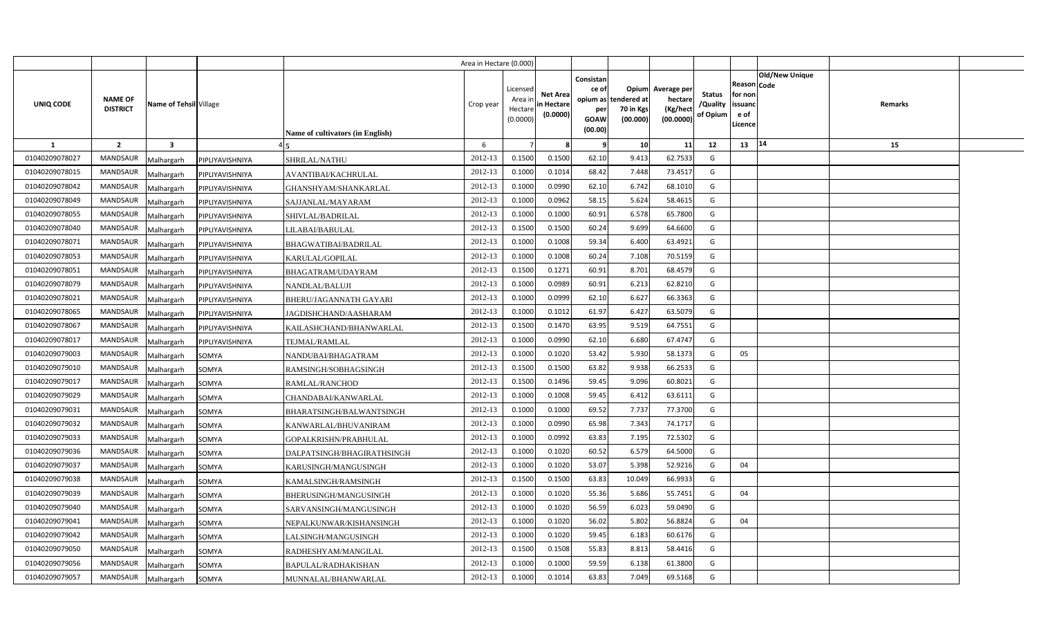|                |                                   |                               |                                  | Area in Hectare (0.000) |                                            |                                           |                                                                             |                                |                                                 |                                       |                                                      |                       |         |  |
|----------------|-----------------------------------|-------------------------------|----------------------------------|-------------------------|--------------------------------------------|-------------------------------------------|-----------------------------------------------------------------------------|--------------------------------|-------------------------------------------------|---------------------------------------|------------------------------------------------------|-----------------------|---------|--|
| UNIQ CODE      | <b>NAME OF</b><br><b>DISTRICT</b> | Name of Tehsil Village        | Name of cultivators (in English) | Crop year               | Licensed<br>Area ir<br>Hectare<br>(0.0000) | <b>Net Area</b><br>in Hectare<br>(0.0000) | Consistan<br>ce of<br>opium as tendered at<br>per<br><b>GOAW</b><br>(00.00) | Opium<br>70 in Kgs<br>(00.000) | Average per<br>hectare<br>(Kg/hect<br>(00.0000) | <b>Status</b><br>/Quality<br>of Opium | Reason Code<br>for non<br>issuanc<br>e of<br>Licence | <b>Old/New Unique</b> | Remarks |  |
| $\mathbf{1}$   | $\overline{2}$                    | $\overline{\mathbf{3}}$       |                                  | 6                       |                                            |                                           | - 9                                                                         | 10                             | 11                                              | 12                                    | 13                                                   | 14                    | 15      |  |
| 01040209078027 | <b>MANDSAUR</b>                   | PIPLIYAVISHNIYA<br>Malhargarh | <b>SHRILAL/NATHU</b>             | 2012-13                 | 0.1500                                     | 0.1500                                    | 62.10                                                                       | 9.413                          | 62.7533                                         | G                                     |                                                      |                       |         |  |
| 01040209078015 | <b>MANDSAUR</b>                   | Malhargarh<br>PIPLIYAVISHNIYA | AVANTIBAI/KACHRULAL              | 2012-13                 | 0.1000                                     | 0.1014                                    | 68.42                                                                       | 7.448                          | 73.4517                                         | G                                     |                                                      |                       |         |  |
| 01040209078042 | <b>MANDSAUR</b>                   | Malhargarh<br>PIPLIYAVISHNIYA | GHANSHYAM/SHANKARLAL             | 2012-13                 | 0.100                                      | 0.0990                                    | 62.10                                                                       | 6.742                          | 68.1010                                         | G                                     |                                                      |                       |         |  |
| 01040209078049 | <b>MANDSAUR</b>                   | Malhargarh<br>PIPLIYAVISHNIYA | SAJJANLAL/MAYARAM                | 2012-13                 | 0.1000                                     | 0.0962                                    | 58.15                                                                       | 5.624                          | 58.4615                                         | G                                     |                                                      |                       |         |  |
| 01040209078055 | <b>MANDSAUR</b>                   | Malhargarh<br>PIPLIYAVISHNIYA | SHIVLAL/BADRILAL                 | 2012-13                 | 0.1000                                     | 0.1000                                    | 60.91                                                                       | 6.578                          | 65.7800                                         | G                                     |                                                      |                       |         |  |
| 01040209078040 | <b>MANDSAUR</b>                   | PIPLIYAVISHNIYA<br>Malhargarh | LILABAI/BABULAL                  | 2012-13                 | 0.1500                                     | 0.1500                                    | 60.24                                                                       | 9.699                          | 64.6600                                         | G                                     |                                                      |                       |         |  |
| 01040209078071 | <b>MANDSAUR</b>                   | Malhargarh<br>PIPLIYAVISHNIYA | <b>BHAGWATIBAI/BADRILAL</b>      | 2012-13                 | 0.100                                      | 0.1008                                    | 59.34                                                                       | 6.400                          | 63.4921                                         | G                                     |                                                      |                       |         |  |
| 01040209078053 | <b>MANDSAUR</b>                   | Malhargarh<br>PIPLIYAVISHNIYA | KARULAL/GOPILAL                  | 2012-13                 | 0.1000                                     | 0.1008                                    | 60.24                                                                       | 7.108                          | 70.5159                                         | G                                     |                                                      |                       |         |  |
| 01040209078051 | <b>MANDSAUR</b>                   | Malhargarh<br>PIPLIYAVISHNIYA | BHAGATRAM/UDAYRAM                | 2012-13                 | 0.1500                                     | 0.127                                     | 60.91                                                                       | 8.701                          | 68.4579                                         | G                                     |                                                      |                       |         |  |
| 01040209078079 | <b>MANDSAUR</b>                   | Malhargarh<br>PIPLIYAVISHNIYA | NANDLAL/BALUJI                   | 2012-13                 | 0.1000                                     | 0.0989                                    | 60.91                                                                       | 6.213                          | 62.8210                                         | G                                     |                                                      |                       |         |  |
| 01040209078021 | <b>MANDSAUR</b>                   | Malhargarh<br>PIPLIYAVISHNIYA | BHERU/JAGANNATH GAYARI           | 2012-13                 | 0.1000                                     | 0.0999                                    | 62.10                                                                       | 6.627                          | 66.3363                                         | G                                     |                                                      |                       |         |  |
| 01040209078065 | <b>MANDSAUR</b>                   | Malhargarh<br>PIPLIYAVISHNIYA | JAGDISHCHAND/AASHARAM            | 2012-13                 | 0.1000                                     | 0.101                                     | 61.97                                                                       | 6.427                          | 63.5079                                         | G                                     |                                                      |                       |         |  |
| 01040209078067 | <b>MANDSAUR</b>                   | Malhargarh<br>PIPLIYAVISHNIYA | KAILASHCHAND/BHANWARLAL          | 2012-13                 | 0.1500                                     | 0.1470                                    | 63.95                                                                       | 9.519                          | 64.7551                                         | G                                     |                                                      |                       |         |  |
| 01040209078017 | <b>MANDSAUR</b>                   | Malhargarh<br>PIPLIYAVISHNIYA | TEJMAL/RAMLAL                    | 2012-13                 | 0.1000                                     | 0.0990                                    | 62.10                                                                       | 6.680                          | 67.4747                                         | G                                     |                                                      |                       |         |  |
| 01040209079003 | <b>MANDSAUR</b>                   | Malhargarh<br>SOMYA           | NANDUBAI/BHAGATRAM               | 2012-13                 | 0.1000                                     | 0.1020                                    | 53.42                                                                       | 5.930                          | 58.1373                                         | G                                     | 05                                                   |                       |         |  |
| 01040209079010 | MANDSAUR                          | Malhargarh<br>SOMYA           | RAMSINGH/SOBHAGSINGH             | 2012-13                 | 0.1500                                     | 0.1500                                    | 63.82                                                                       | 9.938                          | 66.2533                                         | G                                     |                                                      |                       |         |  |
| 01040209079017 | <b>MANDSAUR</b>                   | Malhargarh<br>SOMYA           | RAMLAL/RANCHOD                   | 2012-13                 | 0.1500                                     | 0.1496                                    | 59.45                                                                       | 9.096                          | 60.8021                                         | G                                     |                                                      |                       |         |  |
| 01040209079029 | MANDSAUR                          | Malhargarh<br>SOMYA           | <b>CHANDABAI/KANWARLAL</b>       | 2012-13                 | 0.1000                                     | 0.1008                                    | 59.45                                                                       | 6.412                          | 63.6111                                         | G                                     |                                                      |                       |         |  |
| 01040209079031 | <b>MANDSAUR</b>                   | Malhargarh<br>SOMYA           | BHARATSINGH/BALWANTSINGH         | 2012-13                 | 0.1000                                     | 0.1000                                    | 69.52                                                                       | 7.737                          | 77.3700                                         | G                                     |                                                      |                       |         |  |
| 01040209079032 | MANDSAUR                          | Malhargarh<br>SOMYA           | KANWARLAL/BHUVANIRAM             | 2012-13                 | 0.1000                                     | 0.0990                                    | 65.98                                                                       | 7.343                          | 74.1717                                         | G                                     |                                                      |                       |         |  |
| 01040209079033 | <b>MANDSAUR</b>                   | Malhargarh<br>SOMYA           | GOPALKRISHN/PRABHULAL            | 2012-13                 | 0.1000                                     | 0.0992                                    | 63.83                                                                       | 7.195                          | 72.5302                                         | G                                     |                                                      |                       |         |  |
| 01040209079036 | MANDSAUR                          | Malhargarh<br>SOMYA           | DALPATSINGH/BHAGIRATHSINGH       | 2012-13                 | 0.1000                                     | 0.1020                                    | 60.52                                                                       | 6.579                          | 64.5000                                         | G                                     |                                                      |                       |         |  |
| 01040209079037 | MANDSAUR                          | Malhargarh<br>SOMYA           | KARUSINGH/MANGUSINGH             | 2012-13                 | 0.1000                                     | 0.1020                                    | 53.07                                                                       | 5.398                          | 52.9216                                         | G                                     | 04                                                   |                       |         |  |
| 01040209079038 | <b>MANDSAUR</b>                   | Malhargarh<br>SOMYA           | KAMALSINGH/RAMSINGH              | 2012-13                 | 0.1500                                     | 0.1500                                    | 63.83                                                                       | 10.049                         | 66.9933                                         | G                                     |                                                      |                       |         |  |
| 01040209079039 | <b>MANDSAUR</b>                   | Malhargarh<br>SOMYA           | BHERUSINGH/MANGUSINGH            | 2012-13                 | 0.1000                                     | 0.1020                                    | 55.36                                                                       | 5.686                          | 55.7451                                         | G                                     | 04                                                   |                       |         |  |
| 01040209079040 | <b>MANDSAUR</b>                   | Malhargarh<br>SOMYA           | SARVANSINGH/MANGUSINGH           | 2012-13                 | 0.1000                                     | 0.1020                                    | 56.59                                                                       | 6.023                          | 59.0490                                         | G                                     |                                                      |                       |         |  |
| 01040209079041 | <b>MANDSAUR</b>                   | Malhargarh<br>SOMYA           | NEPALKUNWAR/KISHANSINGH          | 2012-13                 | 0.1000                                     | 0.1020                                    | 56.02                                                                       | 5.802                          | 56.8824                                         | G                                     | 04                                                   |                       |         |  |
| 01040209079042 | <b>MANDSAUR</b>                   | Malhargarh<br>SOMYA           | LALSINGH/MANGUSINGH              | 2012-13                 | 0.1000                                     | 0.1020                                    | 59.45                                                                       | 6.183                          | 60.6176                                         | G                                     |                                                      |                       |         |  |
| 01040209079050 | <b>MANDSAUR</b>                   | SOMYA<br>Malhargarh           | RADHESHYAM/MANGILAL              | 2012-13                 | 0.1500                                     | 0.1508                                    | 55.83                                                                       | 8.813                          | 58.4416                                         | G                                     |                                                      |                       |         |  |
| 01040209079056 | <b>MANDSAUR</b>                   | Malhargarh<br>SOMYA           | BAPULAL/RADHAKISHAN              | 2012-13                 | 0.1000                                     | 0.1000                                    | 59.59                                                                       | 6.138                          | 61.3800                                         | G                                     |                                                      |                       |         |  |
| 01040209079057 | <b>MANDSAUR</b>                   | Malhargarh<br>SOMYA           | MUNNALAL/BHANWARLAL              | 2012-13                 | 0.1000                                     | 0.1014                                    | 63.83                                                                       | 7.049                          | 69.5168                                         | G                                     |                                                      |                       |         |  |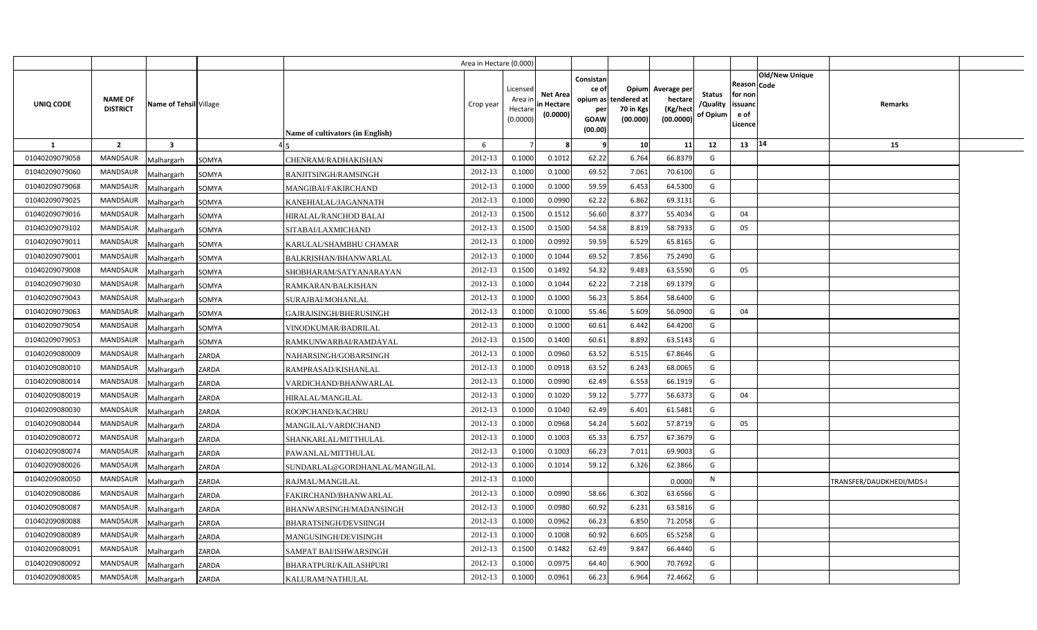|                |                                   |                         |       |                                  | Area in Hectare (0.000) |                                            |                                           |                                                          |                                               |                                                 |                                       |                                                      |                |                                 |  |
|----------------|-----------------------------------|-------------------------|-------|----------------------------------|-------------------------|--------------------------------------------|-------------------------------------------|----------------------------------------------------------|-----------------------------------------------|-------------------------------------------------|---------------------------------------|------------------------------------------------------|----------------|---------------------------------|--|
| UNIQ CODE      | <b>NAME OF</b><br><b>DISTRICT</b> | Name of Tehsil Village  |       | Name of cultivators (in English) | Crop year               | Licensed<br>Area ir<br>Hectare<br>(0.0000) | <b>Net Area</b><br>in Hectare<br>(0.0000) | Consistan<br>ce of<br>opium as<br>per<br>GOAW<br>(00.00) | Opium<br>tendered at<br>70 in Kgs<br>(00.000) | Average per<br>hectare<br>(Kg/hect<br>(00.0000) | <b>Status</b><br>/Quality<br>of Opium | Reason Code<br>for non<br>issuand<br>e of<br>Licence | Old/New Unique | Remarks                         |  |
| 1              | $\overline{2}$                    | $\overline{\mathbf{3}}$ |       |                                  | 6                       |                                            |                                           | - q                                                      | 10 <sup>1</sup>                               | 11                                              | 12                                    | $13 \mid 14$                                         |                | 15                              |  |
| 01040209079058 | <b>MANDSAUR</b>                   | Malhargarh              | SOMYA | CHENRAM/RADHAKISHAN              | 2012-13                 | 0.1000                                     | 0.1012                                    | 62.22                                                    | 6.764                                         | 66.8379                                         | G                                     |                                                      |                |                                 |  |
| 01040209079060 | MANDSAUR                          | Malhargarh              | SOMYA | RANJITSINGH/RAMSINGH             | 2012-13                 | 0.1000                                     | 0.1000                                    | 69.52                                                    | 7.061                                         | 70.6100                                         | G                                     |                                                      |                |                                 |  |
| 01040209079068 | <b>MANDSAUR</b>                   | Malhargarh              | SOMYA | MANGIBAI/FAKIRCHAND              | 2012-13                 | 0.1000                                     | 0.1000                                    | 59.59                                                    | 6.453                                         | 64.5300                                         | G                                     |                                                      |                |                                 |  |
| 01040209079025 | <b>MANDSAUR</b>                   | Malhargarh              | SOMYA | KANEHIALAL/JAGANNATH             | 2012-13                 | 0.1000                                     | 0.0990                                    | 62.22                                                    | 6.862                                         | 69.3131                                         | G                                     |                                                      |                |                                 |  |
| 01040209079016 | <b>MANDSAUR</b>                   | Malhargarh              | SOMYA | HIRALAL/RANCHOD BALAI            | 2012-13                 | 0.1500                                     | 0.1512                                    | 56.60                                                    | 8.377                                         | 55.4034                                         | G                                     | 04                                                   |                |                                 |  |
| 01040209079102 | <b>MANDSAUR</b>                   | Malhargarh              | SOMYA | SITABAI/LAXMICHAND               | 2012-13                 | 0.1500                                     | 0.1500                                    | 54.58                                                    | 8.819                                         | 58.7933                                         | G                                     | 05                                                   |                |                                 |  |
| 01040209079011 | <b>MANDSAUR</b>                   | Malhargarh              | SOMYA | KARULAL/SHAMBHU CHAMAR           | 2012-13                 | 0.1000                                     | 0.0992                                    | 59.59                                                    | 6.529                                         | 65.8165                                         | G                                     |                                                      |                |                                 |  |
| 01040209079001 | MANDSAUR                          | Malhargarh              | SOMYA | BALKRISHAN/BHANWARLAL            | 2012-13                 | 0.1000                                     | 0.1044                                    | 69.52                                                    | 7.856                                         | 75.2490                                         | G                                     |                                                      |                |                                 |  |
| 01040209079008 | MANDSAUR                          | Malhargarh              | SOMYA | SHOBHARAM/SATYANARAYAN           | 2012-13                 | 0.1500                                     | 0.1492                                    | 54.32                                                    | 9.483                                         | 63.5590                                         | G                                     | 05                                                   |                |                                 |  |
| 01040209079030 | <b>MANDSAUR</b>                   | Malhargarh              | SOMYA | RAMKARAN/BALKISHAN               | 2012-13                 | 0.1000                                     | 0.1044                                    | 62.22                                                    | 7.218                                         | 69.1379                                         | G                                     |                                                      |                |                                 |  |
| 01040209079043 | MANDSAUR                          | Malhargarh              | SOMYA | SURAJBAI/MOHANLAL                | 2012-13                 | 0.1000                                     | 0.1000                                    | 56.23                                                    | 5.864                                         | 58.6400                                         | G                                     |                                                      |                |                                 |  |
| 01040209079063 | <b>MANDSAUR</b>                   | Malhargarh              | SOMYA | GAJRAJSINGH/BHERUSINGH           | 2012-13                 | 0.1000                                     | 0.1000                                    | 55.46                                                    | 5.609                                         | 56.0900                                         | G                                     | 04                                                   |                |                                 |  |
| 01040209079054 | <b>MANDSAUR</b>                   | Malhargarh              | SOMYA | VINODKUMAR/BADRILAL              | 2012-13                 | 0.1000                                     | 0.1000                                    | 60.61                                                    | 6.442                                         | 64.4200                                         | G                                     |                                                      |                |                                 |  |
| 01040209079053 | <b>MANDSAUR</b>                   | Malhargarh              | SOMYA | RAMKUNWARBAI/RAMDAYAL            | 2012-13                 | 0.1500                                     | 0.1400                                    | 60.61                                                    | 8.892                                         | 63.5143                                         | G                                     |                                                      |                |                                 |  |
| 01040209080009 | MANDSAUR                          | Malhargarh              | ZARDA | NAHARSINGH/GOBARSINGH            | 2012-13                 | 0.1000                                     | 0.0960                                    | 63.52                                                    | 6.515                                         | 67.8646                                         | G                                     |                                                      |                |                                 |  |
| 01040209080010 | MANDSAUR                          | Malhargarh              | ZARDA | RAMPRASAD/KISHANLAL              | 2012-13                 | 0.1000                                     | 0.0918                                    | 63.52                                                    | 6.243                                         | 68.0065                                         | G                                     |                                                      |                |                                 |  |
| 01040209080014 | <b>MANDSAUR</b>                   | Malhargarh              | ZARDA | VARDICHAND/BHANWARLAL            | 2012-13                 | 0.1000                                     | 0.0990                                    | 62.49                                                    | 6.553                                         | 66.1919                                         | G                                     |                                                      |                |                                 |  |
| 01040209080019 | MANDSAUR                          | Malhargarh              | ZARDA | <b>HIRALAL/MANGILAL</b>          | 2012-13                 | 0.1000                                     | 0.1020                                    | 59.12                                                    | 5.777                                         | 56.6373                                         | G                                     | 04                                                   |                |                                 |  |
| 01040209080030 | MANDSAUR                          | Malhargarh              | ZARDA | ROOPCHAND/KACHRU                 | 2012-13                 | 0.1000                                     | 0.1040                                    | 62.49                                                    | 6.401                                         | 61.5481                                         | G                                     |                                                      |                |                                 |  |
| 01040209080044 | MANDSAUR                          | Malhargarh              | ZARDA | MANGILAL/VARDICHAND              | 2012-13                 | 0.1000                                     | 0.0968                                    | 54.24                                                    | 5.602                                         | 57.8719                                         | G                                     | 05                                                   |                |                                 |  |
| 01040209080072 | MANDSAUR                          | Malhargarh              | ZARDA | SHANKARLAL/MITTHULAL             | 2012-13                 | 0.1000                                     | 0.1003                                    | 65.33                                                    | 6.757                                         | 67.3679                                         | G                                     |                                                      |                |                                 |  |
| 01040209080074 | MANDSAUR                          | Malhargarh              | ZARDA | PAWANLAL/MITTHULAL               | 2012-13                 | 0.1000                                     | 0.1003                                    | 66.23                                                    | 7.011                                         | 69.9003                                         | G                                     |                                                      |                |                                 |  |
| 01040209080026 | MANDSAUR                          | Malhargarh              | ZARDA | SUNDARLAL@GORDHANLAL/MANGILAL    | 2012-13                 | 0.1000                                     | 0.1014                                    | 59.12                                                    | 6.326                                         | 62.3866                                         | G                                     |                                                      |                |                                 |  |
| 01040209080050 | MANDSAUR                          | Malhargarh              | ZARDA | RAJMAL/MANGILAL                  | 2012-13                 | 0.1000                                     |                                           |                                                          |                                               | 0.0000                                          | N                                     |                                                      |                | <b>FRANSFER/DAUDKHEDI/MDS-I</b> |  |
| 01040209080086 | MANDSAUR                          | Malhargarh              | ZARDA | FAKIRCHAND/BHANWARLAL            | 2012-13                 | 0.1000                                     | 0.0990                                    | 58.66                                                    | 6.302                                         | 63.6566                                         | G                                     |                                                      |                |                                 |  |
| 01040209080087 | MANDSAUR                          | Malhargarh              | ZARDA | BHANWARSINGH/MADANSINGH          | 2012-13                 | 0.1000                                     | 0.0980                                    | 60.92                                                    | 6.231                                         | 63.5816                                         | G                                     |                                                      |                |                                 |  |
| 01040209080088 | MANDSAUR                          | Malhargarh              | ZARDA | BHARATSINGH/DEVSIINGH            | 2012-13                 | 0.1000                                     | 0.0962                                    | 66.23                                                    | 6.850                                         | 71.2058                                         | G                                     |                                                      |                |                                 |  |
| 01040209080089 | MANDSAUR                          | Malhargarh              | ZARDA | MANGUSINGH/DEVISINGH             | 2012-13                 | 0.1000                                     | 0.1008                                    | 60.92                                                    | 6.605                                         | 65.5258                                         | G                                     |                                                      |                |                                 |  |
| 01040209080091 | MANDSAUR                          | Malhargarh              | ZARDA | SAMPAT BAI/ISHWARSINGH           | 2012-13                 | 0.1500                                     | 0.1482                                    | 62.49                                                    | 9.847                                         | 66.4440                                         | G                                     |                                                      |                |                                 |  |
| 01040209080092 | MANDSAUR                          | Malhargarh              | ZARDA | <b>BHARATPURI/KAILASHPURI</b>    | 2012-13                 | 0.1000                                     | 0.0975                                    | 64.40                                                    | 6.900                                         | 70.7692                                         | G                                     |                                                      |                |                                 |  |
| 01040209080085 | <b>MANDSAUR</b>                   | Malhargarh              | ZARDA | KALURAM/NATHULAL                 | 2012-13                 | 0.1000                                     | 0.0961                                    | 66.23                                                    | 6.964                                         | 72.4662                                         | G                                     |                                                      |                |                                 |  |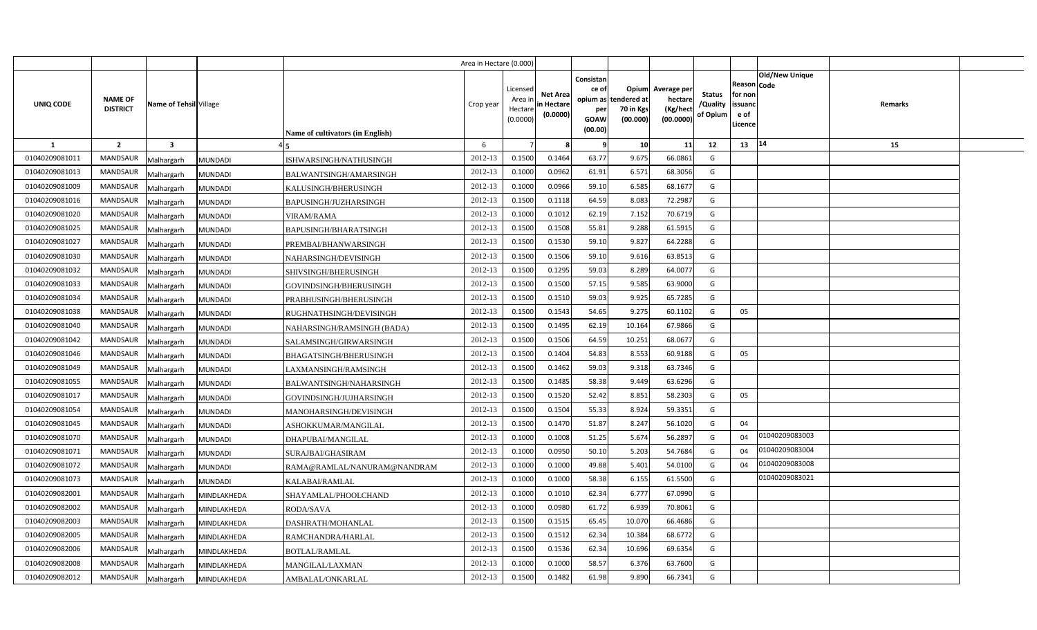|                |                                   |                              |                                  | Area in Hectare (0.000) |                                            |                                           |                                                                             |                                |                                                 |                                       |                                                      |                       |         |  |
|----------------|-----------------------------------|------------------------------|----------------------------------|-------------------------|--------------------------------------------|-------------------------------------------|-----------------------------------------------------------------------------|--------------------------------|-------------------------------------------------|---------------------------------------|------------------------------------------------------|-----------------------|---------|--|
| UNIQ CODE      | <b>NAME OF</b><br><b>DISTRICT</b> | Name of Tehsil Village       | Name of cultivators (in English) | Crop year               | Licensed<br>Area ir<br>Hectare<br>(0.0000) | <b>Net Area</b><br>in Hectare<br>(0.0000) | Consistan<br>ce of<br>opium as tendered at<br>per<br><b>GOAW</b><br>(00.00) | Opium<br>70 in Kgs<br>(00.000) | Average per<br>hectare<br>(Kg/hect<br>(00.0000) | <b>Status</b><br>/Quality<br>of Opium | Reason Code<br>for non<br>issuanc<br>e of<br>Licence | <b>Old/New Unique</b> | Remarks |  |
| $\mathbf{1}$   | $\overline{2}$                    | $\overline{\mathbf{3}}$      |                                  | 6                       |                                            |                                           | - 9                                                                         | 10                             | 11                                              | 12                                    | 13                                                   | 14                    | 15      |  |
| 01040209081011 | <b>MANDSAUR</b>                   | Malhargarh<br><b>MUNDADI</b> | ISHWARSINGH/NATHUSINGH           | 2012-13                 | 0.1500                                     | 0.1464                                    | 63.77                                                                       | 9.675                          | 66.0861                                         | G                                     |                                                      |                       |         |  |
| 01040209081013 | <b>MANDSAUR</b>                   | <b>MUNDADI</b><br>Malhargarh | BALWANTSINGH/AMARSINGH           | 2012-13                 | 0.1000                                     | 0.0962                                    | 61.91                                                                       | 6.571                          | 68.3056                                         | G                                     |                                                      |                       |         |  |
| 01040209081009 | <b>MANDSAUR</b>                   | Malhargarh<br><b>MUNDADI</b> | KALUSINGH/BHERUSINGH             | 2012-13                 | 0.1000                                     | 0.0966                                    | 59.10                                                                       | 6.585                          | 68.1677                                         | G                                     |                                                      |                       |         |  |
| 01040209081016 | <b>MANDSAUR</b>                   | Malhargarh<br><b>MUNDADI</b> | BAPUSINGH/JUZHARSINGH            | 2012-13                 | 0.1500                                     | 0.1118                                    | 64.59                                                                       | 8.083                          | 72.2987                                         | $\mathsf{G}$                          |                                                      |                       |         |  |
| 01040209081020 | <b>MANDSAUR</b>                   | Malhargarh<br><b>MUNDADI</b> | <b>VIRAM/RAMA</b>                | 2012-13                 | 0.1000                                     | 0.101                                     | 62.19                                                                       | 7.152                          | 70.6719                                         | G                                     |                                                      |                       |         |  |
| 01040209081025 | <b>MANDSAUR</b>                   | <b>MUNDADI</b><br>Malhargarh | BAPUSINGH/BHARATSINGH            | 2012-13                 | 0.1500                                     | 0.1508                                    | 55.81                                                                       | 9.288                          | 61.5915                                         | G                                     |                                                      |                       |         |  |
| 01040209081027 | <b>MANDSAUR</b>                   | Malhargarh<br><b>MUNDADI</b> | PREMBAI/BHANWARSINGH             | 2012-13                 | 0.1500                                     | 0.1530                                    | 59.10                                                                       | 9.827                          | 64.2288                                         | G                                     |                                                      |                       |         |  |
| 01040209081030 | <b>MANDSAUR</b>                   | Malhargarh<br><b>MUNDADI</b> | NAHARSINGH/DEVISINGH             | 2012-13                 | 0.1500                                     | 0.1506                                    | 59.10                                                                       | 9.616                          | 63.8513                                         | G                                     |                                                      |                       |         |  |
| 01040209081032 | <b>MANDSAUR</b>                   | Malhargarh<br><b>MUNDADI</b> | SHIVSINGH/BHERUSINGH             | 2012-13                 | 0.1500                                     | 0.1295                                    | 59.03                                                                       | 8.289                          | 64.0077                                         | G                                     |                                                      |                       |         |  |
| 01040209081033 | <b>MANDSAUR</b>                   | Malhargarh<br><b>MUNDADI</b> | GOVINDSINGH/BHERUSINGH           | 2012-13                 | 0.1500                                     | 0.1500                                    | 57.15                                                                       | 9.585                          | 63.9000                                         | G                                     |                                                      |                       |         |  |
| 01040209081034 | <b>MANDSAUR</b>                   | Malhargarh<br><b>MUNDADI</b> | PRABHUSINGH/BHERUSINGH           | 2012-13                 | 0.1500                                     | 0.1510                                    | 59.03                                                                       | 9.925                          | 65.7285                                         | G                                     |                                                      |                       |         |  |
| 01040209081038 | <b>MANDSAUR</b>                   | Malhargarh<br><b>MUNDADI</b> | RUGHNATHSINGH/DEVISINGH          | 2012-13                 | 0.1500                                     | 0.1543                                    | 54.65                                                                       | 9.275                          | 60.1102                                         | G                                     | 05                                                   |                       |         |  |
| 01040209081040 | <b>MANDSAUR</b>                   | Malhargarh<br><b>MUNDADI</b> | NAHARSINGH/RAMSINGH (BADA)       | 2012-13                 | 0.1500                                     | 0.1495                                    | 62.19                                                                       | 10.164                         | 67.9866                                         | G                                     |                                                      |                       |         |  |
| 01040209081042 | <b>MANDSAUR</b>                   | Malhargarh<br><b>MUNDADI</b> | SALAMSINGH/GIRWARSINGH           | 2012-13                 | 0.1500                                     | 0.1506                                    | 64.59                                                                       | 10.251                         | 68.0677                                         | G                                     |                                                      |                       |         |  |
| 01040209081046 | MANDSAUR                          | Malhargarh<br><b>MUNDADI</b> | BHAGATSINGH/BHERUSINGH           | 2012-13                 | 0.1500                                     | 0.1404                                    | 54.83                                                                       | 8.553                          | 60.9188                                         | G                                     | 05                                                   |                       |         |  |
| 01040209081049 | MANDSAUR                          | Malhargarh<br><b>MUNDADI</b> | LAXMANSINGH/RAMSINGH             | 2012-13                 | 0.1500                                     | 0.1462                                    | 59.03                                                                       | 9.318                          | 63.7346                                         | G                                     |                                                      |                       |         |  |
| 01040209081055 | MANDSAUR                          | Malhargarh<br><b>MUNDADI</b> | BALWANTSINGH/NAHARSINGH          | 2012-13                 | 0.1500                                     | 0.1485                                    | 58.38                                                                       | 9.449                          | 63.6296                                         | G                                     |                                                      |                       |         |  |
| 01040209081017 | MANDSAUR                          | Malhargarh<br><b>MUNDADI</b> | GOVINDSINGH/JUJHARSINGH          | 2012-13                 | 0.1500                                     | 0.1520                                    | 52.42                                                                       | 8.851                          | 58.2303                                         | G                                     | 05                                                   |                       |         |  |
| 01040209081054 | <b>MANDSAUR</b>                   | Malhargarh<br><b>MUNDADI</b> | MANOHARSINGH/DEVISINGH           | 2012-13                 | 0.1500                                     | 0.1504                                    | 55.33                                                                       | 8.924                          | 59.3351                                         | G                                     |                                                      |                       |         |  |
| 01040209081045 | MANDSAUR                          | Malhargarh<br><b>MUNDADI</b> | ASHOKKUMAR/MANGILAL              | 2012-13                 | 0.1500                                     | 0.1470                                    | 51.87                                                                       | 8.247                          | 56.1020                                         | G                                     | 04                                                   |                       |         |  |
| 01040209081070 | <b>MANDSAUR</b>                   | Malhargarh<br><b>MUNDADI</b> | DHAPUBAI/MANGILAL                | 2012-13                 | 0.1000                                     | 0.1008                                    | 51.25                                                                       | 5.674                          | 56.2897                                         | G                                     | 04                                                   | 01040209083003        |         |  |
| 01040209081071 | MANDSAUR                          | Malhargarh<br><b>MUNDADI</b> | SURAJBAI/GHASIRAM                | 2012-13                 | 0.1000                                     | 0.0950                                    | 50.10                                                                       | 5.203                          | 54.7684                                         | G                                     | 04                                                   | 01040209083004        |         |  |
| 01040209081072 | MANDSAUR                          | Malhargarh<br><b>MUNDADI</b> | RAMA@RAMLAL/NANURAM@NANDRAM      | 2012-13                 | 0.1000                                     | 0.1000                                    | 49.88                                                                       | 5.401                          | 54.0100                                         | G                                     | 04                                                   | 01040209083008        |         |  |
| 01040209081073 | <b>MANDSAUR</b>                   | Malhargarh<br><b>MUNDADI</b> | KALABAI/RAMLAL                   | 2012-13                 | 0.1000                                     | 0.1000                                    | 58.38                                                                       | 6.155                          | 61.5500                                         | G                                     |                                                      | 01040209083021        |         |  |
| 01040209082001 | MANDSAUR                          | Malhargarh<br>MINDLAKHEDA    | SHAYAMLAL/PHOOLCHAND             | 2012-13                 | 0.1000                                     | 0.1010                                    | 62.34                                                                       | 6.777                          | 67.0990                                         | G                                     |                                                      |                       |         |  |
| 01040209082002 | MANDSAUR                          | Malhargarh<br>MINDLAKHEDA    | RODA/SAVA                        | 2012-13                 | 0.1000                                     | 0.0980                                    | 61.72                                                                       | 6.939                          | 70.8061                                         | G                                     |                                                      |                       |         |  |
| 01040209082003 | <b>MANDSAUR</b>                   | Malhargarh<br>MINDLAKHEDA    | DASHRATH/MOHANLAL                | 2012-13                 | 0.1500                                     | 0.1515                                    | 65.45                                                                       | 10.070                         | 66.4686                                         | G                                     |                                                      |                       |         |  |
| 01040209082005 | <b>MANDSAUR</b>                   | Malhargarh<br>MINDLAKHEDA    | RAMCHANDRA/HARLAL                | 2012-13                 | 0.1500                                     | 0.1512                                    | 62.34                                                                       | 10.384                         | 68.6772                                         | G                                     |                                                      |                       |         |  |
| 01040209082006 | <b>MANDSAUR</b>                   | Malhargarh<br>MINDLAKHEDA    | BOTLAL/RAMLAL                    | 2012-13                 | 0.1500                                     | 0.1536                                    | 62.34                                                                       | 10.696                         | 69.6354                                         | G                                     |                                                      |                       |         |  |
| 01040209082008 | <b>MANDSAUR</b>                   | Malhargarh<br>MINDLAKHEDA    | MANGILAL/LAXMAN                  | 2012-13                 | 0.1000                                     | 0.1000                                    | 58.57                                                                       | 6.376                          | 63.7600                                         | G                                     |                                                      |                       |         |  |
| 01040209082012 | <b>MANDSAUR</b>                   | Malhargarh<br>MINDLAKHEDA    | AMBALAL/ONKARLAL                 | 2012-13                 | 0.1500                                     | 0.1482                                    | 61.98                                                                       | 9.890                          | 66.7341                                         | G                                     |                                                      |                       |         |  |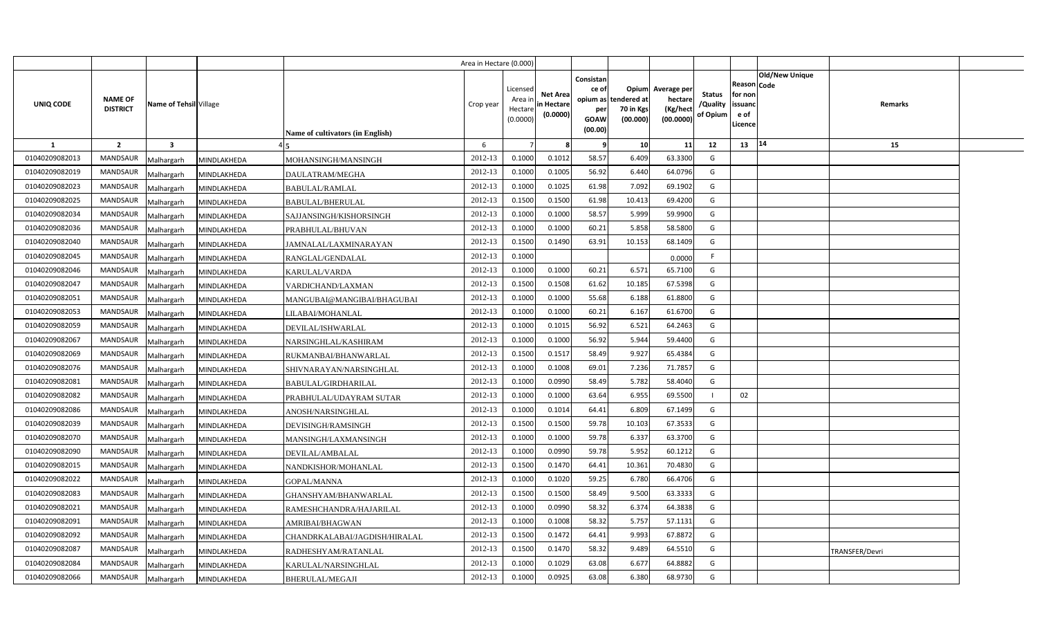|                |                                                             |             |                                  | Area in Hectare (0.000) |                                            |                                          |                                                                   |                                               |                                                 |                                       |                                                                               |                       |  |
|----------------|-------------------------------------------------------------|-------------|----------------------------------|-------------------------|--------------------------------------------|------------------------------------------|-------------------------------------------------------------------|-----------------------------------------------|-------------------------------------------------|---------------------------------------|-------------------------------------------------------------------------------|-----------------------|--|
| UNIQ CODE      | <b>NAME OF</b><br>Name of Tehsil Village<br><b>DISTRICT</b> |             | Name of cultivators (in English) | Crop year               | Licensed<br>Area ir<br>Hectare<br>(0.0000) | <b>Net Area</b><br>in Hectar<br>(0.0000) | Consistan<br>ce of<br>opium as 1<br>per<br><b>GOAW</b><br>(00.00) | Opium<br>tendered at<br>70 in Kgs<br>(00.000) | Average per<br>hectare<br>(Kg/heci<br>(00.0000) | <b>Status</b><br>/Quality<br>of Opium | <b>Old/New Unique</b><br>Reason Code<br>for non<br>issuanc<br>e of<br>.icence | Remarks               |  |
| <b>1</b>       | $\overline{2}$<br>$\overline{\mathbf{3}}$                   |             |                                  | 6                       |                                            |                                          | -9                                                                | 10                                            | 11                                              | 12                                    | 14<br>13                                                                      | 15                    |  |
| 01040209082013 | <b>MANDSAUR</b><br>Malhargarh                               | MINDLAKHEDA | MOHANSINGH/MANSINGH              | 2012-13                 | 0.1000                                     | 0.1012                                   | 58.57                                                             | 6.409                                         | 63.3300                                         | G                                     |                                                                               |                       |  |
| 01040209082019 | <b>MANDSAUR</b><br>Malhargarh                               | MINDLAKHEDA | DAULATRAM/MEGHA                  | 2012-13                 | 0.1000                                     | 0.1005                                   | 56.92                                                             | 6.440                                         | 64.0796                                         | G                                     |                                                                               |                       |  |
| 01040209082023 | <b>MANDSAUR</b><br>Malhargarh                               | MINDLAKHEDA | <b>BABULAL/RAMLAL</b>            | 2012-13                 | 0.1000                                     | 0.1025                                   | 61.98                                                             | 7.092                                         | 69.1902                                         | G                                     |                                                                               |                       |  |
| 01040209082025 | <b>MANDSAUR</b><br>Malhargarh                               | MINDLAKHEDA | BABULAL/BHERULAL                 | 2012-13                 | 0.1500                                     | 0.1500                                   | 61.98                                                             | 10.413                                        | 69.4200                                         | G                                     |                                                                               |                       |  |
| 01040209082034 | MANDSAUR<br>Malhargarh                                      | MINDLAKHEDA | SAJJANSINGH/KISHORSINGH          | 2012-13                 | 0.1000                                     | 0.1000                                   | 58.57                                                             | 5.999                                         | 59.9900                                         | G                                     |                                                                               |                       |  |
| 01040209082036 | <b>MANDSAUR</b><br>Malhargarh                               | MINDLAKHEDA | PRABHULAL/BHUVAN                 | 2012-13                 | 0.1000                                     | 0.1000                                   | 60.21                                                             | 5.858                                         | 58.5800                                         | G                                     |                                                                               |                       |  |
| 01040209082040 | MANDSAUR<br>Malhargarh                                      | MINDLAKHEDA | JAMNALAL/LAXMINARAYAN            | 2012-13                 | 0.1500                                     | 0.1490                                   | 63.91                                                             | 10.153                                        | 68.1409                                         | G                                     |                                                                               |                       |  |
| 01040209082045 | <b>MANDSAUR</b><br>Malhargarh                               | MINDLAKHEDA | RANGLAL/GENDALAL                 | 2012-13                 | 0.1000                                     |                                          |                                                                   |                                               | 0.0000                                          | F                                     |                                                                               |                       |  |
| 01040209082046 | MANDSAUR<br>Malhargarh                                      | MINDLAKHEDA | KARULAL/VARDA                    | 2012-13                 | 0.1000                                     | 0.1000                                   | 60.21                                                             | 6.571                                         | 65.7100                                         | G                                     |                                                                               |                       |  |
| 01040209082047 | MANDSAUR<br>Malhargarh                                      | MINDLAKHEDA | VARDICHAND/LAXMAN                | 2012-13                 | 0.1500                                     | 0.1508                                   | 61.62                                                             | 10.185                                        | 67.5398                                         | G                                     |                                                                               |                       |  |
| 01040209082051 | <b>MANDSAUR</b><br>Malhargarh                               | MINDLAKHEDA | MANGUBAI@MANGIBAI/BHAGUBAI       | 2012-13                 | 0.1000                                     | 0.1000                                   | 55.68                                                             | 6.188                                         | 61.8800                                         | G                                     |                                                                               |                       |  |
| 01040209082053 | MANDSAUR<br>Malhargarh                                      | MINDLAKHEDA | LILABAI/MOHANLAL                 | 2012-13                 | 0.1000                                     | 0.1000                                   | 60.21                                                             | 6.167                                         | 61.6700                                         | G                                     |                                                                               |                       |  |
| 01040209082059 | MANDSAUR<br>Malhargarh                                      | MINDLAKHEDA | DEVILAL/ISHWARLAL                | 2012-13                 | 0.1000                                     | 0.1015                                   | 56.92                                                             | 6.521                                         | 64.2463                                         | G                                     |                                                                               |                       |  |
| 01040209082067 | <b>MANDSAUR</b><br>Malhargarh                               | MINDLAKHEDA | NARSINGHLAL/KASHIRAM             | 2012-13                 | 0.1000                                     | 0.1000                                   | 56.92                                                             | 5.944                                         | 59.4400                                         | G                                     |                                                                               |                       |  |
| 01040209082069 | <b>MANDSAUR</b><br>Malhargarh                               | MINDLAKHEDA | RUKMANBAI/BHANWARLAL             | 2012-13                 | 0.1500                                     | 0.1517                                   | 58.49                                                             | 9.927                                         | 65.4384                                         | G                                     |                                                                               |                       |  |
| 01040209082076 | <b>MANDSAUR</b><br>Malhargarh                               | MINDLAKHEDA | SHIVNARAYAN/NARSINGHLAL          | 2012-13                 | 0.1000                                     | 0.1008                                   | 69.01                                                             | 7.236                                         | 71.7857                                         | G                                     |                                                                               |                       |  |
| 01040209082081 | <b>MANDSAUR</b><br>Malhargarh                               | MINDLAKHEDA | BABULAL/GIRDHARILAL              | 2012-13                 | 0.1000                                     | 0.0990                                   | 58.49                                                             | 5.782                                         | 58.4040                                         | G                                     |                                                                               |                       |  |
| 01040209082082 | <b>MANDSAUR</b><br>Malhargarh                               | MINDLAKHEDA | PRABHULAL/UDAYRAM SUTAR          | 2012-13                 | 0.1000                                     | 0.1000                                   | 63.64                                                             | 6.955                                         | 69.5500                                         |                                       | 02                                                                            |                       |  |
| 01040209082086 | <b>MANDSAUR</b><br>Malhargarh                               | MINDLAKHEDA | ANOSH/NARSINGHLAL                | 2012-13                 | 0.1000                                     | 0.1014                                   | 64.41                                                             | 6.809                                         | 67.1499                                         | G                                     |                                                                               |                       |  |
| 01040209082039 | <b>MANDSAUR</b><br>Malhargarh                               | MINDLAKHEDA | DEVISINGH/RAMSINGH               | 2012-13                 | 0.1500                                     | 0.1500                                   | 59.78                                                             | 10.103                                        | 67.3533                                         | G                                     |                                                                               |                       |  |
| 01040209082070 | <b>MANDSAUR</b><br>Malhargarh                               | MINDLAKHEDA | MANSINGH/LAXMANSINGH             | 2012-13                 | 0.1000                                     | 0.1000                                   | 59.78                                                             | 6.337                                         | 63.3700                                         | G                                     |                                                                               |                       |  |
| 01040209082090 | MANDSAUR<br>Malhargarh                                      | MINDLAKHEDA | DEVILAL/AMBALAL                  | 2012-13                 | 0.1000                                     | 0.0990                                   | 59.78                                                             | 5.952                                         | 60.1212                                         | G                                     |                                                                               |                       |  |
| 01040209082015 | <b>MANDSAUR</b><br>Malhargarh                               | MINDLAKHEDA | NANDKISHOR/MOHANLAL              | 2012-13                 | 0.1500                                     | 0.1470                                   | 64.41                                                             | 10.361                                        | 70.4830                                         | G                                     |                                                                               |                       |  |
| 01040209082022 | MANDSAUR<br>Malhargarh                                      | MINDLAKHEDA | GOPAL/MANNA                      | 2012-13                 | 0.1000                                     | 0.1020                                   | 59.25                                                             | 6.780                                         | 66.4706                                         | G                                     |                                                                               |                       |  |
| 01040209082083 | <b>MANDSAUR</b><br>Malhargarh                               | MINDLAKHEDA | GHANSHYAM/BHANWARLAL             | 2012-13                 | 0.1500                                     | 0.1500                                   | 58.49                                                             | 9.500                                         | 63.3333                                         | G                                     |                                                                               |                       |  |
| 01040209082021 | MANDSAUR<br>Malhargarh                                      | MINDLAKHEDA | RAMESHCHANDRA/HAJARILAL          | 2012-13                 | 0.1000                                     | 0.0990                                   | 58.32                                                             | 6.374                                         | 64.3838                                         | G                                     |                                                                               |                       |  |
| 01040209082091 | MANDSAUR<br>Malhargarh                                      | MINDLAKHEDA | AMRIBAI/BHAGWAN                  | 2012-13                 | 0.1000                                     | 0.1008                                   | 58.32                                                             | 5.757                                         | 57.1131                                         | G                                     |                                                                               |                       |  |
| 01040209082092 | MANDSAUR<br>Malhargarh                                      | MINDLAKHEDA | CHANDRKALABAI/JAGDISH/HIRALAL    | 2012-13                 | 0.1500                                     | 0.1472                                   | 64.41                                                             | 9.993                                         | 67.8872                                         | G                                     |                                                                               |                       |  |
| 01040209082087 | MANDSAUR<br>Malhargarh                                      | MINDLAKHEDA | RADHESHYAM/RATANLAL              | 2012-13                 | 0.1500                                     | 0.1470                                   | 58.32                                                             | 9.489                                         | 64.5510                                         | G                                     |                                                                               | <b>TRANSFER/Devri</b> |  |
| 01040209082084 | MANDSAUR<br>Malhargarh                                      | MINDLAKHEDA | KARULAL/NARSINGHLAL              | 2012-13                 | 0.1000                                     | 0.1029                                   | 63.08                                                             | 6.677                                         | 64.8882                                         | G                                     |                                                                               |                       |  |
| 01040209082066 | MANDSAUR<br>Malhargarh                                      | MINDLAKHEDA | <b>BHERULAL/MEGAJI</b>           | 2012-13                 | 0.1000                                     | 0.0925                                   | 63.08                                                             | 6.380                                         | 68.9730                                         | G                                     |                                                                               |                       |  |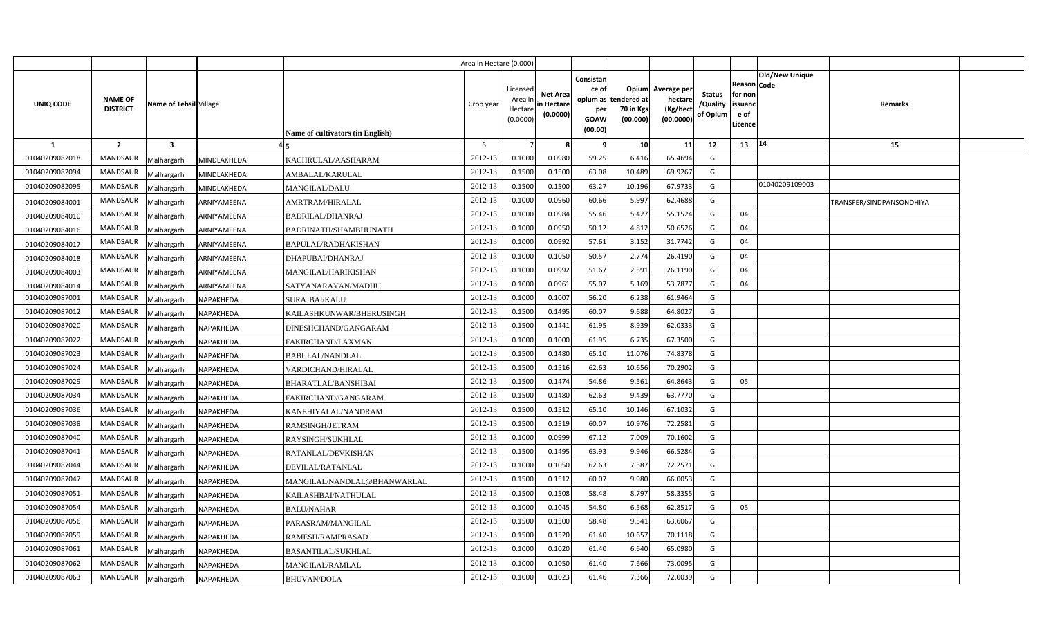|                |                                   |                         |                  |                                  | Area in Hectare (0.000) |                                            |                                           |                                              |                                                        |                                                 |                                       |                                                      |                       |                          |  |
|----------------|-----------------------------------|-------------------------|------------------|----------------------------------|-------------------------|--------------------------------------------|-------------------------------------------|----------------------------------------------|--------------------------------------------------------|-------------------------------------------------|---------------------------------------|------------------------------------------------------|-----------------------|--------------------------|--|
| UNIQ CODE      | <b>NAME OF</b><br><b>DISTRICT</b> | Name of Tehsil Village  |                  | Name of cultivators (in English) | Crop year               | Licensed<br>Area ir<br>Hectare<br>(0.0000) | <b>Net Area</b><br>in Hectare<br>(0.0000) | Consistan<br>ce of<br>per<br>GOAW<br>(00.00) | Opium<br>opium as tendered at<br>70 in Kgs<br>(00.000) | Average per<br>hectare<br>(Kg/hect<br>(00.0000) | <b>Status</b><br>/Quality<br>of Opium | Reason Code<br>for non<br>issuanc<br>e of<br>Licence | <b>Old/New Unique</b> | Remarks                  |  |
| 1              | $\overline{2}$                    | $\overline{\mathbf{3}}$ |                  |                                  | 6                       |                                            |                                           | -9                                           | 10                                                     | 11                                              | 12                                    | 13                                                   | 14                    | 15                       |  |
| 01040209082018 | <b>MANDSAUR</b>                   | Malhargarh              | MINDLAKHEDA      | KACHRULAL/AASHARAM               | 2012-13                 | 0.1000                                     | 0.0980                                    | 59.25                                        | 6.416                                                  | 65.4694                                         | G                                     |                                                      |                       |                          |  |
| 01040209082094 | <b>MANDSAUR</b>                   | Malhargarh              | MINDLAKHEDA      | AMBALAL/KARULAL                  | 2012-13                 | 0.1500                                     | 0.1500                                    | 63.08                                        | 10.489                                                 | 69.9267                                         | G                                     |                                                      |                       |                          |  |
| 01040209082095 | MANDSAUR                          | Malhargarh              | MINDLAKHEDA      | <b>MANGILAL/DALU</b>             | 2012-13                 | 0.1500                                     | 0.1500                                    | 63.27                                        | 10.196                                                 | 67.9733                                         | G                                     |                                                      | 01040209109003        |                          |  |
| 01040209084001 | MANDSAUR                          | Malhargarh              | ARNIYAMEENA      | AMRTRAM/HIRALAL                  | 2012-13                 | 0.1000                                     | 0.0960                                    | 60.66                                        | 5.997                                                  | 62.4688                                         | G                                     |                                                      |                       | TRANSFER/SINDPANSONDHIYA |  |
| 01040209084010 | MANDSAUR                          | Malhargarh              | ARNIYAMEENA      | BADRILAL/DHANRAJ                 | 2012-13                 | 0.1000                                     | 0.0984                                    | 55.46                                        | 5.427                                                  | 55.1524                                         | G                                     | 04                                                   |                       |                          |  |
| 01040209084016 | MANDSAUR                          | Malhargarh              | ARNIYAMEENA      | BADRINATH/SHAMBHUNATH            | 2012-13                 | 0.1000                                     | 0.0950                                    | 50.12                                        | 4.812                                                  | 50.6526                                         | G                                     | 04                                                   |                       |                          |  |
| 01040209084017 | MANDSAUR                          | Malhargarh              | ARNIYAMEENA      | BAPULAL/RADHAKISHAN              | 2012-13                 | 0.1000                                     | 0.0992                                    | 57.61                                        | 3.152                                                  | 31.7742                                         | G                                     | 04                                                   |                       |                          |  |
| 01040209084018 | MANDSAUR                          | Malhargarh              | ARNIYAMEENA      | DHAPUBAI/DHANRAJ                 | 2012-13                 | 0.1000                                     | 0.1050                                    | 50.57                                        | 2.774                                                  | 26.4190                                         | G                                     | 04                                                   |                       |                          |  |
| 01040209084003 | MANDSAUR                          | Malhargarh              | ARNIYAMEENA      | MANGILAL/HARIKISHAN              | 2012-13                 | 0.1000                                     | 0.0992                                    | 51.67                                        | 2.591                                                  | 26.1190                                         | G                                     | 04                                                   |                       |                          |  |
| 01040209084014 | MANDSAUR                          | Malhargarh              | ARNIYAMEENA      | SATYANARAYAN/MADHU               | 2012-13                 | 0.1000                                     | 0.0962                                    | 55.07                                        | 5.169                                                  | 53.7877                                         | G                                     | 04                                                   |                       |                          |  |
| 01040209087001 | MANDSAUR                          | Malhargarh              | NAPAKHEDA        | SURAJBAI/KALU                    | 2012-13                 | 0.100                                      | 0.1007                                    | 56.20                                        | 6.238                                                  | 61.9464                                         | G                                     |                                                      |                       |                          |  |
| 01040209087012 | MANDSAUR                          | Malhargarh              | <b>NAPAKHEDA</b> | KAILASHKUNWAR/BHERUSINGH         | 2012-13                 | 0.1500                                     | 0.1495                                    | 60.07                                        | 9.688                                                  | 64.8027                                         | G                                     |                                                      |                       |                          |  |
| 01040209087020 | <b>MANDSAUR</b>                   | Malhargarh              | NAPAKHEDA        | DINESHCHAND/GANGARAM             | 2012-13                 | 0.1500                                     | 0.1441                                    | 61.95                                        | 8.939                                                  | 62.0333                                         | G                                     |                                                      |                       |                          |  |
| 01040209087022 | <b>MANDSAUR</b>                   | Malhargarh              | NAPAKHEDA        | FAKIRCHAND/LAXMAN                | 2012-13                 | 0.1000                                     | 0.1000                                    | 61.95                                        | 6.735                                                  | 67.3500                                         | G                                     |                                                      |                       |                          |  |
| 01040209087023 | MANDSAUR                          | Malhargarh              | NAPAKHEDA        | <b>BABULAL/NANDLAL</b>           | 2012-13                 | 0.1500                                     | 0.1480                                    | 65.10                                        | 11.076                                                 | 74.8378                                         | G                                     |                                                      |                       |                          |  |
| 01040209087024 | <b>MANDSAUR</b>                   | Malhargarh              | NAPAKHEDA        | VARDICHAND/HIRALAL               | 2012-13                 | 0.1500                                     | 0.1516                                    | 62.63                                        | 10.656                                                 | 70.2902                                         | G                                     |                                                      |                       |                          |  |
| 01040209087029 | <b>MANDSAUR</b>                   | Malhargarh              | NAPAKHEDA        | <b>BHARATLAL/BANSHIBAI</b>       | 2012-13                 | 0.1500                                     | 0.1474                                    | 54.86                                        | 9.561                                                  | 64.8643                                         | G                                     | 05                                                   |                       |                          |  |
| 01040209087034 | <b>MANDSAUR</b>                   | Malhargarh              | NAPAKHEDA        | FAKIRCHAND/GANGARAM              | 2012-13                 | 0.1500                                     | 0.1480                                    | 62.63                                        | 9.439                                                  | 63.7770                                         | G                                     |                                                      |                       |                          |  |
| 01040209087036 | MANDSAUR                          | Malhargarh              | NAPAKHEDA        | KANEHIYALAL/NANDRAM              | 2012-13                 | 0.1500                                     | 0.1512                                    | 65.10                                        | 10.146                                                 | 67.1032                                         | G                                     |                                                      |                       |                          |  |
| 01040209087038 | MANDSAUR                          | Malhargarh              | NAPAKHEDA        | RAMSINGH/JETRAM                  | 2012-13                 | 0.1500                                     | 0.1519                                    | 60.07                                        | 10.976                                                 | 72.2581                                         | G                                     |                                                      |                       |                          |  |
| 01040209087040 | MANDSAUR                          | Malhargarh              | NAPAKHEDA        | RAYSINGH/SUKHLAL                 | 2012-13                 | 0.1000                                     | 0.0999                                    | 67.12                                        | 7.009                                                  | 70.1602                                         | G                                     |                                                      |                       |                          |  |
| 01040209087041 | MANDSAUR                          | Malhargarh              | NAPAKHEDA        | RATANLAL/DEVKISHAN               | 2012-13                 | 0.1500                                     | 0.1495                                    | 63.93                                        | 9.946                                                  | 66.5284                                         | $\mathsf{G}$                          |                                                      |                       |                          |  |
| 01040209087044 | MANDSAUR                          | Malhargarh              | NAPAKHEDA        | DEVILAL/RATANLAL                 | 2012-13                 | 0.1000                                     | 0.1050                                    | 62.63                                        | 7.587                                                  | 72.2571                                         | G                                     |                                                      |                       |                          |  |
| 01040209087047 | MANDSAUR                          | Malhargarh              | NAPAKHEDA        | MANGILAL/NANDLAL@BHANWARLAL      | 2012-13                 | 0.1500                                     | 0.1512                                    | 60.07                                        | 9.980                                                  | 66.0053                                         | G                                     |                                                      |                       |                          |  |
| 01040209087051 | MANDSAUR                          | Malhargarh              | NAPAKHEDA        | KAILASHBAI/NATHULAL              | 2012-13                 | 0.1500                                     | 0.1508                                    | 58.48                                        | 8.797                                                  | 58.3355                                         | G                                     |                                                      |                       |                          |  |
| 01040209087054 | MANDSAUR                          | Malhargarh              | NAPAKHEDA        | BALU/NAHAR                       | 2012-13                 | 0.1000                                     | 0.1045                                    | 54.80                                        | 6.568                                                  | 62.8517                                         | G                                     | 05                                                   |                       |                          |  |
| 01040209087056 | MANDSAUR                          | Malhargarh              | NAPAKHEDA        | PARASRAM/MANGILAL                | 2012-13                 | 0.1500                                     | 0.1500                                    | 58.48                                        | 9.541                                                  | 63.6067                                         | G                                     |                                                      |                       |                          |  |
| 01040209087059 | MANDSAUR                          | Malhargarh              | NAPAKHEDA        | RAMESH/RAMPRASAD                 | 2012-13                 | 0.1500                                     | 0.1520                                    | 61.40                                        | 10.657                                                 | 70.1118                                         | G                                     |                                                      |                       |                          |  |
| 01040209087061 | MANDSAUR                          | Malhargarh              | NAPAKHEDA        | <b>BASANTILAL/SUKHLAL</b>        | 2012-13                 | 0.1000                                     | 0.1020                                    | 61.40                                        | 6.640                                                  | 65.0980                                         | G                                     |                                                      |                       |                          |  |
| 01040209087062 | MANDSAUR                          | Malhargarh              | NAPAKHEDA        | MANGILAL/RAMLAL                  | 2012-13                 | 0.1000                                     | 0.1050                                    | 61.40                                        | 7.666                                                  | 73.0095                                         | G                                     |                                                      |                       |                          |  |
| 01040209087063 | MANDSAUR                          | Malhargarh              | <b>NAPAKHEDA</b> | <b>BHUVAN/DOLA</b>               | 2012-13                 | 0.100                                      | 0.1023                                    | 61.46                                        | 7.366                                                  | 72.0039                                         | G                                     |                                                      |                       |                          |  |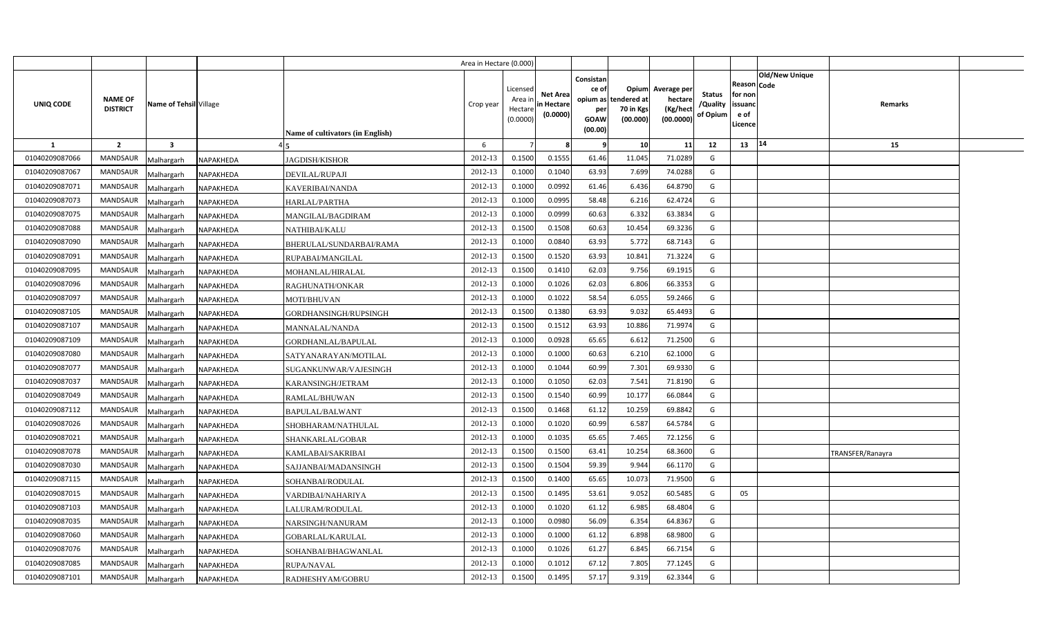|                |                                   |                                |                                         | Area in Hectare (0.000) |                                            |                                           |                                                                 |                                               |                                                 |                                       |                                                             |                       |                  |  |
|----------------|-----------------------------------|--------------------------------|-----------------------------------------|-------------------------|--------------------------------------------|-------------------------------------------|-----------------------------------------------------------------|-----------------------------------------------|-------------------------------------------------|---------------------------------------|-------------------------------------------------------------|-----------------------|------------------|--|
| UNIQ CODE      | <b>NAME OF</b><br><b>DISTRICT</b> | Name of Tehsil Village         | <b>Name of cultivators (in English)</b> | Crop year               | Licensed<br>Area in<br>Hectare<br>(0.0000) | <b>Net Area</b><br>in Hectare<br>(0.0000) | Consistan<br>ce of<br>opium as<br>per<br><b>GOAW</b><br>(00.00) | Opium<br>tendered at<br>70 in Kgs<br>(00.000) | Average per<br>hectare<br>(Kg/hect<br>(00.0000) | <b>Status</b><br>/Quality<br>of Opium | <b>Reason Code</b><br>for non<br>issuand<br>e of<br>Licence | <b>Old/New Unique</b> | Remarks          |  |
| $\mathbf{1}$   | $\overline{2}$                    | $\overline{\mathbf{3}}$        |                                         | 6                       |                                            |                                           |                                                                 | 10 <sup>1</sup>                               | 11                                              | 12                                    | 13   14                                                     |                       | 15               |  |
| 01040209087066 | <b>MANDSAUR</b>                   | Malhargarh<br>NAPAKHEDA        | <b>JAGDISH/KISHOR</b>                   | 2012-13                 | 0.1500                                     | 0.1555                                    | 61.46                                                           | 11.045                                        | 71.0289                                         | G                                     |                                                             |                       |                  |  |
| 01040209087067 | <b>MANDSAUR</b>                   | Malhargarh<br>NAPAKHEDA        | DEVILAL/RUPAJI                          | 2012-13                 | 0.1000                                     | 0.1040                                    | 63.93                                                           | 7.699                                         | 74.0288                                         | G                                     |                                                             |                       |                  |  |
| 01040209087071 | <b>MANDSAUR</b>                   | NAPAKHEDA<br>Malhargarh        | KAVERIBAI/NANDA                         | 2012-13                 | 0.1000                                     | 0.0992                                    | 61.46                                                           | 6.436                                         | 64.8790                                         | G                                     |                                                             |                       |                  |  |
| 01040209087073 | <b>MANDSAUR</b>                   | Malhargarh<br>NAPAKHEDA        | <b>HARLAL/PARTHA</b>                    | 2012-13                 | 0.1000                                     | 0.0995                                    | 58.48                                                           | 6.216                                         | 62.4724                                         | G                                     |                                                             |                       |                  |  |
| 01040209087075 | <b>MANDSAUR</b>                   | Malhargarh<br>NAPAKHEDA        | MANGILAL/BAGDIRAM                       | 2012-13                 | 0.1000                                     | 0.0999                                    | 60.63                                                           | 6.332                                         | 63.3834                                         | G                                     |                                                             |                       |                  |  |
| 01040209087088 | <b>MANDSAUR</b>                   | Malhargarh<br>NAPAKHEDA        | NATHIBAI/KALU                           | 2012-13                 | 0.1500                                     | 0.1508                                    | 60.63                                                           | 10.454                                        | 69.3236                                         | G                                     |                                                             |                       |                  |  |
| 01040209087090 | <b>MANDSAUR</b>                   | Malhargarh<br>NAPAKHEDA        | BHERULAL/SUNDARBAI/RAMA                 | 2012-13                 | 0.1000                                     | 0.0840                                    | 63.93                                                           | 5.772                                         | 68.7143                                         | G                                     |                                                             |                       |                  |  |
| 01040209087091 | <b>MANDSAUR</b>                   | Malhargarh<br>NAPAKHEDA        | RUPABAI/MANGILAL                        | 2012-13                 | 0.1500                                     | 0.1520                                    | 63.93                                                           | 10.841                                        | 71.3224                                         | G                                     |                                                             |                       |                  |  |
| 01040209087095 | <b>MANDSAUR</b>                   | Malhargarh<br>NAPAKHEDA        | MOHANLAL/HIRALAL                        | 2012-13                 | 0.1500                                     | 0.1410                                    | 62.03                                                           | 9.756                                         | 69.1915                                         | G                                     |                                                             |                       |                  |  |
| 01040209087096 | <b>MANDSAUR</b>                   | Malhargarh<br>NAPAKHEDA        | RAGHUNATH/ONKAR                         | 2012-13                 | 0.1000                                     | 0.1026                                    | 62.03                                                           | 6.806                                         | 66.3353                                         | G                                     |                                                             |                       |                  |  |
| 01040209087097 | <b>MANDSAUR</b>                   | Malhargarh<br>NAPAKHEDA        | MOTI/BHUVAN                             | 2012-13                 | 0.1000                                     | 0.1022                                    | 58.54                                                           | 6.055                                         | 59.2466                                         | G                                     |                                                             |                       |                  |  |
| 01040209087105 | <b>MANDSAUR</b>                   | Malhargarh<br>NAPAKHEDA        | GORDHANSINGH/RUPSINGH                   | 2012-13                 | 0.1500                                     | 0.1380                                    | 63.93                                                           | 9.032                                         | 65.4493                                         | G                                     |                                                             |                       |                  |  |
| 01040209087107 | <b>MANDSAUR</b>                   | Malhargarh<br>NAPAKHEDA        | MANNALAL/NANDA                          | 2012-13                 | 0.1500                                     | 0.1512                                    | 63.93                                                           | 10.886                                        | 71.9974                                         | G                                     |                                                             |                       |                  |  |
| 01040209087109 | <b>MANDSAUR</b>                   | Malhargarh<br>NAPAKHEDA        | GORDHANLAL/BAPULAL                      | 2012-13                 | 0.1000                                     | 0.0928                                    | 65.65                                                           | 6.612                                         | 71.2500                                         | G                                     |                                                             |                       |                  |  |
| 01040209087080 | <b>MANDSAUR</b>                   | Malhargarh<br>NAPAKHEDA        | SATYANARAYAN/MOTILAL                    | 2012-13                 | 0.1000                                     | 0.1000                                    | 60.63                                                           | 6.210                                         | 62.1000                                         | G                                     |                                                             |                       |                  |  |
| 01040209087077 | <b>MANDSAUR</b>                   | Malhargarh<br>NAPAKHEDA        | SUGANKUNWAR/VAJESINGH                   | 2012-13                 | 0.1000                                     | 0.1044                                    | 60.99                                                           | 7.301                                         | 69.9330                                         | G                                     |                                                             |                       |                  |  |
| 01040209087037 | MANDSAUR                          | NAPAKHEDA<br>Malhargarh        | KARANSINGH/JETRAM                       | 2012-13                 | 0.1000                                     | 0.1050                                    | 62.03                                                           | 7.541                                         | 71.8190                                         | G                                     |                                                             |                       |                  |  |
| 01040209087049 | <b>MANDSAUR</b>                   | Malhargarh<br>NAPAKHEDA        | RAMLAL/BHUWAN                           | 2012-13                 | 0.1500                                     | 0.1540                                    | 60.99                                                           | 10.177                                        | 66.0844                                         | G                                     |                                                             |                       |                  |  |
| 01040209087112 | <b>MANDSAUR</b>                   | Malhargarh<br>NAPAKHEDA        | <b>BAPULAL/BALWANT</b>                  | 2012-13                 | 0.1500                                     | 0.1468                                    | 61.12                                                           | 10.259                                        | 69.8842                                         | G                                     |                                                             |                       |                  |  |
| 01040209087026 | <b>MANDSAUR</b>                   | Malhargarh<br>NAPAKHEDA        | SHOBHARAM/NATHULAL                      | 2012-13                 | 0.1000                                     | 0.1020                                    | 60.99                                                           | 6.587                                         | 64.5784                                         | G                                     |                                                             |                       |                  |  |
| 01040209087021 | <b>MANDSAUR</b>                   | Malhargarh<br>NAPAKHEDA        | SHANKARLAL/GOBAR                        | 2012-13                 | 0.1000                                     | 0.1035                                    | 65.65                                                           | 7.465                                         | 72.1256                                         | G                                     |                                                             |                       |                  |  |
| 01040209087078 | <b>MANDSAUR</b>                   | Malhargarh<br>NAPAKHEDA        | KAMLABAI/SAKRIBAI                       | 2012-13                 | 0.1500                                     | 0.1500                                    | 63.41                                                           | 10.254                                        | 68.3600                                         | G                                     |                                                             |                       | TRANSFER/Ranayra |  |
| 01040209087030 | <b>MANDSAUR</b>                   | Malhargarh<br>NAPAKHEDA        | SAJJANBAI/MADANSINGH                    | 2012-13                 | 0.1500                                     | 0.1504                                    | 59.39                                                           | 9.944                                         | 66.1170                                         | G                                     |                                                             |                       |                  |  |
| 01040209087115 | MANDSAUR                          | Malhargarh<br>NAPAKHEDA        | SOHANBAI/RODULAL                        | 2012-13                 | 0.1500                                     | 0.1400                                    | 65.65                                                           | 10.073                                        | 71.9500                                         | G                                     |                                                             |                       |                  |  |
| 01040209087015 | <b>MANDSAUR</b>                   | Malhargarh<br>NAPAKHEDA        | VARDIBAI/NAHARIYA                       | 2012-13                 | 0.1500                                     | 0.1495                                    | 53.61                                                           | 9.052                                         | 60.5485                                         | G                                     | 05                                                          |                       |                  |  |
| 01040209087103 | <b>MANDSAUR</b>                   | Malhargarh<br>NAPAKHEDA        | LALURAM/RODULAL                         | 2012-13                 | 0.1000                                     | 0.1020                                    | 61.12                                                           | 6.985                                         | 68.4804                                         | G                                     |                                                             |                       |                  |  |
| 01040209087035 | <b>MANDSAUR</b>                   | Malhargarh<br>NAPAKHEDA        | NARSINGH/NANURAM                        | 2012-13                 | 0.1000                                     | 0.0980                                    | 56.09                                                           | 6.354                                         | 64.8367                                         | G                                     |                                                             |                       |                  |  |
| 01040209087060 | <b>MANDSAUR</b>                   | Malhargarh<br>NAPAKHEDA        | GOBARLAL/KARULAL                        | 2012-13                 | 0.1000                                     | 0.1000                                    | 61.12                                                           | 6.898                                         | 68.9800                                         | G                                     |                                                             |                       |                  |  |
| 01040209087076 | <b>MANDSAUR</b>                   | Malhargarh<br>NAPAKHEDA        | SOHANBAI/BHAGWANLAL                     | 2012-13                 | 0.1000                                     | 0.1026                                    | 61.27                                                           | 6.845                                         | 66.7154                                         | G                                     |                                                             |                       |                  |  |
| 01040209087085 | <b>MANDSAUR</b>                   | Malhargarh<br>NAPAKHEDA        | <b>RUPA/NAVAL</b>                       | 2012-13                 | 0.1000                                     | 0.1012                                    | 67.12                                                           | 7.805                                         | 77.1245                                         | G                                     |                                                             |                       |                  |  |
| 01040209087101 | <b>MANDSAUR</b>                   | Malhargarh<br><b>NAPAKHEDA</b> | RADHESHYAM/GOBRU                        | 2012-13                 | 0.1500                                     | 0.1495                                    | 57.17                                                           | 9.319                                         | 62.3344                                         | G                                     |                                                             |                       |                  |  |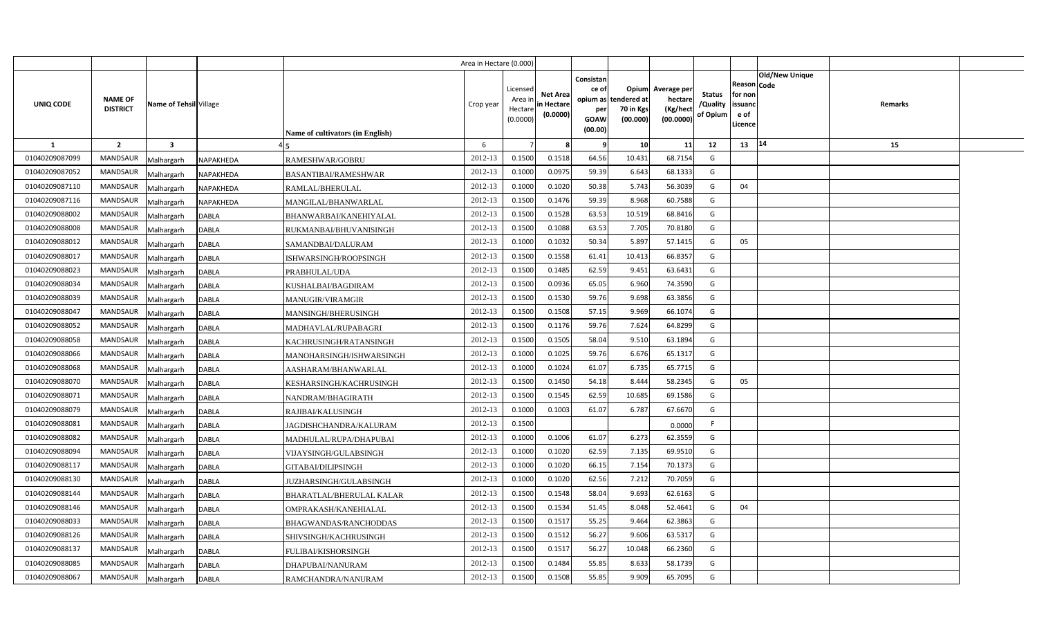|                |                                   |                         |                  |                                  | Area in Hectare (0.000) |                                            |                                           |                                                     |                                                        |                                                 |                                       |                                                      |                |         |  |
|----------------|-----------------------------------|-------------------------|------------------|----------------------------------|-------------------------|--------------------------------------------|-------------------------------------------|-----------------------------------------------------|--------------------------------------------------------|-------------------------------------------------|---------------------------------------|------------------------------------------------------|----------------|---------|--|
| UNIQ CODE      | <b>NAME OF</b><br><b>DISTRICT</b> | Name of Tehsil Village  |                  | Name of cultivators (in English) | Crop year               | Licensed<br>Area ir<br>Hectare<br>(0.0000) | <b>Net Area</b><br>in Hectare<br>(0.0000) | Consistan<br>ce of<br>per<br><b>GOAW</b><br>(00.00) | Opium<br>opium as tendered at<br>70 in Kgs<br>(00.000) | Average per<br>hectare<br>(Kg/hect<br>(00.0000) | <b>Status</b><br>/Quality<br>of Opium | Reason Code<br>for non<br>issuanc<br>e of<br>Licence | Old/New Unique | Remarks |  |
| -1             | $\overline{2}$                    | $\overline{\mathbf{3}}$ |                  |                                  | 6                       |                                            |                                           | - 9                                                 | 10                                                     | 11                                              | 12                                    | 13                                                   | $ 14\rangle$   | 15      |  |
| 01040209087099 | MANDSAUR                          | Malhargarh              | NAPAKHEDA        | RAMESHWAR/GOBRU                  | 2012-13                 | 0.1500                                     | 0.1518                                    | 64.56                                               | 10.431                                                 | 68.7154                                         | G                                     |                                                      |                |         |  |
| 01040209087052 | <b>MANDSAUR</b>                   | Malhargarh              | NAPAKHEDA        | <b>BASANTIBAI/RAMESHWAR</b>      | 2012-13                 | 0.1000                                     | 0.097!                                    | 59.39                                               | 6.643                                                  | 68.1333                                         | G                                     |                                                      |                |         |  |
| 01040209087110 | <b>MANDSAUR</b>                   | Malhargarh              | NAPAKHEDA        | RAMLAL/BHERULAL                  | 2012-13                 | 0.1000                                     | 0.1020                                    | 50.38                                               | 5.743                                                  | 56.3039                                         | G                                     | 04                                                   |                |         |  |
| 01040209087116 | MANDSAUR                          | Malhargarh              | <b>NAPAKHEDA</b> | MANGILAL/BHANWARLAL              | 2012-13                 | 0.1500                                     | 0.1476                                    | 59.39                                               | 8.968                                                  | 60.7588                                         | G                                     |                                                      |                |         |  |
| 01040209088002 | <b>MANDSAUR</b>                   | Malhargarh              | DABLA            | BHANWARBAI/KANEHIYALAL           | 2012-13                 | 0.1500                                     | 0.1528                                    | 63.53                                               | 10.519                                                 | 68.8416                                         | G                                     |                                                      |                |         |  |
| 01040209088008 | MANDSAUR                          | Malhargarh              | DABLA            | RUKMANBAI/BHUVANISINGH           | 2012-13                 | 0.1500                                     | 0.1088                                    | 63.53                                               | 7.705                                                  | 70.8180                                         | G                                     |                                                      |                |         |  |
| 01040209088012 | MANDSAUR                          | Malhargarh              | DABLA            | SAMANDBAI/DALURAM                | 2012-13                 | 0.1000                                     | 0.1032                                    | 50.34                                               | 5.897                                                  | 57.1415                                         | G                                     | 05                                                   |                |         |  |
| 01040209088017 | MANDSAUR                          | Malhargarh              | <b>DABLA</b>     | ISHWARSINGH/ROOPSINGH            | 2012-13                 | 0.1500                                     | 0.1558                                    | 61.41                                               | 10.413                                                 | 66.8357                                         | G                                     |                                                      |                |         |  |
| 01040209088023 | MANDSAUR                          | Malhargarh              | DABLA            | PRABHULAL/UDA                    | 2012-13                 | 0.1500                                     | 0.1485                                    | 62.59                                               | 9.451                                                  | 63.6431                                         | G                                     |                                                      |                |         |  |
| 01040209088034 | MANDSAUR                          | Malhargarh              | DABLA            | KUSHALBAI/BAGDIRAM               | 2012-13                 | 0.1500                                     | 0.0936                                    | 65.05                                               | 6.960                                                  | 74.3590                                         | G                                     |                                                      |                |         |  |
| 01040209088039 | <b>MANDSAUR</b>                   | Malhargarh              | DABLA            | <b>MANUGIR/VIRAMGIR</b>          | 2012-13                 | 0.1500                                     | 0.1530                                    | 59.76                                               | 9.698                                                  | 63.3856                                         | G                                     |                                                      |                |         |  |
| 01040209088047 | MANDSAUR                          | Malhargarh              | <b>DABLA</b>     | MANSINGH/BHERUSINGH              | 2012-13                 | 0.1500                                     | 0.1508                                    | 57.15                                               | 9.969                                                  | 66.1074                                         | G                                     |                                                      |                |         |  |
| 01040209088052 | <b>MANDSAUR</b>                   | Malhargarh              | <b>DABLA</b>     | MADHAVLAL/RUPABAGRI              | 2012-13                 | 0.1500                                     | 0.1176                                    | 59.76                                               | 7.624                                                  | 64.8299                                         | G                                     |                                                      |                |         |  |
| 01040209088058 | MANDSAUR                          | Malhargarh              | DABLA            | KACHRUSINGH/RATANSINGH           | 2012-13                 | 0.1500                                     | 0.1505                                    | 58.04                                               | 9.510                                                  | 63.1894                                         | G                                     |                                                      |                |         |  |
| 01040209088066 | <b>MANDSAUR</b>                   | Malhargarh              | DABLA            | MANOHARSINGH/ISHWARSINGH         | 2012-13                 | 0.1000                                     | 0.1025                                    | 59.76                                               | 6.676                                                  | 65.1317                                         | G                                     |                                                      |                |         |  |
| 01040209088068 | <b>MANDSAUR</b>                   | Malhargarh              | DABLA            | AASHARAM/BHANWARLAL              | 2012-13                 | 0.1000                                     | 0.1024                                    | 61.07                                               | 6.735                                                  | 65.7715                                         | G                                     |                                                      |                |         |  |
| 01040209088070 | MANDSAUR                          | Malhargarh              | DABLA            | KESHARSINGH/KACHRUSINGH          | 2012-13                 | 0.1500                                     | 0.1450                                    | 54.18                                               | 8.444                                                  | 58.2345                                         | G                                     | 05                                                   |                |         |  |
| 01040209088071 | MANDSAUR                          | Malhargarh              | DABLA            | NANDRAM/BHAGIRATH                | 2012-13                 | 0.1500                                     | 0.1545                                    | 62.59                                               | 10.685                                                 | 69.1586                                         | G                                     |                                                      |                |         |  |
| 01040209088079 | MANDSAUR                          | Malhargarh              | DABLA            | RAJIBAI/KALUSINGH                | 2012-13                 | 0.1000                                     | 0.1003                                    | 61.07                                               | 6.787                                                  | 67.6670                                         | G                                     |                                                      |                |         |  |
| 01040209088081 | MANDSAUR                          | Malhargarh              | <b>DABLA</b>     | JAGDISHCHANDRA/KALURAM           | 2012-13                 | 0.1500                                     |                                           |                                                     |                                                        | 0.0000                                          | -F                                    |                                                      |                |         |  |
| 01040209088082 | MANDSAUR                          | Malhargarh              | DABLA            | MADHULAL/RUPA/DHAPUBAI           | 2012-13                 | 0.1000                                     | 0.1006                                    | 61.07                                               | 6.273                                                  | 62.3559                                         | G                                     |                                                      |                |         |  |
| 01040209088094 | MANDSAUR                          | Malhargarh              | DABLA            | VIJAYSINGH/GULABSINGH            | 2012-13                 | 0.1000                                     | 0.1020                                    | 62.59                                               | 7.135                                                  | 69.9510                                         | G                                     |                                                      |                |         |  |
| 01040209088117 | MANDSAUR                          | Malhargarh              | DABLA            | GITABAI/DILIPSINGH               | 2012-13                 | 0.1000                                     | 0.1020                                    | 66.15                                               | 7.154                                                  | 70.1373                                         | G                                     |                                                      |                |         |  |
| 01040209088130 | <b>MANDSAUR</b>                   | Malhargarh              | DABLA            | JUZHARSINGH/GULABSINGH           | 2012-13                 | 0.1000                                     | 0.1020                                    | 62.56                                               | 7.212                                                  | 70.7059                                         | G                                     |                                                      |                |         |  |
| 01040209088144 | MANDSAUR                          | Malhargarh              | DABLA            | BHARATLAL/BHERULAL KALAR         | 2012-13                 | 0.1500                                     | 0.1548                                    | 58.04                                               | 9.693                                                  | 62.6163                                         | G                                     |                                                      |                |         |  |
| 01040209088146 | <b>MANDSAUR</b>                   | Malhargarh              | DABLA            | OMPRAKASH/KANEHIALAL             | 2012-13                 | 0.1500                                     | 0.1534                                    | 51.45                                               | 8.048                                                  | 52.4641                                         | G                                     | 04                                                   |                |         |  |
| 01040209088033 | MANDSAUR                          | Malhargarh              | DABLA            | BHAGWANDAS/RANCHODDAS            | 2012-13                 | 0.1500                                     | 0.151                                     | 55.25                                               | 9.464                                                  | 62.3863                                         | G                                     |                                                      |                |         |  |
| 01040209088126 | <b>MANDSAUR</b>                   | Malhargarh              | DABLA            | SHIVSINGH/KACHRUSINGH            | 2012-13                 | 0.1500                                     | 0.1512                                    | 56.27                                               | 9.606                                                  | 63.5317                                         | G                                     |                                                      |                |         |  |
| 01040209088137 | MANDSAUR                          | Malhargarh              | DABLA            | FULIBAI/KISHORSINGH              | 2012-13                 | 0.1500                                     | 0.151                                     | 56.27                                               | 10.048                                                 | 66.2360                                         | G                                     |                                                      |                |         |  |
| 01040209088085 | <b>MANDSAUR</b>                   | Malhargarh              | <b>DABLA</b>     | DHAPUBAI/NANURAM                 | 2012-13                 | 0.1500                                     | 0.1484                                    | 55.85                                               | 8.633                                                  | 58.1739                                         | G                                     |                                                      |                |         |  |
| 01040209088067 | <b>MANDSAUR</b>                   | Malhargarh              | <b>DABLA</b>     | RAMCHANDRA/NANURAM               | 2012-13                 | 0.1500                                     | 0.1508                                    | 55.85                                               | 9.909                                                  | 65.7095                                         | G                                     |                                                      |                |         |  |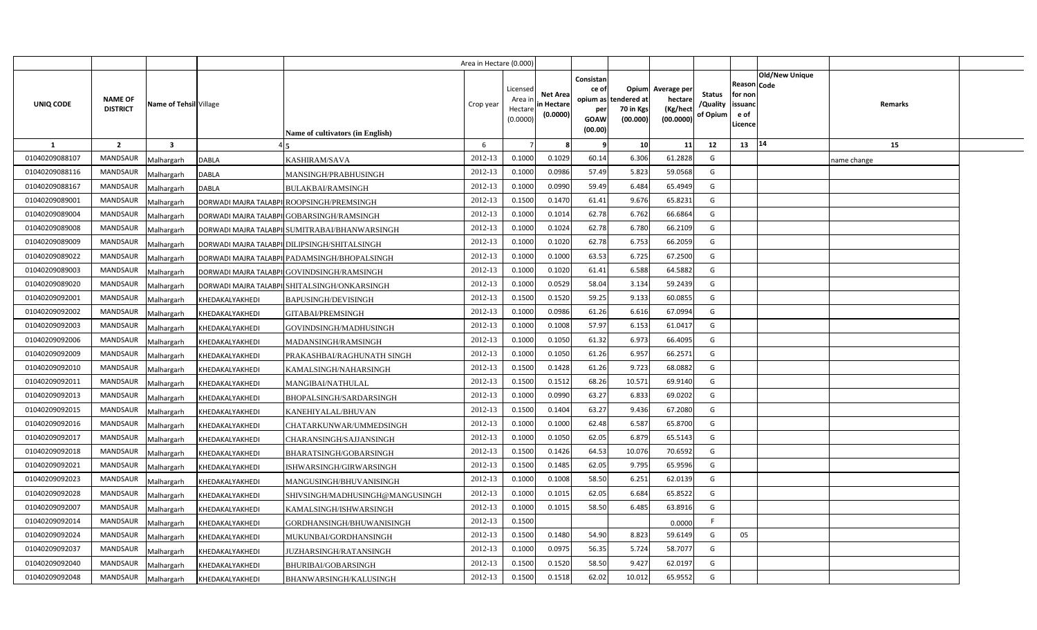|                |                                   |                                                                  | Area in Hectare (0.000) |                                            |                                           |                                                                 |                                               |                                                 |                                       |                                                      |                       |             |  |
|----------------|-----------------------------------|------------------------------------------------------------------|-------------------------|--------------------------------------------|-------------------------------------------|-----------------------------------------------------------------|-----------------------------------------------|-------------------------------------------------|---------------------------------------|------------------------------------------------------|-----------------------|-------------|--|
| UNIQ CODE      | <b>NAME OF</b><br><b>DISTRICT</b> | Name of Tehsil Village<br>Name of cultivators (in English)       | Crop year               | Licensed<br>Area in<br>Hectare<br>(0.0000) | <b>Net Area</b><br>in Hectare<br>(0.0000) | Consistan<br>ce of<br>opium as<br>per<br><b>GOAW</b><br>(00.00) | Opium<br>tendered at<br>70 in Kgs<br>(00.000) | Average per<br>hectare<br>(Kg/hect<br>(00.0000) | <b>Status</b><br>/Quality<br>of Opium | Reason Code<br>for non<br>issuanc<br>e of<br>Licence | <b>Old/New Unique</b> | Remarks     |  |
| -1             | $\overline{2}$                    | $\overline{\mathbf{3}}$                                          | 6                       |                                            |                                           |                                                                 | 10                                            | 11                                              | 12                                    | 13                                                   | 14                    | 15          |  |
| 01040209088107 | <b>MANDSAUR</b>                   | <b>DABLA</b><br><b>KASHIRAM/SAVA</b><br>Malhargarh               | 2012-13                 | 0.1000                                     | 0.1029                                    | 60.14                                                           | 6.306                                         | 61.2828                                         | G                                     |                                                      |                       | name change |  |
| 01040209088116 | <b>MANDSAUR</b>                   | <b>DABLA</b><br>Malhargarh<br>MANSINGH/PRABHUSINGH               | 2012-13                 | 0.1000                                     | 0.0986                                    | 57.49                                                           | 5.823                                         | 59.0568                                         | G                                     |                                                      |                       |             |  |
| 01040209088167 | <b>MANDSAUR</b>                   | Malhargarh<br><b>DABLA</b><br><b>BULAKBAI/RAMSINGH</b>           | 2012-13                 | 0.1000                                     | 0.0990                                    | 59.49                                                           | 6.484                                         | 65.4949                                         | G                                     |                                                      |                       |             |  |
| 01040209089001 | <b>MANDSAUR</b>                   | Malhargarh<br>DORWADI MAJRA TALABPII ROOPSINGH/PREMSINGH         | 2012-13                 | 0.1500                                     | 0.1470                                    | 61.41                                                           | 9.676                                         | 65.8231                                         | G                                     |                                                      |                       |             |  |
| 01040209089004 | <b>MANDSAUR</b>                   | Malhargarh<br>DORWADI MAJRA TALABPI GOBARSINGH/RAMSINGH          | 2012-13                 | 0.1000                                     | 0.1014                                    | 62.78                                                           | 6.762                                         | 66.6864                                         | G                                     |                                                      |                       |             |  |
| 01040209089008 | <b>MANDSAUR</b>                   | Malhargarh<br>DORWADI MAJRA TALABPI SUMITRABAI/BHANWARSINGH      | 2012-13                 | 0.100C                                     | 0.1024                                    | 62.78                                                           | 6.780                                         | 66.2109                                         | G                                     |                                                      |                       |             |  |
| 01040209089009 | <b>MANDSAUR</b>                   | Malhargarh<br>DORWADI MAJRA TALABPI DILIPSINGH/SHITALSINGH       | 2012-13                 | 0.1000                                     | 0.1020                                    | 62.78                                                           | 6.753                                         | 66.2059                                         | G                                     |                                                      |                       |             |  |
| 01040209089022 | <b>MANDSAUR</b>                   | Malhargarh<br>DORWADI MAJRA TALABPI PADAMSINGH/BHOPALSINGH       | 2012-13                 | 0.1000                                     | 0.1000                                    | 63.53                                                           | 6.725                                         | 67.2500                                         | G                                     |                                                      |                       |             |  |
| 01040209089003 | <b>MANDSAUR</b>                   | Malhargarh<br>DORWADI MAJRA TALABPII GOVINDSINGH/RAMSINGH        | 2012-13                 | 0.1000                                     | 0.1020                                    | 61.41                                                           | 6.588                                         | 64.5882                                         | G                                     |                                                      |                       |             |  |
| 01040209089020 | <b>MANDSAUR</b>                   | Malhargarh<br>DORWADI MAJRA TALABPILSHITALSINGH/ONKARSINGH       | 2012-13                 | 0.1000                                     | 0.0529                                    | 58.04                                                           | 3.134                                         | 59.2439                                         | G                                     |                                                      |                       |             |  |
| 01040209092001 | <b>MANDSAUR</b>                   | Malhargarh<br>KHEDAKALYAKHEDI<br><b>BAPUSINGH/DEVISINGH</b>      | 2012-13                 | 0.1500                                     | 0.1520                                    | 59.25                                                           | 9.133                                         | 60.0855                                         | G                                     |                                                      |                       |             |  |
| 01040209092002 | <b>MANDSAUR</b>                   | Malhargarh<br>KHEDAKALYAKHEDI<br><b>GITABAI/PREMSINGH</b>        | 2012-13                 | 0.1000                                     | 0.0986                                    | 61.26                                                           | 6.616                                         | 67.0994                                         | G                                     |                                                      |                       |             |  |
| 01040209092003 | MANDSAUR                          | GOVINDSINGH/MADHUSINGH<br>Malhargarh<br>KHEDAKALYAKHEDI          | 2012-13                 | 0.1000                                     | 0.1008                                    | 57.97                                                           | 6.153                                         | 61.0417                                         | G                                     |                                                      |                       |             |  |
| 01040209092006 | <b>MANDSAUR</b>                   | Malhargarh<br>KHEDAKALYAKHEDI<br>MADANSINGH/RAMSINGH             | 2012-13                 | 0.1000                                     | 0.1050                                    | 61.32                                                           | 6.973                                         | 66.4095                                         | G                                     |                                                      |                       |             |  |
| 01040209092009 | <b>MANDSAUR</b>                   | Malhargarh<br>KHEDAKALYAKHEDI<br>PRAKASHBAI/RAGHUNATH SINGH      | 2012-13                 | 0.1000                                     | 0.1050                                    | 61.26                                                           | 6.957                                         | 66.2571                                         | G                                     |                                                      |                       |             |  |
| 01040209092010 | <b>MANDSAUR</b>                   | Malhargarh<br>KHEDAKALYAKHEDI<br>KAMALSINGH/NAHARSINGH           | 2012-13                 | 0.1500                                     | 0.1428                                    | 61.26                                                           | 9.723                                         | 68.0882                                         | G                                     |                                                      |                       |             |  |
| 01040209092011 | MANDSAUR                          | Malhargarh<br>KHEDAKALYAKHEDI<br>MANGIBAI/NATHULAL               | 2012-13                 | 0.1500                                     | 0.1512                                    | 68.26                                                           | 10.571                                        | 69.9140                                         | G                                     |                                                      |                       |             |  |
| 01040209092013 | <b>MANDSAUR</b>                   | Malhargarh<br>KHEDAKALYAKHEDI<br>BHOPALSINGH/SARDARSINGH         | 2012-13                 | 0.1000                                     | 0.0990                                    | 63.27                                                           | 6.833                                         | 69.0202                                         | G                                     |                                                      |                       |             |  |
| 01040209092015 | <b>MANDSAUR</b>                   | Malhargarh<br>KHEDAKALYAKHEDI<br>KANEHIYALAL/BHUVAN              | 2012-13                 | 0.1500                                     | 0.1404                                    | 63.27                                                           | 9.436                                         | 67.2080                                         | G                                     |                                                      |                       |             |  |
| 01040209092016 | <b>MANDSAUR</b>                   | Malhargarh<br>KHEDAKALYAKHEDI<br>CHATARKUNWAR/UMMEDSINGH         | 2012-13                 | 0.1000                                     | 0.1000                                    | 62.48                                                           | 6.587                                         | 65.8700                                         | G                                     |                                                      |                       |             |  |
| 01040209092017 | <b>MANDSAUR</b>                   | Malhargarh<br>KHEDAKALYAKHEDI<br>CHARANSINGH/SAJJANSINGH         | 2012-13                 | 0.1000                                     | 0.1050                                    | 62.05                                                           | 6.879                                         | 65.5143                                         | G                                     |                                                      |                       |             |  |
| 01040209092018 | <b>MANDSAUR</b>                   | Malhargarh<br>KHEDAKALYAKHEDI<br>BHARATSINGH/GOBARSINGH          | 2012-13                 | 0.1500                                     | 0.1426                                    | 64.53                                                           | 10.076                                        | 70.6592                                         | G                                     |                                                      |                       |             |  |
| 01040209092021 | <b>MANDSAUR</b>                   | Malhargarh<br>KHEDAKALYAKHEDI<br>ISHWARSINGH/GIRWARSINGH         | 2012-13                 | 0.1500                                     | 0.1485                                    | 62.05                                                           | 9.795                                         | 65.9596                                         | G                                     |                                                      |                       |             |  |
| 01040209092023 | MANDSAUR                          | Malhargarh<br>KHEDAKALYAKHEDI<br>MANGUSINGH/BHUVANISINGH         | 2012-13                 | 0.1000                                     | 0.1008                                    | 58.50                                                           | 6.251                                         | 62.0139                                         | G                                     |                                                      |                       |             |  |
| 01040209092028 | <b>MANDSAUR</b>                   | Malhargarh<br>KHEDAKALYAKHEDI<br>SHIVSINGH/MADHUSINGH@MANGUSINGH | 2012-13                 | 0.1000                                     | 0.1015                                    | 62.05                                                           | 6.684                                         | 65.8522                                         | G                                     |                                                      |                       |             |  |
| 01040209092007 | <b>MANDSAUR</b>                   | Malhargarh<br>KHEDAKALYAKHEDI<br>KAMALSINGH/ISHWARSINGH          | 2012-13                 | 0.1000                                     | 0.1015                                    | 58.50                                                           | 6.485                                         | 63.8916                                         | G                                     |                                                      |                       |             |  |
| 01040209092014 | <b>MANDSAUR</b>                   | Malhargarh<br>KHEDAKALYAKHEDI<br>GORDHANSINGH/BHUWANISINGH       | 2012-13                 | 0.1500                                     |                                           |                                                                 |                                               | 0.0000                                          | F.                                    |                                                      |                       |             |  |
| 01040209092024 | <b>MANDSAUR</b>                   | Malhargarh<br>KHEDAKALYAKHEDI<br>MUKUNBAI/GORDHANSINGH           | 2012-13                 | 0.1500                                     | 0.1480                                    | 54.90                                                           | 8.823                                         | 59.6149                                         | G                                     | 05                                                   |                       |             |  |
| 01040209092037 | <b>MANDSAUR</b>                   | Malhargarh<br>KHEDAKALYAKHEDI<br>JUZHARSINGH/RATANSINGH          | 2012-13                 | 0.1000                                     | 0.0975                                    | 56.35                                                           | 5.724                                         | 58.7077                                         | G                                     |                                                      |                       |             |  |
| 01040209092040 | <b>MANDSAUR</b>                   | KHEDAKALYAKHEDI<br>Malhargarh<br><b>BHURIBAI/GOBARSINGH</b>      | 2012-13                 | 0.1500                                     | 0.1520                                    | 58.50                                                           | 9.427                                         | 62.0197                                         | G                                     |                                                      |                       |             |  |
| 01040209092048 | <b>MANDSAUR</b>                   | Malhargarh<br>KHEDAKALYAKHEDI<br>BHANWARSINGH/KALUSINGH          | 2012-13                 | 0.1500                                     | 0.1518                                    | 62.02                                                           | 10.012                                        | 65.9552                                         | G                                     |                                                      |                       |             |  |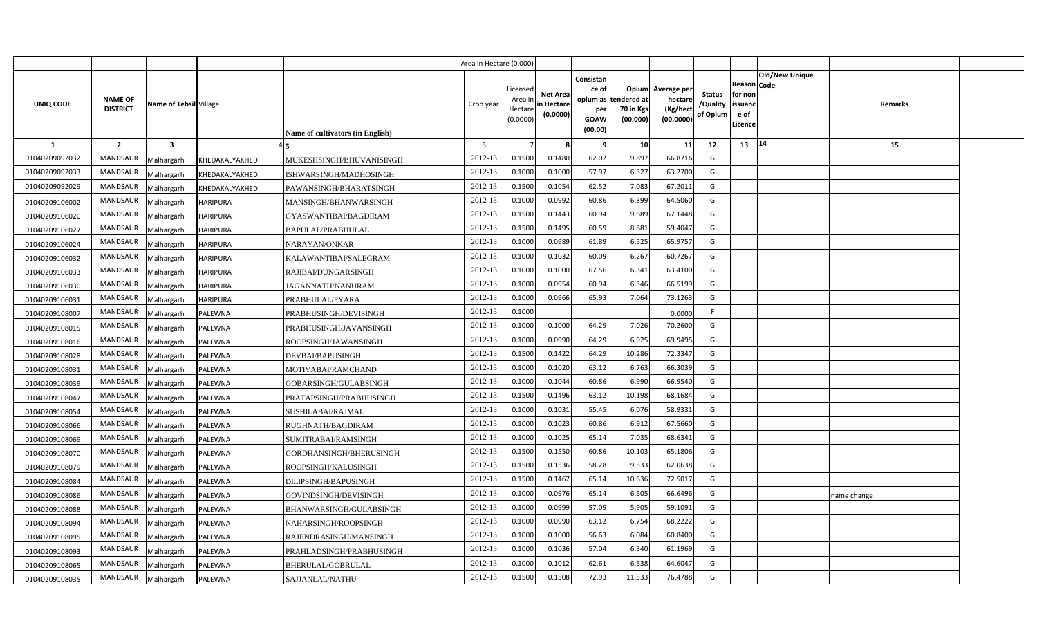|                |                                   |                         |                 |                                         | Area in Hectare (0.000) |                                            |                                           |                                                          |                                               |                                                 |                                       |                                                             |                       |             |  |
|----------------|-----------------------------------|-------------------------|-----------------|-----------------------------------------|-------------------------|--------------------------------------------|-------------------------------------------|----------------------------------------------------------|-----------------------------------------------|-------------------------------------------------|---------------------------------------|-------------------------------------------------------------|-----------------------|-------------|--|
| UNIQ CODE      | <b>NAME OF</b><br><b>DISTRICT</b> | Name of Tehsil Village  |                 | <b>Name of cultivators (in English)</b> | Crop year               | Licensed<br>Area ir<br>Hectare<br>(0.0000) | <b>Net Area</b><br>in Hectare<br>(0.0000) | Consistan<br>ce of<br>opium as<br>per<br>GOAW<br>(00.00) | Opium<br>tendered at<br>70 in Kgs<br>(00.000) | Average per<br>hectare<br>(Kg/hect<br>(00.0000) | <b>Status</b><br>/Quality<br>of Opium | <b>Reason Code</b><br>for non<br>issuanc<br>e of<br>Licence | <b>Old/New Unique</b> | Remarks     |  |
| $\mathbf{1}$   | $\overline{2}$                    | $\overline{\mathbf{3}}$ |                 |                                         | 6                       |                                            |                                           |                                                          | 10                                            | 11                                              | 12                                    | 13                                                          | 14                    | 15          |  |
| 01040209092032 | <b>MANDSAUR</b>                   | Malhargarh              | KHEDAKALYAKHEDI | MUKESHSINGH/BHUVANISINGH                | 2012-13                 | 0.1500                                     | 0.1480                                    | 62.02                                                    | 9.897                                         | 66.8716                                         | G                                     |                                                             |                       |             |  |
| 01040209092033 | <b>MANDSAUR</b>                   | Malhargarh              | KHEDAKALYAKHEDI | ISHWARSINGH/MADHOSINGH                  | 2012-13                 | 0.1000                                     | 0.1000                                    | 57.97                                                    | 6.327                                         | 63.2700                                         | G                                     |                                                             |                       |             |  |
| 01040209092029 | <b>MANDSAUR</b>                   | Malhargarh              | KHEDAKALYAKHEDI | PAWANSINGH/BHARATSINGH                  | 2012-13                 | 0.1500                                     | 0.1054                                    | 62.52                                                    | 7.083                                         | 67.2011                                         | G                                     |                                                             |                       |             |  |
| 01040209106002 | MANDSAUR                          | Malhargarh              | <b>HARIPURA</b> | MANSINGH/BHANWARSINGH                   | 2012-13                 | 0.1000                                     | 0.0992                                    | 60.86                                                    | 6.399                                         | 64.5060                                         | G                                     |                                                             |                       |             |  |
| 01040209106020 | MANDSAUR                          | Malhargarh              | <b>HARIPURA</b> | GYASWANTIBAI/BAGDIRAM                   | 2012-13                 | 0.1500                                     | 0.1443                                    | 60.94                                                    | 9.689                                         | 67.1448                                         | G                                     |                                                             |                       |             |  |
| 01040209106027 | <b>MANDSAUR</b>                   | Malhargarh              | <b>HARIPURA</b> | BAPULAL/PRABHULAL                       | 2012-13                 | 0.1500                                     | 0.1495                                    | 60.59                                                    | 8.881                                         | 59.4047                                         | G                                     |                                                             |                       |             |  |
| 01040209106024 | MANDSAUR                          | Malhargarh              | <b>HARIPURA</b> | NARAYAN/ONKAR                           | 2012-13                 | 0.1000                                     | 0.0989                                    | 61.89                                                    | 6.525                                         | 65.9757                                         | G                                     |                                                             |                       |             |  |
| 01040209106032 | <b>MANDSAUR</b>                   | Malhargarh              | <b>HARIPURA</b> | KALAWANTIBAI/SALEGRAM                   | 2012-13                 | 0.1000                                     | 0.1032                                    | 60.09                                                    | 6.267                                         | 60.7267                                         | G                                     |                                                             |                       |             |  |
| 01040209106033 | MANDSAUR                          | Malhargarh              | <b>HARIPURA</b> | RAJIBAI/DUNGARSINGH                     | 2012-13                 | 0.1000                                     | 0.1000                                    | 67.56                                                    | 6.341                                         | 63.4100                                         | G                                     |                                                             |                       |             |  |
| 01040209106030 | MANDSAUR                          | Malhargarh              | <b>HARIPURA</b> | JAGANNATH/NANURAM                       | 2012-13                 | 0.1000                                     | 0.0954                                    | 60.94                                                    | 6.346                                         | 66.5199                                         | G                                     |                                                             |                       |             |  |
| 01040209106031 | <b>MANDSAUR</b>                   | Malhargarh              | <b>HARIPURA</b> | PRABHULAL/PYARA                         | 2012-13                 | 0.1000                                     | 0.0966                                    | 65.93                                                    | 7.064                                         | 73.1263                                         | G                                     |                                                             |                       |             |  |
| 01040209108007 | <b>MANDSAUR</b>                   | Malhargarh              | PALEWNA         | PRABHUSINGH/DEVISINGH                   | 2012-13                 | 0.1000                                     |                                           |                                                          |                                               | 0.0000                                          | F                                     |                                                             |                       |             |  |
| 01040209108015 | <b>MANDSAUR</b>                   | Malhargarh              | PALEWNA         | PRABHUSINGH/JAVANSINGH                  | 2012-13                 | 0.1000                                     | 0.1000                                    | 64.29                                                    | 7.026                                         | 70.2600                                         | G                                     |                                                             |                       |             |  |
| 01040209108016 | <b>MANDSAUR</b>                   | Malhargarh              | PALEWNA         | ROOPSINGH/JAWANSINGH                    | 2012-13                 | 0.1000                                     | 0.0990                                    | 64.29                                                    | 6.925                                         | 69.9495                                         | G                                     |                                                             |                       |             |  |
| 01040209108028 | MANDSAUR                          | Malhargarh              | PALEWNA         | DEVBAI/BAPUSINGH                        | 2012-13                 | 0.1500                                     | 0.1422                                    | 64.29                                                    | 10.286                                        | 72.3347                                         | G                                     |                                                             |                       |             |  |
| 01040209108031 | <b>MANDSAUR</b>                   | Malhargarh              | PALEWNA         | MOTIYABAI/RAMCHAND                      | 2012-13                 | 0.1000                                     | 0.1020                                    | 63.12                                                    | 6.763                                         | 66.3039                                         | G                                     |                                                             |                       |             |  |
| 01040209108039 | MANDSAUR                          | Malhargarh              | PALEWNA         | GOBARSINGH/GULABSINGH                   | 2012-13                 | 0.1000                                     | 0.1044                                    | 60.86                                                    | 6.990                                         | 66.9540                                         | G                                     |                                                             |                       |             |  |
| 01040209108047 | <b>MANDSAUR</b>                   | Malhargarh              | PALEWNA         | PRATAPSINGH/PRABHUSINGH                 | 2012-13                 | 0.1500                                     | 0.1496                                    | 63.12                                                    | 10.198                                        | 68.1684                                         | G                                     |                                                             |                       |             |  |
| 01040209108054 | <b>MANDSAUR</b>                   | Malhargarh              | PALEWNA         | SUSHILABAI/RAJMAL                       | 2012-13                 | 0.1000                                     | 0.1031                                    | 55.45                                                    | 6.076                                         | 58.9331                                         | G                                     |                                                             |                       |             |  |
| 01040209108066 | <b>MANDSAUR</b>                   | Malhargarh              | PALEWNA         | RUGHNATH/BAGDIRAM                       | 2012-13                 | 0.1000                                     | 0.1023                                    | 60.86                                                    | 6.912                                         | 67.5660                                         | G                                     |                                                             |                       |             |  |
| 01040209108069 | <b>MANDSAUR</b>                   | Malhargarh              | PALEWNA         | SUMITRABAI/RAMSINGH                     | 2012-13                 | 0.1000                                     | 0.102!                                    | 65.14                                                    | 7.035                                         | 68.6341                                         | G                                     |                                                             |                       |             |  |
| 01040209108070 | <b>MANDSAUR</b>                   | Malhargarh              | PALEWNA         | GORDHANSINGH/BHERUSINGH                 | 2012-13                 | 0.1500                                     | 0.1550                                    | 60.86                                                    | 10.103                                        | 65.1806                                         | G                                     |                                                             |                       |             |  |
| 01040209108079 | <b>MANDSAUR</b>                   | Malhargarh              | PALEWNA         | ROOPSINGH/KALUSINGH                     | 2012-13                 | 0.1500                                     | 0.1536                                    | 58.28                                                    | 9.533                                         | 62.0638                                         | G                                     |                                                             |                       |             |  |
| 01040209108084 | <b>MANDSAUR</b>                   | Malhargarh              | PALEWNA         | DILIPSINGH/BAPUSINGH                    | 2012-13                 | 0.1500                                     | 0.1467                                    | 65.14                                                    | 10.636                                        | 72.5017                                         | G                                     |                                                             |                       |             |  |
| 01040209108086 | <b>MANDSAUR</b>                   | Malhargarh              | PALEWNA         | GOVINDSINGH/DEVISINGH                   | 2012-13                 | 0.1000                                     | 0.0976                                    | 65.14                                                    | 6.505                                         | 66.6496                                         | G                                     |                                                             |                       | name change |  |
| 01040209108088 | <b>MANDSAUR</b>                   | Malhargarh              | PALEWNA         | BHANWARSINGH/GULABSINGH                 | 2012-13                 | 0.1000                                     | 0.0999                                    | 57.09                                                    | 5.905                                         | 59.1091                                         | G                                     |                                                             |                       |             |  |
| 01040209108094 | <b>MANDSAUR</b>                   | Malhargarh              | PALEWNA         | NAHARSINGH/ROOPSINGH                    | 2012-13                 | 0.1000                                     | 0.0990                                    | 63.12                                                    | 6.754                                         | 68.2222                                         | G                                     |                                                             |                       |             |  |
| 01040209108095 | <b>MANDSAUR</b>                   | Malhargarh              | PALEWNA         | RAJENDRASINGH/MANSINGH                  | 2012-13                 | 0.1000                                     | 0.1000                                    | 56.63                                                    | 6.084                                         | 60.8400                                         | G                                     |                                                             |                       |             |  |
| 01040209108093 | <b>MANDSAUR</b>                   | Malhargarh              | PALEWNA         | PRAHLADSINGH/PRABHUSINGH                | 2012-13                 | 0.1000                                     | 0.1036                                    | 57.04                                                    | 6.340                                         | 61.1969                                         | G                                     |                                                             |                       |             |  |
| 01040209108065 | <b>MANDSAUR</b>                   | Malhargarh              | PALEWNA         | BHERULAL/GOBRULAL                       | 2012-13                 | 0.1000                                     | 0.1012                                    | 62.61                                                    | 6.538                                         | 64.6047                                         | G                                     |                                                             |                       |             |  |
| 01040209108035 | MANDSAUR                          | Malhargarh              | PALEWNA         | SAJJANLAL/NATHU                         | 2012-13                 | 0.1500                                     | 0.1508                                    | 72.93                                                    | 11.533                                        | 76.4788                                         | G                                     |                                                             |                       |             |  |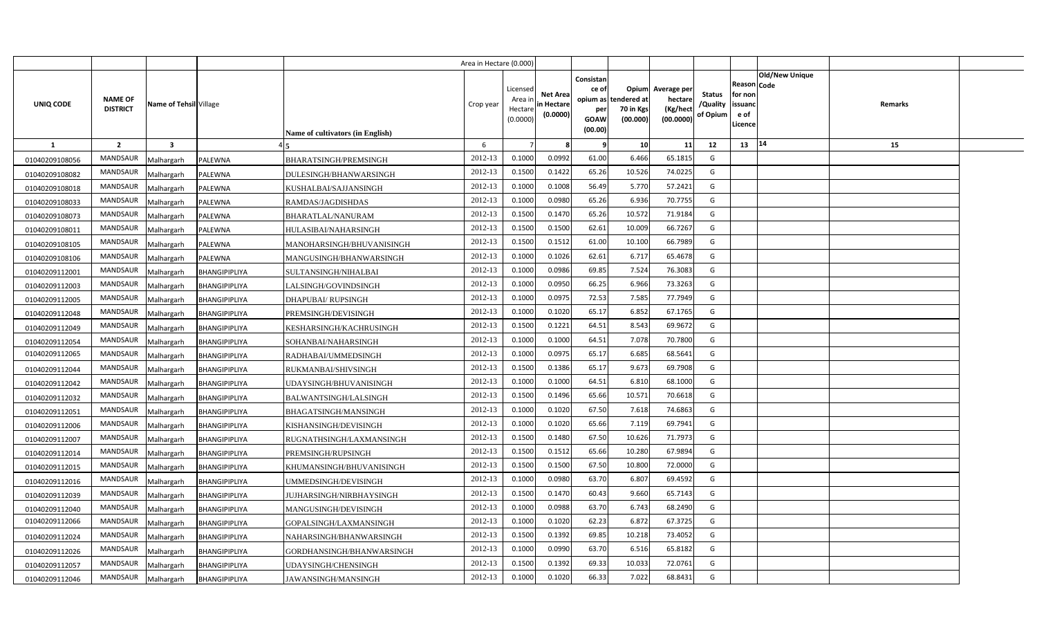|                |                                   |                         |                |                                  | Area in Hectare (0.000) |                                            |                                           |                                                     |                                                        |                                                 |                                       |                                                      |                                  |  |
|----------------|-----------------------------------|-------------------------|----------------|----------------------------------|-------------------------|--------------------------------------------|-------------------------------------------|-----------------------------------------------------|--------------------------------------------------------|-------------------------------------------------|---------------------------------------|------------------------------------------------------|----------------------------------|--|
| UNIQ CODE      | <b>NAME OF</b><br><b>DISTRICT</b> | Name of Tehsil Village  |                | Name of cultivators (in English) | Crop year               | Licensed<br>Area ir<br>Hectare<br>(0.0000) | <b>Net Area</b><br>in Hectare<br>(0.0000) | Consistan<br>ce of<br>per<br><b>GOAW</b><br>(00.00) | Opium<br>opium as tendered at<br>70 in Kgs<br>(00.000) | Average per<br>hectare<br>(Kg/hect<br>(00.0000) | <b>Status</b><br>/Quality<br>of Opium | Reason Code<br>for non<br>issuanc<br>e of<br>Licence | <b>Old/New Unique</b><br>Remarks |  |
| 1              | $\overline{2}$                    | $\overline{\mathbf{3}}$ |                |                                  | 6                       |                                            |                                           | 9                                                   | 10                                                     | 11                                              | 12                                    | 13                                                   | 14<br>15                         |  |
| 01040209108056 | <b>MANDSAUR</b>                   | Malhargarh              | PALEWNA        | <b>BHARATSINGH/PREMSINGH</b>     | 2012-13                 | 0.1000                                     | 0.0992                                    | 61.00                                               | 6.466                                                  | 65.1815                                         | G                                     |                                                      |                                  |  |
| 01040209108082 | MANDSAUR                          | Malhargarh              | PALEWNA        | DULESINGH/BHANWARSINGH           | 2012-13                 | 0.1500                                     | 0.1422                                    | 65.26                                               | 10.526                                                 | 74.0225                                         | G                                     |                                                      |                                  |  |
| 01040209108018 | MANDSAUR                          | Malhargarh              | PALEWNA        | KUSHALBAI/SAJJANSINGH            | 2012-13                 | 0.1000                                     | 0.1008                                    | 56.49                                               | 5.770                                                  | 57.2421                                         | G                                     |                                                      |                                  |  |
| 01040209108033 | MANDSAUR                          | Malhargarh              | PALEWNA        | RAMDAS/JAGDISHDAS                | 2012-13                 | 0.1000                                     | 0.0980                                    | 65.26                                               | 6.936                                                  | 70.7755                                         | G                                     |                                                      |                                  |  |
| 01040209108073 | MANDSAUR                          | Malhargarh              | <b>PALEWNA</b> | BHARATLAL/NANURAM                | 2012-13                 | 0.1500                                     | 0.1470                                    | 65.26                                               | 10.572                                                 | 71.9184                                         | G                                     |                                                      |                                  |  |
| 01040209108011 | <b>MANDSAUR</b>                   | Malhargarh              | PALEWNA        | HULASIBAI/NAHARSINGH             | 2012-13                 | 0.1500                                     | 0.1500                                    | 62.61                                               | 10.009                                                 | 66.7267                                         | G                                     |                                                      |                                  |  |
| 01040209108105 | MANDSAUR                          | Malhargarh              | PALEWNA        | MANOHARSINGH/BHUVANISINGH        | 2012-13                 | 0.1500                                     | 0.1512                                    | 61.00                                               | 10.100                                                 | 66.7989                                         | G                                     |                                                      |                                  |  |
| 01040209108106 | MANDSAUR                          | Malhargarh              | PALEWNA        | MANGUSINGH/BHANWARSINGH          | 2012-13                 | 0.1000                                     | 0.1026                                    | 62.61                                               | 6.717                                                  | 65.4678                                         | G                                     |                                                      |                                  |  |
| 01040209112001 | MANDSAUR                          | Malhargarh              | BHANGIPIPLIYA  | SULTANSINGH/NIHALBAI             | 2012-13                 | 0.1000                                     | 0.0986                                    | 69.85                                               | 7.524                                                  | 76.3083                                         | G                                     |                                                      |                                  |  |
| 01040209112003 | MANDSAUR                          | Malhargarh              | BHANGIPIPLIYA  | LALSINGH/GOVINDSINGH             | 2012-13                 | 0.1000                                     | 0.095                                     | 66.25                                               | 6.966                                                  | 73.3263                                         | G                                     |                                                      |                                  |  |
| 01040209112005 | MANDSAUR                          | Malhargarh              | BHANGIPIPLIYA  | <b>DHAPUBAI/ RUPSINGH</b>        | 2012-13                 | 0.1000                                     | 0.0975                                    | 72.53                                               | 7.585                                                  | 77.7949                                         | G                                     |                                                      |                                  |  |
| 01040209112048 | MANDSAUR                          | Malhargarh              | BHANGIPIPLIYA  | PREMSINGH/DEVISINGH              | 2012-13                 | 0.1000                                     | 0.1020                                    | 65.17                                               | 6.852                                                  | 67.1765                                         | G                                     |                                                      |                                  |  |
| 01040209112049 | MANDSAUR                          | Malhargarh              | BHANGIPIPLIYA  | KESHARSINGH/KACHRUSINGH          | 2012-13                 | 0.1500                                     | 0.1221                                    | 64.51                                               | 8.543                                                  | 69.9672                                         | G                                     |                                                      |                                  |  |
| 01040209112054 | MANDSAUR                          | Malhargarh              | BHANGIPIPLIYA  | SOHANBAI/NAHARSINGH              | 2012-13                 | 0.1000                                     | 0.1000                                    | 64.51                                               | 7.078                                                  | 70.7800                                         | G                                     |                                                      |                                  |  |
| 01040209112065 | MANDSAUR                          | Malhargarh              | BHANGIPIPLIYA  | RADHABAI/UMMEDSINGH              | 2012-13                 | 0.1000                                     | 0.0975                                    | 65.17                                               | 6.685                                                  | 68.5641                                         | G                                     |                                                      |                                  |  |
| 01040209112044 | <b>MANDSAUR</b>                   | Malhargarh              | BHANGIPIPLIYA  | RUKMANBAI/SHIVSINGH              | 2012-13                 | 0.1500                                     | 0.1386                                    | 65.17                                               | 9.673                                                  | 69.7908                                         | G                                     |                                                      |                                  |  |
| 01040209112042 | MANDSAUR                          | Malhargarh              | BHANGIPIPLIYA  | UDAYSINGH/BHUVANISINGH           | 2012-13                 | 0.1000                                     | 0.1000                                    | 64.51                                               | 6.810                                                  | 68.1000                                         | G                                     |                                                      |                                  |  |
| 01040209112032 | <b>MANDSAUR</b>                   | Malhargarh              | BHANGIPIPLIYA  | BALWANTSINGH/LALSINGH            | 2012-13                 | 0.1500                                     | 0.1496                                    | 65.66                                               | 10.571                                                 | 70.6618                                         | G                                     |                                                      |                                  |  |
| 01040209112051 | <b>MANDSAUR</b>                   | Malhargarh              | BHANGIPIPLIYA  | BHAGATSINGH/MANSINGH             | 2012-13                 | 0.1000                                     | 0.1020                                    | 67.50                                               | 7.618                                                  | 74.6863                                         | G                                     |                                                      |                                  |  |
| 01040209112006 | <b>MANDSAUR</b>                   | Malhargarh              | BHANGIPIPLIYA  | KISHANSINGH/DEVISINGH            | 2012-13                 | 0.1000                                     | 0.1020                                    | 65.66                                               | 7.119                                                  | 69.7941                                         | G                                     |                                                      |                                  |  |
| 01040209112007 | <b>MANDSAUR</b>                   | Malhargarh              | BHANGIPIPLIYA  | RUGNATHSINGH/LAXMANSINGH         | 2012-13                 | 0.1500                                     | 0.1480                                    | 67.50                                               | 10.626                                                 | 71.7973                                         | G                                     |                                                      |                                  |  |
| 01040209112014 | MANDSAUR                          | Malhargarh              | BHANGIPIPLIYA  | PREMSINGH/RUPSINGH               | 2012-13                 | 0.1500                                     | 0.1512                                    | 65.66                                               | 10.280                                                 | 67.9894                                         | G                                     |                                                      |                                  |  |
| 01040209112015 | MANDSAUR                          | Malhargarh              | BHANGIPIPLIYA  | KHUMANSINGH/BHUVANISINGH         | 2012-13                 | 0.1500                                     | 0.1500                                    | 67.50                                               | 10.800                                                 | 72.0000                                         | G                                     |                                                      |                                  |  |
| 01040209112016 | MANDSAUR                          | Malhargarh              | BHANGIPIPLIYA  | UMMEDSINGH/DEVISINGH             | 2012-13                 | 0.1000                                     | 0.0980                                    | 63.70                                               | 6.807                                                  | 69.4592                                         | G                                     |                                                      |                                  |  |
| 01040209112039 | <b>MANDSAUR</b>                   | Malhargarh              | BHANGIPIPLIYA  | JUJHARSINGH/NIRBHAYSINGH         | 2012-13                 | 0.1500                                     | 0.1470                                    | 60.43                                               | 9.660                                                  | 65.7143                                         | G                                     |                                                      |                                  |  |
| 01040209112040 | MANDSAUR                          | Malhargarh              | BHANGIPIPLIYA  | MANGUSINGH/DEVISINGH             | 2012-13                 | 0.1000                                     | 0.0988                                    | 63.70                                               | 6.743                                                  | 68.2490                                         | G                                     |                                                      |                                  |  |
| 01040209112066 | MANDSAUR                          | Malhargarh              | BHANGIPIPLIYA  | GOPALSINGH/LAXMANSINGH           | 2012-13                 | 0.1000                                     | 0.1020                                    | 62.23                                               | 6.872                                                  | 67.3725                                         | G                                     |                                                      |                                  |  |
| 01040209112024 | MANDSAUR                          | Malhargarh              | BHANGIPIPLIYA  | NAHARSINGH/BHANWARSINGH          | 2012-13                 | 0.1500                                     | 0.1392                                    | 69.85                                               | 10.218                                                 | 73.4052                                         | G                                     |                                                      |                                  |  |
| 01040209112026 | MANDSAUR                          | Malhargarh              | BHANGIPIPLIYA  | GORDHANSINGH/BHANWARSINGH        | 2012-13                 | 0.1000                                     | 0.0990                                    | 63.70                                               | 6.516                                                  | 65.8182                                         | G                                     |                                                      |                                  |  |
| 01040209112057 | MANDSAUR                          | Malhargarh              | BHANGIPIPLIYA  | UDAYSINGH/CHENSINGH              | 2012-13                 | 0.1500                                     | 0.1392                                    | 69.33                                               | 10.033                                                 | 72.0761                                         | G                                     |                                                      |                                  |  |
| 01040209112046 | MANDSAUR                          | Malhargarh              | BHANGIPIPLIYA  | JAWANSINGH/MANSINGH              | 2012-13                 | 0.1000                                     | 0.1020                                    | 66.33                                               | 7.022                                                  | 68.8431                                         | G                                     |                                                      |                                  |  |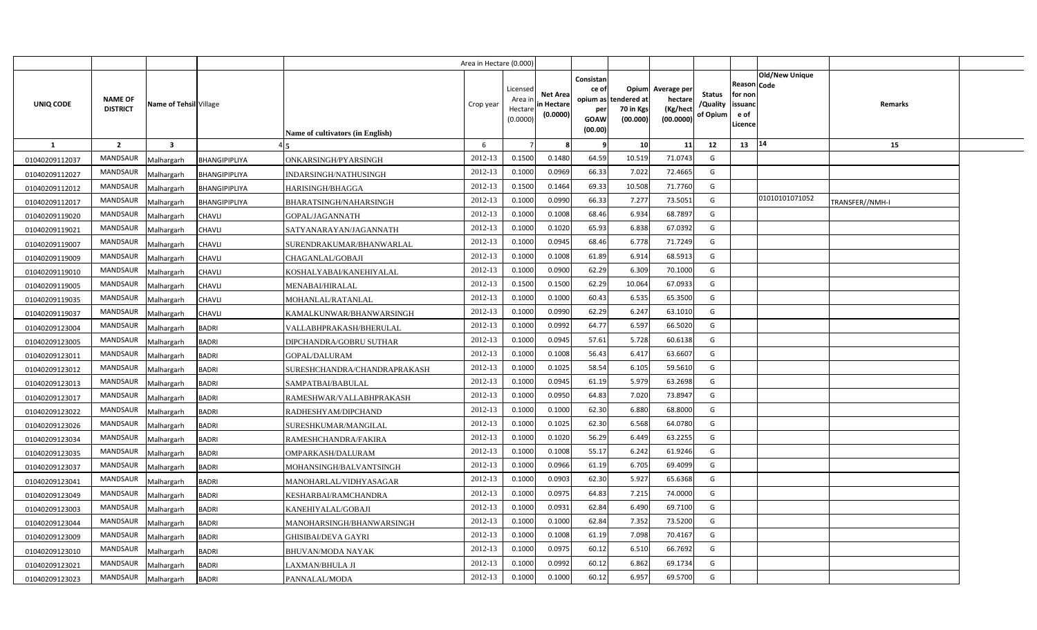|                |                                   |                         |               |                                         | Area in Hectare (0.000) |                                            |                                           |                                                          |                                               |                                                 |                                       |                                                 |                               |                 |  |
|----------------|-----------------------------------|-------------------------|---------------|-----------------------------------------|-------------------------|--------------------------------------------|-------------------------------------------|----------------------------------------------------------|-----------------------------------------------|-------------------------------------------------|---------------------------------------|-------------------------------------------------|-------------------------------|-----------------|--|
| UNIQ CODE      | <b>NAME OF</b><br><b>DISTRICT</b> | Name of Tehsil Village  |               | <b>Name of cultivators (in English)</b> | Crop year               | Licensed<br>Area ir<br>Hectare<br>(0.0000) | <b>Net Area</b><br>in Hectare<br>(0.0000) | Consistan<br>ce of<br>opium as<br>per<br>GOAW<br>(00.00) | Opium<br>tendered at<br>70 in Kgs<br>(00.000) | Average per<br>hectare<br>(Kg/hect<br>(00.0000) | <b>Status</b><br>/Quality<br>of Opium | Reason<br>for non<br>issuano<br>e of<br>Licence | <b>Old/New Unique</b><br>Code | Remarks         |  |
| <b>1</b>       | $\overline{2}$                    | $\overline{\mathbf{3}}$ |               |                                         | 6                       |                                            |                                           |                                                          | 10                                            | 11                                              | 12                                    | 13                                              | 14                            | 15              |  |
| 01040209112037 | <b>MANDSAUR</b>                   | Malhargarh              | BHANGIPIPLIYA | ONKARSINGH/PYARSINGH                    | 2012-13                 | 0.1500                                     | 0.1480                                    | 64.59                                                    | 10.519                                        | 71.0743                                         | G                                     |                                                 |                               |                 |  |
| 01040209112027 | <b>MANDSAUR</b>                   | Malhargarh              | BHANGIPIPLIYA | INDARSINGH/NATHUSINGH                   | 2012-13                 | 0.1000                                     | 0.0969                                    | 66.33                                                    | 7.022                                         | 72.4665                                         | G                                     |                                                 |                               |                 |  |
| 01040209112012 | MANDSAUR                          | Malhargarh              | BHANGIPIPLIYA | HARISINGH/BHAGGA                        | 2012-13                 | 0.1500                                     | 0.1464                                    | 69.33                                                    | 10.508                                        | 71.7760                                         | G                                     |                                                 |                               |                 |  |
| 01040209112017 | MANDSAUR                          | Malhargarh              | BHANGIPIPLIYA | BHARATSINGH/NAHARSINGH                  | 2012-13                 | 0.1000                                     | 0.0990                                    | 66.33                                                    | 7.277                                         | 73.5051                                         | G                                     |                                                 | 01010101071052                | TRANSFER//NMH-I |  |
| 01040209119020 | MANDSAUR                          | Malhargarh              | <b>CHAVLI</b> | GOPAL/JAGANNATH                         | 2012-13                 | 0.100                                      | 0.1008                                    | 68.46                                                    | 6.934                                         | 68.7897                                         | G                                     |                                                 |                               |                 |  |
| 01040209119021 | <b>MANDSAUR</b>                   | Malhargarh              | <b>CHAVLI</b> | SATYANARAYAN/JAGANNATH                  | 2012-13                 | 0.100                                      | 0.1020                                    | 65.93                                                    | 6.838                                         | 67.0392                                         | G                                     |                                                 |                               |                 |  |
| 01040209119007 | MANDSAUR                          | Malhargarh              | CHAVLI        | SURENDRAKUMAR/BHANWARLAL                | 2012-13                 | 0.1000                                     | 0.0945                                    | 68.46                                                    | 6.778                                         | 71.7249                                         | G                                     |                                                 |                               |                 |  |
| 01040209119009 | <b>MANDSAUR</b>                   | Malhargarh              | <b>CHAVLI</b> | CHAGANLAL/GOBAJI                        | 2012-13                 | 0.1000                                     | 0.1008                                    | 61.89                                                    | 6.914                                         | 68.5913                                         | G                                     |                                                 |                               |                 |  |
| 01040209119010 | MANDSAUR                          | Malhargarh              | CHAVLI        | KOSHALYABAI/KANEHIYALAL                 | 2012-13                 | 0.1000                                     | 0.0900                                    | 62.29                                                    | 6.309                                         | 70.1000                                         | G                                     |                                                 |                               |                 |  |
| 01040209119005 | MANDSAUR                          | Malhargarh              | <b>CHAVLI</b> | MENABAI/HIRALAL                         | 2012-13                 | 0.1500                                     | 0.1500                                    | 62.29                                                    | 10.064                                        | 67.0933                                         | G                                     |                                                 |                               |                 |  |
| 01040209119035 | <b>MANDSAUR</b>                   | Malhargarh              | CHAVLI        | MOHANLAL/RATANLAL                       | 2012-13                 | 0.1000                                     | 0.1000                                    | 60.43                                                    | 6.535                                         | 65.3500                                         | G                                     |                                                 |                               |                 |  |
| 01040209119037 | <b>MANDSAUR</b>                   | Malhargarh              | <b>CHAVLI</b> | KAMALKUNWAR/BHANWARSINGH                | 2012-13                 | 0.1000                                     | 0.0990                                    | 62.29                                                    | 6.247                                         | 63.1010                                         | G                                     |                                                 |                               |                 |  |
| 01040209123004 | <b>MANDSAUR</b>                   | Malhargarh              | <b>BADRI</b>  | VALLABHPRAKASH/BHERULAL                 | 2012-13                 | 0.1000                                     | 0.0992                                    | 64.77                                                    | 6.597                                         | 66.5020                                         | G                                     |                                                 |                               |                 |  |
| 01040209123005 | <b>MANDSAUR</b>                   | Malhargarh              | <b>BADRI</b>  | DIPCHANDRA/GOBRU SUTHAR                 | 2012-13                 | 0.1000                                     | 0.0945                                    | 57.61                                                    | 5.728                                         | 60.6138                                         | G                                     |                                                 |                               |                 |  |
| 01040209123011 | MANDSAUR                          | Malhargarh              | <b>BADRI</b>  | GOPAL/DALURAM                           | 2012-13                 | 0.1000                                     | 0.1008                                    | 56.43                                                    | 6.417                                         | 63.6607                                         | G                                     |                                                 |                               |                 |  |
| 01040209123012 | <b>MANDSAUR</b>                   | Malhargarh              | BADRI         | SURESHCHANDRA/CHANDRAPRAKASH            | 2012-13                 | 0.1000                                     | 0.1025                                    | 58.54                                                    | 6.105                                         | 59.5610                                         | G                                     |                                                 |                               |                 |  |
| 01040209123013 | MANDSAUR                          | Malhargarh              | BADRI         | SAMPATBAI/BABULAL                       | 2012-13                 | 0.1000                                     | 0.0945                                    | 61.19                                                    | 5.979                                         | 63.2698                                         | G                                     |                                                 |                               |                 |  |
| 01040209123017 | <b>MANDSAUR</b>                   | Malhargarh              | <b>BADRI</b>  | RAMESHWAR/VALLABHPRAKASH                | 2012-13                 | 0.1000                                     | 0.0950                                    | 64.83                                                    | 7.020                                         | 73.8947                                         | G                                     |                                                 |                               |                 |  |
| 01040209123022 | <b>MANDSAUR</b>                   | Malhargarh              | <b>BADRI</b>  | RADHESHYAM/DIPCHAND                     | 2012-13                 | 0.1000                                     | 0.1000                                    | 62.30                                                    | 6.880                                         | 68.8000                                         | G                                     |                                                 |                               |                 |  |
| 01040209123026 | <b>MANDSAUR</b>                   | Malhargarh              | <b>BADRI</b>  | SURESHKUMAR/MANGILAL                    | 2012-13                 | 0.1000                                     | 0.1025                                    | 62.30                                                    | 6.568                                         | 64.0780                                         | G                                     |                                                 |                               |                 |  |
| 01040209123034 | <b>MANDSAUR</b>                   | Malhargarh              | <b>BADRI</b>  | RAMESHCHANDRA/FAKIRA                    | 2012-13                 | 0.1000                                     | 0.1020                                    | 56.29                                                    | 6.449                                         | 63.2255                                         | G                                     |                                                 |                               |                 |  |
| 01040209123035 | <b>MANDSAUR</b>                   | Malhargarh              | BADRI         | OMPARKASH/DALURAM                       | 2012-13                 | 0.1000                                     | 0.1008                                    | 55.17                                                    | 6.242                                         | 61.9246                                         | G                                     |                                                 |                               |                 |  |
| 01040209123037 | <b>MANDSAUR</b>                   | Malhargarh              | BADRI         | MOHANSINGH/BALVANTSINGH                 | 2012-13                 | 0.1000                                     | 0.0966                                    | 61.19                                                    | 6.705                                         | 69.4099                                         | G                                     |                                                 |                               |                 |  |
| 01040209123041 | <b>MANDSAUR</b>                   | Malhargarh              | BADRI         | MANOHARLAL/VIDHYASAGAR                  | 2012-13                 | 0.1000                                     | 0.0903                                    | 62.30                                                    | 5.927                                         | 65.6368                                         | G                                     |                                                 |                               |                 |  |
| 01040209123049 | <b>MANDSAUR</b>                   | Malhargarh              | BADRI         | KESHARBAI/RAMCHANDRA                    | 2012-13                 | 0.1000                                     | 0.097!                                    | 64.83                                                    | 7.215                                         | 74.0000                                         | G                                     |                                                 |                               |                 |  |
| 01040209123003 | <b>MANDSAUR</b>                   | Malhargarh              | <b>BADRI</b>  | KANEHIYALAL/GOBAJI                      | 2012-13                 | 0.1000                                     | 0.0931                                    | 62.84                                                    | 6.490                                         | 69.7100                                         | G                                     |                                                 |                               |                 |  |
| 01040209123044 | <b>MANDSAUR</b>                   | Malhargarh              | BADRI         | MANOHARSINGH/BHANWARSINGH               | 2012-13                 | 0.1000                                     | 0.1000                                    | 62.84                                                    | 7.352                                         | 73.5200                                         | G                                     |                                                 |                               |                 |  |
| 01040209123009 | <b>MANDSAUR</b>                   | Malhargarh              | <b>BADRI</b>  | GHISIBAI/DEVA GAYRI                     | 2012-13                 | 0.1000                                     | 0.1008                                    | 61.19                                                    | 7.098                                         | 70.4167                                         | G                                     |                                                 |                               |                 |  |
| 01040209123010 | <b>MANDSAUR</b>                   | Malhargarh              | <b>BADRI</b>  | BHUVAN/MODA NAYAK                       | 2012-13                 | 0.1000                                     | 0.0975                                    | 60.12                                                    | 6.510                                         | 66.7692                                         | G                                     |                                                 |                               |                 |  |
| 01040209123021 | <b>MANDSAUR</b>                   | Malhargarh              | <b>BADRI</b>  | LAXMAN/BHULA JI                         | 2012-13                 | 0.1000                                     | 0.0992                                    | 60.12                                                    | 6.862                                         | 69.1734                                         | G                                     |                                                 |                               |                 |  |
| 01040209123023 | MANDSAUR                          | Malhargarh              | <b>BADRI</b>  | PANNALAL/MODA                           | 2012-13                 | 0.1000                                     | 0.1000                                    | 60.12                                                    | 6.957                                         | 69.5700                                         | G                                     |                                                 |                               |                 |  |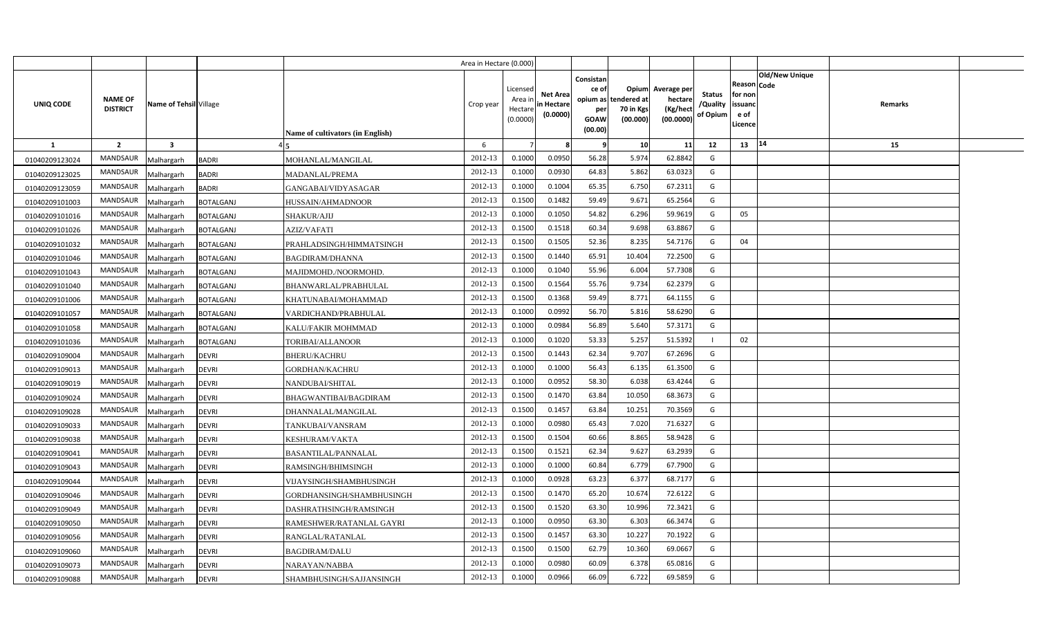|                |                                   |                            |                                              | Area in Hectare (0.000) |                                            |                                           |                                                                 |                                               |                                                 |                                       |                                                             |                       |         |  |
|----------------|-----------------------------------|----------------------------|----------------------------------------------|-------------------------|--------------------------------------------|-------------------------------------------|-----------------------------------------------------------------|-----------------------------------------------|-------------------------------------------------|---------------------------------------|-------------------------------------------------------------|-----------------------|---------|--|
| UNIQ CODE      | <b>NAME OF</b><br><b>DISTRICT</b> | Name of Tehsil Village     | Name of cultivators (in English)             | Crop year               | Licensed<br>Area in<br>Hectare<br>(0.0000) | <b>Net Area</b><br>in Hectare<br>(0.0000) | Consistan<br>ce of<br>opium as<br>per<br><b>GOAW</b><br>(00.00) | Opium<br>tendered at<br>70 in Kgs<br>(00.000) | Average per<br>hectare<br>(Kg/hect<br>(00.0000) | <b>Status</b><br>/Quality<br>of Opium | <b>Reason Code</b><br>for non<br>issuand<br>e of<br>Licence | <b>Old/New Unique</b> | Remarks |  |
| $\mathbf{1}$   | $\overline{2}$                    | $\overline{\mathbf{3}}$    |                                              | 6                       |                                            |                                           |                                                                 | 10 <sup>1</sup>                               | 11                                              | 12                                    | 13 14                                                       |                       | 15      |  |
| 01040209123024 | <b>MANDSAUR</b>                   | Malhargarh<br><b>BADRI</b> | MOHANLAL/MANGILAL                            | 2012-13                 | 0.1000                                     | 0.0950                                    | 56.28                                                           | 5.974                                         | 62.8842                                         | G                                     |                                                             |                       |         |  |
| 01040209123025 | <b>MANDSAUR</b>                   | <b>BADRI</b><br>Malhargarh | MADANLAL/PREMA                               | 2012-13                 | 0.1000                                     | 0.0930                                    | 64.83                                                           | 5.862                                         | 63.0323                                         | G                                     |                                                             |                       |         |  |
| 01040209123059 | <b>MANDSAUR</b>                   | Malhargarh<br><b>BADRI</b> | GANGABAI/VIDYASAGAR                          | 2012-13                 | 0.1000                                     | 0.1004                                    | 65.35                                                           | 6.750                                         | 67.2311                                         | G                                     |                                                             |                       |         |  |
| 01040209101003 | <b>MANDSAUR</b>                   | Malhargarh                 | <b>BOTALGANJ</b><br>HUSSAIN/AHMADNOOR        | 2012-13                 | 0.1500                                     | 0.1482                                    | 59.49                                                           | 9.671                                         | 65.2564                                         | G                                     |                                                             |                       |         |  |
| 01040209101016 | <b>MANDSAUR</b>                   | Malhargarh                 | <b>BOTALGANJ</b><br>SHAKUR/AJIJ              | 2012-13                 | 0.1000                                     | 0.1050                                    | 54.82                                                           | 6.296                                         | 59.9619                                         | G                                     | 05                                                          |                       |         |  |
| 01040209101026 | <b>MANDSAUR</b>                   | Malhargarh                 | <b>BOTALGANJ</b><br>AZIZ/VAFATI              | 2012-13                 | 0.1500                                     | 0.1518                                    | 60.34                                                           | 9.698                                         | 63.8867                                         | G                                     |                                                             |                       |         |  |
| 01040209101032 | <b>MANDSAUR</b>                   | Malhargarh                 | <b>BOTALGANJ</b><br>PRAHLADSINGH/HIMMATSINGH | 2012-13                 | 0.1500                                     | 0.1505                                    | 52.36                                                           | 8.235                                         | 54.7176                                         | G                                     | 04                                                          |                       |         |  |
| 01040209101046 | <b>MANDSAUR</b>                   | Malhargarh                 | <b>BOTALGANJ</b><br><b>BAGDIRAM/DHANNA</b>   | 2012-13                 | 0.1500                                     | 0.1440                                    | 65.91                                                           | 10.404                                        | 72.2500                                         | G                                     |                                                             |                       |         |  |
| 01040209101043 | <b>MANDSAUR</b>                   | Malhargarh                 | <b>BOTALGANJ</b><br>MAJIDMOHD./NOORMOHD.     | 2012-13                 | 0.1000                                     | 0.1040                                    | 55.96                                                           | 6.004                                         | 57.7308                                         | G                                     |                                                             |                       |         |  |
| 01040209101040 | <b>MANDSAUR</b>                   | Malhargarh                 | <b>BOTALGANJ</b><br>BHANWARLAL/PRABHULAL     | 2012-13                 | 0.1500                                     | 0.1564                                    | 55.76                                                           | 9.734                                         | 62.2379                                         | G                                     |                                                             |                       |         |  |
| 01040209101006 | <b>MANDSAUR</b>                   | Malhargarh                 | <b>BOTALGANJ</b><br>KHATUNABAI/MOHAMMAD      | 2012-13                 | 0.1500                                     | 0.1368                                    | 59.49                                                           | 8.771                                         | 64.1155                                         | G                                     |                                                             |                       |         |  |
| 01040209101057 | <b>MANDSAUR</b>                   | Malhargarh                 | <b>BOTALGANJ</b><br>VARDICHAND/PRABHULAL     | 2012-13                 | 0.1000                                     | 0.0992                                    | 56.70                                                           | 5.816                                         | 58.6290                                         | G                                     |                                                             |                       |         |  |
| 01040209101058 | MANDSAUR                          | Malhargarh                 | <b>BOTALGANJ</b><br>KALU/FAKIR MOHMMAD       | 2012-13                 | 0.1000                                     | 0.0984                                    | 56.89                                                           | 5.640                                         | 57.3171                                         | G                                     |                                                             |                       |         |  |
| 01040209101036 | <b>MANDSAUR</b>                   | Malhargarh                 | TORIBAI/ALLANOOR<br><b>BOTALGANJ</b>         | 2012-13                 | 0.1000                                     | 0.1020                                    | 53.33                                                           | 5.257                                         | 51.5392                                         |                                       | 02                                                          |                       |         |  |
| 01040209109004 | MANDSAUR                          | Malhargarh<br><b>DEVRI</b> | <b>BHERU/KACHRU</b>                          | 2012-13                 | 0.1500                                     | 0.1443                                    | 62.34                                                           | 9.707                                         | 67.2696                                         | G                                     |                                                             |                       |         |  |
| 01040209109013 | MANDSAUR                          | Malhargarh<br><b>DEVRI</b> | GORDHAN/KACHRU                               | 2012-13                 | 0.1000                                     | 0.1000                                    | 56.43                                                           | 6.135                                         | 61.3500                                         | G                                     |                                                             |                       |         |  |
| 01040209109019 | <b>MANDSAUR</b>                   | <b>DEVRI</b><br>Malhargarh | NANDUBAI/SHITAL                              | 2012-13                 | 0.1000                                     | 0.0952                                    | 58.30                                                           | 6.038                                         | 63.4244                                         | G                                     |                                                             |                       |         |  |
| 01040209109024 | MANDSAUR                          | Malhargarh<br><b>DEVRI</b> | BHAGWANTIBAI/BAGDIRAM                        | 2012-13                 | 0.1500                                     | 0.1470                                    | 63.84                                                           | 10.050                                        | 68.3673                                         | G                                     |                                                             |                       |         |  |
| 01040209109028 | <b>MANDSAUR</b>                   | Malhargarh<br><b>DEVRI</b> | DHANNALAL/MANGILAL                           | 2012-13                 | 0.1500                                     | 0.1457                                    | 63.84                                                           | 10.251                                        | 70.3569                                         | G                                     |                                                             |                       |         |  |
| 01040209109033 | <b>MANDSAUR</b>                   | <b>DEVRI</b><br>Malhargarh | TANKUBAI/VANSRAM                             | 2012-13                 | 0.1000                                     | 0.0980                                    | 65.43                                                           | 7.020                                         | 71.6327                                         | G                                     |                                                             |                       |         |  |
| 01040209109038 | MANDSAUR                          | Malhargarh<br><b>DEVRI</b> | KESHURAM/VAKTA                               | 2012-13                 | 0.1500                                     | 0.1504                                    | 60.66                                                           | 8.865                                         | 58.9428                                         | G                                     |                                                             |                       |         |  |
| 01040209109041 | <b>MANDSAUR</b>                   | Malhargarh<br><b>DEVRI</b> | <b>BASANTILAL/PANNALAL</b>                   | 2012-13                 | 0.1500                                     | 0.1521                                    | 62.34                                                           | 9.627                                         | 63.2939                                         | G                                     |                                                             |                       |         |  |
| 01040209109043 | MANDSAUR                          | Malhargarh<br><b>DEVRI</b> | RAMSINGH/BHIMSINGH                           | 2012-13                 | 0.1000                                     | 0.1000                                    | 60.84                                                           | 6.779                                         | 67.7900                                         | G                                     |                                                             |                       |         |  |
| 01040209109044 | MANDSAUR                          | <b>DEVRI</b><br>Malhargarh | VIJAYSINGH/SHAMBHUSINGH                      | 2012-13                 | 0.1000                                     | 0.0928                                    | 63.23                                                           | 6.377                                         | 68.7177                                         | G                                     |                                                             |                       |         |  |
| 01040209109046 | MANDSAUR                          | Malhargarh<br><b>DEVRI</b> | GORDHANSINGH/SHAMBHUSINGH                    | 2012-13                 | 0.1500                                     | 0.1470                                    | 65.20                                                           | 10.674                                        | 72.6122                                         | G                                     |                                                             |                       |         |  |
| 01040209109049 | MANDSAUR                          | <b>DEVRI</b><br>Malhargarh | DASHRATHSINGH/RAMSINGH                       | 2012-13                 | 0.1500                                     | 0.1520                                    | 63.30                                                           | 10.996                                        | 72.3421                                         | G                                     |                                                             |                       |         |  |
| 01040209109050 | <b>MANDSAUR</b>                   | Malhargarh<br><b>DEVRI</b> | RAMESHWER/RATANLAL GAYRI                     | 2012-13                 | 0.1000                                     | 0.0950                                    | 63.30                                                           | 6.303                                         | 66.3474                                         | G                                     |                                                             |                       |         |  |
| 01040209109056 | <b>MANDSAUR</b>                   | <b>DEVRI</b><br>Malhargarh | RANGLAL/RATANLAL                             | 2012-13                 | 0.1500                                     | 0.1457                                    | 63.30                                                           | 10.227                                        | 70.1922                                         | G                                     |                                                             |                       |         |  |
| 01040209109060 | <b>MANDSAUR</b>                   | <b>DEVRI</b><br>Malhargarh | BAGDIRAM/DALU                                | 2012-13                 | 0.1500                                     | 0.1500                                    | 62.79                                                           | 10.360                                        | 69.0667                                         | G                                     |                                                             |                       |         |  |
| 01040209109073 | <b>MANDSAUR</b>                   | <b>DEVRI</b><br>Malhargarh | NARAYAN/NABBA                                | 2012-13                 | 0.1000                                     | 0.0980                                    | 60.09                                                           | 6.378                                         | 65.0816                                         | G                                     |                                                             |                       |         |  |
| 01040209109088 | <b>MANDSAUR</b>                   | Malhargarh<br><b>DEVRI</b> | SHAMBHUSINGH/SAJJANSINGH                     | 2012-13                 | 0.1000                                     | 0.0966                                    | 66.09                                                           | 6.722                                         | 69.5859                                         | G                                     |                                                             |                       |         |  |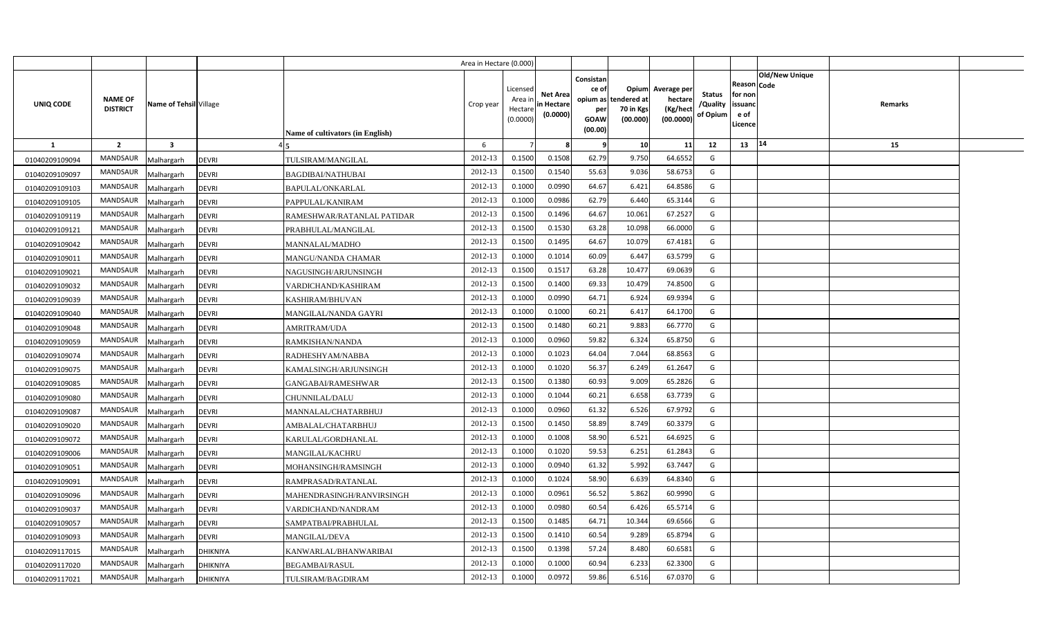|                |                                   |                         |                 |                                         | Area in Hectare (0.000) |                                            |                                           |                                                          |                                               |                                                 |                                       |                                                 |                        |         |  |
|----------------|-----------------------------------|-------------------------|-----------------|-----------------------------------------|-------------------------|--------------------------------------------|-------------------------------------------|----------------------------------------------------------|-----------------------------------------------|-------------------------------------------------|---------------------------------------|-------------------------------------------------|------------------------|---------|--|
| UNIQ CODE      | <b>NAME OF</b><br><b>DISTRICT</b> | Name of Tehsil Village  |                 | <b>Name of cultivators (in English)</b> | Crop year               | Licensed<br>Area in<br>Hectare<br>(0.0000) | <b>Net Area</b><br>in Hectare<br>(0.0000) | Consistan<br>ce of<br>opium as<br>per<br>GOAW<br>(00.00) | Opium<br>tendered at<br>70 in Kgs<br>(00.000) | Average per<br>hectare<br>(Kg/hect<br>(00.0000) | <b>Status</b><br>/Quality<br>of Opium | Reason<br>for non<br>issuand<br>e of<br>Licence | Old/New Unique<br>Code | Remarks |  |
| 1              | $\overline{2}$                    | $\overline{\mathbf{3}}$ |                 |                                         | 6                       |                                            |                                           |                                                          | 10                                            | 11                                              | 12                                    | 13   14                                         |                        | 15      |  |
| 01040209109094 | <b>MANDSAUR</b>                   | Malhargarh              | <b>DEVRI</b>    | TULSIRAM/MANGILAL                       | 2012-13                 | 0.1500                                     | 0.1508                                    | 62.79                                                    | 9.750                                         | 64.6552                                         | G                                     |                                                 |                        |         |  |
| 01040209109097 | <b>MANDSAUR</b>                   | Malhargarh              | <b>DEVRI</b>    | <b>BAGDIBAI/NATHUBAI</b>                | 2012-13                 | 0.1500                                     | 0.1540                                    | 55.63                                                    | 9.036                                         | 58.6753                                         | G                                     |                                                 |                        |         |  |
| 01040209109103 | <b>MANDSAUR</b>                   | Malhargarh              | <b>DEVRI</b>    | BAPULAL/ONKARLAL                        | 2012-13                 | 0.1000                                     | 0.0990                                    | 64.67                                                    | 6.421                                         | 64.8586                                         | G                                     |                                                 |                        |         |  |
| 01040209109105 | <b>MANDSAUR</b>                   | Malhargarh              | <b>DEVRI</b>    | PAPPULAL/KANIRAM                        | 2012-13                 | 0.1000                                     | 0.0986                                    | 62.79                                                    | 6.440                                         | 65.3144                                         | G                                     |                                                 |                        |         |  |
| 01040209109119 | <b>MANDSAUR</b>                   | Malhargarh              | <b>DEVRI</b>    | RAMESHWAR/RATANLAL PATIDAR              | 2012-13                 | 0.1500                                     | 0.1496                                    | 64.67                                                    | 10.061                                        | 67.2527                                         | G                                     |                                                 |                        |         |  |
| 01040209109121 | <b>MANDSAUR</b>                   | Malhargarh              | <b>DEVRI</b>    | PRABHULAL/MANGILAL                      | 2012-13                 | 0.1500                                     | 0.1530                                    | 63.28                                                    | 10.098                                        | 66.0000                                         | G                                     |                                                 |                        |         |  |
| 01040209109042 | <b>MANDSAUR</b>                   | Malhargarh              | <b>DEVRI</b>    | <b>MANNALAL/MADHO</b>                   | 2012-13                 | 0.1500                                     | 0.1495                                    | 64.67                                                    | 10.079                                        | 67.4181                                         | G                                     |                                                 |                        |         |  |
| 01040209109011 | <b>MANDSAUR</b>                   | Malhargarh              | <b>DEVRI</b>    | MANGU/NANDA CHAMAR                      | 2012-13                 | 0.1000                                     | 0.1014                                    | 60.09                                                    | 6.447                                         | 63.5799                                         | G                                     |                                                 |                        |         |  |
| 01040209109021 | MANDSAUR                          | Malhargarh              | <b>DEVRI</b>    | NAGUSINGH/ARJUNSINGH                    | 2012-13                 | 0.1500                                     | 0.1517                                    | 63.28                                                    | 10.477                                        | 69.0639                                         | G                                     |                                                 |                        |         |  |
| 01040209109032 | <b>MANDSAUR</b>                   | Malhargarh              | <b>DEVRI</b>    | VARDICHAND/KASHIRAM                     | 2012-13                 | 0.1500                                     | 0.1400                                    | 69.33                                                    | 10.479                                        | 74.8500                                         | G                                     |                                                 |                        |         |  |
| 01040209109039 | <b>MANDSAUR</b>                   | Malhargarh              | <b>DEVRI</b>    | KASHIRAM/BHUVAN                         | 2012-13                 | 0.1000                                     | 0.0990                                    | 64.71                                                    | 6.924                                         | 69.9394                                         | G                                     |                                                 |                        |         |  |
| 01040209109040 | <b>MANDSAUR</b>                   | Malhargarh              | <b>DEVRI</b>    | MANGILAL/NANDA GAYRI                    | 2012-13                 | 0.1000                                     | 0.1000                                    | 60.21                                                    | 6.417                                         | 64.1700                                         | G                                     |                                                 |                        |         |  |
| 01040209109048 | <b>MANDSAUR</b>                   | Malhargarh              | <b>DEVRI</b>    | AMRITRAM/UDA                            | 2012-13                 | 0.1500                                     | 0.1480                                    | 60.21                                                    | 9.883                                         | 66.7770                                         | G                                     |                                                 |                        |         |  |
| 01040209109059 | <b>MANDSAUR</b>                   | Malhargarh              | <b>DEVRI</b>    | RAMKISHAN/NANDA                         | 2012-13                 | 0.1000                                     | 0.0960                                    | 59.82                                                    | 6.324                                         | 65.8750                                         | G                                     |                                                 |                        |         |  |
| 01040209109074 | <b>MANDSAUR</b>                   | Malhargarh              | <b>DEVRI</b>    | RADHESHYAM/NABBA                        | 2012-13                 | 0.1000                                     | 0.1023                                    | 64.04                                                    | 7.044                                         | 68.8563                                         | G                                     |                                                 |                        |         |  |
| 01040209109075 | <b>MANDSAUR</b>                   | Malhargarh              | <b>DEVRI</b>    | KAMALSINGH/ARJUNSINGH                   | 2012-13                 | 0.1000                                     | 0.1020                                    | 56.37                                                    | 6.249                                         | 61.2647                                         | G                                     |                                                 |                        |         |  |
| 01040209109085 | <b>MANDSAUR</b>                   | Malhargarh              | <b>DEVRI</b>    | GANGABAI/RAMESHWAR                      | 2012-13                 | 0.1500                                     | 0.1380                                    | 60.93                                                    | 9.009                                         | 65.2826                                         | G                                     |                                                 |                        |         |  |
| 01040209109080 | <b>MANDSAUR</b>                   | Malhargarh              | <b>DEVRI</b>    | CHUNNILAL/DALU                          | 2012-13                 | 0.1000                                     | 0.1044                                    | 60.21                                                    | 6.658                                         | 63.7739                                         | G                                     |                                                 |                        |         |  |
| 01040209109087 | <b>MANDSAUR</b>                   | Malhargarh              | <b>DEVRI</b>    | MANNALAL/CHATARBHUJ                     | 2012-13                 | 0.1000                                     | 0.0960                                    | 61.32                                                    | 6.526                                         | 67.9792                                         | G                                     |                                                 |                        |         |  |
| 01040209109020 | <b>MANDSAUR</b>                   | Malhargarh              | <b>DEVRI</b>    | AMBALAL/CHATARBHUJ                      | 2012-13                 | 0.1500                                     | 0.1450                                    | 58.89                                                    | 8.749                                         | 60.3379                                         | G                                     |                                                 |                        |         |  |
| 01040209109072 | <b>MANDSAUR</b>                   | Malhargarh              | <b>DEVRI</b>    | KARULAL/GORDHANLAL                      | 2012-13                 | 0.1000                                     | 0.1008                                    | 58.90                                                    | 6.521                                         | 64.6925                                         | G                                     |                                                 |                        |         |  |
| 01040209109006 | <b>MANDSAUR</b>                   | Malhargarh              | <b>DEVRI</b>    | MANGILAL/KACHRU                         | 2012-13                 | 0.1000                                     | 0.1020                                    | 59.53                                                    | 6.251                                         | 61.2843                                         | G                                     |                                                 |                        |         |  |
| 01040209109051 | MANDSAUR                          | Malhargarh              | <b>DEVRI</b>    | MOHANSINGH/RAMSINGH                     | 2012-13                 | 0.1000                                     | 0.0940                                    | 61.32                                                    | 5.992                                         | 63.7447                                         | G                                     |                                                 |                        |         |  |
| 01040209109091 | <b>MANDSAUR</b>                   | Malhargarh              | <b>DEVRI</b>    | RAMPRASAD/RATANLAL                      | 2012-13                 | 0.1000                                     | 0.1024                                    | 58.90                                                    | 6.639                                         | 64.8340                                         | G                                     |                                                 |                        |         |  |
| 01040209109096 | <b>MANDSAUR</b>                   | Malhargarh              | <b>DEVRI</b>    | MAHENDRASINGH/RANVIRSINGH               | 2012-13                 | 0.1000                                     | 0.0961                                    | 56.52                                                    | 5.862                                         | 60.9990                                         | G                                     |                                                 |                        |         |  |
| 01040209109037 | <b>MANDSAUR</b>                   | Malhargarh              | <b>DEVRI</b>    | VARDICHAND/NANDRAM                      | 2012-13                 | 0.1000                                     | 0.0980                                    | 60.54                                                    | 6.426                                         | 65.5714                                         | G                                     |                                                 |                        |         |  |
| 01040209109057 | <b>MANDSAUR</b>                   | Malhargarh              | <b>DEVRI</b>    | SAMPATBAI/PRABHULAL                     | 2012-13                 | 0.1500                                     | 0.1485                                    | 64.71                                                    | 10.344                                        | 69.6566                                         | G                                     |                                                 |                        |         |  |
| 01040209109093 | <b>MANDSAUR</b>                   | Malhargarh              | <b>DEVRI</b>    | MANGILAL/DEVA                           | 2012-13                 | 0.1500                                     | 0.1410                                    | 60.54                                                    | 9.289                                         | 65.8794                                         | G                                     |                                                 |                        |         |  |
| 01040209117015 | <b>MANDSAUR</b>                   | Malhargarh              | <b>DHIKNIYA</b> | KANWARLAL/BHANWARIBAI                   | 2012-13                 | 0.1500                                     | 0.1398                                    | 57.24                                                    | 8.480                                         | 60.6581                                         | G                                     |                                                 |                        |         |  |
| 01040209117020 | <b>MANDSAUR</b>                   | Malhargarh              | DHIKNIYA        | <b>BEGAMBAI/RASUL</b>                   | 2012-13                 | 0.1000                                     | 0.1000                                    | 60.94                                                    | 6.233                                         | 62.3300                                         | G                                     |                                                 |                        |         |  |
| 01040209117021 | <b>MANDSAUR</b>                   | Malhargarh              | <b>DHIKNIYA</b> | TULSIRAM/BAGDIRAM                       | 2012-13                 | 0.1000                                     | 0.0972                                    | 59.86                                                    | 6.516                                         | 67.0370                                         | G                                     |                                                 |                        |         |  |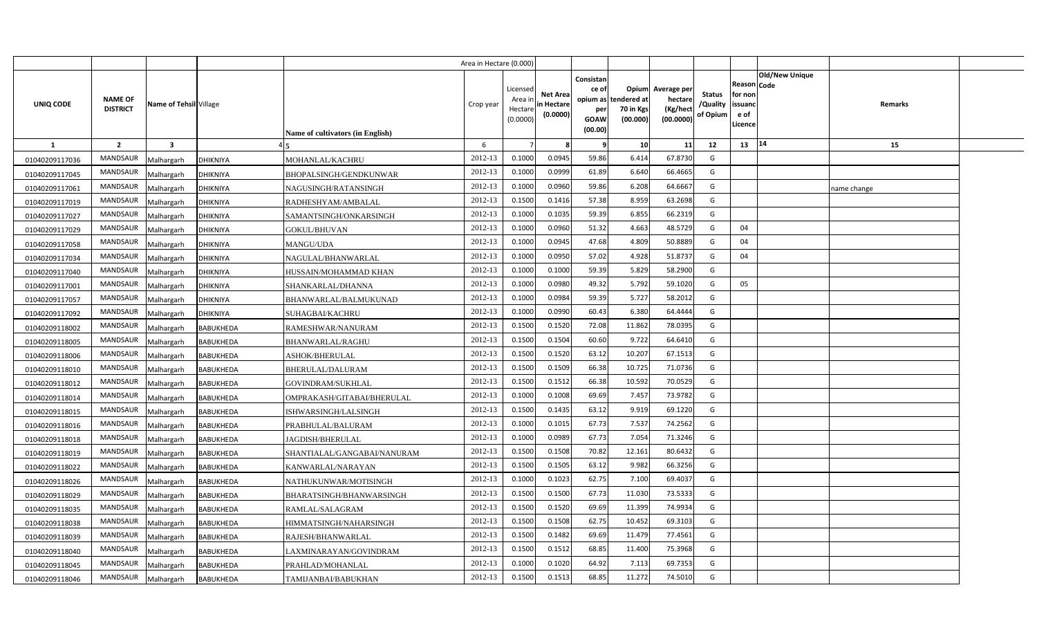|                |                                   |                         |                  |                                         | Area in Hectare (0.000) |                                            |                                           |                                                                 |                                               |                                                 |                                       |                                                 |                               |             |  |
|----------------|-----------------------------------|-------------------------|------------------|-----------------------------------------|-------------------------|--------------------------------------------|-------------------------------------------|-----------------------------------------------------------------|-----------------------------------------------|-------------------------------------------------|---------------------------------------|-------------------------------------------------|-------------------------------|-------------|--|
| UNIQ CODE      | <b>NAME OF</b><br><b>DISTRICT</b> | Name of Tehsil Village  |                  | <b>Name of cultivators (in English)</b> | Crop year               | Licensed<br>Area ir<br>Hectare<br>(0.0000) | <b>Net Area</b><br>in Hectare<br>(0.0000) | Consistan<br>ce of<br>opium as<br>per<br><b>GOAW</b><br>(00.00) | Opium<br>tendered at<br>70 in Kgs<br>(00.000) | Average per<br>hectare<br>(Kg/hect<br>(00.0000) | <b>Status</b><br>/Quality<br>of Opium | Reason<br>for non<br>issuand<br>e of<br>Licence | <b>Old/New Unique</b><br>Code | Remarks     |  |
| <b>1</b>       | $\overline{2}$                    | $\overline{\mathbf{3}}$ |                  |                                         | 6                       |                                            |                                           |                                                                 | 10                                            | 11                                              | 12                                    | 13                                              | 14                            | 15          |  |
| 01040209117036 | <b>MANDSAUR</b>                   | Malhargarh              | <b>DHIKNIYA</b>  | MOHANLAL/KACHRU                         | 2012-13                 | 0.1000                                     | 0.0945                                    | 59.86                                                           | 6.414                                         | 67.8730                                         | G                                     |                                                 |                               |             |  |
| 01040209117045 | <b>MANDSAUR</b>                   | Malhargarh              | <b>DHIKNIYA</b>  | BHOPALSINGH/GENDKUNWAR                  | 2012-13                 | 0.1000                                     | 0.0999                                    | 61.89                                                           | 6.640                                         | 66.4665                                         | G                                     |                                                 |                               |             |  |
| 01040209117061 | MANDSAUR                          | Malhargarh              | DHIKNIYA         | NAGUSINGH/RATANSINGH                    | 2012-13                 | 0.1000                                     | 0.0960                                    | 59.86                                                           | 6.208                                         | 64.6667                                         | G                                     |                                                 |                               | name change |  |
| 01040209117019 | MANDSAUR                          | Malhargarh              | DHIKNIYA         | RADHESHYAM/AMBALAL                      | 2012-13                 | 0.1500                                     | 0.1416                                    | 57.38                                                           | 8.959                                         | 63.2698                                         | G                                     |                                                 |                               |             |  |
| 01040209117027 | MANDSAUR                          | Malhargarh              | DHIKNIYA         | SAMANTSINGH/ONKARSINGH                  | 2012-13                 | 0.1000                                     | 0.103!                                    | 59.39                                                           | 6.855                                         | 66.2319                                         | G                                     |                                                 |                               |             |  |
| 01040209117029 | <b>MANDSAUR</b>                   | Malhargarh              | DHIKNIYA         | <b>GOKUL/BHUVAN</b>                     | 2012-13                 | 0.100                                      | 0.0960                                    | 51.32                                                           | 4.663                                         | 48.5729                                         | G                                     | 04                                              |                               |             |  |
| 01040209117058 | MANDSAUR                          | Malhargarh              | <b>DHIKNIYA</b>  | MANGU/UDA                               | 2012-13                 | 0.1000                                     | 0.0945                                    | 47.68                                                           | 4.809                                         | 50.8889                                         | G                                     | 04                                              |                               |             |  |
| 01040209117034 | <b>MANDSAUR</b>                   | Malhargarh              | DHIKNIYA         | NAGULAL/BHANWARLAL                      | 2012-13                 | 0.1000                                     | 0.0950                                    | 57.02                                                           | 4.928                                         | 51.8737                                         | G                                     | 04                                              |                               |             |  |
| 01040209117040 | MANDSAUR                          | Malhargarh              | DHIKNIYA         | HUSSAIN/MOHAMMAD KHAN                   | 2012-13                 | 0.1000                                     | 0.1000                                    | 59.39                                                           | 5.829                                         | 58.2900                                         | G                                     |                                                 |                               |             |  |
| 01040209117001 | MANDSAUR                          | Malhargarh              | <b>DHIKNIYA</b>  | SHANKARLAL/DHANNA                       | 2012-13                 | 0.1000                                     | 0.0980                                    | 49.32                                                           | 5.792                                         | 59.1020                                         | G                                     | 05                                              |                               |             |  |
| 01040209117057 | <b>MANDSAUR</b>                   | Malhargarh              | DHIKNIYA         | BHANWARLAL/BALMUKUNAD                   | 2012-13                 | 0.1000                                     | 0.0984                                    | 59.39                                                           | 5.727                                         | 58.2012                                         | G                                     |                                                 |                               |             |  |
| 01040209117092 | <b>MANDSAUR</b>                   | Malhargarh              | <b>DHIKNIYA</b>  | SUHAGBAI/KACHRU                         | 2012-13                 | 0.1000                                     | 0.0990                                    | 60.43                                                           | 6.380                                         | 64.4444                                         | G                                     |                                                 |                               |             |  |
| 01040209118002 | <b>MANDSAUR</b>                   | Malhargarh              | BABUKHEDA        | RAMESHWAR/NANURAM                       | 2012-13                 | 0.1500                                     | 0.1520                                    | 72.08                                                           | 11.862                                        | 78.0395                                         | G                                     |                                                 |                               |             |  |
| 01040209118005 | <b>MANDSAUR</b>                   | Malhargarh              | BABUKHEDA        | <b>BHANWARLAL/RAGHU</b>                 | 2012-13                 | 0.1500                                     | 0.1504                                    | 60.60                                                           | 9.722                                         | 64.6410                                         | G                                     |                                                 |                               |             |  |
| 01040209118006 | MANDSAUR                          | Malhargarh              | BABUKHEDA        | ASHOK/BHERULAL                          | 2012-13                 | 0.1500                                     | 0.1520                                    | 63.12                                                           | 10.207                                        | 67.1513                                         | G                                     |                                                 |                               |             |  |
| 01040209118010 | <b>MANDSAUR</b>                   | Malhargarh              | BABUKHEDA        | BHERULAL/DALURAM                        | 2012-13                 | 0.1500                                     | 0.1509                                    | 66.38                                                           | 10.725                                        | 71.0736                                         | G                                     |                                                 |                               |             |  |
| 01040209118012 | MANDSAUR                          | Malhargarh              | BABUKHEDA        | GOVINDRAM/SUKHLAL                       | 2012-13                 | 0.1500                                     | 0.1512                                    | 66.38                                                           | 10.592                                        | 70.0529                                         | G                                     |                                                 |                               |             |  |
| 01040209118014 | <b>MANDSAUR</b>                   | Malhargarh              | BABUKHEDA        | OMPRAKASH/GITABAI/BHERULAL              | 2012-13                 | 0.1000                                     | 0.1008                                    | 69.69                                                           | 7.457                                         | 73.9782                                         | G                                     |                                                 |                               |             |  |
| 01040209118015 | <b>MANDSAUR</b>                   | Malhargarh              | BABUKHEDA        | ISHWARSINGH/LALSINGH                    | 2012-13                 | 0.1500                                     | 0.1435                                    | 63.12                                                           | 9.919                                         | 69.1220                                         | G                                     |                                                 |                               |             |  |
| 01040209118016 | <b>MANDSAUR</b>                   | Malhargarh              | BABUKHEDA        | PRABHULAL/BALURAM                       | 2012-13                 | 0.1000                                     | 0.1015                                    | 67.73                                                           | 7.537                                         | 74.2562                                         | G                                     |                                                 |                               |             |  |
| 01040209118018 | <b>MANDSAUR</b>                   | Malhargarh              | BABUKHEDA        | JAGDISH/BHERULAL                        | 2012-13                 | 0.1000                                     | 0.0989                                    | 67.73                                                           | 7.054                                         | 71.3246                                         | G                                     |                                                 |                               |             |  |
| 01040209118019 | <b>MANDSAUR</b>                   | Malhargarh              | BABUKHEDA        | SHANTIALAL/GANGABAI/NANURAM             | 2012-13                 | 0.1500                                     | 0.1508                                    | 70.82                                                           | 12.161                                        | 80.6432                                         | G                                     |                                                 |                               |             |  |
| 01040209118022 | <b>MANDSAUR</b>                   | Malhargarh              | BABUKHEDA        | KANWARLAL/NARAYAN                       | 2012-13                 | 0.1500                                     | 0.1505                                    | 63.12                                                           | 9.982                                         | 66.3256                                         | G                                     |                                                 |                               |             |  |
| 01040209118026 | <b>MANDSAUR</b>                   | Malhargarh              | BABUKHEDA        | NATHUKUNWAR/MOTISINGH                   | 2012-13                 | 0.1000                                     | 0.1023                                    | 62.75                                                           | 7.100                                         | 69.4037                                         | G                                     |                                                 |                               |             |  |
| 01040209118029 | <b>MANDSAUR</b>                   | Malhargarh              | BABUKHEDA        | BHARATSINGH/BHANWARSINGH                | 2012-13                 | 0.1500                                     | 0.1500                                    | 67.73                                                           | 11.030                                        | 73.5333                                         | G                                     |                                                 |                               |             |  |
| 01040209118035 | <b>MANDSAUR</b>                   | Malhargarh              | BABUKHEDA        | RAMLAL/SALAGRAM                         | 2012-13                 | 0.1500                                     | 0.1520                                    | 69.69                                                           | 11.399                                        | 74.9934                                         | G                                     |                                                 |                               |             |  |
| 01040209118038 | <b>MANDSAUR</b>                   | Malhargarh              | BABUKHEDA        | HIMMATSINGH/NAHARSINGH                  | 2012-13                 | 0.1500                                     | 0.1508                                    | 62.75                                                           | 10.452                                        | 69.3103                                         | G                                     |                                                 |                               |             |  |
| 01040209118039 | <b>MANDSAUR</b>                   | Malhargarh              | BABUKHEDA        | RAJESH/BHANWARLAL                       | 2012-13                 | 0.1500                                     | 0.1482                                    | 69.69                                                           | 11.479                                        | 77.4561                                         | G                                     |                                                 |                               |             |  |
| 01040209118040 | MANDSAUR                          | Malhargarh              | BABUKHEDA        | LAXMINARAYAN/GOVINDRAM                  | 2012-13                 | 0.1500                                     | 0.1512                                    | 68.85                                                           | 11.400                                        | 75.3968                                         | G                                     |                                                 |                               |             |  |
| 01040209118045 | <b>MANDSAUR</b>                   | Malhargarh              | BABUKHEDA        | PRAHLAD/MOHANLAL                        | 2012-13                 | 0.1000                                     | 0.1020                                    | 64.92                                                           | 7.113                                         | 69.7353                                         | G                                     |                                                 |                               |             |  |
| 01040209118046 | <b>MANDSAUR</b>                   | Malhargarh              | <b>BABUKHEDA</b> | TAMIJANBAI/BABUKHAN                     | 2012-13                 | 0.1500                                     | 0.1513                                    | 68.85                                                           | 11.272                                        | 74.5010                                         | G                                     |                                                 |                               |             |  |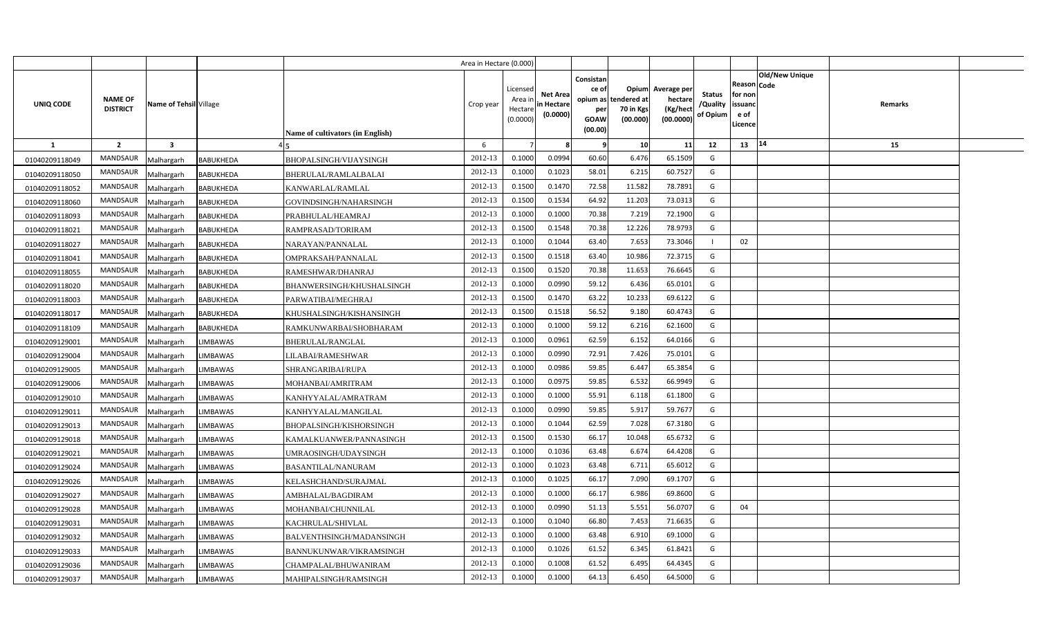|                  |                                   |                         |                  |                                  | Area in Hectare (0.000) |                                            |                                           |                                                     |                                                        |                                                 |                                       |                                                                               |                |  |
|------------------|-----------------------------------|-------------------------|------------------|----------------------------------|-------------------------|--------------------------------------------|-------------------------------------------|-----------------------------------------------------|--------------------------------------------------------|-------------------------------------------------|---------------------------------------|-------------------------------------------------------------------------------|----------------|--|
| <b>UNIQ CODE</b> | <b>NAME OF</b><br><b>DISTRICT</b> | Name of Tehsil Village  |                  | Name of cultivators (in English) | Crop year               | Licensed<br>Area ir<br>Hectare<br>(0.0000) | <b>Net Area</b><br>in Hectare<br>(0.0000) | Consistan<br>ce of<br>per<br><b>GOAW</b><br>(00.00) | Opium<br>opium as tendered at<br>70 in Kgs<br>(00.000) | Average per<br>hectare<br>(Kg/hect<br>(00.0000) | <b>Status</b><br>/Quality<br>of Opium | <b>Old/New Unique</b><br>Reason Code<br>for non<br>issuanc<br>e of<br>Licence | <b>Remarks</b> |  |
| 1                | $\overline{2}$                    | $\overline{\mathbf{3}}$ |                  |                                  | 6                       |                                            | 8                                         | - 9                                                 | 10                                                     | 11                                              | 12                                    | 14<br>13                                                                      | 15             |  |
| 01040209118049   | <b>MANDSAUR</b>                   | Malhargarh              | <b>BABUKHEDA</b> | BHOPALSINGH/VIJAYSINGH           | 2012-13                 | 0.1000                                     | 0.0994                                    | 60.60                                               | 6.476                                                  | 65.1509                                         | G                                     |                                                                               |                |  |
| 01040209118050   | MANDSAUR                          | Malhargarh              | BABUKHEDA        | BHERULAL/RAMLALBALAI             | 2012-13                 | 0.1000                                     | 0.1023                                    | 58.01                                               | 6.215                                                  | 60.7527                                         | G                                     |                                                                               |                |  |
| 01040209118052   | <b>MANDSAUR</b>                   | Malhargarh              | <b>BABUKHEDA</b> | KANWARLAL/RAMLAL                 | 2012-13                 | 0.1500                                     | 0.1470                                    | 72.58                                               | 11.582                                                 | 78.7891                                         | G                                     |                                                                               |                |  |
| 01040209118060   | MANDSAUR                          | Malhargarh              | BABUKHEDA        | GOVINDSINGH/NAHARSINGH           | 2012-13                 | 0.1500                                     | 0.1534                                    | 64.92                                               | 11.203                                                 | 73.031                                          | G                                     |                                                                               |                |  |
| 01040209118093   | MANDSAUR                          | Malhargarh              | <b>BABUKHEDA</b> | PRABHULAL/HEAMRAJ                | 2012-13                 | 0.1000                                     | 0.1000                                    | 70.38                                               | 7.219                                                  | 72.1900                                         | G                                     |                                                                               |                |  |
| 01040209118021   | MANDSAUR                          | Malhargarh              | BABUKHEDA        | RAMPRASAD/TORIRAM                | 2012-13                 | 0.1500                                     | 0.1548                                    | 70.38                                               | 12.226                                                 | 78.9793                                         | G                                     |                                                                               |                |  |
| 01040209118027   | MANDSAUR                          | Malhargarh              | <b>BABUKHEDA</b> | NARAYAN/PANNALAL                 | 2012-13                 | 0.1000                                     | 0.1044                                    | 63.40                                               | 7.653                                                  | 73.304                                          |                                       | 02                                                                            |                |  |
| 01040209118041   | MANDSAUR                          | Malhargarh              | <b>BABUKHEDA</b> | OMPRAKSAH/PANNALAL               | 2012-13                 | 0.1500                                     | 0.1518                                    | 63.40                                               | 10.986                                                 | 72.3715                                         | G                                     |                                                                               |                |  |
| 01040209118055   | MANDSAUR                          | Malhargarh              | <b>BABUKHEDA</b> | RAMESHWAR/DHANRAJ                | 2012-13                 | 0.1500                                     | 0.1520                                    | 70.38                                               | 11.653                                                 | 76.6645                                         | G                                     |                                                                               |                |  |
| 01040209118020   | MANDSAUR                          | Malhargarh              | BABUKHEDA        | BHANWERSINGH/KHUSHALSINGH        | 2012-13                 | 0.1000                                     | 0.0990                                    | 59.12                                               | 6.436                                                  | 65.0101                                         | G                                     |                                                                               |                |  |
| 01040209118003   | MANDSAUR                          | Malhargarh              | BABUKHEDA        | PARWATIBAI/MEGHRAJ               | 2012-13                 | 0.1500                                     | 0.1470                                    | 63.22                                               | 10.233                                                 | 69.6122                                         | G                                     |                                                                               |                |  |
| 01040209118017   | <b>MANDSAUR</b>                   | Malhargarh              | <b>BABUKHEDA</b> | KHUSHALSINGH/KISHANSINGH         | 2012-13                 | 0.1500                                     | 0.1518                                    | 56.52                                               | 9.180                                                  | 60.4743                                         | G                                     |                                                                               |                |  |
| 01040209118109   | MANDSAUR                          | Malhargarh              | <b>BABUKHEDA</b> | RAMKUNWARBAI/SHOBHARAM           | 2012-13                 | 0.1000                                     | 0.1000                                    | 59.12                                               | 6.216                                                  | 62.1600                                         | G                                     |                                                                               |                |  |
| 01040209129001   | <b>MANDSAUR</b>                   | Malhargarh              | LIMBAWAS         | BHERULAL/RANGLAL                 | 2012-13                 | 0.1000                                     | 0.0961                                    | 62.59                                               | 6.152                                                  | 64.0166                                         | G                                     |                                                                               |                |  |
| 01040209129004   | MANDSAUR                          | Malhargarh              | LIMBAWAS         | LILABAI/RAMESHWAR                | 2012-13                 | 0.1000                                     | 0.0990                                    | 72.91                                               | 7.426                                                  | 75.0101                                         | G                                     |                                                                               |                |  |
| 01040209129005   | MANDSAUR                          | Malhargarh              | LIMBAWAS         | SHRANGARIBAI/RUPA                | 2012-13                 | 0.1000                                     | 0.0986                                    | 59.85                                               | 6.447                                                  | 65.3854                                         | G                                     |                                                                               |                |  |
| 01040209129006   | <b>MANDSAUR</b>                   | Malhargarh              | LIMBAWAS         | MOHANBAI/AMRITRAM                | 2012-13                 | 0.1000                                     | 0.0975                                    | 59.85                                               | 6.532                                                  | 66.9949                                         | G                                     |                                                                               |                |  |
| 01040209129010   | MANDSAUR                          | Malhargarh              | LIMBAWAS         | KANHYYALAL/AMRATRAM              | 2012-13                 | 0.1000                                     | 0.1000                                    | 55.91                                               | 6.118                                                  | 61.1800                                         | G                                     |                                                                               |                |  |
| 01040209129011   | <b>MANDSAUR</b>                   | Malhargarh              | LIMBAWAS         | KANHYYALAL/MANGILAL              | 2012-13                 | 0.1000                                     | 0.0990                                    | 59.85                                               | 5.917                                                  | 59.7677                                         | G                                     |                                                                               |                |  |
| 01040209129013   | MANDSAUR                          | Malhargarh              | LIMBAWAS         | BHOPALSINGH/KISHORSINGH          | 2012-13                 | 0.1000                                     | 0.1044                                    | 62.59                                               | 7.028                                                  | 67.3180                                         | G                                     |                                                                               |                |  |
| 01040209129018   | <b>MANDSAUR</b>                   | Malhargarh              | LIMBAWAS         | KAMALKUANWER/PANNASINGH          | 2012-13                 | 0.1500                                     | 0.1530                                    | 66.17                                               | 10.048                                                 | 65.6732                                         | G                                     |                                                                               |                |  |
| 01040209129021   | <b>MANDSAUR</b>                   | Malhargarh              | LIMBAWAS         | UMRAOSINGH/UDAYSINGH             | 2012-13                 | 0.1000                                     | 0.1036                                    | 63.48                                               | 6.674                                                  | 64.4208                                         | G                                     |                                                                               |                |  |
| 01040209129024   | <b>MANDSAUR</b>                   | Malhargarh              | LIMBAWAS         | BASANTILAL/NANURAM               | 2012-13                 | 0.1000                                     | 0.1023                                    | 63.48                                               | 6.711                                                  | 65.6012                                         | G                                     |                                                                               |                |  |
| 01040209129026   | MANDSAUR                          | Malhargarh              | LIMBAWAS         | KELASHCHAND/SURAJMAL             | 2012-13                 | 0.1000                                     | 0.1025                                    | 66.17                                               | 7.090                                                  | 69.1707                                         | G                                     |                                                                               |                |  |
| 01040209129027   | MANDSAUR                          | Malhargarh              | LIMBAWAS         | AMBHALAL/BAGDIRAM                | 2012-13                 | 0.1000                                     | 0.1000                                    | 66.17                                               | 6.986                                                  | 69.8600                                         | G                                     |                                                                               |                |  |
| 01040209129028   | MANDSAUR                          | Malhargarh              | LIMBAWAS         | MOHANBAI/CHUNNILAL               | 2012-13                 | 0.1000                                     | 0.0990                                    | 51.13                                               | 5.551                                                  | 56.070                                          | G                                     | 04                                                                            |                |  |
| 01040209129031   | MANDSAUR                          | Malhargarh              | <b>IMBAWAS</b>   | KACHRULAL/SHIVLAL                | 2012-13                 | 0.1000                                     | 0.1040                                    | 66.80                                               | 7.453                                                  | 71.6635                                         | G                                     |                                                                               |                |  |
| 01040209129032   | MANDSAUR                          | Malhargarh              | LIMBAWAS         | BALVENTHSINGH/MADANSINGH         | 2012-13                 | 0.1000                                     | 0.1000                                    | 63.48                                               | 6.910                                                  | 69.100                                          | G                                     |                                                                               |                |  |
| 01040209129033   | MANDSAUR                          | Malhargarh              | LIMBAWAS         | BANNUKUNWAR/VIKRAMSINGH          | 2012-13                 | 0.1000                                     | 0.1026                                    | 61.52                                               | 6.345                                                  | 61.8421                                         | G                                     |                                                                               |                |  |
| 01040209129036   | MANDSAUR                          | Malhargarh              | LIMBAWAS         | CHAMPALAL/BHUWANIRAM             | 2012-13                 | 0.1000                                     | 0.1008                                    | 61.52                                               | 6.495                                                  | 64.4345                                         | G                                     |                                                                               |                |  |
| 01040209129037   | MANDSAUR                          | Malhargarh              | <b>LIMBAWAS</b>  | MAHIPALSINGH/RAMSINGH            | 2012-13                 | 0.1000                                     | 0.1000                                    | 64.13                                               | 6.450                                                  | 64.5000                                         | G                                     |                                                                               |                |  |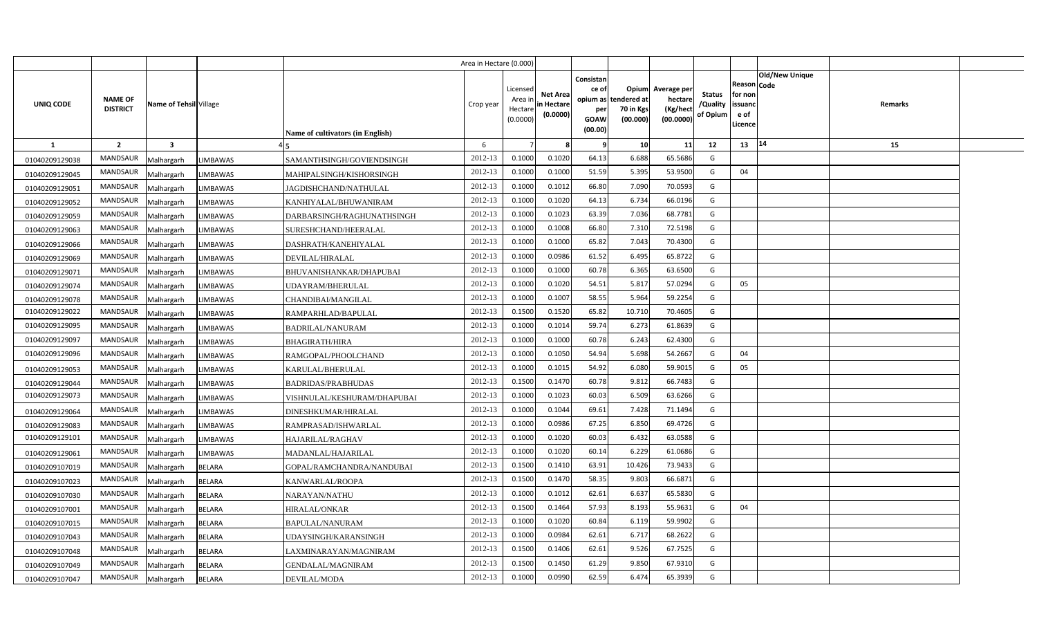|                |                                   |                         |                 |                                  | Area in Hectare (0.000) |                                            |                                           |                                                     |                                                        |                                                 |                                       |                                                                               |         |  |
|----------------|-----------------------------------|-------------------------|-----------------|----------------------------------|-------------------------|--------------------------------------------|-------------------------------------------|-----------------------------------------------------|--------------------------------------------------------|-------------------------------------------------|---------------------------------------|-------------------------------------------------------------------------------|---------|--|
| UNIQ CODE      | <b>NAME OF</b><br><b>DISTRICT</b> | Name of Tehsil Village  |                 | Name of cultivators (in English) | Crop year               | Licensed<br>Area ir<br>Hectare<br>(0.0000) | <b>Net Area</b><br>in Hectare<br>(0.0000) | Consistan<br>ce of<br>per<br><b>GOAW</b><br>(00.00) | Opium<br>opium as tendered at<br>70 in Kgs<br>(00.000) | Average per<br>hectare<br>(Kg/hect<br>(00.0000) | <b>Status</b><br>/Quality<br>of Opium | <b>Old/New Unique</b><br>Reason Code<br>for non<br>issuanc<br>e of<br>Licence | Remarks |  |
| <b>1</b>       | $\overline{2}$                    | $\overline{\mathbf{3}}$ |                 |                                  | 6                       |                                            | R                                         | - 9                                                 | 10                                                     | 11                                              | 12                                    | 14<br>13                                                                      | 15      |  |
| 01040209129038 | <b>MANDSAUR</b>                   | Malhargarh              | <b>LIMBAWAS</b> | SAMANTHSINGH/GOVIENDSINGH        | 2012-13                 | 0.1000                                     | 0.1020                                    | 64.13                                               | 6.688                                                  | 65.5686                                         | G                                     |                                                                               |         |  |
| 01040209129045 | MANDSAUR                          | Malhargarh              | LIMBAWAS        | MAHIPALSINGH/KISHORSINGH         | 2012-13                 | 0.1000                                     | 0.1000                                    | 51.59                                               | 5.395                                                  | 53.9500                                         | G                                     | 04                                                                            |         |  |
| 01040209129051 | MANDSAUR                          | Malhargarh              | <b>LIMBAWAS</b> | JAGDISHCHAND/NATHULAL            | 2012-13                 | 0.1000                                     | 0.1012                                    | 66.80                                               | 7.090                                                  | 70.0593                                         | G                                     |                                                                               |         |  |
| 01040209129052 | MANDSAUR                          | Malhargarh              | <b>LIMBAWAS</b> | KANHIYALAL/BHUWANIRAM            | 2012-13                 | 0.1000                                     | 0.1020                                    | 64.13                                               | 6.734                                                  | 66.0196                                         | G                                     |                                                                               |         |  |
| 01040209129059 | MANDSAUR                          | Malhargarh              | <b>LIMBAWAS</b> | DARBARSINGH/RAGHUNATHSINGH       | 2012-13                 | 0.1000                                     | 0.1023                                    | 63.39                                               | 7.036                                                  | 68.778                                          | G                                     |                                                                               |         |  |
| 01040209129063 | <b>MANDSAUR</b>                   | Malhargarh              | <b>LIMBAWAS</b> | SURESHCHAND/HEERALAL             | 2012-13                 | 0.1000                                     | 0.1008                                    | 66.80                                               | 7.310                                                  | 72.5198                                         | G                                     |                                                                               |         |  |
| 01040209129066 | MANDSAUR                          | Malhargarh              | LIMBAWAS        | DASHRATH/KANEHIYALAL             | 2012-13                 | 0.1000                                     | 0.1000                                    | 65.82                                               | 7.043                                                  | 70.4300                                         | G                                     |                                                                               |         |  |
| 01040209129069 | MANDSAUR                          | Malhargarh              | <b>LIMBAWAS</b> | DEVILAL/HIRALAL                  | 2012-13                 | 0.1000                                     | 0.0986                                    | 61.52                                               | 6.495                                                  | 65.8722                                         | G                                     |                                                                               |         |  |
| 01040209129071 | MANDSAUR                          | Malhargarh              | <b>LIMBAWAS</b> | BHUVANISHANKAR/DHAPUBAI          | 2012-13                 | 0.1000                                     | 0.1000                                    | 60.78                                               | 6.365                                                  | 63.6500                                         | G                                     |                                                                               |         |  |
| 01040209129074 | MANDSAUR                          | Malhargarh              | <b>LIMBAWAS</b> | UDAYRAM/BHERULAL                 | 2012-13                 | 0.1000                                     | 0.1020                                    | 54.51                                               | 5.817                                                  | 57.029                                          | G                                     | 05                                                                            |         |  |
| 01040209129078 | MANDSAUR                          | Malhargarh              | <b>LIMBAWAS</b> | CHANDIBAI/MANGILAL               | 2012-13                 | 0.1000                                     | 0.1007                                    | 58.55                                               | 5.964                                                  | 59.2254                                         | G                                     |                                                                               |         |  |
| 01040209129022 | MANDSAUR                          | Malhargarh              | <b>LIMBAWAS</b> | RAMPARHLAD/BAPULAL               | 2012-13                 | 0.1500                                     | 0.1520                                    | 65.82                                               | 10.710                                                 | 70.460                                          | G                                     |                                                                               |         |  |
| 01040209129095 | MANDSAUR                          | Malhargarh              | LIMBAWAS        | <b>BADRILAL/NANURAM</b>          | 2012-13                 | 0.1000                                     | 0.1014                                    | 59.74                                               | 6.273                                                  | 61.8639                                         | G                                     |                                                                               |         |  |
| 01040209129097 | <b>MANDSAUR</b>                   | Malhargarh              | LIMBAWAS        | <b>BHAGIRATH/HIRA</b>            | 2012-13                 | 0.1000                                     | 0.1000                                    | 60.78                                               | 6.243                                                  | 62.4300                                         | G                                     |                                                                               |         |  |
| 01040209129096 | <b>MANDSAUR</b>                   | Malhargarh              | LIMBAWAS        | RAMGOPAL/PHOOLCHAND              | 2012-13                 | 0.1000                                     | 0.1050                                    | 54.94                                               | 5.698                                                  | 54.2667                                         | G                                     | 04                                                                            |         |  |
| 01040209129053 | MANDSAUR                          | Malhargarh              | LIMBAWAS        | KARULAL/BHERULAL                 | 2012-13                 | 0.1000                                     | 0.1015                                    | 54.92                                               | 6.080                                                  | 59.9015                                         | G                                     | 05                                                                            |         |  |
| 01040209129044 | <b>MANDSAUR</b>                   | Malhargarh              | LIMBAWAS        | <b>BADRIDAS/PRABHUDAS</b>        | 2012-13                 | 0.1500                                     | 0.1470                                    | 60.78                                               | 9.812                                                  | 66.7483                                         | G                                     |                                                                               |         |  |
| 01040209129073 | <b>MANDSAUR</b>                   | Malhargarh              | LIMBAWAS        | VISHNULAL/KESHURAM/DHAPUBAI      | 2012-13                 | 0.1000                                     | 0.1023                                    | 60.03                                               | 6.509                                                  | 63.6266                                         | G                                     |                                                                               |         |  |
| 01040209129064 | <b>MANDSAUR</b>                   | Malhargarh              | LIMBAWAS        | DINESHKUMAR/HIRALAL              | 2012-13                 | 0.1000                                     | 0.1044                                    | 69.61                                               | 7.428                                                  | 71.1494                                         | G                                     |                                                                               |         |  |
| 01040209129083 | <b>MANDSAUR</b>                   | Malhargarh              | <b>LIMBAWAS</b> | RAMPRASAD/ISHWARLAL              | 2012-13                 | 0.1000                                     | 0.0986                                    | 67.25                                               | 6.850                                                  | 69.4726                                         | G                                     |                                                                               |         |  |
| 01040209129101 | <b>MANDSAUR</b>                   | Malhargarh              | LIMBAWAS        | HAJARILAL/RAGHAV                 | 2012-13                 | 0.1000                                     | 0.1020                                    | 60.03                                               | 6.432                                                  | 63.0588                                         | G                                     |                                                                               |         |  |
| 01040209129061 | <b>MANDSAUR</b>                   | Malhargarh              | LIMBAWAS        | MADANLAL/HAJARILAL               | 2012-13                 | 0.1000                                     | 0.1020                                    | 60.14                                               | 6.229                                                  | 61.0686                                         | G                                     |                                                                               |         |  |
| 01040209107019 | MANDSAUR                          | Malhargarh              | <b>BELARA</b>   | GOPAL/RAMCHANDRA/NANDUBAI        | 2012-13                 | 0.1500                                     | 0.1410                                    | 63.91                                               | 10.426                                                 | 73.9433                                         | G                                     |                                                                               |         |  |
| 01040209107023 | <b>MANDSAUR</b>                   | Malhargarh              | <b>BELARA</b>   | KANWARLAL/ROOPA                  | 2012-13                 | 0.1500                                     | 0.1470                                    | 58.35                                               | 9.803                                                  | 66.6871                                         | G                                     |                                                                               |         |  |
| 01040209107030 | MANDSAUR                          | Malhargarh              | <b>BELARA</b>   | NARAYAN/NATHU                    | 2012-13                 | 0.1000                                     | 0.1012                                    | 62.61                                               | 6.637                                                  | 65.5830                                         | G                                     |                                                                               |         |  |
| 01040209107001 | MANDSAUR                          | Malhargarh              | <b>BELARA</b>   | HIRALAL/ONKAR                    | 2012-13                 | 0.1500                                     | 0.1464                                    | 57.93                                               | 8.193                                                  | 55.9631                                         | G                                     | 04                                                                            |         |  |
| 01040209107015 | MANDSAUR                          | Malhargarh              | <b>BELARA</b>   | BAPULAL/NANURAM                  | 2012-13                 | 0.1000                                     | 0.1020                                    | 60.84                                               | 6.119                                                  | 59.9902                                         | G                                     |                                                                               |         |  |
| 01040209107043 | MANDSAUR                          | Malhargarh              | <b>BELARA</b>   | UDAYSINGH/KARANSINGH             | 2012-13                 | 0.1000                                     | 0.0984                                    | 62.61                                               | 6.717                                                  | 68.2622                                         | G                                     |                                                                               |         |  |
| 01040209107048 | MANDSAUR                          | Malhargarh              | BELARA          | LAXMINARAYAN/MAGNIRAM            | 2012-13                 | 0.1500                                     | 0.1406                                    | 62.61                                               | 9.526                                                  | 67.7525                                         | G                                     |                                                                               |         |  |
| 01040209107049 | MANDSAUR                          | Malhargarh              | <b>BELARA</b>   | GENDALAL/MAGNIRAM                | 2012-13                 | 0.1500                                     | 0.1450                                    | 61.29                                               | 9.850                                                  | 67.931                                          | G                                     |                                                                               |         |  |
| 01040209107047 | MANDSAUR                          | Malhargarh              | <b>BELARA</b>   | DEVILAL/MODA                     | 2012-13                 | 0.1000                                     | 0.0990                                    | 62.59                                               | 6.474                                                  | 65.3939                                         | G                                     |                                                                               |         |  |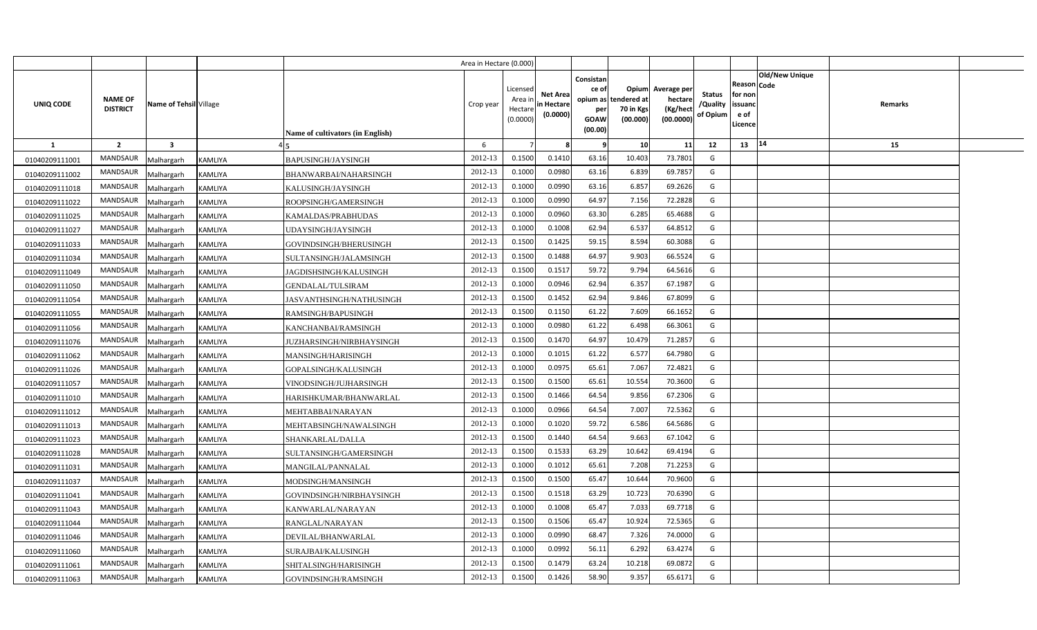|                |                                   |                         |                |                                  | Area in Hectare (0.000) |                                           |                                           |                                                     |                                                        |                                                 |                                       |                                                                               |         |  |
|----------------|-----------------------------------|-------------------------|----------------|----------------------------------|-------------------------|-------------------------------------------|-------------------------------------------|-----------------------------------------------------|--------------------------------------------------------|-------------------------------------------------|---------------------------------------|-------------------------------------------------------------------------------|---------|--|
| UNIQ CODE      | <b>NAME OF</b><br><b>DISTRICT</b> | Name of Tehsil Village  |                | Name of cultivators (in English) | Crop year               | Licensed<br>Area i<br>Hectare<br>(0.0000) | <b>Net Area</b><br>in Hectare<br>(0.0000) | Consistan<br>ce of<br>per<br><b>GOAW</b><br>(00.00) | Opium<br>opium as tendered at<br>70 in Kgs<br>(00.000) | Average per<br>hectare<br>(Kg/hect<br>(00.0000) | <b>Status</b><br>/Quality<br>of Opium | <b>Old/New Unique</b><br>Reason Code<br>for non<br>issuanc<br>e of<br>Licence | Remarks |  |
| <b>1</b>       | $\overline{2}$                    | $\overline{\mathbf{3}}$ |                |                                  | 6                       |                                           |                                           | -9                                                  | 10                                                     | 11                                              | 12                                    | 14<br>13                                                                      | 15      |  |
| 01040209111001 | <b>MANDSAUR</b>                   | Malhargarh              | KAMLIYA        | <b>BAPUSINGH/JAYSINGH</b>        | 2012-13                 | 0.1500                                    | 0.1410                                    | 63.16                                               | 10.403                                                 | 73.7801                                         | G                                     |                                                                               |         |  |
| 01040209111002 | MANDSAUR                          | Malhargarh              | <b>KAMLIYA</b> | BHANWARBAI/NAHARSINGH            | 2012-13                 | 0.1000                                    | 0.0980                                    | 63.16                                               | 6.839                                                  | 69.7857                                         | G                                     |                                                                               |         |  |
| 01040209111018 | MANDSAUR                          | Malhargarh              | <b>KAMLIYA</b> | KALUSINGH/JAYSINGH               | 2012-13                 | 0.1000                                    | 0.0990                                    | 63.16                                               | 6.857                                                  | 69.2626                                         | G                                     |                                                                               |         |  |
| 01040209111022 | MANDSAUR                          | Malhargarh              | KAMLIYA        | ROOPSINGH/GAMERSINGH             | 2012-13                 | 0.1000                                    | 0.0990                                    | 64.97                                               | 7.156                                                  | 72.2828                                         | G                                     |                                                                               |         |  |
| 01040209111025 | MANDSAUR                          | Malhargarh              | KAMLIYA        | KAMALDAS/PRABHUDAS               | 2012-13                 | 0.1000                                    | 0.0960                                    | 63.30                                               | 6.285                                                  | 65.4688                                         | G                                     |                                                                               |         |  |
| 01040209111027 | <b>MANDSAUR</b>                   | Malhargarh              | KAMLIYA        | UDAYSINGH/JAYSINGH               | 2012-13                 | 0.1000                                    | 0.1008                                    | 62.94                                               | 6.537                                                  | 64.8512                                         | G                                     |                                                                               |         |  |
| 01040209111033 | MANDSAUR                          | Malhargarh              | KAMLIYA        | GOVINDSINGH/BHERUSINGH           | 2012-13                 | 0.1500                                    | 0.1425                                    | 59.15                                               | 8.594                                                  | 60.3088                                         | G                                     |                                                                               |         |  |
| 01040209111034 | MANDSAUR                          | Malhargarh              | KAMLIYA        | SULTANSINGH/JALAMSINGH           | 2012-13                 | 0.1500                                    | 0.1488                                    | 64.97                                               | 9.903                                                  | 66.5524                                         | G                                     |                                                                               |         |  |
| 01040209111049 | MANDSAUR                          | Malhargarh              | KAMLIYA        | JAGDISHSINGH/KALUSINGH           | 2012-13                 | 0.1500                                    | 0.1517                                    | 59.72                                               | 9.794                                                  | 64.561                                          | G                                     |                                                                               |         |  |
| 01040209111050 | MANDSAUR                          | Malhargarh              | KAMLIYA        | GENDALAL/TULSIRAM                | 2012-13                 | 0.1000                                    | 0.0946                                    | 62.94                                               | 6.357                                                  | 67.1987                                         | G                                     |                                                                               |         |  |
| 01040209111054 | MANDSAUR                          | Malhargarh              | KAMLIYA        | JASVANTHSINGH/NATHUSINGH         | 2012-13                 | 0.1500                                    | 0.1452                                    | 62.94                                               | 9.846                                                  | 67.8099                                         | G                                     |                                                                               |         |  |
| 01040209111055 | MANDSAUR                          | Malhargarh              | <b>KAMLIYA</b> | RAMSINGH/BAPUSINGH               | 2012-13                 | 0.1500                                    | 0.1150                                    | 61.22                                               | 7.609                                                  | 66.165                                          | G                                     |                                                                               |         |  |
| 01040209111056 | <b>MANDSAUR</b>                   | Malhargarh              | KAMLIYA        | KANCHANBAI/RAMSINGH              | 2012-13                 | 0.1000                                    | 0.0980                                    | 61.22                                               | 6.498                                                  | 66.3061                                         | G                                     |                                                                               |         |  |
| 01040209111076 | MANDSAUR                          | Malhargarh              | KAMLIYA        | JUZHARSINGH/NIRBHAYSINGH         | 2012-13                 | 0.1500                                    | 0.1470                                    | 64.97                                               | 10.479                                                 | 71.285                                          | G                                     |                                                                               |         |  |
| 01040209111062 | MANDSAUR                          | Malhargarh              | KAMLIYA        | MANSINGH/HARISINGH               | 2012-13                 | 0.1000                                    | 0.1015                                    | 61.22                                               | 6.577                                                  | 64.7980                                         | G                                     |                                                                               |         |  |
| 01040209111026 | <b>MANDSAUR</b>                   | Malhargarh              | KAMLIYA        | GOPALSINGH/KALUSINGH             | 2012-13                 | 0.1000                                    | 0.0975                                    | 65.61                                               | 7.067                                                  | 72.4821                                         | G                                     |                                                                               |         |  |
| 01040209111057 | MANDSAUR                          | Malhargarh              | KAMLIYA        | VINODSINGH/JUJHARSINGH           | 2012-13                 | 0.1500                                    | 0.1500                                    | 65.61                                               | 10.554                                                 | 70.3600                                         | G                                     |                                                                               |         |  |
| 01040209111010 | <b>MANDSAUR</b>                   | Malhargarh              | KAMLIYA        | HARISHKUMAR/BHANWARLAL           | 2012-13                 | 0.1500                                    | 0.1466                                    | 64.54                                               | 9.856                                                  | 67.2306                                         | G                                     |                                                                               |         |  |
| 01040209111012 | <b>MANDSAUR</b>                   | Malhargarh              | KAMLIYA        | MEHTABBAI/NARAYAN                | 2012-13                 | 0.1000                                    | 0.0966                                    | 64.54                                               | 7.007                                                  | 72.5362                                         | G                                     |                                                                               |         |  |
| 01040209111013 | <b>MANDSAUR</b>                   | Malhargarh              | KAMLIYA        | MEHTABSINGH/NAWALSINGH           | 2012-13                 | 0.1000                                    | 0.1020                                    | 59.72                                               | 6.586                                                  | 64.5686                                         | G                                     |                                                                               |         |  |
| 01040209111023 | <b>MANDSAUR</b>                   | Malhargarh              | KAMLIYA        | SHANKARLAL/DALLA                 | 2012-13                 | 0.1500                                    | 0.1440                                    | 64.54                                               | 9.663                                                  | 67.1042                                         | G                                     |                                                                               |         |  |
| 01040209111028 | MANDSAUR                          | Malhargarh              | KAMLIYA        | SULTANSINGH/GAMERSINGH           | 2012-13                 | 0.1500                                    | 0.1533                                    | 63.29                                               | 10.642                                                 | 69.4194                                         | G                                     |                                                                               |         |  |
| 01040209111031 | <b>MANDSAUR</b>                   | Malhargarh              | KAMLIYA        | MANGILAL/PANNALAL                | 2012-13                 | 0.1000                                    | 0.1012                                    | 65.61                                               | 7.208                                                  | 71.2253                                         | G                                     |                                                                               |         |  |
| 01040209111037 | MANDSAUR                          | Malhargarh              | KAMLIYA        | MODSINGH/MANSINGH                | 2012-13                 | 0.1500                                    | 0.1500                                    | 65.47                                               | 10.644                                                 | 70.9600                                         | G                                     |                                                                               |         |  |
| 01040209111041 | <b>MANDSAUR</b>                   | Malhargarh              | KAMLIYA        | GOVINDSINGH/NIRBHAYSINGH         | 2012-13                 | 0.1500                                    | 0.1518                                    | 63.29                                               | 10.723                                                 | 70.6390                                         | G                                     |                                                                               |         |  |
| 01040209111043 | MANDSAUR                          | Malhargarh              | KAMLIYA        | KANWARLAL/NARAYAN                | 2012-13                 | 0.1000                                    | 0.1008                                    | 65.47                                               | 7.033                                                  | 69.7718                                         | G                                     |                                                                               |         |  |
| 01040209111044 | MANDSAUR                          | Malhargarh              | KAMLIYA        | RANGLAL/NARAYAN                  | 2012-13                 | 0.1500                                    | 0.1506                                    | 65.47                                               | 10.924                                                 | 72.5365                                         | G                                     |                                                                               |         |  |
| 01040209111046 | MANDSAUR                          | Malhargarh              | KAMLIYA        | DEVILAL/BHANWARLAL               | 2012-13                 | 0.1000                                    | 0.0990                                    | 68.47                                               | 7.326                                                  | 74.000                                          | G                                     |                                                                               |         |  |
| 01040209111060 | MANDSAUR                          | Malhargarh              | KAMLIYA        | SURAJBAI/KALUSINGH               | 2012-13                 | 0.1000                                    | 0.0992                                    | 56.11                                               | 6.292                                                  | 63.4274                                         | G                                     |                                                                               |         |  |
| 01040209111061 | MANDSAUR                          | Malhargarh              | KAMLIYA        | SHITALSINGH/HARISINGH            | 2012-13                 | 0.1500                                    | 0.1479                                    | 63.24                                               | 10.218                                                 | 69.087                                          | G                                     |                                                                               |         |  |
| 01040209111063 | MANDSAUR                          | Malhargarh              | KAMLIYA        | GOVINDSINGH/RAMSINGH             | 2012-13                 | 0.1500                                    | 0.1426                                    | 58.90                                               | 9.357                                                  | 65.6171                                         | G                                     |                                                                               |         |  |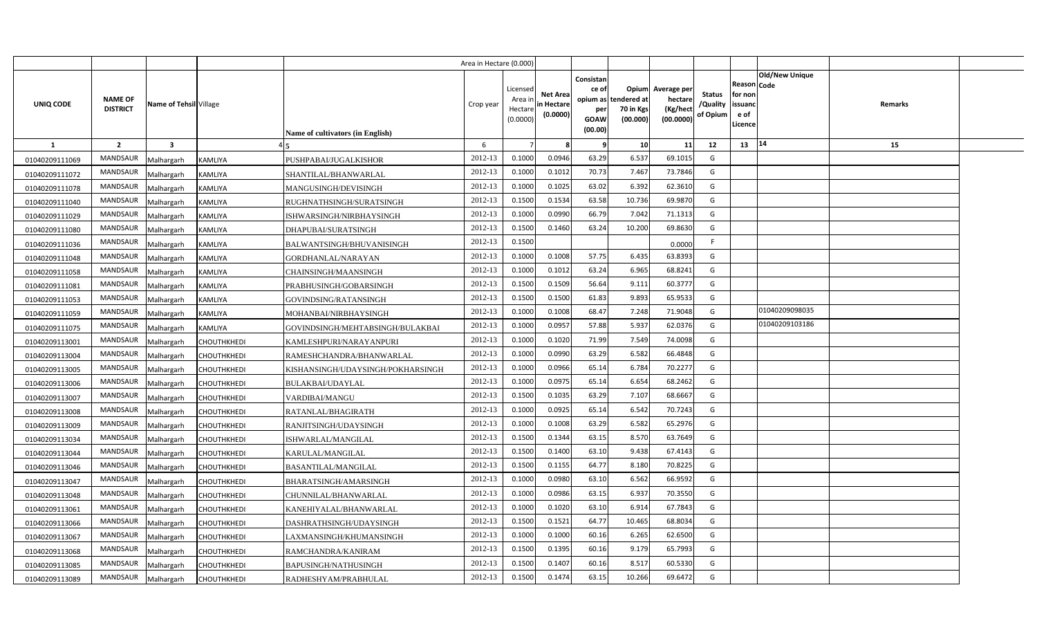|                |                                   |                        |                    |                                         | Area in Hectare (0.000) |                                            |                                           |                                                                 |                                               |                                                 |                                       |                                                 |                               |         |  |
|----------------|-----------------------------------|------------------------|--------------------|-----------------------------------------|-------------------------|--------------------------------------------|-------------------------------------------|-----------------------------------------------------------------|-----------------------------------------------|-------------------------------------------------|---------------------------------------|-------------------------------------------------|-------------------------------|---------|--|
| UNIQ CODE      | <b>NAME OF</b><br><b>DISTRICT</b> | Name of Tehsil Village |                    | <b>Name of cultivators (in English)</b> | Crop year               | Licensed<br>Area ir<br>Hectare<br>(0.0000) | <b>Net Area</b><br>in Hectare<br>(0.0000) | Consistan<br>ce of<br>opium as<br>per<br><b>GOAW</b><br>(00.00) | Opium<br>tendered at<br>70 in Kgs<br>(00.000) | Average per<br>hectare<br>(Kg/hect<br>(00.0000) | <b>Status</b><br>/Quality<br>of Opium | Reason<br>for non<br>issuand<br>e of<br>Licence | <b>Old/New Unique</b><br>Code | Remarks |  |
| <b>1</b>       | $\overline{2}$                    | $\mathbf{3}$           |                    |                                         | 6                       |                                            |                                           | ٠q                                                              | 10                                            | 11                                              | 12                                    | 13                                              | 14                            | 15      |  |
| 01040209111069 | <b>MANDSAUR</b>                   | Malhargarh             | KAMLIYA            | PUSHPABAI/JUGALKISHOR                   | 2012-13                 | 0.1000                                     | 0.0946                                    | 63.29                                                           | 6.537                                         | 69.1015                                         | G                                     |                                                 |                               |         |  |
| 01040209111072 | MANDSAUR                          | Malhargarh             | KAMLIYA            | SHANTILAL/BHANWARLAL                    | 2012-13                 | 0.1000                                     | 0.101                                     | 70.73                                                           | 7.467                                         | 73.7846                                         | G                                     |                                                 |                               |         |  |
| 01040209111078 | <b>MANDSAUR</b>                   | Malhargarh             | KAMLIYA            | MANGUSINGH/DEVISINGH                    | 2012-13                 | 0.1000                                     | 0.1025                                    | 63.02                                                           | 6.392                                         | 62.3610                                         | G                                     |                                                 |                               |         |  |
| 01040209111040 | <b>MANDSAUR</b>                   | Malhargarh             | KAMLIYA            | RUGHNATHSINGH/SURATSINGH                | 2012-13                 | 0.1500                                     | 0.1534                                    | 63.58                                                           | 10.736                                        | 69.9870                                         | G                                     |                                                 |                               |         |  |
| 01040209111029 | <b>MANDSAUR</b>                   | Malhargarh             | KAMLIYA            | ISHWARSINGH/NIRBHAYSINGH                | 2012-13                 | 0.100(                                     | 0.0990                                    | 66.79                                                           | 7.042                                         | 71.1313                                         | G                                     |                                                 |                               |         |  |
| 01040209111080 | MANDSAUR                          | Malhargarh             | KAMLIYA            | DHAPUBAI/SURATSINGH                     | 2012-13                 | 0.150                                      | 0.1460                                    | 63.24                                                           | 10.200                                        | 69.8630                                         | G                                     |                                                 |                               |         |  |
| 01040209111036 | <b>MANDSAUR</b>                   | Malhargarh             | KAMLIYA            | BALWANTSINGH/BHUVANISINGH               | 2012-13                 | 0.1500                                     |                                           |                                                                 |                                               | 0.0000                                          | F                                     |                                                 |                               |         |  |
| 01040209111048 | MANDSAUR                          | Malhargarh             | KAMLIYA            | GORDHANLAL/NARAYAN                      | 2012-13                 | 0.1000                                     | 0.1008                                    | 57.75                                                           | 6.435                                         | 63.8393                                         | G                                     |                                                 |                               |         |  |
| 01040209111058 | MANDSAUR                          | Malhargarh             | KAMLIYA            | CHAINSINGH/MAANSINGH                    | 2012-13                 | 0.1000                                     | 0.101                                     | 63.24                                                           | 6.965                                         | 68.8241                                         | G                                     |                                                 |                               |         |  |
| 01040209111081 | <b>MANDSAUR</b>                   | Malhargarh             | KAMLIYA            | PRABHUSINGH/GOBARSINGH                  | 2012-13                 | 0.1500                                     | 0.1509                                    | 56.64                                                           | 9.111                                         | 60.3777                                         | G                                     |                                                 |                               |         |  |
| 01040209111053 | MANDSAUR                          | Malhargarh             | KAMLIYA            | GOVINDSING/RATANSINGH                   | 2012-13                 | 0.1500                                     | 0.1500                                    | 61.83                                                           | 9.893                                         | 65.9533                                         | G                                     |                                                 |                               |         |  |
| 01040209111059 | <b>MANDSAUR</b>                   | Malhargarh             | KAMLIYA            | MOHANBAI/NIRBHAYSINGH                   | 2012-13                 | 0.1000                                     | 0.1008                                    | 68.47                                                           | 7.248                                         | 71.9048                                         | G                                     |                                                 | 01040209098035                |         |  |
| 01040209111075 | <b>MANDSAUR</b>                   | Malhargarh             | KAMLIYA            | GOVINDSINGH/MEHTABSINGH/BULAKBAI        | 2012-13                 | 0.1000                                     | 0.095                                     | 57.88                                                           | 5.937                                         | 62.0376                                         | G                                     |                                                 | 01040209103186                |         |  |
| 01040209113001 | <b>MANDSAUR</b>                   | Malhargarh             | CHOUTHKHEDI        | KAMLESHPURI/NARAYANPURI                 | 2012-13                 | 0.1000                                     | 0.1020                                    | 71.99                                                           | 7.549                                         | 74.0098                                         | G                                     |                                                 |                               |         |  |
| 01040209113004 | MANDSAUR                          | Malhargarh             | CHOUTHKHEDI        | RAMESHCHANDRA/BHANWARLAL                | 2012-13                 | 0.1000                                     | 0.0990                                    | 63.29                                                           | 6.582                                         | 66.4848                                         | G                                     |                                                 |                               |         |  |
| 01040209113005 | MANDSAUR                          | Malhargarh             | CHOUTHKHEDI        | KISHANSINGH/UDAYSINGH/POKHARSINGH       | 2012-13                 | 0.1000                                     | 0.0966                                    | 65.14                                                           | 6.784                                         | 70.2277                                         | G                                     |                                                 |                               |         |  |
| 01040209113006 | MANDSAUR                          | Malhargarh             | CHOUTHKHEDI        | BULAKBAI/UDAYLAL                        | 2012-13                 | 0.1000                                     | 0.097!                                    | 65.14                                                           | 6.654                                         | 68.2462                                         | G                                     |                                                 |                               |         |  |
| 01040209113007 | MANDSAUR                          | Malhargarh             | CHOUTHKHEDI        | VARDIBAI/MANGU                          | 2012-13                 | 0.1500                                     | 0.1035                                    | 63.29                                                           | 7.107                                         | 68.6667                                         | G                                     |                                                 |                               |         |  |
| 01040209113008 | <b>MANDSAUR</b>                   | Malhargarh             | CHOUTHKHEDI        | RATANLAL/BHAGIRATH                      | 2012-13                 | 0.1000                                     | 0.0925                                    | 65.14                                                           | 6.542                                         | 70.7243                                         | G                                     |                                                 |                               |         |  |
| 01040209113009 | <b>MANDSAUR</b>                   | Malhargarh             | CHOUTHKHEDI        | RANJITSINGH/UDAYSINGH                   | 2012-13                 | 0.1000                                     | 0.1008                                    | 63.29                                                           | 6.582                                         | 65.2976                                         | G                                     |                                                 |                               |         |  |
| 01040209113034 | <b>MANDSAUR</b>                   | Malhargarh             | CHOUTHKHEDI        | ISHWARLAL/MANGILAL                      | 2012-13                 | 0.1500                                     | 0.1344                                    | 63.15                                                           | 8.570                                         | 63.7649                                         | G                                     |                                                 |                               |         |  |
| 01040209113044 | <b>MANDSAUR</b>                   | Malhargarh             | CHOUTHKHEDI        | KARULAL/MANGILAL                        | 2012-13                 | 0.1500                                     | 0.1400                                    | 63.10                                                           | 9.438                                         | 67.4143                                         | G                                     |                                                 |                               |         |  |
| 01040209113046 | MANDSAUR                          | Malhargarh             | CHOUTHKHEDI        | BASANTILAL/MANGILAL                     | 2012-13                 | 0.1500                                     | 0.1155                                    | 64.77                                                           | 8.180                                         | 70.8225                                         | G                                     |                                                 |                               |         |  |
| 01040209113047 | <b>MANDSAUR</b>                   | Malhargarh             | CHOUTHKHEDI        | BHARATSINGH/AMARSINGH                   | 2012-13                 | 0.1000                                     | 0.0980                                    | 63.10                                                           | 6.562                                         | 66.9592                                         | G                                     |                                                 |                               |         |  |
| 01040209113048 | <b>MANDSAUR</b>                   | Malhargarh             | CHOUTHKHEDI        | CHUNNILAL/BHANWARLAL                    | 2012-13                 | 0.1000                                     | 0.0986                                    | 63.15                                                           | 6.937                                         | 70.3550                                         | G                                     |                                                 |                               |         |  |
| 01040209113061 | <b>MANDSAUR</b>                   | Malhargarh             | CHOUTHKHEDI        | KANEHIYALAL/BHANWARLAL                  | 2012-13                 | 0.1000                                     | 0.1020                                    | 63.10                                                           | 6.914                                         | 67.7843                                         | G                                     |                                                 |                               |         |  |
| 01040209113066 | MANDSAUR                          | Malhargarh             | CHOUTHKHEDI        | DASHRATHSINGH/UDAYSINGH                 | 2012-13                 | 0.1500                                     | 0.1521                                    | 64.77                                                           | 10.465                                        | 68.8034                                         | G                                     |                                                 |                               |         |  |
| 01040209113067 | <b>MANDSAUR</b>                   | Malhargarh             | CHOUTHKHEDI        | AXMANSINGH/KHUMANSINGH                  | 2012-13                 | 0.1000                                     | 0.1000                                    | 60.16                                                           | 6.265                                         | 62.6500                                         | G                                     |                                                 |                               |         |  |
| 01040209113068 | <b>MANDSAUR</b>                   | Malhargarh             | CHOUTHKHEDI        | RAMCHANDRA/KANIRAM                      | 2012-13                 | 0.1500                                     | 0.1395                                    | 60.16                                                           | 9.179                                         | 65.7993                                         | G                                     |                                                 |                               |         |  |
| 01040209113085 | <b>MANDSAUR</b>                   | Malhargarh             | CHOUTHKHEDI        | BAPUSINGH/NATHUSINGH                    | 2012-13                 | 0.1500                                     | 0.1407                                    | 60.16                                                           | 8.517                                         | 60.5330                                         | G                                     |                                                 |                               |         |  |
| 01040209113089 | <b>MANDSAUR</b>                   | Malhargarh             | <b>CHOUTHKHEDI</b> | RADHESHYAM/PRABHULAL                    | 2012-13                 | 0.1500                                     | 0.1474                                    | 63.15                                                           | 10.266                                        | 69.6472                                         | G                                     |                                                 |                               |         |  |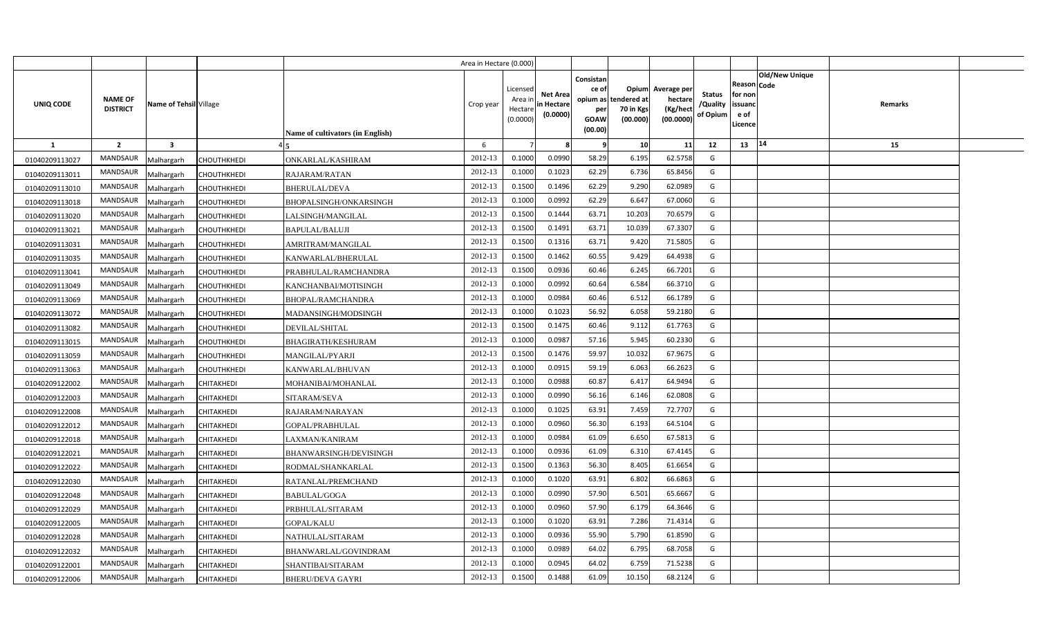|                  |                                   |                         |                    |                                  | Area in Hectare (0.000) |                                            |                                           |                                                     |                                                        |                                                 |                                       |                                                      |                |                |  |
|------------------|-----------------------------------|-------------------------|--------------------|----------------------------------|-------------------------|--------------------------------------------|-------------------------------------------|-----------------------------------------------------|--------------------------------------------------------|-------------------------------------------------|---------------------------------------|------------------------------------------------------|----------------|----------------|--|
| <b>UNIQ CODE</b> | <b>NAME OF</b><br><b>DISTRICT</b> | Name of Tehsil Village  |                    | Name of cultivators (in English) | Crop year               | Licensed<br>Area ir<br>Hectare<br>(0.0000) | <b>Net Area</b><br>in Hectare<br>(0.0000) | Consistan<br>ce of<br>per<br><b>GOAW</b><br>(00.00) | Opium<br>opium as tendered at<br>70 in Kgs<br>(00.000) | Average per<br>hectare<br>(Kg/hect<br>(00.0000) | <b>Status</b><br>/Quality<br>of Opium | Reason Code<br>for non<br>issuanc<br>e of<br>Licence | Old/New Unique | <b>Remarks</b> |  |
| 1                | $\overline{2}$                    | $\overline{\mathbf{3}}$ |                    |                                  | 6                       |                                            |                                           | - 9                                                 | 10                                                     | 11                                              | 12                                    | 13                                                   | 14             | 15             |  |
| 01040209113027   | <b>MANDSAUR</b>                   | Malhargarh              | <b>CHOUTHKHEDI</b> | ONKARLAL/KASHIRAM                | 2012-13                 | 0.1000                                     | 0.0990                                    | 58.29                                               | 6.195                                                  | 62.5758                                         | G                                     |                                                      |                |                |  |
| 01040209113011   | MANDSAUR                          | Malhargarh              | CHOUTHKHEDI        | RAJARAM/RATAN                    | 2012-13                 | 0.1000                                     | 0.1023                                    | 62.29                                               | 6.736                                                  | 65.8456                                         | G                                     |                                                      |                |                |  |
| 01040209113010   | MANDSAUR                          | Malhargarh              | <b>CHOUTHKHEDI</b> | <b>BHERULAL/DEVA</b>             | 2012-13                 | 0.1500                                     | 0.1496                                    | 62.29                                               | 9.290                                                  | 62.0989                                         | G                                     |                                                      |                |                |  |
| 01040209113018   | MANDSAUR                          | Malhargarh              | CHOUTHKHEDI        | BHOPALSINGH/ONKARSINGH           | 2012-13                 | 0.1000                                     | 0.0992                                    | 62.29                                               | 6.647                                                  | 67.0060                                         | G                                     |                                                      |                |                |  |
| 01040209113020   | MANDSAUR                          | Malhargarh              | CHOUTHKHEDI        | LALSINGH/MANGILAL                | 2012-13                 | 0.1500                                     | 0.1444                                    | 63.71                                               | 10.203                                                 | 70.6579                                         | G                                     |                                                      |                |                |  |
| 01040209113021   | MANDSAUR                          | Malhargarh              | CHOUTHKHEDI        | BAPULAL/BALUJI                   | 2012-13                 | 0.1500                                     | 0.1491                                    | 63.71                                               | 10.039                                                 | 67.3307                                         | G                                     |                                                      |                |                |  |
| 01040209113031   | MANDSAUR                          | Malhargarh              | CHOUTHKHEDI        | AMRITRAM/MANGILAL                | 2012-13                 | 0.1500                                     | 0.1316                                    | 63.71                                               | 9.420                                                  | 71.5805                                         | G                                     |                                                      |                |                |  |
| 01040209113035   | MANDSAUR                          | Malhargarh              | CHOUTHKHEDI        | KANWARLAL/BHERULAL               | 2012-13                 | 0.1500                                     | 0.1462                                    | 60.55                                               | 9.429                                                  | 64.4938                                         | G                                     |                                                      |                |                |  |
| 01040209113041   | MANDSAUR                          | Malhargarh              | <b>CHOUTHKHEDI</b> | PRABHULAL/RAMCHANDRA             | 2012-13                 | 0.1500                                     | 0.0936                                    | 60.46                                               | 6.245                                                  | 66.7201                                         | G                                     |                                                      |                |                |  |
| 01040209113049   | MANDSAUR                          | Malhargarh              | CHOUTHKHEDI        | KANCHANBAI/MOTISINGH             | 2012-13                 | 0.1000                                     | 0.0992                                    | 60.64                                               | 6.584                                                  | 66.3710                                         | G                                     |                                                      |                |                |  |
| 01040209113069   | MANDSAUR                          | Malhargarh              | CHOUTHKHEDI        | <b>BHOPAL/RAMCHANDRA</b>         | 2012-13                 | 0.1000                                     | 0.0984                                    | 60.46                                               | 6.512                                                  | 66.1789                                         | G                                     |                                                      |                |                |  |
| 01040209113072   | <b>MANDSAUR</b>                   | Malhargarh              | CHOUTHKHEDI        | MADANSINGH/MODSINGH              | 2012-13                 | 0.1000                                     | 0.1023                                    | 56.92                                               | 6.058                                                  | 59.2180                                         | G                                     |                                                      |                |                |  |
| 01040209113082   | MANDSAUR                          | Malhargarh              | CHOUTHKHEDI        | DEVILAL/SHITAL                   | 2012-13                 | 0.1500                                     | 0.1475                                    | 60.46                                               | 9.112                                                  | 61.7763                                         | G                                     |                                                      |                |                |  |
| 01040209113015   | <b>MANDSAUR</b>                   | Malhargarh              | CHOUTHKHEDI        | BHAGIRATH/KESHURAM               | 2012-13                 | 0.1000                                     | 0.0987                                    | 57.16                                               | 5.945                                                  | 60.2330                                         | G                                     |                                                      |                |                |  |
| 01040209113059   | MANDSAUR                          | Malhargarh              | CHOUTHKHEDI        | <b>MANGILAL/PYARJI</b>           | 2012-13                 | 0.1500                                     | 0.1476                                    | 59.97                                               | 10.032                                                 | 67.9675                                         | G                                     |                                                      |                |                |  |
| 01040209113063   | MANDSAUR                          | Malhargarh              | CHOUTHKHEDI        | KANWARLAL/BHUVAN                 | 2012-13                 | 0.1000                                     | 0.0915                                    | 59.19                                               | 6.063                                                  | 66.2623                                         | G                                     |                                                      |                |                |  |
| 01040209122002   | <b>MANDSAUR</b>                   | Malhargarh              | CHITAKHEDI         | MOHANIBAI/MOHANLAL               | 2012-13                 | 0.1000                                     | 0.0988                                    | 60.87                                               | 6.417                                                  | 64.9494                                         | G                                     |                                                      |                |                |  |
| 01040209122003   | MANDSAUR                          | Malhargarh              | CHITAKHEDI         | SITARAM/SEVA                     | 2012-13                 | 0.1000                                     | 0.0990                                    | 56.16                                               | 6.146                                                  | 62.0808                                         | G                                     |                                                      |                |                |  |
| 01040209122008   | <b>MANDSAUR</b>                   | Malhargarh              | CHITAKHEDI         | RAJARAM/NARAYAN                  | 2012-13                 | 0.1000                                     | 0.1025                                    | 63.91                                               | 7.459                                                  | 72.7707                                         | G                                     |                                                      |                |                |  |
| 01040209122012   | MANDSAUR                          | Malhargarh              | CHITAKHEDI         | GOPAL/PRABHULAL                  | 2012-13                 | 0.1000                                     | 0.0960                                    | 56.30                                               | 6.193                                                  | 64.5104                                         | G                                     |                                                      |                |                |  |
| 01040209122018   | <b>MANDSAUR</b>                   | Malhargarh              | CHITAKHEDI         | LAXMAN/KANIRAM                   | 2012-13                 | 0.1000                                     | 0.0984                                    | 61.09                                               | 6.650                                                  | 67.5813                                         | G                                     |                                                      |                |                |  |
| 01040209122021   | <b>MANDSAUR</b>                   | Malhargarh              | CHITAKHEDI         | BHANWARSINGH/DEVISINGH           | 2012-13                 | 0.1000                                     | 0.0936                                    | 61.09                                               | 6.310                                                  | 67.4145                                         | G                                     |                                                      |                |                |  |
| 01040209122022   | <b>MANDSAUR</b>                   | Malhargarh              | CHITAKHEDI         | RODMAL/SHANKARLAL                | 2012-13                 | 0.1500                                     | 0.1363                                    | 56.30                                               | 8.405                                                  | 61.6654                                         | G                                     |                                                      |                |                |  |
| 01040209122030   | MANDSAUR                          | Malhargarh              | CHITAKHEDI         | RATANLAL/PREMCHAND               | 2012-13                 | 0.1000                                     | 0.1020                                    | 63.91                                               | 6.802                                                  | 66.6863                                         | G                                     |                                                      |                |                |  |
| 01040209122048   | <b>MANDSAUR</b>                   | Malhargarh              | CHITAKHEDI         | BABULAL/GOGA                     | 2012-13                 | 0.1000                                     | 0.0990                                    | 57.90                                               | 6.501                                                  | 65.6667                                         | G                                     |                                                      |                |                |  |
| 01040209122029   | MANDSAUR                          | Malhargarh              | CHITAKHEDI         | PRBHULAL/SITARAM                 | 2012-13                 | 0.1000                                     | 0.0960                                    | 57.90                                               | 6.179                                                  | 64.3646                                         | G                                     |                                                      |                |                |  |
| 01040209122005   | MANDSAUR                          | Malhargarh              | CHITAKHEDI         | GOPAL/KALU                       | 2012-13                 | 0.1000                                     | 0.1020                                    | 63.91                                               | 7.286                                                  | 71.4314                                         | G                                     |                                                      |                |                |  |
| 01040209122028   | MANDSAUR                          | Malhargarh              | CHITAKHEDI         | NATHULAL/SITARAM                 | 2012-13                 | 0.1000                                     | 0.0936                                    | 55.90                                               | 5.790                                                  | 61.8590                                         | G                                     |                                                      |                |                |  |
| 01040209122032   | MANDSAUR                          | Malhargarh              | CHITAKHEDI         | BHANWARLAL/GOVINDRAM             | 2012-13                 | 0.1000                                     | 0.0989                                    | 64.02                                               | 6.795                                                  | 68.7058                                         | G                                     |                                                      |                |                |  |
| 01040209122001   | MANDSAUR                          | Malhargarh              | CHITAKHEDI         | SHANTIBAI/SITARAM                | 2012-13                 | 0.1000                                     | 0.0945                                    | 64.02                                               | 6.759                                                  | 71.5238                                         | G                                     |                                                      |                |                |  |
| 01040209122006   | MANDSAUR                          | Malhargarh              | <b>CHITAKHEDI</b>  | <b>BHERU/DEVA GAYRI</b>          | 2012-13                 | 0.1500                                     | 0.1488                                    | 61.09                                               | 10.150                                                 | 68.2124                                         | G                                     |                                                      |                |                |  |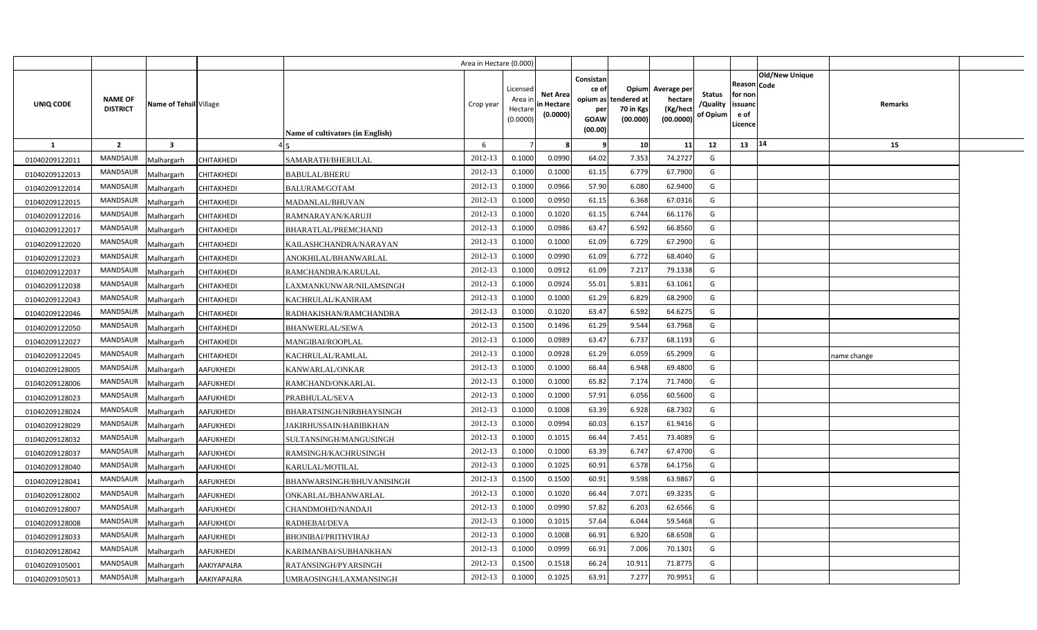|                  |                                   |                         |                    |                                  | Area in Hectare (0.000) |                                            |                                           |                                                     |                                                        |                                                 |                                       |                                                 |                               |             |  |
|------------------|-----------------------------------|-------------------------|--------------------|----------------------------------|-------------------------|--------------------------------------------|-------------------------------------------|-----------------------------------------------------|--------------------------------------------------------|-------------------------------------------------|---------------------------------------|-------------------------------------------------|-------------------------------|-------------|--|
| <b>UNIQ CODE</b> | <b>NAME OF</b><br><b>DISTRICT</b> | Name of Tehsil Village  |                    | Name of cultivators (in English) | Crop year               | Licensed<br>Area ir<br>Hectare<br>(0.0000) | <b>Net Area</b><br>in Hectare<br>(0.0000) | Consistan<br>ce of<br>per<br><b>GOAW</b><br>(00.00) | Opium<br>opium as tendered at<br>70 in Kgs<br>(00.000) | Average per<br>hectare<br>(Kg/hect<br>(00.0000) | <b>Status</b><br>/Quality<br>of Opium | Reason<br>for non<br>issuand<br>e of<br>Licence | <b>Old/New Unique</b><br>Code | Remarks     |  |
| 1                | $\overline{2}$                    | $\overline{\mathbf{3}}$ |                    |                                  | 6                       |                                            |                                           | <b>q</b>                                            | 10                                                     | 11                                              | 12                                    | 13                                              | 14                            | 15          |  |
| 01040209122011   | <b>MANDSAUR</b>                   | Malhargarh              | CHITAKHEDI         | SAMARATH/BHERULAL                | 2012-13                 | 0.1000                                     | 0.0990                                    | 64.02                                               | 7.353                                                  | 74.2727                                         | G                                     |                                                 |                               |             |  |
| 01040209122013   | MANDSAUR                          | Malhargarh              | <b>CHITAKHEDI</b>  | <b>BABULAL/BHERU</b>             | 2012-13                 | 0.1000                                     | 0.1000                                    | 61.15                                               | 6.779                                                  | 67.7900                                         | G                                     |                                                 |                               |             |  |
| 01040209122014   | MANDSAUR                          | Malhargarh              | CHITAKHEDI         | <b>BALURAM/GOTAM</b>             | 2012-13                 | 0.1000                                     | 0.0966                                    | 57.90                                               | 6.080                                                  | 62.9400                                         | G                                     |                                                 |                               |             |  |
| 01040209122015   | MANDSAUR                          | Malhargarh              | CHITAKHEDI         | MADANLAL/BHUVAN                  | 2012-13                 | 0.1000                                     | 0.0950                                    | 61.15                                               | 6.368                                                  | 67.0316                                         | G                                     |                                                 |                               |             |  |
| 01040209122016   | MANDSAUR                          | Malhargarh              | CHITAKHEDI         | RAMNARAYAN/KARUJI                | 2012-13                 | 0.1000                                     | 0.1020                                    | 61.15                                               | 6.744                                                  | 66.1176                                         | G                                     |                                                 |                               |             |  |
| 01040209122017   | MANDSAUR                          | Malhargarh              | CHITAKHEDI         | BHARATLAL/PREMCHAND              | 2012-13                 | 0.1000                                     | 0.0986                                    | 63.47                                               | 6.592                                                  | 66.8560                                         | G                                     |                                                 |                               |             |  |
| 01040209122020   | MANDSAUR                          | Malhargarh              | CHITAKHEDI         | KAILASHCHANDRA/NARAYAN           | 2012-13                 | 0.1000                                     | 0.1000                                    | 61.09                                               | 6.729                                                  | 67.2900                                         | G                                     |                                                 |                               |             |  |
| 01040209122023   | MANDSAUR                          | Malhargarh              | CHITAKHEDI         | ANOKHILAL/BHANWARLAL             | 2012-13                 | 0.100                                      | 0.0990                                    | 61.09                                               | 6.772                                                  | 68.4040                                         | G                                     |                                                 |                               |             |  |
| 01040209122037   | MANDSAUR                          | Malhargarh              | CHITAKHEDI         | RAMCHANDRA/KARULAL               | 2012-13                 | 0.1000                                     | 0.0912                                    | 61.09                                               | 7.217                                                  | 79.1338                                         | G                                     |                                                 |                               |             |  |
| 01040209122038   | MANDSAUR                          | Malhargarh              | CHITAKHEDI         | LAXMANKUNWAR/NILAMSINGH          | $2012 - 13$             | 0.100                                      | 0.0924                                    | 55.01                                               | 5.831                                                  | 63.1061                                         | G                                     |                                                 |                               |             |  |
| 01040209122043   | MANDSAUR                          | Malhargarh              | CHITAKHEDI         | KACHRULAL/KANIRAM                | 2012-13                 | 0.100                                      | 0.1000                                    | 61.29                                               | 6.829                                                  | 68.2900                                         | G                                     |                                                 |                               |             |  |
| 01040209122046   | <b>MANDSAUR</b>                   | Malhargarh              | CHITAKHEDI         | RADHAKISHAN/RAMCHANDRA           | 2012-13                 | 0.100                                      | 0.1020                                    | 63.47                                               | 6.592                                                  | 64.6275                                         | G                                     |                                                 |                               |             |  |
| 01040209122050   | MANDSAUR                          | Malhargarh              | CHITAKHEDI         | BHANWERLAL/SEWA                  | 2012-13                 | 0.1500                                     | 0.1496                                    | 61.29                                               | 9.544                                                  | 63.7968                                         | G                                     |                                                 |                               |             |  |
| 01040209122027   | <b>MANDSAUR</b>                   | Malhargarh              | CHITAKHEDI         | MANGIBAI/ROOPLAL                 | 2012-13                 | 0.1000                                     | 0.0989                                    | 63.47                                               | 6.737                                                  | 68.1193                                         | G                                     |                                                 |                               |             |  |
| 01040209122045   | MANDSAUR                          | Malhargarh              | CHITAKHEDI         | KACHRULAL/RAMLAL                 | 2012-13                 | 0.1000                                     | 0.0928                                    | 61.29                                               | 6.059                                                  | 65.2909                                         | G                                     |                                                 |                               | name change |  |
| 01040209128005   | MANDSAUR                          | Malhargarh              | <b>AAFUKHEDI</b>   | KANWARLAL/ONKAR                  | 2012-13                 | 0.1000                                     | 0.1000                                    | 66.44                                               | 6.948                                                  | 69.4800                                         | G                                     |                                                 |                               |             |  |
| 01040209128006   | <b>MANDSAUR</b>                   | Malhargarh              | AAFUKHEDI          | RAMCHAND/ONKARLAL                | 2012-13                 | 0.1000                                     | 0.1000                                    | 65.82                                               | 7.174                                                  | 71.7400                                         | G                                     |                                                 |                               |             |  |
| 01040209128023   | MANDSAUR                          | Malhargarh              | <b>AAFUKHEDI</b>   | PRABHULAL/SEVA                   | 2012-13                 | 0.1000                                     | 0.1000                                    | 57.91                                               | 6.056                                                  | 60.5600                                         | G                                     |                                                 |                               |             |  |
| 01040209128024   | <b>MANDSAUR</b>                   | Malhargarh              | <b>AAFUKHEDI</b>   | BHARATSINGH/NIRBHAYSINGH         | 2012-13                 | 0.1000                                     | 0.1008                                    | 63.39                                               | 6.928                                                  | 68.7302                                         | G                                     |                                                 |                               |             |  |
| 01040209128029   | MANDSAUR                          | Malhargarh              | <b>AAFUKHEDI</b>   | JAKIRHUSSAIN/HABIBKHAN           | 2012-13                 | 0.1000                                     | 0.0994                                    | 60.03                                               | 6.157                                                  | 61.9416                                         | G                                     |                                                 |                               |             |  |
| 01040209128032   | <b>MANDSAUR</b>                   | Malhargarh              | AAFUKHEDI          | SULTANSINGH/MANGUSINGH           | 2012-13                 | 0.1000                                     | 0.1015                                    | 66.44                                               | 7.451                                                  | 73.4089                                         | G                                     |                                                 |                               |             |  |
| 01040209128037   | <b>MANDSAUR</b>                   | Malhargarh              | AAFUKHEDI          | RAMSINGH/KACHRUSINGH             | 2012-13                 | 0.1000                                     | 0.1000                                    | 63.39                                               | 6.747                                                  | 67.4700                                         | G                                     |                                                 |                               |             |  |
| 01040209128040   | <b>MANDSAUR</b>                   | Malhargarh              | <b>AAFUKHEDI</b>   | KARULAL/MOTILAL                  | 2012-13                 | 0.1000                                     | 0.1025                                    | 60.91                                               | 6.578                                                  | 64.1756                                         | G                                     |                                                 |                               |             |  |
| 01040209128041   | MANDSAUR                          | Malhargarh              | AAFUKHEDI          | BHANWARSINGH/BHUVANISINGH        | 2012-13                 | 0.1500                                     | 0.1500                                    | 60.91                                               | 9.598                                                  | 63.9867                                         | G                                     |                                                 |                               |             |  |
| 01040209128002   | <b>MANDSAUR</b>                   | Malhargarh              | <b>AAFUKHEDI</b>   | ONKARLAL/BHANWARLAL              | 2012-13                 | 0.1000                                     | 0.1020                                    | 66.44                                               | 7.071                                                  | 69.3235                                         | G                                     |                                                 |                               |             |  |
| 01040209128007   | MANDSAUR                          | Malhargarh              | AAFUKHEDI          | CHANDMOHD/NANDAJI                | 2012-13                 | 0.1000                                     | 0.0990                                    | 57.82                                               | 6.203                                                  | 62.6566                                         | G                                     |                                                 |                               |             |  |
| 01040209128008   | MANDSAUR                          | Malhargarh              | AAFUKHEDI          | RADHEBAI/DEVA                    | 2012-13                 | 0.1000                                     | 0.1015                                    | 57.64                                               | 6.044                                                  | 59.5468                                         | G                                     |                                                 |                               |             |  |
| 01040209128033   | MANDSAUR                          | Malhargarh              | AAFUKHEDI          | <b>BHONIBAI/PRITHVIRAJ</b>       | 2012-13                 | 0.1000                                     | 0.1008                                    | 66.91                                               | 6.920                                                  | 68.6508                                         | G                                     |                                                 |                               |             |  |
| 01040209128042   | MANDSAUR                          | Malhargarh              | <b>AAFUKHEDI</b>   | KARIMANBAI/SUBHANKHAN            | 2012-13                 | 0.1000                                     | 0.0999                                    | 66.91                                               | 7.006                                                  | 70.1301                                         | G                                     |                                                 |                               |             |  |
| 01040209105001   | MANDSAUR                          | Malhargarh              | AAKIYAPALRA        | RATANSINGH/PYARSINGH             | 2012-13                 | 0.1500                                     | 0.1518                                    | 66.24                                               | 10.911                                                 | 71.8775                                         | G                                     |                                                 |                               |             |  |
| 01040209105013   | MANDSAUR                          | Malhargarh              | <b>AAKIYAPALRA</b> | UMRAOSINGH/LAXMANSINGH           | 2012-13                 | 0.100                                      | 0.1025                                    | 63.91                                               | 7.277                                                  | 70.9951                                         | G                                     |                                                 |                               |             |  |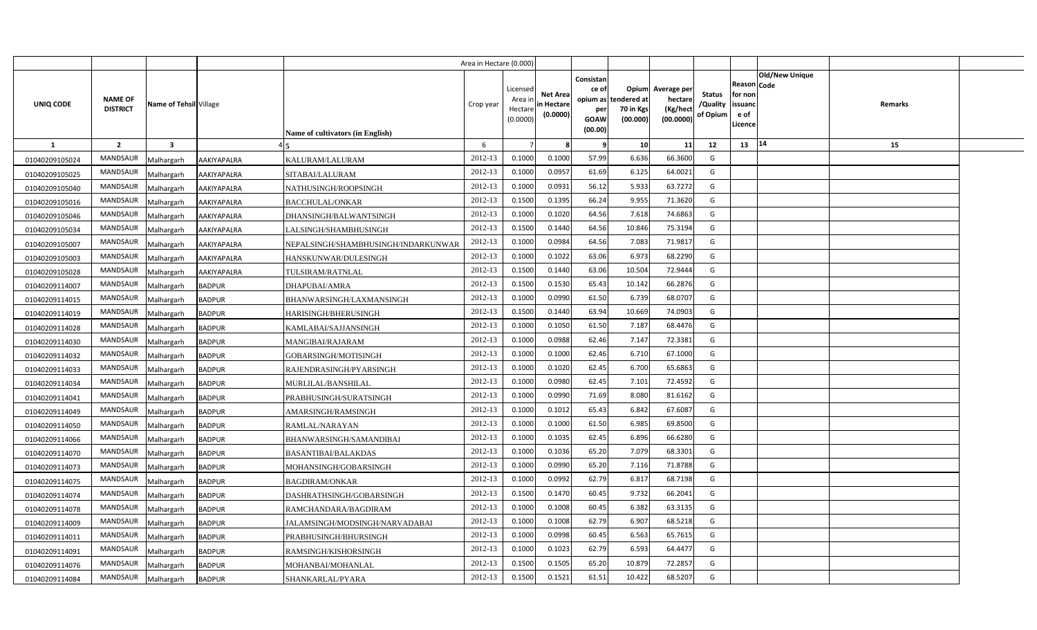|                |                                   |                         |               |                                     | Area in Hectare (0.000) |                                            |                                           |                                                     |                                                        |                                                 |                                       |                                                                               |         |  |
|----------------|-----------------------------------|-------------------------|---------------|-------------------------------------|-------------------------|--------------------------------------------|-------------------------------------------|-----------------------------------------------------|--------------------------------------------------------|-------------------------------------------------|---------------------------------------|-------------------------------------------------------------------------------|---------|--|
| UNIQ CODE      | <b>NAME OF</b><br><b>DISTRICT</b> | Name of Tehsil Village  |               | Name of cultivators (in English)    | Crop year               | Licensed<br>Area ir<br>Hectare<br>(0.0000) | <b>Net Area</b><br>in Hectare<br>(0.0000) | Consistan<br>ce of<br>per<br><b>GOAW</b><br>(00.00) | Opium<br>opium as tendered at<br>70 in Kgs<br>(00.000) | Average per<br>hectare<br>(Kg/hect<br>(00.0000) | <b>Status</b><br>/Quality<br>of Opium | <b>Old/New Unique</b><br>Reason Code<br>for non<br>issuanc<br>e of<br>Licence | Remarks |  |
| <b>1</b>       | $\overline{2}$                    | $\overline{\mathbf{3}}$ |               |                                     | 6                       |                                            | R                                         | - 9                                                 | 10                                                     | 11                                              | 12                                    | 14<br>13                                                                      | 15      |  |
| 01040209105024 | <b>MANDSAUR</b>                   | Malhargarh              | AAKIYAPALRA   | KALURAM/LALURAM                     | 2012-13                 | 0.1000                                     | 0.1000                                    | 57.99                                               | 6.636                                                  | 66.3600                                         | G                                     |                                                                               |         |  |
| 01040209105025 | MANDSAUR                          | Malhargarh              | AAKIYAPALRA   | SITABAI/LALURAM                     | 2012-13                 | 0.1000                                     | 0.0957                                    | 61.69                                               | 6.125                                                  | 64.002                                          | G                                     |                                                                               |         |  |
| 01040209105040 | MANDSAUR                          | Malhargarh              | AAKIYAPALRA   | NATHUSINGH/ROOPSINGH                | 2012-13                 | 0.1000                                     | 0.0931                                    | 56.12                                               | 5.933                                                  | 63.7272                                         | G                                     |                                                                               |         |  |
| 01040209105016 | MANDSAUR                          | Malhargarh              | AAKIYAPALRA   | <b>BACCHULAL/ONKAR</b>              | 2012-13                 | 0.1500                                     | 0.1395                                    | 66.24                                               | 9.955                                                  | 71.3620                                         | G                                     |                                                                               |         |  |
| 01040209105046 | MANDSAUR                          | Malhargarh              | AAKIYAPALRA   | DHANSINGH/BALWANTSINGH              | 2012-13                 | 0.1000                                     | 0.1020                                    | 64.56                                               | 7.618                                                  | 74.686                                          | G                                     |                                                                               |         |  |
| 01040209105034 | <b>MANDSAUR</b>                   | Malhargarh              | AAKIYAPALRA   | LALSINGH/SHAMBHUSINGH               | 2012-13                 | 0.1500                                     | 0.1440                                    | 64.56                                               | 10.846                                                 | 75.3194                                         | G                                     |                                                                               |         |  |
| 01040209105007 | MANDSAUR                          | Malhargarh              | AAKIYAPALRA   | NEPALSINGH/SHAMBHUSINGH/INDARKUNWAR | 2012-13                 | 0.1000                                     | 0.0984                                    | 64.56                                               | 7.083                                                  | 71.981                                          | G                                     |                                                                               |         |  |
| 01040209105003 | MANDSAUR                          | Malhargarh              | AAKIYAPALRA   | HANSKUNWAR/DULESINGH                | 2012-13                 | 0.1000                                     | 0.1022                                    | 63.06                                               | 6.973                                                  | 68.2290                                         | G                                     |                                                                               |         |  |
| 01040209105028 | MANDSAUR                          | Malhargarh              | AAKIYAPALRA   | TULSIRAM/RATNLAL                    | 2012-13                 | 0.1500                                     | 0.1440                                    | 63.06                                               | 10.504                                                 | 72.9444                                         | G                                     |                                                                               |         |  |
| 01040209114007 | MANDSAUR                          | Malhargarh              | <b>BADPUR</b> | DHAPUBAI/AMRA                       | 2012-13                 | 0.1500                                     | 0.1530                                    | 65.43                                               | 10.142                                                 | 66.287                                          | G                                     |                                                                               |         |  |
| 01040209114015 | MANDSAUR                          | Malhargarh              | <b>BADPUR</b> | BHANWARSINGH/LAXMANSINGH            | 2012-13                 | 0.1000                                     | 0.0990                                    | 61.50                                               | 6.739                                                  | 68.070                                          | G                                     |                                                                               |         |  |
| 01040209114019 | MANDSAUR                          | Malhargarh              | <b>BADPUR</b> | HARISINGH/BHERUSINGH                | 2012-13                 | 0.1500                                     | 0.1440                                    | 63.94                                               | 10.669                                                 | 74.0903                                         | G                                     |                                                                               |         |  |
| 01040209114028 | MANDSAUR                          | Malhargarh              | <b>BADPUR</b> | KAMLABAI/SAJJANSINGH                | 2012-13                 | 0.1000                                     | 0.1050                                    | 61.50                                               | 7.187                                                  | 68.4476                                         | G                                     |                                                                               |         |  |
| 01040209114030 | MANDSAUR                          | Malhargarh              | <b>BADPUR</b> | MANGIBAI/RAJARAM                    | 2012-13                 | 0.1000                                     | 0.0988                                    | 62.46                                               | 7.147                                                  | 72.3381                                         | G                                     |                                                                               |         |  |
| 01040209114032 | <b>MANDSAUR</b>                   | Malhargarh              | <b>BADPUR</b> | GOBARSINGH/MOTISINGH                | 2012-13                 | 0.1000                                     | 0.1000                                    | 62.46                                               | 6.710                                                  | 67.1000                                         | G                                     |                                                                               |         |  |
| 01040209114033 | MANDSAUR                          | Malhargarh              | <b>BADPUR</b> | RAJENDRASINGH/PYARSINGH             | 2012-13                 | 0.1000                                     | 0.1020                                    | 62.45                                               | 6.700                                                  | 65.6863                                         | G                                     |                                                                               |         |  |
| 01040209114034 | <b>MANDSAUR</b>                   | Malhargarh              | <b>BADPUR</b> | MURLILAL/BANSHILAL                  | 2012-13                 | 0.1000                                     | 0.0980                                    | 62.45                                               | 7.101                                                  | 72.4592                                         | G                                     |                                                                               |         |  |
| 01040209114041 | MANDSAUR                          | Malhargarh              | <b>BADPUR</b> | PRABHUSINGH/SURATSINGH              | 2012-13                 | 0.1000                                     | 0.0990                                    | 71.69                                               | 8.080                                                  | 81.6162                                         | G                                     |                                                                               |         |  |
| 01040209114049 | <b>MANDSAUR</b>                   | Malhargarh              | <b>BADPUR</b> | AMARSINGH/RAMSINGH                  | 2012-13                 | 0.1000                                     | 0.1012                                    | 65.43                                               | 6.842                                                  | 67.6087                                         | G                                     |                                                                               |         |  |
| 01040209114050 | <b>MANDSAUR</b>                   | Malhargarh              | <b>BADPUR</b> | RAMLAL/NARAYAN                      | 2012-13                 | 0.1000                                     | 0.1000                                    | 61.50                                               | 6.985                                                  | 69.8500                                         | G                                     |                                                                               |         |  |
| 01040209114066 | <b>MANDSAUR</b>                   | Malhargarh              | <b>BADPUR</b> | BHANWARSINGH/SAMANDIBAI             | 2012-13                 | 0.1000                                     | 0.1035                                    | 62.45                                               | 6.896                                                  | 66.6280                                         | G                                     |                                                                               |         |  |
| 01040209114070 | <b>MANDSAUR</b>                   | Malhargarh              | <b>BADPUR</b> | <b>BASANTIBAI/BALAKDAS</b>          | 2012-13                 | 0.1000                                     | 0.1036                                    | 65.20                                               | 7.079                                                  | 68.3301                                         | G                                     |                                                                               |         |  |
| 01040209114073 | MANDSAUR                          | Malhargarh              | <b>BADPUR</b> | MOHANSINGH/GOBARSINGH               | 2012-13                 | 0.1000                                     | 0.0990                                    | 65.20                                               | 7.116                                                  | 71.8788                                         | G                                     |                                                                               |         |  |
| 01040209114075 | <b>MANDSAUR</b>                   | Malhargarh              | <b>BADPUR</b> | <b>BAGDIRAM/ONKAR</b>               | 2012-13                 | 0.1000                                     | 0.0992                                    | 62.79                                               | 6.817                                                  | 68.7198                                         | G                                     |                                                                               |         |  |
| 01040209114074 | MANDSAUR                          | Malhargarh              | <b>BADPUR</b> | DASHRATHSINGH/GOBARSINGH            | 2012-13                 | 0.1500                                     | 0.1470                                    | 60.45                                               | 9.732                                                  | 66.2041                                         | G                                     |                                                                               |         |  |
| 01040209114078 | MANDSAUR                          | Malhargarh              | <b>BADPUR</b> | RAMCHANDARA/BAGDIRAM                | 2012-13                 | 0.1000                                     | 0.1008                                    | 60.45                                               | 6.382                                                  | 63.3135                                         | G                                     |                                                                               |         |  |
| 01040209114009 | MANDSAUR                          | Malhargarh              | <b>BADPUR</b> | JALAMSINGH/MODSINGH/NARVADABAI      | 2012-13                 | 0.1000                                     | 0.1008                                    | 62.79                                               | 6.907                                                  | 68.5218                                         | G                                     |                                                                               |         |  |
| 01040209114011 | <b>MANDSAUR</b>                   | Malhargarh              | <b>BADPUR</b> | PRABHUSINGH/BHURSINGH               | 2012-13                 | 0.1000                                     | 0.0998                                    | 60.45                                               | 6.563                                                  | 65.761                                          | G                                     |                                                                               |         |  |
| 01040209114091 | MANDSAUR                          | Malhargarh              | BADPUR        | RAMSINGH/KISHORSINGH                | 2012-13                 | 0.1000                                     | 0.1023                                    | 62.79                                               | 6.593                                                  | 64.447                                          | G                                     |                                                                               |         |  |
| 01040209114076 | MANDSAUR                          | Malhargarh              | <b>BADPUR</b> | MOHANBAI/MOHANLAL                   | 2012-13                 | 0.1500                                     | 0.1505                                    | 65.20                                               | 10.879                                                 | 72.285                                          | G                                     |                                                                               |         |  |
| 01040209114084 | MANDSAUR                          | Malhargarh              | <b>BADPUR</b> | SHANKARLAL/PYARA                    | 2012-13                 | 0.1500                                     | 0.1521                                    | 61.51                                               | 10.422                                                 | 68.520                                          | G                                     |                                                                               |         |  |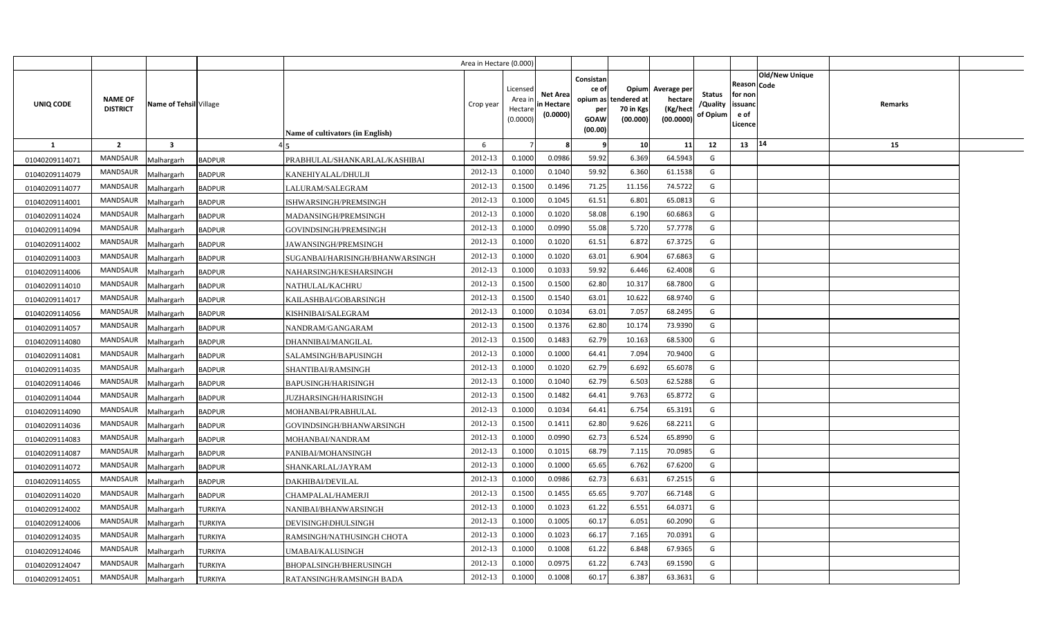|                |                                   |                         |                |                                  | Area in Hectare (0.000) |                                            |                                           |                                                                 |                                               |                                                 |                                       |                                                 |                               |         |  |
|----------------|-----------------------------------|-------------------------|----------------|----------------------------------|-------------------------|--------------------------------------------|-------------------------------------------|-----------------------------------------------------------------|-----------------------------------------------|-------------------------------------------------|---------------------------------------|-------------------------------------------------|-------------------------------|---------|--|
| UNIQ CODE      | <b>NAME OF</b><br><b>DISTRICT</b> | Name of Tehsil Village  |                | Name of cultivators (in English) | Crop year               | Licensed<br>Area in<br>Hectare<br>(0.0000) | <b>Net Area</b><br>in Hectare<br>(0.0000) | Consistan<br>ce of<br>opium as<br>per<br><b>GOAW</b><br>(00.00) | Opium<br>tendered at<br>70 in Kgs<br>(00.000) | Average per<br>hectare<br>(Kg/hect<br>(00.0000) | <b>Status</b><br>/Quality<br>of Opium | Reason<br>for non<br>issuand<br>e of<br>Licence | <b>Old/New Unique</b><br>Code | Remarks |  |
| 1              | $\overline{2}$                    | $\overline{\mathbf{3}}$ |                |                                  | 6                       |                                            |                                           |                                                                 | 10                                            | 11                                              | 12                                    | 13   14                                         |                               | 15      |  |
| 01040209114071 | <b>MANDSAUR</b>                   | Malhargarh              | <b>BADPUR</b>  | PRABHULAL/SHANKARLAL/KASHIBAI    | 2012-13                 | 0.1000                                     | 0.0986                                    | 59.92                                                           | 6.369                                         | 64.5943                                         | G                                     |                                                 |                               |         |  |
| 01040209114079 | <b>MANDSAUR</b>                   | Malhargarh              | <b>BADPUR</b>  | KANEHIYALAL/DHULJI               | 2012-13                 | 0.1000                                     | 0.1040                                    | 59.92                                                           | 6.360                                         | 61.1538                                         | G                                     |                                                 |                               |         |  |
| 01040209114077 | <b>MANDSAUR</b>                   | Malhargarh              | <b>BADPUR</b>  | LALURAM/SALEGRAM                 | 2012-13                 | 0.1500                                     | 0.1496                                    | 71.25                                                           | 11.156                                        | 74.5722                                         | G                                     |                                                 |                               |         |  |
| 01040209114001 | <b>MANDSAUR</b>                   | Malhargarh              | <b>BADPUR</b>  | ISHWARSINGH/PREMSINGH            | 2012-13                 | 0.1000                                     | 0.1045                                    | 61.51                                                           | 6.801                                         | 65.0813                                         | G                                     |                                                 |                               |         |  |
| 01040209114024 | <b>MANDSAUR</b>                   | Malhargarh              | <b>BADPUR</b>  | MADANSINGH/PREMSINGH             | 2012-13                 | 0.1000                                     | 0.1020                                    | 58.08                                                           | 6.190                                         | 60.6863                                         | G                                     |                                                 |                               |         |  |
| 01040209114094 | <b>MANDSAUR</b>                   | Malhargarh              | <b>BADPUR</b>  | GOVINDSINGH/PREMSINGH            | 2012-13                 | 0.1000                                     | 0.0990                                    | 55.08                                                           | 5.720                                         | 57.7778                                         | G                                     |                                                 |                               |         |  |
| 01040209114002 | <b>MANDSAUR</b>                   | Malhargarh              | <b>BADPUR</b>  | JAWANSINGH/PREMSINGH             | 2012-13                 | 0.1000                                     | 0.1020                                    | 61.51                                                           | 6.872                                         | 67.3725                                         | G                                     |                                                 |                               |         |  |
| 01040209114003 | <b>MANDSAUR</b>                   | Malhargarh              | <b>BADPUR</b>  | SUGANBAI/HARISINGH/BHANWARSINGH  | 2012-13                 | 0.1000                                     | 0.1020                                    | 63.01                                                           | 6.904                                         | 67.6863                                         | G                                     |                                                 |                               |         |  |
| 01040209114006 | MANDSAUR                          | Malhargarh              | <b>BADPUR</b>  | NAHARSINGH/KESHARSINGH           | 2012-13                 | 0.1000                                     | 0.1033                                    | 59.92                                                           | 6.446                                         | 62.4008                                         | G                                     |                                                 |                               |         |  |
| 01040209114010 | <b>MANDSAUR</b>                   | Malhargarh              | <b>BADPUR</b>  | NATHULAL/KACHRU                  | 2012-13                 | 0.1500                                     | 0.1500                                    | 62.80                                                           | 10.317                                        | 68.7800                                         | G                                     |                                                 |                               |         |  |
| 01040209114017 | <b>MANDSAUR</b>                   | Malhargarh              | <b>BADPUR</b>  | KAILASHBAI/GOBARSINGH            | 2012-13                 | 0.1500                                     | 0.1540                                    | 63.01                                                           | 10.622                                        | 68.9740                                         | G                                     |                                                 |                               |         |  |
| 01040209114056 | <b>MANDSAUR</b>                   | Malhargarh              | <b>BADPUR</b>  | KISHNIBAI/SALEGRAM               | 2012-13                 | 0.1000                                     | 0.1034                                    | 63.01                                                           | 7.057                                         | 68.2495                                         | G                                     |                                                 |                               |         |  |
| 01040209114057 | <b>MANDSAUR</b>                   | Malhargarh              | <b>BADPUR</b>  | NANDRAM/GANGARAM                 | 2012-13                 | 0.1500                                     | 0.1376                                    | 62.80                                                           | 10.174                                        | 73.9390                                         | G                                     |                                                 |                               |         |  |
| 01040209114080 | <b>MANDSAUR</b>                   | Malhargarh              | <b>BADPUR</b>  | DHANNIBAI/MANGILAL               | 2012-13                 | 0.1500                                     | 0.1483                                    | 62.79                                                           | 10.163                                        | 68.5300                                         | G                                     |                                                 |                               |         |  |
| 01040209114081 | <b>MANDSAUR</b>                   | Malhargarh              | <b>BADPUR</b>  | SALAMSINGH/BAPUSINGH             | 2012-13                 | 0.1000                                     | 0.1000                                    | 64.41                                                           | 7.094                                         | 70.9400                                         | G                                     |                                                 |                               |         |  |
| 01040209114035 | <b>MANDSAUR</b>                   | Malhargarh              | <b>BADPUR</b>  | SHANTIBAI/RAMSINGH               | 2012-13                 | 0.1000                                     | 0.1020                                    | 62.79                                                           | 6.692                                         | 65.6078                                         | G                                     |                                                 |                               |         |  |
| 01040209114046 | <b>MANDSAUR</b>                   | Malhargarh              | <b>BADPUR</b>  | <b>BAPUSINGH/HARISINGH</b>       | 2012-13                 | 0.1000                                     | 0.1040                                    | 62.79                                                           | 6.503                                         | 62.5288                                         | G                                     |                                                 |                               |         |  |
| 01040209114044 | <b>MANDSAUR</b>                   | Malhargarh              | <b>BADPUR</b>  | <b>JUZHARSINGH/HARISINGH</b>     | 2012-13                 | 0.1500                                     | 0.1482                                    | 64.41                                                           | 9.763                                         | 65.8772                                         | G                                     |                                                 |                               |         |  |
| 01040209114090 | <b>MANDSAUR</b>                   | Malhargarh              | <b>BADPUR</b>  | MOHANBAI/PRABHULAL               | 2012-13                 | 0.1000                                     | 0.1034                                    | 64.41                                                           | 6.754                                         | 65.3191                                         | G                                     |                                                 |                               |         |  |
| 01040209114036 | <b>MANDSAUR</b>                   | Malhargarh              | <b>BADPUR</b>  | GOVINDSINGH/BHANWARSINGH         | 2012-13                 | 0.1500                                     | 0.1411                                    | 62.80                                                           | 9.626                                         | 68.2211                                         | G                                     |                                                 |                               |         |  |
| 01040209114083 | <b>MANDSAUR</b>                   | Malhargarh              | <b>BADPUR</b>  | MOHANBAI/NANDRAM                 | 2012-13                 | 0.1000                                     | 0.0990                                    | 62.73                                                           | 6.524                                         | 65.8990                                         | G                                     |                                                 |                               |         |  |
| 01040209114087 | <b>MANDSAUR</b>                   | Malhargarh              | <b>BADPUR</b>  | PANIBAI/MOHANSINGH               | 2012-13                 | 0.1000                                     | 0.1015                                    | 68.79                                                           | 7.115                                         | 70.0985                                         | G                                     |                                                 |                               |         |  |
| 01040209114072 | MANDSAUR                          | Malhargarh              | <b>BADPUR</b>  | SHANKARLAL/JAYRAM                | 2012-13                 | 0.1000                                     | 0.1000                                    | 65.65                                                           | 6.762                                         | 67.6200                                         | G                                     |                                                 |                               |         |  |
| 01040209114055 | <b>MANDSAUR</b>                   | Malhargarh              | <b>BADPUR</b>  | DAKHIBAI/DEVILAL                 | 2012-13                 | 0.1000                                     | 0.0986                                    | 62.73                                                           | 6.631                                         | 67.2515                                         | G                                     |                                                 |                               |         |  |
| 01040209114020 | <b>MANDSAUR</b>                   | Malhargarh              | <b>BADPUR</b>  | CHAMPALAL/HAMERJI                | 2012-13                 | 0.1500                                     | 0.1455                                    | 65.65                                                           | 9.707                                         | 66.7148                                         | G                                     |                                                 |                               |         |  |
| 01040209124002 | <b>MANDSAUR</b>                   | Malhargarh              | TURKIYA        | NANIBAI/BHANWARSINGH             | 2012-13                 | 0.1000                                     | 0.1023                                    | 61.22                                                           | 6.551                                         | 64.0371                                         | G                                     |                                                 |                               |         |  |
| 01040209124006 | <b>MANDSAUR</b>                   | Malhargarh              | TURKIYA        | DEVISINGH\DHULSINGH              | 2012-13                 | 0.1000                                     | 0.1005                                    | 60.17                                                           | 6.051                                         | 60.2090                                         | G                                     |                                                 |                               |         |  |
| 01040209124035 | <b>MANDSAUR</b>                   | Malhargarh              | <b>TURKIYA</b> | RAMSINGH/NATHUSINGH CHOTA        | 2012-13                 | 0.1000                                     | 0.1023                                    | 66.17                                                           | 7.165                                         | 70.0391                                         | G                                     |                                                 |                               |         |  |
| 01040209124046 | <b>MANDSAUR</b>                   | Malhargarh              | <b>TURKIYA</b> | UMABAI/KALUSINGH                 | 2012-13                 | 0.1000                                     | 0.1008                                    | 61.22                                                           | 6.848                                         | 67.9365                                         | G                                     |                                                 |                               |         |  |
| 01040209124047 | <b>MANDSAUR</b>                   | Malhargarh              | TURKIYA        | BHOPALSINGH/BHERUSINGH           | 2012-13                 | 0.1000                                     | 0.0975                                    | 61.22                                                           | 6.743                                         | 69.1590                                         | G                                     |                                                 |                               |         |  |
| 01040209124051 | <b>MANDSAUR</b>                   | Malhargarh              | <b>TURKIYA</b> | RATANSINGH/RAMSINGH BADA         | 2012-13                 | 0.1000                                     | 0.1008                                    | 60.17                                                           | 6.387                                         | 63.3631                                         | G                                     |                                                 |                               |         |  |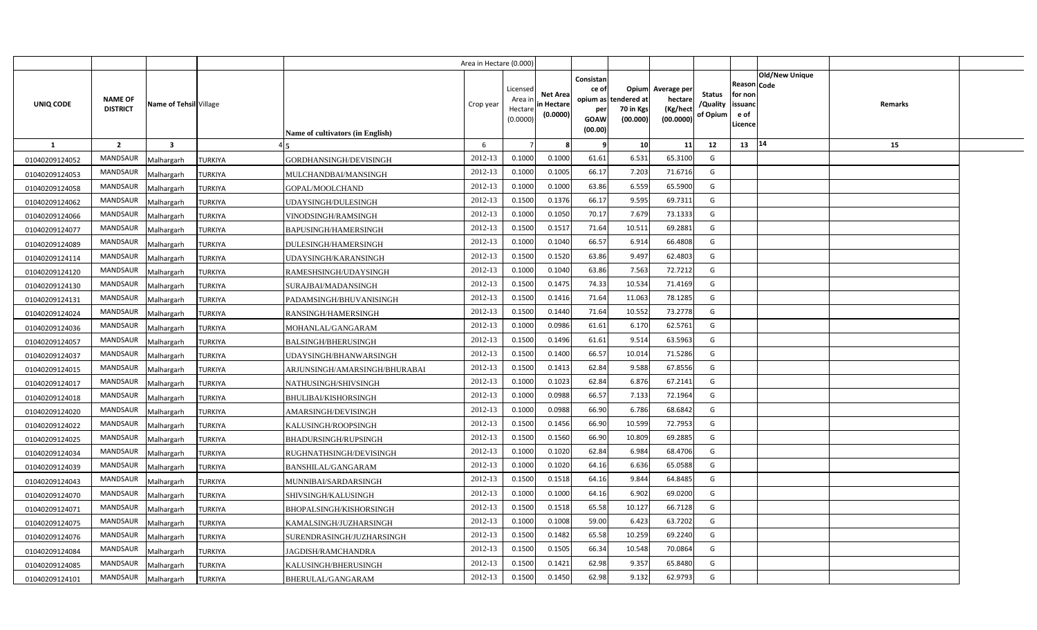|                |                                   |                         |                |                                  | Area in Hectare (0.000) |                                            |                                           |                                                          |                                               |                                                 |                                       |                                                 |                               |         |  |
|----------------|-----------------------------------|-------------------------|----------------|----------------------------------|-------------------------|--------------------------------------------|-------------------------------------------|----------------------------------------------------------|-----------------------------------------------|-------------------------------------------------|---------------------------------------|-------------------------------------------------|-------------------------------|---------|--|
| UNIQ CODE      | <b>NAME OF</b><br><b>DISTRICT</b> | Name of Tehsil Village  |                | Name of cultivators (in English) | Crop year               | Licensed<br>Area in<br>Hectare<br>(0.0000) | <b>Net Area</b><br>in Hectare<br>(0.0000) | Consistan<br>ce of<br>opium as<br>per<br>GOAW<br>(00.00) | Opium<br>tendered at<br>70 in Kgs<br>(00.000) | Average per<br>hectare<br>(Kg/hect<br>(00.0000) | <b>Status</b><br>/Quality<br>of Opium | Reason<br>for non<br>issuand<br>e of<br>Licence | <b>Old/New Unique</b><br>Code | Remarks |  |
| 1              | $\overline{2}$                    | $\overline{\mathbf{3}}$ |                |                                  | 6                       |                                            |                                           |                                                          | 10                                            | 11                                              | 12                                    | 13   14                                         |                               | 15      |  |
| 01040209124052 | <b>MANDSAUR</b>                   | Malhargarh              | <b>TURKIYA</b> | GORDHANSINGH/DEVISINGH           | 2012-13                 | 0.1000                                     | 0.1000                                    | 61.61                                                    | 6.531                                         | 65.3100                                         | G                                     |                                                 |                               |         |  |
| 01040209124053 | <b>MANDSAUR</b>                   | Malhargarh              | <b>TURKIYA</b> | MULCHANDBAI/MANSINGH             | 2012-13                 | 0.1000                                     | 0.1005                                    | 66.17                                                    | 7.203                                         | 71.6716                                         | G                                     |                                                 |                               |         |  |
| 01040209124058 | <b>MANDSAUR</b>                   | Malhargarh              | TURKIYA        | GOPAL/MOOLCHAND                  | 2012-13                 | 0.1000                                     | 0.1000                                    | 63.86                                                    | 6.559                                         | 65.5900                                         | G                                     |                                                 |                               |         |  |
| 01040209124062 | <b>MANDSAUR</b>                   | Malhargarh              | <b>TURKIYA</b> | UDAYSINGH/DULESINGH              | 2012-13                 | 0.1500                                     | 0.1376                                    | 66.17                                                    | 9.595                                         | 69.7311                                         | G                                     |                                                 |                               |         |  |
| 01040209124066 | <b>MANDSAUR</b>                   | Malhargarh              | <b>TURKIYA</b> | VINODSINGH/RAMSINGH              | 2012-13                 | 0.1000                                     | 0.1050                                    | 70.17                                                    | 7.679                                         | 73.1333                                         | G                                     |                                                 |                               |         |  |
| 01040209124077 | <b>MANDSAUR</b>                   | Malhargarh              | <b>TURKIYA</b> | BAPUSINGH/HAMERSINGH             | 2012-13                 | 0.1500                                     | 0.1517                                    | 71.64                                                    | 10.511                                        | 69.2881                                         | G                                     |                                                 |                               |         |  |
| 01040209124089 | <b>MANDSAUR</b>                   | Malhargarh              | <b>TURKIYA</b> | DULESINGH/HAMERSINGH             | 2012-13                 | 0.1000                                     | 0.1040                                    | 66.57                                                    | 6.914                                         | 66.4808                                         | G                                     |                                                 |                               |         |  |
| 01040209124114 | <b>MANDSAUR</b>                   | Malhargarh              | <b>TURKIYA</b> | UDAYSINGH/KARANSINGH             | 2012-13                 | 0.1500                                     | 0.1520                                    | 63.86                                                    | 9.497                                         | 62.4803                                         | G                                     |                                                 |                               |         |  |
| 01040209124120 | MANDSAUR                          | Malhargarh              | <b>TURKIYA</b> | RAMESHSINGH/UDAYSINGH            | 2012-13                 | 0.1000                                     | 0.1040                                    | 63.86                                                    | 7.563                                         | 72.7212                                         | G                                     |                                                 |                               |         |  |
| 01040209124130 | <b>MANDSAUR</b>                   | Malhargarh              | TURKIYA        | SURAJBAI/MADANSINGH              | 2012-13                 | 0.1500                                     | 0.1475                                    | 74.33                                                    | 10.534                                        | 71.4169                                         | G                                     |                                                 |                               |         |  |
| 01040209124131 | <b>MANDSAUR</b>                   | Malhargarh              | TURKIYA        | PADAMSINGH/BHUVANISINGH          | 2012-13                 | 0.1500                                     | 0.1416                                    | 71.64                                                    | 11.063                                        | 78.1285                                         | G                                     |                                                 |                               |         |  |
| 01040209124024 | <b>MANDSAUR</b>                   | Malhargarh              | TURKIYA        | RANSINGH/HAMERSINGH              | 2012-13                 | 0.1500                                     | 0.1440                                    | 71.64                                                    | 10.552                                        | 73.2778                                         | G                                     |                                                 |                               |         |  |
| 01040209124036 | <b>MANDSAUR</b>                   | Malhargarh              | <b>TURKIYA</b> | MOHANLAL/GANGARAM                | 2012-13                 | 0.1000                                     | 0.0986                                    | 61.61                                                    | 6.170                                         | 62.5761                                         | G                                     |                                                 |                               |         |  |
| 01040209124057 | <b>MANDSAUR</b>                   | Malhargarh              | TURKIYA        | <b>BALSINGH/BHERUSINGH</b>       | 2012-13                 | 0.1500                                     | 0.1496                                    | 61.61                                                    | 9.514                                         | 63.5963                                         | G                                     |                                                 |                               |         |  |
| 01040209124037 | <b>MANDSAUR</b>                   | Malhargarh              | TURKIYA        | UDAYSINGH/BHANWARSINGH           | 2012-13                 | 0.1500                                     | 0.1400                                    | 66.57                                                    | 10.014                                        | 71.5286                                         | G                                     |                                                 |                               |         |  |
| 01040209124015 | <b>MANDSAUR</b>                   | Malhargarh              | <b>TURKIYA</b> | ARJUNSINGH/AMARSINGH/BHURABAI    | 2012-13                 | 0.1500                                     | 0.1413                                    | 62.84                                                    | 9.588                                         | 67.8556                                         | G                                     |                                                 |                               |         |  |
| 01040209124017 | <b>MANDSAUR</b>                   | Malhargarh              | <b>TURKIYA</b> | NATHUSINGH/SHIVSINGH             | 2012-13                 | 0.1000                                     | 0.1023                                    | 62.84                                                    | 6.876                                         | 67.2141                                         | G                                     |                                                 |                               |         |  |
| 01040209124018 | <b>MANDSAUR</b>                   | Malhargarh              | <b>TURKIYA</b> | BHULIBAI/KISHORSINGH             | 2012-13                 | 0.1000                                     | 0.0988                                    | 66.57                                                    | 7.133                                         | 72.1964                                         | G                                     |                                                 |                               |         |  |
| 01040209124020 | <b>MANDSAUR</b>                   | Malhargarh              | <b>TURKIYA</b> | AMARSINGH/DEVISINGH              | 2012-13                 | 0.1000                                     | 0.0988                                    | 66.90                                                    | 6.786                                         | 68.6842                                         | G                                     |                                                 |                               |         |  |
| 01040209124022 | <b>MANDSAUR</b>                   | Malhargarh              | <b>TURKIYA</b> | KALUSINGH/ROOPSINGH              | 2012-13                 | 0.1500                                     | 0.1456                                    | 66.90                                                    | 10.599                                        | 72.7953                                         | G                                     |                                                 |                               |         |  |
| 01040209124025 | <b>MANDSAUR</b>                   | Malhargarh              | TURKIYA        | BHADURSINGH/RUPSINGH             | 2012-13                 | 0.1500                                     | 0.1560                                    | 66.90                                                    | 10.809                                        | 69.2885                                         | G                                     |                                                 |                               |         |  |
| 01040209124034 | <b>MANDSAUR</b>                   | Malhargarh              | TURKIYA        | RUGHNATHSINGH/DEVISINGH          | 2012-13                 | 0.1000                                     | 0.1020                                    | 62.84                                                    | 6.984                                         | 68.4706                                         | G                                     |                                                 |                               |         |  |
| 01040209124039 | MANDSAUR                          | Malhargarh              | TURKIYA        | BANSHILAL/GANGARAM               | 2012-13                 | 0.1000                                     | 0.1020                                    | 64.16                                                    | 6.636                                         | 65.0588                                         | G                                     |                                                 |                               |         |  |
| 01040209124043 | <b>MANDSAUR</b>                   | Malhargarh              | TURKIYA        | MUNNIBAI/SARDARSINGH             | 2012-13                 | 0.1500                                     | 0.1518                                    | 64.16                                                    | 9.844                                         | 64.8485                                         | G                                     |                                                 |                               |         |  |
| 01040209124070 | <b>MANDSAUR</b>                   | Malhargarh              | TURKIYA        | SHIVSINGH/KALUSINGH              | 2012-13                 | 0.1000                                     | 0.1000                                    | 64.16                                                    | 6.902                                         | 69.0200                                         | G                                     |                                                 |                               |         |  |
| 01040209124071 | <b>MANDSAUR</b>                   | Malhargarh              | TURKIYA        | BHOPALSINGH/KISHORSINGH          | 2012-13                 | 0.1500                                     | 0.1518                                    | 65.58                                                    | 10.127                                        | 66.7128                                         | G                                     |                                                 |                               |         |  |
| 01040209124075 | <b>MANDSAUR</b>                   | Malhargarh              | TURKIYA        | KAMALSINGH/JUZHARSINGH           | 2012-13                 | 0.1000                                     | 0.1008                                    | 59.00                                                    | 6.423                                         | 63.7202                                         | G                                     |                                                 |                               |         |  |
| 01040209124076 | <b>MANDSAUR</b>                   | Malhargarh              | <b>TURKIYA</b> | SURENDRASINGH/JUZHARSINGH        | 2012-13                 | 0.1500                                     | 0.1482                                    | 65.58                                                    | 10.259                                        | 69.2240                                         | G                                     |                                                 |                               |         |  |
| 01040209124084 | <b>MANDSAUR</b>                   | Malhargarh              | <b>TURKIYA</b> | JAGDISH/RAMCHANDRA               | 2012-13                 | 0.1500                                     | 0.1505                                    | 66.34                                                    | 10.548                                        | 70.0864                                         | G                                     |                                                 |                               |         |  |
| 01040209124085 | <b>MANDSAUR</b>                   | Malhargarh              | TURKIYA        | KALUSINGH/BHERUSINGH             | 2012-13                 | 0.1500                                     | 0.1421                                    | 62.98                                                    | 9.357                                         | 65.8480                                         | G                                     |                                                 |                               |         |  |
| 01040209124101 | <b>MANDSAUR</b>                   | Malhargarh              | <b>TURKIYA</b> | BHERULAL/GANGARAM                | 2012-13                 | 0.1500                                     | 0.1450                                    | 62.98                                                    | 9.132                                         | 62.9793                                         | G                                     |                                                 |                               |         |  |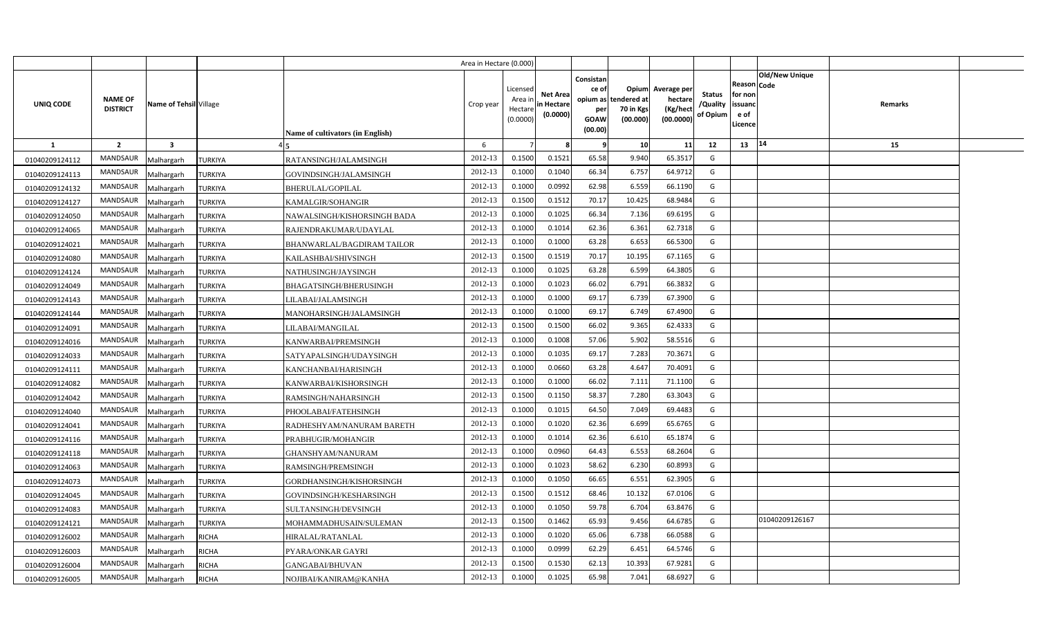|                |                                   |                         |                |                                         | Area in Hectare (0.000) |                                            |                                           |                                                                 |                                               |                                                 |                                       |                                                 |                               |         |  |
|----------------|-----------------------------------|-------------------------|----------------|-----------------------------------------|-------------------------|--------------------------------------------|-------------------------------------------|-----------------------------------------------------------------|-----------------------------------------------|-------------------------------------------------|---------------------------------------|-------------------------------------------------|-------------------------------|---------|--|
| UNIQ CODE      | <b>NAME OF</b><br><b>DISTRICT</b> | Name of Tehsil Village  |                | <b>Name of cultivators (in English)</b> | Crop year               | Licensed<br>Area ir<br>Hectare<br>(0.0000) | <b>Net Area</b><br>in Hectare<br>(0.0000) | Consistan<br>ce of<br>opium as<br>per<br><b>GOAW</b><br>(00.00) | Opium<br>tendered at<br>70 in Kgs<br>(00.000) | Average per<br>hectare<br>(Kg/hect<br>(00.0000) | <b>Status</b><br>/Quality<br>of Opium | Reason<br>for non<br>issuano<br>e of<br>Licence | <b>Old/New Unique</b><br>Code | Remarks |  |
| <b>1</b>       | $\overline{2}$                    | $\overline{\mathbf{3}}$ |                |                                         | 6                       |                                            |                                           |                                                                 | 10                                            | 11                                              | 12                                    | 13                                              | 14                            | 15      |  |
| 01040209124112 | <b>MANDSAUR</b>                   | Malhargarh              | <b>TURKIYA</b> | RATANSINGH/JALAMSINGH                   | 2012-13                 | 0.1500                                     | 0.1521                                    | 65.58                                                           | 9.940                                         | 65.3517                                         | G                                     |                                                 |                               |         |  |
| 01040209124113 | <b>MANDSAUR</b>                   | Malhargarh              | TURKIYA        | GOVINDSINGH/JALAMSINGH                  | 2012-13                 | 0.1000                                     | 0.1040                                    | 66.34                                                           | 6.757                                         | 64.9712                                         | G                                     |                                                 |                               |         |  |
| 01040209124132 | MANDSAUR                          | Malhargarh              | <b>TURKIYA</b> | <b>BHERULAL/GOPILAL</b>                 | 2012-13                 | 0.1000                                     | 0.0992                                    | 62.98                                                           | 6.559                                         | 66.1190                                         | G                                     |                                                 |                               |         |  |
| 01040209124127 | MANDSAUR                          | Malhargarh              | TURKIYA        | KAMALGIR/SOHANGIR                       | 2012-13                 | 0.1500                                     | 0.151                                     | 70.17                                                           | 10.425                                        | 68.9484                                         | G                                     |                                                 |                               |         |  |
| 01040209124050 | MANDSAUR                          | Malhargarh              | <b>TURKIYA</b> | NAWALSINGH/KISHORSINGH BADA             | 2012-13                 | 0.1000                                     | 0.102!                                    | 66.34                                                           | 7.136                                         | 69.6195                                         | G                                     |                                                 |                               |         |  |
| 01040209124065 | <b>MANDSAUR</b>                   | Malhargarh              | <b>TURKIYA</b> | RAJENDRAKUMAR/UDAYLAL                   | 2012-13                 | 0.100(                                     | 0.101                                     | 62.36                                                           | 6.361                                         | 62.7318                                         | G                                     |                                                 |                               |         |  |
| 01040209124021 | MANDSAUR                          | Malhargarh              | TURKIYA        | BHANWARLAL/BAGDIRAM TAILOR              | 2012-13                 | 0.1000                                     | 0.1000                                    | 63.28                                                           | 6.653                                         | 66.5300                                         | G                                     |                                                 |                               |         |  |
| 01040209124080 | <b>MANDSAUR</b>                   | Malhargarh              | TURKIYA        | KAILASHBAI/SHIVSINGH                    | 2012-13                 | 0.1500                                     | 0.1519                                    | 70.17                                                           | 10.195                                        | 67.1165                                         | G                                     |                                                 |                               |         |  |
| 01040209124124 | MANDSAUR                          | Malhargarh              | TURKIYA        | NATHUSINGH/JAYSINGH                     | 2012-13                 | 0.1000                                     | 0.1025                                    | 63.28                                                           | 6.599                                         | 64.3805                                         | G                                     |                                                 |                               |         |  |
| 01040209124049 | MANDSAUR                          | Malhargarh              | <b>TURKIYA</b> | BHAGATSINGH/BHERUSINGH                  | 2012-13                 | 0.1000                                     | 0.1023                                    | 66.02                                                           | 6.791                                         | 66.3832                                         | G                                     |                                                 |                               |         |  |
| 01040209124143 | <b>MANDSAUR</b>                   | Malhargarh              | TURKIYA        | LILABAI/JALAMSINGH                      | 2012-13                 | 0.1000                                     | 0.1000                                    | 69.17                                                           | 6.739                                         | 67.3900                                         | G                                     |                                                 |                               |         |  |
| 01040209124144 | <b>MANDSAUR</b>                   | Malhargarh              | <b>TURKIYA</b> | MANOHARSINGH/JALAMSINGH                 | 2012-13                 | 0.1000                                     | 0.1000                                    | 69.17                                                           | 6.749                                         | 67.4900                                         | G                                     |                                                 |                               |         |  |
| 01040209124091 | <b>MANDSAUR</b>                   | Malhargarh              | TURKIYA        | LILABAI/MANGILAL                        | 2012-13                 | 0.1500                                     | 0.1500                                    | 66.02                                                           | 9.365                                         | 62.4333                                         | G                                     |                                                 |                               |         |  |
| 01040209124016 | <b>MANDSAUR</b>                   | Malhargarh              | TURKIYA        | KANWARBAI/PREMSINGH                     | 2012-13                 | 0.1000                                     | 0.1008                                    | 57.06                                                           | 5.902                                         | 58.5516                                         | G                                     |                                                 |                               |         |  |
| 01040209124033 | MANDSAUR                          | Malhargarh              | TURKIYA        | SATYAPALSINGH/UDAYSINGH                 | 2012-13                 | 0.1000                                     | 0.1035                                    | 69.17                                                           | 7.283                                         | 70.3671                                         | G                                     |                                                 |                               |         |  |
| 01040209124111 | <b>MANDSAUR</b>                   | Malhargarh              | TURKIYA        | KANCHANBAI/HARISINGH                    | 2012-13                 | 0.1000                                     | 0.0660                                    | 63.28                                                           | 4.647                                         | 70.4091                                         | G                                     |                                                 |                               |         |  |
| 01040209124082 | MANDSAUR                          | Malhargarh              | TURKIYA        | KANWARBAI/KISHORSINGH                   | 2012-13                 | 0.1000                                     | 0.1000                                    | 66.02                                                           | 7.111                                         | 71.1100                                         | G                                     |                                                 |                               |         |  |
| 01040209124042 | <b>MANDSAUR</b>                   | Malhargarh              | TURKIYA        | RAMSINGH/NAHARSINGH                     | 2012-13                 | 0.1500                                     | 0.1150                                    | 58.37                                                           | 7.280                                         | 63.3043                                         | G                                     |                                                 |                               |         |  |
| 01040209124040 | <b>MANDSAUR</b>                   | Malhargarh              | TURKIYA        | PHOOLABAI/FATEHSINGH                    | 2012-13                 | 0.1000                                     | 0.101!                                    | 64.50                                                           | 7.049                                         | 69.4483                                         | G                                     |                                                 |                               |         |  |
| 01040209124041 | <b>MANDSAUR</b>                   | Malhargarh              | <b>TURKIYA</b> | RADHESHYAM/NANURAM BARETH               | 2012-13                 | 0.1000                                     | 0.1020                                    | 62.36                                                           | 6.699                                         | 65.6765                                         | G                                     |                                                 |                               |         |  |
| 01040209124116 | <b>MANDSAUR</b>                   | Malhargarh              | TURKIYA        | PRABHUGIR/MOHANGIR                      | 2012-13                 | 0.1000                                     | 0.101                                     | 62.36                                                           | 6.610                                         | 65.1874                                         | G                                     |                                                 |                               |         |  |
| 01040209124118 | <b>MANDSAUR</b>                   | Malhargarh              | TURKIYA        | GHANSHYAM/NANURAM                       | 2012-13                 | 0.1000                                     | 0.0960                                    | 64.43                                                           | 6.553                                         | 68.2604                                         | G                                     |                                                 |                               |         |  |
| 01040209124063 | <b>MANDSAUR</b>                   | Malhargarh              | TURKIYA        | RAMSINGH/PREMSINGH                      | 2012-13                 | 0.1000                                     | 0.1023                                    | 58.62                                                           | 6.230                                         | 60.8993                                         | G                                     |                                                 |                               |         |  |
| 01040209124073 | <b>MANDSAUR</b>                   | Malhargarh              | TURKIYA        | GORDHANSINGH/KISHORSINGH                | 2012-13                 | 0.1000                                     | 0.1050                                    | 66.65                                                           | 6.551                                         | 62.3905                                         | G                                     |                                                 |                               |         |  |
| 01040209124045 | <b>MANDSAUR</b>                   | Malhargarh              | TURKIYA        | GOVINDSINGH/KESHARSINGH                 | 2012-13                 | 0.1500                                     | 0.1512                                    | 68.46                                                           | 10.132                                        | 67.0106                                         | G                                     |                                                 |                               |         |  |
| 01040209124083 | <b>MANDSAUR</b>                   | Malhargarh              | TURKIYA        | SULTANSINGH/DEVSINGH                    | 2012-13                 | 0.1000                                     | 0.1050                                    | 59.78                                                           | 6.704                                         | 63.8476                                         | G                                     |                                                 |                               |         |  |
| 01040209124121 | <b>MANDSAUR</b>                   | Malhargarh              | <b>TURKIYA</b> | MOHAMMADHUSAIN/SULEMAN                  | 2012-13                 | 0.1500                                     | 0.1462                                    | 65.93                                                           | 9.456                                         | 64.6785                                         | G                                     |                                                 | 01040209126167                |         |  |
| 01040209126002 | <b>MANDSAUR</b>                   | Malhargarh              | RICHA          | HIRALAL/RATANLAL                        | 2012-13                 | 0.1000                                     | 0.1020                                    | 65.06                                                           | 6.738                                         | 66.0588                                         | G                                     |                                                 |                               |         |  |
| 01040209126003 | <b>MANDSAUR</b>                   | Malhargarh              | <b>RICHA</b>   | PYARA/ONKAR GAYRI                       | 2012-13                 | 0.1000                                     | 0.0999                                    | 62.29                                                           | 6.451                                         | 64.5746                                         | G                                     |                                                 |                               |         |  |
| 01040209126004 | <b>MANDSAUR</b>                   | Malhargarh              | RICHA          | GANGABAI/BHUVAN                         | 2012-13                 | 0.1500                                     | 0.1530                                    | 62.13                                                           | 10.393                                        | 67.9281                                         | G                                     |                                                 |                               |         |  |
| 01040209126005 | MANDSAUR                          | Malhargarh              | <b>RICHA</b>   | NOJIBAI/KANIRAM@KANHA                   | 2012-13                 | 0.1000                                     | 0.1025                                    | 65.98                                                           | 7.041                                         | 68.6927                                         | G                                     |                                                 |                               |         |  |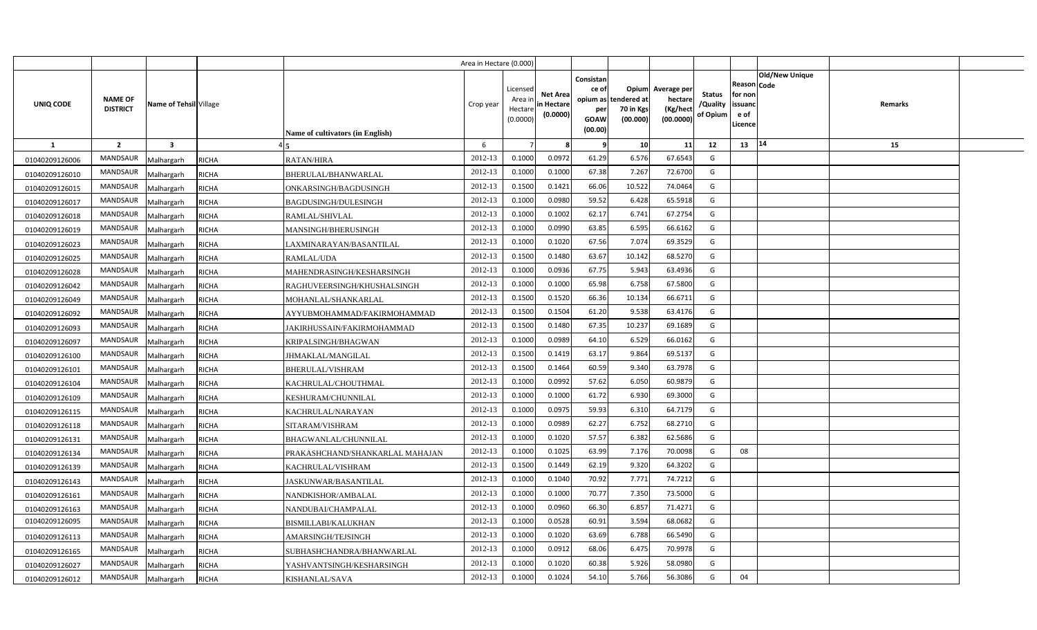|                |                                   |                         |              |                                  | Area in Hectare (0.000) |                                            |                                           |                                                          |                                                      |                                                 |                                       |                                                      |                       |         |  |
|----------------|-----------------------------------|-------------------------|--------------|----------------------------------|-------------------------|--------------------------------------------|-------------------------------------------|----------------------------------------------------------|------------------------------------------------------|-------------------------------------------------|---------------------------------------|------------------------------------------------------|-----------------------|---------|--|
| UNIQ CODE      | <b>NAME OF</b><br><b>DISTRICT</b> | Name of Tehsil Village  |              | Name of cultivators (in English) | Crop year               | Licensed<br>Area in<br>Hectare<br>(0.0000) | <b>Net Area</b><br>in Hectare<br>(0.0000) | Consistan<br>ce of<br>opium as<br>per<br>GOAW<br>(00.00) | <b>Opium</b><br>tendered at<br>70 in Kgs<br>(00.000) | Average per<br>hectare<br>(Kg/hect<br>(00.0000) | <b>Status</b><br>/Quality<br>of Opium | Reason Code<br>for non<br>issuand<br>e of<br>Licence | <b>Old/New Unique</b> | Remarks |  |
| $\mathbf{1}$   | $\overline{2}$                    | $\overline{\mathbf{3}}$ |              |                                  | 6                       |                                            |                                           |                                                          | 10 <sup>1</sup>                                      | 11                                              | 12                                    | 13   14                                              |                       | 15      |  |
| 01040209126006 | <b>MANDSAUR</b>                   | Malhargarh              | <b>RICHA</b> | <b>RATAN/HIRA</b>                | 2012-13                 | 0.1000                                     | 0.0972                                    | 61.29                                                    | 6.576                                                | 67.6543                                         | G                                     |                                                      |                       |         |  |
| 01040209126010 | <b>MANDSAUR</b>                   | Malhargarh              | <b>RICHA</b> | BHERULAL/BHANWARLAL              | 2012-13                 | 0.1000                                     | 0.1000                                    | 67.38                                                    | 7.267                                                | 72.6700                                         | G                                     |                                                      |                       |         |  |
| 01040209126015 | <b>MANDSAUR</b>                   | Malhargarh              | <b>RICHA</b> | ONKARSINGH/BAGDUSINGH            | 2012-13                 | 0.1500                                     | 0.1421                                    | 66.06                                                    | 10.522                                               | 74.0464                                         | G                                     |                                                      |                       |         |  |
| 01040209126017 | <b>MANDSAUR</b>                   | Malhargarh              | <b>RICHA</b> | BAGDUSINGH/DULESINGH             | 2012-13                 | 0.1000                                     | 0.0980                                    | 59.52                                                    | 6.428                                                | 65.5918                                         | G                                     |                                                      |                       |         |  |
| 01040209126018 | <b>MANDSAUR</b>                   | Malhargarh              | <b>RICHA</b> | RAMLAL/SHIVLAL                   | 2012-13                 | 0.1000                                     | 0.1002                                    | 62.17                                                    | 6.741                                                | 67.2754                                         | G                                     |                                                      |                       |         |  |
| 01040209126019 | <b>MANDSAUR</b>                   | Malhargarh              | <b>RICHA</b> | MANSINGH/BHERUSINGH              | 2012-13                 | 0.1000                                     | 0.0990                                    | 63.85                                                    | 6.595                                                | 66.6162                                         | G                                     |                                                      |                       |         |  |
| 01040209126023 | <b>MANDSAUR</b>                   | Malhargarh              | <b>RICHA</b> | LAXMINARAYAN/BASANTILAL          | 2012-13                 | 0.1000                                     | 0.1020                                    | 67.56                                                    | 7.074                                                | 69.3529                                         | G                                     |                                                      |                       |         |  |
| 01040209126025 | <b>MANDSAUR</b>                   | Malhargarh              | <b>RICHA</b> | RAMLAL/UDA                       | 2012-13                 | 0.1500                                     | 0.1480                                    | 63.67                                                    | 10.142                                               | 68.5270                                         | G                                     |                                                      |                       |         |  |
| 01040209126028 | <b>MANDSAUR</b>                   | Malhargarh              | <b>RICHA</b> | MAHENDRASINGH/KESHARSINGH        | 2012-13                 | 0.1000                                     | 0.0936                                    | 67.75                                                    | 5.943                                                | 63.4936                                         | G                                     |                                                      |                       |         |  |
| 01040209126042 | <b>MANDSAUR</b>                   | Malhargarh              | <b>RICHA</b> | RAGHUVEERSINGH/KHUSHALSINGH      | 2012-13                 | 0.1000                                     | 0.1000                                    | 65.98                                                    | 6.758                                                | 67.5800                                         | G                                     |                                                      |                       |         |  |
| 01040209126049 | <b>MANDSAUR</b>                   | Malhargarh              | <b>RICHA</b> | MOHANLAL/SHANKARLAL              | 2012-13                 | 0.1500                                     | 0.1520                                    | 66.36                                                    | 10.134                                               | 66.6711                                         | G                                     |                                                      |                       |         |  |
| 01040209126092 | <b>MANDSAUR</b>                   | Malhargarh              | <b>RICHA</b> | AYYUBMOHAMMAD/FAKIRMOHAMMAD      | 2012-13                 | 0.1500                                     | 0.1504                                    | 61.20                                                    | 9.538                                                | 63.4176                                         | G                                     |                                                      |                       |         |  |
| 01040209126093 | <b>MANDSAUR</b>                   | Malhargarh              | <b>RICHA</b> | JAKIRHUSSAIN/FAKIRMOHAMMAD       | 2012-13                 | 0.1500                                     | 0.1480                                    | 67.35                                                    | 10.237                                               | 69.1689                                         | G                                     |                                                      |                       |         |  |
| 01040209126097 | <b>MANDSAUR</b>                   | Malhargarh              | <b>RICHA</b> | KRIPALSINGH/BHAGWAN              | 2012-13                 | 0.1000                                     | 0.0989                                    | 64.10                                                    | 6.529                                                | 66.0162                                         | G                                     |                                                      |                       |         |  |
| 01040209126100 | <b>MANDSAUR</b>                   | Malhargarh              | <b>RICHA</b> | JHMAKLAL/MANGILAL                | 2012-13                 | 0.1500                                     | 0.1419                                    | 63.17                                                    | 9.864                                                | 69.5137                                         | G                                     |                                                      |                       |         |  |
| 01040209126101 | <b>MANDSAUR</b>                   | Malhargarh              | <b>RICHA</b> | BHERULAL/VISHRAM                 | 2012-13                 | 0.1500                                     | 0.1464                                    | 60.59                                                    | 9.340                                                | 63.7978                                         | G                                     |                                                      |                       |         |  |
| 01040209126104 | <b>MANDSAUR</b>                   | Malhargarh              | <b>RICHA</b> | KACHRULAL/CHOUTHMAL              | 2012-13                 | 0.1000                                     | 0.0992                                    | 57.62                                                    | 6.050                                                | 60.9879                                         | G                                     |                                                      |                       |         |  |
| 01040209126109 | <b>MANDSAUR</b>                   | Malhargarh              | <b>RICHA</b> | KESHURAM/CHUNNILAL               | 2012-13                 | 0.1000                                     | 0.1000                                    | 61.72                                                    | 6.930                                                | 69.3000                                         | G                                     |                                                      |                       |         |  |
| 01040209126115 | <b>MANDSAUR</b>                   | Malhargarh              | <b>RICHA</b> | KACHRULAL/NARAYAN                | 2012-13                 | 0.1000                                     | 0.0975                                    | 59.93                                                    | 6.310                                                | 64.7179                                         | G                                     |                                                      |                       |         |  |
| 01040209126118 | <b>MANDSAUR</b>                   | Malhargarh              | <b>RICHA</b> | SITARAM/VISHRAM                  | 2012-13                 | 0.1000                                     | 0.0989                                    | 62.27                                                    | 6.752                                                | 68.2710                                         | G                                     |                                                      |                       |         |  |
| 01040209126131 | <b>MANDSAUR</b>                   | Malhargarh              | <b>RICHA</b> | BHAGWANLAL/CHUNNILAL             | 2012-13                 | 0.1000                                     | 0.1020                                    | 57.57                                                    | 6.382                                                | 62.5686                                         | G                                     |                                                      |                       |         |  |
| 01040209126134 | <b>MANDSAUR</b>                   | Malhargarh              | <b>RICHA</b> | PRAKASHCHAND/SHANKARLAL MAHAJAN  | 2012-13                 | 0.1000                                     | 0.1025                                    | 63.99                                                    | 7.176                                                | 70.0098                                         | G                                     | 08                                                   |                       |         |  |
| 01040209126139 | <b>MANDSAUR</b>                   | Malhargarh              | <b>RICHA</b> | KACHRULAL/VISHRAM                | 2012-13                 | 0.1500                                     | 0.1449                                    | 62.19                                                    | 9.320                                                | 64.3202                                         | G                                     |                                                      |                       |         |  |
| 01040209126143 | <b>MANDSAUR</b>                   | Malhargarh              | <b>RICHA</b> | JASKUNWAR/BASANTILAL             | 2012-13                 | 0.1000                                     | 0.1040                                    | 70.92                                                    | 7.771                                                | 74.7212                                         | G                                     |                                                      |                       |         |  |
| 01040209126161 | <b>MANDSAUR</b>                   | Malhargarh              | <b>RICHA</b> | NANDKISHOR/AMBALAL               | 2012-13                 | 0.1000                                     | 0.1000                                    | 70.77                                                    | 7.350                                                | 73.5000                                         | G                                     |                                                      |                       |         |  |
| 01040209126163 | <b>MANDSAUR</b>                   | Malhargarh              | <b>RICHA</b> | NANDUBAI/CHAMPALAL               | 2012-13                 | 0.1000                                     | 0.0960                                    | 66.30                                                    | 6.857                                                | 71.4271                                         | G                                     |                                                      |                       |         |  |
| 01040209126095 | <b>MANDSAUR</b>                   | Malhargarh              | <b>RICHA</b> | BISMILLABI/KALUKHAN              | 2012-13                 | 0.1000                                     | 0.0528                                    | 60.91                                                    | 3.594                                                | 68.0682                                         | G                                     |                                                      |                       |         |  |
| 01040209126113 | <b>MANDSAUR</b>                   | Malhargarh              | <b>RICHA</b> | AMARSINGH/TEJSINGH               | 2012-13                 | 0.1000                                     | 0.1020                                    | 63.69                                                    | 6.788                                                | 66.5490                                         | G                                     |                                                      |                       |         |  |
| 01040209126165 | <b>MANDSAUR</b>                   | Malhargarh              | <b>RICHA</b> | SUBHASHCHANDRA/BHANWARLAL        | 2012-13                 | 0.1000                                     | 0.0912                                    | 68.06                                                    | 6.475                                                | 70.9978                                         | G                                     |                                                      |                       |         |  |
| 01040209126027 | <b>MANDSAUR</b>                   | Malhargarh              | <b>RICHA</b> | YASHVANTSINGH/KESHARSINGH        | 2012-13                 | 0.1000                                     | 0.1020                                    | 60.38                                                    | 5.926                                                | 58.0980                                         | G                                     |                                                      |                       |         |  |
| 01040209126012 | MANDSAUR                          | Malhargarh              | <b>RICHA</b> | KISHANLAL/SAVA                   | 2012-13                 | 0.1000                                     | 0.1024                                    | 54.10                                                    | 5.766                                                | 56.3086                                         | G                                     | 04                                                   |                       |         |  |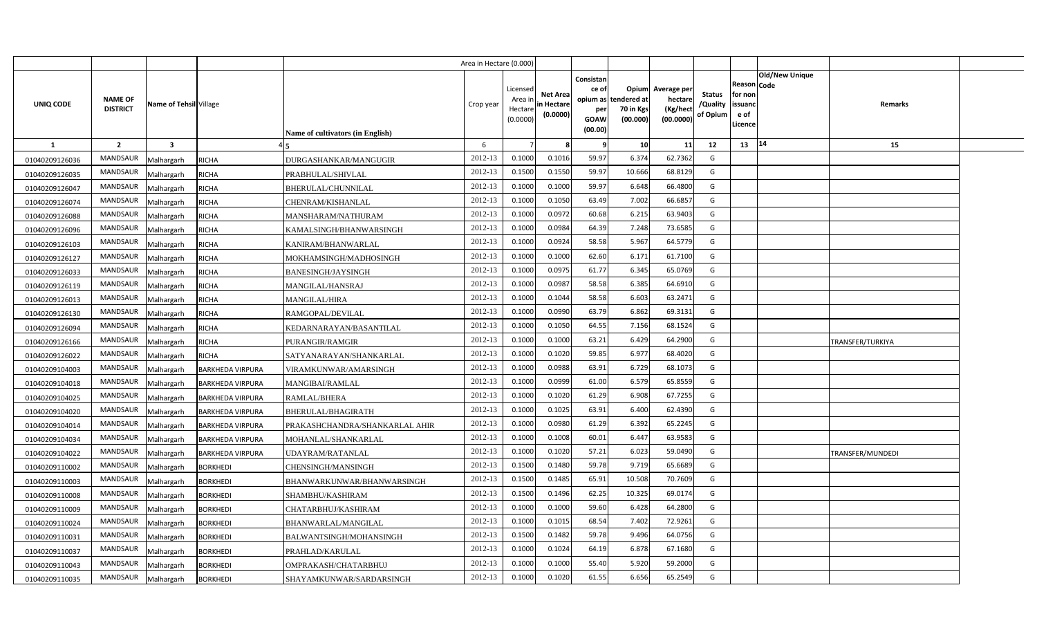|                |                                   |                         |                         |                                         | Area in Hectare (0.000) |                                            |                                           |                                                          |                                               |                                                 |                                       |                                                      |                       |                  |  |
|----------------|-----------------------------------|-------------------------|-------------------------|-----------------------------------------|-------------------------|--------------------------------------------|-------------------------------------------|----------------------------------------------------------|-----------------------------------------------|-------------------------------------------------|---------------------------------------|------------------------------------------------------|-----------------------|------------------|--|
| UNIQ CODE      | <b>NAME OF</b><br><b>DISTRICT</b> | Name of Tehsil Village  |                         | <b>Name of cultivators (in English)</b> | Crop year               | Licensed<br>Area in<br>Hectare<br>(0.0000) | <b>Net Area</b><br>in Hectare<br>(0.0000) | Consistan<br>ce of<br>opium as<br>per<br>GOAW<br>(00.00) | Opium<br>tendered at<br>70 in Kgs<br>(00.000) | Average per<br>hectare<br>(Kg/hect<br>(00.0000) | <b>Status</b><br>/Quality<br>of Opium | Reason Code<br>for non<br>issuanc<br>e of<br>Licence | <b>Old/New Unique</b> | Remarks          |  |
| <b>1</b>       | $\overline{2}$                    | $\overline{\mathbf{3}}$ |                         |                                         | 6                       |                                            |                                           |                                                          | 10 <sup>1</sup>                               | 11                                              | 12                                    | 13   14                                              |                       | 15               |  |
| 01040209126036 | <b>MANDSAUR</b>                   | Malhargarh              | <b>RICHA</b>            | DURGASHANKAR/MANGUGIR                   | 2012-13                 | 0.1000                                     | 0.1016                                    | 59.97                                                    | 6.374                                         | 62.7362                                         | G                                     |                                                      |                       |                  |  |
| 01040209126035 | <b>MANDSAUR</b>                   | Malhargarh              | <b>RICHA</b>            | PRABHULAL/SHIVLAL                       | 2012-13                 | 0.1500                                     | 0.1550                                    | 59.97                                                    | 10.666                                        | 68.8129                                         | G                                     |                                                      |                       |                  |  |
| 01040209126047 | MANDSAUR                          | Malhargarh              | RICHA                   | BHERULAL/CHUNNILAL                      | 2012-13                 | 0.1000                                     | 0.1000                                    | 59.97                                                    | 6.648                                         | 66.4800                                         | G                                     |                                                      |                       |                  |  |
| 01040209126074 | MANDSAUR                          | Malhargarh              | RICHA                   | CHENRAM/KISHANLAL                       | 2012-13                 | 0.1000                                     | 0.1050                                    | 63.49                                                    | 7.002                                         | 66.6857                                         | G                                     |                                                      |                       |                  |  |
| 01040209126088 | <b>MANDSAUR</b>                   | Malhargarh              | RICHA                   | MANSHARAM/NATHURAM                      | 2012-13                 | 0.1000                                     | 0.0972                                    | 60.68                                                    | 6.215                                         | 63.9403                                         | G                                     |                                                      |                       |                  |  |
| 01040209126096 | <b>MANDSAUR</b>                   | Malhargarh              | <b>RICHA</b>            | KAMALSINGH/BHANWARSINGH                 | 2012-13                 | 0.100C                                     | 0.0984                                    | 64.39                                                    | 7.248                                         | 73.6585                                         | G                                     |                                                      |                       |                  |  |
| 01040209126103 | <b>MANDSAUR</b>                   | Malhargarh              | RICHA                   | KANIRAM/BHANWARLAL                      | 2012-13                 | 0.1000                                     | 0.0924                                    | 58.58                                                    | 5.967                                         | 64.5779                                         | G                                     |                                                      |                       |                  |  |
| 01040209126127 | <b>MANDSAUR</b>                   | Malhargarh              | <b>RICHA</b>            | MOKHAMSINGH/MADHOSINGH                  | 2012-13                 | 0.1000                                     | 0.1000                                    | 62.60                                                    | 6.171                                         | 61.7100                                         | G                                     |                                                      |                       |                  |  |
| 01040209126033 | <b>MANDSAUR</b>                   | Malhargarh              | <b>RICHA</b>            | <b>BANESINGH/JAYSINGH</b>               | 2012-13                 | 0.1000                                     | 0.0975                                    | 61.77                                                    | 6.345                                         | 65.0769                                         | G                                     |                                                      |                       |                  |  |
| 01040209126119 | <b>MANDSAUR</b>                   | Malhargarh              | <b>RICHA</b>            | MANGILAL/HANSRAJ                        | 2012-13                 | 0.1000                                     | 0.0987                                    | 58.58                                                    | 6.385                                         | 64.6910                                         | G                                     |                                                      |                       |                  |  |
| 01040209126013 | <b>MANDSAUR</b>                   | Malhargarh              | <b>RICHA</b>            | <b>MANGILAL/HIRA</b>                    | 2012-13                 | 0.1000                                     | 0.1044                                    | 58.58                                                    | 6.603                                         | 63.2471                                         | G                                     |                                                      |                       |                  |  |
| 01040209126130 | <b>MANDSAUR</b>                   | Malhargarh              | <b>RICHA</b>            | RAMGOPAL/DEVILAL                        | 2012-13                 | 0.1000                                     | 0.0990                                    | 63.79                                                    | 6.862                                         | 69.3131                                         | G                                     |                                                      |                       |                  |  |
| 01040209126094 | <b>MANDSAUR</b>                   | Malhargarh              | <b>RICHA</b>            | KEDARNARAYAN/BASANTILAL                 | 2012-13                 | 0.1000                                     | 0.1050                                    | 64.55                                                    | 7.156                                         | 68.1524                                         | G                                     |                                                      |                       |                  |  |
| 01040209126166 | MANDSAUR                          | Malhargarh              | RICHA                   | <b>PURANGIR/RAMGIR</b>                  | 2012-13                 | 0.1000                                     | 0.1000                                    | 63.21                                                    | 6.429                                         | 64.2900                                         | G                                     |                                                      |                       | TRANSFER/TURKIYA |  |
| 01040209126022 | MANDSAUR                          | Malhargarh              | <b>RICHA</b>            | SATYANARAYAN/SHANKARLAL                 | 2012-13                 | 0.1000                                     | 0.1020                                    | 59.85                                                    | 6.977                                         | 68.4020                                         | G                                     |                                                      |                       |                  |  |
| 01040209104003 | <b>MANDSAUR</b>                   | Malhargarh              | <b>BARKHEDA VIRPURA</b> | VIRAMKUNWAR/AMARSINGH                   | 2012-13                 | 0.1000                                     | 0.0988                                    | 63.91                                                    | 6.729                                         | 68.1073                                         | G                                     |                                                      |                       |                  |  |
| 01040209104018 | MANDSAUR                          | Malhargarh              | <b>BARKHEDA VIRPURA</b> | MANGIBAI/RAMLAL                         | 2012-13                 | 0.1000                                     | 0.0999                                    | 61.00                                                    | 6.579                                         | 65.8559                                         | G                                     |                                                      |                       |                  |  |
| 01040209104025 | MANDSAUR                          | Malhargarh              | <b>BARKHEDA VIRPURA</b> | RAMLAL/BHERA                            | 2012-13                 | 0.1000                                     | 0.1020                                    | 61.29                                                    | 6.908                                         | 67.7255                                         | G                                     |                                                      |                       |                  |  |
| 01040209104020 | <b>MANDSAUR</b>                   | Malhargarh              | <b>BARKHEDA VIRPURA</b> | BHERULAL/BHAGIRATH                      | 2012-13                 | 0.1000                                     | 0.1025                                    | 63.91                                                    | 6.400                                         | 62.4390                                         | G                                     |                                                      |                       |                  |  |
| 01040209104014 | MANDSAUR                          | Malhargarh              | <b>BARKHEDA VIRPURA</b> | PRAKASHCHANDRA/SHANKARLAL AHIR          | 2012-13                 | 0.1000                                     | 0.0980                                    | 61.29                                                    | 6.392                                         | 65.2245                                         | G                                     |                                                      |                       |                  |  |
| 01040209104034 | <b>MANDSAUR</b>                   | Malhargarh              | <b>BARKHEDA VIRPURA</b> | MOHANLAL/SHANKARLAL                     | 2012-13                 | 0.1000                                     | 0.1008                                    | 60.01                                                    | 6.447                                         | 63.9583                                         | G                                     |                                                      |                       |                  |  |
| 01040209104022 | <b>MANDSAUR</b>                   | Malhargarh              | <b>BARKHEDA VIRPURA</b> | <b>JDAYRAM/RATANLAL</b>                 | 2012-13                 | 0.1000                                     | 0.1020                                    | 57.21                                                    | 6.023                                         | 59.0490                                         | G                                     |                                                      |                       | TRANSFER/MUNDEDI |  |
| 01040209110002 | <b>MANDSAUR</b>                   | Malhargarh              | <b>BORKHEDI</b>         | CHENSINGH/MANSINGH                      | 2012-13                 | 0.1500                                     | 0.1480                                    | 59.78                                                    | 9.719                                         | 65.6689                                         | G                                     |                                                      |                       |                  |  |
| 01040209110003 | <b>MANDSAUR</b>                   | Malhargarh              | <b>BORKHEDI</b>         | BHANWARKUNWAR/BHANWARSINGH              | 2012-13                 | 0.1500                                     | 0.1485                                    | 65.91                                                    | 10.508                                        | 70.7609                                         | G                                     |                                                      |                       |                  |  |
| 01040209110008 | <b>MANDSAUR</b>                   | Malhargarh              | <b>BORKHEDI</b>         | SHAMBHU/KASHIRAM                        | 2012-13                 | 0.1500                                     | 0.1496                                    | 62.25                                                    | 10.325                                        | 69.0174                                         | G                                     |                                                      |                       |                  |  |
| 01040209110009 | <b>MANDSAUR</b>                   | Malhargarh              | <b>BORKHEDI</b>         | CHATARBHUJ/KASHIRAM                     | 2012-13                 | 0.1000                                     | 0.1000                                    | 59.60                                                    | 6.428                                         | 64.2800                                         | G                                     |                                                      |                       |                  |  |
| 01040209110024 | <b>MANDSAUR</b>                   | Malhargarh              | <b>BORKHEDI</b>         | BHANWARLAL/MANGILAL                     | 2012-13                 | 0.1000                                     | 0.1015                                    | 68.54                                                    | 7.402                                         | 72.9261                                         | G                                     |                                                      |                       |                  |  |
| 01040209110031 | <b>MANDSAUR</b>                   | Malhargarh              | <b>BORKHEDI</b>         | BALWANTSINGH/MOHANSINGH                 | 2012-13                 | 0.1500                                     | 0.1482                                    | 59.78                                                    | 9.496                                         | 64.0756                                         | G                                     |                                                      |                       |                  |  |
| 01040209110037 | <b>MANDSAUR</b>                   | Malhargarh              | <b>BORKHEDI</b>         | PRAHLAD/KARULAL                         | 2012-13                 | 0.1000                                     | 0.1024                                    | 64.19                                                    | 6.878                                         | 67.1680                                         | G                                     |                                                      |                       |                  |  |
| 01040209110043 | <b>MANDSAUR</b>                   | Malhargarh              | <b>BORKHEDI</b>         | OMPRAKASH/CHATARBHUJ                    | 2012-13                 | 0.1000                                     | 0.1000                                    | 55.40                                                    | 5.920                                         | 59.2000                                         | G                                     |                                                      |                       |                  |  |
| 01040209110035 | MANDSAUR                          | Malhargarh              | <b>BORKHEDI</b>         | SHAYAMKUNWAR/SARDARSINGH                | 2012-13                 | 0.1000                                     | 0.1020                                    | 61.55                                                    | 6.656                                         | 65.2549                                         | G                                     |                                                      |                       |                  |  |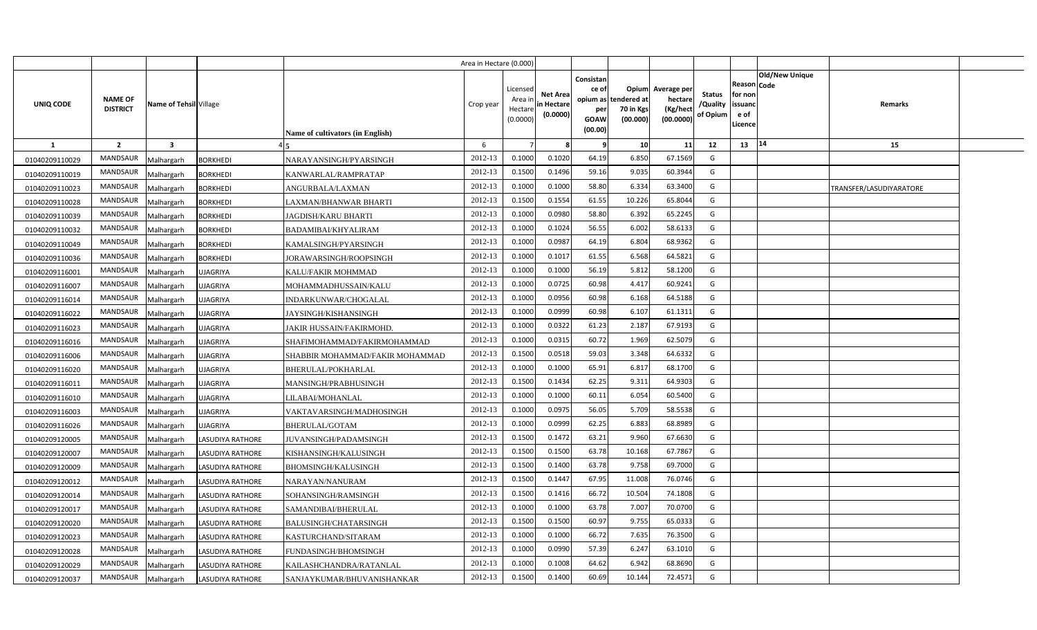|                |                                   |                         |                         |                                         | Area in Hectare (0.000) |                                            |                                           |                                                          |                                               |                                                 |                                       |                                                      |                |                         |  |
|----------------|-----------------------------------|-------------------------|-------------------------|-----------------------------------------|-------------------------|--------------------------------------------|-------------------------------------------|----------------------------------------------------------|-----------------------------------------------|-------------------------------------------------|---------------------------------------|------------------------------------------------------|----------------|-------------------------|--|
| UNIQ CODE      | <b>NAME OF</b><br><b>DISTRICT</b> | Name of Tehsil Village  |                         | <b>Name of cultivators (in English)</b> | Crop year               | Licensed<br>Area ir<br>Hectare<br>(0.0000) | <b>Net Area</b><br>in Hectare<br>(0.0000) | Consistan<br>ce of<br>opium as<br>per<br>GOAW<br>(00.00) | Opium<br>tendered at<br>70 in Kgs<br>(00.000) | Average per<br>hectare<br>(Kg/hect<br>(00.0000) | <b>Status</b><br>/Quality<br>of Opium | Reason Code<br>for non<br>issuand<br>e of<br>Licence | Old/New Unique | Remarks                 |  |
| <b>1</b>       | $\overline{2}$                    | $\overline{\mathbf{3}}$ |                         |                                         | 6                       |                                            |                                           |                                                          | 10                                            | 11                                              | 12                                    | 13                                                   | 14             | 15                      |  |
| 01040209110029 | <b>MANDSAUR</b>                   | Malhargarh              | <b>BORKHEDI</b>         | NARAYANSINGH/PYARSINGH                  | 2012-13                 | 0.1000                                     | 0.1020                                    | 64.19                                                    | 6.850                                         | 67.1569                                         | G                                     |                                                      |                |                         |  |
| 01040209110019 | <b>MANDSAUR</b>                   | Malhargarh              | <b>BORKHEDI</b>         | KANWARLAL/RAMPRATAP                     | 2012-13                 | 0.1500                                     | 0.1496                                    | 59.16                                                    | 9.035                                         | 60.3944                                         | G                                     |                                                      |                |                         |  |
| 01040209110023 | MANDSAUR                          | Malhargarh              | <b>BORKHEDI</b>         | ANGURBALA/LAXMAN                        | 2012-13                 | 0.100                                      | 0.1000                                    | 58.80                                                    | 6.334                                         | 63.3400                                         | G                                     |                                                      |                | TRANSFER/LASUDIYARATORE |  |
| 01040209110028 | MANDSAUR                          | Malhargarh              | <b>BORKHEDI</b>         | LAXMAN/BHANWAR BHARTI                   | 2012-13                 | 0.1500                                     | 0.1554                                    | 61.55                                                    | 10.226                                        | 65.8044                                         | G                                     |                                                      |                |                         |  |
| 01040209110039 | MANDSAUR                          | Malhargarh              | <b>BORKHEDI</b>         | <b>JAGDISH/KARU BHARTI</b>              | 2012-13                 | 0.1000                                     | 0.0980                                    | 58.80                                                    | 6.392                                         | 65.2245                                         | G                                     |                                                      |                |                         |  |
| 01040209110032 | <b>MANDSAUR</b>                   | Malhargarh              | <b>BORKHEDI</b>         | BADAMIBAI/KHYALIRAM                     | 2012-13                 | 0.100                                      | 0.1024                                    | 56.55                                                    | 6.002                                         | 58.6133                                         | G                                     |                                                      |                |                         |  |
| 01040209110049 | MANDSAUR                          | Malhargarh              | <b>BORKHEDI</b>         | KAMALSINGH/PYARSINGH                    | 2012-13                 | 0.1000                                     | 0.098                                     | 64.19                                                    | 6.804                                         | 68.9362                                         | G                                     |                                                      |                |                         |  |
| 01040209110036 | <b>MANDSAUR</b>                   | Malhargarh              | <b>BORKHEDI</b>         | JORAWARSINGH/ROOPSINGH                  | 2012-13                 | 0.1000                                     | 0.101                                     | 61.55                                                    | 6.568                                         | 64.5821                                         | G                                     |                                                      |                |                         |  |
| 01040209116001 | MANDSAUR                          | Malhargarh              | UJAGRIYA                | KALU/FAKIR MOHMMAD                      | 2012-13                 | 0.1000                                     | 0.1000                                    | 56.19                                                    | 5.812                                         | 58.1200                                         | G                                     |                                                      |                |                         |  |
| 01040209116007 | MANDSAUR                          | Malhargarh              | <b>UJAGRIYA</b>         | MOHAMMADHUSSAIN/KALU                    | 2012-13                 | 0.1000                                     | 0.0725                                    | 60.98                                                    | 4.417                                         | 60.9241                                         | G                                     |                                                      |                |                         |  |
| 01040209116014 | <b>MANDSAUR</b>                   | Malhargarh              | UJAGRIYA                | INDARKUNWAR/CHOGALAL                    | 2012-13                 | 0.1000                                     | 0.0956                                    | 60.98                                                    | 6.168                                         | 64.5188                                         | G                                     |                                                      |                |                         |  |
| 01040209116022 | <b>MANDSAUR</b>                   | Malhargarh              | <b>JJAGRIYA</b>         | JAYSINGH/KISHANSINGH                    | 2012-13                 | 0.1000                                     | 0.0999                                    | 60.98                                                    | 6.107                                         | 61.1311                                         | G                                     |                                                      |                |                         |  |
| 01040209116023 | <b>MANDSAUR</b>                   | Malhargarh              | UJAGRIYA                | <b>JAKIR HUSSAIN/FAKIRMOHD</b>          | 2012-13                 | 0.1000                                     | 0.0322                                    | 61.23                                                    | 2.187                                         | 67.9193                                         | G                                     |                                                      |                |                         |  |
| 01040209116016 | <b>MANDSAUR</b>                   | Malhargarh              | UJAGRIYA                | SHAFIMOHAMMAD/FAKIRMOHAMMAD             | 2012-13                 | 0.1000                                     | 0.0315                                    | 60.72                                                    | 1.969                                         | 62.5079                                         | G                                     |                                                      |                |                         |  |
| 01040209116006 | MANDSAUR                          | Malhargarh              | UJAGRIYA                | SHABBIR MOHAMMAD/FAKIR MOHAMMAD         | 2012-13                 | 0.1500                                     | 0.0518                                    | 59.03                                                    | 3.348                                         | 64.6332                                         | G                                     |                                                      |                |                         |  |
| 01040209116020 | <b>MANDSAUR</b>                   | Malhargarh              | <b>JJAGRIYA</b>         | BHERULAL/POKHARLAL                      | 2012-13                 | 0.1000                                     | 0.1000                                    | 65.91                                                    | 6.817                                         | 68.1700                                         | G                                     |                                                      |                |                         |  |
| 01040209116011 | MANDSAUR                          | Malhargarh              | <b>JJAGRIYA</b>         | MANSINGH/PRABHUSINGH                    | 2012-13                 | 0.1500                                     | 0.1434                                    | 62.25                                                    | 9.311                                         | 64.9303                                         | G                                     |                                                      |                |                         |  |
| 01040209116010 | <b>MANDSAUR</b>                   | Malhargarh              | <b>JJAGRIYA</b>         | LILABAI/MOHANLAL                        | 2012-13                 | 0.1000                                     | 0.1000                                    | 60.11                                                    | 6.054                                         | 60.5400                                         | G                                     |                                                      |                |                         |  |
| 01040209116003 | <b>MANDSAUR</b>                   | Malhargarh              | <b>JJAGRIYA</b>         | VAKTAVARSINGH/MADHOSINGH                | 2012-13                 | 0.1000                                     | 0.097!                                    | 56.05                                                    | 5.709                                         | 58.5538                                         | G                                     |                                                      |                |                         |  |
| 01040209116026 | <b>MANDSAUR</b>                   | Malhargarh              | UJAGRIYA                | <b>BHERULAL/GOTAM</b>                   | 2012-13                 | 0.1000                                     | 0.0999                                    | 62.25                                                    | 6.883                                         | 68.8989                                         | G                                     |                                                      |                |                         |  |
| 01040209120005 | <b>MANDSAUR</b>                   | Malhargarh              | LASUDIYA RATHORE        | JUVANSINGH/PADAMSINGH                   | 2012-13                 | 0.1500                                     | 0.1472                                    | 63.21                                                    | 9.960                                         | 67.6630                                         | G                                     |                                                      |                |                         |  |
| 01040209120007 | <b>MANDSAUR</b>                   | Malhargarh              | LASUDIYA RATHORE        | KISHANSINGH/KALUSINGH                   | 2012-13                 | 0.1500                                     | 0.1500                                    | 63.78                                                    | 10.168                                        | 67.7867                                         | G                                     |                                                      |                |                         |  |
| 01040209120009 | <b>MANDSAUR</b>                   | Malhargarh              | LASUDIYA RATHORE        | BHOMSINGH/KALUSINGH                     | 2012-13                 | 0.1500                                     | 0.1400                                    | 63.78                                                    | 9.758                                         | 69.7000                                         | G                                     |                                                      |                |                         |  |
| 01040209120012 | <b>MANDSAUR</b>                   | Malhargarh              | LASUDIYA RATHORE        | NARAYAN/NANURAM                         | 2012-13                 | 0.1500                                     | 0.1447                                    | 67.95                                                    | 11.008                                        | 76.0746                                         | G                                     |                                                      |                |                         |  |
| 01040209120014 | <b>MANDSAUR</b>                   | Malhargarh              | <b>LASUDIYA RATHORE</b> | SOHANSINGH/RAMSINGH                     | 2012-13                 | 0.1500                                     | 0.1416                                    | 66.72                                                    | 10.504                                        | 74.1808                                         | G                                     |                                                      |                |                         |  |
| 01040209120017 | <b>MANDSAUR</b>                   | Malhargarh              | LASUDIYA RATHORE        | SAMANDIBAI/BHERULAL                     | 2012-13                 | 0.1000                                     | 0.1000                                    | 63.78                                                    | 7.007                                         | 70.0700                                         | G                                     |                                                      |                |                         |  |
| 01040209120020 | <b>MANDSAUR</b>                   | Malhargarh              | LASUDIYA RATHORE        | BALUSINGH/CHATARSINGH                   | 2012-13                 | 0.1500                                     | 0.1500                                    | 60.97                                                    | 9.755                                         | 65.0333                                         | G                                     |                                                      |                |                         |  |
| 01040209120023 | <b>MANDSAUR</b>                   | Malhargarh              | LASUDIYA RATHORE        | KASTURCHAND/SITARAM                     | 2012-13                 | 0.1000                                     | 0.1000                                    | 66.72                                                    | 7.635                                         | 76.3500                                         | G                                     |                                                      |                |                         |  |
| 01040209120028 | <b>MANDSAUR</b>                   | Malhargarh              | <b>LASUDIYA RATHORE</b> | FUNDASINGH/BHOMSINGH                    | 2012-13                 | 0.1000                                     | 0.0990                                    | 57.39                                                    | 6.247                                         | 63.1010                                         | G                                     |                                                      |                |                         |  |
| 01040209120029 | <b>MANDSAUR</b>                   | Malhargarh              | LASUDIYA RATHORE        | KAILASHCHANDRA/RATANLAL                 | 2012-13                 | 0.1000                                     | 0.1008                                    | 64.62                                                    | 6.942                                         | 68.8690                                         | G                                     |                                                      |                |                         |  |
| 01040209120037 | <b>MANDSAUR</b>                   | Malhargarh              | <b>LASUDIYA RATHORE</b> | SANJAYKUMAR/BHUVANISHANKAR              | 2012-13                 | 0.1500                                     | 0.1400                                    | 60.69                                                    | 10.144                                        | 72.4571                                         | G                                     |                                                      |                |                         |  |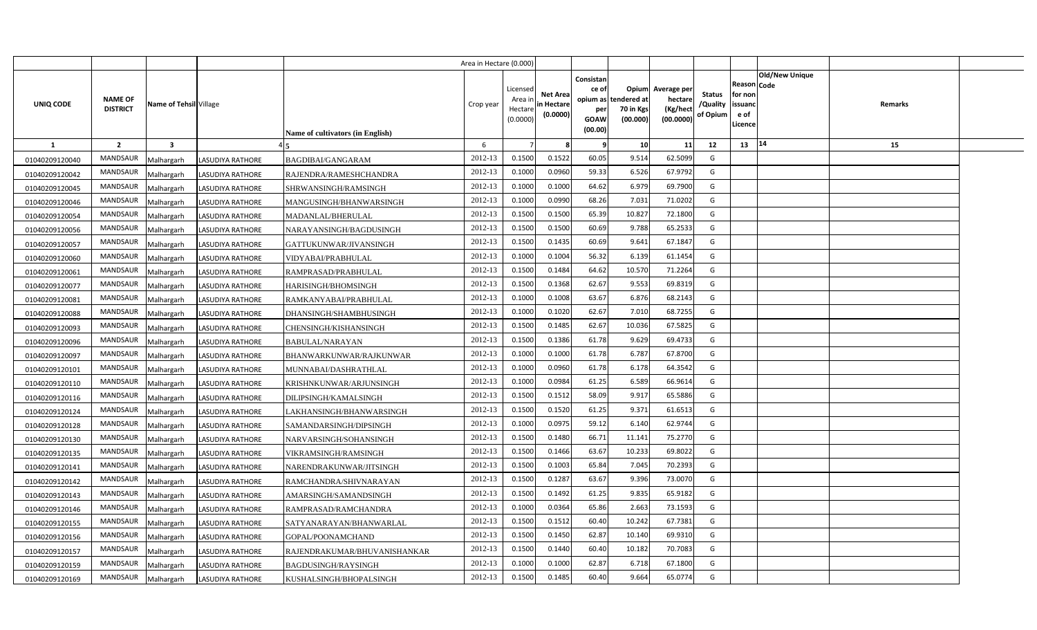|                |                                   |                         |                         |                                  | Area in Hectare (0.000) |                                            |                                    |                                                     |                                                        |                                                 |                                |                                                        |                                  |  |
|----------------|-----------------------------------|-------------------------|-------------------------|----------------------------------|-------------------------|--------------------------------------------|------------------------------------|-----------------------------------------------------|--------------------------------------------------------|-------------------------------------------------|--------------------------------|--------------------------------------------------------|----------------------------------|--|
| UNIQ CODE      | <b>NAME OF</b><br><b>DISTRICT</b> | Name of Tehsil Village  |                         | Name of cultivators (in English) | Crop year               | Licensed<br>Area ir<br>Hectare<br>(0.0000) | Net Area<br>in Hectare<br>(0.0000) | Consistan<br>ce of<br>per<br><b>GOAW</b><br>(00.00) | Opium<br>opium as tendered at<br>70 in Kgs<br>(00.000) | Average per<br>hectare<br>(Kg/hect<br>(00.0000) | Status<br>/Quality<br>of Opium | Reason   Code<br>for non<br>issuanc<br>e of<br>Licence | <b>Old/New Unique</b><br>Remarks |  |
| 1              | $\overline{2}$                    | $\overline{\mathbf{3}}$ |                         |                                  | 6                       |                                            |                                    | 9                                                   | 10                                                     | 11                                              | 12                             | 13                                                     | 14<br>15                         |  |
| 01040209120040 | <b>MANDSAUR</b>                   | Malhargarh              | <b>LASUDIYA RATHORE</b> | <b>BAGDIBAI/GANGARAM</b>         | 2012-13                 | 0.1500                                     | 0.1522                             | 60.05                                               | 9.514                                                  | 62.5099                                         | G                              |                                                        |                                  |  |
| 01040209120042 | MANDSAUR                          | Malhargarh              | LASUDIYA RATHORE        | RAJENDRA/RAMESHCHANDRA           | 2012-13                 | 0.1000                                     | 0.0960                             | 59.33                                               | 6.526                                                  | 67.9792                                         | G                              |                                                        |                                  |  |
| 01040209120045 | MANDSAUR                          | Malhargarh              | <b>LASUDIYA RATHORE</b> | SHRWANSINGH/RAMSINGH             | 2012-13                 | 0.1000                                     | 0.1000                             | 64.62                                               | 6.979                                                  | 69.7900                                         | G                              |                                                        |                                  |  |
| 01040209120046 | MANDSAUR                          | Malhargarh              | <b>LASUDIYA RATHORE</b> | MANGUSINGH/BHANWARSINGH          | 2012-13                 | 0.1000                                     | 0.0990                             | 68.26                                               | 7.031                                                  | 71.0202                                         | G                              |                                                        |                                  |  |
| 01040209120054 | MANDSAUR                          | Malhargarh              | <b>LASUDIYA RATHORE</b> | MADANLAL/BHERULAL                | 2012-13                 | 0.1500                                     | 0.1500                             | 65.39                                               | 10.827                                                 | 72.1800                                         | G                              |                                                        |                                  |  |
| 01040209120056 | <b>MANDSAUR</b>                   | Malhargarh              | <b>LASUDIYA RATHORE</b> | NARAYANSINGH/BAGDUSINGH          | 2012-13                 | 0.1500                                     | 0.1500                             | 60.69                                               | 9.788                                                  | 65.2533                                         | G                              |                                                        |                                  |  |
| 01040209120057 | MANDSAUR                          | Malhargarh              | LASUDIYA RATHORE        | GATTUKUNWAR/JIVANSINGH           | 2012-13                 | 0.1500                                     | 0.1435                             | 60.69                                               | 9.641                                                  | 67.1847                                         | G                              |                                                        |                                  |  |
| 01040209120060 | MANDSAUR                          | Malhargarh              | LASUDIYA RATHORE        | VIDYABAI/PRABHULAL               | 2012-13                 | 0.1000                                     | 0.1004                             | 56.32                                               | 6.139                                                  | 61.1454                                         | G                              |                                                        |                                  |  |
| 01040209120061 | MANDSAUR                          | Malhargarh              | <b>LASUDIYA RATHORE</b> | RAMPRASAD/PRABHULAL              | 2012-13                 | 0.1500                                     | 0.1484                             | 64.62                                               | 10.570                                                 | 71.2264                                         | G                              |                                                        |                                  |  |
| 01040209120077 | MANDSAUR                          | Malhargarh              | LASUDIYA RATHORE        | HARISINGH/BHOMSINGH              | 2012-13                 | 0.1500                                     | 0.1368                             | 62.67                                               | 9.553                                                  | 69.8319                                         | G                              |                                                        |                                  |  |
| 01040209120081 | MANDSAUR                          | Malhargarh              | <b>LASUDIYA RATHORE</b> | RAMKANYABAI/PRABHULAL            | 2012-13                 | 0.1000                                     | 0.1008                             | 63.67                                               | 6.876                                                  | 68.2143                                         | G                              |                                                        |                                  |  |
| 01040209120088 | MANDSAUR                          | Malhargarh              | <b>LASUDIYA RATHORE</b> | DHANSINGH/SHAMBHUSINGH           | 2012-13                 | 0.1000                                     | 0.1020                             | 62.67                                               | 7.010                                                  | 68.7255                                         | G                              |                                                        |                                  |  |
| 01040209120093 | MANDSAUR                          | Malhargarh              | <b>LASUDIYA RATHORE</b> | CHENSINGH/KISHANSINGH            | 2012-13                 | 0.1500                                     | 0.1485                             | 62.67                                               | 10.036                                                 | 67.5825                                         | G                              |                                                        |                                  |  |
| 01040209120096 | MANDSAUR                          | Malhargarh              | <b>LASUDIYA RATHORE</b> | BABULAL/NARAYAN                  | 2012-13                 | 0.1500                                     | 0.1386                             | 61.78                                               | 9.629                                                  | 69.4733                                         | G                              |                                                        |                                  |  |
| 01040209120097 | MANDSAUR                          | Malhargarh              | <b>LASUDIYA RATHORE</b> | BHANWARKUNWAR/RAJKUNWAR          | 2012-13                 | 0.1000                                     | 0.1000                             | 61.78                                               | 6.787                                                  | 67.8700                                         | G                              |                                                        |                                  |  |
| 01040209120101 | <b>MANDSAUR</b>                   | Malhargarh              | <b>LASUDIYA RATHORE</b> | MUNNABAI/DASHRATHLAL             | 2012-13                 | 0.1000                                     | 0.0960                             | 61.78                                               | 6.178                                                  | 64.3542                                         | G                              |                                                        |                                  |  |
| 01040209120110 | MANDSAUR                          | Malhargarh              | <b>LASUDIYA RATHORE</b> | KRISHNKUNWAR/ARJUNSINGH          | 2012-13                 | 0.1000                                     | 0.0984                             | 61.25                                               | 6.589                                                  | 66.9614                                         | G                              |                                                        |                                  |  |
| 01040209120116 | MANDSAUR                          | Malhargarh              | <b>LASUDIYA RATHORE</b> | DILIPSINGH/KAMALSINGH            | 2012-13                 | 0.1500                                     | 0.1512                             | 58.09                                               | 9.917                                                  | 65.5886                                         | G                              |                                                        |                                  |  |
| 01040209120124 | <b>MANDSAUR</b>                   | Malhargarh              | <b>LASUDIYA RATHORE</b> | LAKHANSINGH/BHANWARSINGH         | 2012-13                 | 0.1500                                     | 0.1520                             | 61.25                                               | 9.371                                                  | 61.6513                                         | G                              |                                                        |                                  |  |
| 01040209120128 | <b>MANDSAUR</b>                   | Malhargarh              | <b>LASUDIYA RATHORE</b> | SAMANDARSINGH/DIPSINGH           | 2012-13                 | 0.1000                                     | 0.0975                             | 59.12                                               | 6.140                                                  | 62.9744                                         | G                              |                                                        |                                  |  |
| 01040209120130 | <b>MANDSAUR</b>                   | Malhargarh              | LASUDIYA RATHORE        | NARVARSINGH/SOHANSINGH           | 2012-13                 | 0.1500                                     | 0.1480                             | 66.71                                               | 11.141                                                 | 75.2770                                         | G                              |                                                        |                                  |  |
| 01040209120135 | MANDSAUR                          | Malhargarh              | <b>LASUDIYA RATHORE</b> | VIKRAMSINGH/RAMSINGH             | 2012-13                 | 0.1500                                     | 0.1466                             | 63.67                                               | 10.233                                                 | 69.8022                                         | G                              |                                                        |                                  |  |
| 01040209120141 | MANDSAUR                          | Malhargarh              | <b>LASUDIYA RATHORE</b> | NARENDRAKUNWAR/JITSINGH          | 2012-13                 | 0.1500                                     | 0.1003                             | 65.84                                               | 7.045                                                  | 70.2393                                         | G                              |                                                        |                                  |  |
| 01040209120142 | MANDSAUR                          | Malhargarh              | LASUDIYA RATHORE        | RAMCHANDRA/SHIVNARAYAN           | 2012-13                 | 0.1500                                     | 0.1287                             | 63.67                                               | 9.396                                                  | 73.0070                                         | G                              |                                                        |                                  |  |
| 01040209120143 | <b>MANDSAUR</b>                   | Malhargarh              | <b>LASUDIYA RATHORE</b> | AMARSINGH/SAMANDSINGH            | 2012-13                 | 0.1500                                     | 0.1492                             | 61.25                                               | 9.835                                                  | 65.9182                                         | G                              |                                                        |                                  |  |
| 01040209120146 | MANDSAUR                          | Malhargarh              | LASUDIYA RATHORE        | RAMPRASAD/RAMCHANDRA             | 2012-13                 | 0.1000                                     | 0.0364                             | 65.86                                               | 2.663                                                  | 73.1593                                         | G                              |                                                        |                                  |  |
| 01040209120155 | <b>MANDSAUR</b>                   | Malhargarh              | LASUDIYA RATHORE        | SATYANARAYAN/BHANWARLAL          | 2012-13                 | 0.1500                                     | 0.1512                             | 60.40                                               | 10.242                                                 | 67.7381                                         | G                              |                                                        |                                  |  |
| 01040209120156 | MANDSAUR                          | Malhargarh              | LASUDIYA RATHORE        | GOPAL/POONAMCHAND                | 2012-13                 | 0.1500                                     | 0.1450                             | 62.87                                               | 10.140                                                 | 69.9310                                         | G                              |                                                        |                                  |  |
| 01040209120157 | MANDSAUR                          | Malhargarh              | LASUDIYA RATHORE        | RAJENDRAKUMAR/BHUVANISHANKAR     | 2012-13                 | 0.1500                                     | 0.1440                             | 60.40                                               | 10.182                                                 | 70.7083                                         | G                              |                                                        |                                  |  |
| 01040209120159 | MANDSAUR                          | Malhargarh              | LASUDIYA RATHORE        | BAGDUSINGH/RAYSINGH              | 2012-13                 | 0.1000                                     | 0.1000                             | 62.87                                               | 6.718                                                  | 67.1800                                         | G                              |                                                        |                                  |  |
| 01040209120169 | MANDSAUR                          | Malhargarh              | <b>LASUDIYA RATHORE</b> | KUSHALSINGH/BHOPALSINGH          | 2012-13                 | 0.1500                                     | 0.1485                             | 60.40                                               | 9.664                                                  | 65.0774                                         | G                              |                                                        |                                  |  |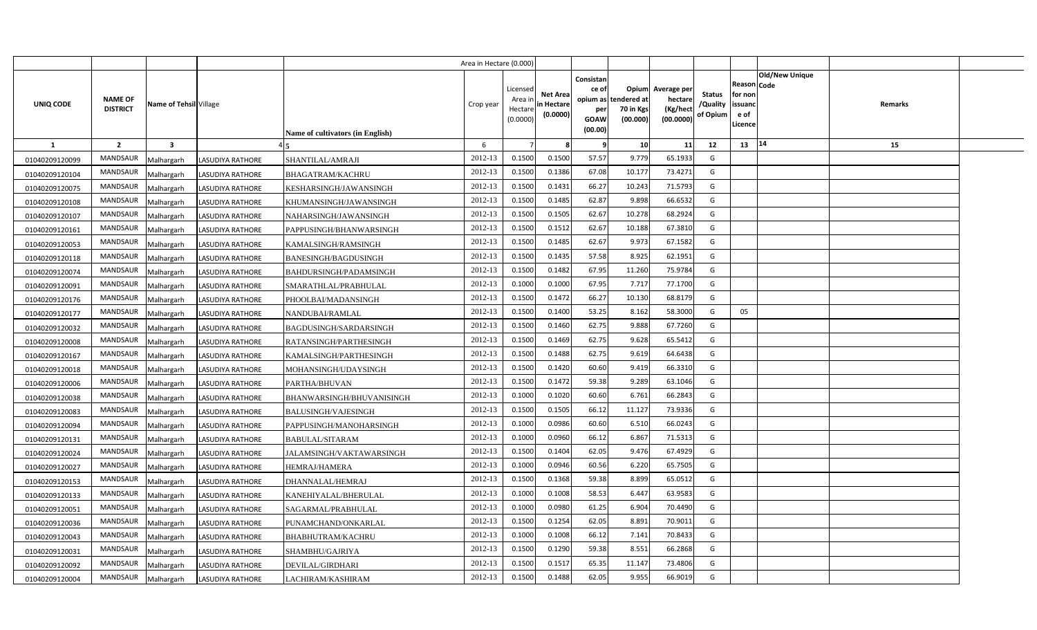|                  |                                   |                         |                         |                                  | Area in Hectare (0.000) |                                            |                                           |                                                     |                                                        |                                                 |                                       |                                                      |                                  |  |
|------------------|-----------------------------------|-------------------------|-------------------------|----------------------------------|-------------------------|--------------------------------------------|-------------------------------------------|-----------------------------------------------------|--------------------------------------------------------|-------------------------------------------------|---------------------------------------|------------------------------------------------------|----------------------------------|--|
| <b>UNIQ CODE</b> | <b>NAME OF</b><br><b>DISTRICT</b> | Name of Tehsil Village  |                         | Name of cultivators (in English) | Crop year               | Licensed<br>Area ir<br>Hectare<br>(0.0000) | <b>Net Area</b><br>in Hectare<br>(0.0000) | Consistan<br>ce of<br>per<br><b>GOAW</b><br>(00.00) | Opium<br>opium as tendered at<br>70 in Kgs<br>(00.000) | Average per<br>hectare<br>(Kg/hect<br>(00.0000) | <b>Status</b><br>/Quality<br>of Opium | Reason Code<br>for non<br>issuanc<br>e of<br>Licence | Old/New Unique<br><b>Remarks</b> |  |
| 1                | $\overline{2}$                    | $\overline{\mathbf{3}}$ |                         |                                  | 6                       |                                            |                                           | - 9                                                 | 10                                                     | 11                                              | 12                                    | 13                                                   | $ 14\rangle$<br>15               |  |
| 01040209120099   | <b>MANDSAUR</b>                   | Malhargarh              | LASUDIYA RATHORE        | SHANTILAL/AMRAJI                 | 2012-13                 | 0.1500                                     | 0.1500                                    | 57.57                                               | 9.779                                                  | 65.1933                                         | G                                     |                                                      |                                  |  |
| 01040209120104   | MANDSAUR                          | Malhargarh              | <b>LASUDIYA RATHORE</b> | <b>BHAGATRAM/KACHRU</b>          | 2012-13                 | 0.1500                                     | 0.1386                                    | 67.08                                               | 10.177                                                 | 73.4271                                         | G                                     |                                                      |                                  |  |
| 01040209120075   | <b>MANDSAUR</b>                   | Malhargarh              | <b>LASUDIYA RATHORE</b> | KESHARSINGH/JAWANSINGH           | 2012-13                 | 0.1500                                     | 0.1431                                    | 66.27                                               | 10.243                                                 | 71.5793                                         | G                                     |                                                      |                                  |  |
| 01040209120108   | MANDSAUR                          | Malhargarh              | LASUDIYA RATHORE        | KHUMANSINGH/JAWANSINGH           | 2012-13                 | 0.1500                                     | 0.1485                                    | 62.87                                               | 9.898                                                  | 66.6532                                         | G                                     |                                                      |                                  |  |
| 01040209120107   | <b>MANDSAUR</b>                   | Malhargarh              | LASUDIYA RATHORE        | NAHARSINGH/JAWANSINGH            | 2012-13                 | 0.1500                                     | 0.1505                                    | 62.67                                               | 10.278                                                 | 68.2924                                         | G                                     |                                                      |                                  |  |
| 01040209120161   | MANDSAUR                          | Malhargarh              | LASUDIYA RATHORE        | PAPPUSINGH/BHANWARSINGH          | 2012-13                 | 0.1500                                     | 0.1512                                    | 62.67                                               | 10.188                                                 | 67.3810                                         | G                                     |                                                      |                                  |  |
| 01040209120053   | MANDSAUR                          | Malhargarh              | LASUDIYA RATHORE        | KAMALSINGH/RAMSINGH              | 2012-13                 | 0.1500                                     | 0.1485                                    | 62.67                                               | 9.973                                                  | 67.1582                                         | G                                     |                                                      |                                  |  |
| 01040209120118   | MANDSAUR                          | Malhargarh              | <b>LASUDIYA RATHORE</b> | BANESINGH/BAGDUSINGH             | 2012-13                 | 0.1500                                     | 0.1435                                    | 57.58                                               | 8.925                                                  | 62.1951                                         | G                                     |                                                      |                                  |  |
| 01040209120074   | MANDSAUR                          | Malhargarh              | LASUDIYA RATHORE        | BAHDURSINGH/PADAMSINGH           | 2012-13                 | 0.1500                                     | 0.1482                                    | 67.95                                               | 11.260                                                 | 75.9784                                         | G                                     |                                                      |                                  |  |
| 01040209120091   | MANDSAUR                          | Malhargarh              | LASUDIYA RATHORE        | SMARATHLAL/PRABHULAL             | 2012-13                 | 0.1000                                     | 0.1000                                    | 67.95                                               | 7.717                                                  | 77.1700                                         | G                                     |                                                      |                                  |  |
| 01040209120176   | MANDSAUR                          | Malhargarh              | <b>LASUDIYA RATHORE</b> | PHOOLBAI/MADANSINGH              | 2012-13                 | 0.1500                                     | 0.1472                                    | 66.27                                               | 10.130                                                 | 68.8179                                         | G                                     |                                                      |                                  |  |
| 01040209120177   | <b>MANDSAUR</b>                   | Malhargarh              | <b>LASUDIYA RATHORE</b> | NANDUBAI/RAMLAL                  | 2012-13                 | 0.1500                                     | 0.1400                                    | 53.25                                               | 8.162                                                  | 58.3000                                         | G                                     | 05                                                   |                                  |  |
| 01040209120032   | MANDSAUR                          | Malhargarh              | LASUDIYA RATHORE        | BAGDUSINGH/SARDARSINGH           | 2012-13                 | 0.1500                                     | 0.1460                                    | 62.75                                               | 9.888                                                  | 67.7260                                         | G                                     |                                                      |                                  |  |
| 01040209120008   | <b>MANDSAUR</b>                   | Malhargarh              | <b>LASUDIYA RATHORE</b> | RATANSINGH/PARTHESINGH           | 2012-13                 | 0.1500                                     | 0.1469                                    | 62.75                                               | 9.628                                                  | 65.5412                                         | G                                     |                                                      |                                  |  |
| 01040209120167   | MANDSAUR                          | Malhargarh              | LASUDIYA RATHORE        | KAMALSINGH/PARTHESINGH           | 2012-13                 | 0.1500                                     | 0.1488                                    | 62.75                                               | 9.619                                                  | 64.6438                                         | G                                     |                                                      |                                  |  |
| 01040209120018   | MANDSAUR                          | Malhargarh              | <b>LASUDIYA RATHORE</b> | MOHANSINGH/UDAYSINGH             | 2012-13                 | 0.1500                                     | 0.1420                                    | 60.60                                               | 9.419                                                  | 66.3310                                         | G                                     |                                                      |                                  |  |
| 01040209120006   | <b>MANDSAUR</b>                   | Malhargarh              | <b>LASUDIYA RATHORE</b> | PARTHA/BHUVAN                    | 2012-13                 | 0.1500                                     | 0.1472                                    | 59.38                                               | 9.289                                                  | 63.1046                                         | G                                     |                                                      |                                  |  |
| 01040209120038   | MANDSAUR                          | Malhargarh              | <b>LASUDIYA RATHORE</b> | BHANWARSINGH/BHUVANISINGH        | 2012-13                 | 0.1000                                     | 0.1020                                    | 60.60                                               | 6.761                                                  | 66.2843                                         | G                                     |                                                      |                                  |  |
| 01040209120083   | <b>MANDSAUR</b>                   | Malhargarh              | <b>LASUDIYA RATHORE</b> | <b>BALUSINGH/VAJESINGH</b>       | 2012-13                 | 0.1500                                     | 0.1505                                    | 66.12                                               | 11.127                                                 | 73.9336                                         | G                                     |                                                      |                                  |  |
| 01040209120094   | MANDSAUR                          | Malhargarh              | <b>LASUDIYA RATHORE</b> | PAPPUSINGH/MANOHARSINGH          | 2012-13                 | 0.1000                                     | 0.0986                                    | 60.60                                               | 6.510                                                  | 66.0243                                         | G                                     |                                                      |                                  |  |
| 01040209120131   | <b>MANDSAUR</b>                   | Malhargarh              | LASUDIYA RATHORE        | BABULAL/SITARAM                  | 2012-13                 | 0.1000                                     | 0.0960                                    | 66.12                                               | 6.867                                                  | 71.5313                                         | G                                     |                                                      |                                  |  |
| 01040209120024   | <b>MANDSAUR</b>                   | Malhargarh              | LASUDIYA RATHORE        | JALAMSINGH/VAKTAWARSINGH         | 2012-13                 | 0.1500                                     | 0.1404                                    | 62.05                                               | 9.476                                                  | 67.4929                                         | G                                     |                                                      |                                  |  |
| 01040209120027   | <b>MANDSAUR</b>                   | Malhargarh              | <b>LASUDIYA RATHORE</b> | HEMRAJ/HAMERA                    | 2012-13                 | 0.1000                                     | 0.0946                                    | 60.56                                               | 6.220                                                  | 65.7505                                         | G                                     |                                                      |                                  |  |
| 01040209120153   | MANDSAUR                          | Malhargarh              | LASUDIYA RATHORE        | DHANNALAL/HEMRAJ                 | 2012-13                 | 0.1500                                     | 0.1368                                    | 59.38                                               | 8.899                                                  | 65.0512                                         | G                                     |                                                      |                                  |  |
| 01040209120133   | MANDSAUR                          | Malhargarh              | <b>LASUDIYA RATHORE</b> | KANEHIYALAL/BHERULAL             | 2012-13                 | 0.1000                                     | 0.1008                                    | 58.53                                               | 6.447                                                  | 63.9583                                         | G                                     |                                                      |                                  |  |
| 01040209120051   | MANDSAUR                          | Malhargarh              | LASUDIYA RATHORE        | SAGARMAL/PRABHULAL               | 2012-13                 | 0.1000                                     | 0.0980                                    | 61.25                                               | 6.904                                                  | 70.4490                                         | G                                     |                                                      |                                  |  |
| 01040209120036   | MANDSAUR                          | Malhargarh              | <b>LASUDIYA RATHORE</b> | PUNAMCHAND/ONKARLAL              | 2012-13                 | 0.1500                                     | 0.1254                                    | 62.05                                               | 8.891                                                  | 70.9011                                         | G                                     |                                                      |                                  |  |
| 01040209120043   | MANDSAUR                          | Malhargarh              | LASUDIYA RATHORE        | BHABHUTRAM/KACHRU                | 2012-13                 | 0.1000                                     | 0.1008                                    | 66.12                                               | 7.141                                                  | 70.8433                                         | G                                     |                                                      |                                  |  |
| 01040209120031   | MANDSAUR                          | Malhargarh              | LASUDIYA RATHORE        | SHAMBHU/GAJRIYA                  | 2012-13                 | 0.1500                                     | 0.1290                                    | 59.38                                               | 8.551                                                  | 66.2868                                         | G                                     |                                                      |                                  |  |
| 01040209120092   | MANDSAUR                          | Malhargarh              | <b>LASUDIYA RATHORE</b> | DEVILAL/GIRDHARI                 | 2012-13                 | 0.1500                                     | 0.151                                     | 65.35                                               | 11.147                                                 | 73.4806                                         | G                                     |                                                      |                                  |  |
| 01040209120004   | MANDSAUR                          | Malhargarh              | <b>LASUDIYA RATHORE</b> | LACHIRAM/KASHIRAM                | 2012-13                 | 0.1500                                     | 0.1488                                    | 62.05                                               | 9.955                                                  | 66.9019                                         | G                                     |                                                      |                                  |  |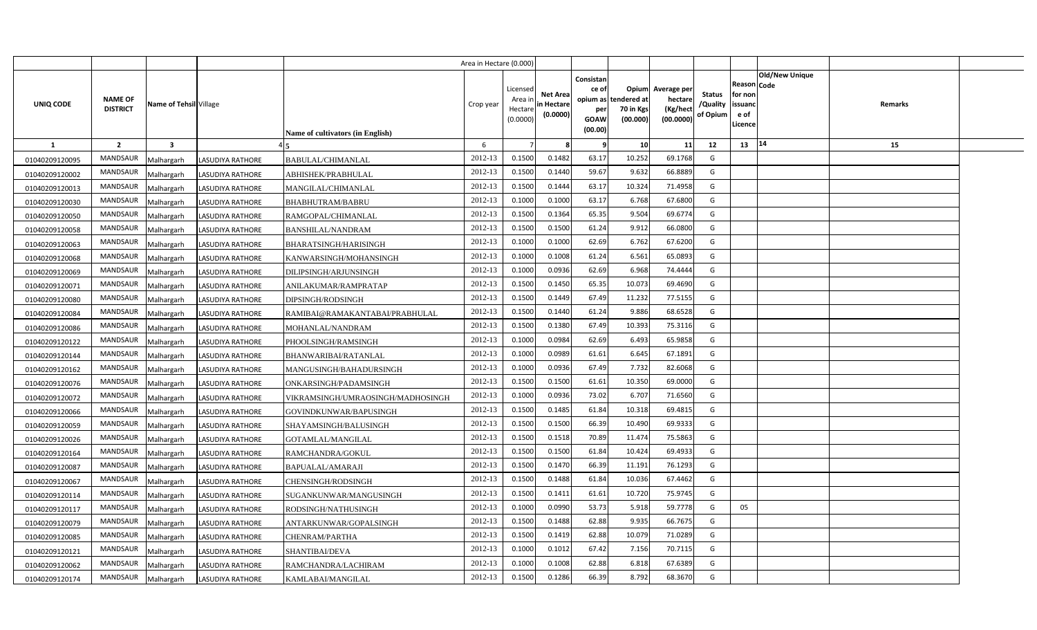|                  |                                   |                        |                         |                                   | Area in Hectare (0.000) |                                           |                                           |                                                     |                                                        |                                                 |                                       |                                                                               |         |  |
|------------------|-----------------------------------|------------------------|-------------------------|-----------------------------------|-------------------------|-------------------------------------------|-------------------------------------------|-----------------------------------------------------|--------------------------------------------------------|-------------------------------------------------|---------------------------------------|-------------------------------------------------------------------------------|---------|--|
| <b>UNIQ CODE</b> | <b>NAME OF</b><br><b>DISTRICT</b> | Name of Tehsil Village |                         | Name of cultivators (in English)  | Crop year               | Licensed<br>Area i<br>Hectare<br>(0.0000) | <b>Net Area</b><br>in Hectare<br>(0.0000) | Consistan<br>ce of<br>per<br><b>GOAW</b><br>(00.00) | Opium<br>opium as tendered at<br>70 in Kgs<br>(00.000) | Average per<br>hectare<br>(Kg/hect<br>(00.0000) | <b>Status</b><br>/Quality<br>of Opium | <b>Old/New Unique</b><br>Reason Code<br>for non<br>issuanc<br>e of<br>Licence | Remarks |  |
| 1                | $\overline{2}$                    | 3                      |                         |                                   | 6                       |                                           | 8                                         | - 9                                                 | 10                                                     | 11                                              | 12                                    | 14<br>13                                                                      | 15      |  |
| 01040209120095   | <b>MANDSAUR</b>                   | Malhargarh             | LASUDIYA RATHORE        | BABULAL/CHIMANLAL                 | 2012-13                 | 0.1500                                    | 0.1482                                    | 63.17                                               | 10.252                                                 | 69.1768                                         | G                                     |                                                                               |         |  |
| 01040209120002   | MANDSAUR                          | Malhargarh             | <b>LASUDIYA RATHORE</b> | ABHISHEK/PRABHULAL                | 2012-13                 | 0.1500                                    | 0.1440                                    | 59.67                                               | 9.632                                                  | 66.8889                                         | G                                     |                                                                               |         |  |
| 01040209120013   | MANDSAUR                          | Malhargarh             | <b>LASUDIYA RATHORE</b> | MANGILAL/CHIMANLAL                | 2012-13                 | 0.1500                                    | 0.1444                                    | 63.17                                               | 10.324                                                 | 71.4958                                         | G                                     |                                                                               |         |  |
| 01040209120030   | MANDSAUR                          | Malhargarh             | <b>LASUDIYA RATHORE</b> | BHABHUTRAM/BABRU                  | 2012-13                 | 0.1000                                    | 0.1000                                    | 63.17                                               | 6.768                                                  | 67.680                                          | G                                     |                                                                               |         |  |
| 01040209120050   | <b>MANDSAUR</b>                   | Malhargarh             | LASUDIYA RATHORE        | RAMGOPAL/CHIMANLAL                | 2012-13                 | 0.1500                                    | 0.1364                                    | 65.35                                               | 9.504                                                  | 69.677                                          | G                                     |                                                                               |         |  |
| 01040209120058   | MANDSAUR                          | Malhargarh             | LASUDIYA RATHORE        | BANSHILAL/NANDRAM                 | 2012-13                 | 0.1500                                    | 0.1500                                    | 61.24                                               | 9.912                                                  | 66.080                                          | G                                     |                                                                               |         |  |
| 01040209120063   | MANDSAUR                          | Malhargarh             | <b>LASUDIYA RATHORE</b> | BHARATSINGH/HARISINGH             | 2012-13                 | 0.1000                                    | 0.1000                                    | 62.69                                               | 6.762                                                  | 67.6200                                         | G                                     |                                                                               |         |  |
| 01040209120068   | MANDSAUR                          | Malhargarh             | <b>LASUDIYA RATHORE</b> | KANWARSINGH/MOHANSINGH            | 2012-13                 | 0.1000                                    | 0.1008                                    | 61.24                                               | 6.561                                                  | 65.089                                          | G                                     |                                                                               |         |  |
| 01040209120069   | MANDSAUR                          | Malhargarh             | <b>LASUDIYA RATHORE</b> | DILIPSINGH/ARJUNSINGH             | 2012-13                 | 0.1000                                    | 0.0936                                    | 62.69                                               | 6.968                                                  | 74.4444                                         | G                                     |                                                                               |         |  |
| 01040209120071   | MANDSAUR                          | Malhargarh             | <b>LASUDIYA RATHORE</b> | ANILAKUMAR/RAMPRATAP              | 2012-13                 | 0.1500                                    | 0.1450                                    | 65.35                                               | 10.073                                                 | 69.4690                                         | G                                     |                                                                               |         |  |
| 01040209120080   | MANDSAUR                          | Malhargarh             | <b>LASUDIYA RATHORE</b> | DIPSINGH/RODSINGH                 | 2012-13                 | 0.1500                                    | 0.1449                                    | 67.49                                               | 11.232                                                 | 77.5155                                         | G                                     |                                                                               |         |  |
| 01040209120084   | <b>MANDSAUR</b>                   | Malhargarh             | <b>LASUDIYA RATHORE</b> | RAMIBAI@RAMAKANTABAI/PRABHULAL    | 2012-13                 | 0.1500                                    | 0.1440                                    | 61.24                                               | 9.886                                                  | 68.6528                                         | G                                     |                                                                               |         |  |
| 01040209120086   | MANDSAUR                          | Malhargarh             | <b>LASUDIYA RATHORE</b> | MOHANLAL/NANDRAM                  | 2012-13                 | 0.1500                                    | 0.1380                                    | 67.49                                               | 10.393                                                 | 75.3116                                         | G                                     |                                                                               |         |  |
| 01040209120122   | <b>MANDSAUR</b>                   | Malhargarh             | <b>LASUDIYA RATHORE</b> | PHOOLSINGH/RAMSINGH               | 2012-13                 | 0.1000                                    | 0.0984                                    | 62.69                                               | 6.493                                                  | 65.9858                                         | G                                     |                                                                               |         |  |
| 01040209120144   | MANDSAUR                          | Malhargarh             | <b>LASUDIYA RATHORE</b> | BHANWARIBAI/RATANLAL              | 2012-13                 | 0.1000                                    | 0.0989                                    | 61.61                                               | 6.645                                                  | 67.1891                                         | G                                     |                                                                               |         |  |
| 01040209120162   | MANDSAUR                          | Malhargarh             | <b>LASUDIYA RATHORE</b> | MANGUSINGH/BAHADURSINGH           | 2012-13                 | 0.1000                                    | 0.0936                                    | 67.49                                               | 7.732                                                  | 82.6068                                         | G                                     |                                                                               |         |  |
| 01040209120076   | <b>MANDSAUR</b>                   | Malhargarh             | <b>LASUDIYA RATHORE</b> | ONKARSINGH/PADAMSINGH             | 2012-13                 | 0.1500                                    | 0.1500                                    | 61.61                                               | 10.350                                                 | 69.0000                                         | G                                     |                                                                               |         |  |
| 01040209120072   | MANDSAUR                          | Malhargarh             | <b>LASUDIYA RATHORE</b> | VIKRAMSINGH/UMRAOSINGH/MADHOSINGH | 2012-13                 | 0.1000                                    | 0.0936                                    | 73.02                                               | 6.707                                                  | 71.6560                                         | G                                     |                                                                               |         |  |
| 01040209120066   | <b>MANDSAUR</b>                   | Malhargarh             | <b>LASUDIYA RATHORE</b> | GOVINDKUNWAR/BAPUSINGH            | 2012-13                 | 0.1500                                    | 0.1485                                    | 61.84                                               | 10.318                                                 | 69.4815                                         | G                                     |                                                                               |         |  |
| 01040209120059   | MANDSAUR                          | Malhargarh             | <b>LASUDIYA RATHORE</b> | SHAYAMSINGH/BALUSINGH             | 2012-13                 | 0.1500                                    | 0.1500                                    | 66.39                                               | 10.490                                                 | 69.9333                                         | G                                     |                                                                               |         |  |
| 01040209120026   | <b>MANDSAUR</b>                   | Malhargarh             | LASUDIYA RATHORE        | GOTAMLAL/MANGILAL                 | 2012-13                 | 0.1500                                    | 0.1518                                    | 70.89                                               | 11.474                                                 | 75.5863                                         | G                                     |                                                                               |         |  |
| 01040209120164   | <b>MANDSAUR</b>                   | Malhargarh             | LASUDIYA RATHORE        | RAMCHANDRA/GOKUL                  | 2012-13                 | 0.1500                                    | 0.1500                                    | 61.84                                               | 10.424                                                 | 69.4933                                         | G                                     |                                                                               |         |  |
| 01040209120087   | <b>MANDSAUR</b>                   | Malhargarh             | <b>LASUDIYA RATHORE</b> | BAPUALAL/AMARAJI                  | 2012-13                 | 0.1500                                    | 0.1470                                    | 66.39                                               | 11.191                                                 | 76.1293                                         | G                                     |                                                                               |         |  |
| 01040209120067   | MANDSAUR                          | Malhargarh             | LASUDIYA RATHORE        | CHENSINGH/RODSINGH                | 2012-13                 | 0.1500                                    | 0.1488                                    | 61.84                                               | 10.036                                                 | 67.4462                                         | G                                     |                                                                               |         |  |
| 01040209120114   | MANDSAUR                          | Malhargarh             | <b>LASUDIYA RATHORE</b> | SUGANKUNWAR/MANGUSINGH            | 2012-13                 | 0.1500                                    | 0.1411                                    | 61.61                                               | 10.720                                                 | 75.9745                                         | G                                     |                                                                               |         |  |
| 01040209120117   | MANDSAUR                          | Malhargarh             | LASUDIYA RATHORE        | RODSINGH/NATHUSINGH               | 2012-13                 | 0.1000                                    | 0.0990                                    | 53.73                                               | 5.918                                                  | 59.7778                                         | G                                     | 05                                                                            |         |  |
| 01040209120079   | MANDSAUR                          | Malhargarh             | LASUDIYA RATHORE        | ANTARKUNWAR/GOPALSINGH            | 2012-13                 | 0.1500                                    | 0.1488                                    | 62.88                                               | 9.935                                                  | 66.7675                                         | G                                     |                                                                               |         |  |
| 01040209120085   | MANDSAUR                          | Malhargarh             | LASUDIYA RATHORE        | CHENRAM/PARTHA                    | 2012-13                 | 0.1500                                    | 0.1419                                    | 62.88                                               | 10.079                                                 | 71.028                                          | G                                     |                                                                               |         |  |
| 01040209120121   | MANDSAUR                          | Malhargarh             | LASUDIYA RATHORE        | SHANTIBAI/DEVA                    | 2012-13                 | 0.1000                                    | 0.1012                                    | 67.42                                               | 7.156                                                  | 70.7115                                         | G                                     |                                                                               |         |  |
| 01040209120062   | MANDSAUR                          | Malhargarh             | LASUDIYA RATHORE        | RAMCHANDRA/LACHIRAM               | 2012-13                 | 0.1000                                    | 0.1008                                    | 62.88                                               | 6.818                                                  | 67.638                                          | G                                     |                                                                               |         |  |
| 01040209120174   | MANDSAUR                          | Malhargarh             | <b>LASUDIYA RATHORE</b> | KAMLABAI/MANGILAL                 | 2012-13                 | 0.1500                                    | 0.1286                                    | 66.39                                               | 8.792                                                  | 68.3670                                         | G                                     |                                                                               |         |  |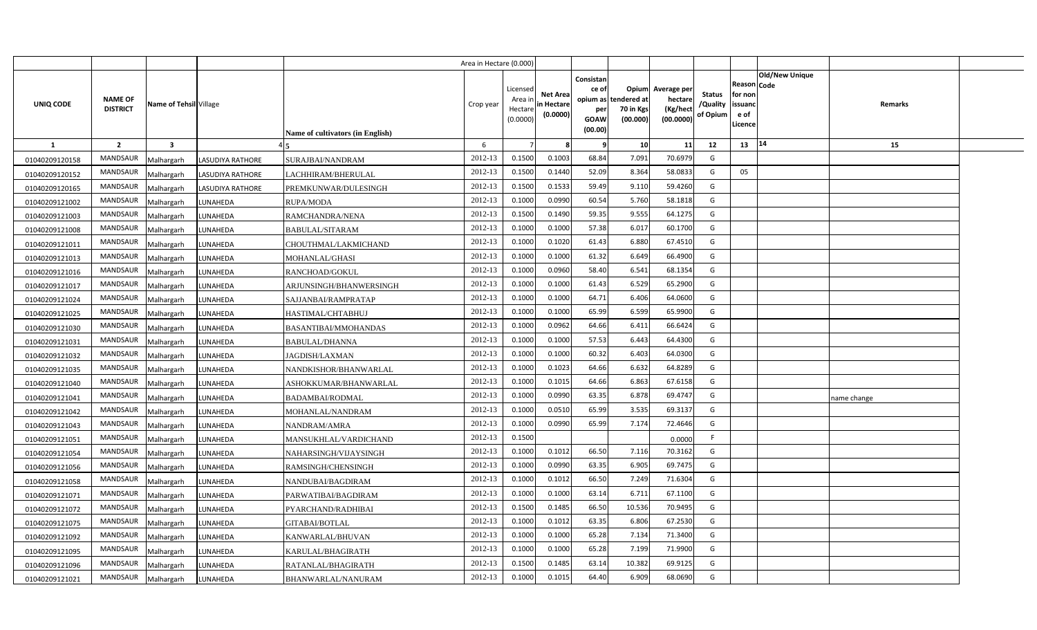|                |                                   |                         |                         |                                  | Area in Hectare (0.000) |                                            |                                           |                                                     |                                                        |                                                 |                                       |                                                      |                                  |  |
|----------------|-----------------------------------|-------------------------|-------------------------|----------------------------------|-------------------------|--------------------------------------------|-------------------------------------------|-----------------------------------------------------|--------------------------------------------------------|-------------------------------------------------|---------------------------------------|------------------------------------------------------|----------------------------------|--|
| UNIQ CODE      | <b>NAME OF</b><br><b>DISTRICT</b> | Name of Tehsil Village  |                         | Name of cultivators (in English) | Crop year               | Licensed<br>Area ir<br>Hectare<br>(0.0000) | <b>Net Area</b><br>in Hectare<br>(0.0000) | Consistan<br>ce of<br>per<br><b>GOAW</b><br>(00.00) | Opium<br>opium as tendered at<br>70 in Kgs<br>(00.000) | Average per<br>hectare<br>(Kg/hect<br>(00.0000) | <b>Status</b><br>/Quality<br>of Opium | Reason Code<br>for non<br>issuanc<br>e of<br>Licence | <b>Old/New Unique</b><br>Remarks |  |
| <b>1</b>       | $\overline{2}$                    | $\overline{\mathbf{3}}$ |                         |                                  | 6                       |                                            |                                           | - 9                                                 | 10                                                     | 11                                              | 12                                    | 13                                                   | 14<br>15                         |  |
| 01040209120158 | <b>MANDSAUR</b>                   | Malhargarh              | <b>LASUDIYA RATHORE</b> | SURAJBAI/NANDRAM                 | 2012-13                 | 0.1500                                     | 0.1003                                    | 68.84                                               | 7.091                                                  | 70.6979                                         | G                                     |                                                      |                                  |  |
| 01040209120152 | MANDSAUR                          | Malhargarh              | <b>LASUDIYA RATHORE</b> | LACHHIRAM/BHERULAL               | 2012-13                 | 0.1500                                     | 0.1440                                    | 52.09                                               | 8.364                                                  | 58.0833                                         | G                                     | 05                                                   |                                  |  |
| 01040209120165 | MANDSAUR                          | Malhargarh              | <b>LASUDIYA RATHORE</b> | PREMKUNWAR/DULESINGH             | 2012-13                 | 0.1500                                     | 0.1533                                    | 59.49                                               | 9.110                                                  | 59.4260                                         | G                                     |                                                      |                                  |  |
| 01040209121002 | MANDSAUR                          | Malhargarh              | LUNAHEDA                | RUPA/MODA                        | 2012-13                 | 0.1000                                     | 0.0990                                    | 60.54                                               | 5.760                                                  | 58.1818                                         | G                                     |                                                      |                                  |  |
| 01040209121003 | MANDSAUR                          | Malhargarh              | LUNAHEDA                | RAMCHANDRA/NENA                  | 2012-13                 | 0.1500                                     | 0.1490                                    | 59.35                                               | 9.555                                                  | 64.1275                                         | G                                     |                                                      |                                  |  |
| 01040209121008 | MANDSAUR                          | Malhargarh              | LUNAHEDA                | BABULAL/SITARAM                  | 2012-13                 | 0.1000                                     | 0.1000                                    | 57.38                                               | 6.017                                                  | 60.1700                                         | G                                     |                                                      |                                  |  |
| 01040209121011 | MANDSAUR                          | Malhargarh              | LUNAHEDA                | CHOUTHMAL/LAKMICHAND             | 2012-13                 | 0.1000                                     | 0.1020                                    | 61.43                                               | 6.880                                                  | 67.4510                                         | G                                     |                                                      |                                  |  |
| 01040209121013 | MANDSAUR                          | Malhargarh              | LUNAHEDA                | MOHANLAL/GHASI                   | 2012-13                 | 0.1000                                     | 0.1000                                    | 61.32                                               | 6.649                                                  | 66.4900                                         | G                                     |                                                      |                                  |  |
| 01040209121016 | MANDSAUR                          | Malhargarh              | LUNAHEDA                | RANCHOAD/GOKUL                   | 2012-13                 | 0.1000                                     | 0.0960                                    | 58.40                                               | 6.541                                                  | 68.1354                                         | G                                     |                                                      |                                  |  |
| 01040209121017 | MANDSAUR                          | Malhargarh              | LUNAHEDA                | ARJUNSINGH/BHANWERSINGH          | 2012-13                 | 0.1000                                     | 0.1000                                    | 61.43                                               | 6.529                                                  | 65.2900                                         | G                                     |                                                      |                                  |  |
| 01040209121024 | MANDSAUR                          | Malhargarh              | LUNAHEDA                | SAJJANBAI/RAMPRATAP              | 2012-13                 | 0.1000                                     | 0.1000                                    | 64.71                                               | 6.406                                                  | 64.0600                                         | G                                     |                                                      |                                  |  |
| 01040209121025 | MANDSAUR                          | Malhargarh              | LUNAHEDA                | HASTIMAL/CHTABHUJ                | 2012-13                 | 0.1000                                     | 0.1000                                    | 65.99                                               | 6.599                                                  | 65.9900                                         | G                                     |                                                      |                                  |  |
| 01040209121030 | MANDSAUR                          | Malhargarh              | LUNAHEDA                | BASANTIBAI/MMOHANDAS             | 2012-13                 | 0.1000                                     | 0.0962                                    | 64.66                                               | 6.411                                                  | 66.6424                                         | G                                     |                                                      |                                  |  |
| 01040209121031 | MANDSAUR                          | Malhargarh              | LUNAHEDA                | BABULAL/DHANNA                   | 2012-13                 | 0.1000                                     | 0.1000                                    | 57.53                                               | 6.443                                                  | 64.4300                                         | G                                     |                                                      |                                  |  |
| 01040209121032 | MANDSAUR                          | Malhargarh              | LUNAHEDA                | JAGDISH/LAXMAN                   | 2012-13                 | 0.1000                                     | 0.1000                                    | 60.32                                               | 6.403                                                  | 64.0300                                         | G                                     |                                                      |                                  |  |
| 01040209121035 | MANDSAUR                          | Malhargarh              | LUNAHEDA                | NANDKISHOR/BHANWARLAL            | 2012-13                 | 0.1000                                     | 0.1023                                    | 64.66                                               | 6.632                                                  | 64.8289                                         | G                                     |                                                      |                                  |  |
| 01040209121040 | <b>MANDSAUR</b>                   | Malhargarh              | LUNAHEDA                | ASHOKKUMAR/BHANWARLAL            | 2012-13                 | 0.1000                                     | 0.1015                                    | 64.66                                               | 6.863                                                  | 67.6158                                         | G                                     |                                                      |                                  |  |
| 01040209121041 | MANDSAUR                          | Malhargarh              | LUNAHEDA                | <b>BADAMBAI/RODMAL</b>           | 2012-13                 | 0.1000                                     | 0.0990                                    | 63.35                                               | 6.878                                                  | 69.4747                                         | G                                     |                                                      | name change                      |  |
| 01040209121042 | <b>MANDSAUR</b>                   | Malhargarh              | LUNAHEDA                | MOHANLAL/NANDRAM                 | 2012-13                 | 0.1000                                     | 0.0510                                    | 65.99                                               | 3.535                                                  | 69.3137                                         | G                                     |                                                      |                                  |  |
| 01040209121043 | <b>MANDSAUR</b>                   | Malhargarh              | LUNAHEDA                | NANDRAM/AMRA                     | 2012-13                 | 0.1000                                     | 0.0990                                    | 65.99                                               | 7.174                                                  | 72.4646                                         | G                                     |                                                      |                                  |  |
| 01040209121051 | <b>MANDSAUR</b>                   | Malhargarh              | LUNAHEDA                | MANSUKHLAL/VARDICHAND            | 2012-13                 | 0.1500                                     |                                           |                                                     |                                                        | 0.0000                                          | F                                     |                                                      |                                  |  |
| 01040209121054 | <b>MANDSAUR</b>                   | Malhargarh              | LUNAHEDA                | NAHARSINGH/VIJAYSINGH            | 2012-13                 | 0.1000                                     | 0.1012                                    | 66.50                                               | 7.116                                                  | 70.3162                                         | G                                     |                                                      |                                  |  |
| 01040209121056 | MANDSAUR                          | Malhargarh              | LUNAHEDA                | RAMSINGH/CHENSINGH               | 2012-13                 | 0.1000                                     | 0.0990                                    | 63.35                                               | 6.905                                                  | 69.7475                                         | G                                     |                                                      |                                  |  |
| 01040209121058 | <b>MANDSAUR</b>                   | Malhargarh              | LUNAHEDA                | NANDUBAI/BAGDIRAM                | 2012-13                 | 0.1000                                     | 0.1012                                    | 66.50                                               | 7.249                                                  | 71.6304                                         | G                                     |                                                      |                                  |  |
| 01040209121071 | MANDSAUR                          | Malhargarh              | LUNAHEDA                | PARWATIBAI/BAGDIRAM              | 2012-13                 | 0.1000                                     | 0.1000                                    | 63.14                                               | 6.711                                                  | 67.1100                                         | G                                     |                                                      |                                  |  |
| 01040209121072 | MANDSAUR                          | Malhargarh              | LUNAHEDA                | PYARCHAND/RADHIBAI               | 2012-13                 | 0.1500                                     | 0.1485                                    | 66.50                                               | 10.536                                                 | 70.9495                                         | G                                     |                                                      |                                  |  |
| 01040209121075 | MANDSAUR                          | Malhargarh              | LUNAHEDA                | GITABAI/BOTLAL                   | 2012-13                 | 0.1000                                     | 0.1012                                    | 63.35                                               | 6.806                                                  | 67.2530                                         | G                                     |                                                      |                                  |  |
| 01040209121092 | <b>MANDSAUR</b>                   | Malhargarh              | UNAHEDA                 | KANWARLAL/BHUVAN                 | 2012-13                 | 0.1000                                     | 0.1000                                    | 65.28                                               | 7.134                                                  | 71.3400                                         | G                                     |                                                      |                                  |  |
| 01040209121095 | MANDSAUR                          | Malhargarh              | LUNAHEDA                | KARULAL/BHAGIRATH                | 2012-13                 | 0.1000                                     | 0.1000                                    | 65.28                                               | 7.199                                                  | 71.9900                                         | G                                     |                                                      |                                  |  |
| 01040209121096 | MANDSAUR                          | Malhargarh              | LUNAHEDA                | RATANLAL/BHAGIRATH               | 2012-13                 | 0.1500                                     | 0.1485                                    | 63.14                                               | 10.382                                                 | 69.9125                                         | G                                     |                                                      |                                  |  |
| 01040209121021 | MANDSAUR                          | Malhargarh              | LUNAHEDA                | BHANWARLAL/NANURAM               | 2012-13                 | 0.1000                                     | 0.1015                                    | 64.40                                               | 6.909                                                  | 68.0690                                         | G                                     |                                                      |                                  |  |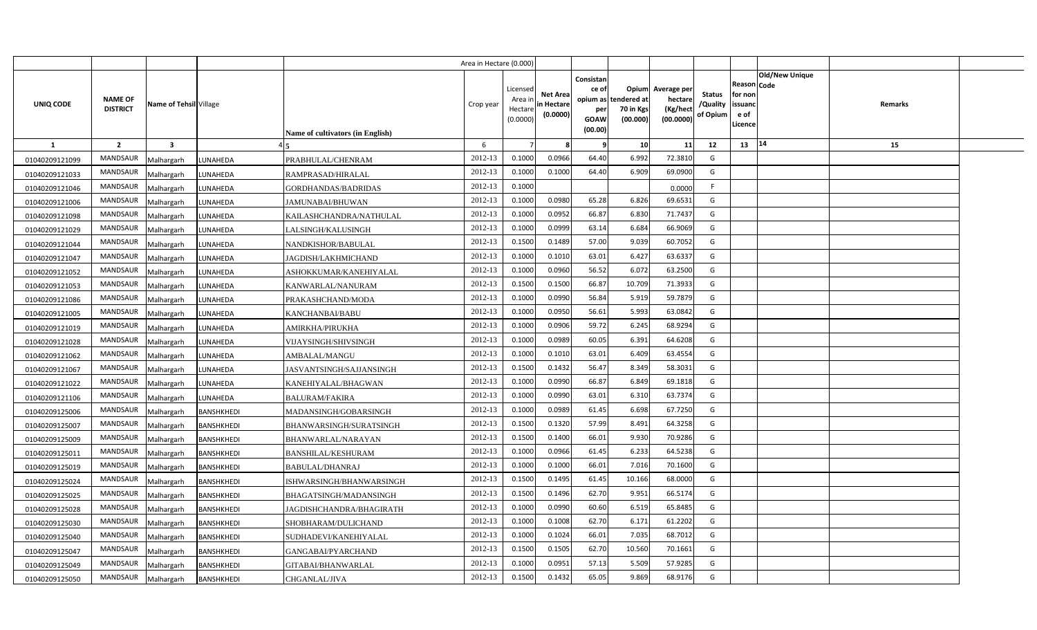|                |                                   |                         |                   |                                  | Area in Hectare (0.000) |                                            |                                           |                                                     |                                                        |                                                 |                                       |                                                      |                                  |  |
|----------------|-----------------------------------|-------------------------|-------------------|----------------------------------|-------------------------|--------------------------------------------|-------------------------------------------|-----------------------------------------------------|--------------------------------------------------------|-------------------------------------------------|---------------------------------------|------------------------------------------------------|----------------------------------|--|
| UNIQ CODE      | <b>NAME OF</b><br><b>DISTRICT</b> | Name of Tehsil Village  |                   | Name of cultivators (in English) | Crop year               | Licensed<br>Area ir<br>Hectare<br>(0.0000) | <b>Net Area</b><br>in Hectare<br>(0.0000) | Consistan<br>ce of<br>per<br><b>GOAW</b><br>(00.00) | Opium<br>opium as tendered at<br>70 in Kgs<br>(00.000) | Average per<br>hectare<br>(Kg/hect<br>(00.0000) | <b>Status</b><br>/Quality<br>of Opium | Reason Code<br>for non<br>issuanc<br>e of<br>Licence | <b>Old/New Unique</b><br>Remarks |  |
| <b>1</b>       | $\overline{2}$                    | $\overline{\mathbf{3}}$ |                   |                                  | 6                       |                                            |                                           | - 9                                                 | 10                                                     | 11                                              | 12                                    | 13                                                   | 14<br>15                         |  |
| 01040209121099 | <b>MANDSAUR</b>                   | Malhargarh              | LUNAHEDA          | PRABHULAL/CHENRAM                | 2012-13                 | 0.1000                                     | 0.0966                                    | 64.40                                               | 6.992                                                  | 72.3810                                         | G                                     |                                                      |                                  |  |
| 01040209121033 | MANDSAUR                          | Malhargarh              | LUNAHEDA          | RAMPRASAD/HIRALAL                | 2012-13                 | 0.1000                                     | 0.1000                                    | 64.40                                               | 6.909                                                  | 69.0900                                         | G                                     |                                                      |                                  |  |
| 01040209121046 | MANDSAUR                          | Malhargarh              | LUNAHEDA          | GORDHANDAS/BADRIDAS              | 2012-13                 | 0.1000                                     |                                           |                                                     |                                                        | 0.0000                                          | E                                     |                                                      |                                  |  |
| 01040209121006 | MANDSAUR                          | Malhargarh              | LUNAHEDA          | <b>JAMUNABAI/BHUWAN</b>          | 2012-13                 | 0.1000                                     | 0.0980                                    | 65.28                                               | 6.826                                                  | 69.6531                                         | G                                     |                                                      |                                  |  |
| 01040209121098 | MANDSAUR                          | Malhargarh              | LUNAHEDA          | KAILASHCHANDRA/NATHULAL          | 2012-13                 | 0.1000                                     | 0.0952                                    | 66.87                                               | 6.830                                                  | 71.7437                                         | G                                     |                                                      |                                  |  |
| 01040209121029 | MANDSAUR                          | Malhargarh              | LUNAHEDA          | LALSINGH/KALUSINGH               | 2012-13                 | 0.1000                                     | 0.0999                                    | 63.14                                               | 6.684                                                  | 66.9069                                         | G                                     |                                                      |                                  |  |
| 01040209121044 | MANDSAUR                          | Malhargarh              | LUNAHEDA          | NANDKISHOR/BABULAL               | 2012-13                 | 0.1500                                     | 0.1489                                    | 57.00                                               | 9.039                                                  | 60.7052                                         | G                                     |                                                      |                                  |  |
| 01040209121047 | MANDSAUR                          | Malhargarh              | LUNAHEDA          | JAGDISH/LAKHMICHAND              | 2012-13                 | 0.1000                                     | 0.1010                                    | 63.01                                               | 6.427                                                  | 63.6337                                         | G                                     |                                                      |                                  |  |
| 01040209121052 | MANDSAUR                          | Malhargarh              | LUNAHEDA          | ASHOKKUMAR/KANEHIYALAL           | 2012-13                 | 0.1000                                     | 0.0960                                    | 56.52                                               | 6.072                                                  | 63.2500                                         | G                                     |                                                      |                                  |  |
| 01040209121053 | MANDSAUR                          | Malhargarh              | LUNAHEDA          | KANWARLAL/NANURAM                | 2012-13                 | 0.1500                                     | 0.1500                                    | 66.87                                               | 10.709                                                 | 71.3933                                         | G                                     |                                                      |                                  |  |
| 01040209121086 | MANDSAUR                          | Malhargarh              | LUNAHEDA          | PRAKASHCHAND/MODA                | 2012-13                 | 0.1000                                     | 0.0990                                    | 56.84                                               | 5.919                                                  | 59.7879                                         | G                                     |                                                      |                                  |  |
| 01040209121005 | MANDSAUR                          | Malhargarh              | LUNAHEDA          | KANCHANBAI/BABU                  | 2012-13                 | 0.1000                                     | 0.095                                     | 56.61                                               | 5.993                                                  | 63.0842                                         | G                                     |                                                      |                                  |  |
| 01040209121019 | MANDSAUR                          | Malhargarh              | LUNAHEDA          | AMIRKHA/PIRUKHA                  | 2012-13                 | 0.1000                                     | 0.0906                                    | 59.72                                               | 6.245                                                  | 68.9294                                         | G                                     |                                                      |                                  |  |
| 01040209121028 | MANDSAUR                          | Malhargarh              | LUNAHEDA          | VIJAYSINGH/SHIVSINGH             | 2012-13                 | 0.1000                                     | 0.0989                                    | 60.05                                               | 6.391                                                  | 64.6208                                         | G                                     |                                                      |                                  |  |
| 01040209121062 | <b>MANDSAUR</b>                   | Malhargarh              | LUNAHEDA          | AMBALAL/MANGU                    | 2012-13                 | 0.1000                                     | 0.1010                                    | 63.01                                               | 6.409                                                  | 63.4554                                         | G                                     |                                                      |                                  |  |
| 01040209121067 | MANDSAUR                          | Malhargarh              | LUNAHEDA          | JASVANTSINGH/SAJJANSINGH         | 2012-13                 | 0.1500                                     | 0.1432                                    | 56.47                                               | 8.349                                                  | 58.3031                                         | G                                     |                                                      |                                  |  |
| 01040209121022 | <b>MANDSAUR</b>                   | Malhargarh              | LUNAHEDA          | KANEHIYALAL/BHAGWAN              | 2012-13                 | 0.1000                                     | 0.0990                                    | 66.87                                               | 6.849                                                  | 69.1818                                         | G                                     |                                                      |                                  |  |
| 01040209121106 | MANDSAUR                          | Malhargarh              | LUNAHEDA          | BALURAM/FAKIRA                   | 2012-13                 | 0.1000                                     | 0.0990                                    | 63.01                                               | 6.310                                                  | 63.7374                                         | G                                     |                                                      |                                  |  |
| 01040209125006 | <b>MANDSAUR</b>                   | Malhargarh              | <b>BANSHKHEDI</b> | MADANSINGH/GOBARSINGH            | 2012-13                 | 0.1000                                     | 0.0989                                    | 61.45                                               | 6.698                                                  | 67.7250                                         | G                                     |                                                      |                                  |  |
| 01040209125007 | <b>MANDSAUR</b>                   | Malhargarh              | BANSHKHEDI        | BHANWARSINGH/SURATSINGH          | 2012-13                 | 0.1500                                     | 0.1320                                    | 57.99                                               | 8.491                                                  | 64.3258                                         | G                                     |                                                      |                                  |  |
| 01040209125009 | <b>MANDSAUR</b>                   | Malhargarh              | <b>BANSHKHEDI</b> | BHANWARLAL/NARAYAN               | 2012-13                 | 0.1500                                     | 0.1400                                    | 66.01                                               | 9.930                                                  | 70.9286                                         | G                                     |                                                      |                                  |  |
| 01040209125011 | <b>MANDSAUR</b>                   | Malhargarh              | BANSHKHEDI        | <b>BANSHILAL/KESHURAM</b>        | 2012-13                 | 0.1000                                     | 0.0966                                    | 61.45                                               | 6.233                                                  | 64.5238                                         | G                                     |                                                      |                                  |  |
| 01040209125019 | MANDSAUR                          | Malhargarh              | <b>BANSHKHEDI</b> | BABULAL/DHANRAJ                  | 2012-13                 | 0.1000                                     | 0.1000                                    | 66.01                                               | 7.016                                                  | 70.1600                                         | G                                     |                                                      |                                  |  |
| 01040209125024 | <b>MANDSAUR</b>                   | Malhargarh              | BANSHKHEDI        | ISHWARSINGH/BHANWARSINGH         | 2012-13                 | 0.1500                                     | 0.1495                                    | 61.45                                               | 10.166                                                 | 68.0000                                         | G                                     |                                                      |                                  |  |
| 01040209125025 | MANDSAUR                          | Malhargarh              | <b>BANSHKHEDI</b> | BHAGATSINGH/MADANSINGH           | 2012-13                 | 0.1500                                     | 0.1496                                    | 62.70                                               | 9.951                                                  | 66.5174                                         | G                                     |                                                      |                                  |  |
| 01040209125028 | MANDSAUR                          | Malhargarh              | BANSHKHEDI        | JAGDISHCHANDRA/BHAGIRATH         | 2012-13                 | 0.1000                                     | 0.0990                                    | 60.60                                               | 6.519                                                  | 65.8485                                         | G                                     |                                                      |                                  |  |
| 01040209125030 | MANDSAUR                          | Malhargarh              | <b>BANSHKHEDI</b> | SHOBHARAM/DULICHAND              | 2012-13                 | 0.1000                                     | 0.1008                                    | 62.70                                               | 6.171                                                  | 61.2202                                         | G                                     |                                                      |                                  |  |
| 01040209125040 | MANDSAUR                          | Malhargarh              | <b>BANSHKHEDI</b> | SUDHADEVI/KANEHIYALAL            | 2012-13                 | 0.1000                                     | 0.1024                                    | 66.01                                               | 7.035                                                  | 68.7012                                         | G                                     |                                                      |                                  |  |
| 01040209125047 | MANDSAUR                          | Malhargarh              | <b>BANSHKHEDI</b> | GANGABAI/PYARCHAND               | 2012-13                 | 0.1500                                     | 0.1505                                    | 62.70                                               | 10.560                                                 | 70.1661                                         | G                                     |                                                      |                                  |  |
| 01040209125049 | MANDSAUR                          | Malhargarh              | <b>BANSHKHEDI</b> | GITABAI/BHANWARLAL               | 2012-13                 | 0.1000                                     | 0.0952                                    | 57.13                                               | 5.509                                                  | 57.9285                                         | G                                     |                                                      |                                  |  |
| 01040209125050 | MANDSAUR                          | Malhargarh              | <b>BANSHKHEDI</b> | CHGANLAL/JIVA                    | 2012-13                 | 0.1500                                     | 0.1432                                    | 65.05                                               | 9.869                                                  | 68.9176                                         | G                                     |                                                      |                                  |  |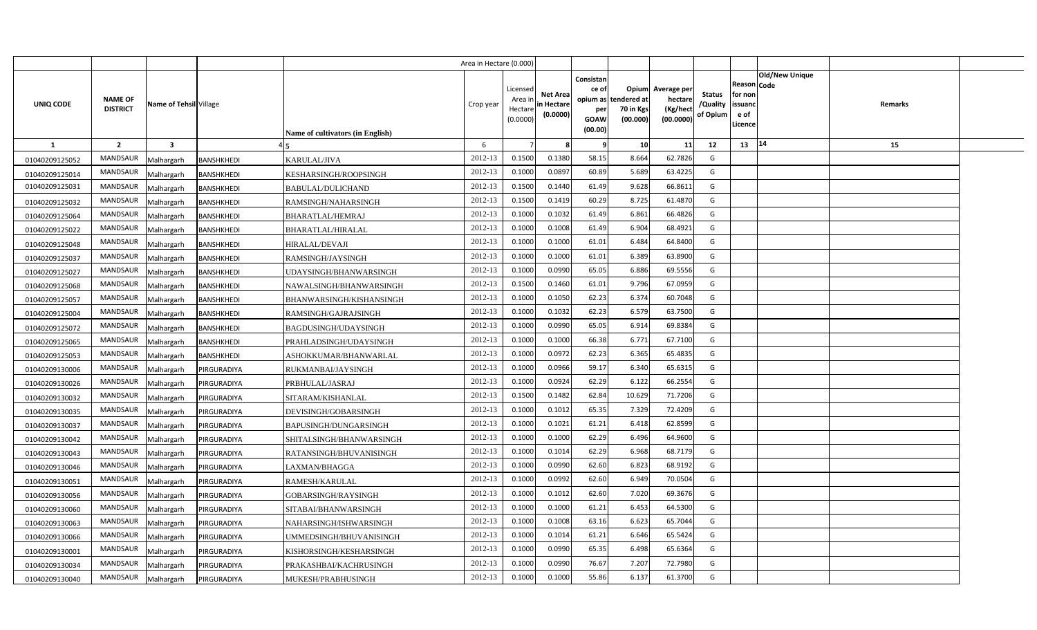|                |                                   |                         |                   |                                  | Area in Hectare (0.000) |                                            |                                           |                                                     |                                                        |                                                 |                                       |                                                      |                                  |  |
|----------------|-----------------------------------|-------------------------|-------------------|----------------------------------|-------------------------|--------------------------------------------|-------------------------------------------|-----------------------------------------------------|--------------------------------------------------------|-------------------------------------------------|---------------------------------------|------------------------------------------------------|----------------------------------|--|
| UNIQ CODE      | <b>NAME OF</b><br><b>DISTRICT</b> | Name of Tehsil Village  |                   | Name of cultivators (in English) | Crop year               | Licensed<br>Area ir<br>Hectare<br>(0.0000) | <b>Net Area</b><br>in Hectare<br>(0.0000) | Consistan<br>ce of<br>per<br><b>GOAW</b><br>(00.00) | Opium<br>opium as tendered at<br>70 in Kgs<br>(00.000) | Average per<br>hectare<br>(Kg/hect<br>(00.0000) | <b>Status</b><br>/Quality<br>of Opium | Reason Code<br>for non<br>issuanc<br>e of<br>Licence | <b>Old/New Unique</b><br>Remarks |  |
| <b>1</b>       | $\overline{2}$                    | $\overline{\mathbf{3}}$ |                   |                                  | 6                       |                                            |                                           | 9                                                   | 10                                                     | 11                                              | 12                                    | 13                                                   | 14<br>15                         |  |
| 01040209125052 | <b>MANDSAUR</b>                   | Malhargarh              | <b>BANSHKHEDI</b> | KARULAL/JIVA                     | 2012-13                 | 0.1500                                     | 0.1380                                    | 58.15                                               | 8.664                                                  | 62.7826                                         | G                                     |                                                      |                                  |  |
| 01040209125014 | MANDSAUR                          | Malhargarh              | <b>BANSHKHEDI</b> | KESHARSINGH/ROOPSINGH            | 2012-13                 | 0.1000                                     | 0.0897                                    | 60.89                                               | 5.689                                                  | 63.4225                                         | G                                     |                                                      |                                  |  |
| 01040209125031 | MANDSAUR                          | Malhargarh              | <b>BANSHKHEDI</b> | BABULAL/DULICHAND                | 2012-13                 | 0.1500                                     | 0.1440                                    | 61.49                                               | 9.628                                                  | 66.8611                                         | G                                     |                                                      |                                  |  |
| 01040209125032 | MANDSAUR                          | Malhargarh              | <b>BANSHKHEDI</b> | RAMSINGH/NAHARSINGH              | 2012-13                 | 0.1500                                     | 0.1419                                    | 60.29                                               | 8.725                                                  | 61.4870                                         | G                                     |                                                      |                                  |  |
| 01040209125064 | MANDSAUR                          | Malhargarh              | <b>BANSHKHEDI</b> | BHARATLAL/HEMRAJ                 | 2012-13                 | 0.1000                                     | 0.1032                                    | 61.49                                               | 6.861                                                  | 66.4826                                         | G                                     |                                                      |                                  |  |
| 01040209125022 | <b>MANDSAUR</b>                   | Malhargarh              | <b>BANSHKHEDI</b> | BHARATLAL/HIRALAL                | 2012-13                 | 0.1000                                     | 0.1008                                    | 61.49                                               | 6.904                                                  | 68.4921                                         | G                                     |                                                      |                                  |  |
| 01040209125048 | MANDSAUR                          | Malhargarh              | <b>BANSHKHEDI</b> | HIRALAL/DEVAJI                   | 2012-13                 | 0.1000                                     | 0.1000                                    | 61.01                                               | 6.484                                                  | 64.8400                                         | G                                     |                                                      |                                  |  |
| 01040209125037 | MANDSAUR                          | Malhargarh              | <b>BANSHKHEDI</b> | RAMSINGH/JAYSINGH                | 2012-13                 | 0.1000                                     | 0.1000                                    | 61.01                                               | 6.389                                                  | 63.8900                                         | G                                     |                                                      |                                  |  |
| 01040209125027 | MANDSAUR                          | Malhargarh              | <b>BANSHKHEDI</b> | UDAYSINGH/BHANWARSINGH           | 2012-13                 | 0.1000                                     | 0.0990                                    | 65.05                                               | 6.886                                                  | 69.5556                                         | G                                     |                                                      |                                  |  |
| 01040209125068 | MANDSAUR                          | Malhargarh              | <b>BANSHKHEDI</b> | NAWALSINGH/BHANWARSINGH          | 2012-13                 | 0.1500                                     | 0.1460                                    | 61.01                                               | 9.796                                                  | 67.0959                                         | G                                     |                                                      |                                  |  |
| 01040209125057 | MANDSAUR                          | Malhargarh              | <b>BANSHKHEDI</b> | BHANWARSINGH/KISHANSINGH         | 2012-13                 | 0.1000                                     | 0.1050                                    | 62.23                                               | 6.374                                                  | 60.7048                                         | G                                     |                                                      |                                  |  |
| 01040209125004 | MANDSAUR                          | Malhargarh              | <b>BANSHKHEDI</b> | RAMSINGH/GAJRAJSINGH             | 2012-13                 | 0.1000                                     | 0.1032                                    | 62.23                                               | 6.579                                                  | 63.7500                                         | G                                     |                                                      |                                  |  |
| 01040209125072 | MANDSAUR                          | Malhargarh              | <b>BANSHKHEDI</b> | BAGDUSINGH/UDAYSINGH             | 2012-13                 | 0.1000                                     | 0.0990                                    | 65.05                                               | 6.914                                                  | 69.8384                                         | G                                     |                                                      |                                  |  |
| 01040209125065 | MANDSAUR                          | Malhargarh              | BANSHKHEDI        | PRAHLADSINGH/UDAYSINGH           | 2012-13                 | 0.1000                                     | 0.1000                                    | 66.38                                               | 6.771                                                  | 67.7100                                         | G                                     |                                                      |                                  |  |
| 01040209125053 | MANDSAUR                          | Malhargarh              | <b>BANSHKHEDI</b> | ASHOKKUMAR/BHANWARLAL            | 2012-13                 | 0.1000                                     | 0.0972                                    | 62.23                                               | 6.365                                                  | 65.4835                                         | G                                     |                                                      |                                  |  |
| 01040209130006 | <b>MANDSAUR</b>                   | Malhargarh              | PIRGURADIYA       | RUKMANBAI/JAYSINGH               | 2012-13                 | 0.1000                                     | 0.0966                                    | 59.17                                               | 6.340                                                  | 65.6315                                         | G                                     |                                                      |                                  |  |
| 01040209130026 | MANDSAUR                          | Malhargarh              | PIRGURADIYA       | PRBHULAL/JASRAJ                  | 2012-13                 | 0.1000                                     | 0.0924                                    | 62.29                                               | 6.122                                                  | 66.2554                                         | G                                     |                                                      |                                  |  |
| 01040209130032 | <b>MANDSAUR</b>                   | Malhargarh              | PIRGURADIYA       | SITARAM/KISHANLAL                | 2012-13                 | 0.1500                                     | 0.1482                                    | 62.84                                               | 10.629                                                 | 71.7206                                         | G                                     |                                                      |                                  |  |
| 01040209130035 | <b>MANDSAUR</b>                   | Malhargarh              | PIRGURADIYA       | DEVISINGH/GOBARSINGH             | 2012-13                 | 0.1000                                     | 0.1012                                    | 65.35                                               | 7.329                                                  | 72.4209                                         | G                                     |                                                      |                                  |  |
| 01040209130037 | <b>MANDSAUR</b>                   | Malhargarh              | PIRGURADIYA       | BAPUSINGH/DUNGARSINGH            | 2012-13                 | 0.1000                                     | 0.1021                                    | 61.21                                               | 6.418                                                  | 62.8599                                         | G                                     |                                                      |                                  |  |
| 01040209130042 | <b>MANDSAUR</b>                   | Malhargarh              | PIRGURADIYA       | SHITALSINGH/BHANWARSINGH         | 2012-13                 | 0.1000                                     | 0.1000                                    | 62.29                                               | 6.496                                                  | 64.9600                                         | G                                     |                                                      |                                  |  |
| 01040209130043 | MANDSAUR                          | Malhargarh              | PIRGURADIYA       | RATANSINGH/BHUVANISINGH          | 2012-13                 | 0.1000                                     | 0.1014                                    | 62.29                                               | 6.968                                                  | 68.7179                                         | G                                     |                                                      |                                  |  |
| 01040209130046 | <b>MANDSAUR</b>                   | Malhargarh              | PIRGURADIYA       | LAXMAN/BHAGGA                    | 2012-13                 | 0.1000                                     | 0.0990                                    | 62.60                                               | 6.823                                                  | 68.9192                                         | G                                     |                                                      |                                  |  |
| 01040209130051 | MANDSAUR                          | Malhargarh              | PIRGURADIYA       | RAMESH/KARULAL                   | 2012-13                 | 0.1000                                     | 0.0992                                    | 62.60                                               | 6.949                                                  | 70.0504                                         | G                                     |                                                      |                                  |  |
| 01040209130056 | MANDSAUR                          | Malhargarh              | PIRGURADIYA       | GOBARSINGH/RAYSINGH              | 2012-13                 | 0.1000                                     | 0.1012                                    | 62.60                                               | 7.020                                                  | 69.3676                                         | G                                     |                                                      |                                  |  |
| 01040209130060 | MANDSAUR                          | Malhargarh              | PIRGURADIYA       | SITABAI/BHANWARSINGH             | 2012-13                 | 0.1000                                     | 0.1000                                    | 61.21                                               | 6.453                                                  | 64.5300                                         | G                                     |                                                      |                                  |  |
| 01040209130063 | MANDSAUR                          | Malhargarh              | PIRGURADIYA       | NAHARSINGH/ISHWARSINGH           | 2012-13                 | 0.1000                                     | 0.1008                                    | 63.16                                               | 6.623                                                  | 65.7044                                         | G                                     |                                                      |                                  |  |
| 01040209130066 | MANDSAUR                          | Malhargarh              | PIRGURADIYA       | UMMEDSINGH/BHUVANISINGH          | 2012-13                 | 0.1000                                     | 0.1014                                    | 61.21                                               | 6.646                                                  | 65.5424                                         | G                                     |                                                      |                                  |  |
| 01040209130001 | MANDSAUR                          | Malhargarh              | PIRGURADIYA       | KISHORSINGH/KESHARSINGH          | 2012-13                 | 0.1000                                     | 0.0990                                    | 65.35                                               | 6.498                                                  | 65.6364                                         | G                                     |                                                      |                                  |  |
| 01040209130034 | MANDSAUR                          | Malhargarh              | PIRGURADIYA       | PRAKASHBAI/KACHRUSINGH           | 2012-13                 | 0.1000                                     | 0.0990                                    | 76.67                                               | 7.207                                                  | 72.7980                                         | G                                     |                                                      |                                  |  |
| 01040209130040 | MANDSAUR                          | Malhargarh              | PIRGURADIYA       | MUKESH/PRABHUSINGH               | 2012-13                 | 0.1000                                     | 0.1000                                    | 55.86                                               | 6.137                                                  | 61.3700                                         | G                                     |                                                      |                                  |  |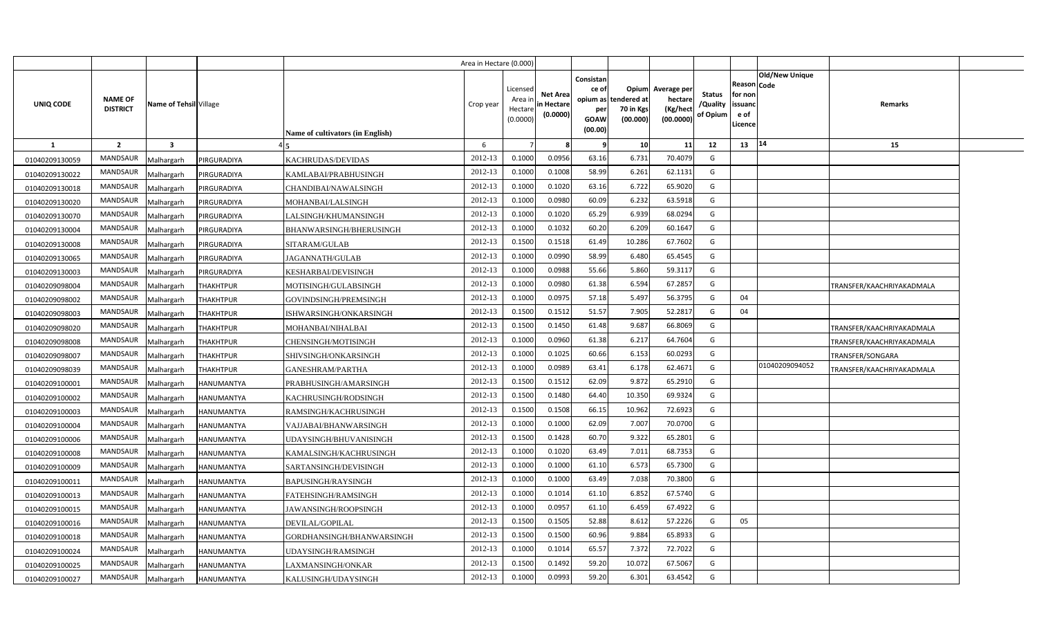|                  |                                   |                                 |                                  | Area in Hectare (0.000 |                                          |                                           |                                                     |                                                        |                                                 |                                       |                                                                        |                           |  |
|------------------|-----------------------------------|---------------------------------|----------------------------------|------------------------|------------------------------------------|-------------------------------------------|-----------------------------------------------------|--------------------------------------------------------|-------------------------------------------------|---------------------------------------|------------------------------------------------------------------------|---------------------------|--|
| <b>UNIQ CODE</b> | <b>NAME OF</b><br><b>DISTRICT</b> | Name of Tehsil Village          | Name of cultivators (in English) | Crop year              | Licensed<br>Area i<br>Hectar<br>(0.0000) | <b>Net Area</b><br>in Hectare<br>(0.0000) | Consistan<br>ce of<br>per<br><b>GOAW</b><br>(00.00) | Opium<br>opium as tendered at<br>70 in Kgs<br>(00.000) | Average per<br>hectare<br>(Kg/hect<br>(00.0000) | <b>Status</b><br>/Quality<br>of Opium | Old/New Unique<br>Reason Code<br>for nor<br>issuanc<br>e of<br>Licence | Remarks                   |  |
| 1                | $\overline{2}$                    | $\overline{\mathbf{3}}$         |                                  | 6                      |                                          | 8                                         | 9                                                   | 10 <sup>1</sup>                                        | 11                                              | 12                                    | 14<br>13                                                               | 15                        |  |
| 01040209130059   | MANDSAUR                          | <b>IRGURADIYA</b><br>Malhargarh | KACHRUDAS/DEVIDAS                | 2012-13                | 0.1000                                   | 0.0956                                    | 63.16                                               | 6.731                                                  | 70.4079                                         | G                                     |                                                                        |                           |  |
| 01040209130022   | MANDSAUR                          | PIRGURADIYA<br>Malhargarh       | KAMLABAI/PRABHUSINGH             | 2012-13                | 0.1000                                   | 0.1008                                    | 58.99                                               | 6.261                                                  | 62.1131                                         | G                                     |                                                                        |                           |  |
| 01040209130018   | MANDSAUR                          | PIRGURADIYA<br>Malhargarh       | CHANDIBAI/NAWALSINGH             | 2012-13                | 0.1000                                   | 0.1020                                    | 63.16                                               | 6.722                                                  | 65.9020                                         | G                                     |                                                                        |                           |  |
| 01040209130020   | MANDSAUR                          | PIRGURADIYA<br>Malhargarh       | MOHANBAI/LALSINGH                | 2012-13                | 0.1000                                   | 0.0980                                    | 60.09                                               | 6.232                                                  | 63.5918                                         | G                                     |                                                                        |                           |  |
| 01040209130070   | MANDSAUR                          | PIRGURADIYA<br>Malhargarh       | LALSINGH/KHUMANSINGH             | 2012-13                | 0.1000                                   | 0.1020                                    | 65.29                                               | 6.939                                                  | 68.0294                                         | G                                     |                                                                        |                           |  |
| 01040209130004   | MANDSAUR                          | Malhargarh<br>PIRGURADIYA       | BHANWARSINGH/BHERUSINGH          | 2012-13                | 0.1000                                   | 0.1032                                    | 60.20                                               | 6.209                                                  | 60.1647                                         | G                                     |                                                                        |                           |  |
| 01040209130008   | MANDSAUR                          | Malhargarh<br>PIRGURADIYA       | SITARAM/GULAB                    | 2012-13                | 0.1500                                   | 0.1518                                    | 61.49                                               | 10.286                                                 | 67.7602                                         | G                                     |                                                                        |                           |  |
| 01040209130065   | MANDSAUR                          | Malhargarh<br>PIRGURADIYA       | JAGANNATH/GULAB                  | 2012-13                | 0.1000                                   | 0.0990                                    | 58.99                                               | 6.480                                                  | 65.4545                                         | G                                     |                                                                        |                           |  |
| 01040209130003   | MANDSAUR                          | PIRGURADIYA<br>Malhargarh       | KESHARBAI/DEVISINGH              | 2012-13                | 0.1000                                   | 0.0988                                    | 55.66                                               | 5.860                                                  | 59.3117                                         | G                                     |                                                                        |                           |  |
| 01040209098004   | MANDSAUR                          | Malhargarh<br><b>THAKHTPUR</b>  | MOTISINGH/GULABSINGH             | 2012-13                | 0.1000                                   | 0.0980                                    | 61.38                                               | 6.594                                                  | 67.2857                                         | G                                     |                                                                        | TRANSFER/KAACHRIYAKADMALA |  |
| 01040209098002   | MANDSAUR                          | Malhargarh<br><b>THAKHTPUR</b>  | GOVINDSINGH/PREMSINGH            | 2012-13                | 0.1000                                   | 0.0975                                    | 57.18                                               | 5.497                                                  | 56.3795                                         | G                                     | 04                                                                     |                           |  |
| 01040209098003   | MANDSAUR                          | Malhargarh<br><b>THAKHTPUR</b>  | ISHWARSINGH/ONKARSINGH           | 2012-13                | 0.1500                                   | 0.1512                                    | 51.57                                               | 7.905                                                  | 52.2817                                         | G                                     | 04                                                                     |                           |  |
| 01040209098020   | MANDSAUR                          | Malhargarh<br><b>THAKHTPUR</b>  | MOHANBAI/NIHALBAI                | 2012-13                | 0.1500                                   | 0.1450                                    | 61.48                                               | 9.687                                                  | 66.8069                                         | G                                     |                                                                        | TRANSFER/KAACHRIYAKADMALA |  |
| 01040209098008   | MANDSAUR                          | <b>THAKHTPUR</b><br>Malhargarh  | CHENSINGH/MOTISINGH              | 2012-13                | 0.1000                                   | 0.0960                                    | 61.38                                               | 6.217                                                  | 64.7604                                         | G                                     |                                                                        | TRANSFER/KAACHRIYAKADMALA |  |
| 01040209098007   | MANDSAUR                          | <b>THAKHTPUR</b><br>Malhargarh  | SHIVSINGH/ONKARSINGH             | 2012-13                | 0.1000                                   | 0.1025                                    | 60.66                                               | 6.153                                                  | 60.0293                                         | G                                     |                                                                        | TRANSFER/SONGARA          |  |
| 01040209098039   | MANDSAUR                          | Malhargarh<br><b>THAKHTPUR</b>  | GANESHRAM/PARTHA                 | 2012-13                | 0.1000                                   | 0.0989                                    | 63.41                                               | 6.178                                                  | 62.4671                                         | G                                     | 01040209094052                                                         | TRANSFER/KAACHRIYAKADMALA |  |
| 01040209100001   | <b>MANDSAUR</b>                   | Malhargarh<br><b>HANUMANTYA</b> | PRABHUSINGH/AMARSINGH            | 2012-13                | 0.1500                                   | 0.1512                                    | 62.09                                               | 9.872                                                  | 65.2910                                         | G                                     |                                                                        |                           |  |
| 01040209100002   | MANDSAUR                          | Malhargarh<br><b>HANUMANTYA</b> | KACHRUSINGH/RODSINGH             | 2012-13                | 0.1500                                   | 0.1480                                    | 64.40                                               | 10.350                                                 | 69.9324                                         | G                                     |                                                                        |                           |  |
| 01040209100003   | <b>MANDSAUR</b>                   | Malhargarh<br>HANUMANTYA        | RAMSINGH/KACHRUSINGH             | 2012-13                | 0.1500                                   | 0.1508                                    | 66.15                                               | 10.962                                                 | 72.6923                                         | G                                     |                                                                        |                           |  |
| 01040209100004   | <b>MANDSAUR</b>                   | Malhargarh<br>HANUMANTYA        | VAJJABAI/BHANWARSINGH            | 2012-13                | 0.1000                                   | 0.1000                                    | 62.09                                               | 7.007                                                  | 70.0700                                         | G                                     |                                                                        |                           |  |
| 01040209100006   | MANDSAUR                          | Malhargarh<br>HANUMANTYA        | UDAYSINGH/BHUVANISINGH           | 2012-13                | 0.1500                                   | 0.1428                                    | 60.70                                               | 9.322                                                  | 65.2801                                         | G                                     |                                                                        |                           |  |
| 01040209100008   | <b>MANDSAUR</b>                   | Malhargarh<br>HANUMANTYA        | KAMALSINGH/KACHRUSINGH           | 2012-13                | 0.1000                                   | 0.1020                                    | 63.49                                               | 7.011                                                  | 68.7353                                         | G                                     |                                                                        |                           |  |
| 01040209100009   | MANDSAUR                          | Malhargarh<br>HANUMANTYA        | SARTANSINGH/DEVISINGH            | 2012-13                | 0.1000                                   | 0.1000                                    | 61.10                                               | 6.573                                                  | 65.7300                                         | G                                     |                                                                        |                           |  |
| 01040209100011   | MANDSAUR                          | HANUMANTYA<br>Malhargarh        | BAPUSINGH/RAYSINGH               | 2012-13                | 0.1000                                   | 0.1000                                    | 63.49                                               | 7.038                                                  | 70.3800                                         | G                                     |                                                                        |                           |  |
| 01040209100013   | MANDSAUR                          | Malhargarh<br>HANUMANTYA        | FATEHSINGH/RAMSINGH              | 2012-13                | 0.1000                                   | 0.1014                                    | 61.10                                               | 6.852                                                  | 67.5740                                         | G                                     |                                                                        |                           |  |
| 01040209100015   | MANDSAUR                          | Malhargarh<br>HANUMANTYA        | JAWANSINGH/ROOPSINGH             | 2012-13                | 0.1000                                   | 0.0957                                    | 61.10                                               | 6.459                                                  | 67.4922                                         | G                                     |                                                                        |                           |  |
| 01040209100016   | MANDSAUR                          | Malhargarh<br>HANUMANTYA        | DEVILAL/GOPILAL                  | 2012-13                | 0.1500                                   | 0.1505                                    | 52.88                                               | 8.612                                                  | 57.2226                                         | G                                     | 05                                                                     |                           |  |
| 01040209100018   | MANDSAUR                          | Malhargarh<br>HANUMANTYA        | GORDHANSINGH/BHANWARSINGH        | 2012-13                | 0.1500                                   | 0.1500                                    | 60.96                                               | 9.884                                                  | 65.8933                                         | G                                     |                                                                        |                           |  |
| 01040209100024   | MANDSAUR                          | Malhargarh<br>HANUMANTYA        | UDAYSINGH/RAMSINGH               | 2012-13                | 0.1000                                   | 0.1014                                    | 65.57                                               | 7.372                                                  | 72.7022                                         | G                                     |                                                                        |                           |  |
| 01040209100025   | <b>MANDSAUR</b>                   | Malhargarh<br>HANUMANTYA        | LAXMANSINGH/ONKAR                | 2012-13                | 0.1500                                   | 0.1492                                    | 59.20                                               | 10.072                                                 | 67.5067                                         | G                                     |                                                                        |                           |  |
| 01040209100027   | MANDSAUR                          | Malhargarh<br><b>HANUMANTYA</b> | KALUSINGH/UDAYSINGH              | 2012-13                | 0.1000                                   | 0.0993                                    | 59.20                                               | 6.301                                                  | 63.4542                                         | G                                     |                                                                        |                           |  |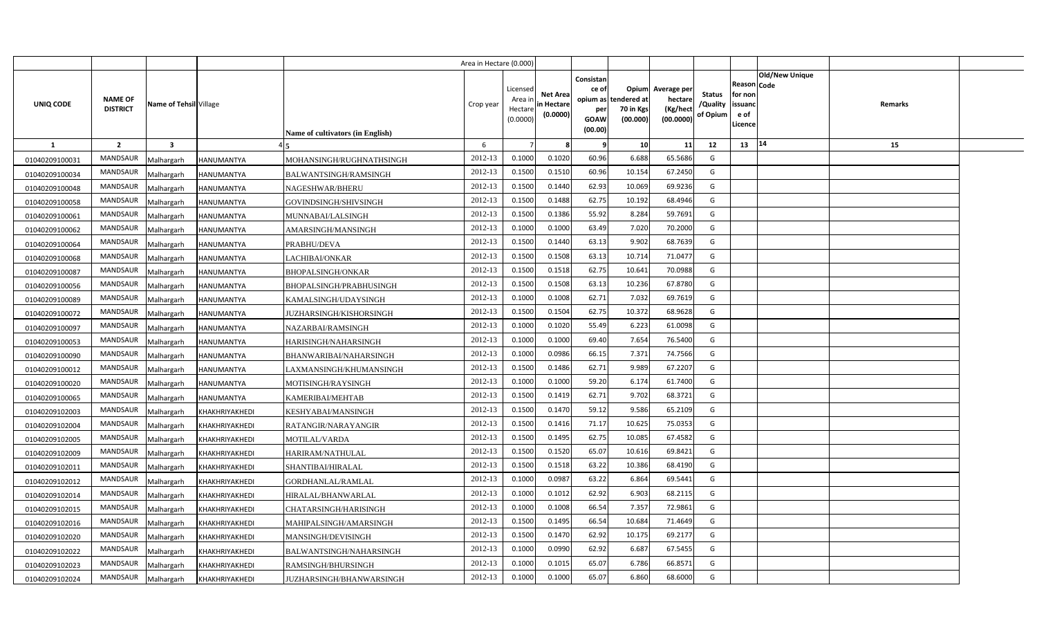|                |                                   |                         |                       |                                  | Area in Hectare (0.000) |                                            |                                           |                                                     |                                                        |                                                 |                                       |                                                        |                                  |  |
|----------------|-----------------------------------|-------------------------|-----------------------|----------------------------------|-------------------------|--------------------------------------------|-------------------------------------------|-----------------------------------------------------|--------------------------------------------------------|-------------------------------------------------|---------------------------------------|--------------------------------------------------------|----------------------------------|--|
| UNIQ CODE      | <b>NAME OF</b><br><b>DISTRICT</b> | Name of Tehsil Village  |                       | Name of cultivators (in English) | Crop year               | Licensed<br>Area ir<br>Hectare<br>(0.0000) | <b>Net Area</b><br>in Hectare<br>(0.0000) | Consistan<br>ce of<br>per<br><b>GOAW</b><br>(00.00) | Opium<br>opium as tendered at<br>70 in Kgs<br>(00.000) | Average per<br>hectare<br>(Kg/hect<br>(00.0000) | <b>Status</b><br>/Quality<br>of Opium | Reason   Code<br>for non<br>issuanc<br>e of<br>Licence | <b>Old/New Unique</b><br>Remarks |  |
| <b>1</b>       | $\overline{2}$                    | $\overline{\mathbf{3}}$ |                       |                                  | 6                       |                                            |                                           | 9                                                   | 10                                                     | 11                                              | 12                                    | 13                                                     | 14<br>15                         |  |
| 01040209100031 | <b>MANDSAUR</b>                   | Malhargarh              | <b>HANUMANTYA</b>     | MOHANSINGH/RUGHNATHSINGH         | 2012-13                 | 0.1000                                     | 0.1020                                    | 60.96                                               | 6.688                                                  | 65.5686                                         | G                                     |                                                        |                                  |  |
| 01040209100034 | MANDSAUR                          | Malhargarh              | <b>HANUMANTYA</b>     | BALWANTSINGH/RAMSINGH            | 2012-13                 | 0.1500                                     | 0.151(                                    | 60.96                                               | 10.154                                                 | 67.2450                                         | G                                     |                                                        |                                  |  |
| 01040209100048 | MANDSAUR                          | Malhargarh              | <b>HANUMANTYA</b>     | NAGESHWAR/BHERU                  | 2012-13                 | 0.1500                                     | 0.1440                                    | 62.93                                               | 10.069                                                 | 69.9236                                         | G                                     |                                                        |                                  |  |
| 01040209100058 | MANDSAUR                          | Malhargarh              | HANUMANTYA            | GOVINDSINGH/SHIVSINGH            | 2012-13                 | 0.1500                                     | 0.1488                                    | 62.75                                               | 10.192                                                 | 68.4946                                         | G                                     |                                                        |                                  |  |
| 01040209100061 | MANDSAUR                          | Malhargarh              | <b>HANUMANTYA</b>     | MUNNABAI/LALSINGH                | 2012-13                 | 0.1500                                     | 0.1386                                    | 55.92                                               | 8.284                                                  | 59.7691                                         | G                                     |                                                        |                                  |  |
| 01040209100062 | <b>MANDSAUR</b>                   | Malhargarh              | <b>HANUMANTYA</b>     | AMARSINGH/MANSINGH               | 2012-13                 | 0.1000                                     | 0.1000                                    | 63.49                                               | 7.020                                                  | 70.2000                                         | G                                     |                                                        |                                  |  |
| 01040209100064 | MANDSAUR                          | Malhargarh              | HANUMANTYA            | PRABHU/DEVA                      | 2012-13                 | 0.1500                                     | 0.1440                                    | 63.13                                               | 9.902                                                  | 68.7639                                         | G                                     |                                                        |                                  |  |
| 01040209100068 | MANDSAUR                          | Malhargarh              | <b>HANUMANTYA</b>     | LACHIBAI/ONKAR                   | 2012-13                 | 0.1500                                     | 0.1508                                    | 63.13                                               | 10.714                                                 | 71.0477                                         | G                                     |                                                        |                                  |  |
| 01040209100087 | MANDSAUR                          | Malhargarh              | HANUMANTYA            | <b>BHOPALSINGH/ONKAR</b>         | 2012-13                 | 0.1500                                     | 0.1518                                    | 62.75                                               | 10.641                                                 | 70.0988                                         | G                                     |                                                        |                                  |  |
| 01040209100056 | MANDSAUR                          | Malhargarh              | <b>HANUMANTYA</b>     | BHOPALSINGH/PRABHUSINGH          | 2012-13                 | 0.1500                                     | 0.1508                                    | 63.13                                               | 10.236                                                 | 67.8780                                         | G                                     |                                                        |                                  |  |
| 01040209100089 | MANDSAUR                          | Malhargarh              | <b>HANUMANTYA</b>     | KAMALSINGH/UDAYSINGH             | 2012-13                 | 0.1000                                     | 0.1008                                    | 62.71                                               | 7.032                                                  | 69.7619                                         | G                                     |                                                        |                                  |  |
| 01040209100072 | MANDSAUR                          | Malhargarh              | HANUMANTYA            | JUZHARSINGH/KISHORSINGH          | 2012-13                 | 0.1500                                     | 0.1504                                    | 62.75                                               | 10.372                                                 | 68.9628                                         | G                                     |                                                        |                                  |  |
| 01040209100097 | MANDSAUR                          | Malhargarh              | <b>HANUMANTYA</b>     | NAZARBAI/RAMSINGH                | 2012-13                 | 0.1000                                     | 0.1020                                    | 55.49                                               | 6.223                                                  | 61.0098                                         | G                                     |                                                        |                                  |  |
| 01040209100053 | MANDSAUR                          | Malhargarh              | <b>HANUMANTYA</b>     | HARISINGH/NAHARSINGH             | 2012-13                 | 0.1000                                     | 0.1000                                    | 69.40                                               | 7.654                                                  | 76.5400                                         | G                                     |                                                        |                                  |  |
| 01040209100090 | MANDSAUR                          | Malhargarh              | <b>HANUMANTYA</b>     | BHANWARIBAI/NAHARSINGH           | 2012-13                 | 0.1000                                     | 0.0986                                    | 66.15                                               | 7.371                                                  | 74.7566                                         | G                                     |                                                        |                                  |  |
| 01040209100012 | <b>MANDSAUR</b>                   | Malhargarh              | <b>HANUMANTYA</b>     | LAXMANSINGH/KHUMANSINGH          | 2012-13                 | 0.1500                                     | 0.1486                                    | 62.71                                               | 9.989                                                  | 67.2207                                         | G                                     |                                                        |                                  |  |
| 01040209100020 | MANDSAUR                          | Malhargarh              | <b>HANUMANTYA</b>     | MOTISINGH/RAYSINGH               | 2012-13                 | 0.1000                                     | 0.1000                                    | 59.20                                               | 6.174                                                  | 61.7400                                         | G                                     |                                                        |                                  |  |
| 01040209100065 | MANDSAUR                          | Malhargarh              | HANUMANTYA            | KAMERIBAI/MEHTAB                 | 2012-13                 | 0.1500                                     | 0.1419                                    | 62.71                                               | 9.702                                                  | 68.3721                                         | G                                     |                                                        |                                  |  |
| 01040209102003 | <b>MANDSAUR</b>                   | Malhargarh              | KHAKHRIYAKHEDI        | KESHYABAI/MANSINGH               | 2012-13                 | 0.1500                                     | 0.1470                                    | 59.12                                               | 9.586                                                  | 65.2109                                         | G                                     |                                                        |                                  |  |
| 01040209102004 | <b>MANDSAUR</b>                   | Malhargarh              | KHAKHRIYAKHEDI        | RATANGIR/NARAYANGIR              | 2012-13                 | 0.1500                                     | 0.1416                                    | 71.17                                               | 10.625                                                 | 75.0353                                         | G                                     |                                                        |                                  |  |
| 01040209102005 | <b>MANDSAUR</b>                   | Malhargarh              | KHAKHRIYAKHEDI        | MOTILAL/VARDA                    | 2012-13                 | 0.1500                                     | 0.1495                                    | 62.75                                               | 10.085                                                 | 67.4582                                         | G                                     |                                                        |                                  |  |
| 01040209102009 | MANDSAUR                          | Malhargarh              | KHAKHRIYAKHEDI        | HARIRAM/NATHULAL                 | 2012-13                 | 0.1500                                     | 0.1520                                    | 65.07                                               | 10.616                                                 | 69.8421                                         | G                                     |                                                        |                                  |  |
| 01040209102011 | MANDSAUR                          | Malhargarh              | KHAKHRIYAKHEDI        | SHANTIBAI/HIRALAL                | 2012-13                 | 0.1500                                     | 0.1518                                    | 63.22                                               | 10.386                                                 | 68.4190                                         | G                                     |                                                        |                                  |  |
| 01040209102012 | MANDSAUR                          | Malhargarh              | KHAKHRIYAKHEDI        | GORDHANLAL/RAMLAL                | 2012-13                 | 0.1000                                     | 0.0987                                    | 63.22                                               | 6.864                                                  | 69.5441                                         | G                                     |                                                        |                                  |  |
| 01040209102014 | MANDSAUR                          | Malhargarh              | KHAKHRIYAKHEDI        | HIRALAL/BHANWARLAL               | 2012-13                 | 0.1000                                     | 0.1012                                    | 62.92                                               | 6.903                                                  | 68.2115                                         | G                                     |                                                        |                                  |  |
| 01040209102015 | MANDSAUR                          | Malhargarh              | KHAKHRIYAKHEDI        | CHATARSINGH/HARISINGH            | 2012-13                 | 0.1000                                     | 0.1008                                    | 66.54                                               | 7.357                                                  | 72.9861                                         | G                                     |                                                        |                                  |  |
| 01040209102016 | MANDSAUR                          | Malhargarh              | KHAKHRIYAKHEDI        | MAHIPALSINGH/AMARSINGH           | 2012-13                 | 0.1500                                     | 0.1495                                    | 66.54                                               | 10.684                                                 | 71.4649                                         | G                                     |                                                        |                                  |  |
| 01040209102020 | MANDSAUR                          | Malhargarh              | KHAKHRIYAKHEDI        | MANSINGH/DEVISINGH               | 2012-13                 | 0.1500                                     | 0.1470                                    | 62.92                                               | 10.175                                                 | 69.2177                                         | G                                     |                                                        |                                  |  |
| 01040209102022 | MANDSAUR                          | Malhargarh              | KHAKHRIYAKHEDI        | BALWANTSINGH/NAHARSINGH          | 2012-13                 | 0.1000                                     | 0.0990                                    | 62.92                                               | 6.687                                                  | 67.5455                                         | G                                     |                                                        |                                  |  |
| 01040209102023 | MANDSAUR                          | Malhargarh              | KHAKHRIYAKHEDI        | RAMSINGH/BHURSINGH               | 2012-13                 | 0.1000                                     | 0.1015                                    | 65.07                                               | 6.786                                                  | 66.8571                                         | G                                     |                                                        |                                  |  |
| 01040209102024 | MANDSAUR                          | Malhargarh              | <b>KHAKHRIYAKHEDI</b> | JUZHARSINGH/BHANWARSINGH         | 2012-13                 | 0.1000                                     | 0.1000                                    | 65.07                                               | 6.860                                                  | 68.6000                                         | G                                     |                                                        |                                  |  |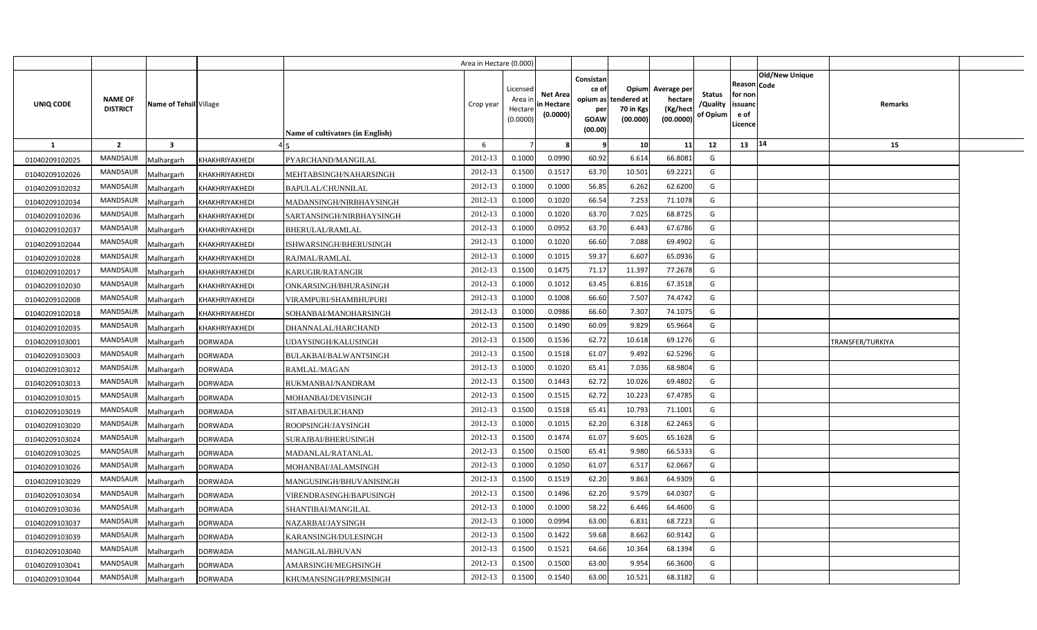|                |                                   |                         |                |                                         | Area in Hectare (0.000) |                                            |                                           |                                                     |                                                        |                                                 |                                       |                                                      |                       |                  |  |
|----------------|-----------------------------------|-------------------------|----------------|-----------------------------------------|-------------------------|--------------------------------------------|-------------------------------------------|-----------------------------------------------------|--------------------------------------------------------|-------------------------------------------------|---------------------------------------|------------------------------------------------------|-----------------------|------------------|--|
| UNIQ CODE      | <b>NAME OF</b><br><b>DISTRICT</b> | Name of Tehsil Village  |                | <b>Name of cultivators (in English)</b> | Crop year               | Licensed<br>Area ir<br>Hectare<br>(0.0000) | <b>Net Area</b><br>in Hectare<br>(0.0000) | Consistan<br>ce of<br>per<br><b>GOAW</b><br>(00.00) | Opium<br>opium as tendered at<br>70 in Kgs<br>(00.000) | Average per<br>hectare<br>(Kg/hect<br>(00.0000) | <b>Status</b><br>/Quality<br>of Opium | Reason Code<br>for non<br>issuanc<br>e of<br>Licence | <b>Old/New Unique</b> | Remarks          |  |
| $\mathbf{1}$   | $\overline{2}$                    | $\overline{\mathbf{3}}$ |                |                                         | 6                       |                                            |                                           | - 9                                                 | 10                                                     | 11                                              | 12                                    | 13                                                   | 14                    | 15               |  |
| 01040209102025 | <b>MANDSAUR</b>                   | Malhargarh              | KHAKHRIYAKHEDI | PYARCHAND/MANGILAL                      | 2012-13                 | 0.1000                                     | 0.0990                                    | 60.92                                               | 6.614                                                  | 66.8081                                         | G                                     |                                                      |                       |                  |  |
| 01040209102026 | MANDSAUR                          | Malhargarh              | KHAKHRIYAKHEDI | MEHTABSINGH/NAHARSINGH                  | 2012-13                 | 0.1500                                     | 0.151                                     | 63.70                                               | 10.501                                                 | 69.2221                                         | G                                     |                                                      |                       |                  |  |
| 01040209102032 | <b>MANDSAUR</b>                   | Malhargarh              | KHAKHRIYAKHEDI | BAPULAL/CHUNNILAL                       | 2012-13                 | 0.1000                                     | 0.1000                                    | 56.85                                               | 6.262                                                  | 62.6200                                         | G                                     |                                                      |                       |                  |  |
| 01040209102034 | <b>MANDSAUR</b>                   | Malhargarh              | KHAKHRIYAKHEDI | MADANSINGH/NIRBHAYSINGH                 | 2012-13                 | 0.1000                                     | 0.1020                                    | 66.54                                               | 7.253                                                  | 71.1078                                         | G                                     |                                                      |                       |                  |  |
| 01040209102036 | <b>MANDSAUR</b>                   | Malhargarh              | KHAKHRIYAKHEDI | SARTANSINGH/NIRBHAYSINGH                | 2012-13                 | 0.1000                                     | 0.1020                                    | 63.70                                               | 7.025                                                  | 68.8725                                         | G                                     |                                                      |                       |                  |  |
| 01040209102037 | <b>MANDSAUR</b>                   | Malhargarh              | KHAKHRIYAKHEDI | BHERULAL/RAMLAL                         | 2012-13                 | 0.1000                                     | 0.0952                                    | 63.70                                               | 6.443                                                  | 67.6786                                         | G                                     |                                                      |                       |                  |  |
| 01040209102044 | <b>MANDSAUR</b>                   | Malhargarh              | KHAKHRIYAKHEDI | ISHWARSINGH/BHERUSINGH                  | 2012-13                 | 0.1000                                     | 0.1020                                    | 66.60                                               | 7.088                                                  | 69.4902                                         | G                                     |                                                      |                       |                  |  |
| 01040209102028 | <b>MANDSAUR</b>                   | Malhargarh              | KHAKHRIYAKHEDI | RAJMAL/RAMLAL                           | 2012-13                 | 0.1000                                     | 0.1015                                    | 59.37                                               | 6.607                                                  | 65.0936                                         | G                                     |                                                      |                       |                  |  |
| 01040209102017 | MANDSAUR                          | Malhargarh              | KHAKHRIYAKHEDI | KARUGIR/RATANGIR                        | 2012-13                 | 0.1500                                     | 0.1475                                    | 71.17                                               | 11.397                                                 | 77.2678                                         | G                                     |                                                      |                       |                  |  |
| 01040209102030 | <b>MANDSAUR</b>                   | Malhargarh              | KHAKHRIYAKHEDI | ONKARSINGH/BHURASINGH                   | 2012-13                 | 0.1000                                     | 0.1012                                    | 63.45                                               | 6.816                                                  | 67.3518                                         | G                                     |                                                      |                       |                  |  |
| 01040209102008 | MANDSAUR                          | Malhargarh              | KHAKHRIYAKHEDI | VIRAMPURI/SHAMBHUPURI                   | 2012-13                 | 0.100                                      | 0.1008                                    | 66.60                                               | 7.507                                                  | 74.4742                                         | G                                     |                                                      |                       |                  |  |
| 01040209102018 | <b>MANDSAUR</b>                   | Malhargarh              | KHAKHRIYAKHEDI | SOHANBAI/MANOHARSINGH                   | 2012-13                 | 0.1000                                     | 0.0986                                    | 66.60                                               | 7.307                                                  | 74.1075                                         | G                                     |                                                      |                       |                  |  |
| 01040209102035 | <b>MANDSAUR</b>                   | Malhargarh              | KHAKHRIYAKHEDI | DHANNALAL/HARCHAND                      | 2012-13                 | 0.1500                                     | 0.1490                                    | 60.09                                               | 9.829                                                  | 65.9664                                         | G                                     |                                                      |                       |                  |  |
| 01040209103001 | <b>MANDSAUR</b>                   | Malhargarh              | <b>DORWADA</b> | UDAYSINGH/KALUSINGH                     | 2012-13                 | 0.1500                                     | 0.1536                                    | 62.72                                               | 10.618                                                 | 69.1276                                         | G                                     |                                                      |                       | TRANSFER/TURKIYA |  |
| 01040209103003 | MANDSAUR                          | Malhargarh              | <b>DORWADA</b> | BULAKBAI/BALWANTSINGH                   | 2012-13                 | 0.1500                                     | 0.1518                                    | 61.07                                               | 9.492                                                  | 62.5296                                         | G                                     |                                                      |                       |                  |  |
| 01040209103012 | MANDSAUR                          | Malhargarh              | <b>DORWADA</b> | RAMLAL/MAGAN                            | 2012-13                 | 0.1000                                     | 0.1020                                    | 65.41                                               | 7.036                                                  | 68.9804                                         | G                                     |                                                      |                       |                  |  |
| 01040209103013 | <b>MANDSAUR</b>                   | Malhargarh              | <b>DORWADA</b> | RUKMANBAI/NANDRAM                       | 2012-13                 | 0.1500                                     | 0.1443                                    | 62.72                                               | 10.026                                                 | 69.4802                                         | G                                     |                                                      |                       |                  |  |
| 01040209103015 | MANDSAUR                          | Malhargarh              | <b>DORWADA</b> | MOHANBAI/DEVISINGH                      | 2012-13                 | 0.1500                                     | 0.1515                                    | 62.72                                               | 10.223                                                 | 67.4785                                         | G                                     |                                                      |                       |                  |  |
| 01040209103019 | MANDSAUR                          | Malhargarh              | <b>DORWADA</b> | SITABAI/DULICHAND                       | 2012-13                 | 0.1500                                     | 0.1518                                    | 65.41                                               | 10.793                                                 | 71.1001                                         | G                                     |                                                      |                       |                  |  |
| 01040209103020 | MANDSAUR                          | Malhargarh              | <b>DORWADA</b> | ROOPSINGH/JAYSINGH                      | 2012-13                 | 0.1000                                     | 0.1015                                    | 62.20                                               | 6.318                                                  | 62.2463                                         | G                                     |                                                      |                       |                  |  |
| 01040209103024 | MANDSAUR                          | Malhargarh              | <b>DORWADA</b> | SURAJBAI/BHERUSINGH                     | 2012-13                 | 0.1500                                     | 0.1474                                    | 61.07                                               | 9.605                                                  | 65.1628                                         | G                                     |                                                      |                       |                  |  |
| 01040209103025 | MANDSAUR                          | Malhargarh              | <b>DORWADA</b> | MADANLAL/RATANLAL                       | 2012-13                 | 0.1500                                     | 0.1500                                    | 65.41                                               | 9.980                                                  | 66.5333                                         | G                                     |                                                      |                       |                  |  |
| 01040209103026 | MANDSAUR                          | Malhargarh              | <b>DORWADA</b> | MOHANBAI/JALAMSINGH                     | 2012-13                 | 0.1000                                     | 0.1050                                    | 61.07                                               | 6.517                                                  | 62.0667                                         | G                                     |                                                      |                       |                  |  |
| 01040209103029 | MANDSAUR                          | Malhargarh              | <b>DORWADA</b> | MANGUSINGH/BHUVANISINGH                 | 2012-13                 | 0.1500                                     | 0.1519                                    | 62.20                                               | 9.863                                                  | 64.9309                                         | G                                     |                                                      |                       |                  |  |
| 01040209103034 | MANDSAUR                          | Malhargarh              | <b>DORWADA</b> | VIRENDRASINGH/BAPUSINGH                 | 2012-13                 | 0.1500                                     | 0.1496                                    | 62.20                                               | 9.579                                                  | 64.0307                                         | G                                     |                                                      |                       |                  |  |
| 01040209103036 | MANDSAUR                          | Malhargarh              | DORWADA        | SHANTIBAI/MANGILAL                      | 2012-13                 | 0.1000                                     | 0.1000                                    | 58.22                                               | 6.446                                                  | 64.4600                                         | G                                     |                                                      |                       |                  |  |
| 01040209103037 | MANDSAUR                          | Malhargarh              | DORWADA        | NAZARBAI/JAYSINGH                       | 2012-13                 | 0.1000                                     | 0.0994                                    | 63.00                                               | 6.831                                                  | 68.7223                                         | G                                     |                                                      |                       |                  |  |
| 01040209103039 | MANDSAUR                          | Malhargarh              | DORWADA        | KARANSINGH/DULESINGH                    | 2012-13                 | 0.1500                                     | 0.1422                                    | 59.68                                               | 8.662                                                  | 60.9142                                         | G                                     |                                                      |                       |                  |  |
| 01040209103040 | MANDSAUR                          | Malhargarh              | DORWADA        | MANGILAL/BHUVAN                         | 2012-13                 | 0.1500                                     | 0.1521                                    | 64.66                                               | 10.364                                                 | 68.1394                                         | G                                     |                                                      |                       |                  |  |
| 01040209103041 | <b>MANDSAUR</b>                   | Malhargarh              | <b>DORWADA</b> | AMARSINGH/MEGHSINGH                     | 2012-13                 | 0.1500                                     | 0.1500                                    | 63.00                                               | 9.954                                                  | 66.3600                                         | G                                     |                                                      |                       |                  |  |
| 01040209103044 | MANDSAUR                          | Malhargarh              | <b>DORWADA</b> | KHUMANSINGH/PREMSINGH                   | 2012-13                 | 0.1500                                     | 0.1540                                    | 63.00                                               | 10.521                                                 | 68.3182                                         | G                                     |                                                      |                       |                  |  |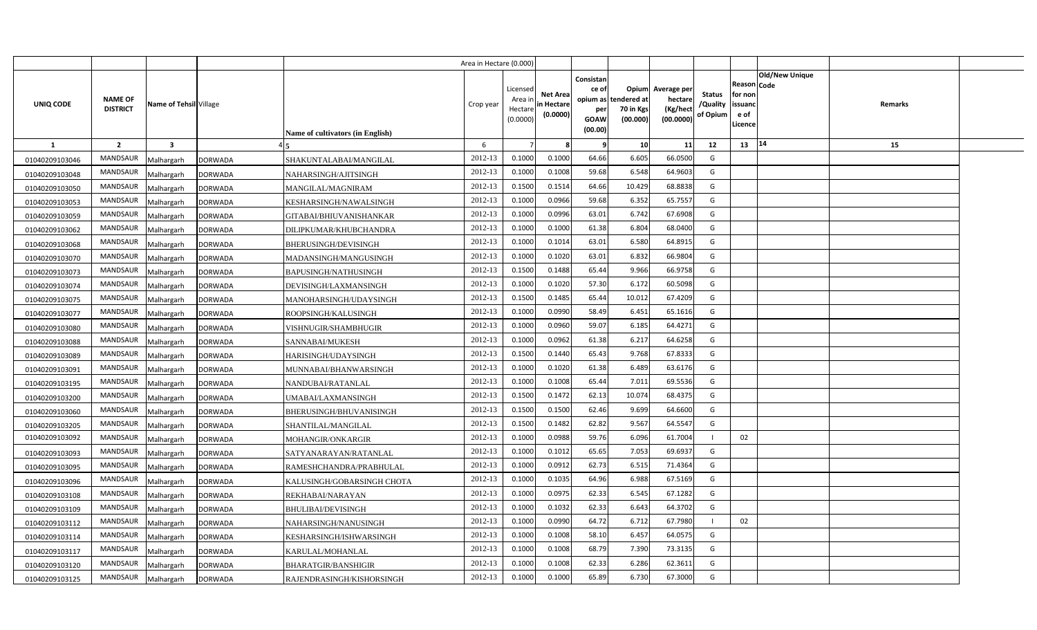|                |                                   |                         |                |                                  | Area in Hectare (0.000) |                                           |                                           |                                                     |                                                        |                                                 |                                       |                                                                               |         |  |
|----------------|-----------------------------------|-------------------------|----------------|----------------------------------|-------------------------|-------------------------------------------|-------------------------------------------|-----------------------------------------------------|--------------------------------------------------------|-------------------------------------------------|---------------------------------------|-------------------------------------------------------------------------------|---------|--|
| UNIQ CODE      | <b>NAME OF</b><br><b>DISTRICT</b> | Name of Tehsil Village  |                | Name of cultivators (in English) | Crop year               | Licensed<br>Area i<br>Hectare<br>(0.0000) | <b>Net Area</b><br>in Hectare<br>(0.0000) | Consistan<br>ce of<br>per<br><b>GOAW</b><br>(00.00) | Opium<br>opium as tendered at<br>70 in Kgs<br>(00.000) | Average per<br>hectare<br>(Kg/hect<br>(00.0000) | <b>Status</b><br>/Quality<br>of Opium | <b>Old/New Unique</b><br>Reason Code<br>for non<br>issuanc<br>e of<br>Licence | Remarks |  |
| <b>1</b>       | $\overline{2}$                    | $\overline{\mathbf{3}}$ |                |                                  | 6                       |                                           |                                           | - 9                                                 | 10                                                     | 11                                              | 12                                    | 14<br>13                                                                      | 15      |  |
| 01040209103046 | <b>MANDSAUR</b>                   | Malhargarh              | <b>DORWADA</b> | SHAKUNTALABAI/MANGILAL           | 2012-13                 | 0.1000                                    | 0.1000                                    | 64.66                                               | 6.605                                                  | 66.0500                                         | G                                     |                                                                               |         |  |
| 01040209103048 | MANDSAUR                          | Malhargarh              | <b>DORWADA</b> | NAHARSINGH/AJITSINGH             | 2012-13                 | 0.1000                                    | 0.1008                                    | 59.68                                               | 6.548                                                  | 64.9603                                         | G                                     |                                                                               |         |  |
| 01040209103050 | MANDSAUR                          | Malhargarh              | <b>DORWADA</b> | MANGILAL/MAGNIRAM                | 2012-13                 | 0.1500                                    | 0.1514                                    | 64.66                                               | 10.429                                                 | 68.8838                                         | G                                     |                                                                               |         |  |
| 01040209103053 | MANDSAUR                          | Malhargarh              | <b>DORWADA</b> | KESHARSINGH/NAWALSINGH           | 2012-13                 | 0.1000                                    | 0.0966                                    | 59.68                                               | 6.352                                                  | 65.755                                          | G                                     |                                                                               |         |  |
| 01040209103059 | MANDSAUR                          | Malhargarh              | <b>DORWADA</b> | GITABAI/BHIUVANISHANKAR          | 2012-13                 | 0.1000                                    | 0.0996                                    | 63.01                                               | 6.742                                                  | 67.6908                                         | G                                     |                                                                               |         |  |
| 01040209103062 | <b>MANDSAUR</b>                   | Malhargarh              | <b>DORWADA</b> | DILIPKUMAR/KHUBCHANDRA           | 2012-13                 | 0.100C                                    | 0.1000                                    | 61.38                                               | 6.804                                                  | 68.040                                          | G                                     |                                                                               |         |  |
| 01040209103068 | MANDSAUR                          | Malhargarh              | <b>DORWADA</b> | BHERUSINGH/DEVISINGH             | 2012-13                 | 0.1000                                    | 0.1014                                    | 63.01                                               | 6.580                                                  | 64.891                                          | G                                     |                                                                               |         |  |
| 01040209103070 | MANDSAUR                          | Malhargarh              | <b>DORWADA</b> | MADANSINGH/MANGUSINGH            | 2012-13                 | 0.1000                                    | 0.1020                                    | 63.01                                               | 6.832                                                  | 66.980                                          | G                                     |                                                                               |         |  |
| 01040209103073 | MANDSAUR                          | Malhargarh              | <b>DORWADA</b> | BAPUSINGH/NATHUSINGH             | 2012-13                 | 0.1500                                    | 0.1488                                    | 65.44                                               | 9.966                                                  | 66.9758                                         | G                                     |                                                                               |         |  |
| 01040209103074 | MANDSAUR                          | Malhargarh              | <b>DORWADA</b> | DEVISINGH/LAXMANSINGH            | 2012-13                 | 0.1000                                    | 0.1020                                    | 57.30                                               | 6.172                                                  | 60.5098                                         | G                                     |                                                                               |         |  |
| 01040209103075 | MANDSAUR                          | Malhargarh              | <b>DORWADA</b> | MANOHARSINGH/UDAYSINGH           | 2012-13                 | 0.1500                                    | 0.1485                                    | 65.44                                               | 10.012                                                 | 67.4209                                         | G                                     |                                                                               |         |  |
| 01040209103077 | MANDSAUR                          | Malhargarh              | <b>DORWADA</b> | ROOPSINGH/KALUSINGH              | 2012-13                 | 0.1000                                    | 0.0990                                    | 58.49                                               | 6.451                                                  | 65.1616                                         | G                                     |                                                                               |         |  |
| 01040209103080 | MANDSAUR                          | Malhargarh              | <b>DORWADA</b> | VISHNUGIR/SHAMBHUGIR             | 2012-13                 | 0.1000                                    | 0.0960                                    | 59.07                                               | 6.185                                                  | 64.4271                                         | G                                     |                                                                               |         |  |
| 01040209103088 | MANDSAUR                          | Malhargarh              | <b>DORWADA</b> | SANNABAI/MUKESH                  | 2012-13                 | 0.1000                                    | 0.0962                                    | 61.38                                               | 6.217                                                  | 64.6258                                         | G                                     |                                                                               |         |  |
| 01040209103089 | MANDSAUR                          | Malhargarh              | <b>DORWADA</b> | HARISINGH/UDAYSINGH              | 2012-13                 | 0.1500                                    | 0.1440                                    | 65.43                                               | 9.768                                                  | 67.8333                                         | G                                     |                                                                               |         |  |
| 01040209103091 | <b>MANDSAUR</b>                   | Malhargarh              | <b>DORWADA</b> | MUNNABAI/BHANWARSINGH            | 2012-13                 | 0.1000                                    | 0.1020                                    | 61.38                                               | 6.489                                                  | 63.6176                                         | G                                     |                                                                               |         |  |
| 01040209103195 | MANDSAUR                          | Malhargarh              | <b>DORWADA</b> | NANDUBAI/RATANLAL                | 2012-13                 | 0.1000                                    | 0.1008                                    | 65.44                                               | 7.011                                                  | 69.5536                                         | G                                     |                                                                               |         |  |
| 01040209103200 | <b>MANDSAUR</b>                   | Malhargarh              | <b>DORWADA</b> | UMABAI/LAXMANSINGH               | 2012-13                 | 0.1500                                    | 0.1472                                    | 62.13                                               | 10.074                                                 | 68.4375                                         | G                                     |                                                                               |         |  |
| 01040209103060 | <b>MANDSAUR</b>                   | Malhargarh              | <b>DORWADA</b> | BHERUSINGH/BHUVANISINGH          | 2012-13                 | 0.1500                                    | 0.1500                                    | 62.46                                               | 9.699                                                  | 64.6600                                         | G                                     |                                                                               |         |  |
| 01040209103205 | <b>MANDSAUR</b>                   | Malhargarh              | <b>DORWADA</b> | SHANTILAL/MANGILAL               | 2012-13                 | 0.1500                                    | 0.1482                                    | 62.82                                               | 9.567                                                  | 64.554                                          | G                                     |                                                                               |         |  |
| 01040209103092 | <b>MANDSAUR</b>                   | Malhargarh              | <b>DORWADA</b> | MOHANGIR/ONKARGIR                | 2012-13                 | 0.1000                                    | 0.0988                                    | 59.76                                               | 6.096                                                  | 61.7004                                         |                                       | 02                                                                            |         |  |
| 01040209103093 | MANDSAUR                          | Malhargarh              | <b>DORWADA</b> | SATYANARAYAN/RATANLAL            | 2012-13                 | 0.1000                                    | 0.1012                                    | 65.65                                               | 7.053                                                  | 69.6937                                         | G                                     |                                                                               |         |  |
| 01040209103095 | <b>MANDSAUR</b>                   | Malhargarh              | <b>DORWADA</b> | RAMESHCHANDRA/PRABHULAL          | 2012-13                 | 0.1000                                    | 0.0912                                    | 62.73                                               | 6.515                                                  | 71.4364                                         | G                                     |                                                                               |         |  |
| 01040209103096 | MANDSAUR                          | Malhargarh              | <b>DORWADA</b> | KALUSINGH/GOBARSINGH CHOTA       | 2012-13                 | 0.1000                                    | 0.1035                                    | 64.96                                               | 6.988                                                  | 67.5169                                         | G                                     |                                                                               |         |  |
| 01040209103108 | <b>MANDSAUR</b>                   | Malhargarh              | <b>DORWADA</b> | REKHABAI/NARAYAN                 | 2012-13                 | 0.1000                                    | 0.0975                                    | 62.33                                               | 6.545                                                  | 67.1282                                         | G                                     |                                                                               |         |  |
| 01040209103109 | MANDSAUR                          | Malhargarh              | <b>DORWADA</b> | BHULIBAI/DEVISINGH               | 2012-13                 | 0.1000                                    | 0.1032                                    | 62.33                                               | 6.643                                                  | 64.3702                                         | G                                     |                                                                               |         |  |
| 01040209103112 | MANDSAUR                          | Malhargarh              | <b>DORWADA</b> | NAHARSINGH/NANUSINGH             | 2012-13                 | 0.1000                                    | 0.0990                                    | 64.72                                               | 6.712                                                  | 67.7980                                         |                                       | 02                                                                            |         |  |
| 01040209103114 | MANDSAUR                          | Malhargarh              | <b>DORWADA</b> | KESHARSINGH/ISHWARSINGH          | 2012-13                 | 0.1000                                    | 0.1008                                    | 58.10                                               | 6.457                                                  | 64.0575                                         | G                                     |                                                                               |         |  |
| 01040209103117 | MANDSAUR                          | Malhargarh              | <b>DORWADA</b> | KARULAL/MOHANLAL                 | 2012-13                 | 0.1000                                    | 0.1008                                    | 68.79                                               | 7.390                                                  | 73.3135                                         | G                                     |                                                                               |         |  |
| 01040209103120 | MANDSAUR                          | Malhargarh              | <b>DORWADA</b> | BHARATGIR/BANSHIGIR              | 2012-13                 | 0.1000                                    | 0.1008                                    | 62.33                                               | 6.286                                                  | 62.361                                          | G                                     |                                                                               |         |  |
| 01040209103125 | MANDSAUR                          | Malhargarh              | <b>DORWADA</b> | RAJENDRASINGH/KISHORSINGH        | 2012-13                 | 0.1000                                    | 0.1000                                    | 65.89                                               | 6.730                                                  | 67.3000                                         | G                                     |                                                                               |         |  |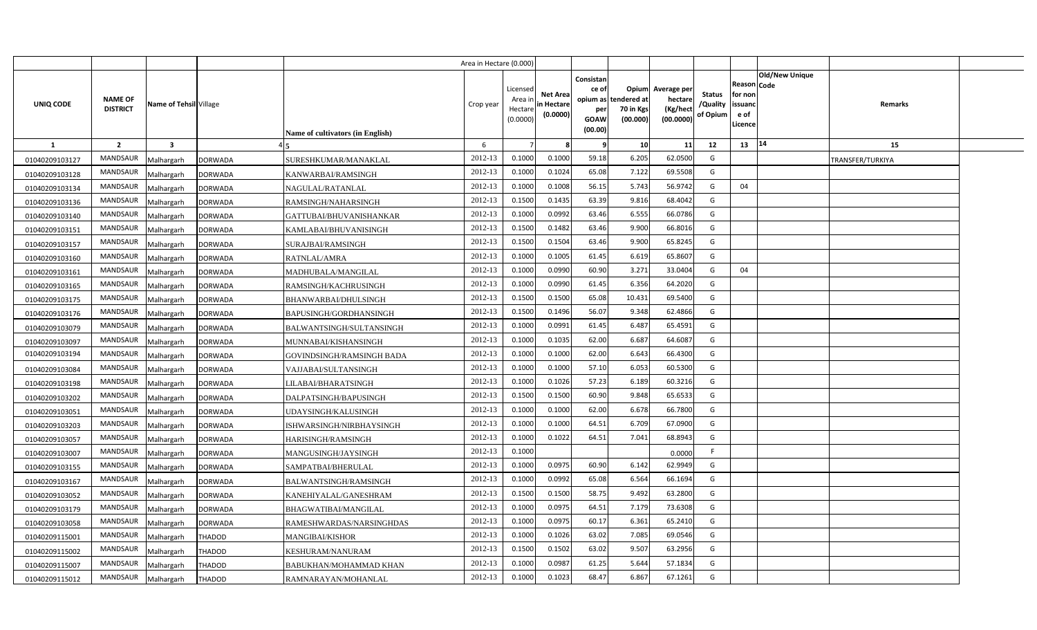|                |                                   |                         |                |                                         | Area in Hectare (0.000) |                                            |                                           |                                                          |                                               |                                                 |                                       |                                                             |                       |                  |  |
|----------------|-----------------------------------|-------------------------|----------------|-----------------------------------------|-------------------------|--------------------------------------------|-------------------------------------------|----------------------------------------------------------|-----------------------------------------------|-------------------------------------------------|---------------------------------------|-------------------------------------------------------------|-----------------------|------------------|--|
| UNIQ CODE      | <b>NAME OF</b><br><b>DISTRICT</b> | Name of Tehsil Village  |                | <b>Name of cultivators (in English)</b> | Crop year               | Licensed<br>Area ir<br>Hectare<br>(0.0000) | <b>Net Area</b><br>in Hectare<br>(0.0000) | Consistan<br>ce of<br>opium as<br>per<br>GOAW<br>(00.00) | Opium<br>tendered at<br>70 in Kgs<br>(00.000) | Average per<br>hectare<br>(Kg/hect<br>(00.0000) | <b>Status</b><br>/Quality<br>of Opium | <b>Reason Code</b><br>for non<br>issuand<br>e of<br>Licence | <b>Old/New Unique</b> | Remarks          |  |
| <b>1</b>       | $\overline{2}$                    | $\overline{\mathbf{3}}$ |                |                                         | 6                       |                                            |                                           |                                                          | 10                                            | 11                                              | 12                                    | 13                                                          | 14                    | 15               |  |
| 01040209103127 | <b>MANDSAUR</b>                   | Malhargarh              | <b>DORWADA</b> | SURESHKUMAR/MANAKLAL                    | 2012-13                 | 0.1000                                     | 0.1000                                    | 59.18                                                    | 6.205                                         | 62.0500                                         | G                                     |                                                             |                       | TRANSFER/TURKIYA |  |
| 01040209103128 | <b>MANDSAUR</b>                   | Malhargarh              | <b>DORWADA</b> | KANWARBAI/RAMSINGH                      | 2012-13                 | 0.1000                                     | 0.1024                                    | 65.08                                                    | 7.122                                         | 69.5508                                         | G                                     |                                                             |                       |                  |  |
| 01040209103134 | MANDSAUR                          | Malhargarh              | <b>DORWADA</b> | NAGULAL/RATANLAL                        | 2012-13                 | 0.1000                                     | 0.1008                                    | 56.15                                                    | 5.743                                         | 56.9742                                         | G                                     | 04                                                          |                       |                  |  |
| 01040209103136 | MANDSAUR                          | Malhargarh              | <b>DORWADA</b> | RAMSINGH/NAHARSINGH                     | 2012-13                 | 0.1500                                     | 0.1435                                    | 63.39                                                    | 9.816                                         | 68.4042                                         | G                                     |                                                             |                       |                  |  |
| 01040209103140 | MANDSAUR                          | Malhargarh              | <b>DORWADA</b> | GATTUBAI/BHUVANISHANKAR                 | 2012-13                 | 0.1000                                     | 0.0992                                    | 63.46                                                    | 6.555                                         | 66.0786                                         | G                                     |                                                             |                       |                  |  |
| 01040209103151 | <b>MANDSAUR</b>                   | Malhargarh              | <b>DORWADA</b> | KAMLABAI/BHUVANISINGH                   | 2012-13                 | 0.1500                                     | 0.1482                                    | 63.46                                                    | 9.900                                         | 66.8016                                         | G                                     |                                                             |                       |                  |  |
| 01040209103157 | MANDSAUR                          | Malhargarh              | <b>DORWADA</b> | SURAJBAI/RAMSINGH                       | 2012-13                 | 0.1500                                     | 0.1504                                    | 63.46                                                    | 9.900                                         | 65.8245                                         | G                                     |                                                             |                       |                  |  |
| 01040209103160 | <b>MANDSAUR</b>                   | Malhargarh              | <b>DORWADA</b> | RATNLAL/AMRA                            | 2012-13                 | 0.1000                                     | 0.1005                                    | 61.45                                                    | 6.619                                         | 65.8607                                         | G                                     |                                                             |                       |                  |  |
| 01040209103161 | MANDSAUR                          | Malhargarh              | <b>DORWADA</b> | MADHUBALA/MANGILAL                      | 2012-13                 | 0.1000                                     | 0.0990                                    | 60.90                                                    | 3.271                                         | 33.0404                                         | G                                     | 04                                                          |                       |                  |  |
| 01040209103165 | MANDSAUR                          | Malhargarh              | <b>DORWADA</b> | RAMSINGH/KACHRUSINGH                    | 2012-13                 | 0.1000                                     | 0.0990                                    | 61.45                                                    | 6.356                                         | 64.2020                                         | G                                     |                                                             |                       |                  |  |
| 01040209103175 | <b>MANDSAUR</b>                   | Malhargarh              | <b>DORWADA</b> | BHANWARBAI/DHULSINGH                    | 2012-13                 | 0.1500                                     | 0.1500                                    | 65.08                                                    | 10.431                                        | 69.5400                                         | G                                     |                                                             |                       |                  |  |
| 01040209103176 | <b>MANDSAUR</b>                   | Malhargarh              | <b>DORWADA</b> | BAPUSINGH/GORDHANSINGH                  | 2012-13                 | 0.1500                                     | 0.1496                                    | 56.07                                                    | 9.348                                         | 62.4866                                         | G                                     |                                                             |                       |                  |  |
| 01040209103079 | <b>MANDSAUR</b>                   | Malhargarh              | <b>DORWADA</b> | BALWANTSINGH/SULTANSINGH                | 2012-13                 | 0.1000                                     | 0.0991                                    | 61.45                                                    | 6.487                                         | 65.4591                                         | G                                     |                                                             |                       |                  |  |
| 01040209103097 | <b>MANDSAUR</b>                   | Malhargarh              | <b>DORWADA</b> | MUNNABAI/KISHANSINGH                    | 2012-13                 | 0.1000                                     | 0.1035                                    | 62.00                                                    | 6.687                                         | 64.6087                                         | G                                     |                                                             |                       |                  |  |
| 01040209103194 | <b>MANDSAUR</b>                   | Malhargarh              | <b>DORWADA</b> | GOVINDSINGH/RAMSINGH BADA               | 2012-13                 | 0.1000                                     | 0.1000                                    | 62.00                                                    | 6.643                                         | 66.4300                                         | G                                     |                                                             |                       |                  |  |
| 01040209103084 | <b>MANDSAUR</b>                   | Malhargarh              | <b>DORWADA</b> | VAJJABAI/SULTANSINGH                    | 2012-13                 | 0.1000                                     | 0.1000                                    | 57.10                                                    | 6.053                                         | 60.5300                                         | G                                     |                                                             |                       |                  |  |
| 01040209103198 | MANDSAUR                          | Malhargarh              | <b>DORWADA</b> | LILABAI/BHARATSINGH                     | 2012-13                 | 0.1000                                     | 0.1026                                    | 57.23                                                    | 6.189                                         | 60.3216                                         | G                                     |                                                             |                       |                  |  |
| 01040209103202 | <b>MANDSAUR</b>                   | Malhargarh              | <b>DORWADA</b> | DALPATSINGH/BAPUSINGH                   | 2012-13                 | 0.1500                                     | 0.1500                                    | 60.90                                                    | 9.848                                         | 65.6533                                         | G                                     |                                                             |                       |                  |  |
| 01040209103051 | <b>MANDSAUR</b>                   | Malhargarh              | <b>DORWADA</b> | UDAYSINGH/KALUSINGH                     | 2012-13                 | 0.1000                                     | 0.1000                                    | 62.00                                                    | 6.678                                         | 66.7800                                         | G                                     |                                                             |                       |                  |  |
| 01040209103203 | <b>MANDSAUR</b>                   | Malhargarh              | <b>DORWADA</b> | ISHWARSINGH/NIRBHAYSINGH                | 2012-13                 | 0.1000                                     | 0.1000                                    | 64.51                                                    | 6.709                                         | 67.0900                                         | G                                     |                                                             |                       |                  |  |
| 01040209103057 | <b>MANDSAUR</b>                   | Malhargarh              | <b>DORWADA</b> | HARISINGH/RAMSINGH                      | 2012-13                 | 0.1000                                     | 0.1022                                    | 64.51                                                    | 7.041                                         | 68.8943                                         | G                                     |                                                             |                       |                  |  |
| 01040209103007 | <b>MANDSAUR</b>                   | Malhargarh              | <b>DORWADA</b> | MANGUSINGH/JAYSINGH                     | 2012-13                 | 0.1000                                     |                                           |                                                          |                                               | 0.0000                                          | F                                     |                                                             |                       |                  |  |
| 01040209103155 | <b>MANDSAUR</b>                   | Malhargarh              | <b>DORWADA</b> | SAMPATBAI/BHERULAL                      | 2012-13                 | 0.1000                                     | 0.0975                                    | 60.90                                                    | 6.142                                         | 62.9949                                         | G                                     |                                                             |                       |                  |  |
| 01040209103167 | <b>MANDSAUR</b>                   | Malhargarh              | <b>DORWADA</b> | BALWANTSINGH/RAMSINGH                   | 2012-13                 | 0.1000                                     | 0.0992                                    | 65.08                                                    | 6.564                                         | 66.1694                                         | G                                     |                                                             |                       |                  |  |
| 01040209103052 | <b>MANDSAUR</b>                   | Malhargarh              | <b>DORWADA</b> | KANEHIYALAL/GANESHRAM                   | 2012-13                 | 0.1500                                     | 0.1500                                    | 58.75                                                    | 9.492                                         | 63.2800                                         | G                                     |                                                             |                       |                  |  |
| 01040209103179 | <b>MANDSAUR</b>                   | Malhargarh              | DORWADA        | BHAGWATIBAI/MANGILAL                    | 2012-13                 | 0.1000                                     | 0.0975                                    | 64.51                                                    | 7.179                                         | 73.6308                                         | G                                     |                                                             |                       |                  |  |
| 01040209103058 | <b>MANDSAUR</b>                   | Malhargarh              | <b>DORWADA</b> | RAMESHWARDAS/NARSINGHDAS                | 2012-13                 | 0.1000                                     | 0.0975                                    | 60.17                                                    | 6.361                                         | 65.2410                                         | G                                     |                                                             |                       |                  |  |
| 01040209115001 | <b>MANDSAUR</b>                   | Malhargarh              | THADOD         | MANGIBAI/KISHOR                         | 2012-13                 | 0.1000                                     | 0.1026                                    | 63.02                                                    | 7.085                                         | 69.0546                                         | G                                     |                                                             |                       |                  |  |
| 01040209115002 | <b>MANDSAUR</b>                   | Malhargarh              | THADOD         | KESHURAM/NANURAM                        | 2012-13                 | 0.1500                                     | 0.1502                                    | 63.02                                                    | 9.507                                         | 63.2956                                         | G                                     |                                                             |                       |                  |  |
| 01040209115007 | <b>MANDSAUR</b>                   | Malhargarh              | THADOD         | BABUKHAN/MOHAMMAD KHAN                  | 2012-13                 | 0.1000                                     | 0.0987                                    | 61.25                                                    | 5.644                                         | 57.1834                                         | G                                     |                                                             |                       |                  |  |
| 01040209115012 | <b>MANDSAUR</b>                   | Malhargarh              | <b>THADOD</b>  | RAMNARAYAN/MOHANLAL                     | 2012-13                 | 0.1000                                     | 0.1023                                    | 68.47                                                    | 6.867                                         | 67.1261                                         | G                                     |                                                             |                       |                  |  |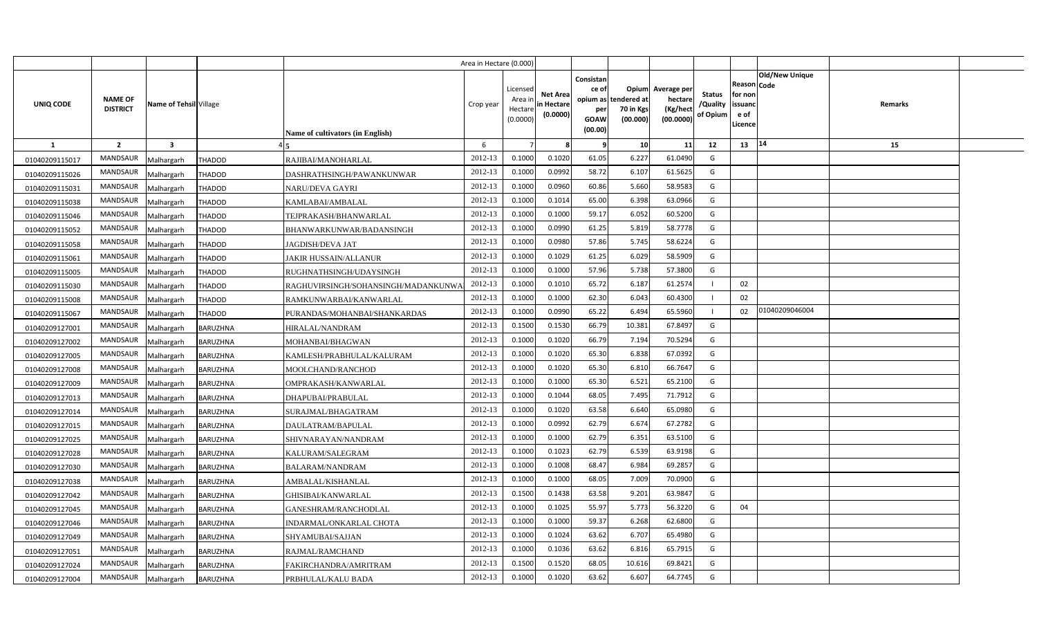|                |                                   |                         |                 |                                     | Area in Hectare (0.000) |                                           |                                           |                                                     |                                                        |                                                 |                                       |                                                      |                       |         |  |
|----------------|-----------------------------------|-------------------------|-----------------|-------------------------------------|-------------------------|-------------------------------------------|-------------------------------------------|-----------------------------------------------------|--------------------------------------------------------|-------------------------------------------------|---------------------------------------|------------------------------------------------------|-----------------------|---------|--|
| UNIQ CODE      | <b>NAME OF</b><br><b>DISTRICT</b> | Name of Tehsil Village  |                 | Name of cultivators (in English)    | Crop year               | Licensed<br>Area i<br>Hectare<br>(0.0000) | <b>Net Area</b><br>in Hectare<br>(0.0000) | Consistan<br>ce of<br>per<br><b>GOAW</b><br>(00.00) | Opium<br>opium as tendered at<br>70 in Kgs<br>(00.000) | Average per<br>hectare<br>(Kg/hect<br>(00.0000) | <b>Status</b><br>/Quality<br>of Opium | Reason Code<br>for non<br>issuanc<br>e of<br>Licence | <b>Old/New Unique</b> | Remarks |  |
| <b>1</b>       | $\overline{2}$                    | $\overline{\mathbf{3}}$ |                 |                                     | 6                       |                                           |                                           | - 9                                                 | 10                                                     | 11                                              | 12                                    | 13                                                   | 14                    | 15      |  |
| 01040209115017 | <b>MANDSAUR</b>                   | Malhargarh              | <b>THADOD</b>   | RAJIBAI/MANOHARLAL                  | 2012-13                 | 0.1000                                    | 0.1020                                    | 61.05                                               | 6.227                                                  | 61.0490                                         | G                                     |                                                      |                       |         |  |
| 01040209115026 | MANDSAUR                          | Malhargarh              | <b>THADOD</b>   | DASHRATHSINGH/PAWANKUNWAR           | 2012-13                 | 0.1000                                    | 0.0992                                    | 58.72                                               | 6.107                                                  | 61.5625                                         | G                                     |                                                      |                       |         |  |
| 01040209115031 | MANDSAUR                          | Malhargarh              | <b>THADOD</b>   | <b>NARU/DEVA GAYRI</b>              | 2012-13                 | 0.1000                                    | 0.0960                                    | 60.86                                               | 5.660                                                  | 58.958                                          | G                                     |                                                      |                       |         |  |
| 01040209115038 | MANDSAUR                          | Malhargarh              | <b>THADOD</b>   | KAMLABAI/AMBALAL                    | 2012-13                 | 0.1000                                    | 0.1014                                    | 65.00                                               | 6.398                                                  | 63.0966                                         | G                                     |                                                      |                       |         |  |
| 01040209115046 | MANDSAUR                          | Malhargarh              | <b>THADOD</b>   | TEJPRAKASH/BHANWARLAL               | 2012-13                 | 0.1000                                    | 0.1000                                    | 59.17                                               | 6.052                                                  | 60.5200                                         | G                                     |                                                      |                       |         |  |
| 01040209115052 | <b>MANDSAUR</b>                   | Malhargarh              | <b>THADOD</b>   | BHANWARKUNWAR/BADANSINGH            | 2012-13                 | 0.100C                                    | 0.0990                                    | 61.25                                               | 5.819                                                  | 58.7778                                         | G                                     |                                                      |                       |         |  |
| 01040209115058 | MANDSAUR                          | Malhargarh              | THADOD          | JAGDISH/DEVA JAT                    | 2012-13                 | 0.1000                                    | 0.0980                                    | 57.86                                               | 5.745                                                  | 58.622                                          | G                                     |                                                      |                       |         |  |
| 01040209115061 | MANDSAUR                          | Malhargarh              | THADOD          | JAKIR HUSSAIN/ALLANUR               | 2012-13                 | 0.1000                                    | 0.1029                                    | 61.25                                               | 6.029                                                  | 58.5909                                         | G                                     |                                                      |                       |         |  |
| 01040209115005 | MANDSAUR                          | Malhargarh              | THADOD          | RUGHNATHSINGH/UDAYSINGH             | 2012-13                 | 0.1000                                    | 0.1000                                    | 57.96                                               | 5.738                                                  | 57.380                                          | G                                     |                                                      |                       |         |  |
| 01040209115030 | MANDSAUR                          | Malhargarh              | THADOD          | RAGHUVIRSINGH/SOHANSINGH/MADANKUNW/ | 2012-13                 | 0.1000                                    | 0.1010                                    | 65.72                                               | 6.187                                                  | 61.257                                          |                                       | 02                                                   |                       |         |  |
| 01040209115008 | MANDSAUR                          | Malhargarh              | THADOD          | RAMKUNWARBAI/KANWARLAL              | 2012-13                 | 0.1000                                    | 0.1000                                    | 62.30                                               | 6.043                                                  | 60.4300                                         |                                       | 02                                                   |                       |         |  |
| 01040209115067 | MANDSAUR                          | Malhargarh              | THADOD          | PURANDAS/MOHANBAI/SHANKARDAS        | 2012-13                 | 0.1000                                    | 0.0990                                    | 65.22                                               | 6.494                                                  | 65.5960                                         |                                       | 02                                                   | 01040209046004        |         |  |
| 01040209127001 | MANDSAUR                          | Malhargarh              | <b>BARUZHNA</b> | HIRALAL/NANDRAM                     | 2012-13                 | 0.1500                                    | 0.1530                                    | 66.79                                               | 10.381                                                 | 67.8497                                         | G                                     |                                                      |                       |         |  |
| 01040209127002 | MANDSAUR                          | Malhargarh              | BARUZHNA        | MOHANBAI/BHAGWAN                    | 2012-13                 | 0.1000                                    | 0.1020                                    | 66.79                                               | 7.194                                                  | 70.5294                                         | G                                     |                                                      |                       |         |  |
| 01040209127005 | MANDSAUR                          | Malhargarh              | BARUZHNA        | KAMLESH/PRABHULAL/KALURAM           | 2012-13                 | 0.1000                                    | 0.1020                                    | 65.30                                               | 6.838                                                  | 67.0392                                         | G                                     |                                                      |                       |         |  |
| 01040209127008 | <b>MANDSAUR</b>                   | Malhargarh              | BARUZHNA        | MOOLCHAND/RANCHOD                   | 2012-13                 | 0.1000                                    | 0.1020                                    | 65.30                                               | 6.810                                                  | 66.7647                                         | G                                     |                                                      |                       |         |  |
| 01040209127009 | MANDSAUR                          | Malhargarh              | BARUZHNA        | OMPRAKASH/KANWARLAL                 | 2012-13                 | 0.1000                                    | 0.1000                                    | 65.30                                               | 6.521                                                  | 65.2100                                         | G                                     |                                                      |                       |         |  |
| 01040209127013 | <b>MANDSAUR</b>                   | Malhargarh              | BARUZHNA        | DHAPUBAI/PRABULAL                   | 2012-13                 | 0.1000                                    | 0.1044                                    | 68.05                                               | 7.495                                                  | 71.7912                                         | G                                     |                                                      |                       |         |  |
| 01040209127014 | <b>MANDSAUR</b>                   | Malhargarh              | BARUZHNA        | SURAJMAL/BHAGATRAM                  | 2012-13                 | 0.1000                                    | 0.1020                                    | 63.58                                               | 6.640                                                  | 65.0980                                         | G                                     |                                                      |                       |         |  |
| 01040209127015 | <b>MANDSAUR</b>                   | Malhargarh              | BARUZHNA        | DAULATRAM/BAPULAL                   | 2012-13                 | 0.1000                                    | 0.0992                                    | 62.79                                               | 6.674                                                  | 67.2782                                         | G                                     |                                                      |                       |         |  |
| 01040209127025 | <b>MANDSAUR</b>                   | Malhargarh              | BARUZHNA        | SHIVNARAYAN/NANDRAM                 | 2012-13                 | 0.1000                                    | 0.1000                                    | 62.79                                               | 6.351                                                  | 63.5100                                         | G                                     |                                                      |                       |         |  |
| 01040209127028 | MANDSAUR                          | Malhargarh              | BARUZHNA        | KALURAM/SALEGRAM                    | 2012-13                 | 0.1000                                    | 0.1023                                    | 62.79                                               | 6.539                                                  | 63.9198                                         | G                                     |                                                      |                       |         |  |
| 01040209127030 | <b>MANDSAUR</b>                   | Malhargarh              | BARUZHNA        | BALARAM/NANDRAM                     | 2012-13                 | 0.1000                                    | 0.1008                                    | 68.47                                               | 6.984                                                  | 69.285                                          | G                                     |                                                      |                       |         |  |
| 01040209127038 | MANDSAUR                          | Malhargarh              | BARUZHNA        | AMBALAL/KISHANLAL                   | 2012-13                 | 0.1000                                    | 0.1000                                    | 68.05                                               | 7.009                                                  | 70.0900                                         | G                                     |                                                      |                       |         |  |
| 01040209127042 | <b>MANDSAUR</b>                   | Malhargarh              | BARUZHNA        | GHISIBAI/KANWARLAL                  | 2012-13                 | 0.1500                                    | 0.1438                                    | 63.58                                               | 9.201                                                  | 63.984                                          | G                                     |                                                      |                       |         |  |
| 01040209127045 | MANDSAUR                          | Malhargarh              | BARUZHNA        | GANESHRAM/RANCHODLAL                | 2012-13                 | 0.1000                                    | 0.1025                                    | 55.97                                               | 5.773                                                  | 56.3220                                         | G                                     | 04                                                   |                       |         |  |
| 01040209127046 | MANDSAUR                          | Malhargarh              | BARUZHNA        | INDARMAL/ONKARLAL CHOTA             | 2012-13                 | 0.1000                                    | 0.1000                                    | 59.37                                               | 6.268                                                  | 62.680                                          | G                                     |                                                      |                       |         |  |
| 01040209127049 | MANDSAUR                          | Malhargarh              | <b>BARUZHNA</b> | SHYAMUBAI/SAJJAN                    | 2012-13                 | 0.1000                                    | 0.1024                                    | 63.62                                               | 6.707                                                  | 65.4980                                         | G                                     |                                                      |                       |         |  |
| 01040209127051 | MANDSAUR                          | Malhargarh              | <b>BARUZHNA</b> | RAJMAL/RAMCHAND                     | 2012-13                 | 0.1000                                    | 0.1036                                    | 63.62                                               | 6.816                                                  | 65.791                                          | G                                     |                                                      |                       |         |  |
| 01040209127024 | MANDSAUR                          | Malhargarh              | BARUZHNA        | FAKIRCHANDRA/AMRITRAM               | 2012-13                 | 0.1500                                    | 0.1520                                    | 68.05                                               | 10.616                                                 | 69.842                                          | G                                     |                                                      |                       |         |  |
| 01040209127004 | MANDSAUR                          | Malhargarh              | <b>BARUZHNA</b> | PRBHULAL/KALU BADA                  | 2012-13                 | 0.1000                                    | 0.1020                                    | 63.62                                               | 6.607                                                  | 64.7745                                         | G                                     |                                                      |                       |         |  |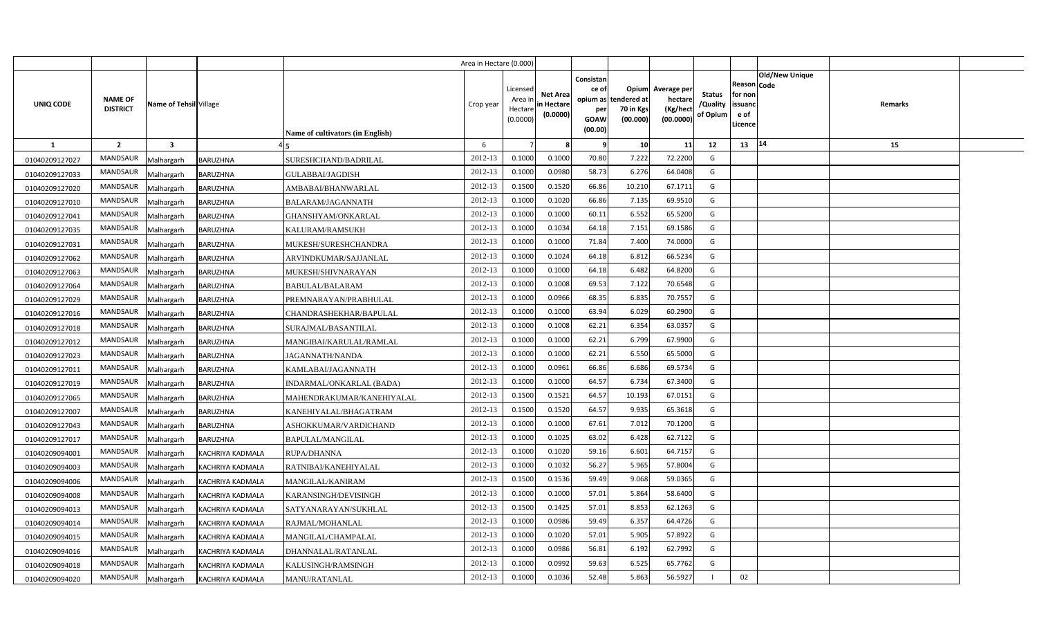|                  |                                   |                        |                         |                                  | Area in Hectare (0.000) |                                            |                                           |                                                     |                                                        |                                                |                                       |                                                                               |                |  |
|------------------|-----------------------------------|------------------------|-------------------------|----------------------------------|-------------------------|--------------------------------------------|-------------------------------------------|-----------------------------------------------------|--------------------------------------------------------|------------------------------------------------|---------------------------------------|-------------------------------------------------------------------------------|----------------|--|
| <b>UNIQ CODE</b> | <b>NAME OF</b><br><b>DISTRICT</b> | Name of Tehsil Village |                         | Name of cultivators (in English) | Crop year               | Licensed<br>Area ir<br>Hectare<br>(0.0000) | <b>Net Area</b><br>in Hectare<br>(0.0000) | Consistan<br>ce of<br>per<br><b>GOAW</b><br>(00.00) | Opium<br>opium as tendered at<br>70 in Kgs<br>(00.000) | Average per<br>hectare<br>(Kg/hec<br>(00.0000) | <b>Status</b><br>/Quality<br>of Opium | <b>Old/New Unique</b><br>Reason Code<br>for non<br>issuanc<br>e of<br>Licence | <b>Remarks</b> |  |
| 1                | $\overline{2}$                    | 3                      |                         |                                  | 6                       |                                            | 8                                         | - 9                                                 | 10                                                     | 11                                             | 12                                    | 14<br>13                                                                      | 15             |  |
| 01040209127027   | <b>MANDSAUR</b>                   | Malhargarh             | BARUZHNA                | SURESHCHAND/BADRILAL             | 2012-13                 | 0.1000                                     | 0.1000                                    | 70.80                                               | 7.222                                                  | 72.2200                                        | G                                     |                                                                               |                |  |
| 01040209127033   | MANDSAUR                          | Malhargarh             | <b>BARUZHNA</b>         | <b>GULABBAI/JAGDISH</b>          | 2012-13                 | 0.1000                                     | 0.0980                                    | 58.73                                               | 6.276                                                  | 64.0408                                        | G                                     |                                                                               |                |  |
| 01040209127020   | <b>MANDSAUR</b>                   | Malhargarh             | <b>BARUZHNA</b>         | AMBABAI/BHANWARLAL               | 2012-13                 | 0.1500                                     | 0.1520                                    | 66.86                                               | 10.210                                                 | 67.1711                                        | G                                     |                                                                               |                |  |
| 01040209127010   | <b>MANDSAUR</b>                   | Malhargarh             | BARUZHNA                | BALARAM/JAGANNATH                | 2012-13                 | 0.1000                                     | 0.1020                                    | 66.86                                               | 7.135                                                  | 69.951                                         | G                                     |                                                                               |                |  |
| 01040209127041   | <b>MANDSAUR</b>                   | Malhargarh             | BARUZHNA                | GHANSHYAM/ONKARLAL               | 2012-13                 | 0.1000                                     | 0.1000                                    | 60.11                                               | 6.552                                                  | 65.5200                                        | G                                     |                                                                               |                |  |
| 01040209127035   | MANDSAUR                          | Malhargarh             | <b>BARUZHNA</b>         | KALURAM/RAMSUKH                  | 2012-13                 | 0.1000                                     | 0.1034                                    | 64.18                                               | 7.151                                                  | 69.1586                                        | G                                     |                                                                               |                |  |
| 01040209127031   | MANDSAUR                          | Malhargarh             | <b>BARUZHNA</b>         | MUKESH/SURESHCHANDRA             | 2012-13                 | 0.1000                                     | 0.1000                                    | 71.84                                               | 7.400                                                  | 74.000                                         | G                                     |                                                                               |                |  |
| 01040209127062   | MANDSAUR                          | Malhargarh             | <b>BARUZHNA</b>         | ARVINDKUMAR/SAJJANLAL            | 2012-13                 | 0.1000                                     | 0.1024                                    | 64.18                                               | 6.812                                                  | 66.5234                                        | G                                     |                                                                               |                |  |
| 01040209127063   | MANDSAUR                          | Malhargarh             | <b>BARUZHNA</b>         | MUKESH/SHIVNARAYAN               | 2012-13                 | 0.1000                                     | 0.1000                                    | 64.18                                               | 6.482                                                  | 64.8200                                        | G                                     |                                                                               |                |  |
| 01040209127064   | MANDSAUR                          | Malhargarh             | <b>BARUZHNA</b>         | BABULAL/BALARAM                  | 2012-13                 | 0.1000                                     | 0.1008                                    | 69.53                                               | 7.122                                                  | 70.6548                                        | G                                     |                                                                               |                |  |
| 01040209127029   | MANDSAUR                          | Malhargarh             | <b>BARUZHNA</b>         | PREMNARAYAN/PRABHULAL            | 2012-13                 | 0.1000                                     | 0.0966                                    | 68.35                                               | 6.835                                                  | 70.755                                         | G                                     |                                                                               |                |  |
| 01040209127016   | <b>MANDSAUR</b>                   | Malhargarh             | <b>BARUZHNA</b>         | CHANDRASHEKHAR/BAPULAL           | 2012-13                 | 0.1000                                     | 0.1000                                    | 63.94                                               | 6.029                                                  | 60.2900                                        | G                                     |                                                                               |                |  |
| 01040209127018   | MANDSAUR                          | Malhargarh             | <b>BARUZHNA</b>         | SURAJMAL/BASANTILAL              | 2012-13                 | 0.1000                                     | 0.1008                                    | 62.21                                               | 6.354                                                  | 63.0357                                        | G                                     |                                                                               |                |  |
| 01040209127012   | <b>MANDSAUR</b>                   | Malhargarh             | BARUZHNA                | MANGIBAI/KARULAL/RAMLAL          | 2012-13                 | 0.1000                                     | 0.1000                                    | 62.21                                               | 6.799                                                  | 67.9900                                        | G                                     |                                                                               |                |  |
| 01040209127023   | MANDSAUR                          | Malhargarh             | BARUZHNA                | JAGANNATH/NANDA                  | 2012-13                 | 0.1000                                     | 0.1000                                    | 62.21                                               | 6.550                                                  | 65.5000                                        | G                                     |                                                                               |                |  |
| 01040209127011   | MANDSAUR                          | Malhargarh             | <b>BARUZHNA</b>         | KAMLABAI/JAGANNATH               | 2012-13                 | 0.1000                                     | 0.0961                                    | 66.86                                               | 6.686                                                  | 69.5734                                        | G                                     |                                                                               |                |  |
| 01040209127019   | <b>MANDSAUR</b>                   | Malhargarh             | BARUZHNA                | INDARMAL/ONKARLAL (BADA)         | 2012-13                 | 0.1000                                     | 0.1000                                    | 64.57                                               | 6.734                                                  | 67.3400                                        | G                                     |                                                                               |                |  |
| 01040209127065   | MANDSAUR                          | Malhargarh             | <b>BARUZHNA</b>         | MAHENDRAKUMAR/KANEHIYALAL        | 2012-13                 | 0.1500                                     | 0.1521                                    | 64.57                                               | 10.193                                                 | 67.0151                                        | G                                     |                                                                               |                |  |
| 01040209127007   | <b>MANDSAUR</b>                   | Malhargarh             | BARUZHNA                | KANEHIYALAL/BHAGATRAM            | 2012-13                 | 0.1500                                     | 0.1520                                    | 64.57                                               | 9.935                                                  | 65.3618                                        | G                                     |                                                                               |                |  |
| 01040209127043   | MANDSAUR                          | Malhargarh             | <b>BARUZHNA</b>         | ASHOKKUMAR/VARDICHAND            | 2012-13                 | 0.1000                                     | 0.1000                                    | 67.61                                               | 7.012                                                  | 70.1200                                        | G                                     |                                                                               |                |  |
| 01040209127017   | <b>MANDSAUR</b>                   | Malhargarh             | BARUZHNA                | BAPULAL/MANGILAL                 | 2012-13                 | 0.1000                                     | 0.1025                                    | 63.02                                               | 6.428                                                  | 62.7122                                        | G                                     |                                                                               |                |  |
| 01040209094001   | <b>MANDSAUR</b>                   | Malhargarh             | KACHRIYA KADMALA        | RUPA/DHANNA                      | 2012-13                 | 0.1000                                     | 0.1020                                    | 59.16                                               | 6.601                                                  | 64.7157                                        | G                                     |                                                                               |                |  |
| 01040209094003   | <b>MANDSAUR</b>                   | Malhargarh             | <b>KACHRIYA KADMALA</b> | RATNIBAI/KANEHIYALAL             | 2012-13                 | 0.1000                                     | 0.1032                                    | 56.27                                               | 5.965                                                  | 57.8004                                        | G                                     |                                                                               |                |  |
| 01040209094006   | MANDSAUR                          | Malhargarh             | <b>KACHRIYA KADMALA</b> | MANGILAL/KANIRAM                 | 2012-13                 | 0.1500                                     | 0.1536                                    | 59.49                                               | 9.068                                                  | 59.036                                         | G                                     |                                                                               |                |  |
| 01040209094008   | MANDSAUR                          | Malhargarh             | KACHRIYA KADMALA        | KARANSINGH/DEVISINGH             | 2012-13                 | 0.1000                                     | 0.1000                                    | 57.01                                               | 5.864                                                  | 58.6400                                        | G                                     |                                                                               |                |  |
| 01040209094013   | MANDSAUR                          | Malhargarh             | KACHRIYA KADMALA        | SATYANARAYAN/SUKHLAL             | 2012-13                 | 0.1500                                     | 0.1425                                    | 57.01                                               | 8.853                                                  | 62.126                                         | G                                     |                                                                               |                |  |
| 01040209094014   | MANDSAUR                          | Malhargarh             | KACHRIYA KADMALA        | RAJMAL/MOHANLAL                  | 2012-13                 | 0.1000                                     | 0.0986                                    | 59.49                                               | 6.357                                                  | 64.4726                                        | G                                     |                                                                               |                |  |
| 01040209094015   | MANDSAUR                          | Malhargarh             | KACHRIYA KADMALA        | MANGILAL/CHAMPALAL               | 2012-13                 | 0.1000                                     | 0.1020                                    | 57.01                                               | 5.905                                                  | 57.8922                                        | G                                     |                                                                               |                |  |
| 01040209094016   | MANDSAUR                          | Malhargarh             | KACHRIYA KADMALA        | DHANNALAL/RATANLAL               | 2012-13                 | 0.1000                                     | 0.0986                                    | 56.81                                               | 6.192                                                  | 62.7992                                        | G                                     |                                                                               |                |  |
| 01040209094018   | MANDSAUR                          | Malhargarh             | <b>KACHRIYA KADMALA</b> | KALUSINGH/RAMSINGH               | 2012-13                 | 0.1000                                     | 0.0992                                    | 59.63                                               | 6.525                                                  | 65.7762                                        | G                                     |                                                                               |                |  |
| 01040209094020   | MANDSAUR                          | Malhargarh             | <b>KACHRIYA KADMALA</b> | MANU/RATANLAL                    | 2012-13                 | 0.1000                                     | 0.1036                                    | 52.48                                               | 5.863                                                  | 56.5927                                        |                                       | 02                                                                            |                |  |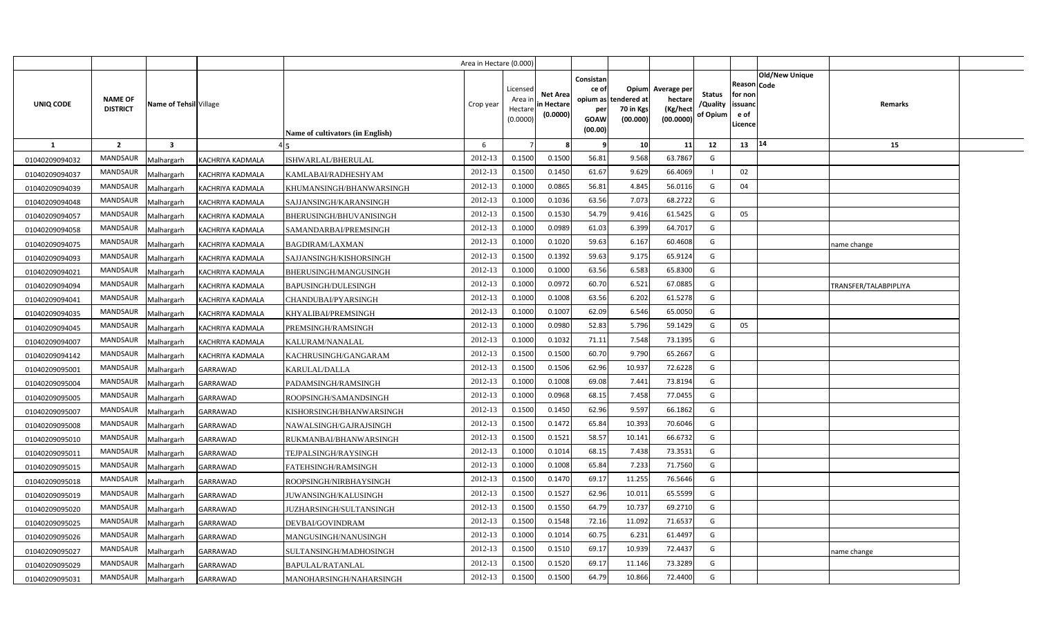|                  |                                   |                         |                         |                                  | Area in Hectare (0.000) |                                            |                                           |                                                     |                                                        |                                                 |                                       |                                                      |                |                       |  |
|------------------|-----------------------------------|-------------------------|-------------------------|----------------------------------|-------------------------|--------------------------------------------|-------------------------------------------|-----------------------------------------------------|--------------------------------------------------------|-------------------------------------------------|---------------------------------------|------------------------------------------------------|----------------|-----------------------|--|
| <b>UNIQ CODE</b> | <b>NAME OF</b><br><b>DISTRICT</b> | Name of Tehsil Village  |                         | Name of cultivators (in English) | Crop year               | Licensed<br>Area ir<br>Hectare<br>(0.0000) | <b>Net Area</b><br>in Hectare<br>(0.0000) | Consistan<br>ce of<br>per<br><b>GOAW</b><br>(00.00) | Opium<br>opium as tendered at<br>70 in Kgs<br>(00.000) | Average per<br>hectare<br>(Kg/hect<br>(00.0000) | <b>Status</b><br>/Quality<br>of Opium | Reason Code<br>for non<br>issuanc<br>e of<br>Licence | Old/New Unique | <b>Remarks</b>        |  |
| 1                | $\overline{2}$                    | $\overline{\mathbf{3}}$ |                         |                                  | 6                       |                                            |                                           | - 9                                                 | 10                                                     | 11                                              | 12                                    | 13                                                   | 14             | 15                    |  |
| 01040209094032   | <b>MANDSAUR</b>                   | Malhargarh              | KACHRIYA KADMALA        | ISHWARLAL/BHERULAL               | 2012-13                 | 0.1500                                     | 0.1500                                    | 56.81                                               | 9.568                                                  | 63.7867                                         | G                                     |                                                      |                |                       |  |
| 01040209094037   | MANDSAUR                          | Malhargarh              | <b>KACHRIYA KADMALA</b> | KAMLABAI/RADHESHYAM              | 2012-13                 | 0.1500                                     | 0.1450                                    | 61.67                                               | 9.629                                                  | 66.4069                                         |                                       | 02                                                   |                |                       |  |
| 01040209094039   | <b>MANDSAUR</b>                   | Malhargarh              | KACHRIYA KADMALA        | KHUMANSINGH/BHANWARSINGH         | 2012-13                 | 0.1000                                     | 0.0865                                    | 56.81                                               | 4.845                                                  | 56.0116                                         | G                                     | 04                                                   |                |                       |  |
| 01040209094048   | <b>MANDSAUR</b>                   | Malhargarh              | KACHRIYA KADMALA        | SAJJANSINGH/KARANSINGH           | 2012-13                 | 0.1000                                     | 0.1036                                    | 63.56                                               | 7.073                                                  | 68.2722                                         | G                                     |                                                      |                |                       |  |
| 01040209094057   | <b>MANDSAUR</b>                   | Malhargarh              | KACHRIYA KADMALA        | BHERUSINGH/BHUVANISINGH          | 2012-13                 | 0.1500                                     | 0.1530                                    | 54.79                                               | 9.416                                                  | 61.5425                                         | G                                     | 05                                                   |                |                       |  |
| 01040209094058   | MANDSAUR                          | Malhargarh              | KACHRIYA KADMALA        | SAMANDARBAI/PREMSINGH            | 2012-13                 | 0.1000                                     | 0.0989                                    | 61.03                                               | 6.399                                                  | 64.7017                                         | G                                     |                                                      |                |                       |  |
| 01040209094075   | MANDSAUR                          | Malhargarh              | <b>KACHRIYA KADMALA</b> | BAGDIRAM/LAXMAN                  | 2012-13                 | 0.1000                                     | 0.1020                                    | 59.63                                               | 6.167                                                  | 60.4608                                         | G                                     |                                                      |                | name change           |  |
| 01040209094093   | MANDSAUR                          | Malhargarh              | KACHRIYA KADMALA        | SAJJANSINGH/KISHORSINGH          | 2012-13                 | 0.1500                                     | 0.1392                                    | 59.63                                               | 9.175                                                  | 65.9124                                         | G                                     |                                                      |                |                       |  |
| 01040209094021   | MANDSAUR                          | Malhargarh              | KACHRIYA KADMALA        | BHERUSINGH/MANGUSINGH            | 2012-13                 | 0.1000                                     | 0.1000                                    | 63.56                                               | 6.583                                                  | 65.8300                                         | G                                     |                                                      |                |                       |  |
| 01040209094094   | MANDSAUR                          | Malhargarh              | KACHRIYA KADMALA        | BAPUSINGH/DULESINGH              | 2012-13                 | 0.1000                                     | 0.0972                                    | 60.70                                               | 6.521                                                  | 67.0885                                         | G                                     |                                                      |                | TRANSFER/TALABPIPLIYA |  |
| 01040209094041   | MANDSAUR                          | Malhargarh              | KACHRIYA KADMALA        | CHANDUBAI/PYARSINGH              | 2012-13                 | 0.1000                                     | 0.1008                                    | 63.56                                               | 6.202                                                  | 61.5278                                         | G                                     |                                                      |                |                       |  |
| 01040209094035   | <b>MANDSAUR</b>                   | Malhargarh              | <b>KACHRIYA KADMALA</b> | KHYALIBAI/PREMSINGH              | 2012-13                 | 0.1000                                     | 0.1007                                    | 62.09                                               | 6.546                                                  | 65.0050                                         | G                                     |                                                      |                |                       |  |
| 01040209094045   | MANDSAUR                          | Malhargarh              | KACHRIYA KADMALA        | PREMSINGH/RAMSINGH               | 2012-13                 | 0.1000                                     | 0.0980                                    | 52.83                                               | 5.796                                                  | 59.1429                                         | G                                     | 05                                                   |                |                       |  |
| 01040209094007   | <b>MANDSAUR</b>                   | Malhargarh              | KACHRIYA KADMALA        | KALURAM/NANALAL                  | 2012-13                 | 0.1000                                     | 0.1032                                    | 71.11                                               | 7.548                                                  | 73.1395                                         | G                                     |                                                      |                |                       |  |
| 01040209094142   | MANDSAUR                          | Malhargarh              | KACHRIYA KADMALA        | KACHRUSINGH/GANGARAM             | 2012-13                 | 0.1500                                     | 0.1500                                    | 60.70                                               | 9.790                                                  | 65.2667                                         | G                                     |                                                      |                |                       |  |
| 01040209095001   | MANDSAUR                          | Malhargarh              | GARRAWAD                | KARULAL/DALLA                    | 2012-13                 | 0.1500                                     | 0.1506                                    | 62.96                                               | 10.937                                                 | 72.6228                                         | G                                     |                                                      |                |                       |  |
| 01040209095004   | <b>MANDSAUR</b>                   | Malhargarh              | GARRAWAD                | PADAMSINGH/RAMSINGH              | 2012-13                 | 0.1000                                     | 0.1008                                    | 69.08                                               | 7.441                                                  | 73.8194                                         | G                                     |                                                      |                |                       |  |
| 01040209095005   | MANDSAUR                          | Malhargarh              | <b>GARRAWAD</b>         | ROOPSINGH/SAMANDSINGH            | 2012-13                 | 0.1000                                     | 0.0968                                    | 68.15                                               | 7.458                                                  | 77.0455                                         | G                                     |                                                      |                |                       |  |
| 01040209095007   | <b>MANDSAUR</b>                   | Malhargarh              | GARRAWAD                | KISHORSINGH/BHANWARSINGH         | 2012-13                 | 0.1500                                     | 0.1450                                    | 62.96                                               | 9.597                                                  | 66.1862                                         | G                                     |                                                      |                |                       |  |
| 01040209095008   | MANDSAUR                          | Malhargarh              | GARRAWAD                | NAWALSINGH/GAJRAJSINGH           | 2012-13                 | 0.1500                                     | 0.1472                                    | 65.84                                               | 10.393                                                 | 70.6046                                         | G                                     |                                                      |                |                       |  |
| 01040209095010   | <b>MANDSAUR</b>                   | Malhargarh              | GARRAWAD                | RUKMANBAI/BHANWARSINGH           | 2012-13                 | 0.1500                                     | 0.1521                                    | 58.57                                               | 10.141                                                 | 66.6732                                         | G                                     |                                                      |                |                       |  |
| 01040209095011   | <b>MANDSAUR</b>                   | Malhargarh              | GARRAWAD                | TEJPALSINGH/RAYSINGH             | 2012-13                 | 0.1000                                     | 0.1014                                    | 68.15                                               | 7.438                                                  | 73.3531                                         | G                                     |                                                      |                |                       |  |
| 01040209095015   | <b>MANDSAUR</b>                   | Malhargarh              | <b>GARRAWAD</b>         | FATEHSINGH/RAMSINGH              | 2012-13                 | 0.1000                                     | 0.1008                                    | 65.84                                               | 7.233                                                  | 71.7560                                         | G                                     |                                                      |                |                       |  |
| 01040209095018   | MANDSAUR                          | Malhargarh              | GARRAWAD                | ROOPSINGH/NIRBHAYSINGH           | 2012-13                 | 0.1500                                     | 0.1470                                    | 69.17                                               | 11.255                                                 | 76.5646                                         | G                                     |                                                      |                |                       |  |
| 01040209095019   | MANDSAUR                          | Malhargarh              | GARRAWAD                | JUWANSINGH/KALUSINGH             | 2012-13                 | 0.1500                                     | 0.1527                                    | 62.96                                               | 10.011                                                 | 65.5599                                         | G                                     |                                                      |                |                       |  |
| 01040209095020   | MANDSAUR                          | Malhargarh              | GARRAWAD                | JUZHARSINGH/SULTANSINGH          | 2012-13                 | 0.1500                                     | 0.1550                                    | 64.79                                               | 10.737                                                 | 69.2710                                         | G                                     |                                                      |                |                       |  |
| 01040209095025   | MANDSAUR                          | Malhargarh              | GARRAWAD                | DEVBAI/GOVINDRAM                 | 2012-13                 | 0.1500                                     | 0.1548                                    | 72.16                                               | 11.092                                                 | 71.6537                                         | G                                     |                                                      |                |                       |  |
| 01040209095026   | MANDSAUR                          | Malhargarh              | <b>GARRAWAD</b>         | MANGUSINGH/NANUSINGH             | 2012-13                 | 0.1000                                     | 0.1014                                    | 60.75                                               | 6.231                                                  | 61.4497                                         | G                                     |                                                      |                |                       |  |
| 01040209095027   | MANDSAUR                          | Malhargarh              | GARRAWAD                | SULTANSINGH/MADHOSINGH           | 2012-13                 | 0.1500                                     | 0.151(                                    | 69.17                                               | 10.939                                                 | 72.4437                                         | G                                     |                                                      |                | name change           |  |
| 01040209095029   | MANDSAUR                          | Malhargarh              | GARRAWAD                | BAPULAL/RATANLAL                 | 2012-13                 | 0.1500                                     | 0.1520                                    | 69.17                                               | 11.146                                                 | 73.3289                                         | G                                     |                                                      |                |                       |  |
| 01040209095031   | MANDSAUR                          | Malhargarh              | <b>GARRAWAD</b>         | MANOHARSINGH/NAHARSINGH          | 2012-13                 | 0.1500                                     | 0.1500                                    | 64.79                                               | 10.866                                                 | 72.4400                                         | G                                     |                                                      |                |                       |  |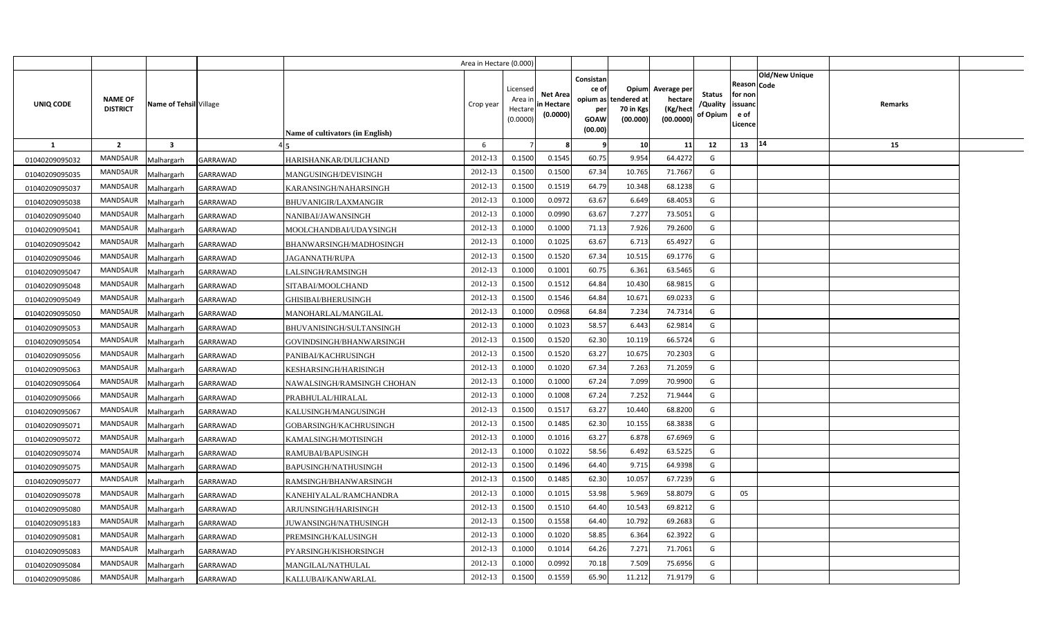|                |                                   |                        |                 |                                         | Area in Hectare (0.000) |                                            |                                           |                                                                 |                                               |                                                 |                                       |                                                 |                               |         |  |
|----------------|-----------------------------------|------------------------|-----------------|-----------------------------------------|-------------------------|--------------------------------------------|-------------------------------------------|-----------------------------------------------------------------|-----------------------------------------------|-------------------------------------------------|---------------------------------------|-------------------------------------------------|-------------------------------|---------|--|
| UNIQ CODE      | <b>NAME OF</b><br><b>DISTRICT</b> | Name of Tehsil Village |                 | <b>Name of cultivators (in English)</b> | Crop year               | Licensed<br>Area in<br>Hectare<br>(0.0000) | <b>Net Area</b><br>in Hectare<br>(0.0000) | Consistan<br>ce of<br>opium as<br>per<br><b>GOAW</b><br>(00.00) | Opium<br>tendered at<br>70 in Kgs<br>(00.000) | Average per<br>hectare<br>(Kg/hect<br>(00.0000) | <b>Status</b><br>/Quality<br>of Opium | Reason<br>for non<br>issuand<br>e of<br>Licence | <b>Old/New Unique</b><br>Code | Remarks |  |
| 1              | $\overline{2}$                    | $\mathbf{3}$           |                 |                                         | 6                       |                                            |                                           | ٠q                                                              | 10                                            | 11                                              | 12                                    | 13                                              | 14                            | 15      |  |
| 01040209095032 | <b>MANDSAUR</b>                   | Malhargarh             | GARRAWAD        | HARISHANKAR/DULICHAND                   | 2012-13                 | 0.1500                                     | 0.1545                                    | 60.75                                                           | 9.954                                         | 64.4272                                         | G                                     |                                                 |                               |         |  |
| 01040209095035 | MANDSAUR                          | Malhargarh             | GARRAWAD        | MANGUSINGH/DEVISINGH                    | 2012-13                 | 0.1500                                     | 0.1500                                    | 67.34                                                           | 10.765                                        | 71.7667                                         | G                                     |                                                 |                               |         |  |
| 01040209095037 | <b>MANDSAUR</b>                   | Malhargarh             | GARRAWAD        | KARANSINGH/NAHARSINGH                   | 2012-13                 | 0.1500                                     | 0.1519                                    | 64.79                                                           | 10.348                                        | 68.1238                                         | G                                     |                                                 |                               |         |  |
| 01040209095038 | <b>MANDSAUR</b>                   | Malhargarh             | GARRAWAD        | <b>BHUVANIGIR/LAXMANGIR</b>             | 2012-13                 | 0.1000                                     | 0.0972                                    | 63.67                                                           | 6.649                                         | 68.4053                                         | G                                     |                                                 |                               |         |  |
| 01040209095040 | <b>MANDSAUR</b>                   | Malhargarh             | GARRAWAD        | NANIBAI/JAWANSINGH                      | 2012-13                 | 0.100                                      | 0.0990                                    | 63.67                                                           | 7.277                                         | 73.5051                                         | G                                     |                                                 |                               |         |  |
| 01040209095041 | MANDSAUR                          | Malhargarh             | GARRAWAD        | MOOLCHANDBAI/UDAYSINGH                  | 2012-13                 | 0.1000                                     | 0.1000                                    | 71.13                                                           | 7.926                                         | 79.2600                                         | G                                     |                                                 |                               |         |  |
| 01040209095042 | <b>MANDSAUR</b>                   | Malhargarh             | GARRAWAD        | BHANWARSINGH/MADHOSINGH                 | 2012-13                 | 0.1000                                     | 0.1025                                    | 63.67                                                           | 6.713                                         | 65.4927                                         | G                                     |                                                 |                               |         |  |
| 01040209095046 | <b>MANDSAUR</b>                   | Malhargarh             | GARRAWAD        | JAGANNATH/RUPA                          | 2012-13                 | 0.1500                                     | 0.1520                                    | 67.34                                                           | 10.515                                        | 69.1776                                         | G                                     |                                                 |                               |         |  |
| 01040209095047 | MANDSAUR                          | Malhargarh             | GARRAWAD        | LALSINGH/RAMSINGH                       | 2012-13                 | 0.1000                                     | 0.1001                                    | 60.75                                                           | 6.361                                         | 63.5465                                         | G                                     |                                                 |                               |         |  |
| 01040209095048 | <b>MANDSAUR</b>                   | Malhargarh             | GARRAWAD        | SITABAI/MOOLCHAND                       | 2012-13                 | 0.1500                                     | 0.151                                     | 64.84                                                           | 10.430                                        | 68.9815                                         | G                                     |                                                 |                               |         |  |
| 01040209095049 | MANDSAUR                          | Malhargarh             | GARRAWAD        | GHISIBAI/BHERUSINGH                     | 2012-13                 | 0.1500                                     | 0.1546                                    | 64.84                                                           | 10.671                                        | 69.0233                                         | G                                     |                                                 |                               |         |  |
| 01040209095050 | <b>MANDSAUR</b>                   | Malhargarh             | GARRAWAD        | MANOHARLAL/MANGILAL                     | 2012-13                 | 0.1000                                     | 0.0968                                    | 64.84                                                           | 7.234                                         | 74.7314                                         | G                                     |                                                 |                               |         |  |
| 01040209095053 | <b>MANDSAUR</b>                   | Malhargarh             | GARRAWAD        | BHUVANISINGH/SULTANSINGH                | 2012-13                 | 0.1000                                     | 0.1023                                    | 58.57                                                           | 6.443                                         | 62.9814                                         | G                                     |                                                 |                               |         |  |
| 01040209095054 | <b>MANDSAUR</b>                   | Malhargarh             | GARRAWAD        | GOVINDSINGH/BHANWARSINGH                | 2012-13                 | 0.1500                                     | 0.1520                                    | 62.30                                                           | 10.119                                        | 66.5724                                         | G                                     |                                                 |                               |         |  |
| 01040209095056 | MANDSAUR                          | Malhargarh             | GARRAWAD        | PANIBAI/KACHRUSINGH                     | 2012-13                 | 0.1500                                     | 0.1520                                    | 63.27                                                           | 10.675                                        | 70.2303                                         | G                                     |                                                 |                               |         |  |
| 01040209095063 | MANDSAUR                          | Malhargarh             | GARRAWAD        | KESHARSINGH/HARISINGH                   | 2012-13                 | 0.1000                                     | 0.1020                                    | 67.34                                                           | 7.263                                         | 71.2059                                         | G                                     |                                                 |                               |         |  |
| 01040209095064 | MANDSAUR                          | Malhargarh             | GARRAWAD        | NAWALSINGH/RAMSINGH CHOHAN              | 2012-13                 | 0.1000                                     | 0.1000                                    | 67.24                                                           | 7.099                                         | 70.9900                                         | G                                     |                                                 |                               |         |  |
| 01040209095066 | MANDSAUR                          | Malhargarh             | GARRAWAD        | PRABHULAL/HIRALAL                       | 2012-13                 | 0.1000                                     | 0.1008                                    | 67.24                                                           | 7.252                                         | 71.9444                                         | G                                     |                                                 |                               |         |  |
| 01040209095067 | <b>MANDSAUR</b>                   | Malhargarh             | GARRAWAD        | KALUSINGH/MANGUSINGH                    | 2012-13                 | 0.1500                                     | 0.151                                     | 63.27                                                           | 10.440                                        | 68.8200                                         | G                                     |                                                 |                               |         |  |
| 01040209095071 | <b>MANDSAUR</b>                   | Malhargarh             | GARRAWAD        | GOBARSINGH/KACHRUSINGH                  | 2012-13                 | 0.1500                                     | 0.1485                                    | 62.30                                                           | 10.155                                        | 68.3838                                         | G                                     |                                                 |                               |         |  |
| 01040209095072 | <b>MANDSAUR</b>                   | Malhargarh             | GARRAWAD        | KAMALSINGH/MOTISINGH                    | 2012-13                 | 0.1000                                     | 0.1016                                    | 63.27                                                           | 6.878                                         | 67.6969                                         | G                                     |                                                 |                               |         |  |
| 01040209095074 | <b>MANDSAUR</b>                   | Malhargarh             | GARRAWAD        | RAMUBAI/BAPUSINGH                       | 2012-13                 | 0.1000                                     | 0.1022                                    | 58.56                                                           | 6.492                                         | 63.5225                                         | G                                     |                                                 |                               |         |  |
| 01040209095075 | MANDSAUR                          | Malhargarh             | GARRAWAD        | BAPUSINGH/NATHUSINGH                    | 2012-13                 | 0.1500                                     | 0.1496                                    | 64.40                                                           | 9.715                                         | 64.9398                                         | G                                     |                                                 |                               |         |  |
| 01040209095077 | <b>MANDSAUR</b>                   | Malhargarh             | GARRAWAD        | RAMSINGH/BHANWARSINGH                   | 2012-13                 | 0.1500                                     | 0.1485                                    | 62.30                                                           | 10.057                                        | 67.7239                                         | G                                     |                                                 |                               |         |  |
| 01040209095078 | <b>MANDSAUR</b>                   | Malhargarh             | GARRAWAD        | KANEHIYALAL/RAMCHANDRA                  | 2012-13                 | 0.1000                                     | 0.1015                                    | 53.98                                                           | 5.969                                         | 58.8079                                         | G                                     | 05                                              |                               |         |  |
| 01040209095080 | <b>MANDSAUR</b>                   | Malhargarh             | GARRAWAD        | ARJUNSINGH/HARISINGH                    | 2012-13                 | 0.1500                                     | 0.1510                                    | 64.40                                                           | 10.543                                        | 69.8212                                         | G                                     |                                                 |                               |         |  |
| 01040209095183 | MANDSAUR                          | Malhargarh             | GARRAWAD        | JUWANSINGH/NATHUSINGH                   | 2012-13                 | 0.1500                                     | 0.1558                                    | 64.40                                                           | 10.792                                        | 69.2683                                         | G                                     |                                                 |                               |         |  |
| 01040209095081 | <b>MANDSAUR</b>                   | Malhargarh             | GARRAWAD        | PREMSINGH/KALUSINGH                     | 2012-13                 | 0.1000                                     | 0.1020                                    | 58.85                                                           | 6.364                                         | 62.3922                                         | G                                     |                                                 |                               |         |  |
| 01040209095083 | <b>MANDSAUR</b>                   | Malhargarh             | GARRAWAD        | PYARSINGH/KISHORSINGH                   | 2012-13                 | 0.1000                                     | 0.1014                                    | 64.26                                                           | 7.271                                         | 71.7061                                         | G                                     |                                                 |                               |         |  |
| 01040209095084 | <b>MANDSAUR</b>                   | Malhargarh             | GARRAWAD        | MANGILAL/NATHULAL                       | 2012-13                 | 0.1000                                     | 0.0992                                    | 70.18                                                           | 7.509                                         | 75.6956                                         | G                                     |                                                 |                               |         |  |
| 01040209095086 | MANDSAUR                          | Malhargarh             | <b>GARRAWAD</b> | KALLUBAI/KANWARLAL                      | 2012-13                 | 0.1500                                     | 0.1559                                    | 65.90                                                           | 11.212                                        | 71.9179                                         | G                                     |                                                 |                               |         |  |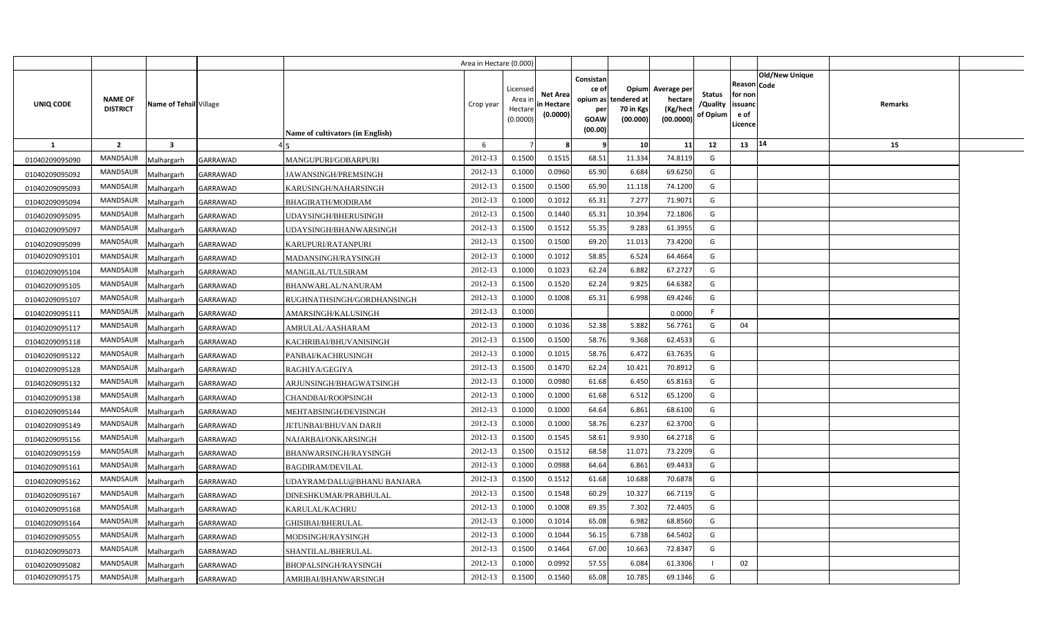|                |                                   |                         |                 |                                         | Area in Hectare (0.000) |                                            |                                           |                                                                 |                                               |                                                 |                                       |                                                 |                               |         |  |
|----------------|-----------------------------------|-------------------------|-----------------|-----------------------------------------|-------------------------|--------------------------------------------|-------------------------------------------|-----------------------------------------------------------------|-----------------------------------------------|-------------------------------------------------|---------------------------------------|-------------------------------------------------|-------------------------------|---------|--|
| UNIQ CODE      | <b>NAME OF</b><br><b>DISTRICT</b> | Name of Tehsil Village  |                 | <b>Name of cultivators (in English)</b> | Crop year               | Licensed<br>Area in<br>Hectare<br>(0.0000) | <b>Net Area</b><br>in Hectare<br>(0.0000) | Consistan<br>ce of<br>opium as<br>per<br><b>GOAW</b><br>(00.00) | Opium<br>tendered at<br>70 in Kgs<br>(00.000) | Average per<br>hectare<br>(Kg/hect<br>(00.0000) | <b>Status</b><br>/Quality<br>of Opium | Reason<br>for non<br>issuand<br>e of<br>Licence | <b>Old/New Unique</b><br>Code | Remarks |  |
| 1              | $\overline{2}$                    | $\overline{\mathbf{3}}$ |                 |                                         | 6                       |                                            |                                           |                                                                 | 10                                            | 11                                              | 12                                    | 13   14                                         |                               | 15      |  |
| 01040209095090 | <b>MANDSAUR</b>                   | Malhargarh              | GARRAWAD        | MANGUPURI/GOBARPURI                     | 2012-13                 | 0.1500                                     | 0.1515                                    | 68.51                                                           | 11.334                                        | 74.8119                                         | G                                     |                                                 |                               |         |  |
| 01040209095092 | <b>MANDSAUR</b>                   | Malhargarh              | GARRAWAD        | JAWANSINGH/PREMSINGH                    | 2012-13                 | 0.1000                                     | 0.0960                                    | 65.90                                                           | 6.684                                         | 69.6250                                         | G                                     |                                                 |                               |         |  |
| 01040209095093 | <b>MANDSAUR</b>                   | Malhargarh              | GARRAWAD        | KARUSINGH/NAHARSINGH                    | 2012-13                 | 0.1500                                     | 0.1500                                    | 65.90                                                           | 11.118                                        | 74.1200                                         | G                                     |                                                 |                               |         |  |
| 01040209095094 | <b>MANDSAUR</b>                   | Malhargarh              | GARRAWAD        | <b>BHAGIRATH/MODIRAM</b>                | 2012-13                 | 0.1000                                     | 0.1012                                    | 65.31                                                           | 7.277                                         | 71.9071                                         | G                                     |                                                 |                               |         |  |
| 01040209095095 | <b>MANDSAUR</b>                   | Malhargarh              | GARRAWAD        | UDAYSINGH/BHERUSINGH                    | 2012-13                 | 0.1500                                     | 0.1440                                    | 65.31                                                           | 10.394                                        | 72.1806                                         | G                                     |                                                 |                               |         |  |
| 01040209095097 | <b>MANDSAUR</b>                   | Malhargarh              | GARRAWAD        | UDAYSINGH/BHANWARSINGH                  | 2012-13                 | 0.1500                                     | 0.1512                                    | 55.35                                                           | 9.283                                         | 61.3955                                         | G                                     |                                                 |                               |         |  |
| 01040209095099 | <b>MANDSAUR</b>                   | Malhargarh              | GARRAWAD        | KARUPURI/RATANPURI                      | 2012-13                 | 0.1500                                     | 0.1500                                    | 69.20                                                           | 11.013                                        | 73.4200                                         | G                                     |                                                 |                               |         |  |
| 01040209095101 | <b>MANDSAUR</b>                   | Malhargarh              | GARRAWAD        | MADANSINGH/RAYSINGH                     | 2012-13                 | 0.1000                                     | 0.1012                                    | 58.85                                                           | 6.524                                         | 64.4664                                         | G                                     |                                                 |                               |         |  |
| 01040209095104 | <b>MANDSAUR</b>                   | Malhargarh              | GARRAWAD        | MANGILAL/TULSIRAM                       | 2012-13                 | 0.1000                                     | 0.1023                                    | 62.24                                                           | 6.882                                         | 67.2727                                         | G                                     |                                                 |                               |         |  |
| 01040209095105 | <b>MANDSAUR</b>                   | Malhargarh              | GARRAWAD        | BHANWARLAL/NANURAM                      | 2012-13                 | 0.1500                                     | 0.1520                                    | 62.24                                                           | 9.825                                         | 64.6382                                         | G                                     |                                                 |                               |         |  |
| 01040209095107 | <b>MANDSAUR</b>                   | Malhargarh              | GARRAWAD        | RUGHNATHSINGH/GORDHANSINGH              | 2012-13                 | 0.1000                                     | 0.1008                                    | 65.31                                                           | 6.998                                         | 69.4246                                         | G                                     |                                                 |                               |         |  |
| 01040209095111 | <b>MANDSAUR</b>                   | Malhargarh              | GARRAWAD        | AMARSINGH/KALUSINGH                     | 2012-13                 | 0.1000                                     |                                           |                                                                 |                                               | 0.0000                                          | F.                                    |                                                 |                               |         |  |
| 01040209095117 | <b>MANDSAUR</b>                   | Malhargarh              | GARRAWAD        | AMRULAL/AASHARAM                        | 2012-13                 | 0.1000                                     | 0.1036                                    | 52.38                                                           | 5.882                                         | 56.7761                                         | G                                     | 04                                              |                               |         |  |
| 01040209095118 | <b>MANDSAUR</b>                   | Malhargarh              | GARRAWAD        | KACHRIBAI/BHUVANISINGH                  | 2012-13                 | 0.1500                                     | 0.1500                                    | 58.76                                                           | 9.368                                         | 62.4533                                         | G                                     |                                                 |                               |         |  |
| 01040209095122 | <b>MANDSAUR</b>                   | Malhargarh              | GARRAWAD        | PANBAI/KACHRUSINGH                      | 2012-13                 | 0.1000                                     | 0.1015                                    | 58.76                                                           | 6.472                                         | 63.7635                                         | G                                     |                                                 |                               |         |  |
| 01040209095128 | <b>MANDSAUR</b>                   | Malhargarh              | GARRAWAD        | RAGHIYA/GEGIYA                          | 2012-13                 | 0.1500                                     | 0.1470                                    | 62.24                                                           | 10.421                                        | 70.8912                                         | G                                     |                                                 |                               |         |  |
| 01040209095132 | <b>MANDSAUR</b>                   | Malhargarh              | GARRAWAD        | ARJUNSINGH/BHAGWATSINGH                 | 2012-13                 | 0.1000                                     | 0.0980                                    | 61.68                                                           | 6.450                                         | 65.8163                                         | G                                     |                                                 |                               |         |  |
| 01040209095138 | <b>MANDSAUR</b>                   | Malhargarh              | GARRAWAD        | CHANDBAI/ROOPSINGH                      | 2012-13                 | 0.1000                                     | 0.1000                                    | 61.68                                                           | 6.512                                         | 65.1200                                         | G                                     |                                                 |                               |         |  |
| 01040209095144 | <b>MANDSAUR</b>                   | Malhargarh              | GARRAWAD        | MEHTABSINGH/DEVISINGH                   | 2012-13                 | 0.1000                                     | 0.1000                                    | 64.64                                                           | 6.861                                         | 68.6100                                         | G                                     |                                                 |                               |         |  |
| 01040209095149 | <b>MANDSAUR</b>                   | Malhargarh              | GARRAWAD        | <b>JETUNBAI/BHUVAN DARJI</b>            | 2012-13                 | 0.1000                                     | 0.1000                                    | 58.76                                                           | 6.237                                         | 62.3700                                         | G                                     |                                                 |                               |         |  |
| 01040209095156 | <b>MANDSAUR</b>                   | Malhargarh              | GARRAWAD        | NAJARBAI/ONKARSINGH                     | 2012-13                 | 0.1500                                     | 0.1545                                    | 58.61                                                           | 9.930                                         | 64.2718                                         | G                                     |                                                 |                               |         |  |
| 01040209095159 | <b>MANDSAUR</b>                   | Malhargarh              | GARRAWAD        | BHANWARSINGH/RAYSINGH                   | 2012-13                 | 0.1500                                     | 0.1512                                    | 68.58                                                           | 11.071                                        | 73.2209                                         | G                                     |                                                 |                               |         |  |
| 01040209095161 | MANDSAUR                          | Malhargarh              | GARRAWAD        | <b>BAGDIRAM/DEVILAL</b>                 | 2012-13                 | 0.1000                                     | 0.0988                                    | 64.64                                                           | 6.861                                         | 69.4433                                         | G                                     |                                                 |                               |         |  |
| 01040209095162 | <b>MANDSAUR</b>                   | Malhargarh              | GARRAWAD        | UDAYRAM/DALU@BHANU BANJARA              | 2012-13                 | 0.1500                                     | 0.1512                                    | 61.68                                                           | 10.688                                        | 70.6878                                         | G                                     |                                                 |                               |         |  |
| 01040209095167 | <b>MANDSAUR</b>                   | Malhargarh              | GARRAWAD        | DINESHKUMAR/PRABHULAL                   | 2012-13                 | 0.1500                                     | 0.1548                                    | 60.29                                                           | 10.327                                        | 66.7119                                         | G                                     |                                                 |                               |         |  |
| 01040209095168 | <b>MANDSAUR</b>                   | Malhargarh              | GARRAWAD        | KARULAL/KACHRU                          | 2012-13                 | 0.1000                                     | 0.1008                                    | 69.35                                                           | 7.302                                         | 72.4405                                         | G                                     |                                                 |                               |         |  |
| 01040209095164 | <b>MANDSAUR</b>                   | Malhargarh              | GARRAWAD        | GHISIBAI/BHERULAL                       | 2012-13                 | 0.1000                                     | 0.1014                                    | 65.08                                                           | 6.982                                         | 68.8560                                         | G                                     |                                                 |                               |         |  |
| 01040209095055 | <b>MANDSAUR</b>                   | Malhargarh              | GARRAWAD        | MODSINGH/RAYSINGH                       | 2012-13                 | 0.1000                                     | 0.1044                                    | 56.15                                                           | 6.738                                         | 64.5402                                         | G                                     |                                                 |                               |         |  |
| 01040209095073 | <b>MANDSAUR</b>                   | Malhargarh              | GARRAWAD        | SHANTILAL/BHERULAL                      | 2012-13                 | 0.1500                                     | 0.1464                                    | 67.00                                                           | 10.663                                        | 72.8347                                         | G                                     |                                                 |                               |         |  |
| 01040209095082 | <b>MANDSAUR</b>                   | Malhargarh              | GARRAWAD        | BHOPALSINGH/RAYSINGH                    | 2012-13                 | 0.1000                                     | 0.0992                                    | 57.55                                                           | 6.084                                         | 61.3306                                         |                                       | 02                                              |                               |         |  |
| 01040209095175 | MANDSAUR                          | Malhargarh              | <b>GARRAWAD</b> | AMRIBAI/BHANWARSINGH                    | 2012-13                 | 0.1500                                     | 0.1560                                    | 65.08                                                           | 10.785                                        | 69.1346                                         | G                                     |                                                 |                               |         |  |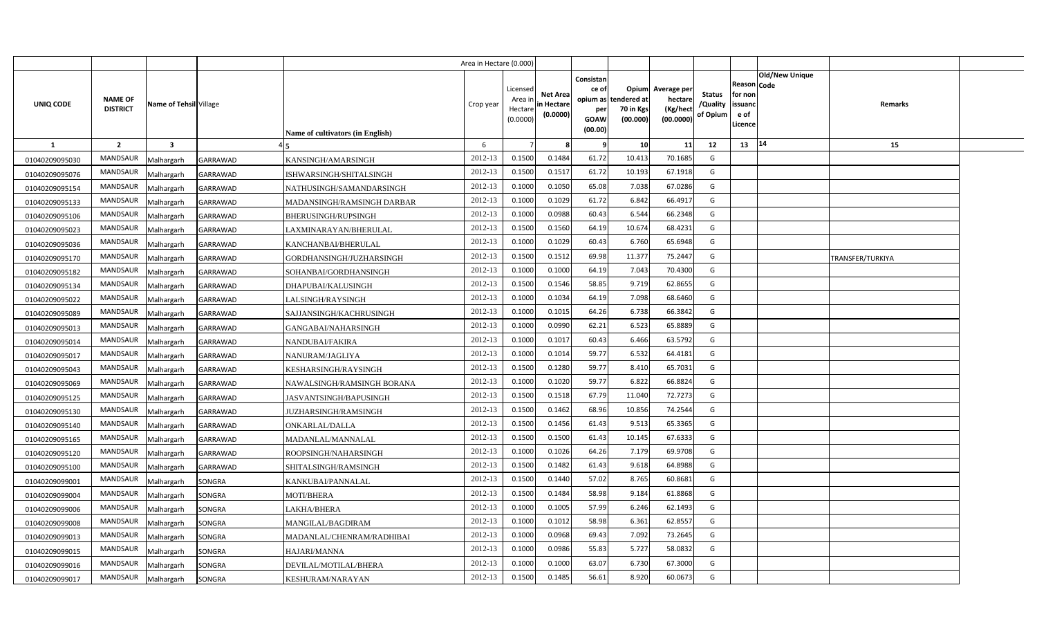|                |                                   |                         |                 |                                  | Area in Hectare (0.000) |                                            |                                          |                                                     |                                                        |                                                 |                                       |                                                      |                       |                  |  |
|----------------|-----------------------------------|-------------------------|-----------------|----------------------------------|-------------------------|--------------------------------------------|------------------------------------------|-----------------------------------------------------|--------------------------------------------------------|-------------------------------------------------|---------------------------------------|------------------------------------------------------|-----------------------|------------------|--|
| UNIQ CODE      | <b>NAME OF</b><br><b>DISTRICT</b> | Name of Tehsil Village  |                 | Name of cultivators (in English) | Crop year               | Licensed<br>Area ir<br>Hectare<br>(0.0000) | <b>Net Area</b><br>in Hectar<br>(0.0000) | Consistan<br>ce of<br>per<br><b>GOAW</b><br>(00.00) | Opium<br>opium as tendered at<br>70 in Kgs<br>(00.000) | Average per<br>hectare<br>(Kg/hect<br>(00.0000) | <b>Status</b><br>/Quality<br>of Opium | Reason Code<br>for non<br>issuanc<br>e of<br>Licence | <b>Old/New Unique</b> | Remarks          |  |
| <b>1</b>       | $\overline{2}$                    | $\overline{\mathbf{3}}$ |                 |                                  | 6                       |                                            |                                          | <b>q</b>                                            | 10                                                     | 11                                              | 12                                    | 13                                                   | 14                    | 15               |  |
| 01040209095030 | <b>MANDSAUR</b>                   | Malhargarh              | GARRAWAD        | KANSINGH/AMARSINGH               | 2012-13                 | 0.1500                                     | 0.1484                                   | 61.72                                               | 10.413                                                 | 70.1685                                         | G                                     |                                                      |                       |                  |  |
| 01040209095076 | MANDSAUR                          | Malhargarh              | GARRAWAD        | ISHWARSINGH/SHITALSINGH          | 2012-13                 | 0.1500                                     | 0.1517                                   | 61.72                                               | 10.193                                                 | 67.1918                                         | G                                     |                                                      |                       |                  |  |
| 01040209095154 | MANDSAUR                          | Malhargarh              | <b>GARRAWAD</b> | NATHUSINGH/SAMANDARSINGH         | 2012-13                 | 0.1000                                     | 0.1050                                   | 65.08                                               | 7.038                                                  | 67.0286                                         | G                                     |                                                      |                       |                  |  |
| 01040209095133 | MANDSAUR                          | Malhargarh              | <b>GARRAWAD</b> | MADANSINGH/RAMSINGH DARBAR       | 2012-13                 | 0.1000                                     | 0.1029                                   | 61.72                                               | 6.842                                                  | 66.4917                                         | G                                     |                                                      |                       |                  |  |
| 01040209095106 | MANDSAUR                          | Malhargarh              | <b>GARRAWAD</b> | BHERUSINGH/RUPSINGH              | 2012-13                 | 0.1000                                     | 0.0988                                   | 60.43                                               | 6.544                                                  | 66.2348                                         | G                                     |                                                      |                       |                  |  |
| 01040209095023 | MANDSAUR                          | Malhargarh              | <b>GARRAWAD</b> | LAXMINARAYAN/BHERULAL            | 2012-13                 | 0.1500                                     | 0.1560                                   | 64.19                                               | 10.674                                                 | 68.4231                                         | G                                     |                                                      |                       |                  |  |
| 01040209095036 | MANDSAUR                          | Malhargarh              | GARRAWAD        | KANCHANBAI/BHERULAL              | 2012-13                 | 0.1000                                     | 0.1029                                   | 60.43                                               | 6.760                                                  | 65.6948                                         | G                                     |                                                      |                       |                  |  |
| 01040209095170 | MANDSAUR                          | Malhargarh              | <b>GARRAWAD</b> | GORDHANSINGH/JUZHARSINGH         | 2012-13                 | 0.1500                                     | 0.1512                                   | 69.98                                               | 11.377                                                 | 75.2447                                         | G                                     |                                                      |                       | TRANSFER/TURKIYA |  |
| 01040209095182 | MANDSAUR                          | Malhargarh              | GARRAWAD        | SOHANBAI/GORDHANSINGH            | 2012-13                 | 0.1000                                     | 0.1000                                   | 64.19                                               | 7.043                                                  | 70.4300                                         | G                                     |                                                      |                       |                  |  |
| 01040209095134 | MANDSAUR                          | Malhargarh              | <b>GARRAWAD</b> | DHAPUBAI/KALUSINGH               | 2012-13                 | 0.1500                                     | 0.1546                                   | 58.85                                               | 9.719                                                  | 62.8655                                         | G                                     |                                                      |                       |                  |  |
| 01040209095022 | MANDSAUR                          | Malhargarh              | <b>GARRAWAD</b> | LALSINGH/RAYSINGH                | 2012-13                 | 0.1000                                     | 0.1034                                   | 64.19                                               | 7.098                                                  | 68.6460                                         | G                                     |                                                      |                       |                  |  |
| 01040209095089 | MANDSAUR                          | Malhargarh              | GARRAWAD        | SAJJANSINGH/KACHRUSINGH          | 2012-13                 | 0.100                                      | 0.1015                                   | 64.26                                               | 6.738                                                  | 66.3842                                         | G                                     |                                                      |                       |                  |  |
| 01040209095013 | MANDSAUR                          | Malhargarh              | <b>GARRAWAD</b> | GANGABAI/NAHARSINGH              | 2012-13                 | 0.100                                      | 0.0990                                   | 62.21                                               | 6.523                                                  | 65.8889                                         | G                                     |                                                      |                       |                  |  |
| 01040209095014 | MANDSAUR                          | Malhargarh              | <b>GARRAWAD</b> | NANDUBAI/FAKIRA                  | 2012-13                 | 0.100                                      | 0.101                                    | 60.43                                               | 6.466                                                  | 63.5792                                         | G                                     |                                                      |                       |                  |  |
| 01040209095017 | <b>MANDSAUR</b>                   | Malhargarh              | GARRAWAD        | NANURAM/JAGLIYA                  | 2012-13                 | 0.1000                                     | 0.1014                                   | 59.77                                               | 6.532                                                  | 64.4181                                         | G                                     |                                                      |                       |                  |  |
| 01040209095043 | MANDSAUR                          | Malhargarh              | GARRAWAD        | KESHARSINGH/RAYSINGH             | 2012-13                 | 0.1500                                     | 0.1280                                   | 59.77                                               | 8.410                                                  | 65.7031                                         | G                                     |                                                      |                       |                  |  |
| 01040209095069 | <b>MANDSAUR</b>                   | Malhargarh              | GARRAWAD        | NAWALSINGH/RAMSINGH BORANA       | 2012-13                 | 0.1000                                     | 0.1020                                   | 59.77                                               | 6.822                                                  | 66.8824                                         | G                                     |                                                      |                       |                  |  |
| 01040209095125 | MANDSAUR                          | Malhargarh              | <b>GARRAWAD</b> | JASVANTSINGH/BAPUSINGH           | 2012-13                 | 0.1500                                     | 0.1518                                   | 67.79                                               | 11.040                                                 | 72.7273                                         | G                                     |                                                      |                       |                  |  |
| 01040209095130 | <b>MANDSAUR</b>                   | Malhargarh              | GARRAWAD        | JUZHARSINGH/RAMSINGH             | 2012-13                 | 0.1500                                     | 0.1462                                   | 68.96                                               | 10.856                                                 | 74.2544                                         | G                                     |                                                      |                       |                  |  |
| 01040209095140 | <b>MANDSAUR</b>                   | Malhargarh              | <b>GARRAWAD</b> | ONKARLAL/DALLA                   | 2012-13                 | 0.1500                                     | 0.1456                                   | 61.43                                               | 9.513                                                  | 65.3365                                         | G                                     |                                                      |                       |                  |  |
| 01040209095165 | <b>MANDSAUR</b>                   | Malhargarh              | GARRAWAD        | MADANLAL/MANNALAL                | 2012-13                 | 0.1500                                     | 0.1500                                   | 61.43                                               | 10.145                                                 | 67.6333                                         | G                                     |                                                      |                       |                  |  |
| 01040209095120 | <b>MANDSAUR</b>                   | Malhargarh              | GARRAWAD        | ROOPSINGH/NAHARSINGH             | 2012-13                 | 0.1000                                     | 0.1026                                   | 64.26                                               | 7.179                                                  | 69.9708                                         | G                                     |                                                      |                       |                  |  |
| 01040209095100 | MANDSAUR                          | Malhargarh              | GARRAWAD        | SHITALSINGH/RAMSINGH             | 2012-13                 | 0.1500                                     | 0.1482                                   | 61.43                                               | 9.618                                                  | 64.8988                                         | G                                     |                                                      |                       |                  |  |
| 01040209099001 | <b>MANDSAUR</b>                   | Malhargarh              | SONGRA          | KANKUBAI/PANNALAL                | 2012-13                 | 0.1500                                     | 0.1440                                   | 57.02                                               | 8.765                                                  | 60.8681                                         | G                                     |                                                      |                       |                  |  |
| 01040209099004 | MANDSAUR                          | Malhargarh              | SONGRA          | MOTI/BHERA                       | 2012-13                 | 0.1500                                     | 0.1484                                   | 58.98                                               | 9.184                                                  | 61.8868                                         | G                                     |                                                      |                       |                  |  |
| 01040209099006 | MANDSAUR                          | Malhargarh              | SONGRA          | LAKHA/BHERA                      | 2012-13                 | 0.1000                                     | 0.1005                                   | 57.99                                               | 6.246                                                  | 62.1493                                         | G                                     |                                                      |                       |                  |  |
| 01040209099008 | MANDSAUR                          | Malhargarh              | SONGRA          | MANGILAL/BAGDIRAM                | 2012-13                 | 0.1000                                     | 0.1012                                   | 58.98                                               | 6.361                                                  | 62.8557                                         | G                                     |                                                      |                       |                  |  |
| 01040209099013 | MANDSAUR                          | Malhargarh              | SONGRA          | MADANLAL/CHENRAM/RADHIBAI        | 2012-13                 | 0.1000                                     | 0.0968                                   | 69.43                                               | 7.092                                                  | 73.2645                                         | G                                     |                                                      |                       |                  |  |
| 01040209099015 | MANDSAUR                          | Malhargarh              | SONGRA          | HAJARI/MANNA                     | 2012-13                 | 0.1000                                     | 0.0986                                   | 55.83                                               | 5.727                                                  | 58.0832                                         | G                                     |                                                      |                       |                  |  |
| 01040209099016 | MANDSAUR                          | Malhargarh              | SONGRA          | DEVILAL/MOTILAL/BHERA            | 2012-13                 | 0.1000                                     | 0.1000                                   | 63.07                                               | 6.730                                                  | 67.3000                                         | G                                     |                                                      |                       |                  |  |
| 01040209099017 | MANDSAUR                          | Malhargarh              | SONGRA          | KESHURAM/NARAYAN                 | 2012-13                 | 0.1500                                     | 0.1485                                   | 56.61                                               | 8.920                                                  | 60.0673                                         | G                                     |                                                      |                       |                  |  |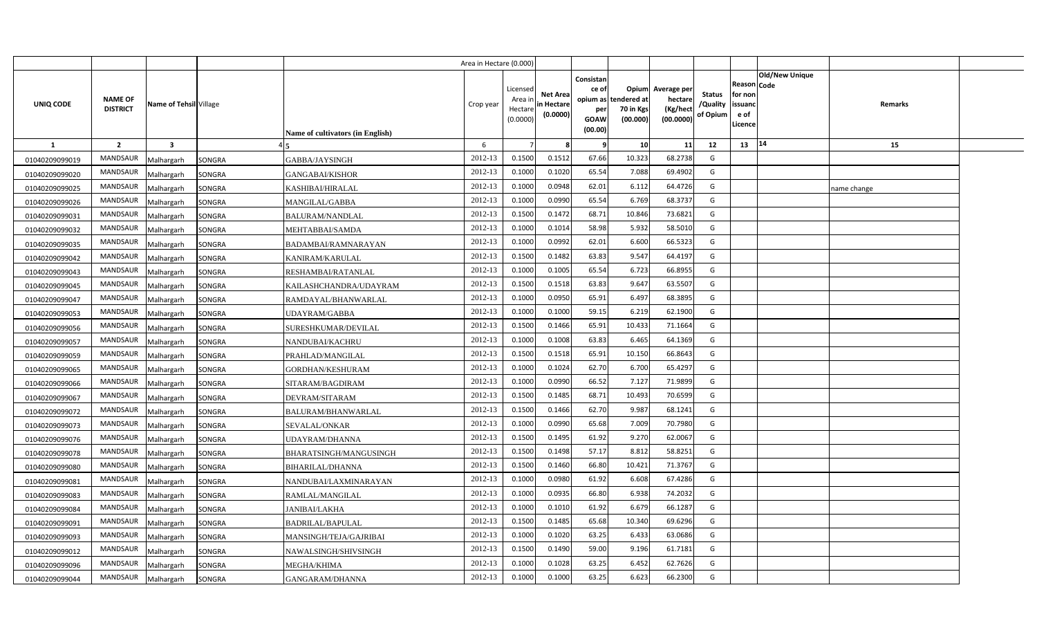|                |                                   |                        |        |                                         | Area in Hectare (0.000) |                                            |                                           |                                                                 |                                               |                                                 |                                       |                                                             |                       |             |  |
|----------------|-----------------------------------|------------------------|--------|-----------------------------------------|-------------------------|--------------------------------------------|-------------------------------------------|-----------------------------------------------------------------|-----------------------------------------------|-------------------------------------------------|---------------------------------------|-------------------------------------------------------------|-----------------------|-------------|--|
| UNIQ CODE      | <b>NAME OF</b><br><b>DISTRICT</b> | Name of Tehsil Village |        | <b>Name of cultivators (in English)</b> | Crop year               | Licensed<br>Area in<br>Hectare<br>(0.0000) | <b>Net Area</b><br>in Hectare<br>(0.0000) | Consistan<br>ce of<br>opium as<br>per<br><b>GOAW</b><br>(00.00) | Opium<br>tendered at<br>70 in Kgs<br>(00.000) | Average per<br>hectare<br>(Kg/hect<br>(00.0000) | <b>Status</b><br>/Quality<br>of Opium | <b>Reason Code</b><br>for non<br>issuand<br>e of<br>Licence | <b>Old/New Unique</b> | Remarks     |  |
| <b>1</b>       | $\overline{2}$                    | $\mathbf{3}$           |        |                                         | 6                       |                                            |                                           | - 9                                                             | 10                                            | 11                                              | 12                                    | 13                                                          | 14                    | 15          |  |
| 01040209099019 | <b>MANDSAUR</b>                   | Malhargarh             | SONGRA | GABBA/JAYSINGH                          | 2012-13                 | 0.1500                                     | 0.1512                                    | 67.66                                                           | 10.323                                        | 68.2738                                         | G                                     |                                                             |                       |             |  |
| 01040209099020 | <b>MANDSAUR</b>                   | Malhargarh             | SONGRA | GANGABAI/KISHOR                         | 2012-13                 | 0.1000                                     | 0.1020                                    | 65.54                                                           | 7.088                                         | 69.4902                                         | G                                     |                                                             |                       |             |  |
| 01040209099025 | MANDSAUR                          | Malhargarh             | SONGRA | KASHIBAI/HIRALAL                        | 2012-13                 | 0.1000                                     | 0.0948                                    | 62.01                                                           | 6.112                                         | 64.4726                                         | G                                     |                                                             |                       | name change |  |
| 01040209099026 | MANDSAUR                          | Malhargarh             | SONGRA | MANGILAL/GABBA                          | 2012-13                 | 0.1000                                     | 0.0990                                    | 65.54                                                           | 6.769                                         | 68.3737                                         | G                                     |                                                             |                       |             |  |
| 01040209099031 | MANDSAUR                          | Malhargarh             | SONGRA | BALURAM/NANDLAL                         | 2012-13                 | 0.1500                                     | 0.1472                                    | 68.71                                                           | 10.846                                        | 73.6821                                         | G                                     |                                                             |                       |             |  |
| 01040209099032 | MANDSAUR                          | Malhargarh             | SONGRA | MEHTABBAI/SAMDA                         | 2012-13                 | 0.100                                      | 0.101                                     | 58.98                                                           | 5.932                                         | 58.5010                                         | G                                     |                                                             |                       |             |  |
| 01040209099035 | MANDSAUR                          | Malhargarh             | SONGRA | BADAMBAI/RAMNARAYAN                     | 2012-13                 | 0.1000                                     | 0.0992                                    | 62.01                                                           | 6.600                                         | 66.5323                                         | G                                     |                                                             |                       |             |  |
| 01040209099042 | <b>MANDSAUR</b>                   | Malhargarh             | SONGRA | KANIRAM/KARULAL                         | 2012-13                 | 0.1500                                     | 0.1482                                    | 63.83                                                           | 9.547                                         | 64.4197                                         | G                                     |                                                             |                       |             |  |
| 01040209099043 | MANDSAUR                          | Malhargarh             | SONGRA | RESHAMBAI/RATANLAL                      | 2012-13                 | 0.1000                                     | 0.1005                                    | 65.54                                                           | 6.723                                         | 66.8955                                         | G                                     |                                                             |                       |             |  |
| 01040209099045 | <b>MANDSAUR</b>                   | Malhargarh             | SONGRA | KAILASHCHANDRA/UDAYRAM                  | 2012-13                 | 0.1500                                     | 0.1518                                    | 63.83                                                           | 9.647                                         | 63.5507                                         | G                                     |                                                             |                       |             |  |
| 01040209099047 | <b>MANDSAUR</b>                   | Malhargarh             | SONGRA | RAMDAYAL/BHANWARLAL                     | 2012-13                 | 0.1000                                     | 0.0950                                    | 65.91                                                           | 6.497                                         | 68.3895                                         | G                                     |                                                             |                       |             |  |
| 01040209099053 | <b>MANDSAUR</b>                   | Malhargarh             | SONGRA | UDAYRAM/GABBA                           | 2012-13                 | 0.1000                                     | 0.1000                                    | 59.15                                                           | 6.219                                         | 62.1900                                         | G                                     |                                                             |                       |             |  |
| 01040209099056 | MANDSAUR                          | Malhargarh             | SONGRA | SURESHKUMAR/DEVILAL                     | 2012-13                 | 0.1500                                     | 0.1466                                    | 65.91                                                           | 10.433                                        | 71.1664                                         | G                                     |                                                             |                       |             |  |
| 01040209099057 | <b>MANDSAUR</b>                   | Malhargarh             | SONGRA | NANDUBAI/KACHRU                         | 2012-13                 | 0.1000                                     | 0.1008                                    | 63.83                                                           | 6.465                                         | 64.1369                                         | G                                     |                                                             |                       |             |  |
| 01040209099059 | <b>MANDSAUR</b>                   | Malhargarh             | SONGRA | PRAHLAD/MANGILAL                        | 2012-13                 | 0.1500                                     | 0.1518                                    | 65.91                                                           | 10.150                                        | 66.8643                                         | G                                     |                                                             |                       |             |  |
| 01040209099065 | <b>MANDSAUR</b>                   | Malhargarh             | SONGRA | <b>GORDHAN/KESHURAM</b>                 | 2012-13                 | 0.1000                                     | 0.1024                                    | 62.70                                                           | 6.700                                         | 65.4297                                         | G                                     |                                                             |                       |             |  |
| 01040209099066 | <b>MANDSAUR</b>                   | Malhargarh             | SONGRA | SITARAM/BAGDIRAM                        | 2012-13                 | 0.1000                                     | 0.0990                                    | 66.52                                                           | 7.127                                         | 71.9899                                         | G                                     |                                                             |                       |             |  |
| 01040209099067 | MANDSAUR                          | Malhargarh             | SONGRA | DEVRAM/SITARAM                          | 2012-13                 | 0.1500                                     | 0.1485                                    | 68.71                                                           | 10.493                                        | 70.6599                                         | G                                     |                                                             |                       |             |  |
| 01040209099072 | MANDSAUR                          | Malhargarh             | SONGRA | BALURAM/BHANWARLAL                      | 2012-13                 | 0.1500                                     | 0.1466                                    | 62.70                                                           | 9.987                                         | 68.1241                                         | G                                     |                                                             |                       |             |  |
| 01040209099073 | <b>MANDSAUR</b>                   | Malhargarh             | SONGRA | SEVALAL/ONKAR                           | 2012-13                 | 0.1000                                     | 0.0990                                    | 65.68                                                           | 7.009                                         | 70.7980                                         | G                                     |                                                             |                       |             |  |
| 01040209099076 | MANDSAUR                          | Malhargarh             | SONGRA | UDAYRAM/DHANNA                          | 2012-13                 | 0.1500                                     | 0.1495                                    | 61.92                                                           | 9.270                                         | 62.0067                                         | G                                     |                                                             |                       |             |  |
| 01040209099078 | <b>MANDSAUR</b>                   | Malhargarh             | SONGRA | BHARATSINGH/MANGUSINGH                  | 2012-13                 | 0.1500                                     | 0.1498                                    | 57.17                                                           | 8.812                                         | 58.8251                                         | G                                     |                                                             |                       |             |  |
| 01040209099080 | <b>MANDSAUR</b>                   | Malhargarh             | SONGRA | BIHARILAL/DHANNA                        | 2012-13                 | 0.1500                                     | 0.1460                                    | 66.80                                                           | 10.421                                        | 71.3767                                         | G                                     |                                                             |                       |             |  |
| 01040209099081 | <b>MANDSAUR</b>                   | Malhargarh             | SONGRA | NANDUBAI/LAXMINARAYAN                   | 2012-13                 | 0.1000                                     | 0.0980                                    | 61.92                                                           | 6.608                                         | 67.4286                                         | G                                     |                                                             |                       |             |  |
| 01040209099083 | <b>MANDSAUR</b>                   | Malhargarh             | SONGRA | RAMLAL/MANGILAL                         | 2012-13                 | 0.1000                                     | 0.0935                                    | 66.80                                                           | 6.938                                         | 74.2032                                         | G                                     |                                                             |                       |             |  |
| 01040209099084 | <b>MANDSAUR</b>                   | Malhargarh             | SONGRA | <b>JANIBAI/LAKHA</b>                    | 2012-13                 | 0.1000                                     | 0.1010                                    | 61.92                                                           | 6.679                                         | 66.1287                                         | G                                     |                                                             |                       |             |  |
| 01040209099091 | <b>MANDSAUR</b>                   | Malhargarh             | SONGRA | BADRILAL/BAPULAL                        | 2012-13                 | 0.1500                                     | 0.1485                                    | 65.68                                                           | 10.340                                        | 69.6296                                         | G                                     |                                                             |                       |             |  |
| 01040209099093 | <b>MANDSAUR</b>                   | Malhargarh             | SONGRA | MANSINGH/TEJA/GAJRIBAI                  | 2012-13                 | 0.1000                                     | 0.1020                                    | 63.25                                                           | 6.433                                         | 63.0686                                         | G                                     |                                                             |                       |             |  |
| 01040209099012 | <b>MANDSAUR</b>                   | Malhargarh             | SONGRA | NAWALSINGH/SHIVSINGH                    | 2012-13                 | 0.1500                                     | 0.1490                                    | 59.00                                                           | 9.196                                         | 61.7181                                         | G                                     |                                                             |                       |             |  |
| 01040209099096 | <b>MANDSAUR</b>                   | Malhargarh             | SONGRA | MEGHA/KHIMA                             | 2012-13                 | 0.1000                                     | 0.1028                                    | 63.25                                                           | 6.452                                         | 62.7626                                         | G                                     |                                                             |                       |             |  |
| 01040209099044 | MANDSAUR                          | Malhargarh             | SONGRA | GANGARAM/DHANNA                         | 2012-13                 | 0.1000                                     | 0.1000                                    | 63.25                                                           | 6.623                                         | 66.2300                                         | G                                     |                                                             |                       |             |  |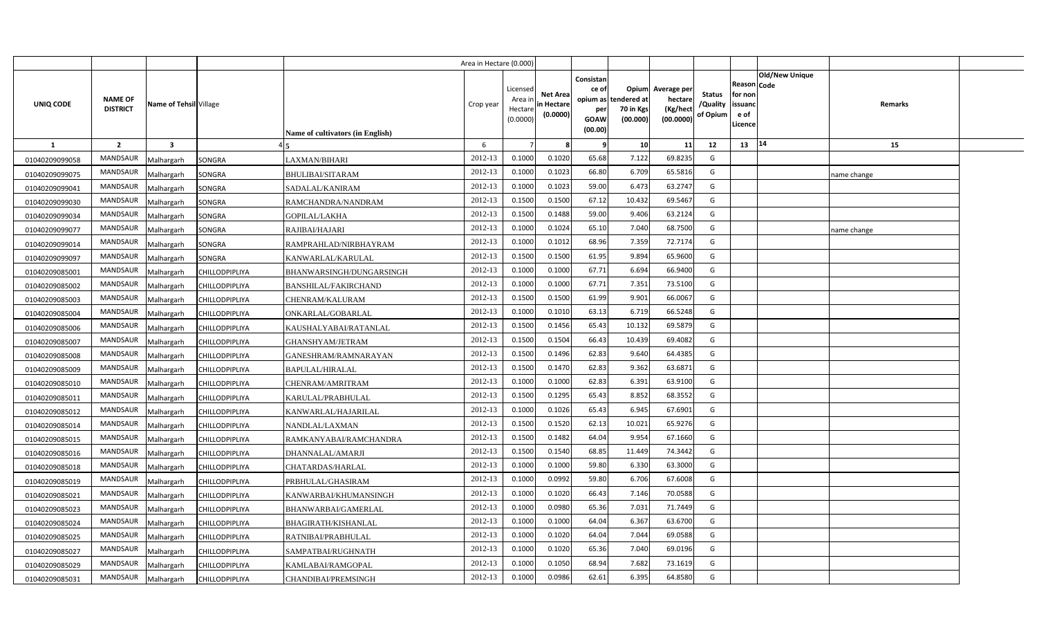|                |                                   |                         |                       |                                  | Area in Hectare (0.000) |                                            |                                           |                                              |                                                        |                                                 |                                       |                                                             |                       |             |  |
|----------------|-----------------------------------|-------------------------|-----------------------|----------------------------------|-------------------------|--------------------------------------------|-------------------------------------------|----------------------------------------------|--------------------------------------------------------|-------------------------------------------------|---------------------------------------|-------------------------------------------------------------|-----------------------|-------------|--|
| UNIQ CODE      | <b>NAME OF</b><br><b>DISTRICT</b> | Name of Tehsil Village  |                       | Name of cultivators (in English) | Crop year               | Licensed<br>Area ir<br>Hectare<br>(0.0000) | <b>Net Area</b><br>in Hectare<br>(0.0000) | Consistan<br>ce of<br>per<br>GOAW<br>(00.00) | Opium<br>opium as tendered at<br>70 in Kgs<br>(00.000) | Average per<br>hectare<br>(Kg/hect<br>(00.0000) | <b>Status</b><br>/Quality<br>of Opium | <b>Reason Code</b><br>for non<br>issuanc<br>e of<br>Licence | <b>Old/New Unique</b> | Remarks     |  |
| <b>1</b>       | $\overline{2}$                    | $\overline{\mathbf{3}}$ |                       |                                  | 6                       |                                            |                                           | -9                                           | 10                                                     | 11                                              | 12                                    | 13                                                          | 14                    | 15          |  |
| 01040209099058 | <b>MANDSAUR</b>                   | Malhargarh              | SONGRA                | LAXMAN/BIHARI                    | 2012-13                 | 0.1000                                     | 0.1020                                    | 65.68                                        | 7.122                                                  | 69.8235                                         | G                                     |                                                             |                       |             |  |
| 01040209099075 | MANDSAUR                          | Malhargarh              | SONGRA                | BHULIBAI/SITARAM                 | 2012-13                 | 0.1000                                     | 0.1023                                    | 66.80                                        | 6.709                                                  | 65.5816                                         | G                                     |                                                             |                       | name change |  |
| 01040209099041 | MANDSAUR                          | Malhargarh              | SONGRA                | SADALAL/KANIRAM                  | 2012-13                 | 0.1000                                     | 0.1023                                    | 59.00                                        | 6.473                                                  | 63.2747                                         | G                                     |                                                             |                       |             |  |
| 01040209099030 | MANDSAUR                          | Malhargarh              | SONGRA                | RAMCHANDRA/NANDRAM               | 2012-13                 | 0.1500                                     | 0.1500                                    | 67.12                                        | 10.432                                                 | 69.5467                                         | G                                     |                                                             |                       |             |  |
| 01040209099034 | MANDSAUR                          | Malhargarh              | SONGRA                | <b>GOPILAL/LAKHA</b>             | 2012-13                 | 0.1500                                     | 0.1488                                    | 59.00                                        | 9.406                                                  | 63.2124                                         | G                                     |                                                             |                       |             |  |
| 01040209099077 | MANDSAUR                          | Malhargarh              | SONGRA                | RAJIBAI/HAJARI                   | 2012-13                 | 0.1000                                     | 0.1024                                    | 65.10                                        | 7.040                                                  | 68.7500                                         | G                                     |                                                             |                       | name change |  |
| 01040209099014 | MANDSAUR                          | Malhargarh              | SONGRA                | RAMPRAHLAD/NIRBHAYRAM            | 2012-13                 | 0.1000                                     | 0.1012                                    | 68.96                                        | 7.359                                                  | 72.7174                                         | G                                     |                                                             |                       |             |  |
| 01040209099097 | MANDSAUR                          | Malhargarh              | SONGRA                | KANWARLAL/KARULAL                | 2012-13                 | 0.1500                                     | 0.1500                                    | 61.95                                        | 9.894                                                  | 65.9600                                         | G                                     |                                                             |                       |             |  |
| 01040209085001 | MANDSAUR                          | Malhargarh              | CHILLODPIPLIYA        | BHANWARSINGH/DUNGARSINGH         | 2012-13                 | 0.1000                                     | 0.1000                                    | 67.71                                        | 6.694                                                  | 66.9400                                         | G                                     |                                                             |                       |             |  |
| 01040209085002 | MANDSAUR                          | Malhargarh              | <b>CHILLODPIPLIYA</b> | <b>BANSHILAL/FAKIRCHAND</b>      | 2012-13                 | 0.1000                                     | 0.1000                                    | 67.71                                        | 7.351                                                  | 73.5100                                         | G                                     |                                                             |                       |             |  |
| 01040209085003 | MANDSAUR                          | Malhargarh              | CHILLODPIPLIYA        | CHENRAM/KALURAM                  | 2012-13                 | 0.1500                                     | 0.1500                                    | 61.99                                        | 9.901                                                  | 66.0067                                         | G                                     |                                                             |                       |             |  |
| 01040209085004 | MANDSAUR                          | Malhargarh              | CHILLODPIPLIYA        | ONKARLAL/GOBARLAL                | 2012-13                 | 0.100                                      | 0.1010                                    | 63.13                                        | 6.719                                                  | 66.5248                                         | G                                     |                                                             |                       |             |  |
| 01040209085006 | MANDSAUR                          | Malhargarh              | CHILLODPIPLIYA        | KAUSHALYABAI/RATANLAL            | 2012-13                 | 0.1500                                     | 0.1456                                    | 65.43                                        | 10.132                                                 | 69.5879                                         | G                                     |                                                             |                       |             |  |
| 01040209085007 | <b>MANDSAUR</b>                   | Malhargarh              | CHILLODPIPLIYA        | <b>GHANSHYAM/JETRAM</b>          | 2012-13                 | 0.1500                                     | 0.1504                                    | 66.43                                        | 10.439                                                 | 69.4082                                         | G                                     |                                                             |                       |             |  |
| 01040209085008 | <b>MANDSAUR</b>                   | Malhargarh              | CHILLODPIPLIYA        | GANESHRAM/RAMNARAYAN             | 2012-13                 | 0.1500                                     | 0.1496                                    | 62.83                                        | 9.640                                                  | 64.4385                                         | G                                     |                                                             |                       |             |  |
| 01040209085009 | <b>MANDSAUR</b>                   | Malhargarh              | CHILLODPIPLIYA        | <b>BAPULAL/HIRALAL</b>           | 2012-13                 | 0.1500                                     | 0.1470                                    | 62.83                                        | 9.362                                                  | 63.6871                                         | G                                     |                                                             |                       |             |  |
| 01040209085010 | MANDSAUR                          | Malhargarh              | CHILLODPIPLIYA        | CHENRAM/AMRITRAM                 | 2012-13                 | 0.1000                                     | 0.1000                                    | 62.83                                        | 6.391                                                  | 63.9100                                         | G                                     |                                                             |                       |             |  |
| 01040209085011 | <b>MANDSAUR</b>                   | Malhargarh              | CHILLODPIPLIYA        | KARULAL/PRABHULAL                | 2012-13                 | 0.1500                                     | 0.1295                                    | 65.43                                        | 8.852                                                  | 68.3552                                         | G                                     |                                                             |                       |             |  |
| 01040209085012 | <b>MANDSAUR</b>                   | Malhargarh              | CHILLODPIPLIYA        | KANWARLAL/HAJARILAL              | 2012-13                 | 0.1000                                     | 0.1026                                    | 65.43                                        | 6.945                                                  | 67.6901                                         | G                                     |                                                             |                       |             |  |
| 01040209085014 | <b>MANDSAUR</b>                   | Malhargarh              | CHILLODPIPLIYA        | NANDLAL/LAXMAN                   | 2012-13                 | 0.1500                                     | 0.1520                                    | 62.13                                        | 10.021                                                 | 65.9276                                         | G                                     |                                                             |                       |             |  |
| 01040209085015 | <b>MANDSAUR</b>                   | Malhargarh              | CHILLODPIPLIYA        | RAMKANYABAI/RAMCHANDRA           | 2012-13                 | 0.1500                                     | 0.1482                                    | 64.04                                        | 9.954                                                  | 67.1660                                         | G                                     |                                                             |                       |             |  |
| 01040209085016 | MANDSAUR                          | Malhargarh              | CHILLODPIPLIYA        | DHANNALAL/AMARJI                 | 2012-13                 | 0.1500                                     | 0.1540                                    | 68.85                                        | 11.449                                                 | 74.3442                                         | $\mathsf{G}$                          |                                                             |                       |             |  |
| 01040209085018 | <b>MANDSAUR</b>                   | Malhargarh              | CHILLODPIPLIYA        | CHATARDAS/HARLAL                 | 2012-13                 | 0.1000                                     | 0.1000                                    | 59.80                                        | 6.330                                                  | 63.3000                                         | G                                     |                                                             |                       |             |  |
| 01040209085019 | MANDSAUR                          | Malhargarh              | CHILLODPIPLIYA        | PRBHULAL/GHASIRAM                | 2012-13                 | 0.1000                                     | 0.0992                                    | 59.80                                        | 6.706                                                  | 67.6008                                         | G                                     |                                                             |                       |             |  |
| 01040209085021 | MANDSAUR                          | Malhargarh              | CHILLODPIPLIYA        | KANWARBAI/KHUMANSINGH            | 2012-13                 | 0.1000                                     | 0.1020                                    | 66.43                                        | 7.146                                                  | 70.0588                                         | G                                     |                                                             |                       |             |  |
| 01040209085023 | MANDSAUR                          | Malhargarh              | CHILLODPIPLIYA        | BHANWARBAI/GAMERLAL              | 2012-13                 | 0.1000                                     | 0.0980                                    | 65.36                                        | 7.031                                                  | 71.7449                                         | G                                     |                                                             |                       |             |  |
| 01040209085024 | <b>MANDSAUR</b>                   | Malhargarh              | CHILLODPIPLIYA        | BHAGIRATH/KISHANLAL              | 2012-13                 | 0.1000                                     | 0.1000                                    | 64.04                                        | 6.367                                                  | 63.6700                                         | G                                     |                                                             |                       |             |  |
| 01040209085025 | MANDSAUR                          | Malhargarh              | <b>CHILLODPIPLIYA</b> | RATNIBAI/PRABHULAL               | 2012-13                 | 0.1000                                     | 0.1020                                    | 64.04                                        | 7.044                                                  | 69.0588                                         | G                                     |                                                             |                       |             |  |
| 01040209085027 | MANDSAUR                          | Malhargarh              | CHILLODPIPLIYA        | SAMPATBAI/RUGHNATH               | 2012-13                 | 0.1000                                     | 0.1020                                    | 65.36                                        | 7.040                                                  | 69.0196                                         | G                                     |                                                             |                       |             |  |
| 01040209085029 | MANDSAUR                          | Malhargarh              | CHILLODPIPLIYA        | KAMLABAI/RAMGOPAL                | 2012-13                 | 0.1000                                     | 0.1050                                    | 68.94                                        | 7.682                                                  | 73.1619                                         | G                                     |                                                             |                       |             |  |
| 01040209085031 | MANDSAUR                          | Malhargarh              | CHILLODPIPLIYA        | <b>CHANDIBAI/PREMSINGH</b>       | 2012-13                 | 0.100                                      | 0.0986                                    | 62.61                                        | 6.395                                                  | 64.8580                                         | G                                     |                                                             |                       |             |  |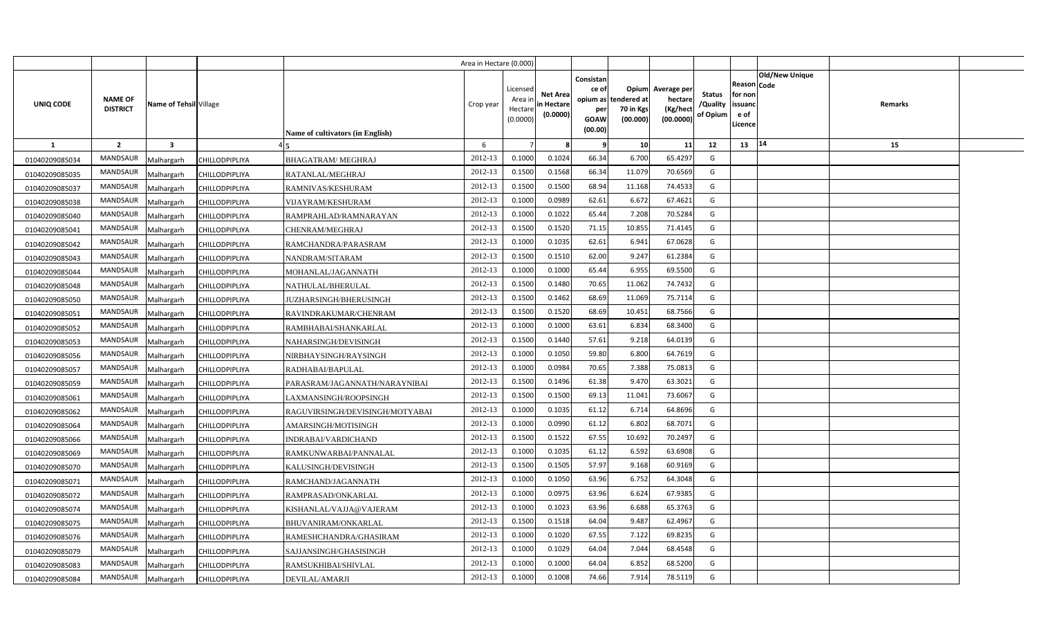|                |                                   |                         |                |                                  | Area in Hectare (0.000) |                                            |                                           |                                                     |                                                        |                                                 |                                       |                                                        |                                  |  |
|----------------|-----------------------------------|-------------------------|----------------|----------------------------------|-------------------------|--------------------------------------------|-------------------------------------------|-----------------------------------------------------|--------------------------------------------------------|-------------------------------------------------|---------------------------------------|--------------------------------------------------------|----------------------------------|--|
| UNIQ CODE      | <b>NAME OF</b><br><b>DISTRICT</b> | Name of Tehsil Village  |                | Name of cultivators (in English) | Crop year               | Licensed<br>Area ir<br>Hectare<br>(0.0000) | <b>Net Area</b><br>in Hectare<br>(0.0000) | Consistan<br>ce of<br>per<br><b>GOAW</b><br>(00.00) | Opium<br>opium as tendered at<br>70 in Kgs<br>(00.000) | Average per<br>hectare<br>(Kg/hect<br>(00.0000) | <b>Status</b><br>/Quality<br>of Opium | Reason   Code<br>for non<br>issuanc<br>e of<br>Licence | <b>Old/New Unique</b><br>Remarks |  |
| <b>1</b>       | $\overline{2}$                    | $\overline{\mathbf{3}}$ |                |                                  | 6                       |                                            |                                           | 9                                                   | 10                                                     | 11                                              | 12                                    | 13                                                     | 14<br>15                         |  |
| 01040209085034 | <b>MANDSAUR</b>                   | Malhargarh              | CHILLODPIPLIYA | <b>BHAGATRAM/ MEGHRAJ</b>        | 2012-13                 | 0.1000                                     | 0.1024                                    | 66.34                                               | 6.700                                                  | 65.4297                                         | G                                     |                                                        |                                  |  |
| 01040209085035 | MANDSAUR                          | Malhargarh              | CHILLODPIPLIYA | RATANLAL/MEGHRAJ                 | 2012-13                 | 0.1500                                     | 0.1568                                    | 66.34                                               | 11.079                                                 | 70.6569                                         | G                                     |                                                        |                                  |  |
| 01040209085037 | MANDSAUR                          | Malhargarh              | CHILLODPIPLIYA | RAMNIVAS/KESHURAM                | 2012-13                 | 0.1500                                     | 0.1500                                    | 68.94                                               | 11.168                                                 | 74.4533                                         | G                                     |                                                        |                                  |  |
| 01040209085038 | MANDSAUR                          | Malhargarh              | CHILLODPIPLIYA | VIJAYRAM/KESHURAM                | 2012-13                 | 0.1000                                     | 0.0989                                    | 62.61                                               | 6.672                                                  | 67.4621                                         | G                                     |                                                        |                                  |  |
| 01040209085040 | MANDSAUR                          | Malhargarh              | CHILLODPIPLIYA | RAMPRAHLAD/RAMNARAYAN            | 2012-13                 | 0.1000                                     | 0.1022                                    | 65.44                                               | 7.208                                                  | 70.5284                                         | G                                     |                                                        |                                  |  |
| 01040209085041 | <b>MANDSAUR</b>                   | Malhargarh              | CHILLODPIPLIYA | CHENRAM/MEGHRAJ                  | 2012-13                 | 0.1500                                     | 0.1520                                    | 71.15                                               | 10.855                                                 | 71.4145                                         | G                                     |                                                        |                                  |  |
| 01040209085042 | MANDSAUR                          | Malhargarh              | CHILLODPIPLIYA | RAMCHANDRA/PARASRAM              | 2012-13                 | 0.1000                                     | 0.1035                                    | 62.61                                               | 6.941                                                  | 67.0628                                         | G                                     |                                                        |                                  |  |
| 01040209085043 | MANDSAUR                          | Malhargarh              | CHILLODPIPLIYA | NANDRAM/SITARAM                  | 2012-13                 | 0.1500                                     | 0.151(                                    | 62.00                                               | 9.247                                                  | 61.2384                                         | G                                     |                                                        |                                  |  |
| 01040209085044 | MANDSAUR                          | Malhargarh              | CHILLODPIPLIYA | MOHANLAL/JAGANNATH               | 2012-13                 | 0.1000                                     | 0.1000                                    | 65.44                                               | 6.955                                                  | 69.5500                                         | G                                     |                                                        |                                  |  |
| 01040209085048 | MANDSAUR                          | Malhargarh              | CHILLODPIPLIYA | NATHULAL/BHERULAL                | 2012-13                 | 0.1500                                     | 0.1480                                    | 70.65                                               | 11.062                                                 | 74.7432                                         | G                                     |                                                        |                                  |  |
| 01040209085050 | MANDSAUR                          | Malhargarh              | CHILLODPIPLIYA | JUZHARSINGH/BHERUSINGH           | 2012-13                 | 0.1500                                     | 0.1462                                    | 68.69                                               | 11.069                                                 | 75.7114                                         | G                                     |                                                        |                                  |  |
| 01040209085051 | MANDSAUR                          | Malhargarh              | CHILLODPIPLIYA | RAVINDRAKUMAR/CHENRAM            | 2012-13                 | 0.1500                                     | 0.1520                                    | 68.69                                               | 10.451                                                 | 68.7566                                         | G                                     |                                                        |                                  |  |
| 01040209085052 | MANDSAUR                          | Malhargarh              | CHILLODPIPLIYA | RAMBHABAI/SHANKARLAL             | 2012-13                 | 0.1000                                     | 0.1000                                    | 63.61                                               | 6.834                                                  | 68.3400                                         | G                                     |                                                        |                                  |  |
| 01040209085053 | MANDSAUR                          | Malhargarh              | CHILLODPIPLIYA | NAHARSINGH/DEVISINGH             | 2012-13                 | 0.1500                                     | 0.1440                                    | 57.61                                               | 9.218                                                  | 64.0139                                         | G                                     |                                                        |                                  |  |
| 01040209085056 | <b>MANDSAUR</b>                   | Malhargarh              | CHILLODPIPLIYA | NIRBHAYSINGH/RAYSINGH            | 2012-13                 | 0.1000                                     | 0.1050                                    | 59.80                                               | 6.800                                                  | 64.7619                                         | G                                     |                                                        |                                  |  |
| 01040209085057 | <b>MANDSAUR</b>                   | Malhargarh              | CHILLODPIPLIYA | RADHABAI/BAPULAL                 | 2012-13                 | 0.1000                                     | 0.0984                                    | 70.65                                               | 7.388                                                  | 75.0813                                         | G                                     |                                                        |                                  |  |
| 01040209085059 | MANDSAUR                          | Malhargarh              | CHILLODPIPLIYA | PARASRAM/JAGANNATH/NARAYNIBAI    | 2012-13                 | 0.1500                                     | 0.1496                                    | 61.38                                               | 9.470                                                  | 63.3021                                         | G                                     |                                                        |                                  |  |
| 01040209085061 | <b>MANDSAUR</b>                   | Malhargarh              | CHILLODPIPLIYA | LAXMANSINGH/ROOPSINGH            | 2012-13                 | 0.1500                                     | 0.1500                                    | 69.13                                               | 11.041                                                 | 73.6067                                         | G                                     |                                                        |                                  |  |
| 01040209085062 | <b>MANDSAUR</b>                   | Malhargarh              | CHILLODPIPLIYA | RAGUVIRSINGH/DEVISINGH/MOTYABAI  | 2012-13                 | 0.1000                                     | 0.1035                                    | 61.12                                               | 6.714                                                  | 64.8696                                         | G                                     |                                                        |                                  |  |
| 01040209085064 | <b>MANDSAUR</b>                   | Malhargarh              | CHILLODPIPLIYA | AMARSINGH/MOTISINGH              | 2012-13                 | 0.1000                                     | 0.0990                                    | 61.12                                               | 6.802                                                  | 68.7071                                         | G                                     |                                                        |                                  |  |
| 01040209085066 | <b>MANDSAUR</b>                   | Malhargarh              | CHILLODPIPLIYA | INDRABAI/VARDICHAND              | 2012-13                 | 0.1500                                     | 0.1522                                    | 67.55                                               | 10.692                                                 | 70.2497                                         | G                                     |                                                        |                                  |  |
| 01040209085069 | MANDSAUR                          | Malhargarh              | CHILLODPIPLIYA | RAMKUNWARBAI/PANNALAL            | 2012-13                 | 0.1000                                     | 0.1035                                    | 61.12                                               | 6.592                                                  | 63.6908                                         | G                                     |                                                        |                                  |  |
| 01040209085070 | MANDSAUR                          | Malhargarh              | CHILLODPIPLIYA | KALUSINGH/DEVISINGH              | 2012-13                 | 0.1500                                     | 0.1505                                    | 57.97                                               | 9.168                                                  | 60.9169                                         | G                                     |                                                        |                                  |  |
| 01040209085071 | MANDSAUR                          | Malhargarh              | CHILLODPIPLIYA | RAMCHAND/JAGANNATH               | 2012-13                 | 0.1000                                     | 0.1050                                    | 63.96                                               | 6.752                                                  | 64.3048                                         | G                                     |                                                        |                                  |  |
| 01040209085072 | MANDSAUR                          | Malhargarh              | CHILLODPIPLIYA | RAMPRASAD/ONKARLAL               | 2012-13                 | 0.1000                                     | 0.0975                                    | 63.96                                               | 6.624                                                  | 67.9385                                         | G                                     |                                                        |                                  |  |
| 01040209085074 | MANDSAUR                          | Malhargarh              | CHILLODPIPLIYA | KISHANLAL/VAJJA@VAJERAM          | 2012-13                 | 0.1000                                     | 0.1023                                    | 63.96                                               | 6.688                                                  | 65.3763                                         | G                                     |                                                        |                                  |  |
| 01040209085075 | MANDSAUR                          | Malhargarh              | CHILLODPIPLIYA | BHUVANIRAM/ONKARLAL              | 2012-13                 | 0.1500                                     | 0.1518                                    | 64.04                                               | 9.487                                                  | 62.4967                                         | G                                     |                                                        |                                  |  |
| 01040209085076 | MANDSAUR                          | Malhargarh              | CHILLODPIPLIYA | RAMESHCHANDRA/GHASIRAM           | 2012-13                 | 0.1000                                     | 0.1020                                    | 67.55                                               | 7.122                                                  | 69.8235                                         | G                                     |                                                        |                                  |  |
| 01040209085079 | MANDSAUR                          | Malhargarh              | CHILLODPIPLIYA | SAJJANSINGH/GHASISINGH           | 2012-13                 | 0.1000                                     | 0.1029                                    | 64.04                                               | 7.044                                                  | 68.4548                                         | G                                     |                                                        |                                  |  |
| 01040209085083 | MANDSAUR                          | Malhargarh              | CHILLODPIPLIYA | RAMSUKHIBAI/SHIVLAL              | 2012-13                 | 0.1000                                     | 0.1000                                    | 64.04                                               | 6.852                                                  | 68.5200                                         | G                                     |                                                        |                                  |  |
| 01040209085084 | MANDSAUR                          | Malhargarh              | CHILLODPIPLIYA | DEVILAL/AMARJI                   | 2012-13                 | 0.1000                                     | 0.1008                                    | 74.66                                               | 7.914                                                  | 78.5119                                         | G                                     |                                                        |                                  |  |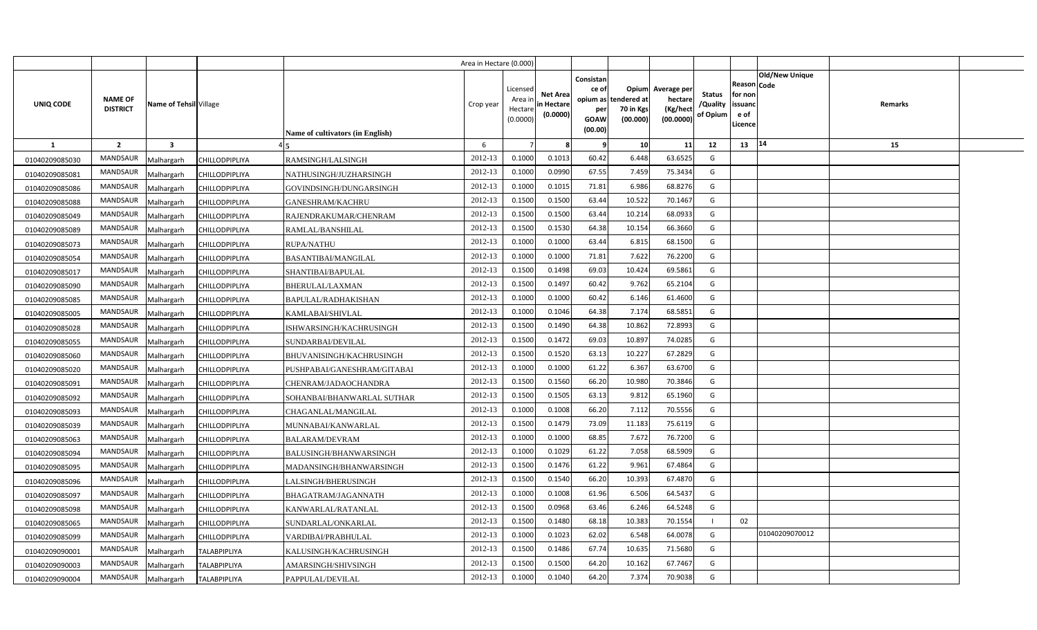|                |                                   |                         |                       |                                  | Area in Hectare (0.000) |                                            |                                           |                                                     |                                                        |                                                 |                                       |                                                        |                                  |  |
|----------------|-----------------------------------|-------------------------|-----------------------|----------------------------------|-------------------------|--------------------------------------------|-------------------------------------------|-----------------------------------------------------|--------------------------------------------------------|-------------------------------------------------|---------------------------------------|--------------------------------------------------------|----------------------------------|--|
| UNIQ CODE      | <b>NAME OF</b><br><b>DISTRICT</b> | Name of Tehsil Village  |                       | Name of cultivators (in English) | Crop year               | Licensed<br>Area ir<br>Hectare<br>(0.0000) | <b>Net Area</b><br>in Hectare<br>(0.0000) | Consistan<br>ce of<br>per<br><b>GOAW</b><br>(00.00) | Opium<br>opium as tendered at<br>70 in Kgs<br>(00.000) | Average per<br>hectare<br>(Kg/hect<br>(00.0000) | <b>Status</b><br>/Quality<br>of Opium | Reason   Code<br>for non<br>issuanc<br>e of<br>Licence | <b>Old/New Unique</b><br>Remarks |  |
| <b>1</b>       | $\overline{2}$                    | $\overline{\mathbf{3}}$ |                       |                                  | 6                       |                                            |                                           | 9                                                   | 10                                                     | 11                                              | 12                                    | 13                                                     | 14<br>15                         |  |
| 01040209085030 | <b>MANDSAUR</b>                   | Malhargarh              | CHILLODPIPLIYA        | RAMSINGH/LALSINGH                | 2012-13                 | 0.1000                                     | 0.1013                                    | 60.42                                               | 6.448                                                  | 63.6525                                         | G                                     |                                                        |                                  |  |
| 01040209085081 | MANDSAUR                          | Malhargarh              | CHILLODPIPLIYA        | NATHUSINGH/JUZHARSINGH           | 2012-13                 | 0.1000                                     | 0.0990                                    | 67.55                                               | 7.459                                                  | 75.3434                                         | G                                     |                                                        |                                  |  |
| 01040209085086 | MANDSAUR                          | Malhargarh              | CHILLODPIPLIYA        | GOVINDSINGH/DUNGARSINGH          | 2012-13                 | 0.1000                                     | 0.1015                                    | 71.81                                               | 6.986                                                  | 68.8276                                         | G                                     |                                                        |                                  |  |
| 01040209085088 | MANDSAUR                          | Malhargarh              | CHILLODPIPLIYA        | GANESHRAM/KACHRU                 | 2012-13                 | 0.1500                                     | 0.1500                                    | 63.44                                               | 10.522                                                 | 70.1467                                         | G                                     |                                                        |                                  |  |
| 01040209085049 | MANDSAUR                          | Malhargarh              | CHILLODPIPLIYA        | RAJENDRAKUMAR/CHENRAM            | 2012-13                 | 0.1500                                     | 0.1500                                    | 63.44                                               | 10.214                                                 | 68.0933                                         | G                                     |                                                        |                                  |  |
| 01040209085089 | <b>MANDSAUR</b>                   | Malhargarh              | CHILLODPIPLIYA        | RAMLAL/BANSHILAL                 | 2012-13                 | 0.1500                                     | 0.1530                                    | 64.38                                               | 10.154                                                 | 66.3660                                         | G                                     |                                                        |                                  |  |
| 01040209085073 | MANDSAUR                          | Malhargarh              | CHILLODPIPLIYA        | RUPA/NATHU                       | 2012-13                 | 0.1000                                     | 0.1000                                    | 63.44                                               | 6.815                                                  | 68.1500                                         | G                                     |                                                        |                                  |  |
| 01040209085054 | MANDSAUR                          | Malhargarh              | CHILLODPIPLIYA        | <b>BASANTIBAI/MANGILAL</b>       | 2012-13                 | 0.1000                                     | 0.1000                                    | 71.81                                               | 7.622                                                  | 76.2200                                         | G                                     |                                                        |                                  |  |
| 01040209085017 | MANDSAUR                          | Malhargarh              | CHILLODPIPLIYA        | SHANTIBAI/BAPULAL                | 2012-13                 | 0.1500                                     | 0.1498                                    | 69.03                                               | 10.424                                                 | 69.5861                                         | G                                     |                                                        |                                  |  |
| 01040209085090 | MANDSAUR                          | Malhargarh              | <b>CHILLODPIPLIYA</b> | BHERULAL/LAXMAN                  | 2012-13                 | 0.1500                                     | 0.1497                                    | 60.42                                               | 9.762                                                  | 65.2104                                         | G                                     |                                                        |                                  |  |
| 01040209085085 | MANDSAUR                          | Malhargarh              | CHILLODPIPLIYA        | BAPULAL/RADHAKISHAN              | 2012-13                 | 0.1000                                     | 0.1000                                    | 60.42                                               | 6.146                                                  | 61.4600                                         | G                                     |                                                        |                                  |  |
| 01040209085005 | MANDSAUR                          | Malhargarh              | CHILLODPIPLIYA        | KAMLABAI/SHIVLAL                 | 2012-13                 | 0.1000                                     | 0.1046                                    | 64.38                                               | 7.174                                                  | 68.5851                                         | G                                     |                                                        |                                  |  |
| 01040209085028 | MANDSAUR                          | Malhargarh              | CHILLODPIPLIYA        | ISHWARSINGH/KACHRUSINGH          | 2012-13                 | 0.1500                                     | 0.1490                                    | 64.38                                               | 10.862                                                 | 72.8993                                         | G                                     |                                                        |                                  |  |
| 01040209085055 | MANDSAUR                          | Malhargarh              | CHILLODPIPLIYA        | SUNDARBAI/DEVILAL                | 2012-13                 | 0.1500                                     | 0.1472                                    | 69.03                                               | 10.897                                                 | 74.0285                                         | G                                     |                                                        |                                  |  |
| 01040209085060 | <b>MANDSAUR</b>                   | Malhargarh              | CHILLODPIPLIYA        | BHUVANISINGH/KACHRUSINGH         | 2012-13                 | 0.1500                                     | 0.1520                                    | 63.13                                               | 10.227                                                 | 67.2829                                         | G                                     |                                                        |                                  |  |
| 01040209085020 | <b>MANDSAUR</b>                   | Malhargarh              | CHILLODPIPLIYA        | PUSHPABAI/GANESHRAM/GITABAI      | 2012-13                 | 0.1000                                     | 0.1000                                    | 61.22                                               | 6.367                                                  | 63.6700                                         | G                                     |                                                        |                                  |  |
| 01040209085091 | MANDSAUR                          | Malhargarh              | CHILLODPIPLIYA        | CHENRAM/JADAOCHANDRA             | 2012-13                 | 0.1500                                     | 0.1560                                    | 66.20                                               | 10.980                                                 | 70.3846                                         | G                                     |                                                        |                                  |  |
| 01040209085092 | <b>MANDSAUR</b>                   | Malhargarh              | CHILLODPIPLIYA        | SOHANBAI/BHANWARLAL SUTHAR       | 2012-13                 | 0.1500                                     | 0.1505                                    | 63.13                                               | 9.812                                                  | 65.1960                                         | G                                     |                                                        |                                  |  |
| 01040209085093 | <b>MANDSAUR</b>                   | Malhargarh              | CHILLODPIPLIYA        | CHAGANLAL/MANGILAL               | 2012-13                 | 0.1000                                     | 0.1008                                    | 66.20                                               | 7.112                                                  | 70.5556                                         | G                                     |                                                        |                                  |  |
| 01040209085039 | <b>MANDSAUR</b>                   | Malhargarh              | CHILLODPIPLIYA        | MUNNABAI/KANWARLAL               | 2012-13                 | 0.1500                                     | 0.1479                                    | 73.09                                               | 11.183                                                 | 75.6119                                         | G                                     |                                                        |                                  |  |
| 01040209085063 | <b>MANDSAUR</b>                   | Malhargarh              | CHILLODPIPLIYA        | BALARAM/DEVRAM                   | 2012-13                 | 0.1000                                     | 0.1000                                    | 68.85                                               | 7.672                                                  | 76.7200                                         | G                                     |                                                        |                                  |  |
| 01040209085094 | MANDSAUR                          | Malhargarh              | CHILLODPIPLIYA        | BALUSINGH/BHANWARSINGH           | 2012-13                 | 0.1000                                     | 0.1029                                    | 61.22                                               | 7.058                                                  | 68.5909                                         | G                                     |                                                        |                                  |  |
| 01040209085095 | MANDSAUR                          | Malhargarh              | CHILLODPIPLIYA        | MADANSINGH/BHANWARSINGH          | 2012-13                 | 0.1500                                     | 0.1476                                    | 61.22                                               | 9.961                                                  | 67.4864                                         | G                                     |                                                        |                                  |  |
| 01040209085096 | MANDSAUR                          | Malhargarh              | CHILLODPIPLIYA        | LALSINGH/BHERUSINGH              | 2012-13                 | 0.1500                                     | 0.1540                                    | 66.20                                               | 10.393                                                 | 67.4870                                         | G                                     |                                                        |                                  |  |
| 01040209085097 | <b>MANDSAUR</b>                   | Malhargarh              | CHILLODPIPLIYA        | BHAGATRAM/JAGANNATH              | 2012-13                 | 0.1000                                     | 0.1008                                    | 61.96                                               | 6.506                                                  | 64.5437                                         | G                                     |                                                        |                                  |  |
| 01040209085098 | MANDSAUR                          | Malhargarh              | CHILLODPIPLIYA        | KANWARLAL/RATANLAL               | 2012-13                 | 0.1500                                     | 0.0968                                    | 63.46                                               | 6.246                                                  | 64.5248                                         | G                                     |                                                        |                                  |  |
| 01040209085065 | MANDSAUR                          | Malhargarh              | CHILLODPIPLIYA        | SUNDARLAL/ONKARLAL               | 2012-13                 | 0.1500                                     | 0.1480                                    | 68.18                                               | 10.383                                                 | 70.1554                                         | -1                                    | 02                                                     |                                  |  |
| 01040209085099 | MANDSAUR                          | Malhargarh              | CHILLODPIPLIYA        | VARDIBAI/PRABHULAL               | 2012-13                 | 0.1000                                     | 0.1023                                    | 62.02                                               | 6.548                                                  | 64.0078                                         | G                                     |                                                        | 01040209070012                   |  |
| 01040209090001 | MANDSAUR                          | Malhargarh              | <b>TALABPIPLIYA</b>   | KALUSINGH/KACHRUSINGH            | 2012-13                 | 0.1500                                     | 0.1486                                    | 67.74                                               | 10.635                                                 | 71.5680                                         | G                                     |                                                        |                                  |  |
| 01040209090003 | MANDSAUR                          | Malhargarh              | <b>TALABPIPLIYA</b>   | AMARSINGH/SHIVSINGH              | 2012-13                 | 0.1500                                     | 0.1500                                    | 64.20                                               | 10.162                                                 | 67.7467                                         | G                                     |                                                        |                                  |  |
| 01040209090004 | MANDSAUR                          | Malhargarh              | <b>TALABPIPLIYA</b>   | PAPPULAL/DEVILAL                 | 2012-13                 | 0.1000                                     | 0.1040                                    | 64.20                                               | 7.374                                                  | 70.9038                                         | G                                     |                                                        |                                  |  |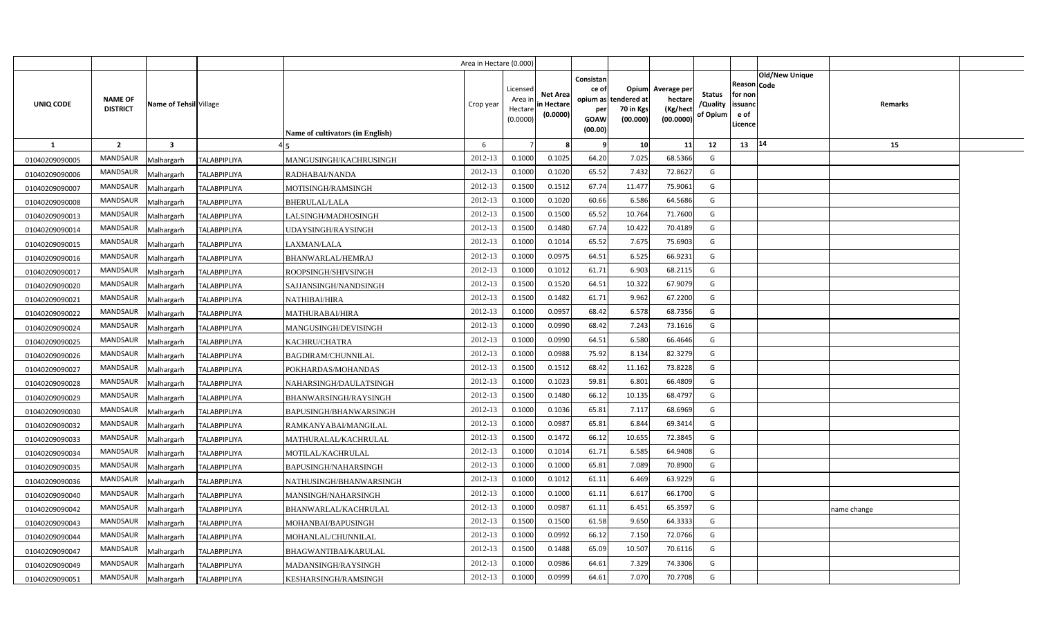|                |                                   |                         |                     |                                         | Area in Hectare (0.000) |                                            |                                           |                                                                 |                                               |                                                 |                                       |                                                             |                       |             |  |
|----------------|-----------------------------------|-------------------------|---------------------|-----------------------------------------|-------------------------|--------------------------------------------|-------------------------------------------|-----------------------------------------------------------------|-----------------------------------------------|-------------------------------------------------|---------------------------------------|-------------------------------------------------------------|-----------------------|-------------|--|
| UNIQ CODE      | <b>NAME OF</b><br><b>DISTRICT</b> | Name of Tehsil Village  |                     | <b>Name of cultivators (in English)</b> | Crop year               | Licensed<br>Area ir<br>Hectare<br>(0.0000) | <b>Net Area</b><br>in Hectare<br>(0.0000) | Consistan<br>ce of<br>opium as<br>per<br><b>GOAW</b><br>(00.00) | Opium<br>tendered at<br>70 in Kgs<br>(00.000) | Average per<br>hectare<br>(Kg/hect<br>(00.0000) | <b>Status</b><br>/Quality<br>of Opium | <b>Reason Code</b><br>for non<br>issuand<br>e of<br>Licence | <b>Old/New Unique</b> | Remarks     |  |
| <b>1</b>       | $\overline{2}$                    | $\overline{\mathbf{3}}$ |                     |                                         | 6                       |                                            |                                           |                                                                 | 10                                            | 11                                              | 12                                    | 13                                                          | 14                    | 15          |  |
| 01040209090005 | <b>MANDSAUR</b>                   | Malhargarh              | <b>TALABPIPLIYA</b> | MANGUSINGH/KACHRUSINGH                  | 2012-13                 | 0.1000                                     | 0.1025                                    | 64.20                                                           | 7.025                                         | 68.5366                                         | G                                     |                                                             |                       |             |  |
| 01040209090006 | <b>MANDSAUR</b>                   | Malhargarh              | TALABPIPLIYA        | RADHABAI/NANDA                          | 2012-13                 | 0.1000                                     | 0.1020                                    | 65.52                                                           | 7.432                                         | 72.8627                                         | G                                     |                                                             |                       |             |  |
| 01040209090007 | MANDSAUR                          | Malhargarh              | <b>TALABPIPLIYA</b> | MOTISINGH/RAMSINGH                      | 2012-13                 | 0.1500                                     | 0.151                                     | 67.74                                                           | 11.477                                        | 75.9061                                         | G                                     |                                                             |                       |             |  |
| 01040209090008 | MANDSAUR                          | Malhargarh              | <b>TALABPIPLIYA</b> | BHERULAL/LALA                           | 2012-13                 | 0.1000                                     | 0.1020                                    | 60.66                                                           | 6.586                                         | 64.5686                                         | G                                     |                                                             |                       |             |  |
| 01040209090013 | MANDSAUR                          | Malhargarh              | <b>TALABPIPLIYA</b> | LALSINGH/MADHOSINGH                     | 2012-13                 | 0.1500                                     | 0.1500                                    | 65.52                                                           | 10.764                                        | 71.7600                                         | G                                     |                                                             |                       |             |  |
| 01040209090014 | <b>MANDSAUR</b>                   | Malhargarh              | <b>TALABPIPLIYA</b> | UDAYSINGH/RAYSINGH                      | 2012-13                 | 0.1500                                     | 0.1480                                    | 67.74                                                           | 10.422                                        | 70.4189                                         | G                                     |                                                             |                       |             |  |
| 01040209090015 | MANDSAUR                          | Malhargarh              | TALABPIPLIYA        | LAXMAN/LALA                             | 2012-13                 | 0.1000                                     | 0.1014                                    | 65.52                                                           | 7.675                                         | 75.6903                                         | G                                     |                                                             |                       |             |  |
| 01040209090016 | <b>MANDSAUR</b>                   | Malhargarh              | <b>TALABPIPLIYA</b> | BHANWARLAL/HEMRAJ                       | 2012-13                 | 0.1000                                     | 0.097!                                    | 64.51                                                           | 6.525                                         | 66.9231                                         | G                                     |                                                             |                       |             |  |
| 01040209090017 | MANDSAUR                          | Malhargarh              | TALABPIPLIYA        | ROOPSINGH/SHIVSINGH                     | 2012-13                 | 0.1000                                     | 0.1012                                    | 61.71                                                           | 6.903                                         | 68.2115                                         | G                                     |                                                             |                       |             |  |
| 01040209090020 | MANDSAUR                          | Malhargarh              | <b>TALABPIPLIYA</b> | SAJJANSINGH/NANDSINGH                   | 2012-13                 | 0.1500                                     | 0.1520                                    | 64.51                                                           | 10.322                                        | 67.9079                                         | G                                     |                                                             |                       |             |  |
| 01040209090021 | <b>MANDSAUR</b>                   | Malhargarh              | <b>TALABPIPLIYA</b> | NATHIBAI/HIRA                           | 2012-13                 | 0.1500                                     | 0.1482                                    | 61.71                                                           | 9.962                                         | 67.2200                                         | G                                     |                                                             |                       |             |  |
| 01040209090022 | <b>MANDSAUR</b>                   | Malhargarh              | <b>TALABPIPLIYA</b> | MATHURABAI/HIRA                         | 2012-13                 | 0.1000                                     | 0.095                                     | 68.42                                                           | 6.578                                         | 68.7356                                         | G                                     |                                                             |                       |             |  |
| 01040209090024 | <b>MANDSAUR</b>                   | Malhargarh              | <b>TALABPIPLIYA</b> | MANGUSINGH/DEVISINGH                    | 2012-13                 | 0.1000                                     | 0.0990                                    | 68.42                                                           | 7.243                                         | 73.1616                                         | G                                     |                                                             |                       |             |  |
| 01040209090025 | <b>MANDSAUR</b>                   | Malhargarh              | <b>TALABPIPLIYA</b> | KACHRU/CHATRA                           | 2012-13                 | 0.1000                                     | 0.0990                                    | 64.51                                                           | 6.580                                         | 66.4646                                         | G                                     |                                                             |                       |             |  |
| 01040209090026 | MANDSAUR                          | Malhargarh              | <b>TALABPIPLIYA</b> | BAGDIRAM/CHUNNILAL                      | 2012-13                 | 0.1000                                     | 0.0988                                    | 75.92                                                           | 8.134                                         | 82.3279                                         | G                                     |                                                             |                       |             |  |
| 01040209090027 | <b>MANDSAUR</b>                   | Malhargarh              | <b>TALABPIPLIYA</b> | POKHARDAS/MOHANDAS                      | 2012-13                 | 0.1500                                     | 0.1512                                    | 68.42                                                           | 11.162                                        | 73.8228                                         | G                                     |                                                             |                       |             |  |
| 01040209090028 | MANDSAUR                          | Malhargarh              | <b>TALABPIPLIYA</b> | NAHARSINGH/DAULATSINGH                  | 2012-13                 | 0.1000                                     | 0.1023                                    | 59.81                                                           | 6.801                                         | 66.4809                                         | G                                     |                                                             |                       |             |  |
| 01040209090029 | <b>MANDSAUR</b>                   | Malhargarh              | <b>TALABPIPLIYA</b> | BHANWARSINGH/RAYSINGH                   | 2012-13                 | 0.1500                                     | 0.1480                                    | 66.12                                                           | 10.135                                        | 68.4797                                         | G                                     |                                                             |                       |             |  |
| 01040209090030 | <b>MANDSAUR</b>                   | Malhargarh              | TALABPIPLIYA        | BAPUSINGH/BHANWARSINGH                  | 2012-13                 | 0.1000                                     | 0.1036                                    | 65.81                                                           | 7.117                                         | 68.6969                                         | G                                     |                                                             |                       |             |  |
| 01040209090032 | <b>MANDSAUR</b>                   | Malhargarh              | <b>TALABPIPLIYA</b> | RAMKANYABAI/MANGILAL                    | 2012-13                 | 0.1000                                     | 0.0987                                    | 65.81                                                           | 6.844                                         | 69.3414                                         | G                                     |                                                             |                       |             |  |
| 01040209090033 | <b>MANDSAUR</b>                   | Malhargarh              | <b>TALABPIPLIYA</b> | MATHURALAL/KACHRULAL                    | 2012-13                 | 0.1500                                     | 0.1472                                    | 66.12                                                           | 10.655                                        | 72.3845                                         | G                                     |                                                             |                       |             |  |
| 01040209090034 | <b>MANDSAUR</b>                   | Malhargarh              | <b>TALABPIPLIYA</b> | MOTILAL/KACHRULAL                       | 2012-13                 | 0.1000                                     | 0.1014                                    | 61.71                                                           | 6.585                                         | 64.9408                                         | G                                     |                                                             |                       |             |  |
| 01040209090035 | <b>MANDSAUR</b>                   | Malhargarh              | <b>TALABPIPLIYA</b> | BAPUSINGH/NAHARSINGH                    | 2012-13                 | 0.1000                                     | 0.1000                                    | 65.81                                                           | 7.089                                         | 70.8900                                         | G                                     |                                                             |                       |             |  |
| 01040209090036 | <b>MANDSAUR</b>                   | Malhargarh              | <b>TALABPIPLIYA</b> | NATHUSINGH/BHANWARSINGH                 | 2012-13                 | 0.1000                                     | 0.101                                     | 61.11                                                           | 6.469                                         | 63.9229                                         | G                                     |                                                             |                       |             |  |
| 01040209090040 | <b>MANDSAUR</b>                   | Malhargarh              | <b>TALABPIPLIYA</b> | MANSINGH/NAHARSINGH                     | 2012-13                 | 0.1000                                     | 0.1000                                    | 61.11                                                           | 6.617                                         | 66.1700                                         | G                                     |                                                             |                       |             |  |
| 01040209090042 | <b>MANDSAUR</b>                   | Malhargarh              | TALABPIPLIYA        | BHANWARLAL/KACHRULAL                    | 2012-13                 | 0.1000                                     | 0.0987                                    | 61.11                                                           | 6.451                                         | 65.3597                                         | G                                     |                                                             |                       | name change |  |
| 01040209090043 | <b>MANDSAUR</b>                   | Malhargarh              | <b>TALABPIPLIYA</b> | MOHANBAI/BAPUSINGH                      | 2012-13                 | 0.1500                                     | 0.1500                                    | 61.58                                                           | 9.650                                         | 64.3333                                         | G                                     |                                                             |                       |             |  |
| 01040209090044 | <b>MANDSAUR</b>                   | Malhargarh              | TALABPIPLIYA        | MOHANLAL/CHUNNILAL                      | 2012-13                 | 0.1000                                     | 0.0992                                    | 66.12                                                           | 7.150                                         | 72.0766                                         | G                                     |                                                             |                       |             |  |
| 01040209090047 | MANDSAUR                          | Malhargarh              | <b>TALABPIPLIYA</b> | <b>BHAGWANTIBAI/KARULAL</b>             | 2012-13                 | 0.1500                                     | 0.1488                                    | 65.09                                                           | 10.507                                        | 70.6116                                         | G                                     |                                                             |                       |             |  |
| 01040209090049 | <b>MANDSAUR</b>                   | Malhargarh              | <b>TALABPIPLIYA</b> | MADANSINGH/RAYSINGH                     | 2012-13                 | 0.1000                                     | 0.0986                                    | 64.61                                                           | 7.329                                         | 74.3306                                         | G                                     |                                                             |                       |             |  |
| 01040209090051 | <b>MANDSAUR</b>                   | Malhargarh              | <b>TALABPIPLIYA</b> | KESHARSINGH/RAMSINGH                    | 2012-13                 | 0.1000                                     | 0.0999                                    | 64.61                                                           | 7.070                                         | 70.7708                                         | G                                     |                                                             |                       |             |  |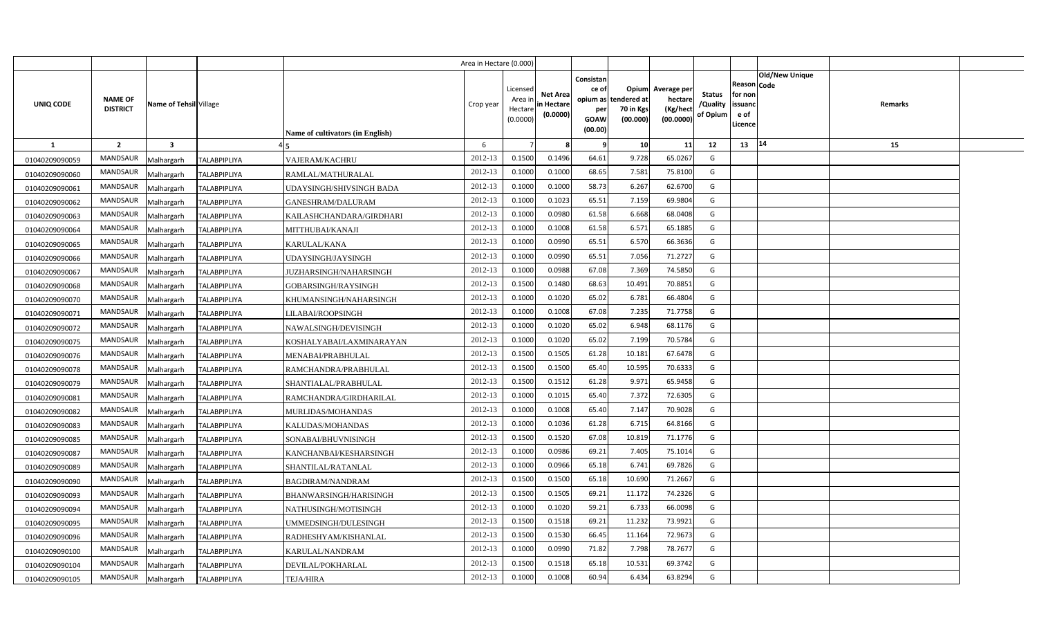|                |                                   |                         |                     |                                  | Area in Hectare (0.000) |                                           |                                           |                                                     |                                                        |                                                 |                                       |                                                                               |         |  |
|----------------|-----------------------------------|-------------------------|---------------------|----------------------------------|-------------------------|-------------------------------------------|-------------------------------------------|-----------------------------------------------------|--------------------------------------------------------|-------------------------------------------------|---------------------------------------|-------------------------------------------------------------------------------|---------|--|
| UNIQ CODE      | <b>NAME OF</b><br><b>DISTRICT</b> | Name of Tehsil Village  |                     | Name of cultivators (in English) | Crop year               | Licensed<br>Area i<br>Hectare<br>(0.0000) | <b>Net Area</b><br>in Hectare<br>(0.0000) | Consistan<br>ce of<br>per<br><b>GOAW</b><br>(00.00) | Opium<br>opium as tendered at<br>70 in Kgs<br>(00.000) | Average per<br>hectare<br>(Kg/hect<br>(00.0000) | <b>Status</b><br>/Quality<br>of Opium | <b>Old/New Unique</b><br>Reason Code<br>for non<br>issuanc<br>e of<br>Licence | Remarks |  |
| <b>1</b>       | $\overline{2}$                    | $\overline{\mathbf{3}}$ |                     |                                  | 6                       |                                           |                                           | - 9                                                 | 10                                                     | 11                                              | 12                                    | 14<br>13                                                                      | 15      |  |
| 01040209090059 | <b>MANDSAUR</b>                   | Malhargarh              | <b>TALABPIPLIYA</b> | VAJERAM/KACHRU                   | 2012-13                 | 0.1500                                    | 0.1496                                    | 64.61                                               | 9.728                                                  | 65.026                                          | G                                     |                                                                               |         |  |
| 01040209090060 | MANDSAUR                          | Malhargarh              | TALABPIPLIYA        | RAMLAL/MATHURALAL                | 2012-13                 | 0.1000                                    | 0.1000                                    | 68.65                                               | 7.581                                                  | 75.8100                                         | G                                     |                                                                               |         |  |
| 01040209090061 | MANDSAUR                          | Malhargarh              | <b>TALABPIPLIYA</b> | UDAYSINGH/SHIVSINGH BADA         | 2012-13                 | 0.1000                                    | 0.1000                                    | 58.73                                               | 6.267                                                  | 62.6700                                         | G                                     |                                                                               |         |  |
| 01040209090062 | MANDSAUR                          | Malhargarh              | <b>TALABPIPLIYA</b> | GANESHRAM/DALURAM                | 2012-13                 | 0.1000                                    | 0.1023                                    | 65.51                                               | 7.159                                                  | 69.9804                                         | G                                     |                                                                               |         |  |
| 01040209090063 | MANDSAUR                          | Malhargarh              | <b>TALABPIPLIYA</b> | KAILASHCHANDARA/GIRDHARI         | 2012-13                 | 0.1000                                    | 0.0980                                    | 61.58                                               | 6.668                                                  | 68.0408                                         | G                                     |                                                                               |         |  |
| 01040209090064 | <b>MANDSAUR</b>                   | Malhargarh              | <b>TALABPIPLIYA</b> | MITTHUBAI/KANAJI                 | 2012-13                 | 0.1000                                    | 0.1008                                    | 61.58                                               | 6.571                                                  | 65.188                                          | G                                     |                                                                               |         |  |
| 01040209090065 | MANDSAUR                          | Malhargarh              | TALABPIPLIYA        | KARULAL/KANA                     | 2012-13                 | 0.1000                                    | 0.0990                                    | 65.51                                               | 6.570                                                  | 66.3636                                         | G                                     |                                                                               |         |  |
| 01040209090066 | MANDSAUR                          | Malhargarh              | TALABPIPLIYA        | UDAYSINGH/JAYSINGH               | 2012-13                 | 0.1000                                    | 0.0990                                    | 65.51                                               | 7.056                                                  | 71.2727                                         | G                                     |                                                                               |         |  |
| 01040209090067 | MANDSAUR                          | Malhargarh              | <b>TALABPIPLIYA</b> | JUZHARSINGH/NAHARSINGH           | 2012-13                 | 0.1000                                    | 0.0988                                    | 67.08                                               | 7.369                                                  | 74.585                                          | G                                     |                                                                               |         |  |
| 01040209090068 | MANDSAUR                          | Malhargarh              | <b>TALABPIPLIYA</b> | GOBARSINGH/RAYSINGH              | 2012-13                 | 0.1500                                    | 0.1480                                    | 68.63                                               | 10.491                                                 | 70.885                                          | G                                     |                                                                               |         |  |
| 01040209090070 | MANDSAUR                          | Malhargarh              | <b>TALABPIPLIYA</b> | KHUMANSINGH/NAHARSINGH           | 2012-13                 | 0.1000                                    | 0.1020                                    | 65.02                                               | 6.781                                                  | 66.4804                                         | G                                     |                                                                               |         |  |
| 01040209090071 | MANDSAUR                          | Malhargarh              | <b>TALABPIPLIYA</b> | LILABAI/ROOPSINGH                | 2012-13                 | 0.1000                                    | 0.1008                                    | 67.08                                               | 7.235                                                  | 71.7758                                         | G                                     |                                                                               |         |  |
| 01040209090072 | MANDSAUR                          | Malhargarh              | <b>TALABPIPLIYA</b> | NAWALSINGH/DEVISINGH             | 2012-13                 | 0.1000                                    | 0.1020                                    | 65.02                                               | 6.948                                                  | 68.1176                                         | G                                     |                                                                               |         |  |
| 01040209090075 | MANDSAUR                          | Malhargarh              | <b>TALABPIPLIYA</b> | KOSHALYABAI/LAXMINARAYAN         | 2012-13                 | 0.1000                                    | 0.1020                                    | 65.02                                               | 7.199                                                  | 70.5784                                         | G                                     |                                                                               |         |  |
| 01040209090076 | MANDSAUR                          | Malhargarh              | <b>TALABPIPLIYA</b> | MENABAI/PRABHULAL                | 2012-13                 | 0.1500                                    | 0.1505                                    | 61.28                                               | 10.181                                                 | 67.6478                                         | G                                     |                                                                               |         |  |
| 01040209090078 | <b>MANDSAUR</b>                   | Malhargarh              | <b>TALABPIPLIYA</b> | RAMCHANDRA/PRABHULAL             | 2012-13                 | 0.1500                                    | 0.1500                                    | 65.40                                               | 10.595                                                 | 70.6333                                         | G                                     |                                                                               |         |  |
| 01040209090079 | MANDSAUR                          | Malhargarh              | <b>TALABPIPLIYA</b> | SHANTIALAL/PRABHULAL             | 2012-13                 | 0.1500                                    | 0.1512                                    | 61.28                                               | 9.971                                                  | 65.9458                                         | G                                     |                                                                               |         |  |
| 01040209090081 | <b>MANDSAUR</b>                   | Malhargarh              | <b>TALABPIPLIYA</b> | RAMCHANDRA/GIRDHARILAL           | 2012-13                 | 0.1000                                    | 0.1015                                    | 65.40                                               | 7.372                                                  | 72.6305                                         | G                                     |                                                                               |         |  |
| 01040209090082 | <b>MANDSAUR</b>                   | Malhargarh              | <b>TALABPIPLIYA</b> | MURLIDAS/MOHANDAS                | 2012-13                 | 0.1000                                    | 0.1008                                    | 65.40                                               | 7.147                                                  | 70.9028                                         | G                                     |                                                                               |         |  |
| 01040209090083 | <b>MANDSAUR</b>                   | Malhargarh              | <b>TALABPIPLIYA</b> | KALUDAS/MOHANDAS                 | 2012-13                 | 0.1000                                    | 0.1036                                    | 61.28                                               | 6.715                                                  | 64.8166                                         | G                                     |                                                                               |         |  |
| 01040209090085 | <b>MANDSAUR</b>                   | Malhargarh              | <b>TALABPIPLIYA</b> | SONABAI/BHUVNISINGH              | 2012-13                 | 0.1500                                    | 0.1520                                    | 67.08                                               | 10.819                                                 | 71.1776                                         | G                                     |                                                                               |         |  |
| 01040209090087 | MANDSAUR                          | Malhargarh              | <b>TALABPIPLIYA</b> | KANCHANBAI/KESHARSINGH           | 2012-13                 | 0.1000                                    | 0.0986                                    | 69.21                                               | 7.405                                                  | 75.1014                                         | G                                     |                                                                               |         |  |
| 01040209090089 | MANDSAUR                          | Malhargarh              | <b>TALABPIPLIYA</b> | SHANTILAL/RATANLAL               | 2012-13                 | 0.1000                                    | 0.0966                                    | 65.18                                               | 6.741                                                  | 69.7826                                         | G                                     |                                                                               |         |  |
| 01040209090090 | MANDSAUR                          | Malhargarh              | TALABPIPLIYA        | BAGDIRAM/NANDRAM                 | 2012-13                 | 0.1500                                    | 0.1500                                    | 65.18                                               | 10.690                                                 | 71.2667                                         | G                                     |                                                                               |         |  |
| 01040209090093 | <b>MANDSAUR</b>                   | Malhargarh              | <b>TALABPIPLIYA</b> | BHANWARSINGH/HARISINGH           | 2012-13                 | 0.1500                                    | 0.1505                                    | 69.21                                               | 11.172                                                 | 74.2326                                         | G                                     |                                                                               |         |  |
| 01040209090094 | MANDSAUR                          | Malhargarh              | TALABPIPLIYA        | NATHUSINGH/MOTISINGH             | 2012-13                 | 0.1000                                    | 0.1020                                    | 59.21                                               | 6.733                                                  | 66.0098                                         | G                                     |                                                                               |         |  |
| 01040209090095 | MANDSAUR                          | Malhargarh              | <b>TALABPIPLIYA</b> | UMMEDSINGH/DULESINGH             | 2012-13                 | 0.1500                                    | 0.1518                                    | 69.21                                               | 11.232                                                 | 73.9921                                         | G                                     |                                                                               |         |  |
| 01040209090096 | MANDSAUR                          | Malhargarh              | <b>TALABPIPLIYA</b> | RADHESHYAM/KISHANLAL             | 2012-13                 | 0.1500                                    | 0.1530                                    | 66.45                                               | 11.164                                                 | 72.967                                          | G                                     |                                                                               |         |  |
| 01040209090100 | MANDSAUR                          | Malhargarh              | <b>TALABPIPLIYA</b> | KARULAL/NANDRAM                  | 2012-13                 | 0.1000                                    | 0.0990                                    | 71.82                                               | 7.798                                                  | 78.767                                          | G                                     |                                                                               |         |  |
| 01040209090104 | MANDSAUR                          | Malhargarh              | <b>TALABPIPLIYA</b> | DEVILAL/POKHARLAL                | 2012-13                 | 0.1500                                    | 0.1518                                    | 65.18                                               | 10.531                                                 | 69.3742                                         | G                                     |                                                                               |         |  |
| 01040209090105 | MANDSAUR                          | Malhargarh              | <b>TALABPIPLIYA</b> | <b>TEJA/HIRA</b>                 | 2012-13                 | 0.1000                                    | 0.1008                                    | 60.94                                               | 6.434                                                  | 63.8294                                         | G                                     |                                                                               |         |  |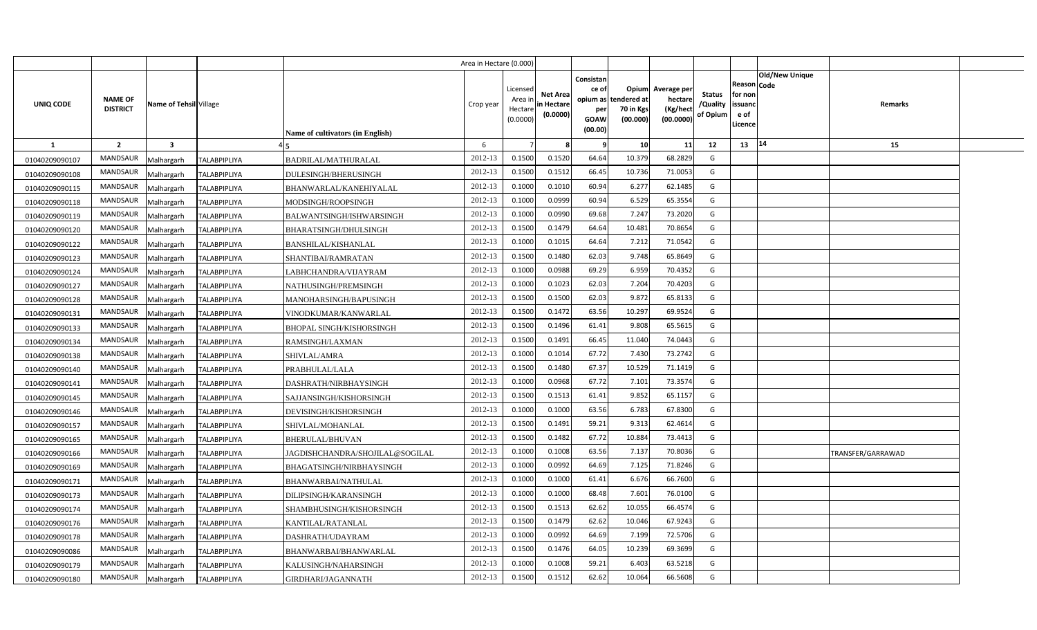|                |                                   |                         |                     |                                  | Area in Hectare (0.000) |                                            |                                           |                                                          |                                               |                                                 |                                       |                                                      |                       |                   |  |
|----------------|-----------------------------------|-------------------------|---------------------|----------------------------------|-------------------------|--------------------------------------------|-------------------------------------------|----------------------------------------------------------|-----------------------------------------------|-------------------------------------------------|---------------------------------------|------------------------------------------------------|-----------------------|-------------------|--|
| UNIQ CODE      | <b>NAME OF</b><br><b>DISTRICT</b> | Name of Tehsil Village  |                     | Name of cultivators (in English) | Crop year               | Licensed<br>Area in<br>Hectare<br>(0.0000) | <b>Net Area</b><br>in Hectare<br>(0.0000) | Consistan<br>ce of<br>opium as<br>per<br>GOAW<br>(00.00) | Opium<br>tendered at<br>70 in Kgs<br>(00.000) | Average per<br>hectare<br>(Kg/hect<br>(00.0000) | <b>Status</b><br>/Quality<br>of Opium | Reason Code<br>for non<br>issuand<br>e of<br>Licence | <b>Old/New Unique</b> | Remarks           |  |
| $\mathbf{1}$   | $\overline{2}$                    | $\overline{\mathbf{3}}$ |                     |                                  | 6                       |                                            |                                           |                                                          | 10                                            | 11                                              | 12                                    | 13                                                   | 14                    | 15                |  |
| 01040209090107 | <b>MANDSAUR</b>                   | Malhargarh              | <b>TALABPIPLIYA</b> | <b>BADRILAL/MATHURALAL</b>       | 2012-13                 | 0.1500                                     | 0.1520                                    | 64.64                                                    | 10.379                                        | 68.2829                                         | G                                     |                                                      |                       |                   |  |
| 01040209090108 | <b>MANDSAUR</b>                   | Malhargarh              | TALABPIPLIYA        | DULESINGH/BHERUSINGH             | 2012-13                 | 0.1500                                     | 0.1512                                    | 66.45                                                    | 10.736                                        | 71.0053                                         | G                                     |                                                      |                       |                   |  |
| 01040209090115 | <b>MANDSAUR</b>                   | Malhargarh              | <b>TALABPIPLIYA</b> | BHANWARLAL/KANEHIYALAL           | 2012-13                 | 0.1000                                     | 0.1010                                    | 60.94                                                    | 6.277                                         | 62.1485                                         | G                                     |                                                      |                       |                   |  |
| 01040209090118 | <b>MANDSAUR</b>                   | Malhargarh              | <b>TALABPIPLIYA</b> | MODSINGH/ROOPSINGH               | 2012-13                 | 0.1000                                     | 0.0999                                    | 60.94                                                    | 6.529                                         | 65.3554                                         | G                                     |                                                      |                       |                   |  |
| 01040209090119 | <b>MANDSAUR</b>                   | Malhargarh              | TALABPIPLIYA        | BALWANTSINGH/ISHWARSINGH         | 2012-13                 | 0.1000                                     | 0.0990                                    | 69.68                                                    | 7.247                                         | 73.2020                                         | G                                     |                                                      |                       |                   |  |
| 01040209090120 | <b>MANDSAUR</b>                   | Malhargarh              | <b>TALABPIPLIYA</b> | <b>BHARATSINGH/DHULSINGH</b>     | 2012-13                 | 0.1500                                     | 0.1479                                    | 64.64                                                    | 10.481                                        | 70.8654                                         | G                                     |                                                      |                       |                   |  |
| 01040209090122 | <b>MANDSAUR</b>                   | Malhargarh              | TALABPIPLIYA        | <b>BANSHILAL/KISHANLAL</b>       | 2012-13                 | 0.1000                                     | 0.1015                                    | 64.64                                                    | 7.212                                         | 71.0542                                         | G                                     |                                                      |                       |                   |  |
| 01040209090123 | <b>MANDSAUR</b>                   | Malhargarh              | TALABPIPLIYA        | SHANTIBAI/RAMRATAN               | 2012-13                 | 0.1500                                     | 0.1480                                    | 62.03                                                    | 9.748                                         | 65.8649                                         | G                                     |                                                      |                       |                   |  |
| 01040209090124 | <b>MANDSAUR</b>                   | Malhargarh              | <b>TALABPIPLIYA</b> | LABHCHANDRA/VIJAYRAM             | 2012-13                 | 0.1000                                     | 0.0988                                    | 69.29                                                    | 6.959                                         | 70.4352                                         | G                                     |                                                      |                       |                   |  |
| 01040209090127 | <b>MANDSAUR</b>                   | Malhargarh              | <b>TALABPIPLIYA</b> | NATHUSINGH/PREMSINGH             | 2012-13                 | 0.1000                                     | 0.1023                                    | 62.03                                                    | 7.204                                         | 70.4203                                         | G                                     |                                                      |                       |                   |  |
| 01040209090128 | <b>MANDSAUR</b>                   | Malhargarh              | <b>TALABPIPLIYA</b> | MANOHARSINGH/BAPUSINGH           | 2012-13                 | 0.1500                                     | 0.1500                                    | 62.03                                                    | 9.872                                         | 65.8133                                         | G                                     |                                                      |                       |                   |  |
| 01040209090131 | <b>MANDSAUR</b>                   | Malhargarh              | <b>TALABPIPLIYA</b> | VINODKUMAR/KANWARLAL             | 2012-13                 | 0.1500                                     | 0.1472                                    | 63.56                                                    | 10.297                                        | 69.9524                                         | G                                     |                                                      |                       |                   |  |
| 01040209090133 | <b>MANDSAUR</b>                   | Malhargarh              | <b>TALABPIPLIYA</b> | <b>BHOPAL SINGH/KISHORSINGH</b>  | 2012-13                 | 0.1500                                     | 0.1496                                    | 61.41                                                    | 9.808                                         | 65.5615                                         | G                                     |                                                      |                       |                   |  |
| 01040209090134 | <b>MANDSAUR</b>                   | Malhargarh              | <b>TALABPIPLIYA</b> | RAMSINGH/LAXMAN                  | 2012-13                 | 0.1500                                     | 0.1491                                    | 66.45                                                    | 11.040                                        | 74.0443                                         | G                                     |                                                      |                       |                   |  |
| 01040209090138 | <b>MANDSAUR</b>                   | Malhargarh              | <b>TALABPIPLIYA</b> | SHIVLAL/AMRA                     | 2012-13                 | 0.1000                                     | 0.1014                                    | 67.72                                                    | 7.430                                         | 73.2742                                         | G                                     |                                                      |                       |                   |  |
| 01040209090140 | <b>MANDSAUR</b>                   | Malhargarh              | <b>TALABPIPLIYA</b> | PRABHULAL/LALA                   | 2012-13                 | 0.1500                                     | 0.1480                                    | 67.37                                                    | 10.529                                        | 71.1419                                         | G                                     |                                                      |                       |                   |  |
| 01040209090141 | <b>MANDSAUR</b>                   | Malhargarh              | <b>TALABPIPLIYA</b> | DASHRATH/NIRBHAYSINGH            | 2012-13                 | 0.1000                                     | 0.0968                                    | 67.72                                                    | 7.101                                         | 73.3574                                         | G                                     |                                                      |                       |                   |  |
| 01040209090145 | <b>MANDSAUR</b>                   | Malhargarh              | <b>TALABPIPLIYA</b> | SAJJANSINGH/KISHORSINGH          | 2012-13                 | 0.1500                                     | 0.1513                                    | 61.41                                                    | 9.852                                         | 65.1157                                         | G                                     |                                                      |                       |                   |  |
| 01040209090146 | <b>MANDSAUR</b>                   | Malhargarh              | <b>TALABPIPLIYA</b> | DEVISINGH/KISHORSINGH            | 2012-13                 | 0.1000                                     | 0.1000                                    | 63.56                                                    | 6.783                                         | 67.8300                                         | G                                     |                                                      |                       |                   |  |
| 01040209090157 | <b>MANDSAUR</b>                   | Malhargarh              | <b>TALABPIPLIYA</b> | SHIVLAL/MOHANLAL                 | 2012-13                 | 0.1500                                     | 0.1491                                    | 59.21                                                    | 9.313                                         | 62.4614                                         | G                                     |                                                      |                       |                   |  |
| 01040209090165 | <b>MANDSAUR</b>                   | Malhargarh              | <b>TALABPIPLIYA</b> | BHERULAL/BHUVAN                  | 2012-13                 | 0.1500                                     | 0.1482                                    | 67.72                                                    | 10.884                                        | 73.4413                                         | G                                     |                                                      |                       |                   |  |
| 01040209090166 | <b>MANDSAUR</b>                   | Malhargarh              | <b>TALABPIPLIYA</b> | JAGDISHCHANDRA/SHOJILAL@SOGILAL  | 2012-13                 | 0.1000                                     | 0.1008                                    | 63.56                                                    | 7.137                                         | 70.8036                                         | G                                     |                                                      |                       | TRANSFER/GARRAWAD |  |
| 01040209090169 | <b>MANDSAUR</b>                   | Malhargarh              | <b>TALABPIPLIYA</b> | BHAGATSINGH/NIRBHAYSINGH         | 2012-13                 | 0.1000                                     | 0.0992                                    | 64.69                                                    | 7.125                                         | 71.8246                                         | G                                     |                                                      |                       |                   |  |
| 01040209090171 | <b>MANDSAUR</b>                   | Malhargarh              | <b>TALABPIPLIYA</b> | BHANWARBAI/NATHULAL              | 2012-13                 | 0.1000                                     | 0.1000                                    | 61.41                                                    | 6.676                                         | 66.7600                                         | G                                     |                                                      |                       |                   |  |
| 01040209090173 | <b>MANDSAUR</b>                   | Malhargarh              | <b>TALABPIPLIYA</b> | DILIPSINGH/KARANSINGH            | 2012-13                 | 0.1000                                     | 0.1000                                    | 68.48                                                    | 7.601                                         | 76.0100                                         | G                                     |                                                      |                       |                   |  |
| 01040209090174 | <b>MANDSAUR</b>                   | Malhargarh              | TALABPIPLIYA        | SHAMBHUSINGH/KISHORSINGH         | 2012-13                 | 0.1500                                     | 0.1513                                    | 62.62                                                    | 10.055                                        | 66.4574                                         | G                                     |                                                      |                       |                   |  |
| 01040209090176 | <b>MANDSAUR</b>                   | Malhargarh              | <b>TALABPIPLIYA</b> | KANTILAL/RATANLAL                | 2012-13                 | 0.1500                                     | 0.1479                                    | 62.62                                                    | 10.046                                        | 67.9243                                         | G                                     |                                                      |                       |                   |  |
| 01040209090178 | <b>MANDSAUR</b>                   | Malhargarh              | <b>TALABPIPLIYA</b> | DASHRATH/UDAYRAM                 | 2012-13                 | 0.1000                                     | 0.0992                                    | 64.69                                                    | 7.199                                         | 72.5706                                         | G                                     |                                                      |                       |                   |  |
| 01040209090086 | <b>MANDSAUR</b>                   | Malhargarh              | <b>TALABPIPLIYA</b> | BHANWARBAI/BHANWARLAL            | 2012-13                 | 0.1500                                     | 0.1476                                    | 64.05                                                    | 10.239                                        | 69.3699                                         | G                                     |                                                      |                       |                   |  |
| 01040209090179 | <b>MANDSAUR</b>                   | Malhargarh              | <b>TALABPIPLIYA</b> | KALUSINGH/NAHARSINGH             | 2012-13                 | 0.1000                                     | 0.1008                                    | 59.21                                                    | 6.403                                         | 63.5218                                         | G                                     |                                                      |                       |                   |  |
| 01040209090180 | MANDSAUR                          | Malhargarh              | <b>TALABPIPLIYA</b> | GIRDHARI/JAGANNATH               | 2012-13                 | 0.1500                                     | 0.1512                                    | 62.62                                                    | 10.064                                        | 66.5608                                         | G                                     |                                                      |                       |                   |  |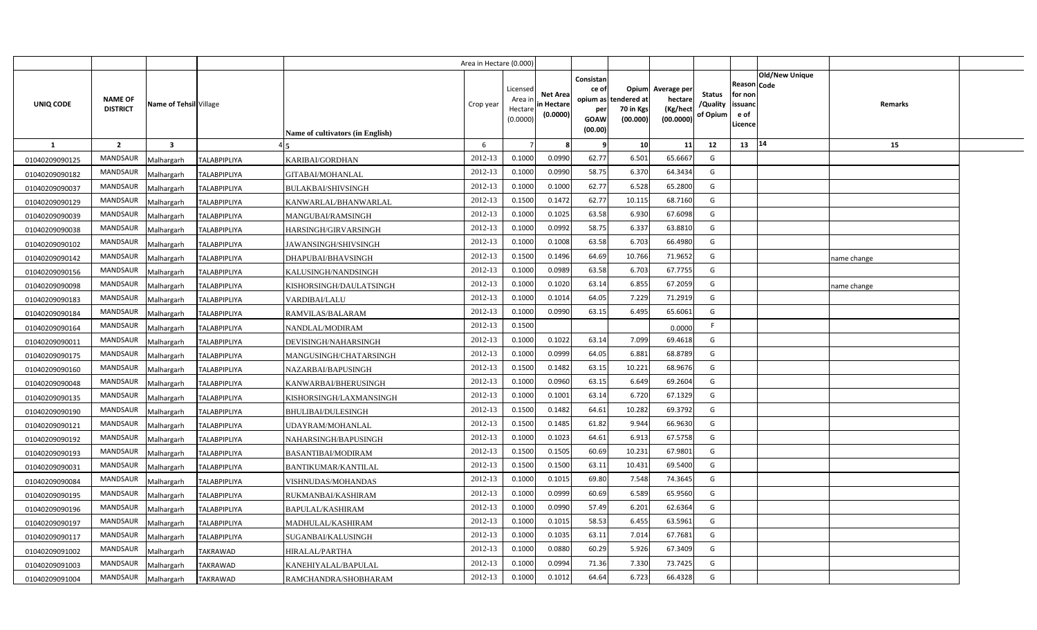|                |                                   |                         |                     |                                         | Area in Hectare (0.000) |                                            |                                           |                                                          |                                               |                                                 |                                       |                                                 |                                      |             |  |
|----------------|-----------------------------------|-------------------------|---------------------|-----------------------------------------|-------------------------|--------------------------------------------|-------------------------------------------|----------------------------------------------------------|-----------------------------------------------|-------------------------------------------------|---------------------------------------|-------------------------------------------------|--------------------------------------|-------------|--|
| UNIQ CODE      | <b>NAME OF</b><br><b>DISTRICT</b> | Name of Tehsil Village  |                     | <b>Name of cultivators (in English)</b> | Crop year               | Licensed<br>Area ir<br>Hectare<br>(0.0000) | <b>Net Area</b><br>in Hectare<br>(0.0000) | Consistan<br>ce of<br>opium as<br>per<br>GOAW<br>(00.00) | Opium<br>tendered at<br>70 in Kgs<br>(00.000) | Average per<br>hectare<br>(Kg/hect<br>(00.0000) | <b>Status</b><br>/Quality<br>of Opium | Reason<br>for non<br>issuand<br>e of<br>Licence | <b>Old/New Unique</b><br><b>Code</b> | Remarks     |  |
| <b>1</b>       | $\overline{2}$                    | $\overline{\mathbf{3}}$ |                     |                                         | 6                       |                                            |                                           |                                                          | 10                                            | 11                                              | 12                                    | 13                                              | 14                                   | 15          |  |
| 01040209090125 | <b>MANDSAUR</b>                   | Malhargarh              | <b>TALABPIPLIYA</b> | KARIBAI/GORDHAN                         | 2012-13                 | 0.1000                                     | 0.0990                                    | 62.77                                                    | 6.501                                         | 65.6667                                         | G                                     |                                                 |                                      |             |  |
| 01040209090182 | <b>MANDSAUR</b>                   | Malhargarh              | TALABPIPLIYA        | GITABAI/MOHANLAL                        | 2012-13                 | 0.1000                                     | 0.0990                                    | 58.75                                                    | 6.370                                         | 64.3434                                         | G                                     |                                                 |                                      |             |  |
| 01040209090037 | MANDSAUR                          | Malhargarh              | <b>TALABPIPLIYA</b> | <b>BULAKBAI/SHIVSINGH</b>               | 2012-13                 | 0.1000                                     | 0.1000                                    | 62.77                                                    | 6.528                                         | 65.2800                                         | G                                     |                                                 |                                      |             |  |
| 01040209090129 | MANDSAUR                          | Malhargarh              | <b>TALABPIPLIYA</b> | KANWARLAL/BHANWARLAL                    | 2012-13                 | 0.1500                                     | 0.1472                                    | 62.77                                                    | 10.115                                        | 68.7160                                         | G                                     |                                                 |                                      |             |  |
| 01040209090039 | MANDSAUR                          | Malhargarh              | <b>TALABPIPLIYA</b> | MANGUBAI/RAMSINGH                       | 2012-13                 | 0.1000                                     | 0.102!                                    | 63.58                                                    | 6.930                                         | 67.6098                                         | G                                     |                                                 |                                      |             |  |
| 01040209090038 | <b>MANDSAUR</b>                   | Malhargarh              | <b>TALABPIPLIYA</b> | HARSINGH/GIRVARSINGH                    | 2012-13                 | 0.100                                      | 0.0992                                    | 58.75                                                    | 6.337                                         | 63.8810                                         | G                                     |                                                 |                                      |             |  |
| 01040209090102 | MANDSAUR                          | Malhargarh              | TALABPIPLIYA        | JAWANSINGH/SHIVSINGH                    | 2012-13                 | 0.1000                                     | 0.1008                                    | 63.58                                                    | 6.703                                         | 66.4980                                         | G                                     |                                                 |                                      |             |  |
| 01040209090142 | <b>MANDSAUR</b>                   | Malhargarh              | <b>TALABPIPLIYA</b> | DHAPUBAI/BHAVSINGH                      | 2012-13                 | 0.1500                                     | 0.1496                                    | 64.69                                                    | 10.766                                        | 71.9652                                         | G                                     |                                                 |                                      | name change |  |
| 01040209090156 | MANDSAUR                          | Malhargarh              | TALABPIPLIYA        | KALUSINGH/NANDSINGH                     | 2012-13                 | 0.1000                                     | 0.0989                                    | 63.58                                                    | 6.703                                         | 67.7755                                         | G                                     |                                                 |                                      |             |  |
| 01040209090098 | MANDSAUR                          | Malhargarh              | <b>TALABPIPLIYA</b> | KISHORSINGH/DAULATSINGH                 | 2012-13                 | 0.1000                                     | 0.1020                                    | 63.14                                                    | 6.855                                         | 67.2059                                         | G                                     |                                                 |                                      | name change |  |
| 01040209090183 | <b>MANDSAUR</b>                   | Malhargarh              | <b>TALABPIPLIYA</b> | <b>VARDIBAI/LALU</b>                    | 2012-13                 | 0.1000                                     | 0.101                                     | 64.05                                                    | 7.229                                         | 71.2919                                         | G                                     |                                                 |                                      |             |  |
| 01040209090184 | <b>MANDSAUR</b>                   | Malhargarh              | <b>TALABPIPLIYA</b> | RAMVILAS/BALARAM                        | 2012-13                 | 0.1000                                     | 0.0990                                    | 63.15                                                    | 6.495                                         | 65.6061                                         | G                                     |                                                 |                                      |             |  |
| 01040209090164 | <b>MANDSAUR</b>                   | Malhargarh              | <b>TALABPIPLIYA</b> | NANDLAL/MODIRAM                         | 2012-13                 | 0.1500                                     |                                           |                                                          |                                               | 0.0000                                          | F                                     |                                                 |                                      |             |  |
| 01040209090011 | <b>MANDSAUR</b>                   | Malhargarh              | <b>TALABPIPLIYA</b> | DEVISINGH/NAHARSINGH                    | 2012-13                 | 0.1000                                     | 0.1022                                    | 63.14                                                    | 7.099                                         | 69.4618                                         | G                                     |                                                 |                                      |             |  |
| 01040209090175 | MANDSAUR                          | Malhargarh              | <b>TALABPIPLIYA</b> | MANGUSINGH/CHATARSINGH                  | 2012-13                 | 0.1000                                     | 0.0999                                    | 64.05                                                    | 6.881                                         | 68.8789                                         | G                                     |                                                 |                                      |             |  |
| 01040209090160 | <b>MANDSAUR</b>                   | Malhargarh              | <b>TALABPIPLIYA</b> | NAZARBAI/BAPUSINGH                      | 2012-13                 | 0.1500                                     | 0.1482                                    | 63.15                                                    | 10.221                                        | 68.9676                                         | G                                     |                                                 |                                      |             |  |
| 01040209090048 | MANDSAUR                          | Malhargarh              | <b>TALABPIPLIYA</b> | KANWARBAI/BHERUSINGH                    | 2012-13                 | 0.1000                                     | 0.0960                                    | 63.15                                                    | 6.649                                         | 69.2604                                         | G                                     |                                                 |                                      |             |  |
| 01040209090135 | <b>MANDSAUR</b>                   | Malhargarh              | <b>TALABPIPLIYA</b> | KISHORSINGH/LAXMANSINGH                 | 2012-13                 | 0.1000                                     | 0.1001                                    | 63.14                                                    | 6.720                                         | 67.1329                                         | G                                     |                                                 |                                      |             |  |
| 01040209090190 | <b>MANDSAUR</b>                   | Malhargarh              | TALABPIPLIYA        | <b>BHULIBAI/DULESINGH</b>               | 2012-13                 | 0.1500                                     | 0.1482                                    | 64.61                                                    | 10.282                                        | 69.3792                                         | G                                     |                                                 |                                      |             |  |
| 01040209090121 | <b>MANDSAUR</b>                   | Malhargarh              | <b>TALABPIPLIYA</b> | UDAYRAM/MOHANLAL                        | 2012-13                 | 0.1500                                     | 0.1485                                    | 61.82                                                    | 9.944                                         | 66.9630                                         | G                                     |                                                 |                                      |             |  |
| 01040209090192 | <b>MANDSAUR</b>                   | Malhargarh              | <b>TALABPIPLIYA</b> | NAHARSINGH/BAPUSINGH                    | 2012-13                 | 0.1000                                     | 0.1023                                    | 64.61                                                    | 6.913                                         | 67.5758                                         | G                                     |                                                 |                                      |             |  |
| 01040209090193 | <b>MANDSAUR</b>                   | Malhargarh              | <b>TALABPIPLIYA</b> | BASANTIBAI/MODIRAM                      | 2012-13                 | 0.1500                                     | 0.1505                                    | 60.69                                                    | 10.231                                        | 67.9801                                         | G                                     |                                                 |                                      |             |  |
| 01040209090031 | <b>MANDSAUR</b>                   | Malhargarh              | <b>TALABPIPLIYA</b> | BANTIKUMAR/KANTILAL                     | 2012-13                 | 0.1500                                     | 0.1500                                    | 63.11                                                    | 10.431                                        | 69.5400                                         | G                                     |                                                 |                                      |             |  |
| 01040209090084 | <b>MANDSAUR</b>                   | Malhargarh              | <b>TALABPIPLIYA</b> | VISHNUDAS/MOHANDAS                      | 2012-13                 | 0.1000                                     | 0.101!                                    | 69.80                                                    | 7.548                                         | 74.3645                                         | G                                     |                                                 |                                      |             |  |
| 01040209090195 | <b>MANDSAUR</b>                   | Malhargarh              | <b>TALABPIPLIYA</b> | RUKMANBAI/KASHIRAM                      | 2012-13                 | 0.1000                                     | 0.0999                                    | 60.69                                                    | 6.589                                         | 65.9560                                         | G                                     |                                                 |                                      |             |  |
| 01040209090196 | <b>MANDSAUR</b>                   | Malhargarh              | <b>TALABPIPLIYA</b> | BAPULAL/KASHIRAM                        | 2012-13                 | 0.1000                                     | 0.0990                                    | 57.49                                                    | 6.201                                         | 62.6364                                         | G                                     |                                                 |                                      |             |  |
| 01040209090197 | <b>MANDSAUR</b>                   | Malhargarh              | <b>TALABPIPLIYA</b> | MADHULAL/KASHIRAM                       | 2012-13                 | 0.1000                                     | 0.1015                                    | 58.53                                                    | 6.455                                         | 63.5961                                         | G                                     |                                                 |                                      |             |  |
| 01040209090117 | <b>MANDSAUR</b>                   | Malhargarh              | TALABPIPLIYA        | SUGANBAI/KALUSINGH                      | 2012-13                 | 0.1000                                     | 0.1035                                    | 63.11                                                    | 7.014                                         | 67.7681                                         | G                                     |                                                 |                                      |             |  |
| 01040209091002 | <b>MANDSAUR</b>                   | Malhargarh              | TAKRAWAD            | HIRALAL/PARTHA                          | 2012-13                 | 0.1000                                     | 0.0880                                    | 60.29                                                    | 5.926                                         | 67.3409                                         | G                                     |                                                 |                                      |             |  |
| 01040209091003 | <b>MANDSAUR</b>                   | Malhargarh              | TAKRAWAD            | KANEHIYALAL/BAPULAL                     | 2012-13                 | 0.1000                                     | 0.0994                                    | 71.36                                                    | 7.330                                         | 73.7425                                         | G                                     |                                                 |                                      |             |  |
| 01040209091004 | MANDSAUR                          | Malhargarh              | <b>TAKRAWAD</b>     | RAMCHANDRA/SHOBHARAM                    | 2012-13                 | 0.1000                                     | 0.1012                                    | 64.64                                                    | 6.723                                         | 66.4328                                         | G                                     |                                                 |                                      |             |  |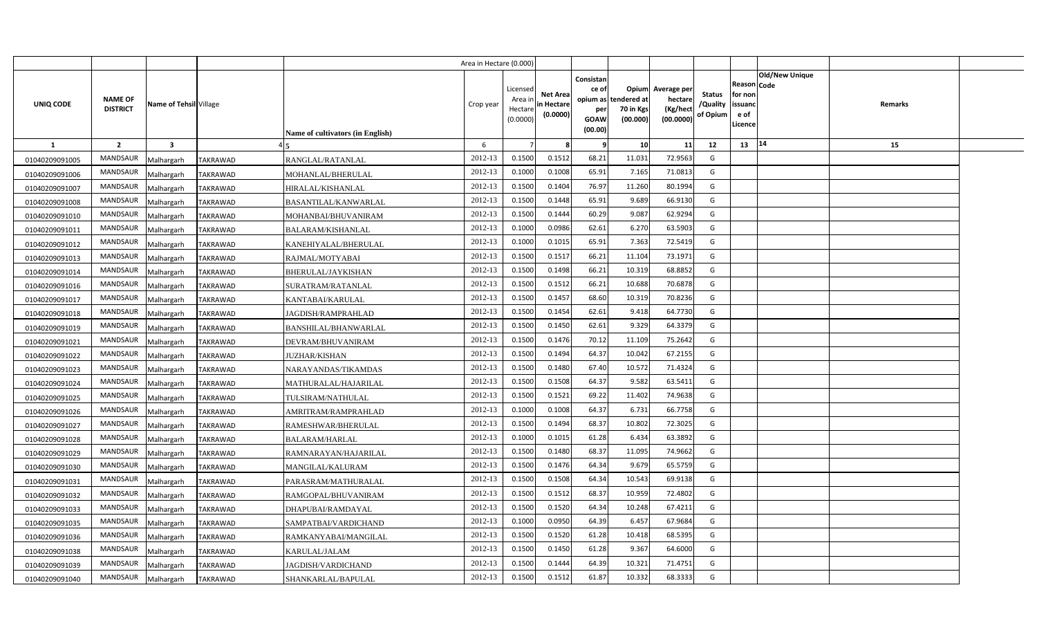|                |                                   |                         |                                         | Area in Hectare (0.000) |                                            |                                           |                                                                 |                                               |                                                 |                                       |                                                             |                       |         |  |
|----------------|-----------------------------------|-------------------------|-----------------------------------------|-------------------------|--------------------------------------------|-------------------------------------------|-----------------------------------------------------------------|-----------------------------------------------|-------------------------------------------------|---------------------------------------|-------------------------------------------------------------|-----------------------|---------|--|
| UNIQ CODE      | <b>NAME OF</b><br><b>DISTRICT</b> | Name of Tehsil Village  | Name of cultivators (in English)        | Crop year               | Licensed<br>Area in<br>Hectare<br>(0.0000) | <b>Net Area</b><br>in Hectare<br>(0.0000) | Consistan<br>ce of<br>opium as<br>per<br><b>GOAW</b><br>(00.00) | Opium<br>tendered at<br>70 in Kgs<br>(00.000) | Average per<br>hectare<br>(Kg/hect<br>(00.0000) | <b>Status</b><br>/Quality<br>of Opium | <b>Reason Code</b><br>for non<br>issuand<br>e of<br>Licence | <b>Old/New Unique</b> | Remarks |  |
| $\mathbf{1}$   | $\overline{2}$                    | $\overline{\mathbf{3}}$ |                                         | 6                       |                                            |                                           |                                                                 | 10 <sup>1</sup>                               | 11                                              | 12                                    | 13 14                                                       |                       | 15      |  |
| 01040209091005 | <b>MANDSAUR</b>                   | Malhargarh              | <b>TAKRAWAD</b><br>RANGLAL/RATANLAL     | 2012-13                 | 0.1500                                     | 0.1512                                    | 68.21                                                           | 11.031                                        | 72.9563                                         | G                                     |                                                             |                       |         |  |
| 01040209091006 | <b>MANDSAUR</b>                   | Malhargarh              | <b>TAKRAWAD</b><br>MOHANLAL/BHERULAL    | 2012-13                 | 0.1000                                     | 0.1008                                    | 65.91                                                           | 7.165                                         | 71.0813                                         | G                                     |                                                             |                       |         |  |
| 01040209091007 | <b>MANDSAUR</b>                   | Malhargarh              | <b>TAKRAWAD</b><br>HIRALAL/KISHANLAL    | 2012-13                 | 0.1500                                     | 0.1404                                    | 76.97                                                           | 11.260                                        | 80.1994                                         | G                                     |                                                             |                       |         |  |
| 01040209091008 | <b>MANDSAUR</b>                   | Malhargarh              | <b>TAKRAWAD</b><br>BASANTILAL/KANWARLAL | 2012-13                 | 0.1500                                     | 0.1448                                    | 65.91                                                           | 9.689                                         | 66.9130                                         | G                                     |                                                             |                       |         |  |
| 01040209091010 | <b>MANDSAUR</b>                   | Malhargarh              | <b>TAKRAWAD</b><br>MOHANBAI/BHUVANIRAM  | 2012-13                 | 0.1500                                     | 0.1444                                    | 60.29                                                           | 9.087                                         | 62.9294                                         | G                                     |                                                             |                       |         |  |
| 01040209091011 | <b>MANDSAUR</b>                   | Malhargarh              | <b>TAKRAWAD</b><br>BALARAM/KISHANLAL    | 2012-13                 | 0.1000                                     | 0.0986                                    | 62.61                                                           | 6.270                                         | 63.5903                                         | G                                     |                                                             |                       |         |  |
| 01040209091012 | <b>MANDSAUR</b>                   | Malhargarh              | <b>TAKRAWAD</b><br>KANEHIYALAL/BHERULAL | 2012-13                 | 0.1000                                     | 0.1015                                    | 65.91                                                           | 7.363                                         | 72.5419                                         | G                                     |                                                             |                       |         |  |
| 01040209091013 | <b>MANDSAUR</b>                   | Malhargarh              | <b>TAKRAWAD</b><br>RAJMAL/MOTYABAI      | 2012-13                 | 0.1500                                     | 0.1517                                    | 66.21                                                           | 11.104                                        | 73.1971                                         | G                                     |                                                             |                       |         |  |
| 01040209091014 | <b>MANDSAUR</b>                   | Malhargarh              | TAKRAWAD<br><b>BHERULAL/JAYKISHAN</b>   | 2012-13                 | 0.1500                                     | 0.1498                                    | 66.21                                                           | 10.319                                        | 68.8852                                         | G                                     |                                                             |                       |         |  |
| 01040209091016 | <b>MANDSAUR</b>                   | Malhargarh              | <b>TAKRAWAD</b><br>SURATRAM/RATANLAL    | 2012-13                 | 0.1500                                     | 0.1512                                    | 66.21                                                           | 10.688                                        | 70.6878                                         | G                                     |                                                             |                       |         |  |
| 01040209091017 | <b>MANDSAUR</b>                   | Malhargarh              | TAKRAWAD<br>KANTABAI/KARULAL            | 2012-13                 | 0.1500                                     | 0.1457                                    | 68.60                                                           | 10.319                                        | 70.8236                                         | G                                     |                                                             |                       |         |  |
| 01040209091018 | <b>MANDSAUR</b>                   | Malhargarh              | <b>TAKRAWAD</b><br>JAGDISH/RAMPRAHLAD   | 2012-13                 | 0.1500                                     | 0.1454                                    | 62.61                                                           | 9.418                                         | 64.7730                                         | G                                     |                                                             |                       |         |  |
| 01040209091019 | MANDSAUR                          | Malhargarh              | TAKRAWAD<br>BANSHILAL/BHANWARLAL        | 2012-13                 | 0.1500                                     | 0.1450                                    | 62.61                                                           | 9.329                                         | 64.3379                                         | G                                     |                                                             |                       |         |  |
| 01040209091021 | <b>MANDSAUR</b>                   | Malhargarh              | <b>TAKRAWAD</b><br>DEVRAM/BHUVANIRAM    | 2012-13                 | 0.1500                                     | 0.1476                                    | 70.12                                                           | 11.109                                        | 75.2642                                         | G                                     |                                                             |                       |         |  |
| 01040209091022 | MANDSAUR                          | Malhargarh              | TAKRAWAD<br>JUZHAR/KISHAN               | 2012-13                 | 0.1500                                     | 0.1494                                    | 64.37                                                           | 10.042                                        | 67.2155                                         | G                                     |                                                             |                       |         |  |
| 01040209091023 | MANDSAUR                          | Malhargarh              | NARAYANDAS/TIKAMDAS<br>TAKRAWAD         | 2012-13                 | 0.1500                                     | 0.1480                                    | 67.40                                                           | 10.572                                        | 71.4324                                         | G                                     |                                                             |                       |         |  |
| 01040209091024 | <b>MANDSAUR</b>                   | Malhargarh              | TAKRAWAD<br>MATHURALAL/HAJARILAL        | 2012-13                 | 0.1500                                     | 0.1508                                    | 64.37                                                           | 9.582                                         | 63.5411                                         | G                                     |                                                             |                       |         |  |
| 01040209091025 | <b>MANDSAUR</b>                   | Malhargarh              | TAKRAWAD<br>TULSIRAM/NATHULAL           | 2012-13                 | 0.1500                                     | 0.1521                                    | 69.22                                                           | 11.402                                        | 74.9638                                         | G                                     |                                                             |                       |         |  |
| 01040209091026 | <b>MANDSAUR</b>                   | Malhargarh              | TAKRAWAD<br>AMRITRAM/RAMPRAHLAD         | 2012-13                 | 0.1000                                     | 0.1008                                    | 64.37                                                           | 6.731                                         | 66.7758                                         | G                                     |                                                             |                       |         |  |
| 01040209091027 | <b>MANDSAUR</b>                   | Malhargarh              | TAKRAWAD<br>RAMESHWAR/BHERULAL          | 2012-13                 | 0.1500                                     | 0.1494                                    | 68.37                                                           | 10.802                                        | 72.3025                                         | G                                     |                                                             |                       |         |  |
| 01040209091028 | MANDSAUR                          | Malhargarh              | TAKRAWAD<br><b>BALARAM/HARLAL</b>       | 2012-13                 | 0.1000                                     | 0.1015                                    | 61.28                                                           | 6.434                                         | 63.3892                                         | G                                     |                                                             |                       |         |  |
| 01040209091029 | <b>MANDSAUR</b>                   | Malhargarh              | TAKRAWAD<br>RAMNARAYAN/HAJARILAL        | 2012-13                 | 0.1500                                     | 0.1480                                    | 68.37                                                           | 11.095                                        | 74.9662                                         | G                                     |                                                             |                       |         |  |
| 01040209091030 | <b>MANDSAUR</b>                   | Malhargarh              | <b>TAKRAWAD</b><br>MANGILAL/KALURAM     | 2012-13                 | 0.1500                                     | 0.1476                                    | 64.34                                                           | 9.679                                         | 65.5759                                         | G                                     |                                                             |                       |         |  |
| 01040209091031 | <b>MANDSAUR</b>                   | Malhargarh              | TAKRAWAD<br>PARASRAM/MATHURALAL         | 2012-13                 | 0.1500                                     | 0.1508                                    | 64.34                                                           | 10.543                                        | 69.9138                                         | G                                     |                                                             |                       |         |  |
| 01040209091032 | <b>MANDSAUR</b>                   | Malhargarh              | <b>TAKRAWAD</b><br>RAMGOPAL/BHUVANIRAM  | 2012-13                 | 0.1500                                     | 0.1512                                    | 68.37                                                           | 10.959                                        | 72.4802                                         | G                                     |                                                             |                       |         |  |
| 01040209091033 | <b>MANDSAUR</b>                   | Malhargarh              | TAKRAWAD<br>DHAPUBAI/RAMDAYAL           | 2012-13                 | 0.1500                                     | 0.1520                                    | 64.34                                                           | 10.248                                        | 67.4211                                         | G                                     |                                                             |                       |         |  |
| 01040209091035 | <b>MANDSAUR</b>                   | Malhargarh              | TAKRAWAD<br>SAMPATBAI/VARDICHAND        | 2012-13                 | 0.1000                                     | 0.0950                                    | 64.39                                                           | 6.457                                         | 67.9684                                         | G                                     |                                                             |                       |         |  |
| 01040209091036 | <b>MANDSAUR</b>                   | Malhargarh              | TAKRAWAD<br>RAMKANYABAI/MANGILAL        | 2012-13                 | 0.1500                                     | 0.1520                                    | 61.28                                                           | 10.418                                        | 68.5395                                         | G                                     |                                                             |                       |         |  |
| 01040209091038 | <b>MANDSAUR</b>                   | Malhargarh              | TAKRAWAD<br>KARULAL/JALAM               | 2012-13                 | 0.1500                                     | 0.1450                                    | 61.28                                                           | 9.367                                         | 64.6000                                         | G                                     |                                                             |                       |         |  |
| 01040209091039 | <b>MANDSAUR</b>                   | Malhargarh              | <b>TAKRAWAD</b><br>JAGDISH/VARDICHAND   | 2012-13                 | 0.1500                                     | 0.1444                                    | 64.39                                                           | 10.321                                        | 71.4751                                         | G                                     |                                                             |                       |         |  |
| 01040209091040 | <b>MANDSAUR</b>                   | Malhargarh              | <b>TAKRAWAD</b><br>SHANKARLAL/BAPULAL   | 2012-13                 | 0.1500                                     | 0.1512                                    | 61.87                                                           | 10.332                                        | 68.3333                                         | G                                     |                                                             |                       |         |  |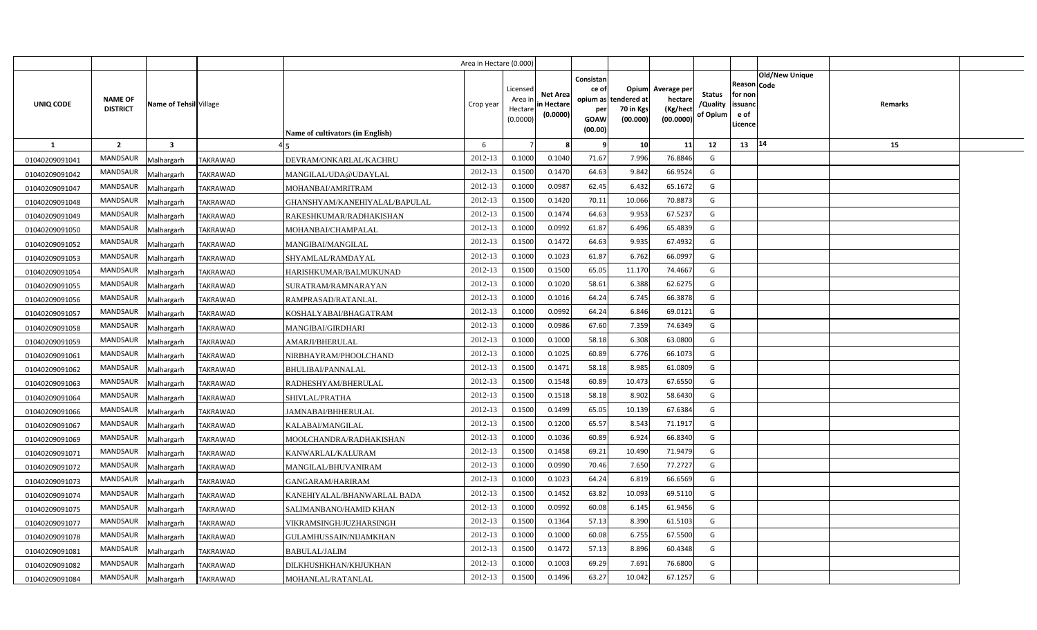|                |                                   |                         |                 |                                  | Area in Hectare (0.000) |                                            |                                           |                                                                 |                                               |                                                 |                                       |                                                             |                       |         |  |
|----------------|-----------------------------------|-------------------------|-----------------|----------------------------------|-------------------------|--------------------------------------------|-------------------------------------------|-----------------------------------------------------------------|-----------------------------------------------|-------------------------------------------------|---------------------------------------|-------------------------------------------------------------|-----------------------|---------|--|
| UNIQ CODE      | <b>NAME OF</b><br><b>DISTRICT</b> | Name of Tehsil Village  |                 | Name of cultivators (in English) | Crop year               | Licensed<br>Area in<br>Hectare<br>(0.0000) | <b>Net Area</b><br>in Hectare<br>(0.0000) | Consistan<br>ce of<br>opium as<br>per<br><b>GOAW</b><br>(00.00) | Opium<br>tendered at<br>70 in Kgs<br>(00.000) | Average per<br>hectare<br>(Kg/hect<br>(00.0000) | <b>Status</b><br>/Quality<br>of Opium | <b>Reason Code</b><br>for non<br>issuanc<br>e of<br>Licence | <b>Old/New Unique</b> | Remarks |  |
| $\mathbf{1}$   | $\overline{2}$                    | $\overline{\mathbf{3}}$ |                 |                                  | 6                       |                                            |                                           |                                                                 | 10 <sup>1</sup>                               | 11                                              | 12                                    | 13 14                                                       |                       | 15      |  |
| 01040209091041 | <b>MANDSAUR</b>                   | Malhargarh              | <b>TAKRAWAD</b> | DEVRAM/ONKARLAL/KACHRU           | 2012-13                 | 0.1000                                     | 0.1040                                    | 71.67                                                           | 7.996                                         | 76.8846                                         | G                                     |                                                             |                       |         |  |
| 01040209091042 | <b>MANDSAUR</b>                   | Malhargarh              | <b>TAKRAWAD</b> | MANGILAL/UDA@UDAYLAL             | 2012-13                 | 0.1500                                     | 0.1470                                    | 64.63                                                           | 9.842                                         | 66.9524                                         | G                                     |                                                             |                       |         |  |
| 01040209091047 | <b>MANDSAUR</b>                   | Malhargarh              | <b>TAKRAWAD</b> | MOHANBAI/AMRITRAM                | 2012-13                 | 0.1000                                     | 0.0987                                    | 62.45                                                           | 6.432                                         | 65.1672                                         | G                                     |                                                             |                       |         |  |
| 01040209091048 | <b>MANDSAUR</b>                   | Malhargarh              | <b>TAKRAWAD</b> | GHANSHYAM/KANEHIYALAL/BAPULAL    | 2012-13                 | 0.1500                                     | 0.1420                                    | 70.11                                                           | 10.066                                        | 70.8873                                         | G                                     |                                                             |                       |         |  |
| 01040209091049 | <b>MANDSAUR</b>                   | Malhargarh              | <b>TAKRAWAD</b> | RAKESHKUMAR/RADHAKISHAN          | 2012-13                 | 0.1500                                     | 0.1474                                    | 64.63                                                           | 9.953                                         | 67.5237                                         | G                                     |                                                             |                       |         |  |
| 01040209091050 | <b>MANDSAUR</b>                   | Malhargarh              | <b>TAKRAWAD</b> | MOHANBAI/CHAMPALAL               | 2012-13                 | 0.1000                                     | 0.0992                                    | 61.87                                                           | 6.496                                         | 65.4839                                         | G                                     |                                                             |                       |         |  |
| 01040209091052 | <b>MANDSAUR</b>                   | Malhargarh              | <b>TAKRAWAD</b> | MANGIBAI/MANGILAL                | 2012-13                 | 0.1500                                     | 0.1472                                    | 64.63                                                           | 9.935                                         | 67.4932                                         | G                                     |                                                             |                       |         |  |
| 01040209091053 | <b>MANDSAUR</b>                   | Malhargarh              | <b>TAKRAWAD</b> | SHYAMLAL/RAMDAYAL                | 2012-13                 | 0.1000                                     | 0.1023                                    | 61.87                                                           | 6.762                                         | 66.0997                                         | G                                     |                                                             |                       |         |  |
| 01040209091054 | <b>MANDSAUR</b>                   | Malhargarh              | TAKRAWAD        | HARISHKUMAR/BALMUKUNAD           | 2012-13                 | 0.1500                                     | 0.1500                                    | 65.05                                                           | 11.170                                        | 74.4667                                         | G                                     |                                                             |                       |         |  |
| 01040209091055 | <b>MANDSAUR</b>                   | Malhargarh              | <b>TAKRAWAD</b> | SURATRAM/RAMNARAYAN              | 2012-13                 | 0.1000                                     | 0.1020                                    | 58.61                                                           | 6.388                                         | 62.6275                                         | G                                     |                                                             |                       |         |  |
| 01040209091056 | <b>MANDSAUR</b>                   | Malhargarh              | TAKRAWAD        | RAMPRASAD/RATANLAL               | 2012-13                 | 0.1000                                     | 0.1016                                    | 64.24                                                           | 6.745                                         | 66.3878                                         | G                                     |                                                             |                       |         |  |
| 01040209091057 | <b>MANDSAUR</b>                   | Malhargarh              | <b>TAKRAWAD</b> | KOSHALYABAI/BHAGATRAM            | 2012-13                 | 0.1000                                     | 0.0992                                    | 64.24                                                           | 6.846                                         | 69.0121                                         | G                                     |                                                             |                       |         |  |
| 01040209091058 | MANDSAUR                          | Malhargarh              | TAKRAWAD        | MANGIBAI/GIRDHARI                | 2012-13                 | 0.1000                                     | 0.0986                                    | 67.60                                                           | 7.359                                         | 74.6349                                         | G                                     |                                                             |                       |         |  |
| 01040209091059 | <b>MANDSAUR</b>                   | Malhargarh              | <b>TAKRAWAD</b> | AMARJI/BHERULAL                  | 2012-13                 | 0.1000                                     | 0.1000                                    | 58.18                                                           | 6.308                                         | 63.0800                                         | G                                     |                                                             |                       |         |  |
| 01040209091061 | MANDSAUR                          | Malhargarh              | TAKRAWAD        | NIRBHAYRAM/PHOOLCHAND            | 2012-13                 | 0.1000                                     | 0.1025                                    | 60.89                                                           | 6.776                                         | 66.1073                                         | G                                     |                                                             |                       |         |  |
| 01040209091062 | MANDSAUR                          | Malhargarh              | TAKRAWAD        | <b>BHULIBAI/PANNALAL</b>         | 2012-13                 | 0.1500                                     | 0.1471                                    | 58.18                                                           | 8.985                                         | 61.0809                                         | G                                     |                                                             |                       |         |  |
| 01040209091063 | <b>MANDSAUR</b>                   | Malhargarh              | TAKRAWAD        | RADHESHYAM/BHERULAL              | 2012-13                 | 0.1500                                     | 0.1548                                    | 60.89                                                           | 10.473                                        | 67.6550                                         | G                                     |                                                             |                       |         |  |
| 01040209091064 | <b>MANDSAUR</b>                   | Malhargarh              | TAKRAWAD        | SHIVLAL/PRATHA                   | 2012-13                 | 0.1500                                     | 0.1518                                    | 58.18                                                           | 8.902                                         | 58.6430                                         | G                                     |                                                             |                       |         |  |
| 01040209091066 | <b>MANDSAUR</b>                   | Malhargarh              | TAKRAWAD        | JAMNABAI/BHHERULAL               | 2012-13                 | 0.1500                                     | 0.1499                                    | 65.05                                                           | 10.139                                        | 67.6384                                         | G                                     |                                                             |                       |         |  |
| 01040209091067 | <b>MANDSAUR</b>                   | Malhargarh              | <b>TAKRAWAD</b> | <b>KALABAI/MANGILAL</b>          | 2012-13                 | 0.1500                                     | 0.1200                                    | 65.57                                                           | 8.543                                         | 71.1917                                         | G                                     |                                                             |                       |         |  |
| 01040209091069 | MANDSAUR                          | Malhargarh              | TAKRAWAD        | MOOLCHANDRA/RADHAKISHAN          | 2012-13                 | 0.1000                                     | 0.1036                                    | 60.89                                                           | 6.924                                         | 66.8340                                         | G                                     |                                                             |                       |         |  |
| 01040209091071 | <b>MANDSAUR</b>                   | Malhargarh              | TAKRAWAD        | KANWARLAL/KALURAM                | 2012-13                 | 0.1500                                     | 0.1458                                    | 69.21                                                           | 10.490                                        | 71.9479                                         | G                                     |                                                             |                       |         |  |
| 01040209091072 | <b>MANDSAUR</b>                   | Malhargarh              | <b>TAKRAWAD</b> | MANGILAL/BHUVANIRAM              | 2012-13                 | 0.1000                                     | 0.0990                                    | 70.46                                                           | 7.650                                         | 77.2727                                         | G                                     |                                                             |                       |         |  |
| 01040209091073 | <b>MANDSAUR</b>                   | Malhargarh              | TAKRAWAD        | GANGARAM/HARIRAM                 | 2012-13                 | 0.1000                                     | 0.1023                                    | 64.24                                                           | 6.819                                         | 66.6569                                         | G                                     |                                                             |                       |         |  |
| 01040209091074 | <b>MANDSAUR</b>                   | Malhargarh              | <b>TAKRAWAD</b> | KANEHIYALAL/BHANWARLAL BADA      | 2012-13                 | 0.1500                                     | 0.1452                                    | 63.82                                                           | 10.093                                        | 69.5110                                         | G                                     |                                                             |                       |         |  |
| 01040209091075 | <b>MANDSAUR</b>                   | Malhargarh              | TAKRAWAD        | SALIMANBANO/HAMID KHAN           | 2012-13                 | 0.1000                                     | 0.0992                                    | 60.08                                                           | 6.145                                         | 61.9456                                         | G                                     |                                                             |                       |         |  |
| 01040209091077 | <b>MANDSAUR</b>                   | Malhargarh              | TAKRAWAD        | VIKRAMSINGH/JUZHARSINGH          | 2012-13                 | 0.1500                                     | 0.1364                                    | 57.13                                                           | 8.390                                         | 61.5103                                         | G                                     |                                                             |                       |         |  |
| 01040209091078 | <b>MANDSAUR</b>                   | Malhargarh              | TAKRAWAD        | GULAMHUSSAIN/NIJAMKHAN           | 2012-13                 | 0.1000                                     | 0.1000                                    | 60.08                                                           | 6.755                                         | 67.5500                                         | G                                     |                                                             |                       |         |  |
| 01040209091081 | <b>MANDSAUR</b>                   | Malhargarh              | TAKRAWAD        | BABULAL/JALIM                    | 2012-13                 | 0.1500                                     | 0.1472                                    | 57.13                                                           | 8.896                                         | 60.4348                                         | G                                     |                                                             |                       |         |  |
| 01040209091082 | <b>MANDSAUR</b>                   | Malhargarh              | <b>TAKRAWAD</b> | DILKHUSHKHAN/KHJUKHAN            | 2012-13                 | 0.1000                                     | 0.1003                                    | 69.29                                                           | 7.691                                         | 76.6800                                         | G                                     |                                                             |                       |         |  |
| 01040209091084 | <b>MANDSAUR</b>                   | Malhargarh              | <b>TAKRAWAD</b> | MOHANLAL/RATANLAL                | 2012-13                 | 0.1500                                     | 0.1496                                    | 63.27                                                           | 10.042                                        | 67.1257                                         | G                                     |                                                             |                       |         |  |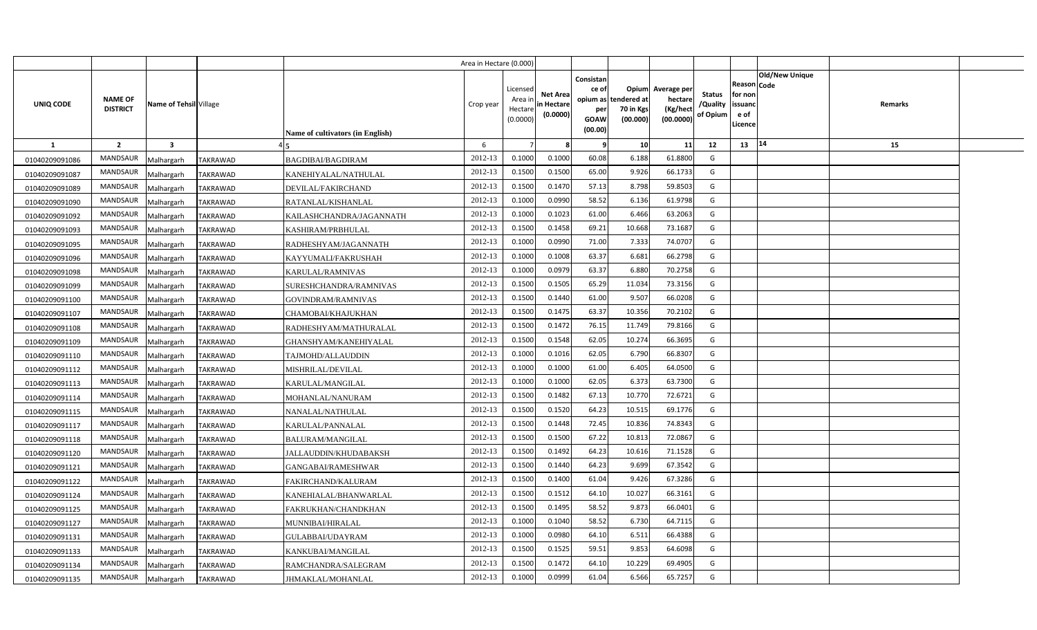|                |                                   |                         |                 |                                  | Area in Hectare (0.000) |                                            |                                           |                                                                 |                                               |                                                 |                                       |                                                             |                       |         |  |
|----------------|-----------------------------------|-------------------------|-----------------|----------------------------------|-------------------------|--------------------------------------------|-------------------------------------------|-----------------------------------------------------------------|-----------------------------------------------|-------------------------------------------------|---------------------------------------|-------------------------------------------------------------|-----------------------|---------|--|
| UNIQ CODE      | <b>NAME OF</b><br><b>DISTRICT</b> | Name of Tehsil Village  |                 | Name of cultivators (in English) | Crop year               | Licensed<br>Area in<br>Hectare<br>(0.0000) | <b>Net Area</b><br>in Hectare<br>(0.0000) | Consistan<br>ce of<br>opium as<br>per<br><b>GOAW</b><br>(00.00) | Opium<br>tendered at<br>70 in Kgs<br>(00.000) | Average per<br>hectare<br>(Kg/hect<br>(00.0000) | <b>Status</b><br>/Quality<br>of Opium | <b>Reason Code</b><br>for non<br>issuand<br>e of<br>Licence | <b>Old/New Unique</b> | Remarks |  |
| $\mathbf{1}$   | $\overline{2}$                    | $\overline{\mathbf{3}}$ |                 |                                  | 6                       |                                            |                                           |                                                                 | 10 <sup>1</sup>                               | 11                                              | 12                                    | 13 14                                                       |                       | 15      |  |
| 01040209091086 | <b>MANDSAUR</b>                   | Malhargarh              | <b>TAKRAWAD</b> | <b>BAGDIBAI/BAGDIRAM</b>         | 2012-13                 | 0.1000                                     | 0.1000                                    | 60.08                                                           | 6.188                                         | 61.8800                                         | G                                     |                                                             |                       |         |  |
| 01040209091087 | <b>MANDSAUR</b>                   | Malhargarh              | <b>TAKRAWAD</b> | KANEHIYALAL/NATHULAL             | 2012-13                 | 0.1500                                     | 0.1500                                    | 65.00                                                           | 9.926                                         | 66.1733                                         | G                                     |                                                             |                       |         |  |
| 01040209091089 | <b>MANDSAUR</b>                   | Malhargarh              | <b>TAKRAWAD</b> | DEVILAL/FAKIRCHAND               | 2012-13                 | 0.1500                                     | 0.1470                                    | 57.13                                                           | 8.798                                         | 59.8503                                         | G                                     |                                                             |                       |         |  |
| 01040209091090 | <b>MANDSAUR</b>                   | Malhargarh              | <b>TAKRAWAD</b> | RATANLAL/KISHANLAL               | 2012-13                 | 0.1000                                     | 0.0990                                    | 58.52                                                           | 6.136                                         | 61.9798                                         | G                                     |                                                             |                       |         |  |
| 01040209091092 | <b>MANDSAUR</b>                   | Malhargarh              | <b>TAKRAWAD</b> | KAILASHCHANDRA/JAGANNATH         | 2012-13                 | 0.1000                                     | 0.1023                                    | 61.00                                                           | 6.466                                         | 63.2063                                         | G                                     |                                                             |                       |         |  |
| 01040209091093 | <b>MANDSAUR</b>                   | Malhargarh              | <b>TAKRAWAD</b> | KASHIRAM/PRBHULAL                | 2012-13                 | 0.1500                                     | 0.1458                                    | 69.21                                                           | 10.668                                        | 73.1687                                         | G                                     |                                                             |                       |         |  |
| 01040209091095 | <b>MANDSAUR</b>                   | Malhargarh              | <b>TAKRAWAD</b> | RADHESHYAM/JAGANNATH             | 2012-13                 | 0.1000                                     | 0.0990                                    | 71.00                                                           | 7.333                                         | 74.0707                                         | G                                     |                                                             |                       |         |  |
| 01040209091096 | <b>MANDSAUR</b>                   | Malhargarh              | <b>TAKRAWAD</b> | KAYYUMALI/FAKRUSHAH              | 2012-13                 | 0.1000                                     | 0.1008                                    | 63.37                                                           | 6.681                                         | 66.2798                                         | G                                     |                                                             |                       |         |  |
| 01040209091098 | <b>MANDSAUR</b>                   | Malhargarh              | TAKRAWAD        | KARULAL/RAMNIVAS                 | 2012-13                 | 0.1000                                     | 0.0979                                    | 63.37                                                           | 6.880                                         | 70.2758                                         | G                                     |                                                             |                       |         |  |
| 01040209091099 | <b>MANDSAUR</b>                   | Malhargarh              | <b>TAKRAWAD</b> | SURESHCHANDRA/RAMNIVAS           | 2012-13                 | 0.1500                                     | 0.1505                                    | 65.29                                                           | 11.034                                        | 73.3156                                         | G                                     |                                                             |                       |         |  |
| 01040209091100 | <b>MANDSAUR</b>                   | Malhargarh              | TAKRAWAD        | GOVINDRAM/RAMNIVAS               | 2012-13                 | 0.1500                                     | 0.1440                                    | 61.00                                                           | 9.507                                         | 66.0208                                         | G                                     |                                                             |                       |         |  |
| 01040209091107 | <b>MANDSAUR</b>                   | Malhargarh              | <b>TAKRAWAD</b> | CHAMOBAI/KHAJUKHAN               | 2012-13                 | 0.1500                                     | 0.1475                                    | 63.37                                                           | 10.356                                        | 70.2102                                         | G                                     |                                                             |                       |         |  |
| 01040209091108 | MANDSAUR                          | Malhargarh              | TAKRAWAD        | RADHESHYAM/MATHURALAL            | 2012-13                 | 0.1500                                     | 0.1472                                    | 76.15                                                           | 11.749                                        | 79.8166                                         | G                                     |                                                             |                       |         |  |
| 01040209091109 | <b>MANDSAUR</b>                   | Malhargarh              | <b>TAKRAWAD</b> | GHANSHYAM/KANEHIYALAL            | 2012-13                 | 0.1500                                     | 0.1548                                    | 62.05                                                           | 10.274                                        | 66.3695                                         | G                                     |                                                             |                       |         |  |
| 01040209091110 | MANDSAUR                          | Malhargarh              | TAKRAWAD        | TAJMOHD/ALLAUDDIN                | 2012-13                 | 0.1000                                     | 0.1016                                    | 62.05                                                           | 6.790                                         | 66.8307                                         | G                                     |                                                             |                       |         |  |
| 01040209091112 | MANDSAUR                          | Malhargarh              | TAKRAWAD        | MISHRILAL/DEVILAL                | 2012-13                 | 0.1000                                     | 0.1000                                    | 61.00                                                           | 6.405                                         | 64.0500                                         | G                                     |                                                             |                       |         |  |
| 01040209091113 | <b>MANDSAUR</b>                   | Malhargarh              | TAKRAWAD        | KARULAL/MANGILAL                 | 2012-13                 | 0.1000                                     | 0.1000                                    | 62.05                                                           | 6.373                                         | 63.7300                                         | G                                     |                                                             |                       |         |  |
| 01040209091114 | <b>MANDSAUR</b>                   | Malhargarh              | TAKRAWAD        | MOHANLAL/NANURAM                 | 2012-13                 | 0.1500                                     | 0.1482                                    | 67.13                                                           | 10.770                                        | 72.6721                                         | G                                     |                                                             |                       |         |  |
| 01040209091115 | <b>MANDSAUR</b>                   | Malhargarh              | TAKRAWAD        | NANALAL/NATHULAL                 | 2012-13                 | 0.1500                                     | 0.1520                                    | 64.23                                                           | 10.515                                        | 69.1776                                         | G                                     |                                                             |                       |         |  |
| 01040209091117 | <b>MANDSAUR</b>                   | Malhargarh              | TAKRAWAD        | KARULAL/PANNALAL                 | 2012-13                 | 0.1500                                     | 0.1448                                    | 72.45                                                           | 10.836                                        | 74.8343                                         | G                                     |                                                             |                       |         |  |
| 01040209091118 | MANDSAUR                          | Malhargarh              | TAKRAWAD        | <b>BALURAM/MANGILAL</b>          | 2012-13                 | 0.1500                                     | 0.1500                                    | 67.22                                                           | 10.813                                        | 72.0867                                         | G                                     |                                                             |                       |         |  |
| 01040209091120 | <b>MANDSAUR</b>                   | Malhargarh              | TAKRAWAD        | JALLAUDDIN/KHUDABAKSH            | 2012-13                 | 0.1500                                     | 0.1492                                    | 64.23                                                           | 10.616                                        | 71.1528                                         | G                                     |                                                             |                       |         |  |
| 01040209091121 | <b>MANDSAUR</b>                   | Malhargarh              | <b>TAKRAWAD</b> | GANGABAI/RAMESHWAR               | 2012-13                 | 0.1500                                     | 0.1440                                    | 64.23                                                           | 9.699                                         | 67.3542                                         | G                                     |                                                             |                       |         |  |
| 01040209091122 | <b>MANDSAUR</b>                   | Malhargarh              | TAKRAWAD        | FAKIRCHAND/KALURAM               | 2012-13                 | 0.1500                                     | 0.1400                                    | 61.04                                                           | 9.426                                         | 67.3286                                         | G                                     |                                                             |                       |         |  |
| 01040209091124 | <b>MANDSAUR</b>                   | Malhargarh              | <b>TAKRAWAD</b> | KANEHIALAL/BHANWARLAL            | 2012-13                 | 0.1500                                     | 0.1512                                    | 64.10                                                           | 10.027                                        | 66.3161                                         | G                                     |                                                             |                       |         |  |
| 01040209091125 | <b>MANDSAUR</b>                   | Malhargarh              | TAKRAWAD        | FAKRUKHAN/CHANDKHAN              | 2012-13                 | 0.1500                                     | 0.1495                                    | 58.52                                                           | 9.873                                         | 66.0401                                         | G                                     |                                                             |                       |         |  |
| 01040209091127 | <b>MANDSAUR</b>                   | Malhargarh              | TAKRAWAD        | MUNNIBAI/HIRALAL                 | 2012-13                 | 0.1000                                     | 0.1040                                    | 58.52                                                           | 6.730                                         | 64.7115                                         | G                                     |                                                             |                       |         |  |
| 01040209091131 | <b>MANDSAUR</b>                   | Malhargarh              | TAKRAWAD        | GULABBAI/UDAYRAM                 | 2012-13                 | 0.1000                                     | 0.0980                                    | 64.10                                                           | 6.511                                         | 66.4388                                         | G                                     |                                                             |                       |         |  |
| 01040209091133 | <b>MANDSAUR</b>                   | Malhargarh              | TAKRAWAD        | KANKUBAI/MANGILAL                | 2012-13                 | 0.1500                                     | 0.1525                                    | 59.51                                                           | 9.853                                         | 64.6098                                         | G                                     |                                                             |                       |         |  |
| 01040209091134 | <b>MANDSAUR</b>                   | Malhargarh              | <b>TAKRAWAD</b> | RAMCHANDRA/SALEGRAM              | 2012-13                 | 0.1500                                     | 0.1472                                    | 64.10                                                           | 10.229                                        | 69.4905                                         | G                                     |                                                             |                       |         |  |
| 01040209091135 | <b>MANDSAUR</b>                   | Malhargarh              | <b>TAKRAWAD</b> | JHMAKLAL/MOHANLAL                | 2012-13                 | 0.1000                                     | 0.0999                                    | 61.04                                                           | 6.566                                         | 65.7257                                         | G                                     |                                                             |                       |         |  |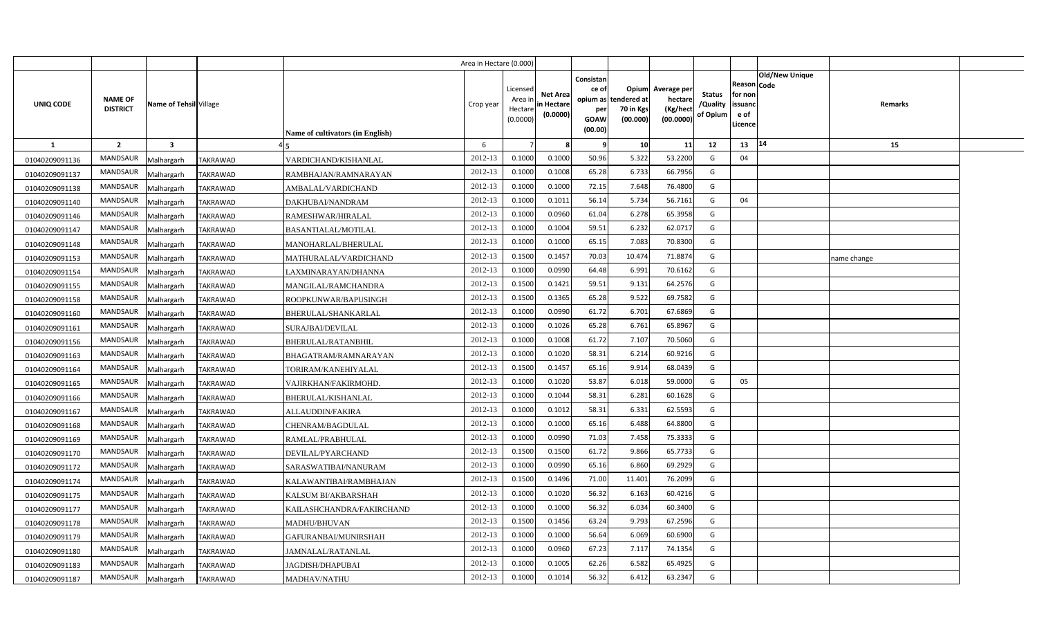|                |                                   |                         |                 |                                         | Area in Hectare (0.000) |                                            |                                           |                                                                 |                                               |                                                 |                                       |                                                             |                       |             |  |
|----------------|-----------------------------------|-------------------------|-----------------|-----------------------------------------|-------------------------|--------------------------------------------|-------------------------------------------|-----------------------------------------------------------------|-----------------------------------------------|-------------------------------------------------|---------------------------------------|-------------------------------------------------------------|-----------------------|-------------|--|
| UNIQ CODE      | <b>NAME OF</b><br><b>DISTRICT</b> | Name of Tehsil Village  |                 | <b>Name of cultivators (in English)</b> | Crop year               | Licensed<br>Area ir<br>Hectare<br>(0.0000) | <b>Net Area</b><br>in Hectare<br>(0.0000) | Consistan<br>ce of<br>opium as<br>per<br><b>GOAW</b><br>(00.00) | Opium<br>tendered at<br>70 in Kgs<br>(00.000) | Average per<br>hectare<br>(Kg/hect<br>(00.0000) | <b>Status</b><br>/Quality<br>of Opium | <b>Reason Code</b><br>for non<br>issuand<br>e of<br>Licence | <b>Old/New Unique</b> | Remarks     |  |
| <b>1</b>       | $\overline{2}$                    | $\overline{\mathbf{3}}$ |                 |                                         | 6                       |                                            |                                           |                                                                 | 10                                            | 11                                              | 12                                    | 13                                                          | 14                    | 15          |  |
| 01040209091136 | <b>MANDSAUR</b>                   | Malhargarh              | TAKRAWAD        | VARDICHAND/KISHANLAL                    | 2012-13                 | 0.1000                                     | 0.1000                                    | 50.96                                                           | 5.322                                         | 53.2200                                         | G                                     | 04                                                          |                       |             |  |
| 01040209091137 | MANDSAUR                          | Malhargarh              | TAKRAWAD        | RAMBHAJAN/RAMNARAYAN                    | 2012-13                 | 0.1000                                     | 0.1008                                    | 65.28                                                           | 6.733                                         | 66.7956                                         | G                                     |                                                             |                       |             |  |
| 01040209091138 | MANDSAUR                          | Malhargarh              | TAKRAWAD        | AMBALAL/VARDICHAND                      | 2012-13                 | 0.1000                                     | 0.1000                                    | 72.15                                                           | 7.648                                         | 76.4800                                         | G                                     |                                                             |                       |             |  |
| 01040209091140 | MANDSAUR                          | Malhargarh              | TAKRAWAD        | DAKHUBAI/NANDRAM                        | 2012-13                 | 0.1000                                     | 0.101                                     | 56.14                                                           | 5.734                                         | 56.7161                                         | G                                     | 04                                                          |                       |             |  |
| 01040209091146 | MANDSAUR                          | Malhargarh              | TAKRAWAD        | RAMESHWAR/HIRALAL                       | 2012-13                 | 0.1000                                     | 0.0960                                    | 61.04                                                           | 6.278                                         | 65.3958                                         | G                                     |                                                             |                       |             |  |
| 01040209091147 | <b>MANDSAUR</b>                   | Malhargarh              | TAKRAWAD        | BASANTIALAL/MOTILAL                     | 2012-13                 | 0.100                                      | 0.1004                                    | 59.51                                                           | 6.232                                         | 62.0717                                         | G                                     |                                                             |                       |             |  |
| 01040209091148 | MANDSAUR                          | Malhargarh              | <b>TAKRAWAD</b> | MANOHARLAL/BHERULAL                     | 2012-13                 | 0.100                                      | 0.1000                                    | 65.15                                                           | 7.083                                         | 70.8300                                         | G                                     |                                                             |                       |             |  |
| 01040209091153 | <b>MANDSAUR</b>                   | Malhargarh              | <b>TAKRAWAD</b> | MATHURALAL/VARDICHAND                   | 2012-13                 | 0.1500                                     | 0.1457                                    | 70.03                                                           | 10.474                                        | 71.8874                                         | G                                     |                                                             |                       | name change |  |
| 01040209091154 | MANDSAUR                          | Malhargarh              | <b>TAKRAWAD</b> | LAXMINARAYAN/DHANNA                     | 2012-13                 | 0.1000                                     | 0.0990                                    | 64.48                                                           | 6.991                                         | 70.6162                                         | G                                     |                                                             |                       |             |  |
| 01040209091155 | <b>MANDSAUR</b>                   | Malhargarh              | <b>TAKRAWAD</b> | MANGILAL/RAMCHANDRA                     | 2012-13                 | 0.1500                                     | 0.1421                                    | 59.51                                                           | 9.131                                         | 64.2576                                         | G                                     |                                                             |                       |             |  |
| 01040209091158 | <b>MANDSAUR</b>                   | Malhargarh              | <b>TAKRAWAD</b> | ROOPKUNWAR/BAPUSINGH                    | 2012-13                 | 0.1500                                     | 0.1365                                    | 65.28                                                           | 9.522                                         | 69.7582                                         | G                                     |                                                             |                       |             |  |
| 01040209091160 | <b>MANDSAUR</b>                   | Malhargarh              | <b>TAKRAWAD</b> | BHERULAL/SHANKARLAL                     | 2012-13                 | 0.1000                                     | 0.0990                                    | 61.72                                                           | 6.701                                         | 67.6869                                         | G                                     |                                                             |                       |             |  |
| 01040209091161 | MANDSAUR                          | Malhargarh              | TAKRAWAD        | SURAJBAI/DEVILAL                        | 2012-13                 | 0.1000                                     | 0.1026                                    | 65.28                                                           | 6.761                                         | 65.8967                                         | G                                     |                                                             |                       |             |  |
| 01040209091156 | <b>MANDSAUR</b>                   | Malhargarh              | TAKRAWAD        | BHERULAL/RATANBHIL                      | 2012-13                 | 0.1000                                     | 0.1008                                    | 61.72                                                           | 7.107                                         | 70.5060                                         | G                                     |                                                             |                       |             |  |
| 01040209091163 | <b>MANDSAUR</b>                   | Malhargarh              | TAKRAWAD        | BHAGATRAM/RAMNARAYAN                    | 2012-13                 | 0.1000                                     | 0.1020                                    | 58.31                                                           | 6.214                                         | 60.9216                                         | G                                     |                                                             |                       |             |  |
| 01040209091164 | <b>MANDSAUR</b>                   | Malhargarh              | TAKRAWAD        | TORIRAM/KANEHIYALAL                     | 2012-13                 | 0.1500                                     | 0.1457                                    | 65.16                                                           | 9.914                                         | 68.0439                                         | G                                     |                                                             |                       |             |  |
| 01040209091165 | <b>MANDSAUR</b>                   | Malhargarh              | TAKRAWAD        | VAJIRKHAN/FAKIRMOHD.                    | 2012-13                 | 0.1000                                     | 0.1020                                    | 53.87                                                           | 6.018                                         | 59.0000                                         | G                                     | 05                                                          |                       |             |  |
| 01040209091166 | MANDSAUR                          | Malhargarh              | TAKRAWAD        | BHERULAL/KISHANLAL                      | 2012-13                 | 0.1000                                     | 0.1044                                    | 58.31                                                           | 6.281                                         | 60.1628                                         | G                                     |                                                             |                       |             |  |
| 01040209091167 | <b>MANDSAUR</b>                   | Malhargarh              | TAKRAWAD        | ALLAUDDIN/FAKIRA                        | 2012-13                 | 0.1000                                     | 0.1012                                    | 58.31                                                           | 6.331                                         | 62.5593                                         | G                                     |                                                             |                       |             |  |
| 01040209091168 | <b>MANDSAUR</b>                   | Malhargarh              | <b>TAKRAWAD</b> | CHENRAM/BAGDULAL                        | 2012-13                 | 0.1000                                     | 0.1000                                    | 65.16                                                           | 6.488                                         | 64.8800                                         | G                                     |                                                             |                       |             |  |
| 01040209091169 | MANDSAUR                          | Malhargarh              | TAKRAWAD        | RAMLAL/PRABHULAL                        | 2012-13                 | 0.1000                                     | 0.0990                                    | 71.03                                                           | 7.458                                         | 75.3333                                         | G                                     |                                                             |                       |             |  |
| 01040209091170 | <b>MANDSAUR</b>                   | Malhargarh              | TAKRAWAD        | DEVILAL/PYARCHAND                       | 2012-13                 | 0.1500                                     | 0.1500                                    | 61.72                                                           | 9.866                                         | 65.7733                                         | G                                     |                                                             |                       |             |  |
| 01040209091172 | <b>MANDSAUR</b>                   | Malhargarh              | TAKRAWAD        | SARASWATIBAI/NANURAM                    | 2012-13                 | 0.1000                                     | 0.0990                                    | 65.16                                                           | 6.860                                         | 69.2929                                         | G                                     |                                                             |                       |             |  |
| 01040209091174 | <b>MANDSAUR</b>                   | Malhargarh              | TAKRAWAD        | KALAWANTIBAI/RAMBHAJAN                  | 2012-13                 | 0.1500                                     | 0.1496                                    | 71.00                                                           | 11.401                                        | 76.2099                                         | G                                     |                                                             |                       |             |  |
| 01040209091175 | <b>MANDSAUR</b>                   | Malhargarh              | TAKRAWAD        | KALSUM BI/AKBARSHAH                     | 2012-13                 | 0.1000                                     | 0.1020                                    | 56.32                                                           | 6.163                                         | 60.4216                                         | G                                     |                                                             |                       |             |  |
| 01040209091177 | <b>MANDSAUR</b>                   | Malhargarh              | TAKRAWAD        | KAILASHCHANDRA/FAKIRCHAND               | 2012-13                 | 0.1000                                     | 0.1000                                    | 56.32                                                           | 6.034                                         | 60.3400                                         | G                                     |                                                             |                       |             |  |
| 01040209091178 | MANDSAUR                          | Malhargarh              | TAKRAWAD        | <b>MADHU/BHUVAN</b>                     | 2012-13                 | 0.1500                                     | 0.1456                                    | 63.24                                                           | 9.793                                         | 67.2596                                         | G                                     |                                                             |                       |             |  |
| 01040209091179 | <b>MANDSAUR</b>                   | Malhargarh              | TAKRAWAD        | GAFURANBAI/MUNIRSHAH                    | 2012-13                 | 0.1000                                     | 0.1000                                    | 56.64                                                           | 6.069                                         | 60.6900                                         | G                                     |                                                             |                       |             |  |
| 01040209091180 | MANDSAUR                          | Malhargarh              | TAKRAWAD        | JAMNALAL/RATANLAL                       | 2012-13                 | 0.1000                                     | 0.0960                                    | 67.23                                                           | 7.117                                         | 74.1354                                         | G                                     |                                                             |                       |             |  |
| 01040209091183 | <b>MANDSAUR</b>                   | Malhargarh              | TAKRAWAD        | JAGDISH/DHAPUBAI                        | 2012-13                 | 0.1000                                     | 0.1005                                    | 62.26                                                           | 6.582                                         | 65.4925                                         | G                                     |                                                             |                       |             |  |
| 01040209091187 | MANDSAUR                          | Malhargarh              | <b>TAKRAWAD</b> | MADHAV/NATHU                            | 2012-13                 | 0.1000                                     | 0.1014                                    | 56.32                                                           | 6.412                                         | 63.2347                                         | G                                     |                                                             |                       |             |  |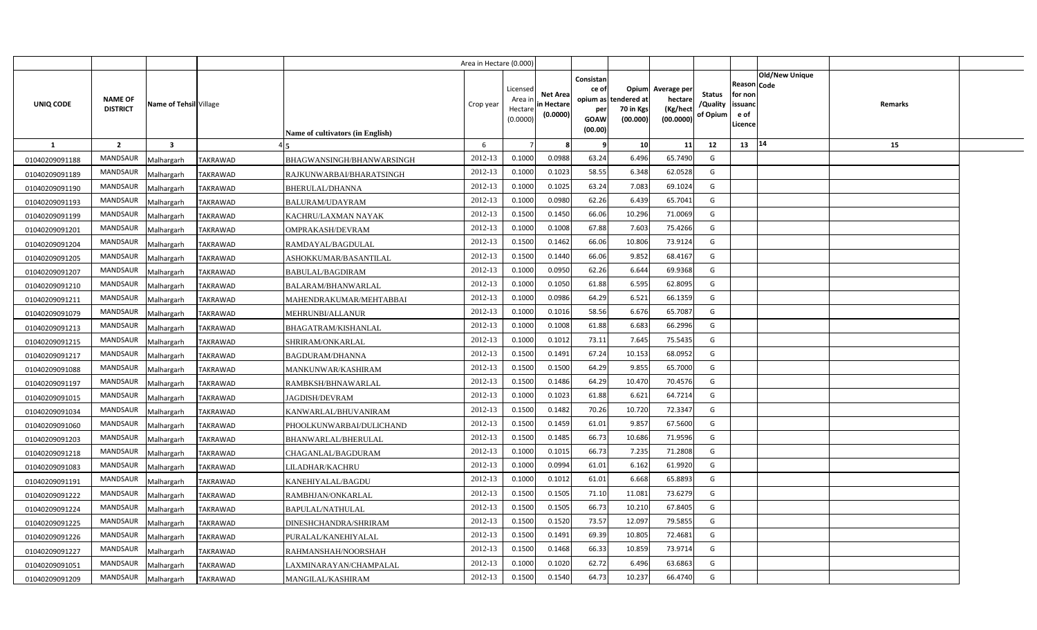|                |                                                             |                 |                                  | Area in Hectare (0.000) |                                            |                                           |                                                     |                                                        |                                                 |                                       |                                                                               |         |  |
|----------------|-------------------------------------------------------------|-----------------|----------------------------------|-------------------------|--------------------------------------------|-------------------------------------------|-----------------------------------------------------|--------------------------------------------------------|-------------------------------------------------|---------------------------------------|-------------------------------------------------------------------------------|---------|--|
| UNIQ CODE      | <b>NAME OF</b><br>Name of Tehsil Village<br><b>DISTRICT</b> |                 | Name of cultivators (in English) | Crop year               | Licensed<br>Area ir<br>Hectare<br>(0.0000) | <b>Net Area</b><br>in Hectare<br>(0.0000) | Consistan<br>ce of<br>per<br><b>GOAW</b><br>(00.00) | Opium<br>opium as tendered at<br>70 in Kgs<br>(00.000) | Average per<br>hectare<br>(Kg/hect<br>(00.0000) | <b>Status</b><br>/Quality<br>of Opium | <b>Old/New Unique</b><br>Reason Code<br>for non<br>issuanc<br>e of<br>.icence | Remarks |  |
| <b>1</b>       | $\overline{2}$<br>$\overline{\mathbf{3}}$                   |                 |                                  | 6                       |                                            |                                           | -9                                                  | 10                                                     | 11                                              | 12                                    | 14<br>13                                                                      | 15      |  |
| 01040209091188 | <b>MANDSAUR</b><br>Malhargarh                               | <b>TAKRAWAD</b> | BHAGWANSINGH/BHANWARSINGH        | 2012-13                 | 0.1000                                     | 0.0988                                    | 63.24                                               | 6.496                                                  | 65.7490                                         | G                                     |                                                                               |         |  |
| 01040209091189 | <b>MANDSAUR</b><br>Malhargarh                               | TAKRAWAD        | RAJKUNWARBAI/BHARATSINGH         | 2012-13                 | 0.1000                                     | 0.1023                                    | 58.55                                               | 6.348                                                  | 62.0528                                         | G                                     |                                                                               |         |  |
| 01040209091190 | MANDSAUR<br>Malhargarh                                      | TAKRAWAD        | BHERULAL/DHANNA                  | 2012-13                 | 0.1000                                     | 0.1025                                    | 63.24                                               | 7.083                                                  | 69.1024                                         | G                                     |                                                                               |         |  |
| 01040209091193 | MANDSAUR<br>Malhargarh                                      | TAKRAWAD        | BALURAM/UDAYRAM                  | 2012-13                 | 0.1000                                     | 0.0980                                    | 62.26                                               | 6.439                                                  | 65.7041                                         | G                                     |                                                                               |         |  |
| 01040209091199 | MANDSAUR<br>Malhargarh                                      | <b>TAKRAWAD</b> | KACHRU/LAXMAN NAYAK              | 2012-13                 | 0.1500                                     | 0.1450                                    | 66.06                                               | 10.296                                                 | 71.0069                                         | G                                     |                                                                               |         |  |
| 01040209091201 | <b>MANDSAUR</b><br>Malhargarh                               | <b>TAKRAWAD</b> | OMPRAKASH/DEVRAM                 | 2012-13                 | 0.1000                                     | 0.1008                                    | 67.88                                               | 7.603                                                  | 75.4266                                         | G                                     |                                                                               |         |  |
| 01040209091204 | MANDSAUR<br>Malhargarh                                      | TAKRAWAD        | RAMDAYAL/BAGDULAL                | 2012-13                 | 0.1500                                     | 0.1462                                    | 66.06                                               | 10.806                                                 | 73.9124                                         | G                                     |                                                                               |         |  |
| 01040209091205 | <b>MANDSAUR</b><br>Malhargarh                               | <b>TAKRAWAD</b> | ASHOKKUMAR/BASANTILAL            | 2012-13                 | 0.1500                                     | 0.1440                                    | 66.06                                               | 9.852                                                  | 68.4167                                         | G                                     |                                                                               |         |  |
| 01040209091207 | MANDSAUR<br>Malhargarh                                      | TAKRAWAD        | BABULAL/BAGDIRAM                 | 2012-13                 | 0.1000                                     | 0.095                                     | 62.26                                               | 6.644                                                  | 69.9368                                         | G                                     |                                                                               |         |  |
| 01040209091210 | MANDSAUR<br>Malhargarh                                      | <b>TAKRAWAD</b> | BALARAM/BHANWARLAL               | 2012-13                 | 0.1000                                     | 0.1050                                    | 61.88                                               | 6.595                                                  | 62.8095                                         | G                                     |                                                                               |         |  |
| 01040209091211 | <b>MANDSAUR</b><br>Malhargarh                               | TAKRAWAD        | MAHENDRAKUMAR/MEHTABBAI          | 2012-13                 | 0.1000                                     | 0.0986                                    | 64.29                                               | 6.521                                                  | 66.1359                                         | G                                     |                                                                               |         |  |
| 01040209091079 | MANDSAUR<br>Malhargarh                                      | <b>TAKRAWAD</b> | MEHRUNBI/ALLANUR                 | 2012-13                 | 0.1000                                     | 0.1016                                    | 58.56                                               | 6.676                                                  | 65.708                                          | G                                     |                                                                               |         |  |
| 01040209091213 | MANDSAUR<br>Malhargarh                                      | <b>TAKRAWAD</b> | BHAGATRAM/KISHANLAL              | 2012-13                 | 0.1000                                     | 0.1008                                    | 61.88                                               | 6.683                                                  | 66.2996                                         | G                                     |                                                                               |         |  |
| 01040209091215 | <b>MANDSAUR</b><br>Malhargarh                               | TAKRAWAD        | SHRIRAM/ONKARLAL                 | 2012-13                 | 0.1000                                     | 0.1012                                    | 73.11                                               | 7.645                                                  | 75.5435                                         | G                                     |                                                                               |         |  |
| 01040209091217 | <b>MANDSAUR</b><br>Malhargarh                               | TAKRAWAD        | <b>BAGDURAM/DHANNA</b>           | 2012-13                 | 0.1500                                     | 0.1491                                    | 67.24                                               | 10.153                                                 | 68.0952                                         | G                                     |                                                                               |         |  |
| 01040209091088 | <b>MANDSAUR</b><br>Malhargarh                               | TAKRAWAD        | <b>MANKUNWAR/KASHIRAM</b>        | 2012-13                 | 0.1500                                     | 0.1500                                    | 64.29                                               | 9.855                                                  | 65.7000                                         | G                                     |                                                                               |         |  |
| 01040209091197 | <b>MANDSAUR</b><br>Malhargarh                               | TAKRAWAD        | RAMBKSH/BHNAWARLAL               | 2012-13                 | 0.1500                                     | 0.1486                                    | 64.29                                               | 10.470                                                 | 70.4576                                         | G                                     |                                                                               |         |  |
| 01040209091015 | <b>MANDSAUR</b><br>Malhargarh                               | TAKRAWAD        | <b>JAGDISH/DEVRAM</b>            | 2012-13                 | 0.1000                                     | 0.1023                                    | 61.88                                               | 6.621                                                  | 64.7214                                         | G                                     |                                                                               |         |  |
| 01040209091034 | <b>MANDSAUR</b><br>Malhargarh                               | TAKRAWAD        | KANWARLAL/BHUVANIRAM             | 2012-13                 | 0.1500                                     | 0.1482                                    | 70.26                                               | 10.720                                                 | 72.3347                                         | G                                     |                                                                               |         |  |
| 01040209091060 | <b>MANDSAUR</b><br>Malhargarh                               | TAKRAWAD        | PHOOLKUNWARBAI/DULICHAND         | 2012-13                 | 0.1500                                     | 0.1459                                    | 61.01                                               | 9.857                                                  | 67.5600                                         | G                                     |                                                                               |         |  |
| 01040209091203 | <b>MANDSAUR</b><br>Malhargarh                               | TAKRAWAD        | BHANWARLAL/BHERULAL              | 2012-13                 | 0.1500                                     | 0.1485                                    | 66.73                                               | 10.686                                                 | 71.9596                                         | G                                     |                                                                               |         |  |
| 01040209091218 | <b>MANDSAUR</b><br>Malhargarh                               | TAKRAWAD        | CHAGANLAL/BAGDURAM               | 2012-13                 | 0.1000                                     | 0.1015                                    | 66.73                                               | 7.235                                                  | 71.2808                                         | G                                     |                                                                               |         |  |
| 01040209091083 | <b>MANDSAUR</b><br>Malhargarh                               | TAKRAWAD        | LILADHAR/KACHRU                  | 2012-13                 | 0.1000                                     | 0.0994                                    | 61.01                                               | 6.162                                                  | 61.9920                                         | G                                     |                                                                               |         |  |
| 01040209091191 | <b>MANDSAUR</b><br>Malhargarh                               | TAKRAWAD        | KANEHIYALAL/BAGDU                | 2012-13                 | 0.1000                                     | 0.1012                                    | 61.01                                               | 6.668                                                  | 65.8893                                         | G                                     |                                                                               |         |  |
| 01040209091222 | <b>MANDSAUR</b><br>Malhargarh                               | TAKRAWAD        | RAMBHJAN/ONKARLAL                | 2012-13                 | 0.1500                                     | 0.1505                                    | 71.10                                               | 11.081                                                 | 73.6279                                         | G                                     |                                                                               |         |  |
| 01040209091224 | <b>MANDSAUR</b><br>Malhargarh                               | TAKRAWAD        | BAPULAL/NATHULAL                 | 2012-13                 | 0.1500                                     | 0.1505                                    | 66.73                                               | 10.210                                                 | 67.8405                                         | G                                     |                                                                               |         |  |
| 01040209091225 | <b>MANDSAUR</b><br>Malhargarh                               | TAKRAWAD        | DINESHCHANDRA/SHRIRAM            | 2012-13                 | 0.1500                                     | 0.1520                                    | 73.57                                               | 12.097                                                 | 79.5855                                         | G                                     |                                                                               |         |  |
| 01040209091226 | <b>MANDSAUR</b><br>Malhargarh                               | TAKRAWAD        | PURALAL/KANEHIYALAL              | 2012-13                 | 0.1500                                     | 0.1491                                    | 69.39                                               | 10.805                                                 | 72.4681                                         | G                                     |                                                                               |         |  |
| 01040209091227 | MANDSAUR<br>Malhargarh                                      | TAKRAWAD        | RAHMANSHAH/NOORSHAH              | 2012-13                 | 0.1500                                     | 0.1468                                    | 66.33                                               | 10.859                                                 | 73.9714                                         | G                                     |                                                                               |         |  |
| 01040209091051 | <b>MANDSAUR</b><br>Malhargarh                               | TAKRAWAD        | LAXMINARAYAN/CHAMPALAL           | 2012-13                 | 0.1000                                     | 0.1020                                    | 62.72                                               | 6.496                                                  | 63.6863                                         | G                                     |                                                                               |         |  |
| 01040209091209 | <b>MANDSAUR</b><br>Malhargarh                               | <b>TAKRAWAD</b> | MANGILAL/KASHIRAM                | 2012-13                 | 0.1500                                     | 0.154                                     | 64.73                                               | 10.237                                                 | 66.4740                                         | G                                     |                                                                               |         |  |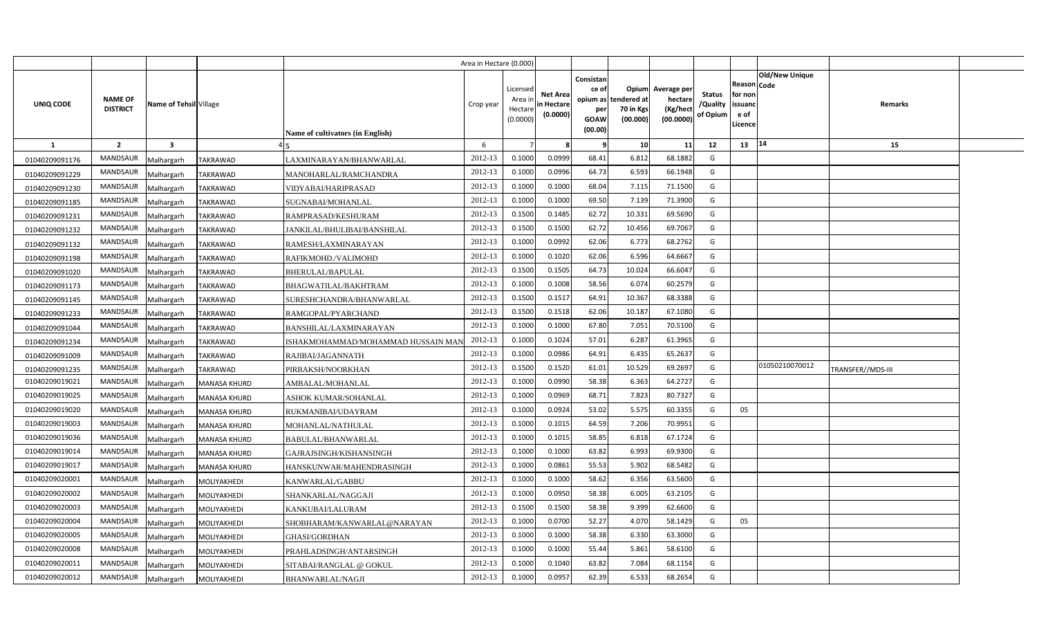|                |                                   |                         |                 |                                         | Area in Hectare (0.000) |                                            |                                           |                                                                 |                                               |                                                 |                                       |                                                 |                               |                   |  |
|----------------|-----------------------------------|-------------------------|-----------------|-----------------------------------------|-------------------------|--------------------------------------------|-------------------------------------------|-----------------------------------------------------------------|-----------------------------------------------|-------------------------------------------------|---------------------------------------|-------------------------------------------------|-------------------------------|-------------------|--|
| UNIQ CODE      | <b>NAME OF</b><br><b>DISTRICT</b> | Name of Tehsil Village  |                 | <b>Name of cultivators (in English)</b> | Crop year               | Licensed<br>Area ir<br>Hectare<br>(0.0000) | <b>Net Area</b><br>in Hectare<br>(0.0000) | Consistan<br>ce of<br>opium as<br>per<br><b>GOAW</b><br>(00.00) | Opium<br>tendered at<br>70 in Kgs<br>(00.000) | Average per<br>hectare<br>(Kg/hect<br>(00.0000) | <b>Status</b><br>/Quality<br>of Opium | Reason<br>for non<br>issuand<br>e of<br>Licence | <b>Old/New Unique</b><br>Code | Remarks           |  |
| -1             | $\overline{2}$                    | $\overline{\mathbf{3}}$ |                 |                                         | 6                       |                                            |                                           | - 9                                                             | 10                                            | 11                                              | 12                                    | 13                                              | 14                            | 15                |  |
| 01040209091176 | <b>MANDSAUR</b>                   | Malhargarh              | TAKRAWAD        | LAXMINARAYAN/BHANWARLAL                 | 2012-13                 | 0.1000                                     | 0.0999                                    | 68.41                                                           | 6.812                                         | 68.1882                                         | G                                     |                                                 |                               |                   |  |
| 01040209091229 | <b>MANDSAUR</b>                   | Malhargarh              | TAKRAWAD        | MANOHARLAL/RAMCHANDRA                   | 2012-13                 | 0.1000                                     | 0.0996                                    | 64.73                                                           | 6.593                                         | 66.1948                                         | G                                     |                                                 |                               |                   |  |
| 01040209091230 | MANDSAUR                          | Malhargarh              | TAKRAWAD        | VIDYABAI/HARIPRASAD                     | 2012-13                 | 0.100                                      | 0.1000                                    | 68.04                                                           | 7.115                                         | 71.1500                                         | G                                     |                                                 |                               |                   |  |
| 01040209091185 | <b>MANDSAUR</b>                   | Malhargarh              | TAKRAWAD        | SUGNABAI/MOHANLAL                       | 2012-13                 | 0.100                                      | 0.1000                                    | 69.50                                                           | 7.139                                         | 71.3900                                         | G                                     |                                                 |                               |                   |  |
| 01040209091231 | MANDSAUR                          | Malhargarh              | <b>TAKRAWAD</b> | RAMPRASAD/KESHURAM                      | 2012-13                 | 0.1500                                     | 0.1485                                    | 62.72                                                           | 10.331                                        | 69.5690                                         | G                                     |                                                 |                               |                   |  |
| 01040209091232 | MANDSAUR                          | Malhargarh              | <b>TAKRAWAD</b> | JANKILAL/BHULIBAI/BANSHILAL             | 2012-13                 | 0.1500                                     | 0.1500                                    | 62.72                                                           | 10.456                                        | 69.7067                                         | G                                     |                                                 |                               |                   |  |
| 01040209091132 | <b>MANDSAUR</b>                   | Malhargarh              | <b>TAKRAWAD</b> | RAMESH/LAXMINARAYAN                     | 2012-13                 | 0.1000                                     | 0.0992                                    | 62.06                                                           | 6.773                                         | 68.2762                                         | G                                     |                                                 |                               |                   |  |
| 01040209091198 | MANDSAUR                          | Malhargarh              | <b>TAKRAWAD</b> | RAFIKMOHD./VALIMOHD                     | 2012-13                 | 0.1000                                     | 0.1020                                    | 62.06                                                           | 6.596                                         | 64.6667                                         | G                                     |                                                 |                               |                   |  |
| 01040209091020 | <b>MANDSAUR</b>                   | Malhargarh              | TAKRAWAD        | BHERULAL/BAPULAL                        | 2012-13                 | 0.1500                                     | 0.1505                                    | 64.73                                                           | 10.024                                        | 66.6047                                         | G                                     |                                                 |                               |                   |  |
| 01040209091173 | MANDSAUR                          | Malhargarh              | TAKRAWAD        | BHAGWATILAL/BAKHTRAM                    | 2012-13                 | 0.1000                                     | 0.1008                                    | 58.56                                                           | 6.074                                         | 60.2579                                         | G                                     |                                                 |                               |                   |  |
| 01040209091145 | <b>MANDSAUR</b>                   | Malhargarh              | TAKRAWAD        | SURESHCHANDRA/BHANWARLAL                | 2012-13                 | 0.1500                                     | 0.151                                     | 64.91                                                           | 10.367                                        | 68.3388                                         | G                                     |                                                 |                               |                   |  |
| 01040209091233 | <b>MANDSAUR</b>                   | Malhargarh              | TAKRAWAD        | RAMGOPAL/PYARCHAND                      | 2012-13                 | 0.1500                                     | 0.1518                                    | 62.06                                                           | 10.187                                        | 67.1080                                         | G                                     |                                                 |                               |                   |  |
| 01040209091044 | MANDSAUR                          | Malhargarh              | TAKRAWAD        | BANSHILAL/LAXMINARAYAN                  | 2012-13                 | 0.1000                                     | 0.1000                                    | 67.80                                                           | 7.051                                         | 70.5100                                         | G                                     |                                                 |                               |                   |  |
| 01040209091234 | <b>MANDSAUR</b>                   | Malhargarh              | TAKRAWAD        | ISHAKMOHAMMAD/MOHAMMAD HUSSAIN MAN      | 2012-13                 | 0.1000                                     | 0.1024                                    | 57.01                                                           | 6.287                                         | 61.3965                                         | G                                     |                                                 |                               |                   |  |
| 01040209091009 | <b>MANDSAUR</b>                   | Malhargarh              | TAKRAWAD        | RAJIBAI/JAGANNATH                       | 2012-13                 | 0.1000                                     | 0.0986                                    | 64.91                                                           | 6.435                                         | 65.2637                                         | G                                     |                                                 |                               |                   |  |
| 01040209091235 | <b>MANDSAUR</b>                   | Malhargarh              | TAKRAWAD        | PIRBAKSH/NOORKHAN                       | 2012-13                 | 0.1500                                     | 0.1520                                    | 61.01                                                           | 10.529                                        | 69.2697                                         | G                                     |                                                 | 01050210070012                | TRANSFER//MDS-III |  |
| 01040209019021 | <b>MANDSAUR</b>                   | Malhargarh              | MANASA KHURD    | AMBALAL/MOHANLAL                        | 2012-13                 | 0.1000                                     | 0.0990                                    | 58.38                                                           | 6.363                                         | 64.2727                                         | G                                     |                                                 |                               |                   |  |
| 01040209019025 | MANDSAUR                          | Malhargarh              | MANASA KHURD    | ASHOK KUMAR/SOHANLAL                    | 2012-13                 | 0.1000                                     | 0.0969                                    | 68.71                                                           | 7.823                                         | 80.7327                                         | G                                     |                                                 |                               |                   |  |
| 01040209019020 | <b>MANDSAUR</b>                   | Malhargarh              | MANASA KHURD    | RUKMANIBAI/UDAYRAM                      | 2012-13                 | 0.1000                                     | 0.0924                                    | 53.02                                                           | 5.575                                         | 60.3355                                         | G                                     | 05                                              |                               |                   |  |
| 01040209019003 | <b>MANDSAUR</b>                   | Malhargarh              | MANASA KHURD    | MOHANLAL/NATHULAL                       | 2012-13                 | 0.1000                                     | 0.101!                                    | 64.59                                                           | 7.206                                         | 70.9951                                         | G                                     |                                                 |                               |                   |  |
| 01040209019036 | <b>MANDSAUR</b>                   | Malhargarh              | MANASA KHURD    | BABULAL/BHANWARLAL                      | 2012-13                 | 0.1000                                     | 0.101!                                    | 58.85                                                           | 6.818                                         | 67.1724                                         | G                                     |                                                 |                               |                   |  |
| 01040209019014 | <b>MANDSAUR</b>                   | Malhargarh              | MANASA KHURD    | GAJRAJSINGH/KISHANSINGH                 | 2012-13                 | 0.1000                                     | 0.1000                                    | 63.82                                                           | 6.993                                         | 69.9300                                         | G                                     |                                                 |                               |                   |  |
| 01040209019017 | MANDSAUR                          | Malhargarh              | MANASA KHURD    | HANSKUNWAR/MAHENDRASINGH                | 2012-13                 | 0.1000                                     | 0.0861                                    | 55.53                                                           | 5.902                                         | 68.5482                                         | G                                     |                                                 |                               |                   |  |
| 01040209020001 | MANDSAUR                          | Malhargarh              | MOLIYAKHEDI     | KANWARLAL/GABBU                         | 2012-13                 | 0.1000                                     | 0.1000                                    | 58.62                                                           | 6.356                                         | 63.5600                                         | G                                     |                                                 |                               |                   |  |
| 01040209020002 | MANDSAUR                          | Malhargarh              | MOLIYAKHEDI     | SHANKARLAL/NAGGAJI                      | 2012-13                 | 0.1000                                     | 0.0950                                    | 58.38                                                           | 6.005                                         | 63.2105                                         | G                                     |                                                 |                               |                   |  |
| 01040209020003 | MANDSAUR                          | Malhargarh              | MOLIYAKHEDI     | KANKUBAI/LALURAM                        | 2012-13                 | 0.1500                                     | 0.1500                                    | 58.38                                                           | 9.399                                         | 62.6600                                         | G                                     |                                                 |                               |                   |  |
| 01040209020004 | MANDSAUR                          | Malhargarh              | MOLIYAKHEDI     | SHOBHARAM/KANWARLAL@NARAYAN             | 2012-13                 | 0.1000                                     | 0.0700                                    | 52.27                                                           | 4.070                                         | 58.1429                                         | G                                     | 05                                              |                               |                   |  |
| 01040209020005 | MANDSAUR                          | Malhargarh              | MOLIYAKHEDI     | <b>GHASI/GORDHAN</b>                    | 2012-13                 | 0.1000                                     | 0.1000                                    | 58.38                                                           | 6.330                                         | 63.3000                                         | G                                     |                                                 |                               |                   |  |
| 01040209020008 | <b>MANDSAUR</b>                   | Malhargarh              | MOLIYAKHEDI     | PRAHLADSINGH/ANTARSINGH                 | 2012-13                 | 0.1000                                     | 0.1000                                    | 55.44                                                           | 5.861                                         | 58.6100                                         | G                                     |                                                 |                               |                   |  |
| 01040209020011 | <b>MANDSAUR</b>                   | Malhargarh              | MOLIYAKHEDI     | SITABAI/RANGLAL @ GOKUL                 | 2012-13                 | 0.100                                      | 0.1040                                    | 63.82                                                           | 7.084                                         | 68.1154                                         | G                                     |                                                 |                               |                   |  |
| 01040209020012 | MANDSAUR                          | Malhargarh              | MOLIYAKHEDI     | <b>BHANWARLAL/NAGJI</b>                 | 2012-13                 | 0.1000                                     | 0.0957                                    | 62.39                                                           | 6.533                                         | 68.2654                                         | G                                     |                                                 |                               |                   |  |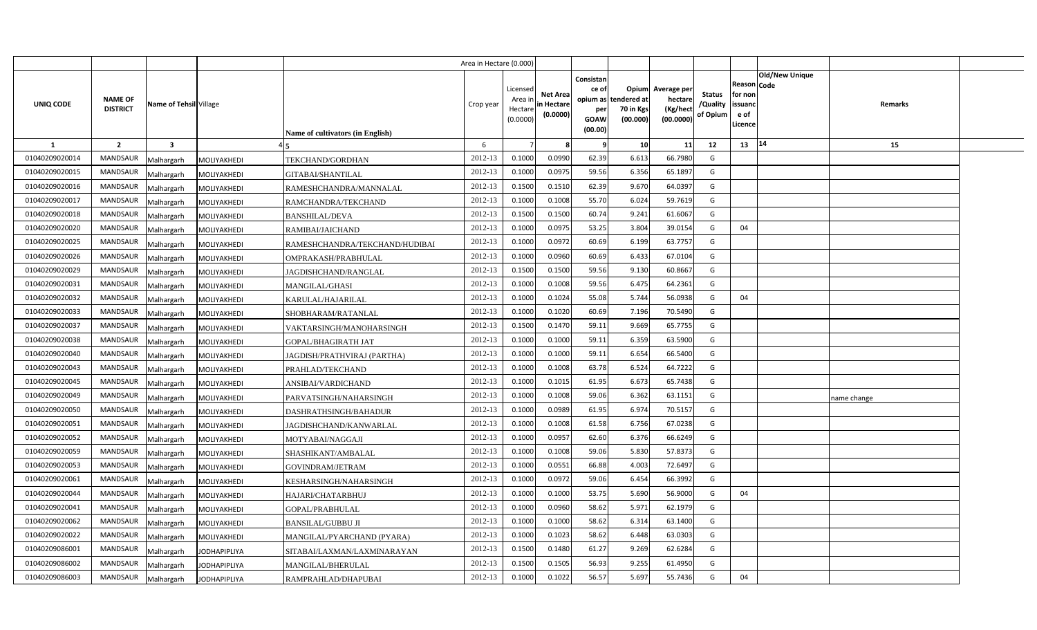|                |                                   |                                   |                                  | Area in Hectare (0.000) |                                            |                                           |                                                                             |                                |                                                 |                                |                                                      |                       |             |  |
|----------------|-----------------------------------|-----------------------------------|----------------------------------|-------------------------|--------------------------------------------|-------------------------------------------|-----------------------------------------------------------------------------|--------------------------------|-------------------------------------------------|--------------------------------|------------------------------------------------------|-----------------------|-------------|--|
| UNIQ CODE      | <b>NAME OF</b><br><b>DISTRICT</b> | Name of Tehsil Village            | Name of cultivators (in English) | Crop year               | Licensed<br>Area ir<br>Hectare<br>(0.0000) | <b>Net Area</b><br>in Hectare<br>(0.0000) | Consistan<br>ce of<br>opium as tendered at<br>per<br><b>GOAW</b><br>(00.00) | Opium<br>70 in Kgs<br>(00.000) | Average per<br>hectare<br>(Kg/hect<br>(00.0000) | Status<br>/Quality<br>of Opium | Reason Code<br>for non<br>issuanc<br>e of<br>Licence | <b>Old/New Unique</b> | Remarks     |  |
| $\mathbf{1}$   | $\overline{2}$                    | $\overline{\mathbf{3}}$           |                                  | 6                       |                                            |                                           | -9                                                                          | 10                             | 11                                              | 12                             | 13                                                   | 14                    | 15          |  |
| 01040209020014 | <b>MANDSAUR</b>                   | MOLIYAKHEDI<br>Malhargarh         | TEKCHAND/GORDHAN                 | 2012-13                 | 0.1000                                     | 0.0990                                    | 62.39                                                                       | 6.613                          | 66.7980                                         | G                              |                                                      |                       |             |  |
| 01040209020015 | MANDSAUR                          | MOLIYAKHEDI<br>Malhargarh         | GITABAI/SHANTILAL                | 2012-13                 | 0.1000                                     | 0.097!                                    | 59.56                                                                       | 6.356                          | 65.1897                                         | G                              |                                                      |                       |             |  |
| 01040209020016 | MANDSAUR                          | Malhargarh<br>MOLIYAKHEDI         | RAMESHCHANDRA/MANNALAL           | 2012-13                 | 0.1500                                     | 0.1510                                    | 62.39                                                                       | 9.670                          | 64.0397                                         | G                              |                                                      |                       |             |  |
| 01040209020017 | <b>MANDSAUR</b>                   | Malhargarh<br>MOLIYAKHEDI         | RAMCHANDRA/TEKCHAND              | 2012-13                 | 0.1000                                     | 0.1008                                    | 55.70                                                                       | 6.024                          | 59.7619                                         | G                              |                                                      |                       |             |  |
| 01040209020018 | MANDSAUR                          | Malhargarh<br>MOLIYAKHEDI         | <b>BANSHILAL/DEVA</b>            | 2012-13                 | 0.1500                                     | 0.1500                                    | 60.74                                                                       | 9.241                          | 61.6067                                         | G                              |                                                      |                       |             |  |
| 01040209020020 | <b>MANDSAUR</b>                   | Malhargarh<br>MOLIYAKHEDI         | RAMIBAI/JAICHAND                 | 2012-13                 | 0.100(                                     | 0.097!                                    | 53.25                                                                       | 3.804                          | 39.0154                                         | G                              | 04                                                   |                       |             |  |
| 01040209020025 | <b>MANDSAUR</b>                   | Malhargarh<br>MOLIYAKHEDI         | RAMESHCHANDRA/TEKCHAND/HUDIBAI   | 2012-13                 | 0.1000                                     | 0.0972                                    | 60.69                                                                       | 6.199                          | 63.7757                                         | G                              |                                                      |                       |             |  |
| 01040209020026 | <b>MANDSAUR</b>                   | Malhargarh<br>MOLIYAKHEDI         | OMPRAKASH/PRABHULAL              | 2012-13                 | 0.1000                                     | 0.0960                                    | 60.69                                                                       | 6.433                          | 67.0104                                         | G                              |                                                      |                       |             |  |
| 01040209020029 | <b>MANDSAUR</b>                   | Malhargarh<br>MOLIYAKHEDI         | JAGDISHCHAND/RANGLAL             | 2012-13                 | 0.1500                                     | 0.1500                                    | 59.56                                                                       | 9.130                          | 60.8667                                         | G                              |                                                      |                       |             |  |
| 01040209020031 | <b>MANDSAUR</b>                   | Malhargarh<br>MOLIYAKHEDI         | <b>MANGILAL/GHASI</b>            | 2012-13                 | 0.1000                                     | 0.1008                                    | 59.56                                                                       | 6.475                          | 64.2361                                         | G                              |                                                      |                       |             |  |
| 01040209020032 | <b>MANDSAUR</b>                   | Malhargarh<br>MOLIYAKHEDI         | KARULAL/HAJARILAL                | 2012-13                 | 0.1000                                     | 0.1024                                    | 55.08                                                                       | 5.744                          | 56.0938                                         | G                              | 04                                                   |                       |             |  |
| 01040209020033 | <b>MANDSAUR</b>                   | Malhargarh<br>MOLIYAKHEDI         | SHOBHARAM/RATANLAL               | 2012-13                 | 0.1000                                     | 0.1020                                    | 60.69                                                                       | 7.196                          | 70.5490                                         | G                              |                                                      |                       |             |  |
| 01040209020037 | <b>MANDSAUR</b>                   | Malhargarh<br>MOLIYAKHEDI         | VAKTARSINGH/MANOHARSINGH         | 2012-13                 | 0.1500                                     | 0.1470                                    | 59.11                                                                       | 9.669                          | 65.7755                                         | G                              |                                                      |                       |             |  |
| 01040209020038 | MANDSAUR                          | Malhargarh<br>MOLIYAKHEDI         | GOPAL/BHAGIRATH JAT              | 2012-13                 | 0.1000                                     | 0.1000                                    | 59.11                                                                       | 6.359                          | 63.5900                                         | G                              |                                                      |                       |             |  |
| 01040209020040 | MANDSAUR                          | Malhargarh<br>MOLIYAKHEDI         | JAGDISH/PRATHVIRAJ (PARTHA)      | 2012-13                 | 0.1000                                     | 0.1000                                    | 59.11                                                                       | 6.654                          | 66.5400                                         | G                              |                                                      |                       |             |  |
| 01040209020043 | MANDSAUR                          | Malhargarh<br>MOLIYAKHEDI         | PRAHLAD/TEKCHAND                 | 2012-13                 | 0.1000                                     | 0.1008                                    | 63.78                                                                       | 6.524                          | 64.7222                                         | G                              |                                                      |                       |             |  |
| 01040209020045 | MANDSAUR                          | Malhargarh<br>MOLIYAKHEDI         | ANSIBAI/VARDICHAND               | 2012-13                 | 0.1000                                     | 0.101!                                    | 61.95                                                                       | 6.673                          | 65.7438                                         | G                              |                                                      |                       |             |  |
| 01040209020049 | <b>MANDSAUR</b>                   | Malhargarh<br>MOLIYAKHEDI         | PARVATSINGH/NAHARSINGH           | 2012-13                 | 0.1000                                     | 0.1008                                    | 59.06                                                                       | 6.362                          | 63.1151                                         | G                              |                                                      |                       | name change |  |
| 01040209020050 | MANDSAUR                          | Malhargarh<br>MOLIYAKHEDI         | DASHRATHSINGH/BAHADUR            | 2012-13                 | 0.1000                                     | 0.0989                                    | 61.95                                                                       | 6.974                          | 70.5157                                         | G                              |                                                      |                       |             |  |
| 01040209020051 | <b>MANDSAUR</b>                   | Malhargarh<br>MOLIYAKHEDI         | JAGDISHCHAND/KANWARLAL           | 2012-13                 | 0.1000                                     | 0.1008                                    | 61.58                                                                       | 6.756                          | 67.0238                                         | G                              |                                                      |                       |             |  |
| 01040209020052 | <b>MANDSAUR</b>                   | Malhargarh<br>MOLIYAKHEDI         | MOTYABAI/NAGGAJI                 | 2012-13                 | 0.1000                                     | 0.095                                     | 62.60                                                                       | 6.376                          | 66.6249                                         | G                              |                                                      |                       |             |  |
| 01040209020059 | <b>MANDSAUR</b>                   | Malhargarh<br>MOLIYAKHEDI         | SHASHIKANT/AMBALAL               | 2012-13                 | 0.1000                                     | 0.1008                                    | 59.06                                                                       | 5.830                          | 57.8373                                         | G                              |                                                      |                       |             |  |
| 01040209020053 | <b>MANDSAUR</b>                   | Malhargarh<br>MOLIYAKHEDI         | GOVINDRAM/JETRAM                 | 2012-13                 | 0.1000                                     | 0.0551                                    | 66.88                                                                       | 4.003                          | 72.6497                                         | $\mathsf{G}$                   |                                                      |                       |             |  |
| 01040209020061 | MANDSAUR                          | Malhargarh<br>MOLIYAKHEDI         | KESHARSINGH/NAHARSINGH           | 2012-13                 | 0.1000                                     | 0.0972                                    | 59.06                                                                       | 6.454                          | 66.3992                                         | G                              |                                                      |                       |             |  |
| 01040209020044 | <b>MANDSAUR</b>                   | Malhargarh<br>MOLIYAKHEDI         | HAJARI/CHATARBHUJ                | 2012-13                 | 0.1000                                     | 0.1000                                    | 53.75                                                                       | 5.690                          | 56.9000                                         | G                              | 04                                                   |                       |             |  |
| 01040209020041 | <b>MANDSAUR</b>                   | Malhargarh<br>MOLIYAKHEDI         | GOPAL/PRABHULAL                  | 2012-13                 | 0.1000                                     | 0.0960                                    | 58.62                                                                       | 5.971                          | 62.1979                                         | G                              |                                                      |                       |             |  |
| 01040209020062 | <b>MANDSAUR</b>                   | Malhargarh<br>MOLIYAKHEDI         | BANSILAL/GUBBU JI                | 2012-13                 | 0.1000                                     | 0.1000                                    | 58.62                                                                       | 6.314                          | 63.1400                                         | G                              |                                                      |                       |             |  |
| 01040209020022 | <b>MANDSAUR</b>                   | Malhargarh<br>MOLIYAKHEDI         | MANGILAL/PYARCHAND (PYARA)       | 2012-13                 | 0.1000                                     | 0.1023                                    | 58.62                                                                       | 6.448                          | 63.0303                                         | G                              |                                                      |                       |             |  |
| 01040209086001 | <b>MANDSAUR</b>                   | Malhargarh<br><b>JODHAPIPLIYA</b> | SITABAI/LAXMAN/LAXMINARAYAN      | 2012-13                 | 0.1500                                     | 0.1480                                    | 61.27                                                                       | 9.269                          | 62.6284                                         | G                              |                                                      |                       |             |  |
| 01040209086002 | <b>MANDSAUR</b>                   | Malhargarh<br><b>JODHAPIPLIYA</b> | MANGILAL/BHERULAL                | 2012-13                 | 0.1500                                     | 0.1505                                    | 56.93                                                                       | 9.255                          | 61.4950                                         | G                              |                                                      |                       |             |  |
| 01040209086003 | <b>MANDSAUR</b>                   | Malhargarh<br><b>JODHAPIPLIYA</b> | RAMPRAHLAD/DHAPUBAI              | 2012-13                 | 0.1000                                     | 0.1022                                    | 56.57                                                                       | 5.697                          | 55.7436                                         | G                              | 04                                                   |                       |             |  |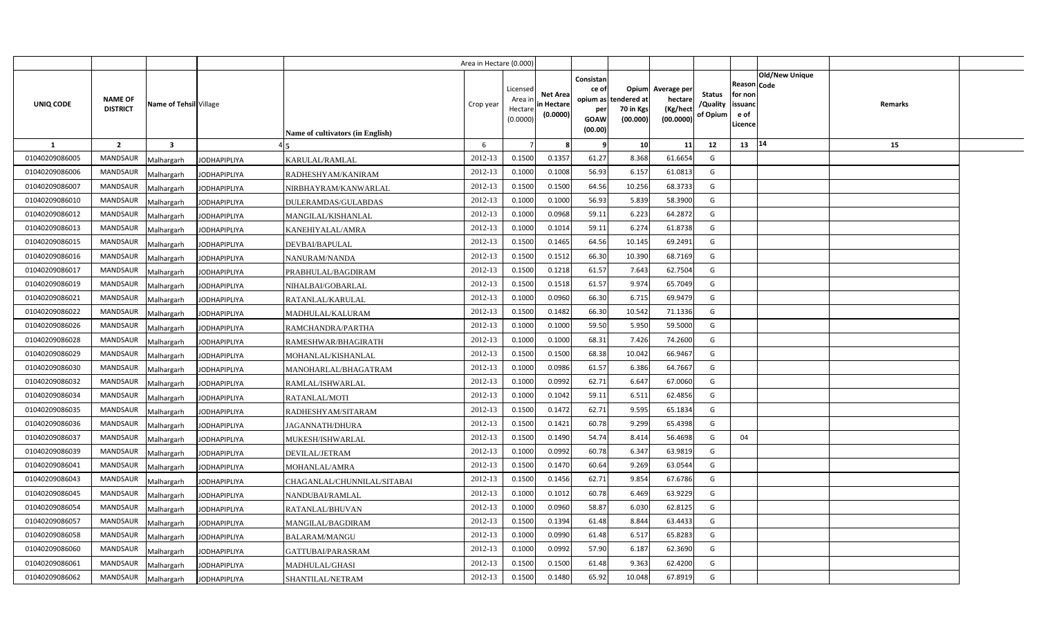|                |                                   |                                   |                                         | Area in Hectare (0.000) |                                            |                                           |                                                                             |                                |                                                 |                                       |                                                      |                |         |  |
|----------------|-----------------------------------|-----------------------------------|-----------------------------------------|-------------------------|--------------------------------------------|-------------------------------------------|-----------------------------------------------------------------------------|--------------------------------|-------------------------------------------------|---------------------------------------|------------------------------------------------------|----------------|---------|--|
| UNIQ CODE      | <b>NAME OF</b><br><b>DISTRICT</b> | Name of Tehsil Village            | <b>Name of cultivators (in English)</b> | Crop year               | Licensed<br>Area in<br>Hectare<br>(0.0000) | <b>Net Area</b><br>in Hectare<br>(0.0000) | Consistan<br>ce of<br>opium as tendered at<br>per<br><b>GOAW</b><br>(00.00) | Opium<br>70 in Kgs<br>(00.000) | Average per<br>hectare<br>(Kg/hect<br>(00.0000) | <b>Status</b><br>/Quality<br>of Opium | Reason Code<br>for non<br>issuanc<br>e of<br>Licence | Old/New Unique | Remarks |  |
| 1              | $\overline{2}$                    | $\overline{\mathbf{3}}$           |                                         | 6                       |                                            |                                           | - 9                                                                         | 10                             | 11                                              | 12                                    | 13                                                   | 14             | 15      |  |
| 01040209086005 | <b>MANDSAUR</b>                   | Malhargarh<br><b>JODHAPIPLIYA</b> | KARULAL/RAMLAL                          | 2012-13                 | 0.1500                                     | 0.1357                                    | 61.27                                                                       | 8.368                          | 61.6654                                         | G                                     |                                                      |                |         |  |
| 01040209086006 | MANDSAUR                          | Malhargarh<br><b>JODHAPIPLIYA</b> | RADHESHYAM/KANIRAM                      | 2012-13                 | 0.1000                                     | 0.1008                                    | 56.93                                                                       | 6.157                          | 61.0813                                         | G                                     |                                                      |                |         |  |
| 01040209086007 | <b>MANDSAUR</b>                   | Malhargarh<br><b>JODHAPIPLIYA</b> | NIRBHAYRAM/KANWARLAL                    | 2012-13                 | 0.1500                                     | 0.1500                                    | 64.56                                                                       | 10.256                         | 68.3733                                         | G                                     |                                                      |                |         |  |
| 01040209086010 | <b>MANDSAUR</b>                   | Malhargarh<br><b>JODHAPIPLIYA</b> | DULERAMDAS/GULABDAS                     | 2012-13                 | 0.100                                      | 0.1000                                    | 56.93                                                                       | 5.839                          | 58.3900                                         | G                                     |                                                      |                |         |  |
| 01040209086012 | <b>MANDSAUR</b>                   | Malhargarh<br><b>JODHAPIPLIYA</b> | MANGILAL/KISHANLAL                      | 2012-13                 | 0.100                                      | 0.0968                                    | 59.11                                                                       | 6.223                          | 64.2872                                         | G                                     |                                                      |                |         |  |
| 01040209086013 | <b>MANDSAUR</b>                   | Malhargarh<br><b>JODHAPIPLIYA</b> | KANEHIYALAL/AMRA                        | 2012-13                 | 0.1000                                     | 0.1014                                    | 59.11                                                                       | 6.274                          | 61.8738                                         | G                                     |                                                      |                |         |  |
| 01040209086015 | <b>MANDSAUR</b>                   | Malhargarh<br><b>JODHAPIPLIYA</b> | DEVBAI/BAPULAL                          | 2012-13                 | 0.1500                                     | 0.1465                                    | 64.56                                                                       | 10.145                         | 69.2491                                         | G                                     |                                                      |                |         |  |
| 01040209086016 | <b>MANDSAUR</b>                   | Malhargarh<br><b>JODHAPIPLIYA</b> | NANURAM/NANDA                           | 2012-13                 | 0.1500                                     | 0.151                                     | 66.30                                                                       | 10.390                         | 68.7169                                         | G                                     |                                                      |                |         |  |
| 01040209086017 | MANDSAUR                          | Malhargarh<br><b>JODHAPIPLIYA</b> | PRABHULAL/BAGDIRAM                      | 2012-13                 | 0.1500                                     | 0.1218                                    | 61.57                                                                       | 7.643                          | 62.7504                                         | G                                     |                                                      |                |         |  |
| 01040209086019 | <b>MANDSAUR</b>                   | Malhargarh<br><b>JODHAPIPLIYA</b> | NIHALBAI/GOBARLAL                       | 2012-13                 | 0.1500                                     | 0.1518                                    | 61.57                                                                       | 9.974                          | 65.7049                                         | G                                     |                                                      |                |         |  |
| 01040209086021 | <b>MANDSAUR</b>                   | Malhargarh<br><b>JODHAPIPLIYA</b> | RATANLAL/KARULAL                        | 2012-13                 | 0.1000                                     | 0.0960                                    | 66.30                                                                       | 6.715                          | 69.9479                                         | G                                     |                                                      |                |         |  |
| 01040209086022 | <b>MANDSAUR</b>                   | Malhargarh<br><b>JODHAPIPLIYA</b> | MADHULAL/KALURAM                        | 2012-13                 | 0.1500                                     | 0.1482                                    | 66.30                                                                       | 10.542                         | 71.1336                                         | G                                     |                                                      |                |         |  |
| 01040209086026 | MANDSAUR                          | Malhargarh<br><b>JODHAPIPLIYA</b> | RAMCHANDRA/PARTHA                       | 2012-13                 | 0.1000                                     | 0.1000                                    | 59.50                                                                       | 5.950                          | 59.5000                                         | G                                     |                                                      |                |         |  |
| 01040209086028 | <b>MANDSAUR</b>                   | Malhargarh<br><b>JODHAPIPLIYA</b> | RAMESHWAR/BHAGIRATH                     | 2012-13                 | 0.1000                                     | 0.1000                                    | 68.31                                                                       | 7.426                          | 74.2600                                         | G                                     |                                                      |                |         |  |
| 01040209086029 | <b>MANDSAUR</b>                   | Malhargarh<br><b>JODHAPIPLIYA</b> | MOHANLAL/KISHANLAL                      | 2012-13                 | 0.1500                                     | 0.1500                                    | 68.38                                                                       | 10.042                         | 66.9467                                         | G                                     |                                                      |                |         |  |
| 01040209086030 | MANDSAUR                          | Malhargarh<br><b>JODHAPIPLIYA</b> | MANOHARLAL/BHAGATRAM                    | 2012-13                 | 0.1000                                     | 0.0986                                    | 61.57                                                                       | 6.386                          | 64.7667                                         | G                                     |                                                      |                |         |  |
| 01040209086032 | <b>MANDSAUR</b>                   | Malhargarh<br><b>JODHAPIPLIYA</b> | RAMLAL/ISHWARLAL                        | 2012-13                 | 0.1000                                     | 0.0992                                    | 62.71                                                                       | 6.647                          | 67.0060                                         | G                                     |                                                      |                |         |  |
| 01040209086034 | MANDSAUR                          | Malhargarh<br><b>JODHAPIPLIYA</b> | RATANLAL/MOTI                           | 2012-13                 | 0.1000                                     | 0.1042                                    | 59.11                                                                       | 6.511                          | 62.4856                                         | G                                     |                                                      |                |         |  |
| 01040209086035 | <b>MANDSAUR</b>                   | Malhargarh<br><b>JODHAPIPLIYA</b> | RADHESHYAM/SITARAM                      | 2012-13                 | 0.1500                                     | 0.1472                                    | 62.71                                                                       | 9.595                          | 65.1834                                         | G                                     |                                                      |                |         |  |
| 01040209086036 | <b>MANDSAUR</b>                   | Malhargarh<br><b>JODHAPIPLIYA</b> | <b>JAGANNATH/DHURA</b>                  | 2012-13                 | 0.1500                                     | 0.1421                                    | 60.78                                                                       | 9.299                          | 65.4398                                         | $\mathsf{G}$                          |                                                      |                |         |  |
| 01040209086037 | <b>MANDSAUR</b>                   | Malhargarh<br><b>JODHAPIPLIYA</b> | MUKESH/ISHWARLAL                        | 2012-13                 | 0.1500                                     | 0.1490                                    | 54.74                                                                       | 8.414                          | 56.4698                                         | G                                     | 04                                                   |                |         |  |
| 01040209086039 | <b>MANDSAUR</b>                   | Malhargarh<br><b>JODHAPIPLIYA</b> | DEVILAL/JETRAM                          | 2012-13                 | 0.1000                                     | 0.0992                                    | 60.78                                                                       | 6.347                          | 63.9819                                         | G                                     |                                                      |                |         |  |
| 01040209086041 | <b>MANDSAUR</b>                   | Malhargarh<br><b>JODHAPIPLIYA</b> | MOHANLAL/AMRA                           | 2012-13                 | 0.1500                                     | 0.1470                                    | 60.64                                                                       | 9.269                          | 63.0544                                         | G                                     |                                                      |                |         |  |
| 01040209086043 | MANDSAUR                          | Malhargarh<br><b>JODHAPIPLIYA</b> | CHAGANLAL/CHUNNILAL/SITABAI             | 2012-13                 | 0.1500                                     | 0.1456                                    | 62.71                                                                       | 9.854                          | 67.6786                                         | G                                     |                                                      |                |         |  |
| 01040209086045 | <b>MANDSAUR</b>                   | Malhargarh<br><b>JODHAPIPLIYA</b> | NANDUBAI/RAMLAL                         | 2012-13                 | 0.1000                                     | 0.1012                                    | 60.78                                                                       | 6.469                          | 63.9229                                         | G                                     |                                                      |                |         |  |
| 01040209086054 | <b>MANDSAUR</b>                   | Malhargarh<br><b>JODHAPIPLIYA</b> | RATANLAL/BHUVAN                         | 2012-13                 | 0.1000                                     | 0.0960                                    | 58.87                                                                       | 6.030                          | 62.8125                                         | G                                     |                                                      |                |         |  |
| 01040209086057 | <b>MANDSAUR</b>                   | Malhargarh<br><b>JODHAPIPLIYA</b> | MANGILAL/BAGDIRAM                       | 2012-13                 | 0.1500                                     | 0.1394                                    | 61.48                                                                       | 8.844                          | 63.4433                                         | G                                     |                                                      |                |         |  |
| 01040209086058 | <b>MANDSAUR</b>                   | Malhargarh<br><b>JODHAPIPLIYA</b> | <b>BALARAM/MANGU</b>                    | 2012-13                 | 0.1000                                     | 0.0990                                    | 61.48                                                                       | 6.517                          | 65.8283                                         | G                                     |                                                      |                |         |  |
| 01040209086060 | <b>MANDSAUR</b>                   | Malhargarh<br><b>JODHAPIPLIYA</b> | GATTUBAI/PARASRAM                       | 2012-13                 | 0.1000                                     | 0.0992                                    | 57.90                                                                       | 6.187                          | 62.3690                                         | G                                     |                                                      |                |         |  |
| 01040209086061 | <b>MANDSAUR</b>                   | Malhargarh<br><b>JODHAPIPLIYA</b> | MADHULAL/GHASI                          | 2012-13                 | 0.1500                                     | 0.1500                                    | 61.48                                                                       | 9.363                          | 62.4200                                         | G                                     |                                                      |                |         |  |
| 01040209086062 | MANDSAUR                          | Malhargarh<br><b>JODHAPIPLIYA</b> | SHANTILAL/NETRAM                        | 2012-13                 | 0.1500                                     | 0.1480                                    | 65.92                                                                       | 10.048                         | 67.8919                                         | G                                     |                                                      |                |         |  |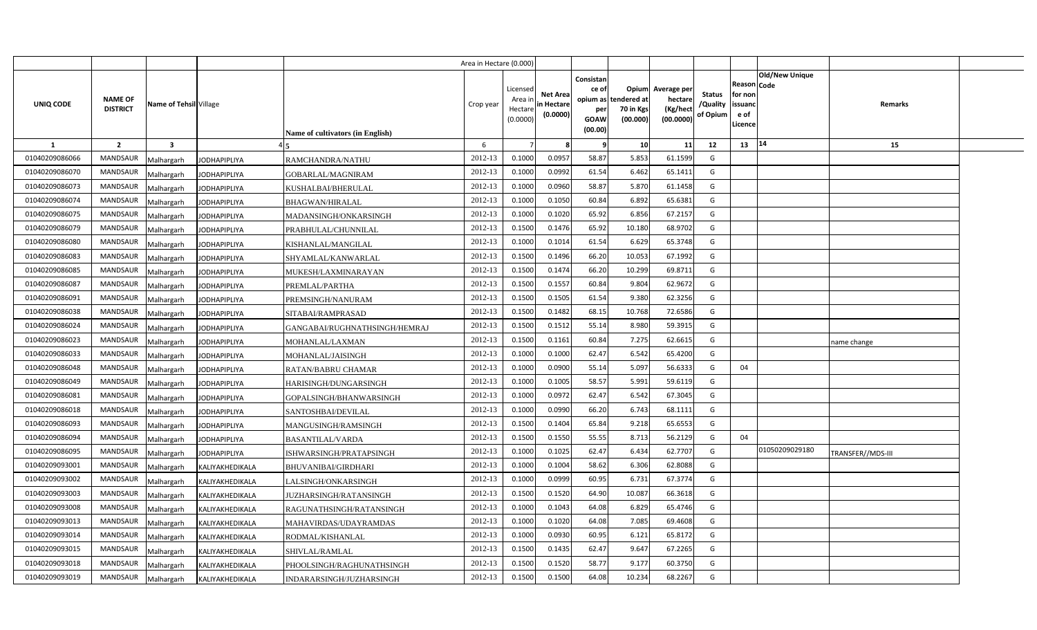|                |                                   |                         |                     |                                  | Area in Hectare (0.000) |                                            |                                           |                                                                 |                                                      |                                                 |                                       |                                                      |                       |                   |  |
|----------------|-----------------------------------|-------------------------|---------------------|----------------------------------|-------------------------|--------------------------------------------|-------------------------------------------|-----------------------------------------------------------------|------------------------------------------------------|-------------------------------------------------|---------------------------------------|------------------------------------------------------|-----------------------|-------------------|--|
| UNIQ CODE      | <b>NAME OF</b><br><b>DISTRICT</b> | Name of Tehsil Village  |                     | Name of cultivators (in English) | Crop year               | Licensed<br>Area in<br>Hectare<br>(0.0000) | <b>Net Area</b><br>in Hectare<br>(0.0000) | Consistan<br>ce of<br>opium as<br>per<br><b>GOAW</b><br>(00.00) | <b>Opium</b><br>tendered at<br>70 in Kgs<br>(00.000) | Average per<br>hectare<br>(Kg/hect<br>(00.0000) | <b>Status</b><br>/Quality<br>of Opium | Reason Code<br>for non<br>issuand<br>e of<br>Licence | <b>Old/New Unique</b> | Remarks           |  |
| -1             | $\overline{2}$                    | $\overline{\mathbf{3}}$ |                     |                                  | 6                       |                                            |                                           |                                                                 | 10                                                   | 11                                              | 12                                    | 13                                                   | 14                    | 15                |  |
| 01040209086066 | <b>MANDSAUR</b>                   | Malhargarh              | <b>JODHAPIPLIYA</b> | RAMCHANDRA/NATHU                 | 2012-13                 | 0.1000                                     | 0.0957                                    | 58.87                                                           | 5.853                                                | 61.1599                                         | G                                     |                                                      |                       |                   |  |
| 01040209086070 | <b>MANDSAUR</b>                   | Malhargarh              | <b>JODHAPIPLIYA</b> | GOBARLAL/MAGNIRAM                | 2012-13                 | 0.1000                                     | 0.0992                                    | 61.54                                                           | 6.462                                                | 65.1411                                         | G                                     |                                                      |                       |                   |  |
| 01040209086073 | <b>MANDSAUR</b>                   | Malhargarh              | <b>JODHAPIPLIYA</b> | KUSHALBAI/BHERULAL               | 2012-13                 | 0.1000                                     | 0.0960                                    | 58.87                                                           | 5.870                                                | 61.1458                                         | G                                     |                                                      |                       |                   |  |
| 01040209086074 | <b>MANDSAUR</b>                   | Malhargarh              | <b>JODHAPIPLIYA</b> | <b>BHAGWAN/HIRALAL</b>           | 2012-13                 | 0.1000                                     | 0.1050                                    | 60.84                                                           | 6.892                                                | 65.6381                                         | G                                     |                                                      |                       |                   |  |
| 01040209086075 | <b>MANDSAUR</b>                   | Malhargarh              | <b>JODHAPIPLIYA</b> | MADANSINGH/ONKARSINGH            | 2012-13                 | 0.1000                                     | 0.1020                                    | 65.92                                                           | 6.856                                                | 67.2157                                         | G                                     |                                                      |                       |                   |  |
| 01040209086079 | <b>MANDSAUR</b>                   | Malhargarh              | <b>JODHAPIPLIYA</b> | PRABHULAL/CHUNNILAL              | 2012-13                 | 0.1500                                     | 0.1476                                    | 65.92                                                           | 10.180                                               | 68.9702                                         | G                                     |                                                      |                       |                   |  |
| 01040209086080 | <b>MANDSAUR</b>                   | Malhargarh              | <b>JODHAPIPLIYA</b> | KISHANLAL/MANGILAL               | 2012-13                 | 0.1000                                     | 0.1014                                    | 61.54                                                           | 6.629                                                | 65.3748                                         | G                                     |                                                      |                       |                   |  |
| 01040209086083 | <b>MANDSAUR</b>                   | Malhargarh              | <b>JODHAPIPLIYA</b> | SHYAMLAL/KANWARLAL               | 2012-13                 | 0.1500                                     | 0.1496                                    | 66.20                                                           | 10.053                                               | 67.1992                                         | G                                     |                                                      |                       |                   |  |
| 01040209086085 | <b>MANDSAUR</b>                   | Malhargarh              | <b>JODHAPIPLIYA</b> | MUKESH/LAXMINARAYAN              | 2012-13                 | 0.1500                                     | 0.1474                                    | 66.20                                                           | 10.299                                               | 69.8711                                         | G                                     |                                                      |                       |                   |  |
| 01040209086087 | <b>MANDSAUR</b>                   | Malhargarh              | <b>JODHAPIPLIYA</b> | PREMLAL/PARTHA                   | 2012-13                 | 0.1500                                     | 0.1557                                    | 60.84                                                           | 9.804                                                | 62.9672                                         | G                                     |                                                      |                       |                   |  |
| 01040209086091 | <b>MANDSAUR</b>                   | Malhargarh              | <b>JODHAPIPLIYA</b> | PREMSINGH/NANURAM                | 2012-13                 | 0.1500                                     | 0.1505                                    | 61.54                                                           | 9.380                                                | 62.3256                                         | G                                     |                                                      |                       |                   |  |
| 01040209086038 | <b>MANDSAUR</b>                   | Malhargarh              | <b>JODHAPIPLIYA</b> | SITABAI/RAMPRASAD                | 2012-13                 | 0.1500                                     | 0.1482                                    | 68.15                                                           | 10.768                                               | 72.6586                                         | G                                     |                                                      |                       |                   |  |
| 01040209086024 | <b>MANDSAUR</b>                   | Malhargarh              | <b>JODHAPIPLIYA</b> | GANGABAI/RUGHNATHSINGH/HEMRAJ    | 2012-13                 | 0.1500                                     | 0.1512                                    | 55.14                                                           | 8.980                                                | 59.3915                                         | G                                     |                                                      |                       |                   |  |
| 01040209086023 | <b>MANDSAUR</b>                   | Malhargarh              | <b>JODHAPIPLIYA</b> | MOHANLAL/LAXMAN                  | 2012-13                 | 0.1500                                     | 0.1161                                    | 60.84                                                           | 7.275                                                | 62.6615                                         | G                                     |                                                      |                       | name change       |  |
| 01040209086033 | <b>MANDSAUR</b>                   | Malhargarh              | <b>JODHAPIPLIYA</b> | MOHANLAL/JAISINGH                | 2012-13                 | 0.1000                                     | 0.1000                                    | 62.47                                                           | 6.542                                                | 65.4200                                         | G                                     |                                                      |                       |                   |  |
| 01040209086048 | <b>MANDSAUR</b>                   | Malhargarh              | <b>JODHAPIPLIYA</b> | RATAN/BABRU CHAMAR               | 2012-13                 | 0.1000                                     | 0.0900                                    | 55.14                                                           | 5.097                                                | 56.6333                                         | G                                     | 04                                                   |                       |                   |  |
| 01040209086049 | <b>MANDSAUR</b>                   | Malhargarh              | <b>JODHAPIPLIYA</b> | HARISINGH/DUNGARSINGH            | 2012-13                 | 0.1000                                     | 0.1005                                    | 58.57                                                           | 5.991                                                | 59.6119                                         | G                                     |                                                      |                       |                   |  |
| 01040209086081 | <b>MANDSAUR</b>                   | Malhargarh              | <b>JODHAPIPLIYA</b> | GOPALSINGH/BHANWARSINGH          | 2012-13                 | 0.1000                                     | 0.0972                                    | 62.47                                                           | 6.542                                                | 67.3045                                         | G                                     |                                                      |                       |                   |  |
| 01040209086018 | <b>MANDSAUR</b>                   | Malhargarh              | <b>JODHAPIPLIYA</b> | SANTOSHBAI/DEVILAL               | 2012-13                 | 0.1000                                     | 0.0990                                    | 66.20                                                           | 6.743                                                | 68.1111                                         | G                                     |                                                      |                       |                   |  |
| 01040209086093 | <b>MANDSAUR</b>                   | Malhargarh              | <b>JODHAPIPLIYA</b> | MANGUSINGH/RAMSINGH              | 2012-13                 | 0.1500                                     | 0.1404                                    | 65.84                                                           | 9.218                                                | 65.6553                                         | G                                     |                                                      |                       |                   |  |
| 01040209086094 | <b>MANDSAUR</b>                   | Malhargarh              | <b>JODHAPIPLIYA</b> | <b>BASANTILAL/VARDA</b>          | 2012-13                 | 0.1500                                     | 0.1550                                    | 55.55                                                           | 8.713                                                | 56.2129                                         | G                                     | 04                                                   |                       |                   |  |
| 01040209086095 | <b>MANDSAUR</b>                   | Malhargarh              | <b>JODHAPIPLIYA</b> | ISHWARSINGH/PRATAPSINGH          | 2012-13                 | 0.1000                                     | 0.1025                                    | 62.47                                                           | 6.434                                                | 62.7707                                         | G                                     |                                                      | 01050209029180        | TRANSFER//MDS-III |  |
| 01040209093001 | <b>MANDSAUR</b>                   | Malhargarh              | KALIYAKHEDIKALA     | BHUVANIBAI/GIRDHARI              | 2012-13                 | 0.1000                                     | 0.1004                                    | 58.62                                                           | 6.306                                                | 62.8088                                         | G                                     |                                                      |                       |                   |  |
| 01040209093002 | <b>MANDSAUR</b>                   | Malhargarh              | KALIYAKHEDIKALA     | LALSINGH/ONKARSINGH              | 2012-13                 | 0.1000                                     | 0.0999                                    | 60.95                                                           | 6.731                                                | 67.3774                                         | G                                     |                                                      |                       |                   |  |
| 01040209093003 | <b>MANDSAUR</b>                   | Malhargarh              | KALIYAKHEDIKALA     | JUZHARSINGH/RATANSINGH           | 2012-13                 | 0.1500                                     | 0.1520                                    | 64.90                                                           | 10.087                                               | 66.3618                                         | G                                     |                                                      |                       |                   |  |
| 01040209093008 | <b>MANDSAUR</b>                   | Malhargarh              | KALIYAKHEDIKALA     | RAGUNATHSINGH/RATANSINGH         | 2012-13                 | 0.1000                                     | 0.1043                                    | 64.08                                                           | 6.829                                                | 65.4746                                         | G                                     |                                                      |                       |                   |  |
| 01040209093013 | <b>MANDSAUR</b>                   | Malhargarh              | KALIYAKHEDIKALA     | MAHAVIRDAS/UDAYRAMDAS            | 2012-13                 | 0.1000                                     | 0.1020                                    | 64.08                                                           | 7.085                                                | 69.4608                                         | G                                     |                                                      |                       |                   |  |
| 01040209093014 | <b>MANDSAUR</b>                   | Malhargarh              | KALIYAKHEDIKALA     | RODMAL/KISHANLAL                 | 2012-13                 | 0.1000                                     | 0.0930                                    | 60.95                                                           | 6.121                                                | 65.8172                                         | G                                     |                                                      |                       |                   |  |
| 01040209093015 | <b>MANDSAUR</b>                   | Malhargarh              | KALIYAKHEDIKALA     | SHIVLAL/RAMLAL                   | 2012-13                 | 0.1500                                     | 0.1435                                    | 62.47                                                           | 9.647                                                | 67.2265                                         | G                                     |                                                      |                       |                   |  |
| 01040209093018 | <b>MANDSAUR</b>                   | Malhargarh              | KALIYAKHEDIKALA     | PHOOLSINGH/RAGHUNATHSINGH        | 2012-13                 | 0.1500                                     | 0.1520                                    | 58.77                                                           | 9.177                                                | 60.3750                                         | G                                     |                                                      |                       |                   |  |
| 01040209093019 | <b>MANDSAUR</b>                   | Malhargarh              | KALIYAKHEDIKALA     | INDARARSINGH/JUZHARSINGH         | 2012-13                 | 0.1500                                     | 0.1500                                    | 64.08                                                           | 10.234                                               | 68.2267                                         | G                                     |                                                      |                       |                   |  |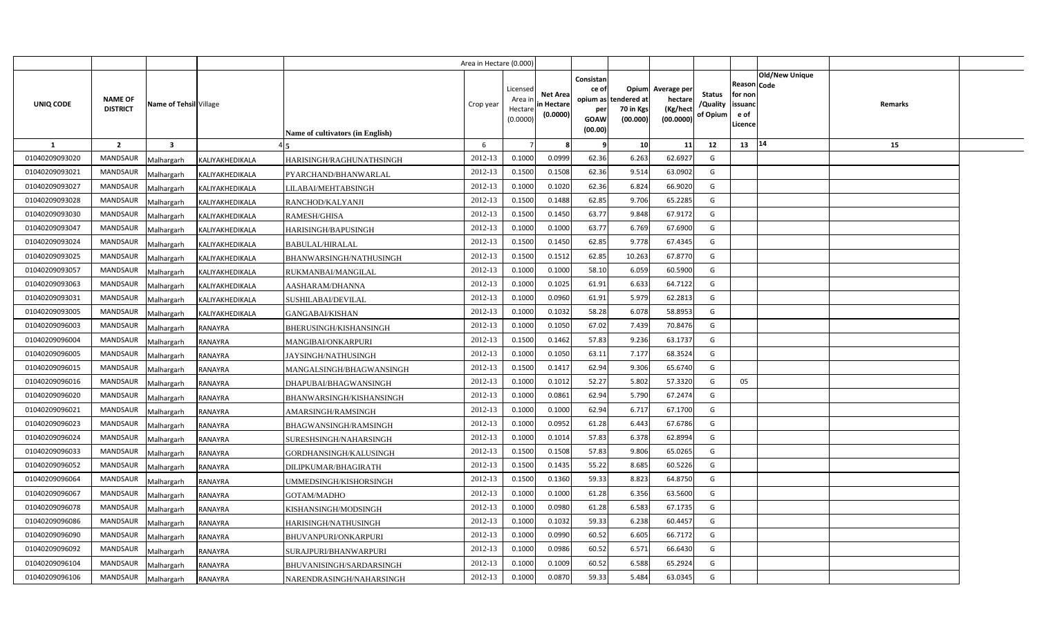|                |                                |                        |                                  | Area in Hectare (0.000) |                                            |                                           |                                                     |                                                        |                                                 |                                       |                                                                        |         |  |
|----------------|--------------------------------|------------------------|----------------------------------|-------------------------|--------------------------------------------|-------------------------------------------|-----------------------------------------------------|--------------------------------------------------------|-------------------------------------------------|---------------------------------------|------------------------------------------------------------------------|---------|--|
| UNIQ CODE      | NAME OF<br><b>DISTRICT</b>     | Name of Tehsil Village | Name of cultivators (in English) | Crop year               | Licensed<br>Area ir<br>Hectare<br>(0.0000) | <b>Net Area</b><br>in Hectare<br>(0.0000) | Consistan<br>ce of<br>per<br><b>GOAW</b><br>(00.00) | Opium<br>opium as tendered at<br>70 in Kgs<br>(00.000) | Average per<br>hectare<br>(Kg/hect<br>(00.0000) | <b>Status</b><br>/Quality<br>of Opium | Old/New Unique<br>Reason Code<br>for non<br>issuanc<br>e of<br>Licence | Remarks |  |
| $\mathbf{1}$   | $\overline{2}$<br>$\mathbf{3}$ |                        |                                  | 6                       |                                            |                                           | - 9                                                 | 10                                                     | 11                                              | 12                                    | 14<br>13                                                               | 15      |  |
| 01040209093020 | <b>MANDSAUR</b><br>Malhargarh  | KALIYAKHEDIKALA        | HARISINGH/RAGHUNATHSINGH         | 2012-13                 | 0.1000                                     | 0.0999                                    | 62.36                                               | 6.263                                                  | 62.6927                                         | G                                     |                                                                        |         |  |
| 01040209093021 | MANDSAUR<br>Malhargarh         | KALIYAKHEDIKALA        | PYARCHAND/BHANWARLAL             | 2012-13                 | 0.1500                                     | 0.1508                                    | 62.36                                               | 9.514                                                  | 63.0902                                         | G                                     |                                                                        |         |  |
| 01040209093027 | MANDSAUR<br>Malhargarh         | KALIYAKHEDIKALA        | LILABAI/MEHTABSINGH              | 2012-13                 | 0.1000                                     | 0.1020                                    | 62.36                                               | 6.824                                                  | 66.9020                                         | G                                     |                                                                        |         |  |
| 01040209093028 | MANDSAUR<br>Malhargarh         | KALIYAKHEDIKALA        | RANCHOD/KALYANJI                 | 2012-13                 | 0.1500                                     | 0.1488                                    | 62.85                                               | 9.706                                                  | 65.2285                                         | G                                     |                                                                        |         |  |
| 01040209093030 | <b>MANDSAUR</b><br>Malhargarh  | KALIYAKHEDIKALA        | RAMESH/GHISA                     | 2012-13                 | 0.1500                                     | 0.1450                                    | 63.77                                               | 9.848                                                  | 67.9172                                         | G                                     |                                                                        |         |  |
| 01040209093047 | MANDSAUR<br>Malhargarh         | KALIYAKHEDIKALA        | HARISINGH/BAPUSINGH              | 2012-13                 | 0.1000                                     | 0.1000                                    | 63.77                                               | 6.769                                                  | 67.6900                                         | G                                     |                                                                        |         |  |
| 01040209093024 | <b>MANDSAUR</b><br>Malhargarh  | KALIYAKHEDIKALA        | BABULAL/HIRALAL                  | 2012-13                 | 0.1500                                     | 0.1450                                    | 62.85                                               | 9.778                                                  | 67.4345                                         | G                                     |                                                                        |         |  |
| 01040209093025 | <b>MANDSAUR</b><br>Malhargarh  | KALIYAKHEDIKALA        | BHANWARSINGH/NATHUSINGH          | 2012-13                 | 0.1500                                     | 0.1512                                    | 62.85                                               | 10.263                                                 | 67.8770                                         | G                                     |                                                                        |         |  |
| 01040209093057 | MANDSAUR<br>Malhargarh         | KALIYAKHEDIKALA        | RUKMANBAI/MANGILAL               | 2012-13                 | 0.1000                                     | 0.1000                                    | 58.10                                               | 6.059                                                  | 60.5900                                         | G                                     |                                                                        |         |  |
| 01040209093063 | <b>MANDSAUR</b><br>Malhargarh  | KALIYAKHEDIKALA        | AASHARAM/DHANNA                  | 2012-13                 | 0.1000                                     | 0.1025                                    | 61.91                                               | 6.633                                                  | 64.7122                                         | G                                     |                                                                        |         |  |
| 01040209093031 | MANDSAUR<br>Malhargarh         | KALIYAKHEDIKALA        | SUSHILABAI/DEVILAL               | 2012-13                 | 0.100                                      | 0.0960                                    | 61.91                                               | 5.979                                                  | 62.281                                          | G                                     |                                                                        |         |  |
| 01040209093005 | MANDSAUR<br>Malhargarh         | KALIYAKHEDIKALA        | <b>GANGABAI/KISHAN</b>           | 2012-13                 | 0.1000                                     | 0.1032                                    | 58.28                                               | 6.078                                                  | 58.8953                                         | G                                     |                                                                        |         |  |
| 01040209096003 | <b>MANDSAUR</b><br>Malhargarh  | <b>RANAYRA</b>         | BHERUSINGH/KISHANSINGH           | 2012-13                 | 0.1000                                     | 0.1050                                    | 67.02                                               | 7.439                                                  | 70.8476                                         | G                                     |                                                                        |         |  |
| 01040209096004 | <b>MANDSAUR</b><br>Malhargarh  | RANAYRA                | <b>MANGIBAI/ONKARPURI</b>        | 2012-13                 | 0.1500                                     | 0.1462                                    | 57.83                                               | 9.236                                                  | 63.1737                                         | G                                     |                                                                        |         |  |
| 01040209096005 | <b>MANDSAUR</b><br>Malhargarh  | RANAYRA                | JAYSINGH/NATHUSINGH              | 2012-13                 | 0.1000                                     | 0.1050                                    | 63.11                                               | 7.177                                                  | 68.3524                                         | G                                     |                                                                        |         |  |
| 01040209096015 | <b>MANDSAUR</b><br>Malhargarh  | RANAYRA                | MANGALSINGH/BHAGWANSINGH         | 2012-13                 | 0.1500                                     | 0.1417                                    | 62.94                                               | 9.306                                                  | 65.6740                                         | G                                     |                                                                        |         |  |
| 01040209096016 | <b>MANDSAUR</b><br>Malhargarh  | RANAYRA                | DHAPUBAI/BHAGWANSINGH            | 2012-13                 | 0.1000                                     | 0.1012                                    | 52.27                                               | 5.802                                                  | 57.3320                                         | G                                     | 05                                                                     |         |  |
| 01040209096020 | MANDSAUR<br>Malhargarh         | RANAYRA                | BHANWARSINGH/KISHANSINGH         | 2012-13                 | 0.1000                                     | 0.0861                                    | 62.94                                               | 5.790                                                  | 67.2474                                         | G                                     |                                                                        |         |  |
| 01040209096021 | <b>MANDSAUR</b><br>Malhargarh  | RANAYRA                | AMARSINGH/RAMSINGH               | 2012-13                 | 0.1000                                     | 0.1000                                    | 62.94                                               | 6.717                                                  | 67.1700                                         | G                                     |                                                                        |         |  |
| 01040209096023 | <b>MANDSAUR</b><br>Malhargarh  | RANAYRA                | BHAGWANSINGH/RAMSINGH            | 2012-13                 | 0.1000                                     | 0.0952                                    | 61.28                                               | 6.443                                                  | 67.6786                                         | G                                     |                                                                        |         |  |
| 01040209096024 | <b>MANDSAUR</b><br>Malhargarh  | RANAYRA                | SURESHSINGH/NAHARSINGH           | $2012 - 13$             | 0.1000                                     | 0.1014                                    | 57.83                                               | 6.378                                                  | 62.8994                                         | G                                     |                                                                        |         |  |
| 01040209096033 | <b>MANDSAUR</b><br>Malhargarh  | RANAYRA                | GORDHANSINGH/KALUSINGH           | 2012-13                 | 0.1500                                     | 0.1508                                    | 57.83                                               | 9.806                                                  | 65.0265                                         | G                                     |                                                                        |         |  |
| 01040209096052 | <b>MANDSAUR</b><br>Malhargarh  | RANAYRA                | DILIPKUMAR/BHAGIRATH             | 2012-13                 | 0.1500                                     | 0.1435                                    | 55.22                                               | 8.685                                                  | 60.5226                                         | G                                     |                                                                        |         |  |
| 01040209096064 | MANDSAUR<br>Malhargarh         | RANAYRA                | UMMEDSINGH/KISHORSINGH           | 2012-13                 | 0.1500                                     | 0.1360                                    | 59.33                                               | 8.823                                                  | 64.8750                                         | G                                     |                                                                        |         |  |
| 01040209096067 | MANDSAUR<br>Malhargarh         | RANAYRA                | GOTAM/MADHO                      | 2012-13                 | 0.1000                                     | 0.1000                                    | 61.28                                               | 6.356                                                  | 63.5600                                         | G                                     |                                                                        |         |  |
| 01040209096078 | MANDSAUR<br>Malhargarh         | RANAYRA                | KISHANSINGH/MODSINGH             | 2012-13                 | 0.1000                                     | 0.0980                                    | 61.28                                               | 6.583                                                  | 67.1735                                         | G                                     |                                                                        |         |  |
| 01040209096086 | MANDSAUR<br>Malhargarh         | RANAYRA                | HARISINGH/NATHUSINGH             | 2012-13                 | 0.1000                                     | 0.1032                                    | 59.33                                               | 6.238                                                  | 60.4457                                         | G                                     |                                                                        |         |  |
| 01040209096090 | MANDSAUR<br>Malhargarh         | RANAYRA                | BHUVANPURI/ONKARPURI             | 2012-13                 | 0.1000                                     | 0.0990                                    | 60.52                                               | 6.605                                                  | 66.7172                                         | G                                     |                                                                        |         |  |
| 01040209096092 | MANDSAUR<br>Malhargarh         | RANAYRA                | SURAJPURI/BHANWARPURI            | 2012-13                 | 0.1000                                     | 0.0986                                    | 60.52                                               | 6.571                                                  | 66.6430                                         | G                                     |                                                                        |         |  |
| 01040209096104 | MANDSAUR<br>Malhargarh         | RANAYRA                | BHUVANISINGH/SARDARSINGH         | 2012-13                 | 0.1000                                     | 0.1009                                    | 60.52                                               | 6.588                                                  | 65.2924                                         | G                                     |                                                                        |         |  |
| 01040209096106 | MANDSAUR<br>Malhargarh         | <b>RANAYRA</b>         | NARENDRASINGH/NAHARSINGH         | 2012-13                 | 0.1000                                     | 0.0870                                    | 59.33                                               | 5.484                                                  | 63.0345                                         | G                                     |                                                                        |         |  |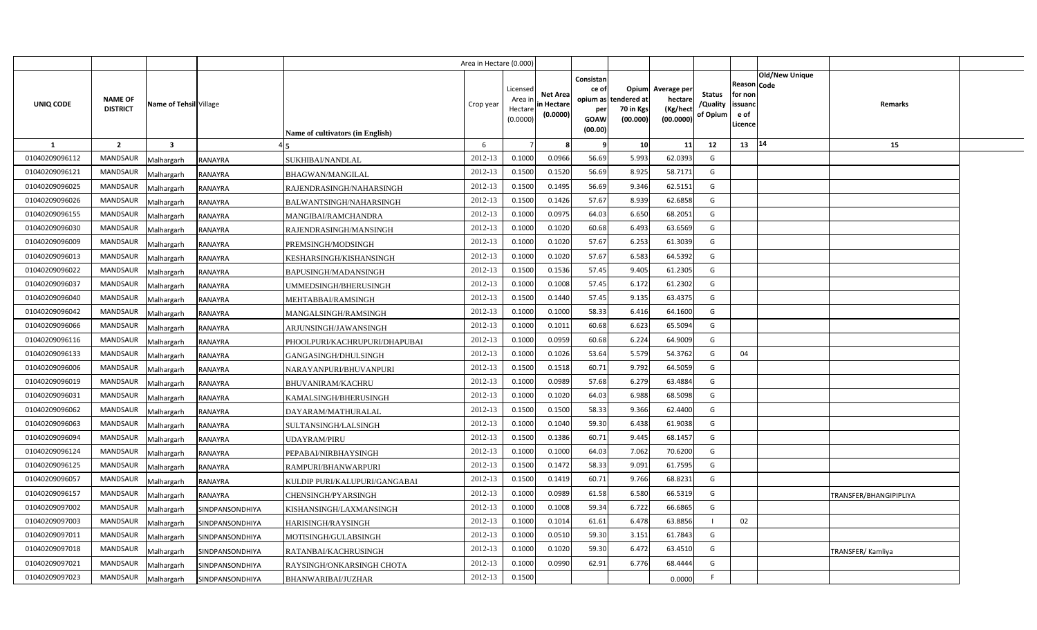|                |                                   |                                      |                                  | Area in Hectare (0.000) |                                            |                                           |                                                                 |                                               |                                                 |                                       |                                                      |                |                        |  |
|----------------|-----------------------------------|--------------------------------------|----------------------------------|-------------------------|--------------------------------------------|-------------------------------------------|-----------------------------------------------------------------|-----------------------------------------------|-------------------------------------------------|---------------------------------------|------------------------------------------------------|----------------|------------------------|--|
| UNIQ CODE      | <b>NAME OF</b><br><b>DISTRICT</b> | Name of Tehsil Village               | Name of cultivators (in English) | Crop year               | Licensed<br>Area ir<br>Hectare<br>(0.0000) | <b>Net Area</b><br>in Hectare<br>(0.0000) | Consistan<br>ce of<br>opium as<br>per<br><b>GOAW</b><br>(00.00) | Opium<br>tendered at<br>70 in Kgs<br>(00.000) | Average per<br>hectare<br>(Kg/heci<br>(00.0000) | <b>Status</b><br>/Quality<br>of Opium | Reason Code<br>for non<br>issuanc<br>e of<br>Licence | Old/New Unique | Remarks                |  |
| $\mathbf{1}$   | $\overline{2}$                    | $\overline{\mathbf{3}}$              |                                  | 6                       |                                            |                                           | -9                                                              | 10                                            | 11                                              | 12                                    | 13                                                   | 14             | 15                     |  |
| 01040209096112 | MANDSAUR                          | <b>RANAYRA</b><br>Malhargarh         | SUKHIBAI/NANDLAL                 | 2012-13                 | 0.1000                                     | 0.0966                                    | 56.69                                                           | 5.993                                         | 62.0393                                         | G                                     |                                                      |                |                        |  |
| 01040209096121 | <b>MANDSAUR</b>                   | <b>RANAYRA</b><br>Malhargarh         | <b>BHAGWAN/MANGILAL</b>          | 2012-13                 | 0.1500                                     | 0.1520                                    | 56.69                                                           | 8.925                                         | 58.7171                                         | G                                     |                                                      |                |                        |  |
| 01040209096025 | <b>MANDSAUR</b>                   | Malhargarh<br><b>RANAYRA</b>         | RAJENDRASINGH/NAHARSINGH         | 2012-13                 | 0.1500                                     | 0.1495                                    | 56.69                                                           | 9.346                                         | 62.5151                                         | G                                     |                                                      |                |                        |  |
| 01040209096026 | <b>MANDSAUR</b>                   | <b>RANAYRA</b><br>Malhargarh         | BALWANTSINGH/NAHARSINGH          | 2012-13                 | 0.1500                                     | 0.1426                                    | 57.67                                                           | 8.939                                         | 62.6858                                         | G                                     |                                                      |                |                        |  |
| 01040209096155 | <b>MANDSAUR</b>                   | Malhargarh<br><b>RANAYRA</b>         | MANGIBAI/RAMCHANDRA              | 2012-13                 | 0.1000                                     | 0.097!                                    | 64.03                                                           | 6.650                                         | 68.2051                                         | G                                     |                                                      |                |                        |  |
| 01040209096030 | <b>MANDSAUR</b>                   | Malhargarh<br>RANAYRA                | RAJENDRASINGH/MANSINGH           | 2012-13                 | 0.1000                                     | 0.1020                                    | 60.68                                                           | 6.493                                         | 63.6569                                         | G                                     |                                                      |                |                        |  |
| 01040209096009 | <b>MANDSAUR</b>                   | Malhargarh<br><b>RANAYRA</b>         | PREMSINGH/MODSINGH               | 2012-13                 | 0.1000                                     | 0.1020                                    | 57.67                                                           | 6.253                                         | 61.3039                                         | G                                     |                                                      |                |                        |  |
| 01040209096013 | <b>MANDSAUR</b>                   | Malhargarh<br><b>RANAYRA</b>         | KESHARSINGH/KISHANSINGH          | 2012-13                 | 0.1000                                     | 0.1020                                    | 57.67                                                           | 6.583                                         | 64.5392                                         | G                                     |                                                      |                |                        |  |
| 01040209096022 | <b>MANDSAUR</b>                   | Malhargarh<br><b>RANAYRA</b>         | BAPUSINGH/MADANSINGH             | 2012-13                 | 0.1500                                     | 0.1536                                    | 57.45                                                           | 9.405                                         | 61.2305                                         | G                                     |                                                      |                |                        |  |
| 01040209096037 | <b>MANDSAUR</b>                   | Malhargarh<br>RANAYRA                | UMMEDSINGH/BHERUSINGH            | 2012-13                 | 0.1000                                     | 0.1008                                    | 57.45                                                           | 6.172                                         | 61.2302                                         | G                                     |                                                      |                |                        |  |
| 01040209096040 | MANDSAUR                          | Malhargarh<br><b>RANAYRA</b>         | <b>MEHTABBAI/RAMSINGH</b>        | 2012-13                 | 0.1500                                     | 0.1440                                    | 57.45                                                           | 9.135                                         | 63.4375                                         | G                                     |                                                      |                |                        |  |
| 01040209096042 | <b>MANDSAUR</b>                   | Malhargarh<br>RANAYRA                | MANGALSINGH/RAMSINGH             | 2012-13                 | 0.1000                                     | 0.1000                                    | 58.33                                                           | 6.416                                         | 64.1600                                         | G                                     |                                                      |                |                        |  |
| 01040209096066 | MANDSAUR                          | Malhargarh<br>RANAYRA                | ARJUNSINGH/JAWANSINGH            | 2012-13                 | 0.1000                                     | 0.101                                     | 60.68                                                           | 6.623                                         | 65.5094                                         | G                                     |                                                      |                |                        |  |
| 01040209096116 | <b>MANDSAUR</b>                   | Malhargarh<br><b>RANAYRA</b>         | PHOOLPURI/KACHRUPURI/DHAPUBAI    | 2012-13                 | 0.1000                                     | 0.0959                                    | 60.68                                                           | 6.224                                         | 64.9009                                         | G                                     |                                                      |                |                        |  |
| 01040209096133 | MANDSAUR                          | Malhargarh<br><b>RANAYRA</b>         | GANGASINGH/DHULSINGH             | 2012-13                 | 0.1000                                     | 0.1026                                    | 53.64                                                           | 5.579                                         | 54.3762                                         | G                                     | 04                                                   |                |                        |  |
| 01040209096006 | MANDSAUR                          | Malhargarh<br><b>RANAYRA</b>         | NARAYANPURI/BHUVANPURI           | 2012-13                 | 0.1500                                     | 0.1518                                    | 60.71                                                           | 9.792                                         | 64.5059                                         | G                                     |                                                      |                |                        |  |
| 01040209096019 | MANDSAUR                          | Malhargarh<br>RANAYRA                | BHUVANIRAM/KACHRU                | 2012-13                 | 0.1000                                     | 0.0989                                    | 57.68                                                           | 6.279                                         | 63.4884                                         | G                                     |                                                      |                |                        |  |
| 01040209096031 | MANDSAUR                          | Malhargarh<br>RANAYRA                | KAMALSINGH/BHERUSINGH            | 2012-13                 | 0.1000                                     | 0.1020                                    | 64.03                                                           | 6.988                                         | 68.5098                                         | G                                     |                                                      |                |                        |  |
| 01040209096062 | MANDSAUR                          | Malhargarh<br>RANAYRA                | DAYARAM/MATHURALAL               | 2012-13                 | 0.1500                                     | 0.1500                                    | 58.33                                                           | 9.366                                         | 62.4400                                         | G                                     |                                                      |                |                        |  |
| 01040209096063 | MANDSAUR                          | Malhargarh<br>RANAYRA                | SULTANSINGH/LALSINGH             | 2012-13                 | 0.1000                                     | 0.1040                                    | 59.30                                                           | 6.438                                         | 61.9038                                         | G                                     |                                                      |                |                        |  |
| 01040209096094 | <b>MANDSAUR</b>                   | Malhargarh<br>RANAYRA                | UDAYRAM/PIRU                     | 2012-13                 | 0.1500                                     | 0.1386                                    | 60.71                                                           | 9.445                                         | 68.1457                                         | G                                     |                                                      |                |                        |  |
| 01040209096124 | <b>MANDSAUR</b>                   | Malhargarh<br>RANAYRA                | PEPABAI/NIRBHAYSINGH             | 2012-13                 | 0.1000                                     | 0.1000                                    | 64.03                                                           | 7.062                                         | 70.6200                                         | G                                     |                                                      |                |                        |  |
| 01040209096125 | <b>MANDSAUR</b>                   | Malhargarh<br>RANAYRA                | RAMPURI/BHANWARPURI              | 2012-13                 | 0.1500                                     | 0.1472                                    | 58.33                                                           | 9.091                                         | 61.7595                                         | G                                     |                                                      |                |                        |  |
| 01040209096057 | <b>MANDSAUR</b>                   | Malhargarh<br><b>RANAYRA</b>         | KULDIP PURI/KALUPURI/GANGABAI    | 2012-13                 | 0.1500                                     | 0.1419                                    | 60.71                                                           | 9.766                                         | 68.8231                                         | G                                     |                                                      |                |                        |  |
| 01040209096157 | <b>MANDSAUR</b>                   | Malhargarh<br><b>RANAYRA</b>         | CHENSINGH/PYARSINGH              | 2012-13                 | 0.1000                                     | 0.0989                                    | 61.58                                                           | 6.580                                         | 66.5319                                         | G                                     |                                                      |                | TRANSFER/BHANGIPIPLIYA |  |
| 01040209097002 | MANDSAUR                          | Malhargarh<br>SINDPANSONDHIYA        | KISHANSINGH/LAXMANSINGH          | 2012-13                 | 0.1000                                     | 0.1008                                    | 59.34                                                           | 6.722                                         | 66.6865                                         | G                                     |                                                      |                |                        |  |
| 01040209097003 | MANDSAUR                          | Malhargarh<br>SINDPANSONDHIYA        | HARISINGH/RAYSINGH               | 2012-13                 | 0.1000                                     | 0.1014                                    | 61.61                                                           | 6.478                                         | 63.8856                                         | - 1                                   | 02                                                   |                |                        |  |
| 01040209097011 | MANDSAUR                          | Malhargarh<br>SINDPANSONDHIYA        | MOTISINGH/GULABSINGH             | 2012-13                 | 0.1000                                     | 0.0510                                    | 59.30                                                           | 3.151                                         | 61.7843                                         | G                                     |                                                      |                |                        |  |
| 01040209097018 | <b>MANDSAUR</b>                   | Malhargarh<br>SINDPANSONDHIYA        | RATANBAI/KACHRUSINGH             | 2012-13                 | 0.1000                                     | 0.1020                                    | 59.30                                                           | 6.472                                         | 63.4510                                         | G                                     |                                                      |                | TRANSFER/Kamliya       |  |
| 01040209097021 | <b>MANDSAUR</b>                   | SINDPANSONDHIYA<br>Malhargarh        | RAYSINGH/ONKARSINGH CHOTA        | 2012-13                 | 0.100                                      | 0.0990                                    | 62.91                                                           | 6.776                                         | 68.4444                                         | G                                     |                                                      |                |                        |  |
| 01040209097023 | <b>MANDSAUR</b>                   | Malhargarh<br><b>SINDPANSONDHIYA</b> | <b>BHANWARIBAI/JUZHAR</b>        | 2012-13                 | 0.1500                                     |                                           |                                                                 |                                               | 0.0000                                          | F                                     |                                                      |                |                        |  |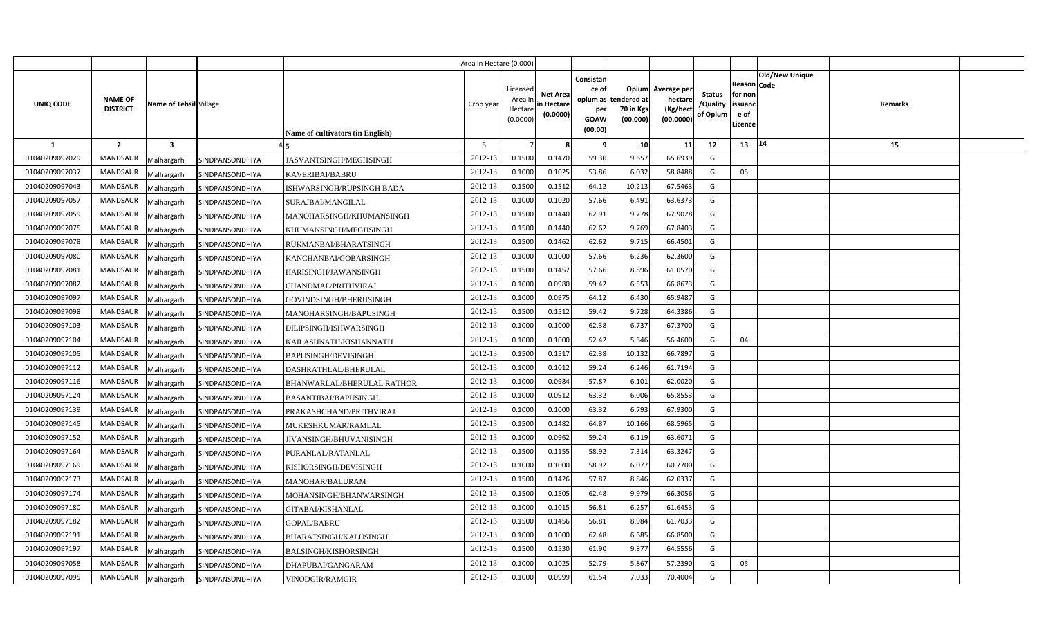|                |                                   |                               |                                         | Area in Hectare (0.000 |                                            |                                          |                                                     |                                                        |                                                 |                                       |                                                      |                       |         |  |
|----------------|-----------------------------------|-------------------------------|-----------------------------------------|------------------------|--------------------------------------------|------------------------------------------|-----------------------------------------------------|--------------------------------------------------------|-------------------------------------------------|---------------------------------------|------------------------------------------------------|-----------------------|---------|--|
| UNIQ CODE      | <b>NAME OF</b><br><b>DISTRICT</b> | Name of Tehsil Village        | <b>Name of cultivators (in English)</b> | Crop year              | Licensed<br>Area ir<br>Hectare<br>(0.0000) | <b>Net Area</b><br>in Hectar<br>(0.0000) | Consistan<br>ce of<br>per<br><b>GOAW</b><br>(00.00) | Opium<br>opium as tendered at<br>70 in Kgs<br>(00.000) | Average per<br>hectare<br>(Kg/hect<br>(00.0000) | <b>Status</b><br>/Quality<br>of Opium | Reason Code<br>for non<br>issuanc<br>e of<br>Licence | <b>Old/New Unique</b> | Remarks |  |
| 1              | $\overline{2}$                    | $\overline{\mathbf{3}}$       |                                         | 6                      |                                            |                                          | -9                                                  | 10                                                     | 11                                              | 12                                    | 13                                                   | $ 14\rangle$          | 15      |  |
| 01040209097029 | <b>MANDSAUR</b>                   | Malhargarh<br>SINDPANSONDHIYA | JASVANTSINGH/MEGHSINGH                  | 2012-13                | 0.1500                                     | 0.1470                                   | 59.30                                               | 9.657                                                  | 65.6939                                         | G                                     |                                                      |                       |         |  |
| 01040209097037 | <b>MANDSAUR</b>                   | Malhargarh<br>SINDPANSONDHIYA | KAVERIBAI/BABRU                         | 2012-13                | 0.1000                                     | 0.1025                                   | 53.86                                               | 6.032                                                  | 58.8488                                         | G                                     | 05                                                   |                       |         |  |
| 01040209097043 | MANDSAUR                          | Malhargarh<br>SINDPANSONDHIYA | ISHWARSINGH/RUPSINGH BADA               | 2012-13                | 0.1500                                     | 0.1512                                   | 64.12                                               | 10.213                                                 | 67.5463                                         | G                                     |                                                      |                       |         |  |
| 01040209097057 | <b>MANDSAUR</b>                   | Malhargarh<br>SINDPANSONDHIYA | SURAJBAI/MANGILAL                       | 2012-13                | 0.1000                                     | 0.1020                                   | 57.66                                               | 6.491                                                  | 63.6373                                         | G                                     |                                                      |                       |         |  |
| 01040209097059 | <b>MANDSAUR</b>                   | Malhargarh<br>SINDPANSONDHIYA | MANOHARSINGH/KHUMANSINGH                | 2012-13                | 0.1500                                     | 0.1440                                   | 62.91                                               | 9.778                                                  | 67.9028                                         | G                                     |                                                      |                       |         |  |
| 01040209097075 | <b>MANDSAUR</b>                   | Malhargarh<br>SINDPANSONDHIYA | KHUMANSINGH/MEGHSINGH                   | 2012-13                | 0.150                                      | 0.1440                                   | 62.62                                               | 9.769                                                  | 67.8403                                         | G                                     |                                                      |                       |         |  |
| 01040209097078 | <b>MANDSAUR</b>                   | Malhargarh<br>SINDPANSONDHIYA | RUKMANBAI/BHARATSINGH                   | 2012-13                | 0.1500                                     | 0.1462                                   | 62.62                                               | 9.715                                                  | 66.4501                                         | G                                     |                                                      |                       |         |  |
| 01040209097080 | <b>MANDSAUR</b>                   | Malhargarh<br>SINDPANSONDHIYA | KANCHANBAI/GOBARSINGH                   | 2012-13                | 0.1000                                     | 0.1000                                   | 57.66                                               | 6.236                                                  | 62.3600                                         | G                                     |                                                      |                       |         |  |
| 01040209097081 | <b>MANDSAUR</b>                   | Malhargarh<br>SINDPANSONDHIYA | HARISINGH/JAWANSINGH                    | 2012-13                | 0.1500                                     | 0.145                                    | 57.66                                               | 8.896                                                  | 61.0570                                         | G                                     |                                                      |                       |         |  |
| 01040209097082 | <b>MANDSAUR</b>                   | Malhargarh<br>SINDPANSONDHIYA | CHANDMAL/PRITHVIRAJ                     | 2012-13                | 0.1000                                     | 0.0980                                   | 59.42                                               | 6.553                                                  | 66.8673                                         | G                                     |                                                      |                       |         |  |
| 01040209097097 | <b>MANDSAUR</b>                   | Malhargarh<br>SINDPANSONDHIYA | GOVINDSINGH/BHERUSINGH                  | 2012-13                | 0.100                                      | 0.0975                                   | 64.12                                               | 6.430                                                  | 65.9487                                         | G                                     |                                                      |                       |         |  |
| 01040209097098 | <b>MANDSAUR</b>                   | Malhargarh<br>SINDPANSONDHIYA | MANOHARSINGH/BAPUSINGH                  | 2012-13                | 0.1500                                     | 0.1512                                   | 59.42                                               | 9.728                                                  | 64.3386                                         | G                                     |                                                      |                       |         |  |
| 01040209097103 | <b>MANDSAUR</b>                   | Malhargarh<br>SINDPANSONDHIYA | DILIPSINGH/ISHWARSINGH                  | 2012-13                | 0.1000                                     | 0.1000                                   | 62.38                                               | 6.737                                                  | 67.3700                                         | G                                     |                                                      |                       |         |  |
| 01040209097104 | <b>MANDSAUR</b>                   | Malhargarh<br>SINDPANSONDHIYA | KAILASHNATH/KISHANNATH                  | 2012-13                | 0.1000                                     | 0.1000                                   | 52.42                                               | 5.646                                                  | 56.4600                                         | G                                     | 04                                                   |                       |         |  |
| 01040209097105 | MANDSAUR                          | Malhargarh<br>SINDPANSONDHIYA | <b>BAPUSINGH/DEVISINGH</b>              | 2012-13                | 0.1500                                     | 0.1517                                   | 62.38                                               | 10.132                                                 | 66.7897                                         | G                                     |                                                      |                       |         |  |
| 01040209097112 | <b>MANDSAUR</b>                   | Malhargarh<br>SINDPANSONDHIYA | DASHRATHLAL/BHERULAL                    | 2012-13                | 0.1000                                     | 0.1012                                   | 59.24                                               | 6.246                                                  | 61.7194                                         | G                                     |                                                      |                       |         |  |
| 01040209097116 | MANDSAUR                          | Malhargarh<br>SINDPANSONDHIYA | BHANWARLAL/BHERULAL RATHOR              | 2012-13                | 0.1000                                     | 0.0984                                   | 57.87                                               | 6.101                                                  | 62.0020                                         | G                                     |                                                      |                       |         |  |
| 01040209097124 | <b>MANDSAUR</b>                   | Malhargarh<br>SINDPANSONDHIYA | <b>BASANTIBAI/BAPUSINGH</b>             | 2012-13                | 0.1000                                     | 0.0912                                   | 63.32                                               | 6.006                                                  | 65.8553                                         | G                                     |                                                      |                       |         |  |
| 01040209097139 | MANDSAUR                          | Malhargarh<br>SINDPANSONDHIYA | PRAKASHCHAND/PRITHVIRAJ                 | 2012-13                | 0.1000                                     | 0.1000                                   | 63.32                                               | 6.793                                                  | 67.9300                                         | G                                     |                                                      |                       |         |  |
| 01040209097145 | <b>MANDSAUR</b>                   | Malhargarh<br>SINDPANSONDHIYA | MUKESHKUMAR/RAMLAL                      | 2012-13                | 0.1500                                     | 0.1482                                   | 64.87                                               | 10.166                                                 | 68.5965                                         | G                                     |                                                      |                       |         |  |
| 01040209097152 | <b>MANDSAUR</b>                   | Malhargarh<br>SINDPANSONDHIYA | JIVANSINGH/BHUVANISINGH                 | 2012-13                | 0.1000                                     | 0.0962                                   | 59.24                                               | 6.119                                                  | 63.6071                                         | G                                     |                                                      |                       |         |  |
| 01040209097164 | MANDSAUR                          | Malhargarh<br>SINDPANSONDHIYA | PURANLAL/RATANLAL                       | 2012-13                | 0.1500                                     | 0.1155                                   | 58.92                                               | 7.314                                                  | 63.3247                                         | G                                     |                                                      |                       |         |  |
| 01040209097169 | <b>MANDSAUR</b>                   | Malhargarh<br>SINDPANSONDHIYA | KISHORSINGH/DEVISINGH                   | 2012-13                | 0.1000                                     | 0.1000                                   | 58.92                                               | 6.077                                                  | 60.7700                                         | G                                     |                                                      |                       |         |  |
| 01040209097173 | MANDSAUR                          | Malhargarh<br>SINDPANSONDHIYA | MANOHAR/BALURAM                         | 2012-13                | 0.1500                                     | 0.1426                                   | 57.87                                               | 8.846                                                  | 62.0337                                         | G                                     |                                                      |                       |         |  |
| 01040209097174 | <b>MANDSAUR</b>                   | Malhargarh<br>SINDPANSONDHIYA | MOHANSINGH/BHANWARSINGH                 | 2012-13                | 0.1500                                     | 0.1505                                   | 62.48                                               | 9.979                                                  | 66.3056                                         | G                                     |                                                      |                       |         |  |
| 01040209097180 | <b>MANDSAUR</b>                   | Malhargarh<br>SINDPANSONDHIYA | GITABAI/KISHANLAL                       | 2012-13                | 0.1000                                     | 0.1015                                   | 56.81                                               | 6.257                                                  | 61.6453                                         | G                                     |                                                      |                       |         |  |
| 01040209097182 | <b>MANDSAUR</b>                   | Malhargarh<br>SINDPANSONDHIYA | GOPAL/BABRU                             | 2012-13                | 0.1500                                     | 0.1456                                   | 56.81                                               | 8.984                                                  | 61.7033                                         | G                                     |                                                      |                       |         |  |
| 01040209097191 | <b>MANDSAUR</b>                   | Malhargarh<br>SINDPANSONDHIYA | BHARATSINGH/KALUSINGH                   | 2012-13                | 0.1000                                     | 0.1000                                   | 62.48                                               | 6.685                                                  | 66.8500                                         | G                                     |                                                      |                       |         |  |
| 01040209097197 | <b>MANDSAUR</b>                   | Malhargarh<br>SINDPANSONDHIYA | BALSINGH/KISHORSINGH                    | 2012-13                | 0.1500                                     | 0.1530                                   | 61.90                                               | 9.877                                                  | 64.5556                                         | G                                     |                                                      |                       |         |  |
| 01040209097058 | <b>MANDSAUR</b>                   | SINDPANSONDHIYA<br>Malhargarh | DHAPUBAI/GANGARAM                       | 2012-13                | 0.1000                                     | 0.1025                                   | 52.79                                               | 5.867                                                  | 57.2390                                         | G                                     | 05                                                   |                       |         |  |
| 01040209097095 | <b>MANDSAUR</b>                   | Malhargarh<br>SINDPANSONDHIYA | VINODGIR/RAMGIR                         | 2012-13                | 0.100                                      | 0.0999                                   | 61.54                                               | 7.033                                                  | 70.4004                                         | G                                     |                                                      |                       |         |  |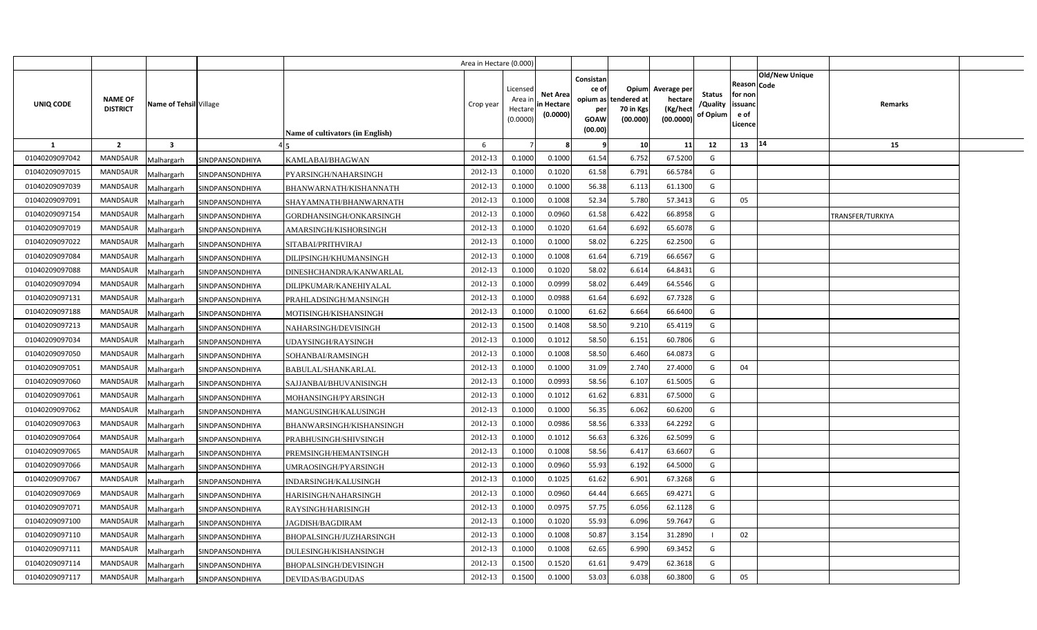|                |                                                             |                 |                                  | Area in Hectare (0.000) |                                            |                                           |                                                     |                                                        |                                                 |                                       |                                                                               |                  |  |
|----------------|-------------------------------------------------------------|-----------------|----------------------------------|-------------------------|--------------------------------------------|-------------------------------------------|-----------------------------------------------------|--------------------------------------------------------|-------------------------------------------------|---------------------------------------|-------------------------------------------------------------------------------|------------------|--|
| UNIQ CODE      | <b>NAME OF</b><br>Name of Tehsil Village<br><b>DISTRICT</b> |                 | Name of cultivators (in English) | Crop year               | Licensed<br>Area ir<br>Hectare<br>(0.0000) | <b>Net Area</b><br>in Hectare<br>(0.0000) | Consistan<br>ce of<br>per<br><b>GOAW</b><br>(00.00) | Opium<br>opium as tendered at<br>70 in Kgs<br>(00.000) | Average per<br>hectare<br>(Kg/hect<br>(00.0000) | <b>Status</b><br>/Quality<br>of Opium | <b>Old/New Unique</b><br>Reason Code<br>for non<br>issuanc<br>e of<br>.icence | Remarks          |  |
| -1             | $\overline{2}$<br>$\overline{\mathbf{3}}$                   |                 |                                  | 6                       |                                            |                                           | -9                                                  | 10                                                     | 11                                              | 12                                    | 14<br>13                                                                      | 15               |  |
| 01040209097042 | <b>MANDSAUR</b><br>Malhargarh                               | SINDPANSONDHIYA | KAMLABAI/BHAGWAN                 | 2012-13                 | 0.1000                                     | 0.1000                                    | 61.54                                               | 6.752                                                  | 67.5200                                         | G                                     |                                                                               |                  |  |
| 01040209097015 | MANDSAUR<br>Malhargarh                                      | SINDPANSONDHIYA | PYARSINGH/NAHARSINGH             | 2012-13                 | 0.1000                                     | 0.1020                                    | 61.58                                               | 6.791                                                  | 66.5784                                         | G                                     |                                                                               |                  |  |
| 01040209097039 | MANDSAUR<br>Malhargarh                                      | SINDPANSONDHIYA | BHANWARNATH/KISHANNATH           | 2012-13                 | 0.1000                                     | 0.1000                                    | 56.38                                               | 6.113                                                  | 61.1300                                         | G                                     |                                                                               |                  |  |
| 01040209097091 | <b>MANDSAUR</b><br>Malhargarh                               | SINDPANSONDHIYA | SHAYAMNATH/BHANWARNATH           | 2012-13                 | 0.1000                                     | 0.1008                                    | 52.34                                               | 5.780                                                  | 57.3413                                         | G                                     | 05                                                                            |                  |  |
| 01040209097154 | MANDSAUR<br>Malhargarh                                      | SINDPANSONDHIYA | GORDHANSINGH/ONKARSINGH          | 2012-13                 | 0.1000                                     | 0.0960                                    | 61.58                                               | 6.422                                                  | 66.8958                                         | G                                     |                                                                               | TRANSFER/TURKIYA |  |
| 01040209097019 | <b>MANDSAUR</b><br>Malhargarh                               | SINDPANSONDHIYA | AMARSINGH/KISHORSINGH            | 2012-13                 | 0.1000                                     | 0.1020                                    | 61.64                                               | 6.692                                                  | 65.6078                                         | G                                     |                                                                               |                  |  |
| 01040209097022 | MANDSAUR<br>Malhargarh                                      | SINDPANSONDHIYA | SITABAI/PRITHVIRAJ               | 2012-13                 | 0.1000                                     | 0.1000                                    | 58.02                                               | 6.225                                                  | 62.2500                                         | G                                     |                                                                               |                  |  |
| 01040209097084 | <b>MANDSAUR</b><br>Malhargarh                               | SINDPANSONDHIYA | DILIPSINGH/KHUMANSINGH           | 2012-13                 | 0.1000                                     | 0.1008                                    | 61.64                                               | 6.719                                                  | 66.656                                          | G                                     |                                                                               |                  |  |
| 01040209097088 | <b>MANDSAUR</b><br>Malhargarh                               | SINDPANSONDHIYA | DINESHCHANDRA/KANWARLAL          | 2012-13                 | 0.1000                                     | 0.1020                                    | 58.02                                               | 6.614                                                  | 64.8431                                         | G                                     |                                                                               |                  |  |
| 01040209097094 | MANDSAUR<br>Malhargarh                                      | SINDPANSONDHIYA | DILIPKUMAR/KANEHIYALAL           | 2012-13                 | 0.1000                                     | 0.0999                                    | 58.02                                               | 6.449                                                  | 64.5546                                         | G                                     |                                                                               |                  |  |
| 01040209097131 | <b>MANDSAUR</b><br>Malhargarh                               | SINDPANSONDHIYA | PRAHLADSINGH/MANSINGH            | 2012-13                 | 0.1000                                     | 0.0988                                    | 61.64                                               | 6.692                                                  | 67.7328                                         | G                                     |                                                                               |                  |  |
| 01040209097188 | MANDSAUR<br>Malhargarh                                      | SINDPANSONDHIYA | MOTISINGH/KISHANSINGH            | 2012-13                 | 0.1000                                     | 0.1000                                    | 61.62                                               | 6.664                                                  | 66.6400                                         | G                                     |                                                                               |                  |  |
| 01040209097213 | <b>MANDSAUR</b><br>Malhargarh                               | SINDPANSONDHIYA | NAHARSINGH/DEVISINGH             | 2012-13                 | 0.1500                                     | 0.1408                                    | 58.50                                               | 9.210                                                  | 65.4119                                         | G                                     |                                                                               |                  |  |
| 01040209097034 | <b>MANDSAUR</b><br>Malhargarh                               | SINDPANSONDHIYA | UDAYSINGH/RAYSINGH               | 2012-13                 | 0.1000                                     | 0.1012                                    | 58.50                                               | 6.151                                                  | 60.7806                                         | G                                     |                                                                               |                  |  |
| 01040209097050 | <b>MANDSAUR</b><br>Malhargarh                               | SINDPANSONDHIYA | SOHANBAI/RAMSINGH                | 2012-13                 | 0.1000                                     | 0.1008                                    | 58.50                                               | 6.460                                                  | 64.0873                                         | G                                     |                                                                               |                  |  |
| 01040209097051 | <b>MANDSAUR</b><br>Malhargarh                               | SINDPANSONDHIYA | BABULAL/SHANKARLAL               | 2012-13                 | 0.1000                                     | 0.1000                                    | 31.09                                               | 2.740                                                  | 27.4000                                         | G                                     | 04                                                                            |                  |  |
| 01040209097060 | <b>MANDSAUR</b><br>Malhargarh                               | SINDPANSONDHIYA | SAJJANBAI/BHUVANISINGH           | 2012-13                 | 0.1000                                     | 0.0993                                    | 58.56                                               | 6.107                                                  | 61.5005                                         | G                                     |                                                                               |                  |  |
| 01040209097061 | <b>MANDSAUR</b><br>Malhargarh                               | SINDPANSONDHIYA | MOHANSINGH/PYARSINGH             | 2012-13                 | 0.1000                                     | 0.1012                                    | 61.62                                               | 6.831                                                  | 67.5000                                         | G                                     |                                                                               |                  |  |
| 01040209097062 | <b>MANDSAUR</b><br>Malhargarh                               | SINDPANSONDHIYA | MANGUSINGH/KALUSINGH             | 2012-13                 | 0.1000                                     | 0.1000                                    | 56.35                                               | 6.062                                                  | 60.6200                                         | G                                     |                                                                               |                  |  |
| 01040209097063 | <b>MANDSAUR</b><br>Malhargarh                               | SINDPANSONDHIYA | BHANWARSINGH/KISHANSINGH         | 2012-13                 | 0.1000                                     | 0.0986                                    | 58.56                                               | 6.333                                                  | 64.2292                                         | G                                     |                                                                               |                  |  |
| 01040209097064 | <b>MANDSAUR</b><br>Malhargarh                               | SINDPANSONDHIYA | PRABHUSINGH/SHIVSINGH            | 2012-13                 | 0.1000                                     | 0.1012                                    | 56.63                                               | 6.326                                                  | 62.5099                                         | G                                     |                                                                               |                  |  |
| 01040209097065 | MANDSAUR<br>Malhargarh                                      | SINDPANSONDHIYA | PREMSINGH/HEMANTSINGH            | 2012-13                 | 0.1000                                     | 0.1008                                    | 58.56                                               | 6.417                                                  | 63.6607                                         | G                                     |                                                                               |                  |  |
| 01040209097066 | <b>MANDSAUR</b><br>Malhargarh                               | SINDPANSONDHIYA | UMRAOSINGH/PYARSINGH             | 2012-13                 | 0.1000                                     | 0.0960                                    | 55.93                                               | 6.192                                                  | 64.5000                                         | G                                     |                                                                               |                  |  |
| 01040209097067 | <b>MANDSAUR</b><br>Malhargarh                               | SINDPANSONDHIYA | INDARSINGH/KALUSINGH             | 2012-13                 | 0.1000                                     | 0.1025                                    | 61.62                                               | 6.901                                                  | 67.3268                                         | G                                     |                                                                               |                  |  |
| 01040209097069 | <b>MANDSAUR</b><br>Malhargarh                               | SINDPANSONDHIYA | HARISINGH/NAHARSINGH             | 2012-13                 | 0.1000                                     | 0.0960                                    | 64.44                                               | 6.665                                                  | 69.4271                                         | G                                     |                                                                               |                  |  |
| 01040209097071 | <b>MANDSAUR</b><br>Malhargarh                               | SINDPANSONDHIYA | RAYSINGH/HARISINGH               | 2012-13                 | 0.1000                                     | 0.0975                                    | 57.75                                               | 6.056                                                  | 62.1128                                         | G                                     |                                                                               |                  |  |
| 01040209097100 | MANDSAUR<br>Malhargarh                                      | SINDPANSONDHIYA | JAGDISH/BAGDIRAM                 | 2012-13                 | 0.1000                                     | 0.1020                                    | 55.93                                               | 6.096                                                  | 59.764                                          | G                                     |                                                                               |                  |  |
| 01040209097110 | MANDSAUR<br>Malhargarh                                      | SINDPANSONDHIYA | BHOPALSINGH/JUZHARSINGH          | 2012-13                 | 0.1000                                     | 0.1008                                    | 50.87                                               | 3.154                                                  | 31.2890                                         |                                       | 02                                                                            |                  |  |
| 01040209097111 | MANDSAUR<br>Malhargarh                                      | SINDPANSONDHIYA | DULESINGH/KISHANSINGH            | 2012-13                 | 0.1000                                     | 0.1008                                    | 62.65                                               | 6.990                                                  | 69.3452                                         | G                                     |                                                                               |                  |  |
| 01040209097114 | MANDSAUR<br>Malhargarh                                      | SINDPANSONDHIYA | BHOPALSINGH/DEVISINGH            | 2012-13                 | 0.1500                                     | 0.1520                                    | 61.61                                               | 9.479                                                  | 62.3618                                         | G                                     |                                                                               |                  |  |
| 01040209097117 | <b>MANDSAUR</b><br>Malhargarh                               | SINDPANSONDHIYA | DEVIDAS/BAGDUDAS                 | 2012-13                 | 0.1500                                     | 0.1000                                    | 53.03                                               | 6.038                                                  | 60.3800                                         | G                                     | 05                                                                            |                  |  |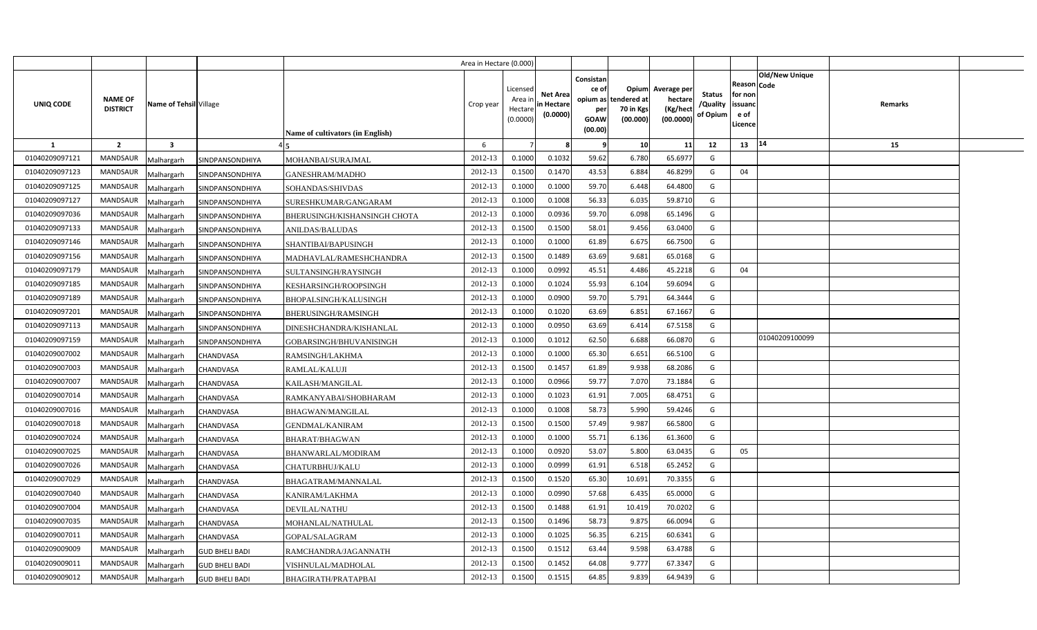|                |                                                             |                       |                                  | Area in Hectare (0.000) |                                            |                                           |                                                     |                                                        |                                                 |                                       |                                                                               |         |  |
|----------------|-------------------------------------------------------------|-----------------------|----------------------------------|-------------------------|--------------------------------------------|-------------------------------------------|-----------------------------------------------------|--------------------------------------------------------|-------------------------------------------------|---------------------------------------|-------------------------------------------------------------------------------|---------|--|
| UNIQ CODE      | <b>NAME OF</b><br>Name of Tehsil Village<br><b>DISTRICT</b> |                       | Name of cultivators (in English) | Crop year               | Licensed<br>Area ir<br>Hectare<br>(0.0000) | <b>Net Area</b><br>in Hectare<br>(0.0000) | Consistan<br>ce of<br>per<br><b>GOAW</b><br>(00.00) | Opium<br>opium as tendered at<br>70 in Kgs<br>(00.000) | Average per<br>hectare<br>(Kg/hect<br>(00.0000) | <b>Status</b><br>/Quality<br>of Opium | <b>Old/New Unique</b><br>Reason Code<br>for non<br>issuanc<br>e of<br>.icence | Remarks |  |
| <b>1</b>       | $\overline{2}$<br>$\overline{\mathbf{3}}$                   |                       |                                  | 6                       |                                            |                                           | -9                                                  | 10                                                     | 11                                              | 12                                    | 14<br>13                                                                      | 15      |  |
| 01040209097121 | <b>MANDSAUR</b><br>Malhargarh                               | SINDPANSONDHIYA       | MOHANBAI/SURAJMAL                | 2012-13                 | 0.1000                                     | 0.1032                                    | 59.62                                               | 6.780                                                  | 65.6977                                         | G                                     |                                                                               |         |  |
| 01040209097123 | MANDSAUR<br>Malhargarh                                      | SINDPANSONDHIYA       | GANESHRAM/MADHO                  | 2012-13                 | 0.1500                                     | 0.1470                                    | 43.53                                               | 6.884                                                  | 46.8299                                         | G                                     | 04                                                                            |         |  |
| 01040209097125 | <b>MANDSAUR</b><br>Malhargarh                               | SINDPANSONDHIYA       | SOHANDAS/SHIVDAS                 | 2012-13                 | 0.1000                                     | 0.1000                                    | 59.70                                               | 6.448                                                  | 64.4800                                         | G                                     |                                                                               |         |  |
| 01040209097127 | <b>MANDSAUR</b><br>Malhargarh                               | SINDPANSONDHIYA       | SURESHKUMAR/GANGARAM             | 2012-13                 | 0.1000                                     | 0.1008                                    | 56.33                                               | 6.035                                                  | 59.8710                                         | G                                     |                                                                               |         |  |
| 01040209097036 | MANDSAUR<br>Malhargarh                                      | SINDPANSONDHIYA       | BHERUSINGH/KISHANSINGH CHOTA     | 2012-13                 | 0.1000                                     | 0.0936                                    | 59.70                                               | 6.098                                                  | 65.1496                                         | G                                     |                                                                               |         |  |
| 01040209097133 | <b>MANDSAUR</b><br>Malhargarh                               | SINDPANSONDHIYA       | <b>ANILDAS/BALUDAS</b>           | 2012-13                 | 0.1500                                     | 0.1500                                    | 58.01                                               | 9.456                                                  | 63.0400                                         | G                                     |                                                                               |         |  |
| 01040209097146 | MANDSAUR<br>Malhargarh                                      | SINDPANSONDHIYA       | SHANTIBAI/BAPUSINGH              | 2012-13                 | 0.1000                                     | 0.1000                                    | 61.89                                               | 6.675                                                  | 66.7500                                         | G                                     |                                                                               |         |  |
| 01040209097156 | <b>MANDSAUR</b><br>Malhargarh                               | SINDPANSONDHIYA       | MADHAVLAL/RAMESHCHANDRA          | 2012-13                 | 0.1500                                     | 0.1489                                    | 63.69                                               | 9.681                                                  | 65.0168                                         | G                                     |                                                                               |         |  |
| 01040209097179 | <b>MANDSAUR</b><br>Malhargarh                               | SINDPANSONDHIYA       | SULTANSINGH/RAYSINGH             | 2012-13                 | 0.1000                                     | 0.0992                                    | 45.51                                               | 4.486                                                  | 45.2218                                         | G                                     | 04                                                                            |         |  |
| 01040209097185 | MANDSAUR<br>Malhargarh                                      | SINDPANSONDHIYA       | KESHARSINGH/ROOPSINGH            | 2012-13                 | 0.1000                                     | 0.1024                                    | 55.93                                               | 6.104                                                  | 59.6094                                         | G                                     |                                                                               |         |  |
| 01040209097189 | <b>MANDSAUR</b><br>Malhargarh                               | SINDPANSONDHIYA       | BHOPALSINGH/KALUSINGH            | 2012-13                 | 0.1000                                     | 0.0900                                    | 59.70                                               | 5.791                                                  | 64.3444                                         | G                                     |                                                                               |         |  |
| 01040209097201 | MANDSAUR<br>Malhargarh                                      | SINDPANSONDHIYA       | BHERUSINGH/RAMSINGH              | 2012-13                 | 0.1000                                     | 0.1020                                    | 63.69                                               | 6.851                                                  | 67.1667                                         | G                                     |                                                                               |         |  |
| 01040209097113 | MANDSAUR<br>Malhargarh                                      | SINDPANSONDHIYA       | DINESHCHANDRA/KISHANLAL          | 2012-13                 | 0.1000                                     | 0.0950                                    | 63.69                                               | 6.414                                                  | 67.5158                                         | G                                     |                                                                               |         |  |
| 01040209097159 | <b>MANDSAUR</b><br>Malhargarh                               | SINDPANSONDHIYA       | GOBARSINGH/BHUVANISINGH          | 2012-13                 | 0.1000                                     | 0.1012                                    | 62.50                                               | 6.688                                                  | 66.0870                                         | G                                     | 01040209100099                                                                |         |  |
| 01040209007002 | <b>MANDSAUR</b><br>Malhargarh                               | CHANDVASA             | RAMSINGH/LAKHMA                  | 2012-13                 | 0.1000                                     | 0.1000                                    | 65.30                                               | 6.651                                                  | 66.5100                                         | G                                     |                                                                               |         |  |
| 01040209007003 | <b>MANDSAUR</b><br>Malhargarh                               | CHANDVASA             | RAMLAL/KALUJI                    | 2012-13                 | 0.1500                                     | 0.1457                                    | 61.89                                               | 9.938                                                  | 68.2086                                         | G                                     |                                                                               |         |  |
| 01040209007007 | <b>MANDSAUR</b><br>Malhargarh                               | CHANDVASA             | KAILASH/MANGILAL                 | 2012-13                 | 0.1000                                     | 0.0966                                    | 59.77                                               | 7.070                                                  | 73.1884                                         | G                                     |                                                                               |         |  |
| 01040209007014 | <b>MANDSAUR</b><br>Malhargarh                               | CHANDVASA             | RAMKANYABAI/SHOBHARAM            | 2012-13                 | 0.1000                                     | 0.1023                                    | 61.91                                               | 7.005                                                  | 68.4751                                         | G                                     |                                                                               |         |  |
| 01040209007016 | <b>MANDSAUR</b><br>Malhargarh                               | CHANDVASA             | BHAGWAN/MANGILAL                 | 2012-13                 | 0.1000                                     | 0.1008                                    | 58.73                                               | 5.990                                                  | 59.4246                                         | G                                     |                                                                               |         |  |
| 01040209007018 | <b>MANDSAUR</b><br>Malhargarh                               | CHANDVASA             | GENDMAL/KANIRAM                  | 2012-13                 | 0.1500                                     | 0.1500                                    | 57.49                                               | 9.987                                                  | 66.5800                                         | G                                     |                                                                               |         |  |
| 01040209007024 | <b>MANDSAUR</b><br>Malhargarh                               | CHANDVASA             | BHARAT/BHAGWAN                   | 2012-13                 | 0.1000                                     | 0.1000                                    | 55.71                                               | 6.136                                                  | 61.3600                                         | G                                     |                                                                               |         |  |
| 01040209007025 | MANDSAUR<br>Malhargarh                                      | CHANDVASA             | BHANWARLAL/MODIRAM               | 2012-13                 | 0.1000                                     | 0.0920                                    | 53.07                                               | 5.800                                                  | 63.0435                                         | G                                     | 05                                                                            |         |  |
| 01040209007026 | <b>MANDSAUR</b><br>Malhargarh                               | CHANDVASA             | CHATURBHUJ/KALU                  | 2012-13                 | 0.1000                                     | 0.0999                                    | 61.91                                               | 6.518                                                  | 65.2452                                         | G                                     |                                                                               |         |  |
| 01040209007029 | MANDSAUR<br>Malhargarh                                      | CHANDVASA             | BHAGATRAM/MANNALAL               | 2012-13                 | 0.1500                                     | 0.1520                                    | 65.30                                               | 10.691                                                 | 70.3355                                         | G                                     |                                                                               |         |  |
| 01040209007040 | MANDSAUR<br>Malhargarh                                      | CHANDVASA             | KANIRAM/LAKHMA                   | 2012-13                 | 0.1000                                     | 0.0990                                    | 57.68                                               | 6.435                                                  | 65.0000                                         | G                                     |                                                                               |         |  |
| 01040209007004 | <b>MANDSAUR</b><br>Malhargarh                               | CHANDVASA             | DEVILAL/NATHU                    | 2012-13                 | 0.1500                                     | 0.1488                                    | 61.91                                               | 10.419                                                 | 70.0202                                         | G                                     |                                                                               |         |  |
| 01040209007035 | MANDSAUR<br>Malhargarh                                      | CHANDVASA             | MOHANLAL/NATHULAL                | 2012-13                 | 0.1500                                     | 0.1496                                    | 58.73                                               | 9.875                                                  | 66.0094                                         | G                                     |                                                                               |         |  |
| 01040209007011 | MANDSAUR<br>Malhargarh                                      | CHANDVASA             | GOPAL/SALAGRAM                   | 2012-13                 | 0.1000                                     | 0.1025                                    | 56.35                                               | 6.215                                                  | 60.6341                                         | G                                     |                                                                               |         |  |
| 01040209009009 | MANDSAUR<br>Malhargarh                                      | <b>GUD BHELI BADI</b> | RAMCHANDRA/JAGANNATH             | 2012-13                 | 0.1500                                     | 0.1512                                    | 63.44                                               | 9.598                                                  | 63.4788                                         | G                                     |                                                                               |         |  |
| 01040209009011 | MANDSAUR<br>Malhargarh                                      | <b>GUD BHELI BADI</b> | VISHNULAL/MADHOLAL               | 2012-13                 | 0.1500                                     | 0.1452                                    | 64.08                                               | 9.777                                                  | 67.334                                          | G                                     |                                                                               |         |  |
| 01040209009012 | <b>MANDSAUR</b><br>Malhargarh                               | <b>GUD BHELI BADI</b> | BHAGIRATH/PRATAPBAI              | 2012-13                 | 0.1500                                     | 0.151                                     | 64.85                                               | 9.839                                                  | 64.9439                                         | G                                     |                                                                               |         |  |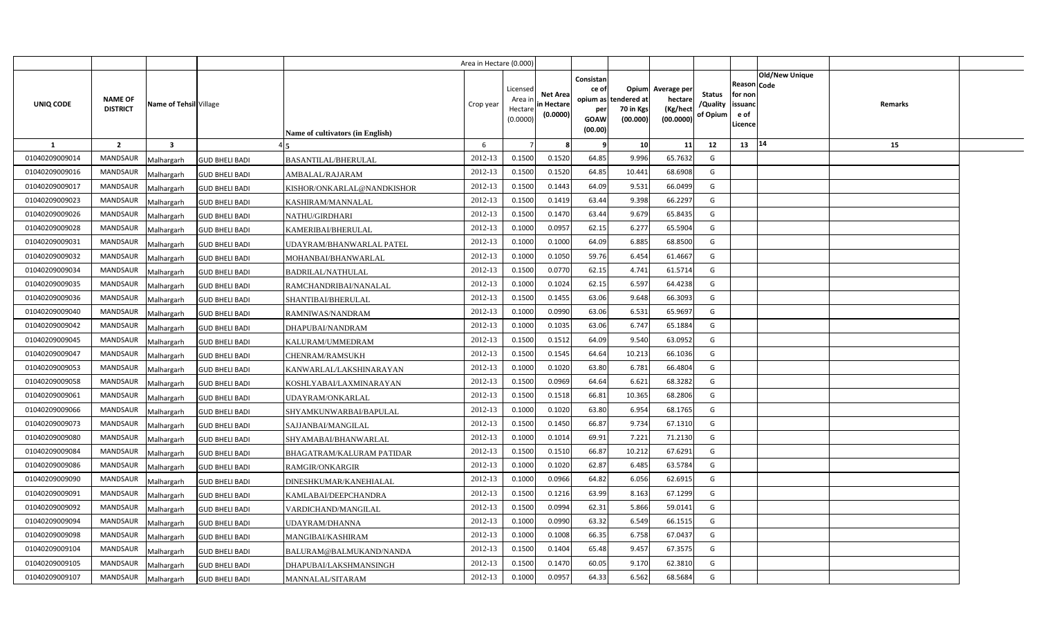|                |                                                             |                       |                                  | Area in Hectare (0.000) |                                            |                                           |                                                     |                                                        |                                                 |                                       |                                                                               |         |  |
|----------------|-------------------------------------------------------------|-----------------------|----------------------------------|-------------------------|--------------------------------------------|-------------------------------------------|-----------------------------------------------------|--------------------------------------------------------|-------------------------------------------------|---------------------------------------|-------------------------------------------------------------------------------|---------|--|
| UNIQ CODE      | <b>NAME OF</b><br>Name of Tehsil Village<br><b>DISTRICT</b> |                       | Name of cultivators (in English) | Crop year               | Licensed<br>Area ir<br>Hectare<br>(0.0000) | <b>Net Area</b><br>in Hectare<br>(0.0000) | Consistan<br>ce of<br>per<br><b>GOAW</b><br>(00.00) | Opium<br>opium as tendered at<br>70 in Kgs<br>(00.000) | Average per<br>hectare<br>(Kg/heci<br>(00.0000) | <b>Status</b><br>/Quality<br>of Opium | <b>Old/New Unique</b><br>Reason Code<br>for non<br>issuanc<br>e of<br>.icence | Remarks |  |
| 1              | $\overline{2}$<br>$\overline{\mathbf{3}}$                   |                       |                                  | 6                       |                                            |                                           | -9                                                  | 10                                                     | 11                                              | 12                                    | 14<br>13                                                                      | 15      |  |
| 01040209009014 | <b>MANDSAUR</b><br>Malhargarh                               | <b>GUD BHELI BADI</b> | <b>BASANTILAL/BHERULAL</b>       | 2012-13                 | 0.1500                                     | 0.1520                                    | 64.85                                               | 9.996                                                  | 65.7632                                         | G                                     |                                                                               |         |  |
| 01040209009016 | MANDSAUR<br>Malhargarh                                      | <b>GUD BHELI BADI</b> | AMBALAL/RAJARAM                  | 2012-13                 | 0.1500                                     | 0.1520                                    | 64.85                                               | 10.441                                                 | 68.6908                                         | G                                     |                                                                               |         |  |
| 01040209009017 | <b>MANDSAUR</b><br>Malhargarh                               | <b>GUD BHELI BADI</b> | KISHOR/ONKARLAL@NANDKISHOR       | 2012-13                 | 0.1500                                     | 0.1443                                    | 64.09                                               | 9.531                                                  | 66.0499                                         | G                                     |                                                                               |         |  |
| 01040209009023 | MANDSAUR<br>Malhargarh                                      | <b>GUD BHELI BADI</b> | KASHIRAM/MANNALAL                | 2012-13                 | 0.1500                                     | 0.1419                                    | 63.44                                               | 9.398                                                  | 66.2297                                         | G                                     |                                                                               |         |  |
| 01040209009026 | MANDSAUR<br>Malhargarh                                      | <b>GUD BHELI BADI</b> | NATHU/GIRDHARI                   | 2012-13                 | 0.1500                                     | 0.1470                                    | 63.44                                               | 9.679                                                  | 65.8435                                         | G                                     |                                                                               |         |  |
| 01040209009028 | <b>MANDSAUR</b><br>Malhargarh                               | <b>GUD BHELI BADI</b> | KAMERIBAI/BHERULAL               | 2012-13                 | 0.1000                                     | 0.0957                                    | 62.15                                               | 6.277                                                  | 65.5904                                         | G                                     |                                                                               |         |  |
| 01040209009031 | MANDSAUR<br>Malhargarh                                      | <b>GUD BHELI BADI</b> | UDAYRAM/BHANWARLAL PATEL         | 2012-13                 | 0.1000                                     | 0.1000                                    | 64.09                                               | 6.885                                                  | 68.8500                                         | G                                     |                                                                               |         |  |
| 01040209009032 | <b>MANDSAUR</b><br>Malhargarh                               | <b>GUD BHELI BADI</b> | MOHANBAI/BHANWARLAL              | 2012-13                 | 0.1000                                     | 0.1050                                    | 59.76                                               | 6.454                                                  | 61.466                                          | G                                     |                                                                               |         |  |
| 01040209009034 | MANDSAUR<br>Malhargarh                                      | <b>GUD BHELI BADI</b> | BADRILAL/NATHULAL                | 2012-13                 | 0.1500                                     | 0.077                                     | 62.15                                               | 4.741                                                  | 61.5714                                         | G                                     |                                                                               |         |  |
| 01040209009035 | MANDSAUR<br>Malhargarh                                      | <b>GUD BHELI BADI</b> | RAMCHANDRIBAI/NANALAL            | 2012-13                 | 0.1000                                     | 0.1024                                    | 62.15                                               | 6.597                                                  | 64.4238                                         | G                                     |                                                                               |         |  |
| 01040209009036 | <b>MANDSAUR</b><br>Malhargarh                               | <b>GUD BHELI BADI</b> | SHANTIBAI/BHERULAL               | 2012-13                 | 0.1500                                     | 0.1455                                    | 63.06                                               | 9.648                                                  | 66.3093                                         | G                                     |                                                                               |         |  |
| 01040209009040 | MANDSAUR<br>Malhargarh                                      | <b>GUD BHELI BADI</b> | RAMNIWAS/NANDRAM                 | 2012-13                 | 0.1000                                     | 0.0990                                    | 63.06                                               | 6.531                                                  | 65.9697                                         | G                                     |                                                                               |         |  |
| 01040209009042 | <b>MANDSAUR</b><br>Malhargarh                               | <b>GUD BHELI BADI</b> | DHAPUBAI/NANDRAM                 | 2012-13                 | 0.1000                                     | 0.1035                                    | 63.06                                               | 6.747                                                  | 65.1884                                         | G                                     |                                                                               |         |  |
| 01040209009045 | <b>MANDSAUR</b><br>Malhargarh                               | <b>GUD BHELI BADI</b> | KALURAM/UMMEDRAM                 | 2012-13                 | 0.1500                                     | 0.1512                                    | 64.09                                               | 9.540                                                  | 63.0952                                         | G                                     |                                                                               |         |  |
| 01040209009047 | <b>MANDSAUR</b><br>Malhargarh                               | <b>GUD BHELI BADI</b> | CHENRAM/RAMSUKH                  | 2012-13                 | 0.1500                                     | 0.1545                                    | 64.64                                               | 10.213                                                 | 66.1036                                         | G                                     |                                                                               |         |  |
| 01040209009053 | <b>MANDSAUR</b><br>Malhargarh                               | <b>GUD BHELI BADI</b> | KANWARLAL/LAKSHINARAYAN          | 2012-13                 | 0.1000                                     | 0.1020                                    | 63.80                                               | 6.781                                                  | 66.4804                                         | G                                     |                                                                               |         |  |
| 01040209009058 | <b>MANDSAUR</b><br>Malhargarh                               | <b>GUD BHELI BADI</b> | KOSHLYABAI/LAXMINARAYAN          | 2012-13                 | 0.1500                                     | 0.0969                                    | 64.64                                               | 6.621                                                  | 68.3282                                         | G                                     |                                                                               |         |  |
| 01040209009061 | <b>MANDSAUR</b><br>Malhargarh                               | <b>GUD BHELI BADI</b> | UDAYRAM/ONKARLAL                 | 2012-13                 | 0.1500                                     | 0.1518                                    | 66.81                                               | 10.365                                                 | 68.2806                                         | G                                     |                                                                               |         |  |
| 01040209009066 | <b>MANDSAUR</b><br>Malhargarh                               | <b>GUD BHELI BADI</b> | SHYAMKUNWARBAI/BAPULAL           | 2012-13                 | 0.1000                                     | 0.1020                                    | 63.80                                               | 6.954                                                  | 68.1765                                         | G                                     |                                                                               |         |  |
| 01040209009073 | <b>MANDSAUR</b><br>Malhargarh                               | <b>GUD BHELI BADI</b> | SAJJANBAI/MANGILAL               | 2012-13                 | 0.1500                                     | 0.1450                                    | 66.87                                               | 9.734                                                  | 67.1310                                         | G                                     |                                                                               |         |  |
| 01040209009080 | <b>MANDSAUR</b><br>Malhargarh                               | <b>GUD BHELI BADI</b> | SHYAMABAI/BHANWARLAL             | 2012-13                 | 0.1000                                     | 0.1014                                    | 69.91                                               | 7.221                                                  | 71.2130                                         | G                                     |                                                                               |         |  |
| 01040209009084 | MANDSAUR<br>Malhargarh                                      | <b>GUD BHELI BADI</b> | BHAGATRAM/KALURAM PATIDAR        | 2012-13                 | 0.1500                                     | 0.151(                                    | 66.87                                               | 10.212                                                 | 67.6291                                         | G                                     |                                                                               |         |  |
| 01040209009086 | MANDSAUR<br>Malhargarh                                      | <b>GUD BHELI BADI</b> | RAMGIR/ONKARGIR                  | 2012-13                 | 0.1000                                     | 0.1020                                    | 62.87                                               | 6.485                                                  | 63.5784                                         | G                                     |                                                                               |         |  |
| 01040209009090 | MANDSAUR<br>Malhargarh                                      | <b>GUD BHELI BADI</b> | DINESHKUMAR/KANEHIALAL           | 2012-13                 | 0.1000                                     | 0.0966                                    | 64.82                                               | 6.056                                                  | 62.6915                                         | G                                     |                                                                               |         |  |
| 01040209009091 | <b>MANDSAUR</b><br>Malhargarh                               | <b>GUD BHELI BADI</b> | KAMLABAI/DEEPCHANDRA             | 2012-13                 | 0.1500                                     | 0.1216                                    | 63.99                                               | 8.163                                                  | 67.1299                                         | G                                     |                                                                               |         |  |
| 01040209009092 | <b>MANDSAUR</b><br>Malhargarh                               | <b>GUD BHELI BADI</b> | VARDICHAND/MANGILAL              | 2012-13                 | 0.1500                                     | 0.0994                                    | 62.31                                               | 5.866                                                  | 59.0141                                         | G                                     |                                                                               |         |  |
| 01040209009094 | MANDSAUR<br>Malhargarh                                      | <b>GUD BHELI BADI</b> | JDAYRAM/DHANNA                   | 2012-13                 | 0.1000                                     | 0.0990                                    | 63.32                                               | 6.549                                                  | 66.1515                                         | G                                     |                                                                               |         |  |
| 01040209009098 | MANDSAUR<br>Malhargarh                                      | <b>GUD BHELI BADI</b> | <b>MANGIBAI/KASHIRAM</b>         | 2012-13                 | 0.1000                                     | 0.1008                                    | 66.35                                               | 6.758                                                  | 67.0437                                         | G                                     |                                                                               |         |  |
| 01040209009104 | MANDSAUR<br>Malhargarh                                      | <b>GUD BHELI BADI</b> | BALURAM@BALMUKAND/NANDA          | 2012-13                 | 0.1500                                     | 0.1404                                    | 65.48                                               | 9.457                                                  | 67.3575                                         | G                                     |                                                                               |         |  |
| 01040209009105 | MANDSAUR<br>Malhargarh                                      | <b>GUD BHELI BADI</b> | DHAPUBAI/LAKSHMANSINGH           | 2012-13                 | 0.1500                                     | 0.147                                     | 60.05                                               | 9.170                                                  | 62.381                                          | G                                     |                                                                               |         |  |
| 01040209009107 | <b>MANDSAUR</b><br>Malhargarh                               | <b>GUD BHELI BADI</b> | MANNALAL/SITARAM                 | 2012-13                 | 0.1000                                     | 0.0957                                    | 64.33                                               | 6.562                                                  | 68.5684                                         | G                                     |                                                                               |         |  |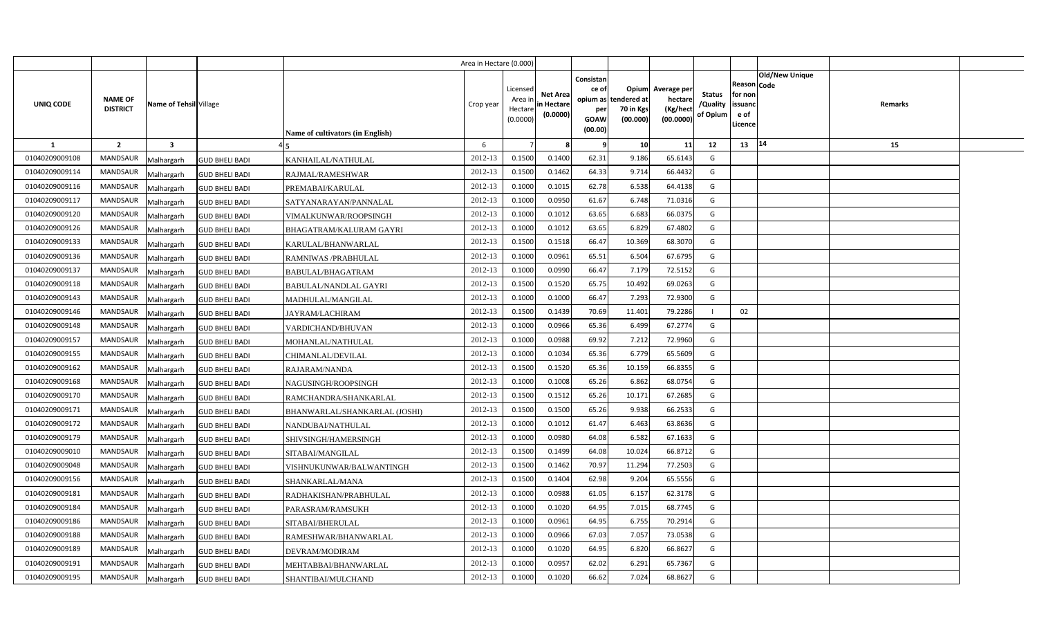|                |                            |                        |                       |                                  | Area in Hectare (0.000) |                                            |                                           |                                                     |                                                        |                                                 |                                       |                                                                        |         |  |
|----------------|----------------------------|------------------------|-----------------------|----------------------------------|-------------------------|--------------------------------------------|-------------------------------------------|-----------------------------------------------------|--------------------------------------------------------|-------------------------------------------------|---------------------------------------|------------------------------------------------------------------------|---------|--|
| UNIQ CODE      | NAME OF<br><b>DISTRICT</b> | Name of Tehsil Village |                       | Name of cultivators (in English) | Crop year               | Licensed<br>Area ir<br>Hectare<br>(0.0000) | <b>Net Area</b><br>in Hectare<br>(0.0000) | Consistan<br>ce of<br>per<br><b>GOAW</b><br>(00.00) | Opium<br>opium as tendered at<br>70 in Kgs<br>(00.000) | Average per<br>hectare<br>(Kg/hect<br>(00.0000) | <b>Status</b><br>/Quality<br>of Opium | Old/New Unique<br>Reason Code<br>for non<br>issuanc<br>e of<br>Licence | Remarks |  |
| 1              | $\overline{2}$             | $\mathbf{3}$           |                       |                                  | 6                       |                                            |                                           | - 9                                                 | 10                                                     | 11                                              | 12                                    | 14<br>13                                                               | 15      |  |
| 01040209009108 | <b>MANDSAUR</b>            | Malhargarh             | <b>GUD BHELI BADI</b> | KANHAILAL/NATHULAL               | 2012-13                 | 0.1500                                     | 0.1400                                    | 62.31                                               | 9.186                                                  | 65.6143                                         | G                                     |                                                                        |         |  |
| 01040209009114 | MANDSAUR                   | Malhargarh             | <b>GUD BHELI BADI</b> | RAJMAL/RAMESHWAR                 | 2012-13                 | 0.1500                                     | 0.1462                                    | 64.33                                               | 9.714                                                  | 66.4432                                         | G                                     |                                                                        |         |  |
| 01040209009116 | MANDSAUR                   | Malhargarh             | <b>GUD BHELI BADI</b> | PREMABAI/KARULAL                 | 2012-13                 | 0.1000                                     | 0.1015                                    | 62.78                                               | 6.538                                                  | 64.4138                                         | G                                     |                                                                        |         |  |
| 01040209009117 | MANDSAUR                   | Malhargarh             | <b>GUD BHELI BADI</b> | SATYANARAYAN/PANNALAL            | 2012-13                 | 0.1000                                     | 0.095                                     | 61.67                                               | 6.748                                                  | 71.0316                                         | G                                     |                                                                        |         |  |
| 01040209009120 | <b>MANDSAUR</b>            | Malhargarh             | <b>GUD BHELI BADI</b> | VIMALKUNWAR/ROOPSINGH            | 2012-13                 | 0.1000                                     | 0.1012                                    | 63.65                                               | 6.683                                                  | 66.037                                          | G                                     |                                                                        |         |  |
| 01040209009126 | MANDSAUR                   | Malhargarh             | <b>GUD BHELI BADI</b> | BHAGATRAM/KALURAM GAYRI          | 2012-13                 | 0.1000                                     | 0.1012                                    | 63.65                                               | 6.829                                                  | 67.4802                                         | G                                     |                                                                        |         |  |
| 01040209009133 | <b>MANDSAUR</b>            | Malhargarh             | <b>GUD BHELI BADI</b> | KARULAL/BHANWARLAL               | 2012-13                 | 0.1500                                     | 0.1518                                    | 66.47                                               | 10.369                                                 | 68.3070                                         | G                                     |                                                                        |         |  |
| 01040209009136 | <b>MANDSAUR</b>            | Malhargarh             | <b>GUD BHELI BADI</b> | RAMNIWAS / PRABHULAL             | 2012-13                 | 0.1000                                     | 0.0961                                    | 65.51                                               | 6.504                                                  | 67.6795                                         | G                                     |                                                                        |         |  |
| 01040209009137 | MANDSAUR                   | Malhargarh             | <b>GUD BHELI BADI</b> | BABULAL/BHAGATRAM                | 2012-13                 | 0.1000                                     | 0.0990                                    | 66.47                                               | 7.179                                                  | 72.5152                                         | G                                     |                                                                        |         |  |
| 01040209009118 | <b>MANDSAUR</b>            | Malhargarh             | <b>GUD BHELI BADI</b> | BABULAL/NANDLAL GAYRI            | 2012-13                 | 0.1500                                     | 0.1520                                    | 65.75                                               | 10.492                                                 | 69.0263                                         | G                                     |                                                                        |         |  |
| 01040209009143 | MANDSAUR                   | Malhargarh             | <b>GUD BHELI BADI</b> | MADHULAL/MANGILAL                | 2012-13                 | 0.100                                      | 0.1000                                    | 66.47                                               | 7.293                                                  | 72.9300                                         | G                                     |                                                                        |         |  |
| 01040209009146 | MANDSAUR                   | Malhargarh             | <b>GUD BHELI BADI</b> | JAYRAM/LACHIRAM                  | 2012-13                 | 0.1500                                     | 0.1439                                    | 70.69                                               | 11.401                                                 | 79.2286                                         |                                       | 02                                                                     |         |  |
| 01040209009148 | <b>MANDSAUR</b>            | Malhargarh             | <b>GUD BHELI BADI</b> | VARDICHAND/BHUVAN                | 2012-13                 | 0.1000                                     | 0.0966                                    | 65.36                                               | 6.499                                                  | 67.2774                                         | G                                     |                                                                        |         |  |
| 01040209009157 | <b>MANDSAUR</b>            | Malhargarh             | <b>GUD BHELI BADI</b> | MOHANLAL/NATHULAL                | 2012-13                 | 0.1000                                     | 0.0988                                    | 69.92                                               | 7.212                                                  | 72.9960                                         | G                                     |                                                                        |         |  |
| 01040209009155 | <b>MANDSAUR</b>            | Malhargarh             | <b>GUD BHELI BADI</b> | CHIMANLAL/DEVILAL                | 2012-13                 | 0.1000                                     | 0.1034                                    | 65.36                                               | 6.779                                                  | 65.5609                                         | G                                     |                                                                        |         |  |
| 01040209009162 | <b>MANDSAUR</b>            | Malhargarh             | <b>GUD BHELI BADI</b> | RAJARAM/NANDA                    | 2012-13                 | 0.1500                                     | 0.1520                                    | 65.36                                               | 10.159                                                 | 66.8355                                         | G                                     |                                                                        |         |  |
| 01040209009168 | <b>MANDSAUR</b>            | Malhargarh             | <b>GUD BHELI BADI</b> | NAGUSINGH/ROOPSINGH              | 2012-13                 | 0.1000                                     | 0.1008                                    | 65.26                                               | 6.862                                                  | 68.0754                                         | G                                     |                                                                        |         |  |
| 01040209009170 | MANDSAUR                   | Malhargarh             | <b>GUD BHELI BADI</b> | RAMCHANDRA/SHANKARLAL            | 2012-13                 | 0.1500                                     | 0.1512                                    | 65.26                                               | 10.171                                                 | 67.2685                                         | G                                     |                                                                        |         |  |
| 01040209009171 | <b>MANDSAUR</b>            | Malhargarh             | <b>GUD BHELI BADI</b> | BHANWARLAL/SHANKARLAL (JOSHI)    | 2012-13                 | 0.1500                                     | 0.1500                                    | 65.26                                               | 9.938                                                  | 66.2533                                         | G                                     |                                                                        |         |  |
| 01040209009172 | <b>MANDSAUR</b>            | Malhargarh             | <b>GUD BHELI BADI</b> | NANDUBAI/NATHULAL                | 2012-13                 | 0.1000                                     | 0.1012                                    | 61.47                                               | 6.463                                                  | 63.8636                                         | G                                     |                                                                        |         |  |
| 01040209009179 | <b>MANDSAUR</b>            | Malhargarh             | <b>GUD BHELI BADI</b> | SHIVSINGH/HAMERSINGH             | 2012-13                 | 0.1000                                     | 0.0980                                    | 64.08                                               | 6.582                                                  | 67.1633                                         | G                                     |                                                                        |         |  |
| 01040209009010 | <b>MANDSAUR</b>            | Malhargarh             | <b>GUD BHELI BADI</b> | SITABAI/MANGILAL                 | 2012-13                 | 0.1500                                     | 0.1499                                    | 64.08                                               | 10.024                                                 | 66.8712                                         | G                                     |                                                                        |         |  |
| 01040209009048 | <b>MANDSAUR</b>            | Malhargarh             | <b>GUD BHELI BADI</b> | VISHNUKUNWAR/BALWANTINGH         | 2012-13                 | 0.1500                                     | 0.1462                                    | 70.97                                               | 11.294                                                 | 77.2503                                         | G                                     |                                                                        |         |  |
| 01040209009156 | MANDSAUR                   | Malhargarh             | <b>GUD BHELI BADI</b> | SHANKARLAL/MANA                  | 2012-13                 | 0.1500                                     | 0.1404                                    | 62.98                                               | 9.204                                                  | 65.5556                                         | G                                     |                                                                        |         |  |
| 01040209009181 | MANDSAUR                   | Malhargarh             | <b>GUD BHELI BADI</b> | RADHAKISHAN/PRABHULAL            | 2012-13                 | 0.1000                                     | 0.0988                                    | 61.05                                               | 6.157                                                  | 62.3178                                         | G                                     |                                                                        |         |  |
| 01040209009184 | MANDSAUR                   | Malhargarh             | <b>GUD BHELI BADI</b> | PARASRAM/RAMSUKH                 | 2012-13                 | 0.1000                                     | 0.1020                                    | 64.95                                               | 7.015                                                  | 68.7745                                         | G                                     |                                                                        |         |  |
| 01040209009186 | MANDSAUR                   | Malhargarh             | <b>GUD BHELI BADI</b> | SITABAI/BHERULAL                 | 2012-13                 | 0.1000                                     | 0.0961                                    | 64.95                                               | 6.755                                                  | 70.2914                                         | G                                     |                                                                        |         |  |
| 01040209009188 | MANDSAUR                   | Malhargarh             | <b>GUD BHELI BADI</b> | RAMESHWAR/BHANWARLAL             | 2012-13                 | 0.1000                                     | 0.0966                                    | 67.03                                               | 7.057                                                  | 73.0538                                         | G                                     |                                                                        |         |  |
| 01040209009189 | MANDSAUR                   | Malhargarh             | <b>GUD BHELI BADI</b> | DEVRAM/MODIRAM                   | 2012-13                 | 0.1000                                     | 0.1020                                    | 64.95                                               | 6.820                                                  | 66.8627                                         | G                                     |                                                                        |         |  |
| 01040209009191 | MANDSAUR                   | Malhargarh             | <b>GUD BHELI BADI</b> | MEHTABBAI/BHANWARLAL             | 2012-13                 | 0.1000                                     | 0.0957                                    | 62.02                                               | 6.291                                                  | 65.736                                          | G                                     |                                                                        |         |  |
| 01040209009195 | MANDSAUR                   | Malhargarh             | <b>GUD BHELI BADI</b> | SHANTIBAI/MULCHAND               | 2012-13                 | 0.1000                                     | 0.1020                                    | 66.62                                               | 7.024                                                  | 68.8627                                         | G                                     |                                                                        |         |  |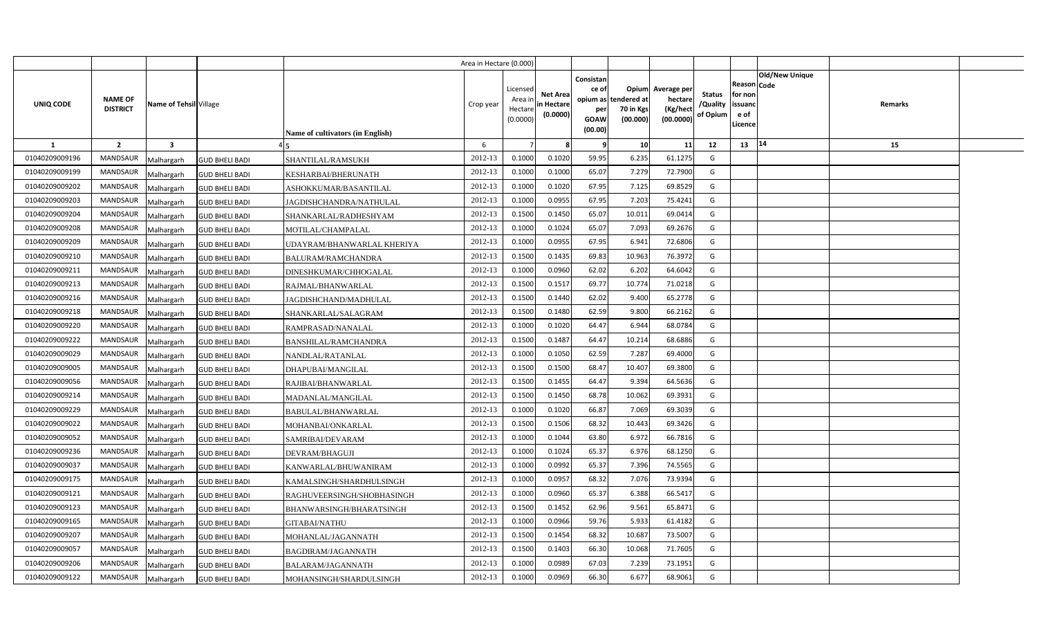|                |                                                             |                       |                                  | Area in Hectare (0.000) |                                            |                                           |                                                     |                                                        |                                                 |                                       |                                                                               |         |  |
|----------------|-------------------------------------------------------------|-----------------------|----------------------------------|-------------------------|--------------------------------------------|-------------------------------------------|-----------------------------------------------------|--------------------------------------------------------|-------------------------------------------------|---------------------------------------|-------------------------------------------------------------------------------|---------|--|
| UNIQ CODE      | <b>NAME OF</b><br>Name of Tehsil Village<br><b>DISTRICT</b> |                       | Name of cultivators (in English) | Crop year               | Licensed<br>Area ir<br>Hectare<br>(0.0000) | <b>Net Area</b><br>in Hectare<br>(0.0000) | Consistan<br>ce of<br>per<br><b>GOAW</b><br>(00.00) | Opium<br>opium as tendered at<br>70 in Kgs<br>(00.000) | Average per<br>hectare<br>(Kg/heci<br>(00.0000) | <b>Status</b><br>/Quality<br>of Opium | <b>Old/New Unique</b><br>Reason Code<br>for non<br>issuanc<br>e of<br>.icence | Remarks |  |
| <b>1</b>       | $\overline{2}$<br>$\overline{\mathbf{3}}$                   |                       |                                  | 6                       |                                            |                                           | -9                                                  | 10                                                     | 11                                              | 12                                    | 14<br>13                                                                      | 15      |  |
| 01040209009196 | <b>MANDSAUR</b><br>Malhargarh                               | <b>GUD BHELI BADI</b> | <b>SHANTILAL/RAMSUKH</b>         | 2012-13                 | 0.1000                                     | 0.1020                                    | 59.95                                               | 6.235                                                  | 61.1275                                         | G                                     |                                                                               |         |  |
| 01040209009199 | MANDSAUR<br>Malhargarh                                      | <b>GUD BHELI BADI</b> | KESHARBAI/BHERUNATH              | 2012-13                 | 0.1000                                     | 0.1000                                    | 65.07                                               | 7.279                                                  | 72.7900                                         | G                                     |                                                                               |         |  |
| 01040209009202 | <b>MANDSAUR</b><br>Malhargarh                               | <b>GUD BHELI BADI</b> | ASHOKKUMAR/BASANTILAL            | 2012-13                 | 0.1000                                     | 0.1020                                    | 67.95                                               | 7.125                                                  | 69.8529                                         | G                                     |                                                                               |         |  |
| 01040209009203 | MANDSAUR<br>Malhargarh                                      | <b>GUD BHELI BADI</b> | JAGDISHCHANDRA/NATHULAL          | 2012-13                 | 0.1000                                     | 0.0955                                    | 67.95                                               | 7.203                                                  | 75.4241                                         | G                                     |                                                                               |         |  |
| 01040209009204 | MANDSAUR<br>Malhargarh                                      | <b>GUD BHELI BADI</b> | SHANKARLAL/RADHESHYAM            | 2012-13                 | 0.1500                                     | 0.1450                                    | 65.07                                               | 10.011                                                 | 69.0414                                         | G                                     |                                                                               |         |  |
| 01040209009208 | <b>MANDSAUR</b><br>Malhargarh                               | <b>GUD BHELI BADI</b> | MOTILAL/CHAMPALAL                | 2012-13                 | 0.1000                                     | 0.1024                                    | 65.07                                               | 7.093                                                  | 69.2676                                         | G                                     |                                                                               |         |  |
| 01040209009209 | MANDSAUR<br>Malhargarh                                      | <b>GUD BHELI BADI</b> | UDAYRAM/BHANWARLAL KHERIYA       | 2012-13                 | 0.1000                                     | 0.0955                                    | 67.95                                               | 6.941                                                  | 72.6806                                         | G                                     |                                                                               |         |  |
| 01040209009210 | <b>MANDSAUR</b><br>Malhargarh                               | <b>GUD BHELI BADI</b> | BALURAM/RAMCHANDRA               | 2012-13                 | 0.1500                                     | 0.1435                                    | 69.83                                               | 10.963                                                 | 76.3972                                         | G                                     |                                                                               |         |  |
| 01040209009211 | <b>MANDSAUR</b><br>Malhargarh                               | <b>GUD BHELI BADI</b> | DINESHKUMAR/CHHOGALAL            | 2012-13                 | 0.1000                                     | 0.0960                                    | 62.02                                               | 6.202                                                  | 64.6042                                         | G                                     |                                                                               |         |  |
| 01040209009213 | MANDSAUR<br>Malhargarh                                      | <b>GUD BHELI BADI</b> | RAJMAL/BHANWARLAL                | 2012-13                 | 0.1500                                     | 0.151                                     | 69.77                                               | 10.774                                                 | 71.0218                                         | G                                     |                                                                               |         |  |
| 01040209009216 | <b>MANDSAUR</b><br>Malhargarh                               | <b>GUD BHELI BADI</b> | JAGDISHCHAND/MADHULAL            | 2012-13                 | 0.1500                                     | 0.1440                                    | 62.02                                               | 9.400                                                  | 65.2778                                         | G                                     |                                                                               |         |  |
| 01040209009218 | MANDSAUR<br>Malhargarh                                      | <b>GUD BHELI BADI</b> | SHANKARLAL/SALAGRAM              | 2012-13                 | 0.1500                                     | 0.1480                                    | 62.59                                               | 9.800                                                  | 66.2162                                         | G                                     |                                                                               |         |  |
| 01040209009220 | <b>MANDSAUR</b><br>Malhargarh                               | <b>GUD BHELI BADI</b> | RAMPRASAD/NANALAL                | 2012-13                 | 0.1000                                     | 0.1020                                    | 64.47                                               | 6.944                                                  | 68.0784                                         | G                                     |                                                                               |         |  |
| 01040209009222 | <b>MANDSAUR</b><br>Malhargarh                               | <b>GUD BHELI BADI</b> | BANSHILAL/RAMCHANDRA             | 2012-13                 | 0.1500                                     | 0.1487                                    | 64.47                                               | 10.214                                                 | 68.6886                                         | G                                     |                                                                               |         |  |
| 01040209009029 | <b>MANDSAUR</b><br>Malhargarh                               | <b>GUD BHELI BADI</b> | NANDLAL/RATANLAL                 | 2012-13                 | 0.1000                                     | 0.1050                                    | 62.59                                               | 7.287                                                  | 69.4000                                         | G                                     |                                                                               |         |  |
| 01040209009005 | <b>MANDSAUR</b><br>Malhargarh                               | <b>GUD BHELI BADI</b> | DHAPUBAI/MANGILAL                | 2012-13                 | 0.1500                                     | 0.1500                                    | 68.47                                               | 10.407                                                 | 69.3800                                         | G                                     |                                                                               |         |  |
| 01040209009056 | <b>MANDSAUR</b><br>Malhargarh                               | <b>GUD BHELI BADI</b> | RAJIBAI/BHANWARLAL               | 2012-13                 | 0.1500                                     | 0.1455                                    | 64.47                                               | 9.394                                                  | 64.5636                                         | G                                     |                                                                               |         |  |
| 01040209009214 | <b>MANDSAUR</b><br>Malhargarh                               | <b>GUD BHELI BADI</b> | MADANLAL/MANGILAL                | 2012-13                 | 0.1500                                     | 0.1450                                    | 68.78                                               | 10.062                                                 | 69.3931                                         | G                                     |                                                                               |         |  |
| 01040209009229 | <b>MANDSAUR</b><br>Malhargarh                               | <b>GUD BHELI BADI</b> | BABULAL/BHANWARLAL               | 2012-13                 | 0.1000                                     | 0.1020                                    | 66.87                                               | 7.069                                                  | 69.3039                                         | G                                     |                                                                               |         |  |
| 01040209009022 | <b>MANDSAUR</b><br>Malhargarh                               | <b>GUD BHELI BADI</b> | MOHANBAI/ONKARLAL                | 2012-13                 | 0.1500                                     | 0.1506                                    | 68.32                                               | 10.443                                                 | 69.3426                                         | G                                     |                                                                               |         |  |
| 01040209009052 | <b>MANDSAUR</b><br>Malhargarh                               | <b>GUD BHELI BADI</b> | SAMRIBAI/DEVARAM                 | 2012-13                 | 0.1000                                     | 0.1044                                    | 63.80                                               | 6.972                                                  | 66.7816                                         | G                                     |                                                                               |         |  |
| 01040209009236 | MANDSAUR<br>Malhargarh                                      | <b>GUD BHELI BADI</b> | DEVRAM/BHAGUJI                   | 2012-13                 | 0.1000                                     | 0.1024                                    | 65.37                                               | 6.976                                                  | 68.1250                                         | G                                     |                                                                               |         |  |
| 01040209009037 | MANDSAUR<br>Malhargarh                                      | <b>GUD BHELI BADI</b> | KANWARLAL/BHUWANIRAM             | 2012-13                 | 0.1000                                     | 0.0992                                    | 65.37                                               | 7.396                                                  | 74.5565                                         | G                                     |                                                                               |         |  |
| 01040209009175 | MANDSAUR<br>Malhargarh                                      | <b>GUD BHELI BADI</b> | KAMALSINGH/SHARDHULSINGH         | 2012-13                 | 0.1000                                     | 0.0957                                    | 68.32                                               | 7.076                                                  | 73.9394                                         | G                                     |                                                                               |         |  |
| 01040209009121 | <b>MANDSAUR</b><br>Malhargarh                               | <b>GUD BHELI BADI</b> | RAGHUVEERSINGH/SHOBHASINGH       | 2012-13                 | 0.1000                                     | 0.0960                                    | 65.37                                               | 6.388                                                  | 66.5417                                         | G                                     |                                                                               |         |  |
| 01040209009123 | <b>MANDSAUR</b><br>Malhargarh                               | <b>GUD BHELI BADI</b> | BHANWARSINGH/BHARATSINGH         | 2012-13                 | 0.1500                                     | 0.1452                                    | 62.96                                               | 9.561                                                  | 65.8471                                         | G                                     |                                                                               |         |  |
| 01040209009165 | MANDSAUR<br>Malhargarh                                      | <b>GUD BHELI BADI</b> | GITABAI/NATHU                    | 2012-13                 | 0.1000                                     | 0.0966                                    | 59.76                                               | 5.933                                                  | 61.4182                                         | G                                     |                                                                               |         |  |
| 01040209009207 | MANDSAUR<br>Malhargarh                                      | <b>GUD BHELI BADI</b> | MOHANLAL/JAGANNATH               | 2012-13                 | 0.1500                                     | 0.1454                                    | 68.32                                               | 10.687                                                 | 73.500                                          | G                                     |                                                                               |         |  |
| 01040209009057 | MANDSAUR<br>Malhargarh                                      | <b>GUD BHELI BADI</b> | BAGDIRAM/JAGANNATH               | 2012-13                 | 0.1500                                     | 0.1403                                    | 66.30                                               | 10.068                                                 | 71.7605                                         | G                                     |                                                                               |         |  |
| 01040209009206 | MANDSAUR<br>Malhargarh                                      | <b>GUD BHELI BADI</b> | BALARAM/JAGANNATH                | 2012-13                 | 0.1000                                     | 0.0989                                    | 67.03                                               | 7.239                                                  | 73.1951                                         | G                                     |                                                                               |         |  |
| 01040209009122 | MANDSAUR<br>Malhargarh                                      | <b>GUD BHELI BADI</b> | MOHANSINGH/SHARDULSINGH          | 2012-13                 | 0.1000                                     | 0.0969                                    | 66.30                                               | 6.677                                                  | 68.9061                                         | G                                     |                                                                               |         |  |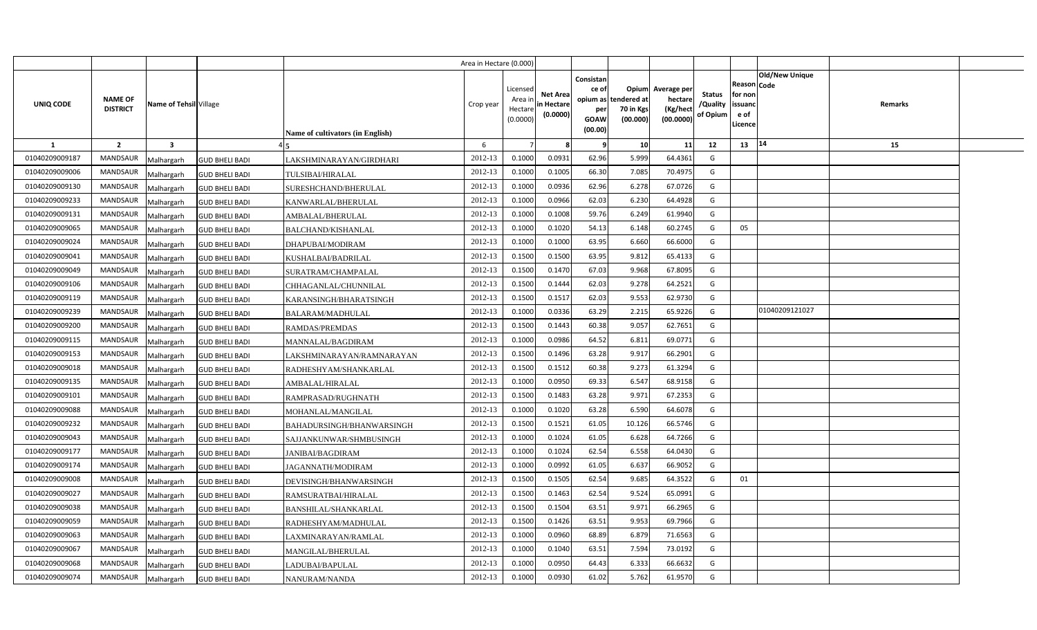|                |                                   |                                     |                                         | Area in Hectare (0.000) |                                            |                                           |                                                     |                                                        |                                                 |                                       |                                                      |                       |         |  |
|----------------|-----------------------------------|-------------------------------------|-----------------------------------------|-------------------------|--------------------------------------------|-------------------------------------------|-----------------------------------------------------|--------------------------------------------------------|-------------------------------------------------|---------------------------------------|------------------------------------------------------|-----------------------|---------|--|
| UNIQ CODE      | <b>NAME OF</b><br><b>DISTRICT</b> | Name of Tehsil Village              | <b>Name of cultivators (in English)</b> | Crop year               | Licensed<br>Area ir<br>Hectare<br>(0.0000) | <b>Net Area</b><br>in Hectare<br>(0.0000) | Consistan<br>ce of<br>per<br><b>GOAW</b><br>(00.00) | Opium<br>opium as tendered at<br>70 in Kgs<br>(00.000) | Average per<br>hectare<br>(Kg/hect<br>(00.0000) | <b>Status</b><br>/Quality<br>of Opium | Reason Code<br>for non<br>issuanc<br>e of<br>Licence | <b>Old/New Unique</b> | Remarks |  |
| 1              | $\overline{2}$                    | $\mathbf{3}$                        |                                         | 6                       |                                            |                                           | 9                                                   | 10                                                     | 11                                              | 12                                    | 13                                                   | 14                    | 15      |  |
| 01040209009187 | <b>MANDSAUR</b>                   | Malhargarh<br><b>GUD BHELI BADI</b> | LAKSHMINARAYAN/GIRDHARI                 | 2012-13                 | 0.1000                                     | 0.0931                                    | 62.96                                               | 5.999                                                  | 64.4361                                         | G                                     |                                                      |                       |         |  |
| 01040209009006 | MANDSAUR                          | Malhargarh<br><b>GUD BHELI BADI</b> | <b>TULSIBAI/HIRALAL</b>                 | 2012-13                 | 0.1000                                     | 0.1005                                    | 66.30                                               | 7.085                                                  | 70.4975                                         | G                                     |                                                      |                       |         |  |
| 01040209009130 | <b>MANDSAUR</b>                   | Malhargarh<br><b>GUD BHELI BADI</b> | SURESHCHAND/BHERULAL                    | 2012-13                 | 0.1000                                     | 0.0936                                    | 62.96                                               | 6.278                                                  | 67.0726                                         | G                                     |                                                      |                       |         |  |
| 01040209009233 | <b>MANDSAUR</b>                   | Malhargarh<br><b>GUD BHELI BADI</b> | KANWARLAL/BHERULAL                      | 2012-13                 | 0.1000                                     | 0.0966                                    | 62.03                                               | 6.230                                                  | 64.4928                                         | G                                     |                                                      |                       |         |  |
| 01040209009131 | <b>MANDSAUR</b>                   | Malhargarh<br><b>GUD BHELI BADI</b> | AMBALAL/BHERULAL                        | 2012-13                 | 0.100                                      | 0.1008                                    | 59.76                                               | 6.249                                                  | 61.9940                                         | G                                     |                                                      |                       |         |  |
| 01040209009065 | <b>MANDSAUR</b>                   | Malhargarh<br><b>GUD BHELI BADI</b> | BALCHAND/KISHANLAL                      | 2012-13                 | 0.1000                                     | 0.1020                                    | 54.13                                               | 6.148                                                  | 60.2745                                         | G                                     | 05                                                   |                       |         |  |
| 01040209009024 | <b>MANDSAUR</b>                   | Malhargarh<br><b>GUD BHELI BADI</b> | DHAPUBAI/MODIRAM                        | 2012-13                 | 0.1000                                     | 0.1000                                    | 63.95                                               | 6.660                                                  | 66.6000                                         | G                                     |                                                      |                       |         |  |
| 01040209009041 | <b>MANDSAUR</b>                   | Malhargarh<br><b>GUD BHELI BADI</b> | KUSHALBAI/BADRILAL                      | 2012-13                 | 0.1500                                     | 0.1500                                    | 63.95                                               | 9.812                                                  | 65.4133                                         | G                                     |                                                      |                       |         |  |
| 01040209009049 | <b>MANDSAUR</b>                   | <b>GUD BHELI BADI</b><br>Malhargarh | SURATRAM/CHAMPALAL                      | 2012-13                 | 0.1500                                     | 0.1470                                    | 67.03                                               | 9.968                                                  | 67.8095                                         | G                                     |                                                      |                       |         |  |
| 01040209009106 | <b>MANDSAUR</b>                   | Malhargarh<br><b>GUD BHELI BADI</b> | CHHAGANLAL/CHUNNILAL                    | 2012-13                 | 0.1500                                     | 0.1444                                    | 62.03                                               | 9.278                                                  | 64.2521                                         | G                                     |                                                      |                       |         |  |
| 01040209009119 | <b>MANDSAUR</b>                   | Malhargarh<br><b>GUD BHELI BADI</b> | KARANSINGH/BHARATSINGH                  | 2012-13                 | 0.1500                                     | 0.151                                     | 62.03                                               | 9.553                                                  | 62.9730                                         | G                                     |                                                      |                       |         |  |
| 01040209009239 | <b>MANDSAUR</b>                   | Malhargarh<br><b>GUD BHELI BADI</b> | <b>BALARAM/MADHULAL</b>                 | 2012-13                 | 0.100                                      | 0.0336                                    | 63.29                                               | 2.215                                                  | 65.9226                                         | G                                     |                                                      | 01040209121027        |         |  |
| 01040209009200 | MANDSAUR                          | Malhargarh<br><b>GUD BHELI BADI</b> | <b>RAMDAS/PREMDAS</b>                   | 2012-13                 | 0.1500                                     | 0.1443                                    | 60.38                                               | 9.057                                                  | 62.7651                                         | G                                     |                                                      |                       |         |  |
| 01040209009115 | MANDSAUR                          | Malhargarh<br><b>GUD BHELI BADI</b> | MANNALAL/BAGDIRAM                       | 2012-13                 | 0.1000                                     | 0.0986                                    | 64.52                                               | 6.811                                                  | 69.0771                                         | G                                     |                                                      |                       |         |  |
| 01040209009153 | MANDSAUR                          | Malhargarh<br><b>GUD BHELI BADI</b> | LAKSHMINARAYAN/RAMNARAYAN               | 2012-13                 | 0.1500                                     | 0.1496                                    | 63.28                                               | 9.917                                                  | 66.2901                                         | G                                     |                                                      |                       |         |  |
| 01040209009018 | MANDSAUR                          | Malhargarh<br><b>GUD BHELI BADI</b> | RADHESHYAM/SHANKARLAL                   | 2012-13                 | 0.1500                                     | 0.1512                                    | 60.38                                               | 9.273                                                  | 61.3294                                         | G                                     |                                                      |                       |         |  |
| 01040209009135 | MANDSAUR                          | Malhargarh<br><b>GUD BHELI BADI</b> | AMBALAL/HIRALAL                         | 2012-13                 | 0.1000                                     | 0.0950                                    | 69.33                                               | 6.547                                                  | 68.9158                                         | G                                     |                                                      |                       |         |  |
| 01040209009101 | MANDSAUR                          | Malhargarh<br><b>GUD BHELI BADI</b> | RAMPRASAD/RUGHNATH                      | 2012-13                 | 0.1500                                     | 0.1483                                    | 63.28                                               | 9.971                                                  | 67.2353                                         | G                                     |                                                      |                       |         |  |
| 01040209009088 | <b>MANDSAUR</b>                   | Malhargarh<br><b>GUD BHELI BADI</b> | MOHANLAL/MANGILAL                       | 2012-13                 | 0.1000                                     | 0.1020                                    | 63.28                                               | 6.590                                                  | 64.6078                                         | G                                     |                                                      |                       |         |  |
| 01040209009232 | <b>MANDSAUR</b>                   | Malhargarh<br><b>GUD BHELI BADI</b> | BAHADURSINGH/BHANWARSINGH               | 2012-13                 | 0.1500                                     | 0.1521                                    | 61.05                                               | 10.126                                                 | 66.5746                                         | G                                     |                                                      |                       |         |  |
| 01040209009043 | <b>MANDSAUR</b>                   | Malhargarh<br><b>GUD BHELI BADI</b> | SAJJANKUNWAR/SHMBUSINGH                 | 2012-13                 | 0.1000                                     | 0.1024                                    | 61.05                                               | 6.628                                                  | 64.7266                                         | G                                     |                                                      |                       |         |  |
| 01040209009177 | <b>MANDSAUR</b>                   | Malhargarh<br><b>GUD BHELI BADI</b> | <b>JANIBAI/BAGDIRAM</b>                 | 2012-13                 | 0.1000                                     | 0.1024                                    | 62.54                                               | 6.558                                                  | 64.0430                                         | G                                     |                                                      |                       |         |  |
| 01040209009174 | <b>MANDSAUR</b>                   | Malhargarh<br><b>GUD BHELI BADI</b> | JAGANNATH/MODIRAM                       | 2012-13                 | 0.1000                                     | 0.0992                                    | 61.05                                               | 6.637                                                  | 66.9052                                         | G                                     |                                                      |                       |         |  |
| 01040209009008 | MANDSAUR                          | Malhargarh<br><b>GUD BHELI BADI</b> | DEVISINGH/BHANWARSINGH                  | 2012-13                 | 0.1500                                     | 0.1505                                    | 62.54                                               | 9.685                                                  | 64.3522                                         | G                                     | 01                                                   |                       |         |  |
| 01040209009027 | <b>MANDSAUR</b>                   | Malhargarh<br><b>GUD BHELI BADI</b> | RAMSURATBAI/HIRALAL                     | 2012-13                 | 0.1500                                     | 0.1463                                    | 62.54                                               | 9.524                                                  | 65.0991                                         | G                                     |                                                      |                       |         |  |
| 01040209009038 | <b>MANDSAUR</b>                   | Malhargarh<br><b>GUD BHELI BADI</b> | BANSHILAL/SHANKARLAL                    | 2012-13                 | 0.1500                                     | 0.1504                                    | 63.51                                               | 9.971                                                  | 66.2965                                         | G                                     |                                                      |                       |         |  |
| 01040209009059 | <b>MANDSAUR</b>                   | Malhargarh<br><b>GUD BHELI BADI</b> | RADHESHYAM/MADHULAL                     | 2012-13                 | 0.1500                                     | 0.1426                                    | 63.51                                               | 9.953                                                  | 69.7966                                         | G                                     |                                                      |                       |         |  |
| 01040209009063 | <b>MANDSAUR</b>                   | Malhargarh<br><b>GUD BHELI BADI</b> | LAXMINARAYAN/RAMLAL                     | 2012-13                 | 0.1000                                     | 0.0960                                    | 68.89                                               | 6.879                                                  | 71.6563                                         | G                                     |                                                      |                       |         |  |
| 01040209009067 | <b>MANDSAUR</b>                   | Malhargarh<br><b>GUD BHELI BADI</b> | MANGILAL/BHERULAL                       | 2012-13                 | 0.1000                                     | 0.1040                                    | 63.51                                               | 7.594                                                  | 73.0192                                         | G                                     |                                                      |                       |         |  |
| 01040209009068 | <b>MANDSAUR</b>                   | Malhargarh<br><b>GUD BHELI BADI</b> | LADUBAI/BAPULAL                         | 2012-13                 | 0.1000                                     | 0.0950                                    | 64.43                                               | 6.333                                                  | 66.6632                                         | G                                     |                                                      |                       |         |  |
| 01040209009074 | MANDSAUR                          | Malhargarh<br><b>GUD BHELI BADI</b> | NANURAM/NANDA                           | 2012-13                 | 0.100                                      | 0.0930                                    | 61.02                                               | 5.762                                                  | 61.9570                                         | G                                     |                                                      |                       |         |  |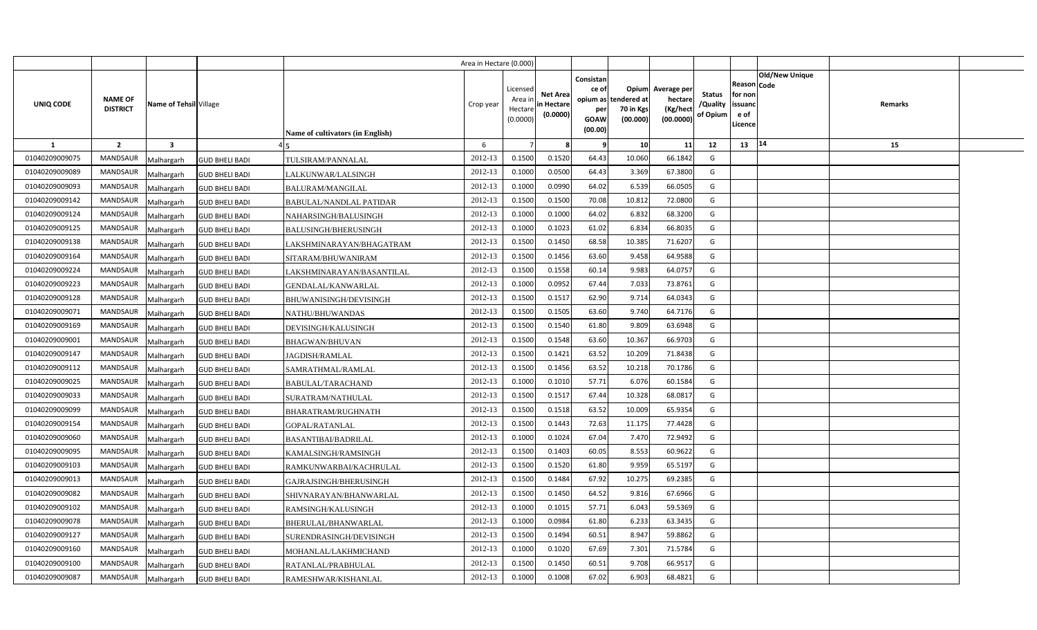|                |                                   |                                     |                                  | Area in Hectare (0.000) |                                            |                                           |                                                                             |                                |                                                 |                                       |                                                      |                |         |  |
|----------------|-----------------------------------|-------------------------------------|----------------------------------|-------------------------|--------------------------------------------|-------------------------------------------|-----------------------------------------------------------------------------|--------------------------------|-------------------------------------------------|---------------------------------------|------------------------------------------------------|----------------|---------|--|
| UNIQ CODE      | <b>NAME OF</b><br><b>DISTRICT</b> | Name of Tehsil Village              | Name of cultivators (in English) | Crop year               | Licensed<br>Area ir<br>Hectare<br>(0.0000) | <b>Net Area</b><br>in Hectare<br>(0.0000) | Consistan<br>ce of<br>opium as tendered at<br>per<br><b>GOAW</b><br>(00.00) | Opium<br>70 in Kgs<br>(00.000) | Average per<br>hectare<br>(Kg/hect<br>(00.0000) | <b>Status</b><br>/Quality<br>of Opium | Reason Code<br>for non<br>issuanc<br>e of<br>Licence | Old/New Unique | Remarks |  |
| 1              | $\overline{2}$                    | $\overline{\mathbf{3}}$             |                                  | 6                       |                                            |                                           | - 9                                                                         | 10                             | 11                                              | 12                                    | 13                                                   | 14             | 15      |  |
| 01040209009075 | <b>MANDSAUR</b>                   | Malhargarh<br><b>GUD BHELI BADI</b> | TULSIRAM/PANNALAL                | 2012-13                 | 0.1500                                     | 0.1520                                    | 64.43                                                                       | 10.060                         | 66.1842                                         | G                                     |                                                      |                |         |  |
| 01040209009089 | MANDSAUR                          | Malhargarh<br><b>GUD BHELI BADI</b> | LALKUNWAR/LALSINGH               | 2012-13                 | 0.1000                                     | 0.0500                                    | 64.43                                                                       | 3.369                          | 67.3800                                         | G                                     |                                                      |                |         |  |
| 01040209009093 | <b>MANDSAUR</b>                   | <b>GUD BHELI BADI</b><br>Malhargarh | <b>BALURAM/MANGILAL</b>          | 2012-13                 | 0.1000                                     | 0.0990                                    | 64.02                                                                       | 6.539                          | 66.0505                                         | G                                     |                                                      |                |         |  |
| 01040209009142 | MANDSAUR                          | Malhargarh<br><b>GUD BHELI BADI</b> | <b>BABULAL/NANDLAL PATIDAR</b>   | 2012-13                 | 0.1500                                     | 0.1500                                    | 70.08                                                                       | 10.812                         | 72.0800                                         | G                                     |                                                      |                |         |  |
| 01040209009124 | <b>MANDSAUR</b>                   | Malhargarh<br><b>GUD BHELI BADI</b> | NAHARSINGH/BALUSINGH             | 2012-13                 | 0.100                                      | 0.1000                                    | 64.02                                                                       | 6.832                          | 68.3200                                         | G                                     |                                                      |                |         |  |
| 01040209009125 | <b>MANDSAUR</b>                   | Malhargarh<br><b>GUD BHELI BADI</b> | <b>BALUSINGH/BHERUSINGH</b>      | 2012-13                 | 0.1000                                     | 0.1023                                    | 61.02                                                                       | 6.834                          | 66.8035                                         | G                                     |                                                      |                |         |  |
| 01040209009138 | <b>MANDSAUR</b>                   | Malhargarh<br><b>GUD BHELI BADI</b> | LAKSHMINARAYAN/BHAGATRAM         | 2012-13                 | 0.1500                                     | 0.1450                                    | 68.58                                                                       | 10.385                         | 71.6207                                         | G                                     |                                                      |                |         |  |
| 01040209009164 | <b>MANDSAUR</b>                   | Malhargarh<br><b>GUD BHELI BADI</b> | SITARAM/BHUWANIRAM               | 2012-13                 | 0.1500                                     | 0.1456                                    | 63.60                                                                       | 9.458                          | 64.9588                                         | G                                     |                                                      |                |         |  |
| 01040209009224 | MANDSAUR                          | <b>GUD BHELI BADI</b><br>Malhargarh | LAKSHMINARAYAN/BASANTILAL        | 2012-13                 | 0.1500                                     | 0.1558                                    | 60.14                                                                       | 9.983                          | 64.0757                                         | G                                     |                                                      |                |         |  |
| 01040209009223 | <b>MANDSAUR</b>                   | Malhargarh<br><b>GUD BHELI BADI</b> | GENDALAL/KANWARLAL               | 2012-13                 | 0.1000                                     | 0.0952                                    | 67.44                                                                       | 7.033                          | 73.8761                                         | G                                     |                                                      |                |         |  |
| 01040209009128 | <b>MANDSAUR</b>                   | Malhargarh<br><b>GUD BHELI BADI</b> | BHUWANISINGH/DEVISINGH           | 2012-13                 | 0.1500                                     | 0.151                                     | 62.90                                                                       | 9.714                          | 64.0343                                         | G                                     |                                                      |                |         |  |
| 01040209009071 | <b>MANDSAUR</b>                   | Malhargarh<br><b>GUD BHELI BADI</b> | NATHU/BHUWANDAS                  | 2012-13                 | 0.1500                                     | 0.1505                                    | 63.60                                                                       | 9.740                          | 64.7176                                         | G                                     |                                                      |                |         |  |
| 01040209009169 | MANDSAUR                          | Malhargarh<br><b>GUD BHELI BADI</b> | DEVISINGH/KALUSINGH              | 2012-13                 | 0.1500                                     | 0.1540                                    | 61.80                                                                       | 9.809                          | 63.6948                                         | G                                     |                                                      |                |         |  |
| 01040209009001 | MANDSAUR                          | Malhargarh<br><b>GUD BHELI BADI</b> | <b>BHAGWAN/BHUVAN</b>            | 2012-13                 | 0.1500                                     | 0.1548                                    | 63.60                                                                       | 10.367                         | 66.9703                                         | G                                     |                                                      |                |         |  |
| 01040209009147 | MANDSAUR                          | Malhargarh<br><b>GUD BHELI BADI</b> | JAGDISH/RAMLAL                   | 2012-13                 | 0.1500                                     | 0.1421                                    | 63.52                                                                       | 10.209                         | 71.8438                                         | G                                     |                                                      |                |         |  |
| 01040209009112 | MANDSAUR                          | Malhargarh<br><b>GUD BHELI BADI</b> | SAMRATHMAL/RAMLAL                | 2012-13                 | 0.1500                                     | 0.1456                                    | 63.52                                                                       | 10.218                         | 70.1786                                         | G                                     |                                                      |                |         |  |
| 01040209009025 | MANDSAUR                          | Malhargarh<br><b>GUD BHELI BADI</b> | <b>BABULAL/TARACHAND</b>         | 2012-13                 | 0.1000                                     | 0.1010                                    | 57.71                                                                       | 6.076                          | 60.1584                                         | G                                     |                                                      |                |         |  |
| 01040209009033 | MANDSAUR                          | Malhargarh<br><b>GUD BHELI BADI</b> | SURATRAM/NATHULAL                | 2012-13                 | 0.1500                                     | 0.151                                     | 67.44                                                                       | 10.328                         | 68.0817                                         | G                                     |                                                      |                |         |  |
| 01040209009099 | MANDSAUR                          | Malhargarh<br><b>GUD BHELI BADI</b> | BHARATRAM/RUGHNATH               | 2012-13                 | 0.1500                                     | 0.1518                                    | 63.52                                                                       | 10.009                         | 65.9354                                         | G                                     |                                                      |                |         |  |
| 01040209009154 | MANDSAUR                          | Malhargarh<br><b>GUD BHELI BADI</b> | GOPAL/RATANLAL                   | 2012-13                 | 0.1500                                     | 0.1443                                    | 72.63                                                                       | 11.175                         | 77.4428                                         | G                                     |                                                      |                |         |  |
| 01040209009060 | <b>MANDSAUR</b>                   | Malhargarh<br><b>GUD BHELI BADI</b> | BASANTIBAI/BADRILAL              | 2012-13                 | 0.1000                                     | 0.1024                                    | 67.04                                                                       | 7.470                          | 72.9492                                         | G                                     |                                                      |                |         |  |
| 01040209009095 | <b>MANDSAUR</b>                   | Malhargarh<br><b>GUD BHELI BADI</b> | KAMALSINGH/RAMSINGH              | 2012-13                 | 0.1500                                     | 0.1403                                    | 60.05                                                                       | 8.553                          | 60.9622                                         | G                                     |                                                      |                |         |  |
| 01040209009103 | <b>MANDSAUR</b>                   | Malhargarh<br><b>GUD BHELI BADI</b> | RAMKUNWARBAI/KACHRULAL           | 2012-13                 | 0.1500                                     | 0.1520                                    | 61.80                                                                       | 9.959                          | 65.5197                                         | G                                     |                                                      |                |         |  |
| 01040209009013 | MANDSAUR                          | Malhargarh<br><b>GUD BHELI BADI</b> | GAJRAJSINGH/BHERUSINGH           | 2012-13                 | 0.1500                                     | 0.1484                                    | 67.92                                                                       | 10.275                         | 69.2385                                         | G                                     |                                                      |                |         |  |
| 01040209009082 | <b>MANDSAUR</b>                   | Malhargarh<br><b>GUD BHELI BADI</b> | SHIVNARAYAN/BHANWARLAL           | 2012-13                 | 0.1500                                     | 0.1450                                    | 64.52                                                                       | 9.816                          | 67.6966                                         | G                                     |                                                      |                |         |  |
| 01040209009102 | <b>MANDSAUR</b>                   | Malhargarh<br><b>GUD BHELI BADI</b> | RAMSINGH/KALUSINGH               | 2012-13                 | 0.1000                                     | 0.1015                                    | 57.71                                                                       | 6.043                          | 59.5369                                         | G                                     |                                                      |                |         |  |
| 01040209009078 | <b>MANDSAUR</b>                   | Malhargarh<br><b>GUD BHELI BADI</b> | BHERULAL/BHANWARLAL              | 2012-13                 | 0.1000                                     | 0.0984                                    | 61.80                                                                       | 6.233                          | 63.3435                                         | G                                     |                                                      |                |         |  |
| 01040209009127 | <b>MANDSAUR</b>                   | Malhargarh<br><b>GUD BHELI BADI</b> | SURENDRASINGH/DEVISINGH          | 2012-13                 | 0.1500                                     | 0.1494                                    | 60.51                                                                       | 8.947                          | 59.8862                                         | G                                     |                                                      |                |         |  |
| 01040209009160 | <b>MANDSAUR</b>                   | <b>GUD BHELI BADI</b><br>Malhargarh | MOHANLAL/LAKHMICHAND             | 2012-13                 | 0.1000                                     | 0.1020                                    | 67.69                                                                       | 7.301                          | 71.5784                                         | G                                     |                                                      |                |         |  |
| 01040209009100 | <b>MANDSAUR</b>                   | Malhargarh<br><b>GUD BHELI BADI</b> | RATANLAL/PRABHULAL               | 2012-13                 | 0.1500                                     | 0.1450                                    | 60.51                                                                       | 9.708                          | 66.9517                                         | G                                     |                                                      |                |         |  |
| 01040209009087 | MANDSAUR                          | Malhargarh<br><b>GUD BHELI BADI</b> | RAMESHWAR/KISHANLAL              | 2012-13                 | 0.1000                                     | 0.1008                                    | 67.02                                                                       | 6.903                          | 68.4821                                         | G                                     |                                                      |                |         |  |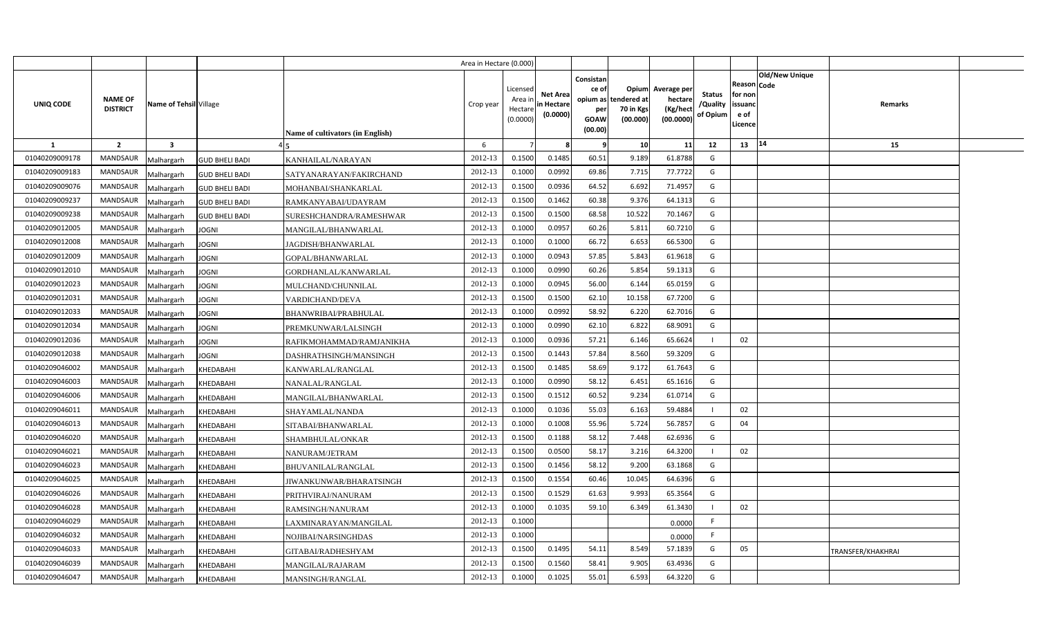|                |                                   |                                     |                                         | Area in Hectare (0.000) |                                            |                                           |                                                                      |                                |                                                 |                                       |                                                      |                       |                   |  |
|----------------|-----------------------------------|-------------------------------------|-----------------------------------------|-------------------------|--------------------------------------------|-------------------------------------------|----------------------------------------------------------------------|--------------------------------|-------------------------------------------------|---------------------------------------|------------------------------------------------------|-----------------------|-------------------|--|
| UNIQ CODE      | <b>NAME OF</b><br><b>DISTRICT</b> | Name of Tehsil Village              | <b>Name of cultivators (in English)</b> | Crop year               | Licensed<br>Area ir<br>Hectare<br>(0.0000) | <b>Net Area</b><br>in Hectare<br>(0.0000) | Consistan<br>ce of<br>opium as tendered at<br>per<br>GOAW<br>(00.00) | Opium<br>70 in Kgs<br>(00.000) | Average per<br>hectare<br>(Kg/hect<br>(00.0000) | <b>Status</b><br>/Quality<br>of Opium | Reason Code<br>for non<br>issuanc<br>e of<br>Licence | <b>Old/New Unique</b> | Remarks           |  |
| $\mathbf{1}$   | $\overline{2}$                    | $\overline{\mathbf{3}}$             |                                         | 6                       |                                            |                                           | -9                                                                   | 10                             | 11                                              | 12                                    | 13                                                   | 14                    | 15                |  |
| 01040209009178 | <b>MANDSAUR</b>                   | Malhargarh<br><b>GUD BHELI BADI</b> | KANHAILAL/NARAYAN                       | 2012-13                 | 0.1500                                     | 0.1485                                    | 60.51                                                                | 9.189                          | 61.8788                                         | G                                     |                                                      |                       |                   |  |
| 01040209009183 | <b>MANDSAUR</b>                   | <b>GUD BHELI BADI</b><br>Malhargarh | SATYANARAYAN/FAKIRCHAND                 | 2012-13                 | 0.1000                                     | 0.0992                                    | 69.86                                                                | 7.715                          | 77.7722                                         | G                                     |                                                      |                       |                   |  |
| 01040209009076 | MANDSAUR                          | Malhargarh<br><b>GUD BHELI BADI</b> | MOHANBAI/SHANKARLAL                     | 2012-13                 | 0.1500                                     | 0.0936                                    | 64.52                                                                | 6.692                          | 71.4957                                         | G                                     |                                                      |                       |                   |  |
| 01040209009237 | <b>MANDSAUR</b>                   | Malhargarh<br><b>GUD BHELI BADI</b> | RAMKANYABAI/UDAYRAM                     | 2012-13                 | 0.1500                                     | 0.1462                                    | 60.38                                                                | 9.376                          | 64.1313                                         | G                                     |                                                      |                       |                   |  |
| 01040209009238 | <b>MANDSAUR</b>                   | Malhargarh<br><b>GUD BHELI BADI</b> | SURESHCHANDRA/RAMESHWAR                 | 2012-13                 | 0.1500                                     | 0.1500                                    | 68.58                                                                | 10.522                         | 70.1467                                         | G                                     |                                                      |                       |                   |  |
| 01040209012005 | <b>MANDSAUR</b>                   | Malhargarh<br><b>JOGNI</b>          | MANGILAL/BHANWARLAL                     | 2012-13                 | 0.100                                      | 0.095                                     | 60.26                                                                | 5.811                          | 60.7210                                         | G                                     |                                                      |                       |                   |  |
| 01040209012008 | <b>MANDSAUR</b>                   | Malhargarh<br><b>JOGNI</b>          | JAGDISH/BHANWARLAL                      | 2012-13                 | 0.1000                                     | 0.1000                                    | 66.72                                                                | 6.653                          | 66.5300                                         | G                                     |                                                      |                       |                   |  |
| 01040209012009 | <b>MANDSAUR</b>                   | Malhargarh<br>JOGNI                 | GOPAL/BHANWARLAL                        | 2012-13                 | 0.1000                                     | 0.0943                                    | 57.85                                                                | 5.843                          | 61.9618                                         | G                                     |                                                      |                       |                   |  |
| 01040209012010 | <b>MANDSAUR</b>                   | Malhargarh<br><b>JOGNI</b>          | GORDHANLAL/KANWARLAL                    | 2012-13                 | 0.1000                                     | 0.0990                                    | 60.26                                                                | 5.854                          | 59.1313                                         | G                                     |                                                      |                       |                   |  |
| 01040209012023 | <b>MANDSAUR</b>                   | Malhargarh<br><b>JOGNI</b>          | MULCHAND/CHUNNILAL                      | 2012-13                 | 0.1000                                     | 0.0945                                    | 56.00                                                                | 6.144                          | 65.0159                                         | G                                     |                                                      |                       |                   |  |
| 01040209012031 | <b>MANDSAUR</b>                   | Malhargarh<br>JOGNI                 | VARDICHAND/DEVA                         | 2012-13                 | 0.1500                                     | 0.1500                                    | 62.10                                                                | 10.158                         | 67.7200                                         | G                                     |                                                      |                       |                   |  |
| 01040209012033 | <b>MANDSAUR</b>                   | Malhargarh<br>JOGNI                 | BHANWRIBAI/PRABHULAL                    | 2012-13                 | 0.1000                                     | 0.0992                                    | 58.92                                                                | 6.220                          | 62.7016                                         | G                                     |                                                      |                       |                   |  |
| 01040209012034 | <b>MANDSAUR</b>                   | Malhargarh<br><b>JOGNI</b>          | PREMKUNWAR/LALSINGH                     | 2012-13                 | 0.1000                                     | 0.0990                                    | 62.10                                                                | 6.822                          | 68.9091                                         | G                                     |                                                      |                       |                   |  |
| 01040209012036 | <b>MANDSAUR</b>                   | Malhargarh<br>JOGNI                 | RAFIKMOHAMMAD/RAMJANIKHA                | 2012-13                 | 0.1000                                     | 0.0936                                    | 57.21                                                                | 6.146                          | 65.6624                                         |                                       | 02                                                   |                       |                   |  |
| 01040209012038 | MANDSAUR                          | Malhargarh<br><b>JOGNI</b>          | DASHRATHSINGH/MANSINGH                  | 2012-13                 | 0.1500                                     | 0.1443                                    | 57.84                                                                | 8.560                          | 59.3209                                         | G                                     |                                                      |                       |                   |  |
| 01040209046002 | <b>MANDSAUR</b>                   | Malhargarh<br>KHEDABAHI             | KANWARLAL/RANGLAL                       | 2012-13                 | 0.1500                                     | 0.1485                                    | 58.69                                                                | 9.172                          | 61.7643                                         | G                                     |                                                      |                       |                   |  |
| 01040209046003 | MANDSAUR                          | Malhargarh<br>KHEDABAHI             | NANALAL/RANGLAL                         | 2012-13                 | 0.1000                                     | 0.0990                                    | 58.12                                                                | 6.451                          | 65.1616                                         | G                                     |                                                      |                       |                   |  |
| 01040209046006 | <b>MANDSAUR</b>                   | Malhargarh<br>KHEDABAHI             | MANGILAL/BHANWARLAL                     | 2012-13                 | 0.1500                                     | 0.1512                                    | 60.52                                                                | 9.234                          | 61.0714                                         | G                                     |                                                      |                       |                   |  |
| 01040209046011 | MANDSAUR                          | Malhargarh<br>KHEDABAHI             | SHAYAMLAL/NANDA                         | 2012-13                 | 0.1000                                     | 0.1036                                    | 55.03                                                                | 6.163                          | 59.4884                                         | -1                                    | 02                                                   |                       |                   |  |
| 01040209046013 | <b>MANDSAUR</b>                   | Malhargarh<br>KHEDABAHI             | SITABAI/BHANWARLAL                      | 2012-13                 | 0.1000                                     | 0.1008                                    | 55.96                                                                | 5.724                          | 56.7857                                         | G                                     | 04                                                   |                       |                   |  |
| 01040209046020 | <b>MANDSAUR</b>                   | Malhargarh<br>KHEDABAHI             | SHAMBHULAL/ONKAR                        | 2012-13                 | 0.1500                                     | 0.1188                                    | 58.12                                                                | 7.448                          | 62.6936                                         | G                                     |                                                      |                       |                   |  |
| 01040209046021 | <b>MANDSAUR</b>                   | Malhargarh<br>KHEDABAHI             | NANURAM/JETRAM                          | 2012-13                 | 0.1500                                     | 0.0500                                    | 58.17                                                                | 3.216                          | 64.3200                                         |                                       | 02                                                   |                       |                   |  |
| 01040209046023 | <b>MANDSAUR</b>                   | Malhargarh<br>KHEDABAHI             | BHUVANILAL/RANGLAL                      | 2012-13                 | 0.1500                                     | 0.1456                                    | 58.12                                                                | 9.200                          | 63.1868                                         | G                                     |                                                      |                       |                   |  |
| 01040209046025 | MANDSAUR                          | Malhargarh<br>KHEDABAHI             | JIWANKUNWAR/BHARATSINGH                 | 2012-13                 | 0.1500                                     | 0.1554                                    | 60.46                                                                | 10.045                         | 64.6396                                         | G                                     |                                                      |                       |                   |  |
| 01040209046026 | <b>MANDSAUR</b>                   | Malhargarh<br>KHEDABAHI             | PRITHVIRAJ/NANURAM                      | 2012-13                 | 0.1500                                     | 0.1529                                    | 61.63                                                                | 9.993                          | 65.3564                                         | G                                     |                                                      |                       |                   |  |
| 01040209046028 | <b>MANDSAUR</b>                   | Malhargarh<br>KHEDABAHI             | RAMSINGH/NANURAM                        | 2012-13                 | 0.1000                                     | 0.1035                                    | 59.10                                                                | 6.349                          | 61.3430                                         |                                       | 02                                                   |                       |                   |  |
| 01040209046029 | <b>MANDSAUR</b>                   | Malhargarh<br>KHEDABAHI             | LAXMINARAYAN/MANGILAL                   | 2012-13                 | 0.1000                                     |                                           |                                                                      |                                | 0.0000                                          | F                                     |                                                      |                       |                   |  |
| 01040209046032 | <b>MANDSAUR</b>                   | Malhargarh<br>KHEDABAHI             | NOJIBAI/NARSINGHDAS                     | 2012-13                 | 0.1000                                     |                                           |                                                                      |                                | 0.0000                                          | F                                     |                                                      |                       |                   |  |
| 01040209046033 | <b>MANDSAUR</b>                   | Malhargarh<br>KHEDABAHI             | GITABAI/RADHESHYAM                      | 2012-13                 | 0.1500                                     | 0.1495                                    | 54.11                                                                | 8.549                          | 57.1839                                         | G                                     | 05                                                   |                       | TRANSFER/KHAKHRAI |  |
| 01040209046039 | <b>MANDSAUR</b>                   | Malhargarh<br>KHEDABAHI             | MANGILAL/RAJARAM                        | 2012-13                 | 0.1500                                     | 0.1560                                    | 58.41                                                                | 9.905                          | 63.4936                                         | G                                     |                                                      |                       |                   |  |
| 01040209046047 | <b>MANDSAUR</b>                   | Malhargarh<br>KHEDABAHI             | MANSINGH/RANGLAL                        | 2012-13                 | 0.1000                                     | 0.1025                                    | 55.01                                                                | 6.593                          | 64.3220                                         | G                                     |                                                      |                       |                   |  |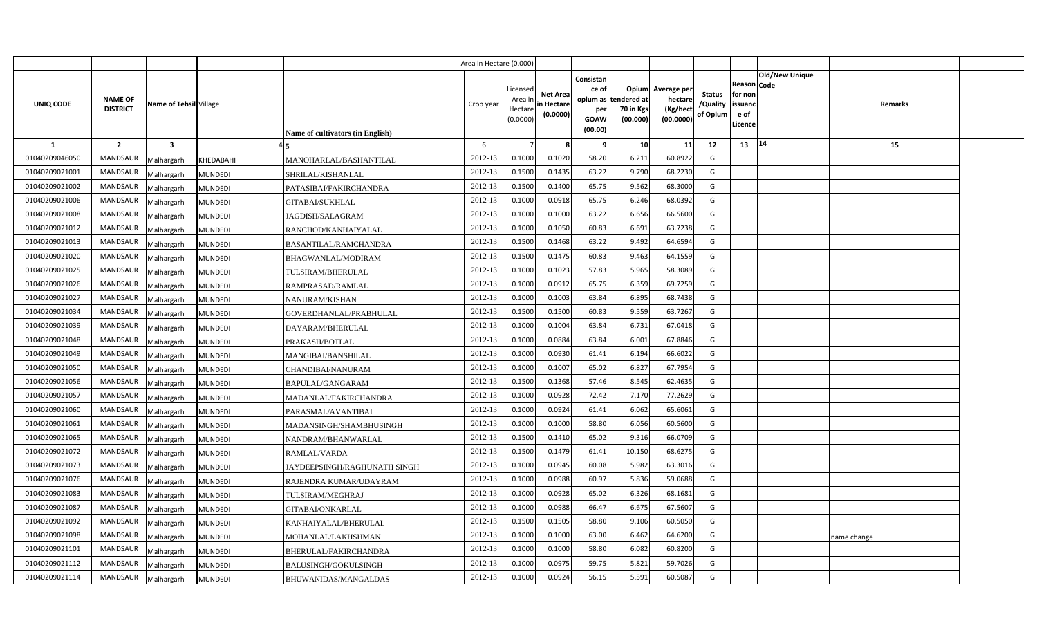|                |                                   |                         |                |                                  | Area in Hectare (0.000) |                                           |                                           |                                                     |                                                        |                                                 |                                       |                                                        |                       |             |  |
|----------------|-----------------------------------|-------------------------|----------------|----------------------------------|-------------------------|-------------------------------------------|-------------------------------------------|-----------------------------------------------------|--------------------------------------------------------|-------------------------------------------------|---------------------------------------|--------------------------------------------------------|-----------------------|-------------|--|
| UNIQ CODE      | <b>NAME OF</b><br><b>DISTRICT</b> | Name of Tehsil Village  |                | Name of cultivators (in English) | Crop year               | Licensed<br>Area ir<br>Hectar<br>(0.0000) | <b>Net Area</b><br>in Hectare<br>(0.0000) | Consistan<br>ce of<br>per<br><b>GOAW</b><br>(00.00) | Opium<br>opium as tendered at<br>70 in Kgs<br>(00.000) | Average per<br>hectare<br>(Kg/hect<br>(00.0000) | <b>Status</b><br>/Quality<br>of Opium | Reason   Code<br>for non<br>issuanc<br>e of<br>Licence | <b>Old/New Unique</b> | Remarks     |  |
| -1             | $\overline{\mathbf{2}}$           | $\overline{\mathbf{3}}$ |                |                                  | 6                       |                                           |                                           | -9                                                  | 10                                                     | 11                                              | 12                                    | 13                                                     | 14                    | 15          |  |
| 01040209046050 | <b>MANDSAUR</b>                   | Malhargarh              | KHEDABAHI      | MANOHARLAL/BASHANTILAL           | 2012-13                 | 0.1000                                    | 0.1020                                    | 58.20                                               | 6.211                                                  | 60.8922                                         | G                                     |                                                        |                       |             |  |
| 01040209021001 | MANDSAUR                          | Malhargarh              | <b>MUNDEDI</b> | SHRILAL/KISHANLAL                | 2012-13                 | 0.1500                                    | 0.1435                                    | 63.22                                               | 9.790                                                  | 68.2230                                         | G                                     |                                                        |                       |             |  |
| 01040209021002 | MANDSAUR                          | Malhargarh              | <b>MUNDEDI</b> | PATASIBAI/FAKIRCHANDRA           | 2012-13                 | 0.1500                                    | 0.1400                                    | 65.75                                               | 9.562                                                  | 68.3000                                         | G                                     |                                                        |                       |             |  |
| 01040209021006 | <b>MANDSAUR</b>                   | Malhargarh              | <b>MUNDEDI</b> | GITABAI/SUKHLAL                  | 2012-13                 | 0.1000                                    | 0.0918                                    | 65.75                                               | 6.246                                                  | 68.0392                                         | G                                     |                                                        |                       |             |  |
| 01040209021008 | MANDSAUR                          | Malhargarh              | <b>MUNDEDI</b> | JAGDISH/SALAGRAM                 | 2012-13                 | 0.100                                     | 0.1000                                    | 63.22                                               | 6.656                                                  | 66.5600                                         | G                                     |                                                        |                       |             |  |
| 01040209021012 | MANDSAUR                          | Malhargarh              | <b>MUNDEDI</b> | RANCHOD/KANHAIYALAL              | 2012-13                 | 0.100                                     | 0.1050                                    | 60.83                                               | 6.691                                                  | 63.7238                                         | G                                     |                                                        |                       |             |  |
| 01040209021013 | MANDSAUR                          | Malhargarh              | <b>MUNDEDI</b> | <b>BASANTILAL/RAMCHANDRA</b>     | 2012-13                 | 0.1500                                    | 0.1468                                    | 63.22                                               | 9.492                                                  | 64.6594                                         | G                                     |                                                        |                       |             |  |
| 01040209021020 | MANDSAUR                          | Malhargarh              | <b>MUNDEDI</b> | <b>BHAGWANLAL/MODIRAM</b>        | 2012-13                 | 0.1500                                    | 0.147!                                    | 60.83                                               | 9.463                                                  | 64.1559                                         | G                                     |                                                        |                       |             |  |
| 01040209021025 | MANDSAUR                          | Malhargarh              | <b>MUNDEDI</b> | TULSIRAM/BHERULAL                | 2012-13                 | 0.1000                                    | 0.1023                                    | 57.83                                               | 5.965                                                  | 58.3089                                         | G                                     |                                                        |                       |             |  |
| 01040209021026 | MANDSAUR                          | Malhargarh              | <b>MUNDEDI</b> | RAMPRASAD/RAMLAL                 | 2012-13                 | 0.1000                                    | 0.091                                     | 65.75                                               | 6.359                                                  | 69.7259                                         | G                                     |                                                        |                       |             |  |
| 01040209021027 | <b>MANDSAUR</b>                   | Malhargarh              | <b>MUNDEDI</b> | NANURAM/KISHAN                   | 2012-13                 | 0.1000                                    | 0.1003                                    | 63.84                                               | 6.895                                                  | 68.7438                                         | G                                     |                                                        |                       |             |  |
| 01040209021034 | MANDSAUR                          | Malhargarh              | <b>MUNDEDI</b> | GOVERDHANLAL/PRABHULAL           | 2012-13                 | 0.1500                                    | 0.1500                                    | 60.83                                               | 9.559                                                  | 63.7267                                         | G                                     |                                                        |                       |             |  |
| 01040209021039 | <b>MANDSAUR</b>                   | Malhargarh              | <b>MUNDEDI</b> | DAYARAM/BHERULAL                 | 2012-13                 | 0.1000                                    | 0.1004                                    | 63.84                                               | 6.731                                                  | 67.0418                                         | G                                     |                                                        |                       |             |  |
| 01040209021048 | <b>MANDSAUR</b>                   | Malhargarh              | <b>MUNDEDI</b> | PRAKASH/BOTLAL                   | 2012-13                 | 0.1000                                    | 0.0884                                    | 63.84                                               | 6.001                                                  | 67.8846                                         | G                                     |                                                        |                       |             |  |
| 01040209021049 | MANDSAUR                          | Malhargarh              | <b>MUNDEDI</b> | MANGIBAI/BANSHILAL               | 2012-13                 | 0.1000                                    | 0.0930                                    | 61.41                                               | 6.194                                                  | 66.6022                                         | G                                     |                                                        |                       |             |  |
| 01040209021050 | <b>MANDSAUR</b>                   | Malhargarh              | <b>MUNDEDI</b> | CHANDIBAI/NANURAM                | 2012-13                 | 0.1000                                    | 0.1007                                    | 65.02                                               | 6.827                                                  | 67.7954                                         | G                                     |                                                        |                       |             |  |
| 01040209021056 | MANDSAUR                          | Malhargarh              | <b>MUNDEDI</b> | BAPULAL/GANGARAM                 | 2012-13                 | 0.1500                                    | 0.1368                                    | 57.46                                               | 8.545                                                  | 62.4635                                         | G                                     |                                                        |                       |             |  |
| 01040209021057 | MANDSAUR                          | Malhargarh              | <b>MUNDEDI</b> | MADANLAL/FAKIRCHANDRA            | 2012-13                 | 0.1000                                    | 0.0928                                    | 72.42                                               | 7.170                                                  | 77.2629                                         | G                                     |                                                        |                       |             |  |
| 01040209021060 | MANDSAUR                          | Malhargarh              | <b>MUNDEDI</b> | PARASMAL/AVANTIBAI               | 2012-13                 | 0.1000                                    | 0.0924                                    | 61.41                                               | 6.062                                                  | 65.6061                                         | G                                     |                                                        |                       |             |  |
| 01040209021061 | MANDSAUR                          | Malhargarh              | <b>MUNDEDI</b> | MADANSINGH/SHAMBHUSINGH          | 2012-13                 | 0.1000                                    | 0.1000                                    | 58.80                                               | 6.056                                                  | 60.5600                                         | G                                     |                                                        |                       |             |  |
| 01040209021065 | MANDSAUR                          | Malhargarh              | <b>MUNDEDI</b> | NANDRAM/BHANWARLAL               | 2012-13                 | 0.1500                                    | 0.1410                                    | 65.02                                               | 9.316                                                  | 66.0709                                         | G                                     |                                                        |                       |             |  |
| 01040209021072 | MANDSAUR                          | Malhargarh              | <b>MUNDEDI</b> | RAMLAL/VARDA                     | 2012-13                 | 0.1500                                    | 0.1479                                    | 61.41                                               | 10.150                                                 | 68.6275                                         | G                                     |                                                        |                       |             |  |
| 01040209021073 | MANDSAUR                          | Malhargarh              | <b>MUNDEDI</b> | JAYDEEPSINGH/RAGHUNATH SINGH     | 2012-13                 | 0.1000                                    | 0.0945                                    | 60.08                                               | 5.982                                                  | 63.3016                                         | G                                     |                                                        |                       |             |  |
| 01040209021076 | MANDSAUR                          | Malhargarh              | <b>MUNDEDI</b> | RAJENDRA KUMAR/UDAYRAM           | 2012-13                 | 0.1000                                    | 0.0988                                    | 60.97                                               | 5.836                                                  | 59.0688                                         | G                                     |                                                        |                       |             |  |
| 01040209021083 | <b>MANDSAUR</b>                   | Malhargarh              | <b>MUNDEDI</b> | TULSIRAM/MEGHRAJ                 | 2012-13                 | 0.1000                                    | 0.0928                                    | 65.02                                               | 6.326                                                  | 68.1681                                         | G                                     |                                                        |                       |             |  |
| 01040209021087 | <b>MANDSAUR</b>                   | Malhargarh              | <b>MUNDEDI</b> | GITABAI/ONKARLAL                 | 2012-13                 | 0.1000                                    | 0.0988                                    | 66.47                                               | 6.675                                                  | 67.5607                                         | G                                     |                                                        |                       |             |  |
| 01040209021092 | <b>MANDSAUR</b>                   | Malhargarh              | <b>MUNDEDI</b> | KANHAIYALAL/BHERULAL             | 2012-13                 | 0.1500                                    | 0.1505                                    | 58.80                                               | 9.106                                                  | 60.5050                                         | G                                     |                                                        |                       |             |  |
| 01040209021098 | <b>MANDSAUR</b>                   | Malhargarh              | <b>MUNDEDI</b> | MOHANLAL/LAKHSHMAN               | 2012-13                 | 0.1000                                    | 0.1000                                    | 63.00                                               | 6.462                                                  | 64.6200                                         | G                                     |                                                        |                       | name change |  |
| 01040209021101 | MANDSAUR                          | Malhargarh              | <b>MUNDEDI</b> | BHERULAL/FAKIRCHANDRA            | 2012-13                 | 0.1000                                    | 0.1000                                    | 58.80                                               | 6.082                                                  | 60.8200                                         | G                                     |                                                        |                       |             |  |
| 01040209021112 | MANDSAUR                          | Malhargarh              | <b>MUNDEDI</b> | BALUSINGH/GOKULSINGH             | 2012-13                 | 0.1000                                    | 0.097!                                    | 59.75                                               | 5.821                                                  | 59.7026                                         | G                                     |                                                        |                       |             |  |
| 01040209021114 | <b>MANDSAUR</b>                   | Malhargarh              | <b>MUNDEDI</b> | BHUWANIDAS/MANGALDAS             | 2012-13                 | 0.1000                                    | 0.0924                                    | 56.15                                               | 5.591                                                  | 60.5087                                         | G                                     |                                                        |                       |             |  |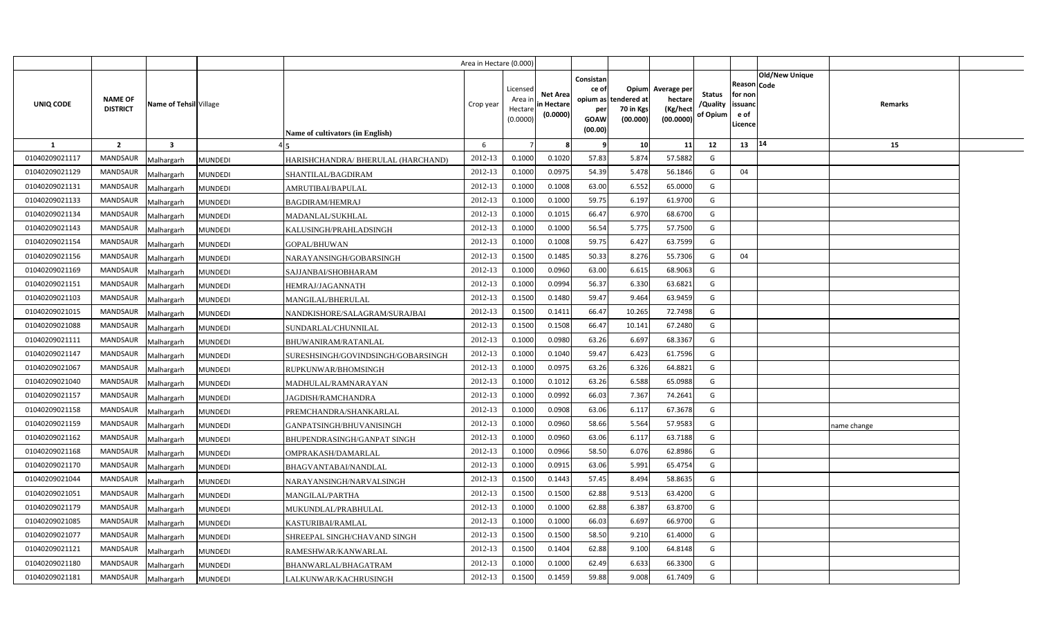|                |                                                             |                |                                    | Area in Hectare (0.000) |                                            |                                           |                                                                   |                                               |                                                 |                                       |                                                                               |             |  |
|----------------|-------------------------------------------------------------|----------------|------------------------------------|-------------------------|--------------------------------------------|-------------------------------------------|-------------------------------------------------------------------|-----------------------------------------------|-------------------------------------------------|---------------------------------------|-------------------------------------------------------------------------------|-------------|--|
| UNIQ CODE      | <b>NAME OF</b><br>Name of Tehsil Village<br><b>DISTRICT</b> |                | Name of cultivators (in English)   | Crop year               | Licensed<br>Area ir<br>Hectare<br>(0.0000) | <b>Net Area</b><br>in Hectare<br>(0.0000) | Consistan<br>ce of<br>opium as 1<br>per<br><b>GOAW</b><br>(00.00) | Opium<br>tendered at<br>70 in Kgs<br>(00.000) | Average per<br>hectare<br>(Kg/heci<br>(00.0000) | <b>Status</b><br>/Quality<br>of Opium | <b>Old/New Unique</b><br>Reason Code<br>for non<br>issuanc<br>e of<br>.icence | Remarks     |  |
| -1             | $\overline{2}$<br>$\overline{\mathbf{3}}$                   |                |                                    | 6                       |                                            |                                           | -9                                                                | 10                                            | 11                                              | 12                                    | 14<br>13                                                                      | 15          |  |
| 01040209021117 | <b>MANDSAUR</b><br>Malhargarh                               | <b>MUNDEDI</b> | HARISHCHANDRA/ BHERULAL (HARCHAND) | 2012-13                 | 0.1000                                     | 0.1020                                    | 57.83                                                             | 5.874                                         | 57.5882                                         | G                                     |                                                                               |             |  |
| 01040209021129 | <b>MANDSAUR</b><br>Malhargarh                               | <b>MUNDEDI</b> | SHANTILAL/BAGDIRAM                 | 2012-13                 | 0.1000                                     | 0.0975                                    | 54.39                                                             | 5.478                                         | 56.1846                                         | G                                     | 04                                                                            |             |  |
| 01040209021131 | <b>MANDSAUR</b><br>Malhargarh                               | <b>MUNDEDI</b> | AMRUTIBAI/BAPULAL                  | 2012-13                 | 0.1000                                     | 0.1008                                    | 63.00                                                             | 6.552                                         | 65.0000                                         | G                                     |                                                                               |             |  |
| 01040209021133 | <b>MANDSAUR</b><br>Malhargarh                               | <b>MUNDEDI</b> | <b>BAGDIRAM/HEMRAJ</b>             | 2012-13                 | 0.1000                                     | 0.1000                                    | 59.75                                                             | 6.197                                         | 61.9700                                         | G                                     |                                                                               |             |  |
| 01040209021134 | MANDSAUR<br>Malhargarh                                      | <b>MUNDEDI</b> | MADANLAL/SUKHLAL                   | 2012-13                 | 0.1000                                     | 0.1015                                    | 66.47                                                             | 6.970                                         | 68.6700                                         | G                                     |                                                                               |             |  |
| 01040209021143 | <b>MANDSAUR</b><br>Malhargarh                               | <b>MUNDEDI</b> | KALUSINGH/PRAHLADSINGH             | 2012-13                 | 0.1000                                     | 0.1000                                    | 56.54                                                             | 5.775                                         | 57.7500                                         | G                                     |                                                                               |             |  |
| 01040209021154 | MANDSAUR<br>Malhargarh                                      | <b>MUNDEDI</b> | GOPAL/BHUWAN                       | 2012-13                 | 0.1000                                     | 0.1008                                    | 59.75                                                             | 6.427                                         | 63.7599                                         | G                                     |                                                                               |             |  |
| 01040209021156 | <b>MANDSAUR</b><br>Malhargarh                               | <b>MUNDEDI</b> | NARAYANSINGH/GOBARSINGH            | 2012-13                 | 0.1500                                     | 0.1485                                    | 50.33                                                             | 8.276                                         | 55.7306                                         | G                                     | 04                                                                            |             |  |
| 01040209021169 | <b>MANDSAUR</b><br>Malhargarh                               | <b>MUNDEDI</b> | SAJJANBAI/SHOBHARAM                | 2012-13                 | 0.1000                                     | 0.0960                                    | 63.00                                                             | 6.615                                         | 68.9063                                         | G                                     |                                                                               |             |  |
| 01040209021151 | MANDSAUR<br>Malhargarh                                      | <b>MUNDEDI</b> | HEMRAJ/JAGANNATH                   | 2012-13                 | 0.1000                                     | 0.0994                                    | 56.37                                                             | 6.330                                         | 63.6821                                         | G                                     |                                                                               |             |  |
| 01040209021103 | <b>MANDSAUR</b><br>Malhargarh                               | <b>MUNDEDI</b> | MANGILAL/BHERULAL                  | 2012-13                 | 0.1500                                     | 0.1480                                    | 59.47                                                             | 9.464                                         | 63.9459                                         | G                                     |                                                                               |             |  |
| 01040209021015 | MANDSAUR<br>Malhargarh                                      | <b>MUNDEDI</b> | NANDKISHORE/SALAGRAM/SURAJBAI      | 2012-13                 | 0.1500                                     | 0.141                                     | 66.47                                                             | 10.265                                        | 72.7498                                         | G                                     |                                                                               |             |  |
| 01040209021088 | <b>MANDSAUR</b><br>Malhargarh                               | <b>MUNDEDI</b> | SUNDARLAL/CHUNNILAL                | 2012-13                 | 0.1500                                     | 0.1508                                    | 66.47                                                             | 10.141                                        | 67.2480                                         | G                                     |                                                                               |             |  |
| 01040209021111 | <b>MANDSAUR</b><br>Malhargarh                               | <b>MUNDEDI</b> | BHUWANIRAM/RATANLAL                | 2012-13                 | 0.1000                                     | 0.0980                                    | 63.26                                                             | 6.697                                         | 68.3367                                         | G                                     |                                                                               |             |  |
| 01040209021147 | <b>MANDSAUR</b><br>Malhargarh                               | <b>MUNDEDI</b> | SURESHSINGH/GOVINDSINGH/GOBARSINGH | 2012-13                 | 0.1000                                     | 0.1040                                    | 59.47                                                             | 6.423                                         | 61.7596                                         | G                                     |                                                                               |             |  |
| 01040209021067 | <b>MANDSAUR</b><br>Malhargarh                               | <b>MUNDEDI</b> | RUPKUNWAR/BHOMSINGH                | 2012-13                 | 0.1000                                     | 0.0975                                    | 63.26                                                             | 6.326                                         | 64.8821                                         | G                                     |                                                                               |             |  |
| 01040209021040 | <b>MANDSAUR</b><br>Malhargarh                               | <b>MUNDEDI</b> | MADHULAL/RAMNARAYAN                | 2012-13                 | 0.1000                                     | 0.1012                                    | 63.26                                                             | 6.588                                         | 65.0988                                         | G                                     |                                                                               |             |  |
| 01040209021157 | <b>MANDSAUR</b><br>Malhargarh                               | <b>MUNDEDI</b> | <b>JAGDISH/RAMCHANDRA</b>          | 2012-13                 | 0.1000                                     | 0.0992                                    | 66.03                                                             | 7.367                                         | 74.2641                                         | G                                     |                                                                               |             |  |
| 01040209021158 | <b>MANDSAUR</b><br>Malhargarh                               | <b>MUNDEDI</b> | PREMCHANDRA/SHANKARLAL             | 2012-13                 | 0.1000                                     | 0.0908                                    | 63.06                                                             | 6.117                                         | 67.3678                                         | G                                     |                                                                               |             |  |
| 01040209021159 | <b>MANDSAUR</b><br>Malhargarh                               | <b>MUNDEDI</b> | GANPATSINGH/BHUVANISINGH           | 2012-13                 | 0.1000                                     | 0.0960                                    | 58.66                                                             | 5.564                                         | 57.9583                                         | G                                     |                                                                               | name change |  |
| 01040209021162 | <b>MANDSAUR</b><br>Malhargarh                               | <b>MUNDEDI</b> | BHUPENDRASINGH/GANPAT SINGH        | 2012-13                 | 0.1000                                     | 0.0960                                    | 63.06                                                             | 6.117                                         | 63.7188                                         | G                                     |                                                                               |             |  |
| 01040209021168 | MANDSAUR<br>Malhargarh                                      | <b>MUNDEDI</b> | OMPRAKASH/DAMARLAL                 | 2012-13                 | 0.1000                                     | 0.0966                                    | 58.50                                                             | 6.076                                         | 62.8986                                         | G                                     |                                                                               |             |  |
| 01040209021170 | <b>MANDSAUR</b><br>Malhargarh                               | <b>MUNDEDI</b> | BHAGVANTABAI/NANDLAL               | 2012-13                 | 0.1000                                     | 0.0915                                    | 63.06                                                             | 5.991                                         | 65.4754                                         | G                                     |                                                                               |             |  |
| 01040209021044 | MANDSAUR<br>Malhargarh                                      | <b>MUNDEDI</b> | NARAYANSINGH/NARVALSINGH           | 2012-13                 | 0.1500                                     | 0.1443                                    | 57.45                                                             | 8.494                                         | 58.8635                                         | G                                     |                                                                               |             |  |
| 01040209021051 | <b>MANDSAUR</b><br>Malhargarh                               | <b>MUNDEDI</b> | MANGILAL/PARTHA                    | 2012-13                 | 0.1500                                     | 0.1500                                    | 62.88                                                             | 9.513                                         | 63.4200                                         | G                                     |                                                                               |             |  |
| 01040209021179 | <b>MANDSAUR</b><br>Malhargarh                               | <b>MUNDEDI</b> | MUKUNDLAL/PRABHULAL                | 2012-13                 | 0.1000                                     | 0.1000                                    | 62.88                                                             | 6.387                                         | 63.8700                                         | G                                     |                                                                               |             |  |
| 01040209021085 | MANDSAUR<br>Malhargarh                                      | <b>MUNDEDI</b> | KASTURIBAI/RAMLAL                  | 2012-13                 | 0.1000                                     | 0.1000                                    | 66.03                                                             | 6.697                                         | 66.9700                                         | G                                     |                                                                               |             |  |
| 01040209021077 | MANDSAUR<br>Malhargarh                                      | <b>MUNDEDI</b> | SHREEPAL SINGH/CHAVAND SINGH       | 2012-13                 | 0.1500                                     | 0.1500                                    | 58.50                                                             | 9.210                                         | 61.4000                                         | G                                     |                                                                               |             |  |
| 01040209021121 | MANDSAUR<br>Malhargarh                                      | <b>MUNDEDI</b> | RAMESHWAR/KANWARLAL                | 2012-13                 | 0.1500                                     | 0.1404                                    | 62.88                                                             | 9.100                                         | 64.8148                                         | G                                     |                                                                               |             |  |
| 01040209021180 | MANDSAUR<br>Malhargarh                                      | <b>MUNDEDI</b> | BHANWARLAL/BHAGATRAM               | 2012-13                 | 0.1000                                     | 0.1000                                    | 62.49                                                             | 6.633                                         | 66.3300                                         | G                                     |                                                                               |             |  |
| 01040209021181 | <b>MANDSAUR</b><br>Malhargarh                               | <b>MUNDEDI</b> | ALKUNWAR/KACHRUSINGH               | 2012-13                 | 0.1500                                     | 0.1459                                    | 59.88                                                             | 9.008                                         | 61.7409                                         | G                                     |                                                                               |             |  |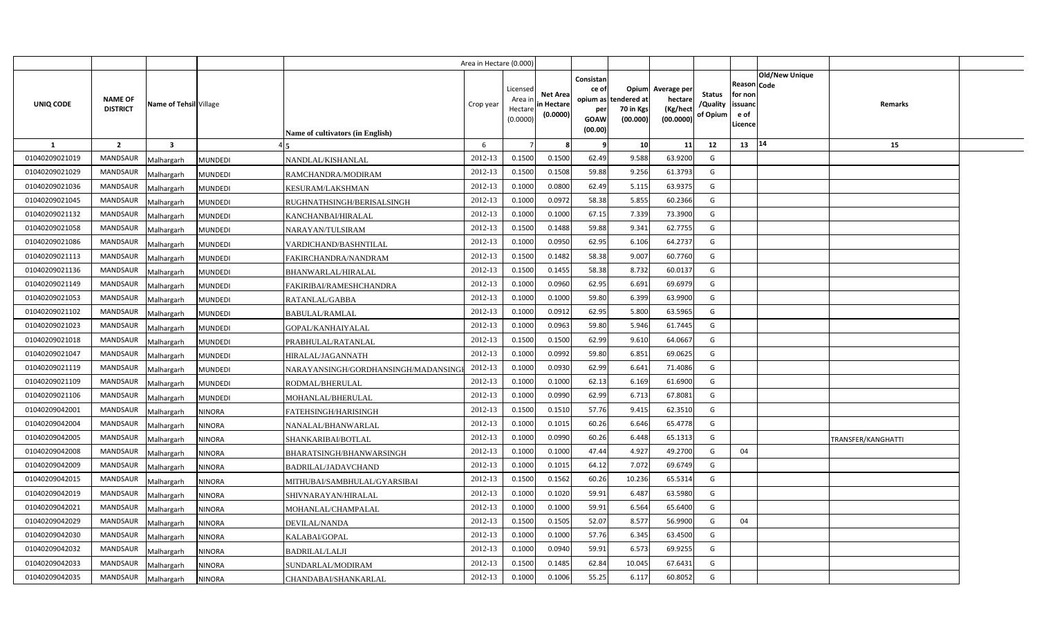|                |                                   |                              |                                      | Area in Hectare (0.000) |                                            |                                           |                                                                             |                                |                                                 |                                       |                                                      |                       |                    |  |
|----------------|-----------------------------------|------------------------------|--------------------------------------|-------------------------|--------------------------------------------|-------------------------------------------|-----------------------------------------------------------------------------|--------------------------------|-------------------------------------------------|---------------------------------------|------------------------------------------------------|-----------------------|--------------------|--|
| UNIQ CODE      | <b>NAME OF</b><br><b>DISTRICT</b> | Name of Tehsil Village       | Name of cultivators (in English)     | Crop year               | Licensed<br>Area ir<br>Hectare<br>(0.0000) | <b>Net Area</b><br>in Hectare<br>(0.0000) | Consistan<br>ce of<br>opium as tendered at<br>per<br><b>GOAW</b><br>(00.00) | Opium<br>70 in Kgs<br>(00.000) | Average per<br>hectare<br>(Kg/hect<br>(00.0000) | <b>Status</b><br>/Quality<br>of Opium | Reason Code<br>for non<br>issuanc<br>e of<br>Licence | <b>Old/New Unique</b> | Remarks            |  |
| $\mathbf{1}$   | $\overline{2}$                    | $\overline{\mathbf{3}}$      |                                      | 6                       |                                            |                                           | - 9                                                                         | 10                             | 11                                              | 12                                    | 13                                                   | 14                    | 15                 |  |
| 01040209021019 | <b>MANDSAUR</b>                   | Malhargarh<br><b>MUNDEDI</b> | NANDLAL/KISHANLAL                    | 2012-13                 | 0.1500                                     | 0.1500                                    | 62.49                                                                       | 9.588                          | 63.9200                                         | G                                     |                                                      |                       |                    |  |
| 01040209021029 | <b>MANDSAUR</b>                   | <b>MUNDEDI</b><br>Malhargarh | RAMCHANDRA/MODIRAM                   | 2012-13                 | 0.1500                                     | 0.1508                                    | 59.88                                                                       | 9.256                          | 61.3793                                         | G                                     |                                                      |                       |                    |  |
| 01040209021036 | <b>MANDSAUR</b>                   | Malhargarh<br><b>MUNDEDI</b> | KESURAM/LAKSHMAN                     | 2012-13                 | 0.100                                      | 0.0800                                    | 62.49                                                                       | 5.115                          | 63.9375                                         | G                                     |                                                      |                       |                    |  |
| 01040209021045 | <b>MANDSAUR</b>                   | <b>MUNDEDI</b><br>Malhargarh | RUGHNATHSINGH/BERISALSINGH           | 2012-13                 | 0.1000                                     | 0.0972                                    | 58.38                                                                       | 5.855                          | 60.2366                                         | G                                     |                                                      |                       |                    |  |
| 01040209021132 | <b>MANDSAUR</b>                   | Malhargarh<br><b>MUNDEDI</b> | KANCHANBAI/HIRALAL                   | 2012-13                 | 0.1000                                     | 0.1000                                    | 67.15                                                                       | 7.339                          | 73.3900                                         | G                                     |                                                      |                       |                    |  |
| 01040209021058 | <b>MANDSAUR</b>                   | <b>MUNDEDI</b><br>Malhargarh | NARAYAN/TULSIRAM                     | 2012-13                 | 0.1500                                     | 0.1488                                    | 59.88                                                                       | 9.341                          | 62.7755                                         | G                                     |                                                      |                       |                    |  |
| 01040209021086 | <b>MANDSAUR</b>                   | Malhargarh<br><b>MUNDEDI</b> | VARDICHAND/BASHNTILAL                | 2012-13                 | 0.1000                                     | 0.0950                                    | 62.95                                                                       | 6.106                          | 64.2737                                         | G                                     |                                                      |                       |                    |  |
| 01040209021113 | <b>MANDSAUR</b>                   | Malhargarh<br><b>MUNDEDI</b> | FAKIRCHANDRA/NANDRAM                 | 2012-13                 | 0.1500                                     | 0.1482                                    | 58.38                                                                       | 9.007                          | 60.7760                                         | G                                     |                                                      |                       |                    |  |
| 01040209021136 | <b>MANDSAUR</b>                   | Malhargarh<br><b>MUNDEDI</b> | BHANWARLAL/HIRALAL                   | 2012-13                 | 0.1500                                     | 0.1455                                    | 58.38                                                                       | 8.732                          | 60.0137                                         | G                                     |                                                      |                       |                    |  |
| 01040209021149 | <b>MANDSAUR</b>                   | Malhargarh<br><b>MUNDEDI</b> | FAKIRIBAI/RAMESHCHANDRA              | 2012-13                 | 0.1000                                     | 0.0960                                    | 62.95                                                                       | 6.691                          | 69.6979                                         | G                                     |                                                      |                       |                    |  |
| 01040209021053 | <b>MANDSAUR</b>                   | Malhargarh<br><b>MUNDEDI</b> | RATANLAL/GABBA                       | 2012-13                 | 0.1000                                     | 0.1000                                    | 59.80                                                                       | 6.399                          | 63.9900                                         | G                                     |                                                      |                       |                    |  |
| 01040209021102 | <b>MANDSAUR</b>                   | Malhargarh<br><b>MUNDEDI</b> | <b>BABULAL/RAMLAL</b>                | 2012-13                 | 0.1000                                     | 0.091                                     | 62.95                                                                       | 5.800                          | 63.5965                                         | G                                     |                                                      |                       |                    |  |
| 01040209021023 | <b>MANDSAUR</b>                   | Malhargarh<br><b>MUNDEDI</b> | GOPAL/KANHAIYALAL                    | 2012-13                 | 0.1000                                     | 0.0963                                    | 59.80                                                                       | 5.946                          | 61.7445                                         | G                                     |                                                      |                       |                    |  |
| 01040209021018 | <b>MANDSAUR</b>                   | Malhargarh<br><b>MUNDEDI</b> | PRABHULAL/RATANLAL                   | 2012-13                 | 0.1500                                     | 0.1500                                    | 62.99                                                                       | 9.610                          | 64.0667                                         | G                                     |                                                      |                       |                    |  |
| 01040209021047 | <b>MANDSAUR</b>                   | Malhargarh<br><b>MUNDEDI</b> | HIRALAL/JAGANNATH                    | 2012-13                 | 0.1000                                     | 0.0992                                    | 59.80                                                                       | 6.851                          | 69.0625                                         | G                                     |                                                      |                       |                    |  |
| 01040209021119 | MANDSAUR                          | Malhargarh<br><b>MUNDEDI</b> | NARAYANSINGH/GORDHANSINGH/MADANSINGI | 2012-13                 | 0.1000                                     | 0.0930                                    | 62.99                                                                       | 6.641                          | 71.4086                                         | G                                     |                                                      |                       |                    |  |
| 01040209021109 | MANDSAUR                          | Malhargarh<br><b>MUNDEDI</b> | RODMAL/BHERULAL                      | 2012-13                 | 0.1000                                     | 0.1000                                    | 62.13                                                                       | 6.169                          | 61.6900                                         | G                                     |                                                      |                       |                    |  |
| 01040209021106 | MANDSAUR                          | Malhargarh<br>MUNDEDI        | MOHANLAL/BHERULAL                    | 2012-13                 | 0.1000                                     | 0.0990                                    | 62.99                                                                       | 6.713                          | 67.8081                                         | G                                     |                                                      |                       |                    |  |
| 01040209042001 | <b>MANDSAUR</b>                   | Malhargarh<br><b>NINORA</b>  | FATEHSINGH/HARISINGH                 | 2012-13                 | 0.1500                                     | 0.1510                                    | 57.76                                                                       | 9.415                          | 62.3510                                         | G                                     |                                                      |                       |                    |  |
| 01040209042004 | MANDSAUR                          | Malhargarh<br><b>NINORA</b>  | NANALAL/BHANWARLAL                   | 2012-13                 | 0.1000                                     | 0.101!                                    | 60.26                                                                       | 6.646                          | 65.4778                                         | G                                     |                                                      |                       |                    |  |
| 01040209042005 | <b>MANDSAUR</b>                   | Malhargarh<br><b>NINORA</b>  | SHANKARIBAI/BOTLAL                   | 2012-13                 | 0.1000                                     | 0.0990                                    | 60.26                                                                       | 6.448                          | 65.1313                                         | G                                     |                                                      |                       | TRANSFER/KANGHATTI |  |
| 01040209042008 | <b>MANDSAUR</b>                   | Malhargarh<br><b>NINORA</b>  | BHARATSINGH/BHANWARSINGH             | 2012-13                 | 0.1000                                     | 0.1000                                    | 47.44                                                                       | 4.927                          | 49.2700                                         | G                                     | 04                                                   |                       |                    |  |
| 01040209042009 | <b>MANDSAUR</b>                   | Malhargarh<br><b>NINORA</b>  | BADRILAL/JADAVCHAND                  | 2012-13                 | 0.1000                                     | 0.101!                                    | 64.12                                                                       | 7.072                          | 69.6749                                         | G                                     |                                                      |                       |                    |  |
| 01040209042015 | <b>MANDSAUR</b>                   | <b>NINORA</b><br>Malhargarh  | MITHUBAI/SAMBHULAL/GYARSIBAI         | 2012-13                 | 0.1500                                     | 0.1562                                    | 60.26                                                                       | 10.236                         | 65.5314                                         | $\mathsf{G}$                          |                                                      |                       |                    |  |
| 01040209042019 | MANDSAUR                          | Malhargarh<br><b>NINORA</b>  | SHIVNARAYAN/HIRALAL                  | 2012-13                 | 0.1000                                     | 0.1020                                    | 59.91                                                                       | 6.487                          | 63.5980                                         | G                                     |                                                      |                       |                    |  |
| 01040209042021 | <b>MANDSAUR</b>                   | Malhargarh<br><b>NINORA</b>  | MOHANLAL/CHAMPALAL                   | 2012-13                 | 0.1000                                     | 0.1000                                    | 59.91                                                                       | 6.564                          | 65.6400                                         | G                                     |                                                      |                       |                    |  |
| 01040209042029 | <b>MANDSAUR</b>                   | Malhargarh<br>NINORA         | DEVILAL/NANDA                        | 2012-13                 | 0.1500                                     | 0.1505                                    | 52.07                                                                       | 8.577                          | 56.9900                                         | G                                     | 04                                                   |                       |                    |  |
| 01040209042030 | <b>MANDSAUR</b>                   | Malhargarh<br><b>VINORA</b>  | KALABAI/GOPAL                        | 2012-13                 | 0.1000                                     | 0.1000                                    | 57.76                                                                       | 6.345                          | 63.4500                                         | G                                     |                                                      |                       |                    |  |
| 01040209042032 | <b>MANDSAUR</b>                   | <b>NINORA</b><br>Malhargarh  | BADRILAL/LALJI                       | 2012-13                 | 0.1000                                     | 0.0940                                    | 59.91                                                                       | 6.573                          | 69.9255                                         | G                                     |                                                      |                       |                    |  |
| 01040209042033 | <b>MANDSAUR</b>                   | Malhargarh<br><b>NINORA</b>  | SUNDARLAL/MODIRAM                    | 2012-13                 | 0.1500                                     | 0.1485                                    | 62.84                                                                       | 10.045                         | 67.6431                                         | G                                     |                                                      |                       |                    |  |
| 01040209042035 | <b>MANDSAUR</b>                   | Malhargarh<br><b>NINORA</b>  | CHANDABAI/SHANKARLAL                 | 2012-13                 | 0.1000                                     | 0.1006                                    | 55.25                                                                       | 6.117                          | 60.8052                                         | G                                     |                                                      |                       |                    |  |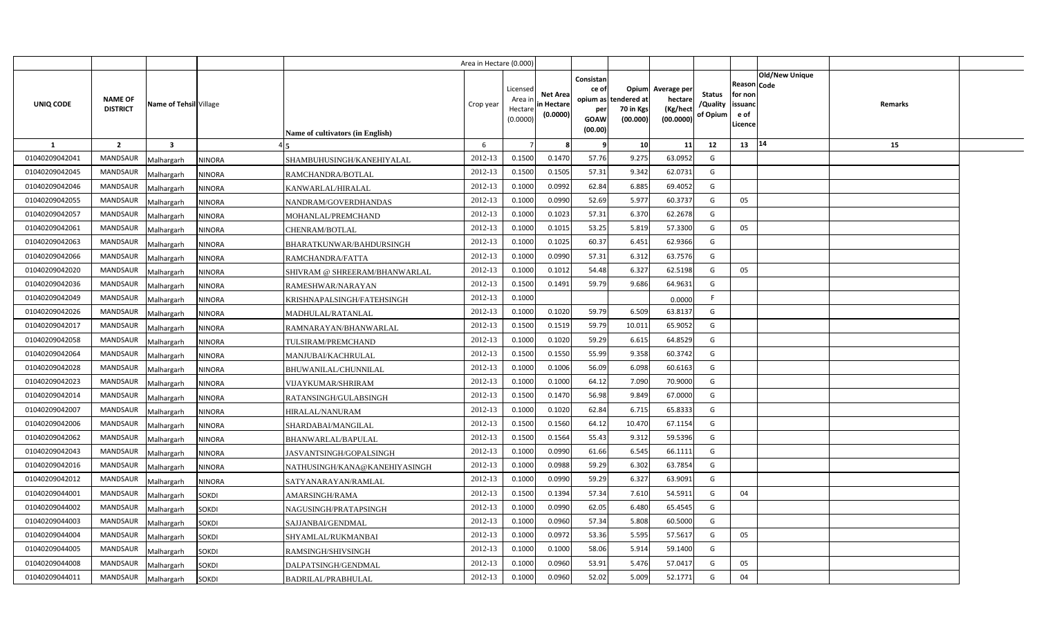|                |                                   |                         |               |                                  | Area in Hectare (0.000) |                                           |                                           |                                                     |                                                        |                                                 |                                       |                                                        |                       |         |  |
|----------------|-----------------------------------|-------------------------|---------------|----------------------------------|-------------------------|-------------------------------------------|-------------------------------------------|-----------------------------------------------------|--------------------------------------------------------|-------------------------------------------------|---------------------------------------|--------------------------------------------------------|-----------------------|---------|--|
| UNIQ CODE      | <b>NAME OF</b><br><b>DISTRICT</b> | Name of Tehsil Village  |               | Name of cultivators (in English) | Crop year               | Licensed<br>Area ir<br>Hectar<br>(0.0000) | <b>Net Area</b><br>in Hectare<br>(0.0000) | Consistan<br>ce of<br>per<br><b>GOAW</b><br>(00.00) | Opium<br>opium as tendered at<br>70 in Kgs<br>(00.000) | Average per<br>hectare<br>(Kg/hect<br>(00.0000) | <b>Status</b><br>/Quality<br>of Opium | Reason   Code<br>for non<br>issuanc<br>e of<br>Licence | <b>Old/New Unique</b> | Remarks |  |
| -1             | $\overline{\mathbf{2}}$           | $\overline{\mathbf{3}}$ |               |                                  | 6                       |                                           |                                           | -9                                                  | 10                                                     | 11                                              | 12                                    | 13                                                     | 14                    | 15      |  |
| 01040209042041 | <b>MANDSAUR</b>                   | Malhargarh              | NINORA        | SHAMBUHUSINGH/KANEHIYALAL        | 2012-13                 | 0.1500                                    | 0.1470                                    | 57.76                                               | 9.275                                                  | 63.0952                                         | G                                     |                                                        |                       |         |  |
| 01040209042045 | MANDSAUR                          | Malhargarh              | <b>NINORA</b> | RAMCHANDRA/BOTLAL                | 2012-13                 | 0.1500                                    | 0.1505                                    | 57.31                                               | 9.342                                                  | 62.0731                                         | G                                     |                                                        |                       |         |  |
| 01040209042046 | MANDSAUR                          | Malhargarh              | <b>NINORA</b> | KANWARLAL/HIRALAL                | 2012-13                 | 0.1000                                    | 0.0992                                    | 62.84                                               | 6.885                                                  | 69.4052                                         | G                                     |                                                        |                       |         |  |
| 01040209042055 | <b>MANDSAUR</b>                   | Malhargarh              | <b>NINORA</b> | NANDRAM/GOVERDHANDAS             | 2012-13                 | 0.1000                                    | 0.0990                                    | 52.69                                               | 5.977                                                  | 60.3737                                         | G                                     | 05                                                     |                       |         |  |
| 01040209042057 | MANDSAUR                          | Malhargarh              | NINORA        | MOHANLAL/PREMCHAND               | 2012-13                 | 0.100                                     | 0.1023                                    | 57.31                                               | 6.370                                                  | 62.2678                                         | G                                     |                                                        |                       |         |  |
| 01040209042061 | <b>MANDSAUR</b>                   | Malhargarh              | NINORA        | CHENRAM/BOTLAL                   | 2012-13                 | 0.100                                     | 0.101                                     | 53.25                                               | 5.819                                                  | 57.3300                                         | G                                     | 05                                                     |                       |         |  |
| 01040209042063 | <b>MANDSAUR</b>                   | Malhargarh              | <b>NINORA</b> | BHARATKUNWAR/BAHDURSINGH         | 2012-13                 | 0.100                                     | 0.1025                                    | 60.37                                               | 6.451                                                  | 62.9366                                         | G                                     |                                                        |                       |         |  |
| 01040209042066 | MANDSAUR                          | Malhargarh              | <b>NINORA</b> | RAMCHANDRA/FATTA                 | 2012-13                 | 0.1000                                    | 0.0990                                    | 57.31                                               | 6.312                                                  | 63.7576                                         | G                                     |                                                        |                       |         |  |
| 01040209042020 | MANDSAUR                          | Malhargarh              | <b>NINORA</b> | SHIVRAM @ SHREERAM/BHANWARLAL    | 2012-13                 | 0.1000                                    | 0.1012                                    | 54.48                                               | 6.327                                                  | 62.5198                                         | G                                     | 05                                                     |                       |         |  |
| 01040209042036 | MANDSAUR                          | Malhargarh              | NINORA        | RAMESHWAR/NARAYAN                | 2012-13                 | 0.1500                                    | 0.1491                                    | 59.79                                               | 9.686                                                  | 64.9631                                         | G                                     |                                                        |                       |         |  |
| 01040209042049 | <b>MANDSAUR</b>                   | Malhargarh              | NINORA        | KRISHNAPALSINGH/FATEHSINGH       | 2012-13                 | 0.1000                                    |                                           |                                                     |                                                        | 0.0000                                          | F                                     |                                                        |                       |         |  |
| 01040209042026 | MANDSAUR                          | Malhargarh              | NINORA        | MADHULAL/RATANLAL                | 2012-13                 | 0.1000                                    | 0.1020                                    | 59.79                                               | 6.509                                                  | 63.8137                                         | G                                     |                                                        |                       |         |  |
| 01040209042017 | <b>MANDSAUR</b>                   | Malhargarh              | <b>NINORA</b> | RAMNARAYAN/BHANWARLAL            | 2012-13                 | 0.1500                                    | 0.1519                                    | 59.79                                               | 10.011                                                 | 65.9052                                         | G                                     |                                                        |                       |         |  |
| 01040209042058 | <b>MANDSAUR</b>                   | Malhargarh              | NINORA        | TULSIRAM/PREMCHAND               | 2012-13                 | 0.1000                                    | 0.1020                                    | 59.29                                               | 6.615                                                  | 64.8529                                         | G                                     |                                                        |                       |         |  |
| 01040209042064 | MANDSAUR                          | Malhargarh              | NINORA        | MANJUBAI/KACHRULAL               | 2012-13                 | 0.1500                                    | 0.1550                                    | 55.99                                               | 9.358                                                  | 60.3742                                         | G                                     |                                                        |                       |         |  |
| 01040209042028 | <b>MANDSAUR</b>                   | Malhargarh              | NINORA        | BHUWANILAL/CHUNNILAL             | 2012-13                 | 0.1000                                    | 0.1006                                    | 56.09                                               | 6.098                                                  | 60.6163                                         | G                                     |                                                        |                       |         |  |
| 01040209042023 | MANDSAUR                          | Malhargarh              | NINORA        | <b>VIJAYKUMAR/SHRIRAM</b>        | 2012-13                 | 0.1000                                    | 0.1000                                    | 64.12                                               | 7.090                                                  | 70.9000                                         | G                                     |                                                        |                       |         |  |
| 01040209042014 | <b>MANDSAUR</b>                   | Malhargarh              | NINORA        | RATANSINGH/GULABSINGH            | 2012-13                 | 0.1500                                    | 0.1470                                    | 56.98                                               | 9.849                                                  | 67.0000                                         | G                                     |                                                        |                       |         |  |
| 01040209042007 | MANDSAUR                          | Malhargarh              | NINORA        | HIRALAL/NANURAM                  | 2012-13                 | 0.1000                                    | 0.1020                                    | 62.84                                               | 6.715                                                  | 65.8333                                         | G                                     |                                                        |                       |         |  |
| 01040209042006 | <b>MANDSAUR</b>                   | Malhargarh              | NINORA        | SHARDABAI/MANGILAL               | 2012-13                 | 0.1500                                    | 0.1560                                    | 64.12                                               | 10.470                                                 | 67.1154                                         | G                                     |                                                        |                       |         |  |
| 01040209042062 | MANDSAUR                          | Malhargarh              | NINORA        | BHANWARLAL/BAPULAL               | 2012-13                 | 0.1500                                    | 0.1564                                    | 55.43                                               | 9.312                                                  | 59.5396                                         | G                                     |                                                        |                       |         |  |
| 01040209042043 | MANDSAUR                          | Malhargarh              | NINORA        | JASVANTSINGH/GOPALSINGH          | 2012-13                 | 0.1000                                    | 0.0990                                    | 61.66                                               | 6.545                                                  | 66.1111                                         | G                                     |                                                        |                       |         |  |
| 01040209042016 | <b>MANDSAUR</b>                   | Malhargarh              | NINORA        | NATHUSINGH/KANA@KANEHIYASINGH    | 2012-13                 | 0.1000                                    | 0.0988                                    | 59.29                                               | 6.302                                                  | 63.7854                                         | G                                     |                                                        |                       |         |  |
| 01040209042012 | MANDSAUR                          | Malhargarh              | NINORA        | SATYANARAYAN/RAMLAL              | 2012-13                 | 0.1000                                    | 0.0990                                    | 59.29                                               | 6.327                                                  | 63.9091                                         | G                                     |                                                        |                       |         |  |
| 01040209044001 | <b>MANDSAUR</b>                   | Malhargarh              | Sokdi         | AMARSINGH/RAMA                   | 2012-13                 | 0.1500                                    | 0.1394                                    | 57.34                                               | 7.610                                                  | 54.5911                                         | G                                     | 04                                                     |                       |         |  |
| 01040209044002 | <b>MANDSAUR</b>                   | Malhargarh              | Sokdi         | NAGUSINGH/PRATAPSINGH            | 2012-13                 | 0.1000                                    | 0.0990                                    | 62.05                                               | 6.480                                                  | 65.4545                                         | G                                     |                                                        |                       |         |  |
| 01040209044003 | <b>MANDSAUR</b>                   | Malhargarh              | Sokdi         | SAJJANBAI/GENDMAL                | 2012-13                 | 0.1000                                    | 0.0960                                    | 57.34                                               | 5.808                                                  | 60.5000                                         | G                                     |                                                        |                       |         |  |
| 01040209044004 | <b>MANDSAUR</b>                   | Malhargarh              | <b>SOKDI</b>  | SHYAMLAL/RUKMANBAI               | 2012-13                 | 0.1000                                    | 0.0972                                    | 53.36                                               | 5.595                                                  | 57.5617                                         | G                                     | 05                                                     |                       |         |  |
| 01040209044005 | MANDSAUR                          | Malhargarh              | <b>SOKDI</b>  | RAMSINGH/SHIVSINGH               | 2012-13                 | 0.1000                                    | 0.1000                                    | 58.06                                               | 5.914                                                  | 59.1400                                         | G                                     |                                                        |                       |         |  |
| 01040209044008 | <b>MANDSAUR</b>                   | Malhargarh              | Sokdi         | DALPATSINGH/GENDMAL              | 2012-13                 | 0.1000                                    | 0.0960                                    | 53.91                                               | 5.476                                                  | 57.0417                                         | G                                     | 05                                                     |                       |         |  |
| 01040209044011 | MANDSAUR                          | Malhargarh              | <b>SOKDI</b>  | BADRILAL/PRABHULAL               | 2012-13                 | 0.1000                                    | 0.0960                                    | 52.02                                               | 5.009                                                  | 52.1771                                         | G                                     | 04                                                     |                       |         |  |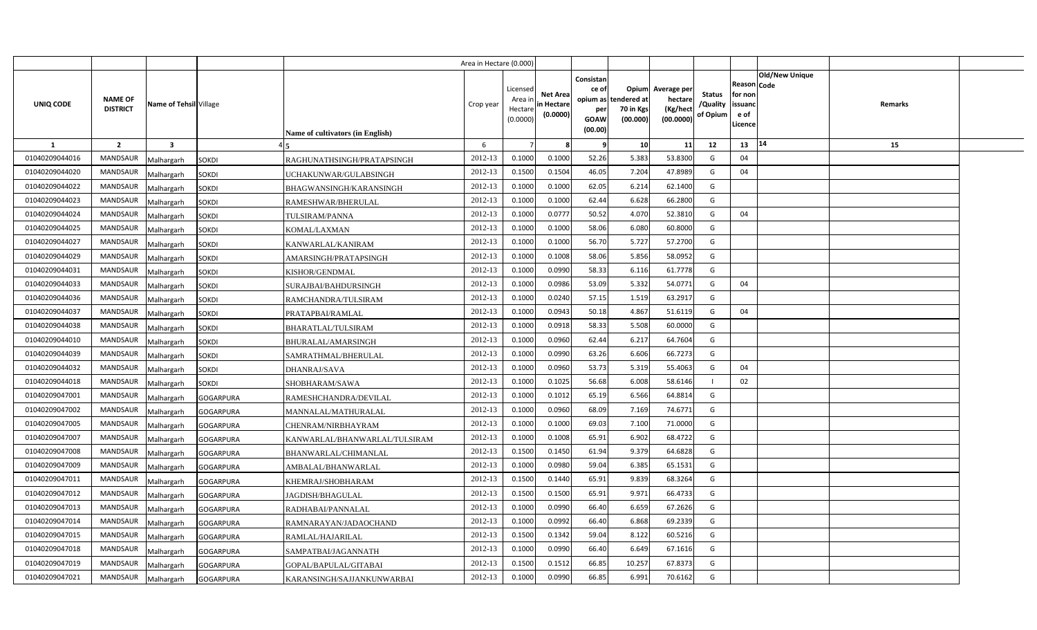|                |                                   |                         |                  |                                  | Area in Hectare (0.000) |                                           |                                           |                                                     |                                                        |                                                 |                                       |                                                        |                       |         |  |
|----------------|-----------------------------------|-------------------------|------------------|----------------------------------|-------------------------|-------------------------------------------|-------------------------------------------|-----------------------------------------------------|--------------------------------------------------------|-------------------------------------------------|---------------------------------------|--------------------------------------------------------|-----------------------|---------|--|
| UNIQ CODE      | <b>NAME OF</b><br><b>DISTRICT</b> | Name of Tehsil Village  |                  | Name of cultivators (in English) | Crop year               | Licensed<br>Area ir<br>Hectar<br>(0.0000) | <b>Net Area</b><br>in Hectare<br>(0.0000) | Consistan<br>ce of<br>per<br><b>GOAW</b><br>(00.00) | Opium<br>opium as tendered at<br>70 in Kgs<br>(00.000) | Average per<br>hectare<br>(Kg/hect<br>(00.0000) | <b>Status</b><br>/Quality<br>of Opium | Reason   Code<br>for non<br>issuanc<br>e of<br>Licence | <b>Old/New Unique</b> | Remarks |  |
| -1             | $\overline{\mathbf{2}}$           | $\overline{\mathbf{3}}$ |                  |                                  | 6                       |                                           |                                           | -9                                                  | 10                                                     | 11                                              | 12                                    | 13                                                     | 14                    | 15      |  |
| 01040209044016 | <b>MANDSAUR</b>                   | Malhargarh              | <b>SOKDI</b>     | RAGHUNATHSINGH/PRATAPSINGH       | 2012-13                 | 0.1000                                    | 0.1000                                    | 52.26                                               | 5.383                                                  | 53.8300                                         | G                                     | 04                                                     |                       |         |  |
| 01040209044020 | MANDSAUR                          | <b>Malhargarh</b>       | <b>SOKDI</b>     | UCHAKUNWAR/GULABSINGH            | 2012-13                 | 0.1500                                    | 0.1504                                    | 46.05                                               | 7.204                                                  | 47.8989                                         | G                                     | 04                                                     |                       |         |  |
| 01040209044022 | MANDSAUR                          | Malhargarh              | <b>SOKDI</b>     | BHAGWANSINGH/KARANSINGH          | 2012-13                 | 0.100                                     | 0.1000                                    | 62.05                                               | 6.214                                                  | 62.1400                                         | G                                     |                                                        |                       |         |  |
| 01040209044023 | <b>MANDSAUR</b>                   | Malhargarh              | SOKDI            | RAMESHWAR/BHERULAL               | 2012-13                 | 0.100                                     | 0.1000                                    | 62.44                                               | 6.628                                                  | 66.2800                                         | G                                     |                                                        |                       |         |  |
| 01040209044024 | MANDSAUR                          | Malhargarh              | <b>SOKDI</b>     | TULSIRAM/PANNA                   | 2012-13                 | 0.1000                                    | 0.077                                     | 50.52                                               | 4.070                                                  | 52.3810                                         | G                                     | 04                                                     |                       |         |  |
| 01040209044025 | <b>MANDSAUR</b>                   | Malhargarh              | SOKDI            | KOMAL/LAXMAN                     | 2012-13                 | 0.100                                     | 0.1000                                    | 58.06                                               | 6.080                                                  | 60.8000                                         | G                                     |                                                        |                       |         |  |
| 01040209044027 | MANDSAUR                          | Malhargarh              | SOKDI            | KANWARLAL/KANIRAM                | 2012-13                 | 0.100                                     | 0.1000                                    | 56.70                                               | 5.727                                                  | 57.2700                                         | G                                     |                                                        |                       |         |  |
| 01040209044029 | <b>MANDSAUR</b>                   | Malhargarh              | <b>SOKDI</b>     | AMARSINGH/PRATAPSINGH            | 2012-13                 | 0.1000                                    | 0.1008                                    | 58.06                                               | 5.856                                                  | 58.0952                                         | G                                     |                                                        |                       |         |  |
| 01040209044031 | MANDSAUR                          | Malhargarh              | SOKDI            | KISHOR/GENDMAL                   | 2012-13                 | 0.1000                                    | 0.0990                                    | 58.33                                               | 6.116                                                  | 61.7778                                         | G                                     |                                                        |                       |         |  |
| 01040209044033 | MANDSAUR                          | Malhargarh              | <b>SOKDI</b>     | SURAJBAI/BAHDURSINGH             | 2012-13                 | 0.1000                                    | 0.0986                                    | 53.09                                               | 5.332                                                  | 54.0771                                         | G                                     | 04                                                     |                       |         |  |
| 01040209044036 | <b>MANDSAUR</b>                   | Malhargarh              | SOKDI            | RAMCHANDRA/TULSIRAM              | 2012-13                 | 0.1000                                    | 0.0240                                    | 57.15                                               | 1.519                                                  | 63.2917                                         | G                                     |                                                        |                       |         |  |
| 01040209044037 | MANDSAUR                          | Malhargarh              | <b>SOKDI</b>     | PRATAPBAI/RAMLAL                 | 2012-13                 | 0.1000                                    | 0.0943                                    | 50.18                                               | 4.867                                                  | 51.6119                                         | G                                     | 04                                                     |                       |         |  |
| 01040209044038 | <b>MANDSAUR</b>                   | Malhargarh              | <b>SOKDI</b>     | <b>BHARATLAL/TULSIRAM</b>        | 2012-13                 | 0.1000                                    | 0.0918                                    | 58.33                                               | 5.508                                                  | 60.0000                                         | G                                     |                                                        |                       |         |  |
| 01040209044010 | <b>MANDSAUR</b>                   | Malhargarh              | SOKDI            | BHURALAL/AMARSINGH               | 2012-13                 | 0.1000                                    | 0.0960                                    | 62.44                                               | 6.217                                                  | 64.7604                                         | G                                     |                                                        |                       |         |  |
| 01040209044039 | MANDSAUR                          | Malhargarh              | <b>SOKDI</b>     | SAMRATHMAL/BHERULAL              | 2012-13                 | 0.1000                                    | 0.0990                                    | 63.26                                               | 6.606                                                  | 66.7273                                         | G                                     |                                                        |                       |         |  |
| 01040209044032 | <b>MANDSAUR</b>                   | Malhargarh              | Sokdi            | <b>DHANRAJ/SAVA</b>              | 2012-13                 | 0.1000                                    | 0.0960                                    | 53.73                                               | 5.319                                                  | 55.4063                                         | G                                     | 04                                                     |                       |         |  |
| 01040209044018 | MANDSAUR                          | Malhargarh              | <b>SOKDI</b>     | SHOBHARAM/SAWA                   | 2012-13                 | 0.1000                                    | 0.1025                                    | 56.68                                               | 6.008                                                  | 58.6146                                         | -1                                    | 02                                                     |                       |         |  |
| 01040209047001 | <b>MANDSAUR</b>                   | Malhargarh              | <b>GOGARPURA</b> | RAMESHCHANDRA/DEVILAL            | 2012-13                 | 0.1000                                    | 0.1012                                    | 65.19                                               | 6.566                                                  | 64.8814                                         | G                                     |                                                        |                       |         |  |
| 01040209047002 | MANDSAUR                          | Malhargarh              | <b>GOGARPURA</b> | MANNALAL/MATHURALAL              | 2012-13                 | 0.1000                                    | 0.0960                                    | 68.09                                               | 7.169                                                  | 74.6771                                         | G                                     |                                                        |                       |         |  |
| 01040209047005 | <b>MANDSAUR</b>                   | Malhargarh              | <b>GOGARPURA</b> | CHENRAM/NIRBHAYRAM               | 2012-13                 | 0.1000                                    | 0.1000                                    | 69.03                                               | 7.100                                                  | 71.0000                                         | G                                     |                                                        |                       |         |  |
| 01040209047007 | MANDSAUR                          | Malhargarh              | <b>GOGARPURA</b> | KANWARLAL/BHANWARLAL/TULSIRAM    | 2012-13                 | 0.1000                                    | 0.1008                                    | 65.91                                               | 6.902                                                  | 68.4722                                         | G                                     |                                                        |                       |         |  |
| 01040209047008 | MANDSAUR                          | Malhargarh              | GOGARPURA        | BHANWARLAL/CHIMANLAL             | 2012-13                 | 0.1500                                    | 0.1450                                    | 61.94                                               | 9.379                                                  | 64.6828                                         | G                                     |                                                        |                       |         |  |
| 01040209047009 | MANDSAUR                          | Malhargarh              | <b>GOGARPURA</b> | AMBALAL/BHANWARLAL               | 2012-13                 | 0.1000                                    | 0.0980                                    | 59.04                                               | 6.385                                                  | 65.1531                                         | G                                     |                                                        |                       |         |  |
| 01040209047011 | MANDSAUR                          | Malhargarh              | GOGARPURA        | KHEMRAJ/SHOBHARAM                | 2012-13                 | 0.1500                                    | 0.1440                                    | 65.91                                               | 9.839                                                  | 68.3264                                         | G                                     |                                                        |                       |         |  |
| 01040209047012 | <b>MANDSAUR</b>                   | Malhargarh              | GOGARPURA        | JAGDISH/BHAGULAL                 | 2012-13                 | 0.1500                                    | 0.1500                                    | 65.91                                               | 9.971                                                  | 66.4733                                         | G                                     |                                                        |                       |         |  |
| 01040209047013 | MANDSAUR                          | Malhargarh              | <b>GOGARPURA</b> | RADHABAI/PANNALAL                | 2012-13                 | 0.1000                                    | 0.0990                                    | 66.40                                               | 6.659                                                  | 67.2626                                         | G                                     |                                                        |                       |         |  |
| 01040209047014 | <b>MANDSAUR</b>                   | Malhargarh              | <b>GOGARPURA</b> | RAMNARAYAN/JADAOCHAND            | 2012-13                 | 0.1000                                    | 0.0992                                    | 66.40                                               | 6.868                                                  | 69.2339                                         | G                                     |                                                        |                       |         |  |
| 01040209047015 | <b>MANDSAUR</b>                   | Malhargarh              | <b>GOGARPURA</b> | RAMLAL/HAJARILAL                 | 2012-13                 | 0.1500                                    | 0.1342                                    | 59.04                                               | 8.122                                                  | 60.5216                                         | G                                     |                                                        |                       |         |  |
| 01040209047018 | MANDSAUR                          | Malhargarh              | <b>GOGARPURA</b> | SAMPATBAI/JAGANNATH              | 2012-13                 | 0.1000                                    | 0.0990                                    | 66.40                                               | 6.649                                                  | 67.1616                                         | G                                     |                                                        |                       |         |  |
| 01040209047019 | <b>MANDSAUR</b>                   | Malhargarh              | GOGARPURA        | GOPAL/BAPULAL/GITABAI            | 2012-13                 | 0.1500                                    | 0.151                                     | 66.85                                               | 10.257                                                 | 67.8373                                         | G                                     |                                                        |                       |         |  |
| 01040209047021 | <b>MANDSAUR</b>                   | Malhargarh              | <b>GOGARPURA</b> | KARANSINGH/SAJJANKUNWARBAI       | 2012-13                 | 0.1000                                    | 0.0990                                    | 66.85                                               | 6.991                                                  | 70.6162                                         | G                                     |                                                        |                       |         |  |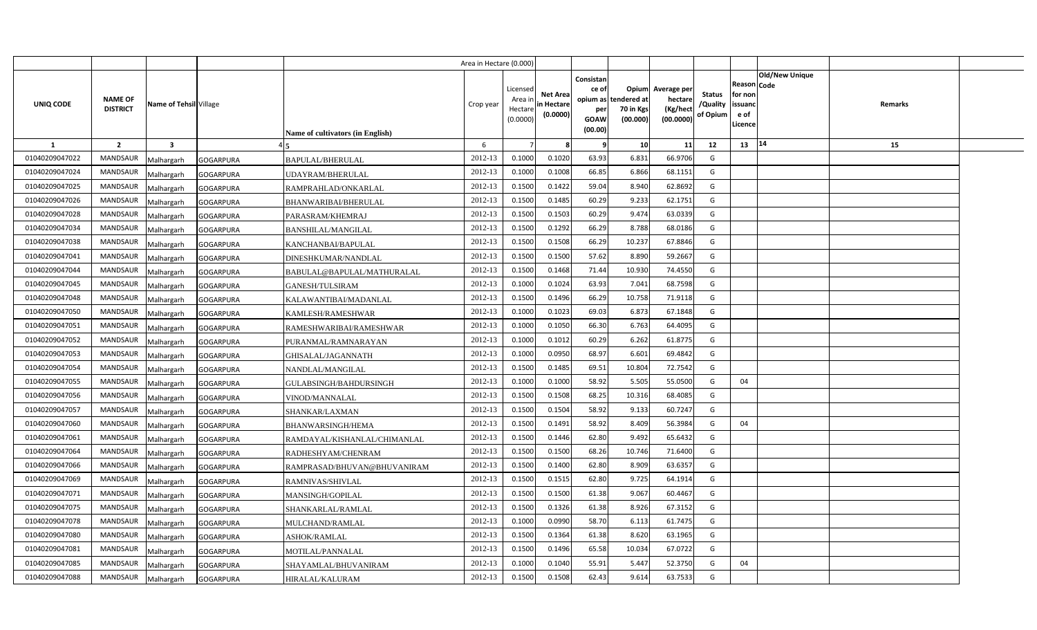|                |                                                      |                  |                                  | Area in Hectare (0.000) |                                            |                                           |                                                     |                                                        |                                                |                                       |                                                                               |         |  |
|----------------|------------------------------------------------------|------------------|----------------------------------|-------------------------|--------------------------------------------|-------------------------------------------|-----------------------------------------------------|--------------------------------------------------------|------------------------------------------------|---------------------------------------|-------------------------------------------------------------------------------|---------|--|
| UNIQ CODE      | NAME OF<br>Name of Tehsil Village<br><b>DISTRICT</b> |                  | Name of cultivators (in English) | Crop year               | Licensed<br>Area ir<br>Hectare<br>(0.0000) | <b>Net Area</b><br>in Hectare<br>(0.0000) | Consistan<br>ce of<br>per<br><b>GOAW</b><br>(00.00) | Opium<br>opium as tendered at<br>70 in Kgs<br>(00.000) | Average per<br>hectare<br>(Kg/hec<br>(00.0000) | <b>Status</b><br>/Quality<br>of Opium | <b>Old/New Unique</b><br>Reason Code<br>for non<br>issuanc<br>e of<br>Licence | Remarks |  |
| <b>1</b>       | $\overline{2}$<br>$\overline{\mathbf{3}}$            |                  |                                  | 6                       |                                            |                                           | - 9                                                 | 10                                                     | 11                                             | 12                                    | 14<br>13                                                                      | 15      |  |
| 01040209047022 | <b>MANDSAUR</b><br>Malhargarh                        | <b>GOGARPURA</b> | BAPULAL/BHERULAL                 | 2012-13                 | 0.1000                                     | 0.1020                                    | 63.93                                               | 6.831                                                  | 66.9706                                        | G                                     |                                                                               |         |  |
| 01040209047024 | MANDSAUR<br>Malhargarh                               | <b>GOGARPURA</b> | <b>JDAYRAM/BHERULAL</b>          | 2012-13                 | 0.1000                                     | 0.1008                                    | 66.85                                               | 6.866                                                  | 68.1151                                        | G                                     |                                                                               |         |  |
| 01040209047025 | MANDSAUR<br>Malhargarh                               | <b>GOGARPURA</b> | RAMPRAHLAD/ONKARLAL              | 2012-13                 | 0.1500                                     | 0.1422                                    | 59.04                                               | 8.940                                                  | 62.8692                                        | G                                     |                                                                               |         |  |
| 01040209047026 | MANDSAUR<br>Malhargarh                               | <b>GOGARPURA</b> | BHANWARIBAI/BHERULAL             | 2012-13                 | 0.1500                                     | 0.1485                                    | 60.29                                               | 9.233                                                  | 62.1751                                        | G                                     |                                                                               |         |  |
| 01040209047028 | <b>MANDSAUR</b><br>Malhargarh                        | <b>GOGARPURA</b> | PARASRAM/KHEMRAJ                 | 2012-13                 | 0.1500                                     | 0.1503                                    | 60.29                                               | 9.474                                                  | 63.033                                         | G                                     |                                                                               |         |  |
| 01040209047034 | MANDSAUR<br>Malhargarh                               | <b>GOGARPURA</b> | BANSHILAL/MANGILAL               | 2012-13                 | 0.1500                                     | 0.1292                                    | 66.29                                               | 8.788                                                  | 68.0186                                        | G                                     |                                                                               |         |  |
| 01040209047038 | <b>MANDSAUR</b><br>Malhargarh                        | <b>GOGARPURA</b> | KANCHANBAI/BAPULAL               | 2012-13                 | 0.1500                                     | 0.1508                                    | 66.29                                               | 10.237                                                 | 67.8846                                        | G                                     |                                                                               |         |  |
| 01040209047041 | <b>MANDSAUR</b><br>Malhargarh                        | <b>GOGARPURA</b> | DINESHKUMAR/NANDLAL              | 2012-13                 | 0.1500                                     | 0.1500                                    | 57.62                                               | 8.890                                                  | 59.2667                                        | G                                     |                                                                               |         |  |
| 01040209047044 | MANDSAUR<br>Malhargarh                               | <b>GOGARPURA</b> | BABULAL@BAPULAL/MATHURALAL       | 2012-13                 | 0.1500                                     | 0.1468                                    | 71.44                                               | 10.930                                                 | 74.4550                                        | G                                     |                                                                               |         |  |
| 01040209047045 | <b>MANDSAUR</b><br>Malhargarh                        | <b>GOGARPURA</b> | GANESH/TULSIRAM                  | 2012-13                 | 0.1000                                     | 0.1024                                    | 63.93                                               | 7.041                                                  | 68.7598                                        | G                                     |                                                                               |         |  |
| 01040209047048 | MANDSAUR<br>Malhargarh                               | <b>GOGARPURA</b> | KALAWANTIBAI/MADANLAL            | 2012-13                 | 0.1500                                     | 0.1496                                    | 66.29                                               | 10.758                                                 | 71.9118                                        | G                                     |                                                                               |         |  |
| 01040209047050 | MANDSAUR<br>Malhargarh                               | <b>GOGARPURA</b> | KAMLESH/RAMESHWAR                | 2012-13                 | 0.1000                                     | 0.1023                                    | 69.03                                               | 6.873                                                  | 67.1848                                        | G                                     |                                                                               |         |  |
| 01040209047051 | <b>MANDSAUR</b><br>Malhargarh                        | <b>GOGARPURA</b> | RAMESHWARIBAI/RAMESHWAR          | 2012-13                 | 0.1000                                     | 0.1050                                    | 66.30                                               | 6.763                                                  | 64.4095                                        | G                                     |                                                                               |         |  |
| 01040209047052 | <b>MANDSAUR</b><br>Malhargarh                        | <b>GOGARPURA</b> | PURANMAL/RAMNARAYAN              | 2012-13                 | 0.1000                                     | 0.1012                                    | 60.29                                               | 6.262                                                  | 61.8775                                        | G                                     |                                                                               |         |  |
| 01040209047053 | <b>MANDSAUR</b><br>Malhargarh                        | <b>GOGARPURA</b> | GHISALAL/JAGANNATH               | 2012-13                 | 0.1000                                     | 0.0950                                    | 68.97                                               | 6.601                                                  | 69.4842                                        | G                                     |                                                                               |         |  |
| 01040209047054 | <b>MANDSAUR</b><br>Malhargarh                        | <b>GOGARPURA</b> | NANDLAL/MANGILAL                 | 2012-13                 | 0.1500                                     | 0.1485                                    | 69.51                                               | 10.804                                                 | 72.7542                                        | G                                     |                                                                               |         |  |
| 01040209047055 | <b>MANDSAUR</b><br>Malhargarh                        | <b>GOGARPURA</b> | GULABSINGH/BAHDURSINGH           | 2012-13                 | 0.1000                                     | 0.1000                                    | 58.92                                               | 5.505                                                  | 55.0500                                        | G                                     | 04                                                                            |         |  |
| 01040209047056 | MANDSAUR<br>Malhargarh                               | <b>GOGARPURA</b> | VINOD/MANNALAL                   | 2012-13                 | 0.1500                                     | 0.1508                                    | 68.25                                               | 10.316                                                 | 68.4085                                        | G                                     |                                                                               |         |  |
| 01040209047057 | <b>MANDSAUR</b><br>Malhargarh                        | <b>GOGARPURA</b> | SHANKAR/LAXMAN                   | 2012-13                 | 0.1500                                     | 0.1504                                    | 58.92                                               | 9.133                                                  | 60.7247                                        | G                                     |                                                                               |         |  |
| 01040209047060 | <b>MANDSAUR</b><br>Malhargarh                        | <b>GOGARPURA</b> | BHANWARSINGH/HEMA                | 2012-13                 | 0.1500                                     | 0.1491                                    | 58.92                                               | 8.409                                                  | 56.3984                                        | G                                     | 04                                                                            |         |  |
| 01040209047061 | <b>MANDSAUR</b><br>Malhargarh                        | <b>GOGARPURA</b> | RAMDAYAL/KISHANLAL/CHIMANLAL     | 2012-13                 | 0.1500                                     | 0.1446                                    | 62.80                                               | 9.492                                                  | 65.6432                                        | G                                     |                                                                               |         |  |
| 01040209047064 | <b>MANDSAUR</b><br>Malhargarh                        | <b>GOGARPURA</b> | RADHESHYAM/CHENRAM               | 2012-13                 | 0.1500                                     | 0.1500                                    | 68.26                                               | 10.746                                                 | 71.6400                                        | G                                     |                                                                               |         |  |
| 01040209047066 | <b>MANDSAUR</b><br>Malhargarh                        | <b>GOGARPURA</b> | RAMPRASAD/BHUVAN@BHUVANIRAM      | 2012-13                 | 0.1500                                     | 0.1400                                    | 62.80                                               | 8.909                                                  | 63.6357                                        | G                                     |                                                                               |         |  |
| 01040209047069 | MANDSAUR<br>Malhargarh                               | <b>GOGARPURA</b> | RAMNIVAS/SHIVLAL                 | 2012-13                 | 0.1500                                     | 0.1515                                    | 62.80                                               | 9.725                                                  | 64.1914                                        | G                                     |                                                                               |         |  |
| 01040209047071 | MANDSAUR<br>Malhargarh                               | <b>GOGARPURA</b> | MANSINGH/GOPILAL                 | 2012-13                 | 0.1500                                     | 0.1500                                    | 61.38                                               | 9.067                                                  | 60.4467                                        | G                                     |                                                                               |         |  |
| 01040209047075 | MANDSAUR<br>Malhargarh                               | <b>GOGARPURA</b> | SHANKARLAL/RAMLAL                | 2012-13                 | 0.1500                                     | 0.1326                                    | 61.38                                               | 8.926                                                  | 67.3152                                        | G                                     |                                                                               |         |  |
| 01040209047078 | MANDSAUR<br>Malhargarh                               | <b>GOGARPURA</b> | MULCHAND/RAMLAL                  | 2012-13                 | 0.1000                                     | 0.0990                                    | 58.70                                               | 6.113                                                  | 61.7475                                        | G                                     |                                                                               |         |  |
| 01040209047080 | MANDSAUR<br>Malhargarh                               | <b>GOGARPURA</b> | ASHOK/RAMLAL                     | 2012-13                 | 0.1500                                     | 0.1364                                    | 61.38                                               | 8.620                                                  | 63.1965                                        | G                                     |                                                                               |         |  |
| 01040209047081 | MANDSAUR<br>Malhargarh                               | GOGARPURA        | MOTILAL/PANNALAL                 | 2012-13                 | 0.1500                                     | 0.1496                                    | 65.58                                               | 10.034                                                 | 67.0722                                        | G                                     |                                                                               |         |  |
| 01040209047085 | MANDSAUR<br>Malhargarh                               | <b>GOGARPURA</b> | SHAYAMLAL/BHUVANIRAM             | 2012-13                 | 0.1000                                     | 0.1040                                    | 55.91                                               | 5.447                                                  | 52.3750                                        | G                                     | 04                                                                            |         |  |
| 01040209047088 | MANDSAUR<br>Malhargarh                               | <b>GOGARPURA</b> | HIRALAL/KALURAM                  | 2012-13                 | 0.1500                                     | 0.1508                                    | 62.43                                               | 9.614                                                  | 63.7533                                        | G                                     |                                                                               |         |  |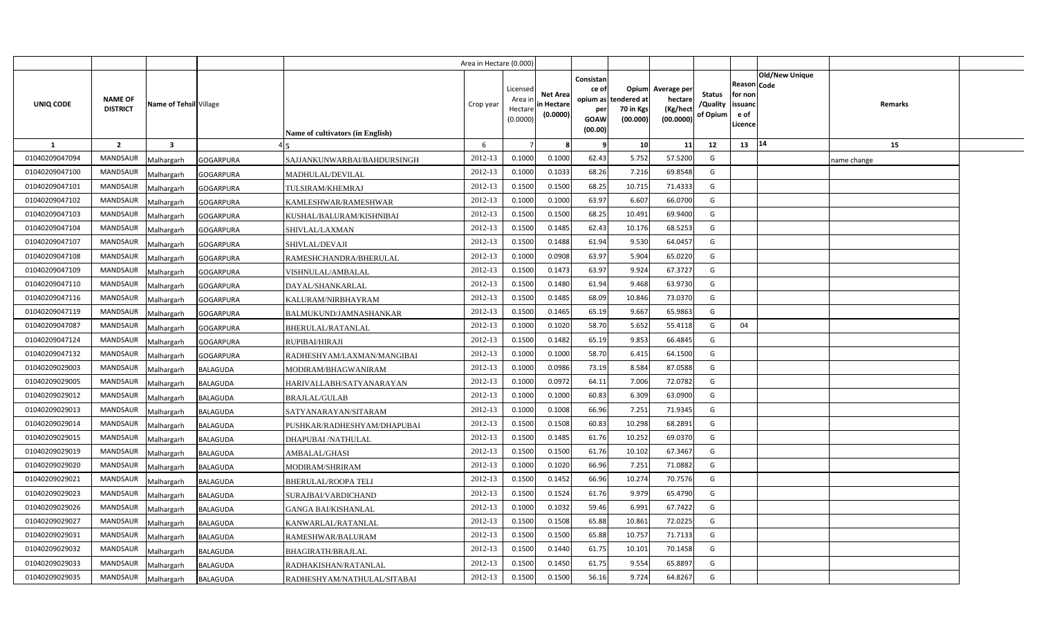|                |                                   |                                |                                  | Area in Hectare (0.000) |                                            |                                           |                                                                 |                                               |                                                 |                                       |                                                             |                       |             |  |
|----------------|-----------------------------------|--------------------------------|----------------------------------|-------------------------|--------------------------------------------|-------------------------------------------|-----------------------------------------------------------------|-----------------------------------------------|-------------------------------------------------|---------------------------------------|-------------------------------------------------------------|-----------------------|-------------|--|
| UNIQ CODE      | <b>NAME OF</b><br><b>DISTRICT</b> | Name of Tehsil Village         | Name of cultivators (in English) | Crop year               | Licensed<br>Area in<br>Hectare<br>(0.0000) | <b>Net Area</b><br>in Hectare<br>(0.0000) | Consistan<br>ce of<br>opium as<br>per<br><b>GOAW</b><br>(00.00) | Opium<br>tendered at<br>70 in Kgs<br>(00.000) | Average per<br>hectare<br>(Kg/hect<br>(00.0000) | <b>Status</b><br>/Quality<br>of Opium | <b>Reason Code</b><br>for non<br>issuand<br>e of<br>Licence | <b>Old/New Unique</b> | Remarks     |  |
| $\mathbf{1}$   | $\overline{2}$                    | $\overline{\mathbf{3}}$        |                                  | 6                       |                                            |                                           |                                                                 | 10 <sup>1</sup>                               | 11                                              | 12                                    | 13 14                                                       |                       | 15          |  |
| 01040209047094 | <b>MANDSAUR</b>                   | <b>GOGARPURA</b><br>Malhargarh | SAJJANKUNWARBAI/BAHDURSINGH      | 2012-13                 | 0.1000                                     | 0.1000                                    | 62.43                                                           | 5.752                                         | 57.5200                                         | G                                     |                                                             |                       | name change |  |
| 01040209047100 | <b>MANDSAUR</b>                   | <b>GOGARPURA</b><br>Malhargarh | MADHULAL/DEVILAL                 | 2012-13                 | 0.1000                                     | 0.1033                                    | 68.26                                                           | 7.216                                         | 69.8548                                         | G                                     |                                                             |                       |             |  |
| 01040209047101 | <b>MANDSAUR</b>                   | Malhargarh<br><b>GOGARPURA</b> | TULSIRAM/KHEMRAJ                 | 2012-13                 | 0.1500                                     | 0.1500                                    | 68.25                                                           | 10.715                                        | 71.4333                                         | G                                     |                                                             |                       |             |  |
| 01040209047102 | <b>MANDSAUR</b>                   | Malhargarh<br><b>GOGARPURA</b> | KAMLESHWAR/RAMESHWAR             | 2012-13                 | 0.1000                                     | 0.1000                                    | 63.97                                                           | 6.607                                         | 66.0700                                         | G                                     |                                                             |                       |             |  |
| 01040209047103 | <b>MANDSAUR</b>                   | Malhargarh<br><b>GOGARPURA</b> | KUSHAL/BALURAM/KISHNIBAI         | 2012-13                 | 0.1500                                     | 0.1500                                    | 68.25                                                           | 10.491                                        | 69.9400                                         | G                                     |                                                             |                       |             |  |
| 01040209047104 | <b>MANDSAUR</b>                   | Malhargarh<br><b>GOGARPURA</b> | SHIVLAL/LAXMAN                   | 2012-13                 | 0.1500                                     | 0.1485                                    | 62.43                                                           | 10.176                                        | 68.5253                                         | G                                     |                                                             |                       |             |  |
| 01040209047107 | <b>MANDSAUR</b>                   | Malhargarh<br><b>GOGARPURA</b> | SHIVLAL/DEVAJI                   | 2012-13                 | 0.1500                                     | 0.1488                                    | 61.94                                                           | 9.530                                         | 64.0457                                         | G                                     |                                                             |                       |             |  |
| 01040209047108 | <b>MANDSAUR</b>                   | Malhargarh<br><b>GOGARPURA</b> | RAMESHCHANDRA/BHERULAL           | 2012-13                 | 0.1000                                     | 0.0908                                    | 63.97                                                           | 5.904                                         | 65.0220                                         | G                                     |                                                             |                       |             |  |
| 01040209047109 | <b>MANDSAUR</b>                   | Malhargarh<br><b>GOGARPURA</b> | VISHNULAL/AMBALAL                | 2012-13                 | 0.1500                                     | 0.1473                                    | 63.97                                                           | 9.924                                         | 67.3727                                         | G                                     |                                                             |                       |             |  |
| 01040209047110 | <b>MANDSAUR</b>                   | Malhargarh<br><b>GOGARPURA</b> | DAYAL/SHANKARLAL                 | 2012-13                 | 0.1500                                     | 0.1480                                    | 61.94                                                           | 9.468                                         | 63.9730                                         | G                                     |                                                             |                       |             |  |
| 01040209047116 | <b>MANDSAUR</b>                   | Malhargarh<br><b>GOGARPURA</b> | KALURAM/NIRBHAYRAM               | 2012-13                 | 0.1500                                     | 0.1485                                    | 68.09                                                           | 10.846                                        | 73.0370                                         | G                                     |                                                             |                       |             |  |
| 01040209047119 | <b>MANDSAUR</b>                   | Malhargarh<br><b>GOGARPURA</b> | BALMUKUND/JAMNASHANKAR           | 2012-13                 | 0.1500                                     | 0.1465                                    | 65.19                                                           | 9.667                                         | 65.9863                                         | G                                     |                                                             |                       |             |  |
| 01040209047087 | MANDSAUR                          | Malhargarh<br><b>GOGARPURA</b> | BHERULAL/RATANLAL                | 2012-13                 | 0.1000                                     | 0.1020                                    | 58.70                                                           | 5.652                                         | 55.4118                                         | G                                     | 04                                                          |                       |             |  |
| 01040209047124 | <b>MANDSAUR</b>                   | <b>GOGARPURA</b><br>Malhargarh | RUPIBAI/HIRAJI                   | 2012-13                 | 0.1500                                     | 0.1482                                    | 65.19                                                           | 9.853                                         | 66.4845                                         | G                                     |                                                             |                       |             |  |
| 01040209047132 | <b>MANDSAUR</b>                   | Malhargarh<br><b>GOGARPURA</b> | RADHESHYAM/LAXMAN/MANGIBAI       | 2012-13                 | 0.1000                                     | 0.1000                                    | 58.70                                                           | 6.415                                         | 64.1500                                         | G                                     |                                                             |                       |             |  |
| 01040209029003 | MANDSAUR                          | Malhargarh<br>BALAGUDA         | MODIRAM/BHAGWANIRAM              | 2012-13                 | 0.1000                                     | 0.0986                                    | 73.19                                                           | 8.584                                         | 87.0588                                         | G                                     |                                                             |                       |             |  |
| 01040209029005 | <b>MANDSAUR</b>                   | Malhargarh<br>BALAGUDA         | HARIVALLABH/SATYANARAYAN         | 2012-13                 | 0.1000                                     | 0.0972                                    | 64.11                                                           | 7.006                                         | 72.0782                                         | G                                     |                                                             |                       |             |  |
| 01040209029012 | MANDSAUR                          | Malhargarh<br>BALAGUDA         | <b>BRAJLAL/GULAB</b>             | 2012-13                 | 0.1000                                     | 0.1000                                    | 60.83                                                           | 6.309                                         | 63.0900                                         | G                                     |                                                             |                       |             |  |
| 01040209029013 | <b>MANDSAUR</b>                   | Malhargarh<br>BALAGUDA         | SATYANARAYAN/SITARAM             | 2012-13                 | 0.1000                                     | 0.1008                                    | 66.96                                                           | 7.251                                         | 71.9345                                         | G                                     |                                                             |                       |             |  |
| 01040209029014 | <b>MANDSAUR</b>                   | Malhargarh<br><b>BALAGUDA</b>  | PUSHKAR/RADHESHYAM/DHAPUBAI      | 2012-13                 | 0.1500                                     | 0.1508                                    | 60.83                                                           | 10.298                                        | 68.2891                                         | G                                     |                                                             |                       |             |  |
| 01040209029015 | <b>MANDSAUR</b>                   | Malhargarh<br><b>BALAGUDA</b>  | DHAPUBAI / NATHULAL              | 2012-13                 | 0.1500                                     | 0.1485                                    | 61.76                                                           | 10.252                                        | 69.0370                                         | G                                     |                                                             |                       |             |  |
| 01040209029019 | <b>MANDSAUR</b>                   | Malhargarh<br><b>BALAGUDA</b>  | AMBALAL/GHASI                    | 2012-13                 | 0.1500                                     | 0.1500                                    | 61.76                                                           | 10.102                                        | 67.3467                                         | G                                     |                                                             |                       |             |  |
| 01040209029020 | <b>MANDSAUR</b>                   | Malhargarh<br><b>BALAGUDA</b>  | MODIRAM/SHRIRAM                  | 2012-13                 | 0.1000                                     | 0.1020                                    | 66.96                                                           | 7.251                                         | 71.0882                                         | G                                     |                                                             |                       |             |  |
| 01040209029021 | <b>MANDSAUR</b>                   | Malhargarh<br><b>BALAGUDA</b>  | <b>BHERULAL/ROOPA TELI</b>       | 2012-13                 | 0.1500                                     | 0.1452                                    | 66.96                                                           | 10.274                                        | 70.7576                                         | G                                     |                                                             |                       |             |  |
| 01040209029023 | MANDSAUR                          | Malhargarh<br><b>BALAGUDA</b>  | SURAJBAI/VARDICHAND              | 2012-13                 | 0.1500                                     | 0.1524                                    | 61.76                                                           | 9.979                                         | 65.4790                                         | G                                     |                                                             |                       |             |  |
| 01040209029026 | <b>MANDSAUR</b>                   | Malhargarh<br><b>BALAGUDA</b>  | <b>GANGA BAI/KISHANLAL</b>       | 2012-13                 | 0.1000                                     | 0.1032                                    | 59.46                                                           | 6.991                                         | 67.7422                                         | G                                     |                                                             |                       |             |  |
| 01040209029027 | <b>MANDSAUR</b>                   | Malhargarh<br>BALAGUDA         | KANWARLAL/RATANLAL               | 2012-13                 | 0.1500                                     | 0.1508                                    | 65.88                                                           | 10.861                                        | 72.0225                                         | G                                     |                                                             |                       |             |  |
| 01040209029031 | <b>MANDSAUR</b>                   | Malhargarh<br>BALAGUDA         | RAMESHWAR/BALURAM                | 2012-13                 | 0.1500                                     | 0.1500                                    | 65.88                                                           | 10.757                                        | 71.7133                                         | G                                     |                                                             |                       |             |  |
| 01040209029032 | <b>MANDSAUR</b>                   | Malhargarh<br>BALAGUDA         | BHAGIRATH/BRAJLAL                | 2012-13                 | 0.1500                                     | 0.1440                                    | 61.75                                                           | 10.101                                        | 70.1458                                         | G                                     |                                                             |                       |             |  |
| 01040209029033 | <b>MANDSAUR</b>                   | Malhargarh<br>BALAGUDA         | RADHAKISHAN/RATANLAL             | 2012-13                 | 0.1500                                     | 0.1450                                    | 61.75                                                           | 9.554                                         | 65.8897                                         | G                                     |                                                             |                       |             |  |
| 01040209029035 | <b>MANDSAUR</b>                   | Malhargarh<br><b>BALAGUDA</b>  | RADHESHYAM/NATHULAL/SITABAI      | 2012-13                 | 0.1500                                     | 0.1500                                    | 56.16                                                           | 9.724                                         | 64.8267                                         | G                                     |                                                             |                       |             |  |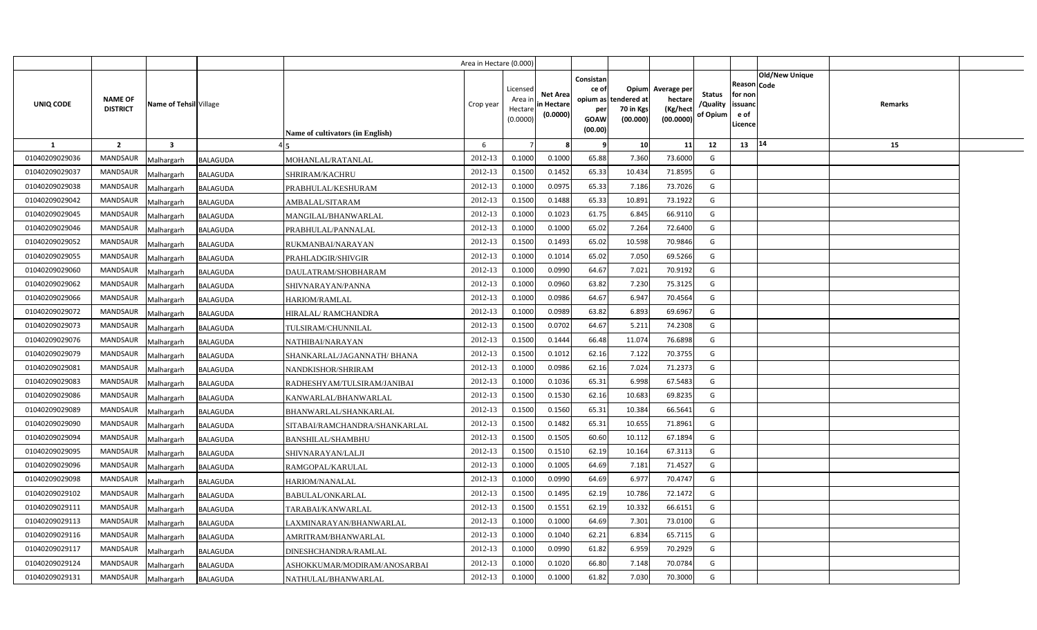|                |                                   |                               |                                         | Area in Hectare (0.000) |                                            |                                           |                                                                             |                                |                                                 |                                       |                                                      |                       |         |  |
|----------------|-----------------------------------|-------------------------------|-----------------------------------------|-------------------------|--------------------------------------------|-------------------------------------------|-----------------------------------------------------------------------------|--------------------------------|-------------------------------------------------|---------------------------------------|------------------------------------------------------|-----------------------|---------|--|
| UNIQ CODE      | <b>NAME OF</b><br><b>DISTRICT</b> | Name of Tehsil Village        | <b>Name of cultivators (in English)</b> | Crop year               | Licensed<br>Area ir<br>Hectare<br>(0.0000) | <b>Net Area</b><br>in Hectare<br>(0.0000) | Consistan<br>ce of<br>opium as tendered at<br>per<br><b>GOAW</b><br>(00.00) | Opium<br>70 in Kgs<br>(00.000) | Average per<br>hectare<br>(Kg/hect<br>(00.0000) | <b>Status</b><br>/Quality<br>of Opium | Reason Code<br>for non<br>issuanc<br>e of<br>Licence | <b>Old/New Unique</b> | Remarks |  |
| $\mathbf{1}$   | $\overline{2}$                    | $\overline{\mathbf{3}}$       |                                         | 6                       |                                            |                                           | -9                                                                          | 10                             | 11                                              | 12                                    | 13                                                   | 14                    | 15      |  |
| 01040209029036 | <b>MANDSAUR</b>                   | Malhargarh<br><b>BALAGUDA</b> | MOHANLAL/RATANLAL                       | 2012-13                 | 0.1000                                     | 0.1000                                    | 65.88                                                                       | 7.360                          | 73.6000                                         | G                                     |                                                      |                       |         |  |
| 01040209029037 | <b>MANDSAUR</b>                   | Malhargarh<br><b>BALAGUDA</b> | SHRIRAM/KACHRU                          | 2012-13                 | 0.1500                                     | 0.1452                                    | 65.33                                                                       | 10.434                         | 71.8595                                         | G                                     |                                                      |                       |         |  |
| 01040209029038 | <b>MANDSAUR</b>                   | Malhargarh<br><b>BALAGUDA</b> | PRABHULAL/KESHURAM                      | 2012-13                 | 0.1000                                     | 0.097!                                    | 65.33                                                                       | 7.186                          | 73.7026                                         | G                                     |                                                      |                       |         |  |
| 01040209029042 | <b>MANDSAUR</b>                   | Malhargarh<br>BALAGUDA        | AMBALAL/SITARAM                         | 2012-13                 | 0.1500                                     | 0.1488                                    | 65.33                                                                       | 10.891                         | 73.1922                                         | G                                     |                                                      |                       |         |  |
| 01040209029045 | <b>MANDSAUR</b>                   | Malhargarh<br><b>BALAGUDA</b> | MANGILAL/BHANWARLAL                     | 2012-13                 | 0.1000                                     | 0.1023                                    | 61.75                                                                       | 6.845                          | 66.9110                                         | G                                     |                                                      |                       |         |  |
| 01040209029046 | <b>MANDSAUR</b>                   | Malhargarh<br><b>BALAGUDA</b> | PRABHULAL/PANNALAL                      | 2012-13                 | 0.100                                      | 0.1000                                    | 65.02                                                                       | 7.264                          | 72.6400                                         | G                                     |                                                      |                       |         |  |
| 01040209029052 | <b>MANDSAUR</b>                   | Malhargarh<br>BALAGUDA        | RUKMANBAI/NARAYAN                       | 2012-13                 | 0.1500                                     | 0.1493                                    | 65.02                                                                       | 10.598                         | 70.9846                                         | G                                     |                                                      |                       |         |  |
| 01040209029055 | <b>MANDSAUR</b>                   | Malhargarh<br><b>BALAGUDA</b> | PRAHLADGIR/SHIVGIR                      | 2012-13                 | 0.1000                                     | 0.101                                     | 65.02                                                                       | 7.050                          | 69.5266                                         | G                                     |                                                      |                       |         |  |
| 01040209029060 | <b>MANDSAUR</b>                   | Malhargarh<br><b>BALAGUDA</b> | DAULATRAM/SHOBHARAM                     | 2012-13                 | 0.1000                                     | 0.0990                                    | 64.67                                                                       | 7.021                          | 70.9192                                         | G                                     |                                                      |                       |         |  |
| 01040209029062 | <b>MANDSAUR</b>                   | Malhargarh<br><b>BALAGUDA</b> | SHIVNARAYAN/PANNA                       | 2012-13                 | 0.1000                                     | 0.0960                                    | 63.82                                                                       | 7.230                          | 75.3125                                         | G                                     |                                                      |                       |         |  |
| 01040209029066 | <b>MANDSAUR</b>                   | Malhargarh<br><b>BALAGUDA</b> | <b>HARIOM/RAMLAL</b>                    | 2012-13                 | 0.1000                                     | 0.0986                                    | 64.67                                                                       | 6.947                          | 70.4564                                         | G                                     |                                                      |                       |         |  |
| 01040209029072 | <b>MANDSAUR</b>                   | Malhargarh<br><b>BALAGUDA</b> | HIRALAL/RAMCHANDRA                      | 2012-13                 | 0.1000                                     | 0.0989                                    | 63.82                                                                       | 6.893                          | 69.6967                                         | G                                     |                                                      |                       |         |  |
| 01040209029073 | <b>MANDSAUR</b>                   | Malhargarh<br><b>BALAGUDA</b> | TULSIRAM/CHUNNILAL                      | 2012-13                 | 0.1500                                     | 0.0702                                    | 64.67                                                                       | 5.211                          | 74.2308                                         | G                                     |                                                      |                       |         |  |
| 01040209029076 | <b>MANDSAUR</b>                   | Malhargarh<br><b>BALAGUDA</b> | NATHIBAI/NARAYAN                        | 2012-13                 | 0.1500                                     | 0.1444                                    | 66.48                                                                       | 11.074                         | 76.6898                                         | G                                     |                                                      |                       |         |  |
| 01040209029079 | MANDSAUR                          | Malhargarh<br>BALAGUDA        | SHANKARLAL/JAGANNATH/ BHANA             | 2012-13                 | 0.1500                                     | 0.1012                                    | 62.16                                                                       | 7.122                          | 70.3755                                         | G                                     |                                                      |                       |         |  |
| 01040209029081 | <b>MANDSAUR</b>                   | Malhargarh<br>BALAGUDA        | NANDKISHOR/SHRIRAM                      | 2012-13                 | 0.1000                                     | 0.0986                                    | 62.16                                                                       | 7.024                          | 71.2373                                         | G                                     |                                                      |                       |         |  |
| 01040209029083 | MANDSAUR                          | Malhargarh<br><b>BALAGUDA</b> | RADHESHYAM/TULSIRAM/JANIBAI             | 2012-13                 | 0.1000                                     | 0.1036                                    | 65.31                                                                       | 6.998                          | 67.5483                                         | G                                     |                                                      |                       |         |  |
| 01040209029086 | <b>MANDSAUR</b>                   | Malhargarh<br>BALAGUDA        | KANWARLAL/BHANWARLAL                    | 2012-13                 | 0.1500                                     | 0.1530                                    | 62.16                                                                       | 10.683                         | 69.8235                                         | G                                     |                                                      |                       |         |  |
| 01040209029089 | <b>MANDSAUR</b>                   | Malhargarh<br><b>BALAGUDA</b> | BHANWARLAL/SHANKARLAL                   | 2012-13                 | 0.1500                                     | 0.1560                                    | 65.31                                                                       | 10.384                         | 66.5641                                         | G                                     |                                                      |                       |         |  |
| 01040209029090 | <b>MANDSAUR</b>                   | Malhargarh<br><b>BALAGUDA</b> | SITABAI/RAMCHANDRA/SHANKARLAL           | 2012-13                 | 0.1500                                     | 0.1482                                    | 65.31                                                                       | 10.655                         | 71.8961                                         | G                                     |                                                      |                       |         |  |
| 01040209029094 | <b>MANDSAUR</b>                   | Malhargarh<br>BALAGUDA        | BANSHILAL/SHAMBHU                       | 2012-13                 | 0.1500                                     | 0.1505                                    | 60.60                                                                       | 10.112                         | 67.1894                                         | G                                     |                                                      |                       |         |  |
| 01040209029095 | <b>MANDSAUR</b>                   | Malhargarh<br>BALAGUDA        | SHIVNARAYAN/LALJI                       | 2012-13                 | 0.1500                                     | 0.1510                                    | 62.19                                                                       | 10.164                         | 67.3113                                         | G                                     |                                                      |                       |         |  |
| 01040209029096 | <b>MANDSAUR</b>                   | Malhargarh<br>BALAGUDA        | RAMGOPAL/KARULAL                        | 2012-13                 | 0.1000                                     | 0.1005                                    | 64.69                                                                       | 7.181                          | 71.4527                                         | G                                     |                                                      |                       |         |  |
| 01040209029098 | MANDSAUR                          | Malhargarh<br>BALAGUDA        | HARIOM/NANALAL                          | 2012-13                 | 0.1000                                     | 0.0990                                    | 64.69                                                                       | 6.977                          | 70.4747                                         | G                                     |                                                      |                       |         |  |
| 01040209029102 | <b>MANDSAUR</b>                   | Malhargarh<br>BALAGUDA        | BABULAL/ONKARLAL                        | 2012-13                 | 0.1500                                     | 0.1495                                    | 62.19                                                                       | 10.786                         | 72.1472                                         | G                                     |                                                      |                       |         |  |
| 01040209029111 | <b>MANDSAUR</b>                   | Malhargarh<br>BALAGUDA        | TARABAI/KANWARLAL                       | 2012-13                 | 0.1500                                     | 0.1551                                    | 62.19                                                                       | 10.332                         | 66.6151                                         | G                                     |                                                      |                       |         |  |
| 01040209029113 | <b>MANDSAUR</b>                   | Malhargarh<br>BALAGUDA        | LAXMINARAYAN/BHANWARLAL                 | 2012-13                 | 0.1000                                     | 0.1000                                    | 64.69                                                                       | 7.301                          | 73.0100                                         | G                                     |                                                      |                       |         |  |
| 01040209029116 | <b>MANDSAUR</b>                   | Malhargarh<br><b>BALAGUDA</b> | AMRITRAM/BHANWARLAL                     | 2012-13                 | 0.1000                                     | 0.1040                                    | 62.21                                                                       | 6.834                          | 65.7115                                         | G                                     |                                                      |                       |         |  |
| 01040209029117 | <b>MANDSAUR</b>                   | Malhargarh<br><b>BALAGUDA</b> | DINESHCHANDRA/RAMLAL                    | 2012-13                 | 0.1000                                     | 0.0990                                    | 61.82                                                                       | 6.959                          | 70.2929                                         | G                                     |                                                      |                       |         |  |
| 01040209029124 | <b>MANDSAUR</b>                   | Malhargarh<br><b>BALAGUDA</b> | ASHOKKUMAR/MODIRAM/ANOSARBAI            | 2012-13                 | 0.1000                                     | 0.1020                                    | 66.80                                                                       | 7.148                          | 70.0784                                         | G                                     |                                                      |                       |         |  |
| 01040209029131 | <b>MANDSAUR</b>                   | Malhargarh<br><b>BALAGUDA</b> | NATHULAL/BHANWARLAL                     | 2012-13                 | 0.1000                                     | 0.1000                                    | 61.82                                                                       | 7.030                          | 70.3000                                         | G                                     |                                                      |                       |         |  |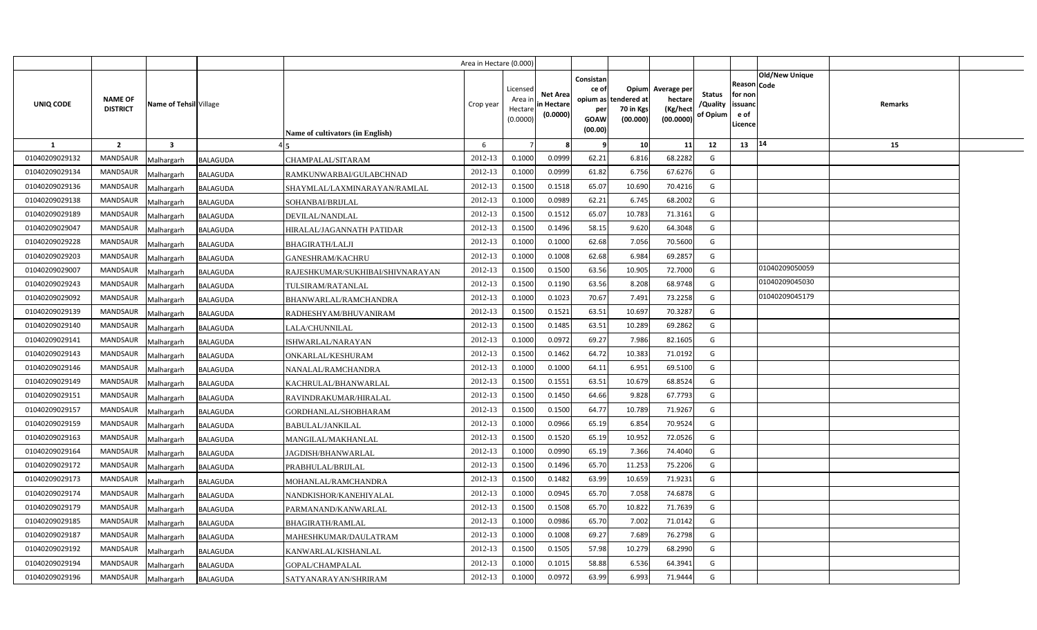|                |                                   |                               |                                  | Area in Hectare (0.000) |                                            |                                           |                                                                             |                                |                                                 |                                       |                                                      |                       |         |  |
|----------------|-----------------------------------|-------------------------------|----------------------------------|-------------------------|--------------------------------------------|-------------------------------------------|-----------------------------------------------------------------------------|--------------------------------|-------------------------------------------------|---------------------------------------|------------------------------------------------------|-----------------------|---------|--|
| UNIQ CODE      | <b>NAME OF</b><br><b>DISTRICT</b> | Name of Tehsil Village        | Name of cultivators (in English) | Crop year               | Licensed<br>Area ir<br>Hectare<br>(0.0000) | <b>Net Area</b><br>in Hectare<br>(0.0000) | Consistan<br>ce of<br>opium as tendered at<br>per<br><b>GOAW</b><br>(00.00) | Opium<br>70 in Kgs<br>(00.000) | Average per<br>hectare<br>(Kg/hect<br>(00.0000) | <b>Status</b><br>/Quality<br>of Opium | Reason Code<br>for non<br>issuanc<br>e of<br>Licence | <b>Old/New Unique</b> | Remarks |  |
| $\mathbf{1}$   | $\overline{2}$                    | $\overline{\mathbf{3}}$       |                                  | 6                       |                                            |                                           | - 9                                                                         | 10                             | 11                                              | 12                                    | 13                                                   | 14                    | 15      |  |
| 01040209029132 | <b>MANDSAUR</b>                   | <b>BALAGUDA</b><br>Malhargarh | CHAMPALAL/SITARAM                | 2012-13                 | 0.1000                                     | 0.0999                                    | 62.21                                                                       | 6.816                          | 68.2282                                         | G                                     |                                                      |                       |         |  |
| 01040209029134 | <b>MANDSAUR</b>                   | <b>BALAGUDA</b><br>Malhargarh | RAMKUNWARBAI/GULABCHNAD          | 2012-13                 | 0.1000                                     | 0.0999                                    | 61.82                                                                       | 6.756                          | 67.6276                                         | G                                     |                                                      |                       |         |  |
| 01040209029136 | <b>MANDSAUR</b>                   | Malhargarh<br><b>BALAGUDA</b> | SHAYMLAL/LAXMINARAYAN/RAMLAL     | 2012-13                 | 0.1500                                     | 0.1518                                    | 65.07                                                                       | 10.690                         | 70.4216                                         | G                                     |                                                      |                       |         |  |
| 01040209029138 | <b>MANDSAUR</b>                   | Malhargarh<br><b>BALAGUDA</b> | SOHANBAI/BRIJLAL                 | 2012-13                 | 0.1000                                     | 0.0989                                    | 62.21                                                                       | 6.745                          | 68.2002                                         | G                                     |                                                      |                       |         |  |
| 01040209029189 | <b>MANDSAUR</b>                   | Malhargarh<br><b>BALAGUDA</b> | DEVILAL/NANDLAL                  | 2012-13                 | 0.1500                                     | 0.151                                     | 65.07                                                                       | 10.783                         | 71.3161                                         | G                                     |                                                      |                       |         |  |
| 01040209029047 | <b>MANDSAUR</b>                   | <b>BALAGUDA</b><br>Malhargarh | HIRALAL/JAGANNATH PATIDAR        | 2012-13                 | 0.1500                                     | 0.1496                                    | 58.15                                                                       | 9.620                          | 64.3048                                         | G                                     |                                                      |                       |         |  |
| 01040209029228 | <b>MANDSAUR</b>                   | Malhargarh<br><b>BALAGUDA</b> | <b>BHAGIRATH/LALJI</b>           | 2012-13                 | 0.100                                      | 0.1000                                    | 62.68                                                                       | 7.056                          | 70.5600                                         | G                                     |                                                      |                       |         |  |
| 01040209029203 | <b>MANDSAUR</b>                   | Malhargarh<br>BALAGUDA        | <b>GANESHRAM/KACHRU</b>          | 2012-13                 | 0.1000                                     | 0.1008                                    | 62.68                                                                       | 6.984                          | 69.2857                                         | G                                     |                                                      |                       |         |  |
| 01040209029007 | <b>MANDSAUR</b>                   | Malhargarh<br><b>BALAGUDA</b> | RAJESHKUMAR/SUKHIBAI/SHIVNARAYAN | 2012-13                 | 0.1500                                     | 0.1500                                    | 63.56                                                                       | 10.905                         | 72.7000                                         | G                                     |                                                      | 01040209050059        |         |  |
| 01040209029243 | <b>MANDSAUR</b>                   | Malhargarh<br><b>BALAGUDA</b> | TULSIRAM/RATANLAL                | 2012-13                 | 0.1500                                     | 0.1190                                    | 63.56                                                                       | 8.208                          | 68.9748                                         | G                                     |                                                      | 01040209045030        |         |  |
| 01040209029092 | <b>MANDSAUR</b>                   | Malhargarh<br><b>BALAGUDA</b> | BHANWARLAL/RAMCHANDRA            | 2012-13                 | 0.1000                                     | 0.1023                                    | 70.67                                                                       | 7.491                          | 73.2258                                         | G                                     |                                                      | 01040209045179        |         |  |
| 01040209029139 | <b>MANDSAUR</b>                   | Malhargarh<br><b>BALAGUDA</b> | RADHESHYAM/BHUVANIRAM            | 2012-13                 | 0.1500                                     | 0.152                                     | 63.51                                                                       | 10.697                         | 70.3287                                         | G                                     |                                                      |                       |         |  |
| 01040209029140 | <b>MANDSAUR</b>                   | Malhargarh<br><b>BALAGUDA</b> | LALA/CHUNNILAL                   | 2012-13                 | 0.1500                                     | 0.1485                                    | 63.51                                                                       | 10.289                         | 69.2862                                         | G                                     |                                                      |                       |         |  |
| 01040209029141 | <b>MANDSAUR</b>                   | Malhargarh<br><b>BALAGUDA</b> | ISHWARLAL/NARAYAN                | 2012-13                 | 0.1000                                     | 0.0972                                    | 69.27                                                                       | 7.986                          | 82.1605                                         | G                                     |                                                      |                       |         |  |
| 01040209029143 | <b>MANDSAUR</b>                   | Malhargarh<br><b>BALAGUDA</b> | ONKARLAL/KESHURAM                | 2012-13                 | 0.1500                                     | 0.1462                                    | 64.72                                                                       | 10.383                         | 71.0192                                         | G                                     |                                                      |                       |         |  |
| 01040209029146 | <b>MANDSAUR</b>                   | Malhargarh<br>BALAGUDA        | NANALAL/RAMCHANDRA               | 2012-13                 | 0.1000                                     | 0.1000                                    | 64.11                                                                       | 6.951                          | 69.5100                                         | G                                     |                                                      |                       |         |  |
| 01040209029149 | <b>MANDSAUR</b>                   | Malhargarh<br><b>BALAGUDA</b> | KACHRULAL/BHANWARLAL             | 2012-13                 | 0.1500                                     | 0.1551                                    | 63.51                                                                       | 10.679                         | 68.8524                                         | G                                     |                                                      |                       |         |  |
| 01040209029151 | MANDSAUR                          | Malhargarh<br>BALAGUDA        | RAVINDRAKUMAR/HIRALAL            | 2012-13                 | 0.1500                                     | 0.1450                                    | 64.66                                                                       | 9.828                          | 67.7793                                         | G                                     |                                                      |                       |         |  |
| 01040209029157 | <b>MANDSAUR</b>                   | Malhargarh<br>BALAGUDA        | GORDHANLAL/SHOBHARAM             | 2012-13                 | 0.1500                                     | 0.1500                                    | 64.77                                                                       | 10.789                         | 71.9267                                         | G                                     |                                                      |                       |         |  |
| 01040209029159 | MANDSAUR                          | Malhargarh<br><b>BALAGUDA</b> | <b>BABULAL/JANKILAL</b>          | 2012-13                 | 0.1000                                     | 0.0966                                    | 65.19                                                                       | 6.854                          | 70.9524                                         | G                                     |                                                      |                       |         |  |
| 01040209029163 | <b>MANDSAUR</b>                   | Malhargarh<br><b>BALAGUDA</b> | MANGILAL/MAKHANLAL               | 2012-13                 | 0.1500                                     | 0.1520                                    | 65.19                                                                       | 10.952                         | 72.0526                                         | G                                     |                                                      |                       |         |  |
| 01040209029164 | MANDSAUR                          | Malhargarh<br><b>BALAGUDA</b> | JAGDISH/BHANWARLAL               | 2012-13                 | 0.1000                                     | 0.0990                                    | 65.19                                                                       | 7.366                          | 74.4040                                         | G                                     |                                                      |                       |         |  |
| 01040209029172 | MANDSAUR                          | Malhargarh<br><b>BALAGUDA</b> | PRABHULAL/BRIJLAL                | 2012-13                 | 0.1500                                     | 0.1496                                    | 65.70                                                                       | 11.253                         | 75.2206                                         | G                                     |                                                      |                       |         |  |
| 01040209029173 | <b>MANDSAUR</b>                   | Malhargarh<br>BALAGUDA        | MOHANLAL/RAMCHANDRA              | 2012-13                 | 0.1500                                     | 0.1482                                    | 63.99                                                                       | 10.659                         | 71.9231                                         | $\mathsf{G}$                          |                                                      |                       |         |  |
| 01040209029174 | MANDSAUR                          | Malhargarh<br><b>BALAGUDA</b> | NANDKISHOR/KANEHIYALAL           | 2012-13                 | 0.1000                                     | 0.0945                                    | 65.70                                                                       | 7.058                          | 74.6878                                         | G                                     |                                                      |                       |         |  |
| 01040209029179 | <b>MANDSAUR</b>                   | Malhargarh<br>BALAGUDA        | PARMANAND/KANWARLAL              | 2012-13                 | 0.1500                                     | 0.1508                                    | 65.70                                                                       | 10.822                         | 71.7639                                         | G                                     |                                                      |                       |         |  |
| 01040209029185 | <b>MANDSAUR</b>                   | Malhargarh<br><b>BALAGUDA</b> | BHAGIRATH/RAMLAL                 | 2012-13                 | 0.1000                                     | 0.0986                                    | 65.70                                                                       | 7.002                          | 71.0142                                         | G                                     |                                                      |                       |         |  |
| 01040209029187 | <b>MANDSAUR</b>                   | Malhargarh<br>BALAGUDA        | MAHESHKUMAR/DAULATRAM            | 2012-13                 | 0.1000                                     | 0.1008                                    | 69.27                                                                       | 7.689                          | 76.2798                                         | G                                     |                                                      |                       |         |  |
| 01040209029192 | <b>MANDSAUR</b>                   | Malhargarh<br>BALAGUDA        | KANWARLAL/KISHANLAL              | 2012-13                 | 0.1500                                     | 0.1505                                    | 57.98                                                                       | 10.279                         | 68.2990                                         | G                                     |                                                      |                       |         |  |
| 01040209029194 | <b>MANDSAUR</b>                   | Malhargarh<br>BALAGUDA        | GOPAL/CHAMPALAL                  | 2012-13                 | 0.1000                                     | 0.101!                                    | 58.88                                                                       | 6.536                          | 64.3941                                         | G                                     |                                                      |                       |         |  |
| 01040209029196 | <b>MANDSAUR</b>                   | Malhargarh<br><b>BALAGUDA</b> | SATYANARAYAN/SHRIRAM             | 2012-13                 | 0.1000                                     | 0.0972                                    | 63.99                                                                       | 6.993                          | 71.9444                                         | G                                     |                                                      |                       |         |  |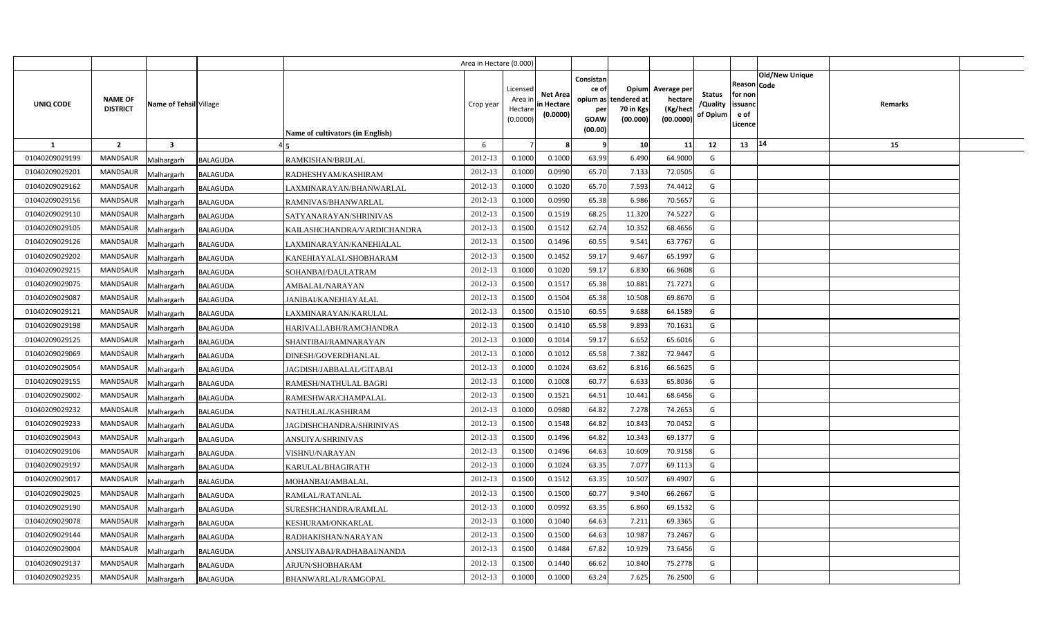|                |                                   |                               |                                         | Area in Hectare (0.000) |                                            |                                           |                                                                 |                                               |                                                 |                                       |                                                      |                |         |  |
|----------------|-----------------------------------|-------------------------------|-----------------------------------------|-------------------------|--------------------------------------------|-------------------------------------------|-----------------------------------------------------------------|-----------------------------------------------|-------------------------------------------------|---------------------------------------|------------------------------------------------------|----------------|---------|--|
| UNIQ CODE      | <b>NAME OF</b><br><b>DISTRICT</b> | Name of Tehsil Village        | <b>Name of cultivators (in English)</b> | Crop year               | Licensed<br>Area ir<br>Hectare<br>(0.0000) | <b>Net Area</b><br>in Hectare<br>(0.0000) | Consistan<br>ce of<br>opium as<br>per<br><b>GOAW</b><br>(00.00) | Opium<br>tendered at<br>70 in Kgs<br>(00.000) | Average per<br>hectare<br>(Kg/hect<br>(00.0000) | <b>Status</b><br>/Quality<br>of Opium | Reason Code<br>for non<br>issuanc<br>e of<br>Licence | Old/New Unique | Remarks |  |
| 1              | $\overline{2}$                    | $\overline{\mathbf{3}}$       |                                         | 6                       |                                            |                                           | - 9                                                             | 10                                            | 11                                              | 12                                    | 13                                                   | 14             | 15      |  |
| 01040209029199 | <b>MANDSAUR</b>                   | <b>BALAGUDA</b><br>Malhargarh | RAMKISHAN/BRIJLAL                       | 2012-13                 | 0.1000                                     | 0.1000                                    | 63.99                                                           | 6.490                                         | 64.9000                                         | G                                     |                                                      |                |         |  |
| 01040209029201 | MANDSAUR                          | <b>BALAGUDA</b><br>Malhargarh | RADHESHYAM/KASHIRAM                     | 2012-13                 | 0.1000                                     | 0.0990                                    | 65.70                                                           | 7.133                                         | 72.0505                                         | G                                     |                                                      |                |         |  |
| 01040209029162 | <b>MANDSAUR</b>                   | Malhargarh<br>BALAGUDA        | LAXMINARAYAN/BHANWARLAL                 | 2012-13                 | 0.1000                                     | 0.1020                                    | 65.70                                                           | 7.593                                         | 74.4412                                         | G                                     |                                                      |                |         |  |
| 01040209029156 | <b>MANDSAUR</b>                   | Malhargarh<br><b>BALAGUDA</b> | RAMNIVAS/BHANWARLAL                     | 2012-13                 | 0.100                                      | 0.0990                                    | 65.38                                                           | 6.986                                         | 70.5657                                         | G                                     |                                                      |                |         |  |
| 01040209029110 | <b>MANDSAUR</b>                   | BALAGUDA<br>Malhargarh        | SATYANARAYAN/SHRINIVAS                  | 2012-13                 | 0.150                                      | 0.1519                                    | 68.25                                                           | 11.320                                        | 74.5227                                         | G                                     |                                                      |                |         |  |
| 01040209029105 | <b>MANDSAUR</b>                   | Malhargarh<br>BALAGUDA        | KAILASHCHANDRA/VARDICHANDRA             | 2012-13                 | 0.1500                                     | 0.151                                     | 62.74                                                           | 10.352                                        | 68.4656                                         | G                                     |                                                      |                |         |  |
| 01040209029126 | <b>MANDSAUR</b>                   | Malhargarh<br><b>BALAGUDA</b> | LAXMINARAYAN/KANEHIALAL                 | 2012-13                 | 0.1500                                     | 0.1496                                    | 60.55                                                           | 9.541                                         | 63.7767                                         | G                                     |                                                      |                |         |  |
| 01040209029202 | <b>MANDSAUR</b>                   | Malhargarh<br><b>BALAGUDA</b> | KANEHIAYALAL/SHOBHARAM                  | 2012-13                 | 0.1500                                     | 0.1452                                    | 59.17                                                           | 9.467                                         | 65.1997                                         | G                                     |                                                      |                |         |  |
| 01040209029215 | <b>MANDSAUR</b>                   | Malhargarh<br><b>BALAGUDA</b> | SOHANBAI/DAULATRAM                      | 2012-13                 | 0.1000                                     | 0.1020                                    | 59.17                                                           | 6.830                                         | 66.9608                                         | G                                     |                                                      |                |         |  |
| 01040209029075 | <b>MANDSAUR</b>                   | Malhargarh<br><b>BALAGUDA</b> | AMBALAL/NARAYAN                         | 2012-13                 | 0.1500                                     | 0.151                                     | 65.38                                                           | 10.881                                        | 71.7271                                         | G                                     |                                                      |                |         |  |
| 01040209029087 | <b>MANDSAUR</b>                   | Malhargarh<br><b>BALAGUDA</b> | JANIBAI/KANEHIAYALAL                    | 2012-13                 | 0.1500                                     | 0.1504                                    | 65.38                                                           | 10.508                                        | 69.8670                                         | G                                     |                                                      |                |         |  |
| 01040209029121 | <b>MANDSAUR</b>                   | Malhargarh<br><b>BALAGUDA</b> | LAXMINARAYAN/KARULAL                    | 2012-13                 | 0.1500                                     | 0.1510                                    | 60.55                                                           | 9.688                                         | 64.1589                                         | G                                     |                                                      |                |         |  |
| 01040209029198 | MANDSAUR                          | Malhargarh<br><b>BALAGUDA</b> | HARIVALLABH/RAMCHANDRA                  | 2012-13                 | 0.1500                                     | 0.1410                                    | 65.58                                                           | 9.893                                         | 70.1631                                         | G                                     |                                                      |                |         |  |
| 01040209029125 | <b>MANDSAUR</b>                   | Malhargarh<br>BALAGUDA        | SHANTIBAI/RAMNARAYAN                    | 2012-13                 | 0.1000                                     | 0.1014                                    | 59.17                                                           | 6.652                                         | 65.6016                                         | G                                     |                                                      |                |         |  |
| 01040209029069 | MANDSAUR                          | Malhargarh<br>BALAGUDA        | DINESH/GOVERDHANLAL                     | 2012-13                 | 0.1000                                     | 0.101                                     | 65.58                                                           | 7.382                                         | 72.9447                                         | G                                     |                                                      |                |         |  |
| 01040209029054 | MANDSAUR                          | Malhargarh<br>BALAGUDA        | JAGDISH/JABBALAL/GITABAI                | 2012-13                 | 0.1000                                     | 0.1024                                    | 63.62                                                           | 6.816                                         | 66.5625                                         | G                                     |                                                      |                |         |  |
| 01040209029155 | MANDSAUR                          | Malhargarh<br><b>BALAGUDA</b> | RAMESH/NATHULAL BAGRI                   | 2012-13                 | 0.1000                                     | 0.1008                                    | 60.77                                                           | 6.633                                         | 65.8036                                         | G                                     |                                                      |                |         |  |
| 01040209029002 | MANDSAUR                          | Malhargarh<br><b>BALAGUDA</b> | RAMESHWAR/CHAMPALAL                     | 2012-13                 | 0.1500                                     | 0.1521                                    | 64.51                                                           | 10.441                                        | 68.6456                                         | G                                     |                                                      |                |         |  |
| 01040209029232 | MANDSAUR                          | Malhargarh<br>BALAGUDA        | NATHULAL/KASHIRAM                       | 2012-13                 | 0.1000                                     | 0.0980                                    | 64.82                                                           | 7.278                                         | 74.2653                                         | G                                     |                                                      |                |         |  |
| 01040209029233 | MANDSAUR                          | Malhargarh<br><b>BALAGUDA</b> | JAGDISHCHANDRA/SHRINIVAS                | 2012-13                 | 0.1500                                     | 0.1548                                    | 64.82                                                           | 10.843                                        | 70.0452                                         | G                                     |                                                      |                |         |  |
| 01040209029043 | <b>MANDSAUR</b>                   | Malhargarh<br>BALAGUDA        | ANSUIYA/SHRINIVAS                       | 2012-13                 | 0.1500                                     | 0.1496                                    | 64.82                                                           | 10.343                                        | 69.1377                                         | G                                     |                                                      |                |         |  |
| 01040209029106 | <b>MANDSAUR</b>                   | Malhargarh<br>BALAGUDA        | VISHNU/NARAYAN                          | 2012-13                 | 0.1500                                     | 0.1496                                    | 64.63                                                           | 10.609                                        | 70.9158                                         | G                                     |                                                      |                |         |  |
| 01040209029197 | <b>MANDSAUR</b>                   | Malhargarh<br>BALAGUDA        | KARULAL/BHAGIRATH                       | 2012-13                 | 0.1000                                     | 0.1024                                    | 63.35                                                           | 7.077                                         | 69.1113                                         | G                                     |                                                      |                |         |  |
| 01040209029017 | MANDSAUR                          | Malhargarh<br>BALAGUDA        | MOHANBAI/AMBALAL                        | 2012-13                 | 0.1500                                     | 0.1512                                    | 63.35                                                           | 10.507                                        | 69.4907                                         | G                                     |                                                      |                |         |  |
| 01040209029025 | <b>MANDSAUR</b>                   | Malhargarh<br>BALAGUDA        | RAMLAL/RATANLAL                         | 2012-13                 | 0.1500                                     | 0.1500                                    | 60.77                                                           | 9.940                                         | 66.2667                                         | G                                     |                                                      |                |         |  |
| 01040209029190 | <b>MANDSAUR</b>                   | Malhargarh<br>BALAGUDA        | SURESHCHANDRA/RAMLAL                    | 2012-13                 | 0.1000                                     | 0.0992                                    | 63.35                                                           | 6.860                                         | 69.1532                                         | G                                     |                                                      |                |         |  |
| 01040209029078 | <b>MANDSAUR</b>                   | Malhargarh<br>BALAGUDA        | KESHURAM/ONKARLAL                       | 2012-13                 | 0.1000                                     | 0.1040                                    | 64.63                                                           | 7.211                                         | 69.3365                                         | G                                     |                                                      |                |         |  |
| 01040209029144 | <b>MANDSAUR</b>                   | Malhargarh<br><b>BALAGUDA</b> | RADHAKISHAN/NARAYAN                     | 2012-13                 | 0.1500                                     | 0.1500                                    | 64.63                                                           | 10.987                                        | 73.2467                                         | G                                     |                                                      |                |         |  |
| 01040209029004 | <b>MANDSAUR</b>                   | Malhargarh<br><b>BALAGUDA</b> | ANSUIYABAI/RADHABAI/NANDA               | 2012-13                 | 0.1500                                     | 0.1484                                    | 67.82                                                           | 10.929                                        | 73.6456                                         | G                                     |                                                      |                |         |  |
| 01040209029137 | <b>MANDSAUR</b>                   | Malhargarh<br><b>BALAGUDA</b> | ARJUN/SHOBHARAM                         | 2012-13                 | 0.1500                                     | 0.1440                                    | 66.62                                                           | 10.840                                        | 75.2778                                         | G                                     |                                                      |                |         |  |
| 01040209029235 | MANDSAUR                          | Malhargarh<br><b>BALAGUDA</b> | BHANWARLAL/RAMGOPAL                     | 2012-13                 | 0.1000                                     | 0.1000                                    | 63.24                                                           | 7.625                                         | 76.2500                                         | G                                     |                                                      |                |         |  |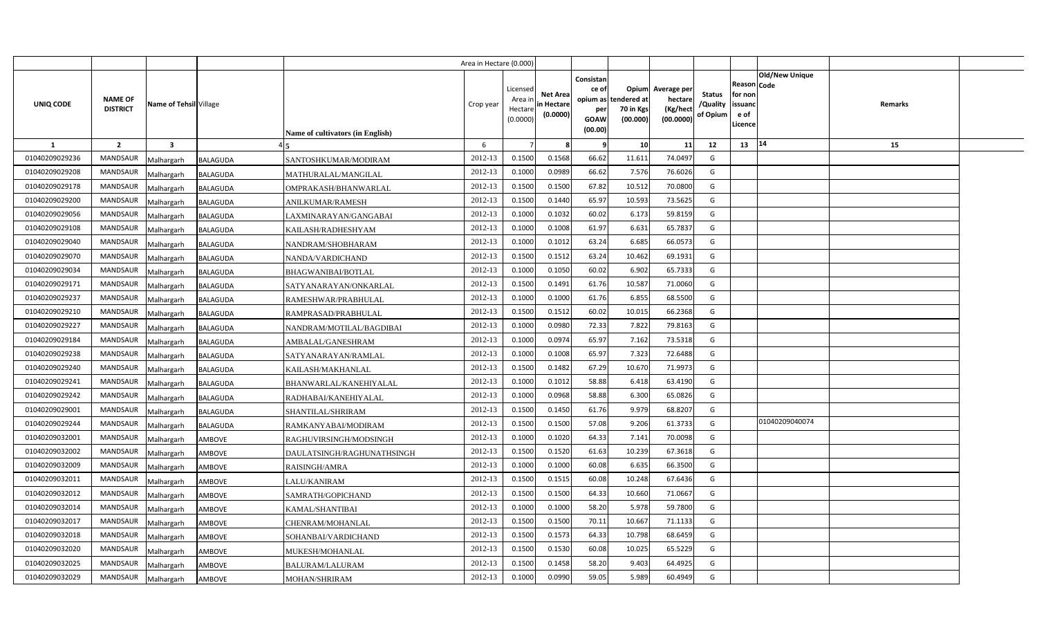|                |                                   |                               |                                  | Area in Hectare (0.000) |                                            |                                           |                                                                             |                                |                                                 |                                       |                                                      |                       |         |  |
|----------------|-----------------------------------|-------------------------------|----------------------------------|-------------------------|--------------------------------------------|-------------------------------------------|-----------------------------------------------------------------------------|--------------------------------|-------------------------------------------------|---------------------------------------|------------------------------------------------------|-----------------------|---------|--|
| UNIQ CODE      | <b>NAME OF</b><br><b>DISTRICT</b> | Name of Tehsil Village        | Name of cultivators (in English) | Crop year               | Licensed<br>Area ir<br>Hectare<br>(0.0000) | <b>Net Area</b><br>in Hectare<br>(0.0000) | Consistan<br>ce of<br>opium as tendered at<br>per<br><b>GOAW</b><br>(00.00) | Opium<br>70 in Kgs<br>(00.000) | Average per<br>hectare<br>(Kg/hect<br>(00.0000) | <b>Status</b><br>/Quality<br>of Opium | Reason Code<br>for non<br>issuanc<br>e of<br>Licence | <b>Old/New Unique</b> | Remarks |  |
| $\mathbf{1}$   | $\overline{2}$                    | $\overline{\mathbf{3}}$       |                                  | 6                       |                                            |                                           | - 9                                                                         | 10                             | 11                                              | 12                                    | 13                                                   | 14                    | 15      |  |
| 01040209029236 | <b>MANDSAUR</b>                   | <b>BALAGUDA</b><br>Malhargarh | SANTOSHKUMAR/MODIRAM             | 2012-13                 | 0.1500                                     | 0.1568                                    | 66.62                                                                       | 11.611                         | 74.0497                                         | G                                     |                                                      |                       |         |  |
| 01040209029208 | <b>MANDSAUR</b>                   | <b>BALAGUDA</b><br>Malhargarh | MATHURALAL/MANGILAL              | 2012-13                 | 0.1000                                     | 0.0989                                    | 66.62                                                                       | 7.576                          | 76.6026                                         | G                                     |                                                      |                       |         |  |
| 01040209029178 | <b>MANDSAUR</b>                   | Malhargarh<br><b>BALAGUDA</b> | OMPRAKASH/BHANWARLAL             | 2012-13                 | 0.1500                                     | 0.1500                                    | 67.82                                                                       | 10.512                         | 70.0800                                         | G                                     |                                                      |                       |         |  |
| 01040209029200 | <b>MANDSAUR</b>                   | Malhargarh<br><b>BALAGUDA</b> | <b>ANILKUMAR/RAMESH</b>          | 2012-13                 | 0.1500                                     | 0.1440                                    | 65.97                                                                       | 10.593                         | 73.5625                                         | G                                     |                                                      |                       |         |  |
| 01040209029056 | <b>MANDSAUR</b>                   | Malhargarh<br><b>BALAGUDA</b> | LAXMINARAYAN/GANGABAI            | 2012-13                 | 0.1000                                     | 0.103                                     | 60.02                                                                       | 6.173                          | 59.8159                                         | G                                     |                                                      |                       |         |  |
| 01040209029108 | <b>MANDSAUR</b>                   | <b>BALAGUDA</b><br>Malhargarh | KAILASH/RADHESHYAM               | 2012-13                 | 0.100                                      | 0.1008                                    | 61.97                                                                       | 6.631                          | 65.7837                                         | G                                     |                                                      |                       |         |  |
| 01040209029040 | <b>MANDSAUR</b>                   | Malhargarh<br><b>BALAGUDA</b> | NANDRAM/SHOBHARAM                | 2012-13                 | 0.1000                                     | 0.101                                     | 63.24                                                                       | 6.685                          | 66.0573                                         | G                                     |                                                      |                       |         |  |
| 01040209029070 | <b>MANDSAUR</b>                   | Malhargarh<br>BALAGUDA        | NANDA/VARDICHAND                 | 2012-13                 | 0.1500                                     | 0.151                                     | 63.24                                                                       | 10.462                         | 69.1931                                         | G                                     |                                                      |                       |         |  |
| 01040209029034 | <b>MANDSAUR</b>                   | Malhargarh<br><b>BALAGUDA</b> | <b>BHAGWANIBAI/BOTLAL</b>        | 2012-13                 | 0.1000                                     | 0.1050                                    | 60.02                                                                       | 6.902                          | 65.7333                                         | G                                     |                                                      |                       |         |  |
| 01040209029171 | <b>MANDSAUR</b>                   | Malhargarh<br><b>BALAGUDA</b> | SATYANARAYAN/ONKARLAL            | 2012-13                 | 0.1500                                     | 0.1491                                    | 61.76                                                                       | 10.587                         | 71.0060                                         | G                                     |                                                      |                       |         |  |
| 01040209029237 | <b>MANDSAUR</b>                   | Malhargarh<br><b>BALAGUDA</b> | RAMESHWAR/PRABHULAL              | 2012-13                 | 0.1000                                     | 0.1000                                    | 61.76                                                                       | 6.855                          | 68.5500                                         | G                                     |                                                      |                       |         |  |
| 01040209029210 | <b>MANDSAUR</b>                   | Malhargarh<br><b>BALAGUDA</b> | RAMPRASAD/PRABHULAL              | 2012-13                 | 0.1500                                     | 0.151                                     | 60.02                                                                       | 10.015                         | 66.2368                                         | G                                     |                                                      |                       |         |  |
| 01040209029227 | <b>MANDSAUR</b>                   | Malhargarh<br><b>BALAGUDA</b> | NANDRAM/MOTILAL/BAGDIBAI         | 2012-13                 | 0.1000                                     | 0.0980                                    | 72.33                                                                       | 7.822                          | 79.8163                                         | G                                     |                                                      |                       |         |  |
| 01040209029184 | <b>MANDSAUR</b>                   | Malhargarh<br><b>BALAGUDA</b> | AMBALAL/GANESHRAM                | 2012-13                 | 0.1000                                     | 0.0974                                    | 65.97                                                                       | 7.162                          | 73.5318                                         | G                                     |                                                      |                       |         |  |
| 01040209029238 | <b>MANDSAUR</b>                   | Malhargarh<br><b>BALAGUDA</b> | SATYANARAYAN/RAMLAL              | 2012-13                 | 0.1000                                     | 0.1008                                    | 65.97                                                                       | 7.323                          | 72.6488                                         | G                                     |                                                      |                       |         |  |
| 01040209029240 | MANDSAUR                          | Malhargarh<br>BALAGUDA        | KAILASH/MAKHANLAL                | 2012-13                 | 0.1500                                     | 0.1482                                    | 67.29                                                                       | 10.670                         | 71.9973                                         | G                                     |                                                      |                       |         |  |
| 01040209029241 | <b>MANDSAUR</b>                   | Malhargarh<br>BALAGUDA        | BHANWARLAL/KANEHIYALAL           | 2012-13                 | 0.1000                                     | 0.1012                                    | 58.88                                                                       | 6.418                          | 63.4190                                         | G                                     |                                                      |                       |         |  |
| 01040209029242 | MANDSAUR                          | Malhargarh<br>BALAGUDA        | RADHABAI/KANEHIYALAL             | 2012-13                 | 0.1000                                     | 0.0968                                    | 58.88                                                                       | 6.300                          | 65.0826                                         | G                                     |                                                      |                       |         |  |
| 01040209029001 | <b>MANDSAUR</b>                   | Malhargarh<br>BALAGUDA        | SHANTILAL/SHRIRAM                | 2012-13                 | 0.1500                                     | 0.1450                                    | 61.76                                                                       | 9.979                          | 68.8207                                         | G                                     |                                                      |                       |         |  |
| 01040209029244 | MANDSAUR                          | Malhargarh<br><b>BALAGUDA</b> | RAMKANYABAI/MODIRAM              | 2012-13                 | 0.1500                                     | 0.1500                                    | 57.08                                                                       | 9.206                          | 61.3733                                         | G                                     |                                                      | 01040209040074        |         |  |
| 01040209032001 | <b>MANDSAUR</b>                   | Malhargarh<br>AMBOVE          | RAGHUVIRSINGH/MODSINGH           | 2012-13                 | 0.1000                                     | 0.1020                                    | 64.33                                                                       | 7.141                          | 70.0098                                         | G                                     |                                                      |                       |         |  |
| 01040209032002 | <b>MANDSAUR</b>                   | Malhargarh<br>AMBOVE          | DAULATSINGH/RAGHUNATHSINGH       | 2012-13                 | 0.1500                                     | 0.1520                                    | 61.63                                                                       | 10.239                         | 67.3618                                         | G                                     |                                                      |                       |         |  |
| 01040209032009 | <b>MANDSAUR</b>                   | Malhargarh<br>AMBOVE          | RAISINGH/AMRA                    | 2012-13                 | 0.1000                                     | 0.1000                                    | 60.08                                                                       | 6.635                          | 66.3500                                         | G                                     |                                                      |                       |         |  |
| 01040209032011 | <b>MANDSAUR</b>                   | Malhargarh<br><b>AMBOVE</b>   | LALU/KANIRAM                     | 2012-13                 | 0.1500                                     | 0.1515                                    | 60.08                                                                       | 10.248                         | 67.6436                                         | G                                     |                                                      |                       |         |  |
| 01040209032012 | MANDSAUR                          | Malhargarh<br>AMBOVE          | SAMRATH/GOPICHAND                | 2012-13                 | 0.1500                                     | 0.1500                                    | 64.33                                                                       | 10.660                         | 71.0667                                         | G                                     |                                                      |                       |         |  |
| 01040209032014 | <b>MANDSAUR</b>                   | Malhargarh<br><b>AMBOVE</b>   | KAMAL/SHANTIBAI                  | 2012-13                 | 0.1000                                     | 0.1000                                    | 58.20                                                                       | 5.978                          | 59.7800                                         | G                                     |                                                      |                       |         |  |
| 01040209032017 | <b>MANDSAUR</b>                   | Malhargarh<br><b>AMBOVE</b>   | CHENRAM/MOHANLAL                 | 2012-13                 | 0.1500                                     | 0.1500                                    | 70.11                                                                       | 10.667                         | 71.1133                                         | G                                     |                                                      |                       |         |  |
| 01040209032018 | <b>MANDSAUR</b>                   | Malhargarh<br>AMBOVE          | SOHANBAI/VARDICHAND              | 2012-13                 | 0.1500                                     | 0.1573                                    | 64.33                                                                       | 10.798                         | 68.6459                                         | G                                     |                                                      |                       |         |  |
| 01040209032020 | <b>MANDSAUR</b>                   | Malhargarh<br>AMBOVE          | MUKESH/MOHANLAL                  | 2012-13                 | 0.1500                                     | 0.1530                                    | 60.08                                                                       | 10.025                         | 65.5229                                         | G                                     |                                                      |                       |         |  |
| 01040209032025 | <b>MANDSAUR</b>                   | Malhargarh<br><b>AMBOVE</b>   | <b>BALURAM/LALURAM</b>           | 2012-13                 | 0.1500                                     | 0.1458                                    | 58.20                                                                       | 9.403                          | 64.4925                                         | G                                     |                                                      |                       |         |  |
| 01040209032029 | <b>MANDSAUR</b>                   | Malhargarh<br><b>AMBOVE</b>   | MOHAN/SHRIRAM                    | 2012-13                 | 0.1000                                     | 0.0990                                    | 59.05                                                                       | 5.989                          | 60.4949                                         | G                                     |                                                      |                       |         |  |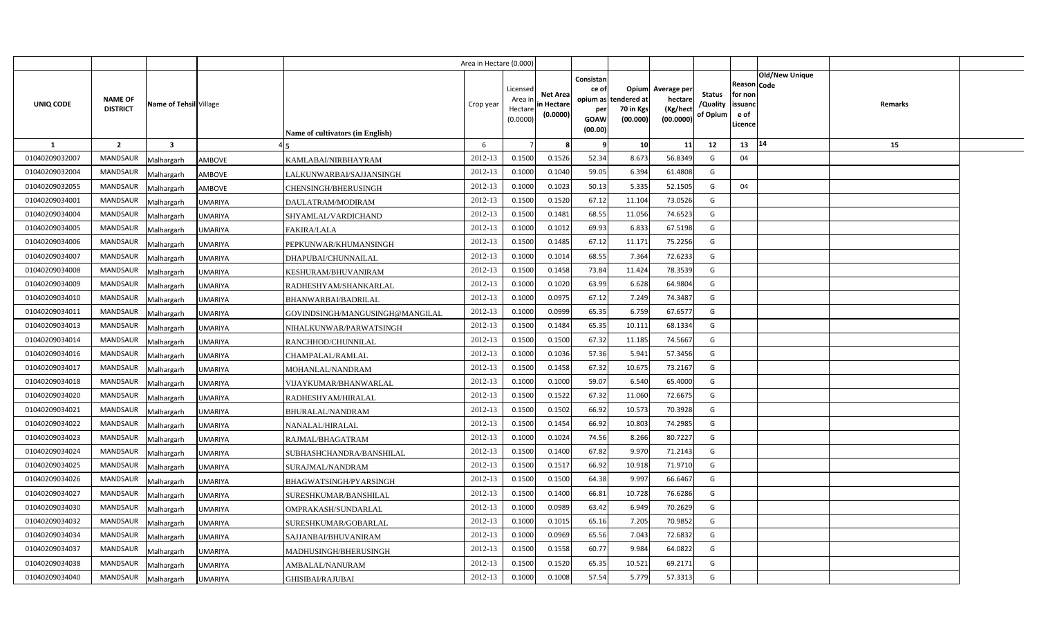|                |                                   |                              |                                  | Area in Hectare (0.000) |                                            |                                           |                                                                             |                                |                                                 |                                       |                                                      |                       |         |  |
|----------------|-----------------------------------|------------------------------|----------------------------------|-------------------------|--------------------------------------------|-------------------------------------------|-----------------------------------------------------------------------------|--------------------------------|-------------------------------------------------|---------------------------------------|------------------------------------------------------|-----------------------|---------|--|
| UNIQ CODE      | <b>NAME OF</b><br><b>DISTRICT</b> | Name of Tehsil Village       | Name of cultivators (in English) | Crop year               | Licensed<br>Area ir<br>Hectare<br>(0.0000) | <b>Net Area</b><br>in Hectare<br>(0.0000) | Consistan<br>ce of<br>opium as tendered at<br>per<br><b>GOAW</b><br>(00.00) | Opium<br>70 in Kgs<br>(00.000) | Average per<br>hectare<br>(Kg/hect<br>(00.0000) | <b>Status</b><br>/Quality<br>of Opium | Reason Code<br>for non<br>issuanc<br>e of<br>Licence | <b>Old/New Unique</b> | Remarks |  |
| $\mathbf{1}$   | $\overline{2}$                    | $\overline{\mathbf{3}}$      |                                  | 6                       |                                            |                                           | - 9                                                                         | 10                             | 11                                              | 12                                    | 13                                                   | 14                    | 15      |  |
| 01040209032007 | <b>MANDSAUR</b>                   | <b>AMBOVE</b><br>Malhargarh  | KAMLABAI/NIRBHAYRAM              | 2012-13                 | 0.1500                                     | 0.1526                                    | 52.34                                                                       | 8.673                          | 56.8349                                         | G                                     | 04                                                   |                       |         |  |
| 01040209032004 | <b>MANDSAUR</b>                   | <b>AMBOVE</b><br>Malhargarh  | LALKUNWARBAI/SAJJANSINGH         | 2012-13                 | 0.1000                                     | 0.1040                                    | 59.05                                                                       | 6.394                          | 61.4808                                         | G                                     |                                                      |                       |         |  |
| 01040209032055 | <b>MANDSAUR</b>                   | Malhargarh<br><b>AMBOVE</b>  | CHENSINGH/BHERUSINGH             | 2012-13                 | 0.1000                                     | 0.1023                                    | 50.13                                                                       | 5.335                          | 52.1505                                         | G                                     | 04                                                   |                       |         |  |
| 01040209034001 | <b>MANDSAUR</b>                   | Malhargarh<br><b>UMARIYA</b> | DAULATRAM/MODIRAM                | 2012-13                 | 0.1500                                     | 0.1520                                    | 67.12                                                                       | 11.104                         | 73.0526                                         | G                                     |                                                      |                       |         |  |
| 01040209034004 | <b>MANDSAUR</b>                   | Malhargarh<br><b>UMARIYA</b> | SHYAMLAL/VARDICHAND              | 2012-13                 | 0.1500                                     | 0.1481                                    | 68.55                                                                       | 11.056                         | 74.6523                                         | G                                     |                                                      |                       |         |  |
| 01040209034005 | <b>MANDSAUR</b>                   | <b>UMARIYA</b><br>Malhargarh | <b>FAKIRA/LALA</b>               | 2012-13                 | 0.100                                      | 0.1012                                    | 69.93                                                                       | 6.83                           | 67.5198                                         | G                                     |                                                      |                       |         |  |
| 01040209034006 | <b>MANDSAUR</b>                   | Malhargarh<br><b>UMARIYA</b> | PEPKUNWAR/KHUMANSINGH            | 2012-13                 | 0.1500                                     | 0.1485                                    | 67.12                                                                       | 11.171                         | 75.2256                                         | G                                     |                                                      |                       |         |  |
| 01040209034007 | <b>MANDSAUR</b>                   | Malhargarh<br>UMARIYA        | DHAPUBAI/CHUNNAILAL              | 2012-13                 | 0.1000                                     | 0.1014                                    | 68.55                                                                       | 7.364                          | 72.6233                                         | G                                     |                                                      |                       |         |  |
| 01040209034008 | <b>MANDSAUR</b>                   | Malhargarh<br><b>UMARIYA</b> | KESHURAM/BHUVANIRAM              | 2012-13                 | 0.1500                                     | 0.1458                                    | 73.84                                                                       | 11.424                         | 78.3539                                         | G                                     |                                                      |                       |         |  |
| 01040209034009 | <b>MANDSAUR</b>                   | Malhargarh<br><b>UMARIYA</b> | RADHESHYAM/SHANKARLAL            | 2012-13                 | 0.1000                                     | 0.1020                                    | 63.99                                                                       | 6.628                          | 64.9804                                         | G                                     |                                                      |                       |         |  |
| 01040209034010 | <b>MANDSAUR</b>                   | Malhargarh<br>UMARIYA        | BHANWARBAI/BADRILAL              | 2012-13                 | 0.1000                                     | 0.097!                                    | 67.12                                                                       | 7.249                          | 74.3487                                         | G                                     |                                                      |                       |         |  |
| 01040209034011 | <b>MANDSAUR</b>                   | Malhargarh<br>UMARIYA        | GOVINDSINGH/MANGUSINGH@MANGILAL  | 2012-13                 | 0.1000                                     | 0.0999                                    | 65.35                                                                       | 6.759                          | 67.6577                                         | G                                     |                                                      |                       |         |  |
| 01040209034013 | <b>MANDSAUR</b>                   | Malhargarh<br><b>JMARIYA</b> | NIHALKUNWAR/PARWATSINGH          | 2012-13                 | 0.1500                                     | 0.1484                                    | 65.35                                                                       | 10.111                         | 68.1334                                         | G                                     |                                                      |                       |         |  |
| 01040209034014 | <b>MANDSAUR</b>                   | Malhargarh<br>UMARIYA        | RANCHHOD/CHUNNILAL               | 2012-13                 | 0.1500                                     | 0.1500                                    | 67.32                                                                       | 11.185                         | 74.5667                                         | G                                     |                                                      |                       |         |  |
| 01040209034016 | <b>MANDSAUR</b>                   | Malhargarh<br>UMARIYA        | CHAMPALAL/RAMLAL                 | 2012-13                 | 0.1000                                     | 0.1036                                    | 57.36                                                                       | 5.941                          | 57.3456                                         | G                                     |                                                      |                       |         |  |
| 01040209034017 | MANDSAUR                          | Malhargarh<br>UMARIYA        | MOHANLAL/NANDRAM                 | 2012-13                 | 0.1500                                     | 0.1458                                    | 67.32                                                                       | 10.675                         | 73.2167                                         | G                                     |                                                      |                       |         |  |
| 01040209034018 | <b>MANDSAUR</b>                   | Malhargarh<br>UMARIYA        | VIJAYKUMAR/BHANWARLAL            | 2012-13                 | 0.1000                                     | 0.1000                                    | 59.07                                                                       | 6.540                          | 65.4000                                         | G                                     |                                                      |                       |         |  |
| 01040209034020 | MANDSAUR                          | Malhargarh<br><b>JMARIYA</b> | RADHESHYAM/HIRALAL               | 2012-13                 | 0.1500                                     | 0.1522                                    | 67.32                                                                       | 11.060                         | 72.6675                                         | G                                     |                                                      |                       |         |  |
| 01040209034021 | <b>MANDSAUR</b>                   | Malhargarh<br>UMARIYA        | BHURALAL/NANDRAM                 | 2012-13                 | 0.1500                                     | 0.1502                                    | 66.92                                                                       | 10.573                         | 70.3928                                         | G                                     |                                                      |                       |         |  |
| 01040209034022 | MANDSAUR                          | Malhargarh<br>UMARIYA        | NANALAL/HIRALAL                  | 2012-13                 | 0.1500                                     | 0.1454                                    | 66.92                                                                       | 10.803                         | 74.2985                                         | G                                     |                                                      |                       |         |  |
| 01040209034023 | <b>MANDSAUR</b>                   | Malhargarh<br>UMARIYA        | RAJMAL/BHAGATRAM                 | 2012-13                 | 0.1000                                     | 0.1024                                    | 74.56                                                                       | 8.266                          | 80.7227                                         | G                                     |                                                      |                       |         |  |
| 01040209034024 | <b>MANDSAUR</b>                   | Malhargarh<br>UMARIYA        | SUBHASHCHANDRA/BANSHILAL         | 2012-13                 | 0.1500                                     | 0.1400                                    | 67.82                                                                       | 9.970                          | 71.2143                                         | G                                     |                                                      |                       |         |  |
| 01040209034025 | MANDSAUR                          | Malhargarh<br>UMARIYA        | SURAJMAL/NANDRAM                 | 2012-13                 | 0.1500                                     | 0.151                                     | 66.92                                                                       | 10.918                         | 71.9710                                         | G                                     |                                                      |                       |         |  |
| 01040209034026 | <b>MANDSAUR</b>                   | Malhargarh<br><b>JMARIYA</b> | BHAGWATSINGH/PYARSINGH           | 2012-13                 | 0.1500                                     | 0.1500                                    | 64.38                                                                       | 9.997                          | 66.6467                                         | G                                     |                                                      |                       |         |  |
| 01040209034027 | MANDSAUR                          | Malhargarh<br><b>JMARIYA</b> | SURESHKUMAR/BANSHILAL            | 2012-13                 | 0.1500                                     | 0.1400                                    | 66.81                                                                       | 10.728                         | 76.6286                                         | G                                     |                                                      |                       |         |  |
| 01040209034030 | <b>MANDSAUR</b>                   | Malhargarh<br><b>JMARIYA</b> | OMPRAKASH/SUNDARLAL              | 2012-13                 | 0.1000                                     | 0.0989                                    | 63.42                                                                       | 6.949                          | 70.2629                                         | G                                     |                                                      |                       |         |  |
| 01040209034032 | <b>MANDSAUR</b>                   | Malhargarh<br><b>JMARIYA</b> | SURESHKUMAR/GOBARLAL             | 2012-13                 | 0.1000                                     | 0.1015                                    | 65.16                                                                       | 7.205                          | 70.9852                                         | G                                     |                                                      |                       |         |  |
| 01040209034034 | <b>MANDSAUR</b>                   | Malhargarh<br><b>JMARIYA</b> | SAJJANBAI/BHUVANIRAM             | 2012-13                 | 0.1000                                     | 0.0969                                    | 65.56                                                                       | 7.043                          | 72.6832                                         | G                                     |                                                      |                       |         |  |
| 01040209034037 | <b>MANDSAUR</b>                   | Malhargarh<br>JMARIYA        | MADHUSINGH/BHERUSINGH            | 2012-13                 | 0.1500                                     | 0.1558                                    | 60.77                                                                       | 9.984                          | 64.0822                                         | G                                     |                                                      |                       |         |  |
| 01040209034038 | <b>MANDSAUR</b>                   | Malhargarh<br><b>JMARIYA</b> | AMBALAL/NANURAM                  | 2012-13                 | 0.1500                                     | 0.1520                                    | 65.35                                                                       | 10.521                         | 69.2171                                         | G                                     |                                                      |                       |         |  |
| 01040209034040 | <b>MANDSAUR</b>                   | Malhargarh<br><b>UMARIYA</b> | <b>GHISIBAI/RAJUBAI</b>          | 2012-13                 | 0.1000                                     | 0.1008                                    | 57.54                                                                       | 5.779                          | 57.3313                                         | G                                     |                                                      |                       |         |  |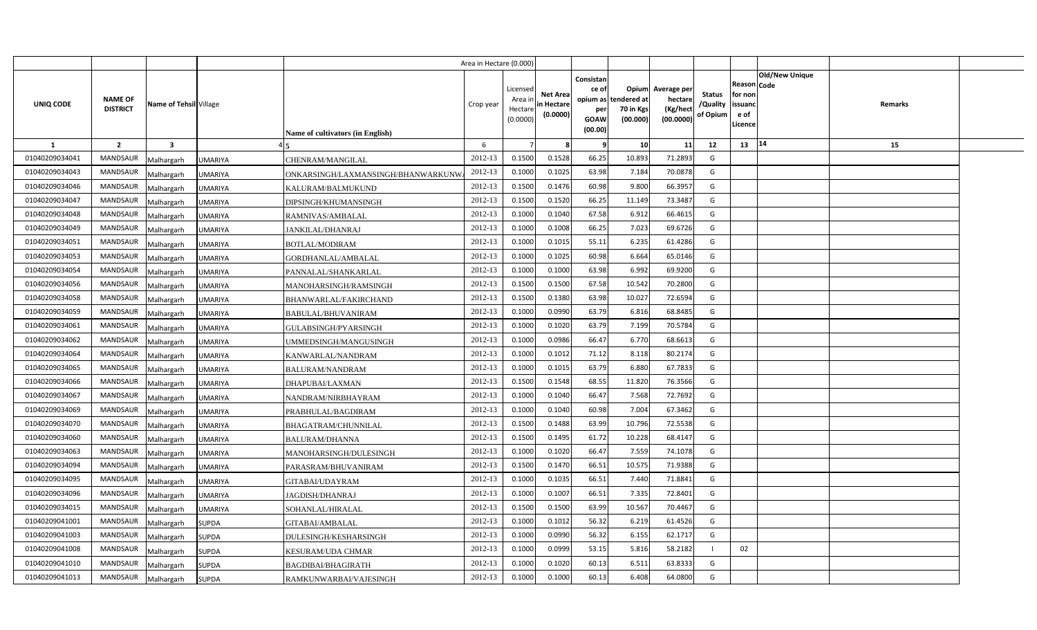|                |                                   |                              |                                    | Area in Hectare (0.000) |                                            |                                           |                                                                             |                                |                                                 |                                       |                                                      |                       |         |  |
|----------------|-----------------------------------|------------------------------|------------------------------------|-------------------------|--------------------------------------------|-------------------------------------------|-----------------------------------------------------------------------------|--------------------------------|-------------------------------------------------|---------------------------------------|------------------------------------------------------|-----------------------|---------|--|
| UNIQ CODE      | <b>NAME OF</b><br><b>DISTRICT</b> | Name of Tehsil Village       | Name of cultivators (in English)   | Crop year               | Licensed<br>Area ir<br>Hectare<br>(0.0000) | <b>Net Area</b><br>in Hectare<br>(0.0000) | Consistan<br>ce of<br>opium as tendered at<br>per<br><b>GOAW</b><br>(00.00) | Opium<br>70 in Kgs<br>(00.000) | Average per<br>hectare<br>(Kg/hect<br>(00.0000) | <b>Status</b><br>/Quality<br>of Opium | Reason Code<br>for non<br>issuanc<br>e of<br>Licence | <b>Old/New Unique</b> | Remarks |  |
| 1              | $\overline{2}$                    | $\overline{\mathbf{3}}$      |                                    | 6                       |                                            |                                           | -9                                                                          | 10                             | 11                                              | 12                                    | 13                                                   | 14                    | 15      |  |
| 01040209034041 | <b>MANDSAUR</b>                   | UMARIYA<br>Malhargarh        | CHENRAM/MANGILAL                   | 2012-13                 | 0.1500                                     | 0.1528                                    | 66.25                                                                       | 10.893                         | 71.2893                                         | G                                     |                                                      |                       |         |  |
| 01040209034043 | MANDSAUR                          | UMARIYA<br>Malhargarh        | ONKARSINGH/LAXMANSINGH/BHANWARKUNW | 2012-13                 | 0.1000                                     | 0.1025                                    | 63.98                                                                       | 7.184                          | 70.0878                                         | G                                     |                                                      |                       |         |  |
| 01040209034046 | <b>MANDSAUR</b>                   | Malhargarh<br>UMARIYA        | KALURAM/BALMUKUND                  | 2012-13                 | 0.1500                                     | 0.1476                                    | 60.98                                                                       | 9.800                          | 66.3957                                         | G                                     |                                                      |                       |         |  |
| 01040209034047 | <b>MANDSAUR</b>                   | Malhargarh<br><b>UMARIYA</b> | DIPSINGH/KHUMANSINGH               | 2012-13                 | 0.1500                                     | 0.1520                                    | 66.25                                                                       | 11.149                         | 73.3487                                         | G                                     |                                                      |                       |         |  |
| 01040209034048 | <b>MANDSAUR</b>                   | Malhargarh<br>UMARIYA        | RAMNIVAS/AMBALAL                   | 2012-13                 | 0.1000                                     | 0.1040                                    | 67.58                                                                       | 6.912                          | 66.4615                                         | G                                     |                                                      |                       |         |  |
| 01040209034049 | <b>MANDSAUR</b>                   | UMARIYA<br>Malhargarh        | <b>JANKILAL/DHANRAJ</b>            | 2012-13                 | 0.100                                      | 0.1008                                    | 66.25                                                                       | 7.023                          | 69.6726                                         | G                                     |                                                      |                       |         |  |
| 01040209034051 | <b>MANDSAUR</b>                   | Malhargarh<br>UMARIYA        | BOTLAL/MODIRAM                     | 2012-13                 | 0.1000                                     | 0.101!                                    | 55.11                                                                       | 6.235                          | 61.4286                                         | G                                     |                                                      |                       |         |  |
| 01040209034053 | <b>MANDSAUR</b>                   | Malhargarh<br>UMARIYA        | GORDHANLAL/AMBALAL                 | 2012-13                 | 0.1000                                     | 0.1025                                    | 60.98                                                                       | 6.664                          | 65.0146                                         | G                                     |                                                      |                       |         |  |
| 01040209034054 | <b>MANDSAUR</b>                   | Malhargarh<br><b>UMARIYA</b> | PANNALAL/SHANKARLAL                | 2012-13                 | 0.1000                                     | 0.1000                                    | 63.98                                                                       | 6.992                          | 69.9200                                         | G                                     |                                                      |                       |         |  |
| 01040209034056 | <b>MANDSAUR</b>                   | Malhargarh<br><b>UMARIYA</b> | MANOHARSINGH/RAMSINGH              | 2012-13                 | 0.1500                                     | 0.1500                                    | 67.58                                                                       | 10.542                         | 70.2800                                         | G                                     |                                                      |                       |         |  |
| 01040209034058 | <b>MANDSAUR</b>                   | Malhargarh<br>UMARIYA        | BHANWARLAL/FAKIRCHAND              | 2012-13                 | 0.1500                                     | 0.1380                                    | 63.98                                                                       | 10.027                         | 72.6594                                         | G                                     |                                                      |                       |         |  |
| 01040209034059 | <b>MANDSAUR</b>                   | Malhargarh<br><b>JMARIYA</b> | BABULAL/BHUVANIRAM                 | 2012-13                 | 0.1000                                     | 0.0990                                    | 63.79                                                                       | 6.816                          | 68.8485                                         | G                                     |                                                      |                       |         |  |
| 01040209034061 | <b>MANDSAUR</b>                   | Malhargarh<br>UMARIYA        | GULABSINGH/PYARSINGH               | 2012-13                 | 0.1000                                     | 0.1020                                    | 63.79                                                                       | 7.199                          | 70.5784                                         | G                                     |                                                      |                       |         |  |
| 01040209034062 | <b>MANDSAUR</b>                   | Malhargarh<br>UMARIYA        | UMMEDSINGH/MANGUSINGH              | 2012-13                 | 0.1000                                     | 0.0986                                    | 66.47                                                                       | 6.770                          | 68.6613                                         | G                                     |                                                      |                       |         |  |
| 01040209034064 | MANDSAUR                          | Malhargarh<br>UMARIYA        | KANWARLAL/NANDRAM                  | 2012-13                 | 0.1000                                     | 0.1012                                    | 71.12                                                                       | 8.118                          | 80.2174                                         | G                                     |                                                      |                       |         |  |
| 01040209034065 | <b>MANDSAUR</b>                   | Malhargarh<br>UMARIYA        | <b>BALURAM/NANDRAM</b>             | 2012-13                 | 0.1000                                     | 0.1015                                    | 63.79                                                                       | 6.880                          | 67.7833                                         | G                                     |                                                      |                       |         |  |
| 01040209034066 | MANDSAUR                          | Malhargarh<br><b>JMARIYA</b> | DHAPUBAI/LAXMAN                    | 2012-13                 | 0.1500                                     | 0.1548                                    | 68.55                                                                       | 11.820                         | 76.3566                                         | G                                     |                                                      |                       |         |  |
| 01040209034067 | <b>MANDSAUR</b>                   | Malhargarh<br>UMARIYA        | NANDRAM/NIRBHAYRAM                 | 2012-13                 | 0.1000                                     | 0.1040                                    | 66.47                                                                       | 7.568                          | 72.7692                                         | G                                     |                                                      |                       |         |  |
| 01040209034069 | <b>MANDSAUR</b>                   | Malhargarh<br>UMARIYA        | PRABHULAL/BAGDIRAM                 | 2012-13                 | 0.1000                                     | 0.1040                                    | 60.98                                                                       | 7.004                          | 67.3462                                         | G                                     |                                                      |                       |         |  |
| 01040209034070 | <b>MANDSAUR</b>                   | Malhargarh<br>UMARIYA        | BHAGATRAM/CHUNNILAL                | 2012-13                 | 0.1500                                     | 0.1488                                    | 63.99                                                                       | 10.796                         | 72.5538                                         | G                                     |                                                      |                       |         |  |
| 01040209034060 | <b>MANDSAUR</b>                   | Malhargarh<br>UMARIYA        | <b>BALURAM/DHANNA</b>              | 2012-13                 | 0.1500                                     | 0.1495                                    | 61.72                                                                       | 10.228                         | 68.4147                                         | G                                     |                                                      |                       |         |  |
| 01040209034063 | <b>MANDSAUR</b>                   | Malhargarh<br><b>JMARIYA</b> | MANOHARSINGH/DULESINGH             | 2012-13                 | 0.1000                                     | 0.1020                                    | 66.47                                                                       | 7.559                          | 74.1078                                         | G                                     |                                                      |                       |         |  |
| 01040209034094 | <b>MANDSAUR</b>                   | Malhargarh<br><b>JMARIYA</b> | PARASRAM/BHUVANIRAM                | 2012-13                 | 0.1500                                     | 0.1470                                    | 66.51                                                                       | 10.575                         | 71.9388                                         | G                                     |                                                      |                       |         |  |
| 01040209034095 | MANDSAUR                          | Malhargarh<br>UMARIYA        | GITABAI/UDAYRAM                    | 2012-13                 | 0.1000                                     | 0.1035                                    | 66.51                                                                       | 7.440                          | 71.8841                                         | G                                     |                                                      |                       |         |  |
| 01040209034096 | <b>MANDSAUR</b>                   | Malhargarh<br><b>JMARIYA</b> | JAGDISH/DHANRAJ                    | 2012-13                 | 0.1000                                     | 0.1007                                    | 66.51                                                                       | 7.335                          | 72.8401                                         | G                                     |                                                      |                       |         |  |
| 01040209034015 | <b>MANDSAUR</b>                   | Malhargarh<br>JMARIYA        | SOHANLAL/HIRALAL                   | 2012-13                 | 0.1500                                     | 0.1500                                    | 63.99                                                                       | 10.567                         | 70.4467                                         | G                                     |                                                      |                       |         |  |
| 01040209041001 | <b>MANDSAUR</b>                   | Malhargarh<br>SUPDA          | GITABAI/AMBALAL                    | 2012-13                 | 0.1000                                     | 0.1012                                    | 56.32                                                                       | 6.219                          | 61.4526                                         | G                                     |                                                      |                       |         |  |
| 01040209041003 | <b>MANDSAUR</b>                   | Malhargarh<br><b>SUPDA</b>   | DULESINGH/KESHARSINGH              | 2012-13                 | 0.1000                                     | 0.0990                                    | 56.32                                                                       | 6.155                          | 62.1717                                         | G                                     |                                                      |                       |         |  |
| 01040209041008 | <b>MANDSAUR</b>                   | <b>SUPDA</b><br>Malhargarh   | KESURAM/UDA CHMAR                  | 2012-13                 | 0.1000                                     | 0.0999                                    | 53.15                                                                       | 5.816                          | 58.2182                                         | - 1                                   | 02                                                   |                       |         |  |
| 01040209041010 | <b>MANDSAUR</b>                   | <b>SUPDA</b><br>Malhargarh   | BAGDIBAI/BHAGIRATH                 | 2012-13                 | 0.1000                                     | 0.1020                                    | 60.13                                                                       | 6.511                          | 63.8333                                         | G                                     |                                                      |                       |         |  |
| 01040209041013 | MANDSAUR                          | Malhargarh<br><b>SUPDA</b>   | RAMKUNWARBAI/VAJESINGH             | 2012-13                 | 0.1000                                     | 0.1000                                    | 60.13                                                                       | 6.408                          | 64.0800                                         | G                                     |                                                      |                       |         |  |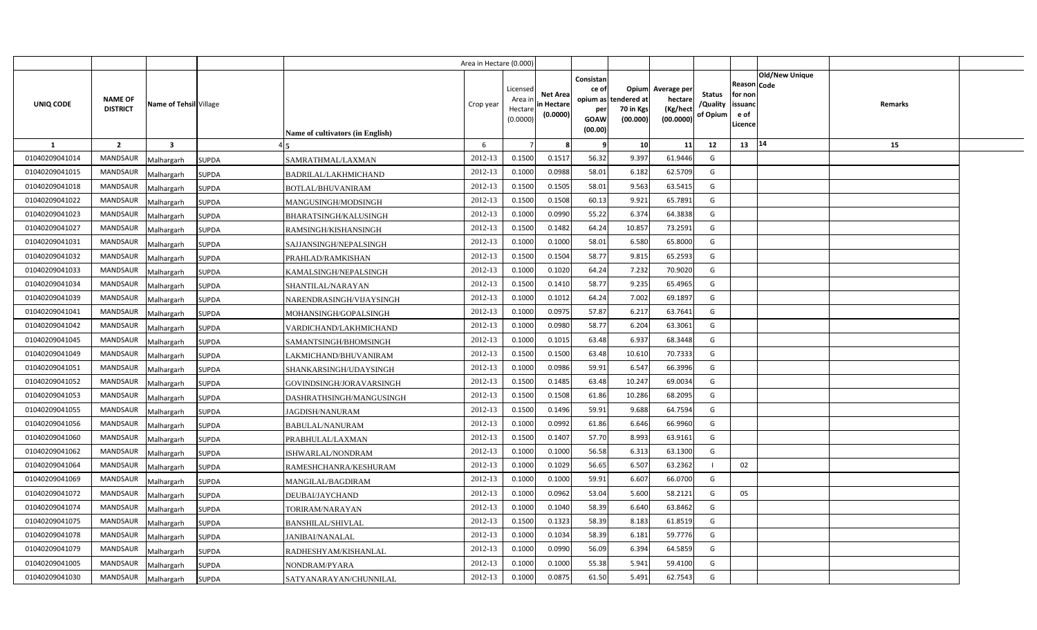|                |                                   |                         |              |                                  | Area in Hectare (0.000) |                                           |                                           |                                                     |                                                        |                                                 |                                       |                                                        |                       |         |  |
|----------------|-----------------------------------|-------------------------|--------------|----------------------------------|-------------------------|-------------------------------------------|-------------------------------------------|-----------------------------------------------------|--------------------------------------------------------|-------------------------------------------------|---------------------------------------|--------------------------------------------------------|-----------------------|---------|--|
| UNIQ CODE      | <b>NAME OF</b><br><b>DISTRICT</b> | Name of Tehsil Village  |              | Name of cultivators (in English) | Crop year               | Licensed<br>Area ir<br>Hectar<br>(0.0000) | <b>Net Area</b><br>in Hectare<br>(0.0000) | Consistan<br>ce of<br>per<br><b>GOAW</b><br>(00.00) | Opium<br>opium as tendered at<br>70 in Kgs<br>(00.000) | Average per<br>hectare<br>(Kg/hect<br>(00.0000) | <b>Status</b><br>/Quality<br>of Opium | Reason   Code<br>for non<br>issuanc<br>e of<br>Licence | <b>Old/New Unique</b> | Remarks |  |
| -1             | $\overline{\mathbf{2}}$           | $\overline{\mathbf{3}}$ |              |                                  | 6                       |                                           |                                           | -9                                                  | 10                                                     | 11                                              | 12                                    | 13                                                     | 14                    | 15      |  |
| 01040209041014 | <b>MANDSAUR</b>                   | Malhargarh              | <b>SUPDA</b> | SAMRATHMAL/LAXMAN                | 2012-13                 | 0.1500                                    | 0.1517                                    | 56.32                                               | 9.397                                                  | 61.9446                                         | G                                     |                                                        |                       |         |  |
| 01040209041015 | MANDSAUR                          | <b>Malhargarh</b>       | <b>SUPDA</b> | BADRILAL/LAKHMICHAND             | 2012-13                 | 0.1000                                    | 0.0988                                    | 58.01                                               | 6.182                                                  | 62.5709                                         | G                                     |                                                        |                       |         |  |
| 01040209041018 | MANDSAUR                          | Malhargarh              | <b>SUPDA</b> | <b>BOTLAL/BHUVANIRAM</b>         | 2012-13                 | 0.1500                                    | 0.1505                                    | 58.01                                               | 9.563                                                  | 63.5415                                         | G                                     |                                                        |                       |         |  |
| 01040209041022 | <b>MANDSAUR</b>                   | Malhargarh              | <b>SUPDA</b> | MANGUSINGH/MODSINGH              | 2012-13                 | 0.1500                                    | 0.1508                                    | 60.13                                               | 9.921                                                  | 65.7891                                         | G                                     |                                                        |                       |         |  |
| 01040209041023 | MANDSAUR                          | Malhargarh              | <b>SUPDA</b> | <b>BHARATSINGH/KALUSINGH</b>     | 2012-13                 | 0.1000                                    | 0.0990                                    | 55.22                                               | 6.374                                                  | 64.3838                                         | G                                     |                                                        |                       |         |  |
| 01040209041027 | MANDSAUR                          | Malhargarh              | <b>SUPDA</b> | RAMSINGH/KISHANSINGH             | 2012-13                 | 0.1500                                    | 0.1482                                    | 64.24                                               | 10.857                                                 | 73.2591                                         | G                                     |                                                        |                       |         |  |
| 01040209041031 | MANDSAUR                          | Malhargarh              | SUPDA        | SAJJANSINGH/NEPALSINGH           | 2012-13                 | 0.1000                                    | 0.1000                                    | 58.01                                               | 6.580                                                  | 65.8000                                         | G                                     |                                                        |                       |         |  |
| 01040209041032 | <b>MANDSAUR</b>                   | Malhargarh              | <b>SUPDA</b> | PRAHLAD/RAMKISHAN                | 2012-13                 | 0.1500                                    | 0.1504                                    | 58.77                                               | 9.815                                                  | 65.2593                                         | G                                     |                                                        |                       |         |  |
| 01040209041033 | MANDSAUR                          | Malhargarh              | <b>SUPDA</b> | KAMALSINGH/NEPALSINGH            | 2012-13                 | 0.1000                                    | 0.1020                                    | 64.24                                               | 7.232                                                  | 70.9020                                         | G                                     |                                                        |                       |         |  |
| 01040209041034 | MANDSAUR                          | Malhargarh              | <b>SUPDA</b> | SHANTILAL/NARAYAN                | 2012-13                 | 0.1500                                    | 0.1410                                    | 58.77                                               | 9.235                                                  | 65.4965                                         | G                                     |                                                        |                       |         |  |
| 01040209041039 | <b>MANDSAUR</b>                   | Malhargarh              | <b>SUPDA</b> | NARENDRASINGH/VIJAYSINGH         | 2012-13                 | 0.1000                                    | 0.1012                                    | 64.24                                               | 7.002                                                  | 69.1897                                         | G                                     |                                                        |                       |         |  |
| 01040209041041 | MANDSAUR                          | Malhargarh              | <b>SUPDA</b> | MOHANSINGH/GOPALSINGH            | 2012-13                 | 0.1000                                    | 0.097!                                    | 57.87                                               | 6.217                                                  | 63.7641                                         | G                                     |                                                        |                       |         |  |
| 01040209041042 | <b>MANDSAUR</b>                   | Malhargarh              | <b>SUPDA</b> | VARDICHAND/LAKHMICHAND           | 2012-13                 | 0.1000                                    | 0.0980                                    | 58.77                                               | 6.204                                                  | 63.3061                                         | G                                     |                                                        |                       |         |  |
| 01040209041045 | <b>MANDSAUR</b>                   | Malhargarh              | SUPDA        | SAMANTSINGH/BHOMSINGH            | 2012-13                 | 0.1000                                    | 0.101!                                    | 63.48                                               | 6.937                                                  | 68.3448                                         | G                                     |                                                        |                       |         |  |
| 01040209041049 | MANDSAUR                          | Malhargarh              | <b>SUPDA</b> | LAKMICHAND/BHUVANIRAM            | 2012-13                 | 0.1500                                    | 0.1500                                    | 63.48                                               | 10.610                                                 | 70.7333                                         | G                                     |                                                        |                       |         |  |
| 01040209041051 | <b>MANDSAUR</b>                   | Malhargarh              | SUPDA        | SHANKARSINGH/UDAYSINGH           | 2012-13                 | 0.1000                                    | 0.0986                                    | 59.91                                               | 6.547                                                  | 66.3996                                         | G                                     |                                                        |                       |         |  |
| 01040209041052 | MANDSAUR                          | Malhargarh              | <b>SUPDA</b> | GOVINDSINGH/JORAVARSINGH         | 2012-13                 | 0.1500                                    | 0.1485                                    | 63.48                                               | 10.247                                                 | 69.0034                                         | G                                     |                                                        |                       |         |  |
| 01040209041053 | MANDSAUR                          | Malhargarh              | <b>SUPDA</b> | DASHRATHSINGH/MANGUSINGH         | 2012-13                 | 0.1500                                    | 0.1508                                    | 61.86                                               | 10.286                                                 | 68.2095                                         | G                                     |                                                        |                       |         |  |
| 01040209041055 | MANDSAUR                          | Malhargarh              | <b>SUPDA</b> | <b>JAGDISH/NANURAM</b>           | 2012-13                 | 0.1500                                    | 0.1496                                    | 59.91                                               | 9.688                                                  | 64.7594                                         | G                                     |                                                        |                       |         |  |
| 01040209041056 | MANDSAUR                          | Malhargarh              | <b>SUPDA</b> | <b>BABULAL/NANURAM</b>           | 2012-13                 | 0.1000                                    | 0.0992                                    | 61.86                                               | 6.646                                                  | 66.9960                                         | G                                     |                                                        |                       |         |  |
| 01040209041060 | MANDSAUR                          | Malhargarh              | <b>SUPDA</b> | PRABHULAL/LAXMAN                 | 2012-13                 | 0.1500                                    | 0.1407                                    | 57.70                                               | 8.993                                                  | 63.9161                                         | G                                     |                                                        |                       |         |  |
| 01040209041062 | MANDSAUR                          | Malhargarh              | <b>SUPDA</b> | ISHWARLAL/NONDRAM                | 2012-13                 | 0.1000                                    | 0.1000                                    | 56.58                                               | 6.313                                                  | 63.1300                                         | G                                     |                                                        |                       |         |  |
| 01040209041064 | MANDSAUR                          | Malhargarh              | <b>SUPDA</b> | RAMESHCHANRA/KESHURAM            | 2012-13                 | 0.1000                                    | 0.1029                                    | 56.65                                               | 6.507                                                  | 63.2362                                         | -1                                    | 02                                                     |                       |         |  |
| 01040209041069 | MANDSAUR                          | Malhargarh              | <b>SUPDA</b> | MANGILAL/BAGDIRAM                | 2012-13                 | 0.1000                                    | 0.1000                                    | 59.91                                               | 6.607                                                  | 66.0700                                         | G                                     |                                                        |                       |         |  |
| 01040209041072 | <b>MANDSAUR</b>                   | Malhargarh              | SUPDA        | DEUBAI/JAYCHAND                  | 2012-13                 | 0.1000                                    | 0.0962                                    | 53.04                                               | 5.600                                                  | 58.2121                                         | G                                     | 05                                                     |                       |         |  |
| 01040209041074 | <b>MANDSAUR</b>                   | Malhargarh              | SUPDA        | TORIRAM/NARAYAN                  | 2012-13                 | 0.1000                                    | 0.1040                                    | 58.39                                               | 6.640                                                  | 63.8462                                         | G                                     |                                                        |                       |         |  |
| 01040209041075 | <b>MANDSAUR</b>                   | Malhargarh              | SUPDA        | <b>BANSHILAL/SHIVLAL</b>         | 2012-13                 | 0.1500                                    | 0.1323                                    | 58.39                                               | 8.183                                                  | 61.8519                                         | G                                     |                                                        |                       |         |  |
| 01040209041078 | <b>MANDSAUR</b>                   | Malhargarh              | <b>SUPDA</b> | JANIBAI/NANALAL                  | 2012-13                 | 0.1000                                    | 0.1034                                    | 58.39                                               | 6.181                                                  | 59.7776                                         | G                                     |                                                        |                       |         |  |
| 01040209041079 | <b>MANDSAUR</b>                   | Malhargarh              | <b>SUPDA</b> | RADHESHYAM/KISHANLAL             | 2012-13                 | 0.1000                                    | 0.0990                                    | 56.09                                               | 6.394                                                  | 64.5859                                         | G                                     |                                                        |                       |         |  |
| 01040209041005 | <b>MANDSAUR</b>                   | Malhargarh              | <b>SUPDA</b> | NONDRAM/PYARA                    | 2012-13                 | 0.1000                                    | 0.1000                                    | 55.38                                               | 5.941                                                  | 59.4100                                         | G                                     |                                                        |                       |         |  |
| 01040209041030 | <b>MANDSAUR</b>                   | Malhargarh              | <b>SUPDA</b> | SATYANARAYAN/CHUNNILAL           | 2012-13                 | 0.1000                                    | 0.0875                                    | 61.50                                               | 5.491                                                  | 62.7543                                         | G                                     |                                                        |                       |         |  |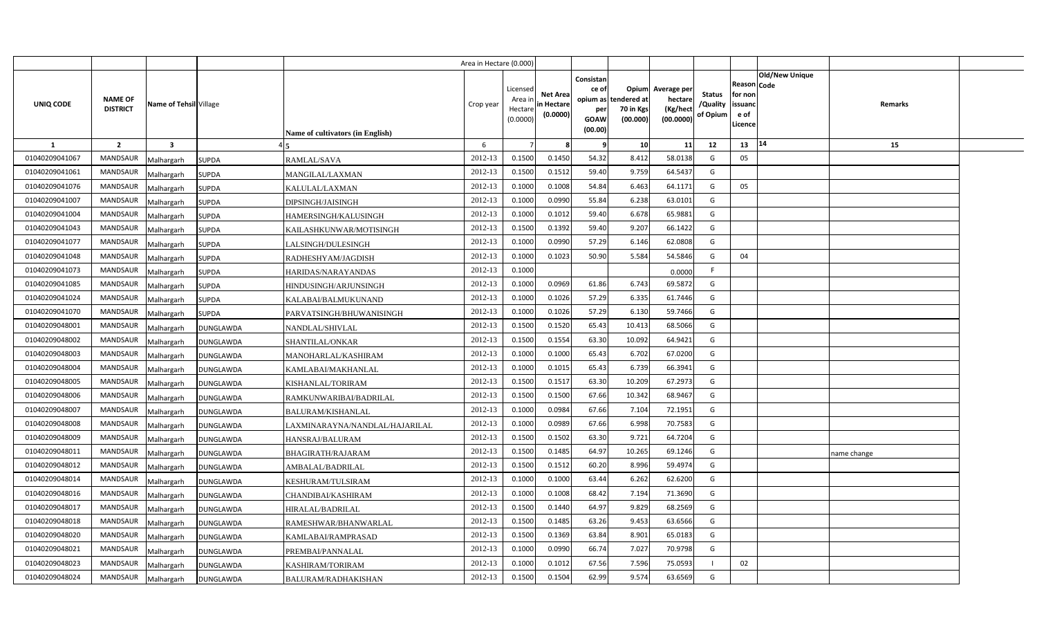|                |                                   |                         |                  |                                         | Area in Hectare (0.000) |                                           |                                           |                                                     |                                                        |                                                 |                                       |                                                        |                       |             |  |
|----------------|-----------------------------------|-------------------------|------------------|-----------------------------------------|-------------------------|-------------------------------------------|-------------------------------------------|-----------------------------------------------------|--------------------------------------------------------|-------------------------------------------------|---------------------------------------|--------------------------------------------------------|-----------------------|-------------|--|
| UNIQ CODE      | <b>NAME OF</b><br><b>DISTRICT</b> | Name of Tehsil Village  |                  | <b>Name of cultivators (in English)</b> | Crop year               | Licensed<br>Area ir<br>Hectar<br>(0.0000) | <b>Net Area</b><br>in Hectare<br>(0.0000) | Consistan<br>ce of<br>per<br><b>GOAW</b><br>(00.00) | Opium<br>opium as tendered at<br>70 in Kgs<br>(00.000) | Average per<br>hectare<br>(Kg/hect<br>(00.0000) | <b>Status</b><br>/Quality<br>of Opium | Reason   Code<br>for non<br>issuanc<br>e of<br>Licence | <b>Old/New Unique</b> | Remarks     |  |
| -1             | $\overline{\mathbf{2}}$           | $\overline{\mathbf{3}}$ |                  |                                         | 6                       |                                           |                                           | -9                                                  | 10                                                     | 11                                              | 12                                    | 13                                                     | 14                    | 15          |  |
| 01040209041067 | <b>MANDSAUR</b>                   | Malhargarh              | <b>SUPDA</b>     | RAMLAL/SAVA                             | 2012-13                 | 0.1500                                    | 0.1450                                    | 54.32                                               | 8.412                                                  | 58.0138                                         | G                                     | 05                                                     |                       |             |  |
| 01040209041061 | MANDSAUR                          | <b>Malhargarh</b>       | <b>SUPDA</b>     | MANGILAL/LAXMAN                         | 2012-13                 | 0.1500                                    | 0.151                                     | 59.40                                               | 9.759                                                  | 64.5437                                         | G                                     |                                                        |                       |             |  |
| 01040209041076 | MANDSAUR                          | Malhargarh              | <b>SUPDA</b>     | KALULAL/LAXMAN                          | 2012-13                 | 0.100                                     | 0.1008                                    | 54.84                                               | 6.463                                                  | 64.1171                                         | G                                     | 05                                                     |                       |             |  |
| 01040209041007 | <b>MANDSAUR</b>                   | Malhargarh              | <b>SUPDA</b>     | DIPSINGH/JAISINGH                       | 2012-13                 | 0.100                                     | 0.0990                                    | 55.84                                               | 6.238                                                  | 63.0101                                         | G                                     |                                                        |                       |             |  |
| 01040209041004 | MANDSAUR                          | Malhargarh              | <b>SUPDA</b>     | HAMERSINGH/KALUSINGH                    | 2012-13                 | 0.100                                     | 0.101                                     | 59.40                                               | 6.678                                                  | 65.9881                                         | G                                     |                                                        |                       |             |  |
| 01040209041043 | <b>MANDSAUR</b>                   | Malhargarh              | SUPDA            | KAILASHKUNWAR/MOTISINGH                 | 2012-13                 | 0.1500                                    | 0.1392                                    | 59.40                                               | 9.207                                                  | 66.1422                                         | G                                     |                                                        |                       |             |  |
| 01040209041077 | MANDSAUR                          | Malhargarh              | SUPDA            | LALSINGH/DULESINGH                      | 2012-13                 | 0.100                                     | 0.0990                                    | 57.29                                               | 6.146                                                  | 62.0808                                         | G                                     |                                                        |                       |             |  |
| 01040209041048 | MANDSAUR                          | Malhargarh              | <b>SUPDA</b>     | RADHESHYAM/JAGDISH                      | 2012-13                 | 0.1000                                    | 0.1023                                    | 50.90                                               | 5.584                                                  | 54.5846                                         | G                                     | 04                                                     |                       |             |  |
| 01040209041073 | MANDSAUR                          | Malhargarh              | <b>SUPDA</b>     | HARIDAS/NARAYANDAS                      | 2012-13                 | 0.1000                                    |                                           |                                                     |                                                        | 0.0000                                          | F                                     |                                                        |                       |             |  |
| 01040209041085 | MANDSAUR                          | Malhargarh              | <b>SUPDA</b>     | HINDUSINGH/ARJUNSINGH                   | 2012-13                 | 0.1000                                    | 0.0969                                    | 61.86                                               | 6.743                                                  | 69.5872                                         | G                                     |                                                        |                       |             |  |
| 01040209041024 | <b>MANDSAUR</b>                   | Malhargarh              | <b>SUPDA</b>     | KALABAI/BALMUKUNAND                     | 2012-13                 | 0.1000                                    | 0.1026                                    | 57.29                                               | 6.335                                                  | 61.7446                                         | G                                     |                                                        |                       |             |  |
| 01040209041070 | MANDSAUR                          | Malhargarh              | <b>SUPDA</b>     | PARVATSINGH/BHUWANISINGH                | 2012-13                 | 0.100                                     | 0.1026                                    | 57.29                                               | 6.130                                                  | 59.7466                                         | G                                     |                                                        |                       |             |  |
| 01040209048001 | <b>MANDSAUR</b>                   | Malhargarh              | DUNGLAWDA        | NANDLAL/SHIVLAL                         | 2012-13                 | 0.1500                                    | 0.1520                                    | 65.43                                               | 10.413                                                 | 68.5066                                         | G                                     |                                                        |                       |             |  |
| 01040209048002 | <b>MANDSAUR</b>                   | Malhargarh              | <b>DUNGLAWDA</b> | SHANTILAL/ONKAR                         | 2012-13                 | 0.1500                                    | 0.1554                                    | 63.30                                               | 10.092                                                 | 64.9421                                         | G                                     |                                                        |                       |             |  |
| 01040209048003 | MANDSAUR                          | Malhargarh              | DUNGLAWDA        | MANOHARLAL/KASHIRAM                     | 2012-13                 | 0.1000                                    | 0.1000                                    | 65.43                                               | 6.702                                                  | 67.0200                                         | G                                     |                                                        |                       |             |  |
| 01040209048004 | <b>MANDSAUR</b>                   | Malhargarh              | DUNGLAWDA        | KAMLABAI/MAKHANLAL                      | 2012-13                 | 0.1000                                    | 0.101!                                    | 65.43                                               | 6.739                                                  | 66.3941                                         | G                                     |                                                        |                       |             |  |
| 01040209048005 | MANDSAUR                          | Malhargarh              | <b>DUNGLAWDA</b> | KISHANLAL/TORIRAM                       | 2012-13                 | 0.1500                                    | 0.151                                     | 63.30                                               | 10.209                                                 | 67.2973                                         | G                                     |                                                        |                       |             |  |
| 01040209048006 | MANDSAUR                          | Malhargarh              | DUNGLAWDA        | RAMKUNWARIBAI/BADRILAL                  | 2012-13                 | 0.1500                                    | 0.1500                                    | 67.66                                               | 10.342                                                 | 68.9467                                         | G                                     |                                                        |                       |             |  |
| 01040209048007 | MANDSAUR                          | Malhargarh              | <b>DUNGLAWDA</b> | <b>BALURAM/KISHANLAL</b>                | 2012-13                 | 0.1000                                    | 0.0984                                    | 67.66                                               | 7.104                                                  | 72.1951                                         | G                                     |                                                        |                       |             |  |
| 01040209048008 | MANDSAUR                          | Malhargarh              | <b>DUNGLAWDA</b> | LAXMINARAYNA/NANDLAL/HAJARILAL          | 2012-13                 | 0.1000                                    | 0.0989                                    | 67.66                                               | 6.998                                                  | 70.7583                                         | G                                     |                                                        |                       |             |  |
| 01040209048009 | MANDSAUR                          | Malhargarh              | <b>DUNGLAWDA</b> | HANSRAJ/BALURAM                         | 2012-13                 | 0.1500                                    | 0.1502                                    | 63.30                                               | 9.721                                                  | 64.7204                                         | G                                     |                                                        |                       |             |  |
| 01040209048011 | MANDSAUR                          | Malhargarh              | DUNGLAWDA        | <b>BHAGIRATH/RAJARAM</b>                | 2012-13                 | 0.1500                                    | 0.1485                                    | 64.97                                               | 10.265                                                 | 69.1246                                         | G                                     |                                                        |                       | name change |  |
| 01040209048012 | MANDSAUR                          | Malhargarh              | DUNGLAWDA        | AMBALAL/BADRILAL                        | 2012-13                 | 0.1500                                    | 0.1512                                    | 60.20                                               | 8.996                                                  | 59.4974                                         | G                                     |                                                        |                       |             |  |
| 01040209048014 | MANDSAUR                          | Malhargarh              | DUNGLAWDA        | KESHURAM/TULSIRAM                       | 2012-13                 | 0.1000                                    | 0.1000                                    | 63.44                                               | 6.262                                                  | 62.6200                                         | G                                     |                                                        |                       |             |  |
| 01040209048016 | <b>MANDSAUR</b>                   | Malhargarh              | DUNGLAWDA        | CHANDIBAI/KASHIRAM                      | 2012-13                 | 0.1000                                    | 0.1008                                    | 68.42                                               | 7.194                                                  | 71.3690                                         | G                                     |                                                        |                       |             |  |
| 01040209048017 | MANDSAUR                          | Malhargarh              | DUNGLAWDA        | HIRALAL/BADRILAL                        | 2012-13                 | 0.1500                                    | 0.1440                                    | 64.97                                               | 9.829                                                  | 68.2569                                         | G                                     |                                                        |                       |             |  |
| 01040209048018 | MANDSAUR                          | Malhargarh              | DUNGLAWDA        | RAMESHWAR/BHANWARLAL                    | 2012-13                 | 0.1500                                    | 0.1485                                    | 63.26                                               | 9.453                                                  | 63.6566                                         | G                                     |                                                        |                       |             |  |
| 01040209048020 | <b>MANDSAUR</b>                   | Malhargarh              | <b>DUNGLAWDA</b> | KAMLABAI/RAMPRASAD                      | 2012-13                 | 0.1500                                    | 0.1369                                    | 63.84                                               | 8.901                                                  | 65.0183                                         | G                                     |                                                        |                       |             |  |
| 01040209048021 | MANDSAUR                          | Malhargarh              | DUNGLAWDA        | PREMBAI/PANNALAL                        | 2012-13                 | 0.1000                                    | 0.0990                                    | 66.74                                               | 7.027                                                  | 70.9798                                         | G                                     |                                                        |                       |             |  |
| 01040209048023 | MANDSAUR                          | Malhargarh              | DUNGLAWDA        | KASHIRAM/TORIRAM                        | 2012-13                 | 0.100                                     | 0.1012                                    | 67.56                                               | 7.596                                                  | 75.0593                                         | $\blacksquare$                        | 02                                                     |                       |             |  |
| 01040209048024 | <b>MANDSAUR</b>                   | Malhargarh              | <b>DUNGLAWDA</b> | BALURAM/RADHAKISHAN                     | 2012-13                 | 0.1500                                    | 0.1504                                    | 62.99                                               | 9.574                                                  | 63.6569                                         | G                                     |                                                        |                       |             |  |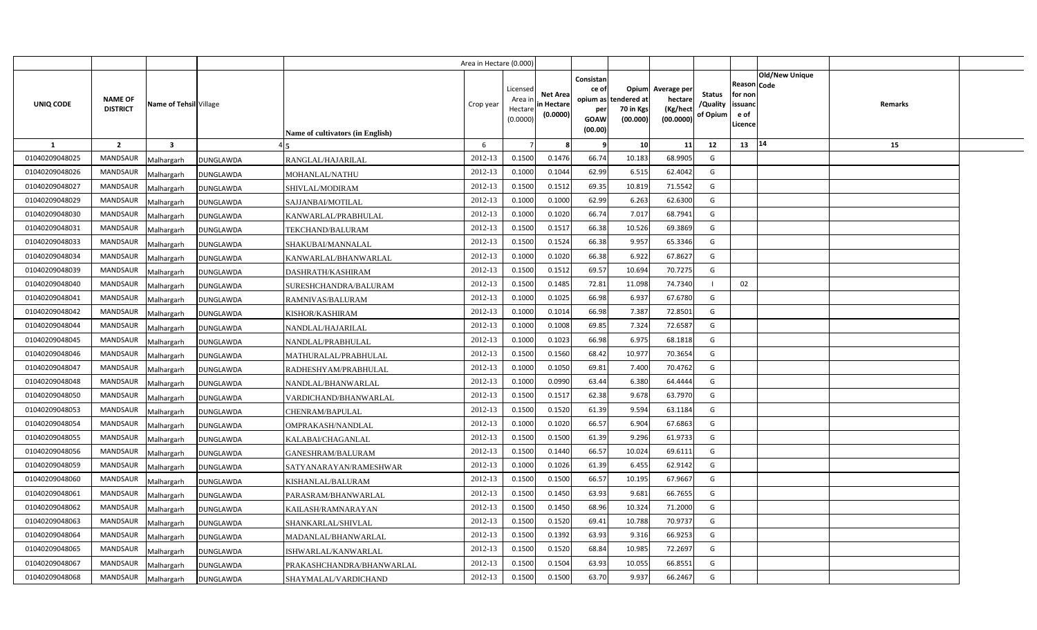|                |                                                             |                  |                                  | Area in Hectare (0.000) |                                            |                                           |                                                     |                                                        |                                                 |                                       |                                                                               |         |  |
|----------------|-------------------------------------------------------------|------------------|----------------------------------|-------------------------|--------------------------------------------|-------------------------------------------|-----------------------------------------------------|--------------------------------------------------------|-------------------------------------------------|---------------------------------------|-------------------------------------------------------------------------------|---------|--|
| UNIQ CODE      | <b>NAME OF</b><br>Name of Tehsil Village<br><b>DISTRICT</b> |                  | Name of cultivators (in English) | Crop year               | Licensed<br>Area ir<br>Hectare<br>(0.0000) | <b>Net Area</b><br>in Hectare<br>(0.0000) | Consistan<br>ce of<br>per<br><b>GOAW</b><br>(00.00) | Opium<br>opium as tendered at<br>70 in Kgs<br>(00.000) | Average per<br>hectare<br>(Kg/heci<br>(00.0000) | <b>Status</b><br>/Quality<br>of Opium | <b>Old/New Unique</b><br>Reason Code<br>for non<br>issuanc<br>e of<br>.icence | Remarks |  |
| <b>1</b>       | $\overline{2}$<br>$\overline{\mathbf{3}}$                   |                  |                                  | 6                       |                                            |                                           | -9                                                  | 10                                                     | 11                                              | 12                                    | 14<br>13                                                                      | 15      |  |
| 01040209048025 | <b>MANDSAUR</b><br>Malhargarh                               | <b>DUNGLAWDA</b> | RANGLAL/HAJARILAL                | 2012-13                 | 0.1500                                     | 0.1476                                    | 66.74                                               | 10.183                                                 | 68.9905                                         | G                                     |                                                                               |         |  |
| 01040209048026 | <b>MANDSAUR</b><br>Malhargarh                               | <b>DUNGLAWDA</b> | MOHANLAL/NATHU                   | 2012-13                 | 0.1000                                     | 0.1044                                    | 62.99                                               | 6.515                                                  | 62.4042                                         | G                                     |                                                                               |         |  |
| 01040209048027 | <b>MANDSAUR</b><br>Malhargarh                               | <b>DUNGLAWDA</b> | SHIVLAL/MODIRAM                  | 2012-13                 | 0.1500                                     | 0.1512                                    | 69.35                                               | 10.819                                                 | 71.5542                                         | G                                     |                                                                               |         |  |
| 01040209048029 | <b>MANDSAUR</b><br>Malhargarh                               | DUNGLAWDA        | SAJJANBAI/MOTILAL                | 2012-13                 | 0.1000                                     | 0.1000                                    | 62.99                                               | 6.263                                                  | 62.6300                                         | G                                     |                                                                               |         |  |
| 01040209048030 | MANDSAUR<br>Malhargarh                                      | DUNGLAWDA        | KANWARLAL/PRABHULAL              | 2012-13                 | 0.1000                                     | 0.1020                                    | 66.74                                               | 7.017                                                  | 68.7941                                         | G                                     |                                                                               |         |  |
| 01040209048031 | <b>MANDSAUR</b><br>Malhargarh                               | DUNGLAWDA        | TEKCHAND/BALURAM                 | 2012-13                 | 0.1500                                     | 0.1517                                    | 66.38                                               | 10.526                                                 | 69.3869                                         | G                                     |                                                                               |         |  |
| 01040209048033 | MANDSAUR<br>Malhargarh                                      | DUNGLAWDA        | SHAKUBAI/MANNALAL                | 2012-13                 | 0.1500                                     | 0.1524                                    | 66.38                                               | 9.957                                                  | 65.3346                                         | G                                     |                                                                               |         |  |
| 01040209048034 | <b>MANDSAUR</b><br>Malhargarh                               | DUNGLAWDA        | KANWARLAL/BHANWARLAL             | 2012-13                 | 0.1000                                     | 0.1020                                    | 66.38                                               | 6.922                                                  | 67.8627                                         | G                                     |                                                                               |         |  |
| 01040209048039 | MANDSAUR<br>Malhargarh                                      | DUNGLAWDA        | DASHRATH/KASHIRAM                | 2012-13                 | 0.1500                                     | 0.1512                                    | 69.57                                               | 10.694                                                 | 70.7275                                         | G                                     |                                                                               |         |  |
| 01040209048040 | MANDSAUR<br>Malhargarh                                      | <b>DUNGLAWDA</b> | SURESHCHANDRA/BALURAM            | 2012-13                 | 0.1500                                     | 0.1485                                    | 72.81                                               | 11.098                                                 | 74.7340                                         |                                       | 02                                                                            |         |  |
| 01040209048041 | <b>MANDSAUR</b><br>Malhargarh                               | DUNGLAWDA        | RAMNIVAS/BALURAM                 | 2012-13                 | 0.1000                                     | 0.1025                                    | 66.98                                               | 6.937                                                  | 67.6780                                         | G                                     |                                                                               |         |  |
| 01040209048042 | MANDSAUR<br>Malhargarh                                      | DUNGLAWDA        | KISHOR/KASHIRAM                  | 2012-13                 | 0.1000                                     | 0.1014                                    | 66.98                                               | 7.387                                                  | 72.8501                                         | G                                     |                                                                               |         |  |
| 01040209048044 | <b>MANDSAUR</b><br>Malhargarh                               | DUNGLAWDA        | NANDLAL/HAJARILAL                | 2012-13                 | 0.1000                                     | 0.1008                                    | 69.85                                               | 7.324                                                  | 72.6587                                         | G                                     |                                                                               |         |  |
| 01040209048045 | <b>MANDSAUR</b><br>Malhargarh                               | DUNGLAWDA        | NANDLAL/PRABHULAL                | 2012-13                 | 0.1000                                     | 0.1023                                    | 66.98                                               | 6.975                                                  | 68.1818                                         | G                                     |                                                                               |         |  |
| 01040209048046 | MANDSAUR<br>Malhargarh                                      | DUNGLAWDA        | MATHURALAL/PRABHULAL             | 2012-13                 | 0.1500                                     | 0.1560                                    | 68.42                                               | 10.977                                                 | 70.3654                                         | G                                     |                                                                               |         |  |
| 01040209048047 | <b>MANDSAUR</b><br>Malhargarh                               | DUNGLAWDA        | RADHESHYAM/PRABHULAL             | 2012-13                 | 0.1000                                     | 0.1050                                    | 69.81                                               | 7.400                                                  | 70.4762                                         | G                                     |                                                                               |         |  |
| 01040209048048 | <b>MANDSAUR</b><br>Malhargarh                               | DUNGLAWDA        | NANDLAL/BHANWARLAL               | 2012-13                 | 0.1000                                     | 0.0990                                    | 63.44                                               | 6.380                                                  | 64.4444                                         | G                                     |                                                                               |         |  |
| 01040209048050 | <b>MANDSAUR</b><br>Malhargarh                               | DUNGLAWDA        | VARDICHAND/BHANWARLAL            | 2012-13                 | 0.1500                                     | 0.1517                                    | 62.38                                               | 9.678                                                  | 63.7970                                         | G                                     |                                                                               |         |  |
| 01040209048053 | <b>MANDSAUR</b><br>Malhargarh                               | DUNGLAWDA        | CHENRAM/BAPULAL                  | 2012-13                 | 0.1500                                     | 0.1520                                    | 61.39                                               | 9.594                                                  | 63.1184                                         | G                                     |                                                                               |         |  |
| 01040209048054 | <b>MANDSAUR</b><br>Malhargarh                               | DUNGLAWDA        | OMPRAKASH/NANDLAL                | 2012-13                 | 0.1000                                     | 0.1020                                    | 66.57                                               | 6.904                                                  | 67.6863                                         | G                                     |                                                                               |         |  |
| 01040209048055 | <b>MANDSAUR</b><br>Malhargarh                               | DUNGLAWDA        | KALABAI/CHAGANLAL                | 2012-13                 | 0.1500                                     | 0.1500                                    | 61.39                                               | 9.296                                                  | 61.9733                                         | G                                     |                                                                               |         |  |
| 01040209048056 | MANDSAUR<br>Malhargarh                                      | DUNGLAWDA        | GANESHRAM/BALURAM                | 2012-13                 | 0.1500                                     | 0.1440                                    | 66.57                                               | 10.024                                                 | 69.6111                                         | G                                     |                                                                               |         |  |
| 01040209048059 | MANDSAUR<br>Malhargarh                                      | DUNGLAWDA        | SATYANARAYAN/RAMESHWAR           | 2012-13                 | 0.1000                                     | 0.1026                                    | 61.39                                               | 6.455                                                  | 62.9142                                         | G                                     |                                                                               |         |  |
| 01040209048060 | MANDSAUR<br>Malhargarh                                      | DUNGLAWDA        | KISHANLAL/BALURAM                | 2012-13                 | 0.1500                                     | 0.1500                                    | 66.57                                               | 10.195                                                 | 67.9667                                         | G                                     |                                                                               |         |  |
| 01040209048061 | <b>MANDSAUR</b><br>Malhargarh                               | DUNGLAWDA        | PARASRAM/BHANWARLAL              | 2012-13                 | 0.1500                                     | 0.1450                                    | 63.93                                               | 9.681                                                  | 66.7655                                         | G                                     |                                                                               |         |  |
| 01040209048062 | <b>MANDSAUR</b><br>Malhargarh                               | DUNGLAWDA        | KAILASH/RAMNARAYAN               | 2012-13                 | 0.1500                                     | 0.1450                                    | 68.96                                               | 10.324                                                 | 71.2000                                         | G                                     |                                                                               |         |  |
| 01040209048063 | MANDSAUR<br>Malhargarh                                      | DUNGLAWDA        | SHANKARLAL/SHIVLAL               | 2012-13                 | 0.1500                                     | 0.1520                                    | 69.41                                               | 10.788                                                 | 70.9737                                         | G                                     |                                                                               |         |  |
| 01040209048064 | MANDSAUR<br>Malhargarh                                      | DUNGLAWDA        | MADANLAL/BHANWARLAL              | 2012-13                 | 0.1500                                     | 0.1392                                    | 63.93                                               | 9.316                                                  | 66.9253                                         | G                                     |                                                                               |         |  |
| 01040209048065 | MANDSAUR<br>Malhargarh                                      | DUNGLAWDA        | ISHWARLAL/KANWARLAL              | 2012-13                 | 0.1500                                     | 0.1520                                    | 68.84                                               | 10.985                                                 | 72.2697                                         | G                                     |                                                                               |         |  |
| 01040209048067 | MANDSAUR<br>Malhargarh                                      | DUNGLAWDA        | PRAKASHCHANDRA/BHANWARLAL        | 2012-13                 | 0.1500                                     | 0.1504                                    | 63.93                                               | 10.055                                                 | 66.8551                                         | G                                     |                                                                               |         |  |
| 01040209048068 | MANDSAUR<br>Malhargarh                                      | <b>DUNGLAWDA</b> | SHAYMALAL/VARDICHAND             | 2012-13                 | 0.1500                                     | 0.1500                                    | 63.70                                               | 9.937                                                  | 66.2467                                         | G                                     |                                                                               |         |  |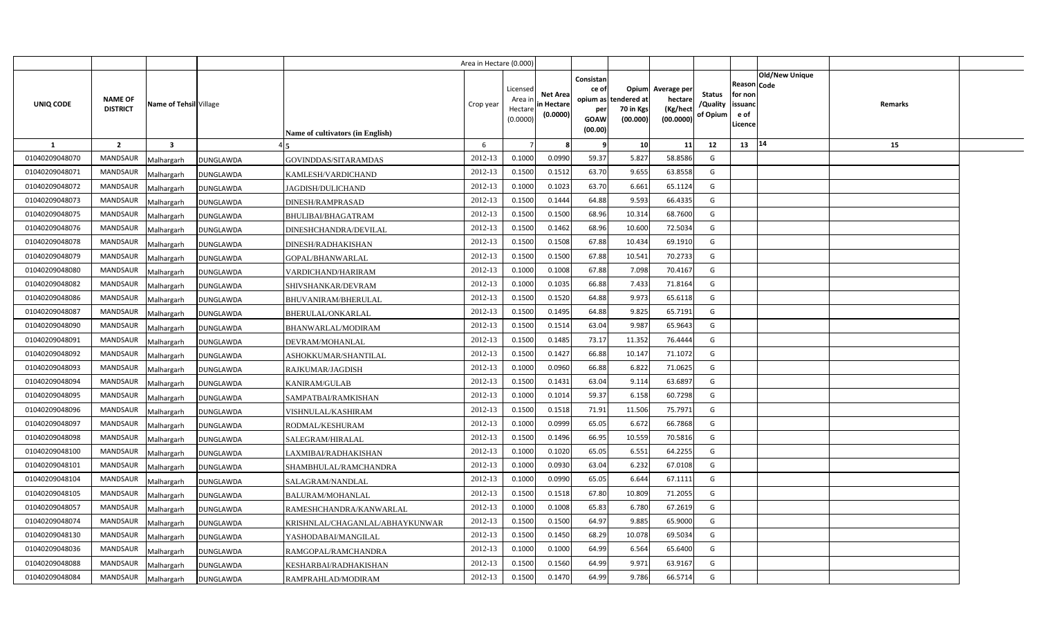|                |                                   |                                |                                         | Area in Hectare (0.000) |                                            |                                           |                                                                             |                                |                                                 |                                       |                                                      |                       |         |  |
|----------------|-----------------------------------|--------------------------------|-----------------------------------------|-------------------------|--------------------------------------------|-------------------------------------------|-----------------------------------------------------------------------------|--------------------------------|-------------------------------------------------|---------------------------------------|------------------------------------------------------|-----------------------|---------|--|
| UNIQ CODE      | <b>NAME OF</b><br><b>DISTRICT</b> | Name of Tehsil Village         | <b>Name of cultivators (in English)</b> | Crop year               | Licensed<br>Area ir<br>Hectare<br>(0.0000) | <b>Net Area</b><br>in Hectare<br>(0.0000) | Consistan<br>ce of<br>opium as tendered at<br>per<br><b>GOAW</b><br>(00.00) | Opium<br>70 in Kgs<br>(00.000) | Average per<br>hectare<br>(Kg/hect<br>(00.0000) | <b>Status</b><br>/Quality<br>of Opium | Reason Code<br>for non<br>issuanc<br>e of<br>Licence | <b>Old/New Unique</b> | Remarks |  |
| $\mathbf{1}$   | $\overline{2}$                    | $\overline{\mathbf{3}}$        |                                         | 6                       |                                            |                                           | -9                                                                          | 10                             | 11                                              | 12                                    | 13                                                   | 14                    | 15      |  |
| 01040209048070 | <b>MANDSAUR</b>                   | <b>DUNGLAWDA</b><br>Malhargarh | <b>GOVINDDAS/SITARAMDAS</b>             | 2012-13                 | 0.1000                                     | 0.0990                                    | 59.37                                                                       | 5.827                          | 58.8586                                         | G                                     |                                                      |                       |         |  |
| 01040209048071 | <b>MANDSAUR</b>                   | <b>DUNGLAWDA</b><br>Malhargarh | KAMLESH/VARDICHAND                      | 2012-13                 | 0.1500                                     | 0.151                                     | 63.70                                                                       | 9.655                          | 63.8558                                         | G                                     |                                                      |                       |         |  |
| 01040209048072 | MANDSAUR                          | Malhargarh<br><b>DUNGLAWDA</b> | JAGDISH/DULICHAND                       | 2012-13                 | 0.1000                                     | 0.1023                                    | 63.70                                                                       | 6.661                          | 65.1124                                         | G                                     |                                                      |                       |         |  |
| 01040209048073 | <b>MANDSAUR</b>                   | Malhargarh<br><b>DUNGLAWDA</b> | DINESH/RAMPRASAD                        | 2012-13                 | 0.1500                                     | 0.1444                                    | 64.88                                                                       | 9.593                          | 66.4335                                         | G                                     |                                                      |                       |         |  |
| 01040209048075 | <b>MANDSAUR</b>                   | Malhargarh<br><b>DUNGLAWDA</b> | <b>BHULIBAI/BHAGATRAM</b>               | 2012-13                 | 0.1500                                     | 0.1500                                    | 68.96                                                                       | 10.314                         | 68.7600                                         | G                                     |                                                      |                       |         |  |
| 01040209048076 | <b>MANDSAUR</b>                   | Malhargarh<br><b>DUNGLAWDA</b> | DINESHCHANDRA/DEVILAL                   | 2012-13                 | 0.1500                                     | 0.1462                                    | 68.96                                                                       | 10.600                         | 72.5034                                         | G                                     |                                                      |                       |         |  |
| 01040209048078 | <b>MANDSAUR</b>                   | Malhargarh<br><b>DUNGLAWDA</b> | DINESH/RADHAKISHAN                      | 2012-13                 | 0.1500                                     | 0.1508                                    | 67.88                                                                       | 10.434                         | 69.1910                                         | G                                     |                                                      |                       |         |  |
| 01040209048079 | <b>MANDSAUR</b>                   | Malhargarh<br><b>DUNGLAWDA</b> | GOPAL/BHANWARLAL                        | 2012-13                 | 0.1500                                     | 0.1500                                    | 67.88                                                                       | 10.541                         | 70.2733                                         | G                                     |                                                      |                       |         |  |
| 01040209048080 | <b>MANDSAUR</b>                   | Malhargarh<br><b>DUNGLAWDA</b> | VARDICHAND/HARIRAM                      | 2012-13                 | 0.1000                                     | 0.1008                                    | 67.88                                                                       | 7.098                          | 70.4167                                         | G                                     |                                                      |                       |         |  |
| 01040209048082 | <b>MANDSAUR</b>                   | Malhargarh<br><b>DUNGLAWDA</b> | SHIVSHANKAR/DEVRAM                      | 2012-13                 | 0.1000                                     | 0.1035                                    | 66.88                                                                       | 7.433                          | 71.8164                                         | G                                     |                                                      |                       |         |  |
| 01040209048086 | <b>MANDSAUR</b>                   | Malhargarh<br><b>DUNGLAWDA</b> | BHUVANIRAM/BHERULAL                     | 2012-13                 | 0.1500                                     | 0.1520                                    | 64.88                                                                       | 9.973                          | 65.6118                                         | G                                     |                                                      |                       |         |  |
| 01040209048087 | <b>MANDSAUR</b>                   | Malhargarh<br><b>DUNGLAWDA</b> | BHERULAL/ONKARLAL                       | 2012-13                 | 0.1500                                     | 0.1495                                    | 64.88                                                                       | 9.825                          | 65.7191                                         | G                                     |                                                      |                       |         |  |
| 01040209048090 | <b>MANDSAUR</b>                   | Malhargarh<br><b>DUNGLAWDA</b> | BHANWARLAL/MODIRAM                      | 2012-13                 | 0.1500                                     | 0.1514                                    | 63.04                                                                       | 9.987                          | 65.9643                                         | G                                     |                                                      |                       |         |  |
| 01040209048091 | <b>MANDSAUR</b>                   | Malhargarh<br><b>DUNGLAWDA</b> | DEVRAM/MOHANLAL                         | 2012-13                 | 0.1500                                     | 0.1485                                    | 73.17                                                                       | 11.352                         | 76.4444                                         | G                                     |                                                      |                       |         |  |
| 01040209048092 | MANDSAUR                          | Malhargarh<br><b>DUNGLAWDA</b> | ASHOKKUMAR/SHANTILAL                    | 2012-13                 | 0.1500                                     | 0.1427                                    | 66.88                                                                       | 10.147                         | 71.1072                                         | G                                     |                                                      |                       |         |  |
| 01040209048093 | <b>MANDSAUR</b>                   | Malhargarh<br><b>DUNGLAWDA</b> | RAJKUMAR/JAGDISH                        | 2012-13                 | 0.1000                                     | 0.0960                                    | 66.88                                                                       | 6.822                          | 71.0625                                         | G                                     |                                                      |                       |         |  |
| 01040209048094 | MANDSAUR                          | Malhargarh<br><b>DUNGLAWDA</b> | <b>KANIRAM/GULAB</b>                    | 2012-13                 | 0.1500                                     | 0.1431                                    | 63.04                                                                       | 9.114                          | 63.6897                                         | G                                     |                                                      |                       |         |  |
| 01040209048095 | <b>MANDSAUR</b>                   | Malhargarh<br><b>DUNGLAWDA</b> | SAMPATBAI/RAMKISHAN                     | 2012-13                 | 0.1000                                     | 0.1014                                    | 59.37                                                                       | 6.158                          | 60.7298                                         | G                                     |                                                      |                       |         |  |
| 01040209048096 | MANDSAUR                          | Malhargarh<br><b>DUNGLAWDA</b> | VISHNULAL/KASHIRAM                      | 2012-13                 | 0.1500                                     | 0.1518                                    | 71.91                                                                       | 11.506                         | 75.7971                                         | G                                     |                                                      |                       |         |  |
| 01040209048097 | <b>MANDSAUR</b>                   | Malhargarh<br><b>DUNGLAWDA</b> | RODMAL/KESHURAM                         | 2012-13                 | 0.1000                                     | 0.0999                                    | 65.05                                                                       | 6.672                          | 66.7868                                         | G                                     |                                                      |                       |         |  |
| 01040209048098 | <b>MANDSAUR</b>                   | Malhargarh<br><b>DUNGLAWDA</b> | SALEGRAM/HIRALAL                        | 2012-13                 | 0.1500                                     | 0.1496                                    | 66.95                                                                       | 10.559                         | 70.5816                                         | G                                     |                                                      |                       |         |  |
| 01040209048100 | <b>MANDSAUR</b>                   | Malhargarh<br><b>DUNGLAWDA</b> | LAXMIBAI/RADHAKISHAN                    | 2012-13                 | 0.1000                                     | 0.1020                                    | 65.05                                                                       | 6.551                          | 64.2255                                         | G                                     |                                                      |                       |         |  |
| 01040209048101 | <b>MANDSAUR</b>                   | Malhargarh<br><b>DUNGLAWDA</b> | SHAMBHULAL/RAMCHANDRA                   | 2012-13                 | 0.1000                                     | 0.0930                                    | 63.04                                                                       | 6.232                          | 67.0108                                         | G                                     |                                                      |                       |         |  |
| 01040209048104 | MANDSAUR                          | Malhargarh<br><b>DUNGLAWDA</b> | SALAGRAM/NANDLAL                        | 2012-13                 | 0.1000                                     | 0.0990                                    | 65.05                                                                       | 6.644                          | 67.1111                                         | G                                     |                                                      |                       |         |  |
| 01040209048105 | <b>MANDSAUR</b>                   | Malhargarh<br><b>DUNGLAWDA</b> | BALURAM/MOHANLAL                        | 2012-13                 | 0.1500                                     | 0.1518                                    | 67.80                                                                       | 10.809                         | 71.2055                                         | G                                     |                                                      |                       |         |  |
| 01040209048057 | <b>MANDSAUR</b>                   | Malhargarh<br>DUNGLAWDA        | RAMESHCHANDRA/KANWARLAL                 | 2012-13                 | 0.1000                                     | 0.1008                                    | 65.83                                                                       | 6.780                          | 67.2619                                         | G                                     |                                                      |                       |         |  |
| 01040209048074 | <b>MANDSAUR</b>                   | Malhargarh<br>DUNGLAWDA        | KRISHNLAL/CHAGANLAL/ABHAYKUNWAR         | 2012-13                 | 0.1500                                     | 0.1500                                    | 64.97                                                                       | 9.885                          | 65.9000                                         | G                                     |                                                      |                       |         |  |
| 01040209048130 | <b>MANDSAUR</b>                   | Malhargarh<br><b>DUNGLAWDA</b> | YASHODABAI/MANGILAL                     | 2012-13                 | 0.1500                                     | 0.1450                                    | 68.29                                                                       | 10.078                         | 69.5034                                         | G                                     |                                                      |                       |         |  |
| 01040209048036 | <b>MANDSAUR</b>                   | Malhargarh<br><b>DUNGLAWDA</b> | RAMGOPAL/RAMCHANDRA                     | 2012-13                 | 0.1000                                     | 0.1000                                    | 64.99                                                                       | 6.564                          | 65.6400                                         | G                                     |                                                      |                       |         |  |
| 01040209048088 | <b>MANDSAUR</b>                   | Malhargarh<br><b>DUNGLAWDA</b> | KESHARBAI/RADHAKISHAN                   | 2012-13                 | 0.1500                                     | 0.1560                                    | 64.99                                                                       | 9.971                          | 63.9167                                         | G                                     |                                                      |                       |         |  |
| 01040209048084 | <b>MANDSAUR</b>                   | Malhargarh<br><b>DUNGLAWDA</b> | RAMPRAHLAD/MODIRAM                      | 2012-13                 | 0.1500                                     | 0.1470                                    | 64.99                                                                       | 9.786                          | 66.5714                                         | G                                     |                                                      |                       |         |  |